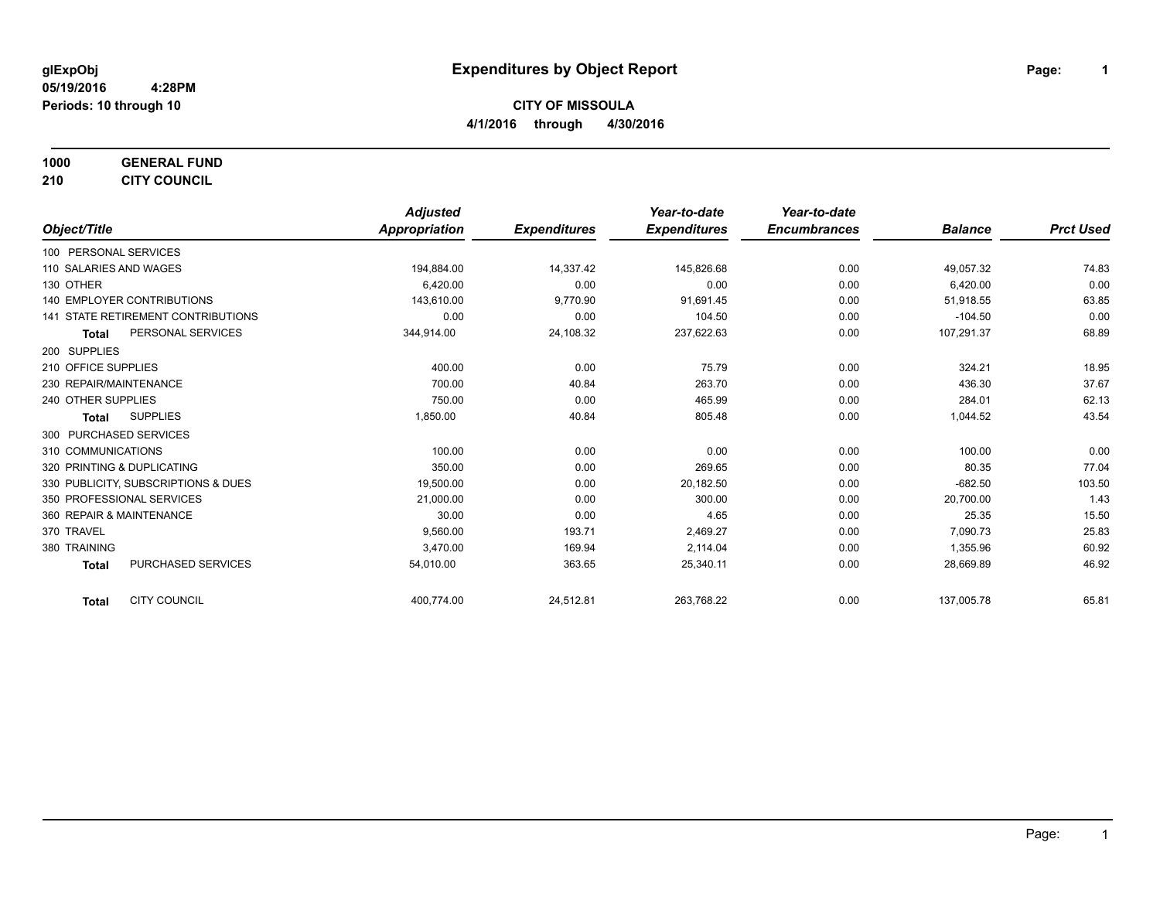**1000 GENERAL FUND**

**210 CITY COUNCIL**

|                                     | <b>Adjusted</b> |                     | Year-to-date        | Year-to-date        |                |                  |
|-------------------------------------|-----------------|---------------------|---------------------|---------------------|----------------|------------------|
| Object/Title                        | Appropriation   | <b>Expenditures</b> | <b>Expenditures</b> | <b>Encumbrances</b> | <b>Balance</b> | <b>Prct Used</b> |
| 100 PERSONAL SERVICES               |                 |                     |                     |                     |                |                  |
| 110 SALARIES AND WAGES              | 194,884.00      | 14,337.42           | 145,826.68          | 0.00                | 49,057.32      | 74.83            |
| 130 OTHER                           | 6,420.00        | 0.00                | 0.00                | 0.00                | 6,420.00       | 0.00             |
| <b>140 EMPLOYER CONTRIBUTIONS</b>   | 143.610.00      | 9,770.90            | 91,691.45           | 0.00                | 51,918.55      | 63.85            |
| 141 STATE RETIREMENT CONTRIBUTIONS  | 0.00            | 0.00                | 104.50              | 0.00                | $-104.50$      | 0.00             |
| PERSONAL SERVICES<br><b>Total</b>   | 344,914.00      | 24,108.32           | 237,622.63          | 0.00                | 107,291.37     | 68.89            |
| 200 SUPPLIES                        |                 |                     |                     |                     |                |                  |
| 210 OFFICE SUPPLIES                 | 400.00          | 0.00                | 75.79               | 0.00                | 324.21         | 18.95            |
| 230 REPAIR/MAINTENANCE              | 700.00          | 40.84               | 263.70              | 0.00                | 436.30         | 37.67            |
| 240 OTHER SUPPLIES                  | 750.00          | 0.00                | 465.99              | 0.00                | 284.01         | 62.13            |
| <b>SUPPLIES</b><br><b>Total</b>     | 1,850.00        | 40.84               | 805.48              | 0.00                | 1,044.52       | 43.54            |
| 300 PURCHASED SERVICES              |                 |                     |                     |                     |                |                  |
| 310 COMMUNICATIONS                  | 100.00          | 0.00                | 0.00                | 0.00                | 100.00         | 0.00             |
| 320 PRINTING & DUPLICATING          | 350.00          | 0.00                | 269.65              | 0.00                | 80.35          | 77.04            |
| 330 PUBLICITY, SUBSCRIPTIONS & DUES | 19,500.00       | 0.00                | 20,182.50           | 0.00                | $-682.50$      | 103.50           |
| 350 PROFESSIONAL SERVICES           | 21.000.00       | 0.00                | 300.00              | 0.00                | 20,700.00      | 1.43             |
| 360 REPAIR & MAINTENANCE            | 30.00           | 0.00                | 4.65                | 0.00                | 25.35          | 15.50            |
| 370 TRAVEL                          | 9,560.00        | 193.71              | 2,469.27            | 0.00                | 7,090.73       | 25.83            |
| 380 TRAINING                        | 3.470.00        | 169.94              | 2.114.04            | 0.00                | 1,355.96       | 60.92            |
| PURCHASED SERVICES<br><b>Total</b>  | 54,010.00       | 363.65              | 25,340.11           | 0.00                | 28,669.89      | 46.92            |
| <b>CITY COUNCIL</b><br><b>Total</b> | 400,774.00      | 24,512.81           | 263,768.22          | 0.00                | 137,005.78     | 65.81            |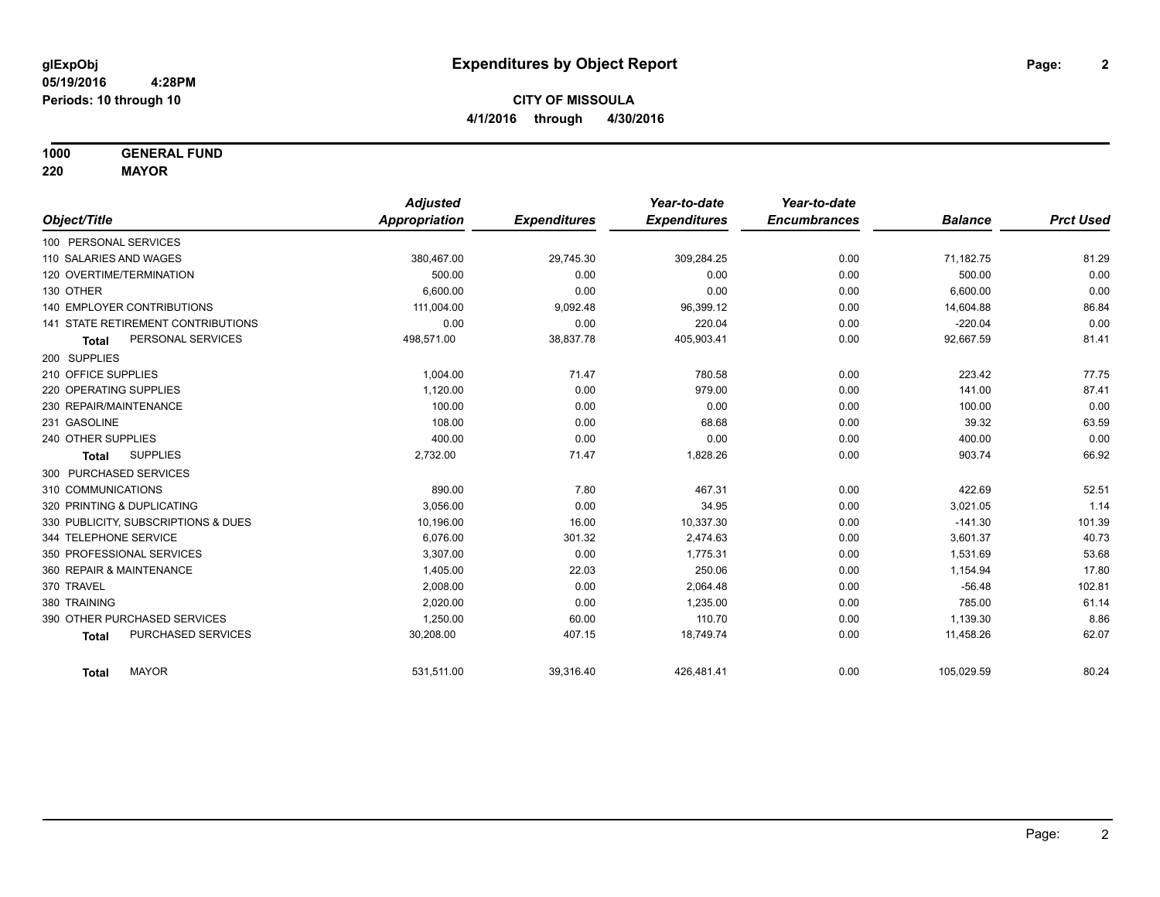**1000 GENERAL FUND**

**220 MAYOR**

|                                     | <b>Adjusted</b> |                     | Year-to-date        | Year-to-date        |                |                  |
|-------------------------------------|-----------------|---------------------|---------------------|---------------------|----------------|------------------|
| Object/Title                        | Appropriation   | <b>Expenditures</b> | <b>Expenditures</b> | <b>Encumbrances</b> | <b>Balance</b> | <b>Prct Used</b> |
| 100 PERSONAL SERVICES               |                 |                     |                     |                     |                |                  |
| 110 SALARIES AND WAGES              | 380,467.00      | 29,745.30           | 309,284.25          | 0.00                | 71,182.75      | 81.29            |
| 120 OVERTIME/TERMINATION            | 500.00          | 0.00                | 0.00                | 0.00                | 500.00         | 0.00             |
| 130 OTHER                           | 6.600.00        | 0.00                | 0.00                | 0.00                | 6,600.00       | 0.00             |
| <b>140 EMPLOYER CONTRIBUTIONS</b>   | 111,004.00      | 9,092.48            | 96,399.12           | 0.00                | 14,604.88      | 86.84            |
| 141 STATE RETIREMENT CONTRIBUTIONS  | 0.00            | 0.00                | 220.04              | 0.00                | $-220.04$      | 0.00             |
| PERSONAL SERVICES<br><b>Total</b>   | 498,571.00      | 38,837.78           | 405,903.41          | 0.00                | 92,667.59      | 81.41            |
| 200 SUPPLIES                        |                 |                     |                     |                     |                |                  |
| 210 OFFICE SUPPLIES                 | 1.004.00        | 71.47               | 780.58              | 0.00                | 223.42         | 77.75            |
| 220 OPERATING SUPPLIES              | 1,120.00        | 0.00                | 979.00              | 0.00                | 141.00         | 87.41            |
| 230 REPAIR/MAINTENANCE              | 100.00          | 0.00                | 0.00                | 0.00                | 100.00         | 0.00             |
| 231 GASOLINE                        | 108.00          | 0.00                | 68.68               | 0.00                | 39.32          | 63.59            |
| 240 OTHER SUPPLIES                  | 400.00          | 0.00                | 0.00                | 0.00                | 400.00         | 0.00             |
| <b>SUPPLIES</b><br><b>Total</b>     | 2,732.00        | 71.47               | 1,828.26            | 0.00                | 903.74         | 66.92            |
| 300 PURCHASED SERVICES              |                 |                     |                     |                     |                |                  |
| 310 COMMUNICATIONS                  | 890.00          | 7.80                | 467.31              | 0.00                | 422.69         | 52.51            |
| 320 PRINTING & DUPLICATING          | 3,056.00        | 0.00                | 34.95               | 0.00                | 3,021.05       | 1.14             |
| 330 PUBLICITY, SUBSCRIPTIONS & DUES | 10,196.00       | 16.00               | 10,337.30           | 0.00                | $-141.30$      | 101.39           |
| 344 TELEPHONE SERVICE               | 6.076.00        | 301.32              | 2,474.63            | 0.00                | 3,601.37       | 40.73            |
| 350 PROFESSIONAL SERVICES           | 3,307.00        | 0.00                | 1,775.31            | 0.00                | 1,531.69       | 53.68            |
| 360 REPAIR & MAINTENANCE            | 1,405.00        | 22.03               | 250.06              | 0.00                | 1,154.94       | 17.80            |
| 370 TRAVEL                          | 2,008.00        | 0.00                | 2,064.48            | 0.00                | $-56.48$       | 102.81           |
| 380 TRAINING                        | 2,020.00        | 0.00                | 1,235.00            | 0.00                | 785.00         | 61.14            |
| 390 OTHER PURCHASED SERVICES        | 1,250.00        | 60.00               | 110.70              | 0.00                | 1,139.30       | 8.86             |
| PURCHASED SERVICES<br><b>Total</b>  | 30,208.00       | 407.15              | 18,749.74           | 0.00                | 11,458.26      | 62.07            |
| <b>MAYOR</b><br><b>Total</b>        | 531,511.00      | 39,316.40           | 426,481.41          | 0.00                | 105,029.59     | 80.24            |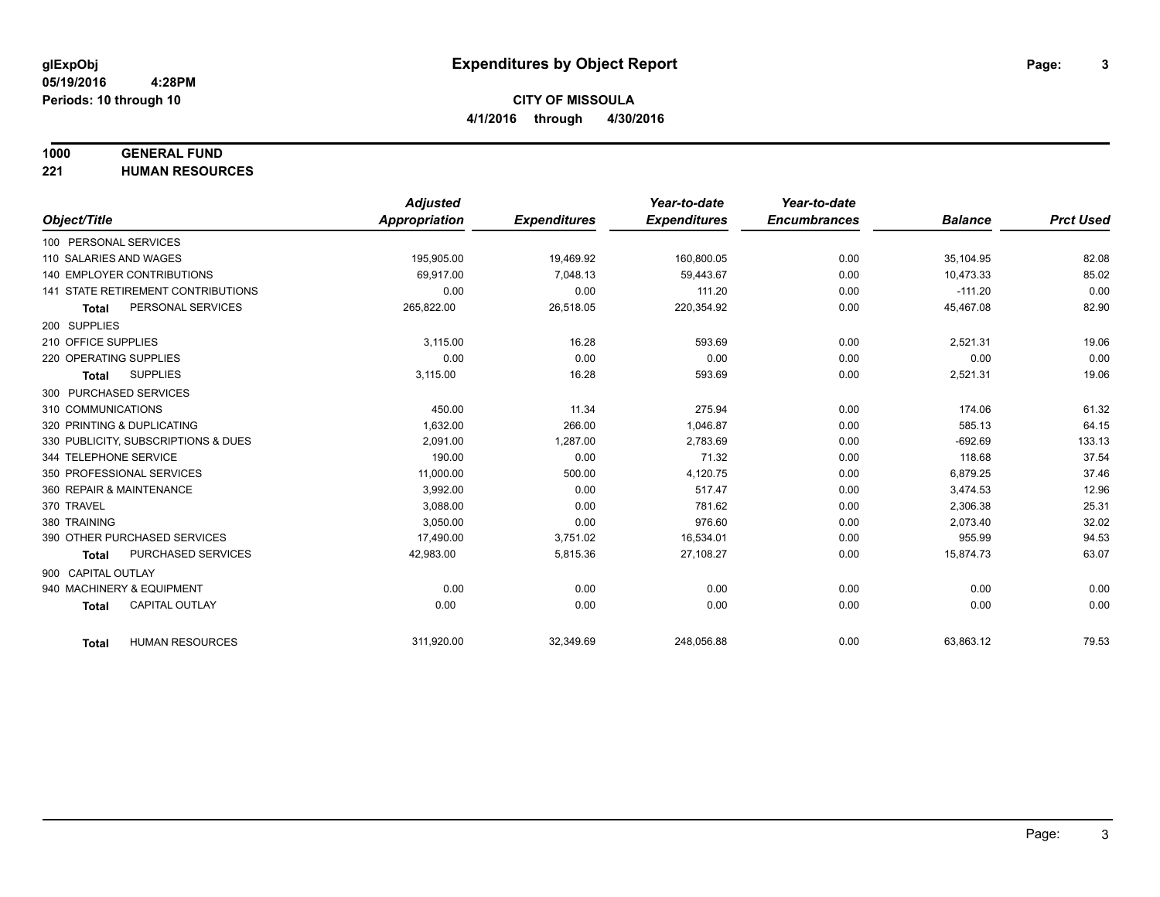#### **1000 GENERAL FUND**

**221 HUMAN RESOURCES**

|                                           | <b>Adjusted</b>      |                     | Year-to-date        | Year-to-date        |                |                  |
|-------------------------------------------|----------------------|---------------------|---------------------|---------------------|----------------|------------------|
| Object/Title                              | <b>Appropriation</b> | <b>Expenditures</b> | <b>Expenditures</b> | <b>Encumbrances</b> | <b>Balance</b> | <b>Prct Used</b> |
| 100 PERSONAL SERVICES                     |                      |                     |                     |                     |                |                  |
| 110 SALARIES AND WAGES                    | 195,905.00           | 19,469.92           | 160,800.05          | 0.00                | 35,104.95      | 82.08            |
| <b>140 EMPLOYER CONTRIBUTIONS</b>         | 69.917.00            | 7,048.13            | 59.443.67           | 0.00                | 10,473.33      | 85.02            |
| <b>141 STATE RETIREMENT CONTRIBUTIONS</b> | 0.00                 | 0.00                | 111.20              | 0.00                | $-111.20$      | 0.00             |
| PERSONAL SERVICES<br><b>Total</b>         | 265,822.00           | 26,518.05           | 220,354.92          | 0.00                | 45,467.08      | 82.90            |
| 200 SUPPLIES                              |                      |                     |                     |                     |                |                  |
| 210 OFFICE SUPPLIES                       | 3.115.00             | 16.28               | 593.69              | 0.00                | 2,521.31       | 19.06            |
| 220 OPERATING SUPPLIES                    | 0.00                 | 0.00                | 0.00                | 0.00                | 0.00           | 0.00             |
| <b>SUPPLIES</b><br>Total                  | 3,115.00             | 16.28               | 593.69              | 0.00                | 2,521.31       | 19.06            |
| 300 PURCHASED SERVICES                    |                      |                     |                     |                     |                |                  |
| 310 COMMUNICATIONS                        | 450.00               | 11.34               | 275.94              | 0.00                | 174.06         | 61.32            |
| 320 PRINTING & DUPLICATING                | 1.632.00             | 266.00              | 1.046.87            | 0.00                | 585.13         | 64.15            |
| 330 PUBLICITY, SUBSCRIPTIONS & DUES       | 2,091.00             | 1,287.00            | 2,783.69            | 0.00                | $-692.69$      | 133.13           |
| 344 TELEPHONE SERVICE                     | 190.00               | 0.00                | 71.32               | 0.00                | 118.68         | 37.54            |
| 350 PROFESSIONAL SERVICES                 | 11,000.00            | 500.00              | 4,120.75            | 0.00                | 6,879.25       | 37.46            |
| 360 REPAIR & MAINTENANCE                  | 3,992.00             | 0.00                | 517.47              | 0.00                | 3,474.53       | 12.96            |
| 370 TRAVEL                                | 3.088.00             | 0.00                | 781.62              | 0.00                | 2,306.38       | 25.31            |
| 380 TRAINING                              | 3,050.00             | 0.00                | 976.60              | 0.00                | 2,073.40       | 32.02            |
| 390 OTHER PURCHASED SERVICES              | 17,490.00            | 3,751.02            | 16,534.01           | 0.00                | 955.99         | 94.53            |
| <b>PURCHASED SERVICES</b><br><b>Total</b> | 42,983.00            | 5,815.36            | 27,108.27           | 0.00                | 15,874.73      | 63.07            |
| 900 CAPITAL OUTLAY                        |                      |                     |                     |                     |                |                  |
| 940 MACHINERY & EQUIPMENT                 | 0.00                 | 0.00                | 0.00                | 0.00                | 0.00           | 0.00             |
| <b>CAPITAL OUTLAY</b><br><b>Total</b>     | 0.00                 | 0.00                | 0.00                | 0.00                | 0.00           | 0.00             |
|                                           |                      |                     |                     |                     |                |                  |
| <b>HUMAN RESOURCES</b><br><b>Total</b>    | 311,920.00           | 32,349.69           | 248,056.88          | 0.00                | 63,863.12      | 79.53            |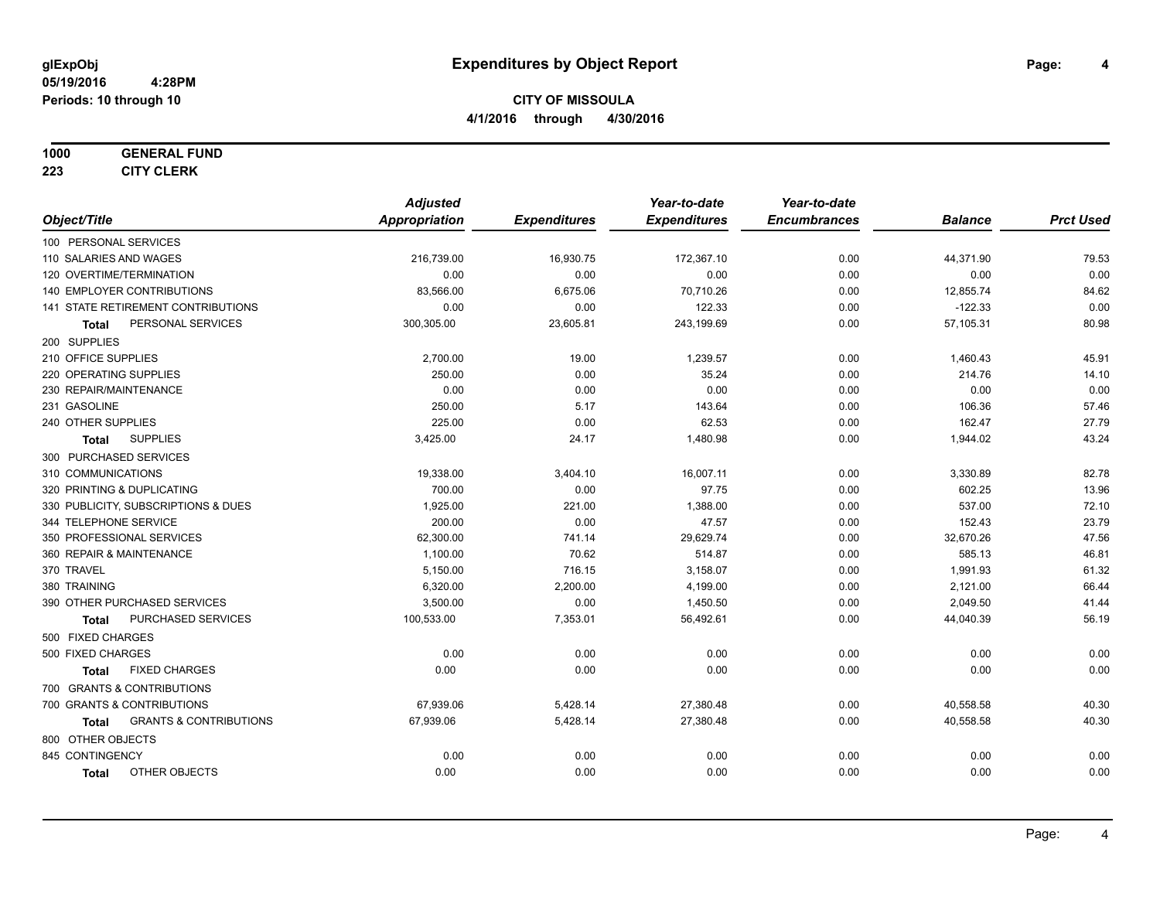#### **1000 GENERAL FUND**

**223 CITY CLERK**

|                                            | <b>Adjusted</b>      |                     | Year-to-date        | Year-to-date        |                |                  |
|--------------------------------------------|----------------------|---------------------|---------------------|---------------------|----------------|------------------|
| Object/Title                               | <b>Appropriation</b> | <b>Expenditures</b> | <b>Expenditures</b> | <b>Encumbrances</b> | <b>Balance</b> | <b>Prct Used</b> |
| 100 PERSONAL SERVICES                      |                      |                     |                     |                     |                |                  |
| 110 SALARIES AND WAGES                     | 216,739.00           | 16,930.75           | 172,367.10          | 0.00                | 44,371.90      | 79.53            |
| 120 OVERTIME/TERMINATION                   | 0.00                 | 0.00                | 0.00                | 0.00                | 0.00           | 0.00             |
| 140 EMPLOYER CONTRIBUTIONS                 | 83,566.00            | 6,675.06            | 70,710.26           | 0.00                | 12,855.74      | 84.62            |
| 141 STATE RETIREMENT CONTRIBUTIONS         | 0.00                 | 0.00                | 122.33              | 0.00                | $-122.33$      | 0.00             |
| PERSONAL SERVICES<br>Total                 | 300,305.00           | 23,605.81           | 243,199.69          | 0.00                | 57,105.31      | 80.98            |
| 200 SUPPLIES                               |                      |                     |                     |                     |                |                  |
| 210 OFFICE SUPPLIES                        | 2,700.00             | 19.00               | 1,239.57            | 0.00                | 1,460.43       | 45.91            |
| 220 OPERATING SUPPLIES                     | 250.00               | 0.00                | 35.24               | 0.00                | 214.76         | 14.10            |
| 230 REPAIR/MAINTENANCE                     | 0.00                 | 0.00                | 0.00                | 0.00                | 0.00           | 0.00             |
| 231 GASOLINE                               | 250.00               | 5.17                | 143.64              | 0.00                | 106.36         | 57.46            |
| 240 OTHER SUPPLIES                         | 225.00               | 0.00                | 62.53               | 0.00                | 162.47         | 27.79            |
| <b>SUPPLIES</b><br>Total                   | 3,425.00             | 24.17               | 1,480.98            | 0.00                | 1,944.02       | 43.24            |
| 300 PURCHASED SERVICES                     |                      |                     |                     |                     |                |                  |
| 310 COMMUNICATIONS                         | 19,338.00            | 3,404.10            | 16,007.11           | 0.00                | 3,330.89       | 82.78            |
| 320 PRINTING & DUPLICATING                 | 700.00               | 0.00                | 97.75               | 0.00                | 602.25         | 13.96            |
| 330 PUBLICITY, SUBSCRIPTIONS & DUES        | 1,925.00             | 221.00              | 1,388.00            | 0.00                | 537.00         | 72.10            |
| 344 TELEPHONE SERVICE                      | 200.00               | 0.00                | 47.57               | 0.00                | 152.43         | 23.79            |
| 350 PROFESSIONAL SERVICES                  | 62,300.00            | 741.14              | 29,629.74           | 0.00                | 32,670.26      | 47.56            |
| 360 REPAIR & MAINTENANCE                   | 1,100.00             | 70.62               | 514.87              | 0.00                | 585.13         | 46.81            |
| 370 TRAVEL                                 | 5,150.00             | 716.15              | 3,158.07            | 0.00                | 1,991.93       | 61.32            |
| 380 TRAINING                               | 6,320.00             | 2,200.00            | 4,199.00            | 0.00                | 2,121.00       | 66.44            |
| 390 OTHER PURCHASED SERVICES               | 3,500.00             | 0.00                | 1,450.50            | 0.00                | 2,049.50       | 41.44            |
| PURCHASED SERVICES<br><b>Total</b>         | 100,533.00           | 7,353.01            | 56,492.61           | 0.00                | 44,040.39      | 56.19            |
| 500 FIXED CHARGES                          |                      |                     |                     |                     |                |                  |
| 500 FIXED CHARGES                          | 0.00                 | 0.00                | 0.00                | 0.00                | 0.00           | 0.00             |
| <b>FIXED CHARGES</b><br><b>Total</b>       | 0.00                 | 0.00                | 0.00                | 0.00                | 0.00           | 0.00             |
| 700 GRANTS & CONTRIBUTIONS                 |                      |                     |                     |                     |                |                  |
| 700 GRANTS & CONTRIBUTIONS                 | 67,939.06            | 5,428.14            | 27,380.48           | 0.00                | 40,558.58      | 40.30            |
| <b>GRANTS &amp; CONTRIBUTIONS</b><br>Total | 67,939.06            | 5,428.14            | 27,380.48           | 0.00                | 40,558.58      | 40.30            |
| 800 OTHER OBJECTS                          |                      |                     |                     |                     |                |                  |
| 845 CONTINGENCY                            | 0.00                 | 0.00                | 0.00                | 0.00                | 0.00           | 0.00             |
| OTHER OBJECTS<br><b>Total</b>              | 0.00                 | 0.00                | 0.00                | 0.00                | 0.00           | 0.00             |
|                                            |                      |                     |                     |                     |                |                  |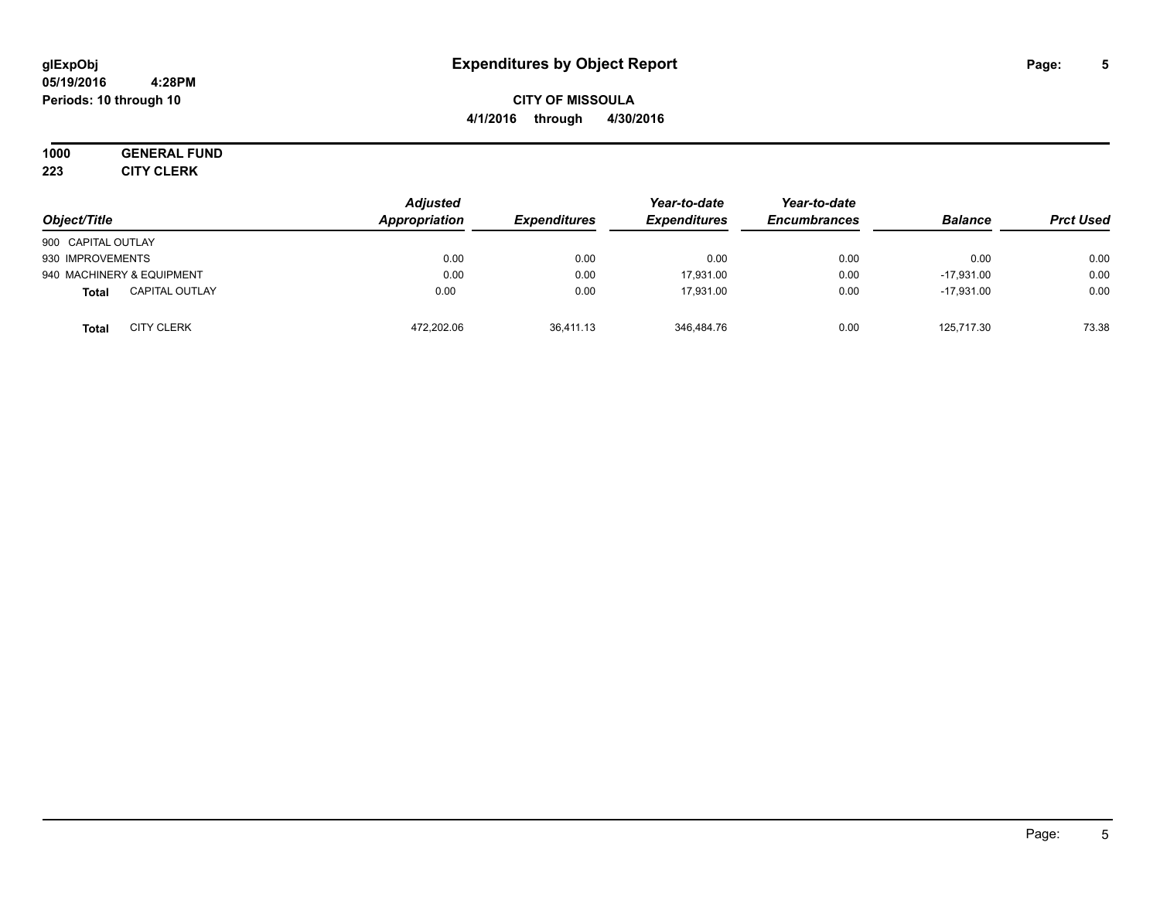#### **05/19/2016 4:28PM Periods: 10 through 10**

**CITY OF MISSOULA 4/1/2016 through 4/30/2016**

# **1000 GENERAL FUND**

**223 CITY CLERK**

| Object/Title                          | <b>Adjusted</b><br>Appropriation | <b>Expenditures</b> | Year-to-date<br><b>Expenditures</b> | Year-to-date<br><b>Encumbrances</b> | <b>Balance</b> | <b>Prct Used</b> |
|---------------------------------------|----------------------------------|---------------------|-------------------------------------|-------------------------------------|----------------|------------------|
| 900 CAPITAL OUTLAY                    |                                  |                     |                                     |                                     |                |                  |
| 930 IMPROVEMENTS                      | 0.00                             | 0.00                | 0.00                                | 0.00                                | 0.00           | 0.00             |
| 940 MACHINERY & EQUIPMENT             | 0.00                             | 0.00                | 17.931.00                           | 0.00                                | $-17.931.00$   | 0.00             |
| <b>CAPITAL OUTLAY</b><br><b>Total</b> | 0.00                             | 0.00                | 17.931.00                           | 0.00                                | $-17.931.00$   | 0.00             |
| <b>CITY CLERK</b><br><b>Total</b>     | 472,202.06                       | 36,411.13           | 346,484.76                          | 0.00                                | 125,717.30     | 73.38            |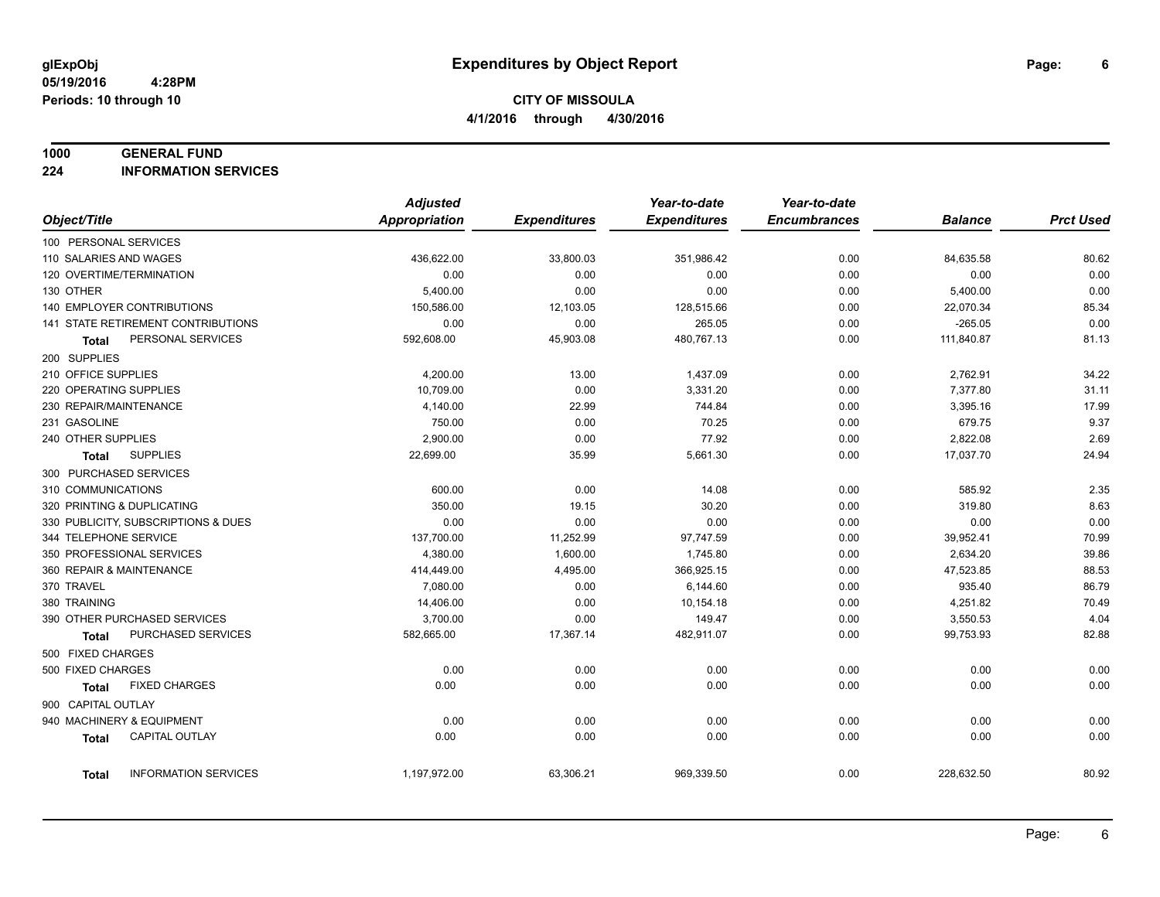#### **1000 GENERAL FUND**

**224 INFORMATION SERVICES**

|                                       | <b>Adjusted</b>      |                     | Year-to-date        | Year-to-date        |                |                  |
|---------------------------------------|----------------------|---------------------|---------------------|---------------------|----------------|------------------|
| Object/Title                          | <b>Appropriation</b> | <b>Expenditures</b> | <b>Expenditures</b> | <b>Encumbrances</b> | <b>Balance</b> | <b>Prct Used</b> |
| 100 PERSONAL SERVICES                 |                      |                     |                     |                     |                |                  |
| 110 SALARIES AND WAGES                | 436,622.00           | 33,800.03           | 351,986.42          | 0.00                | 84,635.58      | 80.62            |
| 120 OVERTIME/TERMINATION              | 0.00                 | 0.00                | 0.00                | 0.00                | 0.00           | 0.00             |
| 130 OTHER                             | 5,400.00             | 0.00                | 0.00                | 0.00                | 5,400.00       | 0.00             |
| 140 EMPLOYER CONTRIBUTIONS            | 150,586.00           | 12,103.05           | 128,515.66          | 0.00                | 22,070.34      | 85.34            |
| 141 STATE RETIREMENT CONTRIBUTIONS    | 0.00                 | 0.00                | 265.05              | 0.00                | $-265.05$      | 0.00             |
| PERSONAL SERVICES<br>Total            | 592,608.00           | 45,903.08           | 480,767.13          | 0.00                | 111,840.87     | 81.13            |
| 200 SUPPLIES                          |                      |                     |                     |                     |                |                  |
| 210 OFFICE SUPPLIES                   | 4,200.00             | 13.00               | 1,437.09            | 0.00                | 2,762.91       | 34.22            |
| 220 OPERATING SUPPLIES                | 10,709.00            | 0.00                | 3,331.20            | 0.00                | 7,377.80       | 31.11            |
| 230 REPAIR/MAINTENANCE                | 4,140.00             | 22.99               | 744.84              | 0.00                | 3,395.16       | 17.99            |
| 231 GASOLINE                          | 750.00               | 0.00                | 70.25               | 0.00                | 679.75         | 9.37             |
| 240 OTHER SUPPLIES                    | 2,900.00             | 0.00                | 77.92               | 0.00                | 2,822.08       | 2.69             |
| <b>SUPPLIES</b><br>Total              | 22,699.00            | 35.99               | 5,661.30            | 0.00                | 17,037.70      | 24.94            |
| 300 PURCHASED SERVICES                |                      |                     |                     |                     |                |                  |
| 310 COMMUNICATIONS                    | 600.00               | 0.00                | 14.08               | 0.00                | 585.92         | 2.35             |
| 320 PRINTING & DUPLICATING            | 350.00               | 19.15               | 30.20               | 0.00                | 319.80         | 8.63             |
| 330 PUBLICITY, SUBSCRIPTIONS & DUES   | 0.00                 | 0.00                | 0.00                | 0.00                | 0.00           | 0.00             |
| 344 TELEPHONE SERVICE                 | 137,700.00           | 11,252.99           | 97,747.59           | 0.00                | 39,952.41      | 70.99            |
| 350 PROFESSIONAL SERVICES             | 4,380.00             | 1,600.00            | 1,745.80            | 0.00                | 2,634.20       | 39.86            |
| 360 REPAIR & MAINTENANCE              | 414,449.00           | 4,495.00            | 366.925.15          | 0.00                | 47,523.85      | 88.53            |
| 370 TRAVEL                            | 7,080.00             | 0.00                | 6,144.60            | 0.00                | 935.40         | 86.79            |
| 380 TRAINING                          | 14,406.00            | 0.00                | 10,154.18           | 0.00                | 4,251.82       | 70.49            |
| 390 OTHER PURCHASED SERVICES          | 3,700.00             | 0.00                | 149.47              | 0.00                | 3,550.53       | 4.04             |
| PURCHASED SERVICES<br><b>Total</b>    | 582,665.00           | 17,367.14           | 482,911.07          | 0.00                | 99,753.93      | 82.88            |
| 500 FIXED CHARGES                     |                      |                     |                     |                     |                |                  |
| 500 FIXED CHARGES                     | 0.00                 | 0.00                | 0.00                | 0.00                | 0.00           | 0.00             |
| <b>FIXED CHARGES</b><br>Total         | 0.00                 | 0.00                | 0.00                | 0.00                | 0.00           | 0.00             |
| 900 CAPITAL OUTLAY                    |                      |                     |                     |                     |                |                  |
| 940 MACHINERY & EQUIPMENT             | 0.00                 | 0.00                | 0.00                | 0.00                | 0.00           | 0.00             |
| <b>CAPITAL OUTLAY</b><br><b>Total</b> | 0.00                 | 0.00                | 0.00                | 0.00                | 0.00           | 0.00             |
|                                       |                      |                     |                     |                     |                |                  |
| <b>INFORMATION SERVICES</b><br>Total  | 1,197,972.00         | 63,306.21           | 969,339.50          | 0.00                | 228,632.50     | 80.92            |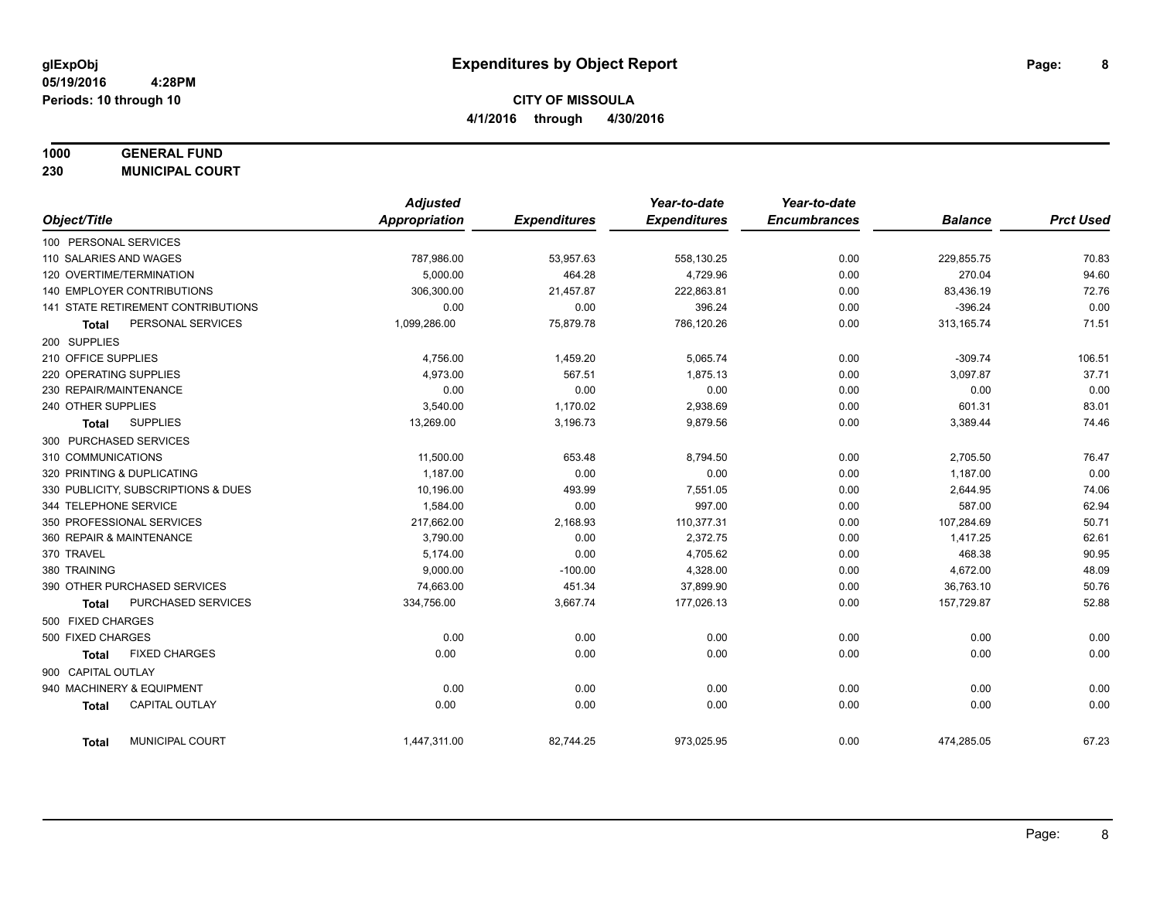# **1000 GENERAL FUND**

**230 MUNICIPAL COURT**

|                                        | <b>Adjusted</b>      |                     | Year-to-date        | Year-to-date        |                |                  |
|----------------------------------------|----------------------|---------------------|---------------------|---------------------|----------------|------------------|
| Object/Title                           | <b>Appropriation</b> | <b>Expenditures</b> | <b>Expenditures</b> | <b>Encumbrances</b> | <b>Balance</b> | <b>Prct Used</b> |
| 100 PERSONAL SERVICES                  |                      |                     |                     |                     |                |                  |
| 110 SALARIES AND WAGES                 | 787,986.00           | 53,957.63           | 558,130.25          | 0.00                | 229,855.75     | 70.83            |
| 120 OVERTIME/TERMINATION               | 5,000.00             | 464.28              | 4,729.96            | 0.00                | 270.04         | 94.60            |
| <b>140 EMPLOYER CONTRIBUTIONS</b>      | 306,300.00           | 21,457.87           | 222,863.81          | 0.00                | 83,436.19      | 72.76            |
| 141 STATE RETIREMENT CONTRIBUTIONS     | 0.00                 | 0.00                | 396.24              | 0.00                | $-396.24$      | 0.00             |
| PERSONAL SERVICES<br><b>Total</b>      | 1,099,286.00         | 75,879.78           | 786,120.26          | 0.00                | 313, 165.74    | 71.51            |
| 200 SUPPLIES                           |                      |                     |                     |                     |                |                  |
| 210 OFFICE SUPPLIES                    | 4,756.00             | 1,459.20            | 5,065.74            | 0.00                | $-309.74$      | 106.51           |
| 220 OPERATING SUPPLIES                 | 4,973.00             | 567.51              | 1,875.13            | 0.00                | 3,097.87       | 37.71            |
| 230 REPAIR/MAINTENANCE                 | 0.00                 | 0.00                | 0.00                | 0.00                | 0.00           | 0.00             |
| 240 OTHER SUPPLIES                     | 3,540.00             | 1,170.02            | 2,938.69            | 0.00                | 601.31         | 83.01            |
| <b>SUPPLIES</b><br><b>Total</b>        | 13,269.00            | 3,196.73            | 9,879.56            | 0.00                | 3,389.44       | 74.46            |
| 300 PURCHASED SERVICES                 |                      |                     |                     |                     |                |                  |
| 310 COMMUNICATIONS                     | 11,500.00            | 653.48              | 8,794.50            | 0.00                | 2,705.50       | 76.47            |
| 320 PRINTING & DUPLICATING             | 1.187.00             | 0.00                | 0.00                | 0.00                | 1,187.00       | 0.00             |
| 330 PUBLICITY, SUBSCRIPTIONS & DUES    | 10,196.00            | 493.99              | 7,551.05            | 0.00                | 2,644.95       | 74.06            |
| 344 TELEPHONE SERVICE                  | 1,584.00             | 0.00                | 997.00              | 0.00                | 587.00         | 62.94            |
| 350 PROFESSIONAL SERVICES              | 217,662.00           | 2,168.93            | 110,377.31          | 0.00                | 107,284.69     | 50.71            |
| 360 REPAIR & MAINTENANCE               | 3,790.00             | 0.00                | 2,372.75            | 0.00                | 1,417.25       | 62.61            |
| 370 TRAVEL                             | 5,174.00             | 0.00                | 4,705.62            | 0.00                | 468.38         | 90.95            |
| 380 TRAINING                           | 9,000.00             | $-100.00$           | 4,328.00            | 0.00                | 4,672.00       | 48.09            |
| 390 OTHER PURCHASED SERVICES           | 74,663.00            | 451.34              | 37,899.90           | 0.00                | 36,763.10      | 50.76            |
| PURCHASED SERVICES<br>Total            | 334,756.00           | 3,667.74            | 177,026.13          | 0.00                | 157,729.87     | 52.88            |
| 500 FIXED CHARGES                      |                      |                     |                     |                     |                |                  |
| 500 FIXED CHARGES                      | 0.00                 | 0.00                | 0.00                | 0.00                | 0.00           | 0.00             |
| <b>FIXED CHARGES</b><br><b>Total</b>   | 0.00                 | 0.00                | 0.00                | 0.00                | 0.00           | 0.00             |
| 900 CAPITAL OUTLAY                     |                      |                     |                     |                     |                |                  |
| 940 MACHINERY & EQUIPMENT              | 0.00                 | 0.00                | 0.00                | 0.00                | 0.00           | 0.00             |
| CAPITAL OUTLAY<br><b>Total</b>         | 0.00                 | 0.00                | 0.00                | 0.00                | 0.00           | 0.00             |
| <b>MUNICIPAL COURT</b><br><b>Total</b> | 1,447,311.00         | 82,744.25           | 973,025.95          | 0.00                | 474,285.05     | 67.23            |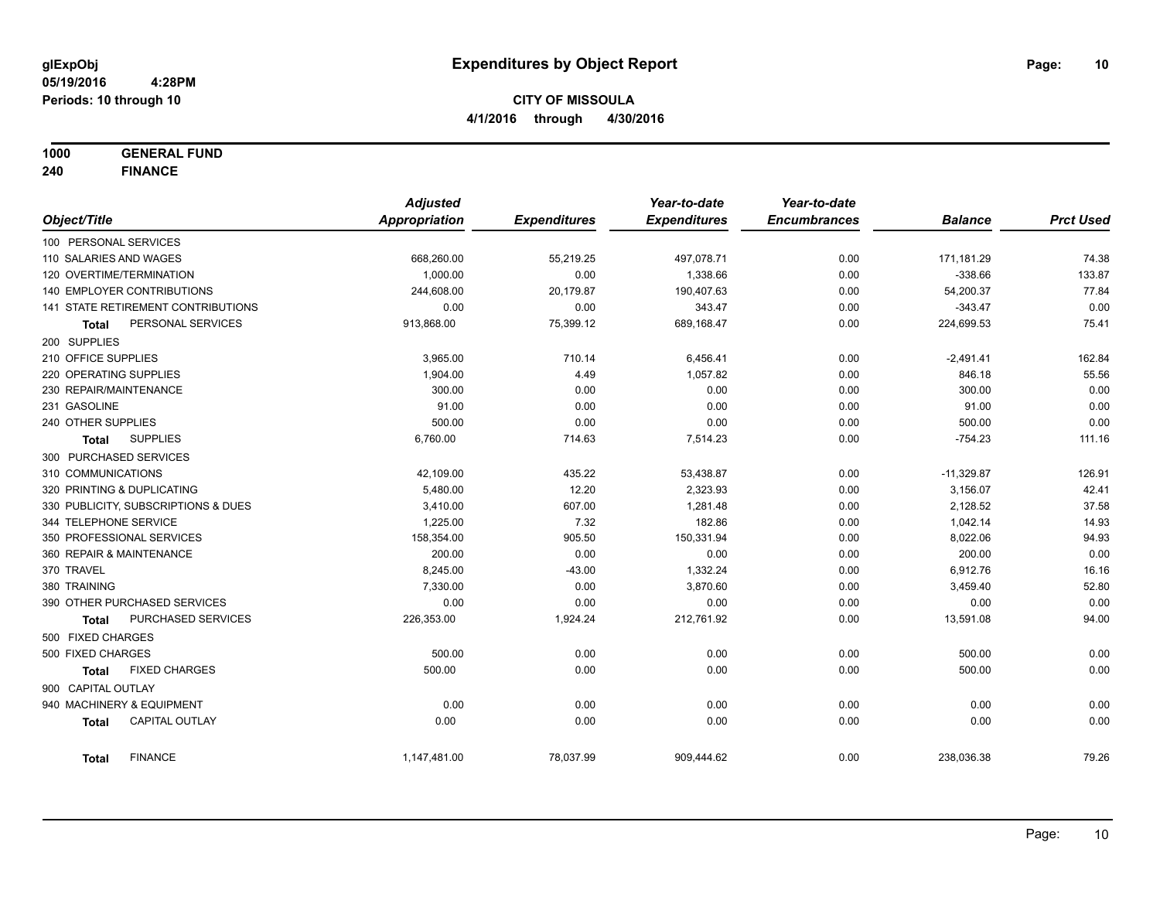**1000 GENERAL FUND**

**240 FINANCE**

|                                       | <b>Adjusted</b> |                     | Year-to-date        | Year-to-date        |                |                  |
|---------------------------------------|-----------------|---------------------|---------------------|---------------------|----------------|------------------|
| Object/Title                          | Appropriation   | <b>Expenditures</b> | <b>Expenditures</b> | <b>Encumbrances</b> | <b>Balance</b> | <b>Prct Used</b> |
| 100 PERSONAL SERVICES                 |                 |                     |                     |                     |                |                  |
| 110 SALARIES AND WAGES                | 668,260.00      | 55,219.25           | 497,078.71          | 0.00                | 171,181.29     | 74.38            |
| 120 OVERTIME/TERMINATION              | 1,000.00        | 0.00                | 1,338.66            | 0.00                | $-338.66$      | 133.87           |
| 140 EMPLOYER CONTRIBUTIONS            | 244,608.00      | 20,179.87           | 190,407.63          | 0.00                | 54,200.37      | 77.84            |
| 141 STATE RETIREMENT CONTRIBUTIONS    | 0.00            | 0.00                | 343.47              | 0.00                | $-343.47$      | 0.00             |
| PERSONAL SERVICES<br><b>Total</b>     | 913,868.00      | 75,399.12           | 689,168.47          | 0.00                | 224,699.53     | 75.41            |
| 200 SUPPLIES                          |                 |                     |                     |                     |                |                  |
| 210 OFFICE SUPPLIES                   | 3,965.00        | 710.14              | 6,456.41            | 0.00                | $-2,491.41$    | 162.84           |
| 220 OPERATING SUPPLIES                | 1,904.00        | 4.49                | 1,057.82            | 0.00                | 846.18         | 55.56            |
| 230 REPAIR/MAINTENANCE                | 300.00          | 0.00                | 0.00                | 0.00                | 300.00         | 0.00             |
| 231 GASOLINE                          | 91.00           | 0.00                | 0.00                | 0.00                | 91.00          | 0.00             |
| 240 OTHER SUPPLIES                    | 500.00          | 0.00                | 0.00                | 0.00                | 500.00         | 0.00             |
| <b>SUPPLIES</b><br>Total              | 6.760.00        | 714.63              | 7,514.23            | 0.00                | $-754.23$      | 111.16           |
| 300 PURCHASED SERVICES                |                 |                     |                     |                     |                |                  |
| 310 COMMUNICATIONS                    | 42,109.00       | 435.22              | 53,438.87           | 0.00                | $-11,329.87$   | 126.91           |
| 320 PRINTING & DUPLICATING            | 5,480.00        | 12.20               | 2,323.93            | 0.00                | 3,156.07       | 42.41            |
| 330 PUBLICITY, SUBSCRIPTIONS & DUES   | 3,410.00        | 607.00              | 1,281.48            | 0.00                | 2,128.52       | 37.58            |
| 344 TELEPHONE SERVICE                 | 1,225.00        | 7.32                | 182.86              | 0.00                | 1,042.14       | 14.93            |
| 350 PROFESSIONAL SERVICES             | 158,354.00      | 905.50              | 150,331.94          | 0.00                | 8,022.06       | 94.93            |
| 360 REPAIR & MAINTENANCE              | 200.00          | 0.00                | 0.00                | 0.00                | 200.00         | 0.00             |
| 370 TRAVEL                            | 8,245.00        | $-43.00$            | 1,332.24            | 0.00                | 6,912.76       | 16.16            |
| 380 TRAINING                          | 7,330.00        | 0.00                | 3,870.60            | 0.00                | 3,459.40       | 52.80            |
| 390 OTHER PURCHASED SERVICES          | 0.00            | 0.00                | 0.00                | 0.00                | 0.00           | 0.00             |
| PURCHASED SERVICES<br><b>Total</b>    | 226,353.00      | 1,924.24            | 212,761.92          | 0.00                | 13,591.08      | 94.00            |
| 500 FIXED CHARGES                     |                 |                     |                     |                     |                |                  |
| 500 FIXED CHARGES                     | 500.00          | 0.00                | 0.00                | 0.00                | 500.00         | 0.00             |
| <b>FIXED CHARGES</b><br><b>Total</b>  | 500.00          | 0.00                | 0.00                | 0.00                | 500.00         | 0.00             |
| 900 CAPITAL OUTLAY                    |                 |                     |                     |                     |                |                  |
| 940 MACHINERY & EQUIPMENT             | 0.00            | 0.00                | 0.00                | 0.00                | 0.00           | 0.00             |
| <b>CAPITAL OUTLAY</b><br><b>Total</b> | 0.00            | 0.00                | 0.00                | 0.00                | 0.00           | 0.00             |
| <b>FINANCE</b><br><b>Total</b>        | 1,147,481.00    | 78,037.99           | 909,444.62          | 0.00                | 238,036.38     | 79.26            |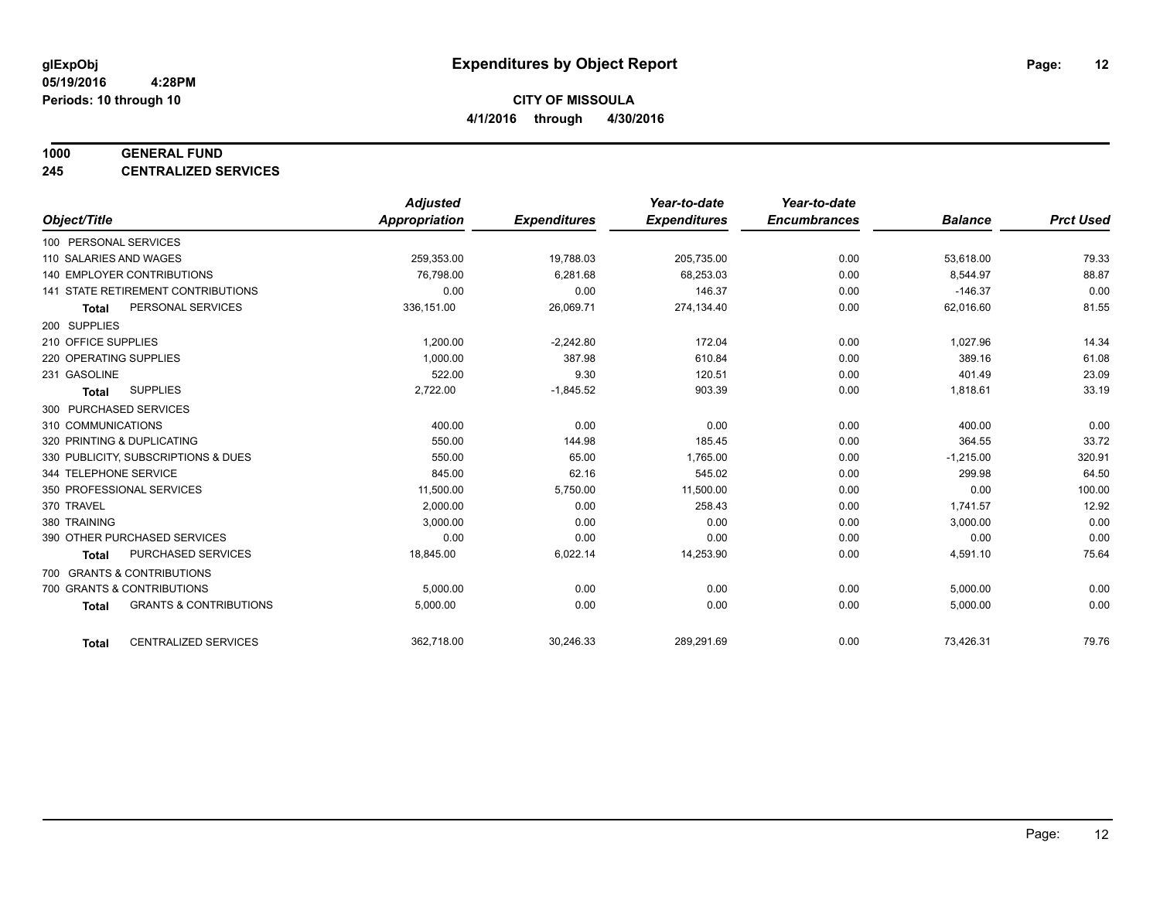#### **1000 GENERAL FUND**

**245 CENTRALIZED SERVICES**

|                            |                                           | <b>Adjusted</b>      |                     | Year-to-date        | Year-to-date        |                |                  |
|----------------------------|-------------------------------------------|----------------------|---------------------|---------------------|---------------------|----------------|------------------|
| Object/Title               |                                           | <b>Appropriation</b> | <b>Expenditures</b> | <b>Expenditures</b> | <b>Encumbrances</b> | <b>Balance</b> | <b>Prct Used</b> |
| 100 PERSONAL SERVICES      |                                           |                      |                     |                     |                     |                |                  |
| 110 SALARIES AND WAGES     |                                           | 259,353.00           | 19,788.03           | 205,735.00          | 0.00                | 53,618.00      | 79.33            |
|                            | 140 EMPLOYER CONTRIBUTIONS                | 76,798.00            | 6,281.68            | 68,253.03           | 0.00                | 8,544.97       | 88.87            |
|                            | <b>141 STATE RETIREMENT CONTRIBUTIONS</b> | 0.00                 | 0.00                | 146.37              | 0.00                | $-146.37$      | 0.00             |
| <b>Total</b>               | PERSONAL SERVICES                         | 336,151.00           | 26,069.71           | 274,134.40          | 0.00                | 62,016.60      | 81.55            |
| 200 SUPPLIES               |                                           |                      |                     |                     |                     |                |                  |
| 210 OFFICE SUPPLIES        |                                           | 1,200.00             | $-2,242.80$         | 172.04              | 0.00                | 1,027.96       | 14.34            |
| 220 OPERATING SUPPLIES     |                                           | 1.000.00             | 387.98              | 610.84              | 0.00                | 389.16         | 61.08            |
| 231 GASOLINE               |                                           | 522.00               | 9.30                | 120.51              | 0.00                | 401.49         | 23.09            |
| <b>Total</b>               | <b>SUPPLIES</b>                           | 2,722.00             | $-1,845.52$         | 903.39              | 0.00                | 1,818.61       | 33.19            |
| 300 PURCHASED SERVICES     |                                           |                      |                     |                     |                     |                |                  |
| 310 COMMUNICATIONS         |                                           | 400.00               | 0.00                | 0.00                | 0.00                | 400.00         | 0.00             |
| 320 PRINTING & DUPLICATING |                                           | 550.00               | 144.98              | 185.45              | 0.00                | 364.55         | 33.72            |
|                            | 330 PUBLICITY, SUBSCRIPTIONS & DUES       | 550.00               | 65.00               | 1.765.00            | 0.00                | $-1,215.00$    | 320.91           |
| 344 TELEPHONE SERVICE      |                                           | 845.00               | 62.16               | 545.02              | 0.00                | 299.98         | 64.50            |
| 350 PROFESSIONAL SERVICES  |                                           | 11,500.00            | 5,750.00            | 11,500.00           | 0.00                | 0.00           | 100.00           |
| 370 TRAVEL                 |                                           | 2,000.00             | 0.00                | 258.43              | 0.00                | 1,741.57       | 12.92            |
| 380 TRAINING               |                                           | 3,000.00             | 0.00                | 0.00                | 0.00                | 3,000.00       | 0.00             |
|                            | 390 OTHER PURCHASED SERVICES              | 0.00                 | 0.00                | 0.00                | 0.00                | 0.00           | 0.00             |
| Total                      | <b>PURCHASED SERVICES</b>                 | 18,845.00            | 6,022.14            | 14,253.90           | 0.00                | 4,591.10       | 75.64            |
|                            | 700 GRANTS & CONTRIBUTIONS                |                      |                     |                     |                     |                |                  |
|                            | 700 GRANTS & CONTRIBUTIONS                | 5,000.00             | 0.00                | 0.00                | 0.00                | 5,000.00       | 0.00             |
| <b>Total</b>               | <b>GRANTS &amp; CONTRIBUTIONS</b>         | 5,000.00             | 0.00                | 0.00                | 0.00                | 5,000.00       | 0.00             |
| <b>Total</b>               | <b>CENTRALIZED SERVICES</b>               | 362,718.00           | 30,246.33           | 289,291.69          | 0.00                | 73,426.31      | 79.76            |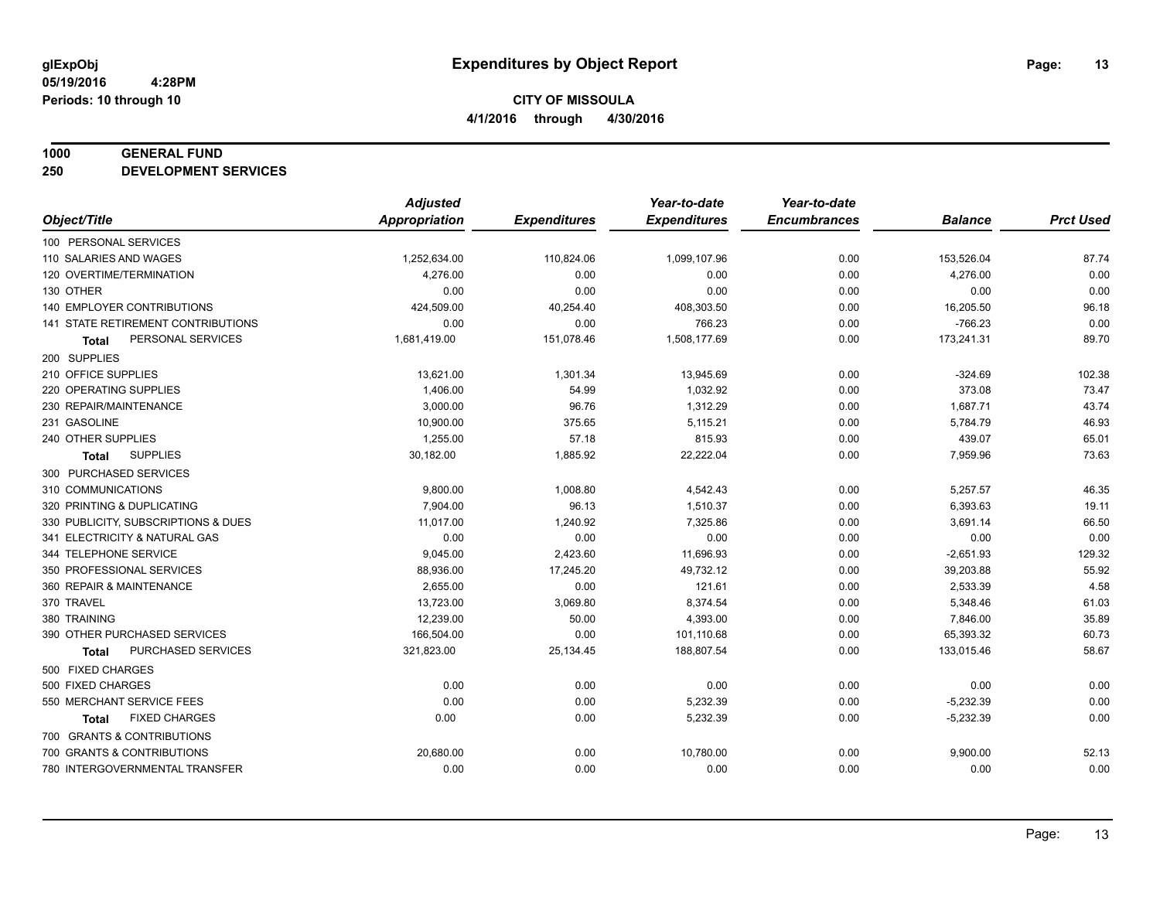#### **1000 GENERAL FUND**

**250 DEVELOPMENT SERVICES**

|                                      | <b>Adjusted</b>      |                     | Year-to-date        | Year-to-date        |                |                  |
|--------------------------------------|----------------------|---------------------|---------------------|---------------------|----------------|------------------|
| Object/Title                         | <b>Appropriation</b> | <b>Expenditures</b> | <b>Expenditures</b> | <b>Encumbrances</b> | <b>Balance</b> | <b>Prct Used</b> |
| 100 PERSONAL SERVICES                |                      |                     |                     |                     |                |                  |
| 110 SALARIES AND WAGES               | 1,252,634.00         | 110,824.06          | 1,099,107.96        | 0.00                | 153,526.04     | 87.74            |
| 120 OVERTIME/TERMINATION             | 4,276.00             | 0.00                | 0.00                | 0.00                | 4,276.00       | 0.00             |
| 130 OTHER                            | 0.00                 | 0.00                | 0.00                | 0.00                | 0.00           | 0.00             |
| 140 EMPLOYER CONTRIBUTIONS           | 424,509.00           | 40,254.40           | 408,303.50          | 0.00                | 16,205.50      | 96.18            |
| 141 STATE RETIREMENT CONTRIBUTIONS   | 0.00                 | 0.00                | 766.23              | 0.00                | $-766.23$      | 0.00             |
| PERSONAL SERVICES<br><b>Total</b>    | 1,681,419.00         | 151,078.46          | 1,508,177.69        | 0.00                | 173,241.31     | 89.70            |
| 200 SUPPLIES                         |                      |                     |                     |                     |                |                  |
| 210 OFFICE SUPPLIES                  | 13,621.00            | 1,301.34            | 13,945.69           | 0.00                | $-324.69$      | 102.38           |
| 220 OPERATING SUPPLIES               | 1,406.00             | 54.99               | 1,032.92            | 0.00                | 373.08         | 73.47            |
| 230 REPAIR/MAINTENANCE               | 3,000.00             | 96.76               | 1,312.29            | 0.00                | 1,687.71       | 43.74            |
| 231 GASOLINE                         | 10,900.00            | 375.65              | 5,115.21            | 0.00                | 5,784.79       | 46.93            |
| 240 OTHER SUPPLIES                   | 1,255.00             | 57.18               | 815.93              | 0.00                | 439.07         | 65.01            |
| <b>SUPPLIES</b><br><b>Total</b>      | 30,182.00            | 1,885.92            | 22,222.04           | 0.00                | 7,959.96       | 73.63            |
| 300 PURCHASED SERVICES               |                      |                     |                     |                     |                |                  |
| 310 COMMUNICATIONS                   | 9,800.00             | 1,008.80            | 4,542.43            | 0.00                | 5,257.57       | 46.35            |
| 320 PRINTING & DUPLICATING           | 7,904.00             | 96.13               | 1,510.37            | 0.00                | 6,393.63       | 19.11            |
| 330 PUBLICITY, SUBSCRIPTIONS & DUES  | 11,017.00            | 1,240.92            | 7,325.86            | 0.00                | 3,691.14       | 66.50            |
| 341 ELECTRICITY & NATURAL GAS        | 0.00                 | 0.00                | 0.00                | 0.00                | 0.00           | 0.00             |
| 344 TELEPHONE SERVICE                | 9,045.00             | 2,423.60            | 11,696.93           | 0.00                | $-2,651.93$    | 129.32           |
| 350 PROFESSIONAL SERVICES            | 88,936.00            | 17,245.20           | 49,732.12           | 0.00                | 39,203.88      | 55.92            |
| 360 REPAIR & MAINTENANCE             | 2,655.00             | 0.00                | 121.61              | 0.00                | 2,533.39       | 4.58             |
| 370 TRAVEL                           | 13,723.00            | 3,069.80            | 8,374.54            | 0.00                | 5,348.46       | 61.03            |
| 380 TRAINING                         | 12,239.00            | 50.00               | 4,393.00            | 0.00                | 7,846.00       | 35.89            |
| 390 OTHER PURCHASED SERVICES         | 166,504.00           | 0.00                | 101,110.68          | 0.00                | 65,393.32      | 60.73            |
| PURCHASED SERVICES<br><b>Total</b>   | 321,823.00           | 25,134.45           | 188,807.54          | 0.00                | 133,015.46     | 58.67            |
| 500 FIXED CHARGES                    |                      |                     |                     |                     |                |                  |
| 500 FIXED CHARGES                    | 0.00                 | 0.00                | 0.00                | 0.00                | 0.00           | 0.00             |
| 550 MERCHANT SERVICE FEES            | 0.00                 | 0.00                | 5,232.39            | 0.00                | $-5,232.39$    | 0.00             |
| <b>FIXED CHARGES</b><br><b>Total</b> | 0.00                 | 0.00                | 5,232.39            | 0.00                | $-5,232.39$    | 0.00             |
| 700 GRANTS & CONTRIBUTIONS           |                      |                     |                     |                     |                |                  |
| 700 GRANTS & CONTRIBUTIONS           | 20,680.00            | 0.00                | 10,780.00           | 0.00                | 9,900.00       | 52.13            |
| 780 INTERGOVERNMENTAL TRANSFER       | 0.00                 | 0.00                | 0.00                | 0.00                | 0.00           | 0.00             |
|                                      |                      |                     |                     |                     |                |                  |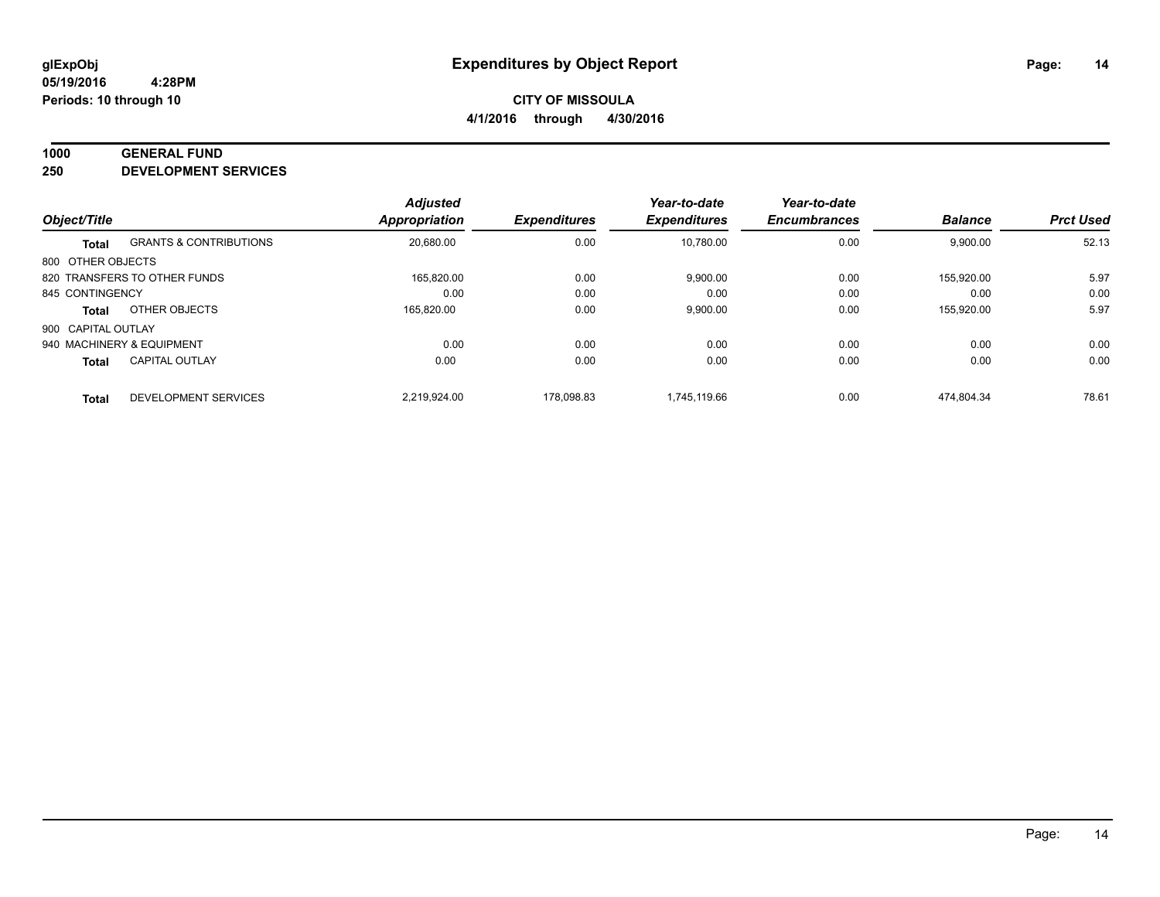#### **1000 GENERAL FUND**

**250 DEVELOPMENT SERVICES**

| Object/Title              |                                   | <b>Adjusted</b><br><b>Appropriation</b> | <b>Expenditures</b> | Year-to-date<br><b>Expenditures</b> | Year-to-date<br><b>Encumbrances</b> | <b>Balance</b> | <b>Prct Used</b> |
|---------------------------|-----------------------------------|-----------------------------------------|---------------------|-------------------------------------|-------------------------------------|----------------|------------------|
|                           |                                   |                                         |                     |                                     |                                     |                |                  |
| <b>Total</b>              | <b>GRANTS &amp; CONTRIBUTIONS</b> | 20,680.00                               | 0.00                | 10,780.00                           | 0.00                                | 9,900.00       | 52.13            |
| 800 OTHER OBJECTS         |                                   |                                         |                     |                                     |                                     |                |                  |
|                           | 820 TRANSFERS TO OTHER FUNDS      | 165.820.00                              | 0.00                | 9,900.00                            | 0.00                                | 155.920.00     | 5.97             |
| 845 CONTINGENCY           |                                   | 0.00                                    | 0.00                | 0.00                                | 0.00                                | 0.00           | 0.00             |
| <b>Total</b>              | OTHER OBJECTS                     | 165.820.00                              | 0.00                | 9,900.00                            | 0.00                                | 155.920.00     | 5.97             |
| 900 CAPITAL OUTLAY        |                                   |                                         |                     |                                     |                                     |                |                  |
| 940 MACHINERY & EQUIPMENT |                                   | 0.00                                    | 0.00                | 0.00                                | 0.00                                | 0.00           | 0.00             |
| <b>Total</b>              | <b>CAPITAL OUTLAY</b>             | 0.00                                    | 0.00                | 0.00                                | 0.00                                | 0.00           | 0.00             |
| <b>Total</b>              | DEVELOPMENT SERVICES              | 2.219.924.00                            | 178.098.83          | 1.745.119.66                        | 0.00                                | 474.804.34     | 78.61            |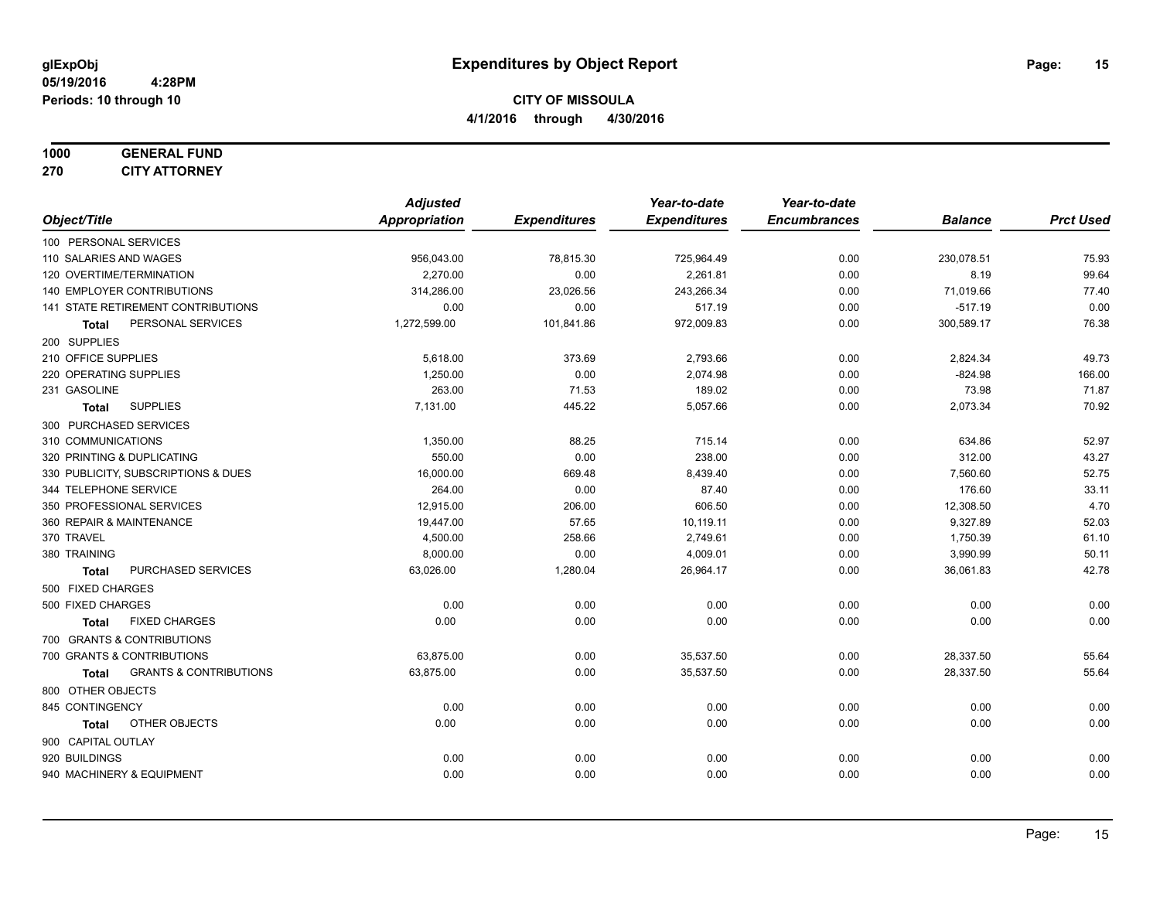# **1000 GENERAL FUND**

**270 CITY ATTORNEY**

|                                                   | <b>Adjusted</b> |                     | Year-to-date        | Year-to-date        |                |                  |
|---------------------------------------------------|-----------------|---------------------|---------------------|---------------------|----------------|------------------|
| Object/Title                                      | Appropriation   | <b>Expenditures</b> | <b>Expenditures</b> | <b>Encumbrances</b> | <b>Balance</b> | <b>Prct Used</b> |
| 100 PERSONAL SERVICES                             |                 |                     |                     |                     |                |                  |
| 110 SALARIES AND WAGES                            | 956,043.00      | 78,815.30           | 725,964.49          | 0.00                | 230,078.51     | 75.93            |
| 120 OVERTIME/TERMINATION                          | 2,270.00        | 0.00                | 2,261.81            | 0.00                | 8.19           | 99.64            |
| <b>140 EMPLOYER CONTRIBUTIONS</b>                 | 314,286.00      | 23,026.56           | 243,266.34          | 0.00                | 71,019.66      | 77.40            |
| 141 STATE RETIREMENT CONTRIBUTIONS                | 0.00            | 0.00                | 517.19              | 0.00                | $-517.19$      | 0.00             |
| PERSONAL SERVICES<br>Total                        | 1,272,599.00    | 101,841.86          | 972,009.83          | 0.00                | 300,589.17     | 76.38            |
| 200 SUPPLIES                                      |                 |                     |                     |                     |                |                  |
| 210 OFFICE SUPPLIES                               | 5,618.00        | 373.69              | 2,793.66            | 0.00                | 2,824.34       | 49.73            |
| 220 OPERATING SUPPLIES                            | 1,250.00        | 0.00                | 2,074.98            | 0.00                | $-824.98$      | 166.00           |
| 231 GASOLINE                                      | 263.00          | 71.53               | 189.02              | 0.00                | 73.98          | 71.87            |
| <b>SUPPLIES</b><br><b>Total</b>                   | 7,131.00        | 445.22              | 5,057.66            | 0.00                | 2,073.34       | 70.92            |
| 300 PURCHASED SERVICES                            |                 |                     |                     |                     |                |                  |
| 310 COMMUNICATIONS                                | 1,350.00        | 88.25               | 715.14              | 0.00                | 634.86         | 52.97            |
| 320 PRINTING & DUPLICATING                        | 550.00          | 0.00                | 238.00              | 0.00                | 312.00         | 43.27            |
| 330 PUBLICITY, SUBSCRIPTIONS & DUES               | 16,000.00       | 669.48              | 8,439.40            | 0.00                | 7,560.60       | 52.75            |
| 344 TELEPHONE SERVICE                             | 264.00          | 0.00                | 87.40               | 0.00                | 176.60         | 33.11            |
| 350 PROFESSIONAL SERVICES                         | 12,915.00       | 206.00              | 606.50              | 0.00                | 12,308.50      | 4.70             |
| 360 REPAIR & MAINTENANCE                          | 19,447.00       | 57.65               | 10,119.11           | 0.00                | 9,327.89       | 52.03            |
| 370 TRAVEL                                        | 4,500.00        | 258.66              | 2,749.61            | 0.00                | 1,750.39       | 61.10            |
| 380 TRAINING                                      | 8,000.00        | 0.00                | 4,009.01            | 0.00                | 3,990.99       | 50.11            |
| PURCHASED SERVICES<br><b>Total</b>                | 63,026.00       | 1,280.04            | 26,964.17           | 0.00                | 36,061.83      | 42.78            |
| 500 FIXED CHARGES                                 |                 |                     |                     |                     |                |                  |
| 500 FIXED CHARGES                                 | 0.00            | 0.00                | 0.00                | 0.00                | 0.00           | 0.00             |
| <b>FIXED CHARGES</b><br><b>Total</b>              | 0.00            | 0.00                | 0.00                | 0.00                | 0.00           | 0.00             |
| 700 GRANTS & CONTRIBUTIONS                        |                 |                     |                     |                     |                |                  |
| 700 GRANTS & CONTRIBUTIONS                        | 63,875.00       | 0.00                | 35,537.50           | 0.00                | 28,337.50      | 55.64            |
| <b>GRANTS &amp; CONTRIBUTIONS</b><br><b>Total</b> | 63,875.00       | 0.00                | 35,537.50           | 0.00                | 28,337.50      | 55.64            |
| 800 OTHER OBJECTS                                 |                 |                     |                     |                     |                |                  |
| 845 CONTINGENCY                                   | 0.00            | 0.00                | 0.00                | 0.00                | 0.00           | 0.00             |
| OTHER OBJECTS<br><b>Total</b>                     | 0.00            | 0.00                | 0.00                | 0.00                | 0.00           | 0.00             |
| 900 CAPITAL OUTLAY                                |                 |                     |                     |                     |                |                  |
| 920 BUILDINGS                                     | 0.00            | 0.00                | 0.00                | 0.00                | 0.00           | 0.00             |
| 940 MACHINERY & EQUIPMENT                         | 0.00            | 0.00                | 0.00                | 0.00                | 0.00           | 0.00             |
|                                                   |                 |                     |                     |                     |                |                  |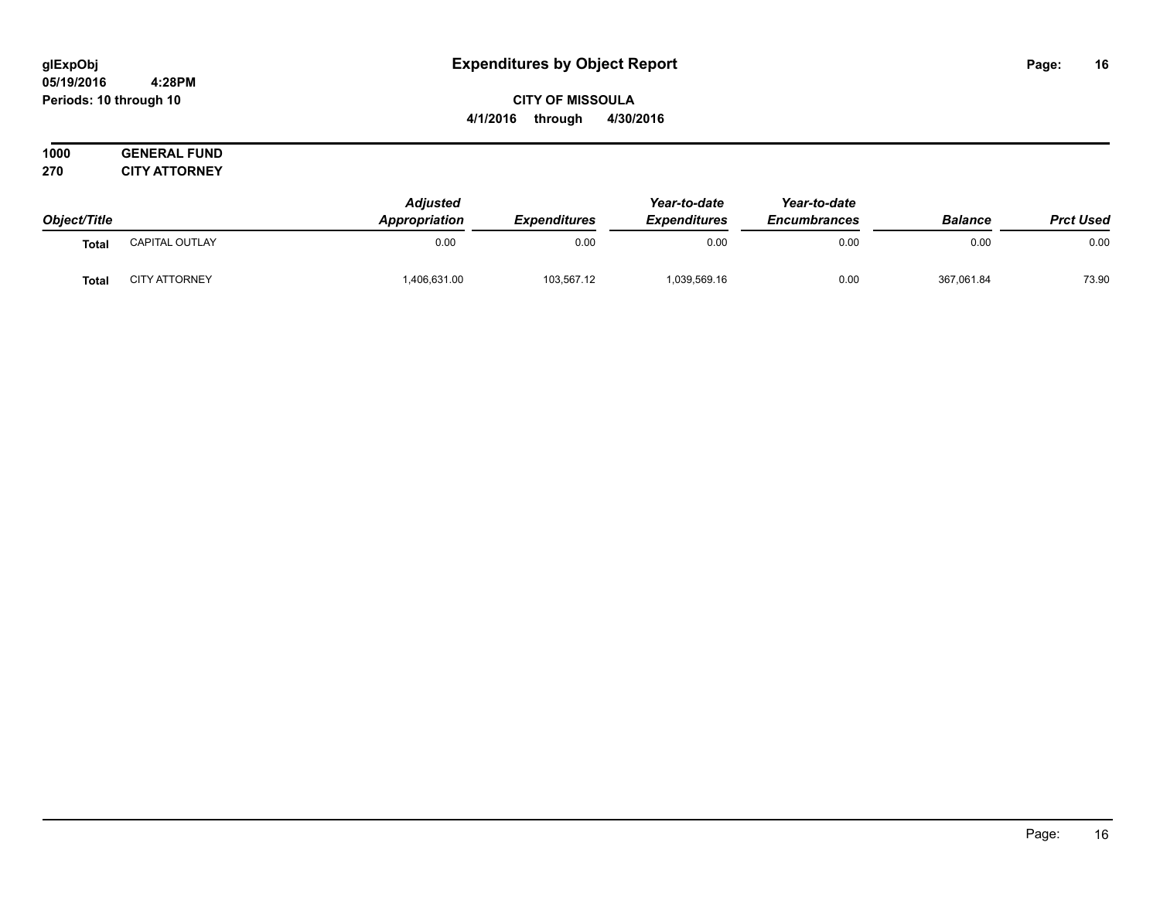#### **05/19/2016 4:28PM Periods: 10 through 10**

# **CITY OF MISSOULA 4/1/2016 through 4/30/2016**

#### **1000 GENERAL FUND 270 CITY ATTORNEY**

|              |                            | <b>Adjusted</b><br><b>Appropriation</b> |                     | Year-to-date        | Year-to-date   |                  |       |
|--------------|----------------------------|-----------------------------------------|---------------------|---------------------|----------------|------------------|-------|
| Object/Title | <i><b>Expenditures</b></i> |                                         | <b>Expenditures</b> | <b>Encumbrances</b> | <b>Balance</b> | <b>Prct Used</b> |       |
| <b>Total</b> | CAPITAL OUTLAY             | 0.00                                    | 0.00                | 0.00                | 0.00           | 0.00             | 0.00  |
| <b>Total</b> | <b>CITY ATTORNEY</b>       | 1.406.631.00                            | 103,567.12          | 1,039,569.16        | 0.00           | 367.061.84       | 73.90 |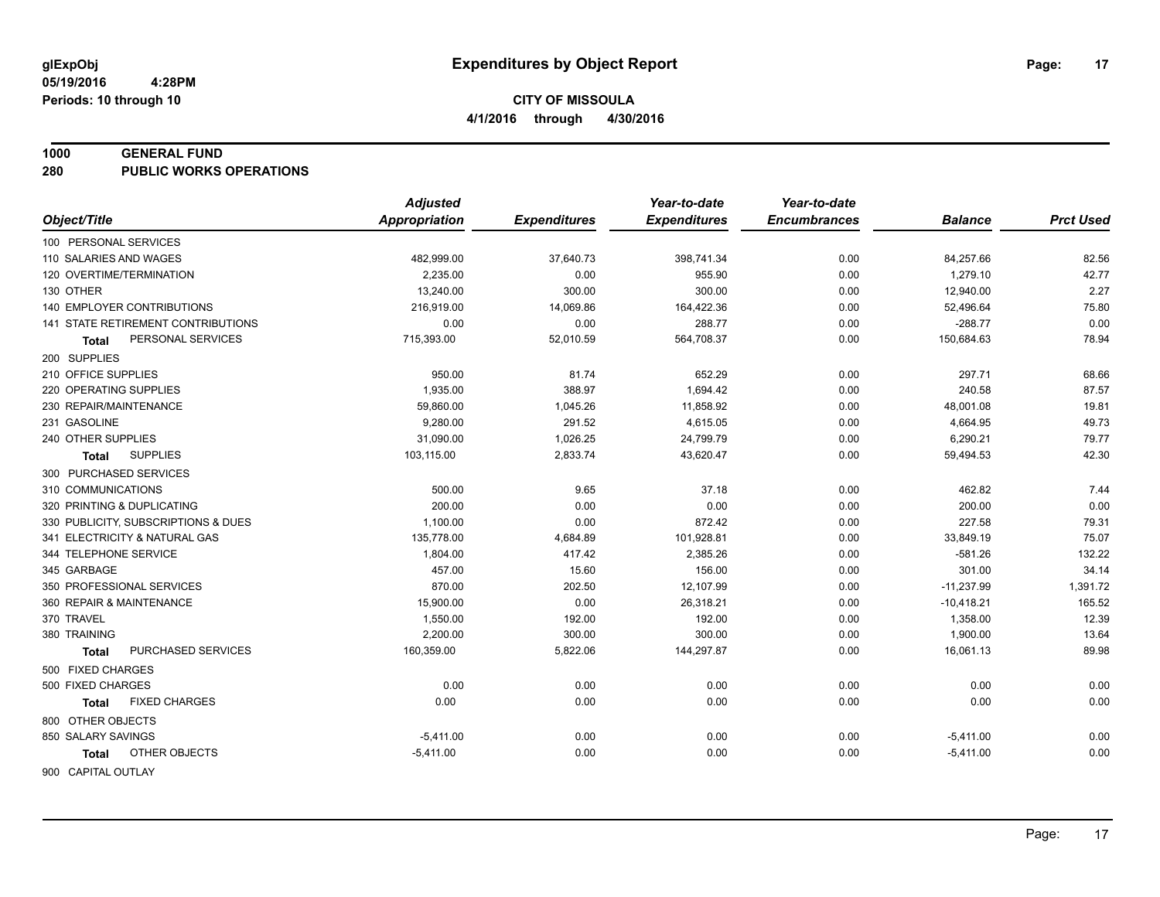#### **1000 GENERAL FUND**

**280 PUBLIC WORKS OPERATIONS**

|                                      | <b>Adjusted</b>      |                     | Year-to-date        | Year-to-date        |                |                  |
|--------------------------------------|----------------------|---------------------|---------------------|---------------------|----------------|------------------|
| Object/Title                         | <b>Appropriation</b> | <b>Expenditures</b> | <b>Expenditures</b> | <b>Encumbrances</b> | <b>Balance</b> | <b>Prct Used</b> |
| 100 PERSONAL SERVICES                |                      |                     |                     |                     |                |                  |
| 110 SALARIES AND WAGES               | 482,999.00           | 37,640.73           | 398,741.34          | 0.00                | 84,257.66      | 82.56            |
| 120 OVERTIME/TERMINATION             | 2.235.00             | 0.00                | 955.90              | 0.00                | 1,279.10       | 42.77            |
| 130 OTHER                            | 13,240.00            | 300.00              | 300.00              | 0.00                | 12,940.00      | 2.27             |
| <b>140 EMPLOYER CONTRIBUTIONS</b>    | 216,919.00           | 14,069.86           | 164,422.36          | 0.00                | 52,496.64      | 75.80            |
| 141 STATE RETIREMENT CONTRIBUTIONS   | 0.00                 | 0.00                | 288.77              | 0.00                | $-288.77$      | 0.00             |
| PERSONAL SERVICES<br>Total           | 715,393.00           | 52,010.59           | 564,708.37          | 0.00                | 150,684.63     | 78.94            |
| 200 SUPPLIES                         |                      |                     |                     |                     |                |                  |
| 210 OFFICE SUPPLIES                  | 950.00               | 81.74               | 652.29              | 0.00                | 297.71         | 68.66            |
| 220 OPERATING SUPPLIES               | 1,935.00             | 388.97              | 1,694.42            | 0.00                | 240.58         | 87.57            |
| 230 REPAIR/MAINTENANCE               | 59,860.00            | 1,045.26            | 11,858.92           | 0.00                | 48,001.08      | 19.81            |
| 231 GASOLINE                         | 9,280.00             | 291.52              | 4,615.05            | 0.00                | 4,664.95       | 49.73            |
| 240 OTHER SUPPLIES                   | 31,090.00            | 1,026.25            | 24,799.79           | 0.00                | 6,290.21       | 79.77            |
| <b>SUPPLIES</b><br>Total             | 103,115.00           | 2,833.74            | 43,620.47           | 0.00                | 59,494.53      | 42.30            |
| 300 PURCHASED SERVICES               |                      |                     |                     |                     |                |                  |
| 310 COMMUNICATIONS                   | 500.00               | 9.65                | 37.18               | 0.00                | 462.82         | 7.44             |
| 320 PRINTING & DUPLICATING           | 200.00               | 0.00                | 0.00                | 0.00                | 200.00         | 0.00             |
| 330 PUBLICITY, SUBSCRIPTIONS & DUES  | 1,100.00             | 0.00                | 872.42              | 0.00                | 227.58         | 79.31            |
| 341 ELECTRICITY & NATURAL GAS        | 135,778.00           | 4,684.89            | 101,928.81          | 0.00                | 33,849.19      | 75.07            |
| 344 TELEPHONE SERVICE                | 1,804.00             | 417.42              | 2,385.26            | 0.00                | $-581.26$      | 132.22           |
| 345 GARBAGE                          | 457.00               | 15.60               | 156.00              | 0.00                | 301.00         | 34.14            |
| 350 PROFESSIONAL SERVICES            | 870.00               | 202.50              | 12,107.99           | 0.00                | $-11,237.99$   | 1,391.72         |
| 360 REPAIR & MAINTENANCE             | 15,900.00            | 0.00                | 26,318.21           | 0.00                | $-10,418.21$   | 165.52           |
| 370 TRAVEL                           | 1,550.00             | 192.00              | 192.00              | 0.00                | 1,358.00       | 12.39            |
| 380 TRAINING                         | 2,200.00             | 300.00              | 300.00              | 0.00                | 1,900.00       | 13.64            |
| PURCHASED SERVICES<br><b>Total</b>   | 160,359.00           | 5,822.06            | 144,297.87          | 0.00                | 16,061.13      | 89.98            |
| 500 FIXED CHARGES                    |                      |                     |                     |                     |                |                  |
| 500 FIXED CHARGES                    | 0.00                 | 0.00                | 0.00                | 0.00                | 0.00           | 0.00             |
| <b>FIXED CHARGES</b><br><b>Total</b> | 0.00                 | 0.00                | 0.00                | 0.00                | 0.00           | 0.00             |
| 800 OTHER OBJECTS                    |                      |                     |                     |                     |                |                  |
| 850 SALARY SAVINGS                   | $-5,411.00$          | 0.00                | 0.00                | 0.00                | $-5,411.00$    | 0.00             |
| OTHER OBJECTS<br><b>Total</b>        | $-5,411.00$          | 0.00                | 0.00                | 0.00                | $-5,411.00$    | 0.00             |
| 900 CAPITAL OUTLAY                   |                      |                     |                     |                     |                |                  |

Page: 17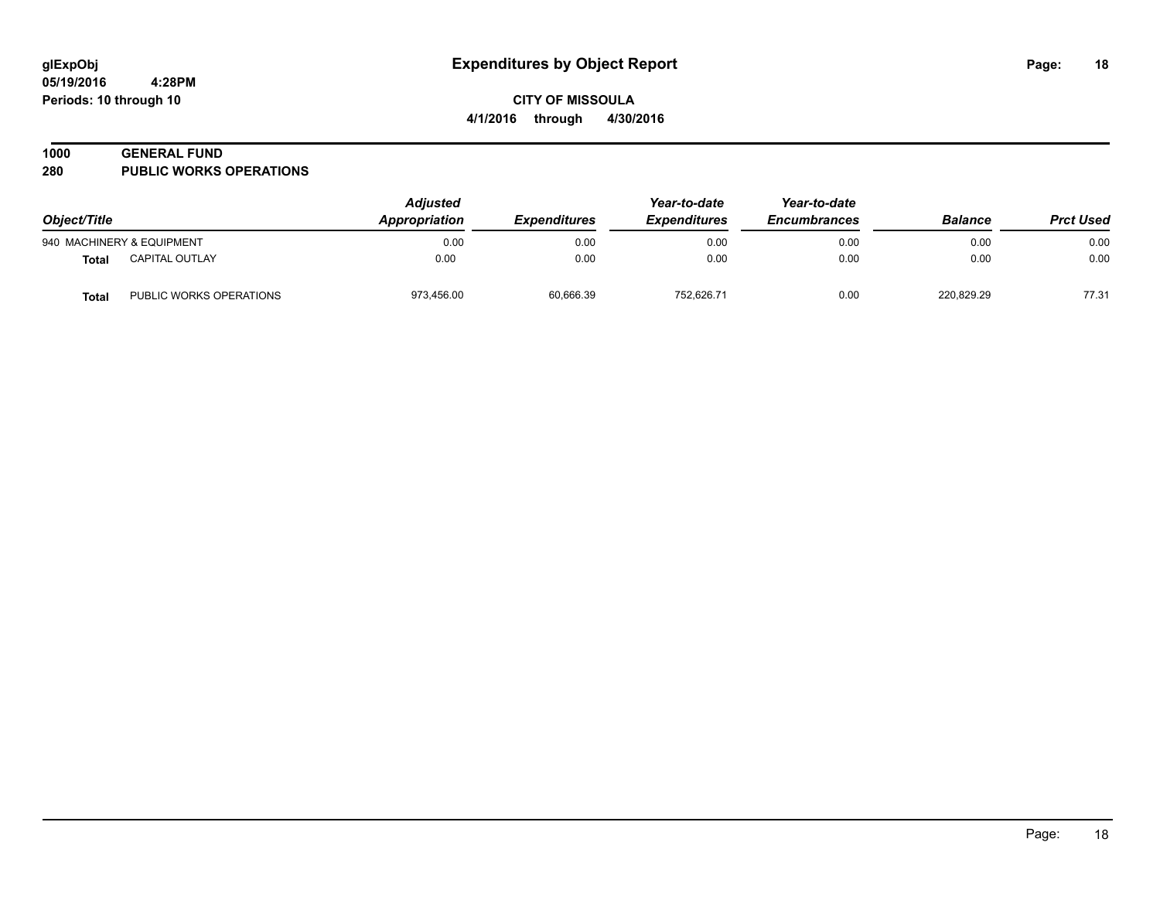#### **1000 GENERAL FUND**

**280 PUBLIC WORKS OPERATIONS**

| Object/Title |                           | Adjusted<br>Appropriation | <i><b>Expenditures</b></i> | Year-to-date<br><b>Expenditures</b> | Year-to-date<br><b>Encumbrances</b> | <b>Balance</b> | <b>Prct Used</b> |
|--------------|---------------------------|---------------------------|----------------------------|-------------------------------------|-------------------------------------|----------------|------------------|
|              | 940 MACHINERY & EQUIPMENT | 0.00                      | 0.00                       | 0.00                                | 0.00                                | 0.00           | 0.00             |
| Total        | CAPITAL OUTLAY            | 0.00                      | 0.00                       | 0.00                                | 0.00                                | 0.00           | 0.00             |
| Total        | PUBLIC WORKS OPERATIONS   | 973,456.00                | 60,666.39                  | 752,626.71                          | 0.00                                | 220,829.29     | 77.31            |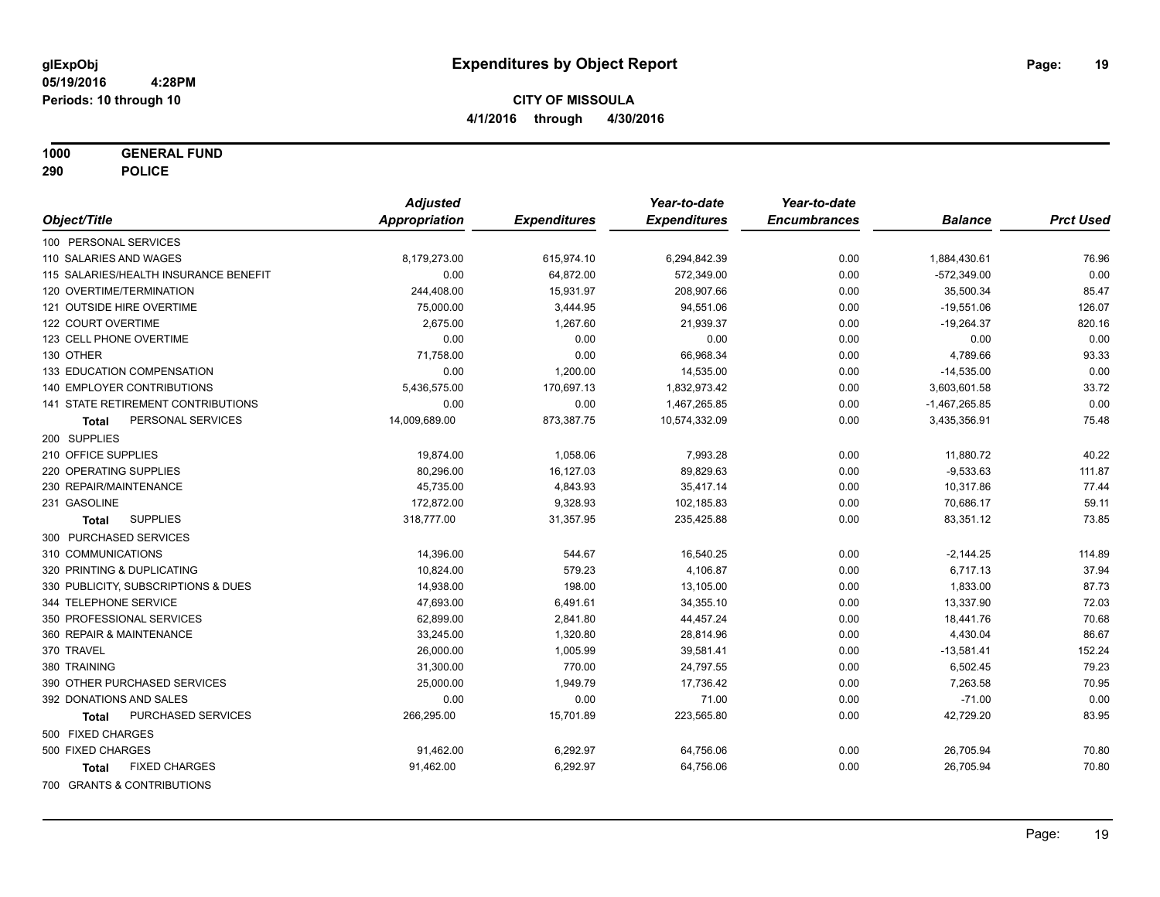**1000 GENERAL FUND**

**290 POLICE**

|                                       | <b>Adjusted</b> |                     | Year-to-date        | Year-to-date        |                 |                  |
|---------------------------------------|-----------------|---------------------|---------------------|---------------------|-----------------|------------------|
| Object/Title                          | Appropriation   | <b>Expenditures</b> | <b>Expenditures</b> | <b>Encumbrances</b> | <b>Balance</b>  | <b>Prct Used</b> |
| 100 PERSONAL SERVICES                 |                 |                     |                     |                     |                 |                  |
| 110 SALARIES AND WAGES                | 8,179,273.00    | 615,974.10          | 6,294,842.39        | 0.00                | 1,884,430.61    | 76.96            |
| 115 SALARIES/HEALTH INSURANCE BENEFIT | 0.00            | 64,872.00           | 572,349.00          | 0.00                | $-572,349.00$   | 0.00             |
| 120 OVERTIME/TERMINATION              | 244,408.00      | 15,931.97           | 208,907.66          | 0.00                | 35,500.34       | 85.47            |
| 121 OUTSIDE HIRE OVERTIME             | 75,000.00       | 3,444.95            | 94,551.06           | 0.00                | $-19,551.06$    | 126.07           |
| 122 COURT OVERTIME                    | 2,675.00        | 1,267.60            | 21,939.37           | 0.00                | $-19,264.37$    | 820.16           |
| 123 CELL PHONE OVERTIME               | 0.00            | 0.00                | 0.00                | 0.00                | 0.00            | 0.00             |
| 130 OTHER                             | 71,758.00       | 0.00                | 66,968.34           | 0.00                | 4,789.66        | 93.33            |
| 133 EDUCATION COMPENSATION            | 0.00            | 1,200.00            | 14,535.00           | 0.00                | $-14,535.00$    | 0.00             |
| 140 EMPLOYER CONTRIBUTIONS            | 5,436,575.00    | 170,697.13          | 1,832,973.42        | 0.00                | 3,603,601.58    | 33.72            |
| 141 STATE RETIREMENT CONTRIBUTIONS    | 0.00            | 0.00                | 1,467,265.85        | 0.00                | $-1,467,265.85$ | 0.00             |
| PERSONAL SERVICES<br><b>Total</b>     | 14,009,689.00   | 873,387.75          | 10,574,332.09       | 0.00                | 3,435,356.91    | 75.48            |
| 200 SUPPLIES                          |                 |                     |                     |                     |                 |                  |
| 210 OFFICE SUPPLIES                   | 19,874.00       | 1,058.06            | 7,993.28            | 0.00                | 11,880.72       | 40.22            |
| 220 OPERATING SUPPLIES                | 80,296.00       | 16,127.03           | 89,829.63           | 0.00                | $-9,533.63$     | 111.87           |
| 230 REPAIR/MAINTENANCE                | 45,735.00       | 4,843.93            | 35,417.14           | 0.00                | 10,317.86       | 77.44            |
| 231 GASOLINE                          | 172,872.00      | 9,328.93            | 102,185.83          | 0.00                | 70,686.17       | 59.11            |
| <b>SUPPLIES</b><br><b>Total</b>       | 318,777.00      | 31,357.95           | 235,425.88          | 0.00                | 83,351.12       | 73.85            |
| 300 PURCHASED SERVICES                |                 |                     |                     |                     |                 |                  |
| 310 COMMUNICATIONS                    | 14,396.00       | 544.67              | 16,540.25           | 0.00                | $-2,144.25$     | 114.89           |
| 320 PRINTING & DUPLICATING            | 10,824.00       | 579.23              | 4,106.87            | 0.00                | 6,717.13        | 37.94            |
| 330 PUBLICITY, SUBSCRIPTIONS & DUES   | 14,938.00       | 198.00              | 13,105.00           | 0.00                | 1,833.00        | 87.73            |
| 344 TELEPHONE SERVICE                 | 47,693.00       | 6,491.61            | 34,355.10           | 0.00                | 13,337.90       | 72.03            |
| 350 PROFESSIONAL SERVICES             | 62,899.00       | 2,841.80            | 44,457.24           | 0.00                | 18,441.76       | 70.68            |
| 360 REPAIR & MAINTENANCE              | 33,245.00       | 1,320.80            | 28,814.96           | 0.00                | 4,430.04        | 86.67            |
| 370 TRAVEL                            | 26,000.00       | 1,005.99            | 39,581.41           | 0.00                | $-13,581.41$    | 152.24           |
| 380 TRAINING                          | 31,300.00       | 770.00              | 24,797.55           | 0.00                | 6,502.45        | 79.23            |
| 390 OTHER PURCHASED SERVICES          | 25,000.00       | 1,949.79            | 17,736.42           | 0.00                | 7,263.58        | 70.95            |
| 392 DONATIONS AND SALES               | 0.00            | 0.00                | 71.00               | 0.00                | $-71.00$        | 0.00             |
| PURCHASED SERVICES<br><b>Total</b>    | 266,295.00      | 15,701.89           | 223,565.80          | 0.00                | 42,729.20       | 83.95            |
| 500 FIXED CHARGES                     |                 |                     |                     |                     |                 |                  |
| 500 FIXED CHARGES                     | 91,462.00       | 6,292.97            | 64,756.06           | 0.00                | 26,705.94       | 70.80            |
| <b>FIXED CHARGES</b><br><b>Total</b>  | 91.462.00       | 6,292.97            | 64,756.06           | 0.00                | 26,705.94       | 70.80            |
| 700 GRANTS & CONTRIBUTIONS            |                 |                     |                     |                     |                 |                  |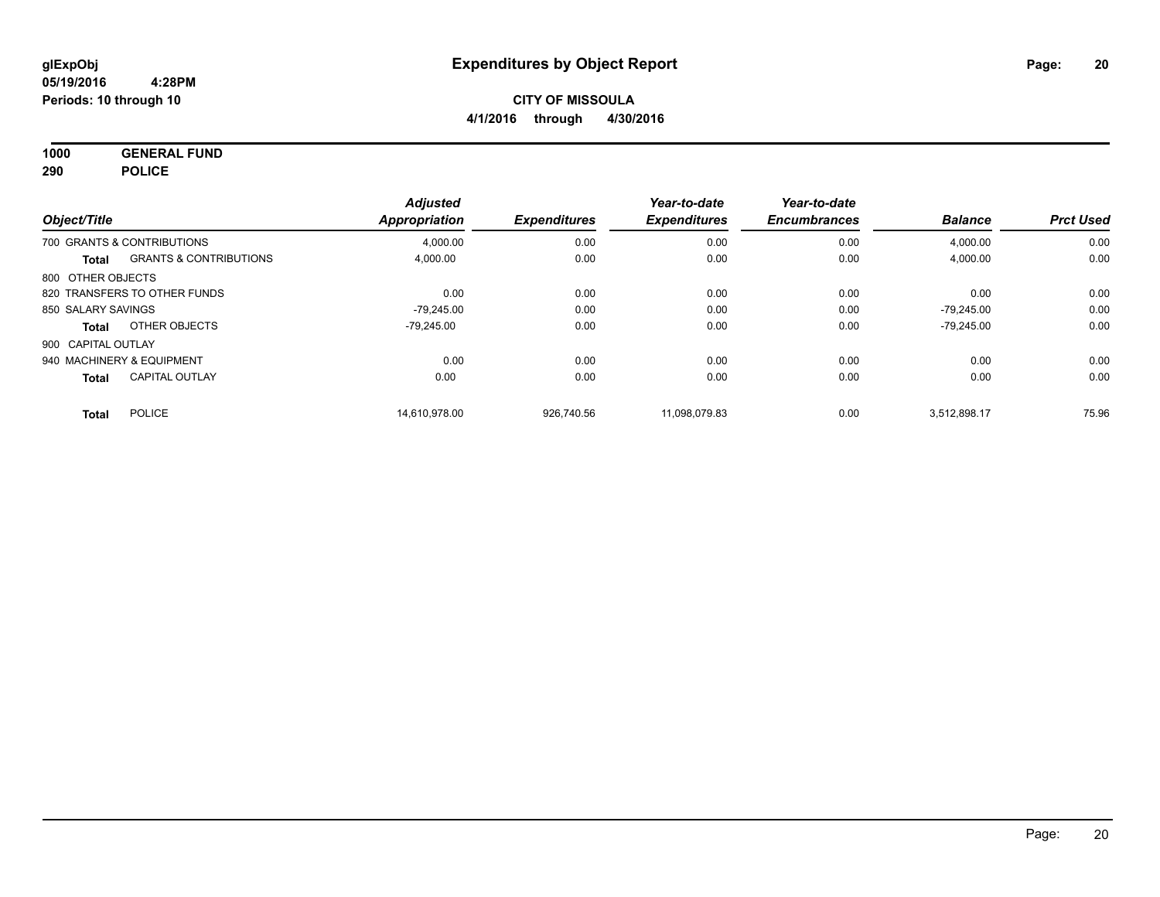**1000 GENERAL FUND 290 POLICE**

|                    |                                   | <b>Adjusted</b> |                     | Year-to-date        | Year-to-date        |                |                  |
|--------------------|-----------------------------------|-----------------|---------------------|---------------------|---------------------|----------------|------------------|
| Object/Title       |                                   | Appropriation   | <b>Expenditures</b> | <b>Expenditures</b> | <b>Encumbrances</b> | <b>Balance</b> | <b>Prct Used</b> |
|                    | 700 GRANTS & CONTRIBUTIONS        | 4.000.00        | 0.00                | 0.00                | 0.00                | 4,000.00       | 0.00             |
| Total              | <b>GRANTS &amp; CONTRIBUTIONS</b> | 4,000.00        | 0.00                | 0.00                | 0.00                | 4,000.00       | 0.00             |
| 800 OTHER OBJECTS  |                                   |                 |                     |                     |                     |                |                  |
|                    | 820 TRANSFERS TO OTHER FUNDS      | 0.00            | 0.00                | 0.00                | 0.00                | 0.00           | 0.00             |
| 850 SALARY SAVINGS |                                   | $-79.245.00$    | 0.00                | 0.00                | 0.00                | $-79.245.00$   | 0.00             |
| Total              | OTHER OBJECTS                     | $-79.245.00$    | 0.00                | 0.00                | 0.00                | $-79.245.00$   | 0.00             |
| 900 CAPITAL OUTLAY |                                   |                 |                     |                     |                     |                |                  |
|                    | 940 MACHINERY & EQUIPMENT         | 0.00            | 0.00                | 0.00                | 0.00                | 0.00           | 0.00             |
| <b>Total</b>       | <b>CAPITAL OUTLAY</b>             | 0.00            | 0.00                | 0.00                | 0.00                | 0.00           | 0.00             |
| Total              | <b>POLICE</b>                     | 14.610.978.00   | 926.740.56          | 11.098.079.83       | 0.00                | 3.512.898.17   | 75.96            |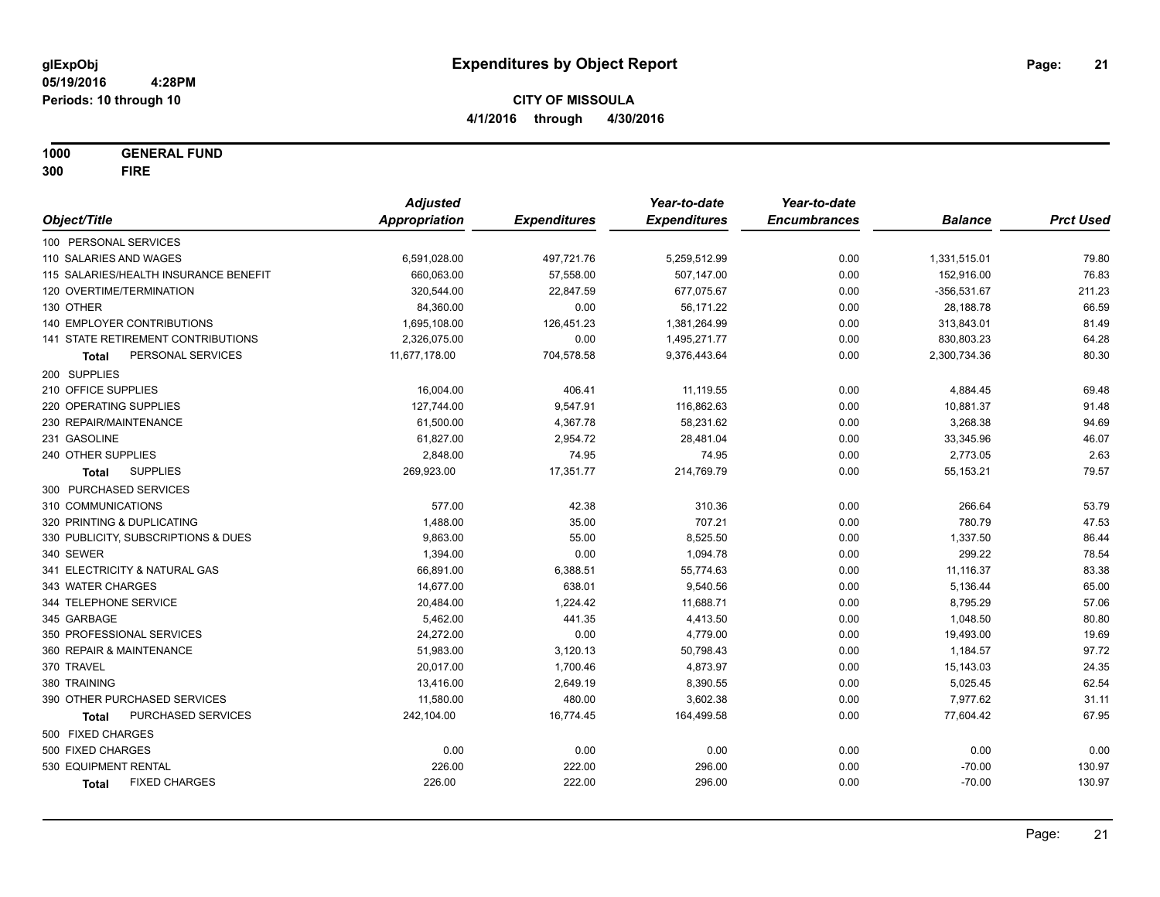**1000 GENERAL FUND**

**300 FIRE**

|                                       | <b>Adjusted</b>      |                     | Year-to-date        | Year-to-date        |                |                  |
|---------------------------------------|----------------------|---------------------|---------------------|---------------------|----------------|------------------|
| Object/Title                          | <b>Appropriation</b> | <b>Expenditures</b> | <b>Expenditures</b> | <b>Encumbrances</b> | <b>Balance</b> | <b>Prct Used</b> |
| 100 PERSONAL SERVICES                 |                      |                     |                     |                     |                |                  |
| 110 SALARIES AND WAGES                | 6,591,028.00         | 497,721.76          | 5,259,512.99        | 0.00                | 1,331,515.01   | 79.80            |
| 115 SALARIES/HEALTH INSURANCE BENEFIT | 660,063.00           | 57,558.00           | 507,147.00          | 0.00                | 152,916.00     | 76.83            |
| 120 OVERTIME/TERMINATION              | 320,544.00           | 22,847.59           | 677,075.67          | 0.00                | $-356,531.67$  | 211.23           |
| 130 OTHER                             | 84,360.00            | 0.00                | 56,171.22           | 0.00                | 28,188.78      | 66.59            |
| 140 EMPLOYER CONTRIBUTIONS            | 1,695,108.00         | 126,451.23          | 1,381,264.99        | 0.00                | 313,843.01     | 81.49            |
| 141 STATE RETIREMENT CONTRIBUTIONS    | 2,326,075.00         | 0.00                | 1,495,271.77        | 0.00                | 830,803.23     | 64.28            |
| PERSONAL SERVICES<br>Total            | 11,677,178.00        | 704,578.58          | 9,376,443.64        | 0.00                | 2,300,734.36   | 80.30            |
| 200 SUPPLIES                          |                      |                     |                     |                     |                |                  |
| 210 OFFICE SUPPLIES                   | 16,004.00            | 406.41              | 11,119.55           | 0.00                | 4,884.45       | 69.48            |
| 220 OPERATING SUPPLIES                | 127,744.00           | 9,547.91            | 116,862.63          | 0.00                | 10,881.37      | 91.48            |
| 230 REPAIR/MAINTENANCE                | 61,500.00            | 4,367.78            | 58,231.62           | 0.00                | 3,268.38       | 94.69            |
| 231 GASOLINE                          | 61,827.00            | 2,954.72            | 28,481.04           | 0.00                | 33,345.96      | 46.07            |
| 240 OTHER SUPPLIES                    | 2,848.00             | 74.95               | 74.95               | 0.00                | 2,773.05       | 2.63             |
| <b>SUPPLIES</b><br><b>Total</b>       | 269,923.00           | 17,351.77           | 214,769.79          | 0.00                | 55,153.21      | 79.57            |
| 300 PURCHASED SERVICES                |                      |                     |                     |                     |                |                  |
| 310 COMMUNICATIONS                    | 577.00               | 42.38               | 310.36              | 0.00                | 266.64         | 53.79            |
| 320 PRINTING & DUPLICATING            | 1,488.00             | 35.00               | 707.21              | 0.00                | 780.79         | 47.53            |
| 330 PUBLICITY, SUBSCRIPTIONS & DUES   | 9,863.00             | 55.00               | 8,525.50            | 0.00                | 1,337.50       | 86.44            |
| 340 SEWER                             | 1,394.00             | 0.00                | 1,094.78            | 0.00                | 299.22         | 78.54            |
| 341 ELECTRICITY & NATURAL GAS         | 66,891.00            | 6,388.51            | 55,774.63           | 0.00                | 11,116.37      | 83.38            |
| 343 WATER CHARGES                     | 14,677.00            | 638.01              | 9,540.56            | 0.00                | 5,136.44       | 65.00            |
| 344 TELEPHONE SERVICE                 | 20,484.00            | 1,224.42            | 11,688.71           | 0.00                | 8,795.29       | 57.06            |
| 345 GARBAGE                           | 5,462.00             | 441.35              | 4,413.50            | 0.00                | 1,048.50       | 80.80            |
| 350 PROFESSIONAL SERVICES             | 24,272.00            | 0.00                | 4,779.00            | 0.00                | 19,493.00      | 19.69            |
| 360 REPAIR & MAINTENANCE              | 51,983.00            | 3,120.13            | 50,798.43           | 0.00                | 1,184.57       | 97.72            |
| 370 TRAVEL                            | 20,017.00            | 1,700.46            | 4,873.97            | 0.00                | 15,143.03      | 24.35            |
| 380 TRAINING                          | 13,416.00            | 2,649.19            | 8,390.55            | 0.00                | 5,025.45       | 62.54            |
| 390 OTHER PURCHASED SERVICES          | 11,580.00            | 480.00              | 3,602.38            | 0.00                | 7,977.62       | 31.11            |
| PURCHASED SERVICES<br><b>Total</b>    | 242,104.00           | 16,774.45           | 164,499.58          | 0.00                | 77,604.42      | 67.95            |
| 500 FIXED CHARGES                     |                      |                     |                     |                     |                |                  |
| 500 FIXED CHARGES                     | 0.00                 | 0.00                | 0.00                | 0.00                | 0.00           | 0.00             |
| 530 EQUIPMENT RENTAL                  | 226.00               | 222.00              | 296.00              | 0.00                | $-70.00$       | 130.97           |
| <b>FIXED CHARGES</b><br><b>Total</b>  | 226.00               | 222.00              | 296.00              | 0.00                | $-70.00$       | 130.97           |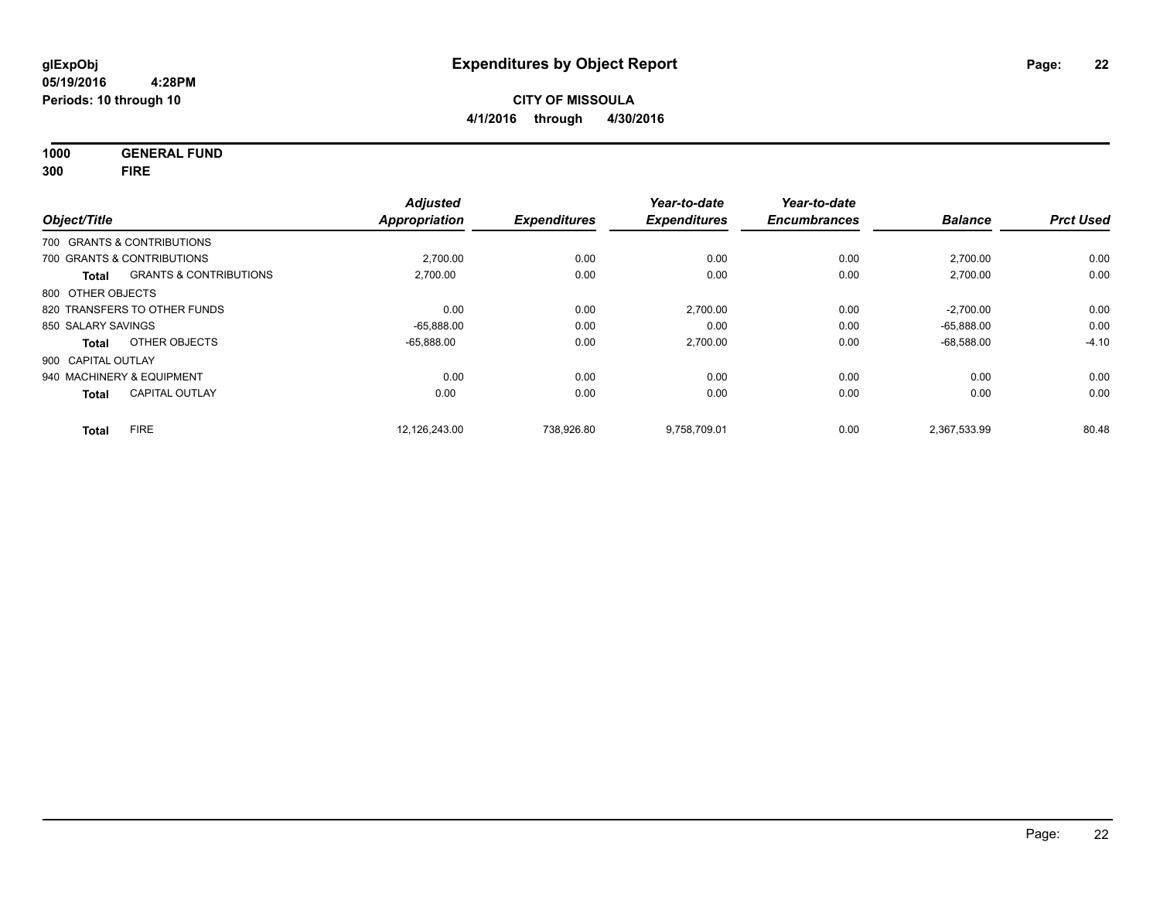**1000 GENERAL FUND**

**300 FIRE**

|                    |                                   | <b>Adjusted</b>      |                     | Year-to-date        | Year-to-date        |                |                  |
|--------------------|-----------------------------------|----------------------|---------------------|---------------------|---------------------|----------------|------------------|
| Object/Title       |                                   | <b>Appropriation</b> | <b>Expenditures</b> | <b>Expenditures</b> | <b>Encumbrances</b> | <b>Balance</b> | <b>Prct Used</b> |
|                    | 700 GRANTS & CONTRIBUTIONS        |                      |                     |                     |                     |                |                  |
|                    | 700 GRANTS & CONTRIBUTIONS        | 2,700.00             | 0.00                | 0.00                | 0.00                | 2,700.00       | 0.00             |
| <b>Total</b>       | <b>GRANTS &amp; CONTRIBUTIONS</b> | 2,700.00             | 0.00                | 0.00                | 0.00                | 2,700.00       | 0.00             |
| 800 OTHER OBJECTS  |                                   |                      |                     |                     |                     |                |                  |
|                    | 820 TRANSFERS TO OTHER FUNDS      | 0.00                 | 0.00                | 2,700.00            | 0.00                | $-2,700.00$    | 0.00             |
| 850 SALARY SAVINGS |                                   | $-65,888.00$         | 0.00                | 0.00                | 0.00                | $-65.888.00$   | 0.00             |
| Total              | OTHER OBJECTS                     | $-65,888.00$         | 0.00                | 2,700.00            | 0.00                | $-68,588.00$   | $-4.10$          |
| 900 CAPITAL OUTLAY |                                   |                      |                     |                     |                     |                |                  |
|                    | 940 MACHINERY & EQUIPMENT         | 0.00                 | 0.00                | 0.00                | 0.00                | 0.00           | 0.00             |
| <b>Total</b>       | <b>CAPITAL OUTLAY</b>             | 0.00                 | 0.00                | 0.00                | 0.00                | 0.00           | 0.00             |
| <b>Total</b>       | <b>FIRE</b>                       | 12,126,243.00        | 738,926.80          | 9,758,709.01        | 0.00                | 2,367,533.99   | 80.48            |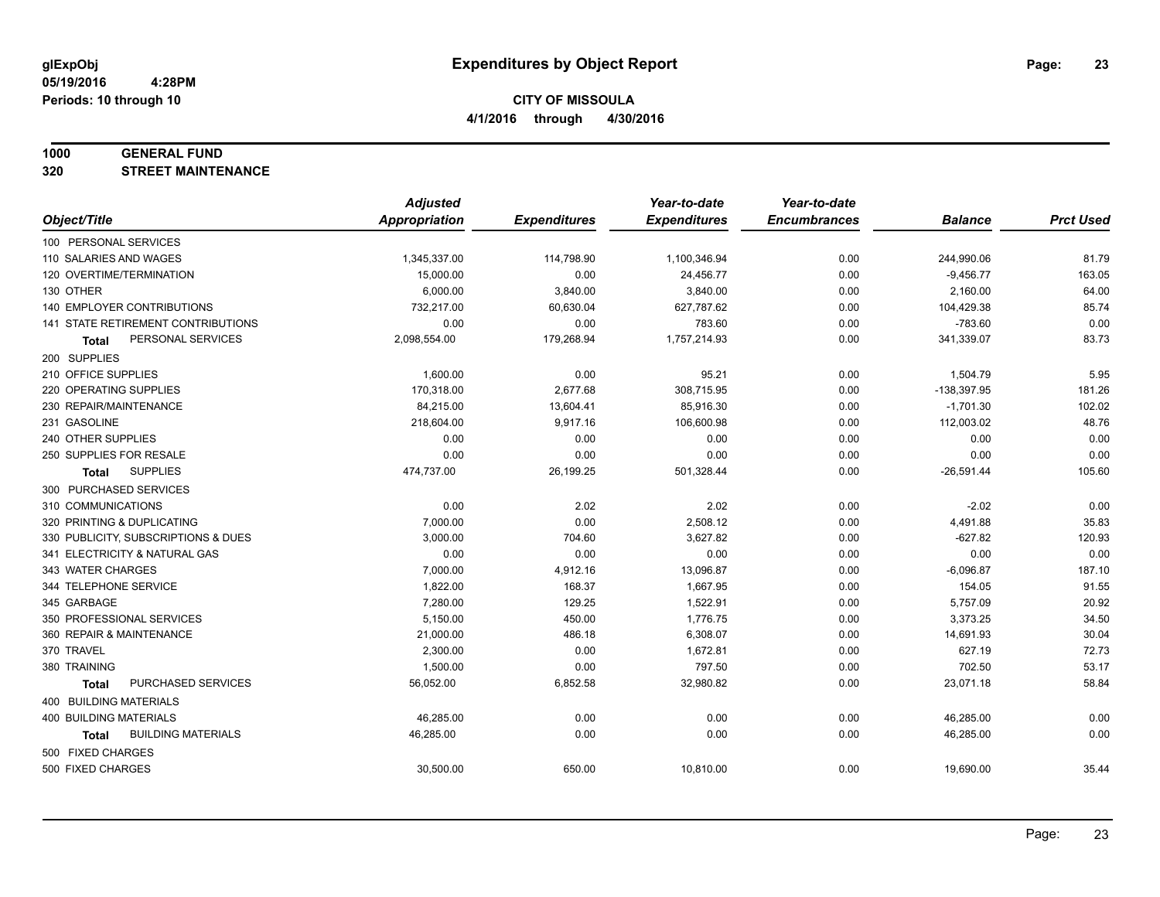#### **1000 GENERAL FUND**

**320 STREET MAINTENANCE**

|                                     | <b>Adjusted</b>      |                     | Year-to-date        | Year-to-date        |                |                  |
|-------------------------------------|----------------------|---------------------|---------------------|---------------------|----------------|------------------|
| Object/Title                        | <b>Appropriation</b> | <b>Expenditures</b> | <b>Expenditures</b> | <b>Encumbrances</b> | <b>Balance</b> | <b>Prct Used</b> |
| 100 PERSONAL SERVICES               |                      |                     |                     |                     |                |                  |
| 110 SALARIES AND WAGES              | 1,345,337.00         | 114,798.90          | 1,100,346.94        | 0.00                | 244,990.06     | 81.79            |
| 120 OVERTIME/TERMINATION            | 15,000.00            | 0.00                | 24,456.77           | 0.00                | $-9,456.77$    | 163.05           |
| 130 OTHER                           | 6,000.00             | 3,840.00            | 3,840.00            | 0.00                | 2,160.00       | 64.00            |
| 140 EMPLOYER CONTRIBUTIONS          | 732,217.00           | 60,630.04           | 627,787.62          | 0.00                | 104,429.38     | 85.74            |
| 141 STATE RETIREMENT CONTRIBUTIONS  | 0.00                 | 0.00                | 783.60              | 0.00                | $-783.60$      | 0.00             |
| PERSONAL SERVICES<br>Total          | 2,098,554.00         | 179,268.94          | 1,757,214.93        | 0.00                | 341,339.07     | 83.73            |
| 200 SUPPLIES                        |                      |                     |                     |                     |                |                  |
| 210 OFFICE SUPPLIES                 | 1,600.00             | 0.00                | 95.21               | 0.00                | 1,504.79       | 5.95             |
| 220 OPERATING SUPPLIES              | 170,318.00           | 2,677.68            | 308,715.95          | 0.00                | -138,397.95    | 181.26           |
| 230 REPAIR/MAINTENANCE              | 84,215.00            | 13,604.41           | 85,916.30           | 0.00                | $-1,701.30$    | 102.02           |
| 231 GASOLINE                        | 218,604.00           | 9,917.16            | 106,600.98          | 0.00                | 112,003.02     | 48.76            |
| 240 OTHER SUPPLIES                  | 0.00                 | 0.00                | 0.00                | 0.00                | 0.00           | 0.00             |
| 250 SUPPLIES FOR RESALE             | 0.00                 | 0.00                | 0.00                | 0.00                | 0.00           | 0.00             |
| <b>SUPPLIES</b><br><b>Total</b>     | 474,737.00           | 26,199.25           | 501,328.44          | 0.00                | $-26,591.44$   | 105.60           |
| 300 PURCHASED SERVICES              |                      |                     |                     |                     |                |                  |
| 310 COMMUNICATIONS                  | 0.00                 | 2.02                | 2.02                | 0.00                | $-2.02$        | 0.00             |
| 320 PRINTING & DUPLICATING          | 7,000.00             | 0.00                | 2,508.12            | 0.00                | 4,491.88       | 35.83            |
| 330 PUBLICITY, SUBSCRIPTIONS & DUES | 3,000.00             | 704.60              | 3,627.82            | 0.00                | $-627.82$      | 120.93           |
| 341 ELECTRICITY & NATURAL GAS       | 0.00                 | 0.00                | 0.00                | 0.00                | 0.00           | 0.00             |
| 343 WATER CHARGES                   | 7,000.00             | 4,912.16            | 13,096.87           | 0.00                | $-6,096.87$    | 187.10           |
| 344 TELEPHONE SERVICE               | 1,822.00             | 168.37              | 1,667.95            | 0.00                | 154.05         | 91.55            |
| 345 GARBAGE                         | 7,280.00             | 129.25              | 1,522.91            | 0.00                | 5,757.09       | 20.92            |
| 350 PROFESSIONAL SERVICES           | 5,150.00             | 450.00              | 1,776.75            | 0.00                | 3,373.25       | 34.50            |
| 360 REPAIR & MAINTENANCE            | 21,000.00            | 486.18              | 6,308.07            | 0.00                | 14,691.93      | 30.04            |
| 370 TRAVEL                          | 2,300.00             | 0.00                | 1,672.81            | 0.00                | 627.19         | 72.73            |
| 380 TRAINING                        | 1,500.00             | 0.00                | 797.50              | 0.00                | 702.50         | 53.17            |
| PURCHASED SERVICES<br><b>Total</b>  | 56,052.00            | 6,852.58            | 32,980.82           | 0.00                | 23,071.18      | 58.84            |
| 400 BUILDING MATERIALS              |                      |                     |                     |                     |                |                  |
| 400 BUILDING MATERIALS              | 46,285.00            | 0.00                | 0.00                | 0.00                | 46,285.00      | 0.00             |
| <b>BUILDING MATERIALS</b><br>Total  | 46,285.00            | 0.00                | 0.00                | 0.00                | 46,285.00      | 0.00             |
| 500 FIXED CHARGES                   |                      |                     |                     |                     |                |                  |
| 500 FIXED CHARGES                   | 30,500.00            | 650.00              | 10,810.00           | 0.00                | 19,690.00      | 35.44            |
|                                     |                      |                     |                     |                     |                |                  |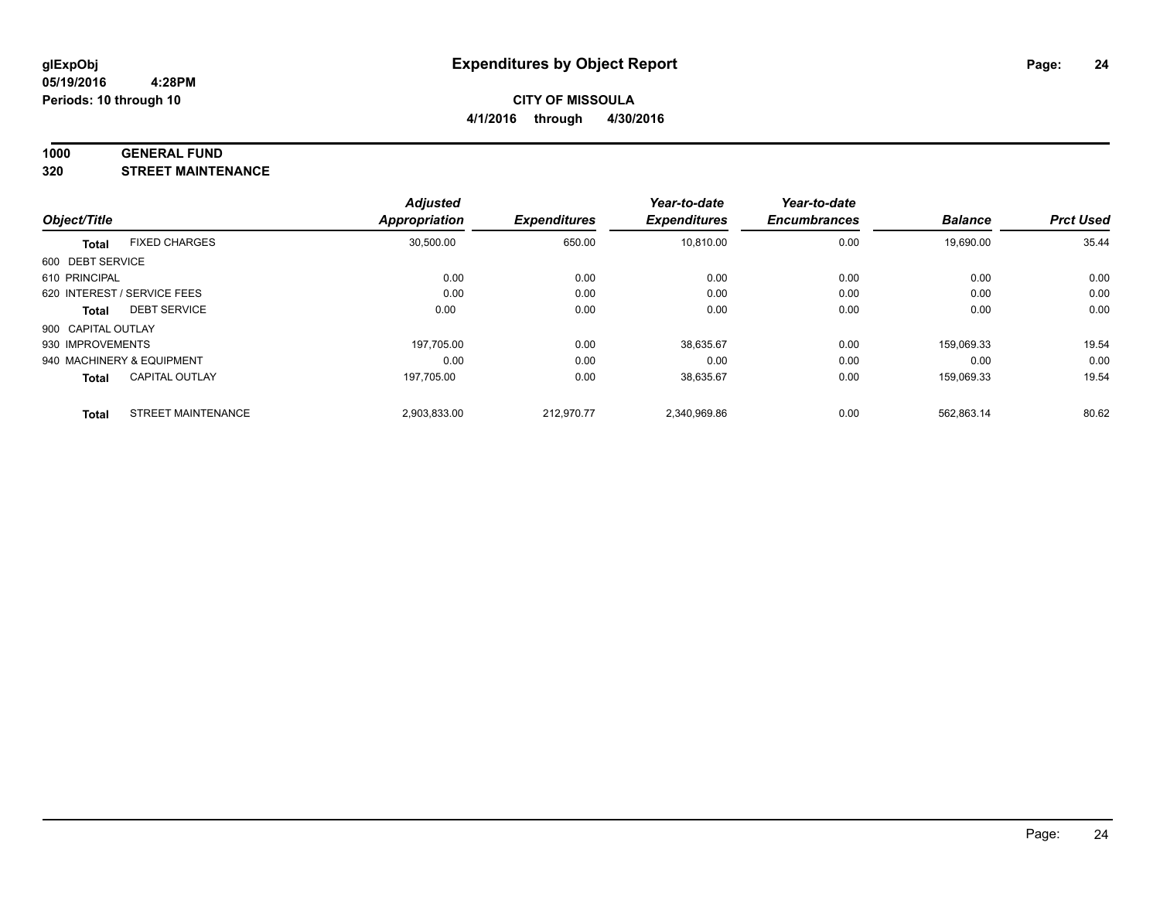#### **1000 GENERAL FUND**

**320 STREET MAINTENANCE**

|                    |                             | <b>Adjusted</b> |                     | Year-to-date        | Year-to-date        |                |                  |
|--------------------|-----------------------------|-----------------|---------------------|---------------------|---------------------|----------------|------------------|
| Object/Title       |                             | Appropriation   | <b>Expenditures</b> | <b>Expenditures</b> | <b>Encumbrances</b> | <b>Balance</b> | <b>Prct Used</b> |
| <b>Total</b>       | <b>FIXED CHARGES</b>        | 30,500.00       | 650.00              | 10,810.00           | 0.00                | 19,690.00      | 35.44            |
| 600 DEBT SERVICE   |                             |                 |                     |                     |                     |                |                  |
| 610 PRINCIPAL      |                             | 0.00            | 0.00                | 0.00                | 0.00                | 0.00           | 0.00             |
|                    | 620 INTEREST / SERVICE FEES | 0.00            | 0.00                | 0.00                | 0.00                | 0.00           | 0.00             |
| Total              | <b>DEBT SERVICE</b>         | 0.00            | 0.00                | 0.00                | 0.00                | 0.00           | 0.00             |
| 900 CAPITAL OUTLAY |                             |                 |                     |                     |                     |                |                  |
| 930 IMPROVEMENTS   |                             | 197,705.00      | 0.00                | 38,635.67           | 0.00                | 159,069.33     | 19.54            |
|                    | 940 MACHINERY & EQUIPMENT   | 0.00            | 0.00                | 0.00                | 0.00                | 0.00           | 0.00             |
| <b>Total</b>       | <b>CAPITAL OUTLAY</b>       | 197,705.00      | 0.00                | 38,635.67           | 0.00                | 159,069.33     | 19.54            |
| <b>Total</b>       | <b>STREET MAINTENANCE</b>   | 2,903,833.00    | 212.970.77          | 2.340.969.86        | 0.00                | 562.863.14     | 80.62            |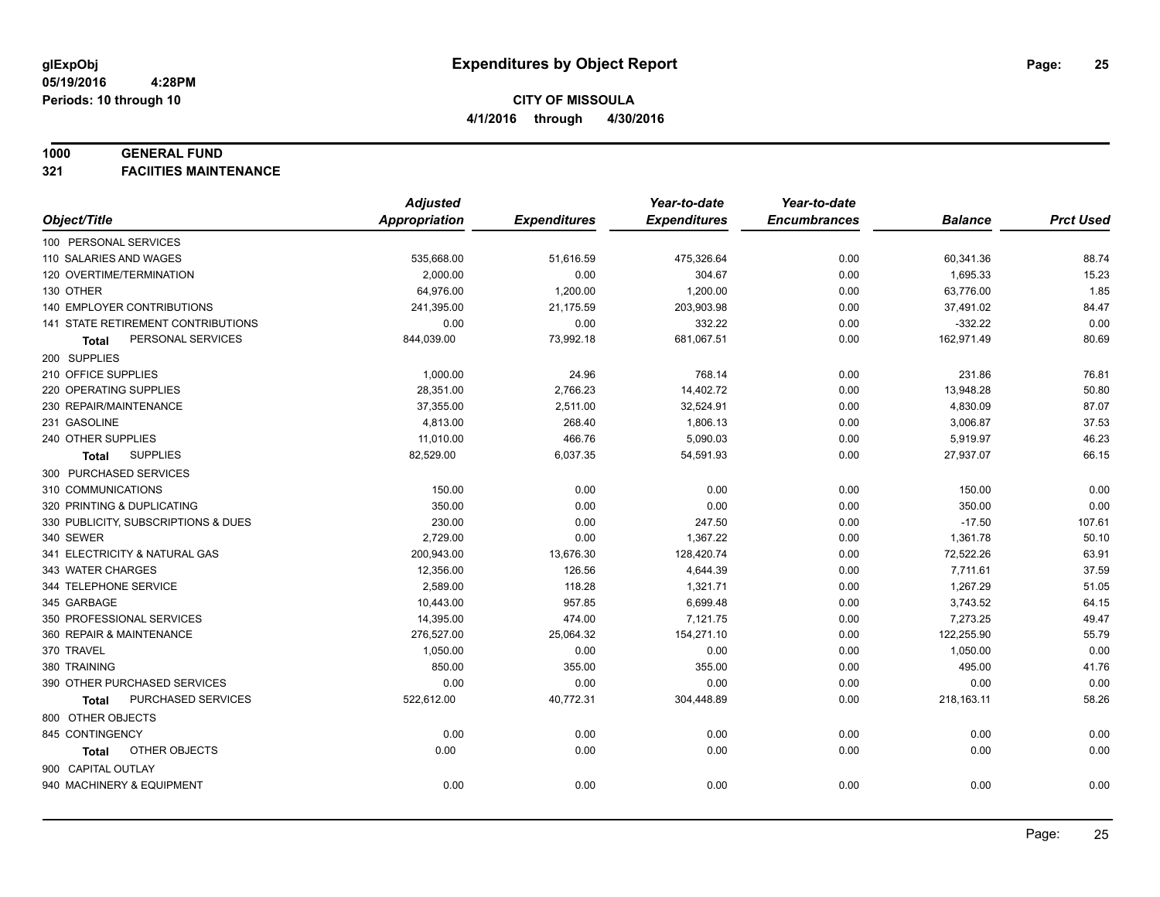#### **1000 GENERAL FUND**

**321 FACIITIES MAINTENANCE**

|                                     | <b>Adjusted</b>      |                     | Year-to-date        | Year-to-date        |                |                  |
|-------------------------------------|----------------------|---------------------|---------------------|---------------------|----------------|------------------|
| Object/Title                        | <b>Appropriation</b> | <b>Expenditures</b> | <b>Expenditures</b> | <b>Encumbrances</b> | <b>Balance</b> | <b>Prct Used</b> |
| 100 PERSONAL SERVICES               |                      |                     |                     |                     |                |                  |
| 110 SALARIES AND WAGES              | 535,668.00           | 51,616.59           | 475,326.64          | 0.00                | 60,341.36      | 88.74            |
| 120 OVERTIME/TERMINATION            | 2,000.00             | 0.00                | 304.67              | 0.00                | 1,695.33       | 15.23            |
| 130 OTHER                           | 64,976.00            | 1,200.00            | 1,200.00            | 0.00                | 63,776.00      | 1.85             |
| <b>140 EMPLOYER CONTRIBUTIONS</b>   | 241,395.00           | 21,175.59           | 203,903.98          | 0.00                | 37,491.02      | 84.47            |
| 141 STATE RETIREMENT CONTRIBUTIONS  | 0.00                 | 0.00                | 332.22              | 0.00                | $-332.22$      | 0.00             |
| PERSONAL SERVICES<br>Total          | 844,039.00           | 73,992.18           | 681,067.51          | 0.00                | 162,971.49     | 80.69            |
| 200 SUPPLIES                        |                      |                     |                     |                     |                |                  |
| 210 OFFICE SUPPLIES                 | 1,000.00             | 24.96               | 768.14              | 0.00                | 231.86         | 76.81            |
| 220 OPERATING SUPPLIES              | 28,351.00            | 2,766.23            | 14,402.72           | 0.00                | 13,948.28      | 50.80            |
| 230 REPAIR/MAINTENANCE              | 37,355.00            | 2,511.00            | 32,524.91           | 0.00                | 4,830.09       | 87.07            |
| 231 GASOLINE                        | 4,813.00             | 268.40              | 1,806.13            | 0.00                | 3,006.87       | 37.53            |
| 240 OTHER SUPPLIES                  | 11,010.00            | 466.76              | 5,090.03            | 0.00                | 5,919.97       | 46.23            |
| <b>SUPPLIES</b><br>Total            | 82,529.00            | 6,037.35            | 54,591.93           | 0.00                | 27,937.07      | 66.15            |
| 300 PURCHASED SERVICES              |                      |                     |                     |                     |                |                  |
| 310 COMMUNICATIONS                  | 150.00               | 0.00                | 0.00                | 0.00                | 150.00         | 0.00             |
| 320 PRINTING & DUPLICATING          | 350.00               | 0.00                | 0.00                | 0.00                | 350.00         | 0.00             |
| 330 PUBLICITY, SUBSCRIPTIONS & DUES | 230.00               | 0.00                | 247.50              | 0.00                | $-17.50$       | 107.61           |
| 340 SEWER                           | 2,729.00             | 0.00                | 1,367.22            | 0.00                | 1,361.78       | 50.10            |
| 341 ELECTRICITY & NATURAL GAS       | 200,943.00           | 13,676.30           | 128,420.74          | 0.00                | 72,522.26      | 63.91            |
| 343 WATER CHARGES                   | 12,356.00            | 126.56              | 4,644.39            | 0.00                | 7,711.61       | 37.59            |
| 344 TELEPHONE SERVICE               | 2,589.00             | 118.28              | 1,321.71            | 0.00                | 1,267.29       | 51.05            |
| 345 GARBAGE                         | 10,443.00            | 957.85              | 6,699.48            | 0.00                | 3,743.52       | 64.15            |
| 350 PROFESSIONAL SERVICES           | 14,395.00            | 474.00              | 7,121.75            | 0.00                | 7,273.25       | 49.47            |
| 360 REPAIR & MAINTENANCE            | 276,527.00           | 25,064.32           | 154,271.10          | 0.00                | 122,255.90     | 55.79            |
| 370 TRAVEL                          | 1,050.00             | 0.00                | 0.00                | 0.00                | 1,050.00       | 0.00             |
| 380 TRAINING                        | 850.00               | 355.00              | 355.00              | 0.00                | 495.00         | 41.76            |
| 390 OTHER PURCHASED SERVICES        | 0.00                 | 0.00                | 0.00                | 0.00                | 0.00           | 0.00             |
| PURCHASED SERVICES<br><b>Total</b>  | 522,612.00           | 40,772.31           | 304,448.89          | 0.00                | 218,163.11     | 58.26            |
| 800 OTHER OBJECTS                   |                      |                     |                     |                     |                |                  |
| 845 CONTINGENCY                     | 0.00                 | 0.00                | 0.00                | 0.00                | 0.00           | 0.00             |
| OTHER OBJECTS<br><b>Total</b>       | 0.00                 | 0.00                | 0.00                | 0.00                | 0.00           | 0.00             |
| 900 CAPITAL OUTLAY                  |                      |                     |                     |                     |                |                  |
| 940 MACHINERY & EQUIPMENT           | 0.00                 | 0.00                | 0.00                | 0.00                | 0.00           | 0.00             |
|                                     |                      |                     |                     |                     |                |                  |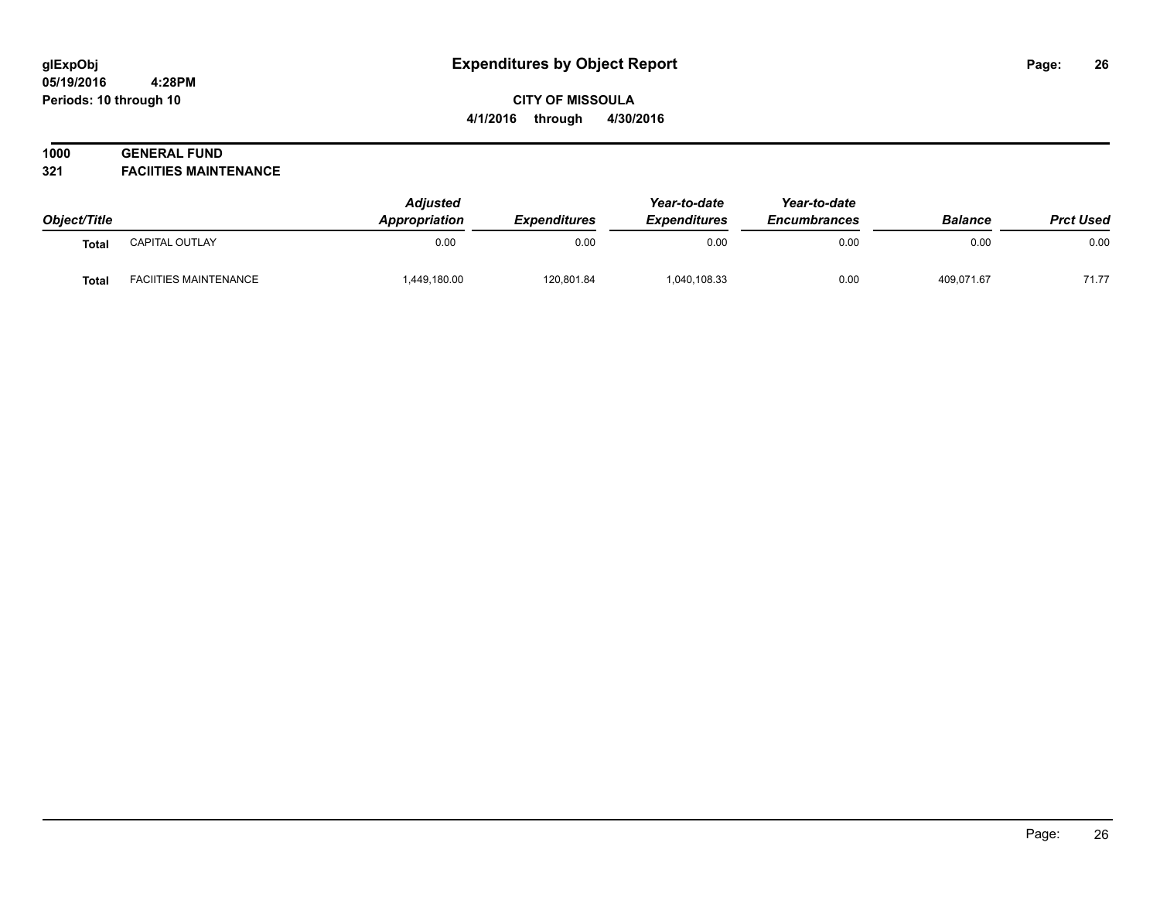#### **05/19/2016 4:28PM Periods: 10 through 10**

## **CITY OF MISSOULA 4/1/2016 through 4/30/2016**

# **1000 GENERAL FUND**

**321 FACIITIES MAINTENANCE**

| Object/Title |                              | <b>Adjusted</b><br>Appropriation | <b>Expenditures</b> | Year-to-date<br><b>Expenditures</b> | Year-to-date<br><b>Encumbrances</b> | <b>Balance</b> | <b>Prct Used</b> |
|--------------|------------------------------|----------------------------------|---------------------|-------------------------------------|-------------------------------------|----------------|------------------|
| <b>Total</b> | CAPITAL OUTLAY               | 0.00                             | 0.00                | 0.00                                | 0.00                                | 0.00           | 0.00             |
| Total        | <b>FACIITIES MAINTENANCE</b> | 1,449,180.00                     | 120,801.84          | 1,040,108.33                        | 0.00                                | 409,071.67     | 71.77            |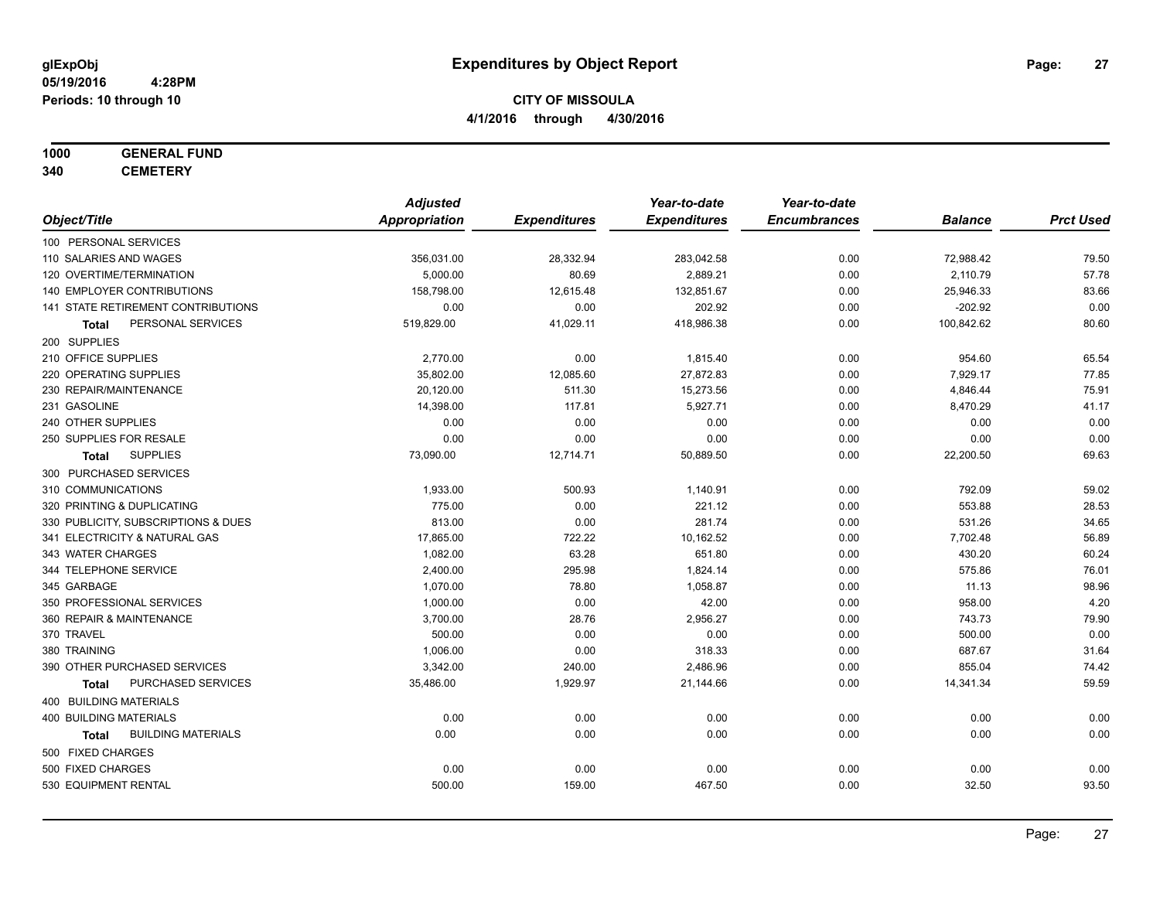# **1000 GENERAL FUND**

**340 CEMETERY**

|                                           | <b>Adjusted</b>      |                     | Year-to-date        | Year-to-date        |                |                  |
|-------------------------------------------|----------------------|---------------------|---------------------|---------------------|----------------|------------------|
| Object/Title                              | <b>Appropriation</b> | <b>Expenditures</b> | <b>Expenditures</b> | <b>Encumbrances</b> | <b>Balance</b> | <b>Prct Used</b> |
| 100 PERSONAL SERVICES                     |                      |                     |                     |                     |                |                  |
| 110 SALARIES AND WAGES                    | 356,031.00           | 28,332.94           | 283,042.58          | 0.00                | 72,988.42      | 79.50            |
| 120 OVERTIME/TERMINATION                  | 5,000.00             | 80.69               | 2,889.21            | 0.00                | 2,110.79       | 57.78            |
| 140 EMPLOYER CONTRIBUTIONS                | 158,798.00           | 12,615.48           | 132,851.67          | 0.00                | 25,946.33      | 83.66            |
| 141 STATE RETIREMENT CONTRIBUTIONS        | 0.00                 | 0.00                | 202.92              | 0.00                | $-202.92$      | 0.00             |
| PERSONAL SERVICES<br>Total                | 519,829.00           | 41,029.11           | 418,986.38          | 0.00                | 100,842.62     | 80.60            |
| 200 SUPPLIES                              |                      |                     |                     |                     |                |                  |
| 210 OFFICE SUPPLIES                       | 2,770.00             | 0.00                | 1,815.40            | 0.00                | 954.60         | 65.54            |
| 220 OPERATING SUPPLIES                    | 35,802.00            | 12,085.60           | 27,872.83           | 0.00                | 7,929.17       | 77.85            |
| 230 REPAIR/MAINTENANCE                    | 20,120.00            | 511.30              | 15,273.56           | 0.00                | 4,846.44       | 75.91            |
| 231 GASOLINE                              | 14,398.00            | 117.81              | 5,927.71            | 0.00                | 8,470.29       | 41.17            |
| 240 OTHER SUPPLIES                        | 0.00                 | 0.00                | 0.00                | 0.00                | 0.00           | 0.00             |
| 250 SUPPLIES FOR RESALE                   | 0.00                 | 0.00                | 0.00                | 0.00                | 0.00           | 0.00             |
| <b>SUPPLIES</b><br>Total                  | 73,090.00            | 12,714.71           | 50,889.50           | 0.00                | 22,200.50      | 69.63            |
| 300 PURCHASED SERVICES                    |                      |                     |                     |                     |                |                  |
| 310 COMMUNICATIONS                        | 1,933.00             | 500.93              | 1,140.91            | 0.00                | 792.09         | 59.02            |
| 320 PRINTING & DUPLICATING                | 775.00               | 0.00                | 221.12              | 0.00                | 553.88         | 28.53            |
| 330 PUBLICITY, SUBSCRIPTIONS & DUES       | 813.00               | 0.00                | 281.74              | 0.00                | 531.26         | 34.65            |
| 341 ELECTRICITY & NATURAL GAS             | 17,865.00            | 722.22              | 10,162.52           | 0.00                | 7,702.48       | 56.89            |
| 343 WATER CHARGES                         | 1,082.00             | 63.28               | 651.80              | 0.00                | 430.20         | 60.24            |
| 344 TELEPHONE SERVICE                     | 2,400.00             | 295.98              | 1,824.14            | 0.00                | 575.86         | 76.01            |
| 345 GARBAGE                               | 1,070.00             | 78.80               | 1,058.87            | 0.00                | 11.13          | 98.96            |
| 350 PROFESSIONAL SERVICES                 | 1,000.00             | 0.00                | 42.00               | 0.00                | 958.00         | 4.20             |
| 360 REPAIR & MAINTENANCE                  | 3,700.00             | 28.76               | 2,956.27            | 0.00                | 743.73         | 79.90            |
| 370 TRAVEL                                | 500.00               | 0.00                | 0.00                | 0.00                | 500.00         | 0.00             |
| 380 TRAINING                              | 1,006.00             | 0.00                | 318.33              | 0.00                | 687.67         | 31.64            |
| 390 OTHER PURCHASED SERVICES              | 3,342.00             | 240.00              | 2,486.96            | 0.00                | 855.04         | 74.42            |
| PURCHASED SERVICES<br><b>Total</b>        | 35,486.00            | 1,929.97            | 21,144.66           | 0.00                | 14,341.34      | 59.59            |
| 400 BUILDING MATERIALS                    |                      |                     |                     |                     |                |                  |
| 400 BUILDING MATERIALS                    | 0.00                 | 0.00                | 0.00                | 0.00                | 0.00           | 0.00             |
| <b>BUILDING MATERIALS</b><br><b>Total</b> | 0.00                 | 0.00                | 0.00                | 0.00                | 0.00           | 0.00             |
| 500 FIXED CHARGES                         |                      |                     |                     |                     |                |                  |
| 500 FIXED CHARGES                         | 0.00                 | 0.00                | 0.00                | 0.00                | 0.00           | 0.00             |
| 530 EQUIPMENT RENTAL                      | 500.00               | 159.00              | 467.50              | 0.00                | 32.50          | 93.50            |
|                                           |                      |                     |                     |                     |                |                  |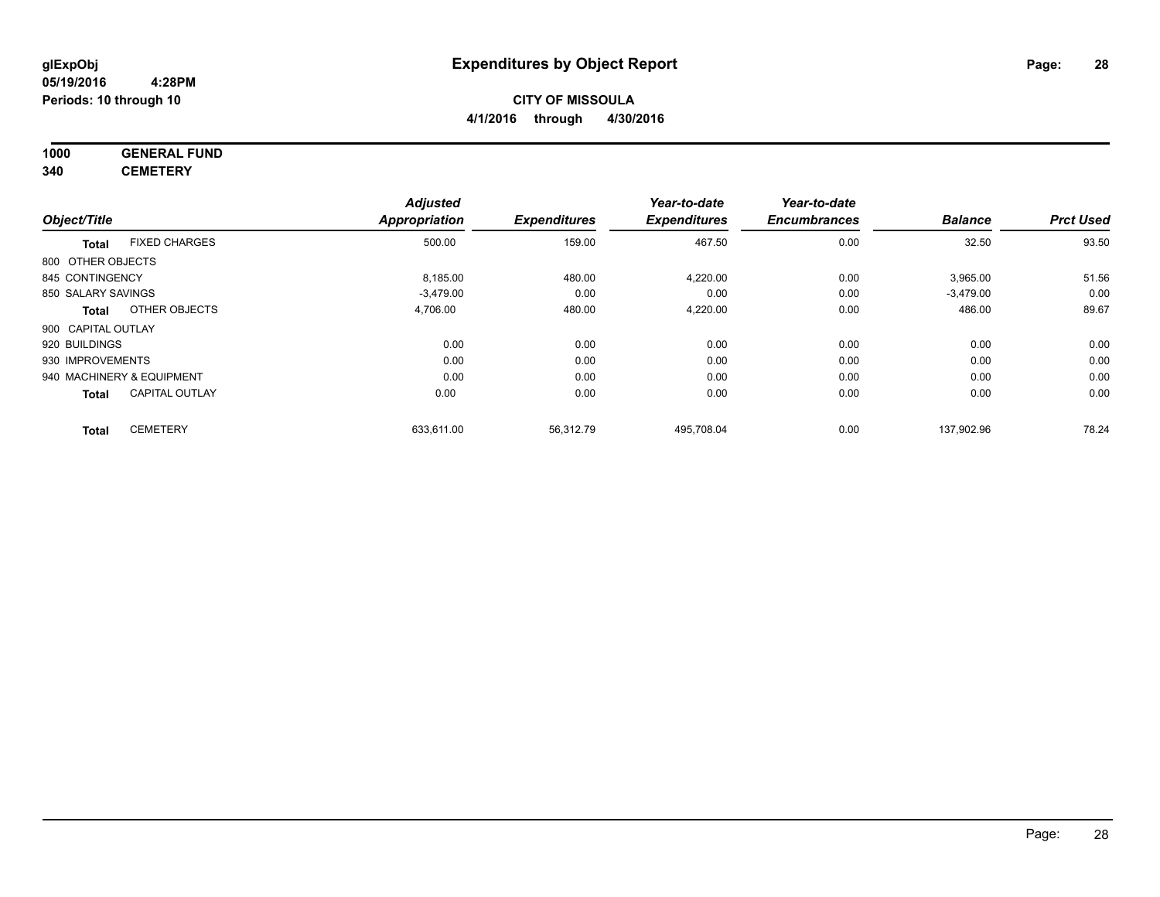# **1000 GENERAL FUND**

**340 CEMETERY**

|                                       | <b>Adjusted</b>      |                     | Year-to-date        | Year-to-date        |                |                  |
|---------------------------------------|----------------------|---------------------|---------------------|---------------------|----------------|------------------|
| Object/Title                          | <b>Appropriation</b> | <b>Expenditures</b> | <b>Expenditures</b> | <b>Encumbrances</b> | <b>Balance</b> | <b>Prct Used</b> |
| <b>FIXED CHARGES</b><br><b>Total</b>  | 500.00               | 159.00              | 467.50              | 0.00                | 32.50          | 93.50            |
| 800 OTHER OBJECTS                     |                      |                     |                     |                     |                |                  |
| 845 CONTINGENCY                       | 8,185.00             | 480.00              | 4,220.00            | 0.00                | 3,965.00       | 51.56            |
| 850 SALARY SAVINGS                    | $-3.479.00$          | 0.00                | 0.00                | 0.00                | $-3,479.00$    | 0.00             |
| OTHER OBJECTS<br><b>Total</b>         | 4,706.00             | 480.00              | 4,220.00            | 0.00                | 486.00         | 89.67            |
| 900 CAPITAL OUTLAY                    |                      |                     |                     |                     |                |                  |
| 920 BUILDINGS                         | 0.00                 | 0.00                | 0.00                | 0.00                | 0.00           | 0.00             |
| 930 IMPROVEMENTS                      | 0.00                 | 0.00                | 0.00                | 0.00                | 0.00           | 0.00             |
| 940 MACHINERY & EQUIPMENT             | 0.00                 | 0.00                | 0.00                | 0.00                | 0.00           | 0.00             |
| <b>CAPITAL OUTLAY</b><br><b>Total</b> | 0.00                 | 0.00                | 0.00                | 0.00                | 0.00           | 0.00             |
| <b>CEMETERY</b><br><b>Total</b>       | 633,611.00           | 56,312.79           | 495,708.04          | 0.00                | 137,902.96     | 78.24            |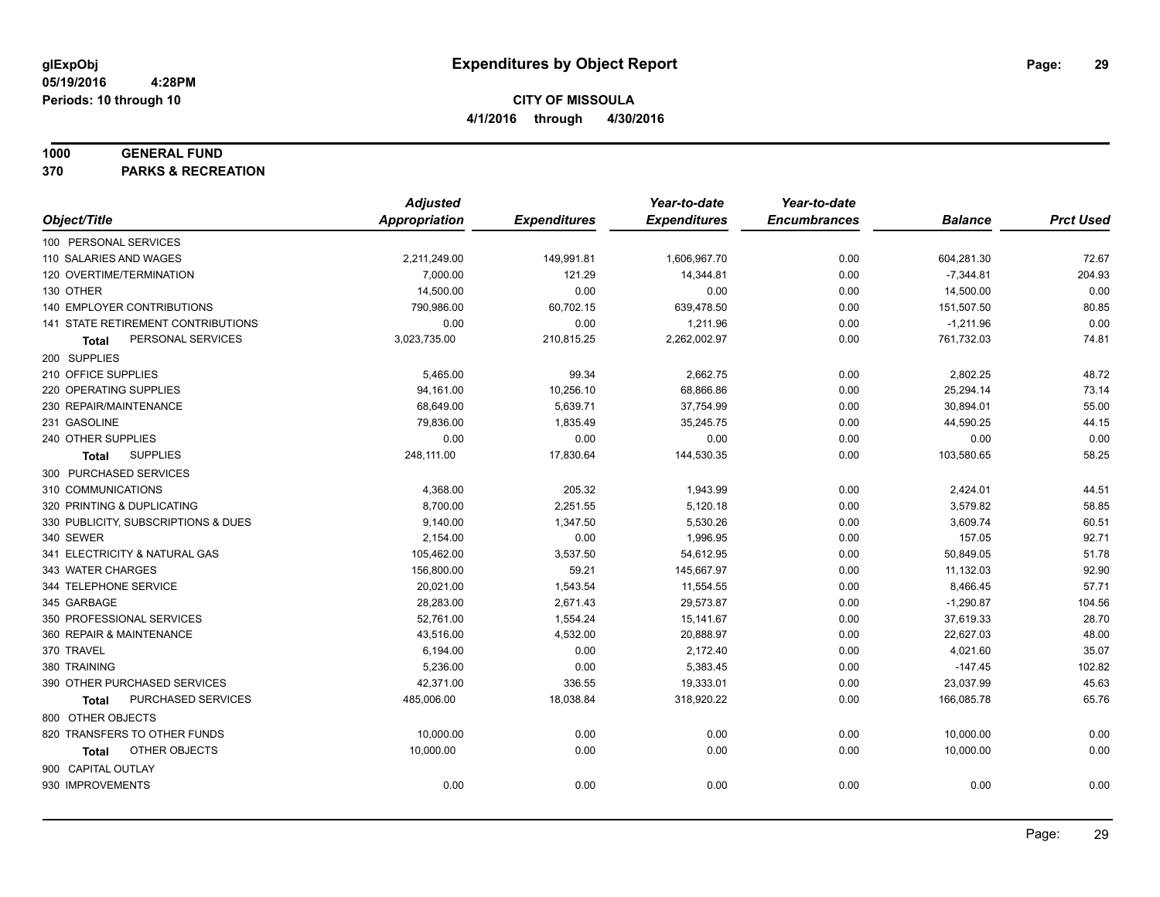#### **1000 GENERAL FUND**

**370 PARKS & RECREATION**

|                                     | <b>Adjusted</b>      |                     | Year-to-date        | Year-to-date        |                |                  |
|-------------------------------------|----------------------|---------------------|---------------------|---------------------|----------------|------------------|
| Object/Title                        | <b>Appropriation</b> | <b>Expenditures</b> | <b>Expenditures</b> | <b>Encumbrances</b> | <b>Balance</b> | <b>Prct Used</b> |
| 100 PERSONAL SERVICES               |                      |                     |                     |                     |                |                  |
| 110 SALARIES AND WAGES              | 2,211,249.00         | 149,991.81          | 1,606,967.70        | 0.00                | 604,281.30     | 72.67            |
| 120 OVERTIME/TERMINATION            | 7,000.00             | 121.29              | 14,344.81           | 0.00                | $-7,344.81$    | 204.93           |
| 130 OTHER                           | 14,500.00            | 0.00                | 0.00                | 0.00                | 14,500.00      | 0.00             |
| 140 EMPLOYER CONTRIBUTIONS          | 790,986.00           | 60,702.15           | 639,478.50          | 0.00                | 151,507.50     | 80.85            |
| 141 STATE RETIREMENT CONTRIBUTIONS  | 0.00                 | 0.00                | 1,211.96            | 0.00                | $-1,211.96$    | 0.00             |
| PERSONAL SERVICES<br>Total          | 3,023,735.00         | 210,815.25          | 2,262,002.97        | 0.00                | 761,732.03     | 74.81            |
| 200 SUPPLIES                        |                      |                     |                     |                     |                |                  |
| 210 OFFICE SUPPLIES                 | 5,465.00             | 99.34               | 2,662.75            | 0.00                | 2,802.25       | 48.72            |
| 220 OPERATING SUPPLIES              | 94,161.00            | 10,256.10           | 68,866.86           | 0.00                | 25,294.14      | 73.14            |
| 230 REPAIR/MAINTENANCE              | 68,649.00            | 5,639.71            | 37,754.99           | 0.00                | 30,894.01      | 55.00            |
| 231 GASOLINE                        | 79,836.00            | 1,835.49            | 35,245.75           | 0.00                | 44,590.25      | 44.15            |
| 240 OTHER SUPPLIES                  | 0.00                 | 0.00                | 0.00                | 0.00                | 0.00           | 0.00             |
| <b>SUPPLIES</b><br><b>Total</b>     | 248,111.00           | 17,830.64           | 144,530.35          | 0.00                | 103,580.65     | 58.25            |
| 300 PURCHASED SERVICES              |                      |                     |                     |                     |                |                  |
| 310 COMMUNICATIONS                  | 4,368.00             | 205.32              | 1,943.99            | 0.00                | 2,424.01       | 44.51            |
| 320 PRINTING & DUPLICATING          | 8,700.00             | 2,251.55            | 5,120.18            | 0.00                | 3,579.82       | 58.85            |
| 330 PUBLICITY, SUBSCRIPTIONS & DUES | 9,140.00             | 1,347.50            | 5,530.26            | 0.00                | 3,609.74       | 60.51            |
| 340 SEWER                           | 2,154.00             | 0.00                | 1,996.95            | 0.00                | 157.05         | 92.71            |
| 341 ELECTRICITY & NATURAL GAS       | 105,462.00           | 3,537.50            | 54,612.95           | 0.00                | 50,849.05      | 51.78            |
| 343 WATER CHARGES                   | 156,800.00           | 59.21               | 145,667.97          | 0.00                | 11,132.03      | 92.90            |
| 344 TELEPHONE SERVICE               | 20,021.00            | 1,543.54            | 11,554.55           | 0.00                | 8,466.45       | 57.71            |
| 345 GARBAGE                         | 28,283.00            | 2,671.43            | 29,573.87           | 0.00                | $-1,290.87$    | 104.56           |
| 350 PROFESSIONAL SERVICES           | 52,761.00            | 1,554.24            | 15,141.67           | 0.00                | 37,619.33      | 28.70            |
| 360 REPAIR & MAINTENANCE            | 43,516.00            | 4,532.00            | 20,888.97           | 0.00                | 22,627.03      | 48.00            |
| 370 TRAVEL                          | 6,194.00             | 0.00                | 2,172.40            | 0.00                | 4,021.60       | 35.07            |
| 380 TRAINING                        | 5,236.00             | 0.00                | 5,383.45            | 0.00                | $-147.45$      | 102.82           |
| 390 OTHER PURCHASED SERVICES        | 42,371.00            | 336.55              | 19,333.01           | 0.00                | 23,037.99      | 45.63            |
| PURCHASED SERVICES<br><b>Total</b>  | 485,006.00           | 18,038.84           | 318,920.22          | 0.00                | 166,085.78     | 65.76            |
| 800 OTHER OBJECTS                   |                      |                     |                     |                     |                |                  |
| 820 TRANSFERS TO OTHER FUNDS        | 10,000.00            | 0.00                | 0.00                | 0.00                | 10,000.00      | 0.00             |
| OTHER OBJECTS<br>Total              | 10,000.00            | 0.00                | 0.00                | 0.00                | 10,000.00      | 0.00             |
| 900 CAPITAL OUTLAY                  |                      |                     |                     |                     |                |                  |
| 930 IMPROVEMENTS                    | 0.00                 | 0.00                | 0.00                | 0.00                | 0.00           | 0.00             |
|                                     |                      |                     |                     |                     |                |                  |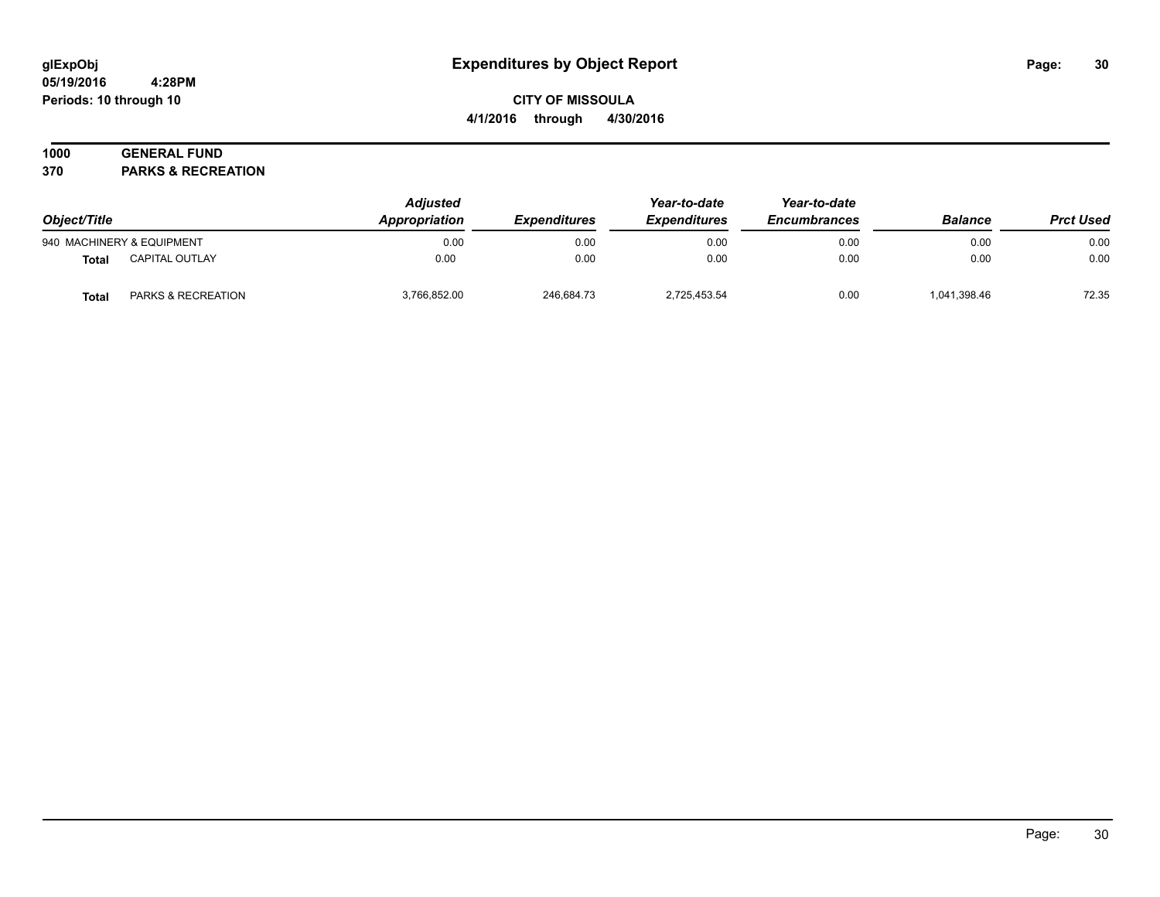#### **05/19/2016 4:28PM Periods: 10 through 10**

# **CITY OF MISSOULA 4/1/2016 through 4/30/2016**

# **1000 GENERAL FUND**

**370 PARKS & RECREATION**

| Object/Title |                           | <b>Adjusted</b><br>Appropriation<br><i><b>Expenditures</b></i> |            | Year-to-date<br><b>Expenditures</b> | Year-to-date<br><b>Encumbrances</b> | <b>Balance</b> | <b>Prct Used</b> |
|--------------|---------------------------|----------------------------------------------------------------|------------|-------------------------------------|-------------------------------------|----------------|------------------|
|              | 940 MACHINERY & EQUIPMENT | 0.00                                                           | 0.00       | 0.00                                | 0.00                                | 0.00           | 0.00             |
| <b>Total</b> | <b>CAPITAL OUTLAY</b>     | 0.00                                                           | 0.00       | 0.00                                | 0.00                                | 0.00           | 0.00             |
| <b>Total</b> | PARKS & RECREATION        | 3.766.852.00                                                   | 246.684.73 | 2,725,453.54                        | 0.00                                | 1,041,398.46   | 72.35            |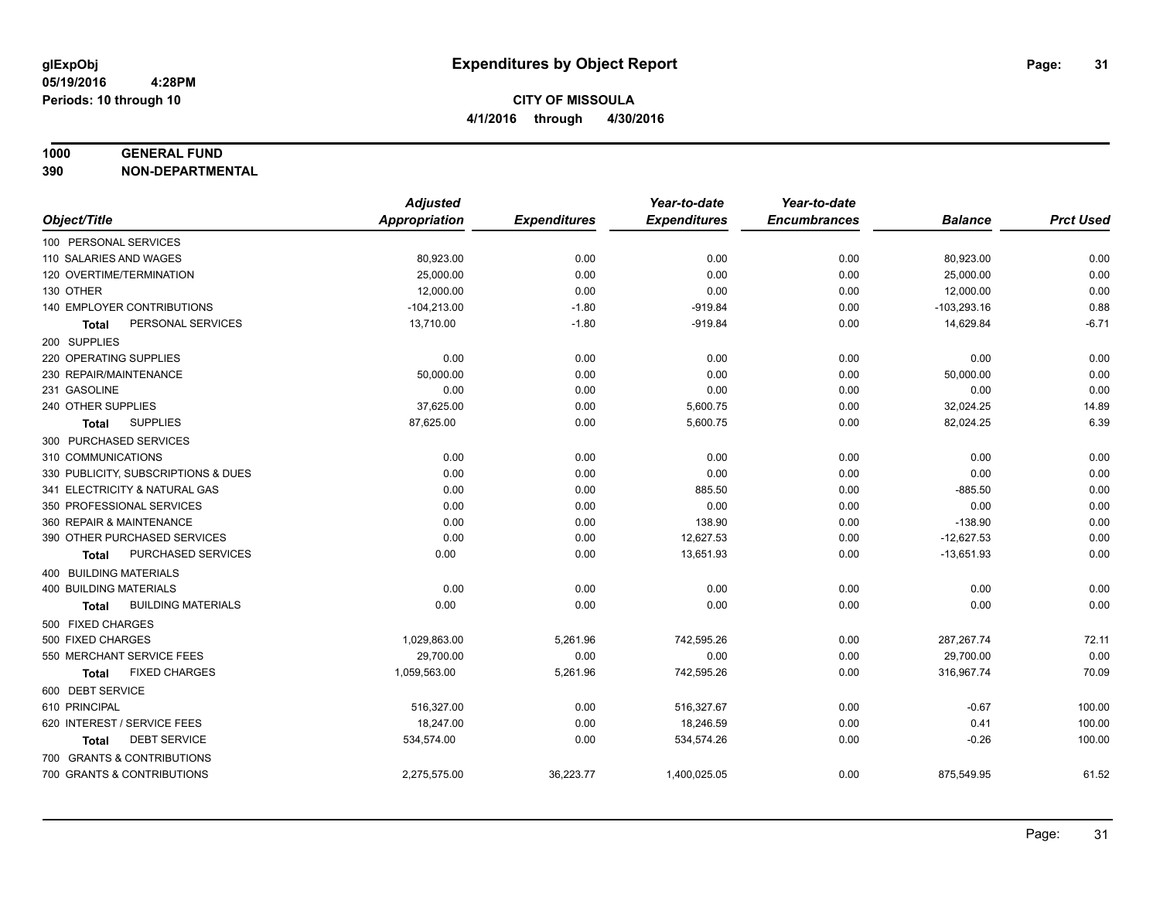#### **1000 GENERAL FUND**

**390 NON-DEPARTMENTAL**

|                                           | <b>Adjusted</b>      |                     | Year-to-date        | Year-to-date        |                |                  |
|-------------------------------------------|----------------------|---------------------|---------------------|---------------------|----------------|------------------|
| Object/Title                              | <b>Appropriation</b> | <b>Expenditures</b> | <b>Expenditures</b> | <b>Encumbrances</b> | <b>Balance</b> | <b>Prct Used</b> |
| 100 PERSONAL SERVICES                     |                      |                     |                     |                     |                |                  |
| 110 SALARIES AND WAGES                    | 80,923.00            | 0.00                | 0.00                | 0.00                | 80,923.00      | 0.00             |
| 120 OVERTIME/TERMINATION                  | 25,000.00            | 0.00                | 0.00                | 0.00                | 25,000.00      | 0.00             |
| 130 OTHER                                 | 12,000.00            | 0.00                | 0.00                | 0.00                | 12,000.00      | 0.00             |
| 140 EMPLOYER CONTRIBUTIONS                | $-104,213.00$        | $-1.80$             | $-919.84$           | 0.00                | $-103,293.16$  | 0.88             |
| PERSONAL SERVICES<br><b>Total</b>         | 13,710.00            | $-1.80$             | $-919.84$           | 0.00                | 14,629.84      | $-6.71$          |
| 200 SUPPLIES                              |                      |                     |                     |                     |                |                  |
| 220 OPERATING SUPPLIES                    | 0.00                 | 0.00                | 0.00                | 0.00                | 0.00           | 0.00             |
| 230 REPAIR/MAINTENANCE                    | 50,000.00            | 0.00                | 0.00                | 0.00                | 50,000.00      | 0.00             |
| 231 GASOLINE                              | 0.00                 | 0.00                | 0.00                | 0.00                | 0.00           | 0.00             |
| 240 OTHER SUPPLIES                        | 37,625.00            | 0.00                | 5,600.75            | 0.00                | 32,024.25      | 14.89            |
| <b>SUPPLIES</b><br>Total                  | 87,625.00            | 0.00                | 5,600.75            | 0.00                | 82,024.25      | 6.39             |
| 300 PURCHASED SERVICES                    |                      |                     |                     |                     |                |                  |
| 310 COMMUNICATIONS                        | 0.00                 | 0.00                | 0.00                | 0.00                | 0.00           | 0.00             |
| 330 PUBLICITY, SUBSCRIPTIONS & DUES       | 0.00                 | 0.00                | 0.00                | 0.00                | 0.00           | 0.00             |
| 341 ELECTRICITY & NATURAL GAS             | 0.00                 | 0.00                | 885.50              | 0.00                | $-885.50$      | 0.00             |
| 350 PROFESSIONAL SERVICES                 | 0.00                 | 0.00                | 0.00                | 0.00                | 0.00           | 0.00             |
| 360 REPAIR & MAINTENANCE                  | 0.00                 | 0.00                | 138.90              | 0.00                | $-138.90$      | 0.00             |
| 390 OTHER PURCHASED SERVICES              | 0.00                 | 0.00                | 12,627.53           | 0.00                | $-12,627.53$   | 0.00             |
| PURCHASED SERVICES<br>Total               | 0.00                 | 0.00                | 13,651.93           | 0.00                | $-13,651.93$   | 0.00             |
| 400 BUILDING MATERIALS                    |                      |                     |                     |                     |                |                  |
| <b>400 BUILDING MATERIALS</b>             | 0.00                 | 0.00                | 0.00                | 0.00                | 0.00           | 0.00             |
| <b>BUILDING MATERIALS</b><br><b>Total</b> | 0.00                 | 0.00                | 0.00                | 0.00                | 0.00           | 0.00             |
| 500 FIXED CHARGES                         |                      |                     |                     |                     |                |                  |
| 500 FIXED CHARGES                         | 1,029,863.00         | 5,261.96            | 742,595.26          | 0.00                | 287, 267. 74   | 72.11            |
| 550 MERCHANT SERVICE FEES                 | 29,700.00            | 0.00                | 0.00                | 0.00                | 29,700.00      | 0.00             |
| <b>FIXED CHARGES</b><br><b>Total</b>      | 1,059,563.00         | 5,261.96            | 742,595.26          | 0.00                | 316,967.74     | 70.09            |
| 600 DEBT SERVICE                          |                      |                     |                     |                     |                |                  |
| 610 PRINCIPAL                             | 516,327.00           | 0.00                | 516,327.67          | 0.00                | $-0.67$        | 100.00           |
| 620 INTEREST / SERVICE FEES               | 18,247.00            | 0.00                | 18,246.59           | 0.00                | 0.41           | 100.00           |
| <b>DEBT SERVICE</b><br>Total              | 534,574.00           | 0.00                | 534,574.26          | 0.00                | $-0.26$        | 100.00           |
| 700 GRANTS & CONTRIBUTIONS                |                      |                     |                     |                     |                |                  |
| 700 GRANTS & CONTRIBUTIONS                | 2,275,575.00         | 36,223.77           | 1,400,025.05        | 0.00                | 875,549.95     | 61.52            |
|                                           |                      |                     |                     |                     |                |                  |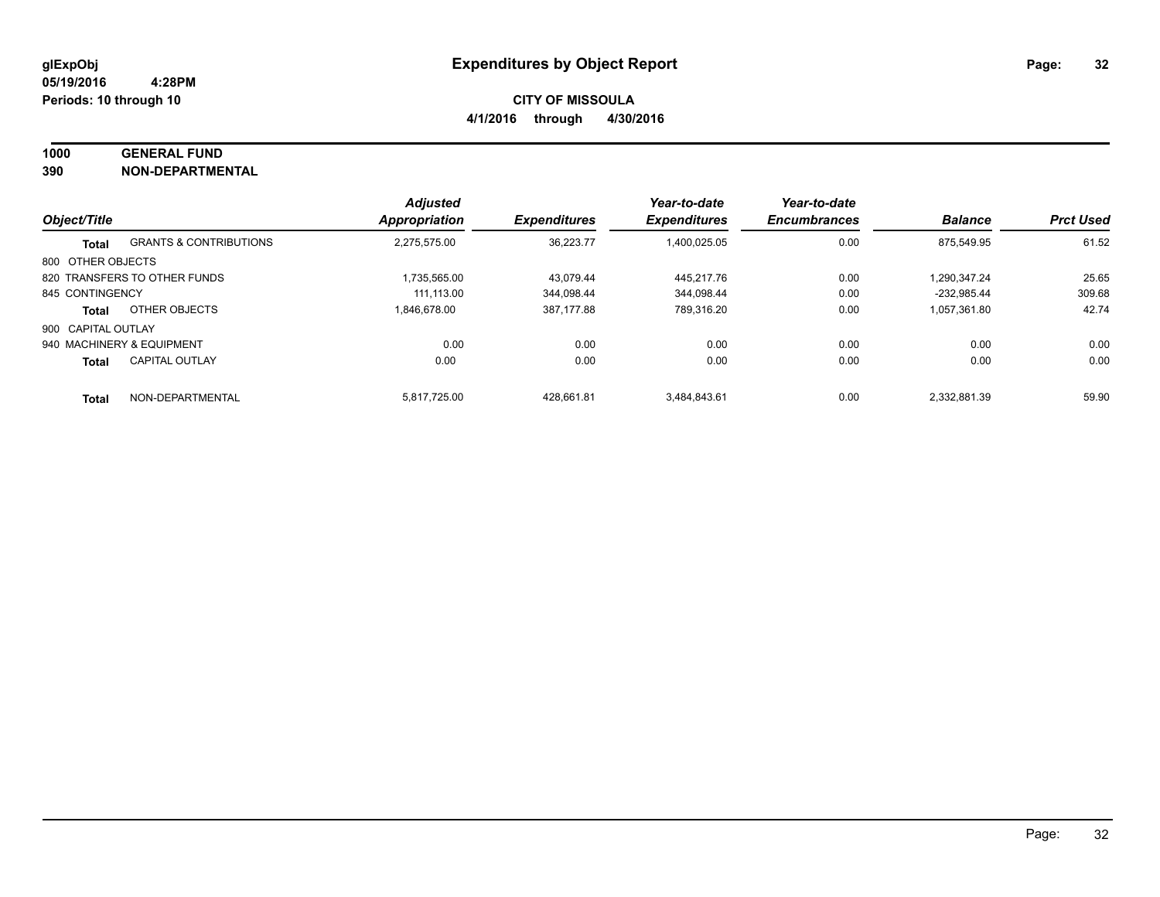#### **1000 GENERAL FUND**

**390 NON-DEPARTMENTAL**

|                           |                                   | <b>Adjusted</b>      |                     | Year-to-date        | Year-to-date        |                |                  |
|---------------------------|-----------------------------------|----------------------|---------------------|---------------------|---------------------|----------------|------------------|
| Object/Title              |                                   | <b>Appropriation</b> | <b>Expenditures</b> | <b>Expenditures</b> | <b>Encumbrances</b> | <b>Balance</b> | <b>Prct Used</b> |
| Total                     | <b>GRANTS &amp; CONTRIBUTIONS</b> | 2.275.575.00         | 36.223.77           | 1,400,025.05        | 0.00                | 875.549.95     | 61.52            |
| 800 OTHER OBJECTS         |                                   |                      |                     |                     |                     |                |                  |
|                           | 820 TRANSFERS TO OTHER FUNDS      | 1.735.565.00         | 43.079.44           | 445.217.76          | 0.00                | 1.290.347.24   | 25.65            |
| 845 CONTINGENCY           |                                   | 111.113.00           | 344.098.44          | 344.098.44          | 0.00                | -232.985.44    | 309.68           |
| <b>Total</b>              | OTHER OBJECTS                     | 1.846.678.00         | 387.177.88          | 789.316.20          | 0.00                | 1.057.361.80   | 42.74            |
| 900 CAPITAL OUTLAY        |                                   |                      |                     |                     |                     |                |                  |
| 940 MACHINERY & EQUIPMENT |                                   | 0.00                 | 0.00                | 0.00                | 0.00                | 0.00           | 0.00             |
| <b>Total</b>              | <b>CAPITAL OUTLAY</b>             | 0.00                 | 0.00                | 0.00                | 0.00                | 0.00           | 0.00             |
| <b>Total</b>              | NON-DEPARTMENTAL                  | 5.817.725.00         | 428.661.81          | 3.484.843.61        | 0.00                | 2.332.881.39   | 59.90            |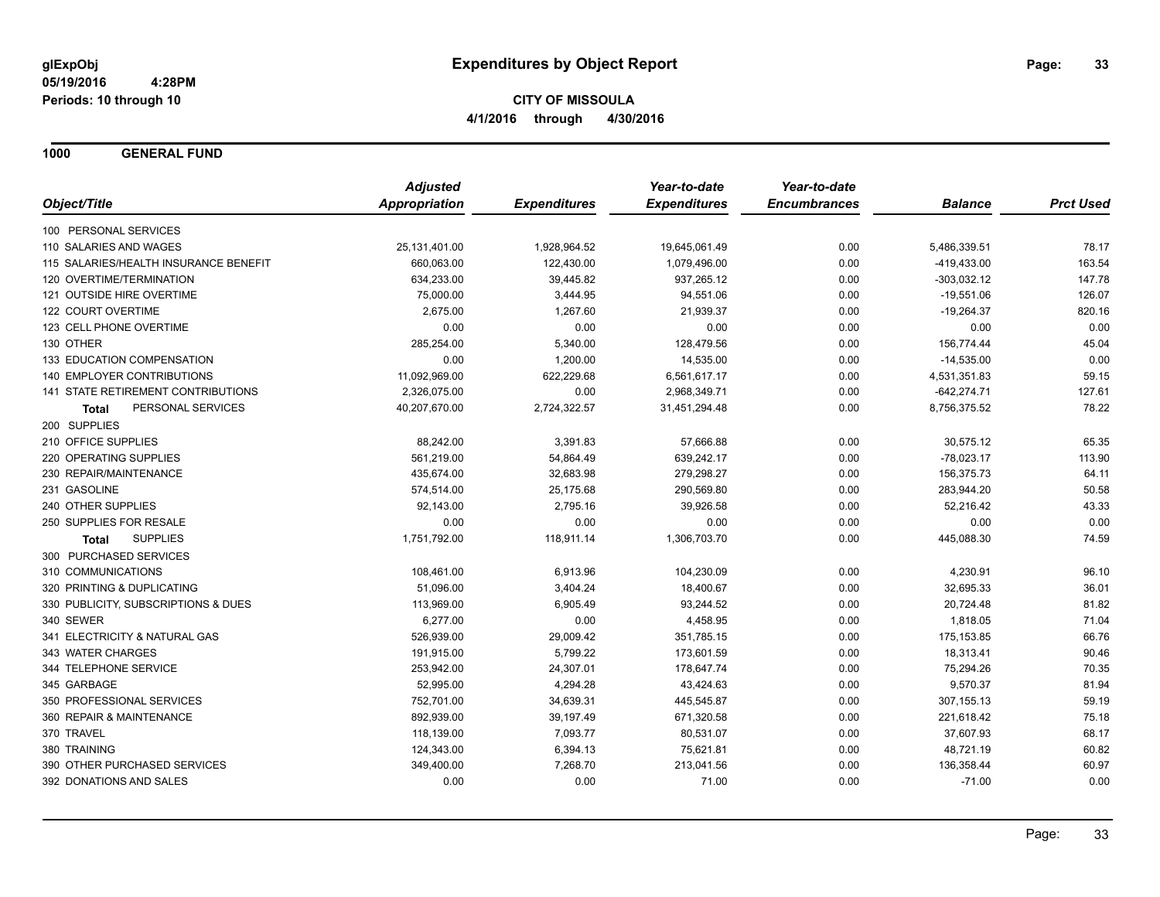**1000 GENERAL FUND**

|                                       | <b>Adjusted</b>      |                     | Year-to-date        | Year-to-date        |                |                  |
|---------------------------------------|----------------------|---------------------|---------------------|---------------------|----------------|------------------|
| Object/Title                          | <b>Appropriation</b> | <b>Expenditures</b> | <b>Expenditures</b> | <b>Encumbrances</b> | <b>Balance</b> | <b>Prct Used</b> |
| 100 PERSONAL SERVICES                 |                      |                     |                     |                     |                |                  |
| 110 SALARIES AND WAGES                | 25,131,401.00        | 1,928,964.52        | 19,645,061.49       | 0.00                | 5,486,339.51   | 78.17            |
| 115 SALARIES/HEALTH INSURANCE BENEFIT | 660,063.00           | 122,430.00          | 1,079,496.00        | 0.00                | $-419,433.00$  | 163.54           |
| 120 OVERTIME/TERMINATION              | 634,233.00           | 39,445.82           | 937,265.12          | 0.00                | $-303,032.12$  | 147.78           |
| 121 OUTSIDE HIRE OVERTIME             | 75,000.00            | 3,444.95            | 94,551.06           | 0.00                | $-19,551.06$   | 126.07           |
| 122 COURT OVERTIME                    | 2,675.00             | 1,267.60            | 21,939.37           | 0.00                | $-19,264.37$   | 820.16           |
| 123 CELL PHONE OVERTIME               | 0.00                 | 0.00                | 0.00                | 0.00                | 0.00           | 0.00             |
| 130 OTHER                             | 285,254.00           | 5,340.00            | 128,479.56          | 0.00                | 156,774.44     | 45.04            |
| 133 EDUCATION COMPENSATION            | 0.00                 | 1,200.00            | 14,535.00           | 0.00                | $-14,535.00$   | 0.00             |
| 140 EMPLOYER CONTRIBUTIONS            | 11,092,969.00        | 622,229.68          | 6,561,617.17        | 0.00                | 4,531,351.83   | 59.15            |
| 141 STATE RETIREMENT CONTRIBUTIONS    | 2,326,075.00         | 0.00                | 2,968,349.71        | 0.00                | $-642,274.71$  | 127.61           |
| PERSONAL SERVICES<br>Total            | 40,207,670.00        | 2,724,322.57        | 31,451,294.48       | 0.00                | 8,756,375.52   | 78.22            |
| 200 SUPPLIES                          |                      |                     |                     |                     |                |                  |
| 210 OFFICE SUPPLIES                   | 88,242.00            | 3,391.83            | 57,666.88           | 0.00                | 30,575.12      | 65.35            |
| 220 OPERATING SUPPLIES                | 561,219.00           | 54,864.49           | 639,242.17          | 0.00                | $-78,023.17$   | 113.90           |
| 230 REPAIR/MAINTENANCE                | 435,674.00           | 32,683.98           | 279,298.27          | 0.00                | 156,375.73     | 64.11            |
| 231 GASOLINE                          | 574,514.00           | 25,175.68           | 290,569.80          | 0.00                | 283,944.20     | 50.58            |
| 240 OTHER SUPPLIES                    | 92,143.00            | 2,795.16            | 39,926.58           | 0.00                | 52,216.42      | 43.33            |
| 250 SUPPLIES FOR RESALE               | 0.00                 | 0.00                | 0.00                | 0.00                | 0.00           | 0.00             |
| <b>SUPPLIES</b><br><b>Total</b>       | 1,751,792.00         | 118,911.14          | 1,306,703.70        | 0.00                | 445,088.30     | 74.59            |
| 300 PURCHASED SERVICES                |                      |                     |                     |                     |                |                  |
| 310 COMMUNICATIONS                    | 108,461.00           | 6,913.96            | 104,230.09          | 0.00                | 4,230.91       | 96.10            |
| 320 PRINTING & DUPLICATING            | 51,096.00            | 3,404.24            | 18,400.67           | 0.00                | 32,695.33      | 36.01            |
| 330 PUBLICITY, SUBSCRIPTIONS & DUES   | 113,969.00           | 6,905.49            | 93,244.52           | 0.00                | 20,724.48      | 81.82            |
| 340 SEWER                             | 6,277.00             | 0.00                | 4,458.95            | 0.00                | 1,818.05       | 71.04            |
| 341 ELECTRICITY & NATURAL GAS         | 526,939.00           | 29,009.42           | 351,785.15          | 0.00                | 175,153.85     | 66.76            |
| 343 WATER CHARGES                     | 191,915.00           | 5,799.22            | 173,601.59          | 0.00                | 18,313.41      | 90.46            |
| 344 TELEPHONE SERVICE                 | 253,942.00           | 24,307.01           | 178,647.74          | 0.00                | 75,294.26      | 70.35            |
| 345 GARBAGE                           | 52,995.00            | 4,294.28            | 43,424.63           | 0.00                | 9,570.37       | 81.94            |
| 350 PROFESSIONAL SERVICES             | 752,701.00           | 34,639.31           | 445,545.87          | 0.00                | 307,155.13     | 59.19            |
| 360 REPAIR & MAINTENANCE              | 892,939.00           | 39,197.49           | 671,320.58          | 0.00                | 221,618.42     | 75.18            |
| 370 TRAVEL                            | 118,139.00           | 7,093.77            | 80,531.07           | 0.00                | 37,607.93      | 68.17            |
| 380 TRAINING                          | 124,343.00           | 6,394.13            | 75,621.81           | 0.00                | 48,721.19      | 60.82            |
| 390 OTHER PURCHASED SERVICES          | 349,400.00           | 7,268.70            | 213,041.56          | 0.00                | 136,358.44     | 60.97            |
| 392 DONATIONS AND SALES               | 0.00                 | 0.00                | 71.00               | 0.00                | $-71.00$       | 0.00             |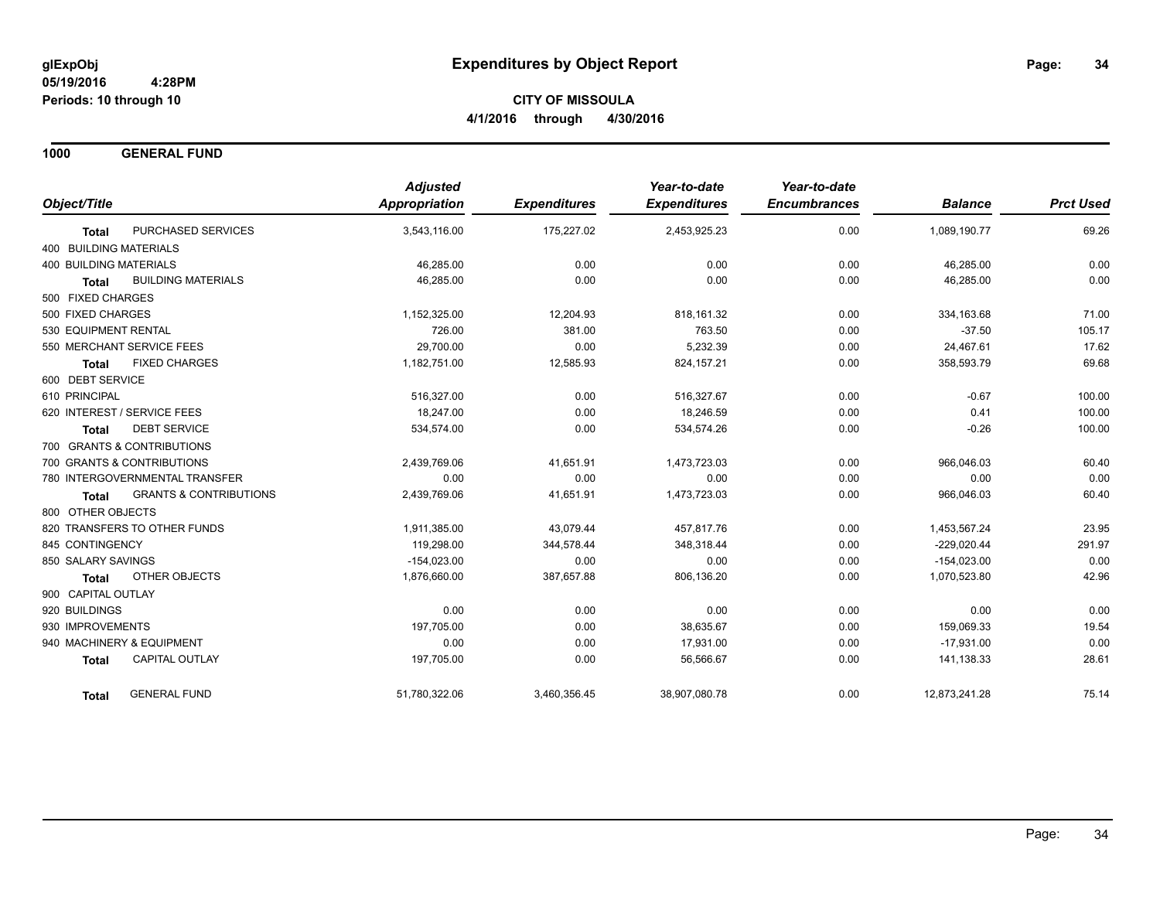**1000 GENERAL FUND**

|                                            | <b>Adjusted</b> |                     | Year-to-date        | Year-to-date        |                |                  |
|--------------------------------------------|-----------------|---------------------|---------------------|---------------------|----------------|------------------|
| Object/Title                               | Appropriation   | <b>Expenditures</b> | <b>Expenditures</b> | <b>Encumbrances</b> | <b>Balance</b> | <b>Prct Used</b> |
| PURCHASED SERVICES<br><b>Total</b>         | 3,543,116.00    | 175,227.02          | 2,453,925.23        | 0.00                | 1,089,190.77   | 69.26            |
| 400 BUILDING MATERIALS                     |                 |                     |                     |                     |                |                  |
| <b>400 BUILDING MATERIALS</b>              | 46,285.00       | 0.00                | 0.00                | 0.00                | 46,285.00      | 0.00             |
| <b>BUILDING MATERIALS</b><br><b>Total</b>  | 46,285.00       | 0.00                | 0.00                | 0.00                | 46,285.00      | 0.00             |
| 500 FIXED CHARGES                          |                 |                     |                     |                     |                |                  |
| 500 FIXED CHARGES                          | 1,152,325.00    | 12,204.93           | 818,161.32          | 0.00                | 334,163.68     | 71.00            |
| 530 EQUIPMENT RENTAL                       | 726.00          | 381.00              | 763.50              | 0.00                | $-37.50$       | 105.17           |
| 550 MERCHANT SERVICE FEES                  | 29,700.00       | 0.00                | 5,232.39            | 0.00                | 24,467.61      | 17.62            |
| <b>FIXED CHARGES</b><br><b>Total</b>       | 1,182,751.00    | 12,585.93           | 824, 157. 21        | 0.00                | 358,593.79     | 69.68            |
| 600 DEBT SERVICE                           |                 |                     |                     |                     |                |                  |
| 610 PRINCIPAL                              | 516,327.00      | 0.00                | 516,327.67          | 0.00                | $-0.67$        | 100.00           |
| 620 INTEREST / SERVICE FEES                | 18,247.00       | 0.00                | 18,246.59           | 0.00                | 0.41           | 100.00           |
| <b>DEBT SERVICE</b><br><b>Total</b>        | 534,574.00      | 0.00                | 534,574.26          | 0.00                | $-0.26$        | 100.00           |
| 700 GRANTS & CONTRIBUTIONS                 |                 |                     |                     |                     |                |                  |
| 700 GRANTS & CONTRIBUTIONS                 | 2,439,769.06    | 41,651.91           | 1,473,723.03        | 0.00                | 966,046.03     | 60.40            |
| 780 INTERGOVERNMENTAL TRANSFER             | 0.00            | 0.00                | 0.00                | 0.00                | 0.00           | 0.00             |
| <b>GRANTS &amp; CONTRIBUTIONS</b><br>Total | 2,439,769.06    | 41,651.91           | 1,473,723.03        | 0.00                | 966,046.03     | 60.40            |
| 800 OTHER OBJECTS                          |                 |                     |                     |                     |                |                  |
| 820 TRANSFERS TO OTHER FUNDS               | 1,911,385.00    | 43,079.44           | 457.817.76          | 0.00                | 1,453,567.24   | 23.95            |
| 845 CONTINGENCY                            | 119,298.00      | 344,578.44          | 348,318.44          | 0.00                | $-229,020.44$  | 291.97           |
| 850 SALARY SAVINGS                         | $-154,023.00$   | 0.00                | 0.00                | 0.00                | $-154,023.00$  | 0.00             |
| OTHER OBJECTS<br><b>Total</b>              | 1,876,660.00    | 387,657.88          | 806,136.20          | 0.00                | 1,070,523.80   | 42.96            |
| 900 CAPITAL OUTLAY                         |                 |                     |                     |                     |                |                  |
| 920 BUILDINGS                              | 0.00            | 0.00                | 0.00                | 0.00                | 0.00           | 0.00             |
| 930 IMPROVEMENTS                           | 197,705.00      | 0.00                | 38,635.67           | 0.00                | 159,069.33     | 19.54            |
| 940 MACHINERY & EQUIPMENT                  | 0.00            | 0.00                | 17,931.00           | 0.00                | $-17.931.00$   | 0.00             |
| <b>CAPITAL OUTLAY</b><br><b>Total</b>      | 197,705.00      | 0.00                | 56,566.67           | 0.00                | 141,138.33     | 28.61            |
| <b>GENERAL FUND</b><br>Total               | 51,780,322.06   | 3,460,356.45        | 38,907,080.78       | 0.00                | 12,873,241.28  | 75.14            |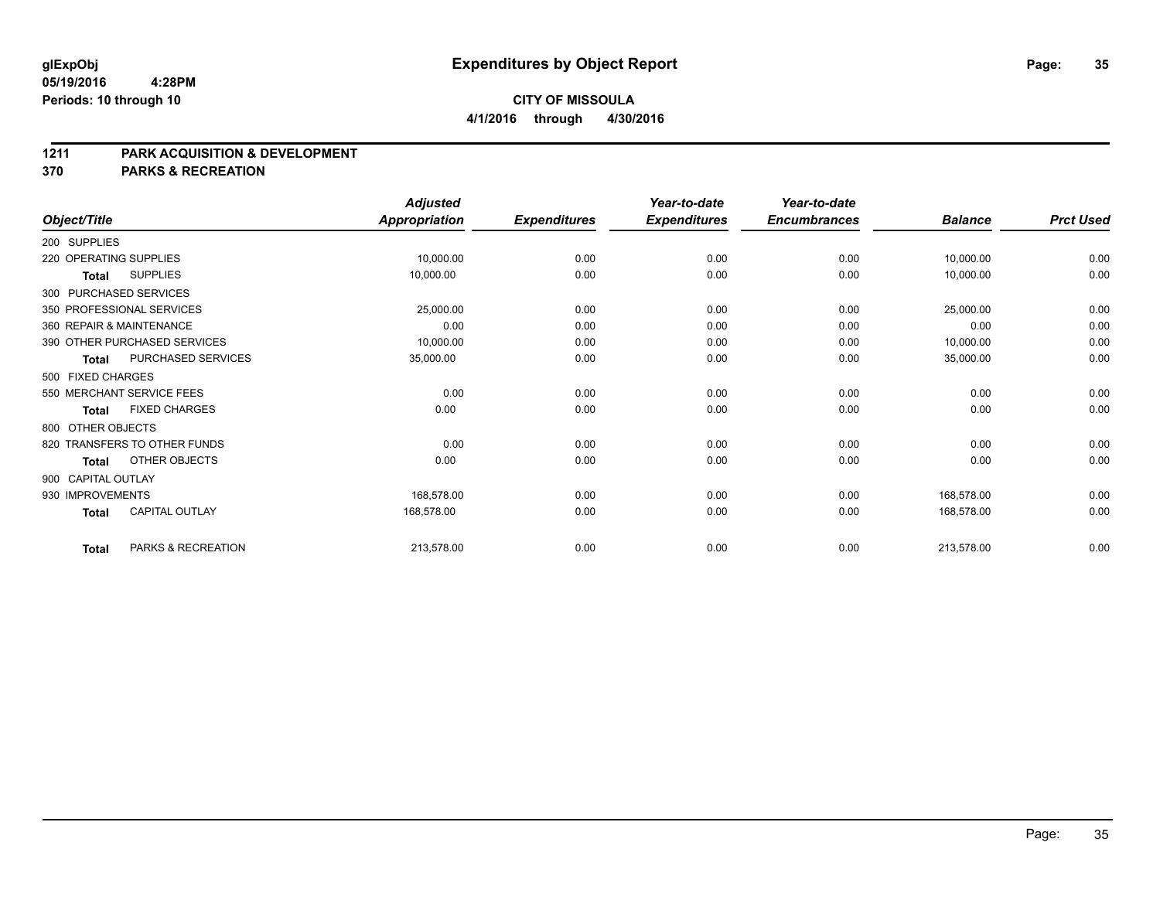#### **05/19/2016 4:28PM Periods: 10 through 10**

## **CITY OF MISSOULA 4/1/2016 through 4/30/2016**

#### **1211 PARK ACQUISITION & DEVELOPMENT**

**370 PARKS & RECREATION**

|                        |                              | <b>Adjusted</b> |                     | Year-to-date        | Year-to-date        |                |                  |
|------------------------|------------------------------|-----------------|---------------------|---------------------|---------------------|----------------|------------------|
| Object/Title           |                              | Appropriation   | <b>Expenditures</b> | <b>Expenditures</b> | <b>Encumbrances</b> | <b>Balance</b> | <b>Prct Used</b> |
| 200 SUPPLIES           |                              |                 |                     |                     |                     |                |                  |
| 220 OPERATING SUPPLIES |                              | 10,000.00       | 0.00                | 0.00                | 0.00                | 10,000.00      | 0.00             |
| <b>Total</b>           | <b>SUPPLIES</b>              | 10,000.00       | 0.00                | 0.00                | 0.00                | 10,000.00      | 0.00             |
|                        | 300 PURCHASED SERVICES       |                 |                     |                     |                     |                |                  |
|                        | 350 PROFESSIONAL SERVICES    | 25,000.00       | 0.00                | 0.00                | 0.00                | 25,000.00      | 0.00             |
|                        | 360 REPAIR & MAINTENANCE     | 0.00            | 0.00                | 0.00                | 0.00                | 0.00           | 0.00             |
|                        | 390 OTHER PURCHASED SERVICES | 10,000.00       | 0.00                | 0.00                | 0.00                | 10,000.00      | 0.00             |
| <b>Total</b>           | PURCHASED SERVICES           | 35,000.00       | 0.00                | 0.00                | 0.00                | 35,000.00      | 0.00             |
| 500 FIXED CHARGES      |                              |                 |                     |                     |                     |                |                  |
|                        | 550 MERCHANT SERVICE FEES    | 0.00            | 0.00                | 0.00                | 0.00                | 0.00           | 0.00             |
| <b>Total</b>           | <b>FIXED CHARGES</b>         | 0.00            | 0.00                | 0.00                | 0.00                | 0.00           | 0.00             |
| 800 OTHER OBJECTS      |                              |                 |                     |                     |                     |                |                  |
|                        | 820 TRANSFERS TO OTHER FUNDS | 0.00            | 0.00                | 0.00                | 0.00                | 0.00           | 0.00             |
| Total                  | OTHER OBJECTS                | 0.00            | 0.00                | 0.00                | 0.00                | 0.00           | 0.00             |
| 900 CAPITAL OUTLAY     |                              |                 |                     |                     |                     |                |                  |
| 930 IMPROVEMENTS       |                              | 168,578.00      | 0.00                | 0.00                | 0.00                | 168,578.00     | 0.00             |
| <b>Total</b>           | <b>CAPITAL OUTLAY</b>        | 168,578.00      | 0.00                | 0.00                | 0.00                | 168,578.00     | 0.00             |
| <b>Total</b>           | PARKS & RECREATION           | 213,578.00      | 0.00                | 0.00                | 0.00                | 213,578.00     | 0.00             |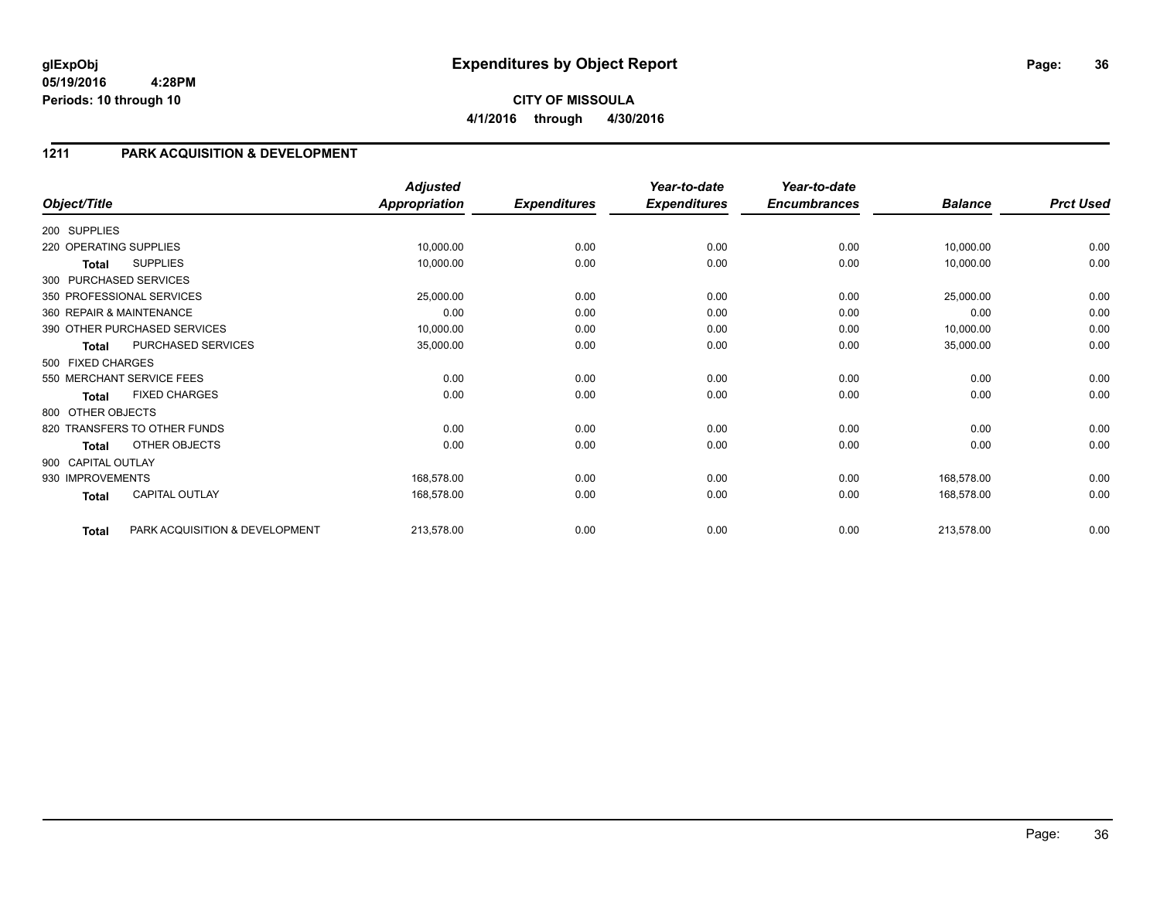#### **05/19/2016 4:28PM Periods: 10 through 10**

# **CITY OF MISSOULA 4/1/2016 through 4/30/2016**

# **1211 PARK ACQUISITION & DEVELOPMENT**

|                        |                                | <b>Adjusted</b>      |                     | Year-to-date        | Year-to-date        |                |                  |
|------------------------|--------------------------------|----------------------|---------------------|---------------------|---------------------|----------------|------------------|
| Object/Title           |                                | <b>Appropriation</b> | <b>Expenditures</b> | <b>Expenditures</b> | <b>Encumbrances</b> | <b>Balance</b> | <b>Prct Used</b> |
| 200 SUPPLIES           |                                |                      |                     |                     |                     |                |                  |
| 220 OPERATING SUPPLIES |                                | 10,000.00            | 0.00                | 0.00                | 0.00                | 10,000.00      | 0.00             |
| Total                  | <b>SUPPLIES</b>                | 10,000.00            | 0.00                | 0.00                | 0.00                | 10,000.00      | 0.00             |
|                        | 300 PURCHASED SERVICES         |                      |                     |                     |                     |                |                  |
|                        | 350 PROFESSIONAL SERVICES      | 25,000.00            | 0.00                | 0.00                | 0.00                | 25,000.00      | 0.00             |
|                        | 360 REPAIR & MAINTENANCE       | 0.00                 | 0.00                | 0.00                | 0.00                | 0.00           | 0.00             |
|                        | 390 OTHER PURCHASED SERVICES   | 10,000.00            | 0.00                | 0.00                | 0.00                | 10,000.00      | 0.00             |
| <b>Total</b>           | PURCHASED SERVICES             | 35,000.00            | 0.00                | 0.00                | 0.00                | 35,000.00      | 0.00             |
| 500 FIXED CHARGES      |                                |                      |                     |                     |                     |                |                  |
|                        | 550 MERCHANT SERVICE FEES      | 0.00                 | 0.00                | 0.00                | 0.00                | 0.00           | 0.00             |
| Total                  | <b>FIXED CHARGES</b>           | 0.00                 | 0.00                | 0.00                | 0.00                | 0.00           | 0.00             |
| 800 OTHER OBJECTS      |                                |                      |                     |                     |                     |                |                  |
|                        | 820 TRANSFERS TO OTHER FUNDS   | 0.00                 | 0.00                | 0.00                | 0.00                | 0.00           | 0.00             |
| <b>Total</b>           | OTHER OBJECTS                  | 0.00                 | 0.00                | 0.00                | 0.00                | 0.00           | 0.00             |
| 900 CAPITAL OUTLAY     |                                |                      |                     |                     |                     |                |                  |
| 930 IMPROVEMENTS       |                                | 168,578.00           | 0.00                | 0.00                | 0.00                | 168,578.00     | 0.00             |
| <b>Total</b>           | <b>CAPITAL OUTLAY</b>          | 168,578.00           | 0.00                | 0.00                | 0.00                | 168,578.00     | 0.00             |
| <b>Total</b>           | PARK ACQUISITION & DEVELOPMENT | 213,578.00           | 0.00                | 0.00                | 0.00                | 213,578.00     | 0.00             |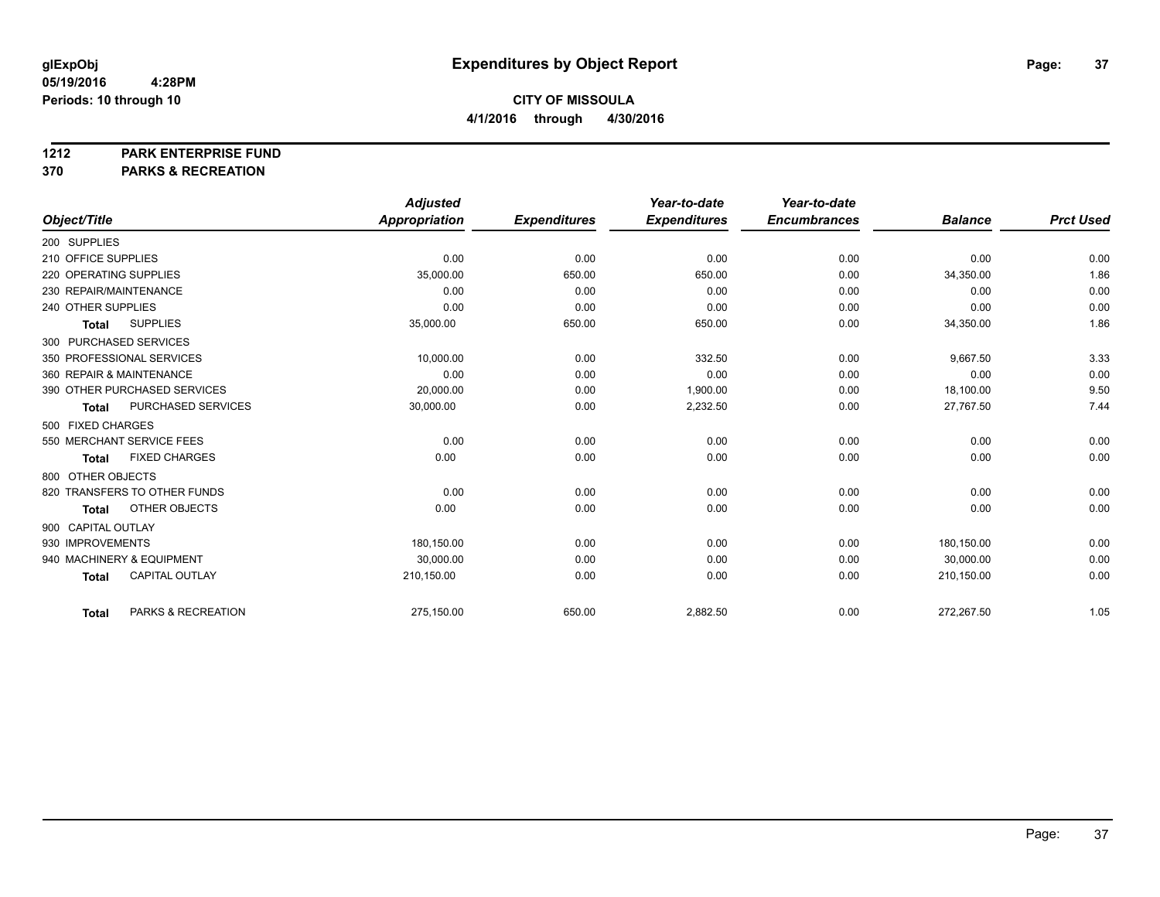#### **1212 PARK ENTERPRISE FUND**

**370 PARKS & RECREATION**

|                        |                              | <b>Adjusted</b>      |                     | Year-to-date        | Year-to-date        |                |                  |
|------------------------|------------------------------|----------------------|---------------------|---------------------|---------------------|----------------|------------------|
| Object/Title           |                              | <b>Appropriation</b> | <b>Expenditures</b> | <b>Expenditures</b> | <b>Encumbrances</b> | <b>Balance</b> | <b>Prct Used</b> |
| 200 SUPPLIES           |                              |                      |                     |                     |                     |                |                  |
| 210 OFFICE SUPPLIES    |                              | 0.00                 | 0.00                | 0.00                | 0.00                | 0.00           | 0.00             |
| 220 OPERATING SUPPLIES |                              | 35,000.00            | 650.00              | 650.00              | 0.00                | 34,350.00      | 1.86             |
| 230 REPAIR/MAINTENANCE |                              | 0.00                 | 0.00                | 0.00                | 0.00                | 0.00           | 0.00             |
| 240 OTHER SUPPLIES     |                              | 0.00                 | 0.00                | 0.00                | 0.00                | 0.00           | 0.00             |
| <b>Total</b>           | <b>SUPPLIES</b>              | 35,000.00            | 650.00              | 650.00              | 0.00                | 34,350.00      | 1.86             |
|                        | 300 PURCHASED SERVICES       |                      |                     |                     |                     |                |                  |
|                        | 350 PROFESSIONAL SERVICES    | 10,000.00            | 0.00                | 332.50              | 0.00                | 9,667.50       | 3.33             |
|                        | 360 REPAIR & MAINTENANCE     | 0.00                 | 0.00                | 0.00                | 0.00                | 0.00           | 0.00             |
|                        | 390 OTHER PURCHASED SERVICES | 20,000.00            | 0.00                | 1,900.00            | 0.00                | 18,100.00      | 9.50             |
| Total                  | PURCHASED SERVICES           | 30,000.00            | 0.00                | 2,232.50            | 0.00                | 27,767.50      | 7.44             |
| 500 FIXED CHARGES      |                              |                      |                     |                     |                     |                |                  |
|                        | 550 MERCHANT SERVICE FEES    | 0.00                 | 0.00                | 0.00                | 0.00                | 0.00           | 0.00             |
| Total                  | <b>FIXED CHARGES</b>         | 0.00                 | 0.00                | 0.00                | 0.00                | 0.00           | 0.00             |
| 800 OTHER OBJECTS      |                              |                      |                     |                     |                     |                |                  |
|                        | 820 TRANSFERS TO OTHER FUNDS | 0.00                 | 0.00                | 0.00                | 0.00                | 0.00           | 0.00             |
| <b>Total</b>           | OTHER OBJECTS                | 0.00                 | 0.00                | 0.00                | 0.00                | 0.00           | 0.00             |
| 900 CAPITAL OUTLAY     |                              |                      |                     |                     |                     |                |                  |
| 930 IMPROVEMENTS       |                              | 180,150.00           | 0.00                | 0.00                | 0.00                | 180,150.00     | 0.00             |
|                        | 940 MACHINERY & EQUIPMENT    | 30,000.00            | 0.00                | 0.00                | 0.00                | 30,000.00      | 0.00             |
| <b>Total</b>           | <b>CAPITAL OUTLAY</b>        | 210,150.00           | 0.00                | 0.00                | 0.00                | 210,150.00     | 0.00             |
|                        |                              |                      |                     |                     |                     |                |                  |
| <b>Total</b>           | PARKS & RECREATION           | 275,150.00           | 650.00              | 2,882.50            | 0.00                | 272,267.50     | 1.05             |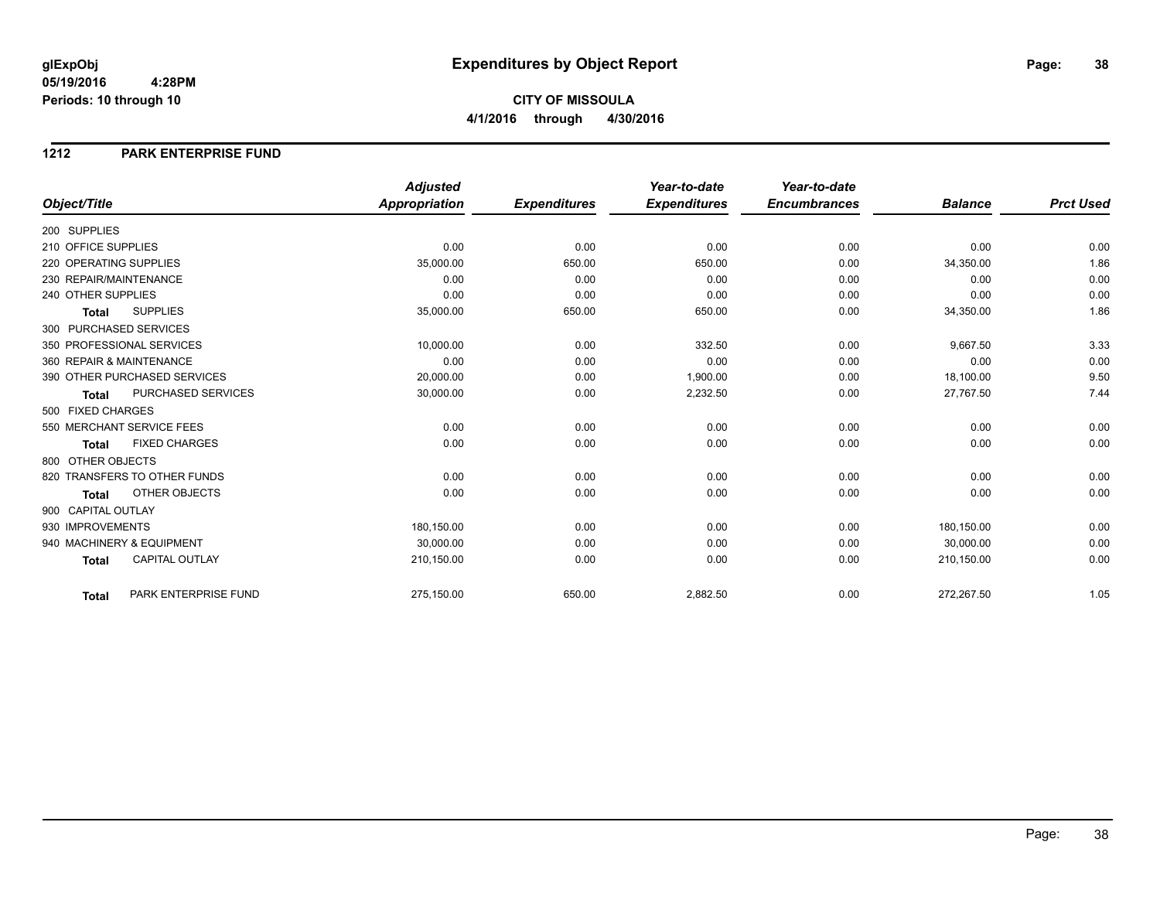### **1212 PARK ENTERPRISE FUND**

**05/19/2016**

|                           |                              | <b>Adjusted</b> |                     | Year-to-date        | Year-to-date        |                |                  |
|---------------------------|------------------------------|-----------------|---------------------|---------------------|---------------------|----------------|------------------|
| Object/Title              |                              | Appropriation   | <b>Expenditures</b> | <b>Expenditures</b> | <b>Encumbrances</b> | <b>Balance</b> | <b>Prct Used</b> |
| 200 SUPPLIES              |                              |                 |                     |                     |                     |                |                  |
| 210 OFFICE SUPPLIES       |                              | 0.00            | 0.00                | 0.00                | 0.00                | 0.00           | 0.00             |
| 220 OPERATING SUPPLIES    |                              | 35,000.00       | 650.00              | 650.00              | 0.00                | 34,350.00      | 1.86             |
| 230 REPAIR/MAINTENANCE    |                              | 0.00            | 0.00                | 0.00                | 0.00                | 0.00           | 0.00             |
| 240 OTHER SUPPLIES        |                              | 0.00            | 0.00                | 0.00                | 0.00                | 0.00           | 0.00             |
| <b>Total</b>              | <b>SUPPLIES</b>              | 35,000.00       | 650.00              | 650.00              | 0.00                | 34,350.00      | 1.86             |
| 300 PURCHASED SERVICES    |                              |                 |                     |                     |                     |                |                  |
| 350 PROFESSIONAL SERVICES |                              | 10,000.00       | 0.00                | 332.50              | 0.00                | 9,667.50       | 3.33             |
| 360 REPAIR & MAINTENANCE  |                              | 0.00            | 0.00                | 0.00                | 0.00                | 0.00           | 0.00             |
|                           | 390 OTHER PURCHASED SERVICES | 20,000.00       | 0.00                | 1,900.00            | 0.00                | 18,100.00      | 9.50             |
| <b>Total</b>              | <b>PURCHASED SERVICES</b>    | 30,000.00       | 0.00                | 2,232.50            | 0.00                | 27,767.50      | 7.44             |
| 500 FIXED CHARGES         |                              |                 |                     |                     |                     |                |                  |
| 550 MERCHANT SERVICE FEES |                              | 0.00            | 0.00                | 0.00                | 0.00                | 0.00           | 0.00             |
| <b>Total</b>              | <b>FIXED CHARGES</b>         | 0.00            | 0.00                | 0.00                | 0.00                | 0.00           | 0.00             |
| 800 OTHER OBJECTS         |                              |                 |                     |                     |                     |                |                  |
|                           | 820 TRANSFERS TO OTHER FUNDS | 0.00            | 0.00                | 0.00                | 0.00                | 0.00           | 0.00             |
| <b>Total</b>              | <b>OTHER OBJECTS</b>         | 0.00            | 0.00                | 0.00                | 0.00                | 0.00           | 0.00             |
| 900 CAPITAL OUTLAY        |                              |                 |                     |                     |                     |                |                  |
| 930 IMPROVEMENTS          |                              | 180,150.00      | 0.00                | 0.00                | 0.00                | 180,150.00     | 0.00             |
| 940 MACHINERY & EQUIPMENT |                              | 30,000.00       | 0.00                | 0.00                | 0.00                | 30,000.00      | 0.00             |
| <b>Total</b>              | <b>CAPITAL OUTLAY</b>        | 210,150.00      | 0.00                | 0.00                | 0.00                | 210,150.00     | 0.00             |
| <b>Total</b>              | PARK ENTERPRISE FUND         | 275,150.00      | 650.00              | 2,882.50            | 0.00                | 272,267.50     | 1.05             |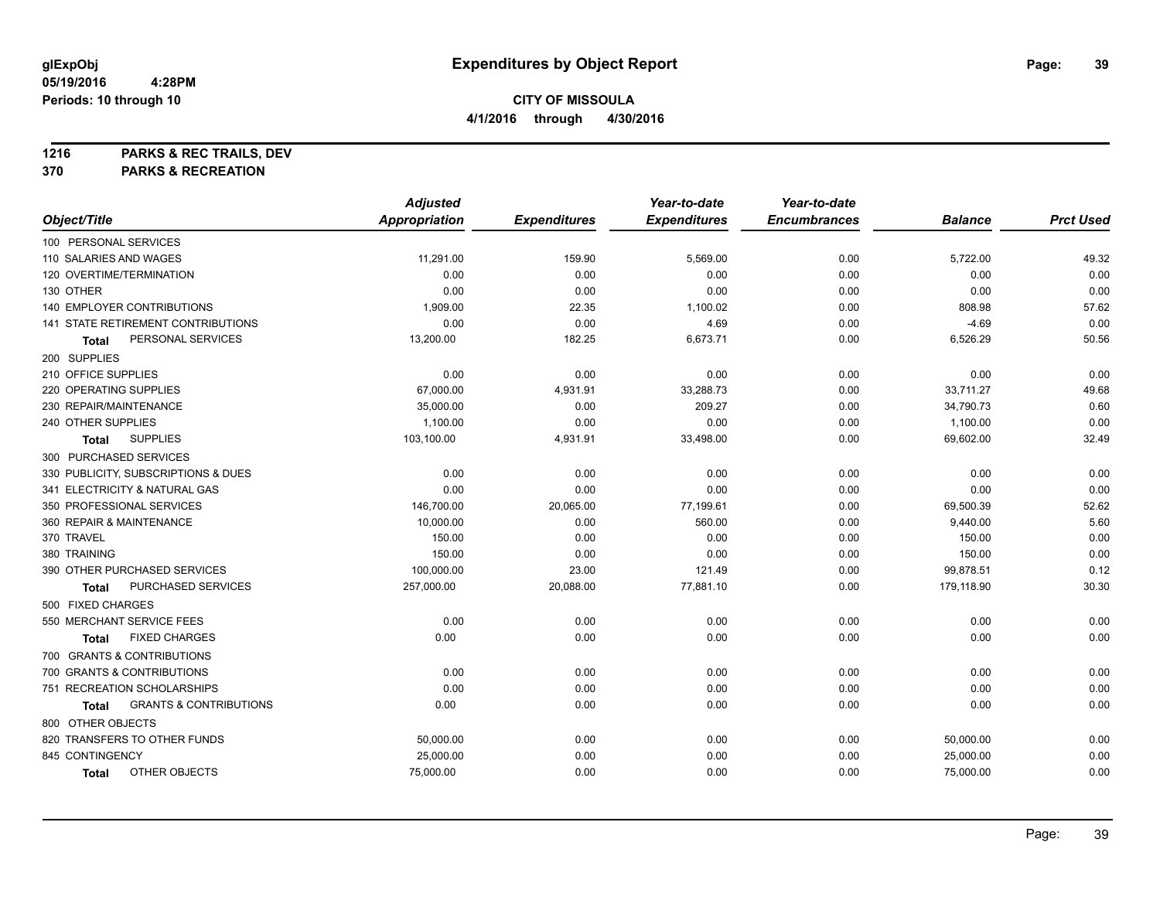**1216 PARKS & REC TRAILS, DEV**

**370 PARKS & RECREATION**

|                                            | <b>Adjusted</b>      |                     | Year-to-date        | Year-to-date        |                |                  |
|--------------------------------------------|----------------------|---------------------|---------------------|---------------------|----------------|------------------|
| Object/Title                               | <b>Appropriation</b> | <b>Expenditures</b> | <b>Expenditures</b> | <b>Encumbrances</b> | <b>Balance</b> | <b>Prct Used</b> |
| 100 PERSONAL SERVICES                      |                      |                     |                     |                     |                |                  |
| 110 SALARIES AND WAGES                     | 11,291.00            | 159.90              | 5,569.00            | 0.00                | 5,722.00       | 49.32            |
| 120 OVERTIME/TERMINATION                   | 0.00                 | 0.00                | 0.00                | 0.00                | 0.00           | 0.00             |
| 130 OTHER                                  | 0.00                 | 0.00                | 0.00                | 0.00                | 0.00           | 0.00             |
| <b>140 EMPLOYER CONTRIBUTIONS</b>          | 1,909.00             | 22.35               | 1,100.02            | 0.00                | 808.98         | 57.62            |
| <b>141 STATE RETIREMENT CONTRIBUTIONS</b>  | 0.00                 | 0.00                | 4.69                | 0.00                | $-4.69$        | 0.00             |
| PERSONAL SERVICES<br>Total                 | 13,200.00            | 182.25              | 6,673.71            | 0.00                | 6,526.29       | 50.56            |
| 200 SUPPLIES                               |                      |                     |                     |                     |                |                  |
| 210 OFFICE SUPPLIES                        | 0.00                 | 0.00                | 0.00                | 0.00                | 0.00           | 0.00             |
| 220 OPERATING SUPPLIES                     | 67,000.00            | 4,931.91            | 33,288.73           | 0.00                | 33,711.27      | 49.68            |
| 230 REPAIR/MAINTENANCE                     | 35,000.00            | 0.00                | 209.27              | 0.00                | 34,790.73      | 0.60             |
| 240 OTHER SUPPLIES                         | 1,100.00             | 0.00                | 0.00                | 0.00                | 1,100.00       | 0.00             |
| <b>SUPPLIES</b><br><b>Total</b>            | 103,100.00           | 4,931.91            | 33,498.00           | 0.00                | 69,602.00      | 32.49            |
| 300 PURCHASED SERVICES                     |                      |                     |                     |                     |                |                  |
| 330 PUBLICITY, SUBSCRIPTIONS & DUES        | 0.00                 | 0.00                | 0.00                | 0.00                | 0.00           | 0.00             |
| 341 ELECTRICITY & NATURAL GAS              | 0.00                 | 0.00                | 0.00                | 0.00                | 0.00           | 0.00             |
| 350 PROFESSIONAL SERVICES                  | 146,700.00           | 20,065.00           | 77,199.61           | 0.00                | 69,500.39      | 52.62            |
| 360 REPAIR & MAINTENANCE                   | 10,000.00            | 0.00                | 560.00              | 0.00                | 9,440.00       | 5.60             |
| 370 TRAVEL                                 | 150.00               | 0.00                | 0.00                | 0.00                | 150.00         | 0.00             |
| 380 TRAINING                               | 150.00               | 0.00                | 0.00                | 0.00                | 150.00         | 0.00             |
| 390 OTHER PURCHASED SERVICES               | 100,000.00           | 23.00               | 121.49              | 0.00                | 99,878.51      | 0.12             |
| <b>PURCHASED SERVICES</b><br>Total         | 257,000.00           | 20,088.00           | 77,881.10           | 0.00                | 179,118.90     | 30.30            |
| 500 FIXED CHARGES                          |                      |                     |                     |                     |                |                  |
| 550 MERCHANT SERVICE FEES                  | 0.00                 | 0.00                | 0.00                | 0.00                | 0.00           | 0.00             |
| <b>FIXED CHARGES</b><br>Total              | 0.00                 | 0.00                | 0.00                | 0.00                | 0.00           | 0.00             |
| 700 GRANTS & CONTRIBUTIONS                 |                      |                     |                     |                     |                |                  |
| 700 GRANTS & CONTRIBUTIONS                 | 0.00                 | 0.00                | 0.00                | 0.00                | 0.00           | 0.00             |
| 751 RECREATION SCHOLARSHIPS                | 0.00                 | 0.00                | 0.00                | 0.00                | 0.00           | 0.00             |
| <b>GRANTS &amp; CONTRIBUTIONS</b><br>Total | 0.00                 | 0.00                | 0.00                | 0.00                | 0.00           | 0.00             |
| 800 OTHER OBJECTS                          |                      |                     |                     |                     |                |                  |
| 820 TRANSFERS TO OTHER FUNDS               | 50,000.00            | 0.00                | 0.00                | 0.00                | 50,000.00      | 0.00             |
| 845 CONTINGENCY                            | 25,000.00            | 0.00                | 0.00                | 0.00                | 25,000.00      | 0.00             |
| OTHER OBJECTS<br><b>Total</b>              | 75,000.00            | 0.00                | 0.00                | 0.00                | 75,000.00      | 0.00             |
|                                            |                      |                     |                     |                     |                |                  |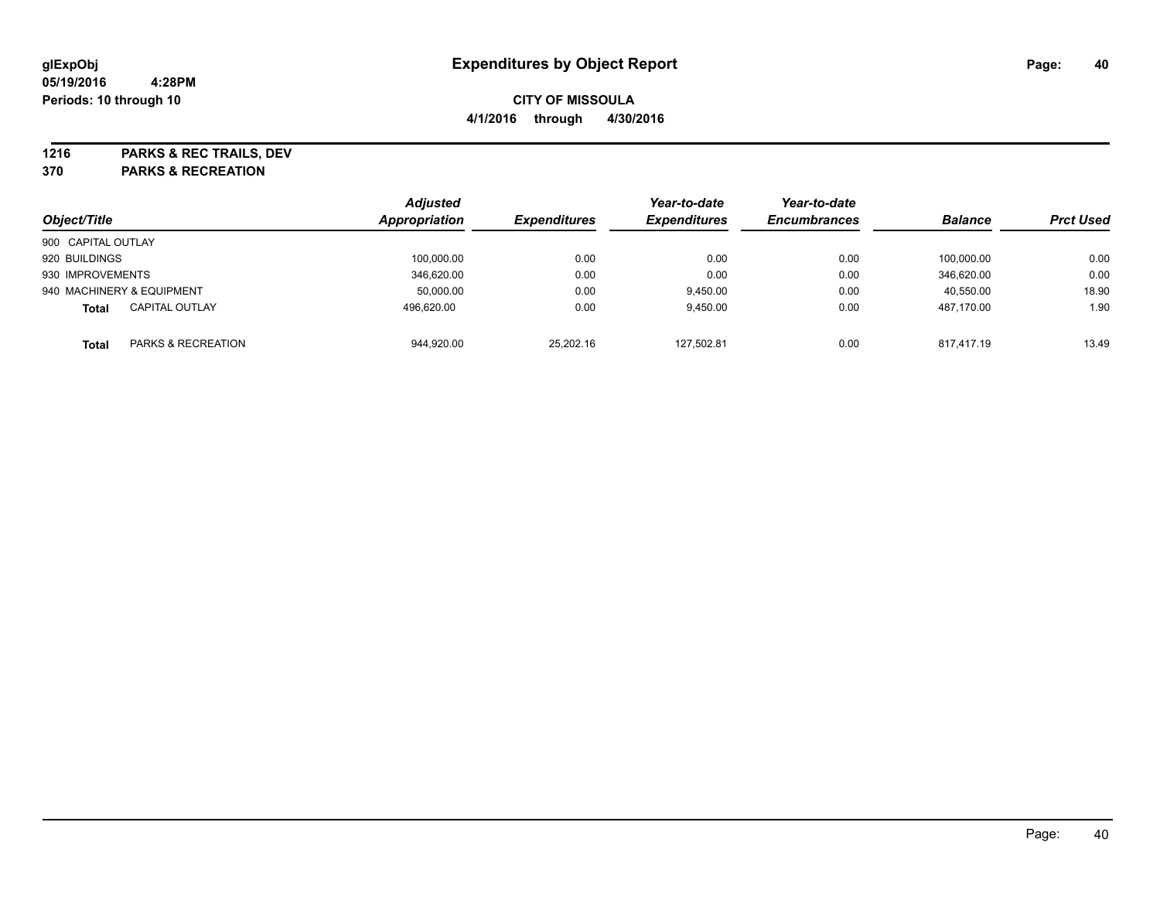**1216 PARKS & REC TRAILS, DEV**

**370 PARKS & RECREATION**

| Object/Title       |                           | <b>Adjusted</b><br>Appropriation | <b>Expenditures</b> | Year-to-date<br><b>Expenditures</b> | Year-to-date<br><b>Encumbrances</b> | <b>Balance</b> | <b>Prct Used</b> |
|--------------------|---------------------------|----------------------------------|---------------------|-------------------------------------|-------------------------------------|----------------|------------------|
|                    |                           |                                  |                     |                                     |                                     |                |                  |
| 900 CAPITAL OUTLAY |                           |                                  |                     |                                     |                                     |                |                  |
| 920 BUILDINGS      |                           | 100,000.00                       | 0.00                | 0.00                                | 0.00                                | 100.000.00     | 0.00             |
| 930 IMPROVEMENTS   |                           | 346.620.00                       | 0.00                | 0.00                                | 0.00                                | 346.620.00     | 0.00             |
|                    | 940 MACHINERY & EQUIPMENT | 50,000.00                        | 0.00                | 9.450.00                            | 0.00                                | 40.550.00      | 18.90            |
| <b>Total</b>       | <b>CAPITAL OUTLAY</b>     | 496,620.00                       | 0.00                | 9,450.00                            | 0.00                                | 487,170.00     | 1.90             |
| <b>Total</b>       | PARKS & RECREATION        | 944.920.00                       | 25.202.16           | 127.502.81                          | 0.00                                | 817.417.19     | 13.49            |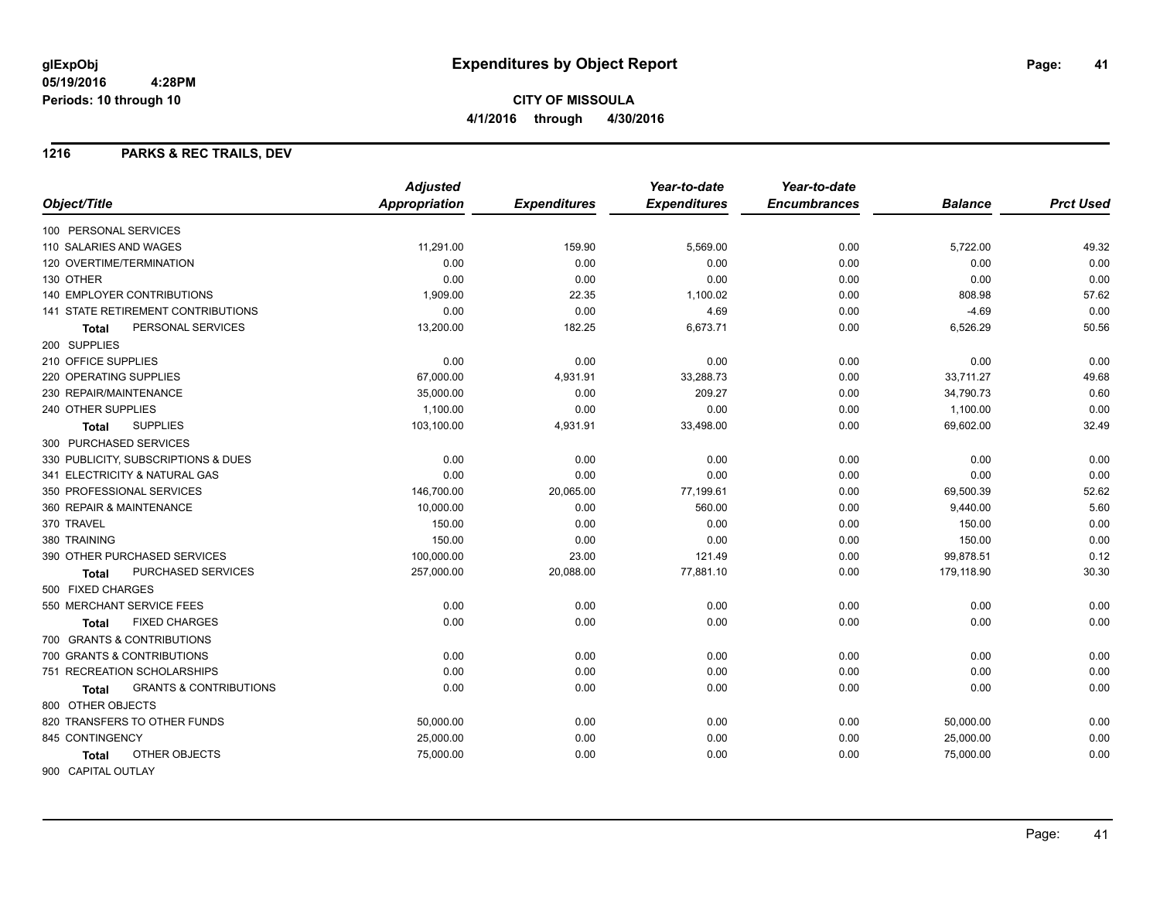### **CITY OF MISSOULA 4/1/2016 through 4/30/2016**

### **1216 PARKS & REC TRAILS, DEV**

|                                            | <b>Adjusted</b>      |                     | Year-to-date        | Year-to-date        |                |                  |
|--------------------------------------------|----------------------|---------------------|---------------------|---------------------|----------------|------------------|
| Object/Title                               | <b>Appropriation</b> | <b>Expenditures</b> | <b>Expenditures</b> | <b>Encumbrances</b> | <b>Balance</b> | <b>Prct Used</b> |
| 100 PERSONAL SERVICES                      |                      |                     |                     |                     |                |                  |
| 110 SALARIES AND WAGES                     | 11,291.00            | 159.90              | 5,569.00            | 0.00                | 5,722.00       | 49.32            |
| 120 OVERTIME/TERMINATION                   | 0.00                 | 0.00                | 0.00                | 0.00                | 0.00           | 0.00             |
| 130 OTHER                                  | 0.00                 | 0.00                | 0.00                | 0.00                | 0.00           | 0.00             |
| 140 EMPLOYER CONTRIBUTIONS                 | 1,909.00             | 22.35               | 1,100.02            | 0.00                | 808.98         | 57.62            |
| 141 STATE RETIREMENT CONTRIBUTIONS         | 0.00                 | 0.00                | 4.69                | 0.00                | $-4.69$        | 0.00             |
| PERSONAL SERVICES<br><b>Total</b>          | 13,200.00            | 182.25              | 6,673.71            | 0.00                | 6,526.29       | 50.56            |
| 200 SUPPLIES                               |                      |                     |                     |                     |                |                  |
| 210 OFFICE SUPPLIES                        | 0.00                 | 0.00                | 0.00                | 0.00                | 0.00           | 0.00             |
| 220 OPERATING SUPPLIES                     | 67,000.00            | 4,931.91            | 33,288.73           | 0.00                | 33,711.27      | 49.68            |
| 230 REPAIR/MAINTENANCE                     | 35,000.00            | 0.00                | 209.27              | 0.00                | 34,790.73      | 0.60             |
| 240 OTHER SUPPLIES                         | 1,100.00             | 0.00                | 0.00                | 0.00                | 1,100.00       | 0.00             |
| <b>SUPPLIES</b><br><b>Total</b>            | 103,100.00           | 4,931.91            | 33,498.00           | 0.00                | 69,602.00      | 32.49            |
| 300 PURCHASED SERVICES                     |                      |                     |                     |                     |                |                  |
| 330 PUBLICITY, SUBSCRIPTIONS & DUES        | 0.00                 | 0.00                | 0.00                | 0.00                | 0.00           | 0.00             |
| 341 ELECTRICITY & NATURAL GAS              | 0.00                 | 0.00                | 0.00                | 0.00                | 0.00           | 0.00             |
| 350 PROFESSIONAL SERVICES                  | 146,700.00           | 20,065.00           | 77,199.61           | 0.00                | 69,500.39      | 52.62            |
| 360 REPAIR & MAINTENANCE                   | 10,000.00            | 0.00                | 560.00              | 0.00                | 9,440.00       | 5.60             |
| 370 TRAVEL                                 | 150.00               | 0.00                | 0.00                | 0.00                | 150.00         | 0.00             |
| 380 TRAINING                               | 150.00               | 0.00                | 0.00                | 0.00                | 150.00         | 0.00             |
| 390 OTHER PURCHASED SERVICES               | 100,000.00           | 23.00               | 121.49              | 0.00                | 99,878.51      | 0.12             |
| <b>PURCHASED SERVICES</b><br>Total         | 257,000.00           | 20,088.00           | 77,881.10           | 0.00                | 179,118.90     | 30.30            |
| 500 FIXED CHARGES                          |                      |                     |                     |                     |                |                  |
| 550 MERCHANT SERVICE FEES                  | 0.00                 | 0.00                | 0.00                | 0.00                | 0.00           | 0.00             |
| <b>FIXED CHARGES</b><br><b>Total</b>       | 0.00                 | 0.00                | 0.00                | 0.00                | 0.00           | 0.00             |
| 700 GRANTS & CONTRIBUTIONS                 |                      |                     |                     |                     |                |                  |
| 700 GRANTS & CONTRIBUTIONS                 | 0.00                 | 0.00                | 0.00                | 0.00                | 0.00           | 0.00             |
| 751 RECREATION SCHOLARSHIPS                | 0.00                 | 0.00                | 0.00                | 0.00                | 0.00           | 0.00             |
| <b>GRANTS &amp; CONTRIBUTIONS</b><br>Total | 0.00                 | 0.00                | 0.00                | 0.00                | 0.00           | 0.00             |
| 800 OTHER OBJECTS                          |                      |                     |                     |                     |                |                  |
| 820 TRANSFERS TO OTHER FUNDS               | 50,000.00            | 0.00                | 0.00                | 0.00                | 50,000.00      | 0.00             |
| 845 CONTINGENCY                            | 25,000.00            | 0.00                | 0.00                | 0.00                | 25,000.00      | 0.00             |
| OTHER OBJECTS<br><b>Total</b>              | 75,000.00            | 0.00                | 0.00                | 0.00                | 75,000.00      | 0.00             |
| 900 CAPITAL OUTLAY                         |                      |                     |                     |                     |                |                  |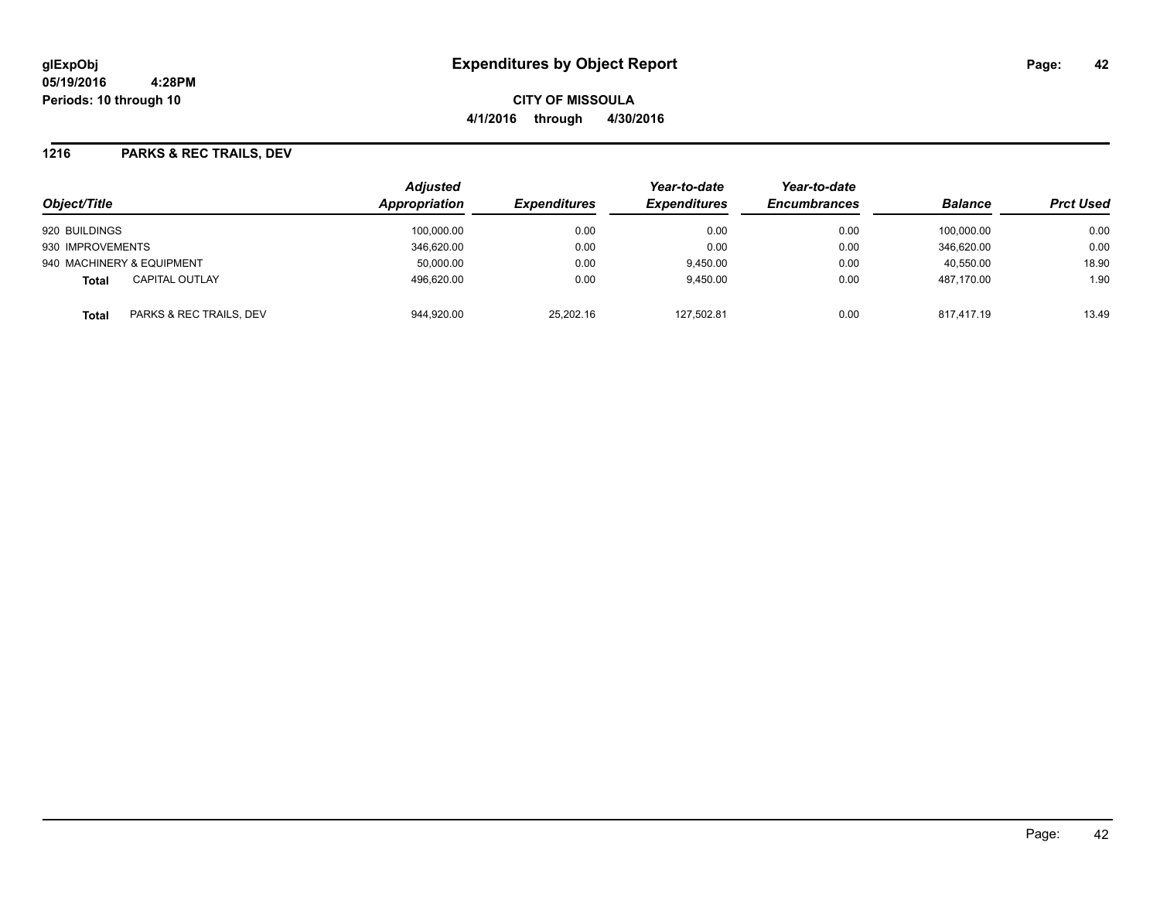**CITY OF MISSOULA 4/1/2016 through 4/30/2016**

### **1216 PARKS & REC TRAILS, DEV**

| Object/Title                          | <b>Adjusted</b><br><b>Appropriation</b> | <b>Expenditures</b> | Year-to-date<br><b>Expenditures</b> | Year-to-date<br><b>Encumbrances</b> | <b>Balance</b>           | <b>Prct Used</b> |
|---------------------------------------|-----------------------------------------|---------------------|-------------------------------------|-------------------------------------|--------------------------|------------------|
|                                       |                                         |                     |                                     |                                     |                          |                  |
| 920 BUILDINGS<br>930 IMPROVEMENTS     | 100,000.00<br>346.620.00                | 0.00<br>0.00        | 0.00<br>0.00                        | 0.00<br>0.00                        | 100.000.00<br>346.620.00 | 0.00<br>0.00     |
| 940 MACHINERY & EQUIPMENT             | 50,000.00                               | 0.00                | 9.450.00                            | 0.00                                | 40.550.00                | 18.90            |
| <b>CAPITAL OUTLAY</b><br><b>Total</b> | 496,620.00                              | 0.00                | 9,450.00                            | 0.00                                | 487.170.00               | 1.90             |
| PARKS & REC TRAILS, DEV<br>Total      | 944,920.00                              | 25,202.16           | 127,502.81                          | 0.00                                | 817.417.19               | 13.49            |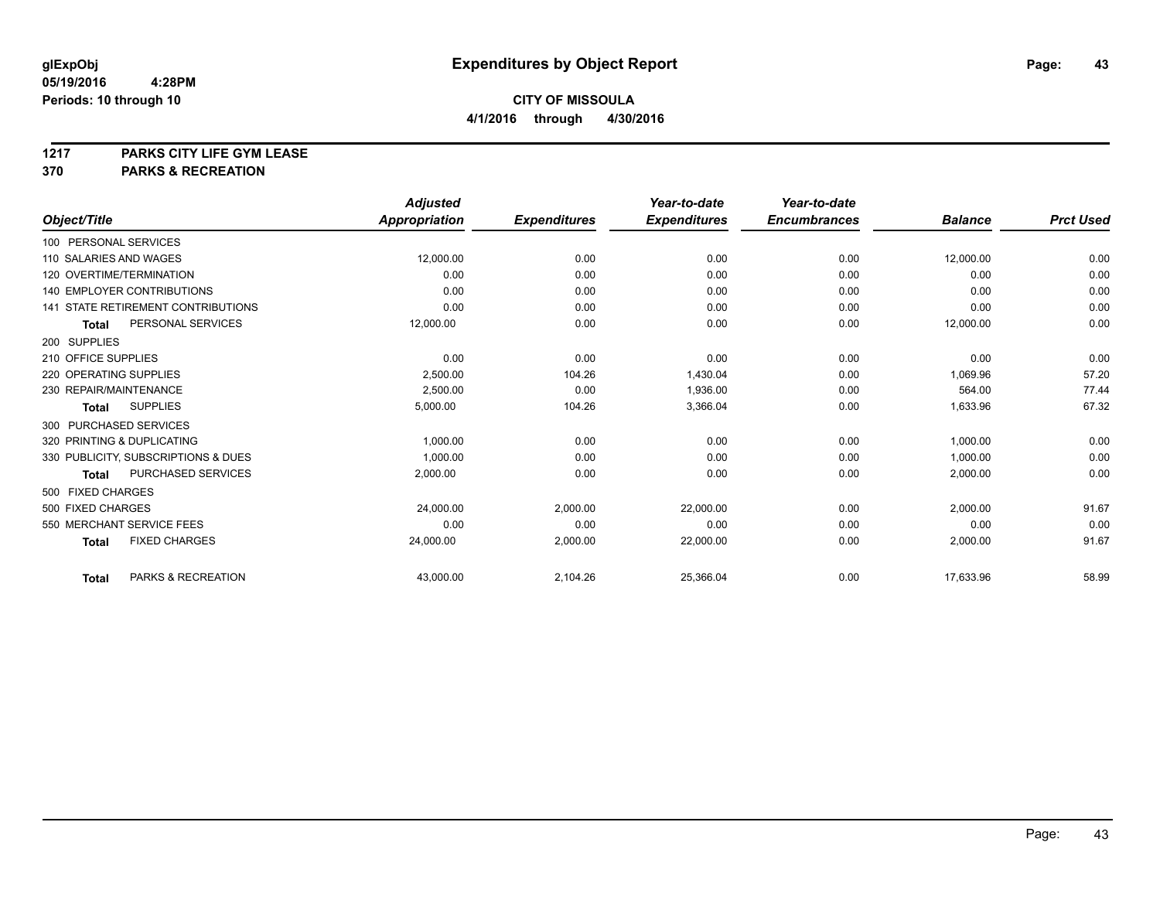# **1217 PARKS CITY LIFE GYM LEASE**

# **370 PARKS & RECREATION**

|                                           | <b>Adjusted</b>      |                     | Year-to-date        | Year-to-date        |                |                  |
|-------------------------------------------|----------------------|---------------------|---------------------|---------------------|----------------|------------------|
| Object/Title                              | <b>Appropriation</b> | <b>Expenditures</b> | <b>Expenditures</b> | <b>Encumbrances</b> | <b>Balance</b> | <b>Prct Used</b> |
| 100 PERSONAL SERVICES                     |                      |                     |                     |                     |                |                  |
| 110 SALARIES AND WAGES                    | 12,000.00            | 0.00                | 0.00                | 0.00                | 12,000.00      | 0.00             |
| 120 OVERTIME/TERMINATION                  | 0.00                 | 0.00                | 0.00                | 0.00                | 0.00           | 0.00             |
| <b>140 EMPLOYER CONTRIBUTIONS</b>         | 0.00                 | 0.00                | 0.00                | 0.00                | 0.00           | 0.00             |
| <b>141 STATE RETIREMENT CONTRIBUTIONS</b> | 0.00                 | 0.00                | 0.00                | 0.00                | 0.00           | 0.00             |
| PERSONAL SERVICES<br><b>Total</b>         | 12,000.00            | 0.00                | 0.00                | 0.00                | 12,000.00      | 0.00             |
| 200 SUPPLIES                              |                      |                     |                     |                     |                |                  |
| 210 OFFICE SUPPLIES                       | 0.00                 | 0.00                | 0.00                | 0.00                | 0.00           | 0.00             |
| 220 OPERATING SUPPLIES                    | 2,500.00             | 104.26              | 1,430.04            | 0.00                | 1,069.96       | 57.20            |
| 230 REPAIR/MAINTENANCE                    | 2,500.00             | 0.00                | 1,936.00            | 0.00                | 564.00         | 77.44            |
| <b>SUPPLIES</b><br><b>Total</b>           | 5,000.00             | 104.26              | 3,366.04            | 0.00                | 1,633.96       | 67.32            |
| 300 PURCHASED SERVICES                    |                      |                     |                     |                     |                |                  |
| 320 PRINTING & DUPLICATING                | 1,000.00             | 0.00                | 0.00                | 0.00                | 1,000.00       | 0.00             |
| 330 PUBLICITY, SUBSCRIPTIONS & DUES       | 1,000.00             | 0.00                | 0.00                | 0.00                | 1,000.00       | 0.00             |
| <b>PURCHASED SERVICES</b><br><b>Total</b> | 2,000.00             | 0.00                | 0.00                | 0.00                | 2,000.00       | 0.00             |
| 500 FIXED CHARGES                         |                      |                     |                     |                     |                |                  |
| 500 FIXED CHARGES                         | 24,000.00            | 2.000.00            | 22.000.00           | 0.00                | 2,000.00       | 91.67            |
| 550 MERCHANT SERVICE FEES                 | 0.00                 | 0.00                | 0.00                | 0.00                | 0.00           | 0.00             |
| <b>FIXED CHARGES</b><br><b>Total</b>      | 24,000.00            | 2,000.00            | 22,000.00           | 0.00                | 2,000.00       | 91.67            |
| PARKS & RECREATION<br><b>Total</b>        | 43,000.00            | 2,104.26            | 25,366.04           | 0.00                | 17,633.96      | 58.99            |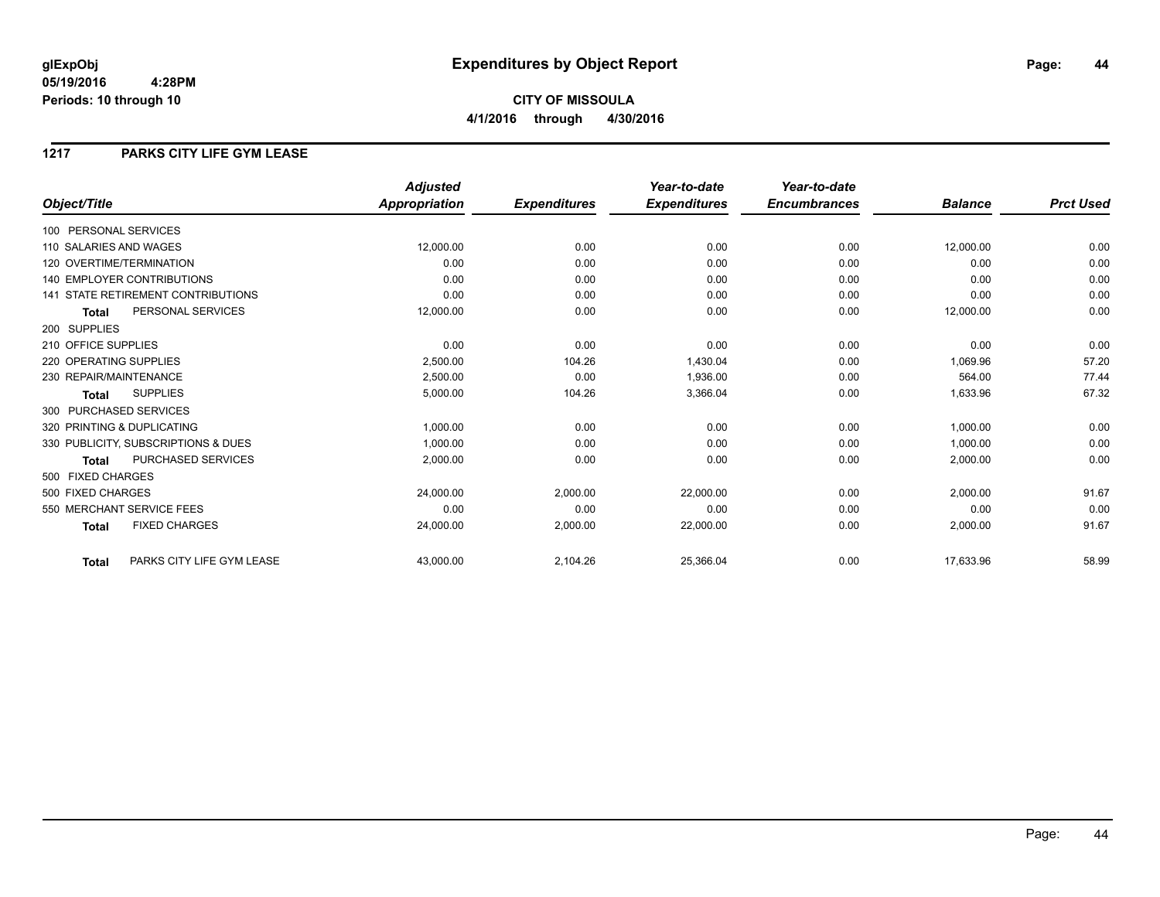# **CITY OF MISSOULA 4/1/2016 through 4/30/2016**

### **1217 PARKS CITY LIFE GYM LEASE**

|                                           | <b>Adjusted</b> |                     | Year-to-date        | Year-to-date        |                |                  |
|-------------------------------------------|-----------------|---------------------|---------------------|---------------------|----------------|------------------|
| Object/Title                              | Appropriation   | <b>Expenditures</b> | <b>Expenditures</b> | <b>Encumbrances</b> | <b>Balance</b> | <b>Prct Used</b> |
| 100 PERSONAL SERVICES                     |                 |                     |                     |                     |                |                  |
| 110 SALARIES AND WAGES                    | 12,000.00       | 0.00                | 0.00                | 0.00                | 12,000.00      | 0.00             |
| 120 OVERTIME/TERMINATION                  | 0.00            | 0.00                | 0.00                | 0.00                | 0.00           | 0.00             |
| <b>140 EMPLOYER CONTRIBUTIONS</b>         | 0.00            | 0.00                | 0.00                | 0.00                | 0.00           | 0.00             |
| <b>141 STATE RETIREMENT CONTRIBUTIONS</b> | 0.00            | 0.00                | 0.00                | 0.00                | 0.00           | 0.00             |
| PERSONAL SERVICES<br><b>Total</b>         | 12,000.00       | 0.00                | 0.00                | 0.00                | 12,000.00      | 0.00             |
| 200 SUPPLIES                              |                 |                     |                     |                     |                |                  |
| 210 OFFICE SUPPLIES                       | 0.00            | 0.00                | 0.00                | 0.00                | 0.00           | 0.00             |
| 220 OPERATING SUPPLIES                    | 2,500.00        | 104.26              | 1,430.04            | 0.00                | 1,069.96       | 57.20            |
| 230 REPAIR/MAINTENANCE                    | 2.500.00        | 0.00                | 1,936.00            | 0.00                | 564.00         | 77.44            |
| <b>SUPPLIES</b><br><b>Total</b>           | 5,000.00        | 104.26              | 3,366.04            | 0.00                | 1,633.96       | 67.32            |
| 300 PURCHASED SERVICES                    |                 |                     |                     |                     |                |                  |
| 320 PRINTING & DUPLICATING                | 1,000.00        | 0.00                | 0.00                | 0.00                | 1,000.00       | 0.00             |
| 330 PUBLICITY, SUBSCRIPTIONS & DUES       | 1.000.00        | 0.00                | 0.00                | 0.00                | 1,000.00       | 0.00             |
| <b>PURCHASED SERVICES</b><br><b>Total</b> | 2,000.00        | 0.00                | 0.00                | 0.00                | 2,000.00       | 0.00             |
| 500 FIXED CHARGES                         |                 |                     |                     |                     |                |                  |
| 500 FIXED CHARGES                         | 24,000.00       | 2,000.00            | 22.000.00           | 0.00                | 2,000.00       | 91.67            |
| 550 MERCHANT SERVICE FEES                 | 0.00            | 0.00                | 0.00                | 0.00                | 0.00           | 0.00             |
| <b>FIXED CHARGES</b><br><b>Total</b>      | 24,000.00       | 2,000.00            | 22,000.00           | 0.00                | 2,000.00       | 91.67            |
| PARKS CITY LIFE GYM LEASE<br><b>Total</b> | 43,000.00       | 2,104.26            | 25,366.04           | 0.00                | 17,633.96      | 58.99            |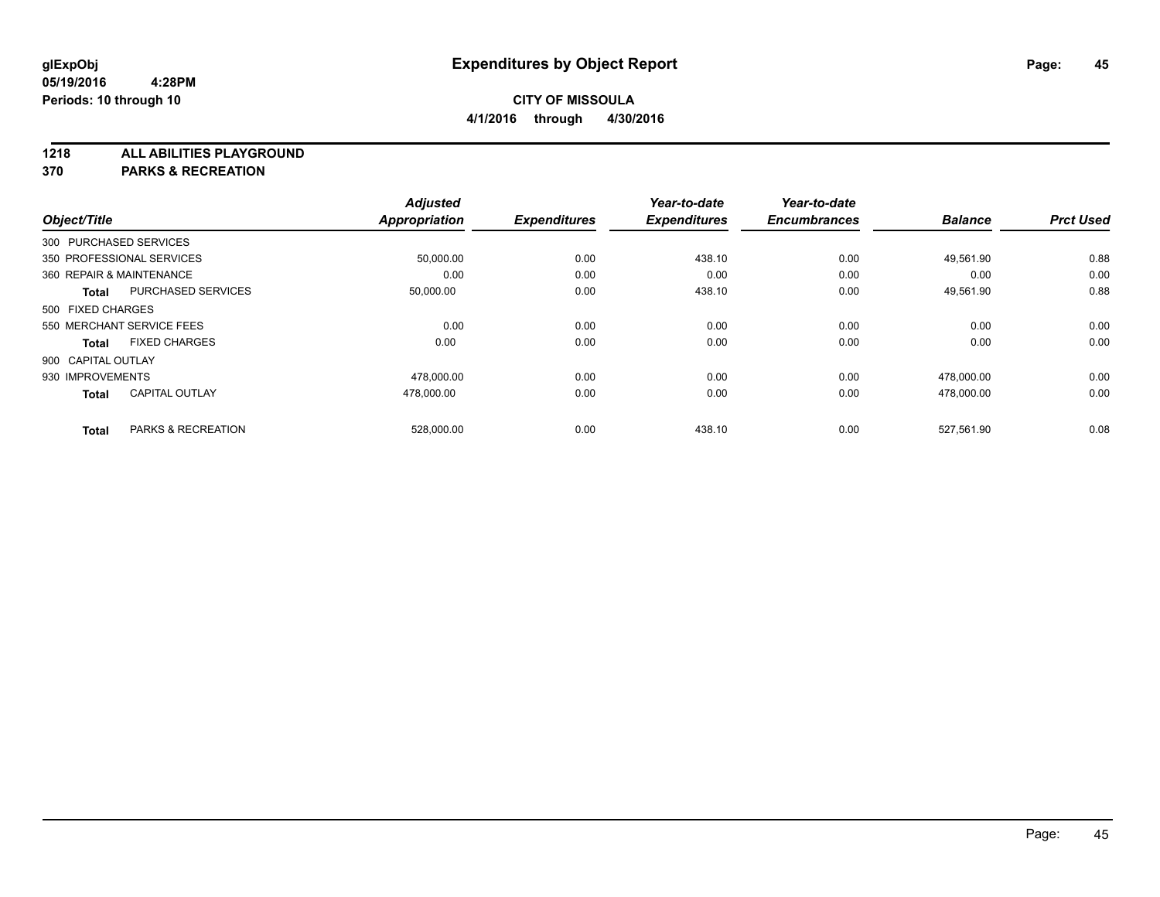**1218 ALL ABILITIES PLAYGROUND**

**370 PARKS & RECREATION**

|                          |                           | <b>Adjusted</b>      |                     | Year-to-date        | Year-to-date        |                |                  |
|--------------------------|---------------------------|----------------------|---------------------|---------------------|---------------------|----------------|------------------|
| Object/Title             |                           | <b>Appropriation</b> | <b>Expenditures</b> | <b>Expenditures</b> | <b>Encumbrances</b> | <b>Balance</b> | <b>Prct Used</b> |
| 300 PURCHASED SERVICES   |                           |                      |                     |                     |                     |                |                  |
|                          | 350 PROFESSIONAL SERVICES | 50,000.00            | 0.00                | 438.10              | 0.00                | 49,561.90      | 0.88             |
| 360 REPAIR & MAINTENANCE |                           | 0.00                 | 0.00                | 0.00                | 0.00                | 0.00           | 0.00             |
| Total                    | <b>PURCHASED SERVICES</b> | 50,000.00            | 0.00                | 438.10              | 0.00                | 49,561.90      | 0.88             |
| 500 FIXED CHARGES        |                           |                      |                     |                     |                     |                |                  |
|                          | 550 MERCHANT SERVICE FEES | 0.00                 | 0.00                | 0.00                | 0.00                | 0.00           | 0.00             |
| <b>Total</b>             | <b>FIXED CHARGES</b>      | 0.00                 | 0.00                | 0.00                | 0.00                | 0.00           | 0.00             |
| 900 CAPITAL OUTLAY       |                           |                      |                     |                     |                     |                |                  |
| 930 IMPROVEMENTS         |                           | 478.000.00           | 0.00                | 0.00                | 0.00                | 478.000.00     | 0.00             |
| <b>Total</b>             | <b>CAPITAL OUTLAY</b>     | 478.000.00           | 0.00                | 0.00                | 0.00                | 478.000.00     | 0.00             |
|                          |                           |                      |                     |                     |                     |                |                  |
| <b>Total</b>             | PARKS & RECREATION        | 528,000.00           | 0.00                | 438.10              | 0.00                | 527,561.90     | 0.08             |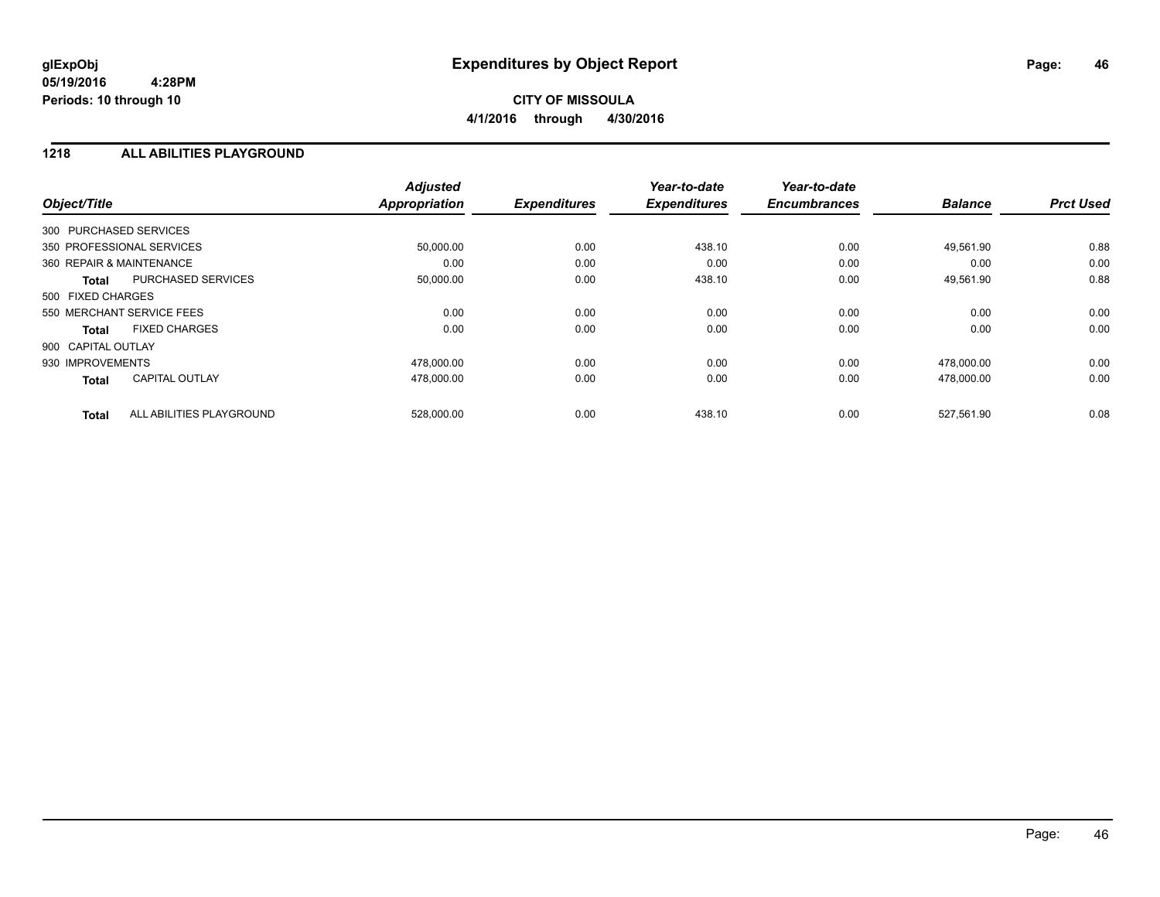# **CITY OF MISSOULA 4/1/2016 through 4/30/2016**

### **1218 ALL ABILITIES PLAYGROUND**

| Object/Title             |                           | <b>Adjusted</b><br><b>Appropriation</b> | <b>Expenditures</b> | Year-to-date<br><b>Expenditures</b> | Year-to-date<br><b>Encumbrances</b> | <b>Balance</b> | <b>Prct Used</b> |
|--------------------------|---------------------------|-----------------------------------------|---------------------|-------------------------------------|-------------------------------------|----------------|------------------|
| 300 PURCHASED SERVICES   |                           |                                         |                     |                                     |                                     |                |                  |
|                          | 350 PROFESSIONAL SERVICES | 50,000.00                               | 0.00                | 438.10                              | 0.00                                | 49,561.90      | 0.88             |
| 360 REPAIR & MAINTENANCE |                           | 0.00                                    | 0.00                | 0.00                                | 0.00                                | 0.00           | 0.00             |
| <b>Total</b>             | <b>PURCHASED SERVICES</b> | 50,000.00                               | 0.00                | 438.10                              | 0.00                                | 49,561.90      | 0.88             |
| 500 FIXED CHARGES        |                           |                                         |                     |                                     |                                     |                |                  |
|                          | 550 MERCHANT SERVICE FEES | 0.00                                    | 0.00                | 0.00                                | 0.00                                | 0.00           | 0.00             |
| Total                    | <b>FIXED CHARGES</b>      | 0.00                                    | 0.00                | 0.00                                | 0.00                                | 0.00           | 0.00             |
| 900 CAPITAL OUTLAY       |                           |                                         |                     |                                     |                                     |                |                  |
| 930 IMPROVEMENTS         |                           | 478,000.00                              | 0.00                | 0.00                                | 0.00                                | 478,000.00     | 0.00             |
| <b>Total</b>             | <b>CAPITAL OUTLAY</b>     | 478,000.00                              | 0.00                | 0.00                                | 0.00                                | 478,000.00     | 0.00             |
| <b>Total</b>             | ALL ABILITIES PLAYGROUND  | 528,000.00                              | 0.00                | 438.10                              | 0.00                                | 527,561.90     | 0.08             |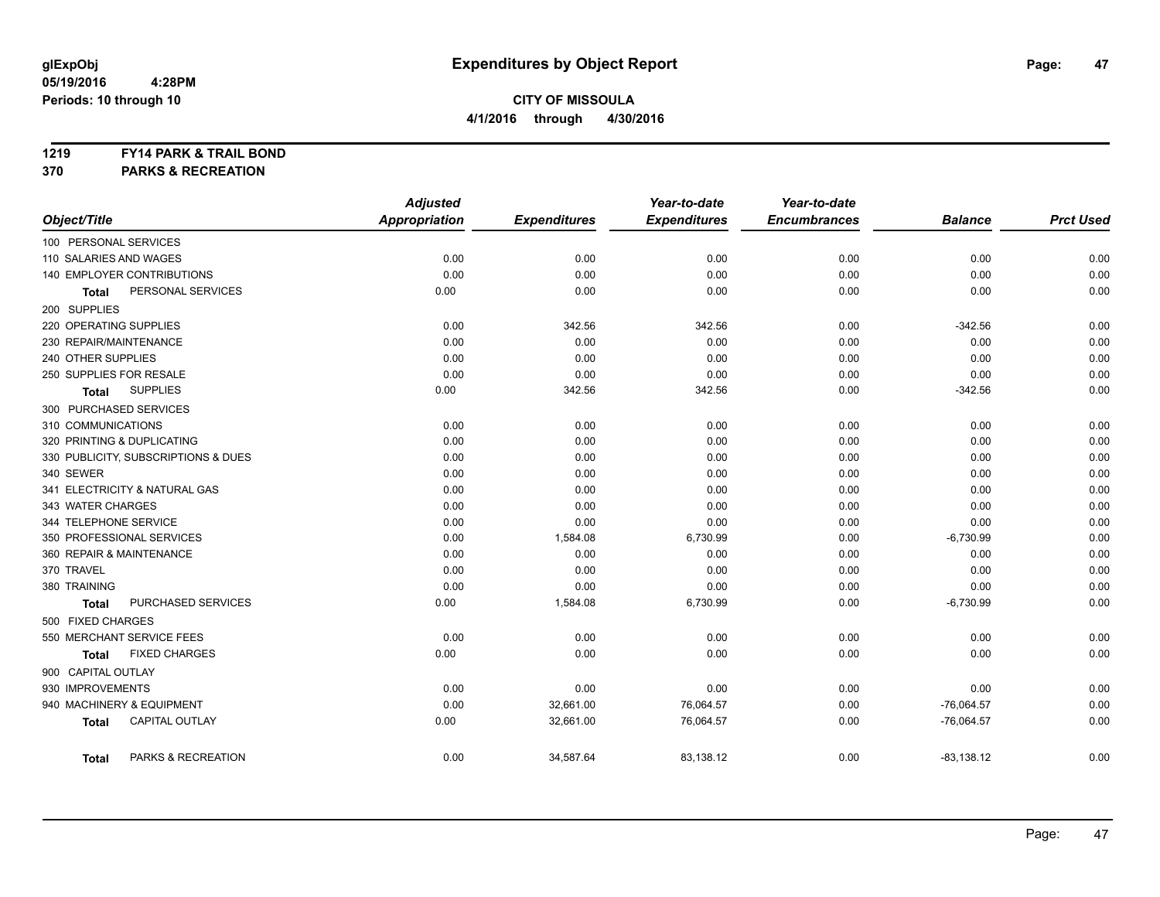#### **1219 FY14 PARK & TRAIL BOND**

**370 PARKS & RECREATION**

|                                       | <b>Adjusted</b>      |                     | Year-to-date        | Year-to-date        |                |                  |
|---------------------------------------|----------------------|---------------------|---------------------|---------------------|----------------|------------------|
| Object/Title                          | <b>Appropriation</b> | <b>Expenditures</b> | <b>Expenditures</b> | <b>Encumbrances</b> | <b>Balance</b> | <b>Prct Used</b> |
| 100 PERSONAL SERVICES                 |                      |                     |                     |                     |                |                  |
| 110 SALARIES AND WAGES                | 0.00                 | 0.00                | 0.00                | 0.00                | 0.00           | 0.00             |
| 140 EMPLOYER CONTRIBUTIONS            | 0.00                 | 0.00                | 0.00                | 0.00                | 0.00           | 0.00             |
| PERSONAL SERVICES<br><b>Total</b>     | 0.00                 | 0.00                | 0.00                | 0.00                | 0.00           | 0.00             |
| 200 SUPPLIES                          |                      |                     |                     |                     |                |                  |
| 220 OPERATING SUPPLIES                | 0.00                 | 342.56              | 342.56              | 0.00                | $-342.56$      | 0.00             |
| 230 REPAIR/MAINTENANCE                | 0.00                 | 0.00                | 0.00                | 0.00                | 0.00           | 0.00             |
| 240 OTHER SUPPLIES                    | 0.00                 | 0.00                | 0.00                | 0.00                | 0.00           | 0.00             |
| 250 SUPPLIES FOR RESALE               | 0.00                 | 0.00                | 0.00                | 0.00                | 0.00           | 0.00             |
| <b>SUPPLIES</b><br>Total              | 0.00                 | 342.56              | 342.56              | 0.00                | $-342.56$      | 0.00             |
| 300 PURCHASED SERVICES                |                      |                     |                     |                     |                |                  |
| 310 COMMUNICATIONS                    | 0.00                 | 0.00                | 0.00                | 0.00                | 0.00           | 0.00             |
| 320 PRINTING & DUPLICATING            | 0.00                 | 0.00                | 0.00                | 0.00                | 0.00           | 0.00             |
| 330 PUBLICITY, SUBSCRIPTIONS & DUES   | 0.00                 | 0.00                | 0.00                | 0.00                | 0.00           | 0.00             |
| 340 SEWER                             | 0.00                 | 0.00                | 0.00                | 0.00                | 0.00           | 0.00             |
| 341 ELECTRICITY & NATURAL GAS         | 0.00                 | 0.00                | 0.00                | 0.00                | 0.00           | 0.00             |
| 343 WATER CHARGES                     | 0.00                 | 0.00                | 0.00                | 0.00                | 0.00           | 0.00             |
| 344 TELEPHONE SERVICE                 | 0.00                 | 0.00                | 0.00                | 0.00                | 0.00           | 0.00             |
| 350 PROFESSIONAL SERVICES             | 0.00                 | 1,584.08            | 6,730.99            | 0.00                | $-6,730.99$    | 0.00             |
| 360 REPAIR & MAINTENANCE              | 0.00                 | 0.00                | 0.00                | 0.00                | 0.00           | 0.00             |
| 370 TRAVEL                            | 0.00                 | 0.00                | 0.00                | 0.00                | 0.00           | 0.00             |
| 380 TRAINING                          | 0.00                 | 0.00                | 0.00                | 0.00                | 0.00           | 0.00             |
| PURCHASED SERVICES<br><b>Total</b>    | 0.00                 | 1,584.08            | 6,730.99            | 0.00                | $-6,730.99$    | 0.00             |
| 500 FIXED CHARGES                     |                      |                     |                     |                     |                |                  |
| 550 MERCHANT SERVICE FEES             | 0.00                 | 0.00                | 0.00                | 0.00                | 0.00           | 0.00             |
| <b>FIXED CHARGES</b><br><b>Total</b>  | 0.00                 | 0.00                | 0.00                | 0.00                | 0.00           | 0.00             |
| 900 CAPITAL OUTLAY                    |                      |                     |                     |                     |                |                  |
| 930 IMPROVEMENTS                      | 0.00                 | 0.00                | 0.00                | 0.00                | 0.00           | 0.00             |
| 940 MACHINERY & EQUIPMENT             | 0.00                 | 32,661.00           | 76,064.57           | 0.00                | $-76,064.57$   | 0.00             |
| <b>CAPITAL OUTLAY</b><br><b>Total</b> | 0.00                 | 32,661.00           | 76,064.57           | 0.00                | $-76,064.57$   | 0.00             |
| PARKS & RECREATION<br><b>Total</b>    | 0.00                 | 34,587.64           | 83,138.12           | 0.00                | $-83, 138.12$  | 0.00             |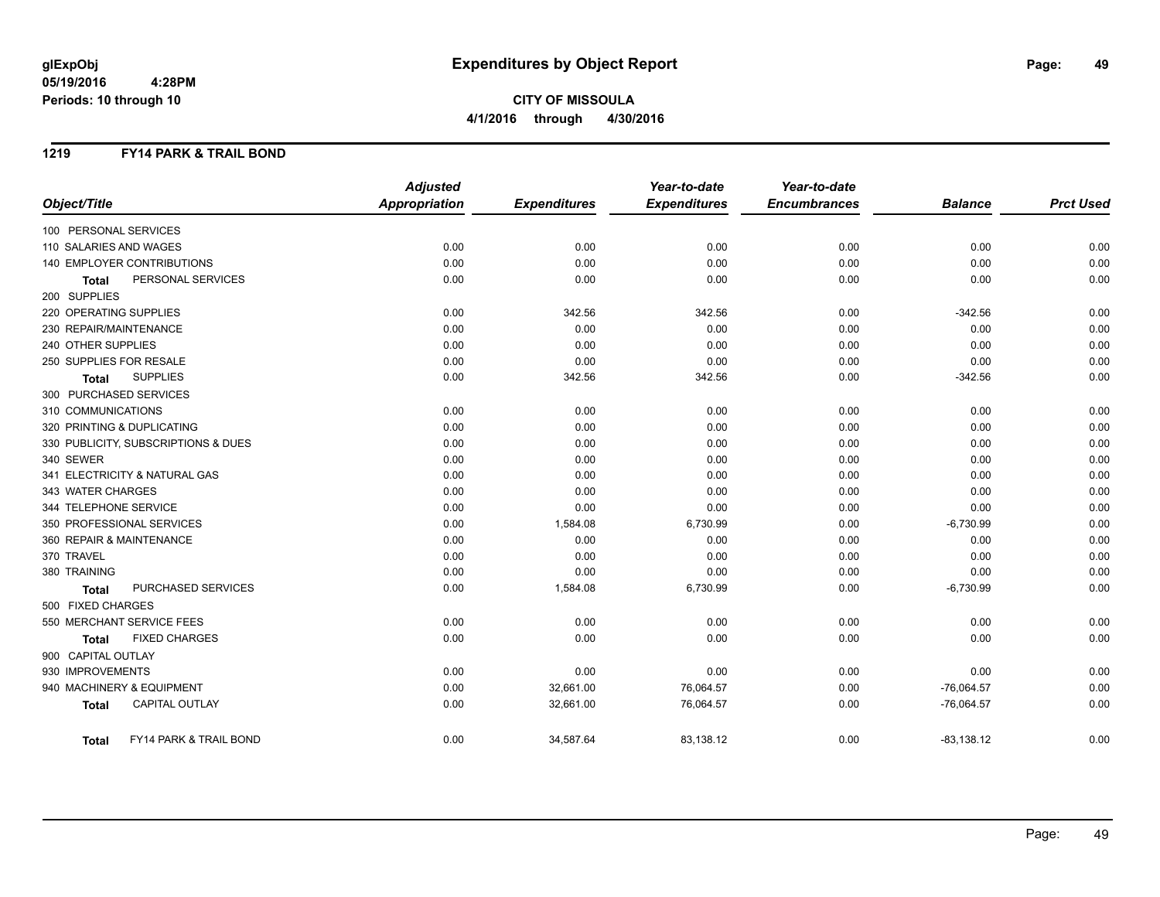# **CITY OF MISSOULA 4/1/2016 through 4/30/2016**

### **1219 FY14 PARK & TRAIL BOND**

|                                        | <b>Adjusted</b>      |                     | Year-to-date        | Year-to-date        |                |                  |
|----------------------------------------|----------------------|---------------------|---------------------|---------------------|----------------|------------------|
| Object/Title                           | <b>Appropriation</b> | <b>Expenditures</b> | <b>Expenditures</b> | <b>Encumbrances</b> | <b>Balance</b> | <b>Prct Used</b> |
| 100 PERSONAL SERVICES                  |                      |                     |                     |                     |                |                  |
| 110 SALARIES AND WAGES                 | 0.00                 | 0.00                | 0.00                | 0.00                | 0.00           | 0.00             |
| 140 EMPLOYER CONTRIBUTIONS             | 0.00                 | 0.00                | 0.00                | 0.00                | 0.00           | 0.00             |
| PERSONAL SERVICES<br><b>Total</b>      | 0.00                 | 0.00                | 0.00                | 0.00                | 0.00           | 0.00             |
| 200 SUPPLIES                           |                      |                     |                     |                     |                |                  |
| 220 OPERATING SUPPLIES                 | 0.00                 | 342.56              | 342.56              | 0.00                | $-342.56$      | 0.00             |
| 230 REPAIR/MAINTENANCE                 | 0.00                 | 0.00                | 0.00                | 0.00                | 0.00           | 0.00             |
| 240 OTHER SUPPLIES                     | 0.00                 | 0.00                | 0.00                | 0.00                | 0.00           | 0.00             |
| 250 SUPPLIES FOR RESALE                | 0.00                 | 0.00                | 0.00                | 0.00                | 0.00           | 0.00             |
| <b>SUPPLIES</b><br>Total               | 0.00                 | 342.56              | 342.56              | 0.00                | $-342.56$      | 0.00             |
| 300 PURCHASED SERVICES                 |                      |                     |                     |                     |                |                  |
| 310 COMMUNICATIONS                     | 0.00                 | 0.00                | 0.00                | 0.00                | 0.00           | 0.00             |
| 320 PRINTING & DUPLICATING             | 0.00                 | 0.00                | 0.00                | 0.00                | 0.00           | 0.00             |
| 330 PUBLICITY, SUBSCRIPTIONS & DUES    | 0.00                 | 0.00                | 0.00                | 0.00                | 0.00           | 0.00             |
| 340 SEWER                              | 0.00                 | 0.00                | 0.00                | 0.00                | 0.00           | 0.00             |
| 341 ELECTRICITY & NATURAL GAS          | 0.00                 | 0.00                | 0.00                | 0.00                | 0.00           | 0.00             |
| 343 WATER CHARGES                      | 0.00                 | 0.00                | 0.00                | 0.00                | 0.00           | 0.00             |
| 344 TELEPHONE SERVICE                  | 0.00                 | 0.00                | 0.00                | 0.00                | 0.00           | 0.00             |
| 350 PROFESSIONAL SERVICES              | 0.00                 | 1,584.08            | 6,730.99            | 0.00                | $-6,730.99$    | 0.00             |
| 360 REPAIR & MAINTENANCE               | 0.00                 | 0.00                | 0.00                | 0.00                | 0.00           | 0.00             |
| 370 TRAVEL                             | 0.00                 | 0.00                | 0.00                | 0.00                | 0.00           | 0.00             |
| 380 TRAINING                           | 0.00                 | 0.00                | 0.00                | 0.00                | 0.00           | 0.00             |
| PURCHASED SERVICES<br><b>Total</b>     | 0.00                 | 1,584.08            | 6,730.99            | 0.00                | $-6,730.99$    | 0.00             |
| 500 FIXED CHARGES                      |                      |                     |                     |                     |                |                  |
| 550 MERCHANT SERVICE FEES              | 0.00                 | 0.00                | 0.00                | 0.00                | 0.00           | 0.00             |
| <b>FIXED CHARGES</b><br><b>Total</b>   | 0.00                 | 0.00                | 0.00                | 0.00                | 0.00           | 0.00             |
| 900 CAPITAL OUTLAY                     |                      |                     |                     |                     |                |                  |
| 930 IMPROVEMENTS                       | 0.00                 | 0.00                | 0.00                | 0.00                | 0.00           | 0.00             |
| 940 MACHINERY & EQUIPMENT              | 0.00                 | 32,661.00           | 76,064.57           | 0.00                | $-76,064.57$   | 0.00             |
| <b>CAPITAL OUTLAY</b><br><b>Total</b>  | 0.00                 | 32,661.00           | 76,064.57           | 0.00                | $-76,064.57$   | 0.00             |
| FY14 PARK & TRAIL BOND<br><b>Total</b> | 0.00                 | 34,587.64           | 83,138.12           | 0.00                | $-83,138.12$   | 0.00             |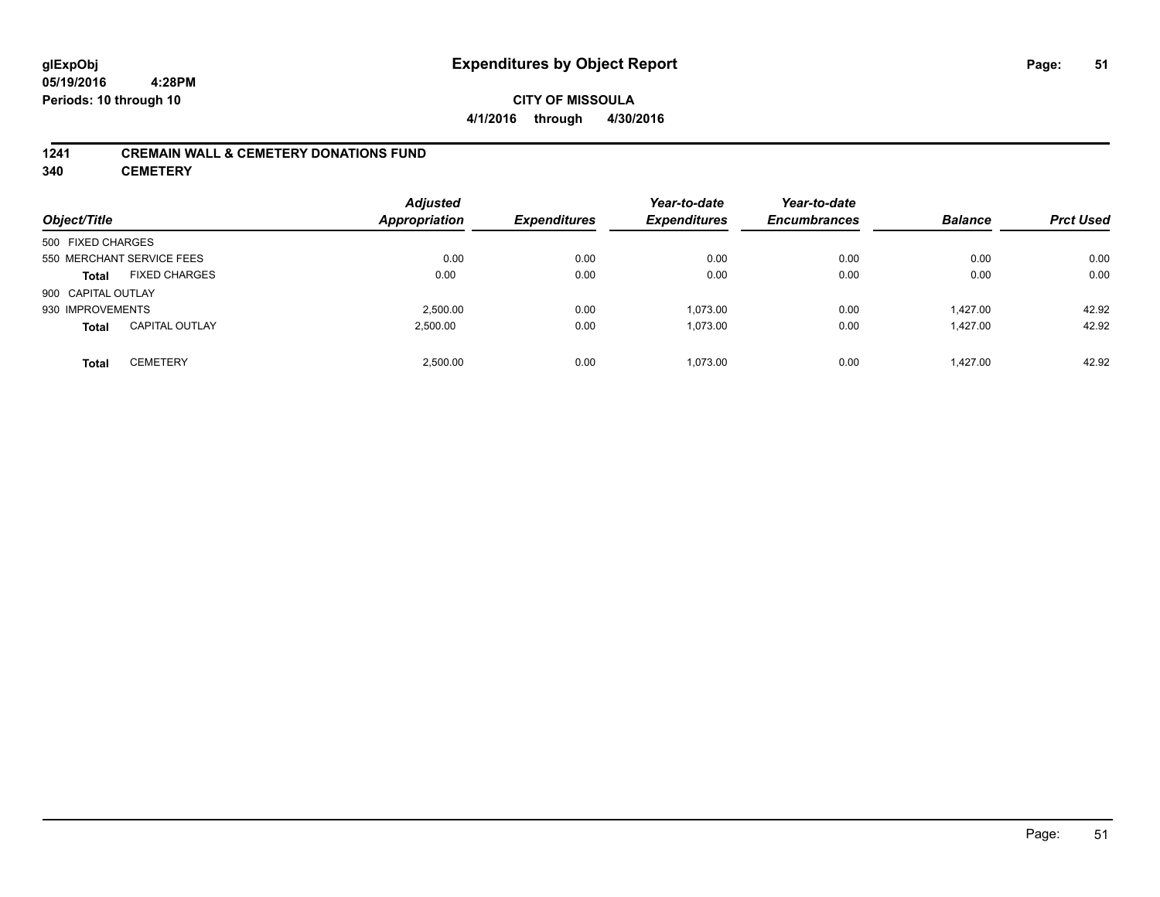### **CITY OF MISSOULA 4/1/2016 through 4/30/2016**

### **1241 CREMAIN WALL & CEMETERY DONATIONS FUND**

**340 CEMETERY**

| Object/Title              |                       | <b>Adjusted</b><br>Appropriation | <b>Expenditures</b> | Year-to-date<br><b>Expenditures</b> | Year-to-date<br><b>Encumbrances</b> | <b>Balance</b> | <b>Prct Used</b> |
|---------------------------|-----------------------|----------------------------------|---------------------|-------------------------------------|-------------------------------------|----------------|------------------|
| 500 FIXED CHARGES         |                       |                                  |                     |                                     |                                     |                |                  |
| 550 MERCHANT SERVICE FEES |                       | 0.00                             | 0.00                | 0.00                                | 0.00                                | 0.00           | 0.00             |
| Total                     | <b>FIXED CHARGES</b>  | 0.00                             | 0.00                | 0.00                                | 0.00                                | 0.00           | 0.00             |
| 900 CAPITAL OUTLAY        |                       |                                  |                     |                                     |                                     |                |                  |
| 930 IMPROVEMENTS          |                       | 2.500.00                         | 0.00                | 1,073.00                            | 0.00                                | 1.427.00       | 42.92            |
| <b>Total</b>              | <b>CAPITAL OUTLAY</b> | 2,500.00                         | 0.00                | 1,073.00                            | 0.00                                | 1,427.00       | 42.92            |
| <b>Total</b>              | <b>CEMETERY</b>       | 2.500.00                         | 0.00                | 1.073.00                            | 0.00                                | 1.427.00       | 42.92            |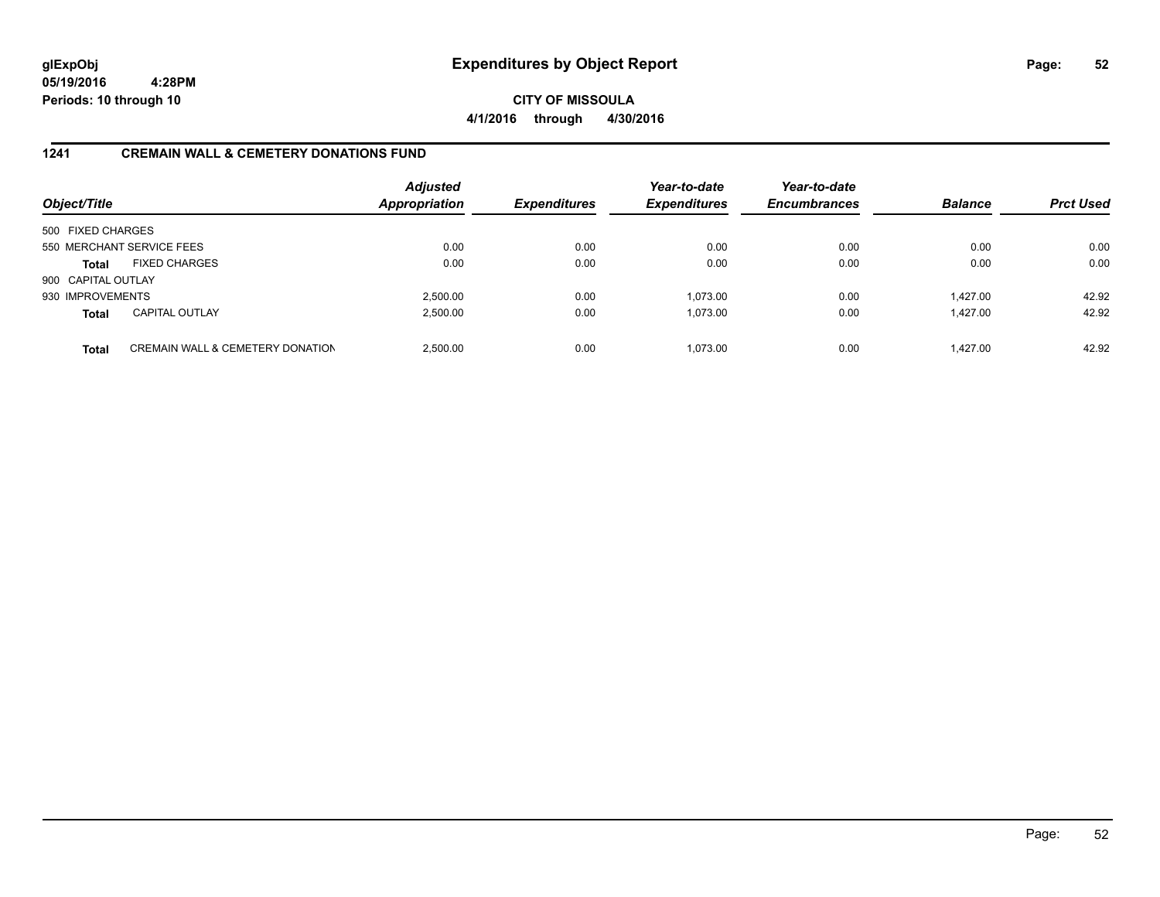### **CITY OF MISSOULA 4/1/2016 through 4/30/2016**

# **1241 CREMAIN WALL & CEMETERY DONATIONS FUND**

| Object/Title       |                                  | <b>Adjusted</b><br><b>Appropriation</b> | <b>Expenditures</b> | Year-to-date<br><b>Expenditures</b> | Year-to-date<br><b>Encumbrances</b> | <b>Balance</b> | <b>Prct Used</b> |
|--------------------|----------------------------------|-----------------------------------------|---------------------|-------------------------------------|-------------------------------------|----------------|------------------|
| 500 FIXED CHARGES  |                                  |                                         |                     |                                     |                                     |                |                  |
|                    | 550 MERCHANT SERVICE FEES        | 0.00                                    | 0.00                | 0.00                                | 0.00                                | 0.00           | 0.00             |
| <b>Total</b>       | <b>FIXED CHARGES</b>             | 0.00                                    | 0.00                | 0.00                                | 0.00                                | 0.00           | 0.00             |
| 900 CAPITAL OUTLAY |                                  |                                         |                     |                                     |                                     |                |                  |
| 930 IMPROVEMENTS   |                                  | 2,500.00                                | 0.00                | 1.073.00                            | 0.00                                | 1.427.00       | 42.92            |
| <b>Total</b>       | <b>CAPITAL OUTLAY</b>            | 2,500.00                                | 0.00                | 1,073.00                            | 0.00                                | 1.427.00       | 42.92            |
| <b>Total</b>       | CREMAIN WALL & CEMETERY DONATION | 2.500.00                                | 0.00                | 1,073.00                            | 0.00                                | 1.427.00       | 42.92            |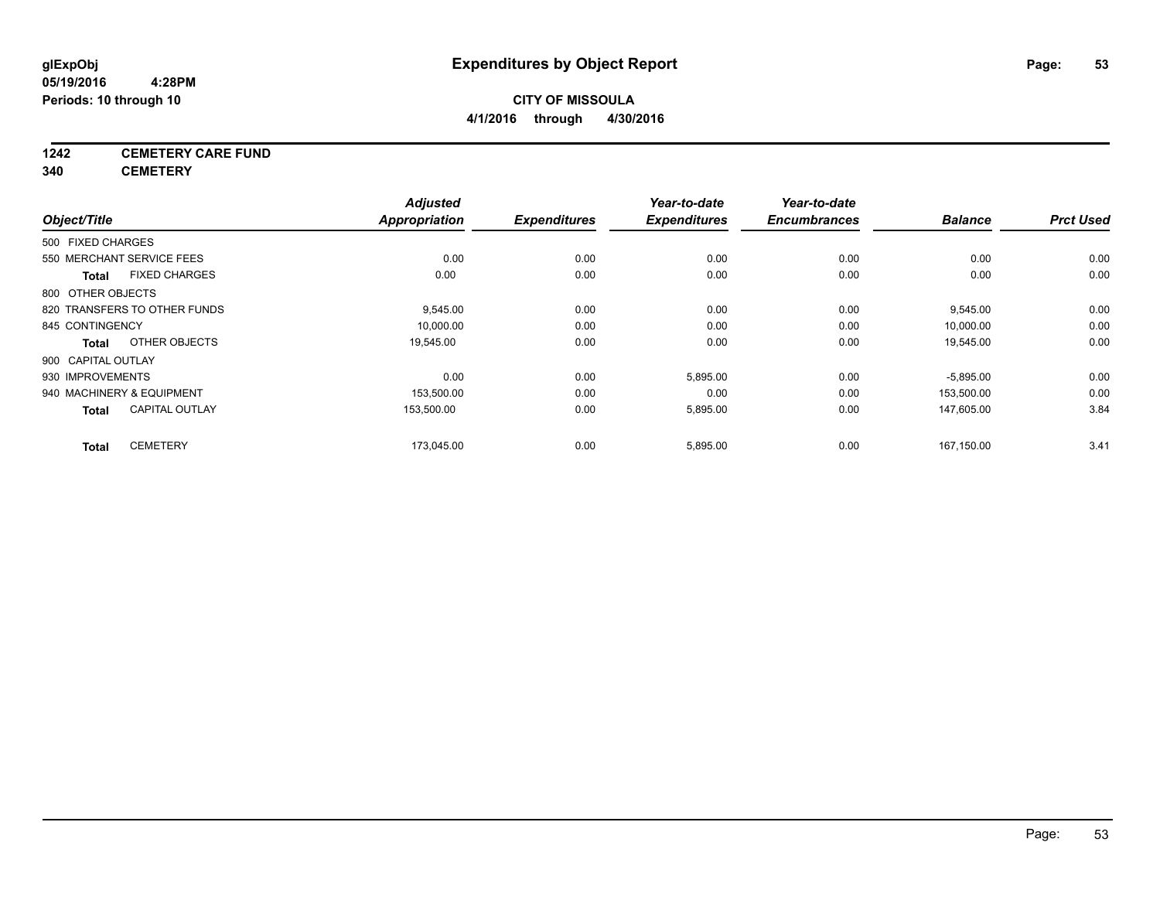# **1242 CEMETERY CARE FUND**

**340 CEMETERY**

| Object/Title              |                              | <b>Adjusted</b><br><b>Appropriation</b> | <b>Expenditures</b> | Year-to-date<br><b>Expenditures</b> | Year-to-date<br><b>Encumbrances</b> | <b>Balance</b> | <b>Prct Used</b> |
|---------------------------|------------------------------|-----------------------------------------|---------------------|-------------------------------------|-------------------------------------|----------------|------------------|
| 500 FIXED CHARGES         |                              |                                         |                     |                                     |                                     |                |                  |
| 550 MERCHANT SERVICE FEES |                              | 0.00                                    | 0.00                | 0.00                                | 0.00                                | 0.00           | 0.00             |
| Total                     | <b>FIXED CHARGES</b>         | 0.00                                    | 0.00                | 0.00                                | 0.00                                | 0.00           | 0.00             |
| 800 OTHER OBJECTS         |                              |                                         |                     |                                     |                                     |                |                  |
|                           | 820 TRANSFERS TO OTHER FUNDS | 9,545.00                                | 0.00                | 0.00                                | 0.00                                | 9,545.00       | 0.00             |
| 845 CONTINGENCY           |                              | 10,000.00                               | 0.00                | 0.00                                | 0.00                                | 10,000.00      | 0.00             |
| Total                     | OTHER OBJECTS                | 19,545.00                               | 0.00                | 0.00                                | 0.00                                | 19,545.00      | 0.00             |
| 900 CAPITAL OUTLAY        |                              |                                         |                     |                                     |                                     |                |                  |
| 930 IMPROVEMENTS          |                              | 0.00                                    | 0.00                | 5,895.00                            | 0.00                                | $-5,895.00$    | 0.00             |
| 940 MACHINERY & EQUIPMENT |                              | 153,500.00                              | 0.00                | 0.00                                | 0.00                                | 153,500.00     | 0.00             |
| <b>Total</b>              | <b>CAPITAL OUTLAY</b>        | 153,500.00                              | 0.00                | 5,895.00                            | 0.00                                | 147,605.00     | 3.84             |
| <b>Total</b>              | <b>CEMETERY</b>              | 173,045.00                              | 0.00                | 5,895.00                            | 0.00                                | 167,150.00     | 3.41             |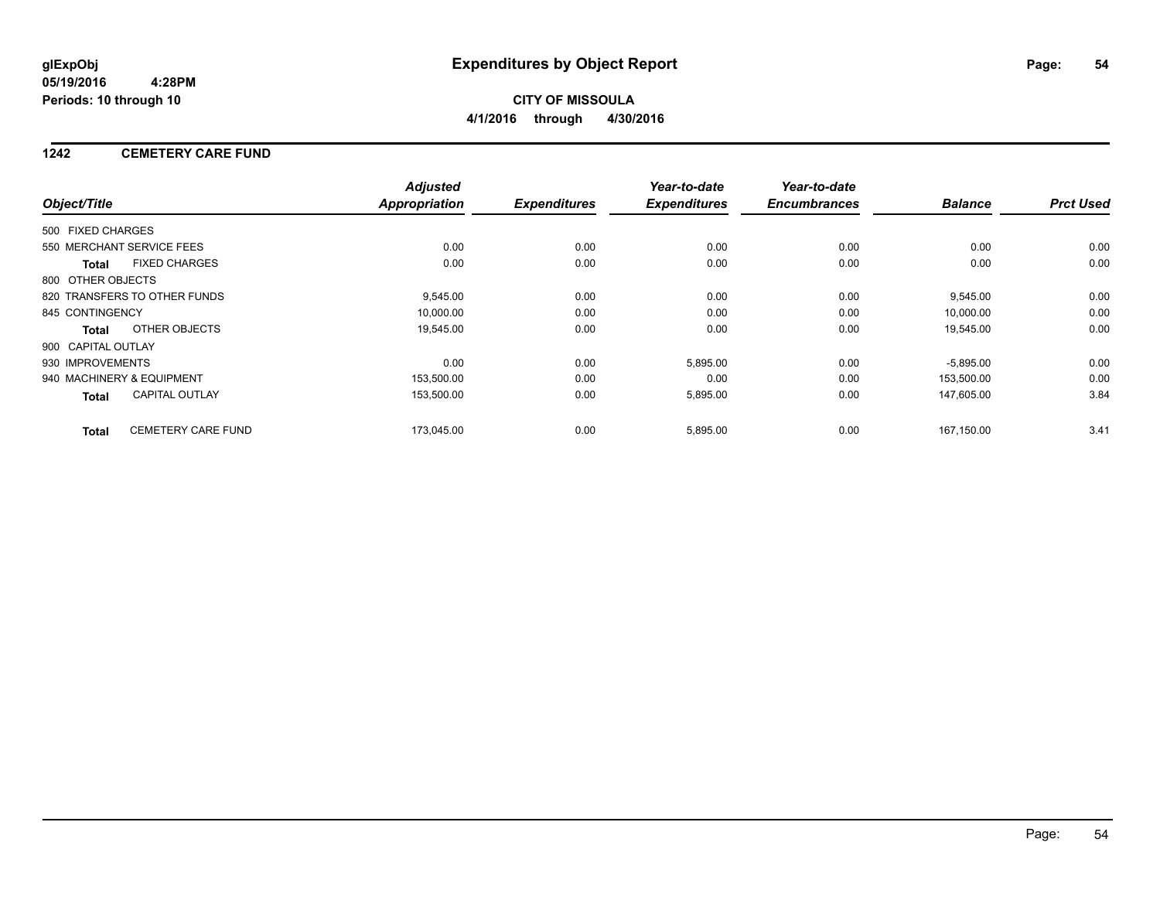### **1242 CEMETERY CARE FUND**

|                    |                              | <b>Adjusted</b>      |                     | Year-to-date        | Year-to-date<br><b>Encumbrances</b> | <b>Balance</b> | <b>Prct Used</b> |
|--------------------|------------------------------|----------------------|---------------------|---------------------|-------------------------------------|----------------|------------------|
| Object/Title       |                              | <b>Appropriation</b> | <b>Expenditures</b> | <b>Expenditures</b> |                                     |                |                  |
| 500 FIXED CHARGES  |                              |                      |                     |                     |                                     |                |                  |
|                    | 550 MERCHANT SERVICE FEES    | 0.00                 | 0.00                | 0.00                | 0.00                                | 0.00           | 0.00             |
| Total              | <b>FIXED CHARGES</b>         | 0.00                 | 0.00                | 0.00                | 0.00                                | 0.00           | 0.00             |
| 800 OTHER OBJECTS  |                              |                      |                     |                     |                                     |                |                  |
|                    | 820 TRANSFERS TO OTHER FUNDS | 9,545.00             | 0.00                | 0.00                | 0.00                                | 9,545.00       | 0.00             |
| 845 CONTINGENCY    |                              | 10,000.00            | 0.00                | 0.00                | 0.00                                | 10,000.00      | 0.00             |
| <b>Total</b>       | OTHER OBJECTS                | 19,545.00            | 0.00                | 0.00                | 0.00                                | 19,545.00      | 0.00             |
| 900 CAPITAL OUTLAY |                              |                      |                     |                     |                                     |                |                  |
| 930 IMPROVEMENTS   |                              | 0.00                 | 0.00                | 5,895.00            | 0.00                                | $-5,895.00$    | 0.00             |
|                    | 940 MACHINERY & EQUIPMENT    | 153,500.00           | 0.00                | 0.00                | 0.00                                | 153,500.00     | 0.00             |
| <b>Total</b>       | <b>CAPITAL OUTLAY</b>        | 153,500.00           | 0.00                | 5,895.00            | 0.00                                | 147,605.00     | 3.84             |
| <b>Total</b>       | <b>CEMETERY CARE FUND</b>    | 173.045.00           | 0.00                | 5,895.00            | 0.00                                | 167.150.00     | 3.41             |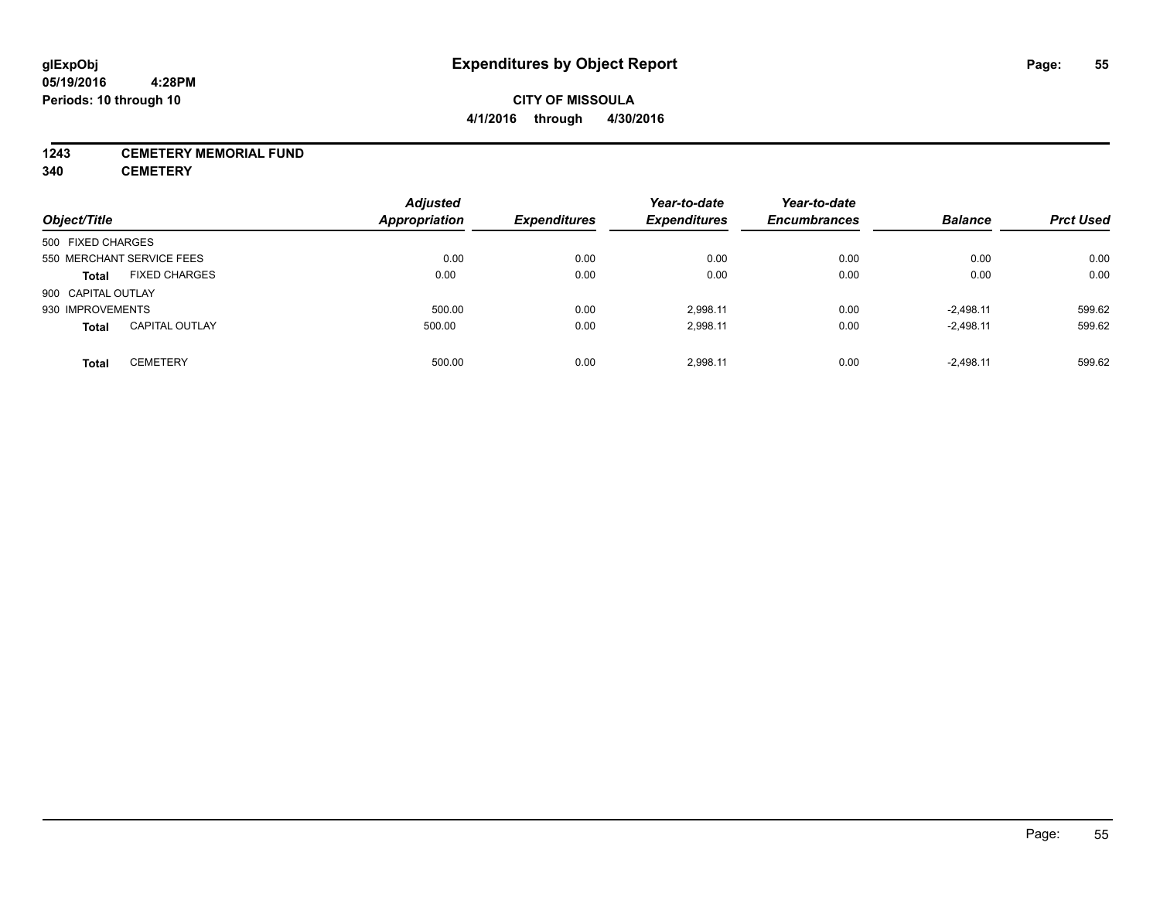### **1243 CEMETERY MEMORIAL FUND**

**340 CEMETERY**

| Object/Title              |                       | <b>Adjusted</b><br><b>Appropriation</b> | <b>Expenditures</b> | Year-to-date<br><b>Expenditures</b> | Year-to-date<br><b>Encumbrances</b> | <b>Balance</b> | <b>Prct Used</b> |
|---------------------------|-----------------------|-----------------------------------------|---------------------|-------------------------------------|-------------------------------------|----------------|------------------|
| 500 FIXED CHARGES         |                       |                                         |                     |                                     |                                     |                |                  |
| 550 MERCHANT SERVICE FEES |                       | 0.00                                    | 0.00                | 0.00                                | 0.00                                | 0.00           | 0.00             |
| <b>Total</b>              | <b>FIXED CHARGES</b>  | 0.00                                    | 0.00                | 0.00                                | 0.00                                | 0.00           | 0.00             |
| 900 CAPITAL OUTLAY        |                       |                                         |                     |                                     |                                     |                |                  |
| 930 IMPROVEMENTS          |                       | 500.00                                  | 0.00                | 2,998.11                            | 0.00                                | $-2,498.11$    | 599.62           |
| <b>Total</b>              | <b>CAPITAL OUTLAY</b> | 500.00                                  | 0.00                | 2,998.11                            | 0.00                                | $-2.498.11$    | 599.62           |
| <b>Total</b>              | <b>CEMETERY</b>       | 500.00                                  | 0.00                | 2.998.11                            | 0.00                                | $-2.498.11$    | 599.62           |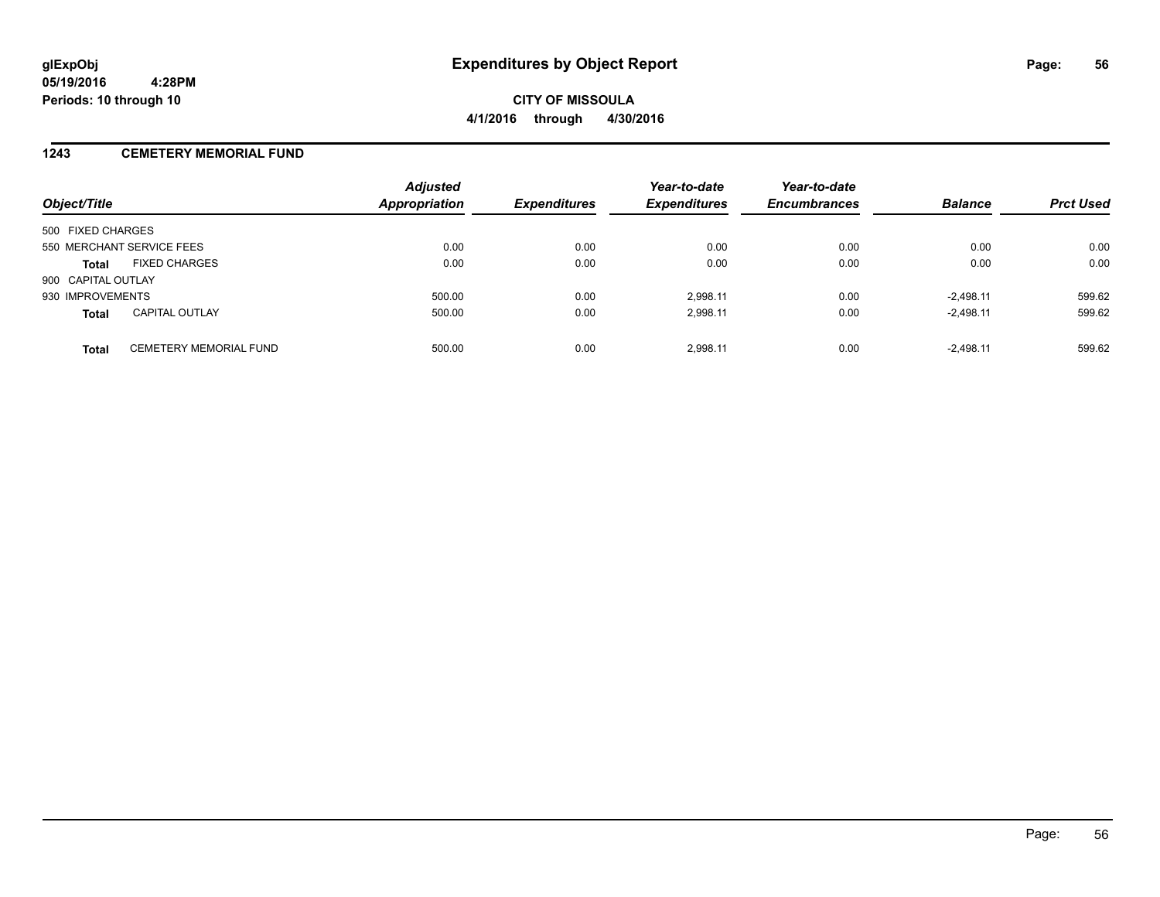### **1243 CEMETERY MEMORIAL FUND**

| Object/Title                                  | <b>Adjusted</b><br>Appropriation | <b>Expenditures</b> | Year-to-date<br><b>Expenditures</b> | Year-to-date<br><b>Encumbrances</b> | <b>Balance</b> | <b>Prct Used</b> |
|-----------------------------------------------|----------------------------------|---------------------|-------------------------------------|-------------------------------------|----------------|------------------|
| 500 FIXED CHARGES                             |                                  |                     |                                     |                                     |                |                  |
| 550 MERCHANT SERVICE FEES                     | 0.00                             | 0.00                | 0.00                                | 0.00                                | 0.00           | 0.00             |
| <b>FIXED CHARGES</b><br><b>Total</b>          | 0.00                             | 0.00                | 0.00                                | 0.00                                | 0.00           | 0.00             |
| 900 CAPITAL OUTLAY                            |                                  |                     |                                     |                                     |                |                  |
| 930 IMPROVEMENTS                              | 500.00                           | 0.00                | 2.998.11                            | 0.00                                | $-2.498.11$    | 599.62           |
| <b>CAPITAL OUTLAY</b><br><b>Total</b>         | 500.00                           | 0.00                | 2,998.11                            | 0.00                                | $-2,498.11$    | 599.62           |
| <b>CEMETERY MEMORIAL FUND</b><br><b>Total</b> | 500.00                           | 0.00                | 2.998.11                            | 0.00                                | $-2.498.11$    | 599.62           |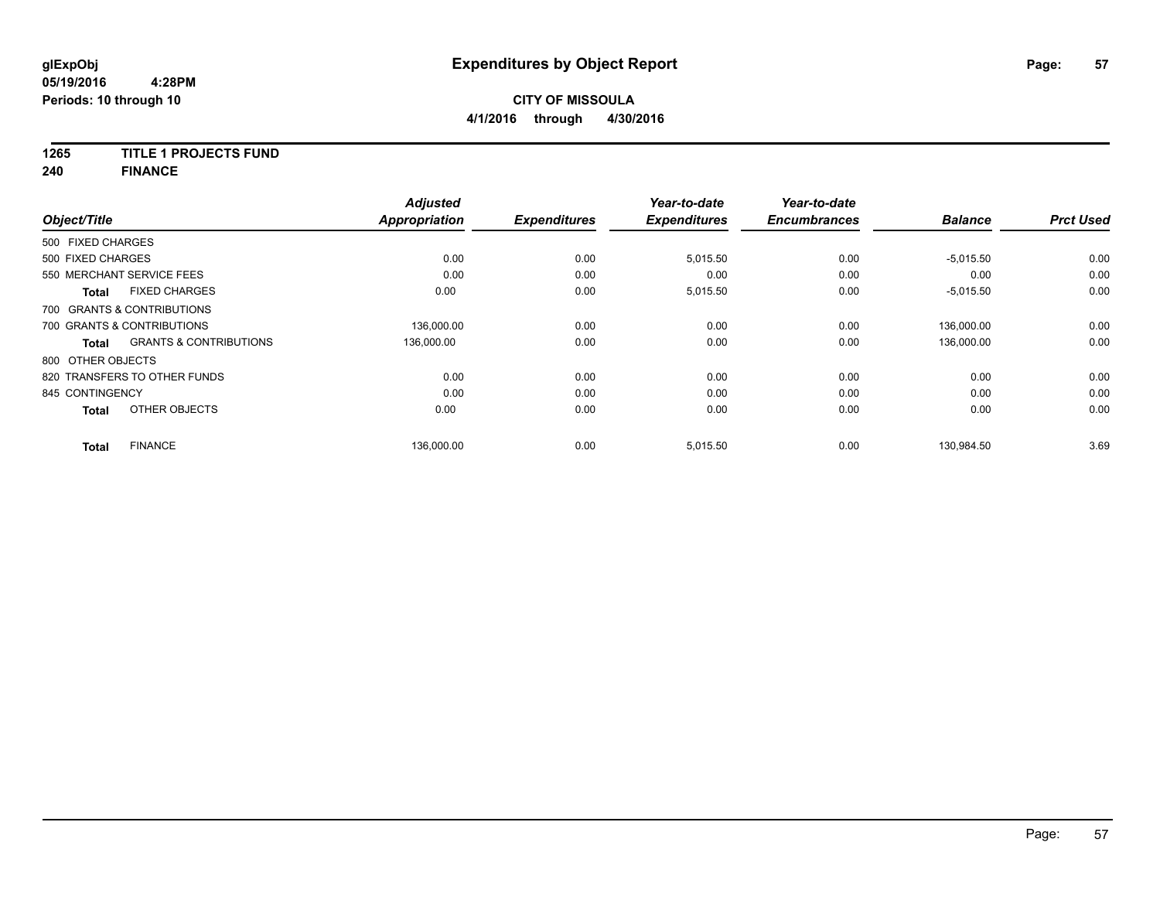### **1265 TITLE 1 PROJECTS FUND**

**240 FINANCE**

| Object/Title      |                                   | <b>Adjusted</b><br><b>Appropriation</b> | <b>Expenditures</b> | Year-to-date<br><b>Expenditures</b> | Year-to-date<br><b>Encumbrances</b> | <b>Balance</b> | <b>Prct Used</b> |
|-------------------|-----------------------------------|-----------------------------------------|---------------------|-------------------------------------|-------------------------------------|----------------|------------------|
|                   |                                   |                                         |                     |                                     |                                     |                |                  |
| 500 FIXED CHARGES |                                   |                                         |                     |                                     |                                     |                |                  |
| 500 FIXED CHARGES |                                   | 0.00                                    | 0.00                | 5,015.50                            | 0.00                                | $-5,015.50$    | 0.00             |
|                   | 550 MERCHANT SERVICE FEES         | 0.00                                    | 0.00                | 0.00                                | 0.00                                | 0.00           | 0.00             |
| <b>Total</b>      | <b>FIXED CHARGES</b>              | 0.00                                    | 0.00                | 5,015.50                            | 0.00                                | $-5,015.50$    | 0.00             |
|                   | 700 GRANTS & CONTRIBUTIONS        |                                         |                     |                                     |                                     |                |                  |
|                   | 700 GRANTS & CONTRIBUTIONS        | 136,000.00                              | 0.00                | 0.00                                | 0.00                                | 136,000.00     | 0.00             |
| <b>Total</b>      | <b>GRANTS &amp; CONTRIBUTIONS</b> | 136,000.00                              | 0.00                | 0.00                                | 0.00                                | 136,000.00     | 0.00             |
| 800 OTHER OBJECTS |                                   |                                         |                     |                                     |                                     |                |                  |
|                   | 820 TRANSFERS TO OTHER FUNDS      | 0.00                                    | 0.00                | 0.00                                | 0.00                                | 0.00           | 0.00             |
| 845 CONTINGENCY   |                                   | 0.00                                    | 0.00                | 0.00                                | 0.00                                | 0.00           | 0.00             |
| <b>Total</b>      | OTHER OBJECTS                     | 0.00                                    | 0.00                | 0.00                                | 0.00                                | 0.00           | 0.00             |
| <b>Total</b>      | <b>FINANCE</b>                    | 136,000.00                              | 0.00                | 5,015.50                            | 0.00                                | 130,984.50     | 3.69             |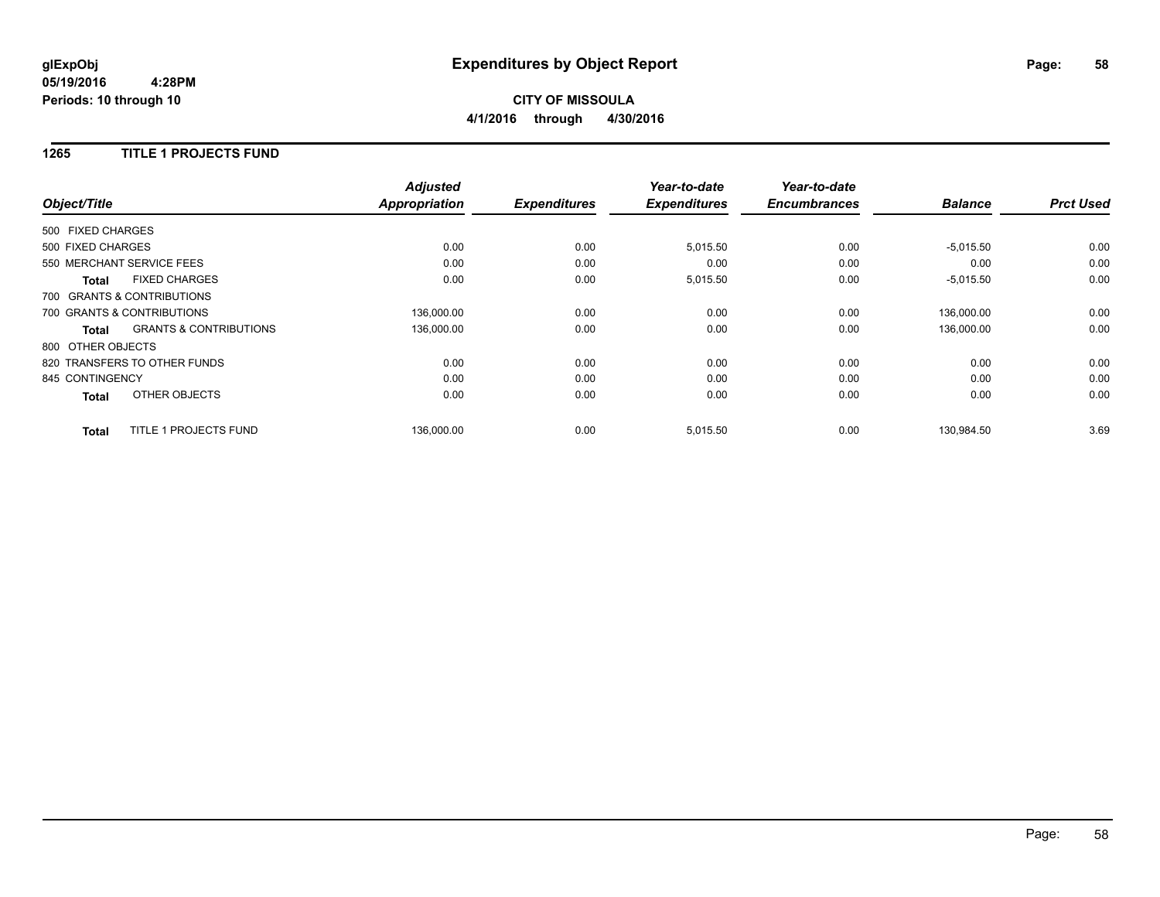# **CITY OF MISSOULA 4/1/2016 through 4/30/2016**

### **1265 TITLE 1 PROJECTS FUND**

|                   |                                   | <b>Adjusted</b>      |                     | Year-to-date        | Year-to-date<br><b>Encumbrances</b> | <b>Balance</b> | <b>Prct Used</b> |
|-------------------|-----------------------------------|----------------------|---------------------|---------------------|-------------------------------------|----------------|------------------|
| Object/Title      |                                   | <b>Appropriation</b> | <b>Expenditures</b> | <b>Expenditures</b> |                                     |                |                  |
| 500 FIXED CHARGES |                                   |                      |                     |                     |                                     |                |                  |
| 500 FIXED CHARGES |                                   | 0.00                 | 0.00                | 5,015.50            | 0.00                                | $-5,015.50$    | 0.00             |
|                   | 550 MERCHANT SERVICE FEES         | 0.00                 | 0.00                | 0.00                | 0.00                                | 0.00           | 0.00             |
| <b>Total</b>      | <b>FIXED CHARGES</b>              | 0.00                 | 0.00                | 5,015.50            | 0.00                                | $-5,015.50$    | 0.00             |
|                   | 700 GRANTS & CONTRIBUTIONS        |                      |                     |                     |                                     |                |                  |
|                   | 700 GRANTS & CONTRIBUTIONS        | 136,000.00           | 0.00                | 0.00                | 0.00                                | 136.000.00     | 0.00             |
| Total             | <b>GRANTS &amp; CONTRIBUTIONS</b> | 136,000.00           | 0.00                | 0.00                | 0.00                                | 136,000.00     | 0.00             |
| 800 OTHER OBJECTS |                                   |                      |                     |                     |                                     |                |                  |
|                   | 820 TRANSFERS TO OTHER FUNDS      | 0.00                 | 0.00                | 0.00                | 0.00                                | 0.00           | 0.00             |
| 845 CONTINGENCY   |                                   | 0.00                 | 0.00                | 0.00                | 0.00                                | 0.00           | 0.00             |
| <b>Total</b>      | OTHER OBJECTS                     | 0.00                 | 0.00                | 0.00                | 0.00                                | 0.00           | 0.00             |
| <b>Total</b>      | TITLE 1 PROJECTS FUND             | 136.000.00           | 0.00                | 5,015.50            | 0.00                                | 130.984.50     | 3.69             |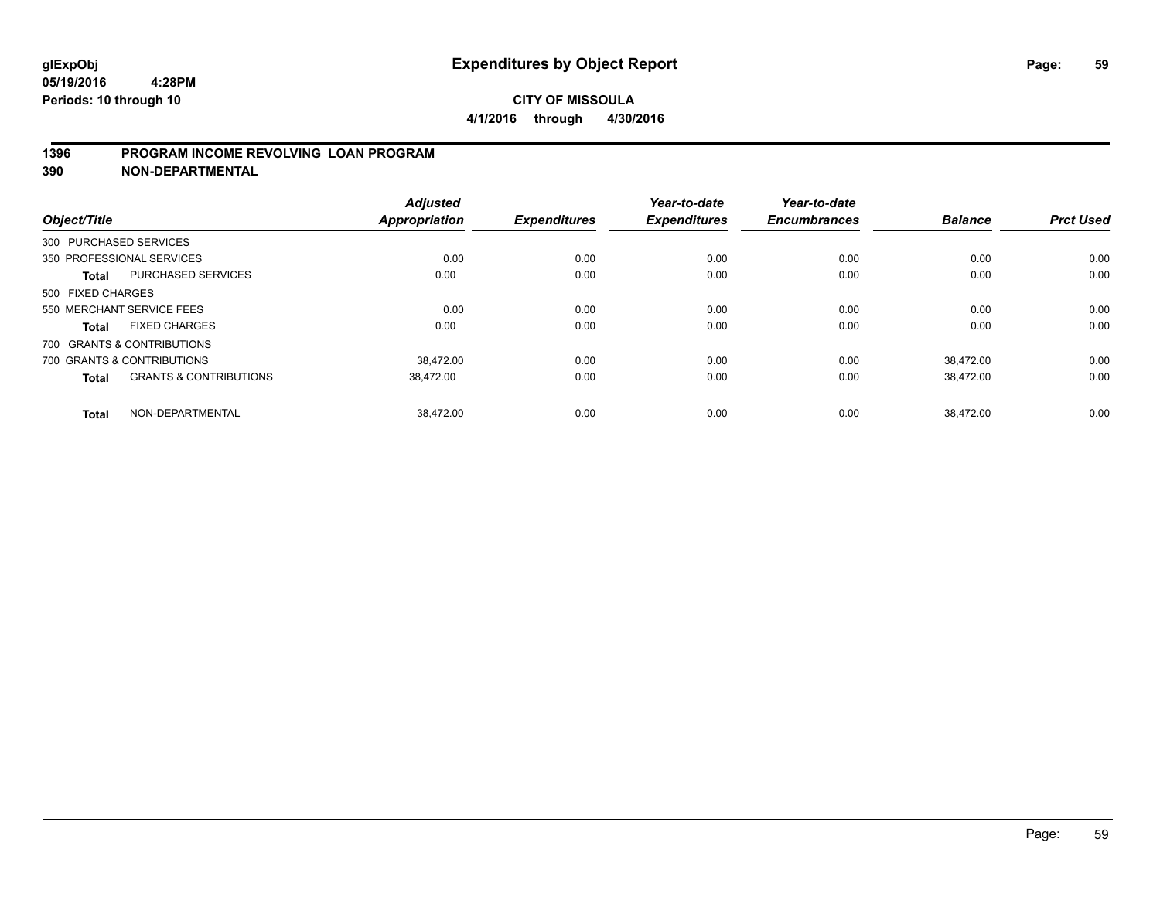### **1396 PROGRAM INCOME REVOLVING LOAN PROGRAM**

**390 NON-DEPARTMENTAL**

| Object/Title           |                                   | <b>Adjusted</b><br><b>Appropriation</b> | <b>Expenditures</b> | Year-to-date<br><b>Expenditures</b> | Year-to-date<br><b>Encumbrances</b> | <b>Balance</b> | <b>Prct Used</b> |
|------------------------|-----------------------------------|-----------------------------------------|---------------------|-------------------------------------|-------------------------------------|----------------|------------------|
| 300 PURCHASED SERVICES |                                   |                                         |                     |                                     |                                     |                |                  |
|                        | 350 PROFESSIONAL SERVICES         | 0.00                                    | 0.00                | 0.00                                | 0.00                                | 0.00           | 0.00             |
|                        |                                   |                                         |                     |                                     |                                     |                |                  |
| <b>Total</b>           | PURCHASED SERVICES                | 0.00                                    | 0.00                | 0.00                                | 0.00                                | 0.00           | 0.00             |
| 500 FIXED CHARGES      |                                   |                                         |                     |                                     |                                     |                |                  |
|                        | 550 MERCHANT SERVICE FEES         | 0.00                                    | 0.00                | 0.00                                | 0.00                                | 0.00           | 0.00             |
| <b>Total</b>           | <b>FIXED CHARGES</b>              | 0.00                                    | 0.00                | 0.00                                | 0.00                                | 0.00           | 0.00             |
|                        | 700 GRANTS & CONTRIBUTIONS        |                                         |                     |                                     |                                     |                |                  |
|                        | 700 GRANTS & CONTRIBUTIONS        | 38.472.00                               | 0.00                | 0.00                                | 0.00                                | 38.472.00      | 0.00             |
| <b>Total</b>           | <b>GRANTS &amp; CONTRIBUTIONS</b> | 38,472.00                               | 0.00                | 0.00                                | 0.00                                | 38,472.00      | 0.00             |
|                        |                                   |                                         |                     |                                     |                                     |                |                  |
| <b>Total</b>           | NON-DEPARTMENTAL                  | 38.472.00                               | 0.00                | 0.00                                | 0.00                                | 38.472.00      | 0.00             |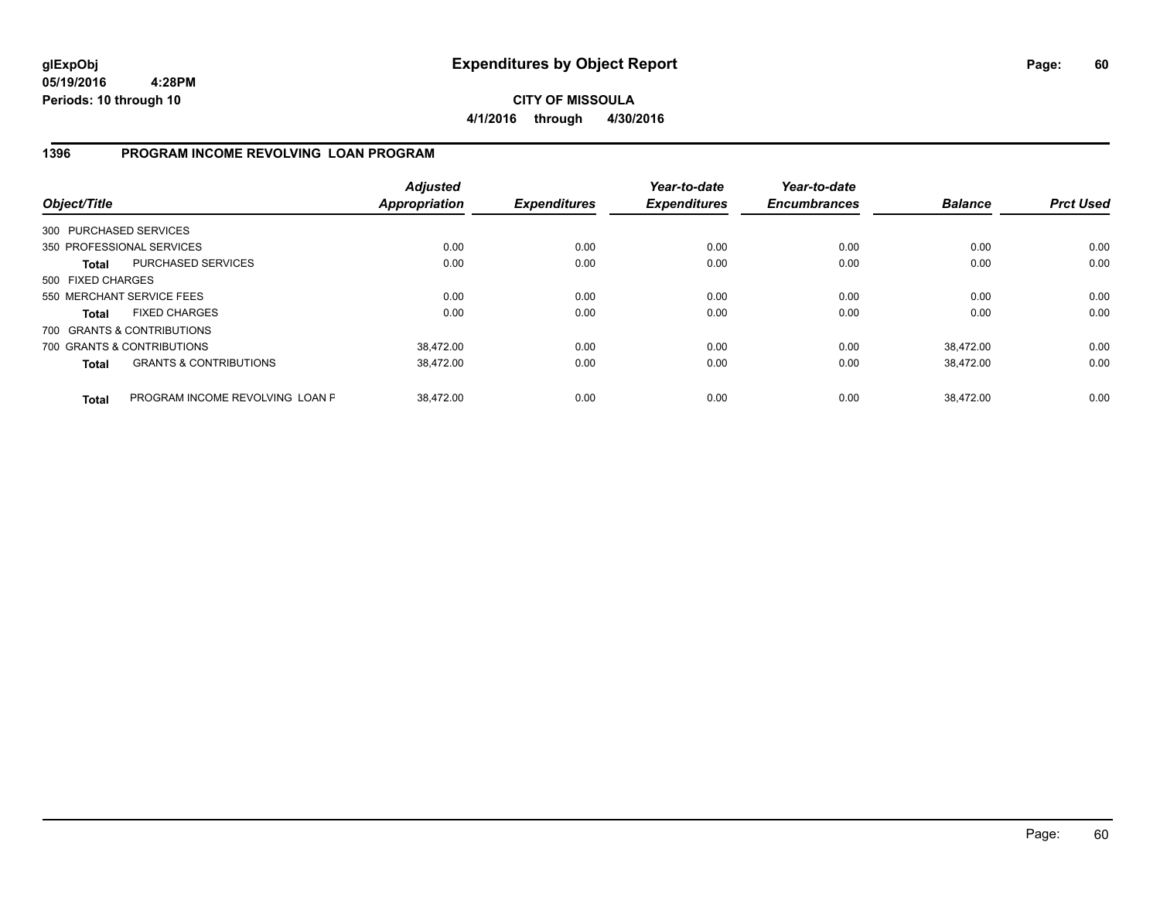### **CITY OF MISSOULA 4/1/2016 through 4/30/2016**

# **1396 PROGRAM INCOME REVOLVING LOAN PROGRAM**

| Object/Title           |                                   | <b>Adjusted</b><br><b>Appropriation</b> | <b>Expenditures</b> | Year-to-date<br><b>Expenditures</b> | Year-to-date<br><b>Encumbrances</b> | <b>Balance</b> | <b>Prct Used</b> |
|------------------------|-----------------------------------|-----------------------------------------|---------------------|-------------------------------------|-------------------------------------|----------------|------------------|
| 300 PURCHASED SERVICES |                                   |                                         |                     |                                     |                                     |                |                  |
|                        | 350 PROFESSIONAL SERVICES         | 0.00                                    | 0.00                | 0.00                                | 0.00                                | 0.00           | 0.00             |
| <b>Total</b>           | PURCHASED SERVICES                | 0.00                                    | 0.00                | 0.00                                | 0.00                                | 0.00           | 0.00             |
| 500 FIXED CHARGES      |                                   |                                         |                     |                                     |                                     |                |                  |
|                        | 550 MERCHANT SERVICE FEES         | 0.00                                    | 0.00                | 0.00                                | 0.00                                | 0.00           | 0.00             |
| <b>Total</b>           | <b>FIXED CHARGES</b>              | 0.00                                    | 0.00                | 0.00                                | 0.00                                | 0.00           | 0.00             |
|                        | 700 GRANTS & CONTRIBUTIONS        |                                         |                     |                                     |                                     |                |                  |
|                        | 700 GRANTS & CONTRIBUTIONS        | 38.472.00                               | 0.00                | 0.00                                | 0.00                                | 38.472.00      | 0.00             |
| <b>Total</b>           | <b>GRANTS &amp; CONTRIBUTIONS</b> | 38.472.00                               | 0.00                | 0.00                                | 0.00                                | 38.472.00      | 0.00             |
| <b>Total</b>           | PROGRAM INCOME REVOLVING LOAN P   | 38.472.00                               | 0.00                | 0.00                                | 0.00                                | 38,472.00      | 0.00             |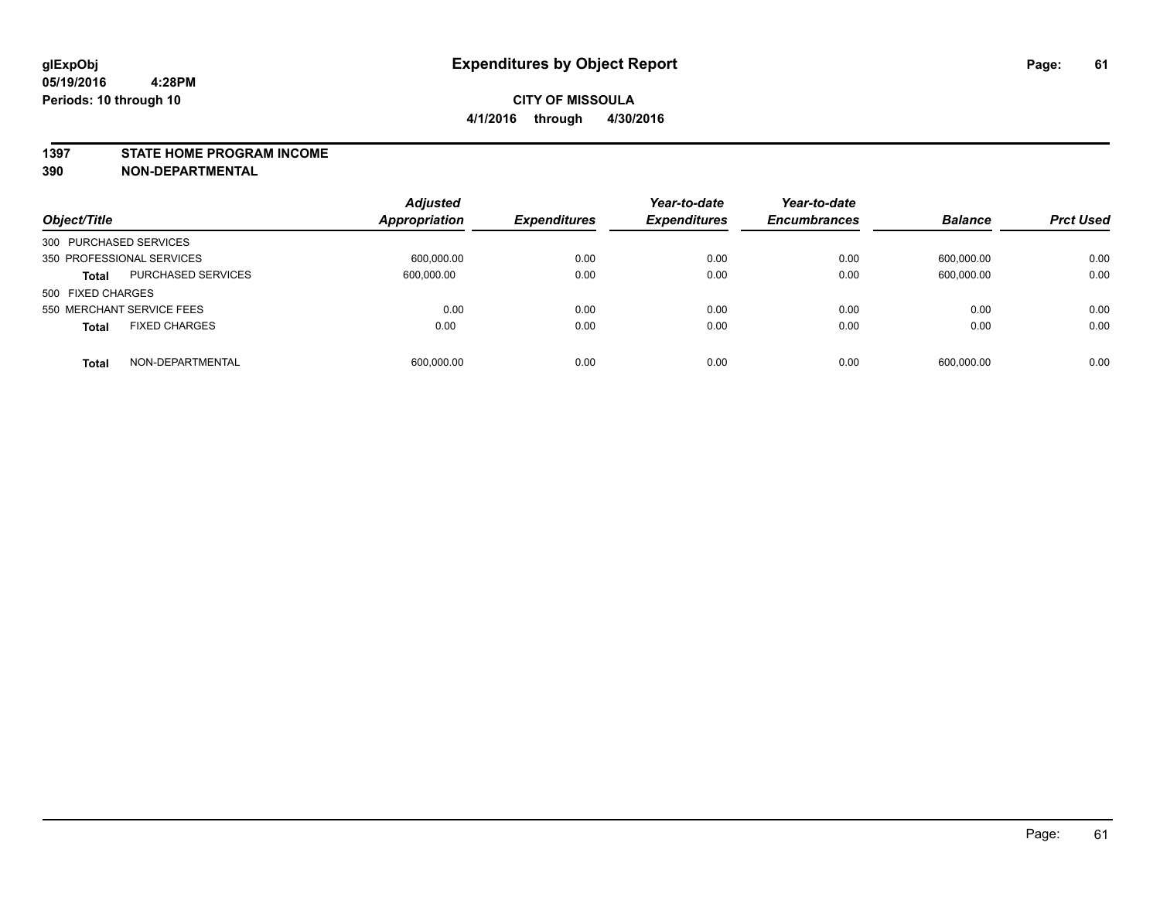#### **1397 STATE HOME PROGRAM INCOME**

**390 NON-DEPARTMENTAL**

| Object/Title                              | <b>Adjusted</b><br><b>Appropriation</b> | <b>Expenditures</b> | Year-to-date<br><b>Expenditures</b> | Year-to-date<br><b>Encumbrances</b> | <b>Balance</b> | <b>Prct Used</b> |
|-------------------------------------------|-----------------------------------------|---------------------|-------------------------------------|-------------------------------------|----------------|------------------|
| 300 PURCHASED SERVICES                    |                                         |                     |                                     |                                     |                |                  |
| 350 PROFESSIONAL SERVICES                 | 600,000.00                              | 0.00                | 0.00                                | 0.00                                | 600,000.00     | 0.00             |
| <b>PURCHASED SERVICES</b><br><b>Total</b> | 600,000.00                              | 0.00                | 0.00                                | 0.00                                | 600,000.00     | 0.00             |
| 500 FIXED CHARGES                         |                                         |                     |                                     |                                     |                |                  |
| 550 MERCHANT SERVICE FEES                 | 0.00                                    | 0.00                | 0.00                                | 0.00                                | 0.00           | 0.00             |
| <b>FIXED CHARGES</b><br><b>Total</b>      | 0.00                                    | 0.00                | 0.00                                | 0.00                                | 0.00           | 0.00             |
| NON-DEPARTMENTAL<br><b>Total</b>          | 600,000.00                              | 0.00                | 0.00                                | 0.00                                | 600,000.00     | 0.00             |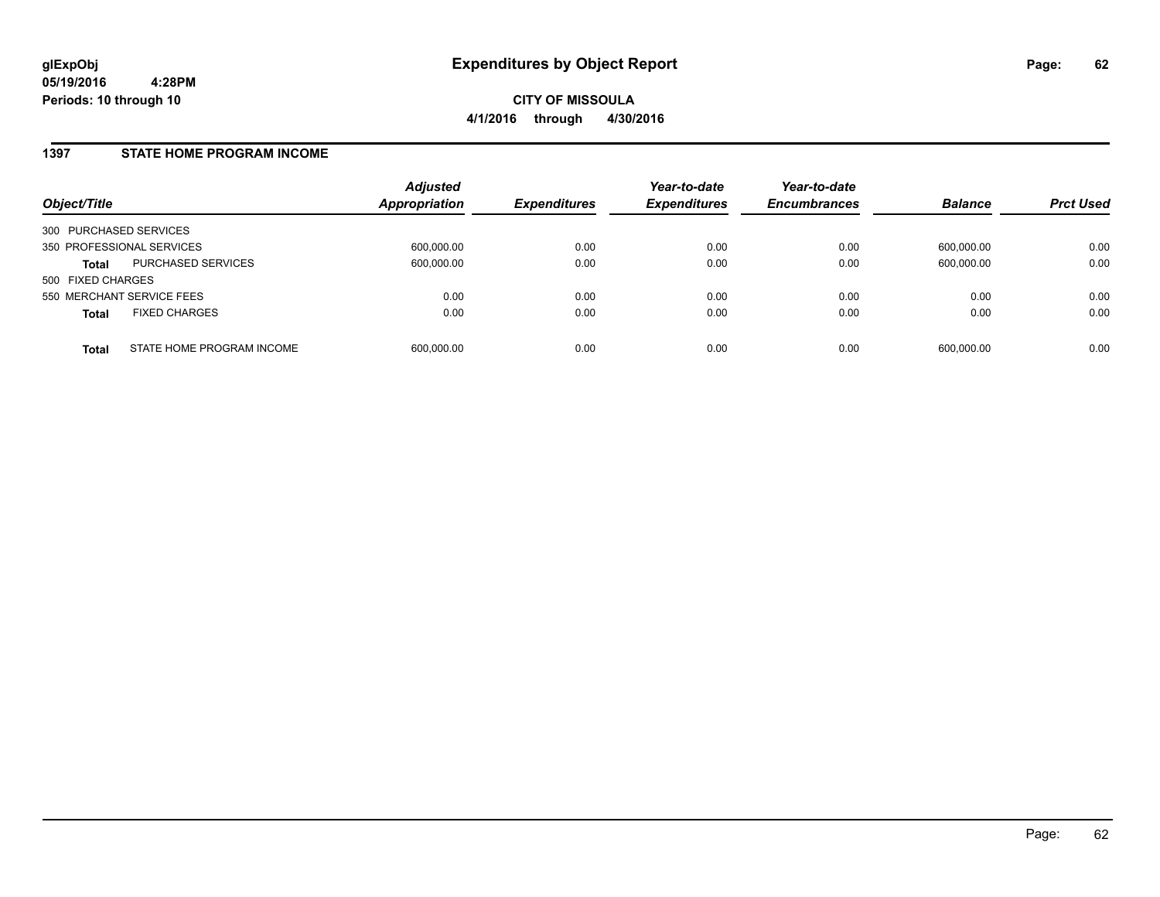### **1397 STATE HOME PROGRAM INCOME**

| Object/Title              |                           | <b>Adjusted</b><br>Appropriation | <b>Expenditures</b> | Year-to-date<br><b>Expenditures</b> | Year-to-date<br><b>Encumbrances</b> | <b>Balance</b> | <b>Prct Used</b> |
|---------------------------|---------------------------|----------------------------------|---------------------|-------------------------------------|-------------------------------------|----------------|------------------|
| 300 PURCHASED SERVICES    |                           |                                  |                     |                                     |                                     |                |                  |
| 350 PROFESSIONAL SERVICES |                           | 600,000.00                       | 0.00                | 0.00                                | 0.00                                | 600,000.00     | 0.00             |
| <b>Total</b>              | <b>PURCHASED SERVICES</b> | 600,000.00                       | 0.00                | 0.00                                | 0.00                                | 600,000.00     | 0.00             |
| 500 FIXED CHARGES         |                           |                                  |                     |                                     |                                     |                |                  |
| 550 MERCHANT SERVICE FEES |                           | 0.00                             | 0.00                | 0.00                                | 0.00                                | 0.00           | 0.00             |
| <b>Total</b>              | <b>FIXED CHARGES</b>      | 0.00                             | 0.00                | 0.00                                | 0.00                                | 0.00           | 0.00             |
| <b>Total</b>              | STATE HOME PROGRAM INCOME | 600,000.00                       | 0.00                | 0.00                                | 0.00                                | 600,000.00     | 0.00             |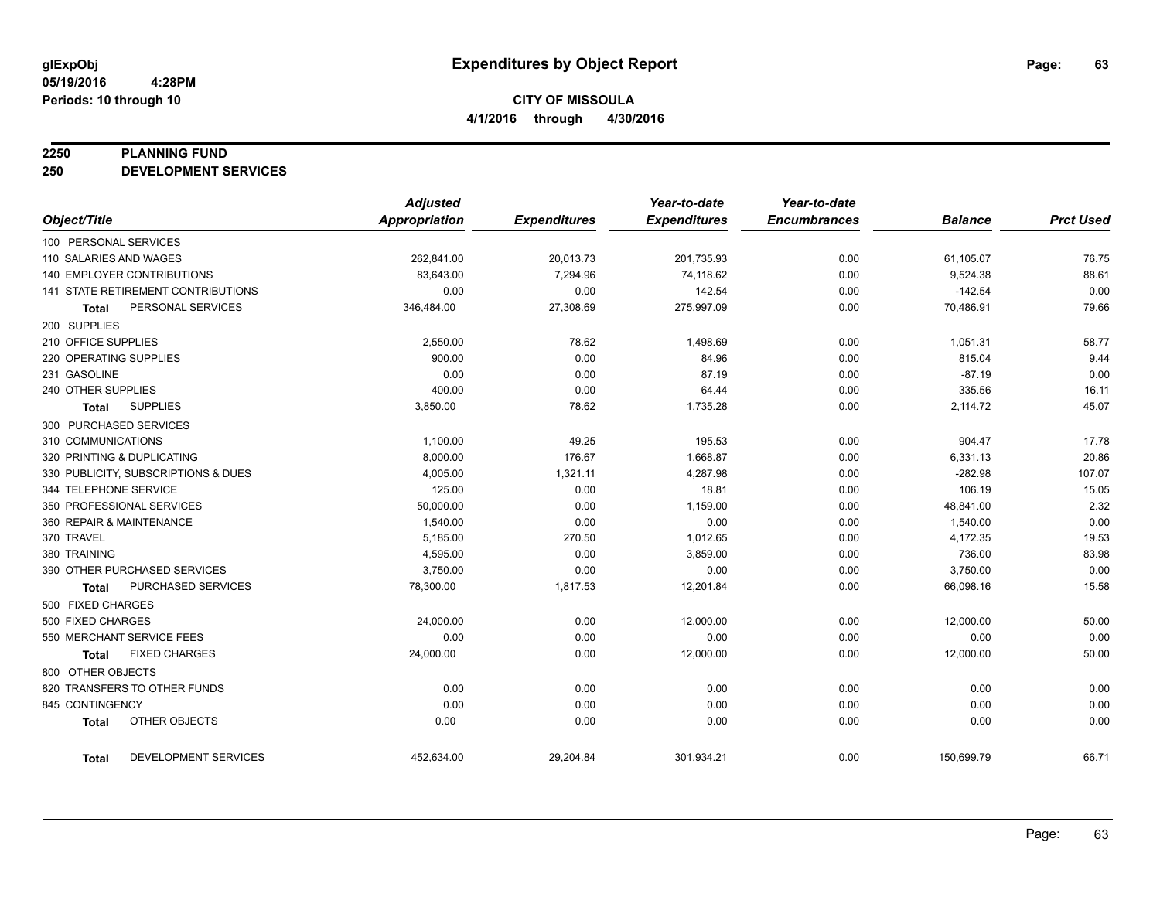#### **2250 PLANNING FUND**

**250 DEVELOPMENT SERVICES**

|                                           | <b>Adjusted</b>      |                     | Year-to-date        | Year-to-date        |                |                  |
|-------------------------------------------|----------------------|---------------------|---------------------|---------------------|----------------|------------------|
| Object/Title                              | <b>Appropriation</b> | <b>Expenditures</b> | <b>Expenditures</b> | <b>Encumbrances</b> | <b>Balance</b> | <b>Prct Used</b> |
| 100 PERSONAL SERVICES                     |                      |                     |                     |                     |                |                  |
| 110 SALARIES AND WAGES                    | 262,841.00           | 20,013.73           | 201,735.93          | 0.00                | 61,105.07      | 76.75            |
| <b>140 EMPLOYER CONTRIBUTIONS</b>         | 83,643.00            | 7,294.96            | 74,118.62           | 0.00                | 9,524.38       | 88.61            |
| <b>141 STATE RETIREMENT CONTRIBUTIONS</b> | 0.00                 | 0.00                | 142.54              | 0.00                | $-142.54$      | 0.00             |
| PERSONAL SERVICES<br><b>Total</b>         | 346,484.00           | 27,308.69           | 275,997.09          | 0.00                | 70,486.91      | 79.66            |
| 200 SUPPLIES                              |                      |                     |                     |                     |                |                  |
| 210 OFFICE SUPPLIES                       | 2,550.00             | 78.62               | 1,498.69            | 0.00                | 1,051.31       | 58.77            |
| 220 OPERATING SUPPLIES                    | 900.00               | 0.00                | 84.96               | 0.00                | 815.04         | 9.44             |
| 231 GASOLINE                              | 0.00                 | 0.00                | 87.19               | 0.00                | $-87.19$       | 0.00             |
| 240 OTHER SUPPLIES                        | 400.00               | 0.00                | 64.44               | 0.00                | 335.56         | 16.11            |
| <b>SUPPLIES</b><br><b>Total</b>           | 3,850.00             | 78.62               | 1,735.28            | 0.00                | 2,114.72       | 45.07            |
| 300 PURCHASED SERVICES                    |                      |                     |                     |                     |                |                  |
| 310 COMMUNICATIONS                        | 1,100.00             | 49.25               | 195.53              | 0.00                | 904.47         | 17.78            |
| 320 PRINTING & DUPLICATING                | 8,000.00             | 176.67              | 1,668.87            | 0.00                | 6,331.13       | 20.86            |
| 330 PUBLICITY, SUBSCRIPTIONS & DUES       | 4,005.00             | 1,321.11            | 4,287.98            | 0.00                | $-282.98$      | 107.07           |
| 344 TELEPHONE SERVICE                     | 125.00               | 0.00                | 18.81               | 0.00                | 106.19         | 15.05            |
| 350 PROFESSIONAL SERVICES                 | 50,000.00            | 0.00                | 1,159.00            | 0.00                | 48,841.00      | 2.32             |
| 360 REPAIR & MAINTENANCE                  | 1,540.00             | 0.00                | 0.00                | 0.00                | 1,540.00       | 0.00             |
| 370 TRAVEL                                | 5,185.00             | 270.50              | 1,012.65            | 0.00                | 4,172.35       | 19.53            |
| 380 TRAINING                              | 4,595.00             | 0.00                | 3,859.00            | 0.00                | 736.00         | 83.98            |
| 390 OTHER PURCHASED SERVICES              | 3,750.00             | 0.00                | 0.00                | 0.00                | 3,750.00       | 0.00             |
| <b>PURCHASED SERVICES</b><br><b>Total</b> | 78,300.00            | 1,817.53            | 12,201.84           | 0.00                | 66,098.16      | 15.58            |
| 500 FIXED CHARGES                         |                      |                     |                     |                     |                |                  |
| 500 FIXED CHARGES                         | 24,000.00            | 0.00                | 12,000.00           | 0.00                | 12,000.00      | 50.00            |
| 550 MERCHANT SERVICE FEES                 | 0.00                 | 0.00                | 0.00                | 0.00                | 0.00           | 0.00             |
| <b>FIXED CHARGES</b><br><b>Total</b>      | 24,000.00            | 0.00                | 12,000.00           | 0.00                | 12,000.00      | 50.00            |
| 800 OTHER OBJECTS                         |                      |                     |                     |                     |                |                  |
| 820 TRANSFERS TO OTHER FUNDS              | 0.00                 | 0.00                | 0.00                | 0.00                | 0.00           | 0.00             |
| 845 CONTINGENCY                           | 0.00                 | 0.00                | 0.00                | 0.00                | 0.00           | 0.00             |
| OTHER OBJECTS<br><b>Total</b>             | 0.00                 | 0.00                | 0.00                | 0.00                | 0.00           | 0.00             |
| DEVELOPMENT SERVICES<br><b>Total</b>      | 452,634.00           | 29,204.84           | 301,934.21          | 0.00                | 150,699.79     | 66.71            |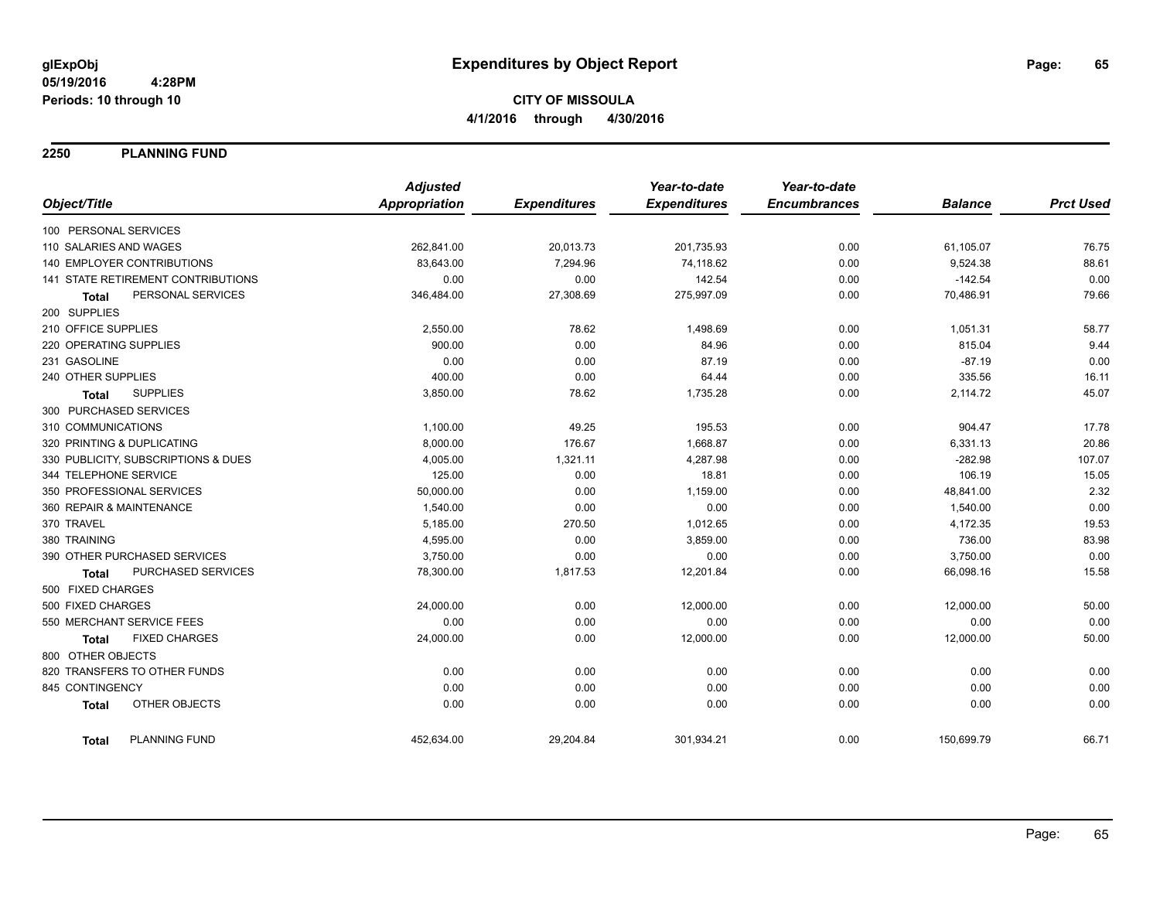**2250 PLANNING FUND**

|                                           | <b>Adjusted</b>      |                     | Year-to-date        | Year-to-date        |                |                  |
|-------------------------------------------|----------------------|---------------------|---------------------|---------------------|----------------|------------------|
| Object/Title                              | <b>Appropriation</b> | <b>Expenditures</b> | <b>Expenditures</b> | <b>Encumbrances</b> | <b>Balance</b> | <b>Prct Used</b> |
| 100 PERSONAL SERVICES                     |                      |                     |                     |                     |                |                  |
| 110 SALARIES AND WAGES                    | 262,841.00           | 20,013.73           | 201,735.93          | 0.00                | 61,105.07      | 76.75            |
| 140 EMPLOYER CONTRIBUTIONS                | 83,643.00            | 7,294.96            | 74,118.62           | 0.00                | 9,524.38       | 88.61            |
| <b>141 STATE RETIREMENT CONTRIBUTIONS</b> | 0.00                 | 0.00                | 142.54              | 0.00                | $-142.54$      | 0.00             |
| PERSONAL SERVICES<br><b>Total</b>         | 346,484.00           | 27,308.69           | 275,997.09          | 0.00                | 70,486.91      | 79.66            |
| 200 SUPPLIES                              |                      |                     |                     |                     |                |                  |
| 210 OFFICE SUPPLIES                       | 2,550.00             | 78.62               | 1,498.69            | 0.00                | 1,051.31       | 58.77            |
| 220 OPERATING SUPPLIES                    | 900.00               | 0.00                | 84.96               | 0.00                | 815.04         | 9.44             |
| 231 GASOLINE                              | 0.00                 | 0.00                | 87.19               | 0.00                | $-87.19$       | 0.00             |
| 240 OTHER SUPPLIES                        | 400.00               | 0.00                | 64.44               | 0.00                | 335.56         | 16.11            |
| <b>SUPPLIES</b><br><b>Total</b>           | 3,850.00             | 78.62               | 1,735.28            | 0.00                | 2,114.72       | 45.07            |
| 300 PURCHASED SERVICES                    |                      |                     |                     |                     |                |                  |
| 310 COMMUNICATIONS                        | 1,100.00             | 49.25               | 195.53              | 0.00                | 904.47         | 17.78            |
| 320 PRINTING & DUPLICATING                | 8,000.00             | 176.67              | 1,668.87            | 0.00                | 6,331.13       | 20.86            |
| 330 PUBLICITY, SUBSCRIPTIONS & DUES       | 4,005.00             | 1,321.11            | 4,287.98            | 0.00                | $-282.98$      | 107.07           |
| 344 TELEPHONE SERVICE                     | 125.00               | 0.00                | 18.81               | 0.00                | 106.19         | 15.05            |
| 350 PROFESSIONAL SERVICES                 | 50,000.00            | 0.00                | 1,159.00            | 0.00                | 48,841.00      | 2.32             |
| 360 REPAIR & MAINTENANCE                  | 1,540.00             | 0.00                | 0.00                | 0.00                | 1,540.00       | 0.00             |
| 370 TRAVEL                                | 5,185.00             | 270.50              | 1,012.65            | 0.00                | 4,172.35       | 19.53            |
| 380 TRAINING                              | 4,595.00             | 0.00                | 3,859.00            | 0.00                | 736.00         | 83.98            |
| 390 OTHER PURCHASED SERVICES              | 3,750.00             | 0.00                | 0.00                | 0.00                | 3,750.00       | 0.00             |
| PURCHASED SERVICES<br><b>Total</b>        | 78,300.00            | 1,817.53            | 12,201.84           | 0.00                | 66,098.16      | 15.58            |
| 500 FIXED CHARGES                         |                      |                     |                     |                     |                |                  |
| 500 FIXED CHARGES                         | 24,000.00            | 0.00                | 12,000.00           | 0.00                | 12,000.00      | 50.00            |
| 550 MERCHANT SERVICE FEES                 | 0.00                 | 0.00                | 0.00                | 0.00                | 0.00           | 0.00             |
| <b>FIXED CHARGES</b><br><b>Total</b>      | 24,000.00            | 0.00                | 12,000.00           | 0.00                | 12,000.00      | 50.00            |
| 800 OTHER OBJECTS                         |                      |                     |                     |                     |                |                  |
| 820 TRANSFERS TO OTHER FUNDS              | 0.00                 | 0.00                | 0.00                | 0.00                | 0.00           | 0.00             |
| 845 CONTINGENCY                           | 0.00                 | 0.00                | 0.00                | 0.00                | 0.00           | 0.00             |
| OTHER OBJECTS<br><b>Total</b>             | 0.00                 | 0.00                | 0.00                | 0.00                | 0.00           | 0.00             |
| <b>PLANNING FUND</b><br><b>Total</b>      | 452,634.00           | 29,204.84           | 301,934.21          | 0.00                | 150,699.79     | 66.71            |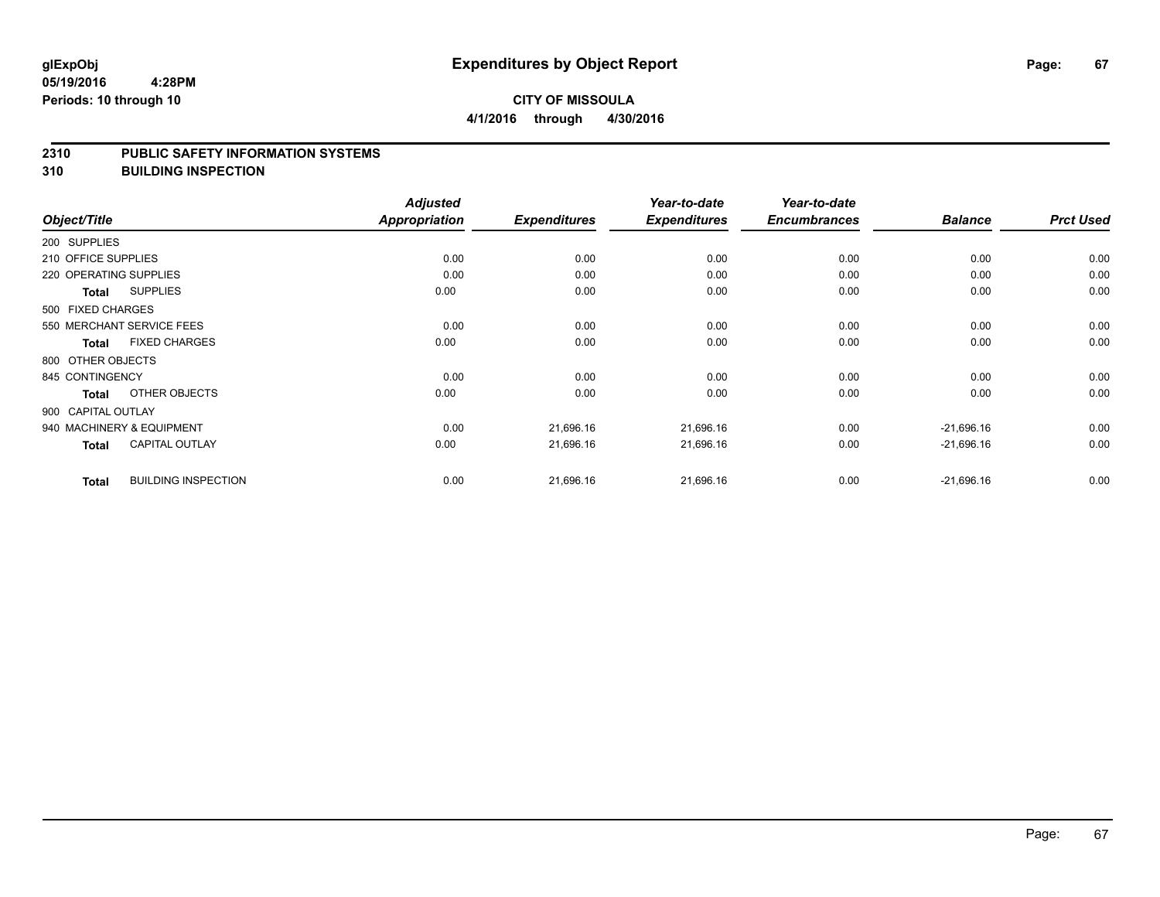# **CITY OF MISSOULA 4/1/2016 through 4/30/2016**

#### **2310 PUBLIC SAFETY INFORMATION SYSTEMS**

**310 BUILDING INSPECTION**

|                        |                            | <b>Adjusted</b>      |                     | Year-to-date        | Year-to-date        |                |                  |
|------------------------|----------------------------|----------------------|---------------------|---------------------|---------------------|----------------|------------------|
| Object/Title           |                            | <b>Appropriation</b> | <b>Expenditures</b> | <b>Expenditures</b> | <b>Encumbrances</b> | <b>Balance</b> | <b>Prct Used</b> |
| 200 SUPPLIES           |                            |                      |                     |                     |                     |                |                  |
| 210 OFFICE SUPPLIES    |                            | 0.00                 | 0.00                | 0.00                | 0.00                | 0.00           | 0.00             |
| 220 OPERATING SUPPLIES |                            | 0.00                 | 0.00                | 0.00                | 0.00                | 0.00           | 0.00             |
| Total                  | <b>SUPPLIES</b>            | 0.00                 | 0.00                | 0.00                | 0.00                | 0.00           | 0.00             |
| 500 FIXED CHARGES      |                            |                      |                     |                     |                     |                |                  |
|                        | 550 MERCHANT SERVICE FEES  | 0.00                 | 0.00                | 0.00                | 0.00                | 0.00           | 0.00             |
| Total                  | <b>FIXED CHARGES</b>       | 0.00                 | 0.00                | 0.00                | 0.00                | 0.00           | 0.00             |
| 800 OTHER OBJECTS      |                            |                      |                     |                     |                     |                |                  |
| 845 CONTINGENCY        |                            | 0.00                 | 0.00                | 0.00                | 0.00                | 0.00           | 0.00             |
| Total                  | OTHER OBJECTS              | 0.00                 | 0.00                | 0.00                | 0.00                | 0.00           | 0.00             |
| 900 CAPITAL OUTLAY     |                            |                      |                     |                     |                     |                |                  |
|                        | 940 MACHINERY & EQUIPMENT  | 0.00                 | 21,696.16           | 21,696.16           | 0.00                | $-21,696.16$   | 0.00             |
| Total                  | <b>CAPITAL OUTLAY</b>      | 0.00                 | 21,696.16           | 21,696.16           | 0.00                | $-21,696.16$   | 0.00             |
| <b>Total</b>           | <b>BUILDING INSPECTION</b> | 0.00                 | 21,696.16           | 21,696.16           | 0.00                | $-21,696.16$   | 0.00             |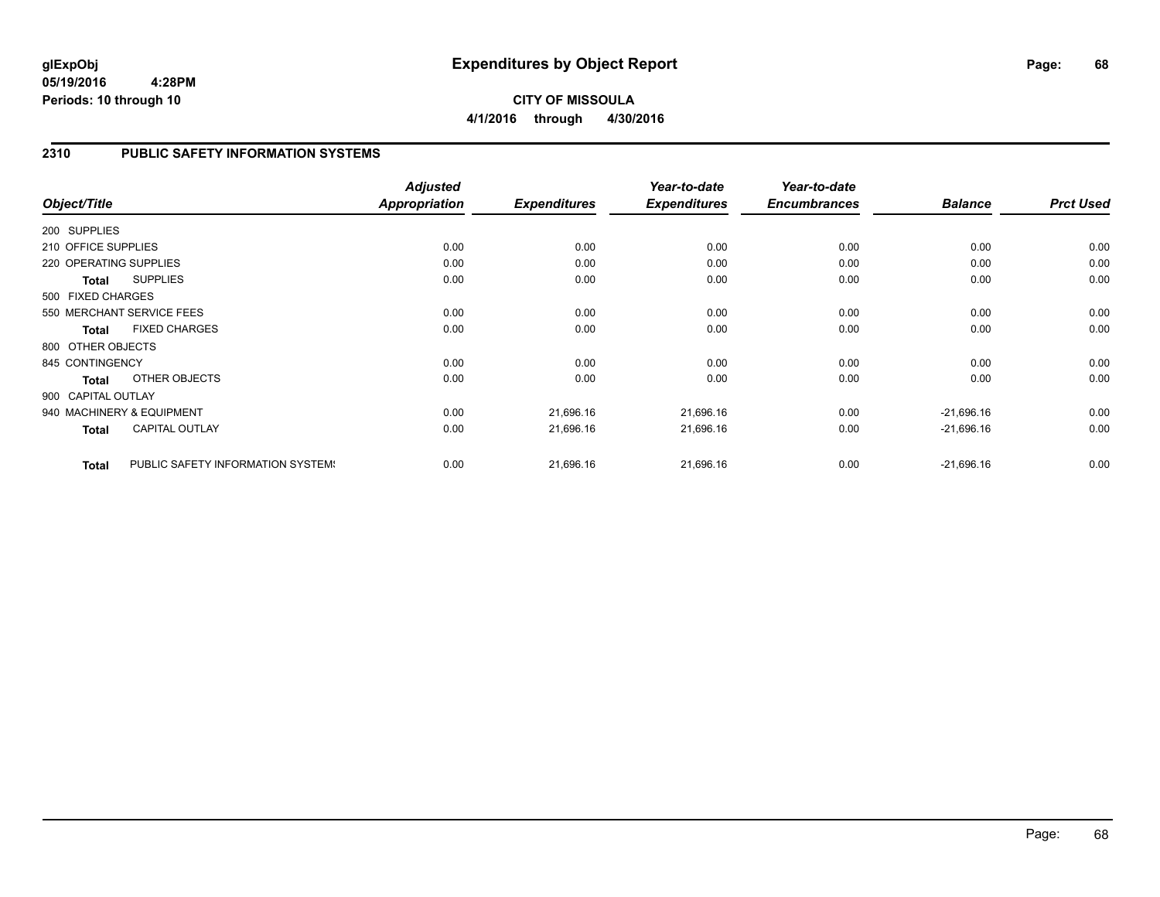# **CITY OF MISSOULA 4/1/2016 through 4/30/2016**

# **2310 PUBLIC SAFETY INFORMATION SYSTEMS**

| Object/Title           |                                   | <b>Adjusted</b><br>Appropriation | <b>Expenditures</b> | Year-to-date<br><b>Expenditures</b> | Year-to-date<br><b>Encumbrances</b> | <b>Balance</b> | <b>Prct Used</b> |
|------------------------|-----------------------------------|----------------------------------|---------------------|-------------------------------------|-------------------------------------|----------------|------------------|
| 200 SUPPLIES           |                                   |                                  |                     |                                     |                                     |                |                  |
| 210 OFFICE SUPPLIES    |                                   | 0.00                             | 0.00                | 0.00                                | 0.00                                | 0.00           | 0.00             |
| 220 OPERATING SUPPLIES |                                   | 0.00                             | 0.00                | 0.00                                | 0.00                                | 0.00           | 0.00             |
| Total                  | <b>SUPPLIES</b>                   | 0.00                             | 0.00                | 0.00                                | 0.00                                | 0.00           | 0.00             |
| 500 FIXED CHARGES      |                                   |                                  |                     |                                     |                                     |                |                  |
|                        | 550 MERCHANT SERVICE FEES         | 0.00                             | 0.00                | 0.00                                | 0.00                                | 0.00           | 0.00             |
| <b>Total</b>           | <b>FIXED CHARGES</b>              | 0.00                             | 0.00                | 0.00                                | 0.00                                | 0.00           | 0.00             |
| 800 OTHER OBJECTS      |                                   |                                  |                     |                                     |                                     |                |                  |
| 845 CONTINGENCY        |                                   | 0.00                             | 0.00                | 0.00                                | 0.00                                | 0.00           | 0.00             |
| <b>Total</b>           | OTHER OBJECTS                     | 0.00                             | 0.00                | 0.00                                | 0.00                                | 0.00           | 0.00             |
| 900 CAPITAL OUTLAY     |                                   |                                  |                     |                                     |                                     |                |                  |
|                        | 940 MACHINERY & EQUIPMENT         | 0.00                             | 21,696.16           | 21,696.16                           | 0.00                                | $-21,696.16$   | 0.00             |
| Total                  | <b>CAPITAL OUTLAY</b>             | 0.00                             | 21,696.16           | 21,696.16                           | 0.00                                | $-21,696.16$   | 0.00             |
| <b>Total</b>           | PUBLIC SAFETY INFORMATION SYSTEM! | 0.00                             | 21,696.16           | 21,696.16                           | 0.00                                | $-21,696.16$   | 0.00             |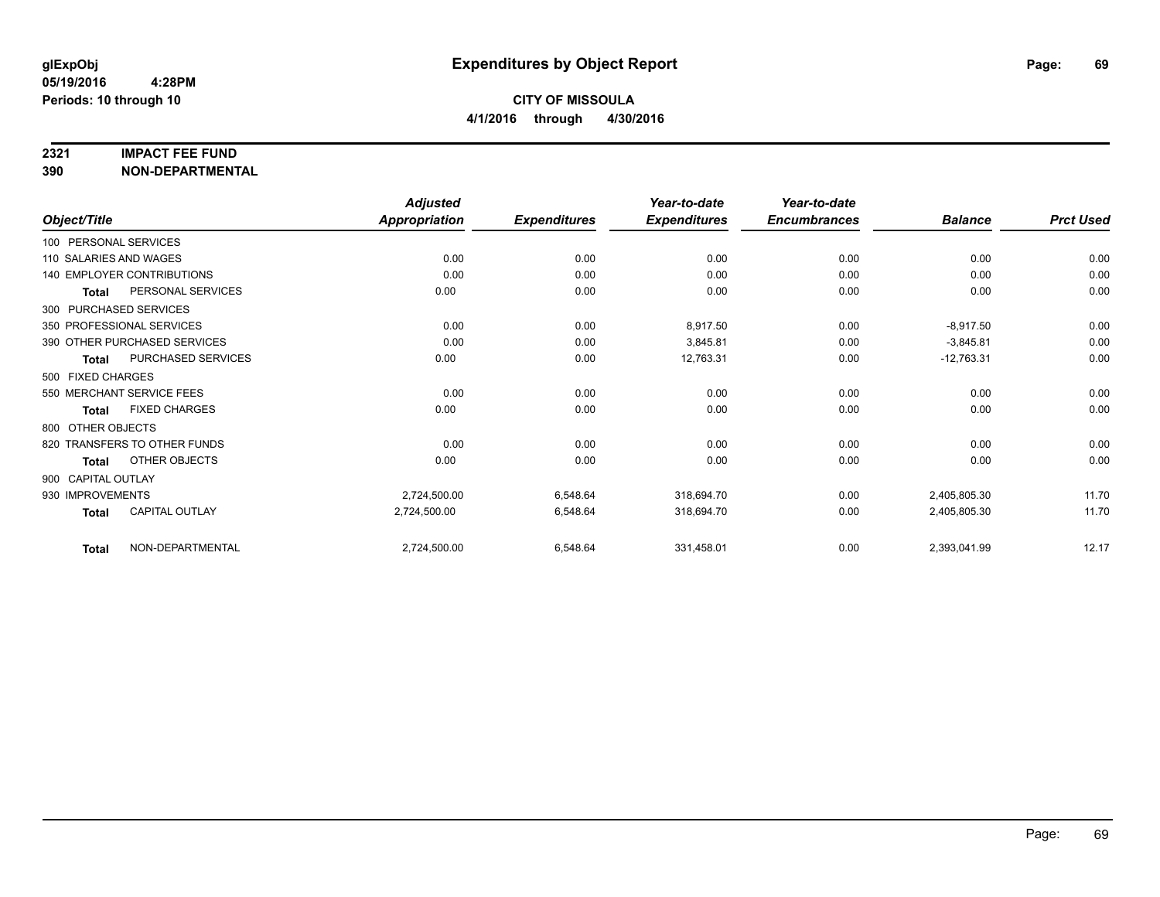#### **2321 IMPACT FEE FUND**

**390 NON-DEPARTMENTAL**

|                        |                                   | <b>Adjusted</b>      |                     | Year-to-date        | Year-to-date        |                |                  |
|------------------------|-----------------------------------|----------------------|---------------------|---------------------|---------------------|----------------|------------------|
| Object/Title           |                                   | <b>Appropriation</b> | <b>Expenditures</b> | <b>Expenditures</b> | <b>Encumbrances</b> | <b>Balance</b> | <b>Prct Used</b> |
| 100 PERSONAL SERVICES  |                                   |                      |                     |                     |                     |                |                  |
| 110 SALARIES AND WAGES |                                   | 0.00                 | 0.00                | 0.00                | 0.00                | 0.00           | 0.00             |
|                        | <b>140 EMPLOYER CONTRIBUTIONS</b> | 0.00                 | 0.00                | 0.00                | 0.00                | 0.00           | 0.00             |
| <b>Total</b>           | PERSONAL SERVICES                 | 0.00                 | 0.00                | 0.00                | 0.00                | 0.00           | 0.00             |
| 300 PURCHASED SERVICES |                                   |                      |                     |                     |                     |                |                  |
|                        | 350 PROFESSIONAL SERVICES         | 0.00                 | 0.00                | 8,917.50            | 0.00                | $-8,917.50$    | 0.00             |
|                        | 390 OTHER PURCHASED SERVICES      | 0.00                 | 0.00                | 3,845.81            | 0.00                | $-3,845.81$    | 0.00             |
| <b>Total</b>           | PURCHASED SERVICES                | 0.00                 | 0.00                | 12,763.31           | 0.00                | $-12,763.31$   | 0.00             |
| 500 FIXED CHARGES      |                                   |                      |                     |                     |                     |                |                  |
|                        | 550 MERCHANT SERVICE FEES         | 0.00                 | 0.00                | 0.00                | 0.00                | 0.00           | 0.00             |
| <b>Total</b>           | <b>FIXED CHARGES</b>              | 0.00                 | 0.00                | 0.00                | 0.00                | 0.00           | 0.00             |
| 800 OTHER OBJECTS      |                                   |                      |                     |                     |                     |                |                  |
|                        | 820 TRANSFERS TO OTHER FUNDS      | 0.00                 | 0.00                | 0.00                | 0.00                | 0.00           | 0.00             |
| Total                  | OTHER OBJECTS                     | 0.00                 | 0.00                | 0.00                | 0.00                | 0.00           | 0.00             |
| 900 CAPITAL OUTLAY     |                                   |                      |                     |                     |                     |                |                  |
| 930 IMPROVEMENTS       |                                   | 2,724,500.00         | 6,548.64            | 318,694.70          | 0.00                | 2,405,805.30   | 11.70            |
| <b>Total</b>           | CAPITAL OUTLAY                    | 2,724,500.00         | 6,548.64            | 318,694.70          | 0.00                | 2,405,805.30   | 11.70            |
| <b>Total</b>           | NON-DEPARTMENTAL                  | 2,724,500.00         | 6,548.64            | 331,458.01          | 0.00                | 2,393,041.99   | 12.17            |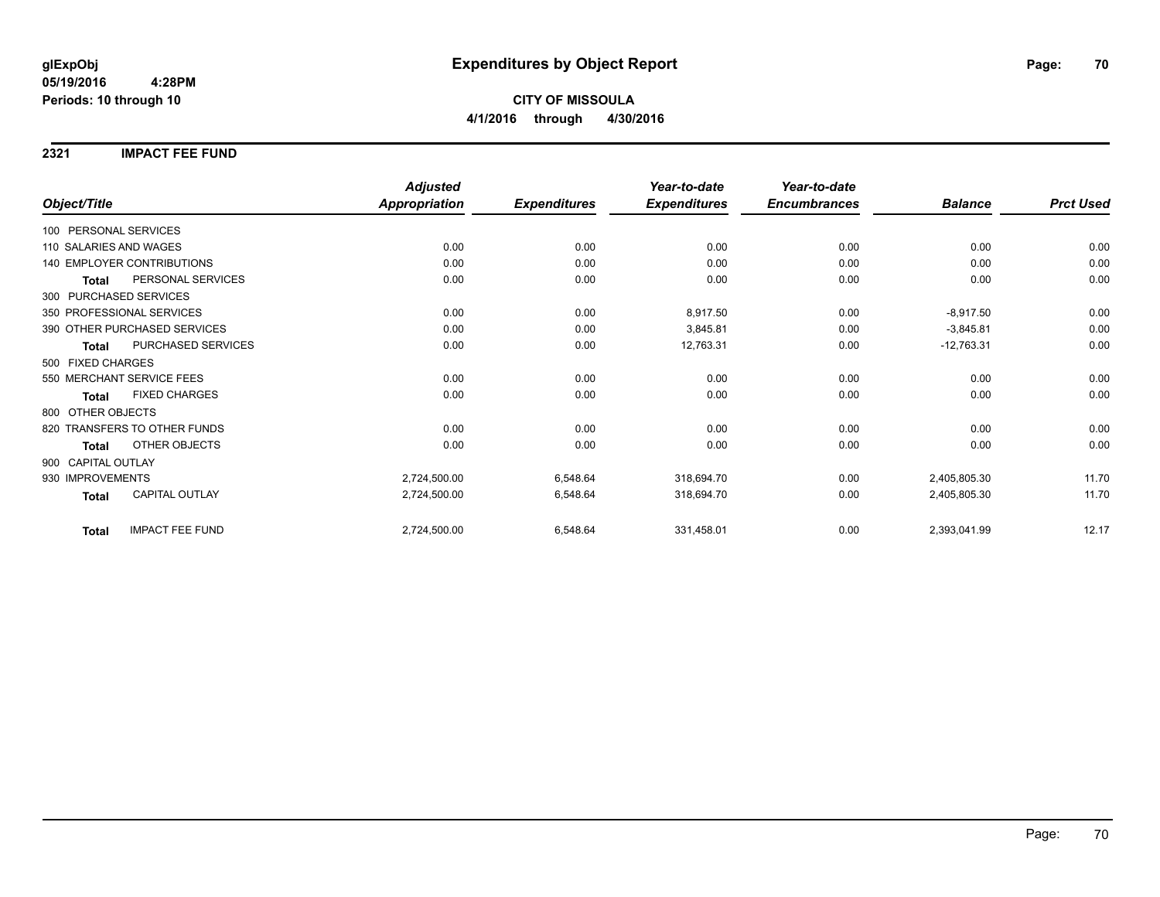### **2321 IMPACT FEE FUND**

|                                        | <b>Adjusted</b>      |                     | Year-to-date        | Year-to-date        |                |                  |
|----------------------------------------|----------------------|---------------------|---------------------|---------------------|----------------|------------------|
| Object/Title                           | <b>Appropriation</b> | <b>Expenditures</b> | <b>Expenditures</b> | <b>Encumbrances</b> | <b>Balance</b> | <b>Prct Used</b> |
| 100 PERSONAL SERVICES                  |                      |                     |                     |                     |                |                  |
| 110 SALARIES AND WAGES                 | 0.00                 | 0.00                | 0.00                | 0.00                | 0.00           | 0.00             |
| <b>140 EMPLOYER CONTRIBUTIONS</b>      | 0.00                 | 0.00                | 0.00                | 0.00                | 0.00           | 0.00             |
| PERSONAL SERVICES<br><b>Total</b>      | 0.00                 | 0.00                | 0.00                | 0.00                | 0.00           | 0.00             |
| 300 PURCHASED SERVICES                 |                      |                     |                     |                     |                |                  |
| 350 PROFESSIONAL SERVICES              | 0.00                 | 0.00                | 8,917.50            | 0.00                | $-8,917.50$    | 0.00             |
| 390 OTHER PURCHASED SERVICES           | 0.00                 | 0.00                | 3,845.81            | 0.00                | $-3,845.81$    | 0.00             |
| PURCHASED SERVICES<br><b>Total</b>     | 0.00                 | 0.00                | 12,763.31           | 0.00                | $-12,763.31$   | 0.00             |
| 500 FIXED CHARGES                      |                      |                     |                     |                     |                |                  |
| 550 MERCHANT SERVICE FEES              | 0.00                 | 0.00                | 0.00                | 0.00                | 0.00           | 0.00             |
| <b>FIXED CHARGES</b><br>Total          | 0.00                 | 0.00                | 0.00                | 0.00                | 0.00           | 0.00             |
| 800 OTHER OBJECTS                      |                      |                     |                     |                     |                |                  |
| 820 TRANSFERS TO OTHER FUNDS           | 0.00                 | 0.00                | 0.00                | 0.00                | 0.00           | 0.00             |
| OTHER OBJECTS<br><b>Total</b>          | 0.00                 | 0.00                | 0.00                | 0.00                | 0.00           | 0.00             |
| 900 CAPITAL OUTLAY                     |                      |                     |                     |                     |                |                  |
| 930 IMPROVEMENTS                       | 2,724,500.00         | 6,548.64            | 318,694.70          | 0.00                | 2,405,805.30   | 11.70            |
| <b>CAPITAL OUTLAY</b><br><b>Total</b>  | 2,724,500.00         | 6,548.64            | 318,694.70          | 0.00                | 2,405,805.30   | 11.70            |
| <b>IMPACT FEE FUND</b><br><b>Total</b> | 2,724,500.00         | 6,548.64            | 331,458.01          | 0.00                | 2,393,041.99   | 12.17            |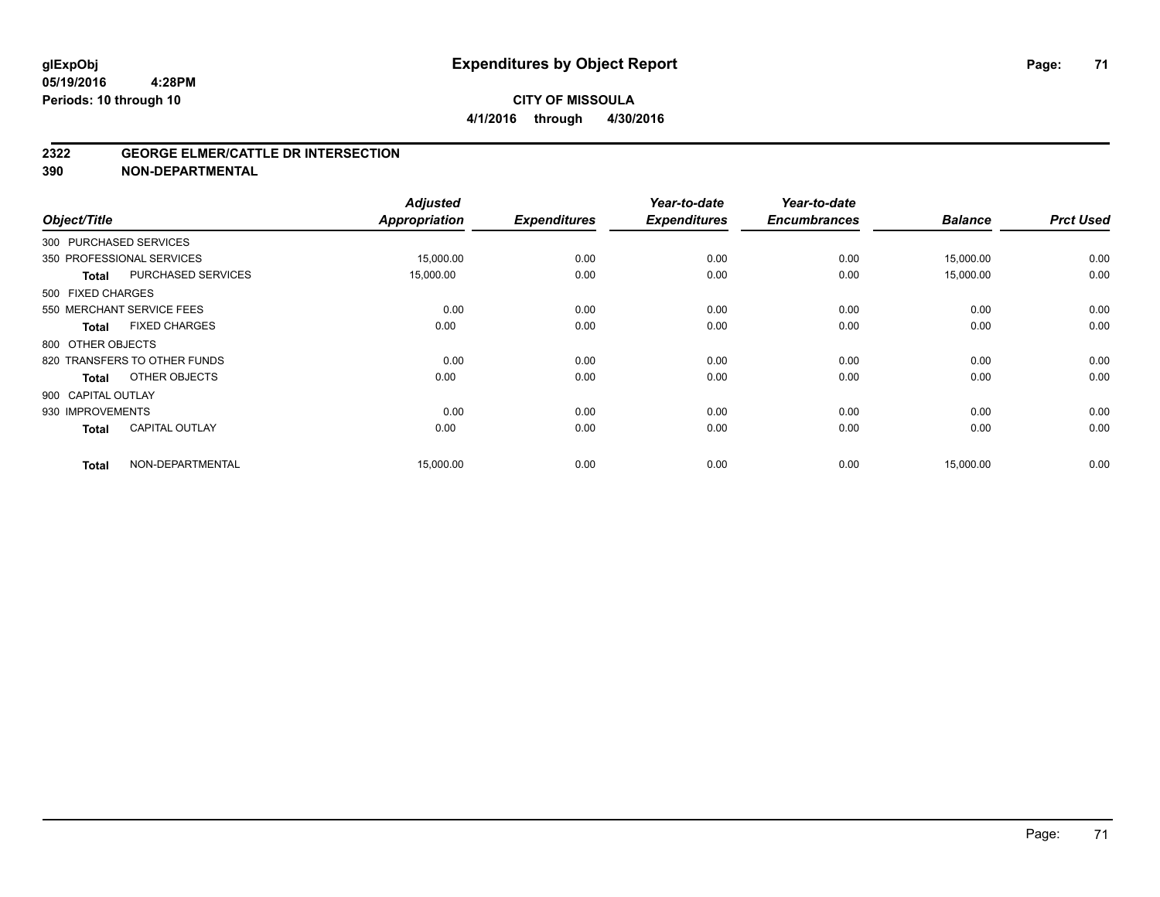### **CITY OF MISSOULA 4/1/2016 through 4/30/2016**

#### **2322 GEORGE ELMER/CATTLE DR INTERSECTION**

**390 NON-DEPARTMENTAL**

| Object/Title       |                              | <b>Adjusted</b><br><b>Appropriation</b> | <b>Expenditures</b> | Year-to-date<br><b>Expenditures</b> | Year-to-date<br><b>Encumbrances</b> | <b>Balance</b> | <b>Prct Used</b> |
|--------------------|------------------------------|-----------------------------------------|---------------------|-------------------------------------|-------------------------------------|----------------|------------------|
|                    | 300 PURCHASED SERVICES       |                                         |                     |                                     |                                     |                |                  |
|                    | 350 PROFESSIONAL SERVICES    | 15,000.00                               | 0.00                | 0.00                                | 0.00                                | 15,000.00      | 0.00             |
| <b>Total</b>       | <b>PURCHASED SERVICES</b>    | 15,000.00                               | 0.00                | 0.00                                | 0.00                                | 15,000.00      | 0.00             |
| 500 FIXED CHARGES  |                              |                                         |                     |                                     |                                     |                |                  |
|                    | 550 MERCHANT SERVICE FEES    | 0.00                                    | 0.00                | 0.00                                | 0.00                                | 0.00           | 0.00             |
| <b>Total</b>       | <b>FIXED CHARGES</b>         | 0.00                                    | 0.00                | 0.00                                | 0.00                                | 0.00           | 0.00             |
| 800 OTHER OBJECTS  |                              |                                         |                     |                                     |                                     |                |                  |
|                    | 820 TRANSFERS TO OTHER FUNDS | 0.00                                    | 0.00                | 0.00                                | 0.00                                | 0.00           | 0.00             |
| <b>Total</b>       | OTHER OBJECTS                | 0.00                                    | 0.00                | 0.00                                | 0.00                                | 0.00           | 0.00             |
| 900 CAPITAL OUTLAY |                              |                                         |                     |                                     |                                     |                |                  |
| 930 IMPROVEMENTS   |                              | 0.00                                    | 0.00                | 0.00                                | 0.00                                | 0.00           | 0.00             |
| <b>Total</b>       | <b>CAPITAL OUTLAY</b>        | 0.00                                    | 0.00                | 0.00                                | 0.00                                | 0.00           | 0.00             |
| <b>Total</b>       | NON-DEPARTMENTAL             | 15,000.00                               | 0.00                | 0.00                                | 0.00                                | 15,000.00      | 0.00             |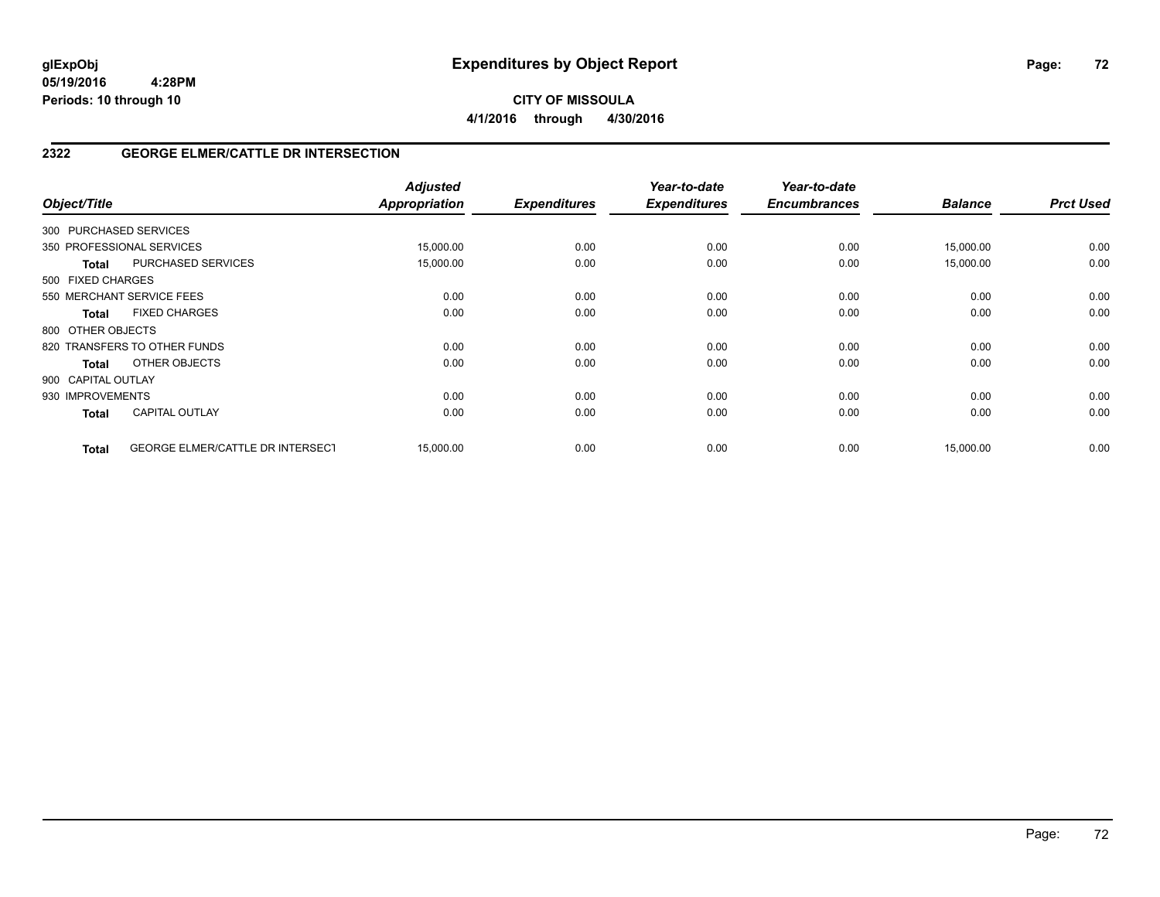# **CITY OF MISSOULA 4/1/2016 through 4/30/2016**

# **2322 GEORGE ELMER/CATTLE DR INTERSECTION**

| Object/Title              |                                         | <b>Adjusted</b><br><b>Appropriation</b> | <b>Expenditures</b> | Year-to-date<br><b>Expenditures</b> | Year-to-date<br><b>Encumbrances</b> | <b>Balance</b> | <b>Prct Used</b> |
|---------------------------|-----------------------------------------|-----------------------------------------|---------------------|-------------------------------------|-------------------------------------|----------------|------------------|
| 300 PURCHASED SERVICES    |                                         |                                         |                     |                                     |                                     |                |                  |
| 350 PROFESSIONAL SERVICES |                                         | 15,000.00                               | 0.00                | 0.00                                | 0.00                                | 15,000.00      | 0.00             |
| <b>Total</b>              | PURCHASED SERVICES                      | 15,000.00                               | 0.00                | 0.00                                | 0.00                                | 15,000.00      | 0.00             |
| 500 FIXED CHARGES         |                                         |                                         |                     |                                     |                                     |                |                  |
| 550 MERCHANT SERVICE FEES |                                         | 0.00                                    | 0.00                | 0.00                                | 0.00                                | 0.00           | 0.00             |
| <b>Total</b>              | <b>FIXED CHARGES</b>                    | 0.00                                    | 0.00                | 0.00                                | 0.00                                | 0.00           | 0.00             |
| 800 OTHER OBJECTS         |                                         |                                         |                     |                                     |                                     |                |                  |
|                           | 820 TRANSFERS TO OTHER FUNDS            | 0.00                                    | 0.00                | 0.00                                | 0.00                                | 0.00           | 0.00             |
| <b>Total</b>              | OTHER OBJECTS                           | 0.00                                    | 0.00                | 0.00                                | 0.00                                | 0.00           | 0.00             |
| 900 CAPITAL OUTLAY        |                                         |                                         |                     |                                     |                                     |                |                  |
| 930 IMPROVEMENTS          |                                         | 0.00                                    | 0.00                | 0.00                                | 0.00                                | 0.00           | 0.00             |
| <b>Total</b>              | <b>CAPITAL OUTLAY</b>                   | 0.00                                    | 0.00                | 0.00                                | 0.00                                | 0.00           | 0.00             |
| <b>Total</b>              | <b>GEORGE ELMER/CATTLE DR INTERSECT</b> | 15,000.00                               | 0.00                | 0.00                                | 0.00                                | 15,000.00      | 0.00             |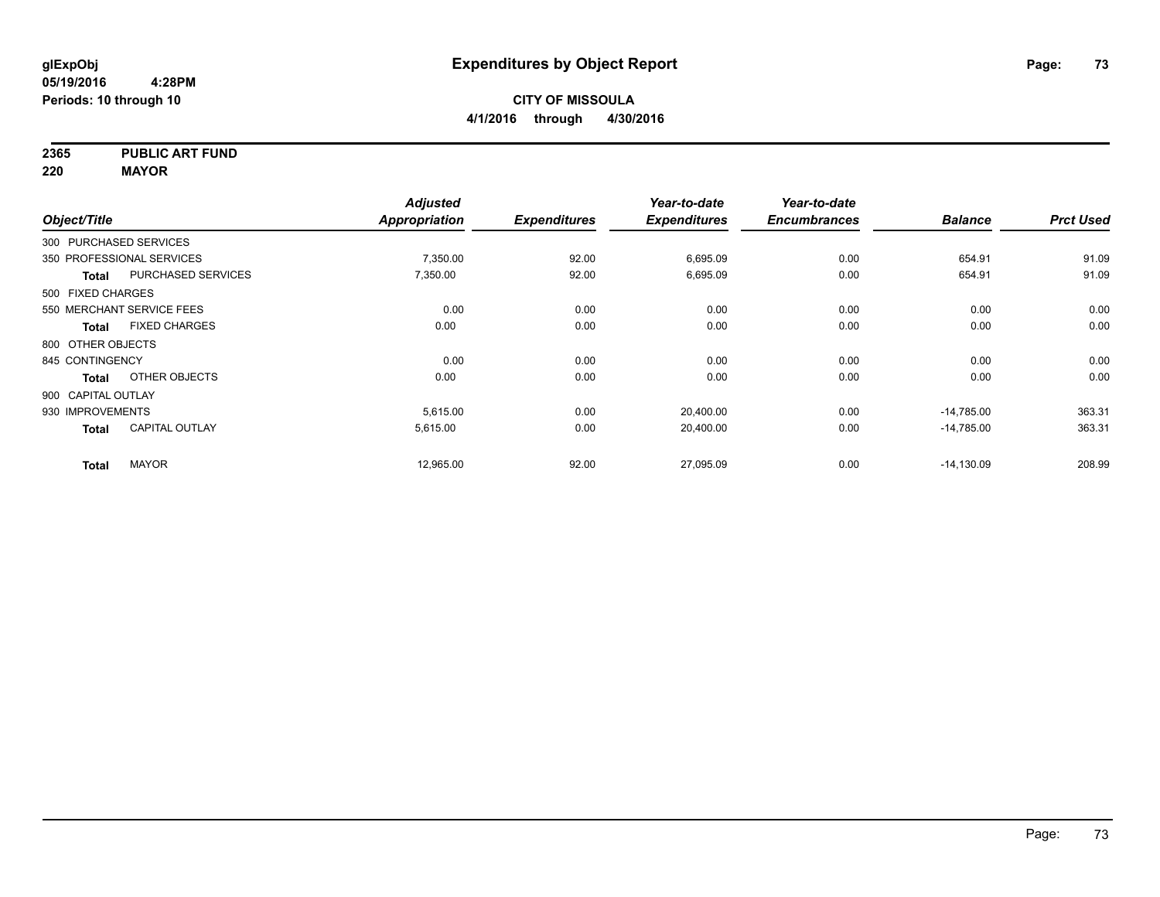**2365 PUBLIC ART FUND**

**220 MAYOR**

| Object/Title           |                           | <b>Adjusted</b><br>Appropriation | <b>Expenditures</b> | Year-to-date<br><b>Expenditures</b> | Year-to-date<br><b>Encumbrances</b> | <b>Balance</b> | <b>Prct Used</b> |
|------------------------|---------------------------|----------------------------------|---------------------|-------------------------------------|-------------------------------------|----------------|------------------|
|                        |                           |                                  |                     |                                     |                                     |                |                  |
| 300 PURCHASED SERVICES |                           |                                  |                     |                                     |                                     |                |                  |
|                        | 350 PROFESSIONAL SERVICES | 7,350.00                         | 92.00               | 6,695.09                            | 0.00                                | 654.91         | 91.09            |
| <b>Total</b>           | <b>PURCHASED SERVICES</b> | 7,350.00                         | 92.00               | 6,695.09                            | 0.00                                | 654.91         | 91.09            |
| 500 FIXED CHARGES      |                           |                                  |                     |                                     |                                     |                |                  |
|                        | 550 MERCHANT SERVICE FEES | 0.00                             | 0.00                | 0.00                                | 0.00                                | 0.00           | 0.00             |
| Total                  | <b>FIXED CHARGES</b>      | 0.00                             | 0.00                | 0.00                                | 0.00                                | 0.00           | 0.00             |
| 800 OTHER OBJECTS      |                           |                                  |                     |                                     |                                     |                |                  |
| 845 CONTINGENCY        |                           | 0.00                             | 0.00                | 0.00                                | 0.00                                | 0.00           | 0.00             |
| <b>Total</b>           | OTHER OBJECTS             | 0.00                             | 0.00                | 0.00                                | 0.00                                | 0.00           | 0.00             |
| 900 CAPITAL OUTLAY     |                           |                                  |                     |                                     |                                     |                |                  |
| 930 IMPROVEMENTS       |                           | 5,615.00                         | 0.00                | 20,400.00                           | 0.00                                | $-14,785.00$   | 363.31           |
| <b>Total</b>           | <b>CAPITAL OUTLAY</b>     | 5,615.00                         | 0.00                | 20,400.00                           | 0.00                                | $-14,785.00$   | 363.31           |
| <b>Total</b>           | <b>MAYOR</b>              | 12,965.00                        | 92.00               | 27,095.09                           | 0.00                                | $-14,130.09$   | 208.99           |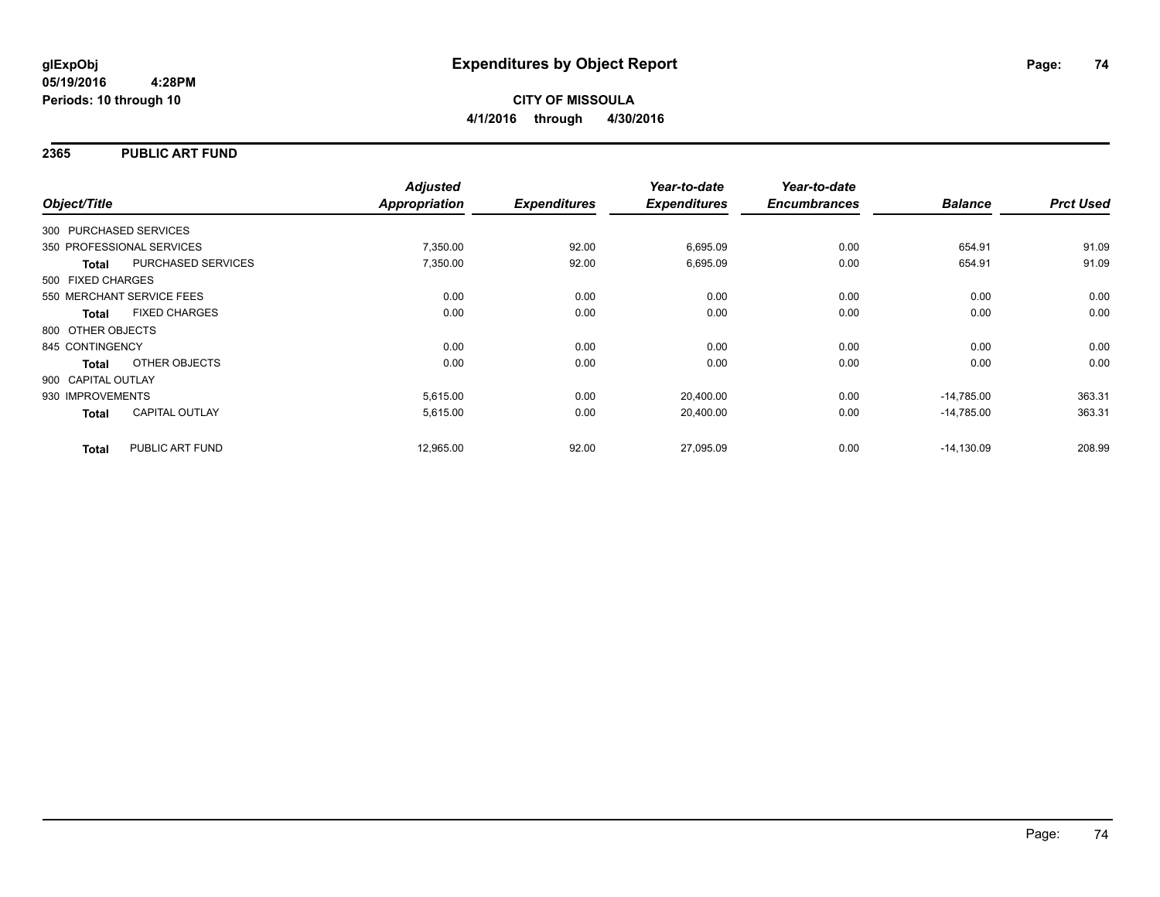#### **2365 PUBLIC ART FUND**

| Object/Title              |                      | <b>Adjusted</b><br>Appropriation | <b>Expenditures</b> | Year-to-date<br><b>Expenditures</b> | Year-to-date<br><b>Encumbrances</b> | <b>Balance</b> | <b>Prct Used</b> |
|---------------------------|----------------------|----------------------------------|---------------------|-------------------------------------|-------------------------------------|----------------|------------------|
| 300 PURCHASED SERVICES    |                      |                                  |                     |                                     |                                     |                |                  |
|                           |                      |                                  |                     |                                     |                                     |                |                  |
| 350 PROFESSIONAL SERVICES |                      | 7,350.00                         | 92.00               | 6,695.09                            | 0.00                                | 654.91         | 91.09            |
| <b>Total</b>              | PURCHASED SERVICES   | 7,350.00                         | 92.00               | 6,695.09                            | 0.00                                | 654.91         | 91.09            |
| 500 FIXED CHARGES         |                      |                                  |                     |                                     |                                     |                |                  |
| 550 MERCHANT SERVICE FEES |                      | 0.00                             | 0.00                | 0.00                                | 0.00                                | 0.00           | 0.00             |
| <b>Total</b>              | <b>FIXED CHARGES</b> | 0.00                             | 0.00                | 0.00                                | 0.00                                | 0.00           | 0.00             |
| 800 OTHER OBJECTS         |                      |                                  |                     |                                     |                                     |                |                  |
| 845 CONTINGENCY           |                      | 0.00                             | 0.00                | 0.00                                | 0.00                                | 0.00           | 0.00             |
| Total                     | OTHER OBJECTS        | 0.00                             | 0.00                | 0.00                                | 0.00                                | 0.00           | 0.00             |
| 900 CAPITAL OUTLAY        |                      |                                  |                     |                                     |                                     |                |                  |
| 930 IMPROVEMENTS          |                      | 5,615.00                         | 0.00                | 20,400.00                           | 0.00                                | $-14,785.00$   | 363.31           |
| <b>Total</b>              | CAPITAL OUTLAY       | 5,615.00                         | 0.00                | 20,400.00                           | 0.00                                | $-14,785.00$   | 363.31           |
| <b>Total</b>              | PUBLIC ART FUND      | 12,965.00                        | 92.00               | 27,095.09                           | 0.00                                | $-14,130.09$   | 208.99           |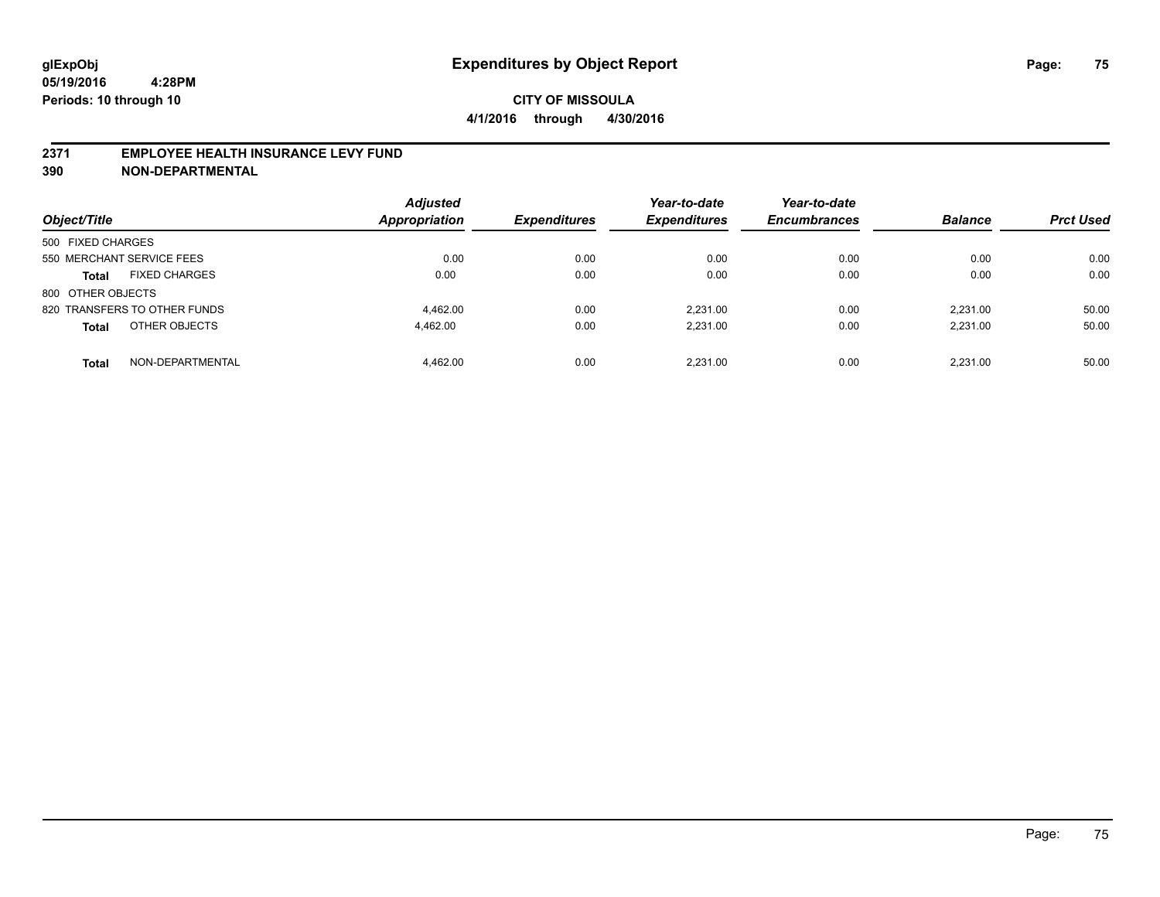#### **2371 EMPLOYEE HEALTH INSURANCE LEVY FUND**

**390 NON-DEPARTMENTAL**

| Object/Title                         | <b>Adjusted</b><br>Appropriation | <b>Expenditures</b> | Year-to-date<br><b>Expenditures</b> | Year-to-date<br><b>Encumbrances</b> | <b>Balance</b> | <b>Prct Used</b> |
|--------------------------------------|----------------------------------|---------------------|-------------------------------------|-------------------------------------|----------------|------------------|
| 500 FIXED CHARGES                    |                                  |                     |                                     |                                     |                |                  |
| 550 MERCHANT SERVICE FEES            | 0.00                             | 0.00                | 0.00                                | 0.00                                | 0.00           | 0.00             |
| <b>FIXED CHARGES</b><br><b>Total</b> | 0.00                             | 0.00                | 0.00                                | 0.00                                | 0.00           | 0.00             |
| 800 OTHER OBJECTS                    |                                  |                     |                                     |                                     |                |                  |
| 820 TRANSFERS TO OTHER FUNDS         | 4.462.00                         | 0.00                | 2.231.00                            | 0.00                                | 2.231.00       | 50.00            |
| OTHER OBJECTS<br><b>Total</b>        | 4.462.00                         | 0.00                | 2.231.00                            | 0.00                                | 2.231.00       | 50.00            |
| NON-DEPARTMENTAL<br><b>Total</b>     | 4.462.00                         | 0.00                | 2.231.00                            | 0.00                                | 2.231.00       | 50.00            |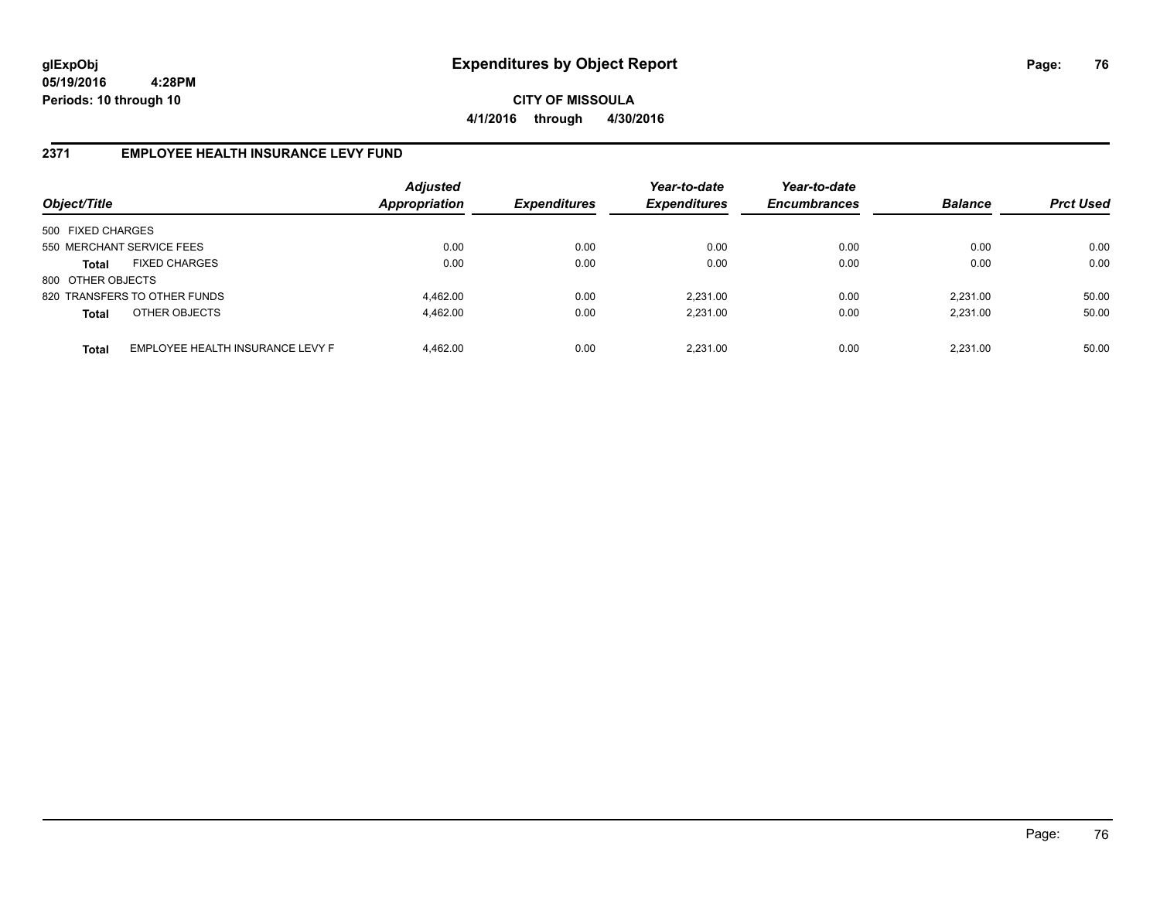## **CITY OF MISSOULA 4/1/2016 through 4/30/2016**

### **2371 EMPLOYEE HEALTH INSURANCE LEVY FUND**

| Object/Title              |                                  | <b>Adjusted</b><br><b>Appropriation</b> | <b>Expenditures</b> | Year-to-date<br><b>Expenditures</b> | Year-to-date<br><b>Encumbrances</b> | <b>Balance</b> | <b>Prct Used</b> |
|---------------------------|----------------------------------|-----------------------------------------|---------------------|-------------------------------------|-------------------------------------|----------------|------------------|
| 500 FIXED CHARGES         |                                  |                                         |                     |                                     |                                     |                |                  |
| 550 MERCHANT SERVICE FEES |                                  | 0.00                                    | 0.00                | 0.00                                | 0.00                                | 0.00           | 0.00             |
| Total                     | <b>FIXED CHARGES</b>             | 0.00                                    | 0.00                | 0.00                                | 0.00                                | 0.00           | 0.00             |
| 800 OTHER OBJECTS         |                                  |                                         |                     |                                     |                                     |                |                  |
|                           | 820 TRANSFERS TO OTHER FUNDS     | 4.462.00                                | 0.00                | 2.231.00                            | 0.00                                | 2.231.00       | 50.00            |
| <b>Total</b>              | OTHER OBJECTS                    | 4.462.00                                | 0.00                | 2.231.00                            | 0.00                                | 2.231.00       | 50.00            |
| <b>Total</b>              | EMPLOYEE HEALTH INSURANCE LEVY F | 4.462.00                                | 0.00                | 2.231.00                            | 0.00                                | 2.231.00       | 50.00            |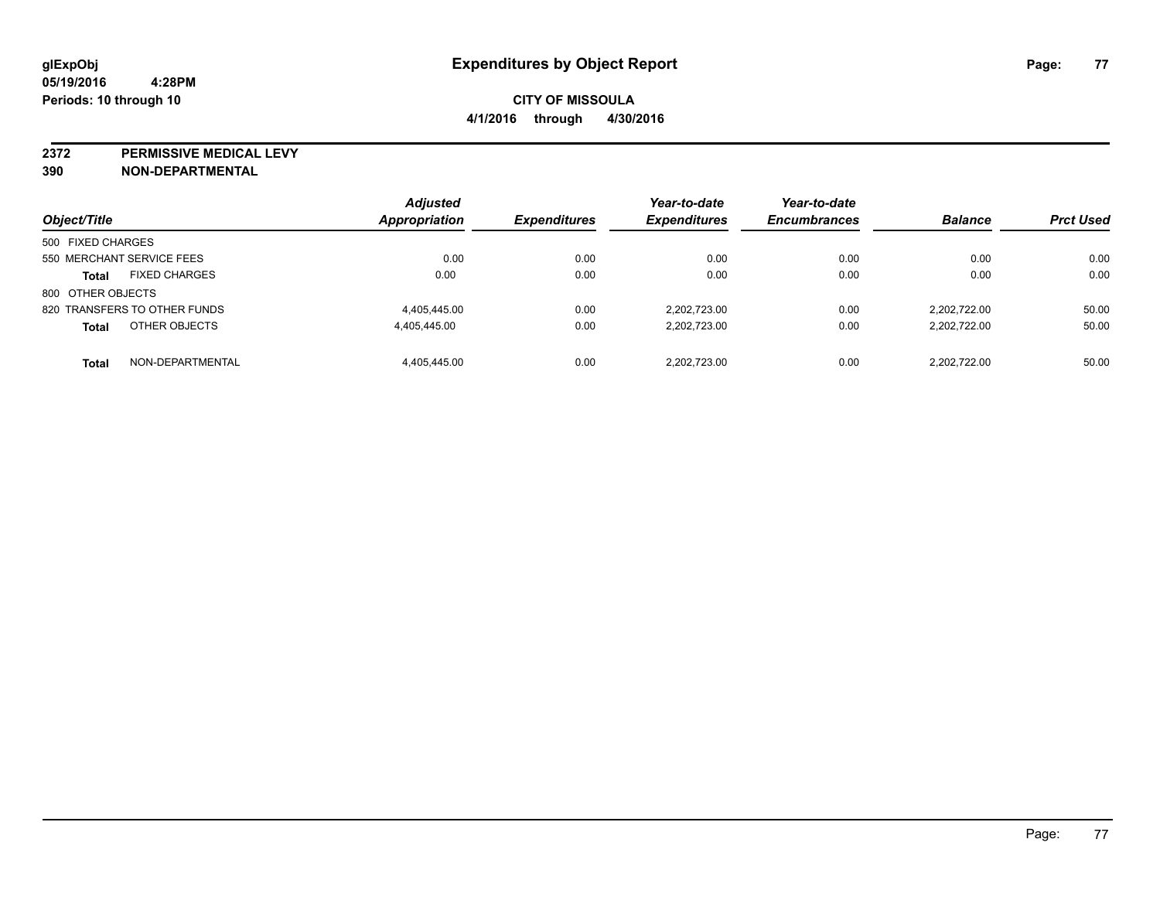**2372 PERMISSIVE MEDICAL LEVY**

**390 NON-DEPARTMENTAL**

| Object/Title                         | <b>Adjusted</b><br><b>Appropriation</b> | <b>Expenditures</b> | Year-to-date<br><b>Expenditures</b> | Year-to-date<br><b>Encumbrances</b> | <b>Balance</b> | <b>Prct Used</b> |
|--------------------------------------|-----------------------------------------|---------------------|-------------------------------------|-------------------------------------|----------------|------------------|
| 500 FIXED CHARGES                    |                                         |                     |                                     |                                     |                |                  |
|                                      |                                         |                     |                                     |                                     |                |                  |
| 550 MERCHANT SERVICE FEES            | 0.00                                    | 0.00                | 0.00                                | 0.00                                | 0.00           | 0.00             |
| <b>FIXED CHARGES</b><br><b>Total</b> | 0.00                                    | 0.00                | 0.00                                | 0.00                                | 0.00           | 0.00             |
| 800 OTHER OBJECTS                    |                                         |                     |                                     |                                     |                |                  |
| 820 TRANSFERS TO OTHER FUNDS         | 4,405,445.00                            | 0.00                | 2.202.723.00                        | 0.00                                | 2.202.722.00   | 50.00            |
| OTHER OBJECTS<br><b>Total</b>        | 4,405,445.00                            | 0.00                | 2.202.723.00                        | 0.00                                | 2,202,722.00   | 50.00            |
| NON-DEPARTMENTAL<br><b>Total</b>     | 4.405.445.00                            | 0.00                | 2,202,723.00                        | 0.00                                | 2.202.722.00   | 50.00            |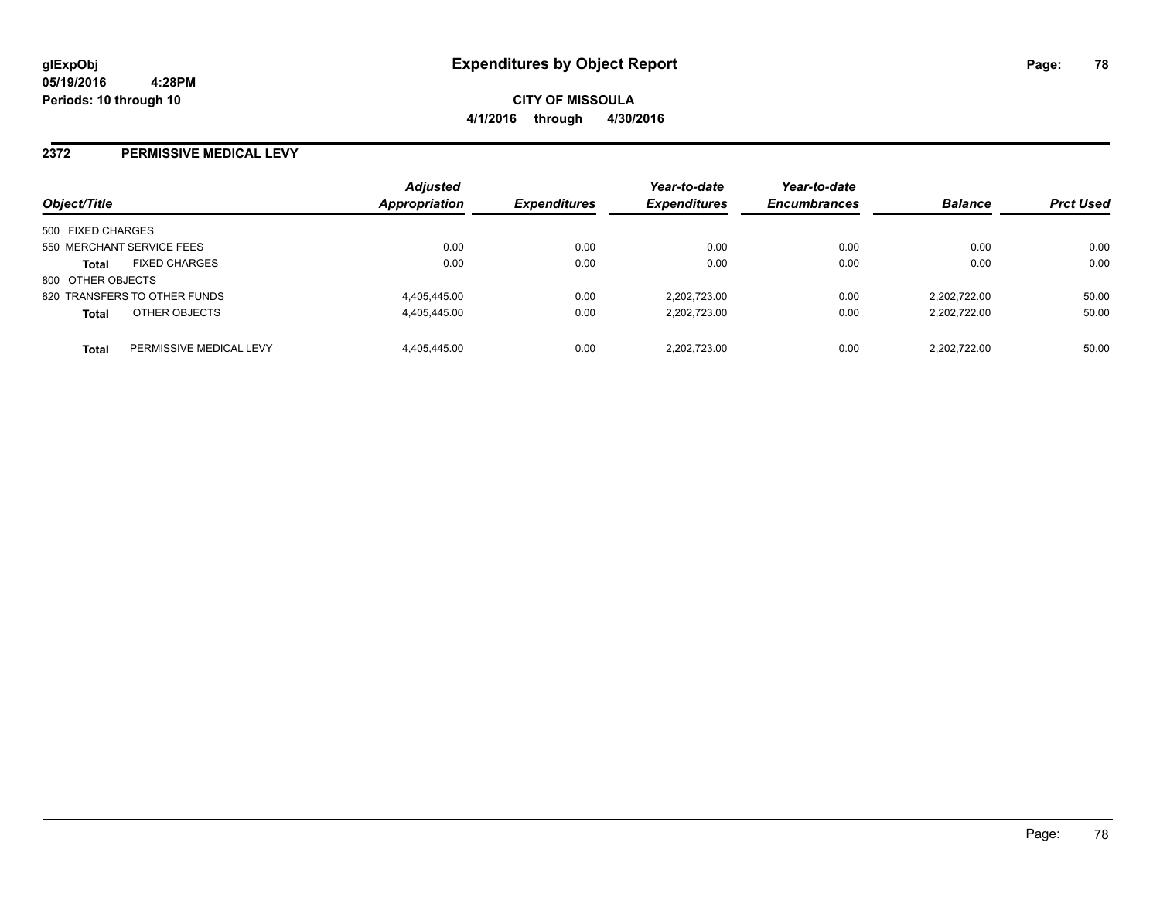#### **2372 PERMISSIVE MEDICAL LEVY**

| Object/Title                            | <b>Adjusted</b><br>Appropriation | <b>Expenditures</b> | Year-to-date<br><b>Expenditures</b> | Year-to-date<br><b>Encumbrances</b> | <b>Balance</b> | <b>Prct Used</b> |
|-----------------------------------------|----------------------------------|---------------------|-------------------------------------|-------------------------------------|----------------|------------------|
| 500 FIXED CHARGES                       |                                  |                     |                                     |                                     |                |                  |
| 550 MERCHANT SERVICE FEES               | 0.00                             | 0.00                | 0.00                                | 0.00                                | 0.00           | 0.00             |
| <b>FIXED CHARGES</b><br><b>Total</b>    | 0.00                             | 0.00                | 0.00                                | 0.00                                | 0.00           | 0.00             |
| 800 OTHER OBJECTS                       |                                  |                     |                                     |                                     |                |                  |
| 820 TRANSFERS TO OTHER FUNDS            | 4.405.445.00                     | 0.00                | 2.202.723.00                        | 0.00                                | 2.202.722.00   | 50.00            |
| OTHER OBJECTS<br><b>Total</b>           | 4,405,445.00                     | 0.00                | 2,202,723.00                        | 0.00                                | 2.202.722.00   | 50.00            |
| PERMISSIVE MEDICAL LEVY<br><b>Total</b> | 4.405.445.00                     | 0.00                | 2.202.723.00                        | 0.00                                | 2.202.722.00   | 50.00            |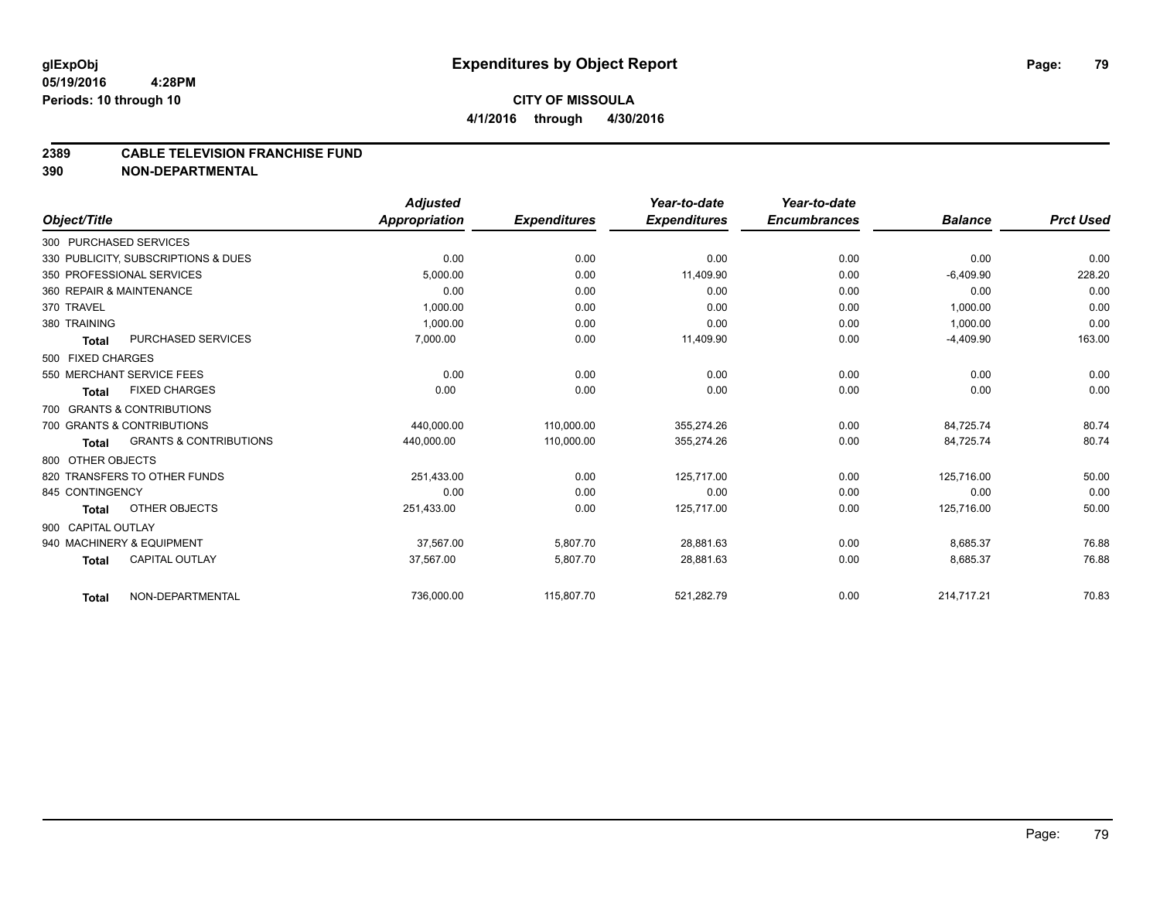### **CITY OF MISSOULA 4/1/2016 through 4/30/2016**

#### **2389 CABLE TELEVISION FRANCHISE FUND**

**390 NON-DEPARTMENTAL**

|                        |                                     | <b>Adjusted</b>      |                     | Year-to-date        | Year-to-date        |                |                  |
|------------------------|-------------------------------------|----------------------|---------------------|---------------------|---------------------|----------------|------------------|
| Object/Title           |                                     | <b>Appropriation</b> | <b>Expenditures</b> | <b>Expenditures</b> | <b>Encumbrances</b> | <b>Balance</b> | <b>Prct Used</b> |
| 300 PURCHASED SERVICES |                                     |                      |                     |                     |                     |                |                  |
|                        | 330 PUBLICITY, SUBSCRIPTIONS & DUES | 0.00                 | 0.00                | 0.00                | 0.00                | 0.00           | 0.00             |
|                        | 350 PROFESSIONAL SERVICES           | 5,000.00             | 0.00                | 11,409.90           | 0.00                | $-6,409.90$    | 228.20           |
|                        | 360 REPAIR & MAINTENANCE            | 0.00                 | 0.00                | 0.00                | 0.00                | 0.00           | 0.00             |
| 370 TRAVEL             |                                     | 1,000.00             | 0.00                | 0.00                | 0.00                | 1,000.00       | 0.00             |
| 380 TRAINING           |                                     | 1.000.00             | 0.00                | 0.00                | 0.00                | 1,000.00       | 0.00             |
| <b>Total</b>           | <b>PURCHASED SERVICES</b>           | 7,000.00             | 0.00                | 11,409.90           | 0.00                | $-4,409.90$    | 163.00           |
| 500 FIXED CHARGES      |                                     |                      |                     |                     |                     |                |                  |
|                        | 550 MERCHANT SERVICE FEES           | 0.00                 | 0.00                | 0.00                | 0.00                | 0.00           | 0.00             |
| Total                  | <b>FIXED CHARGES</b>                | 0.00                 | 0.00                | 0.00                | 0.00                | 0.00           | 0.00             |
|                        | 700 GRANTS & CONTRIBUTIONS          |                      |                     |                     |                     |                |                  |
|                        | 700 GRANTS & CONTRIBUTIONS          | 440.000.00           | 110.000.00          | 355.274.26          | 0.00                | 84,725.74      | 80.74            |
| Total                  | <b>GRANTS &amp; CONTRIBUTIONS</b>   | 440,000.00           | 110,000.00          | 355,274.26          | 0.00                | 84,725.74      | 80.74            |
| 800 OTHER OBJECTS      |                                     |                      |                     |                     |                     |                |                  |
|                        | 820 TRANSFERS TO OTHER FUNDS        | 251.433.00           | 0.00                | 125.717.00          | 0.00                | 125.716.00     | 50.00            |
| 845 CONTINGENCY        |                                     | 0.00                 | 0.00                | 0.00                | 0.00                | 0.00           | 0.00             |
| <b>Total</b>           | OTHER OBJECTS                       | 251,433.00           | 0.00                | 125,717.00          | 0.00                | 125,716.00     | 50.00            |
| 900 CAPITAL OUTLAY     |                                     |                      |                     |                     |                     |                |                  |
|                        | 940 MACHINERY & EQUIPMENT           | 37.567.00            | 5,807.70            | 28,881.63           | 0.00                | 8,685.37       | 76.88            |
| <b>Total</b>           | <b>CAPITAL OUTLAY</b>               | 37,567.00            | 5,807.70            | 28,881.63           | 0.00                | 8,685.37       | 76.88            |
| <b>Total</b>           | NON-DEPARTMENTAL                    | 736,000.00           | 115,807.70          | 521,282.79          | 0.00                | 214,717.21     | 70.83            |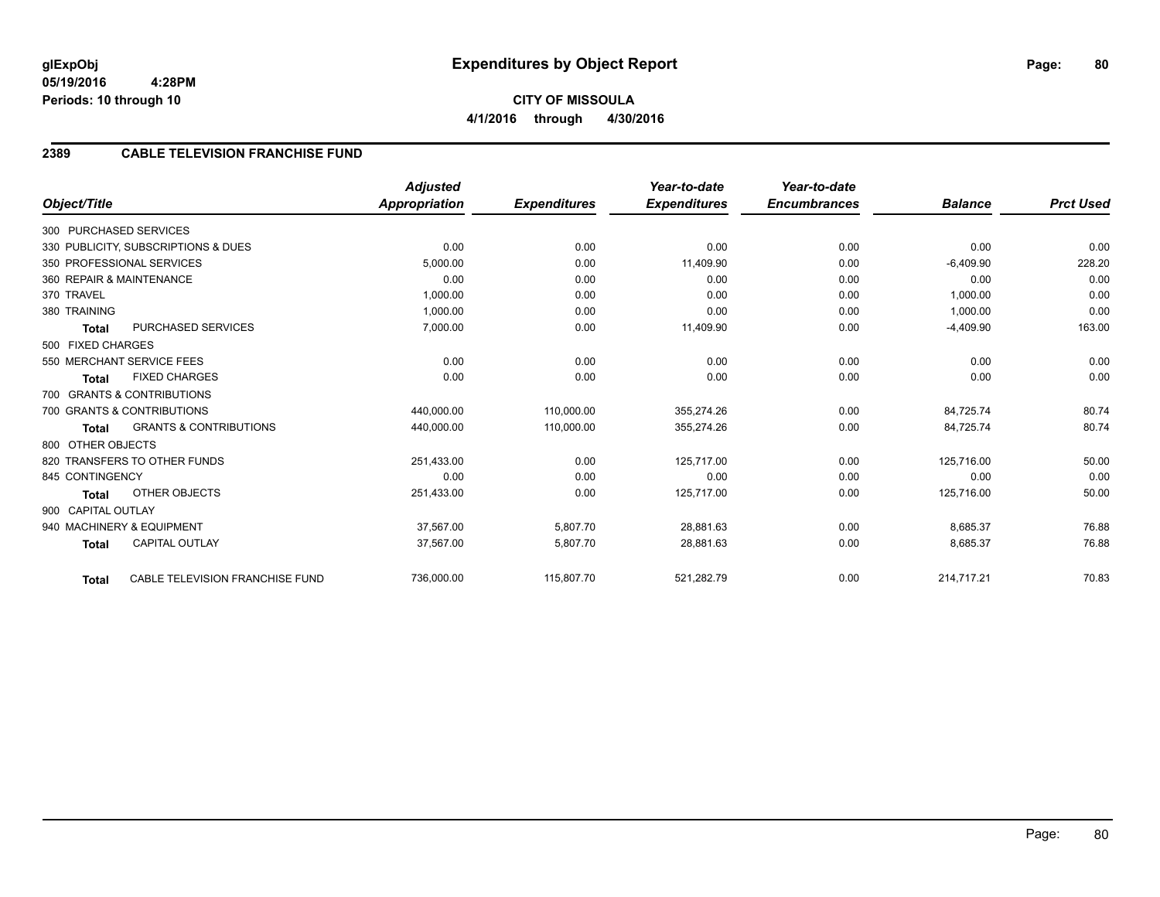**CITY OF MISSOULA 4/1/2016 through 4/30/2016**

## **2389 CABLE TELEVISION FRANCHISE FUND**

|                          |                                     | <b>Adjusted</b>      |                     | Year-to-date        | Year-to-date        |                |                  |
|--------------------------|-------------------------------------|----------------------|---------------------|---------------------|---------------------|----------------|------------------|
| Object/Title             |                                     | <b>Appropriation</b> | <b>Expenditures</b> | <b>Expenditures</b> | <b>Encumbrances</b> | <b>Balance</b> | <b>Prct Used</b> |
| 300 PURCHASED SERVICES   |                                     |                      |                     |                     |                     |                |                  |
|                          | 330 PUBLICITY, SUBSCRIPTIONS & DUES | 0.00                 | 0.00                | 0.00                | 0.00                | 0.00           | 0.00             |
|                          | 350 PROFESSIONAL SERVICES           | 5,000.00             | 0.00                | 11,409.90           | 0.00                | $-6,409.90$    | 228.20           |
| 360 REPAIR & MAINTENANCE |                                     | 0.00                 | 0.00                | 0.00                | 0.00                | 0.00           | 0.00             |
| 370 TRAVEL               |                                     | 1,000.00             | 0.00                | 0.00                | 0.00                | 1,000.00       | 0.00             |
| 380 TRAINING             |                                     | 1,000.00             | 0.00                | 0.00                | 0.00                | 1,000.00       | 0.00             |
| <b>Total</b>             | <b>PURCHASED SERVICES</b>           | 7,000.00             | 0.00                | 11,409.90           | 0.00                | $-4,409.90$    | 163.00           |
| 500 FIXED CHARGES        |                                     |                      |                     |                     |                     |                |                  |
|                          | 550 MERCHANT SERVICE FEES           | 0.00                 | 0.00                | 0.00                | 0.00                | 0.00           | 0.00             |
| <b>Total</b>             | <b>FIXED CHARGES</b>                | 0.00                 | 0.00                | 0.00                | 0.00                | 0.00           | 0.00             |
|                          | 700 GRANTS & CONTRIBUTIONS          |                      |                     |                     |                     |                |                  |
|                          | 700 GRANTS & CONTRIBUTIONS          | 440,000.00           | 110,000.00          | 355,274.26          | 0.00                | 84,725.74      | 80.74            |
| <b>Total</b>             | <b>GRANTS &amp; CONTRIBUTIONS</b>   | 440,000.00           | 110,000.00          | 355,274.26          | 0.00                | 84,725.74      | 80.74            |
| 800 OTHER OBJECTS        |                                     |                      |                     |                     |                     |                |                  |
|                          | 820 TRANSFERS TO OTHER FUNDS        | 251,433.00           | 0.00                | 125,717.00          | 0.00                | 125,716.00     | 50.00            |
| 845 CONTINGENCY          |                                     | 0.00                 | 0.00                | 0.00                | 0.00                | 0.00           | 0.00             |
| <b>Total</b>             | OTHER OBJECTS                       | 251,433.00           | 0.00                | 125,717.00          | 0.00                | 125,716.00     | 50.00            |
| 900 CAPITAL OUTLAY       |                                     |                      |                     |                     |                     |                |                  |
|                          | 940 MACHINERY & EQUIPMENT           | 37,567.00            | 5,807.70            | 28,881.63           | 0.00                | 8,685.37       | 76.88            |
| <b>Total</b>             | CAPITAL OUTLAY                      | 37,567.00            | 5,807.70            | 28,881.63           | 0.00                | 8,685.37       | 76.88            |
| <b>Total</b>             | CABLE TELEVISION FRANCHISE FUND     | 736,000.00           | 115,807.70          | 521,282.79          | 0.00                | 214,717.21     | 70.83            |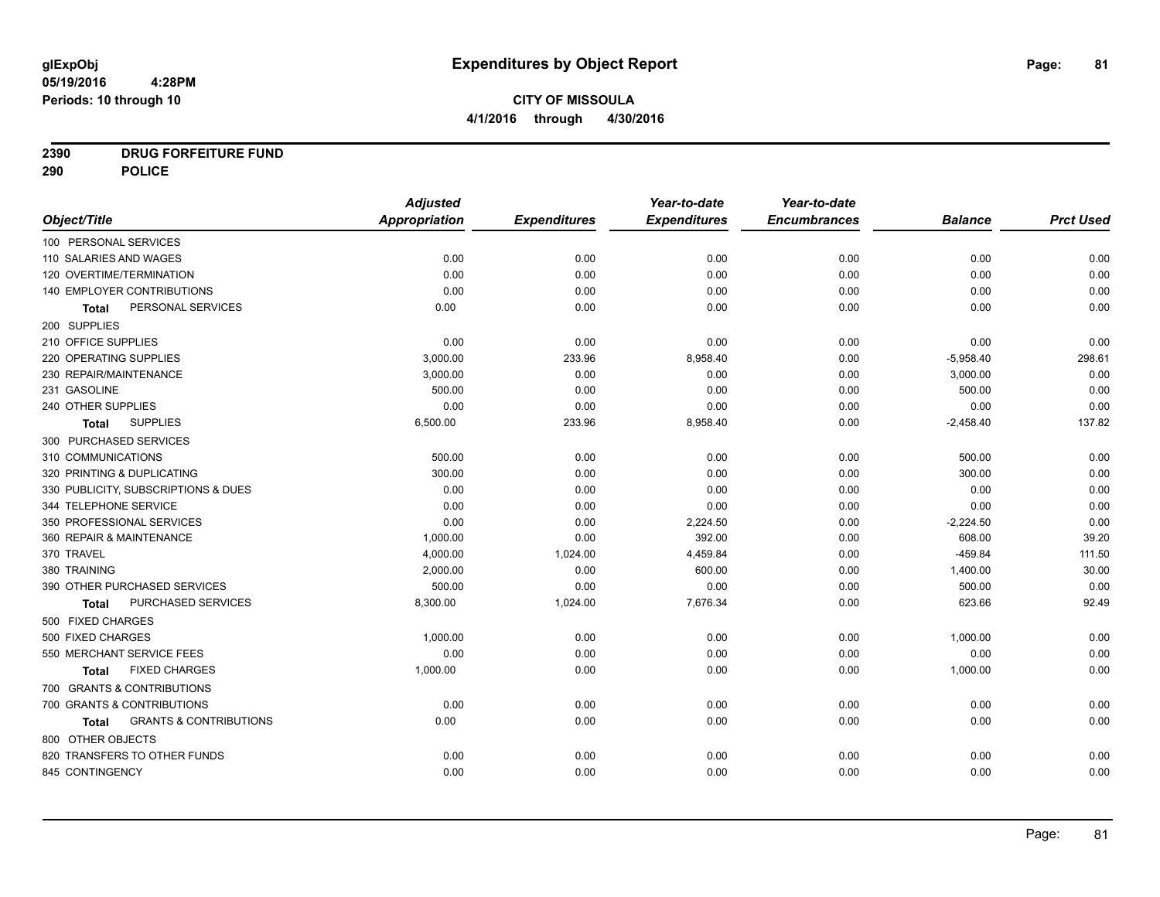## **2390 DRUG FORFEITURE FUND**

**290 POLICE**

|                                            | <b>Adjusted</b> |                     | Year-to-date        | Year-to-date        |                |                  |
|--------------------------------------------|-----------------|---------------------|---------------------|---------------------|----------------|------------------|
| Object/Title                               | Appropriation   | <b>Expenditures</b> | <b>Expenditures</b> | <b>Encumbrances</b> | <b>Balance</b> | <b>Prct Used</b> |
| 100 PERSONAL SERVICES                      |                 |                     |                     |                     |                |                  |
| 110 SALARIES AND WAGES                     | 0.00            | 0.00                | 0.00                | 0.00                | 0.00           | 0.00             |
| 120 OVERTIME/TERMINATION                   | 0.00            | 0.00                | 0.00                | 0.00                | 0.00           | 0.00             |
| 140 EMPLOYER CONTRIBUTIONS                 | 0.00            | 0.00                | 0.00                | 0.00                | 0.00           | 0.00             |
| PERSONAL SERVICES<br>Total                 | 0.00            | 0.00                | 0.00                | 0.00                | 0.00           | 0.00             |
| 200 SUPPLIES                               |                 |                     |                     |                     |                |                  |
| 210 OFFICE SUPPLIES                        | 0.00            | 0.00                | 0.00                | 0.00                | 0.00           | 0.00             |
| 220 OPERATING SUPPLIES                     | 3,000.00        | 233.96              | 8,958.40            | 0.00                | $-5,958.40$    | 298.61           |
| 230 REPAIR/MAINTENANCE                     | 3,000.00        | 0.00                | 0.00                | 0.00                | 3,000.00       | 0.00             |
| 231 GASOLINE                               | 500.00          | 0.00                | 0.00                | 0.00                | 500.00         | 0.00             |
| 240 OTHER SUPPLIES                         | 0.00            | 0.00                | 0.00                | 0.00                | 0.00           | 0.00             |
| <b>SUPPLIES</b><br>Total                   | 6,500.00        | 233.96              | 8,958.40            | 0.00                | $-2,458.40$    | 137.82           |
| 300 PURCHASED SERVICES                     |                 |                     |                     |                     |                |                  |
| 310 COMMUNICATIONS                         | 500.00          | 0.00                | 0.00                | 0.00                | 500.00         | 0.00             |
| 320 PRINTING & DUPLICATING                 | 300.00          | 0.00                | 0.00                | 0.00                | 300.00         | 0.00             |
| 330 PUBLICITY, SUBSCRIPTIONS & DUES        | 0.00            | 0.00                | 0.00                | 0.00                | 0.00           | 0.00             |
| 344 TELEPHONE SERVICE                      | 0.00            | 0.00                | 0.00                | 0.00                | 0.00           | 0.00             |
| 350 PROFESSIONAL SERVICES                  | 0.00            | 0.00                | 2,224.50            | 0.00                | $-2,224.50$    | 0.00             |
| 360 REPAIR & MAINTENANCE                   | 1,000.00        | 0.00                | 392.00              | 0.00                | 608.00         | 39.20            |
| 370 TRAVEL                                 | 4,000.00        | 1,024.00            | 4,459.84            | 0.00                | $-459.84$      | 111.50           |
| 380 TRAINING                               | 2.000.00        | 0.00                | 600.00              | 0.00                | 1,400.00       | 30.00            |
| 390 OTHER PURCHASED SERVICES               | 500.00          | 0.00                | 0.00                | 0.00                | 500.00         | 0.00             |
| <b>PURCHASED SERVICES</b><br><b>Total</b>  | 8,300.00        | 1,024.00            | 7,676.34            | 0.00                | 623.66         | 92.49            |
| 500 FIXED CHARGES                          |                 |                     |                     |                     |                |                  |
| 500 FIXED CHARGES                          | 1,000.00        | 0.00                | 0.00                | 0.00                | 1,000.00       | 0.00             |
| 550 MERCHANT SERVICE FEES                  | 0.00            | 0.00                | 0.00                | 0.00                | 0.00           | 0.00             |
| <b>FIXED CHARGES</b><br><b>Total</b>       | 1,000.00        | 0.00                | 0.00                | 0.00                | 1,000.00       | 0.00             |
| 700 GRANTS & CONTRIBUTIONS                 |                 |                     |                     |                     |                |                  |
| 700 GRANTS & CONTRIBUTIONS                 | 0.00            | 0.00                | 0.00                | 0.00                | 0.00           | 0.00             |
| <b>GRANTS &amp; CONTRIBUTIONS</b><br>Total | 0.00            | 0.00                | 0.00                | 0.00                | 0.00           | 0.00             |
| 800 OTHER OBJECTS                          |                 |                     |                     |                     |                |                  |
| 820 TRANSFERS TO OTHER FUNDS               | 0.00            | 0.00                | 0.00                | 0.00                | 0.00           | 0.00             |
| 845 CONTINGENCY                            | 0.00            | 0.00                | 0.00                | 0.00                | 0.00           | 0.00             |
|                                            |                 |                     |                     |                     |                |                  |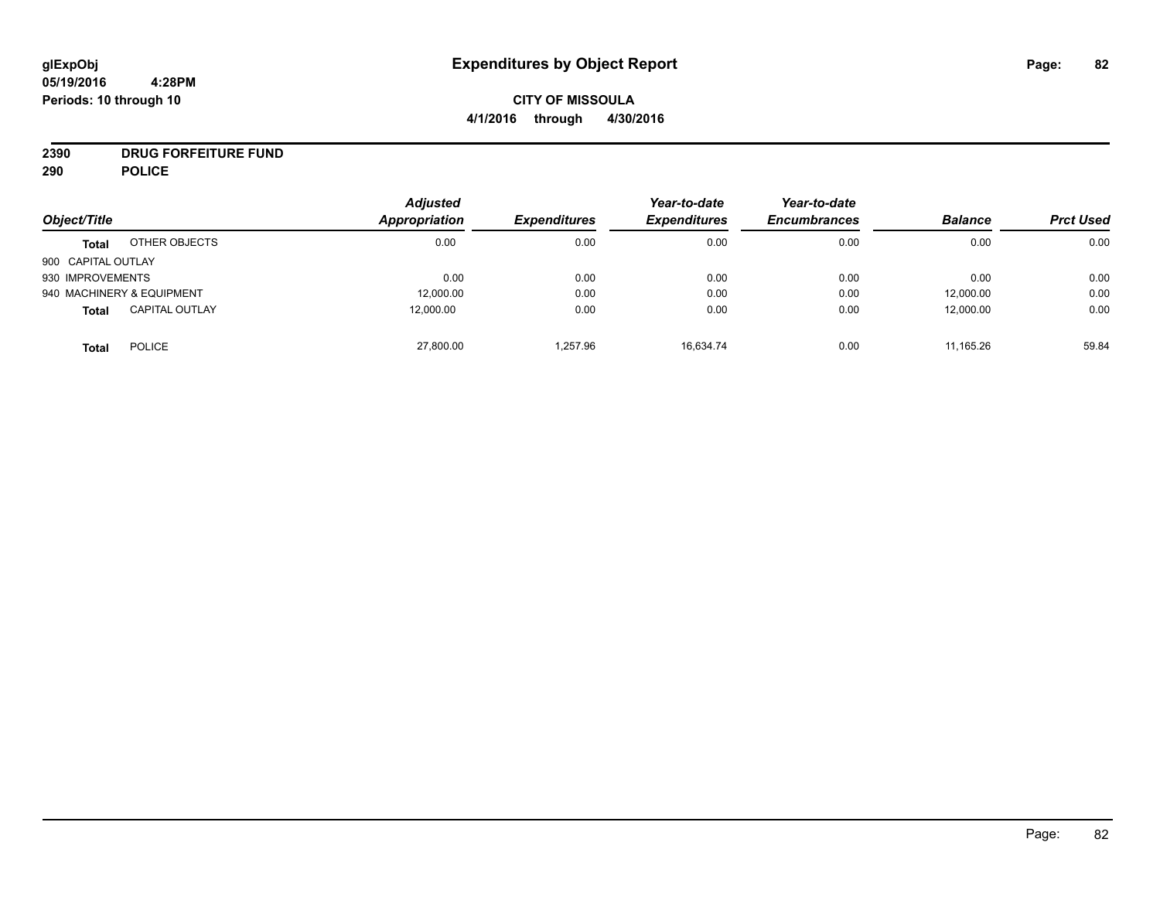## **CITY OF MISSOULA 4/1/2016 through 4/30/2016**

# **2390 DRUG FORFEITURE FUND**

**290 POLICE**

| Object/Title       |                           | <b>Adjusted</b><br>Appropriation | <b>Expenditures</b> | Year-to-date<br><b>Expenditures</b> | Year-to-date<br><b>Encumbrances</b> | <b>Balance</b> | <b>Prct Used</b> |
|--------------------|---------------------------|----------------------------------|---------------------|-------------------------------------|-------------------------------------|----------------|------------------|
|                    |                           |                                  |                     |                                     |                                     |                |                  |
| <b>Total</b>       | OTHER OBJECTS             | 0.00                             | 0.00                | 0.00                                | 0.00                                | 0.00           | 0.00             |
| 900 CAPITAL OUTLAY |                           |                                  |                     |                                     |                                     |                |                  |
| 930 IMPROVEMENTS   |                           | 0.00                             | 0.00                | 0.00                                | 0.00                                | 0.00           | 0.00             |
|                    | 940 MACHINERY & EQUIPMENT | 12,000.00                        | 0.00                | 0.00                                | 0.00                                | 12,000.00      | 0.00             |
| <b>Total</b>       | <b>CAPITAL OUTLAY</b>     | 12,000.00                        | 0.00                | 0.00                                | 0.00                                | 12,000.00      | 0.00             |
| <b>Total</b>       | <b>POLICE</b>             | 27,800.00                        | 1,257.96            | 16,634.74                           | 0.00                                | 11,165.26      | 59.84            |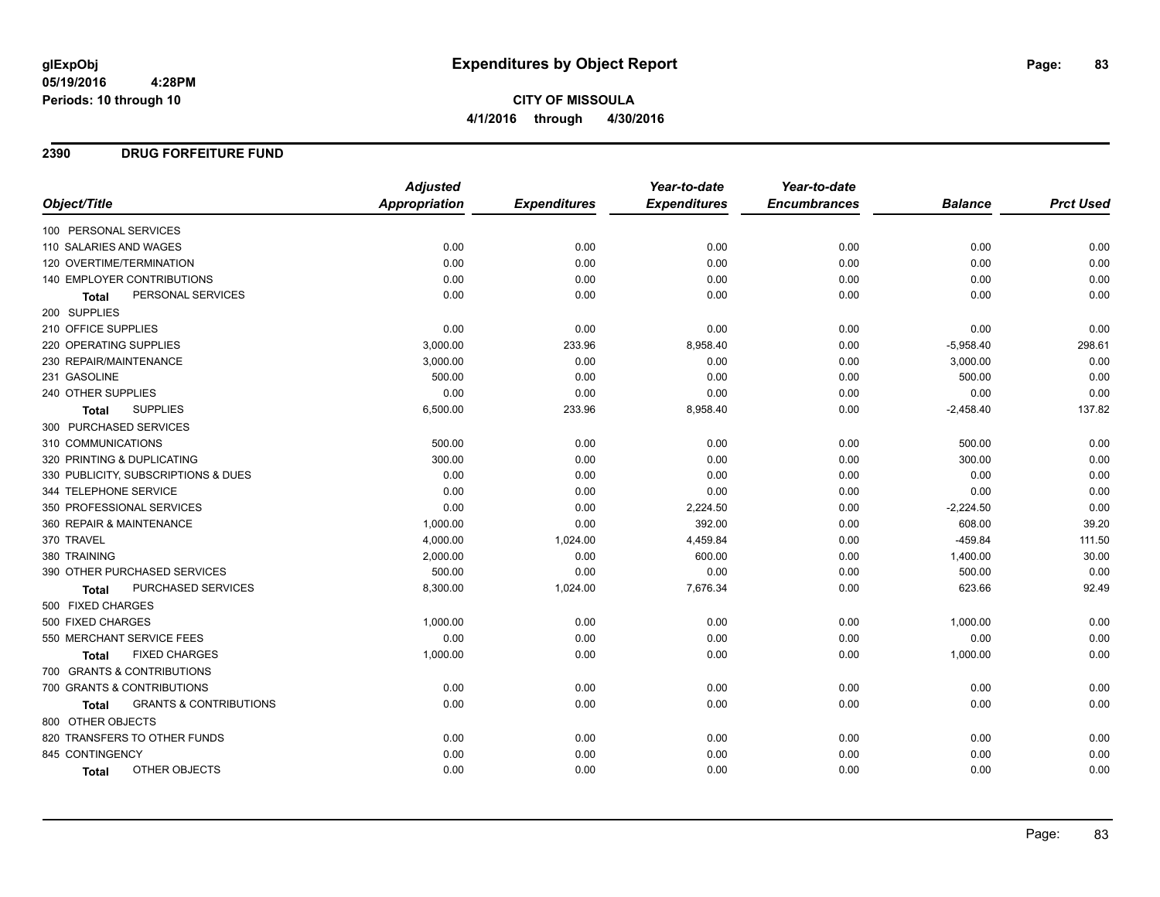**CITY OF MISSOULA 4/1/2016 through 4/30/2016**

#### **2390 DRUG FORFEITURE FUND**

|                                            | <b>Adjusted</b> |                     | Year-to-date        | Year-to-date        |                |                  |
|--------------------------------------------|-----------------|---------------------|---------------------|---------------------|----------------|------------------|
| Object/Title                               | Appropriation   | <b>Expenditures</b> | <b>Expenditures</b> | <b>Encumbrances</b> | <b>Balance</b> | <b>Prct Used</b> |
| 100 PERSONAL SERVICES                      |                 |                     |                     |                     |                |                  |
| 110 SALARIES AND WAGES                     | 0.00            | 0.00                | 0.00                | 0.00                | 0.00           | 0.00             |
| 120 OVERTIME/TERMINATION                   | 0.00            | 0.00                | 0.00                | 0.00                | 0.00           | 0.00             |
| 140 EMPLOYER CONTRIBUTIONS                 | 0.00            | 0.00                | 0.00                | 0.00                | 0.00           | 0.00             |
| PERSONAL SERVICES<br><b>Total</b>          | 0.00            | 0.00                | 0.00                | 0.00                | 0.00           | 0.00             |
| 200 SUPPLIES                               |                 |                     |                     |                     |                |                  |
| 210 OFFICE SUPPLIES                        | 0.00            | 0.00                | 0.00                | 0.00                | 0.00           | 0.00             |
| 220 OPERATING SUPPLIES                     | 3,000.00        | 233.96              | 8,958.40            | 0.00                | $-5,958.40$    | 298.61           |
| 230 REPAIR/MAINTENANCE                     | 3,000.00        | 0.00                | 0.00                | 0.00                | 3,000.00       | 0.00             |
| 231 GASOLINE                               | 500.00          | 0.00                | 0.00                | 0.00                | 500.00         | 0.00             |
| 240 OTHER SUPPLIES                         | 0.00            | 0.00                | 0.00                | 0.00                | 0.00           | 0.00             |
| <b>SUPPLIES</b><br>Total                   | 6,500.00        | 233.96              | 8,958.40            | 0.00                | $-2,458.40$    | 137.82           |
| 300 PURCHASED SERVICES                     |                 |                     |                     |                     |                |                  |
| 310 COMMUNICATIONS                         | 500.00          | 0.00                | 0.00                | 0.00                | 500.00         | 0.00             |
| 320 PRINTING & DUPLICATING                 | 300.00          | 0.00                | 0.00                | 0.00                | 300.00         | 0.00             |
| 330 PUBLICITY, SUBSCRIPTIONS & DUES        | 0.00            | 0.00                | 0.00                | 0.00                | 0.00           | 0.00             |
| 344 TELEPHONE SERVICE                      | 0.00            | 0.00                | 0.00                | 0.00                | 0.00           | 0.00             |
| 350 PROFESSIONAL SERVICES                  | 0.00            | 0.00                | 2,224.50            | 0.00                | $-2,224.50$    | 0.00             |
| 360 REPAIR & MAINTENANCE                   | 1,000.00        | 0.00                | 392.00              | 0.00                | 608.00         | 39.20            |
| 370 TRAVEL                                 | 4,000.00        | 1,024.00            | 4,459.84            | 0.00                | $-459.84$      | 111.50           |
| 380 TRAINING                               | 2,000.00        | 0.00                | 600.00              | 0.00                | 1,400.00       | 30.00            |
| 390 OTHER PURCHASED SERVICES               | 500.00          | 0.00                | 0.00                | 0.00                | 500.00         | 0.00             |
| PURCHASED SERVICES<br><b>Total</b>         | 8,300.00        | 1,024.00            | 7,676.34            | 0.00                | 623.66         | 92.49            |
| 500 FIXED CHARGES                          |                 |                     |                     |                     |                |                  |
| 500 FIXED CHARGES                          | 1,000.00        | 0.00                | 0.00                | 0.00                | 1,000.00       | 0.00             |
| 550 MERCHANT SERVICE FEES                  | 0.00            | 0.00                | 0.00                | 0.00                | 0.00           | 0.00             |
| <b>FIXED CHARGES</b><br>Total              | 1,000.00        | 0.00                | 0.00                | 0.00                | 1,000.00       | 0.00             |
| 700 GRANTS & CONTRIBUTIONS                 |                 |                     |                     |                     |                |                  |
| 700 GRANTS & CONTRIBUTIONS                 | 0.00            | 0.00                | 0.00                | 0.00                | 0.00           | 0.00             |
| <b>GRANTS &amp; CONTRIBUTIONS</b><br>Total | 0.00            | 0.00                | 0.00                | 0.00                | 0.00           | 0.00             |
| 800 OTHER OBJECTS                          |                 |                     |                     |                     |                |                  |
| 820 TRANSFERS TO OTHER FUNDS               | 0.00            | 0.00                | 0.00                | 0.00                | 0.00           | 0.00             |
| 845 CONTINGENCY                            | 0.00            | 0.00                | 0.00                | 0.00                | 0.00           | 0.00             |
| OTHER OBJECTS<br><b>Total</b>              | 0.00            | 0.00                | 0.00                | 0.00                | 0.00           | 0.00             |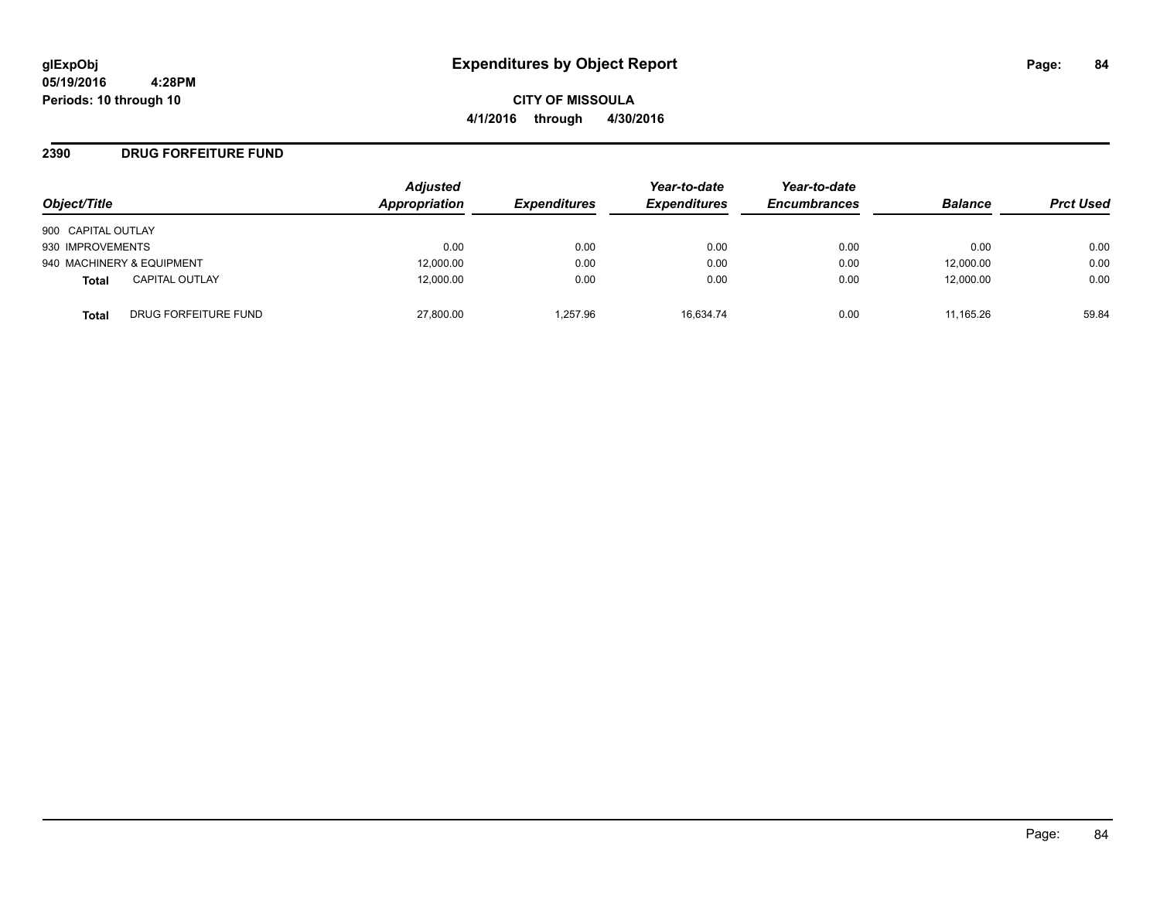**CITY OF MISSOULA 4/1/2016 through 4/30/2016**

#### **2390 DRUG FORFEITURE FUND**

| Object/Title                          | <b>Adjusted</b><br>Appropriation | <b>Expenditures</b> | Year-to-date<br><b>Expenditures</b> | Year-to-date<br><b>Encumbrances</b> | <b>Balance</b> | <b>Prct Used</b> |
|---------------------------------------|----------------------------------|---------------------|-------------------------------------|-------------------------------------|----------------|------------------|
| 900 CAPITAL OUTLAY                    |                                  |                     |                                     |                                     |                |                  |
| 930 IMPROVEMENTS                      | 0.00                             | 0.00                | 0.00                                | 0.00                                | 0.00           | 0.00             |
| 940 MACHINERY & EQUIPMENT             | 12,000.00                        | 0.00                | 0.00                                | 0.00                                | 12,000.00      | 0.00             |
| <b>CAPITAL OUTLAY</b><br><b>Total</b> | 12,000.00                        | 0.00                | 0.00                                | 0.00                                | 12,000.00      | 0.00             |
| DRUG FORFEITURE FUND<br><b>Total</b>  | 27,800.00                        | 1.257.96            | 16.634.74                           | 0.00                                | 11.165.26      | 59.84            |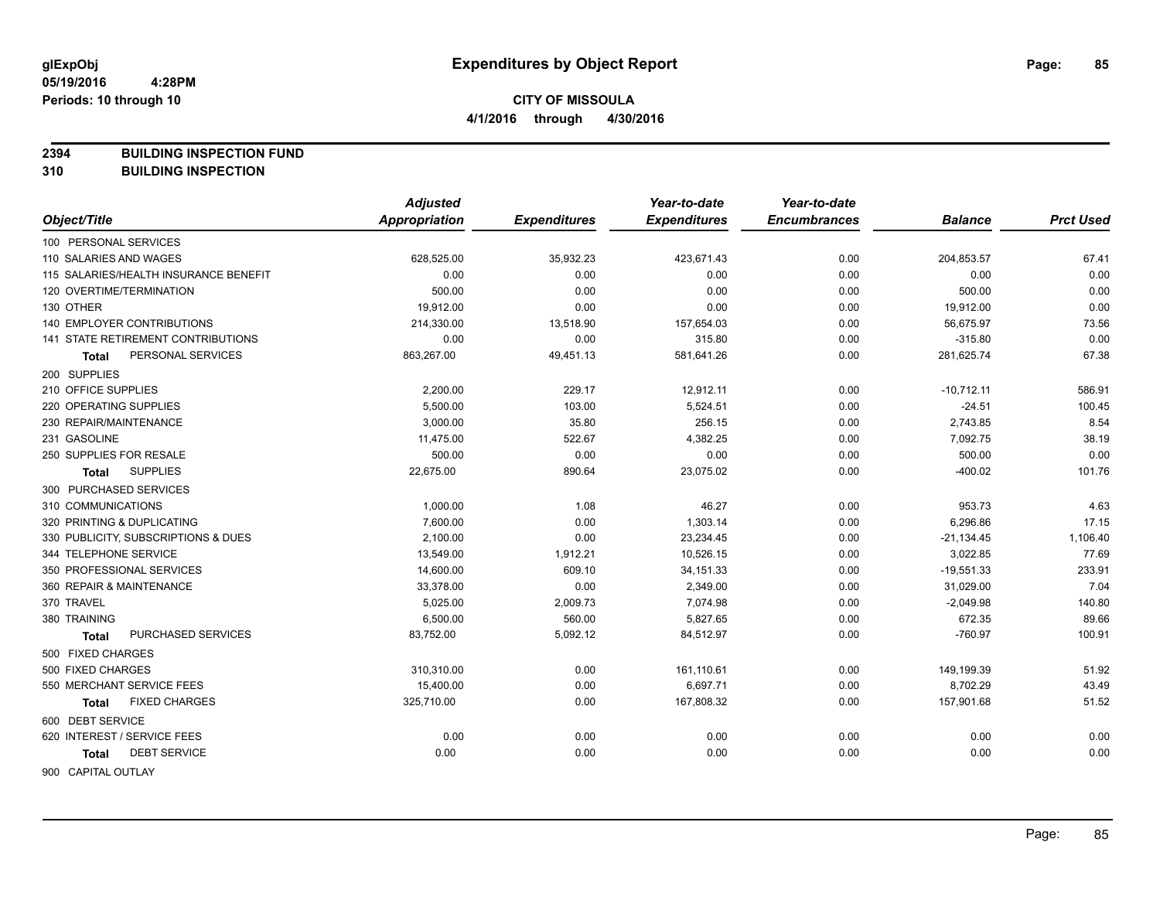**2394 BUILDING INSPECTION FUND**

**310 BUILDING INSPECTION**

|                                       | <b>Adjusted</b> |                     | Year-to-date        | Year-to-date        |                |                  |
|---------------------------------------|-----------------|---------------------|---------------------|---------------------|----------------|------------------|
| Object/Title                          | Appropriation   | <b>Expenditures</b> | <b>Expenditures</b> | <b>Encumbrances</b> | <b>Balance</b> | <b>Prct Used</b> |
| 100 PERSONAL SERVICES                 |                 |                     |                     |                     |                |                  |
| 110 SALARIES AND WAGES                | 628,525.00      | 35,932.23           | 423,671.43          | 0.00                | 204,853.57     | 67.41            |
| 115 SALARIES/HEALTH INSURANCE BENEFIT | 0.00            | 0.00                | 0.00                | 0.00                | 0.00           | 0.00             |
| 120 OVERTIME/TERMINATION              | 500.00          | 0.00                | 0.00                | 0.00                | 500.00         | 0.00             |
| 130 OTHER                             | 19,912.00       | 0.00                | 0.00                | 0.00                | 19,912.00      | 0.00             |
| 140 EMPLOYER CONTRIBUTIONS            | 214,330.00      | 13,518.90           | 157,654.03          | 0.00                | 56,675.97      | 73.56            |
| 141 STATE RETIREMENT CONTRIBUTIONS    | 0.00            | 0.00                | 315.80              | 0.00                | $-315.80$      | 0.00             |
| PERSONAL SERVICES<br><b>Total</b>     | 863,267.00      | 49,451.13           | 581,641.26          | 0.00                | 281,625.74     | 67.38            |
| 200 SUPPLIES                          |                 |                     |                     |                     |                |                  |
| 210 OFFICE SUPPLIES                   | 2,200.00        | 229.17              | 12,912.11           | 0.00                | $-10,712.11$   | 586.91           |
| 220 OPERATING SUPPLIES                | 5,500.00        | 103.00              | 5,524.51            | 0.00                | $-24.51$       | 100.45           |
| 230 REPAIR/MAINTENANCE                | 3,000.00        | 35.80               | 256.15              | 0.00                | 2,743.85       | 8.54             |
| 231 GASOLINE                          | 11,475.00       | 522.67              | 4,382.25            | 0.00                | 7,092.75       | 38.19            |
| 250 SUPPLIES FOR RESALE               | 500.00          | 0.00                | 0.00                | 0.00                | 500.00         | 0.00             |
| <b>SUPPLIES</b><br>Total              | 22,675.00       | 890.64              | 23,075.02           | 0.00                | $-400.02$      | 101.76           |
| 300 PURCHASED SERVICES                |                 |                     |                     |                     |                |                  |
| 310 COMMUNICATIONS                    | 1,000.00        | 1.08                | 46.27               | 0.00                | 953.73         | 4.63             |
| 320 PRINTING & DUPLICATING            | 7,600.00        | 0.00                | 1,303.14            | 0.00                | 6,296.86       | 17.15            |
| 330 PUBLICITY, SUBSCRIPTIONS & DUES   | 2,100.00        | 0.00                | 23,234.45           | 0.00                | $-21, 134.45$  | 1,106.40         |
| 344 TELEPHONE SERVICE                 | 13,549.00       | 1,912.21            | 10,526.15           | 0.00                | 3,022.85       | 77.69            |
| 350 PROFESSIONAL SERVICES             | 14,600.00       | 609.10              | 34, 151. 33         | 0.00                | $-19,551.33$   | 233.91           |
| 360 REPAIR & MAINTENANCE              | 33,378.00       | 0.00                | 2,349.00            | 0.00                | 31,029.00      | 7.04             |
| 370 TRAVEL                            | 5,025.00        | 2,009.73            | 7,074.98            | 0.00                | $-2,049.98$    | 140.80           |
| 380 TRAINING                          | 6,500.00        | 560.00              | 5,827.65            | 0.00                | 672.35         | 89.66            |
| PURCHASED SERVICES<br>Total           | 83,752.00       | 5,092.12            | 84,512.97           | 0.00                | $-760.97$      | 100.91           |
| 500 FIXED CHARGES                     |                 |                     |                     |                     |                |                  |
| 500 FIXED CHARGES                     | 310,310.00      | 0.00                | 161,110.61          | 0.00                | 149,199.39     | 51.92            |
| 550 MERCHANT SERVICE FEES             | 15,400.00       | 0.00                | 6,697.71            | 0.00                | 8,702.29       | 43.49            |
| <b>FIXED CHARGES</b><br><b>Total</b>  | 325,710.00      | 0.00                | 167,808.32          | 0.00                | 157,901.68     | 51.52            |
| 600 DEBT SERVICE                      |                 |                     |                     |                     |                |                  |
| 620 INTEREST / SERVICE FEES           | 0.00            | 0.00                | 0.00                | 0.00                | 0.00           | 0.00             |
| <b>DEBT SERVICE</b><br><b>Total</b>   | 0.00            | 0.00                | 0.00                | 0.00                | 0.00           | 0.00             |
| <b>GOO CADITAL OUTLAY</b>             |                 |                     |                     |                     |                |                  |

900 CAPITAL OUTLAY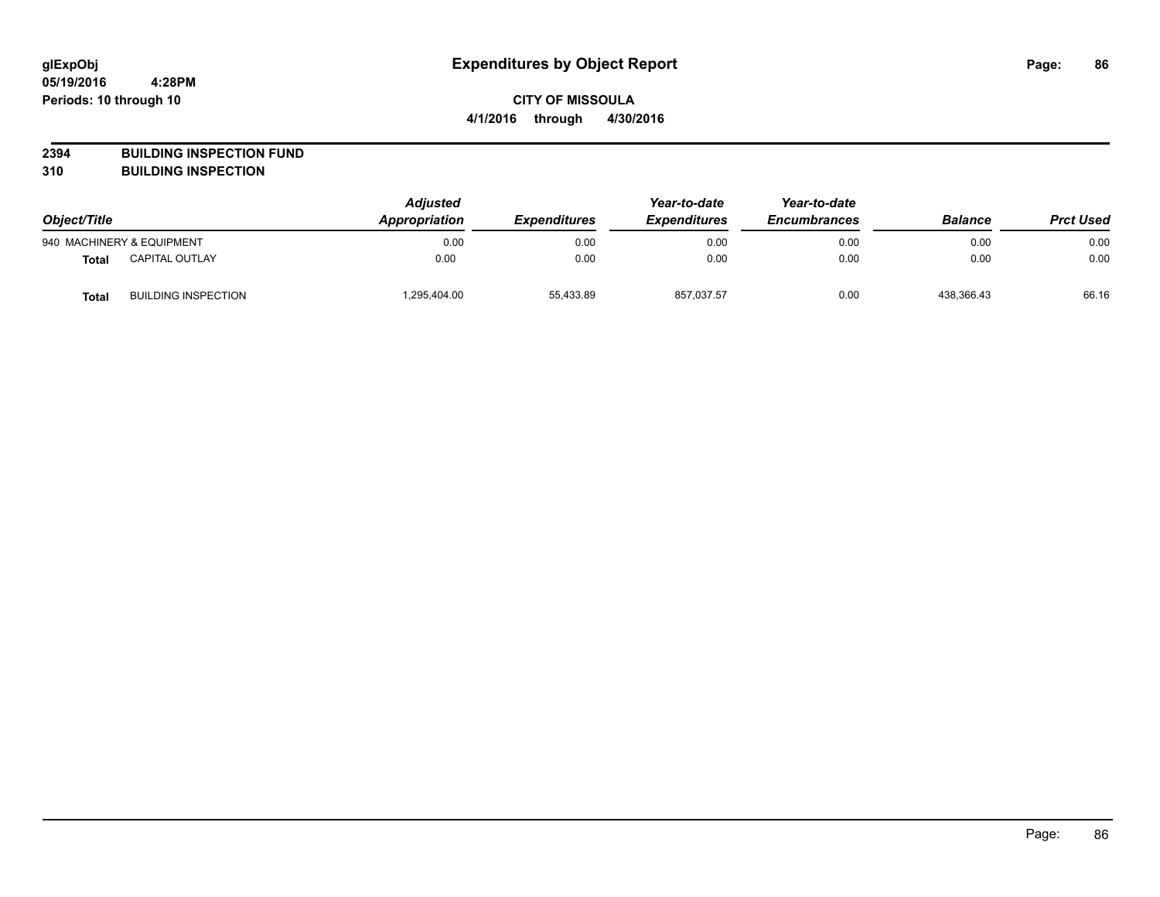**2394 BUILDING INSPECTION FUND**

**310 BUILDING INSPECTION**

| Object/Title |                            | <b>Adjusted</b><br>Appropriation<br><b>Expenditures</b> | Year-to-date<br><b>Expenditures</b> | Year-to-date<br><b>Encumbrances</b> | <b>Balance</b> | <b>Prct Used</b> |       |
|--------------|----------------------------|---------------------------------------------------------|-------------------------------------|-------------------------------------|----------------|------------------|-------|
|              | 940 MACHINERY & EQUIPMENT  | 0.00                                                    | 0.00                                | 0.00                                | 0.00           | 0.00             | 0.00  |
| <b>Total</b> | <b>CAPITAL OUTLAY</b>      | 0.00                                                    | 0.00                                | 0.00                                | 0.00           | 0.00             | 0.00  |
| Total        | <b>BUILDING INSPECTION</b> | 1,295,404.00                                            | 55,433.89                           | 857,037.57                          | 0.00           | 438,366.43       | 66.16 |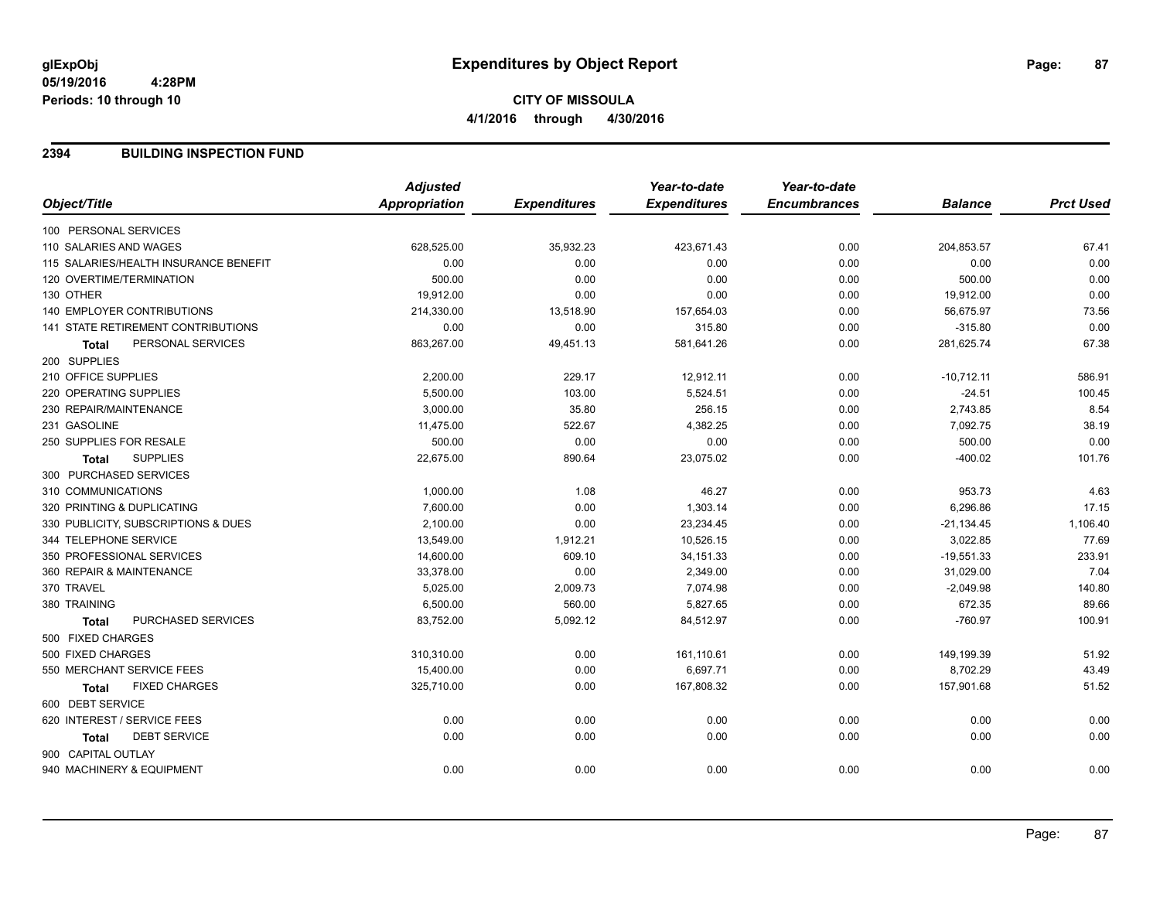# **CITY OF MISSOULA 4/1/2016 through 4/30/2016**

#### **2394 BUILDING INSPECTION FUND**

|                                       | <b>Adjusted</b>      |                     | Year-to-date        | Year-to-date        |                |                  |
|---------------------------------------|----------------------|---------------------|---------------------|---------------------|----------------|------------------|
| Object/Title                          | <b>Appropriation</b> | <b>Expenditures</b> | <b>Expenditures</b> | <b>Encumbrances</b> | <b>Balance</b> | <b>Prct Used</b> |
| 100 PERSONAL SERVICES                 |                      |                     |                     |                     |                |                  |
| 110 SALARIES AND WAGES                | 628,525.00           | 35,932.23           | 423,671.43          | 0.00                | 204,853.57     | 67.41            |
| 115 SALARIES/HEALTH INSURANCE BENEFIT | 0.00                 | 0.00                | 0.00                | 0.00                | 0.00           | 0.00             |
| 120 OVERTIME/TERMINATION              | 500.00               | 0.00                | 0.00                | 0.00                | 500.00         | 0.00             |
| 130 OTHER                             | 19,912.00            | 0.00                | 0.00                | 0.00                | 19,912.00      | 0.00             |
| <b>140 EMPLOYER CONTRIBUTIONS</b>     | 214,330.00           | 13,518.90           | 157,654.03          | 0.00                | 56,675.97      | 73.56            |
| 141 STATE RETIREMENT CONTRIBUTIONS    | 0.00                 | 0.00                | 315.80              | 0.00                | $-315.80$      | 0.00             |
| PERSONAL SERVICES<br><b>Total</b>     | 863,267.00           | 49,451.13           | 581,641.26          | 0.00                | 281,625.74     | 67.38            |
| 200 SUPPLIES                          |                      |                     |                     |                     |                |                  |
| 210 OFFICE SUPPLIES                   | 2,200.00             | 229.17              | 12,912.11           | 0.00                | $-10,712.11$   | 586.91           |
| 220 OPERATING SUPPLIES                | 5,500.00             | 103.00              | 5,524.51            | 0.00                | $-24.51$       | 100.45           |
| 230 REPAIR/MAINTENANCE                | 3,000.00             | 35.80               | 256.15              | 0.00                | 2,743.85       | 8.54             |
| 231 GASOLINE                          | 11,475.00            | 522.67              | 4,382.25            | 0.00                | 7,092.75       | 38.19            |
| 250 SUPPLIES FOR RESALE               | 500.00               | 0.00                | 0.00                | 0.00                | 500.00         | 0.00             |
| <b>SUPPLIES</b><br><b>Total</b>       | 22,675.00            | 890.64              | 23,075.02           | 0.00                | $-400.02$      | 101.76           |
| 300 PURCHASED SERVICES                |                      |                     |                     |                     |                |                  |
| 310 COMMUNICATIONS                    | 1,000.00             | 1.08                | 46.27               | 0.00                | 953.73         | 4.63             |
| 320 PRINTING & DUPLICATING            | 7,600.00             | 0.00                | 1,303.14            | 0.00                | 6,296.86       | 17.15            |
| 330 PUBLICITY, SUBSCRIPTIONS & DUES   | 2,100.00             | 0.00                | 23,234.45           | 0.00                | $-21,134.45$   | 1,106.40         |
| 344 TELEPHONE SERVICE                 | 13,549.00            | 1,912.21            | 10,526.15           | 0.00                | 3,022.85       | 77.69            |
| 350 PROFESSIONAL SERVICES             | 14,600.00            | 609.10              | 34,151.33           | 0.00                | $-19,551.33$   | 233.91           |
| 360 REPAIR & MAINTENANCE              | 33,378.00            | 0.00                | 2,349.00            | 0.00                | 31,029.00      | 7.04             |
| 370 TRAVEL                            | 5,025.00             | 2,009.73            | 7,074.98            | 0.00                | $-2,049.98$    | 140.80           |
| 380 TRAINING                          | 6,500.00             | 560.00              | 5,827.65            | 0.00                | 672.35         | 89.66            |
| PURCHASED SERVICES<br><b>Total</b>    | 83,752.00            | 5,092.12            | 84,512.97           | 0.00                | $-760.97$      | 100.91           |
| 500 FIXED CHARGES                     |                      |                     |                     |                     |                |                  |
| 500 FIXED CHARGES                     | 310,310.00           | 0.00                | 161,110.61          | 0.00                | 149,199.39     | 51.92            |
| 550 MERCHANT SERVICE FEES             | 15,400.00            | 0.00                | 6,697.71            | 0.00                | 8,702.29       | 43.49            |
| <b>FIXED CHARGES</b><br><b>Total</b>  | 325,710.00           | 0.00                | 167,808.32          | 0.00                | 157,901.68     | 51.52            |
| 600 DEBT SERVICE                      |                      |                     |                     |                     |                |                  |
| 620 INTEREST / SERVICE FEES           | 0.00                 | 0.00                | 0.00                | 0.00                | 0.00           | 0.00             |
| <b>DEBT SERVICE</b><br><b>Total</b>   | 0.00                 | 0.00                | 0.00                | 0.00                | 0.00           | 0.00             |
| 900 CAPITAL OUTLAY                    |                      |                     |                     |                     |                |                  |
| 940 MACHINERY & EQUIPMENT             | 0.00                 | 0.00                | 0.00                | 0.00                | 0.00           | 0.00             |
|                                       |                      |                     |                     |                     |                |                  |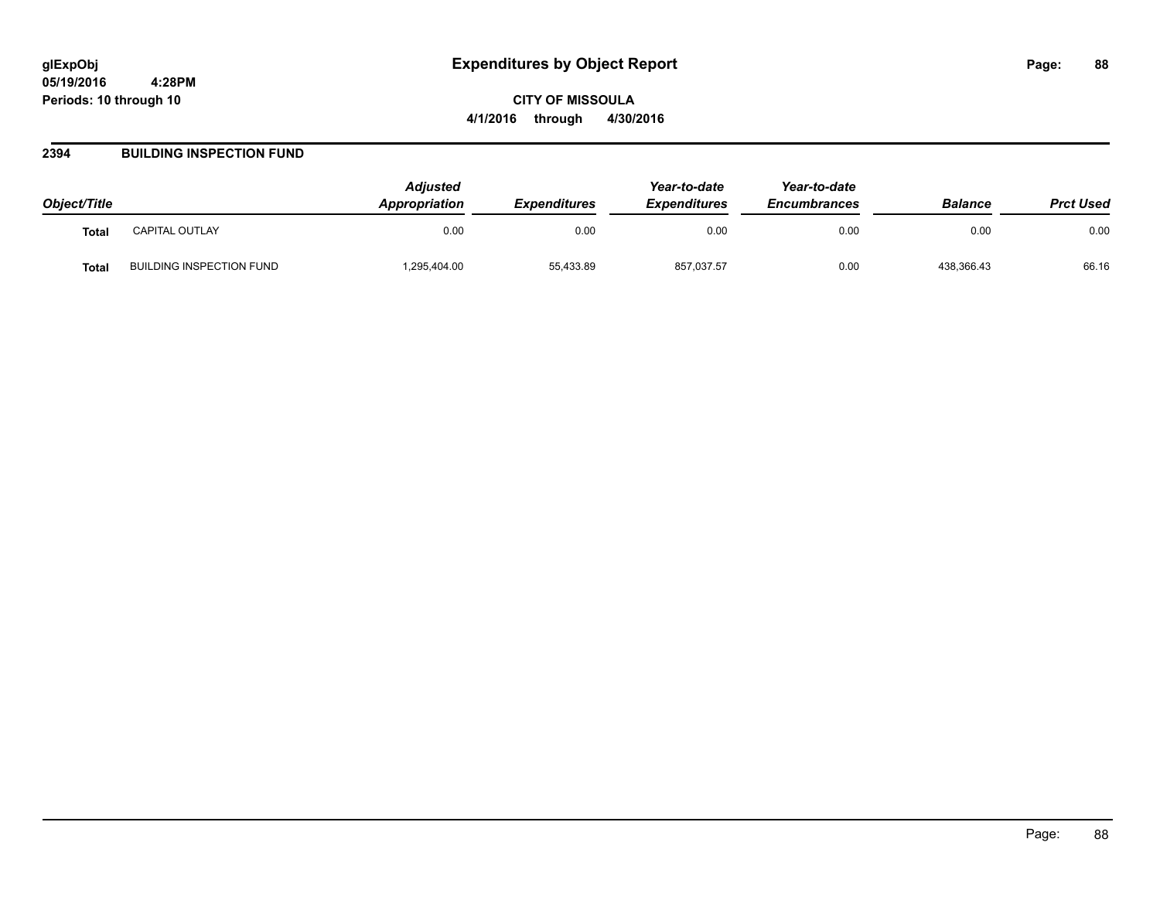**CITY OF MISSOULA 4/1/2016 through 4/30/2016**

#### **2394 BUILDING INSPECTION FUND**

| Object/Title |                          | <b>Adjusted</b><br>Appropriation | <b>Expenditures</b> | Year-to-date<br><b>Expenditures</b> | Year-to-date<br><b>Encumbrances</b> | <b>Balance</b> | <b>Prct Used</b> |
|--------------|--------------------------|----------------------------------|---------------------|-------------------------------------|-------------------------------------|----------------|------------------|
| <b>Total</b> | CAPITAL OUTLAY           | 0.00                             | 0.00                | 0.00                                | 0.00                                | 0.00           | 0.00             |
| <b>Total</b> | BUILDING INSPECTION FUND | .295,404.00                      | 55,433.89           | 857,037.57                          | 0.00                                | 438,366.43     | 66.16            |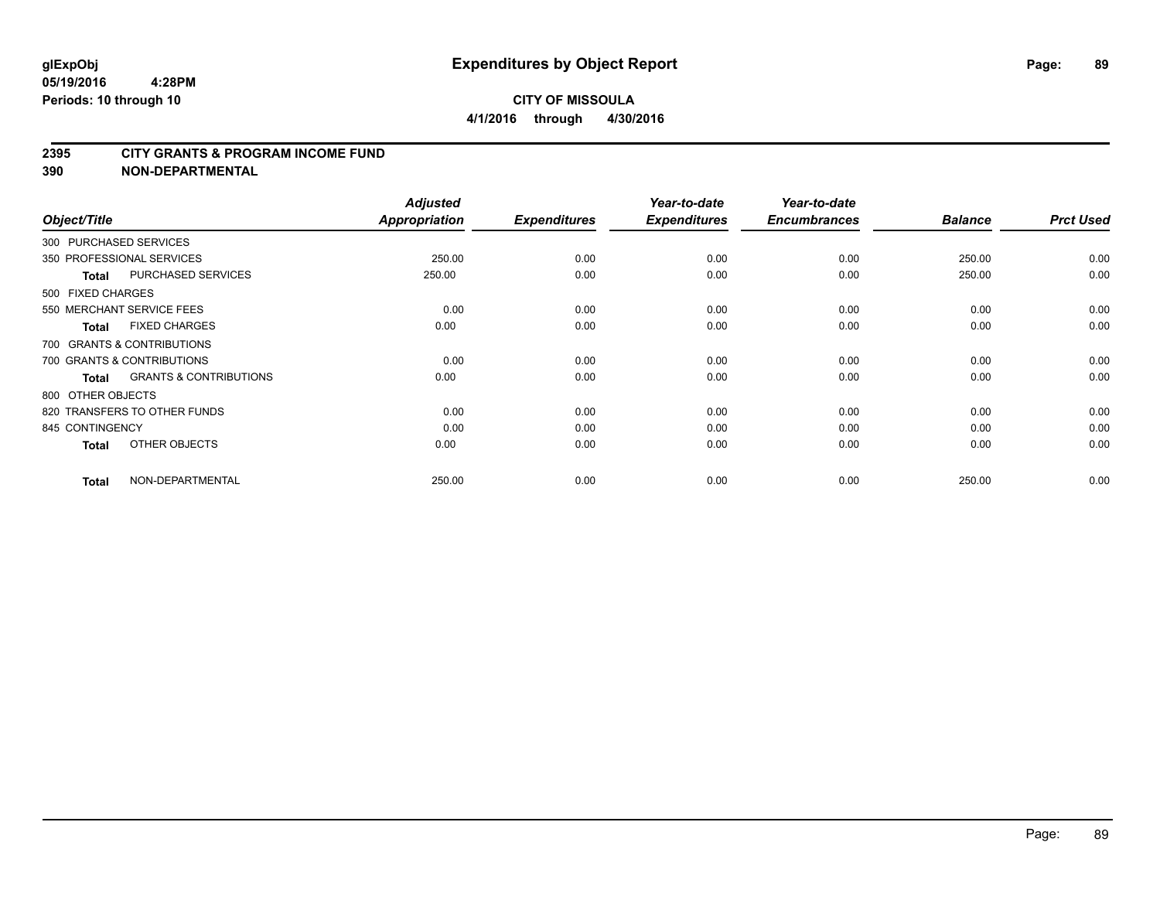#### **2395 CITY GRANTS & PROGRAM INCOME FUND**

**390 NON-DEPARTMENTAL**

| Object/Title           |                                   | <b>Adjusted</b><br><b>Appropriation</b> | <b>Expenditures</b> | Year-to-date<br><b>Expenditures</b> | Year-to-date<br><b>Encumbrances</b> | <b>Balance</b> | <b>Prct Used</b> |
|------------------------|-----------------------------------|-----------------------------------------|---------------------|-------------------------------------|-------------------------------------|----------------|------------------|
| 300 PURCHASED SERVICES |                                   |                                         |                     |                                     |                                     |                |                  |
|                        | 350 PROFESSIONAL SERVICES         | 250.00                                  | 0.00                | 0.00                                | 0.00                                | 250.00         | 0.00             |
| <b>Total</b>           | <b>PURCHASED SERVICES</b>         | 250.00                                  | 0.00                | 0.00                                | 0.00                                | 250.00         | 0.00             |
| 500 FIXED CHARGES      |                                   |                                         |                     |                                     |                                     |                |                  |
|                        | 550 MERCHANT SERVICE FEES         | 0.00                                    | 0.00                | 0.00                                | 0.00                                | 0.00           | 0.00             |
| <b>Total</b>           | <b>FIXED CHARGES</b>              | 0.00                                    | 0.00                | 0.00                                | 0.00                                | 0.00           | 0.00             |
|                        | 700 GRANTS & CONTRIBUTIONS        |                                         |                     |                                     |                                     |                |                  |
|                        | 700 GRANTS & CONTRIBUTIONS        | 0.00                                    | 0.00                | 0.00                                | 0.00                                | 0.00           | 0.00             |
| <b>Total</b>           | <b>GRANTS &amp; CONTRIBUTIONS</b> | 0.00                                    | 0.00                | 0.00                                | 0.00                                | 0.00           | 0.00             |
| 800 OTHER OBJECTS      |                                   |                                         |                     |                                     |                                     |                |                  |
|                        | 820 TRANSFERS TO OTHER FUNDS      | 0.00                                    | 0.00                | 0.00                                | 0.00                                | 0.00           | 0.00             |
| 845 CONTINGENCY        |                                   | 0.00                                    | 0.00                | 0.00                                | 0.00                                | 0.00           | 0.00             |
| <b>Total</b>           | OTHER OBJECTS                     | 0.00                                    | 0.00                | 0.00                                | 0.00                                | 0.00           | 0.00             |
| <b>Total</b>           | NON-DEPARTMENTAL                  | 250.00                                  | 0.00                | 0.00                                | 0.00                                | 250.00         | 0.00             |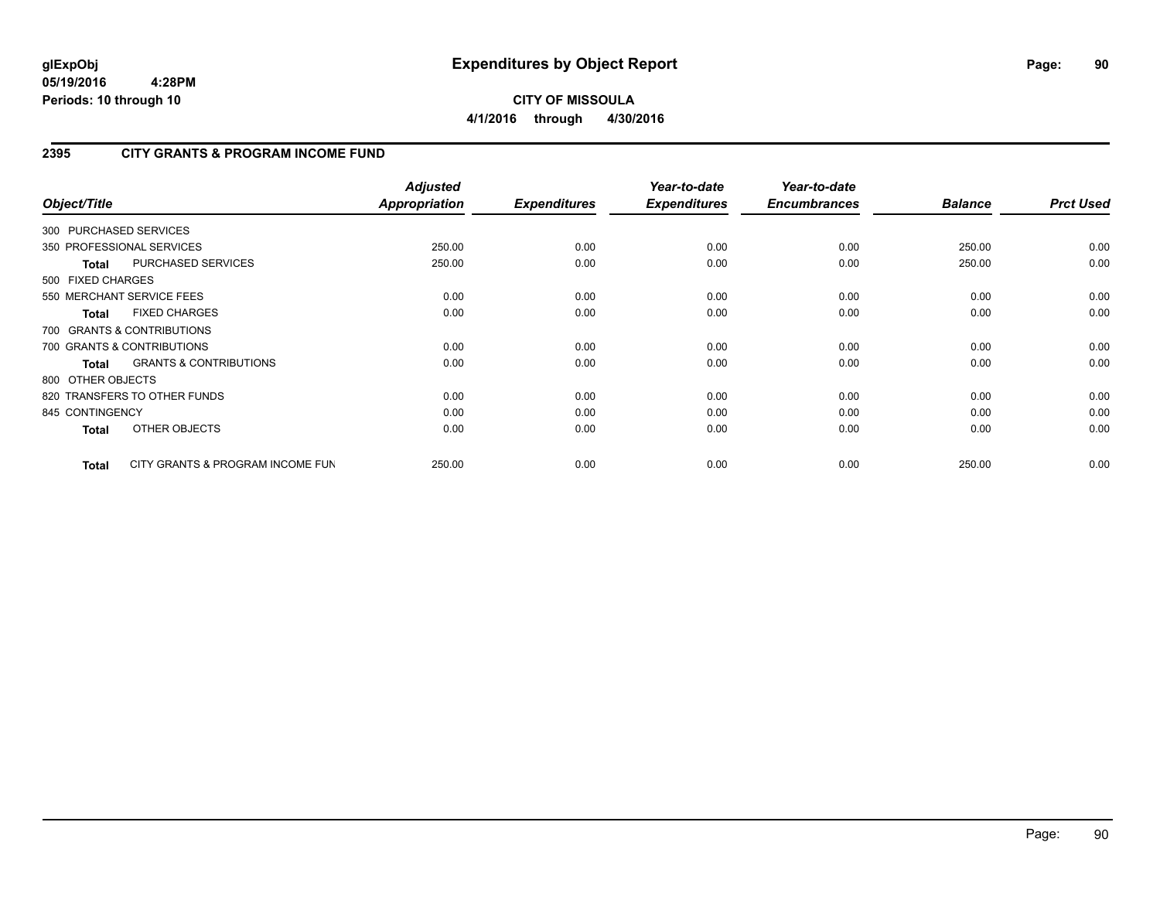#### **CITY OF MISSOULA 4/1/2016 through 4/30/2016**

## **2395 CITY GRANTS & PROGRAM INCOME FUND**

| Object/Title           |                                   | <b>Adjusted</b><br><b>Appropriation</b> | <b>Expenditures</b> | Year-to-date<br><b>Expenditures</b> | Year-to-date<br><b>Encumbrances</b> | <b>Balance</b> | <b>Prct Used</b> |
|------------------------|-----------------------------------|-----------------------------------------|---------------------|-------------------------------------|-------------------------------------|----------------|------------------|
| 300 PURCHASED SERVICES |                                   |                                         |                     |                                     |                                     |                |                  |
|                        | 350 PROFESSIONAL SERVICES         | 250.00                                  | 0.00                | 0.00                                | 0.00                                | 250.00         | 0.00             |
| <b>Total</b>           | PURCHASED SERVICES                | 250.00                                  | 0.00                | 0.00                                | 0.00                                | 250.00         | 0.00             |
| 500 FIXED CHARGES      |                                   |                                         |                     |                                     |                                     |                |                  |
|                        | 550 MERCHANT SERVICE FEES         | 0.00                                    | 0.00                | 0.00                                | 0.00                                | 0.00           | 0.00             |
| <b>Total</b>           | <b>FIXED CHARGES</b>              | 0.00                                    | 0.00                | 0.00                                | 0.00                                | 0.00           | 0.00             |
|                        | 700 GRANTS & CONTRIBUTIONS        |                                         |                     |                                     |                                     |                |                  |
|                        | 700 GRANTS & CONTRIBUTIONS        | 0.00                                    | 0.00                | 0.00                                | 0.00                                | 0.00           | 0.00             |
| <b>Total</b>           | <b>GRANTS &amp; CONTRIBUTIONS</b> | 0.00                                    | 0.00                | 0.00                                | 0.00                                | 0.00           | 0.00             |
| 800 OTHER OBJECTS      |                                   |                                         |                     |                                     |                                     |                |                  |
|                        | 820 TRANSFERS TO OTHER FUNDS      | 0.00                                    | 0.00                | 0.00                                | 0.00                                | 0.00           | 0.00             |
| 845 CONTINGENCY        |                                   | 0.00                                    | 0.00                | 0.00                                | 0.00                                | 0.00           | 0.00             |
| <b>Total</b>           | OTHER OBJECTS                     | 0.00                                    | 0.00                | 0.00                                | 0.00                                | 0.00           | 0.00             |
| Total                  | CITY GRANTS & PROGRAM INCOME FUN  | 250.00                                  | 0.00                | 0.00                                | 0.00                                | 250.00         | 0.00             |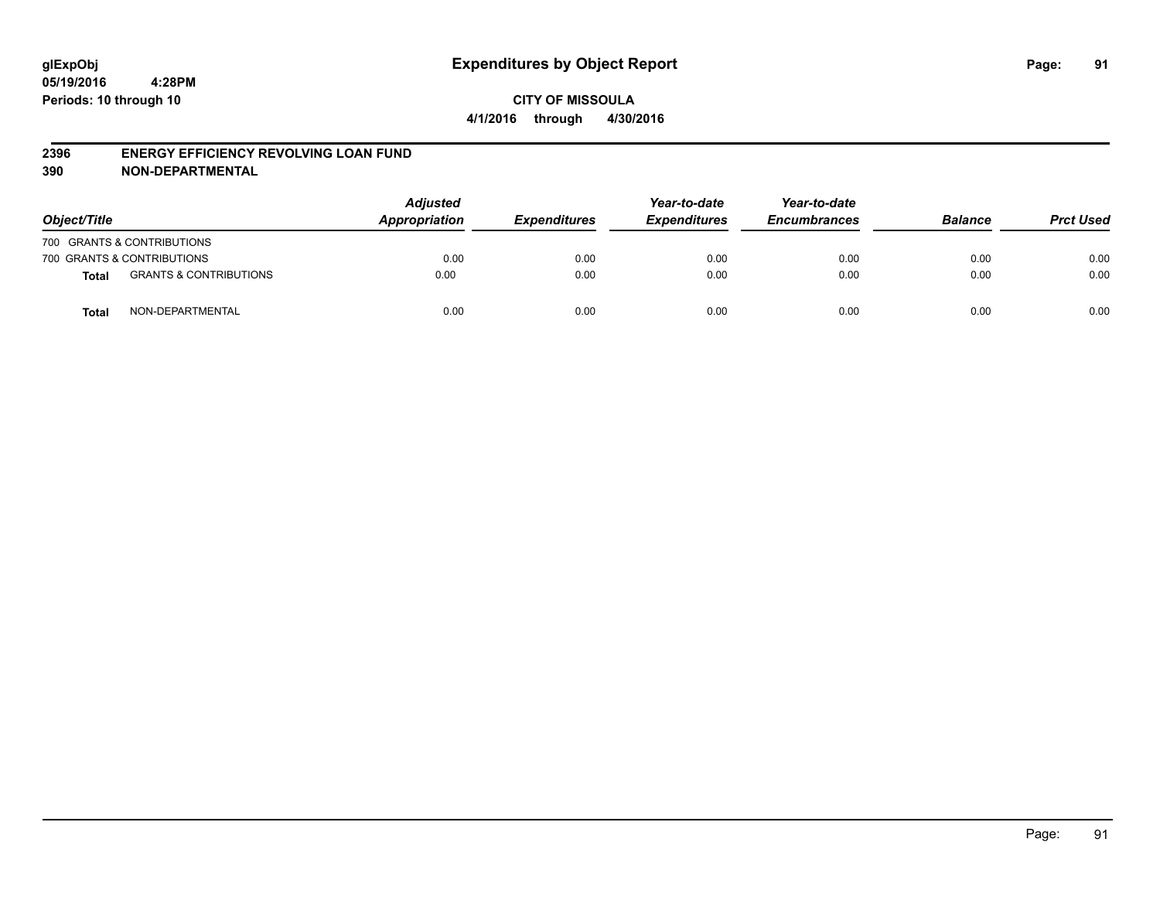#### **2396 ENERGY EFFICIENCY REVOLVING LOAN FUND**

**390 NON-DEPARTMENTAL**

| Object/Title |                                   | <b>Adjusted</b><br>Appropriation | <b>Expenditures</b> | Year-to-date<br><b>Expenditures</b> | Year-to-date<br><b>Encumbrances</b> | <b>Balance</b> | <b>Prct Used</b> |
|--------------|-----------------------------------|----------------------------------|---------------------|-------------------------------------|-------------------------------------|----------------|------------------|
|              | 700 GRANTS & CONTRIBUTIONS        |                                  |                     |                                     |                                     |                |                  |
|              | 700 GRANTS & CONTRIBUTIONS        | 0.00                             | 0.00                | 0.00                                | 0.00                                | 0.00           | 0.00             |
| <b>Total</b> | <b>GRANTS &amp; CONTRIBUTIONS</b> | 0.00                             | 0.00                | 0.00                                | 0.00                                | 0.00           | 0.00             |
| <b>Total</b> | NON-DEPARTMENTAL                  | 0.00                             | 0.00                | 0.00                                | 0.00                                | 0.00           | 0.00             |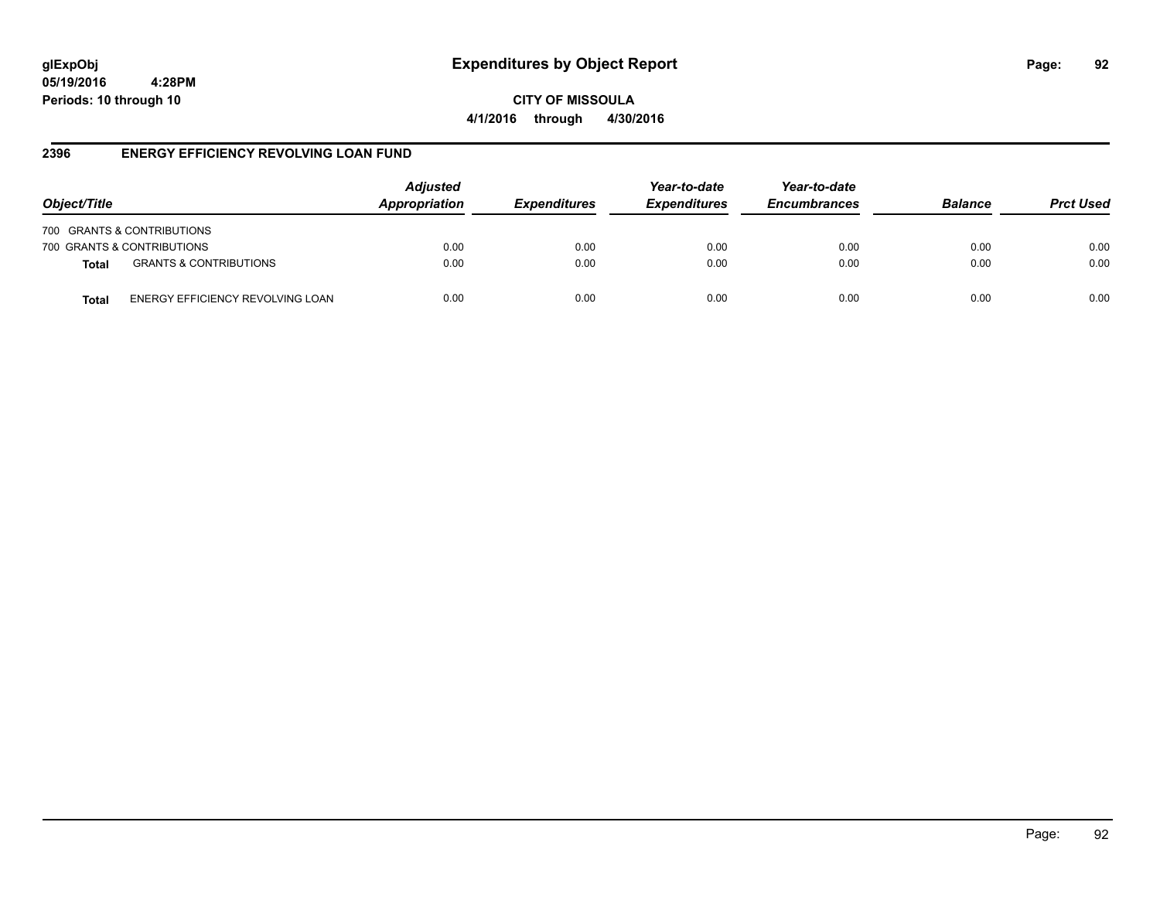# **glExpObj Expenditures by Object Report Page: 92**

**05/19/2016 4:28PM Periods: 10 through 10**

**CITY OF MISSOULA 4/1/2016 through 4/30/2016**

#### **2396 ENERGY EFFICIENCY REVOLVING LOAN FUND**

| Object/Title |                                   | <b>Adjusted</b><br>Appropriation | <b>Expenditures</b> | Year-to-date<br><b>Expenditures</b> | Year-to-date<br><b>Encumbrances</b> | <b>Balance</b> | <b>Prct Used</b> |
|--------------|-----------------------------------|----------------------------------|---------------------|-------------------------------------|-------------------------------------|----------------|------------------|
|              | 700 GRANTS & CONTRIBUTIONS        |                                  |                     |                                     |                                     |                |                  |
|              | 700 GRANTS & CONTRIBUTIONS        | 0.00                             | 0.00                | 0.00                                | 0.00                                | 0.00           | 0.00             |
| <b>Total</b> | <b>GRANTS &amp; CONTRIBUTIONS</b> | 0.00                             | 0.00                | 0.00                                | 0.00                                | 0.00           | 0.00             |
| Total        | ENERGY EFFICIENCY REVOLVING LOAN  | 0.00                             | 0.00                | 0.00                                | 0.00                                | 0.00           | 0.00             |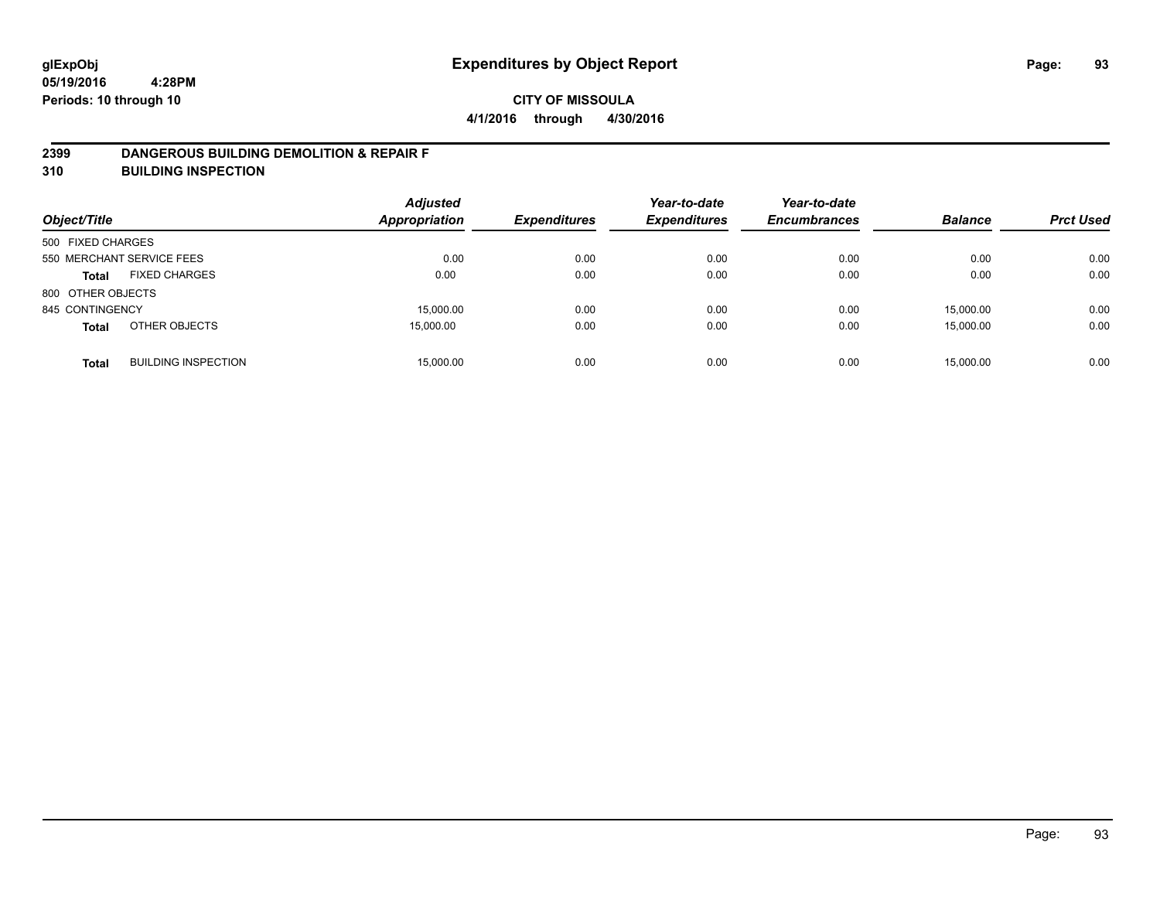#### **2399 DANGEROUS BUILDING DEMOLITION & REPAIR F**

**310 BUILDING INSPECTION**

| Object/Title              |                            | <b>Adjusted</b><br><b>Appropriation</b> | <b>Expenditures</b> | Year-to-date<br><b>Expenditures</b> | Year-to-date<br><b>Encumbrances</b> | <b>Balance</b> | <b>Prct Used</b> |
|---------------------------|----------------------------|-----------------------------------------|---------------------|-------------------------------------|-------------------------------------|----------------|------------------|
| 500 FIXED CHARGES         |                            |                                         |                     |                                     |                                     |                |                  |
| 550 MERCHANT SERVICE FEES |                            | 0.00                                    | 0.00                | 0.00                                | 0.00                                | 0.00           | 0.00             |
| <b>Total</b>              | <b>FIXED CHARGES</b>       | 0.00                                    | 0.00                | 0.00                                | 0.00                                | 0.00           | 0.00             |
| 800 OTHER OBJECTS         |                            |                                         |                     |                                     |                                     |                |                  |
| 845 CONTINGENCY           |                            | 15.000.00                               | 0.00                | 0.00                                | 0.00                                | 15.000.00      | 0.00             |
| <b>Total</b>              | OTHER OBJECTS              | 15,000.00                               | 0.00                | 0.00                                | 0.00                                | 15,000.00      | 0.00             |
| <b>Total</b>              | <b>BUILDING INSPECTION</b> | 15.000.00                               | 0.00                | 0.00                                | 0.00                                | 15.000.00      | 0.00             |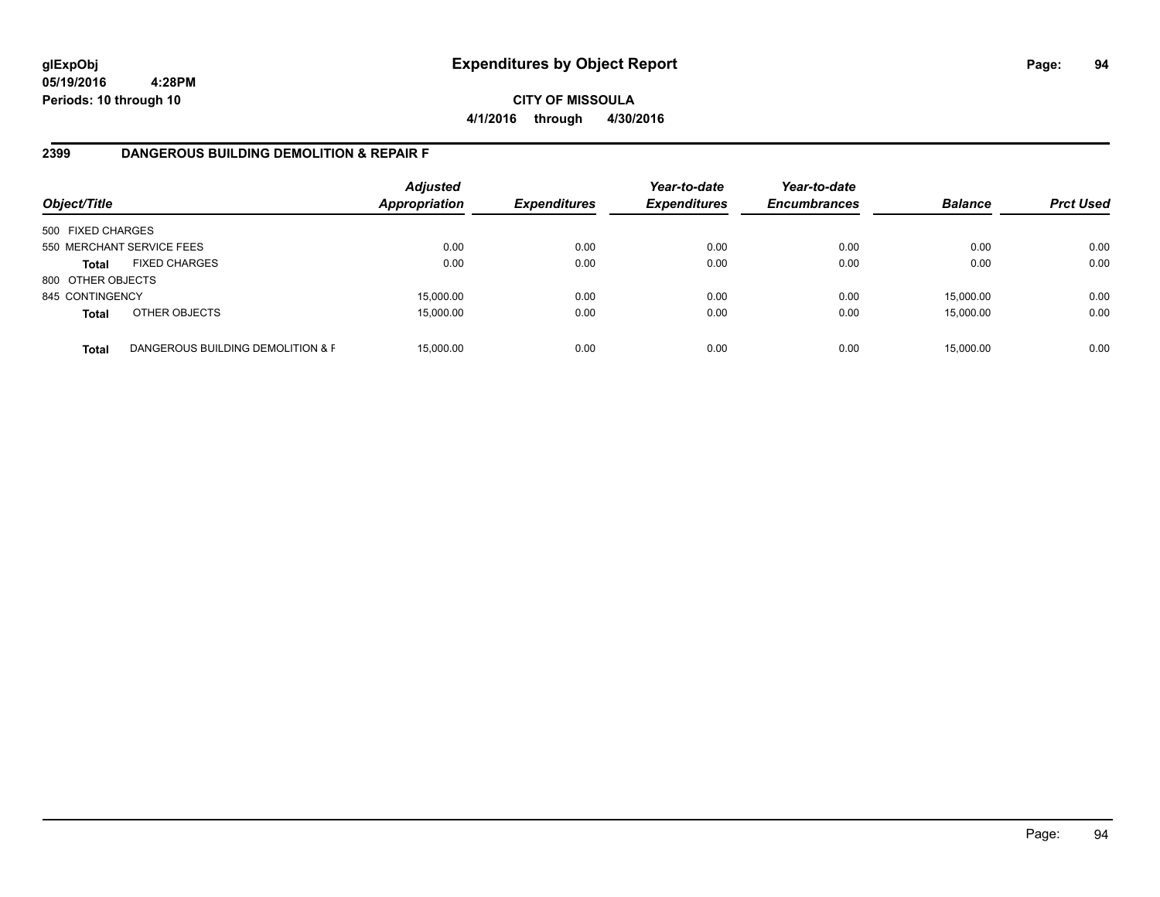## **CITY OF MISSOULA 4/1/2016 through 4/30/2016**

### **2399 DANGEROUS BUILDING DEMOLITION & REPAIR F**

| Object/Title      |                                   | <b>Adjusted</b><br><b>Appropriation</b> | <b>Expenditures</b> | Year-to-date<br><b>Expenditures</b> | Year-to-date<br><b>Encumbrances</b> | <b>Balance</b> | <b>Prct Used</b> |
|-------------------|-----------------------------------|-----------------------------------------|---------------------|-------------------------------------|-------------------------------------|----------------|------------------|
| 500 FIXED CHARGES |                                   |                                         |                     |                                     |                                     |                |                  |
|                   | 550 MERCHANT SERVICE FEES         | 0.00                                    | 0.00                | 0.00                                | 0.00                                | 0.00           | 0.00             |
| <b>Total</b>      | <b>FIXED CHARGES</b>              | 0.00                                    | 0.00                | 0.00                                | 0.00                                | 0.00           | 0.00             |
| 800 OTHER OBJECTS |                                   |                                         |                     |                                     |                                     |                |                  |
| 845 CONTINGENCY   |                                   | 15,000.00                               | 0.00                | 0.00                                | 0.00                                | 15,000.00      | 0.00             |
| <b>Total</b>      | OTHER OBJECTS                     | 15,000.00                               | 0.00                | 0.00                                | 0.00                                | 15,000.00      | 0.00             |
| <b>Total</b>      | DANGEROUS BUILDING DEMOLITION & F | 15.000.00                               | 0.00                | 0.00                                | 0.00                                | 15,000.00      | 0.00             |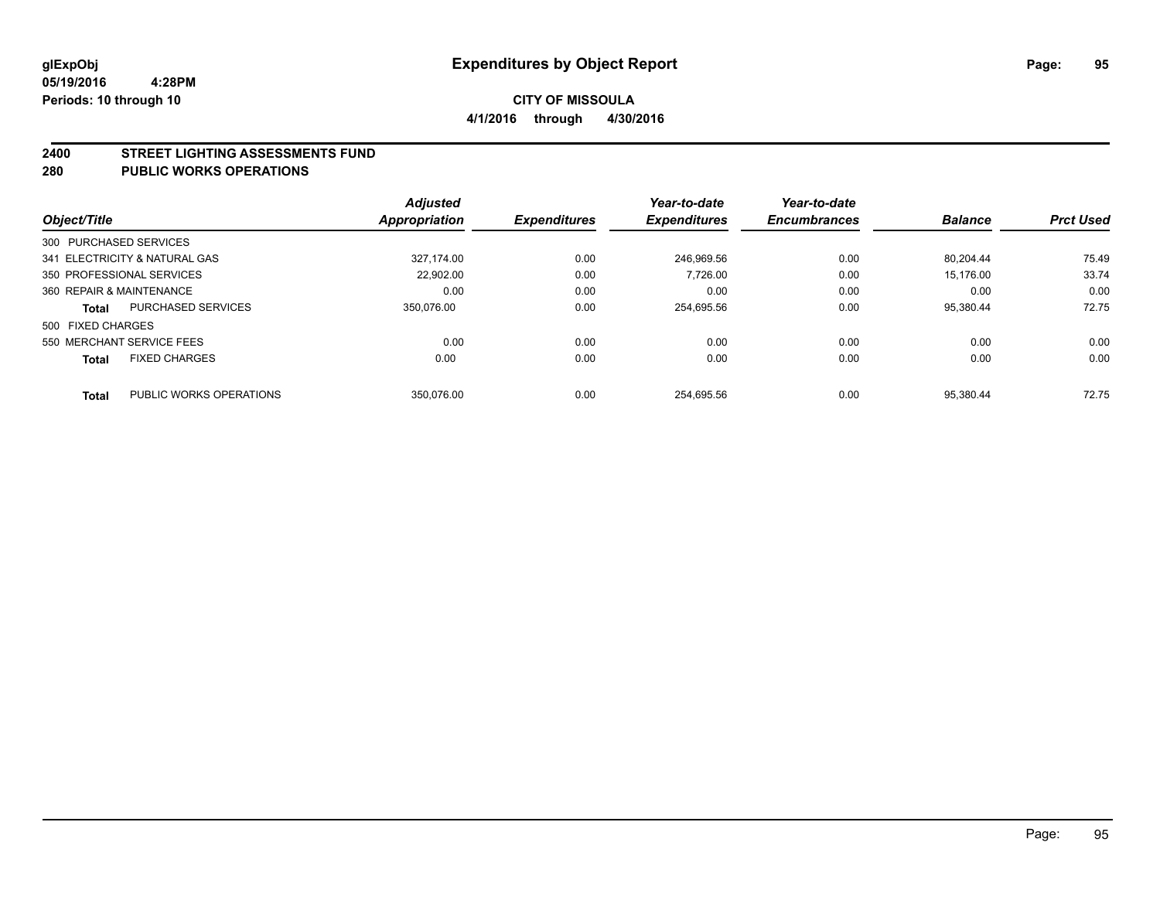#### **2400 STREET LIGHTING ASSESSMENTS FUND**

#### **280 PUBLIC WORKS OPERATIONS**

| Object/Title              |                               | <b>Adjusted</b><br>Appropriation | <b>Expenditures</b> | Year-to-date<br><b>Expenditures</b> | Year-to-date<br><b>Encumbrances</b> | <b>Balance</b> | <b>Prct Used</b> |
|---------------------------|-------------------------------|----------------------------------|---------------------|-------------------------------------|-------------------------------------|----------------|------------------|
| 300 PURCHASED SERVICES    |                               |                                  |                     |                                     |                                     |                |                  |
|                           | 341 ELECTRICITY & NATURAL GAS | 327.174.00                       | 0.00                | 246.969.56                          | 0.00                                | 80.204.44      | 75.49            |
| 350 PROFESSIONAL SERVICES |                               | 22.902.00                        | 0.00                | 7.726.00                            | 0.00                                | 15.176.00      | 33.74            |
| 360 REPAIR & MAINTENANCE  |                               | 0.00                             | 0.00                | 0.00                                | 0.00                                | 0.00           | 0.00             |
| Total                     | <b>PURCHASED SERVICES</b>     | 350.076.00                       | 0.00                | 254.695.56                          | 0.00                                | 95.380.44      | 72.75            |
| 500 FIXED CHARGES         |                               |                                  |                     |                                     |                                     |                |                  |
| 550 MERCHANT SERVICE FEES |                               | 0.00                             | 0.00                | 0.00                                | 0.00                                | 0.00           | 0.00             |
| <b>Total</b>              | <b>FIXED CHARGES</b>          | 0.00                             | 0.00                | 0.00                                | 0.00                                | 0.00           | 0.00             |
|                           |                               |                                  |                     |                                     |                                     |                |                  |
| <b>Total</b>              | PUBLIC WORKS OPERATIONS       | 350.076.00                       | 0.00                | 254.695.56                          | 0.00                                | 95.380.44      | 72.75            |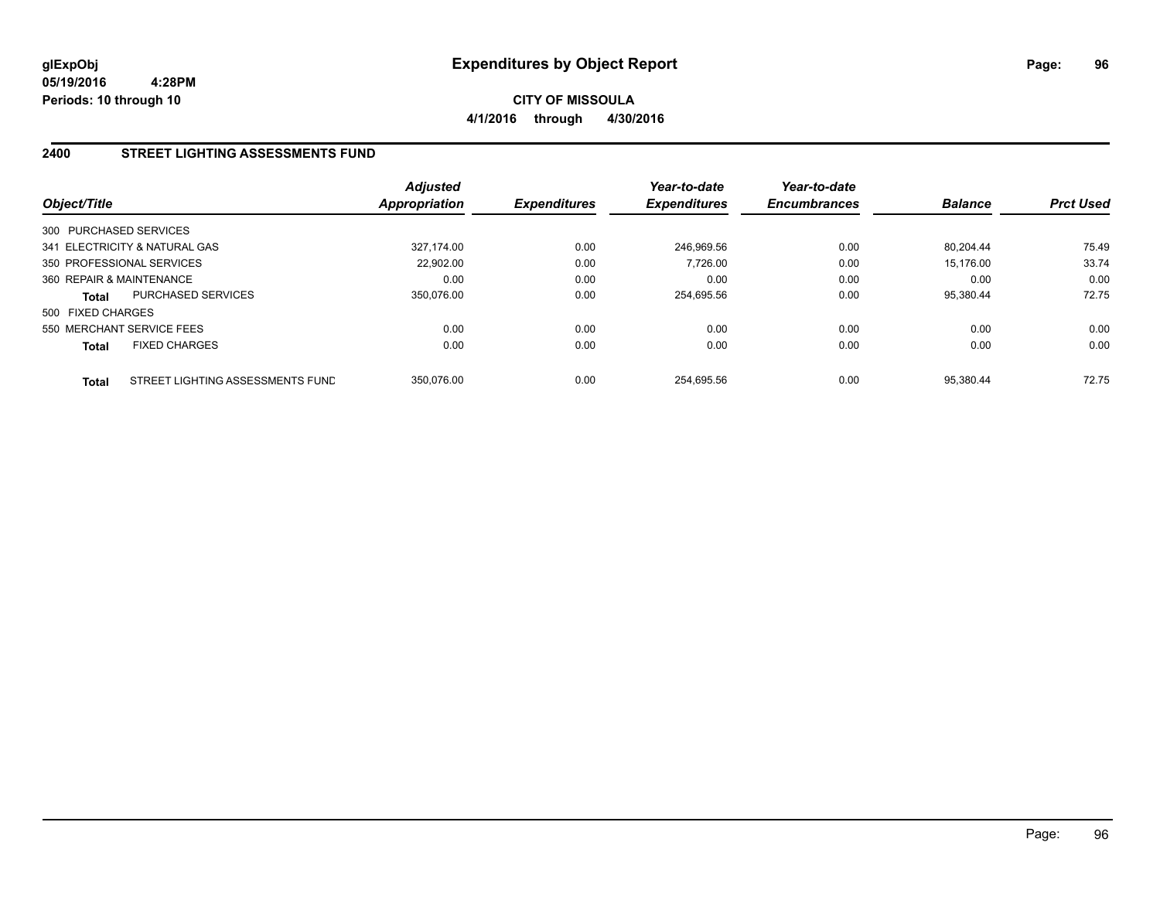#### **CITY OF MISSOULA 4/1/2016 through 4/30/2016**

### **2400 STREET LIGHTING ASSESSMENTS FUND**

| Object/Title              |                                  | <b>Adjusted</b><br>Appropriation | <b>Expenditures</b> | Year-to-date<br><b>Expenditures</b> | Year-to-date<br><b>Encumbrances</b> | <b>Balance</b> | <b>Prct Used</b> |
|---------------------------|----------------------------------|----------------------------------|---------------------|-------------------------------------|-------------------------------------|----------------|------------------|
| 300 PURCHASED SERVICES    |                                  |                                  |                     |                                     |                                     |                |                  |
|                           | 341 ELECTRICITY & NATURAL GAS    | 327.174.00                       | 0.00                | 246.969.56                          | 0.00                                | 80.204.44      | 75.49            |
| 350 PROFESSIONAL SERVICES |                                  | 22.902.00                        | 0.00                | 7.726.00                            | 0.00                                | 15.176.00      | 33.74            |
| 360 REPAIR & MAINTENANCE  |                                  | 0.00                             | 0.00                | 0.00                                | 0.00                                | 0.00           | 0.00             |
| Total                     | <b>PURCHASED SERVICES</b>        | 350.076.00                       | 0.00                | 254,695.56                          | 0.00                                | 95.380.44      | 72.75            |
| 500 FIXED CHARGES         |                                  |                                  |                     |                                     |                                     |                |                  |
|                           | 550 MERCHANT SERVICE FEES        | 0.00                             | 0.00                | 0.00                                | 0.00                                | 0.00           | 0.00             |
| <b>Total</b>              | <b>FIXED CHARGES</b>             | 0.00                             | 0.00                | 0.00                                | 0.00                                | 0.00           | 0.00             |
| <b>Total</b>              | STREET LIGHTING ASSESSMENTS FUND | 350.076.00                       | 0.00                | 254.695.56                          | 0.00                                | 95.380.44      | 72.75            |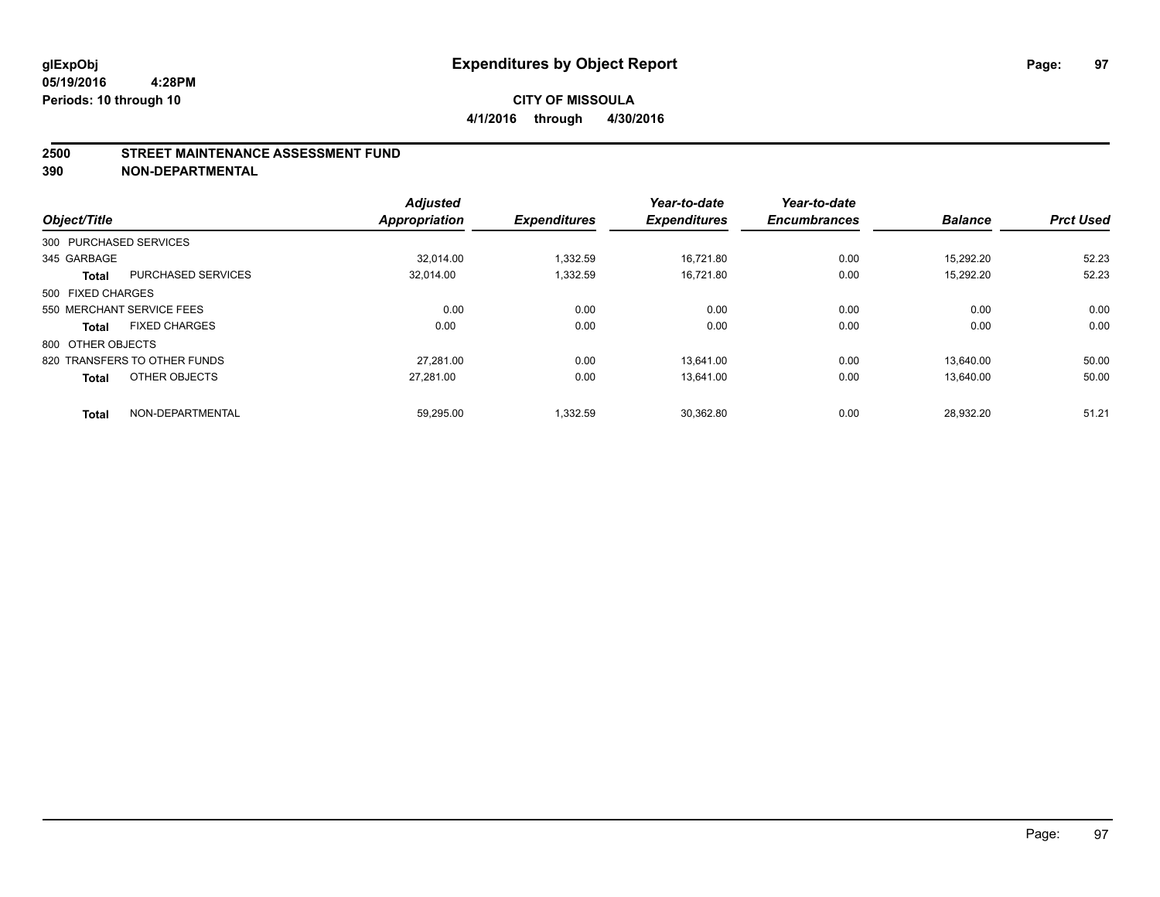#### **2500 STREET MAINTENANCE ASSESSMENT FUND**

**390 NON-DEPARTMENTAL**

| Object/Title      |                              | <b>Adjusted</b><br><b>Appropriation</b> | <b>Expenditures</b> | Year-to-date<br><b>Expenditures</b> | Year-to-date<br><b>Encumbrances</b> | <b>Balance</b> | <b>Prct Used</b> |
|-------------------|------------------------------|-----------------------------------------|---------------------|-------------------------------------|-------------------------------------|----------------|------------------|
|                   | 300 PURCHASED SERVICES       |                                         |                     |                                     |                                     |                |                  |
| 345 GARBAGE       |                              | 32.014.00                               | 1,332.59            | 16,721.80                           | 0.00                                | 15.292.20      | 52.23            |
| <b>Total</b>      | <b>PURCHASED SERVICES</b>    | 32,014.00                               | 1,332.59            | 16,721.80                           | 0.00                                | 15,292.20      | 52.23            |
| 500 FIXED CHARGES |                              |                                         |                     |                                     |                                     |                |                  |
|                   | 550 MERCHANT SERVICE FEES    | 0.00                                    | 0.00                | 0.00                                | 0.00                                | 0.00           | 0.00             |
| <b>Total</b>      | <b>FIXED CHARGES</b>         | 0.00                                    | 0.00                | 0.00                                | 0.00                                | 0.00           | 0.00             |
| 800 OTHER OBJECTS |                              |                                         |                     |                                     |                                     |                |                  |
|                   | 820 TRANSFERS TO OTHER FUNDS | 27.281.00                               | 0.00                | 13.641.00                           | 0.00                                | 13.640.00      | 50.00            |
| <b>Total</b>      | OTHER OBJECTS                | 27.281.00                               | 0.00                | 13.641.00                           | 0.00                                | 13.640.00      | 50.00            |
| <b>Total</b>      | NON-DEPARTMENTAL             | 59.295.00                               | 1.332.59            | 30.362.80                           | 0.00                                | 28.932.20      | 51.21            |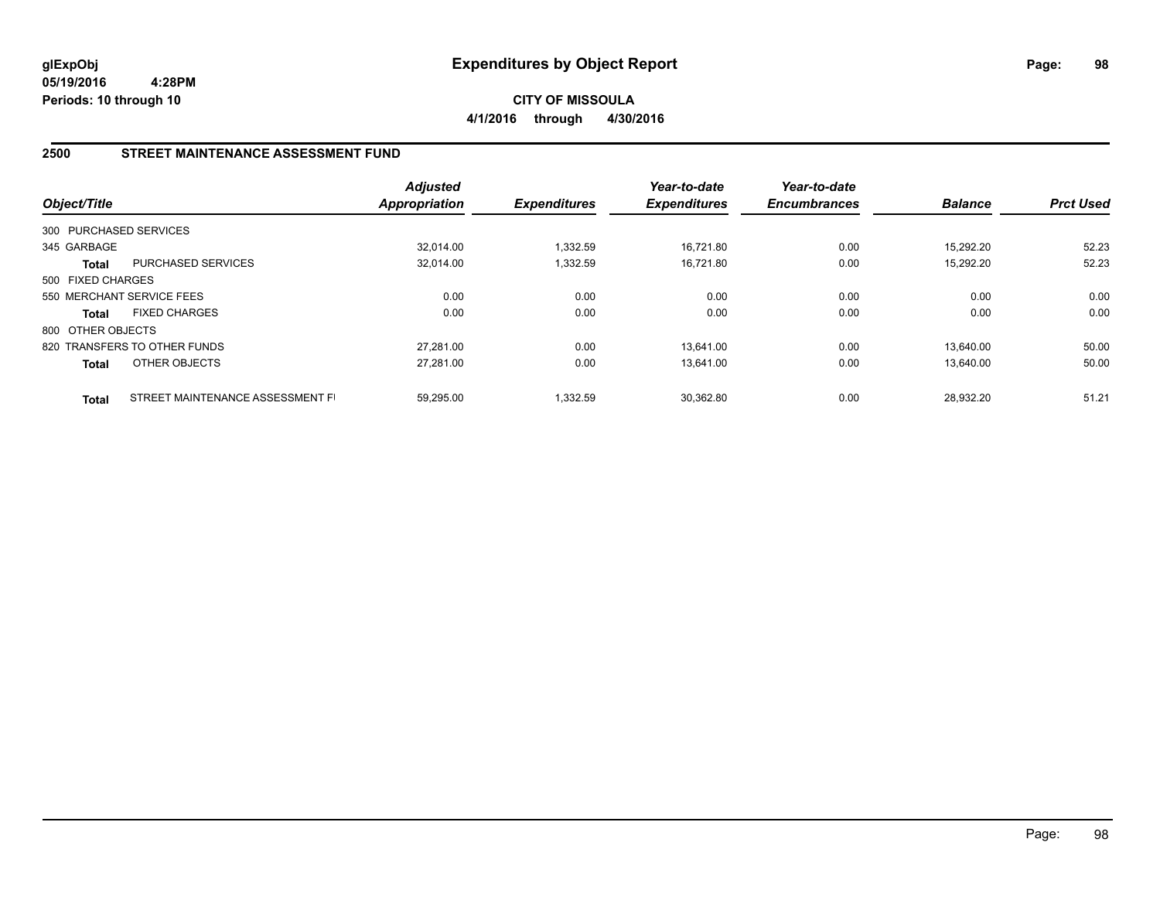**CITY OF MISSOULA 4/1/2016 through 4/30/2016**

### **2500 STREET MAINTENANCE ASSESSMENT FUND**

| Object/Title           |                                  | <b>Adjusted</b><br><b>Appropriation</b> | <b>Expenditures</b> | Year-to-date<br><b>Expenditures</b> | Year-to-date<br><b>Encumbrances</b> | <b>Balance</b> | <b>Prct Used</b> |
|------------------------|----------------------------------|-----------------------------------------|---------------------|-------------------------------------|-------------------------------------|----------------|------------------|
| 300 PURCHASED SERVICES |                                  |                                         |                     |                                     |                                     |                |                  |
| 345 GARBAGE            |                                  | 32.014.00                               | 1,332.59            | 16.721.80                           | 0.00                                | 15.292.20      | 52.23            |
| Total                  | <b>PURCHASED SERVICES</b>        | 32,014.00                               | 1,332.59            | 16,721.80                           | 0.00                                | 15.292.20      | 52.23            |
| 500 FIXED CHARGES      |                                  |                                         |                     |                                     |                                     |                |                  |
|                        | 550 MERCHANT SERVICE FEES        | 0.00                                    | 0.00                | 0.00                                | 0.00                                | 0.00           | 0.00             |
| <b>Total</b>           | <b>FIXED CHARGES</b>             | 0.00                                    | 0.00                | 0.00                                | 0.00                                | 0.00           | 0.00             |
| 800 OTHER OBJECTS      |                                  |                                         |                     |                                     |                                     |                |                  |
|                        | 820 TRANSFERS TO OTHER FUNDS     | 27.281.00                               | 0.00                | 13.641.00                           | 0.00                                | 13.640.00      | 50.00            |
| <b>Total</b>           | OTHER OBJECTS                    | 27,281.00                               | 0.00                | 13,641.00                           | 0.00                                | 13,640.00      | 50.00            |
| <b>Total</b>           | STREET MAINTENANCE ASSESSMENT FI | 59.295.00                               | 1.332.59            | 30.362.80                           | 0.00                                | 28.932.20      | 51.21            |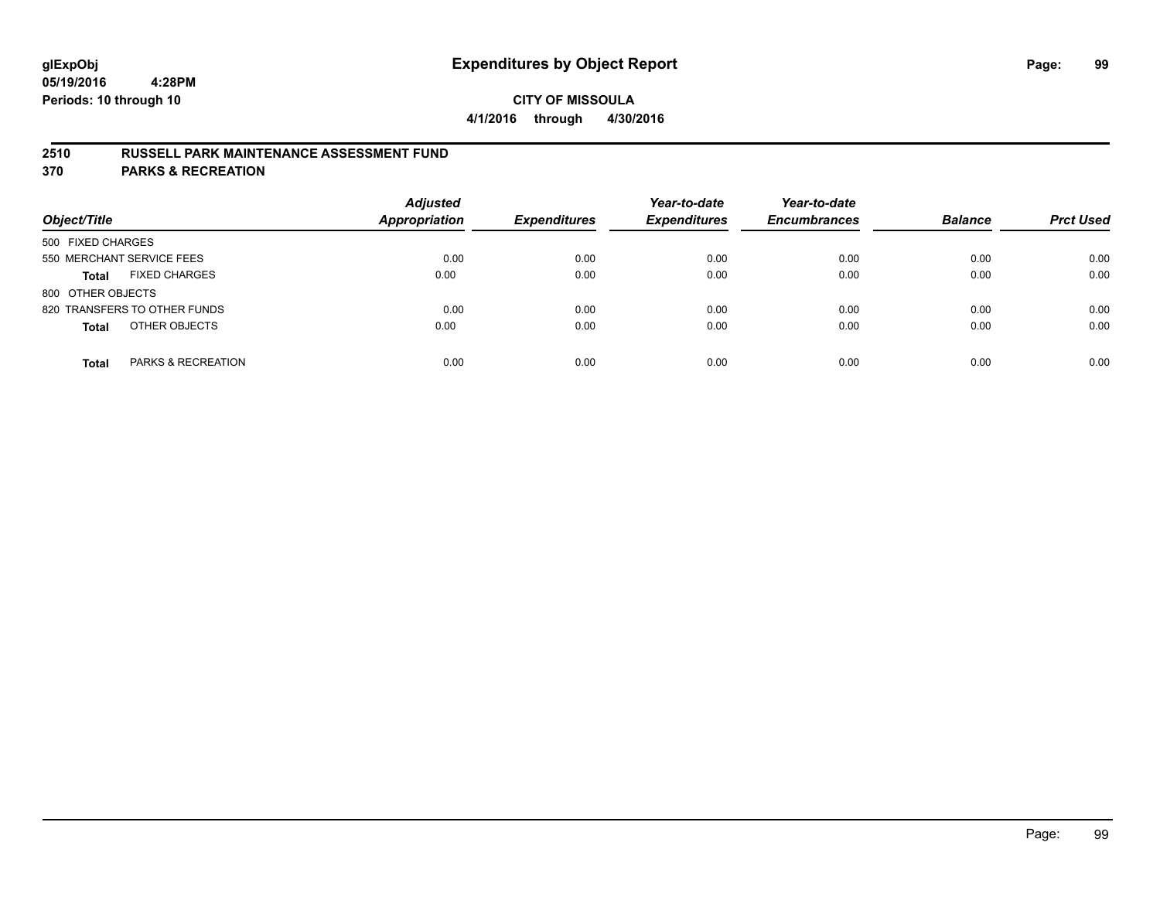#### **2510 RUSSELL PARK MAINTENANCE ASSESSMENT FUND**

**370 PARKS & RECREATION**

| Object/Title                         | <b>Adjusted</b><br><b>Appropriation</b> | <b>Expenditures</b> | Year-to-date<br><b>Expenditures</b> | Year-to-date<br><b>Encumbrances</b> | <b>Balance</b> | <b>Prct Used</b> |
|--------------------------------------|-----------------------------------------|---------------------|-------------------------------------|-------------------------------------|----------------|------------------|
| 500 FIXED CHARGES                    |                                         |                     |                                     |                                     |                |                  |
| 550 MERCHANT SERVICE FEES            | 0.00                                    | 0.00                | 0.00                                | 0.00                                | 0.00           | 0.00             |
| <b>FIXED CHARGES</b><br><b>Total</b> | 0.00                                    | 0.00                | 0.00                                | 0.00                                | 0.00           | 0.00             |
| 800 OTHER OBJECTS                    |                                         |                     |                                     |                                     |                |                  |
| 820 TRANSFERS TO OTHER FUNDS         | 0.00                                    | 0.00                | 0.00                                | 0.00                                | 0.00           | 0.00             |
| OTHER OBJECTS<br><b>Total</b>        | 0.00                                    | 0.00                | 0.00                                | 0.00                                | 0.00           | 0.00             |
| PARKS & RECREATION<br><b>Total</b>   | 0.00                                    | 0.00                | 0.00                                | 0.00                                | 0.00           | 0.00             |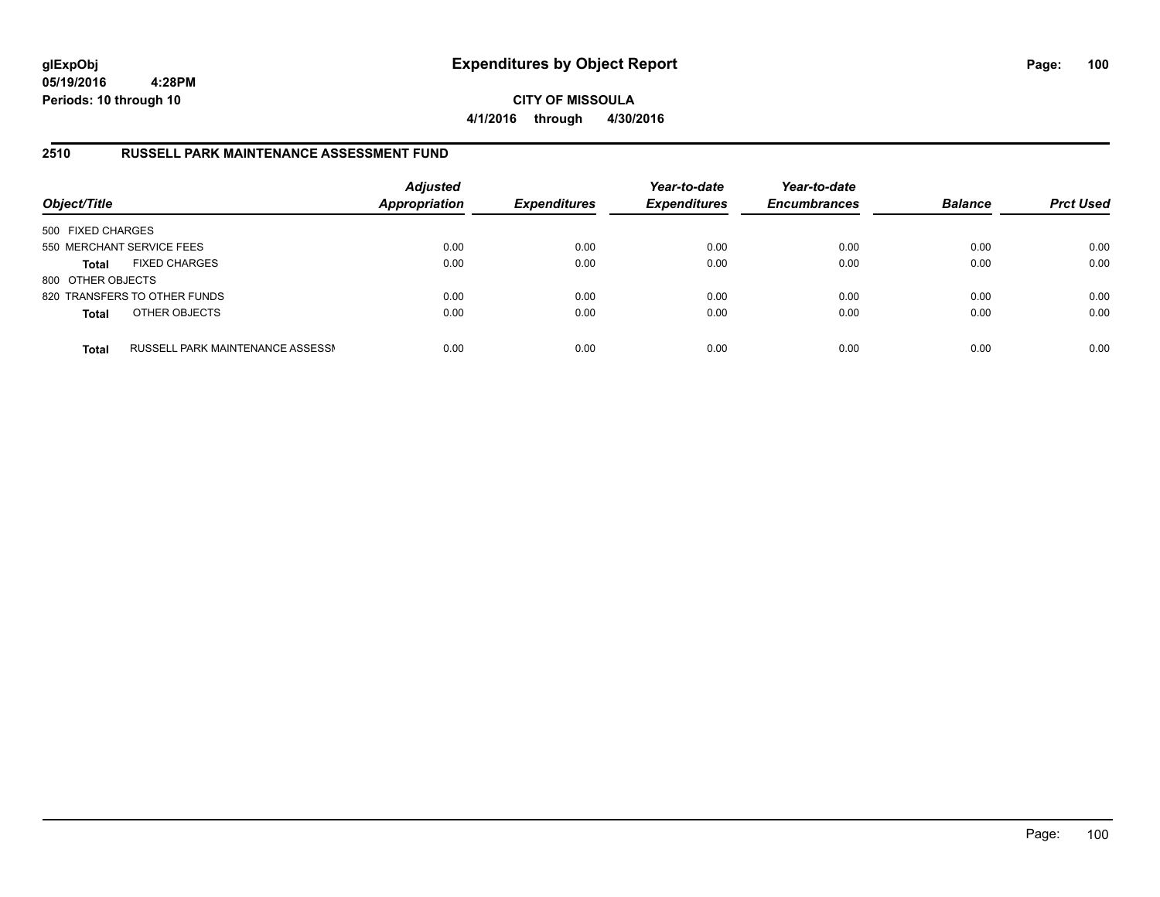**CITY OF MISSOULA 4/1/2016 through 4/30/2016**

#### **2510 RUSSELL PARK MAINTENANCE ASSESSMENT FUND**

| Object/Title              |                                  | <b>Adjusted</b><br><b>Appropriation</b> | <b>Expenditures</b> | Year-to-date<br><b>Expenditures</b> | Year-to-date<br><b>Encumbrances</b> | <b>Balance</b> | <b>Prct Used</b> |
|---------------------------|----------------------------------|-----------------------------------------|---------------------|-------------------------------------|-------------------------------------|----------------|------------------|
| 500 FIXED CHARGES         |                                  |                                         |                     |                                     |                                     |                |                  |
| 550 MERCHANT SERVICE FEES |                                  | 0.00                                    | 0.00                | 0.00                                | 0.00                                | 0.00           | 0.00             |
| <b>Total</b>              | <b>FIXED CHARGES</b>             | 0.00                                    | 0.00                | 0.00                                | 0.00                                | 0.00           | 0.00             |
| 800 OTHER OBJECTS         |                                  |                                         |                     |                                     |                                     |                |                  |
|                           | 820 TRANSFERS TO OTHER FUNDS     | 0.00                                    | 0.00                | 0.00                                | 0.00                                | 0.00           | 0.00             |
| <b>Total</b>              | OTHER OBJECTS                    | 0.00                                    | 0.00                | 0.00                                | 0.00                                | 0.00           | 0.00             |
| <b>Total</b>              | RUSSELL PARK MAINTENANCE ASSESSN | 0.00                                    | 0.00                | 0.00                                | 0.00                                | 0.00           | 0.00             |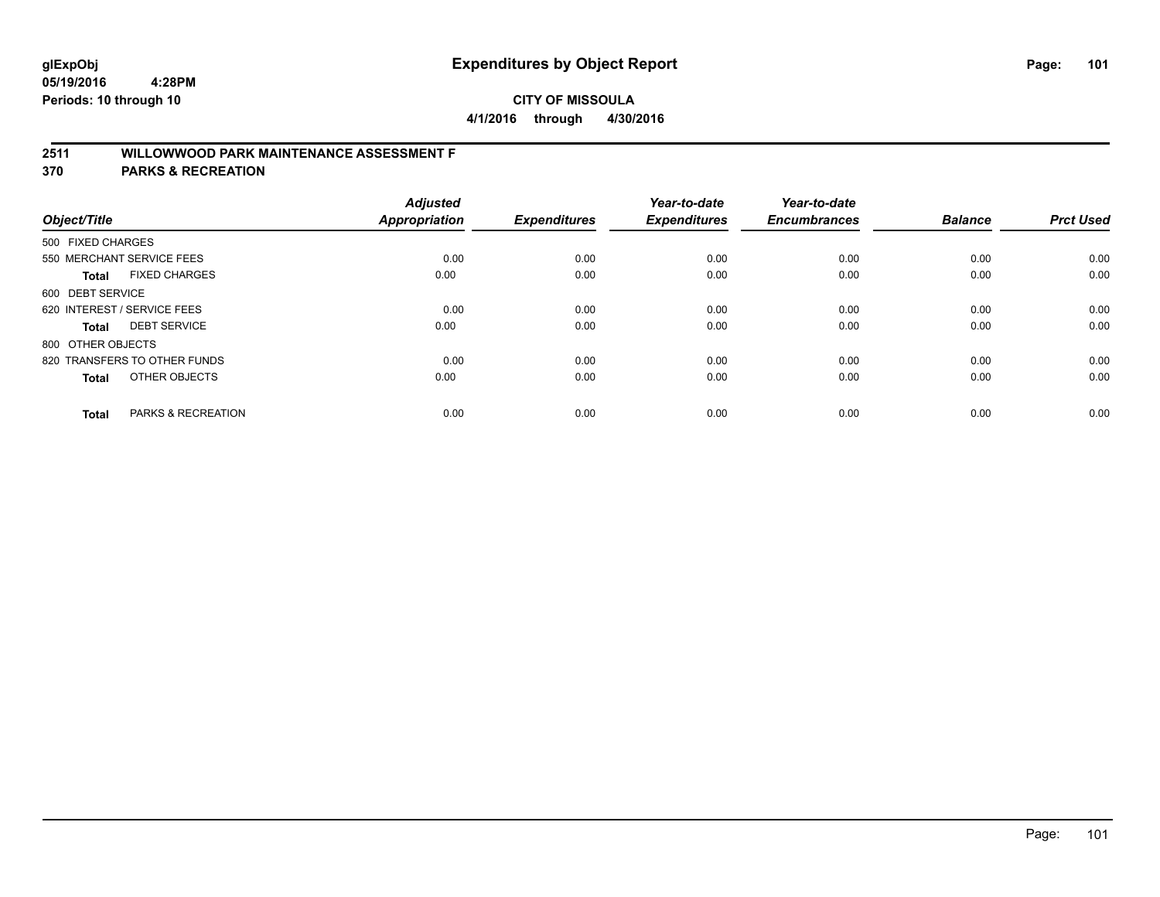## **2511 WILLOWWOOD PARK MAINTENANCE ASSESSMENT F**

**370 PARKS & RECREATION**

| Object/Title      |                               | <b>Adjusted</b><br><b>Appropriation</b> | <b>Expenditures</b> | Year-to-date<br><b>Expenditures</b> | Year-to-date<br><b>Encumbrances</b> | <b>Balance</b> | <b>Prct Used</b> |
|-------------------|-------------------------------|-----------------------------------------|---------------------|-------------------------------------|-------------------------------------|----------------|------------------|
| 500 FIXED CHARGES |                               |                                         |                     |                                     |                                     |                |                  |
|                   | 550 MERCHANT SERVICE FEES     | 0.00                                    | 0.00                | 0.00                                | 0.00                                | 0.00           | 0.00             |
| <b>Total</b>      | <b>FIXED CHARGES</b>          | 0.00                                    | 0.00                | 0.00                                | 0.00                                | 0.00           | 0.00             |
| 600 DEBT SERVICE  |                               |                                         |                     |                                     |                                     |                |                  |
|                   | 620 INTEREST / SERVICE FEES   | 0.00                                    | 0.00                | 0.00                                | 0.00                                | 0.00           | 0.00             |
| Total             | <b>DEBT SERVICE</b>           | 0.00                                    | 0.00                | 0.00                                | 0.00                                | 0.00           | 0.00             |
| 800 OTHER OBJECTS |                               |                                         |                     |                                     |                                     |                |                  |
|                   | 820 TRANSFERS TO OTHER FUNDS  | 0.00                                    | 0.00                | 0.00                                | 0.00                                | 0.00           | 0.00             |
| Total             | OTHER OBJECTS                 | 0.00                                    | 0.00                | 0.00                                | 0.00                                | 0.00           | 0.00             |
|                   |                               |                                         |                     |                                     |                                     |                |                  |
| <b>Total</b>      | <b>PARKS &amp; RECREATION</b> | 0.00                                    | 0.00                | 0.00                                | 0.00                                | 0.00           | 0.00             |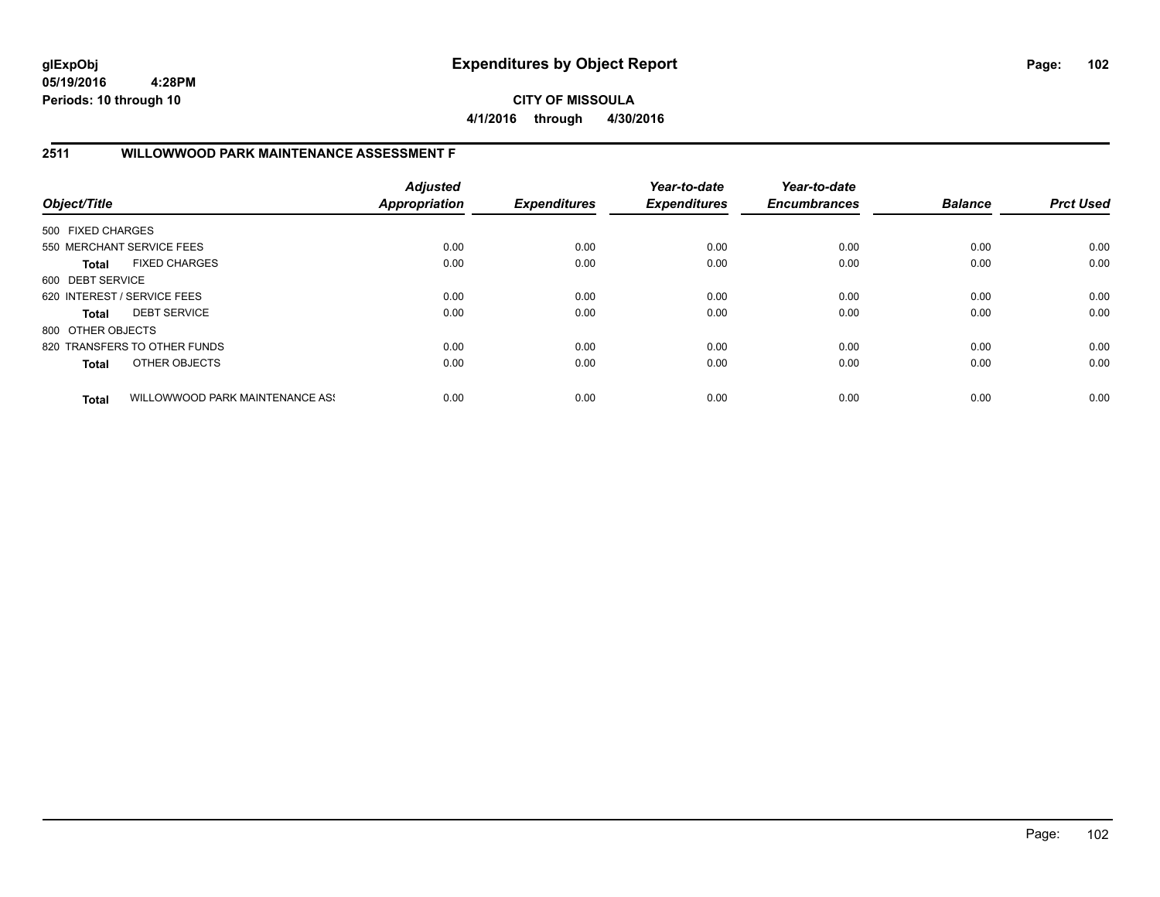#### **CITY OF MISSOULA 4/1/2016 through 4/30/2016**

## **2511 WILLOWWOOD PARK MAINTENANCE ASSESSMENT F**

| Object/Title      |                                 | <b>Adjusted</b><br><b>Appropriation</b> | <b>Expenditures</b> | Year-to-date<br><b>Expenditures</b> | Year-to-date<br><b>Encumbrances</b> | <b>Balance</b> | <b>Prct Used</b> |
|-------------------|---------------------------------|-----------------------------------------|---------------------|-------------------------------------|-------------------------------------|----------------|------------------|
| 500 FIXED CHARGES |                                 |                                         |                     |                                     |                                     |                |                  |
|                   | 550 MERCHANT SERVICE FEES       | 0.00                                    | 0.00                | 0.00                                | 0.00                                | 0.00           | 0.00             |
| Total             | <b>FIXED CHARGES</b>            | 0.00                                    | 0.00                | 0.00                                | 0.00                                | 0.00           | 0.00             |
| 600 DEBT SERVICE  |                                 |                                         |                     |                                     |                                     |                |                  |
|                   | 620 INTEREST / SERVICE FEES     | 0.00                                    | 0.00                | 0.00                                | 0.00                                | 0.00           | 0.00             |
| <b>Total</b>      | <b>DEBT SERVICE</b>             | 0.00                                    | 0.00                | 0.00                                | 0.00                                | 0.00           | 0.00             |
| 800 OTHER OBJECTS |                                 |                                         |                     |                                     |                                     |                |                  |
|                   | 820 TRANSFERS TO OTHER FUNDS    | 0.00                                    | 0.00                | 0.00                                | 0.00                                | 0.00           | 0.00             |
| <b>Total</b>      | OTHER OBJECTS                   | 0.00                                    | 0.00                | 0.00                                | 0.00                                | 0.00           | 0.00             |
| <b>Total</b>      | WILLOWWOOD PARK MAINTENANCE ASS | 0.00                                    | 0.00                | 0.00                                | 0.00                                | 0.00           | 0.00             |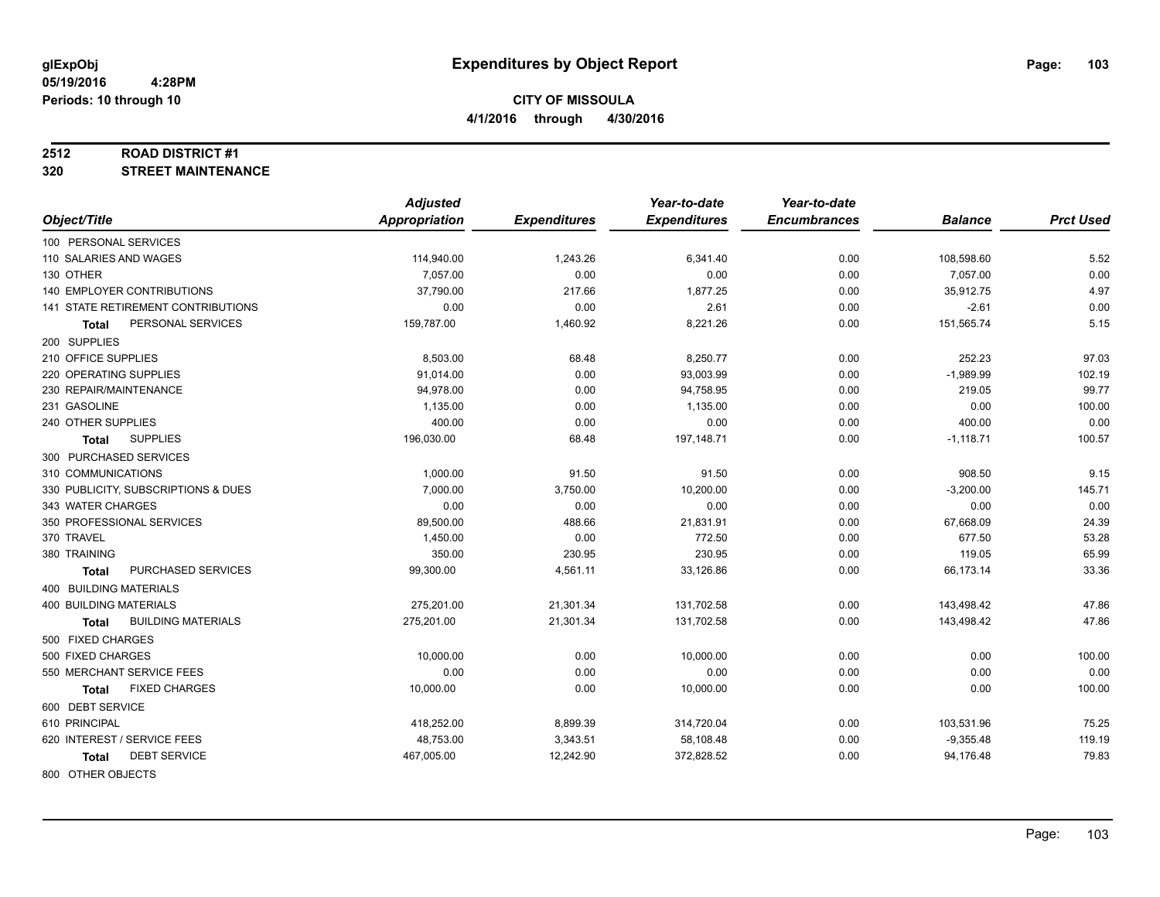#### **2512 ROAD DISTRICT #1**

**320 STREET MAINTENANCE**

|                                           | <b>Adjusted</b>      |                     | Year-to-date        | Year-to-date        |                |                  |
|-------------------------------------------|----------------------|---------------------|---------------------|---------------------|----------------|------------------|
| Object/Title                              | <b>Appropriation</b> | <b>Expenditures</b> | <b>Expenditures</b> | <b>Encumbrances</b> | <b>Balance</b> | <b>Prct Used</b> |
| 100 PERSONAL SERVICES                     |                      |                     |                     |                     |                |                  |
| 110 SALARIES AND WAGES                    | 114,940.00           | 1,243.26            | 6,341.40            | 0.00                | 108,598.60     | 5.52             |
| 130 OTHER                                 | 7.057.00             | 0.00                | 0.00                | 0.00                | 7,057.00       | 0.00             |
| <b>140 EMPLOYER CONTRIBUTIONS</b>         | 37,790.00            | 217.66              | 1,877.25            | 0.00                | 35,912.75      | 4.97             |
| <b>141 STATE RETIREMENT CONTRIBUTIONS</b> | 0.00                 | 0.00                | 2.61                | 0.00                | $-2.61$        | 0.00             |
| PERSONAL SERVICES<br>Total                | 159,787.00           | 1,460.92            | 8,221.26            | 0.00                | 151,565.74     | 5.15             |
| 200 SUPPLIES                              |                      |                     |                     |                     |                |                  |
| 210 OFFICE SUPPLIES                       | 8,503.00             | 68.48               | 8,250.77            | 0.00                | 252.23         | 97.03            |
| 220 OPERATING SUPPLIES                    | 91,014.00            | 0.00                | 93,003.99           | 0.00                | $-1,989.99$    | 102.19           |
| 230 REPAIR/MAINTENANCE                    | 94,978.00            | 0.00                | 94,758.95           | 0.00                | 219.05         | 99.77            |
| 231 GASOLINE                              | 1,135.00             | 0.00                | 1,135.00            | 0.00                | 0.00           | 100.00           |
| 240 OTHER SUPPLIES                        | 400.00               | 0.00                | 0.00                | 0.00                | 400.00         | 0.00             |
| <b>SUPPLIES</b><br>Total                  | 196,030.00           | 68.48               | 197,148.71          | 0.00                | $-1,118.71$    | 100.57           |
| 300 PURCHASED SERVICES                    |                      |                     |                     |                     |                |                  |
| 310 COMMUNICATIONS                        | 1,000.00             | 91.50               | 91.50               | 0.00                | 908.50         | 9.15             |
| 330 PUBLICITY, SUBSCRIPTIONS & DUES       | 7,000.00             | 3,750.00            | 10,200.00           | 0.00                | $-3,200.00$    | 145.71           |
| 343 WATER CHARGES                         | 0.00                 | 0.00                | 0.00                | 0.00                | 0.00           | 0.00             |
| 350 PROFESSIONAL SERVICES                 | 89,500.00            | 488.66              | 21,831.91           | 0.00                | 67,668.09      | 24.39            |
| 370 TRAVEL                                | 1,450.00             | 0.00                | 772.50              | 0.00                | 677.50         | 53.28            |
| 380 TRAINING                              | 350.00               | 230.95              | 230.95              | 0.00                | 119.05         | 65.99            |
| PURCHASED SERVICES<br><b>Total</b>        | 99,300.00            | 4,561.11            | 33,126.86           | 0.00                | 66,173.14      | 33.36            |
| 400 BUILDING MATERIALS                    |                      |                     |                     |                     |                |                  |
| <b>400 BUILDING MATERIALS</b>             | 275,201.00           | 21,301.34           | 131,702.58          | 0.00                | 143,498.42     | 47.86            |
| <b>BUILDING MATERIALS</b><br><b>Total</b> | 275,201.00           | 21,301.34           | 131,702.58          | 0.00                | 143,498.42     | 47.86            |
| 500 FIXED CHARGES                         |                      |                     |                     |                     |                |                  |
| 500 FIXED CHARGES                         | 10,000.00            | 0.00                | 10,000.00           | 0.00                | 0.00           | 100.00           |
| 550 MERCHANT SERVICE FEES                 | 0.00                 | 0.00                | 0.00                | 0.00                | 0.00           | 0.00             |
| <b>FIXED CHARGES</b><br>Total             | 10,000.00            | 0.00                | 10,000.00           | 0.00                | 0.00           | 100.00           |
| 600 DEBT SERVICE                          |                      |                     |                     |                     |                |                  |
| 610 PRINCIPAL                             | 418,252.00           | 8,899.39            | 314,720.04          | 0.00                | 103.531.96     | 75.25            |
| 620 INTEREST / SERVICE FEES               | 48,753.00            | 3,343.51            | 58,108.48           | 0.00                | $-9,355.48$    | 119.19           |
| <b>DEBT SERVICE</b><br>Total              | 467,005.00           | 12,242.90           | 372,828.52          | 0.00                | 94,176.48      | 79.83            |
| 800 OTHER OBJECTS                         |                      |                     |                     |                     |                |                  |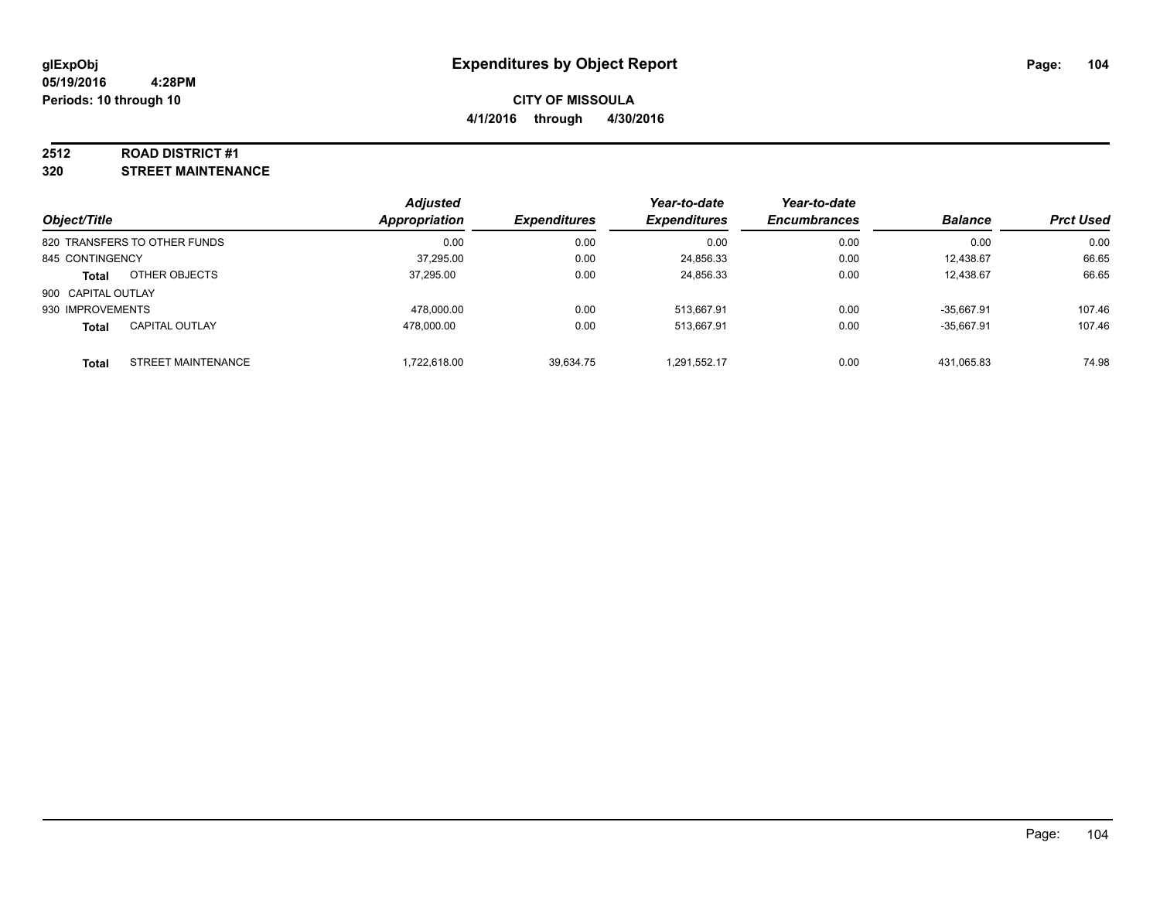#### **2512 ROAD DISTRICT #1**

**320 STREET MAINTENANCE**

| Object/Title       |                              | <b>Adjusted</b><br><b>Appropriation</b> | <b>Expenditures</b> | Year-to-date<br><b>Expenditures</b> | Year-to-date<br><b>Encumbrances</b> | <b>Balance</b> | <b>Prct Used</b> |
|--------------------|------------------------------|-----------------------------------------|---------------------|-------------------------------------|-------------------------------------|----------------|------------------|
|                    | 820 TRANSFERS TO OTHER FUNDS | 0.00                                    | 0.00                | 0.00                                | 0.00                                | 0.00           | 0.00             |
| 845 CONTINGENCY    |                              | 37,295.00                               | 0.00                | 24,856.33                           | 0.00                                | 12.438.67      | 66.65            |
| <b>Total</b>       | OTHER OBJECTS                | 37.295.00                               | 0.00                | 24,856.33                           | 0.00                                | 12,438.67      | 66.65            |
| 900 CAPITAL OUTLAY |                              |                                         |                     |                                     |                                     |                |                  |
| 930 IMPROVEMENTS   |                              | 478.000.00                              | 0.00                | 513.667.91                          | 0.00                                | $-35.667.91$   | 107.46           |
| <b>Total</b>       | <b>CAPITAL OUTLAY</b>        | 478.000.00                              | 0.00                | 513.667.91                          | 0.00                                | $-35.667.91$   | 107.46           |
| <b>Total</b>       | <b>STREET MAINTENANCE</b>    | 1,722,618.00                            | 39,634.75           | 1.291.552.17                        | 0.00                                | 431.065.83     | 74.98            |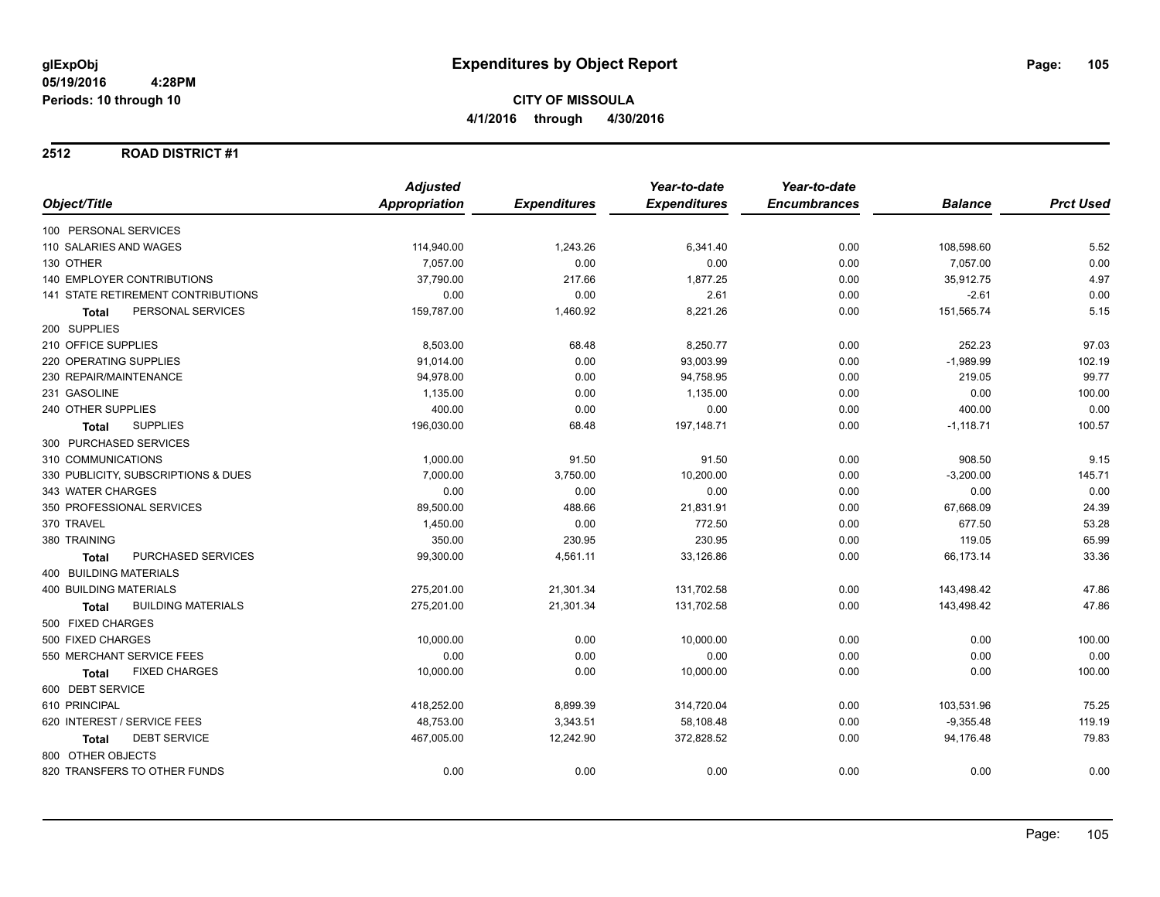#### **2512 ROAD DISTRICT #1**

|                                           | <b>Adjusted</b> |                     | Year-to-date        | Year-to-date        |                |                  |
|-------------------------------------------|-----------------|---------------------|---------------------|---------------------|----------------|------------------|
| Object/Title                              | Appropriation   | <b>Expenditures</b> | <b>Expenditures</b> | <b>Encumbrances</b> | <b>Balance</b> | <b>Prct Used</b> |
| 100 PERSONAL SERVICES                     |                 |                     |                     |                     |                |                  |
| 110 SALARIES AND WAGES                    | 114,940.00      | 1,243.26            | 6,341.40            | 0.00                | 108,598.60     | 5.52             |
| 130 OTHER                                 | 7,057.00        | 0.00                | 0.00                | 0.00                | 7,057.00       | 0.00             |
| 140 EMPLOYER CONTRIBUTIONS                | 37,790.00       | 217.66              | 1,877.25            | 0.00                | 35,912.75      | 4.97             |
| <b>141 STATE RETIREMENT CONTRIBUTIONS</b> | 0.00            | 0.00                | 2.61                | 0.00                | $-2.61$        | 0.00             |
| PERSONAL SERVICES<br>Total                | 159,787.00      | 1,460.92            | 8,221.26            | 0.00                | 151,565.74     | 5.15             |
| 200 SUPPLIES                              |                 |                     |                     |                     |                |                  |
| 210 OFFICE SUPPLIES                       | 8,503.00        | 68.48               | 8,250.77            | 0.00                | 252.23         | 97.03            |
| 220 OPERATING SUPPLIES                    | 91,014.00       | 0.00                | 93,003.99           | 0.00                | $-1,989.99$    | 102.19           |
| 230 REPAIR/MAINTENANCE                    | 94,978.00       | 0.00                | 94,758.95           | 0.00                | 219.05         | 99.77            |
| 231 GASOLINE                              | 1,135.00        | 0.00                | 1,135.00            | 0.00                | 0.00           | 100.00           |
| 240 OTHER SUPPLIES                        | 400.00          | 0.00                | 0.00                | 0.00                | 400.00         | 0.00             |
| <b>SUPPLIES</b><br><b>Total</b>           | 196,030.00      | 68.48               | 197,148.71          | 0.00                | $-1,118.71$    | 100.57           |
| 300 PURCHASED SERVICES                    |                 |                     |                     |                     |                |                  |
| 310 COMMUNICATIONS                        | 1,000.00        | 91.50               | 91.50               | 0.00                | 908.50         | 9.15             |
| 330 PUBLICITY, SUBSCRIPTIONS & DUES       | 7,000.00        | 3,750.00            | 10,200.00           | 0.00                | $-3,200.00$    | 145.71           |
| 343 WATER CHARGES                         | 0.00            | 0.00                | 0.00                | 0.00                | 0.00           | 0.00             |
| 350 PROFESSIONAL SERVICES                 | 89,500.00       | 488.66              | 21,831.91           | 0.00                | 67,668.09      | 24.39            |
| 370 TRAVEL                                | 1,450.00        | 0.00                | 772.50              | 0.00                | 677.50         | 53.28            |
| 380 TRAINING                              | 350.00          | 230.95              | 230.95              | 0.00                | 119.05         | 65.99            |
| PURCHASED SERVICES<br><b>Total</b>        | 99,300.00       | 4,561.11            | 33,126.86           | 0.00                | 66,173.14      | 33.36            |
| 400 BUILDING MATERIALS                    |                 |                     |                     |                     |                |                  |
| <b>400 BUILDING MATERIALS</b>             | 275,201.00      | 21,301.34           | 131,702.58          | 0.00                | 143,498.42     | 47.86            |
| <b>BUILDING MATERIALS</b><br>Total        | 275,201.00      | 21,301.34           | 131,702.58          | 0.00                | 143,498.42     | 47.86            |
| 500 FIXED CHARGES                         |                 |                     |                     |                     |                |                  |
| 500 FIXED CHARGES                         | 10,000.00       | 0.00                | 10,000.00           | 0.00                | 0.00           | 100.00           |
| 550 MERCHANT SERVICE FEES                 | 0.00            | 0.00                | 0.00                | 0.00                | 0.00           | 0.00             |
| <b>FIXED CHARGES</b><br>Total             | 10,000.00       | 0.00                | 10,000.00           | 0.00                | 0.00           | 100.00           |
| 600 DEBT SERVICE                          |                 |                     |                     |                     |                |                  |
| 610 PRINCIPAL                             | 418,252.00      | 8,899.39            | 314,720.04          | 0.00                | 103,531.96     | 75.25            |
| 620 INTEREST / SERVICE FEES               | 48,753.00       | 3,343.51            | 58,108.48           | 0.00                | $-9,355.48$    | 119.19           |
| <b>DEBT SERVICE</b><br><b>Total</b>       | 467,005.00      | 12,242.90           | 372,828.52          | 0.00                | 94,176.48      | 79.83            |
| 800 OTHER OBJECTS                         |                 |                     |                     |                     |                |                  |
| 820 TRANSFERS TO OTHER FUNDS              | 0.00            | 0.00                | 0.00                | 0.00                | 0.00           | 0.00             |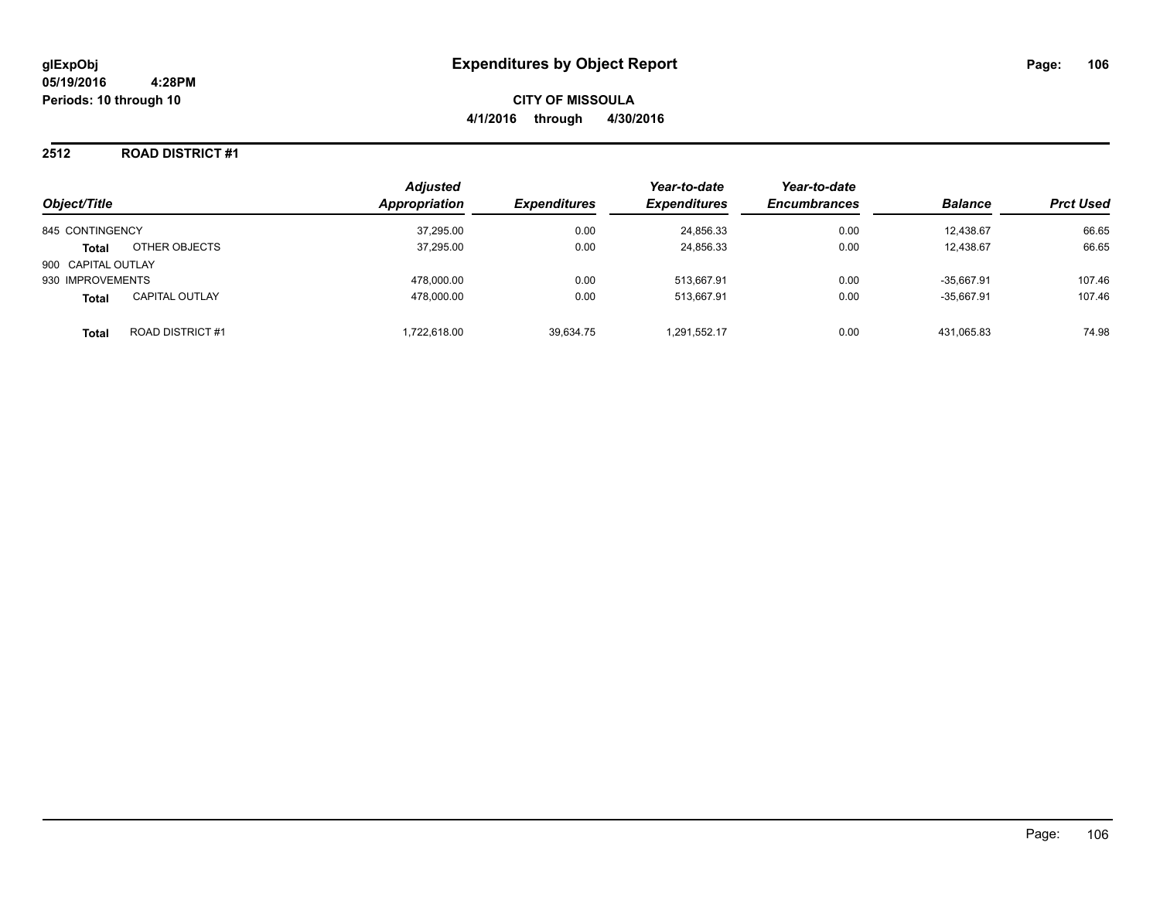#### **2512 ROAD DISTRICT #1**

|                                       | <b>Adjusted</b> |                     | Year-to-date        | Year-to-date        |                |                  |
|---------------------------------------|-----------------|---------------------|---------------------|---------------------|----------------|------------------|
| Object/Title                          | Appropriation   | <b>Expenditures</b> | <b>Expenditures</b> | <b>Encumbrances</b> | <b>Balance</b> | <b>Prct Used</b> |
| 845 CONTINGENCY                       | 37.295.00       | 0.00                | 24.856.33           | 0.00                | 12.438.67      | 66.65            |
| OTHER OBJECTS<br><b>Total</b>         | 37,295.00       | 0.00                | 24,856.33           | 0.00                | 12,438.67      | 66.65            |
| 900 CAPITAL OUTLAY                    |                 |                     |                     |                     |                |                  |
| 930 IMPROVEMENTS                      | 478,000.00      | 0.00                | 513.667.91          | 0.00                | $-35.667.91$   | 107.46           |
| <b>CAPITAL OUTLAY</b><br><b>Total</b> | 478,000.00      | 0.00                | 513,667.91          | 0.00                | $-35,667.91$   | 107.46           |
| <b>ROAD DISTRICT #1</b><br>Total      | .722.618.00     | 39,634.75           | 1,291,552.17        | 0.00                | 431.065.83     | 74.98            |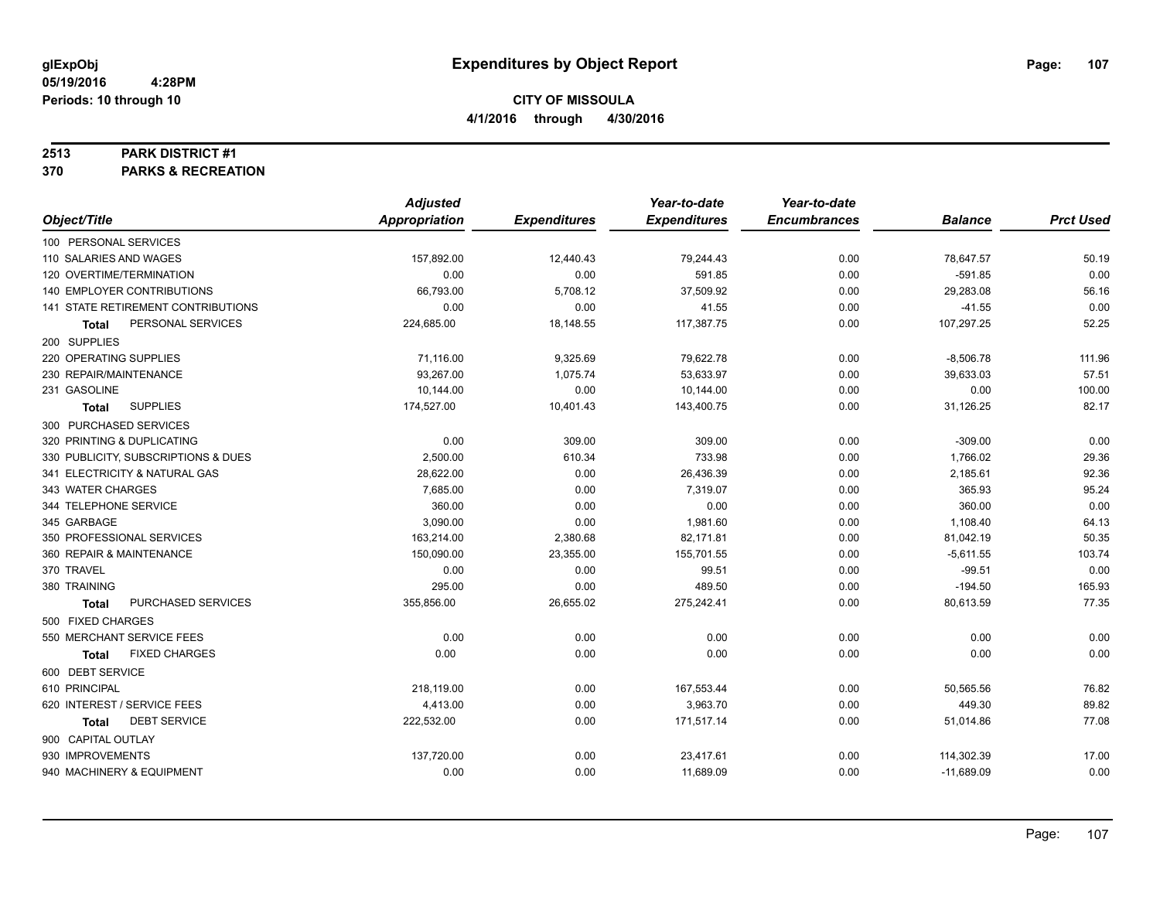#### **2513 PARK DISTRICT #1**

**370 PARKS & RECREATION**

|                                      | <b>Adjusted</b>      |                     | Year-to-date        | Year-to-date        |                |                  |
|--------------------------------------|----------------------|---------------------|---------------------|---------------------|----------------|------------------|
| Object/Title                         | <b>Appropriation</b> | <b>Expenditures</b> | <b>Expenditures</b> | <b>Encumbrances</b> | <b>Balance</b> | <b>Prct Used</b> |
| 100 PERSONAL SERVICES                |                      |                     |                     |                     |                |                  |
| 110 SALARIES AND WAGES               | 157,892.00           | 12,440.43           | 79,244.43           | 0.00                | 78,647.57      | 50.19            |
| 120 OVERTIME/TERMINATION             | 0.00                 | 0.00                | 591.85              | 0.00                | $-591.85$      | 0.00             |
| 140 EMPLOYER CONTRIBUTIONS           | 66,793.00            | 5,708.12            | 37,509.92           | 0.00                | 29,283.08      | 56.16            |
| 141 STATE RETIREMENT CONTRIBUTIONS   | 0.00                 | 0.00                | 41.55               | 0.00                | $-41.55$       | 0.00             |
| PERSONAL SERVICES<br><b>Total</b>    | 224,685.00           | 18,148.55           | 117,387.75          | 0.00                | 107,297.25     | 52.25            |
| 200 SUPPLIES                         |                      |                     |                     |                     |                |                  |
| 220 OPERATING SUPPLIES               | 71,116.00            | 9,325.69            | 79,622.78           | 0.00                | $-8,506.78$    | 111.96           |
| 230 REPAIR/MAINTENANCE               | 93,267.00            | 1,075.74            | 53,633.97           | 0.00                | 39,633.03      | 57.51            |
| 231 GASOLINE                         | 10,144.00            | 0.00                | 10,144.00           | 0.00                | 0.00           | 100.00           |
| <b>SUPPLIES</b><br><b>Total</b>      | 174,527.00           | 10,401.43           | 143,400.75          | 0.00                | 31,126.25      | 82.17            |
| 300 PURCHASED SERVICES               |                      |                     |                     |                     |                |                  |
| 320 PRINTING & DUPLICATING           | 0.00                 | 309.00              | 309.00              | 0.00                | $-309.00$      | 0.00             |
| 330 PUBLICITY, SUBSCRIPTIONS & DUES  | 2,500.00             | 610.34              | 733.98              | 0.00                | 1,766.02       | 29.36            |
| 341 ELECTRICITY & NATURAL GAS        | 28,622.00            | 0.00                | 26,436.39           | 0.00                | 2,185.61       | 92.36            |
| 343 WATER CHARGES                    | 7,685.00             | 0.00                | 7,319.07            | 0.00                | 365.93         | 95.24            |
| 344 TELEPHONE SERVICE                | 360.00               | 0.00                | 0.00                | 0.00                | 360.00         | 0.00             |
| 345 GARBAGE                          | 3,090.00             | 0.00                | 1,981.60            | 0.00                | 1,108.40       | 64.13            |
| 350 PROFESSIONAL SERVICES            | 163,214.00           | 2,380.68            | 82,171.81           | 0.00                | 81,042.19      | 50.35            |
| 360 REPAIR & MAINTENANCE             | 150.090.00           | 23,355.00           | 155,701.55          | 0.00                | $-5,611.55$    | 103.74           |
| 370 TRAVEL                           | 0.00                 | 0.00                | 99.51               | 0.00                | $-99.51$       | 0.00             |
| 380 TRAINING                         | 295.00               | 0.00                | 489.50              | 0.00                | $-194.50$      | 165.93           |
| PURCHASED SERVICES<br>Total          | 355,856.00           | 26,655.02           | 275,242.41          | 0.00                | 80,613.59      | 77.35            |
| 500 FIXED CHARGES                    |                      |                     |                     |                     |                |                  |
| 550 MERCHANT SERVICE FEES            | 0.00                 | 0.00                | 0.00                | 0.00                | 0.00           | 0.00             |
| <b>FIXED CHARGES</b><br><b>Total</b> | 0.00                 | 0.00                | 0.00                | 0.00                | 0.00           | 0.00             |
| 600 DEBT SERVICE                     |                      |                     |                     |                     |                |                  |
| 610 PRINCIPAL                        | 218,119.00           | 0.00                | 167,553.44          | 0.00                | 50,565.56      | 76.82            |
| 620 INTEREST / SERVICE FEES          | 4,413.00             | 0.00                | 3,963.70            | 0.00                | 449.30         | 89.82            |
| <b>DEBT SERVICE</b><br><b>Total</b>  | 222,532.00           | 0.00                | 171,517.14          | 0.00                | 51,014.86      | 77.08            |
| 900 CAPITAL OUTLAY                   |                      |                     |                     |                     |                |                  |
| 930 IMPROVEMENTS                     | 137,720.00           | 0.00                | 23,417.61           | 0.00                | 114,302.39     | 17.00            |
| 940 MACHINERY & EQUIPMENT            | 0.00                 | 0.00                | 11,689.09           | 0.00                | $-11,689.09$   | 0.00             |
|                                      |                      |                     |                     |                     |                |                  |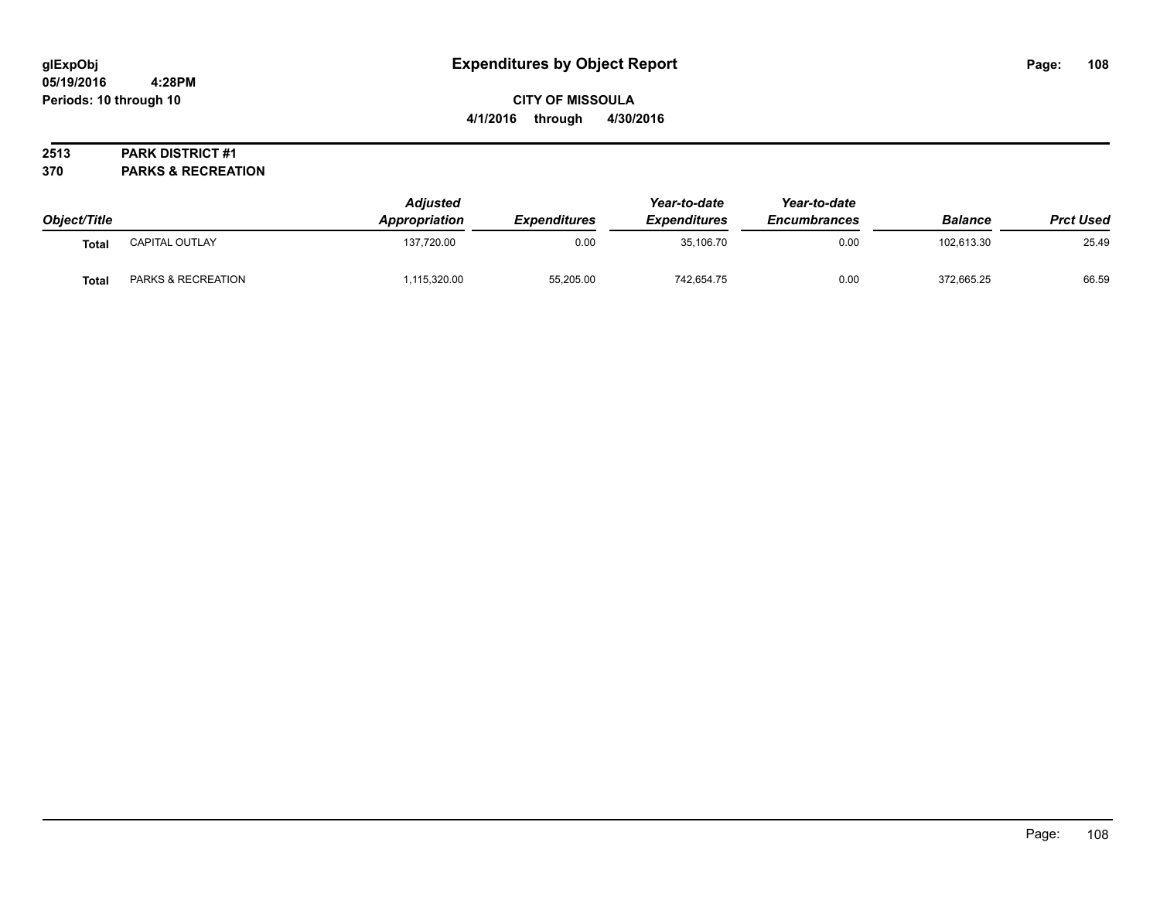## **CITY OF MISSOULA 4/1/2016 through 4/30/2016**

#### **2513 PARK DISTRICT #1**

**370 PARKS & RECREATION**

| Object/Title |                    | <b>Adjusted</b><br>Appropriation | Expenditures | Year-to-date<br><b>Expenditures</b> | Year-to-date<br><b>Encumbrances</b> | <b>Balance</b> | <b>Prct Used</b> |
|--------------|--------------------|----------------------------------|--------------|-------------------------------------|-------------------------------------|----------------|------------------|
| Total        | CAPITAL OUTLAY     | 137,720.00                       | 0.00         | 35,106.70                           | 0.00                                | 102.613.30     | 25.49            |
| Total        | PARKS & RECREATION | ,115,320.00                      | 55,205.00    | 742.654.75                          | 0.00                                | 372.665.25     | 66.59            |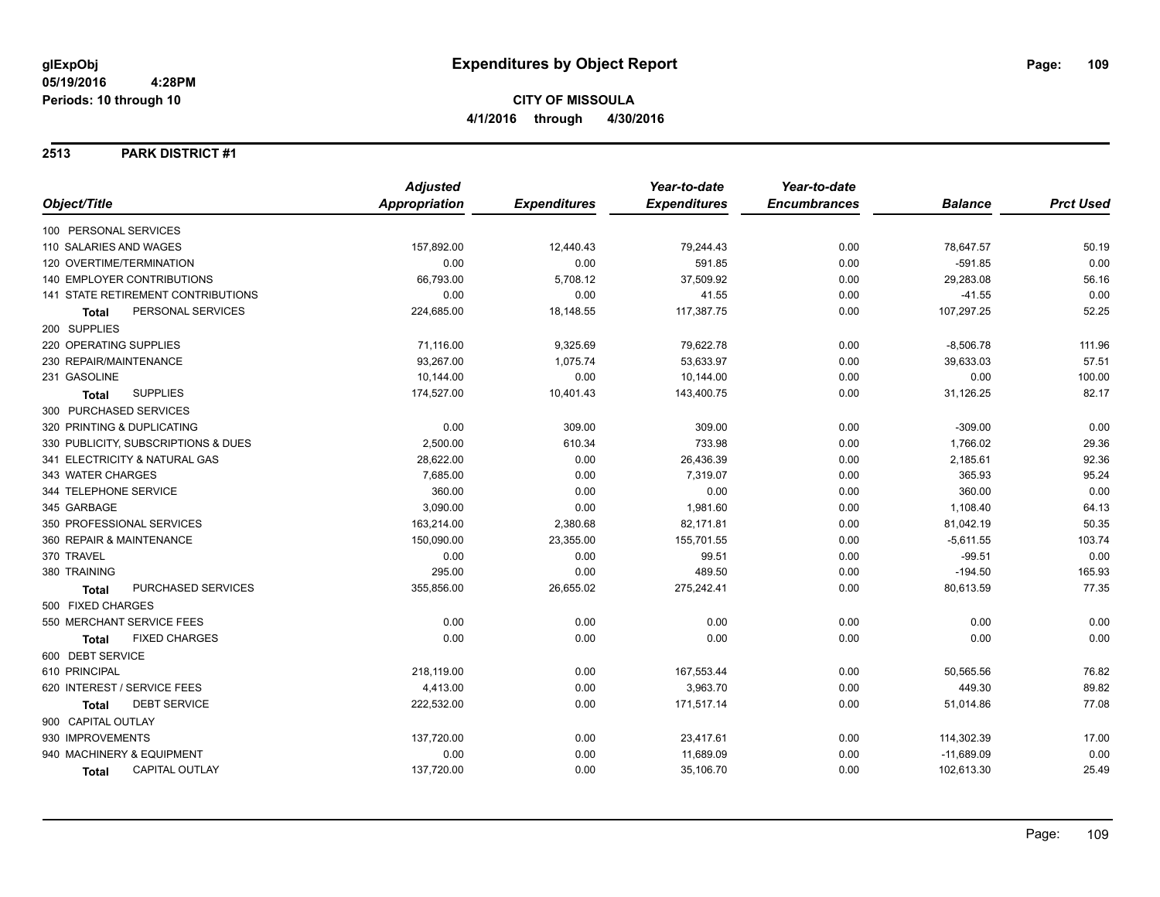### **2513 PARK DISTRICT #1**

|                                       | <b>Adjusted</b> |                     | Year-to-date        | Year-to-date        |                |                  |
|---------------------------------------|-----------------|---------------------|---------------------|---------------------|----------------|------------------|
| Object/Title                          | Appropriation   | <b>Expenditures</b> | <b>Expenditures</b> | <b>Encumbrances</b> | <b>Balance</b> | <b>Prct Used</b> |
| 100 PERSONAL SERVICES                 |                 |                     |                     |                     |                |                  |
| 110 SALARIES AND WAGES                | 157,892.00      | 12,440.43           | 79,244.43           | 0.00                | 78,647.57      | 50.19            |
| 120 OVERTIME/TERMINATION              | 0.00            | 0.00                | 591.85              | 0.00                | $-591.85$      | 0.00             |
| 140 EMPLOYER CONTRIBUTIONS            | 66,793.00       | 5,708.12            | 37,509.92           | 0.00                | 29,283.08      | 56.16            |
| 141 STATE RETIREMENT CONTRIBUTIONS    | 0.00            | 0.00                | 41.55               | 0.00                | $-41.55$       | 0.00             |
| PERSONAL SERVICES<br><b>Total</b>     | 224,685.00      | 18,148.55           | 117,387.75          | 0.00                | 107,297.25     | 52.25            |
| 200 SUPPLIES                          |                 |                     |                     |                     |                |                  |
| 220 OPERATING SUPPLIES                | 71,116.00       | 9,325.69            | 79,622.78           | 0.00                | $-8,506.78$    | 111.96           |
| 230 REPAIR/MAINTENANCE                | 93,267.00       | 1,075.74            | 53,633.97           | 0.00                | 39,633.03      | 57.51            |
| 231 GASOLINE                          | 10,144.00       | 0.00                | 10,144.00           | 0.00                | 0.00           | 100.00           |
| <b>SUPPLIES</b><br><b>Total</b>       | 174,527.00      | 10,401.43           | 143,400.75          | 0.00                | 31,126.25      | 82.17            |
| 300 PURCHASED SERVICES                |                 |                     |                     |                     |                |                  |
| 320 PRINTING & DUPLICATING            | 0.00            | 309.00              | 309.00              | 0.00                | $-309.00$      | 0.00             |
| 330 PUBLICITY, SUBSCRIPTIONS & DUES   | 2,500.00        | 610.34              | 733.98              | 0.00                | 1,766.02       | 29.36            |
| 341 ELECTRICITY & NATURAL GAS         | 28,622.00       | 0.00                | 26,436.39           | 0.00                | 2,185.61       | 92.36            |
| 343 WATER CHARGES                     | 7,685.00        | 0.00                | 7,319.07            | 0.00                | 365.93         | 95.24            |
| 344 TELEPHONE SERVICE                 | 360.00          | 0.00                | 0.00                | 0.00                | 360.00         | 0.00             |
| 345 GARBAGE                           | 3,090.00        | 0.00                | 1,981.60            | 0.00                | 1,108.40       | 64.13            |
| 350 PROFESSIONAL SERVICES             | 163,214.00      | 2,380.68            | 82,171.81           | 0.00                | 81,042.19      | 50.35            |
| 360 REPAIR & MAINTENANCE              | 150,090.00      | 23,355.00           | 155,701.55          | 0.00                | $-5,611.55$    | 103.74           |
| 370 TRAVEL                            | 0.00            | 0.00                | 99.51               | 0.00                | $-99.51$       | 0.00             |
| 380 TRAINING                          | 295.00          | 0.00                | 489.50              | 0.00                | $-194.50$      | 165.93           |
| PURCHASED SERVICES<br><b>Total</b>    | 355,856.00      | 26,655.02           | 275,242.41          | 0.00                | 80,613.59      | 77.35            |
| 500 FIXED CHARGES                     |                 |                     |                     |                     |                |                  |
| 550 MERCHANT SERVICE FEES             | 0.00            | 0.00                | 0.00                | 0.00                | 0.00           | 0.00             |
| <b>FIXED CHARGES</b><br><b>Total</b>  | 0.00            | 0.00                | 0.00                | 0.00                | 0.00           | 0.00             |
| 600 DEBT SERVICE                      |                 |                     |                     |                     |                |                  |
| 610 PRINCIPAL                         | 218,119.00      | 0.00                | 167,553.44          | 0.00                | 50,565.56      | 76.82            |
| 620 INTEREST / SERVICE FEES           | 4,413.00        | 0.00                | 3,963.70            | 0.00                | 449.30         | 89.82            |
| <b>DEBT SERVICE</b><br>Total          | 222,532.00      | 0.00                | 171,517.14          | 0.00                | 51,014.86      | 77.08            |
| 900 CAPITAL OUTLAY                    |                 |                     |                     |                     |                |                  |
| 930 IMPROVEMENTS                      | 137,720.00      | 0.00                | 23,417.61           | 0.00                | 114,302.39     | 17.00            |
| 940 MACHINERY & EQUIPMENT             | 0.00            | 0.00                | 11,689.09           | 0.00                | $-11,689.09$   | 0.00             |
| <b>CAPITAL OUTLAY</b><br><b>Total</b> | 137,720.00      | 0.00                | 35,106.70           | 0.00                | 102,613.30     | 25.49            |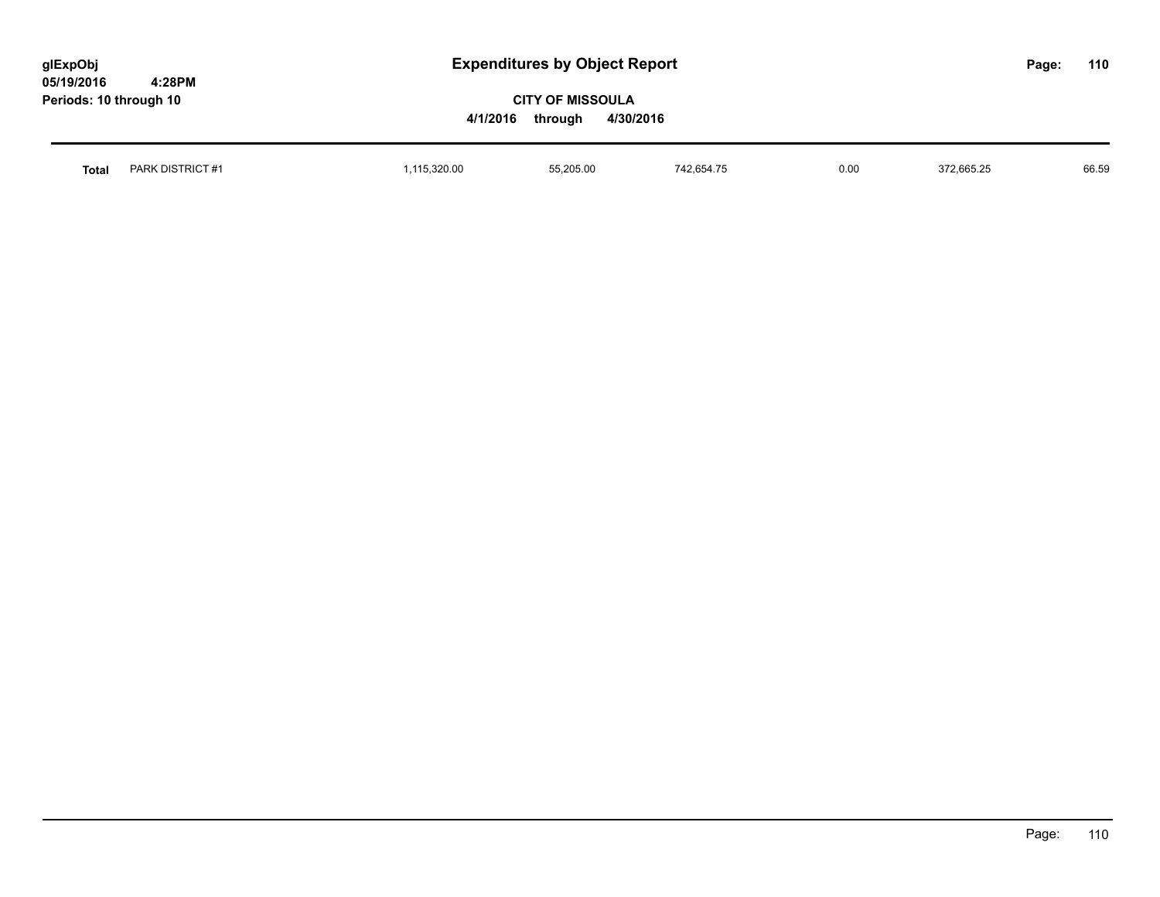| glExpObj               |        |
|------------------------|--------|
| 05/19/2016             | 4:28PM |
| Periods: 10 through 10 |        |

| Total | PARK DISTRICT #1 | ,115,320.00 | 55,205.00<br>the contract of the contract of the contract of the contract of the contract of the contract of the contract of | 742,654.75<br>the contract of the contract of the contract of the contract of the contract of the contract of the contract of | 0.00 | 372,665.25 | 66.59 |
|-------|------------------|-------------|------------------------------------------------------------------------------------------------------------------------------|-------------------------------------------------------------------------------------------------------------------------------|------|------------|-------|
|       |                  |             |                                                                                                                              |                                                                                                                               |      |            |       |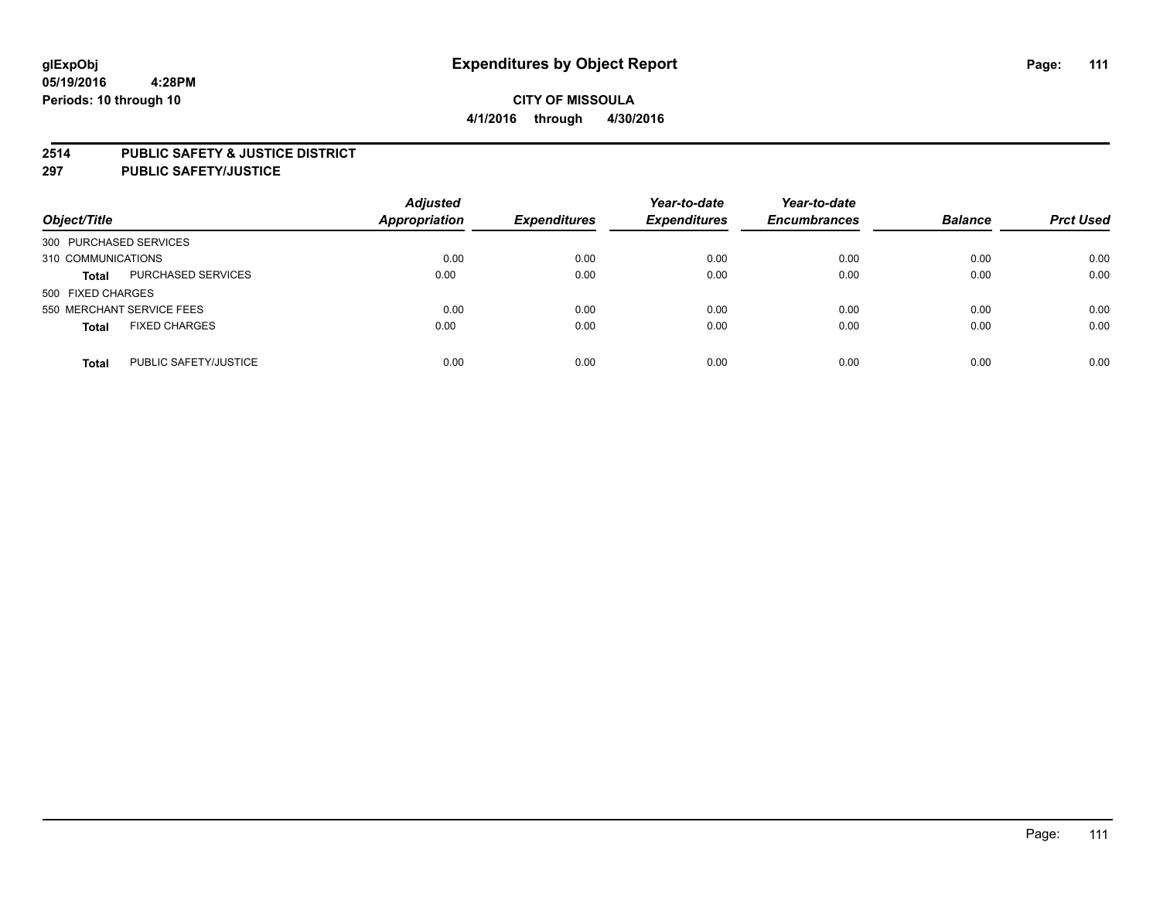#### **2514 PUBLIC SAFETY & JUSTICE DISTRICT**

**297 PUBLIC SAFETY/JUSTICE**

| Object/Title                          | <b>Adjusted</b><br><b>Appropriation</b> | <b>Expenditures</b> | Year-to-date<br><b>Expenditures</b> | Year-to-date<br><b>Encumbrances</b> | <b>Balance</b> | <b>Prct Used</b> |
|---------------------------------------|-----------------------------------------|---------------------|-------------------------------------|-------------------------------------|----------------|------------------|
| 300 PURCHASED SERVICES                |                                         |                     |                                     |                                     |                |                  |
| 310 COMMUNICATIONS                    | 0.00                                    | 0.00                | 0.00                                | 0.00                                | 0.00           | 0.00             |
| PURCHASED SERVICES<br><b>Total</b>    | 0.00                                    | 0.00                | 0.00                                | 0.00                                | 0.00           | 0.00             |
| 500 FIXED CHARGES                     |                                         |                     |                                     |                                     |                |                  |
| 550 MERCHANT SERVICE FEES             | 0.00                                    | 0.00                | 0.00                                | 0.00                                | 0.00           | 0.00             |
| <b>FIXED CHARGES</b><br><b>Total</b>  | 0.00                                    | 0.00                | 0.00                                | 0.00                                | 0.00           | 0.00             |
| PUBLIC SAFETY/JUSTICE<br><b>Total</b> | 0.00                                    | 0.00                | 0.00                                | 0.00                                | 0.00           | 0.00             |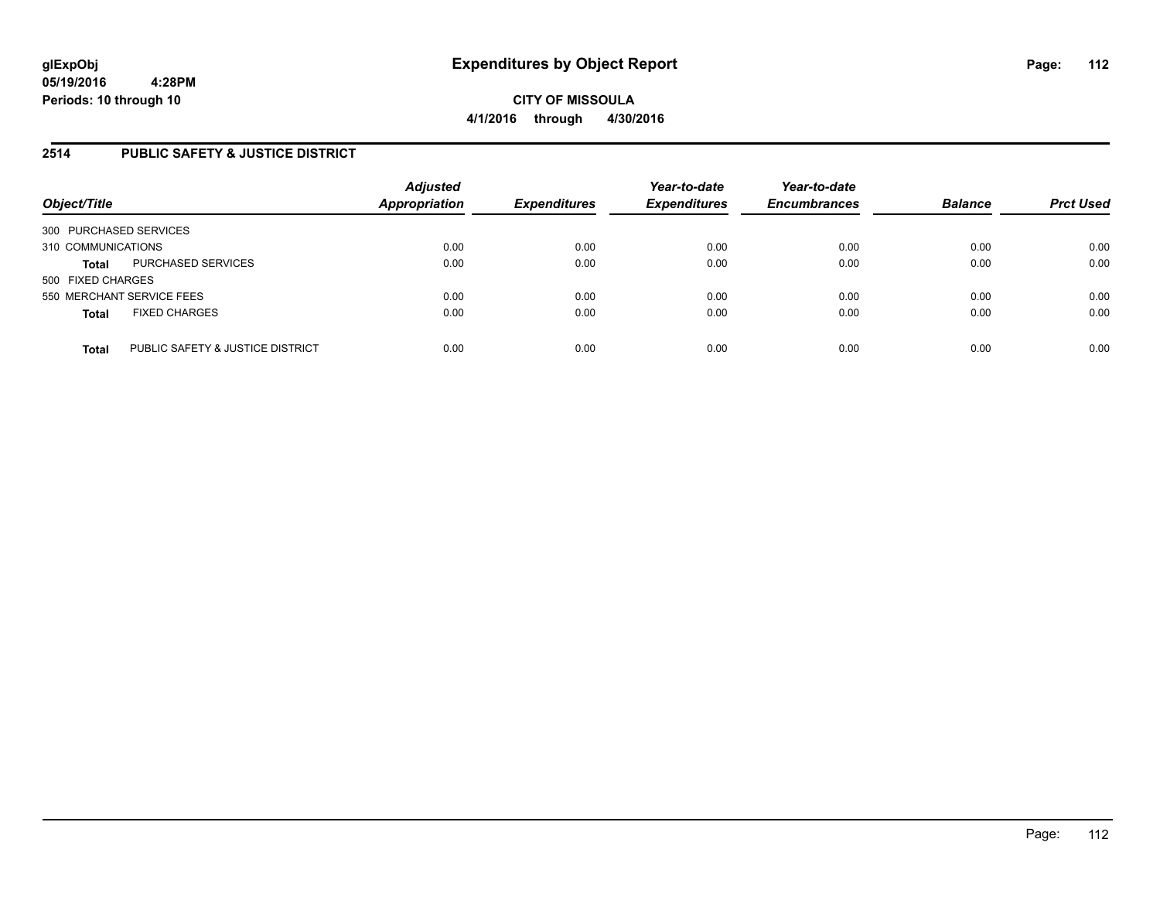# **2514 PUBLIC SAFETY & JUSTICE DISTRICT**

| Object/Title              |                                  | <b>Adjusted</b><br><b>Appropriation</b> | <b>Expenditures</b> | Year-to-date<br><b>Expenditures</b> | Year-to-date<br><b>Encumbrances</b> | <b>Balance</b> | <b>Prct Used</b> |
|---------------------------|----------------------------------|-----------------------------------------|---------------------|-------------------------------------|-------------------------------------|----------------|------------------|
| 300 PURCHASED SERVICES    |                                  |                                         |                     |                                     |                                     |                |                  |
| 310 COMMUNICATIONS        |                                  | 0.00                                    | 0.00                | 0.00                                | 0.00                                | 0.00           | 0.00             |
| <b>Total</b>              | PURCHASED SERVICES               | 0.00                                    | 0.00                | 0.00                                | 0.00                                | 0.00           | 0.00             |
| 500 FIXED CHARGES         |                                  |                                         |                     |                                     |                                     |                |                  |
| 550 MERCHANT SERVICE FEES |                                  | 0.00                                    | 0.00                | 0.00                                | 0.00                                | 0.00           | 0.00             |
| <b>Total</b>              | <b>FIXED CHARGES</b>             | 0.00                                    | 0.00                | 0.00                                | 0.00                                | 0.00           | 0.00             |
| <b>Total</b>              | PUBLIC SAFETY & JUSTICE DISTRICT | 0.00                                    | 0.00                | 0.00                                | 0.00                                | 0.00           | 0.00             |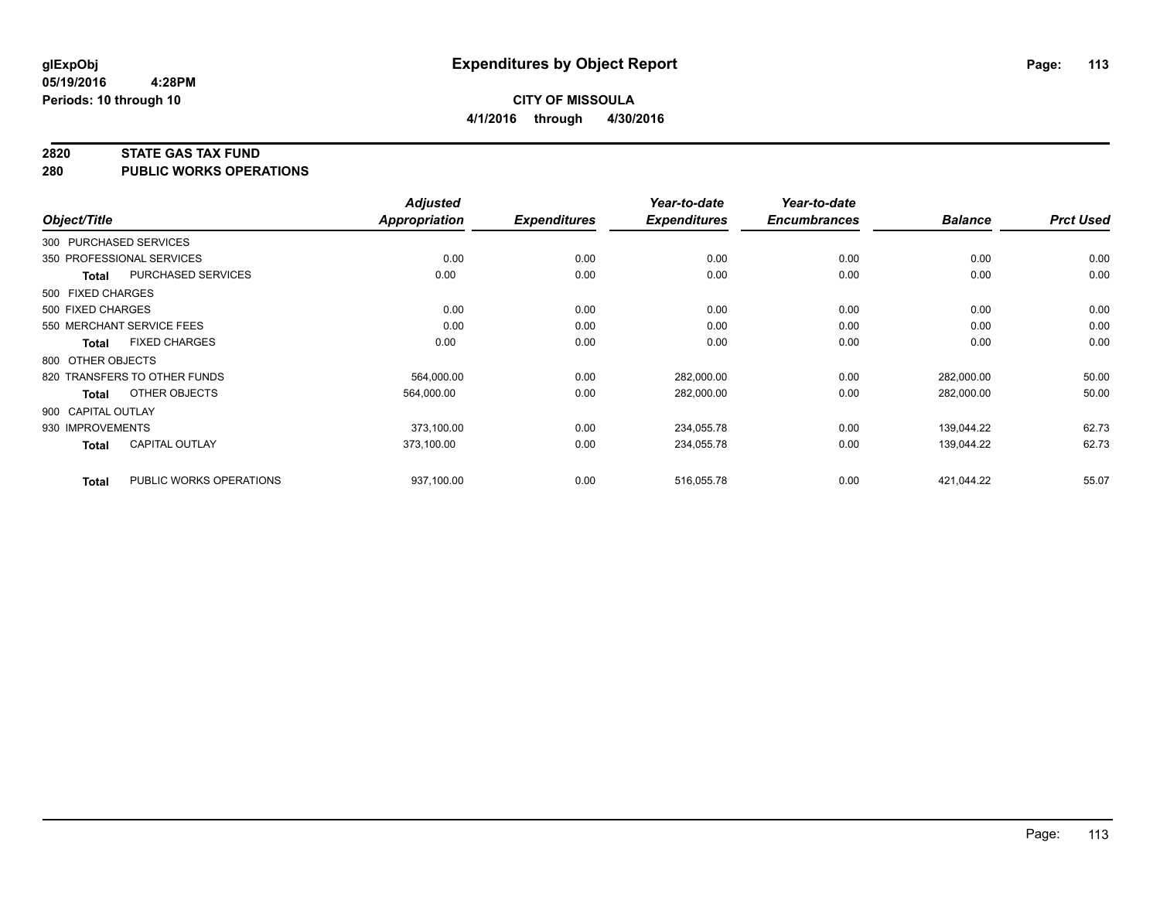#### **2820 STATE GAS TAX FUND**

**280 PUBLIC WORKS OPERATIONS**

|                    |                              | <b>Adjusted</b> |                     | Year-to-date        | Year-to-date        |                |                  |
|--------------------|------------------------------|-----------------|---------------------|---------------------|---------------------|----------------|------------------|
| Object/Title       |                              | Appropriation   | <b>Expenditures</b> | <b>Expenditures</b> | <b>Encumbrances</b> | <b>Balance</b> | <b>Prct Used</b> |
|                    | 300 PURCHASED SERVICES       |                 |                     |                     |                     |                |                  |
|                    | 350 PROFESSIONAL SERVICES    | 0.00            | 0.00                | 0.00                | 0.00                | 0.00           | 0.00             |
| Total              | PURCHASED SERVICES           | 0.00            | 0.00                | 0.00                | 0.00                | 0.00           | 0.00             |
| 500 FIXED CHARGES  |                              |                 |                     |                     |                     |                |                  |
| 500 FIXED CHARGES  |                              | 0.00            | 0.00                | 0.00                | 0.00                | 0.00           | 0.00             |
|                    | 550 MERCHANT SERVICE FEES    | 0.00            | 0.00                | 0.00                | 0.00                | 0.00           | 0.00             |
| Total              | <b>FIXED CHARGES</b>         | 0.00            | 0.00                | 0.00                | 0.00                | 0.00           | 0.00             |
| 800 OTHER OBJECTS  |                              |                 |                     |                     |                     |                |                  |
|                    | 820 TRANSFERS TO OTHER FUNDS | 564,000.00      | 0.00                | 282,000.00          | 0.00                | 282,000.00     | 50.00            |
| <b>Total</b>       | OTHER OBJECTS                | 564,000.00      | 0.00                | 282,000.00          | 0.00                | 282,000.00     | 50.00            |
| 900 CAPITAL OUTLAY |                              |                 |                     |                     |                     |                |                  |
| 930 IMPROVEMENTS   |                              | 373,100.00      | 0.00                | 234,055.78          | 0.00                | 139,044.22     | 62.73            |
| Total              | <b>CAPITAL OUTLAY</b>        | 373.100.00      | 0.00                | 234,055.78          | 0.00                | 139.044.22     | 62.73            |
| <b>Total</b>       | PUBLIC WORKS OPERATIONS      | 937,100.00      | 0.00                | 516,055.78          | 0.00                | 421,044.22     | 55.07            |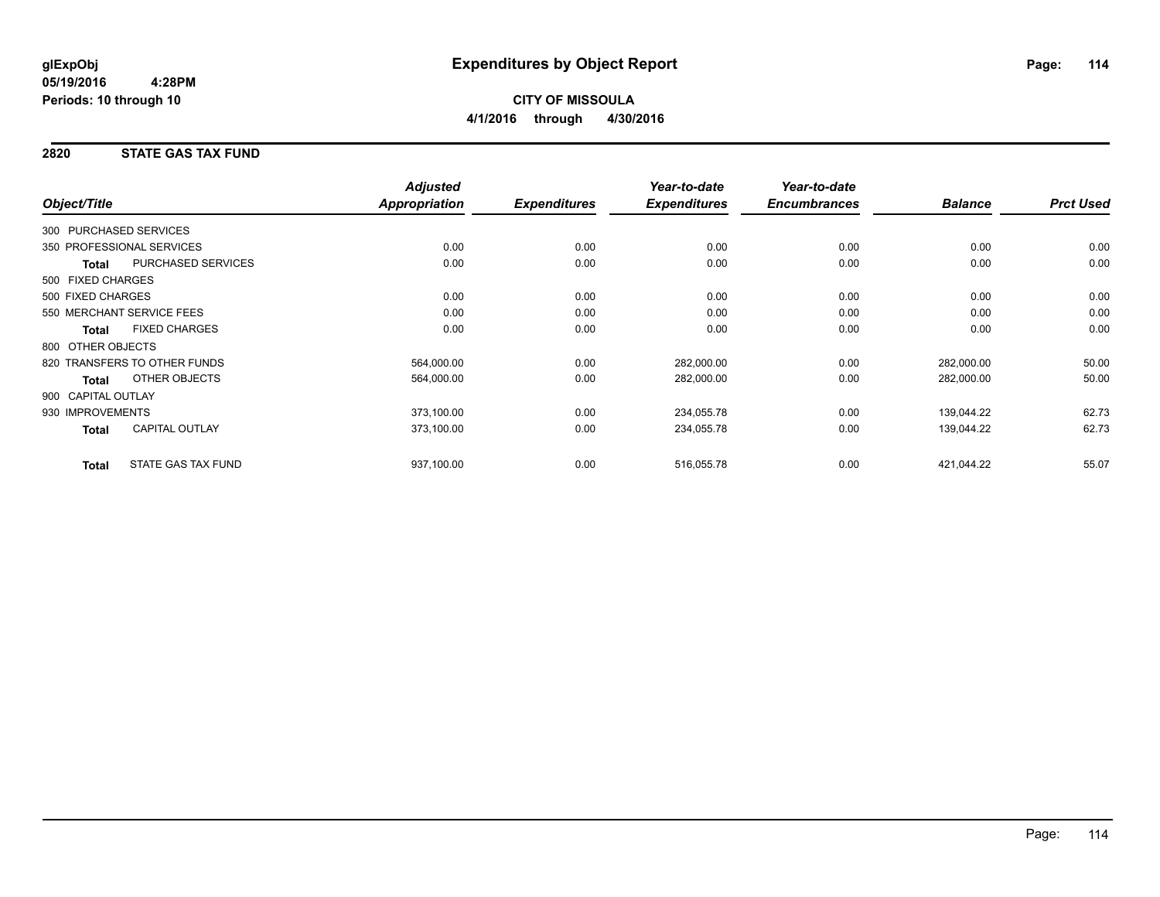# **2820 STATE GAS TAX FUND**

|                    |                              | <b>Adjusted</b> |                     | Year-to-date        | Year-to-date        |                |                  |
|--------------------|------------------------------|-----------------|---------------------|---------------------|---------------------|----------------|------------------|
| Object/Title       |                              | Appropriation   | <b>Expenditures</b> | <b>Expenditures</b> | <b>Encumbrances</b> | <b>Balance</b> | <b>Prct Used</b> |
|                    | 300 PURCHASED SERVICES       |                 |                     |                     |                     |                |                  |
|                    | 350 PROFESSIONAL SERVICES    | 0.00            | 0.00                | 0.00                | 0.00                | 0.00           | 0.00             |
| Total              | PURCHASED SERVICES           | 0.00            | 0.00                | 0.00                | 0.00                | 0.00           | 0.00             |
| 500 FIXED CHARGES  |                              |                 |                     |                     |                     |                |                  |
| 500 FIXED CHARGES  |                              | 0.00            | 0.00                | 0.00                | 0.00                | 0.00           | 0.00             |
|                    | 550 MERCHANT SERVICE FEES    | 0.00            | 0.00                | 0.00                | 0.00                | 0.00           | 0.00             |
| <b>Total</b>       | <b>FIXED CHARGES</b>         | 0.00            | 0.00                | 0.00                | 0.00                | 0.00           | 0.00             |
| 800 OTHER OBJECTS  |                              |                 |                     |                     |                     |                |                  |
|                    | 820 TRANSFERS TO OTHER FUNDS | 564,000.00      | 0.00                | 282,000.00          | 0.00                | 282,000.00     | 50.00            |
| <b>Total</b>       | OTHER OBJECTS                | 564,000.00      | 0.00                | 282,000.00          | 0.00                | 282,000.00     | 50.00            |
| 900 CAPITAL OUTLAY |                              |                 |                     |                     |                     |                |                  |
| 930 IMPROVEMENTS   |                              | 373,100.00      | 0.00                | 234,055.78          | 0.00                | 139,044.22     | 62.73            |
| Total              | <b>CAPITAL OUTLAY</b>        | 373,100.00      | 0.00                | 234,055.78          | 0.00                | 139,044.22     | 62.73            |
| <b>Total</b>       | STATE GAS TAX FUND           | 937,100.00      | 0.00                | 516,055.78          | 0.00                | 421,044.22     | 55.07            |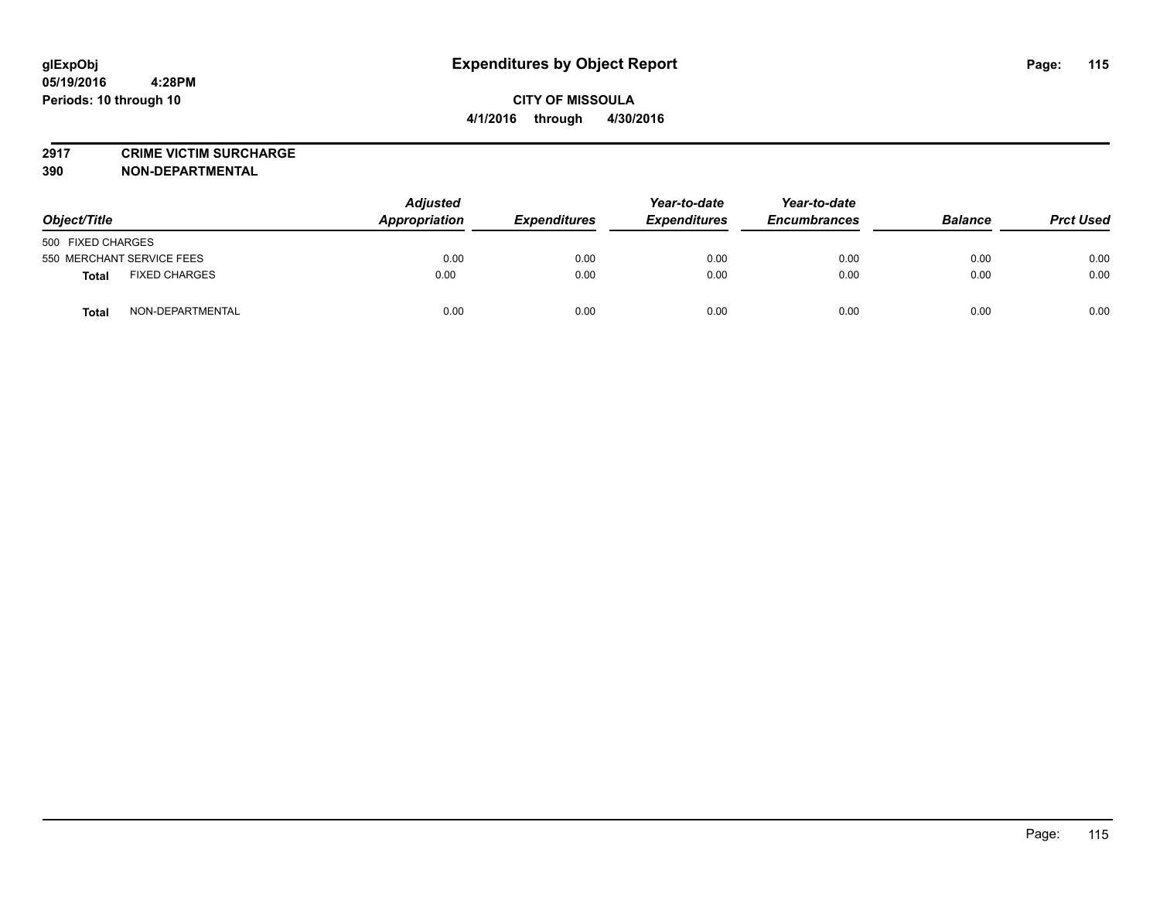# **2917 CRIME VICTIM SURCHARGE**

**390 NON-DEPARTMENTAL**

| Object/Title                         | <b>Adjusted</b><br>Appropriation | <b>Expenditures</b> | Year-to-date<br><b>Expenditures</b> | Year-to-date<br><b>Encumbrances</b> | <b>Balance</b> | <b>Prct Used</b> |
|--------------------------------------|----------------------------------|---------------------|-------------------------------------|-------------------------------------|----------------|------------------|
| 500 FIXED CHARGES                    |                                  |                     |                                     |                                     |                |                  |
| 550 MERCHANT SERVICE FEES            | 0.00                             | 0.00                | 0.00                                | 0.00                                | 0.00           | 0.00             |
| <b>FIXED CHARGES</b><br><b>Total</b> | 0.00                             | 0.00                | 0.00                                | 0.00                                | 0.00           | 0.00             |
| NON-DEPARTMENTAL<br><b>Total</b>     | 0.00                             | 0.00                | 0.00                                | 0.00                                | 0.00           | 0.00             |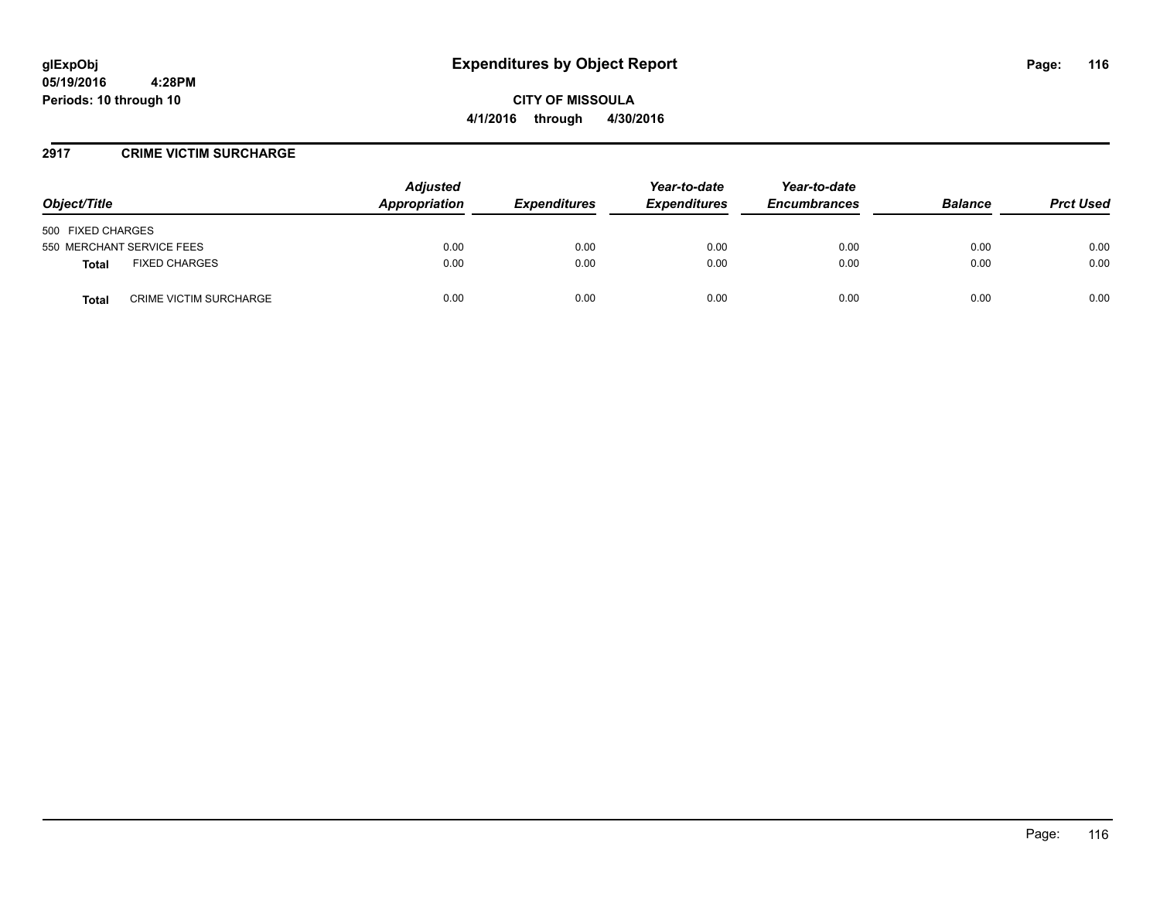#### **2917 CRIME VICTIM SURCHARGE**

| Object/Title                                  | <b>Adjusted</b><br>Appropriation | <i><b>Expenditures</b></i> | Year-to-date<br><b>Expenditures</b> | Year-to-date<br><b>Encumbrances</b> | <b>Balance</b> | <b>Prct Used</b> |
|-----------------------------------------------|----------------------------------|----------------------------|-------------------------------------|-------------------------------------|----------------|------------------|
| 500 FIXED CHARGES                             |                                  |                            |                                     |                                     |                |                  |
| 550 MERCHANT SERVICE FEES                     | 0.00                             | 0.00                       | 0.00                                | 0.00                                | 0.00           | 0.00             |
| <b>FIXED CHARGES</b><br>Total                 | 0.00                             | 0.00                       | 0.00                                | 0.00                                | 0.00           | 0.00             |
| <b>CRIME VICTIM SURCHARGE</b><br><b>Total</b> | 0.00                             | 0.00                       | 0.00                                | 0.00                                | 0.00           | 0.00             |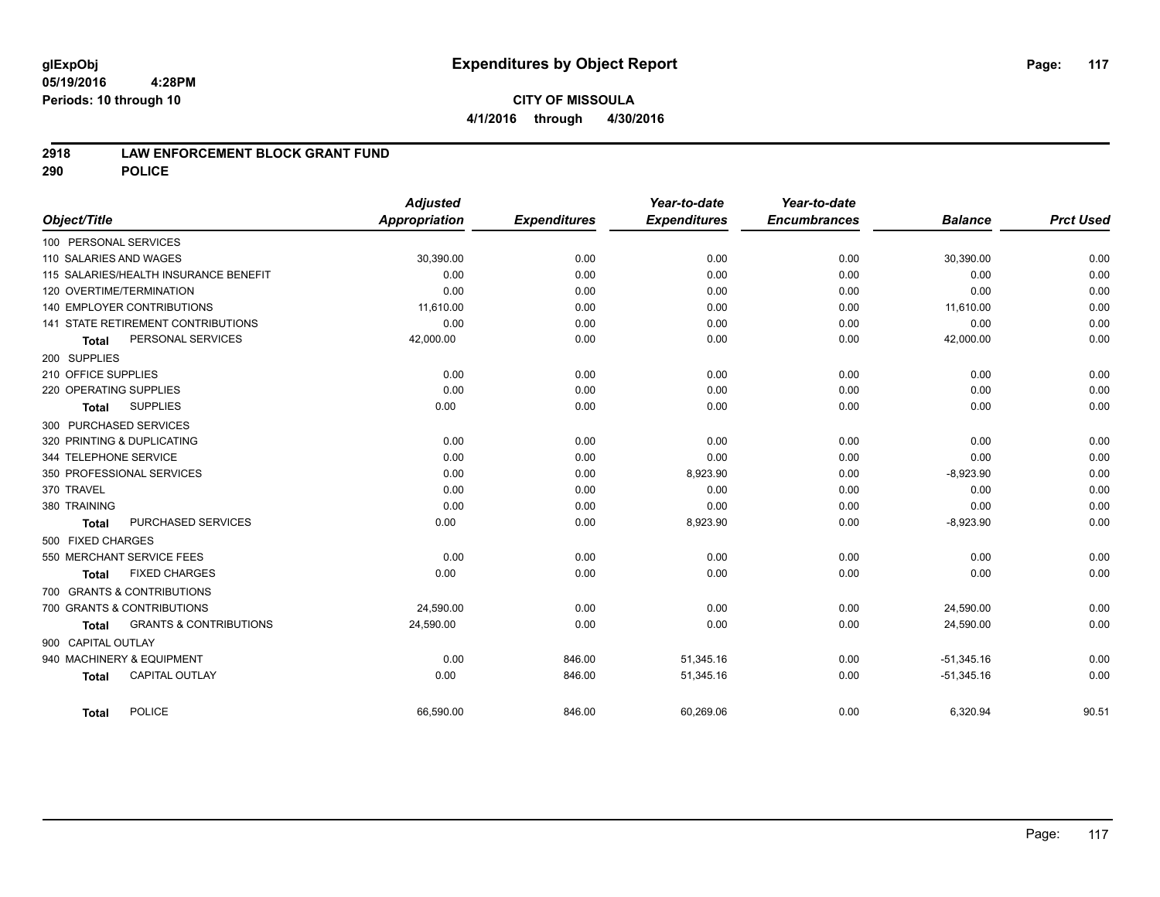#### **05/19/2016 4:28PM Periods: 10 through 10**

# **CITY OF MISSOULA 4/1/2016 through 4/30/2016**

### **2918 LAW ENFORCEMENT BLOCK GRANT FUND**

**290 POLICE**

| Object/Title             |                                       | <b>Adjusted</b><br><b>Appropriation</b> | <b>Expenditures</b> | Year-to-date<br><b>Expenditures</b> | Year-to-date<br><b>Encumbrances</b> | <b>Balance</b> | <b>Prct Used</b> |
|--------------------------|---------------------------------------|-----------------------------------------|---------------------|-------------------------------------|-------------------------------------|----------------|------------------|
| 100 PERSONAL SERVICES    |                                       |                                         |                     |                                     |                                     |                |                  |
| 110 SALARIES AND WAGES   |                                       | 30,390.00                               | 0.00                | 0.00                                | 0.00                                | 30,390.00      | 0.00             |
|                          | 115 SALARIES/HEALTH INSURANCE BENEFIT | 0.00                                    | 0.00                | 0.00                                | 0.00                                | 0.00           | 0.00             |
| 120 OVERTIME/TERMINATION |                                       | 0.00                                    | 0.00                | 0.00                                | 0.00                                | 0.00           | 0.00             |
|                          | 140 EMPLOYER CONTRIBUTIONS            | 11,610.00                               | 0.00                | 0.00                                | 0.00                                | 11,610.00      | 0.00             |
|                          | 141 STATE RETIREMENT CONTRIBUTIONS    | 0.00                                    | 0.00                | 0.00                                | 0.00                                | 0.00           | 0.00             |
| <b>Total</b>             | PERSONAL SERVICES                     | 42,000.00                               | 0.00                | 0.00                                | 0.00                                | 42,000.00      | 0.00             |
| 200 SUPPLIES             |                                       |                                         |                     |                                     |                                     |                |                  |
| 210 OFFICE SUPPLIES      |                                       | 0.00                                    | 0.00                | 0.00                                | 0.00                                | 0.00           | 0.00             |
| 220 OPERATING SUPPLIES   |                                       | 0.00                                    | 0.00                | 0.00                                | 0.00                                | 0.00           | 0.00             |
| <b>Total</b>             | <b>SUPPLIES</b>                       | 0.00                                    | 0.00                | 0.00                                | 0.00                                | 0.00           | 0.00             |
| 300 PURCHASED SERVICES   |                                       |                                         |                     |                                     |                                     |                |                  |
|                          | 320 PRINTING & DUPLICATING            | 0.00                                    | 0.00                | 0.00                                | 0.00                                | 0.00           | 0.00             |
| 344 TELEPHONE SERVICE    |                                       | 0.00                                    | 0.00                | 0.00                                | 0.00                                | 0.00           | 0.00             |
|                          | 350 PROFESSIONAL SERVICES             | 0.00                                    | 0.00                | 8,923.90                            | 0.00                                | $-8,923.90$    | 0.00             |
| 370 TRAVEL               |                                       | 0.00                                    | 0.00                | 0.00                                | 0.00                                | 0.00           | 0.00             |
| 380 TRAINING             |                                       | 0.00                                    | 0.00                | 0.00                                | 0.00                                | 0.00           | 0.00             |
| <b>Total</b>             | PURCHASED SERVICES                    | 0.00                                    | 0.00                | 8,923.90                            | 0.00                                | $-8,923.90$    | 0.00             |
| 500 FIXED CHARGES        |                                       |                                         |                     |                                     |                                     |                |                  |
|                          | 550 MERCHANT SERVICE FEES             | 0.00                                    | 0.00                | 0.00                                | 0.00                                | 0.00           | 0.00             |
| <b>Total</b>             | <b>FIXED CHARGES</b>                  | 0.00                                    | 0.00                | 0.00                                | 0.00                                | 0.00           | 0.00             |
|                          | 700 GRANTS & CONTRIBUTIONS            |                                         |                     |                                     |                                     |                |                  |
|                          | 700 GRANTS & CONTRIBUTIONS            | 24.590.00                               | 0.00                | 0.00                                | 0.00                                | 24,590.00      | 0.00             |
| <b>Total</b>             | <b>GRANTS &amp; CONTRIBUTIONS</b>     | 24,590.00                               | 0.00                | 0.00                                | 0.00                                | 24,590.00      | 0.00             |
| 900 CAPITAL OUTLAY       |                                       |                                         |                     |                                     |                                     |                |                  |
|                          | 940 MACHINERY & EQUIPMENT             | 0.00                                    | 846.00              | 51,345.16                           | 0.00                                | $-51,345.16$   | 0.00             |
| <b>Total</b>             | <b>CAPITAL OUTLAY</b>                 | 0.00                                    | 846.00              | 51,345.16                           | 0.00                                | $-51,345.16$   | 0.00             |
| <b>Total</b>             | <b>POLICE</b>                         | 66,590.00                               | 846.00              | 60,269.06                           | 0.00                                | 6,320.94       | 90.51            |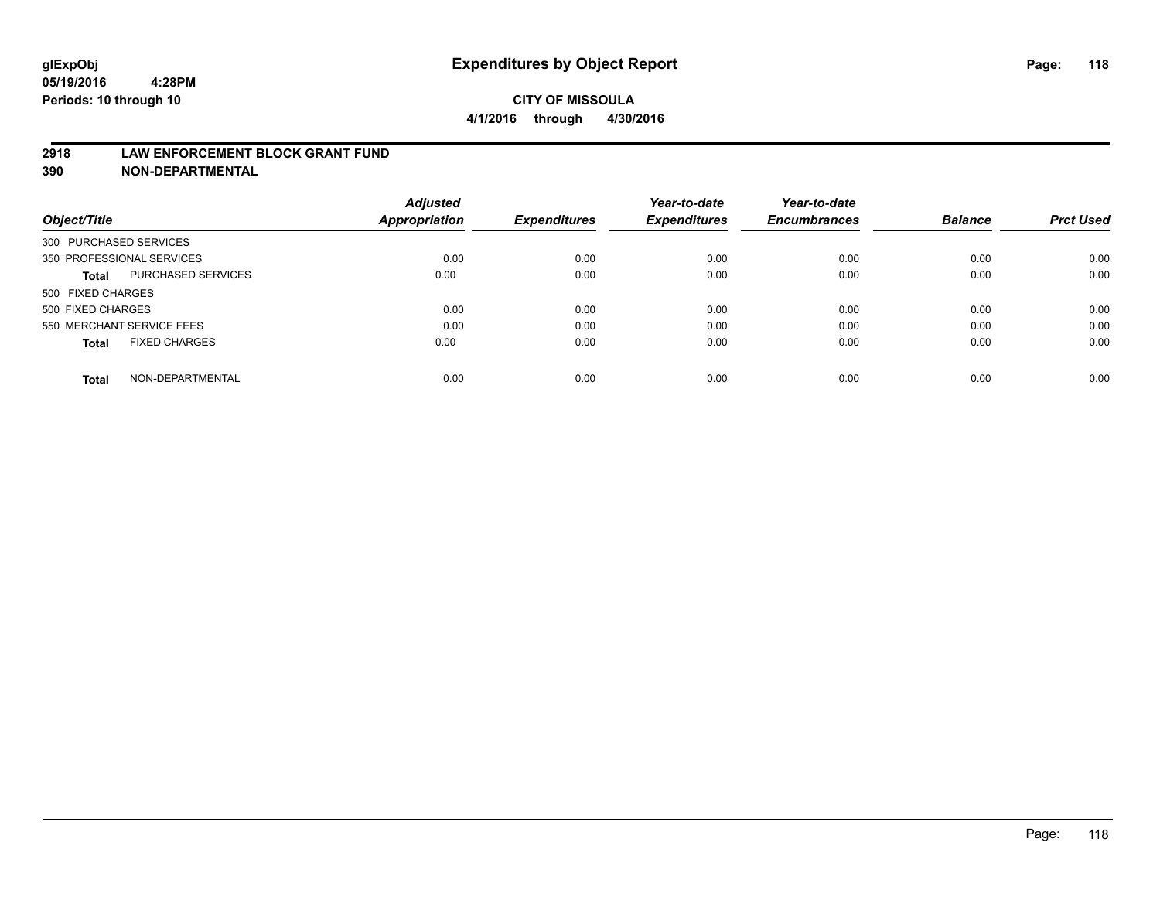#### **2918 LAW ENFORCEMENT BLOCK GRANT FUND**

**390 NON-DEPARTMENTAL**

|                           |                      | <b>Adjusted</b> |                     | Year-to-date        | Year-to-date<br><b>Encumbrances</b> | <b>Balance</b> | <b>Prct Used</b> |
|---------------------------|----------------------|-----------------|---------------------|---------------------|-------------------------------------|----------------|------------------|
| Object/Title              |                      | Appropriation   | <b>Expenditures</b> | <b>Expenditures</b> |                                     |                |                  |
| 300 PURCHASED SERVICES    |                      |                 |                     |                     |                                     |                |                  |
| 350 PROFESSIONAL SERVICES |                      | 0.00            | 0.00                | 0.00                | 0.00                                | 0.00           | 0.00             |
| Total                     | PURCHASED SERVICES   | 0.00            | 0.00                | 0.00                | 0.00                                | 0.00           | 0.00             |
| 500 FIXED CHARGES         |                      |                 |                     |                     |                                     |                |                  |
| 500 FIXED CHARGES         |                      | 0.00            | 0.00                | 0.00                | 0.00                                | 0.00           | 0.00             |
| 550 MERCHANT SERVICE FEES |                      | 0.00            | 0.00                | 0.00                | 0.00                                | 0.00           | 0.00             |
| <b>Total</b>              | <b>FIXED CHARGES</b> | 0.00            | 0.00                | 0.00                | 0.00                                | 0.00           | 0.00             |
| <b>Total</b>              | NON-DEPARTMENTAL     | 0.00            | 0.00                | 0.00                | 0.00                                | 0.00           | 0.00             |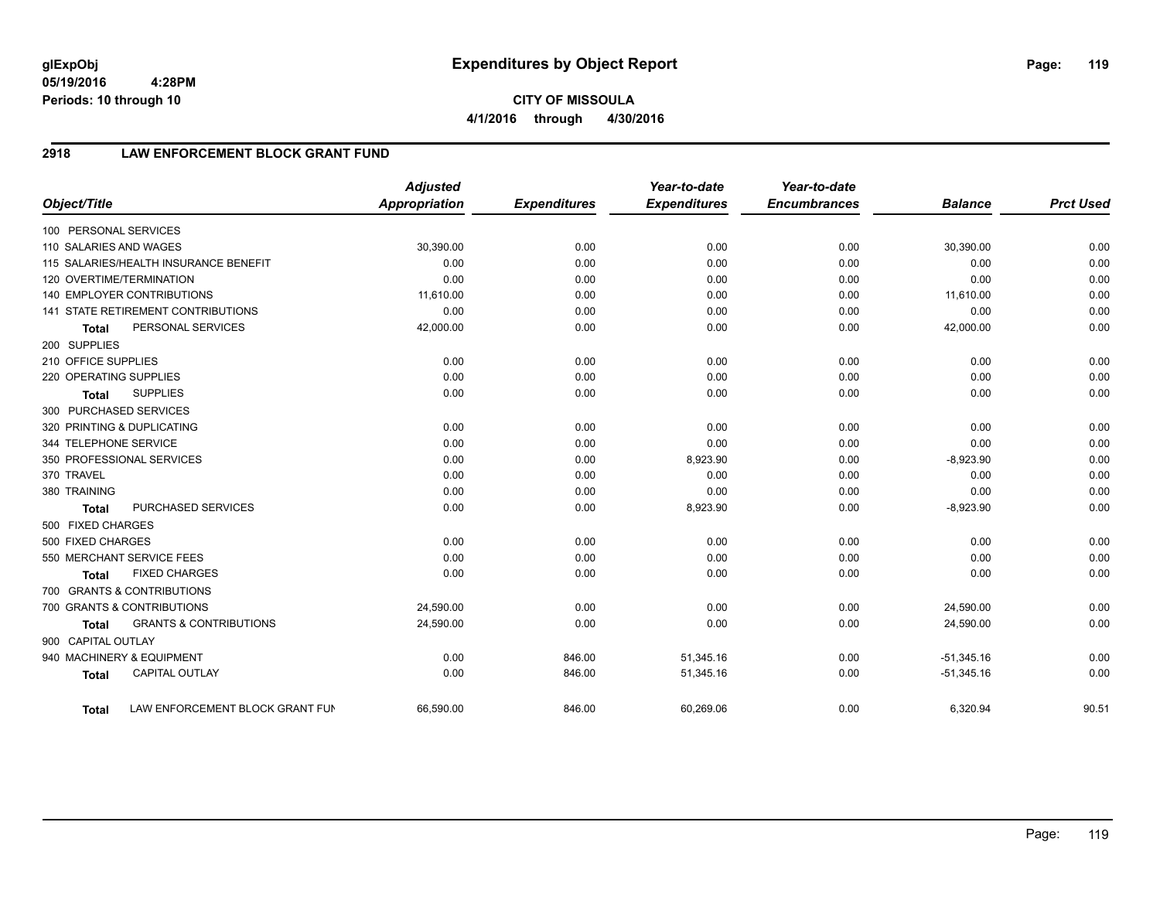**05/19/2016 4:28PM Periods: 10 through 10**

**CITY OF MISSOULA 4/1/2016 through 4/30/2016**

# **2918 LAW ENFORCEMENT BLOCK GRANT FUND**

|                        |                                       | <b>Adjusted</b>      |                     | Year-to-date        | Year-to-date        |                |                  |
|------------------------|---------------------------------------|----------------------|---------------------|---------------------|---------------------|----------------|------------------|
| Object/Title           |                                       | <b>Appropriation</b> | <b>Expenditures</b> | <b>Expenditures</b> | <b>Encumbrances</b> | <b>Balance</b> | <b>Prct Used</b> |
| 100 PERSONAL SERVICES  |                                       |                      |                     |                     |                     |                |                  |
| 110 SALARIES AND WAGES |                                       | 30,390.00            | 0.00                | 0.00                | 0.00                | 30,390.00      | 0.00             |
|                        | 115 SALARIES/HEALTH INSURANCE BENEFIT | 0.00                 | 0.00                | 0.00                | 0.00                | 0.00           | 0.00             |
|                        | 120 OVERTIME/TERMINATION              | 0.00                 | 0.00                | 0.00                | 0.00                | 0.00           | 0.00             |
|                        | <b>140 EMPLOYER CONTRIBUTIONS</b>     | 11,610.00            | 0.00                | 0.00                | 0.00                | 11,610.00      | 0.00             |
|                        | 141 STATE RETIREMENT CONTRIBUTIONS    | 0.00                 | 0.00                | 0.00                | 0.00                | 0.00           | 0.00             |
| <b>Total</b>           | PERSONAL SERVICES                     | 42,000.00            | 0.00                | 0.00                | 0.00                | 42,000.00      | 0.00             |
| 200 SUPPLIES           |                                       |                      |                     |                     |                     |                |                  |
| 210 OFFICE SUPPLIES    |                                       | 0.00                 | 0.00                | 0.00                | 0.00                | 0.00           | 0.00             |
| 220 OPERATING SUPPLIES |                                       | 0.00                 | 0.00                | 0.00                | 0.00                | 0.00           | 0.00             |
| <b>Total</b>           | <b>SUPPLIES</b>                       | 0.00                 | 0.00                | 0.00                | 0.00                | 0.00           | 0.00             |
| 300 PURCHASED SERVICES |                                       |                      |                     |                     |                     |                |                  |
|                        | 320 PRINTING & DUPLICATING            | 0.00                 | 0.00                | 0.00                | 0.00                | 0.00           | 0.00             |
| 344 TELEPHONE SERVICE  |                                       | 0.00                 | 0.00                | 0.00                | 0.00                | 0.00           | 0.00             |
|                        | 350 PROFESSIONAL SERVICES             | 0.00                 | 0.00                | 8,923.90            | 0.00                | $-8,923.90$    | 0.00             |
| 370 TRAVEL             |                                       | 0.00                 | 0.00                | 0.00                | 0.00                | 0.00           | 0.00             |
| 380 TRAINING           |                                       | 0.00                 | 0.00                | 0.00                | 0.00                | 0.00           | 0.00             |
| <b>Total</b>           | PURCHASED SERVICES                    | 0.00                 | 0.00                | 8,923.90            | 0.00                | $-8,923.90$    | 0.00             |
| 500 FIXED CHARGES      |                                       |                      |                     |                     |                     |                |                  |
| 500 FIXED CHARGES      |                                       | 0.00                 | 0.00                | 0.00                | 0.00                | 0.00           | 0.00             |
|                        | 550 MERCHANT SERVICE FEES             | 0.00                 | 0.00                | 0.00                | 0.00                | 0.00           | 0.00             |
| <b>Total</b>           | <b>FIXED CHARGES</b>                  | 0.00                 | 0.00                | 0.00                | 0.00                | 0.00           | 0.00             |
|                        | 700 GRANTS & CONTRIBUTIONS            |                      |                     |                     |                     |                |                  |
|                        | 700 GRANTS & CONTRIBUTIONS            | 24,590.00            | 0.00                | 0.00                | 0.00                | 24,590.00      | 0.00             |
| <b>Total</b>           | <b>GRANTS &amp; CONTRIBUTIONS</b>     | 24,590.00            | 0.00                | 0.00                | 0.00                | 24,590.00      | 0.00             |
| 900 CAPITAL OUTLAY     |                                       |                      |                     |                     |                     |                |                  |
|                        | 940 MACHINERY & EQUIPMENT             | 0.00                 | 846.00              | 51,345.16           | 0.00                | $-51,345.16$   | 0.00             |
| <b>Total</b>           | <b>CAPITAL OUTLAY</b>                 | 0.00                 | 846.00              | 51,345.16           | 0.00                | $-51,345.16$   | 0.00             |
| Total                  | LAW ENFORCEMENT BLOCK GRANT FUN       | 66,590.00            | 846.00              | 60,269.06           | 0.00                | 6,320.94       | 90.51            |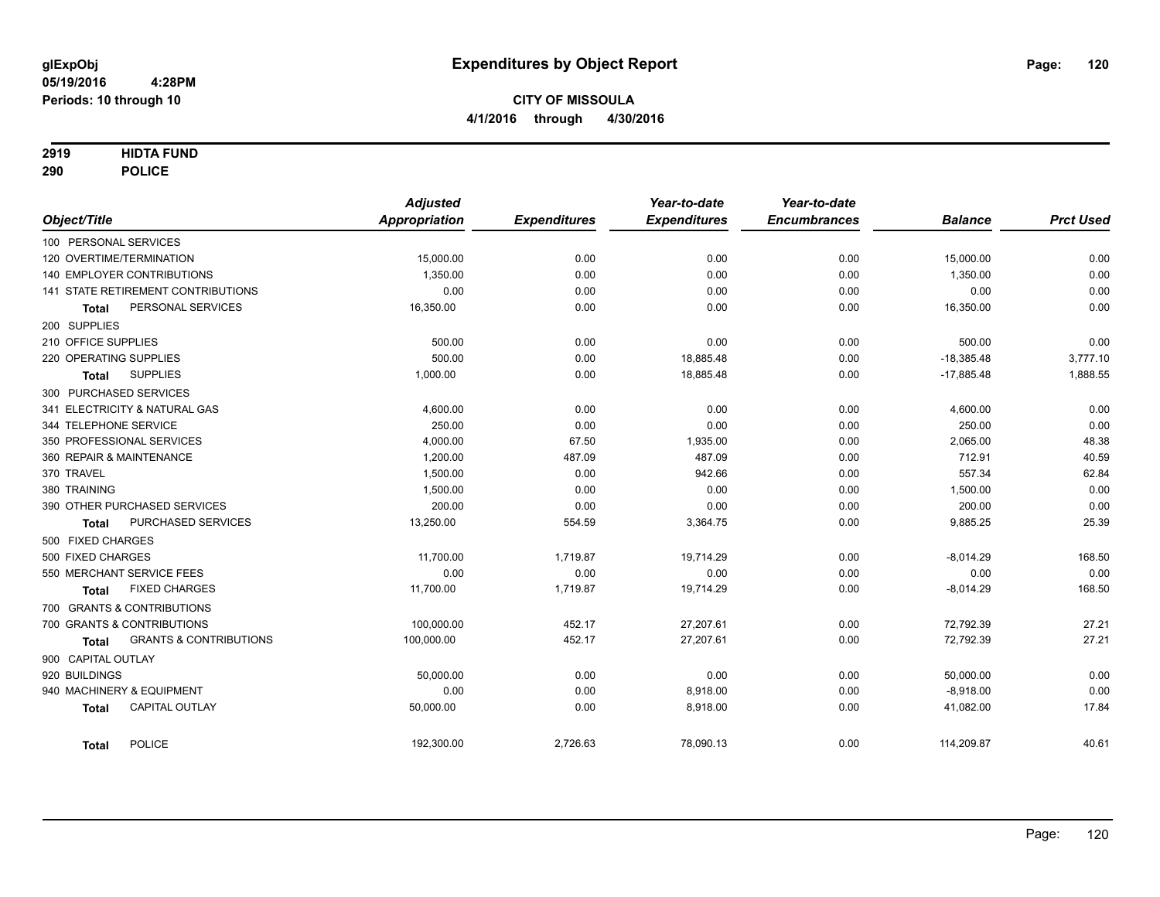### **2919 HIDTA FUND**

**290 POLICE**

|                                            | <b>Adjusted</b>      |                     | Year-to-date        | Year-to-date        |                |                  |
|--------------------------------------------|----------------------|---------------------|---------------------|---------------------|----------------|------------------|
| Object/Title                               | <b>Appropriation</b> | <b>Expenditures</b> | <b>Expenditures</b> | <b>Encumbrances</b> | <b>Balance</b> | <b>Prct Used</b> |
| 100 PERSONAL SERVICES                      |                      |                     |                     |                     |                |                  |
| 120 OVERTIME/TERMINATION                   | 15,000.00            | 0.00                | 0.00                | 0.00                | 15,000.00      | 0.00             |
| <b>140 EMPLOYER CONTRIBUTIONS</b>          | 1,350.00             | 0.00                | 0.00                | 0.00                | 1,350.00       | 0.00             |
| <b>141 STATE RETIREMENT CONTRIBUTIONS</b>  | 0.00                 | 0.00                | 0.00                | 0.00                | 0.00           | 0.00             |
| PERSONAL SERVICES<br><b>Total</b>          | 16,350.00            | 0.00                | 0.00                | 0.00                | 16,350.00      | 0.00             |
| 200 SUPPLIES                               |                      |                     |                     |                     |                |                  |
| 210 OFFICE SUPPLIES                        | 500.00               | 0.00                | 0.00                | 0.00                | 500.00         | 0.00             |
| 220 OPERATING SUPPLIES                     | 500.00               | 0.00                | 18,885.48           | 0.00                | $-18,385.48$   | 3,777.10         |
| <b>SUPPLIES</b><br>Total                   | 1,000.00             | 0.00                | 18,885.48           | 0.00                | $-17,885.48$   | 1,888.55         |
| 300 PURCHASED SERVICES                     |                      |                     |                     |                     |                |                  |
| 341 ELECTRICITY & NATURAL GAS              | 4,600.00             | 0.00                | 0.00                | 0.00                | 4,600.00       | 0.00             |
| 344 TELEPHONE SERVICE                      | 250.00               | 0.00                | 0.00                | 0.00                | 250.00         | 0.00             |
| 350 PROFESSIONAL SERVICES                  | 4,000.00             | 67.50               | 1,935.00            | 0.00                | 2,065.00       | 48.38            |
| 360 REPAIR & MAINTENANCE                   | 1,200.00             | 487.09              | 487.09              | 0.00                | 712.91         | 40.59            |
| 370 TRAVEL                                 | 1,500.00             | 0.00                | 942.66              | 0.00                | 557.34         | 62.84            |
| 380 TRAINING                               | 1,500.00             | 0.00                | 0.00                | 0.00                | 1,500.00       | 0.00             |
| 390 OTHER PURCHASED SERVICES               | 200.00               | 0.00                | 0.00                | 0.00                | 200.00         | 0.00             |
| PURCHASED SERVICES<br><b>Total</b>         | 13,250.00            | 554.59              | 3,364.75            | 0.00                | 9,885.25       | 25.39            |
| 500 FIXED CHARGES                          |                      |                     |                     |                     |                |                  |
| 500 FIXED CHARGES                          | 11,700.00            | 1,719.87            | 19,714.29           | 0.00                | $-8,014.29$    | 168.50           |
| 550 MERCHANT SERVICE FEES                  | 0.00                 | 0.00                | 0.00                | 0.00                | 0.00           | 0.00             |
| <b>FIXED CHARGES</b><br><b>Total</b>       | 11,700.00            | 1,719.87            | 19,714.29           | 0.00                | $-8,014.29$    | 168.50           |
| 700 GRANTS & CONTRIBUTIONS                 |                      |                     |                     |                     |                |                  |
| 700 GRANTS & CONTRIBUTIONS                 | 100,000.00           | 452.17              | 27,207.61           | 0.00                | 72,792.39      | 27.21            |
| <b>GRANTS &amp; CONTRIBUTIONS</b><br>Total | 100,000.00           | 452.17              | 27,207.61           | 0.00                | 72,792.39      | 27.21            |
| 900 CAPITAL OUTLAY                         |                      |                     |                     |                     |                |                  |
| 920 BUILDINGS                              | 50,000.00            | 0.00                | 0.00                | 0.00                | 50,000.00      | 0.00             |
| 940 MACHINERY & EQUIPMENT                  | 0.00                 | 0.00                | 8,918.00            | 0.00                | $-8,918.00$    | 0.00             |
| <b>CAPITAL OUTLAY</b><br><b>Total</b>      | 50,000.00            | 0.00                | 8,918.00            | 0.00                | 41,082.00      | 17.84            |
| <b>POLICE</b><br><b>Total</b>              | 192,300.00           | 2,726.63            | 78,090.13           | 0.00                | 114,209.87     | 40.61            |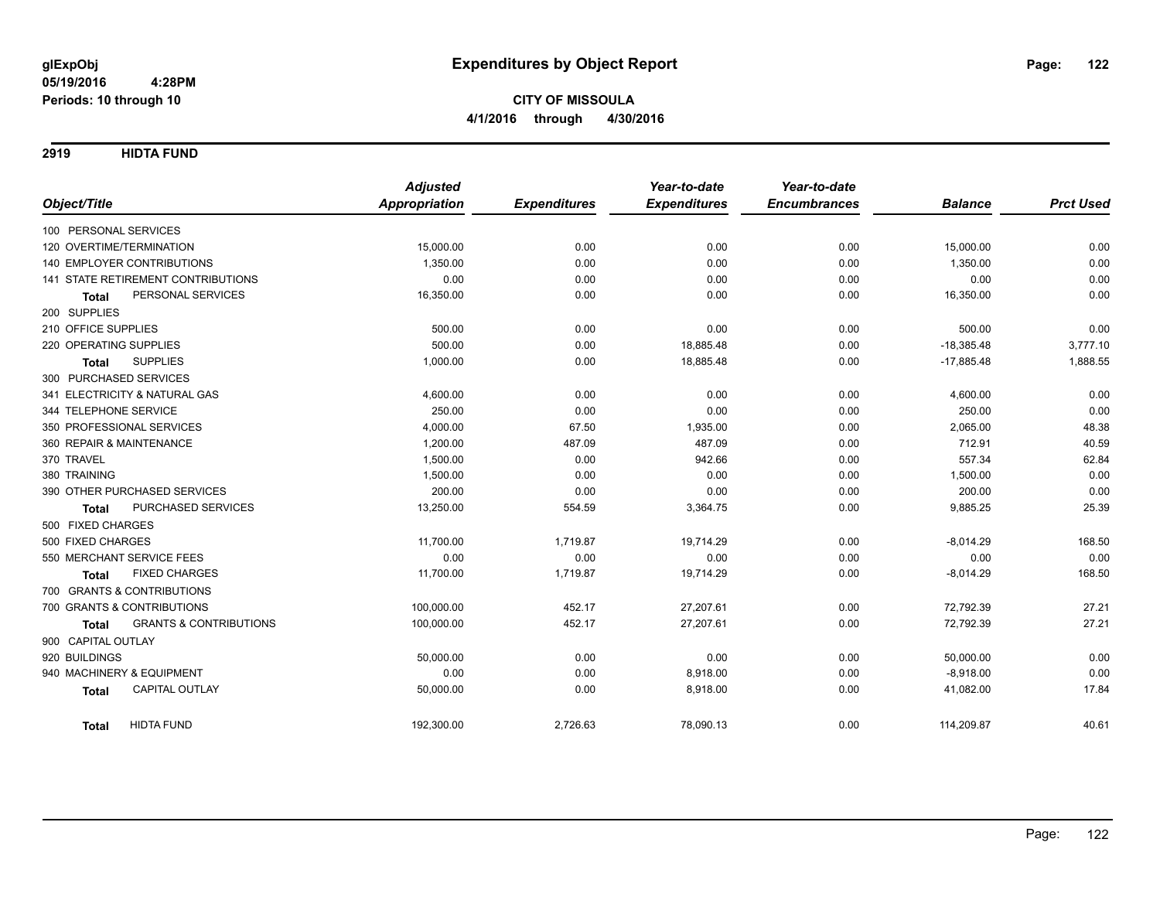**2919 HIDTA FUND**

|                                                   | <b>Adjusted</b>      |                     | Year-to-date        | Year-to-date        |                |                  |
|---------------------------------------------------|----------------------|---------------------|---------------------|---------------------|----------------|------------------|
| Object/Title                                      | <b>Appropriation</b> | <b>Expenditures</b> | <b>Expenditures</b> | <b>Encumbrances</b> | <b>Balance</b> | <b>Prct Used</b> |
| 100 PERSONAL SERVICES                             |                      |                     |                     |                     |                |                  |
| 120 OVERTIME/TERMINATION                          | 15,000.00            | 0.00                | 0.00                | 0.00                | 15,000.00      | 0.00             |
| <b>140 EMPLOYER CONTRIBUTIONS</b>                 | 1,350.00             | 0.00                | 0.00                | 0.00                | 1,350.00       | 0.00             |
| 141 STATE RETIREMENT CONTRIBUTIONS                | 0.00                 | 0.00                | 0.00                | 0.00                | 0.00           | 0.00             |
| PERSONAL SERVICES<br><b>Total</b>                 | 16,350.00            | 0.00                | 0.00                | 0.00                | 16,350.00      | 0.00             |
| 200 SUPPLIES                                      |                      |                     |                     |                     |                |                  |
| 210 OFFICE SUPPLIES                               | 500.00               | 0.00                | 0.00                | 0.00                | 500.00         | 0.00             |
| 220 OPERATING SUPPLIES                            | 500.00               | 0.00                | 18,885.48           | 0.00                | $-18,385.48$   | 3,777.10         |
| <b>SUPPLIES</b><br><b>Total</b>                   | 1,000.00             | 0.00                | 18,885.48           | 0.00                | $-17,885.48$   | 1,888.55         |
| 300 PURCHASED SERVICES                            |                      |                     |                     |                     |                |                  |
| 341 ELECTRICITY & NATURAL GAS                     | 4,600.00             | 0.00                | 0.00                | 0.00                | 4,600.00       | 0.00             |
| 344 TELEPHONE SERVICE                             | 250.00               | 0.00                | 0.00                | 0.00                | 250.00         | 0.00             |
| 350 PROFESSIONAL SERVICES                         | 4,000.00             | 67.50               | 1,935.00            | 0.00                | 2,065.00       | 48.38            |
| 360 REPAIR & MAINTENANCE                          | 1,200.00             | 487.09              | 487.09              | 0.00                | 712.91         | 40.59            |
| 370 TRAVEL                                        | 1,500.00             | 0.00                | 942.66              | 0.00                | 557.34         | 62.84            |
| 380 TRAINING                                      | 1,500.00             | 0.00                | 0.00                | 0.00                | 1,500.00       | 0.00             |
| 390 OTHER PURCHASED SERVICES                      | 200.00               | 0.00                | 0.00                | 0.00                | 200.00         | 0.00             |
| PURCHASED SERVICES<br><b>Total</b>                | 13,250.00            | 554.59              | 3,364.75            | 0.00                | 9,885.25       | 25.39            |
| 500 FIXED CHARGES                                 |                      |                     |                     |                     |                |                  |
| 500 FIXED CHARGES                                 | 11,700.00            | 1,719.87            | 19,714.29           | 0.00                | $-8,014.29$    | 168.50           |
| 550 MERCHANT SERVICE FEES                         | 0.00                 | 0.00                | 0.00                | 0.00                | 0.00           | 0.00             |
| <b>FIXED CHARGES</b><br><b>Total</b>              | 11,700.00            | 1,719.87            | 19,714.29           | 0.00                | $-8,014.29$    | 168.50           |
| 700 GRANTS & CONTRIBUTIONS                        |                      |                     |                     |                     |                |                  |
| 700 GRANTS & CONTRIBUTIONS                        | 100,000.00           | 452.17              | 27,207.61           | 0.00                | 72,792.39      | 27.21            |
| <b>GRANTS &amp; CONTRIBUTIONS</b><br><b>Total</b> | 100,000.00           | 452.17              | 27,207.61           | 0.00                | 72,792.39      | 27.21            |
| 900 CAPITAL OUTLAY                                |                      |                     |                     |                     |                |                  |
| 920 BUILDINGS                                     | 50,000.00            | 0.00                | 0.00                | 0.00                | 50,000.00      | 0.00             |
| 940 MACHINERY & EQUIPMENT                         | 0.00                 | 0.00                | 8,918.00            | 0.00                | $-8,918.00$    | 0.00             |
| <b>CAPITAL OUTLAY</b><br><b>Total</b>             | 50,000.00            | 0.00                | 8,918.00            | 0.00                | 41,082.00      | 17.84            |
| <b>HIDTA FUND</b><br><b>Total</b>                 | 192,300.00           | 2,726.63            | 78,090.13           | 0.00                | 114,209.87     | 40.61            |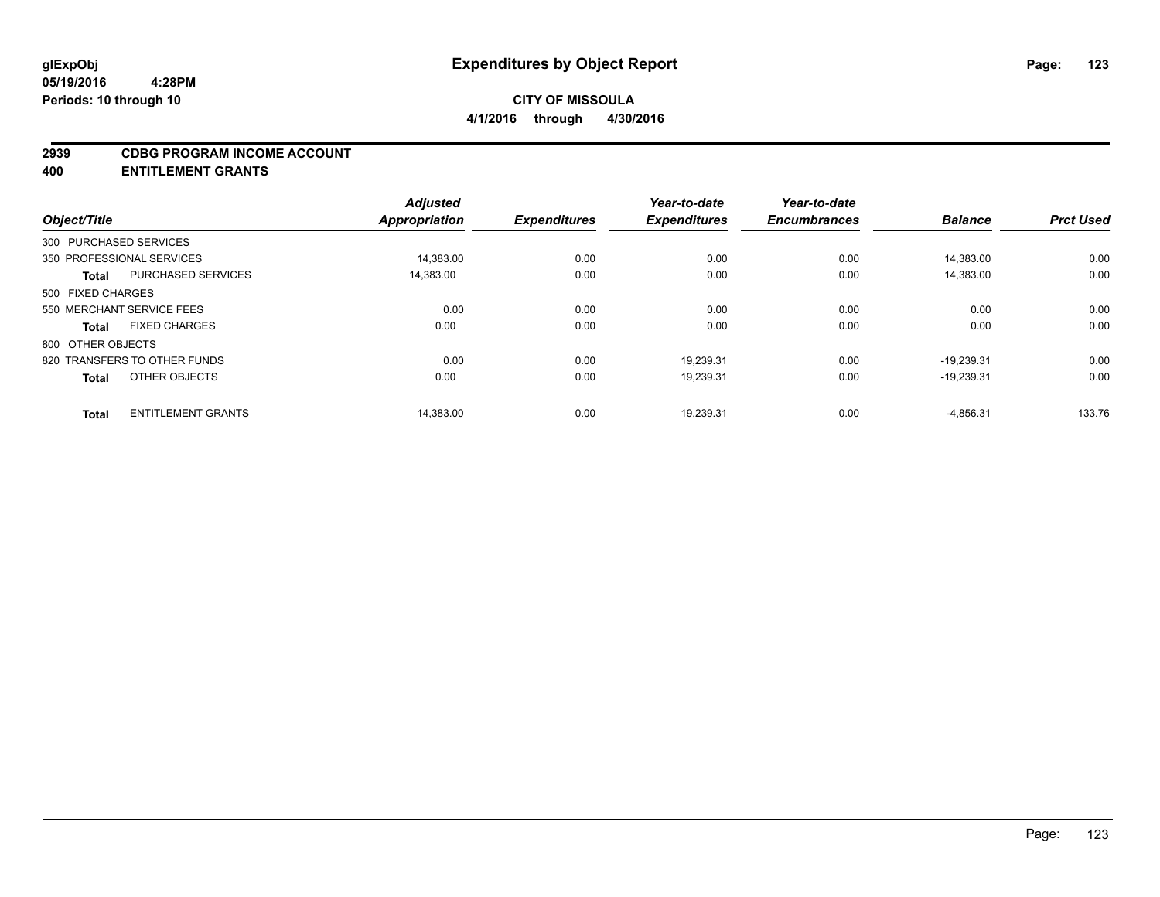#### **2939 CDBG PROGRAM INCOME ACCOUNT**

**400 ENTITLEMENT GRANTS**

| Object/Title           |                              | <b>Adjusted</b><br>Appropriation | <b>Expenditures</b> | Year-to-date<br><b>Expenditures</b> | Year-to-date<br><b>Encumbrances</b> | <b>Balance</b> | <b>Prct Used</b> |
|------------------------|------------------------------|----------------------------------|---------------------|-------------------------------------|-------------------------------------|----------------|------------------|
|                        |                              |                                  |                     |                                     |                                     |                |                  |
| 300 PURCHASED SERVICES |                              |                                  |                     |                                     |                                     |                |                  |
|                        | 350 PROFESSIONAL SERVICES    | 14,383.00                        | 0.00                | 0.00                                | 0.00                                | 14,383.00      | 0.00             |
| <b>Total</b>           | <b>PURCHASED SERVICES</b>    | 14.383.00                        | 0.00                | 0.00                                | 0.00                                | 14,383.00      | 0.00             |
| 500 FIXED CHARGES      |                              |                                  |                     |                                     |                                     |                |                  |
|                        | 550 MERCHANT SERVICE FEES    | 0.00                             | 0.00                | 0.00                                | 0.00                                | 0.00           | 0.00             |
| <b>Total</b>           | <b>FIXED CHARGES</b>         | 0.00                             | 0.00                | 0.00                                | 0.00                                | 0.00           | 0.00             |
| 800 OTHER OBJECTS      |                              |                                  |                     |                                     |                                     |                |                  |
|                        | 820 TRANSFERS TO OTHER FUNDS | 0.00                             | 0.00                | 19.239.31                           | 0.00                                | $-19.239.31$   | 0.00             |
| <b>Total</b>           | OTHER OBJECTS                | 0.00                             | 0.00                | 19,239.31                           | 0.00                                | $-19,239.31$   | 0.00             |
|                        |                              |                                  |                     |                                     |                                     |                |                  |
| <b>Total</b>           | <b>ENTITLEMENT GRANTS</b>    | 14,383.00                        | 0.00                | 19,239.31                           | 0.00                                | $-4,856.31$    | 133.76           |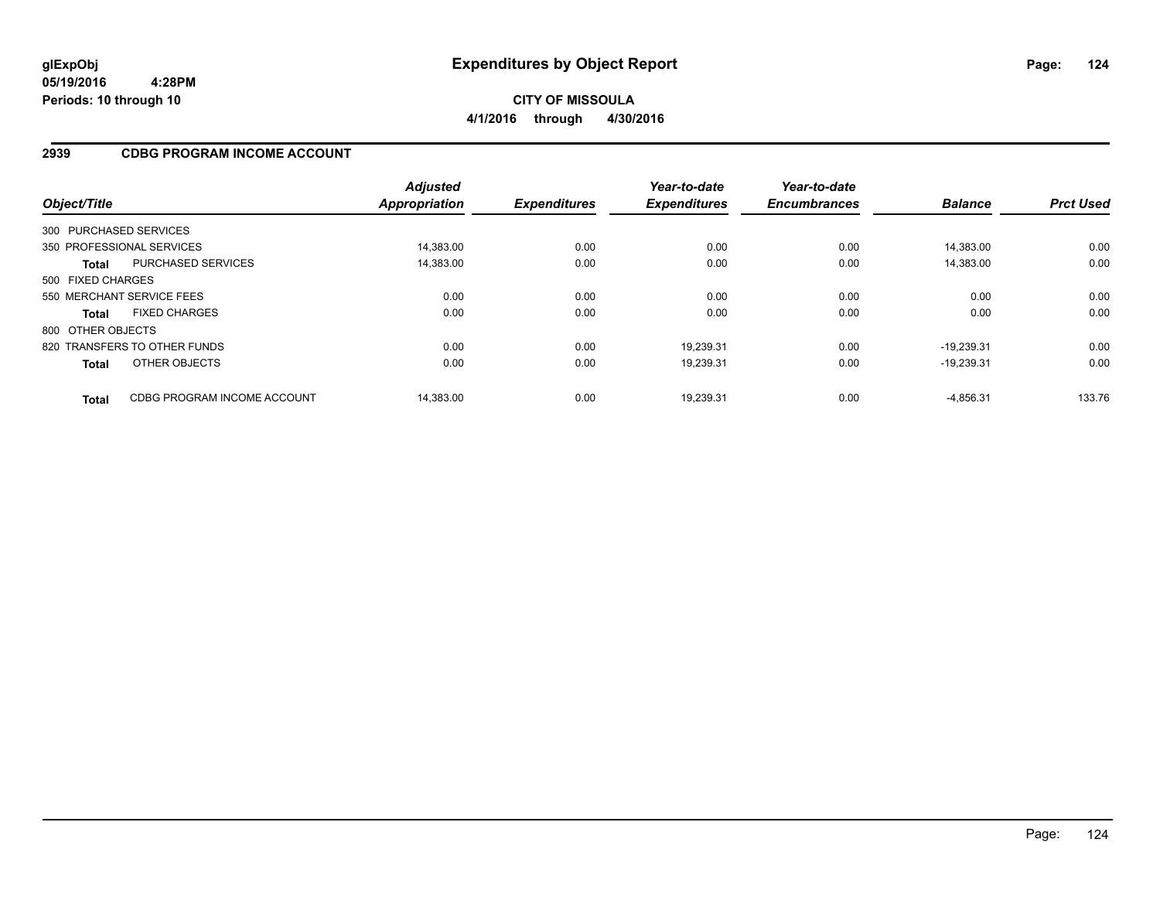**05/19/2016 4:28PM Periods: 10 through 10**

**CITY OF MISSOULA 4/1/2016 through 4/30/2016**

# **2939 CDBG PROGRAM INCOME ACCOUNT**

| Object/Title           |                              | <b>Adjusted</b><br><b>Appropriation</b> | <b>Expenditures</b> | Year-to-date<br><b>Expenditures</b> | Year-to-date<br><b>Encumbrances</b> | <b>Balance</b> | <b>Prct Used</b> |
|------------------------|------------------------------|-----------------------------------------|---------------------|-------------------------------------|-------------------------------------|----------------|------------------|
| 300 PURCHASED SERVICES |                              |                                         |                     |                                     |                                     |                |                  |
|                        | 350 PROFESSIONAL SERVICES    | 14.383.00                               | 0.00                | 0.00                                | 0.00                                | 14.383.00      | 0.00             |
| <b>Total</b>           | PURCHASED SERVICES           | 14,383.00                               | 0.00                | 0.00                                | 0.00                                | 14.383.00      | 0.00             |
| 500 FIXED CHARGES      |                              |                                         |                     |                                     |                                     |                |                  |
|                        | 550 MERCHANT SERVICE FEES    | 0.00                                    | 0.00                | 0.00                                | 0.00                                | 0.00           | 0.00             |
| <b>Total</b>           | <b>FIXED CHARGES</b>         | 0.00                                    | 0.00                | 0.00                                | 0.00                                | 0.00           | 0.00             |
| 800 OTHER OBJECTS      |                              |                                         |                     |                                     |                                     |                |                  |
|                        | 820 TRANSFERS TO OTHER FUNDS | 0.00                                    | 0.00                | 19.239.31                           | 0.00                                | $-19.239.31$   | 0.00             |
| <b>Total</b>           | OTHER OBJECTS                | 0.00                                    | 0.00                | 19,239.31                           | 0.00                                | $-19.239.31$   | 0.00             |
| <b>Total</b>           | CDBG PROGRAM INCOME ACCOUNT  | 14.383.00                               | 0.00                | 19.239.31                           | 0.00                                | $-4.856.31$    | 133.76           |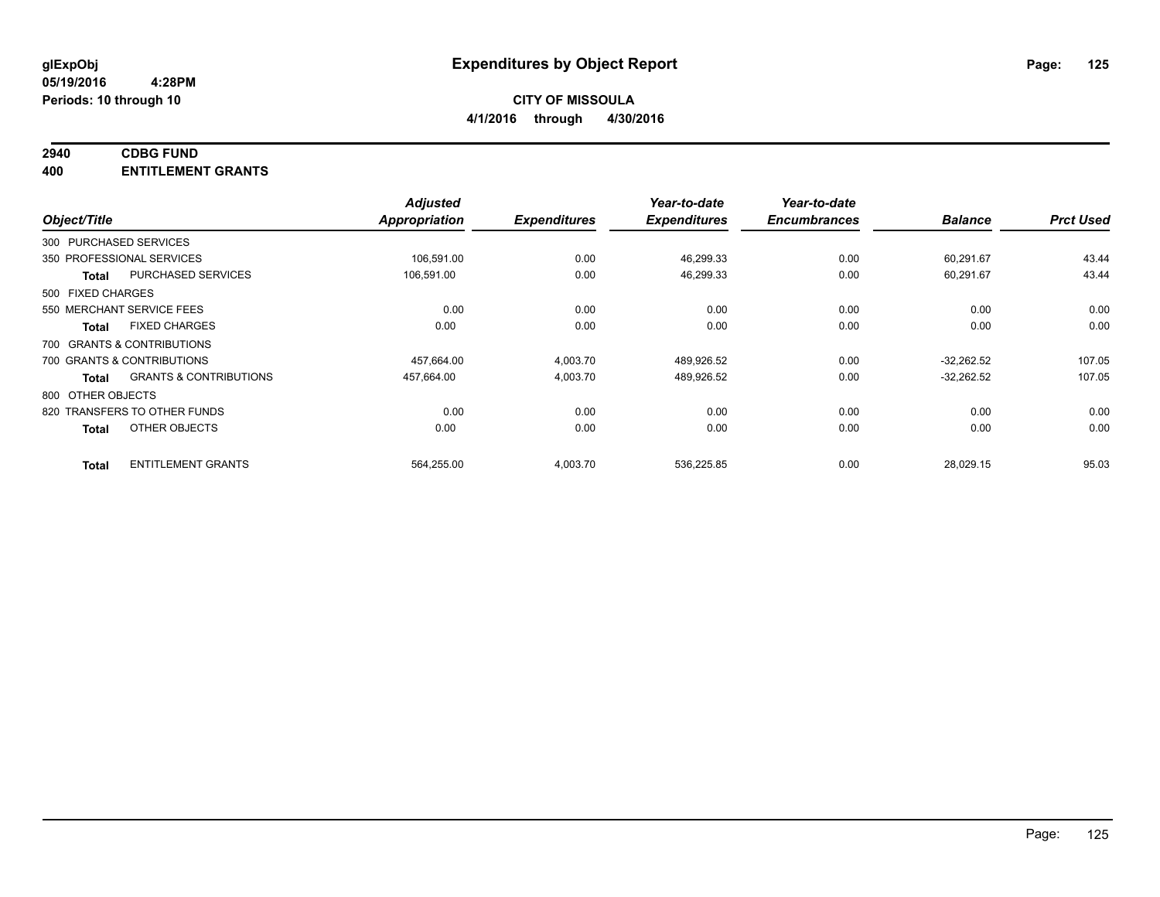# **2940 CDBG FUND**

**400 ENTITLEMENT GRANTS**

| Object/Title               |                                   | <b>Adjusted</b><br>Appropriation | <b>Expenditures</b> | Year-to-date<br><b>Expenditures</b> | Year-to-date<br><b>Encumbrances</b> | <b>Balance</b> | <b>Prct Used</b> |
|----------------------------|-----------------------------------|----------------------------------|---------------------|-------------------------------------|-------------------------------------|----------------|------------------|
| 300 PURCHASED SERVICES     |                                   |                                  |                     |                                     |                                     |                |                  |
| 350 PROFESSIONAL SERVICES  |                                   | 106,591.00                       | 0.00                | 46,299.33                           | 0.00                                | 60,291.67      | 43.44            |
| <b>Total</b>               | <b>PURCHASED SERVICES</b>         | 106,591.00                       | 0.00                | 46,299.33                           | 0.00                                | 60,291.67      | 43.44            |
| 500 FIXED CHARGES          |                                   |                                  |                     |                                     |                                     |                |                  |
| 550 MERCHANT SERVICE FEES  |                                   | 0.00                             | 0.00                | 0.00                                | 0.00                                | 0.00           | 0.00             |
| <b>Total</b>               | <b>FIXED CHARGES</b>              | 0.00                             | 0.00                | 0.00                                | 0.00                                | 0.00           | 0.00             |
| 700 GRANTS & CONTRIBUTIONS |                                   |                                  |                     |                                     |                                     |                |                  |
| 700 GRANTS & CONTRIBUTIONS |                                   | 457,664.00                       | 4,003.70            | 489,926.52                          | 0.00                                | $-32,262.52$   | 107.05           |
| <b>Total</b>               | <b>GRANTS &amp; CONTRIBUTIONS</b> | 457,664.00                       | 4,003.70            | 489,926.52                          | 0.00                                | $-32,262.52$   | 107.05           |
| 800 OTHER OBJECTS          |                                   |                                  |                     |                                     |                                     |                |                  |
|                            | 820 TRANSFERS TO OTHER FUNDS      | 0.00                             | 0.00                | 0.00                                | 0.00                                | 0.00           | 0.00             |
| <b>Total</b>               | OTHER OBJECTS                     | 0.00                             | 0.00                | 0.00                                | 0.00                                | 0.00           | 0.00             |
| <b>Total</b>               | <b>ENTITLEMENT GRANTS</b>         | 564,255.00                       | 4,003.70            | 536,225.85                          | 0.00                                | 28,029.15      | 95.03            |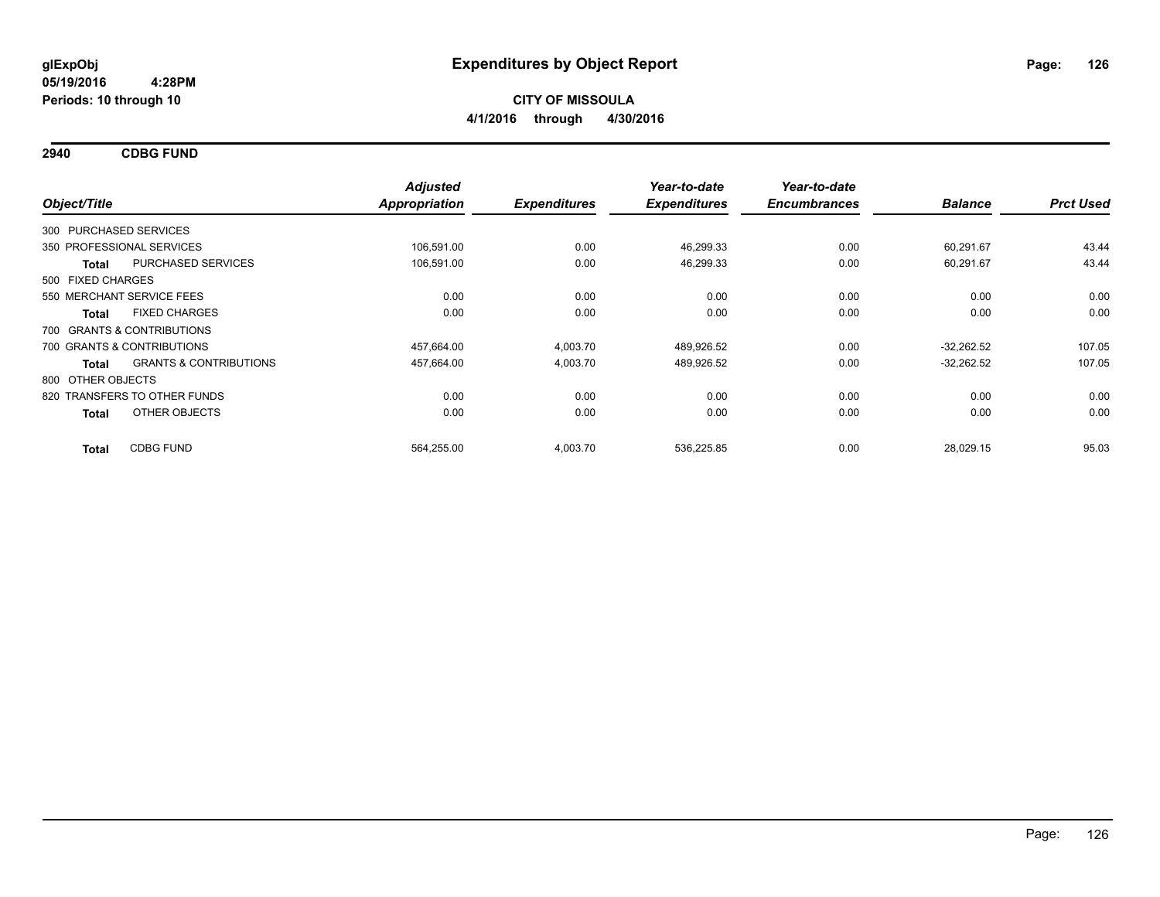**2940 CDBG FUND**

|                                                   | <b>Adjusted</b>      |                     | Year-to-date        | Year-to-date        |                |                  |
|---------------------------------------------------|----------------------|---------------------|---------------------|---------------------|----------------|------------------|
| Object/Title                                      | <b>Appropriation</b> | <b>Expenditures</b> | <b>Expenditures</b> | <b>Encumbrances</b> | <b>Balance</b> | <b>Prct Used</b> |
| 300 PURCHASED SERVICES                            |                      |                     |                     |                     |                |                  |
| 350 PROFESSIONAL SERVICES                         | 106,591.00           | 0.00                | 46,299.33           | 0.00                | 60,291.67      | 43.44            |
| PURCHASED SERVICES<br><b>Total</b>                | 106,591.00           | 0.00                | 46,299.33           | 0.00                | 60,291.67      | 43.44            |
| 500 FIXED CHARGES                                 |                      |                     |                     |                     |                |                  |
| 550 MERCHANT SERVICE FEES                         | 0.00                 | 0.00                | 0.00                | 0.00                | 0.00           | 0.00             |
| <b>FIXED CHARGES</b><br><b>Total</b>              | 0.00                 | 0.00                | 0.00                | 0.00                | 0.00           | 0.00             |
| 700 GRANTS & CONTRIBUTIONS                        |                      |                     |                     |                     |                |                  |
| 700 GRANTS & CONTRIBUTIONS                        | 457,664.00           | 4,003.70            | 489,926.52          | 0.00                | $-32,262.52$   | 107.05           |
| <b>GRANTS &amp; CONTRIBUTIONS</b><br><b>Total</b> | 457,664.00           | 4,003.70            | 489,926.52          | 0.00                | $-32,262.52$   | 107.05           |
| 800 OTHER OBJECTS                                 |                      |                     |                     |                     |                |                  |
| 820 TRANSFERS TO OTHER FUNDS                      | 0.00                 | 0.00                | 0.00                | 0.00                | 0.00           | 0.00             |
| OTHER OBJECTS<br><b>Total</b>                     | 0.00                 | 0.00                | 0.00                | 0.00                | 0.00           | 0.00             |
| <b>CDBG FUND</b><br><b>Total</b>                  | 564,255.00           | 4,003.70            | 536,225.85          | 0.00                | 28.029.15      | 95.03            |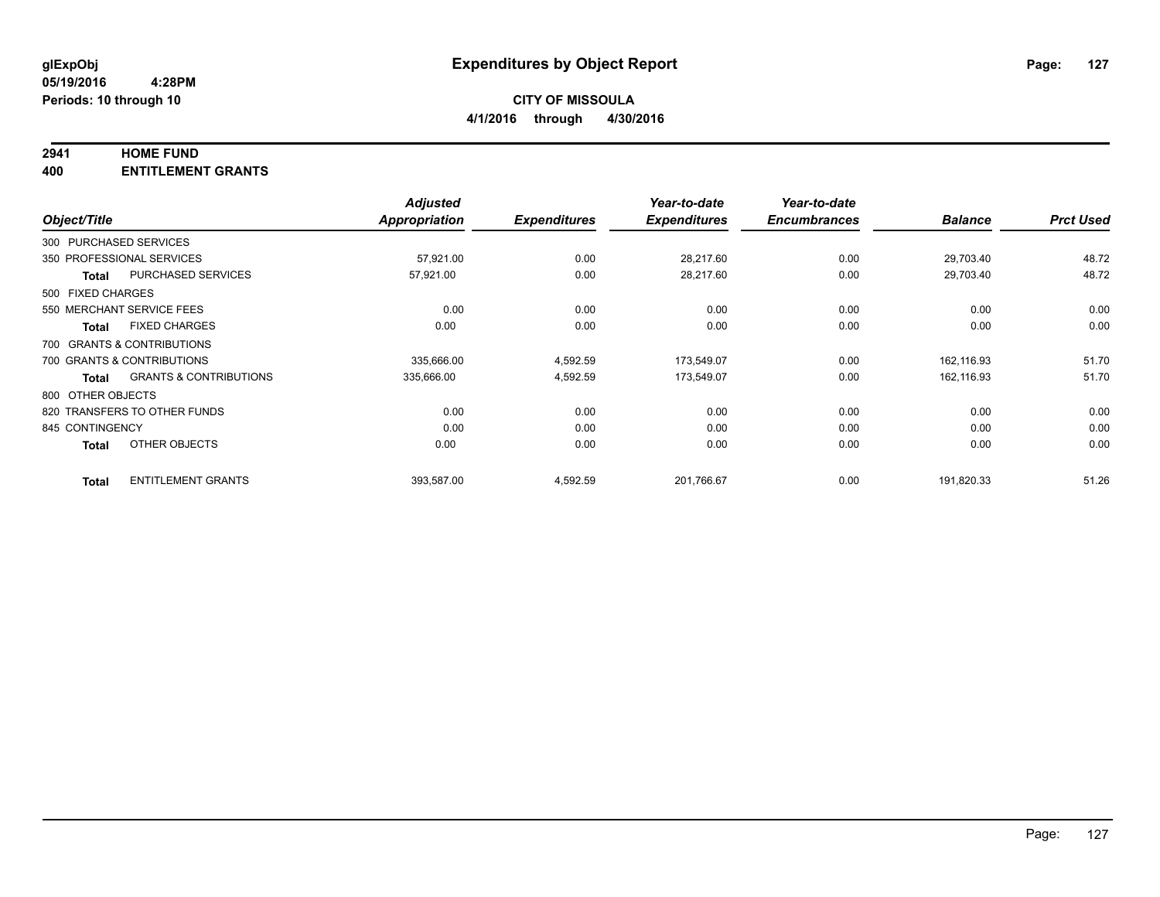#### **2941 HOME FUND**

**400 ENTITLEMENT GRANTS**

| Object/Title      |                                   | <b>Adjusted</b><br><b>Appropriation</b> | <b>Expenditures</b> | Year-to-date<br><b>Expenditures</b> | Year-to-date<br><b>Encumbrances</b> | <b>Balance</b> | <b>Prct Used</b> |
|-------------------|-----------------------------------|-----------------------------------------|---------------------|-------------------------------------|-------------------------------------|----------------|------------------|
|                   | 300 PURCHASED SERVICES            |                                         |                     |                                     |                                     |                |                  |
|                   | 350 PROFESSIONAL SERVICES         | 57,921.00                               | 0.00                | 28,217.60                           | 0.00                                | 29,703.40      | 48.72            |
| <b>Total</b>      | PURCHASED SERVICES                | 57,921.00                               | 0.00                | 28,217.60                           | 0.00                                | 29,703.40      | 48.72            |
| 500 FIXED CHARGES |                                   |                                         |                     |                                     |                                     |                |                  |
|                   | 550 MERCHANT SERVICE FEES         | 0.00                                    | 0.00                | 0.00                                | 0.00                                | 0.00           | 0.00             |
| Total             | <b>FIXED CHARGES</b>              | 0.00                                    | 0.00                | 0.00                                | 0.00                                | 0.00           | 0.00             |
|                   | 700 GRANTS & CONTRIBUTIONS        |                                         |                     |                                     |                                     |                |                  |
|                   | 700 GRANTS & CONTRIBUTIONS        | 335,666.00                              | 4,592.59            | 173,549.07                          | 0.00                                | 162,116.93     | 51.70            |
| <b>Total</b>      | <b>GRANTS &amp; CONTRIBUTIONS</b> | 335,666.00                              | 4,592.59            | 173,549.07                          | 0.00                                | 162,116.93     | 51.70            |
| 800 OTHER OBJECTS |                                   |                                         |                     |                                     |                                     |                |                  |
|                   | 820 TRANSFERS TO OTHER FUNDS      | 0.00                                    | 0.00                | 0.00                                | 0.00                                | 0.00           | 0.00             |
| 845 CONTINGENCY   |                                   | 0.00                                    | 0.00                | 0.00                                | 0.00                                | 0.00           | 0.00             |
| Total             | OTHER OBJECTS                     | 0.00                                    | 0.00                | 0.00                                | 0.00                                | 0.00           | 0.00             |
| <b>Total</b>      | <b>ENTITLEMENT GRANTS</b>         | 393,587.00                              | 4,592.59            | 201,766.67                          | 0.00                                | 191,820.33     | 51.26            |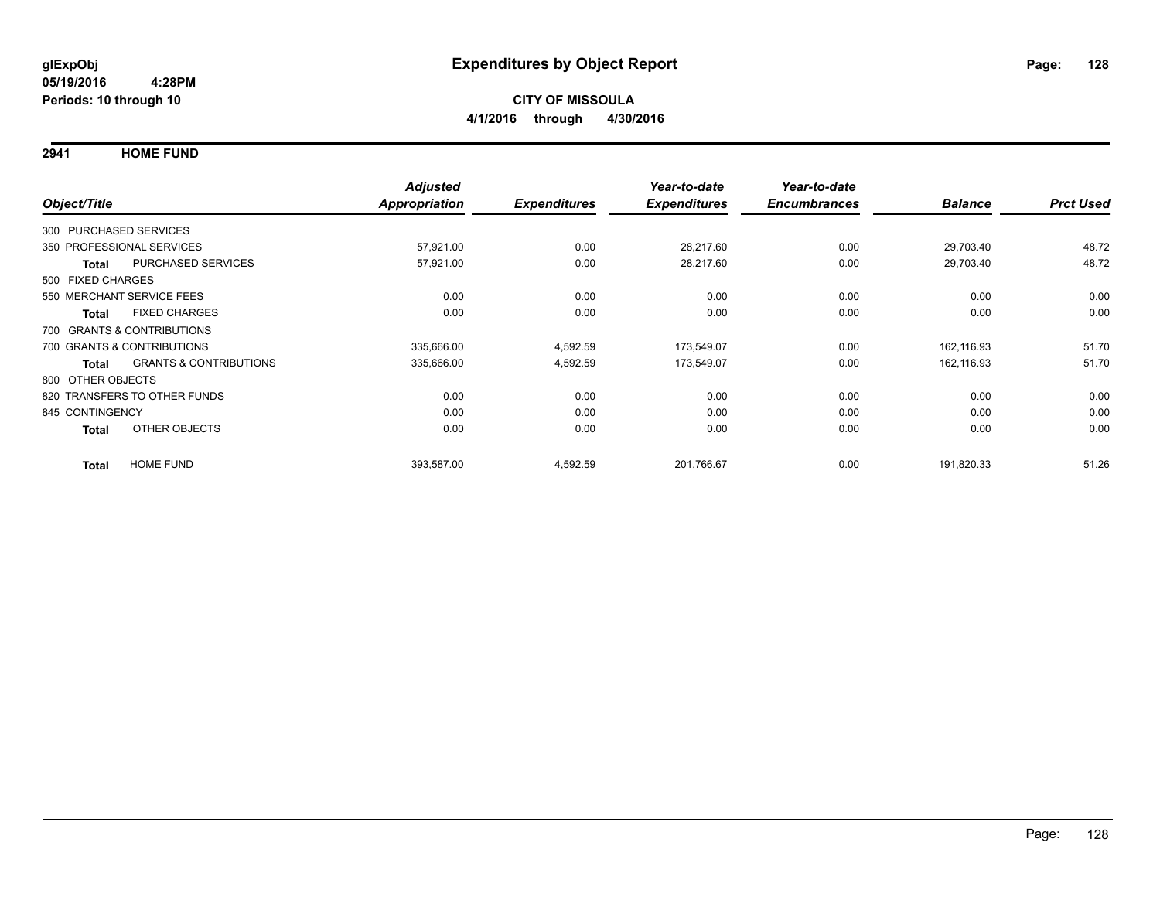**2941 HOME FUND**

|                   |                                   | <b>Adjusted</b>      |                     | Year-to-date        | Year-to-date        |                |                  |
|-------------------|-----------------------------------|----------------------|---------------------|---------------------|---------------------|----------------|------------------|
| Object/Title      |                                   | <b>Appropriation</b> | <b>Expenditures</b> | <b>Expenditures</b> | <b>Encumbrances</b> | <b>Balance</b> | <b>Prct Used</b> |
|                   | 300 PURCHASED SERVICES            |                      |                     |                     |                     |                |                  |
|                   | 350 PROFESSIONAL SERVICES         | 57,921.00            | 0.00                | 28,217.60           | 0.00                | 29,703.40      | 48.72            |
| <b>Total</b>      | <b>PURCHASED SERVICES</b>         | 57,921.00            | 0.00                | 28,217.60           | 0.00                | 29,703.40      | 48.72            |
| 500 FIXED CHARGES |                                   |                      |                     |                     |                     |                |                  |
|                   | 550 MERCHANT SERVICE FEES         | 0.00                 | 0.00                | 0.00                | 0.00                | 0.00           | 0.00             |
| <b>Total</b>      | <b>FIXED CHARGES</b>              | 0.00                 | 0.00                | 0.00                | 0.00                | 0.00           | 0.00             |
|                   | 700 GRANTS & CONTRIBUTIONS        |                      |                     |                     |                     |                |                  |
|                   | 700 GRANTS & CONTRIBUTIONS        | 335,666.00           | 4,592.59            | 173,549.07          | 0.00                | 162,116.93     | 51.70            |
| <b>Total</b>      | <b>GRANTS &amp; CONTRIBUTIONS</b> | 335,666.00           | 4,592.59            | 173.549.07          | 0.00                | 162,116.93     | 51.70            |
| 800 OTHER OBJECTS |                                   |                      |                     |                     |                     |                |                  |
|                   | 820 TRANSFERS TO OTHER FUNDS      | 0.00                 | 0.00                | 0.00                | 0.00                | 0.00           | 0.00             |
| 845 CONTINGENCY   |                                   | 0.00                 | 0.00                | 0.00                | 0.00                | 0.00           | 0.00             |
| <b>Total</b>      | OTHER OBJECTS                     | 0.00                 | 0.00                | 0.00                | 0.00                | 0.00           | 0.00             |
| <b>Total</b>      | <b>HOME FUND</b>                  | 393,587.00           | 4,592.59            | 201,766.67          | 0.00                | 191,820.33     | 51.26            |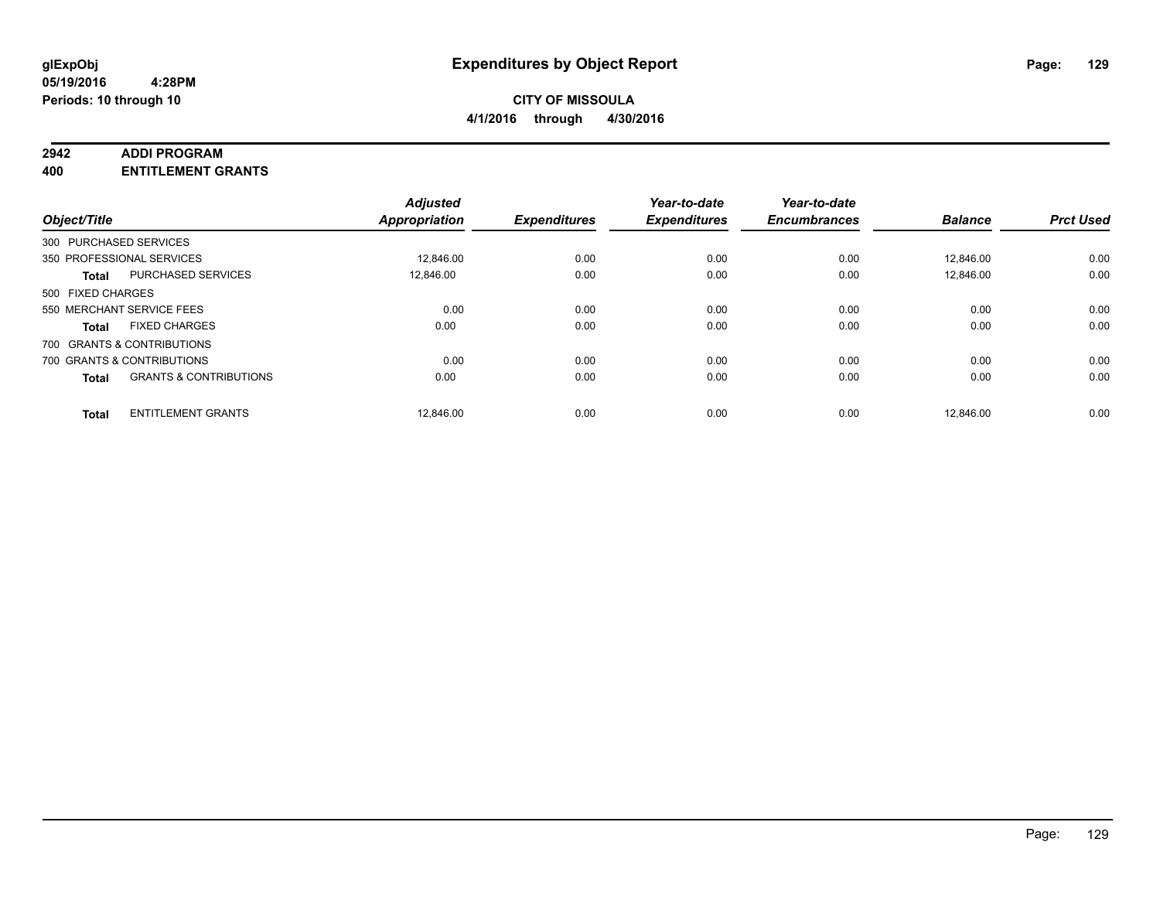#### **2942 ADDI PROGRAM**

**400 ENTITLEMENT GRANTS**

| Object/Title      |                                   | <b>Adjusted</b><br><b>Appropriation</b> | <b>Expenditures</b> | Year-to-date<br><b>Expenditures</b> | Year-to-date<br><b>Encumbrances</b> | <b>Balance</b> | <b>Prct Used</b> |
|-------------------|-----------------------------------|-----------------------------------------|---------------------|-------------------------------------|-------------------------------------|----------------|------------------|
|                   | 300 PURCHASED SERVICES            |                                         |                     |                                     |                                     |                |                  |
|                   | 350 PROFESSIONAL SERVICES         | 12,846.00                               | 0.00                | 0.00                                | 0.00                                | 12,846.00      | 0.00             |
| <b>Total</b>      | <b>PURCHASED SERVICES</b>         | 12.846.00                               | 0.00                | 0.00                                | 0.00                                | 12.846.00      | 0.00             |
| 500 FIXED CHARGES |                                   |                                         |                     |                                     |                                     |                |                  |
|                   | 550 MERCHANT SERVICE FEES         | 0.00                                    | 0.00                | 0.00                                | 0.00                                | 0.00           | 0.00             |
| <b>Total</b>      | <b>FIXED CHARGES</b>              | 0.00                                    | 0.00                | 0.00                                | 0.00                                | 0.00           | 0.00             |
|                   | 700 GRANTS & CONTRIBUTIONS        |                                         |                     |                                     |                                     |                |                  |
|                   | 700 GRANTS & CONTRIBUTIONS        | 0.00                                    | 0.00                | 0.00                                | 0.00                                | 0.00           | 0.00             |
| <b>Total</b>      | <b>GRANTS &amp; CONTRIBUTIONS</b> | 0.00                                    | 0.00                | 0.00                                | 0.00                                | 0.00           | 0.00             |
| <b>Total</b>      | <b>ENTITLEMENT GRANTS</b>         | 12.846.00                               | 0.00                | 0.00                                | 0.00                                | 12.846.00      | 0.00             |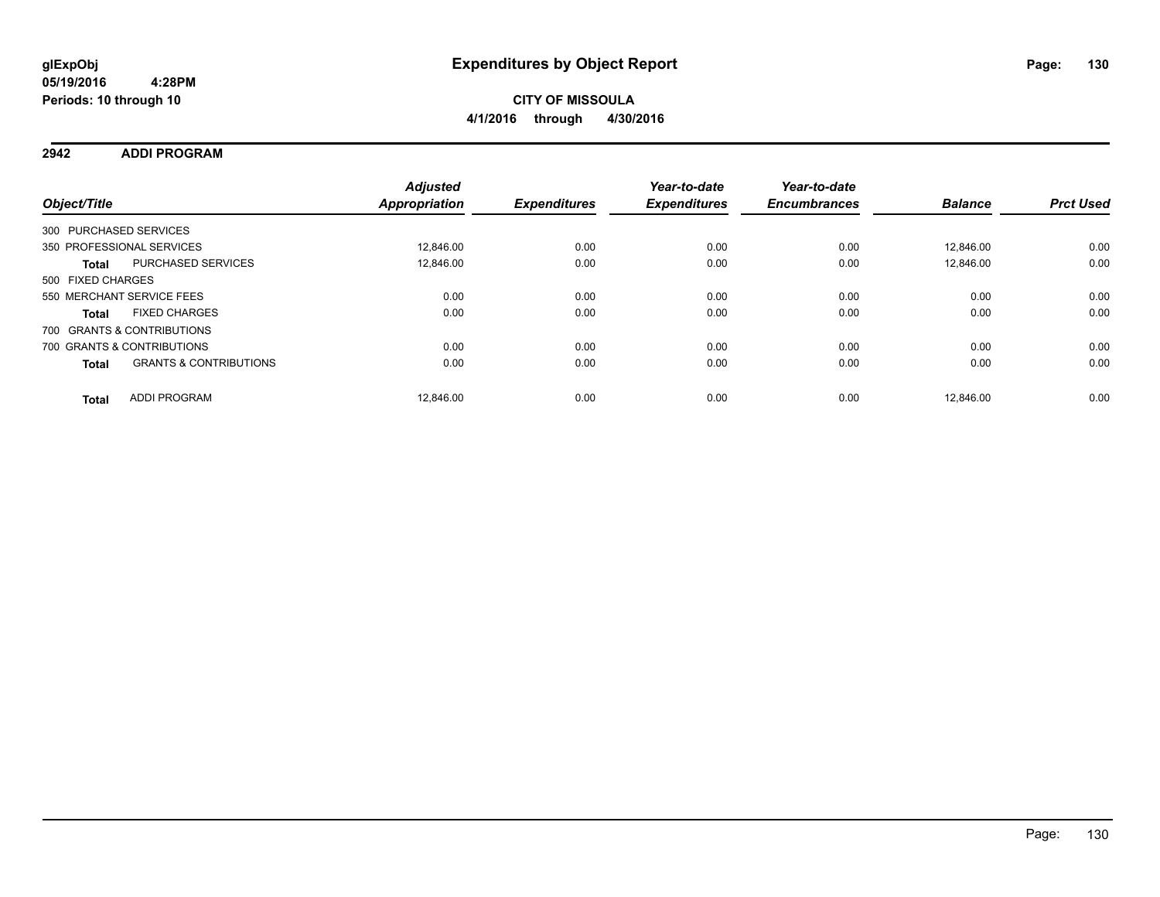### **2942 ADDI PROGRAM**

| Object/Title           |                                   | <b>Adjusted</b><br>Appropriation | <b>Expenditures</b> | Year-to-date<br><b>Expenditures</b> | Year-to-date<br><b>Encumbrances</b> | <b>Balance</b> | <b>Prct Used</b> |
|------------------------|-----------------------------------|----------------------------------|---------------------|-------------------------------------|-------------------------------------|----------------|------------------|
| 300 PURCHASED SERVICES |                                   |                                  |                     |                                     |                                     |                |                  |
|                        | 350 PROFESSIONAL SERVICES         | 12.846.00                        | 0.00                | 0.00                                | 0.00                                | 12.846.00      | 0.00             |
| <b>Total</b>           | <b>PURCHASED SERVICES</b>         | 12.846.00                        | 0.00                | 0.00                                | 0.00                                | 12.846.00      | 0.00             |
| 500 FIXED CHARGES      |                                   |                                  |                     |                                     |                                     |                |                  |
|                        | 550 MERCHANT SERVICE FEES         | 0.00                             | 0.00                | 0.00                                | 0.00                                | 0.00           | 0.00             |
| <b>Total</b>           | <b>FIXED CHARGES</b>              | 0.00                             | 0.00                | 0.00                                | 0.00                                | 0.00           | 0.00             |
|                        | 700 GRANTS & CONTRIBUTIONS        |                                  |                     |                                     |                                     |                |                  |
|                        | 700 GRANTS & CONTRIBUTIONS        | 0.00                             | 0.00                | 0.00                                | 0.00                                | 0.00           | 0.00             |
| <b>Total</b>           | <b>GRANTS &amp; CONTRIBUTIONS</b> | 0.00                             | 0.00                | 0.00                                | 0.00                                | 0.00           | 0.00             |
| <b>Total</b>           | <b>ADDI PROGRAM</b>               | 12.846.00                        | 0.00                | 0.00                                | 0.00                                | 12.846.00      | 0.00             |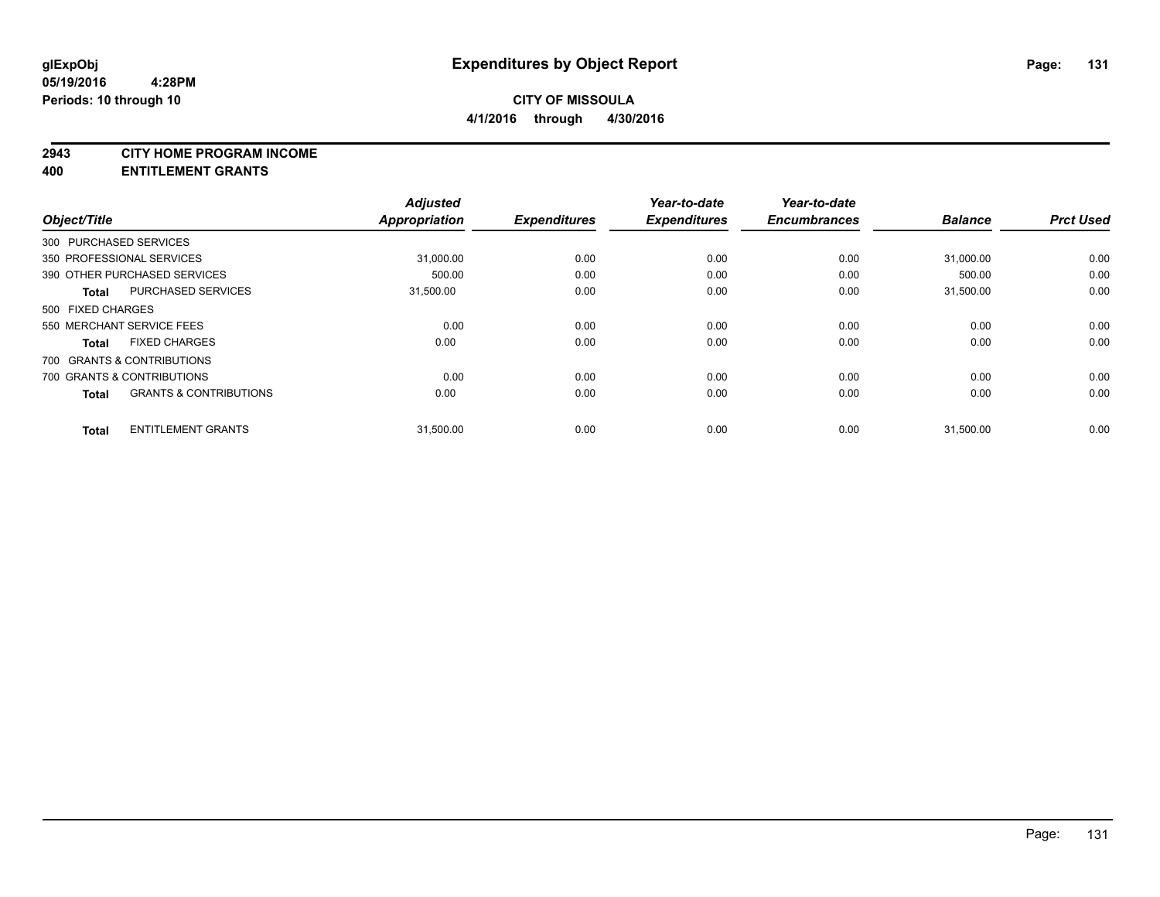#### **2943 CITY HOME PROGRAM INCOME**

**400 ENTITLEMENT GRANTS**

| Object/Title      |                                   | <b>Adjusted</b><br><b>Appropriation</b> | <b>Expenditures</b> | Year-to-date<br><b>Expenditures</b> | Year-to-date<br><b>Encumbrances</b> | <b>Balance</b> | <b>Prct Used</b> |
|-------------------|-----------------------------------|-----------------------------------------|---------------------|-------------------------------------|-------------------------------------|----------------|------------------|
|                   | 300 PURCHASED SERVICES            |                                         |                     |                                     |                                     |                |                  |
|                   | 350 PROFESSIONAL SERVICES         | 31,000.00                               | 0.00                | 0.00                                | 0.00                                | 31.000.00      | 0.00             |
|                   | 390 OTHER PURCHASED SERVICES      | 500.00                                  | 0.00                | 0.00                                | 0.00                                | 500.00         | 0.00             |
| <b>Total</b>      | <b>PURCHASED SERVICES</b>         | 31,500.00                               | 0.00                | 0.00                                | 0.00                                | 31,500.00      | 0.00             |
| 500 FIXED CHARGES |                                   |                                         |                     |                                     |                                     |                |                  |
|                   | 550 MERCHANT SERVICE FEES         | 0.00                                    | 0.00                | 0.00                                | 0.00                                | 0.00           | 0.00             |
| <b>Total</b>      | <b>FIXED CHARGES</b>              | 0.00                                    | 0.00                | 0.00                                | 0.00                                | 0.00           | 0.00             |
|                   | 700 GRANTS & CONTRIBUTIONS        |                                         |                     |                                     |                                     |                |                  |
|                   | 700 GRANTS & CONTRIBUTIONS        | 0.00                                    | 0.00                | 0.00                                | 0.00                                | 0.00           | 0.00             |
| <b>Total</b>      | <b>GRANTS &amp; CONTRIBUTIONS</b> | 0.00                                    | 0.00                | 0.00                                | 0.00                                | 0.00           | 0.00             |
|                   |                                   |                                         |                     |                                     |                                     |                |                  |
| <b>Total</b>      | <b>ENTITLEMENT GRANTS</b>         | 31,500.00                               | 0.00                | 0.00                                | 0.00                                | 31,500.00      | 0.00             |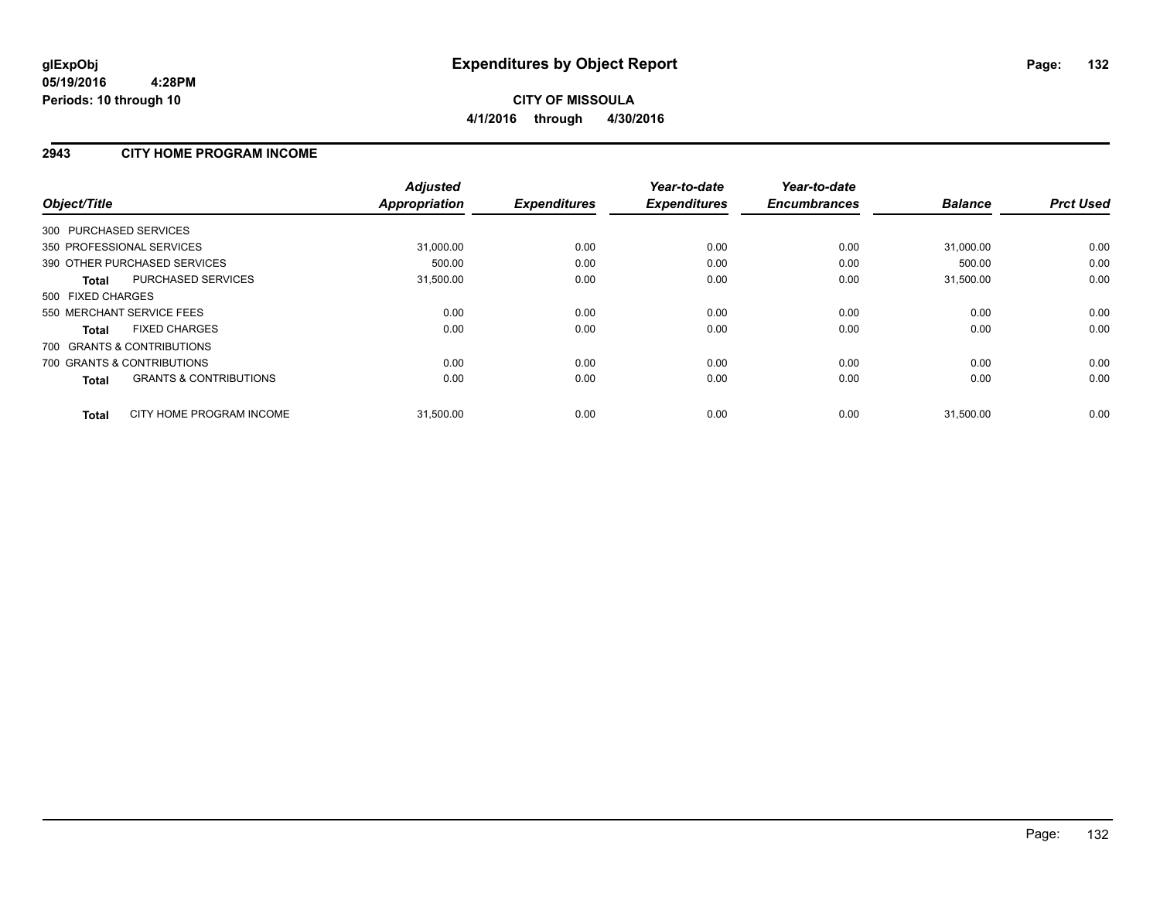### **2943 CITY HOME PROGRAM INCOME**

| Object/Title                                      | <b>Adjusted</b><br><b>Appropriation</b> | <b>Expenditures</b> | Year-to-date<br><b>Expenditures</b> | Year-to-date<br><b>Encumbrances</b> | <b>Balance</b> | <b>Prct Used</b> |
|---------------------------------------------------|-----------------------------------------|---------------------|-------------------------------------|-------------------------------------|----------------|------------------|
| 300 PURCHASED SERVICES                            |                                         |                     |                                     |                                     |                |                  |
| 350 PROFESSIONAL SERVICES                         | 31,000.00                               | 0.00                | 0.00                                | 0.00                                | 31,000.00      | 0.00             |
| 390 OTHER PURCHASED SERVICES                      | 500.00                                  | 0.00                | 0.00                                | 0.00                                | 500.00         | 0.00             |
| PURCHASED SERVICES<br>Total                       | 31,500.00                               | 0.00                | 0.00                                | 0.00                                | 31,500.00      | 0.00             |
| 500 FIXED CHARGES                                 |                                         |                     |                                     |                                     |                |                  |
| 550 MERCHANT SERVICE FEES                         | 0.00                                    | 0.00                | 0.00                                | 0.00                                | 0.00           | 0.00             |
| <b>FIXED CHARGES</b><br><b>Total</b>              | 0.00                                    | 0.00                | 0.00                                | 0.00                                | 0.00           | 0.00             |
| 700 GRANTS & CONTRIBUTIONS                        |                                         |                     |                                     |                                     |                |                  |
| 700 GRANTS & CONTRIBUTIONS                        | 0.00                                    | 0.00                | 0.00                                | 0.00                                | 0.00           | 0.00             |
| <b>GRANTS &amp; CONTRIBUTIONS</b><br><b>Total</b> | 0.00                                    | 0.00                | 0.00                                | 0.00                                | 0.00           | 0.00             |
| CITY HOME PROGRAM INCOME<br><b>Total</b>          | 31,500.00                               | 0.00                | 0.00                                | 0.00                                | 31,500.00      | 0.00             |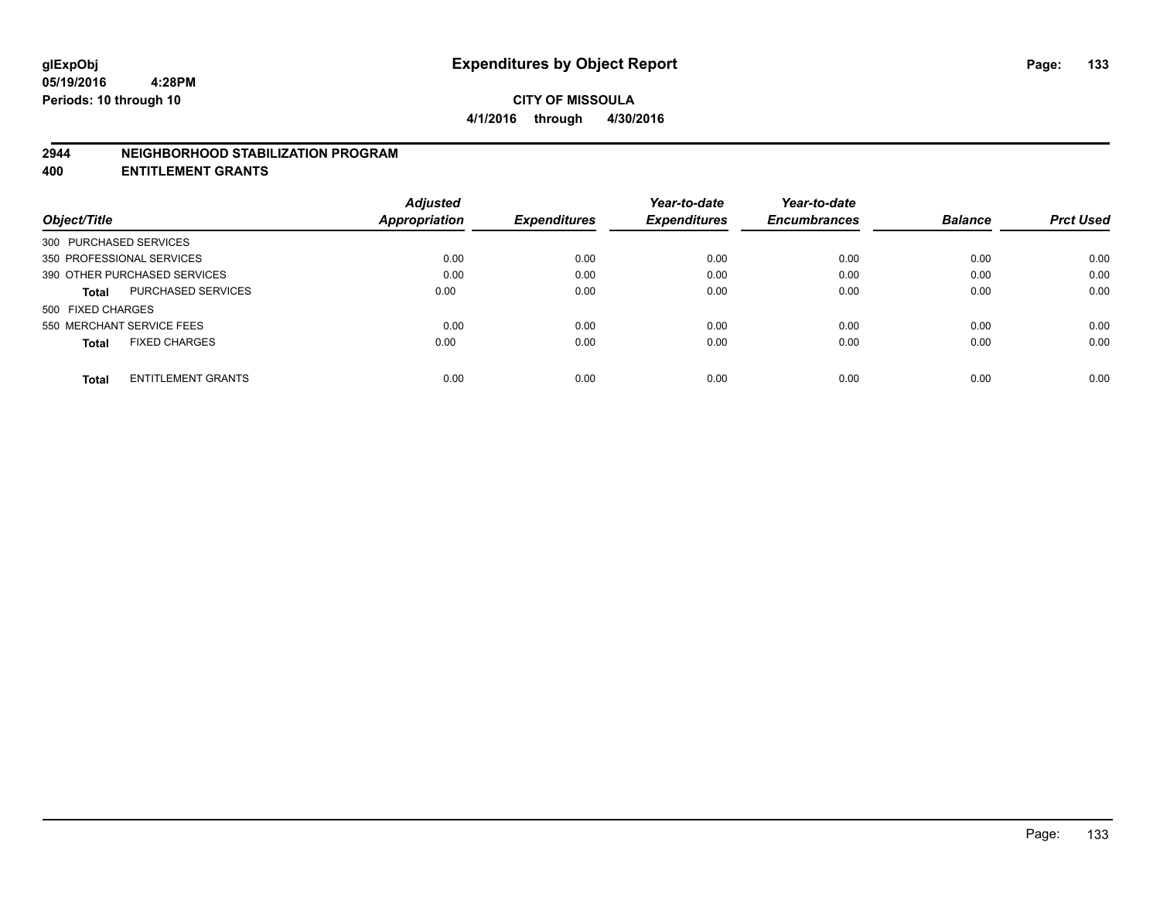#### **2944 NEIGHBORHOOD STABILIZATION PROGRAM**

**400 ENTITLEMENT GRANTS**

| Object/Title                              | <b>Adjusted</b><br><b>Appropriation</b> | <b>Expenditures</b> | Year-to-date<br><b>Expenditures</b> | Year-to-date<br><b>Encumbrances</b> | <b>Balance</b> | <b>Prct Used</b> |
|-------------------------------------------|-----------------------------------------|---------------------|-------------------------------------|-------------------------------------|----------------|------------------|
| 300 PURCHASED SERVICES                    |                                         |                     |                                     |                                     |                |                  |
| 350 PROFESSIONAL SERVICES                 | 0.00                                    | 0.00                | 0.00                                | 0.00                                | 0.00           | 0.00             |
| 390 OTHER PURCHASED SERVICES              | 0.00                                    | 0.00                | 0.00                                | 0.00                                | 0.00           | 0.00             |
| <b>PURCHASED SERVICES</b><br><b>Total</b> | 0.00                                    | 0.00                | 0.00                                | 0.00                                | 0.00           | 0.00             |
| 500 FIXED CHARGES                         |                                         |                     |                                     |                                     |                |                  |
| 550 MERCHANT SERVICE FEES                 | 0.00                                    | 0.00                | 0.00                                | 0.00                                | 0.00           | 0.00             |
| <b>FIXED CHARGES</b><br><b>Total</b>      | 0.00                                    | 0.00                | 0.00                                | 0.00                                | 0.00           | 0.00             |
| <b>ENTITLEMENT GRANTS</b><br><b>Total</b> | 0.00                                    | 0.00                | 0.00                                | 0.00                                | 0.00           | 0.00             |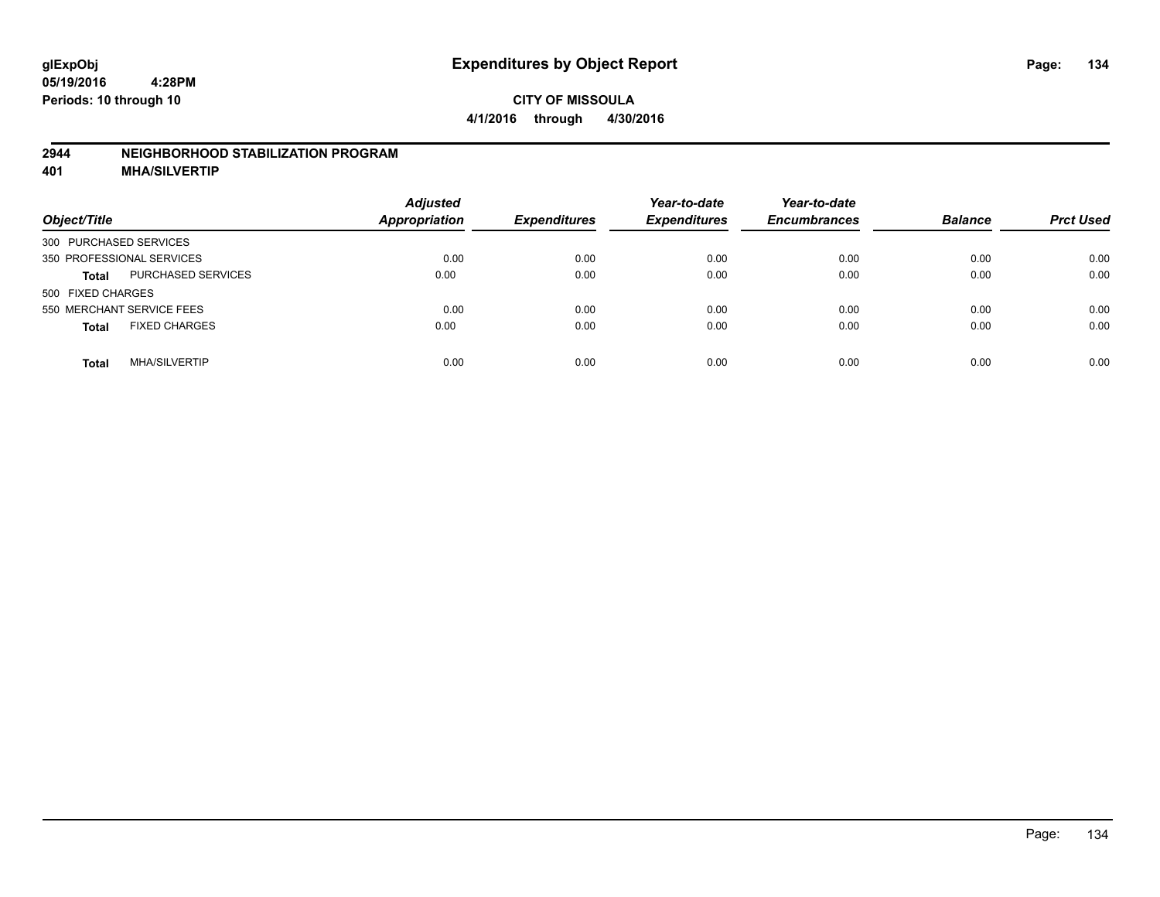#### **2944 NEIGHBORHOOD STABILIZATION PROGRAM**

**401 MHA/SILVERTIP**

| Object/Title                              | <b>Adjusted</b><br><b>Appropriation</b> | <b>Expenditures</b> | Year-to-date<br><b>Expenditures</b> | Year-to-date<br><b>Encumbrances</b> | <b>Balance</b> | <b>Prct Used</b> |
|-------------------------------------------|-----------------------------------------|---------------------|-------------------------------------|-------------------------------------|----------------|------------------|
| 300 PURCHASED SERVICES                    |                                         |                     |                                     |                                     |                |                  |
| 350 PROFESSIONAL SERVICES                 | 0.00                                    | 0.00                | 0.00                                | 0.00                                | 0.00           | 0.00             |
| <b>PURCHASED SERVICES</b><br><b>Total</b> | 0.00                                    | 0.00                | 0.00                                | 0.00                                | 0.00           | 0.00             |
| 500 FIXED CHARGES                         |                                         |                     |                                     |                                     |                |                  |
| 550 MERCHANT SERVICE FEES                 | 0.00                                    | 0.00                | 0.00                                | 0.00                                | 0.00           | 0.00             |
| <b>FIXED CHARGES</b><br><b>Total</b>      | 0.00                                    | 0.00                | 0.00                                | 0.00                                | 0.00           | 0.00             |
| <b>MHA/SILVERTIP</b><br>Total             | 0.00                                    | 0.00                | 0.00                                | 0.00                                | 0.00           | 0.00             |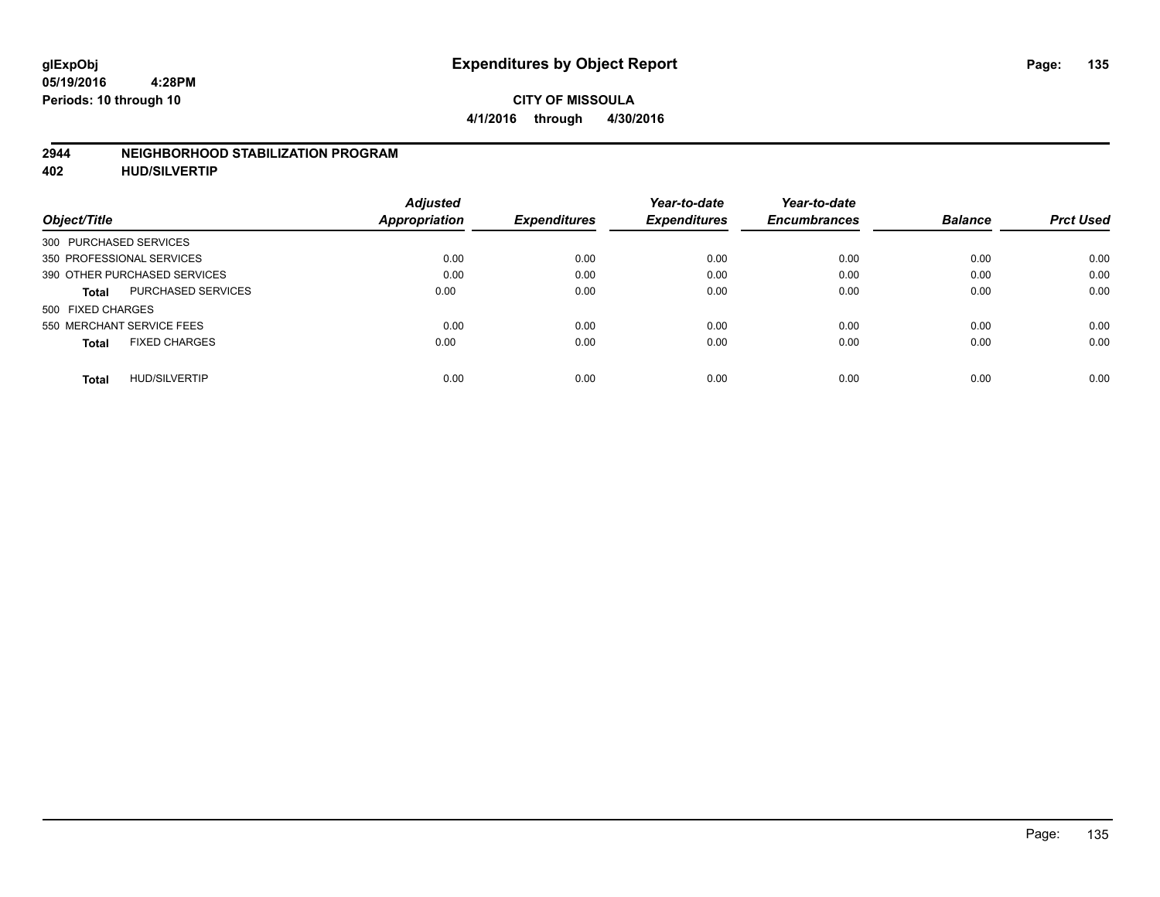#### **2944 NEIGHBORHOOD STABILIZATION PROGRAM**

**402 HUD/SILVERTIP**

|                                           | <b>Adjusted</b>      |                     | Year-to-date        | Year-to-date        |                |                  |
|-------------------------------------------|----------------------|---------------------|---------------------|---------------------|----------------|------------------|
| Object/Title                              | <b>Appropriation</b> | <b>Expenditures</b> | <b>Expenditures</b> | <b>Encumbrances</b> | <b>Balance</b> | <b>Prct Used</b> |
| 300 PURCHASED SERVICES                    |                      |                     |                     |                     |                |                  |
| 350 PROFESSIONAL SERVICES                 | 0.00                 | 0.00                | 0.00                | 0.00                | 0.00           | 0.00             |
| 390 OTHER PURCHASED SERVICES              | 0.00                 | 0.00                | 0.00                | 0.00                | 0.00           | 0.00             |
| <b>PURCHASED SERVICES</b><br><b>Total</b> | 0.00                 | 0.00                | 0.00                | 0.00                | 0.00           | 0.00             |
| 500 FIXED CHARGES                         |                      |                     |                     |                     |                |                  |
| 550 MERCHANT SERVICE FEES                 | 0.00                 | 0.00                | 0.00                | 0.00                | 0.00           | 0.00             |
| <b>FIXED CHARGES</b><br><b>Total</b>      | 0.00                 | 0.00                | 0.00                | 0.00                | 0.00           | 0.00             |
|                                           |                      |                     |                     |                     |                |                  |
| <b>HUD/SILVERTIP</b><br><b>Total</b>      | 0.00                 | 0.00                | 0.00                | 0.00                | 0.00           | 0.00             |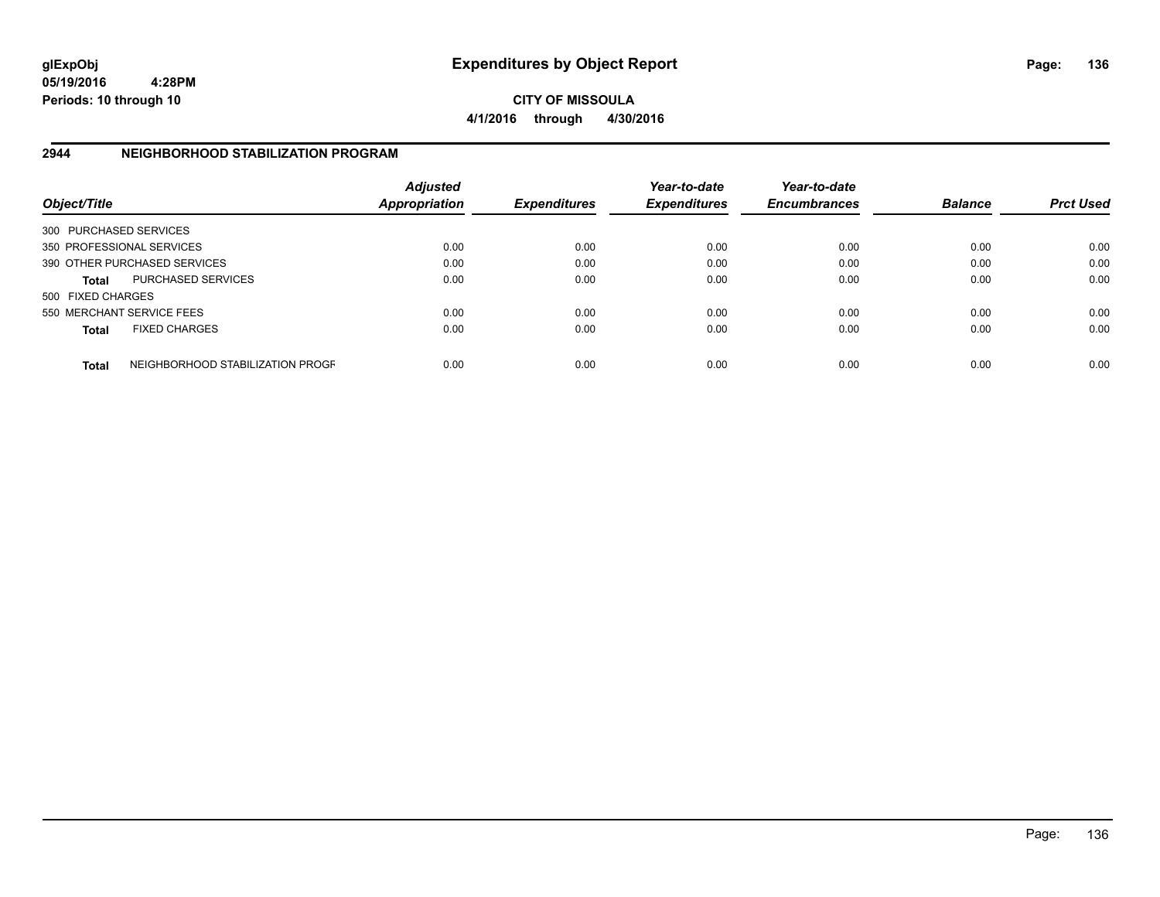**05/19/2016 4:28PM Periods: 10 through 10**

**CITY OF MISSOULA 4/1/2016 through 4/30/2016**

# **2944 NEIGHBORHOOD STABILIZATION PROGRAM**

| Object/Title           |                                  | <b>Adjusted</b><br><b>Appropriation</b> | <b>Expenditures</b> | Year-to-date<br><b>Expenditures</b> | Year-to-date<br><b>Encumbrances</b> | <b>Balance</b> | <b>Prct Used</b> |
|------------------------|----------------------------------|-----------------------------------------|---------------------|-------------------------------------|-------------------------------------|----------------|------------------|
| 300 PURCHASED SERVICES |                                  |                                         |                     |                                     |                                     |                |                  |
|                        | 350 PROFESSIONAL SERVICES        | 0.00                                    | 0.00                | 0.00                                | 0.00                                | 0.00           | 0.00             |
|                        | 390 OTHER PURCHASED SERVICES     | 0.00                                    | 0.00                | 0.00                                | 0.00                                | 0.00           | 0.00             |
| <b>Total</b>           | <b>PURCHASED SERVICES</b>        | 0.00                                    | 0.00                | 0.00                                | 0.00                                | 0.00           | 0.00             |
| 500 FIXED CHARGES      |                                  |                                         |                     |                                     |                                     |                |                  |
|                        | 550 MERCHANT SERVICE FEES        | 0.00                                    | 0.00                | 0.00                                | 0.00                                | 0.00           | 0.00             |
| <b>Total</b>           | <b>FIXED CHARGES</b>             | 0.00                                    | 0.00                | 0.00                                | 0.00                                | 0.00           | 0.00             |
| <b>Total</b>           | NEIGHBORHOOD STABILIZATION PROGF | 0.00                                    | 0.00                | 0.00                                | 0.00                                | 0.00           | 0.00             |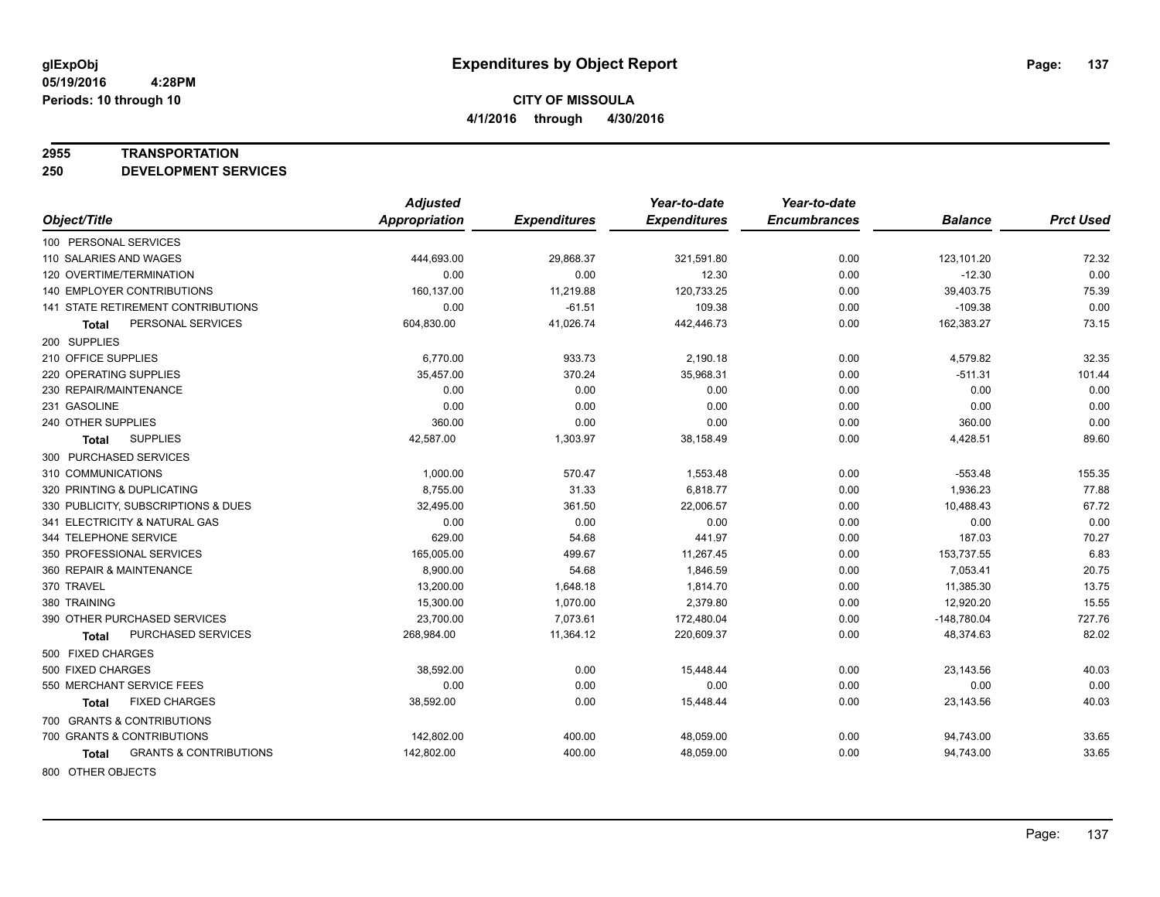#### **2955 TRANSPORTATION**

**250 DEVELOPMENT SERVICES**

|                                            | <b>Adjusted</b>      |                     | Year-to-date        | Year-to-date        |                |                  |
|--------------------------------------------|----------------------|---------------------|---------------------|---------------------|----------------|------------------|
| Object/Title                               | <b>Appropriation</b> | <b>Expenditures</b> | <b>Expenditures</b> | <b>Encumbrances</b> | <b>Balance</b> | <b>Prct Used</b> |
| 100 PERSONAL SERVICES                      |                      |                     |                     |                     |                |                  |
| 110 SALARIES AND WAGES                     | 444,693.00           | 29,868.37           | 321,591.80          | 0.00                | 123,101.20     | 72.32            |
| 120 OVERTIME/TERMINATION                   | 0.00                 | 0.00                | 12.30               | 0.00                | $-12.30$       | 0.00             |
| 140 EMPLOYER CONTRIBUTIONS                 | 160,137.00           | 11,219.88           | 120,733.25          | 0.00                | 39,403.75      | 75.39            |
| 141 STATE RETIREMENT CONTRIBUTIONS         | 0.00                 | $-61.51$            | 109.38              | 0.00                | $-109.38$      | 0.00             |
| PERSONAL SERVICES<br>Total                 | 604,830.00           | 41,026.74           | 442,446.73          | 0.00                | 162,383.27     | 73.15            |
| 200 SUPPLIES                               |                      |                     |                     |                     |                |                  |
| 210 OFFICE SUPPLIES                        | 6,770.00             | 933.73              | 2,190.18            | 0.00                | 4,579.82       | 32.35            |
| 220 OPERATING SUPPLIES                     | 35,457.00            | 370.24              | 35,968.31           | 0.00                | $-511.31$      | 101.44           |
| 230 REPAIR/MAINTENANCE                     | 0.00                 | 0.00                | 0.00                | 0.00                | 0.00           | 0.00             |
| 231 GASOLINE                               | 0.00                 | 0.00                | 0.00                | 0.00                | 0.00           | 0.00             |
| 240 OTHER SUPPLIES                         | 360.00               | 0.00                | 0.00                | 0.00                | 360.00         | 0.00             |
| <b>SUPPLIES</b><br>Total                   | 42,587.00            | 1,303.97            | 38,158.49           | 0.00                | 4,428.51       | 89.60            |
| 300 PURCHASED SERVICES                     |                      |                     |                     |                     |                |                  |
| 310 COMMUNICATIONS                         | 1,000.00             | 570.47              | 1,553.48            | 0.00                | $-553.48$      | 155.35           |
| 320 PRINTING & DUPLICATING                 | 8,755.00             | 31.33               | 6,818.77            | 0.00                | 1,936.23       | 77.88            |
| 330 PUBLICITY, SUBSCRIPTIONS & DUES        | 32,495.00            | 361.50              | 22,006.57           | 0.00                | 10,488.43      | 67.72            |
| 341 ELECTRICITY & NATURAL GAS              | 0.00                 | 0.00                | 0.00                | 0.00                | 0.00           | 0.00             |
| 344 TELEPHONE SERVICE                      | 629.00               | 54.68               | 441.97              | 0.00                | 187.03         | 70.27            |
| 350 PROFESSIONAL SERVICES                  | 165,005.00           | 499.67              | 11,267.45           | 0.00                | 153,737.55     | 6.83             |
| 360 REPAIR & MAINTENANCE                   | 8,900.00             | 54.68               | 1,846.59            | 0.00                | 7,053.41       | 20.75            |
| 370 TRAVEL                                 | 13,200.00            | 1,648.18            | 1,814.70            | 0.00                | 11,385.30      | 13.75            |
| 380 TRAINING                               | 15,300.00            | 1,070.00            | 2,379.80            | 0.00                | 12,920.20      | 15.55            |
| 390 OTHER PURCHASED SERVICES               | 23,700.00            | 7,073.61            | 172,480.04          | 0.00                | $-148,780.04$  | 727.76           |
| PURCHASED SERVICES<br>Total                | 268,984.00           | 11,364.12           | 220,609.37          | 0.00                | 48,374.63      | 82.02            |
| 500 FIXED CHARGES                          |                      |                     |                     |                     |                |                  |
| 500 FIXED CHARGES                          | 38,592.00            | 0.00                | 15,448.44           | 0.00                | 23,143.56      | 40.03            |
| 550 MERCHANT SERVICE FEES                  | 0.00                 | 0.00                | 0.00                | 0.00                | 0.00           | 0.00             |
| <b>FIXED CHARGES</b><br>Total              | 38,592.00            | 0.00                | 15,448.44           | 0.00                | 23,143.56      | 40.03            |
| 700 GRANTS & CONTRIBUTIONS                 |                      |                     |                     |                     |                |                  |
| 700 GRANTS & CONTRIBUTIONS                 | 142,802.00           | 400.00              | 48,059.00           | 0.00                | 94,743.00      | 33.65            |
| <b>GRANTS &amp; CONTRIBUTIONS</b><br>Total | 142,802.00           | 400.00              | 48,059.00           | 0.00                | 94,743.00      | 33.65            |
| 800 OTHER OBJECTS                          |                      |                     |                     |                     |                |                  |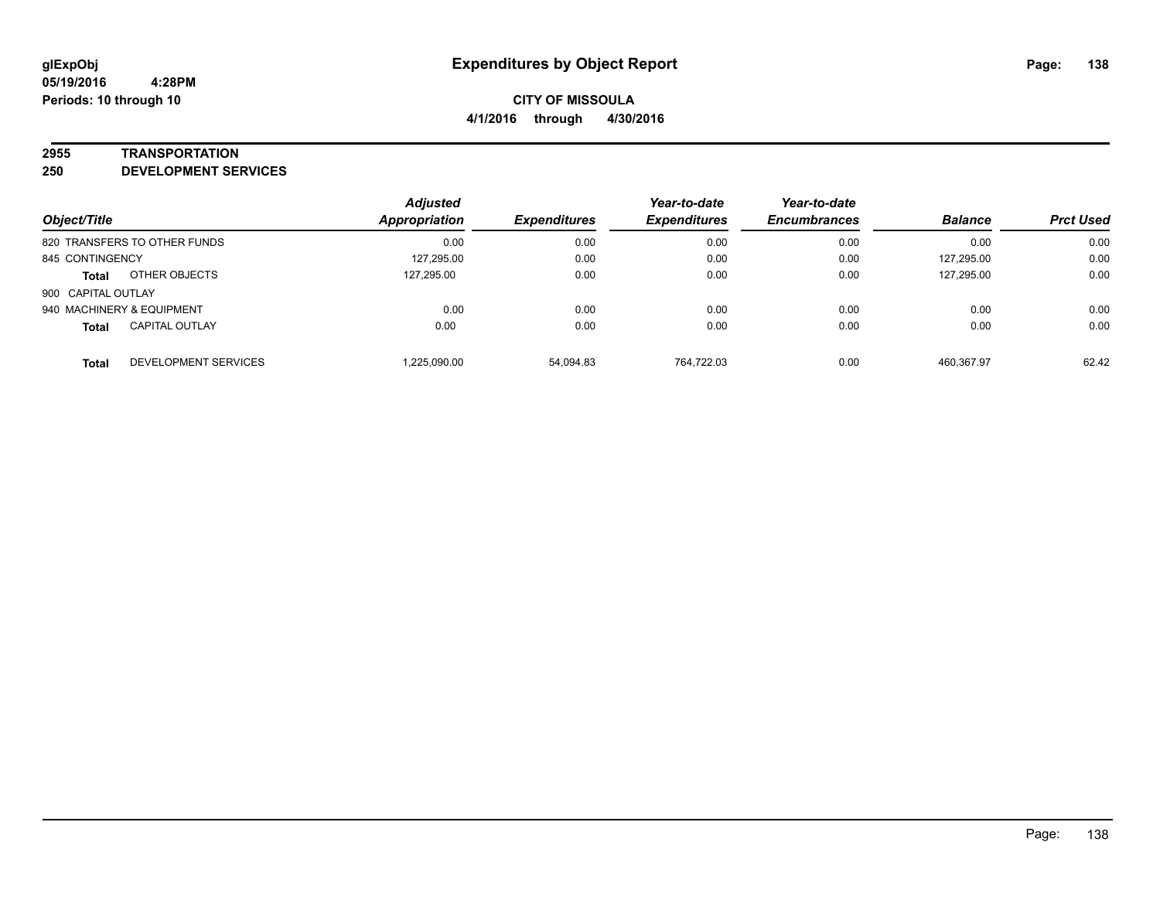#### **2955 TRANSPORTATION**

**250 DEVELOPMENT SERVICES**

| Object/Title                          | <b>Adjusted</b><br>Appropriation | <b>Expenditures</b> | Year-to-date<br><b>Expenditures</b> | Year-to-date<br><b>Encumbrances</b> | <b>Balance</b> | <b>Prct Used</b> |
|---------------------------------------|----------------------------------|---------------------|-------------------------------------|-------------------------------------|----------------|------------------|
| 820 TRANSFERS TO OTHER FUNDS          | 0.00                             | 0.00                | 0.00                                | 0.00                                | 0.00           | 0.00             |
| 845 CONTINGENCY                       | 127,295.00                       | 0.00                | 0.00                                | 0.00                                | 127,295.00     | 0.00             |
| OTHER OBJECTS<br><b>Total</b>         | 127.295.00                       | 0.00                | 0.00                                | 0.00                                | 127,295.00     | 0.00             |
| 900 CAPITAL OUTLAY                    |                                  |                     |                                     |                                     |                |                  |
| 940 MACHINERY & EQUIPMENT             | 0.00                             | 0.00                | 0.00                                | 0.00                                | 0.00           | 0.00             |
| <b>CAPITAL OUTLAY</b><br><b>Total</b> | 0.00                             | 0.00                | 0.00                                | 0.00                                | 0.00           | 0.00             |
| DEVELOPMENT SERVICES<br><b>Total</b>  | 1,225,090.00                     | 54,094.83           | 764.722.03                          | 0.00                                | 460.367.97     | 62.42            |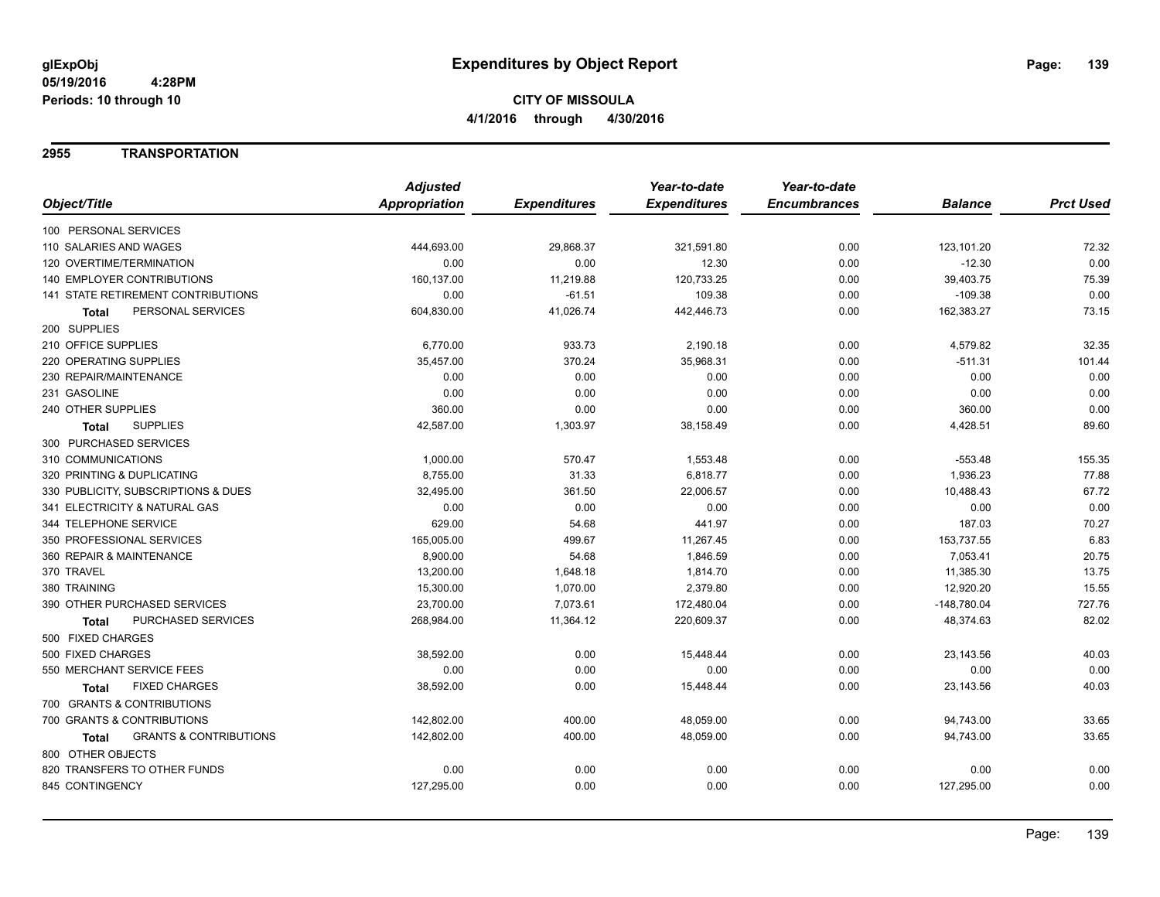# **2955 TRANSPORTATION**

| Object/Title<br><b>Appropriation</b><br><b>Expenditures</b><br><b>Encumbrances</b><br><b>Prct Used</b><br><b>Expenditures</b><br><b>Balance</b><br>100 PERSONAL SERVICES<br>0.00<br>123,101.20<br>72.32<br>110 SALARIES AND WAGES<br>444,693.00<br>29,868.37<br>321,591.80<br>$-12.30$<br>0.00<br>120 OVERTIME/TERMINATION<br>0.00<br>0.00<br>12.30<br>0.00<br>140 EMPLOYER CONTRIBUTIONS<br>11,219.88<br>75.39<br>160,137.00<br>120,733.25<br>0.00<br>39,403.75<br>0.00<br>141 STATE RETIREMENT CONTRIBUTIONS<br>$-61.51$<br>109.38<br>$-109.38$<br>0.00<br>0.00<br>73.15<br>PERSONAL SERVICES<br>41,026.74<br>442,446.73<br>162,383.27<br>604,830.00<br>0.00<br><b>Total</b><br>200 SUPPLIES<br>32.35<br>210 OFFICE SUPPLIES<br>6,770.00<br>933.73<br>2,190.18<br>0.00<br>4,579.82<br>370.24<br>$-511.31$<br>101.44<br>220 OPERATING SUPPLIES<br>35,457.00<br>35,968.31<br>0.00<br>0.00<br>0.00<br>230 REPAIR/MAINTENANCE<br>0.00<br>0.00<br>0.00<br>0.00<br>0.00<br>0.00<br>231 GASOLINE<br>0.00<br>0.00<br>0.00<br>0.00<br>240 OTHER SUPPLIES<br>360.00<br>0.00<br>0.00<br>360.00<br>0.00<br>0.00<br>89.60<br><b>SUPPLIES</b><br>42,587.00<br>1,303.97<br>4,428.51<br>38,158.49<br>0.00<br>Total<br>300 PURCHASED SERVICES<br>310 COMMUNICATIONS<br>155.35<br>1,000.00<br>570.47<br>1,553.48<br>0.00<br>$-553.48$<br>31.33<br>77.88<br>320 PRINTING & DUPLICATING<br>8,755.00<br>6,818.77<br>0.00<br>1,936.23<br>67.72<br>330 PUBLICITY, SUBSCRIPTIONS & DUES<br>32,495.00<br>361.50<br>22,006.57<br>0.00<br>10,488.43<br>0.00<br>0.00<br>341 ELECTRICITY & NATURAL GAS<br>0.00<br>0.00<br>0.00<br>0.00<br>344 TELEPHONE SERVICE<br>629.00<br>54.68<br>441.97<br>187.03<br>70.27<br>0.00<br>6.83<br>165,005.00<br>499.67<br>153,737.55<br>350 PROFESSIONAL SERVICES<br>11,267.45<br>0.00<br>20.75<br>360 REPAIR & MAINTENANCE<br>8,900.00<br>54.68<br>7,053.41<br>1,846.59<br>0.00<br>370 TRAVEL<br>11,385.30<br>13.75<br>13,200.00<br>1,648.18<br>1,814.70<br>0.00<br>1,070.00<br>2,379.80<br>12,920.20<br>15.55<br>380 TRAINING<br>15,300.00<br>0.00<br>390 OTHER PURCHASED SERVICES<br>23,700.00<br>7,073.61<br>172,480.04<br>$-148,780.04$<br>727.76<br>0.00<br>82.02<br><b>PURCHASED SERVICES</b><br>268,984.00<br>11,364.12<br>220,609.37<br>0.00<br>48,374.63<br><b>Total</b><br>500 FIXED CHARGES<br>500 FIXED CHARGES<br>38,592.00<br>0.00<br>15,448.44<br>0.00<br>23,143.56<br>40.03<br>0.00<br>0.00<br>550 MERCHANT SERVICE FEES<br>0.00<br>0.00<br>0.00<br>0.00<br><b>FIXED CHARGES</b><br>0.00<br>40.03<br>38,592.00<br>15,448.44<br>0.00<br>23,143.56<br><b>Total</b><br>700 GRANTS & CONTRIBUTIONS<br>700 GRANTS & CONTRIBUTIONS<br>142,802.00<br>400.00<br>48,059.00<br>0.00<br>94,743.00<br>33.65<br>33.65<br><b>GRANTS &amp; CONTRIBUTIONS</b><br>142,802.00<br>400.00<br>48,059.00<br>0.00<br>94,743.00<br>Total<br>800 OTHER OBJECTS<br>820 TRANSFERS TO OTHER FUNDS<br>0.00<br>0.00<br>0.00<br>0.00<br>0.00<br>0.00<br>0.00<br>845 CONTINGENCY<br>127,295.00<br>0.00<br>0.00<br>0.00<br>127,295.00 | <b>Adjusted</b> | Year-to-date | Year-to-date |  |
|-----------------------------------------------------------------------------------------------------------------------------------------------------------------------------------------------------------------------------------------------------------------------------------------------------------------------------------------------------------------------------------------------------------------------------------------------------------------------------------------------------------------------------------------------------------------------------------------------------------------------------------------------------------------------------------------------------------------------------------------------------------------------------------------------------------------------------------------------------------------------------------------------------------------------------------------------------------------------------------------------------------------------------------------------------------------------------------------------------------------------------------------------------------------------------------------------------------------------------------------------------------------------------------------------------------------------------------------------------------------------------------------------------------------------------------------------------------------------------------------------------------------------------------------------------------------------------------------------------------------------------------------------------------------------------------------------------------------------------------------------------------------------------------------------------------------------------------------------------------------------------------------------------------------------------------------------------------------------------------------------------------------------------------------------------------------------------------------------------------------------------------------------------------------------------------------------------------------------------------------------------------------------------------------------------------------------------------------------------------------------------------------------------------------------------------------------------------------------------------------------------------------------------------------------------------------------------------------------------------------------------------------------------------------------------------------------------------------------------------------------------------------------------------------------------------------------------------------------------------------------------------------------------------------------------------------------------------------------------------------------------------------------------|-----------------|--------------|--------------|--|
|                                                                                                                                                                                                                                                                                                                                                                                                                                                                                                                                                                                                                                                                                                                                                                                                                                                                                                                                                                                                                                                                                                                                                                                                                                                                                                                                                                                                                                                                                                                                                                                                                                                                                                                                                                                                                                                                                                                                                                                                                                                                                                                                                                                                                                                                                                                                                                                                                                                                                                                                                                                                                                                                                                                                                                                                                                                                                                                                                                                                                             |                 |              |              |  |
|                                                                                                                                                                                                                                                                                                                                                                                                                                                                                                                                                                                                                                                                                                                                                                                                                                                                                                                                                                                                                                                                                                                                                                                                                                                                                                                                                                                                                                                                                                                                                                                                                                                                                                                                                                                                                                                                                                                                                                                                                                                                                                                                                                                                                                                                                                                                                                                                                                                                                                                                                                                                                                                                                                                                                                                                                                                                                                                                                                                                                             |                 |              |              |  |
|                                                                                                                                                                                                                                                                                                                                                                                                                                                                                                                                                                                                                                                                                                                                                                                                                                                                                                                                                                                                                                                                                                                                                                                                                                                                                                                                                                                                                                                                                                                                                                                                                                                                                                                                                                                                                                                                                                                                                                                                                                                                                                                                                                                                                                                                                                                                                                                                                                                                                                                                                                                                                                                                                                                                                                                                                                                                                                                                                                                                                             |                 |              |              |  |
|                                                                                                                                                                                                                                                                                                                                                                                                                                                                                                                                                                                                                                                                                                                                                                                                                                                                                                                                                                                                                                                                                                                                                                                                                                                                                                                                                                                                                                                                                                                                                                                                                                                                                                                                                                                                                                                                                                                                                                                                                                                                                                                                                                                                                                                                                                                                                                                                                                                                                                                                                                                                                                                                                                                                                                                                                                                                                                                                                                                                                             |                 |              |              |  |
|                                                                                                                                                                                                                                                                                                                                                                                                                                                                                                                                                                                                                                                                                                                                                                                                                                                                                                                                                                                                                                                                                                                                                                                                                                                                                                                                                                                                                                                                                                                                                                                                                                                                                                                                                                                                                                                                                                                                                                                                                                                                                                                                                                                                                                                                                                                                                                                                                                                                                                                                                                                                                                                                                                                                                                                                                                                                                                                                                                                                                             |                 |              |              |  |
|                                                                                                                                                                                                                                                                                                                                                                                                                                                                                                                                                                                                                                                                                                                                                                                                                                                                                                                                                                                                                                                                                                                                                                                                                                                                                                                                                                                                                                                                                                                                                                                                                                                                                                                                                                                                                                                                                                                                                                                                                                                                                                                                                                                                                                                                                                                                                                                                                                                                                                                                                                                                                                                                                                                                                                                                                                                                                                                                                                                                                             |                 |              |              |  |
|                                                                                                                                                                                                                                                                                                                                                                                                                                                                                                                                                                                                                                                                                                                                                                                                                                                                                                                                                                                                                                                                                                                                                                                                                                                                                                                                                                                                                                                                                                                                                                                                                                                                                                                                                                                                                                                                                                                                                                                                                                                                                                                                                                                                                                                                                                                                                                                                                                                                                                                                                                                                                                                                                                                                                                                                                                                                                                                                                                                                                             |                 |              |              |  |
|                                                                                                                                                                                                                                                                                                                                                                                                                                                                                                                                                                                                                                                                                                                                                                                                                                                                                                                                                                                                                                                                                                                                                                                                                                                                                                                                                                                                                                                                                                                                                                                                                                                                                                                                                                                                                                                                                                                                                                                                                                                                                                                                                                                                                                                                                                                                                                                                                                                                                                                                                                                                                                                                                                                                                                                                                                                                                                                                                                                                                             |                 |              |              |  |
|                                                                                                                                                                                                                                                                                                                                                                                                                                                                                                                                                                                                                                                                                                                                                                                                                                                                                                                                                                                                                                                                                                                                                                                                                                                                                                                                                                                                                                                                                                                                                                                                                                                                                                                                                                                                                                                                                                                                                                                                                                                                                                                                                                                                                                                                                                                                                                                                                                                                                                                                                                                                                                                                                                                                                                                                                                                                                                                                                                                                                             |                 |              |              |  |
|                                                                                                                                                                                                                                                                                                                                                                                                                                                                                                                                                                                                                                                                                                                                                                                                                                                                                                                                                                                                                                                                                                                                                                                                                                                                                                                                                                                                                                                                                                                                                                                                                                                                                                                                                                                                                                                                                                                                                                                                                                                                                                                                                                                                                                                                                                                                                                                                                                                                                                                                                                                                                                                                                                                                                                                                                                                                                                                                                                                                                             |                 |              |              |  |
|                                                                                                                                                                                                                                                                                                                                                                                                                                                                                                                                                                                                                                                                                                                                                                                                                                                                                                                                                                                                                                                                                                                                                                                                                                                                                                                                                                                                                                                                                                                                                                                                                                                                                                                                                                                                                                                                                                                                                                                                                                                                                                                                                                                                                                                                                                                                                                                                                                                                                                                                                                                                                                                                                                                                                                                                                                                                                                                                                                                                                             |                 |              |              |  |
|                                                                                                                                                                                                                                                                                                                                                                                                                                                                                                                                                                                                                                                                                                                                                                                                                                                                                                                                                                                                                                                                                                                                                                                                                                                                                                                                                                                                                                                                                                                                                                                                                                                                                                                                                                                                                                                                                                                                                                                                                                                                                                                                                                                                                                                                                                                                                                                                                                                                                                                                                                                                                                                                                                                                                                                                                                                                                                                                                                                                                             |                 |              |              |  |
|                                                                                                                                                                                                                                                                                                                                                                                                                                                                                                                                                                                                                                                                                                                                                                                                                                                                                                                                                                                                                                                                                                                                                                                                                                                                                                                                                                                                                                                                                                                                                                                                                                                                                                                                                                                                                                                                                                                                                                                                                                                                                                                                                                                                                                                                                                                                                                                                                                                                                                                                                                                                                                                                                                                                                                                                                                                                                                                                                                                                                             |                 |              |              |  |
|                                                                                                                                                                                                                                                                                                                                                                                                                                                                                                                                                                                                                                                                                                                                                                                                                                                                                                                                                                                                                                                                                                                                                                                                                                                                                                                                                                                                                                                                                                                                                                                                                                                                                                                                                                                                                                                                                                                                                                                                                                                                                                                                                                                                                                                                                                                                                                                                                                                                                                                                                                                                                                                                                                                                                                                                                                                                                                                                                                                                                             |                 |              |              |  |
|                                                                                                                                                                                                                                                                                                                                                                                                                                                                                                                                                                                                                                                                                                                                                                                                                                                                                                                                                                                                                                                                                                                                                                                                                                                                                                                                                                                                                                                                                                                                                                                                                                                                                                                                                                                                                                                                                                                                                                                                                                                                                                                                                                                                                                                                                                                                                                                                                                                                                                                                                                                                                                                                                                                                                                                                                                                                                                                                                                                                                             |                 |              |              |  |
|                                                                                                                                                                                                                                                                                                                                                                                                                                                                                                                                                                                                                                                                                                                                                                                                                                                                                                                                                                                                                                                                                                                                                                                                                                                                                                                                                                                                                                                                                                                                                                                                                                                                                                                                                                                                                                                                                                                                                                                                                                                                                                                                                                                                                                                                                                                                                                                                                                                                                                                                                                                                                                                                                                                                                                                                                                                                                                                                                                                                                             |                 |              |              |  |
|                                                                                                                                                                                                                                                                                                                                                                                                                                                                                                                                                                                                                                                                                                                                                                                                                                                                                                                                                                                                                                                                                                                                                                                                                                                                                                                                                                                                                                                                                                                                                                                                                                                                                                                                                                                                                                                                                                                                                                                                                                                                                                                                                                                                                                                                                                                                                                                                                                                                                                                                                                                                                                                                                                                                                                                                                                                                                                                                                                                                                             |                 |              |              |  |
|                                                                                                                                                                                                                                                                                                                                                                                                                                                                                                                                                                                                                                                                                                                                                                                                                                                                                                                                                                                                                                                                                                                                                                                                                                                                                                                                                                                                                                                                                                                                                                                                                                                                                                                                                                                                                                                                                                                                                                                                                                                                                                                                                                                                                                                                                                                                                                                                                                                                                                                                                                                                                                                                                                                                                                                                                                                                                                                                                                                                                             |                 |              |              |  |
|                                                                                                                                                                                                                                                                                                                                                                                                                                                                                                                                                                                                                                                                                                                                                                                                                                                                                                                                                                                                                                                                                                                                                                                                                                                                                                                                                                                                                                                                                                                                                                                                                                                                                                                                                                                                                                                                                                                                                                                                                                                                                                                                                                                                                                                                                                                                                                                                                                                                                                                                                                                                                                                                                                                                                                                                                                                                                                                                                                                                                             |                 |              |              |  |
|                                                                                                                                                                                                                                                                                                                                                                                                                                                                                                                                                                                                                                                                                                                                                                                                                                                                                                                                                                                                                                                                                                                                                                                                                                                                                                                                                                                                                                                                                                                                                                                                                                                                                                                                                                                                                                                                                                                                                                                                                                                                                                                                                                                                                                                                                                                                                                                                                                                                                                                                                                                                                                                                                                                                                                                                                                                                                                                                                                                                                             |                 |              |              |  |
|                                                                                                                                                                                                                                                                                                                                                                                                                                                                                                                                                                                                                                                                                                                                                                                                                                                                                                                                                                                                                                                                                                                                                                                                                                                                                                                                                                                                                                                                                                                                                                                                                                                                                                                                                                                                                                                                                                                                                                                                                                                                                                                                                                                                                                                                                                                                                                                                                                                                                                                                                                                                                                                                                                                                                                                                                                                                                                                                                                                                                             |                 |              |              |  |
|                                                                                                                                                                                                                                                                                                                                                                                                                                                                                                                                                                                                                                                                                                                                                                                                                                                                                                                                                                                                                                                                                                                                                                                                                                                                                                                                                                                                                                                                                                                                                                                                                                                                                                                                                                                                                                                                                                                                                                                                                                                                                                                                                                                                                                                                                                                                                                                                                                                                                                                                                                                                                                                                                                                                                                                                                                                                                                                                                                                                                             |                 |              |              |  |
|                                                                                                                                                                                                                                                                                                                                                                                                                                                                                                                                                                                                                                                                                                                                                                                                                                                                                                                                                                                                                                                                                                                                                                                                                                                                                                                                                                                                                                                                                                                                                                                                                                                                                                                                                                                                                                                                                                                                                                                                                                                                                                                                                                                                                                                                                                                                                                                                                                                                                                                                                                                                                                                                                                                                                                                                                                                                                                                                                                                                                             |                 |              |              |  |
|                                                                                                                                                                                                                                                                                                                                                                                                                                                                                                                                                                                                                                                                                                                                                                                                                                                                                                                                                                                                                                                                                                                                                                                                                                                                                                                                                                                                                                                                                                                                                                                                                                                                                                                                                                                                                                                                                                                                                                                                                                                                                                                                                                                                                                                                                                                                                                                                                                                                                                                                                                                                                                                                                                                                                                                                                                                                                                                                                                                                                             |                 |              |              |  |
|                                                                                                                                                                                                                                                                                                                                                                                                                                                                                                                                                                                                                                                                                                                                                                                                                                                                                                                                                                                                                                                                                                                                                                                                                                                                                                                                                                                                                                                                                                                                                                                                                                                                                                                                                                                                                                                                                                                                                                                                                                                                                                                                                                                                                                                                                                                                                                                                                                                                                                                                                                                                                                                                                                                                                                                                                                                                                                                                                                                                                             |                 |              |              |  |
|                                                                                                                                                                                                                                                                                                                                                                                                                                                                                                                                                                                                                                                                                                                                                                                                                                                                                                                                                                                                                                                                                                                                                                                                                                                                                                                                                                                                                                                                                                                                                                                                                                                                                                                                                                                                                                                                                                                                                                                                                                                                                                                                                                                                                                                                                                                                                                                                                                                                                                                                                                                                                                                                                                                                                                                                                                                                                                                                                                                                                             |                 |              |              |  |
|                                                                                                                                                                                                                                                                                                                                                                                                                                                                                                                                                                                                                                                                                                                                                                                                                                                                                                                                                                                                                                                                                                                                                                                                                                                                                                                                                                                                                                                                                                                                                                                                                                                                                                                                                                                                                                                                                                                                                                                                                                                                                                                                                                                                                                                                                                                                                                                                                                                                                                                                                                                                                                                                                                                                                                                                                                                                                                                                                                                                                             |                 |              |              |  |
|                                                                                                                                                                                                                                                                                                                                                                                                                                                                                                                                                                                                                                                                                                                                                                                                                                                                                                                                                                                                                                                                                                                                                                                                                                                                                                                                                                                                                                                                                                                                                                                                                                                                                                                                                                                                                                                                                                                                                                                                                                                                                                                                                                                                                                                                                                                                                                                                                                                                                                                                                                                                                                                                                                                                                                                                                                                                                                                                                                                                                             |                 |              |              |  |
|                                                                                                                                                                                                                                                                                                                                                                                                                                                                                                                                                                                                                                                                                                                                                                                                                                                                                                                                                                                                                                                                                                                                                                                                                                                                                                                                                                                                                                                                                                                                                                                                                                                                                                                                                                                                                                                                                                                                                                                                                                                                                                                                                                                                                                                                                                                                                                                                                                                                                                                                                                                                                                                                                                                                                                                                                                                                                                                                                                                                                             |                 |              |              |  |
|                                                                                                                                                                                                                                                                                                                                                                                                                                                                                                                                                                                                                                                                                                                                                                                                                                                                                                                                                                                                                                                                                                                                                                                                                                                                                                                                                                                                                                                                                                                                                                                                                                                                                                                                                                                                                                                                                                                                                                                                                                                                                                                                                                                                                                                                                                                                                                                                                                                                                                                                                                                                                                                                                                                                                                                                                                                                                                                                                                                                                             |                 |              |              |  |
|                                                                                                                                                                                                                                                                                                                                                                                                                                                                                                                                                                                                                                                                                                                                                                                                                                                                                                                                                                                                                                                                                                                                                                                                                                                                                                                                                                                                                                                                                                                                                                                                                                                                                                                                                                                                                                                                                                                                                                                                                                                                                                                                                                                                                                                                                                                                                                                                                                                                                                                                                                                                                                                                                                                                                                                                                                                                                                                                                                                                                             |                 |              |              |  |
|                                                                                                                                                                                                                                                                                                                                                                                                                                                                                                                                                                                                                                                                                                                                                                                                                                                                                                                                                                                                                                                                                                                                                                                                                                                                                                                                                                                                                                                                                                                                                                                                                                                                                                                                                                                                                                                                                                                                                                                                                                                                                                                                                                                                                                                                                                                                                                                                                                                                                                                                                                                                                                                                                                                                                                                                                                                                                                                                                                                                                             |                 |              |              |  |
|                                                                                                                                                                                                                                                                                                                                                                                                                                                                                                                                                                                                                                                                                                                                                                                                                                                                                                                                                                                                                                                                                                                                                                                                                                                                                                                                                                                                                                                                                                                                                                                                                                                                                                                                                                                                                                                                                                                                                                                                                                                                                                                                                                                                                                                                                                                                                                                                                                                                                                                                                                                                                                                                                                                                                                                                                                                                                                                                                                                                                             |                 |              |              |  |
|                                                                                                                                                                                                                                                                                                                                                                                                                                                                                                                                                                                                                                                                                                                                                                                                                                                                                                                                                                                                                                                                                                                                                                                                                                                                                                                                                                                                                                                                                                                                                                                                                                                                                                                                                                                                                                                                                                                                                                                                                                                                                                                                                                                                                                                                                                                                                                                                                                                                                                                                                                                                                                                                                                                                                                                                                                                                                                                                                                                                                             |                 |              |              |  |
|                                                                                                                                                                                                                                                                                                                                                                                                                                                                                                                                                                                                                                                                                                                                                                                                                                                                                                                                                                                                                                                                                                                                                                                                                                                                                                                                                                                                                                                                                                                                                                                                                                                                                                                                                                                                                                                                                                                                                                                                                                                                                                                                                                                                                                                                                                                                                                                                                                                                                                                                                                                                                                                                                                                                                                                                                                                                                                                                                                                                                             |                 |              |              |  |
|                                                                                                                                                                                                                                                                                                                                                                                                                                                                                                                                                                                                                                                                                                                                                                                                                                                                                                                                                                                                                                                                                                                                                                                                                                                                                                                                                                                                                                                                                                                                                                                                                                                                                                                                                                                                                                                                                                                                                                                                                                                                                                                                                                                                                                                                                                                                                                                                                                                                                                                                                                                                                                                                                                                                                                                                                                                                                                                                                                                                                             |                 |              |              |  |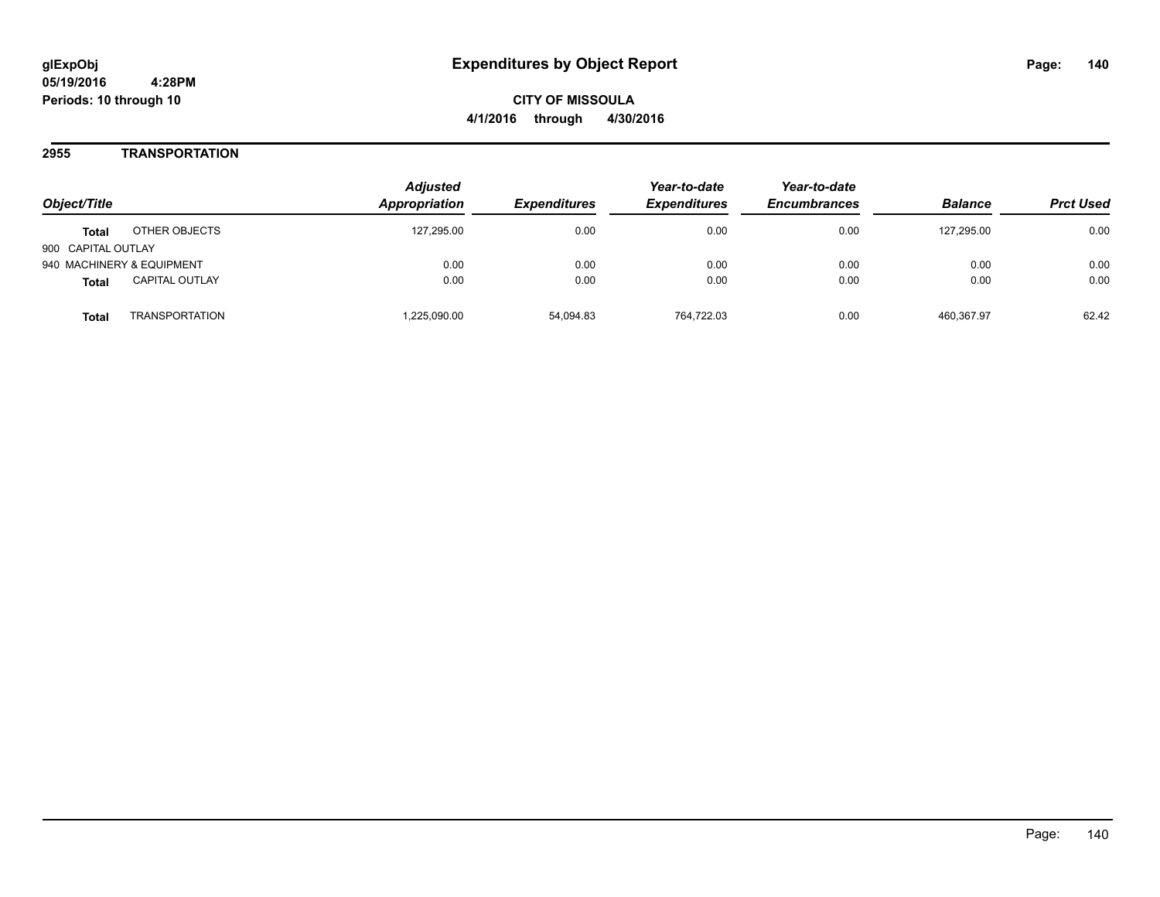**05/19/2016 4:28PM Periods: 10 through 10**

**CITY OF MISSOULA 4/1/2016 through 4/30/2016**

### **2955 TRANSPORTATION**

| Object/Title                          | <b>Adjusted</b><br><b>Appropriation</b> | <b>Expenditures</b> | Year-to-date<br><b>Expenditures</b> | Year-to-date<br><b>Encumbrances</b> | <b>Balance</b> | <b>Prct Used</b> |
|---------------------------------------|-----------------------------------------|---------------------|-------------------------------------|-------------------------------------|----------------|------------------|
| OTHER OBJECTS<br><b>Total</b>         | 127.295.00                              | 0.00                | 0.00                                | 0.00                                | 127.295.00     | 0.00             |
| 900 CAPITAL OUTLAY                    |                                         |                     |                                     |                                     |                |                  |
| 940 MACHINERY & EQUIPMENT             | 0.00                                    | 0.00                | 0.00                                | 0.00                                | 0.00           | 0.00             |
| <b>CAPITAL OUTLAY</b><br><b>Total</b> | 0.00                                    | 0.00                | 0.00                                | 0.00                                | 0.00           | 0.00             |
| <b>TRANSPORTATION</b><br>Total        | .225,090.00                             | 54,094.83           | 764.722.03                          | 0.00                                | 460.367.97     | 62.42            |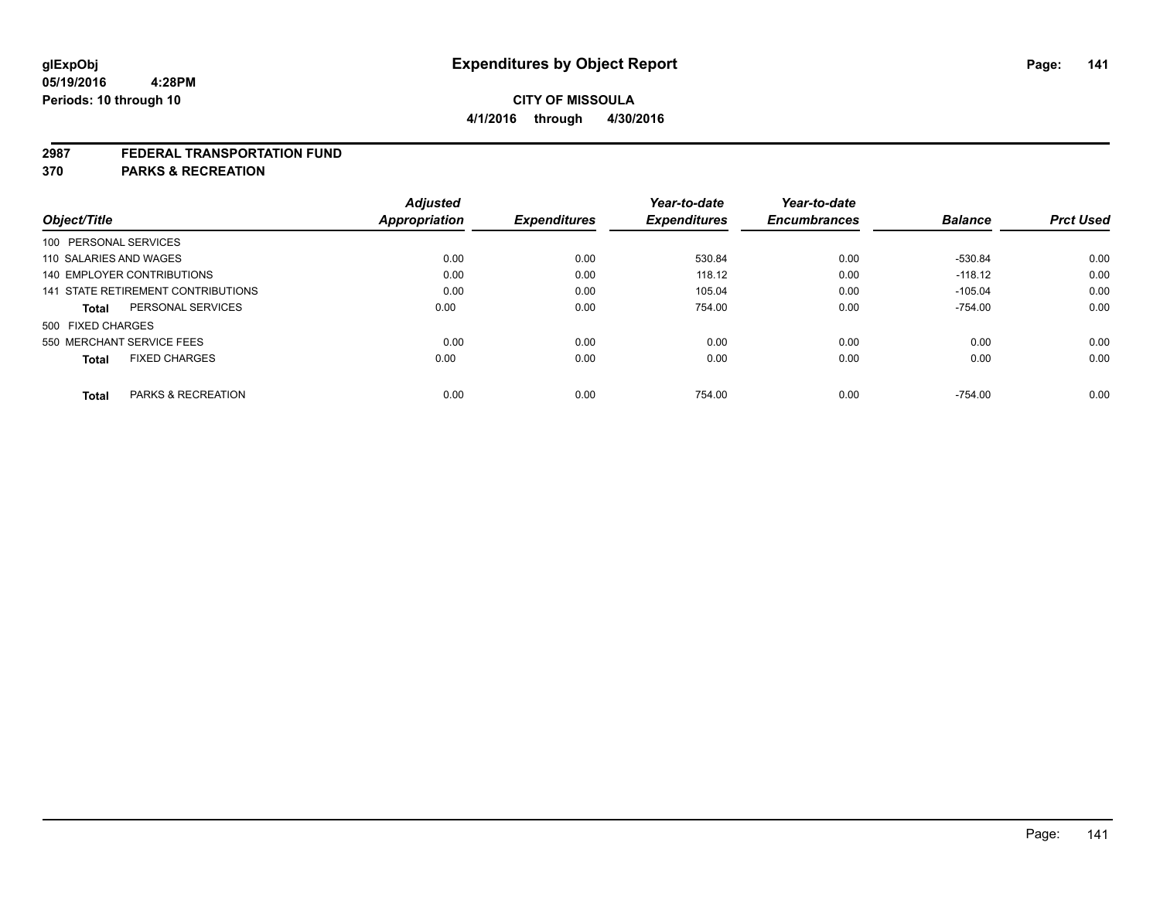#### **2987 FEDERAL TRANSPORTATION FUND**

**370 PARKS & RECREATION**

| Object/Title           |                                    | <b>Adjusted</b><br>Appropriation | <b>Expenditures</b> | Year-to-date<br><b>Expenditures</b> | Year-to-date<br><b>Encumbrances</b> | <b>Balance</b> | <b>Prct Used</b> |
|------------------------|------------------------------------|----------------------------------|---------------------|-------------------------------------|-------------------------------------|----------------|------------------|
| 100 PERSONAL SERVICES  |                                    |                                  |                     |                                     |                                     |                |                  |
| 110 SALARIES AND WAGES |                                    | 0.00                             | 0.00                | 530.84                              | 0.00                                | -530.84        | 0.00             |
|                        | <b>140 EMPLOYER CONTRIBUTIONS</b>  | 0.00                             | 0.00                | 118.12                              | 0.00                                | $-118.12$      | 0.00             |
|                        | 141 STATE RETIREMENT CONTRIBUTIONS | 0.00                             | 0.00                | 105.04                              | 0.00                                | $-105.04$      | 0.00             |
| <b>Total</b>           | PERSONAL SERVICES                  | 0.00                             | 0.00                | 754.00                              | 0.00                                | $-754.00$      | 0.00             |
| 500 FIXED CHARGES      |                                    |                                  |                     |                                     |                                     |                |                  |
|                        | 550 MERCHANT SERVICE FEES          | 0.00                             | 0.00                | 0.00                                | 0.00                                | 0.00           | 0.00             |
| <b>Total</b>           | <b>FIXED CHARGES</b>               | 0.00                             | 0.00                | 0.00                                | 0.00                                | 0.00           | 0.00             |
| <b>Total</b>           | PARKS & RECREATION                 | 0.00                             | 0.00                | 754.00                              | 0.00                                | $-754.00$      | 0.00             |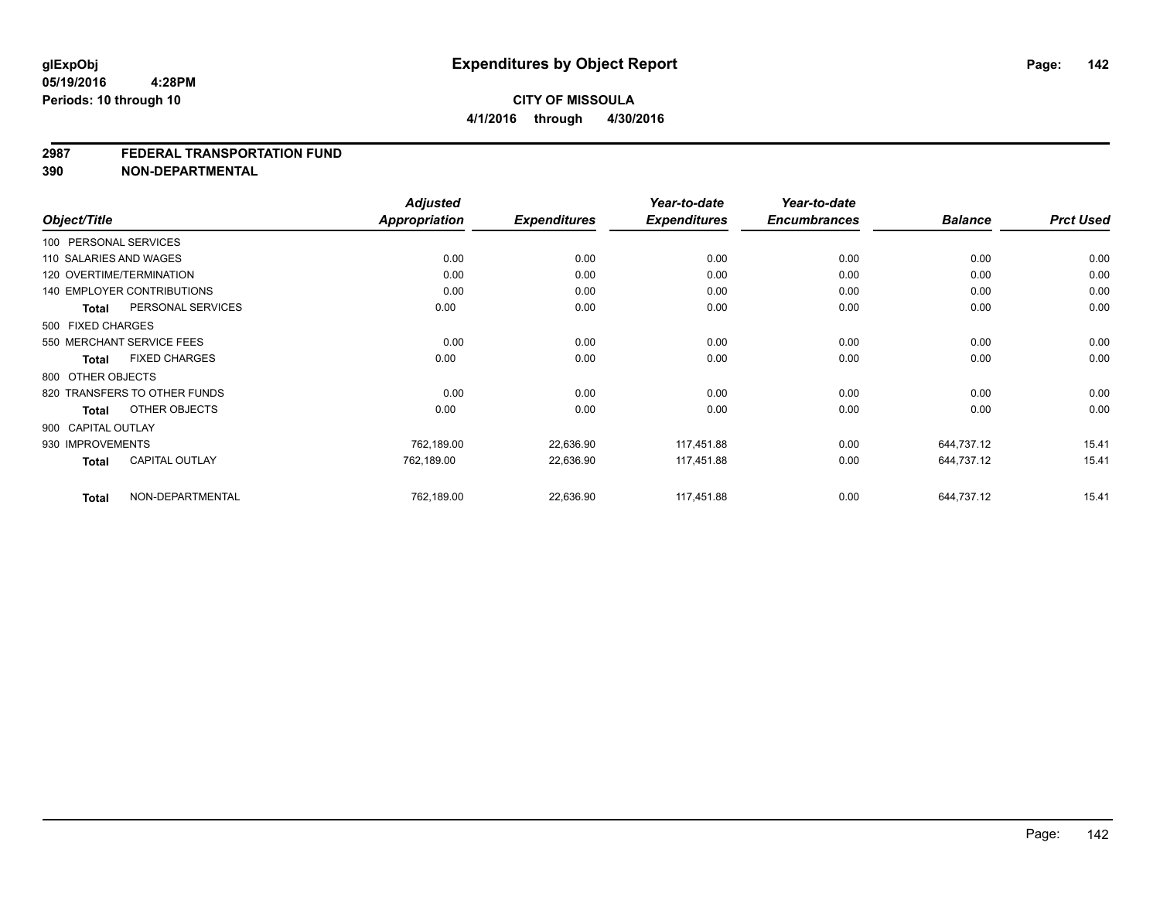#### **2987 FEDERAL TRANSPORTATION FUND**

**390 NON-DEPARTMENTAL**

| Object/Title       |                                   | <b>Adjusted</b><br>Appropriation | <b>Expenditures</b> | Year-to-date<br><b>Expenditures</b> | Year-to-date<br><b>Encumbrances</b> | <b>Balance</b> | <b>Prct Used</b> |
|--------------------|-----------------------------------|----------------------------------|---------------------|-------------------------------------|-------------------------------------|----------------|------------------|
|                    | 100 PERSONAL SERVICES             |                                  |                     |                                     |                                     |                |                  |
|                    | 110 SALARIES AND WAGES            | 0.00                             | 0.00                | 0.00                                | 0.00                                | 0.00           | 0.00             |
|                    | 120 OVERTIME/TERMINATION          | 0.00                             | 0.00                | 0.00                                | 0.00                                | 0.00           | 0.00             |
|                    | <b>140 EMPLOYER CONTRIBUTIONS</b> | 0.00                             | 0.00                | 0.00                                | 0.00                                | 0.00           | 0.00             |
| Total              | PERSONAL SERVICES                 | 0.00                             | 0.00                | 0.00                                | 0.00                                | 0.00           | 0.00             |
| 500 FIXED CHARGES  |                                   |                                  |                     |                                     |                                     |                |                  |
|                    | 550 MERCHANT SERVICE FEES         | 0.00                             | 0.00                | 0.00                                | 0.00                                | 0.00           | 0.00             |
| Total              | <b>FIXED CHARGES</b>              | 0.00                             | 0.00                | 0.00                                | 0.00                                | 0.00           | 0.00             |
| 800 OTHER OBJECTS  |                                   |                                  |                     |                                     |                                     |                |                  |
|                    | 820 TRANSFERS TO OTHER FUNDS      | 0.00                             | 0.00                | 0.00                                | 0.00                                | 0.00           | 0.00             |
| <b>Total</b>       | OTHER OBJECTS                     | 0.00                             | 0.00                | 0.00                                | 0.00                                | 0.00           | 0.00             |
| 900 CAPITAL OUTLAY |                                   |                                  |                     |                                     |                                     |                |                  |
| 930 IMPROVEMENTS   |                                   | 762,189.00                       | 22,636.90           | 117,451.88                          | 0.00                                | 644,737.12     | 15.41            |
| <b>Total</b>       | <b>CAPITAL OUTLAY</b>             | 762,189.00                       | 22,636.90           | 117,451.88                          | 0.00                                | 644,737.12     | 15.41            |
| <b>Total</b>       | NON-DEPARTMENTAL                  | 762,189.00                       | 22,636.90           | 117,451.88                          | 0.00                                | 644,737.12     | 15.41            |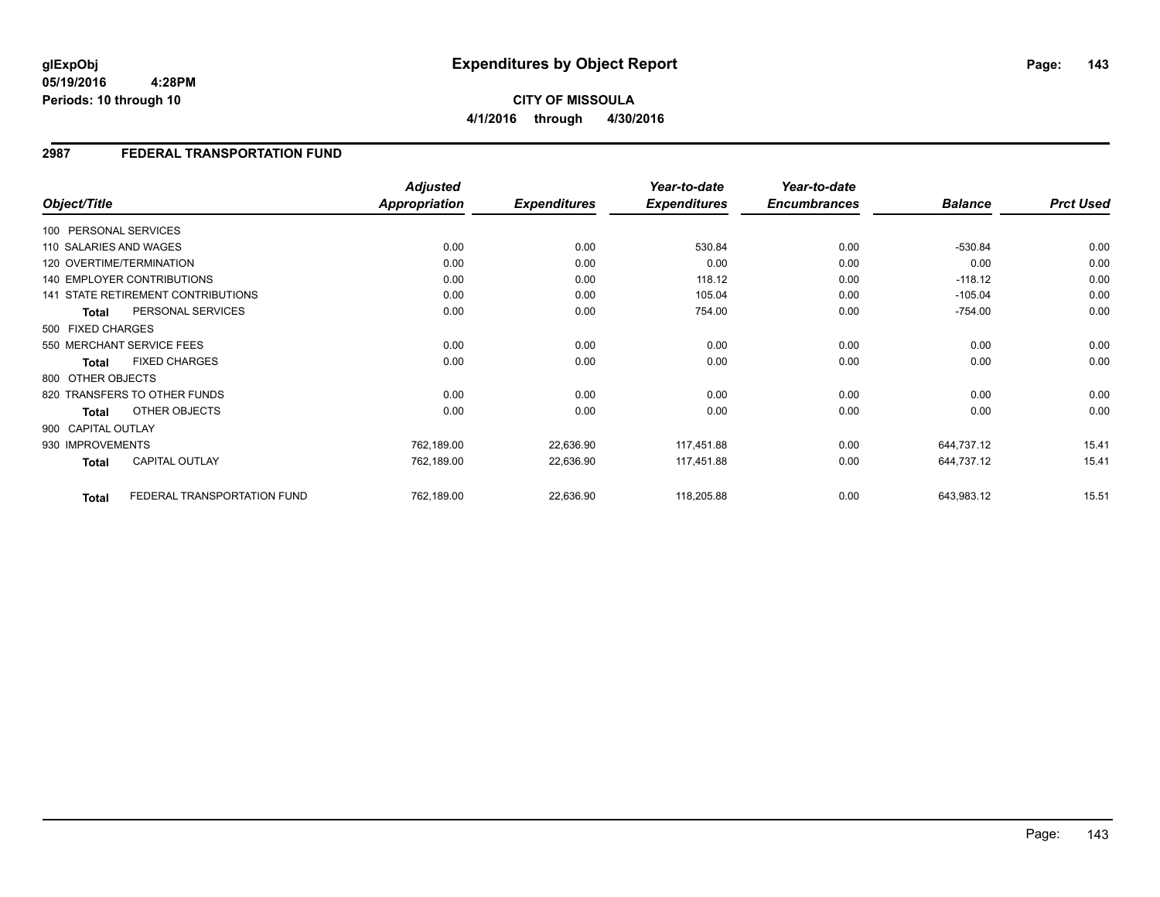**05/19/2016 4:28PM Periods: 10 through 10**

**CITY OF MISSOULA 4/1/2016 through 4/30/2016**

# **2987 FEDERAL TRANSPORTATION FUND**

|                    |                                    | <b>Adjusted</b> |                     | Year-to-date        | Year-to-date        |                |                  |
|--------------------|------------------------------------|-----------------|---------------------|---------------------|---------------------|----------------|------------------|
| Object/Title       |                                    | Appropriation   | <b>Expenditures</b> | <b>Expenditures</b> | <b>Encumbrances</b> | <b>Balance</b> | <b>Prct Used</b> |
|                    | 100 PERSONAL SERVICES              |                 |                     |                     |                     |                |                  |
|                    | 110 SALARIES AND WAGES             | 0.00            | 0.00                | 530.84              | 0.00                | $-530.84$      | 0.00             |
|                    | 120 OVERTIME/TERMINATION           | 0.00            | 0.00                | 0.00                | 0.00                | 0.00           | 0.00             |
|                    | <b>140 EMPLOYER CONTRIBUTIONS</b>  | 0.00            | 0.00                | 118.12              | 0.00                | $-118.12$      | 0.00             |
|                    | 141 STATE RETIREMENT CONTRIBUTIONS | 0.00            | 0.00                | 105.04              | 0.00                | $-105.04$      | 0.00             |
| <b>Total</b>       | PERSONAL SERVICES                  | 0.00            | 0.00                | 754.00              | 0.00                | $-754.00$      | 0.00             |
| 500 FIXED CHARGES  |                                    |                 |                     |                     |                     |                |                  |
|                    | 550 MERCHANT SERVICE FEES          | 0.00            | 0.00                | 0.00                | 0.00                | 0.00           | 0.00             |
| Total              | <b>FIXED CHARGES</b>               | 0.00            | 0.00                | 0.00                | 0.00                | 0.00           | 0.00             |
| 800 OTHER OBJECTS  |                                    |                 |                     |                     |                     |                |                  |
|                    | 820 TRANSFERS TO OTHER FUNDS       | 0.00            | 0.00                | 0.00                | 0.00                | 0.00           | 0.00             |
| <b>Total</b>       | OTHER OBJECTS                      | 0.00            | 0.00                | 0.00                | 0.00                | 0.00           | 0.00             |
| 900 CAPITAL OUTLAY |                                    |                 |                     |                     |                     |                |                  |
| 930 IMPROVEMENTS   |                                    | 762,189.00      | 22,636.90           | 117,451.88          | 0.00                | 644,737.12     | 15.41            |
| <b>Total</b>       | <b>CAPITAL OUTLAY</b>              | 762,189.00      | 22,636.90           | 117,451.88          | 0.00                | 644,737.12     | 15.41            |
| <b>Total</b>       | FEDERAL TRANSPORTATION FUND        | 762,189.00      | 22,636.90           | 118,205.88          | 0.00                | 643,983.12     | 15.51            |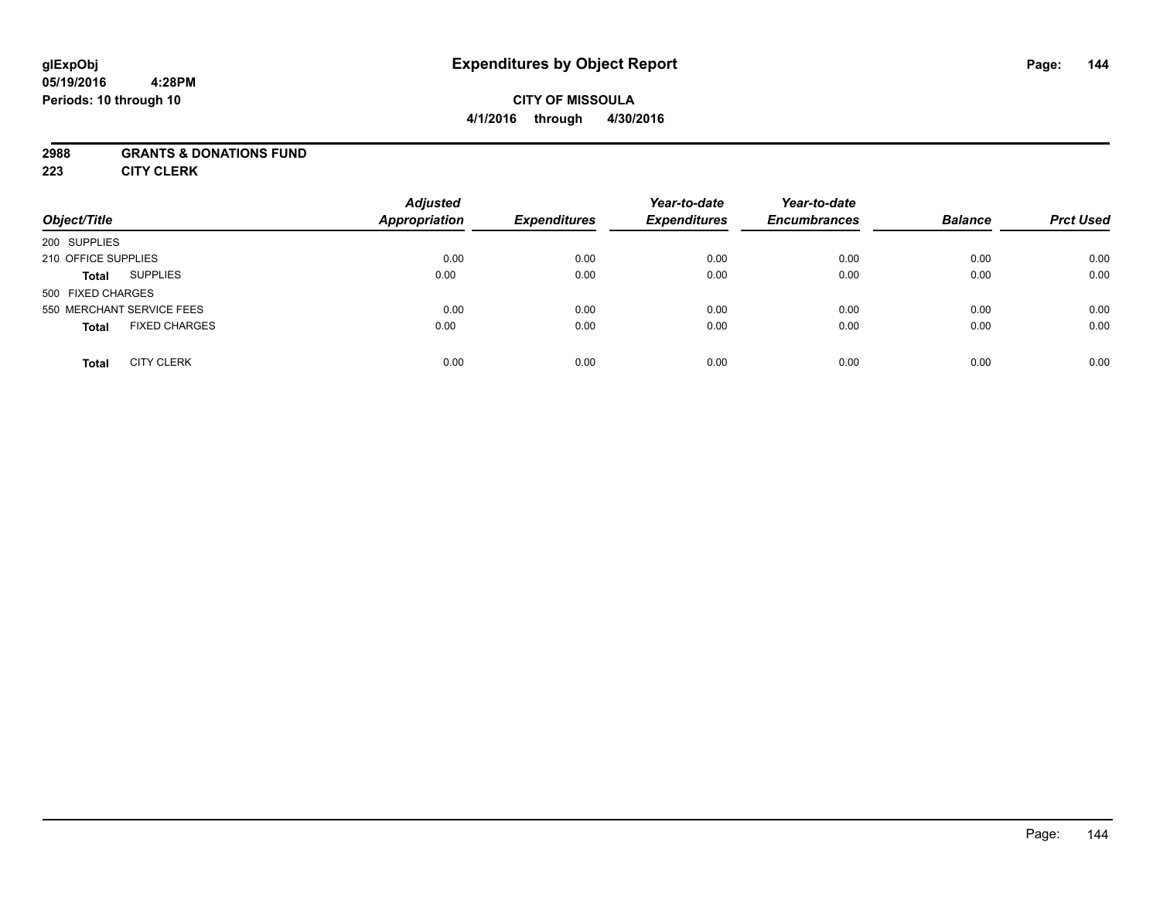#### **05/19/2016 4:28PM Periods: 10 through 10**

# **CITY OF MISSOULA 4/1/2016 through 4/30/2016**

### **2988 GRANTS & DONATIONS FUND**

**223 CITY CLERK**

| Object/Title                         | <b>Adjusted</b><br><b>Appropriation</b> | <b>Expenditures</b> | Year-to-date<br><b>Expenditures</b> | Year-to-date<br><b>Encumbrances</b> | <b>Balance</b> | <b>Prct Used</b> |
|--------------------------------------|-----------------------------------------|---------------------|-------------------------------------|-------------------------------------|----------------|------------------|
| 200 SUPPLIES                         |                                         |                     |                                     |                                     |                |                  |
| 210 OFFICE SUPPLIES                  | 0.00                                    | 0.00                | 0.00                                | 0.00                                | 0.00           | 0.00             |
| <b>SUPPLIES</b><br>Total             | 0.00                                    | 0.00                | 0.00                                | 0.00                                | 0.00           | 0.00             |
| 500 FIXED CHARGES                    |                                         |                     |                                     |                                     |                |                  |
| 550 MERCHANT SERVICE FEES            | 0.00                                    | 0.00                | 0.00                                | 0.00                                | 0.00           | 0.00             |
| <b>FIXED CHARGES</b><br><b>Total</b> | 0.00                                    | 0.00                | 0.00                                | 0.00                                | 0.00           | 0.00             |
| <b>CITY CLERK</b><br><b>Total</b>    | 0.00                                    | 0.00                | 0.00                                | 0.00                                | 0.00           | 0.00             |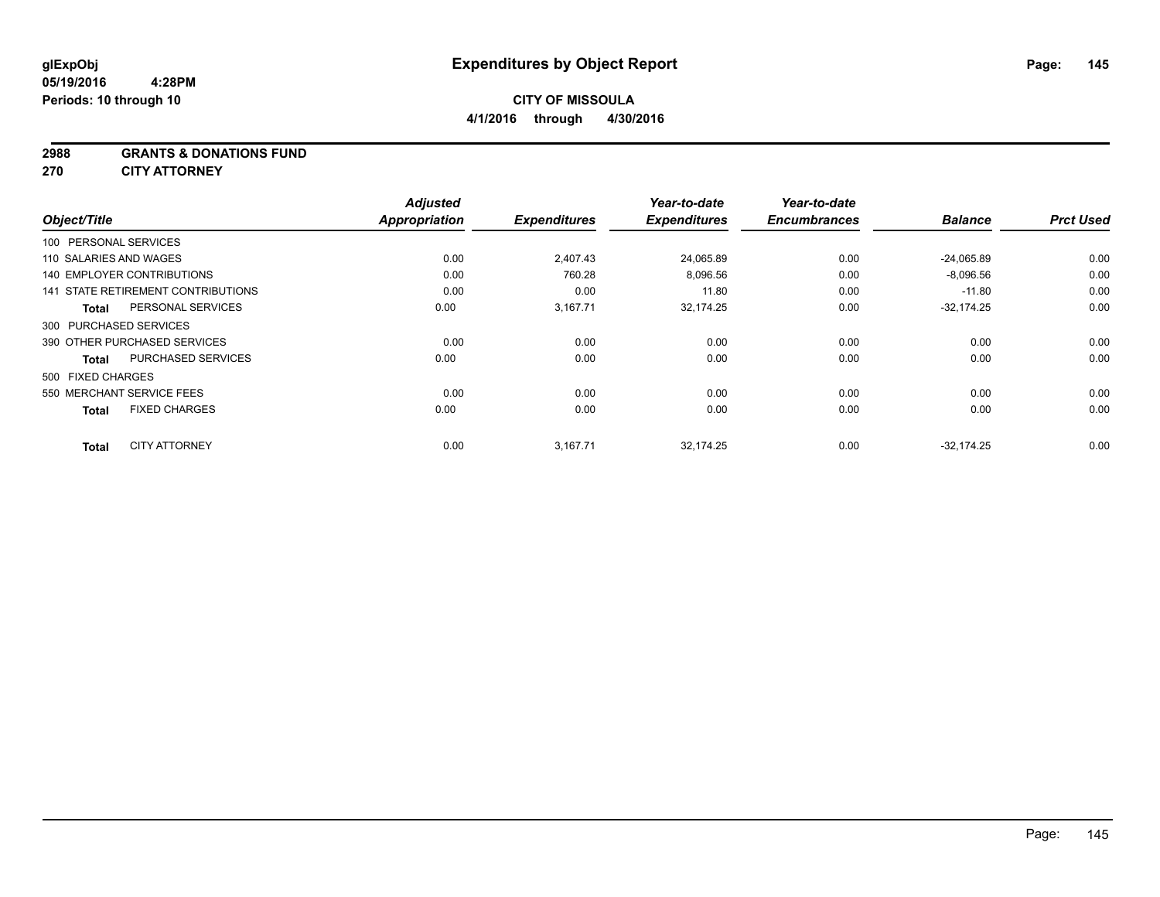#### **2988 GRANTS & DONATIONS FUND**

**270 CITY ATTORNEY**

|                                           | <b>Adjusted</b>      |                     | Year-to-date        | Year-to-date        | <b>Balance</b> | <b>Prct Used</b> |
|-------------------------------------------|----------------------|---------------------|---------------------|---------------------|----------------|------------------|
| Object/Title                              | <b>Appropriation</b> | <b>Expenditures</b> | <b>Expenditures</b> | <b>Encumbrances</b> |                |                  |
| 100 PERSONAL SERVICES                     |                      |                     |                     |                     |                |                  |
| 110 SALARIES AND WAGES                    | 0.00                 | 2,407.43            | 24,065.89           | 0.00                | $-24,065.89$   | 0.00             |
| 140 EMPLOYER CONTRIBUTIONS                | 0.00                 | 760.28              | 8,096.56            | 0.00                | $-8,096.56$    | 0.00             |
| 141 STATE RETIREMENT CONTRIBUTIONS        | 0.00                 | 0.00                | 11.80               | 0.00                | $-11.80$       | 0.00             |
| PERSONAL SERVICES<br><b>Total</b>         | 0.00                 | 3,167.71            | 32,174.25           | 0.00                | $-32,174.25$   | 0.00             |
| 300 PURCHASED SERVICES                    |                      |                     |                     |                     |                |                  |
| 390 OTHER PURCHASED SERVICES              | 0.00                 | 0.00                | 0.00                | 0.00                | 0.00           | 0.00             |
| <b>PURCHASED SERVICES</b><br><b>Total</b> | 0.00                 | 0.00                | 0.00                | 0.00                | 0.00           | 0.00             |
| 500 FIXED CHARGES                         |                      |                     |                     |                     |                |                  |
| 550 MERCHANT SERVICE FEES                 | 0.00                 | 0.00                | 0.00                | 0.00                | 0.00           | 0.00             |
| <b>FIXED CHARGES</b><br><b>Total</b>      | 0.00                 | 0.00                | 0.00                | 0.00                | 0.00           | 0.00             |
| <b>CITY ATTORNEY</b><br><b>Total</b>      | 0.00                 | 3.167.71            | 32.174.25           | 0.00                | $-32.174.25$   | 0.00             |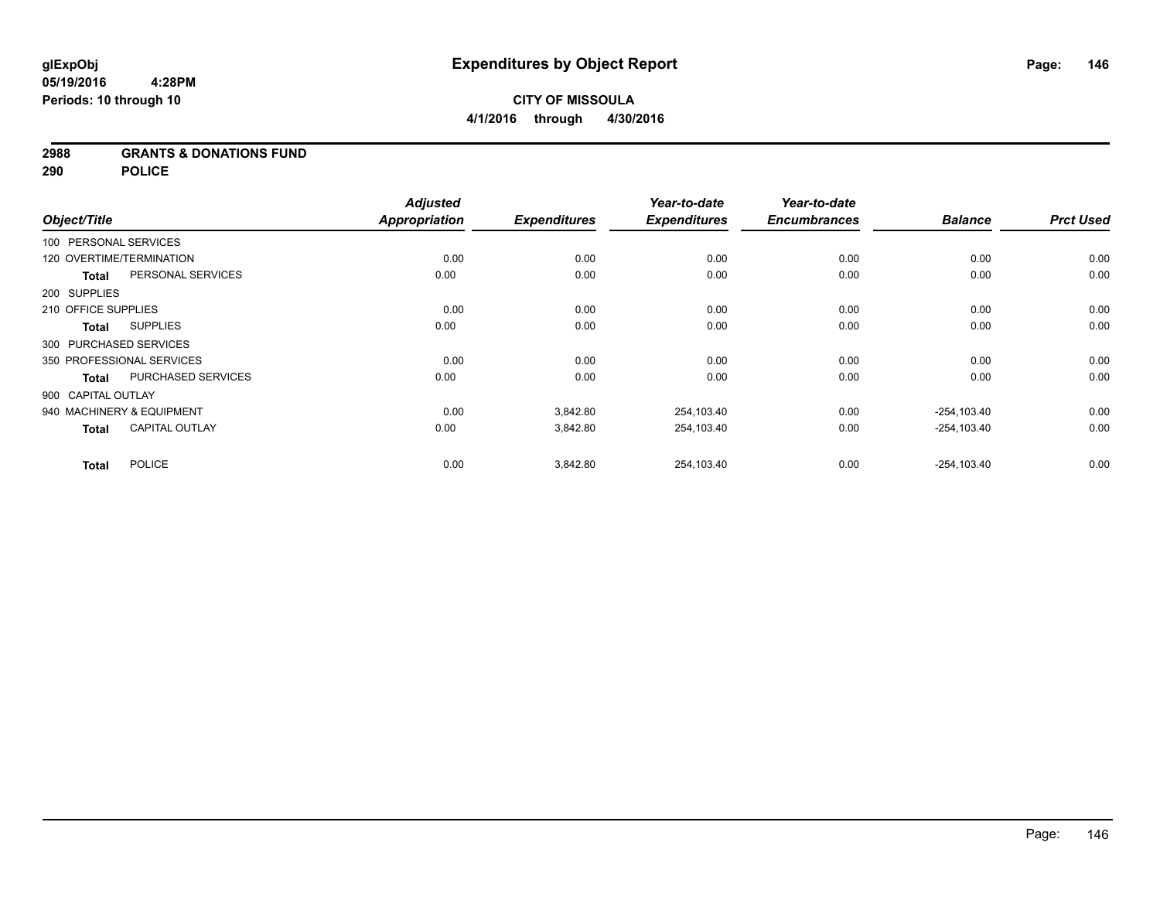#### **2988 GRANTS & DONATIONS FUND**

**290 POLICE**

|                       |                           | <b>Adjusted</b>      |                     | Year-to-date        | Year-to-date        |                |                  |
|-----------------------|---------------------------|----------------------|---------------------|---------------------|---------------------|----------------|------------------|
| Object/Title          |                           | <b>Appropriation</b> | <b>Expenditures</b> | <b>Expenditures</b> | <b>Encumbrances</b> | <b>Balance</b> | <b>Prct Used</b> |
| 100 PERSONAL SERVICES |                           |                      |                     |                     |                     |                |                  |
|                       | 120 OVERTIME/TERMINATION  | 0.00                 | 0.00                | 0.00                | 0.00                | 0.00           | 0.00             |
| <b>Total</b>          | PERSONAL SERVICES         | 0.00                 | 0.00                | 0.00                | 0.00                | 0.00           | 0.00             |
| 200 SUPPLIES          |                           |                      |                     |                     |                     |                |                  |
| 210 OFFICE SUPPLIES   |                           | 0.00                 | 0.00                | 0.00                | 0.00                | 0.00           | 0.00             |
| <b>Total</b>          | <b>SUPPLIES</b>           | 0.00                 | 0.00                | 0.00                | 0.00                | 0.00           | 0.00             |
|                       | 300 PURCHASED SERVICES    |                      |                     |                     |                     |                |                  |
|                       | 350 PROFESSIONAL SERVICES | 0.00                 | 0.00                | 0.00                | 0.00                | 0.00           | 0.00             |
| <b>Total</b>          | PURCHASED SERVICES        | 0.00                 | 0.00                | 0.00                | 0.00                | 0.00           | 0.00             |
| 900 CAPITAL OUTLAY    |                           |                      |                     |                     |                     |                |                  |
|                       | 940 MACHINERY & EQUIPMENT | 0.00                 | 3,842.80            | 254,103.40          | 0.00                | $-254, 103.40$ | 0.00             |
| <b>Total</b>          | <b>CAPITAL OUTLAY</b>     | 0.00                 | 3,842.80            | 254,103.40          | 0.00                | $-254, 103.40$ | 0.00             |
| <b>Total</b>          | <b>POLICE</b>             | 0.00                 | 3,842.80            | 254,103.40          | 0.00                | $-254, 103.40$ | 0.00             |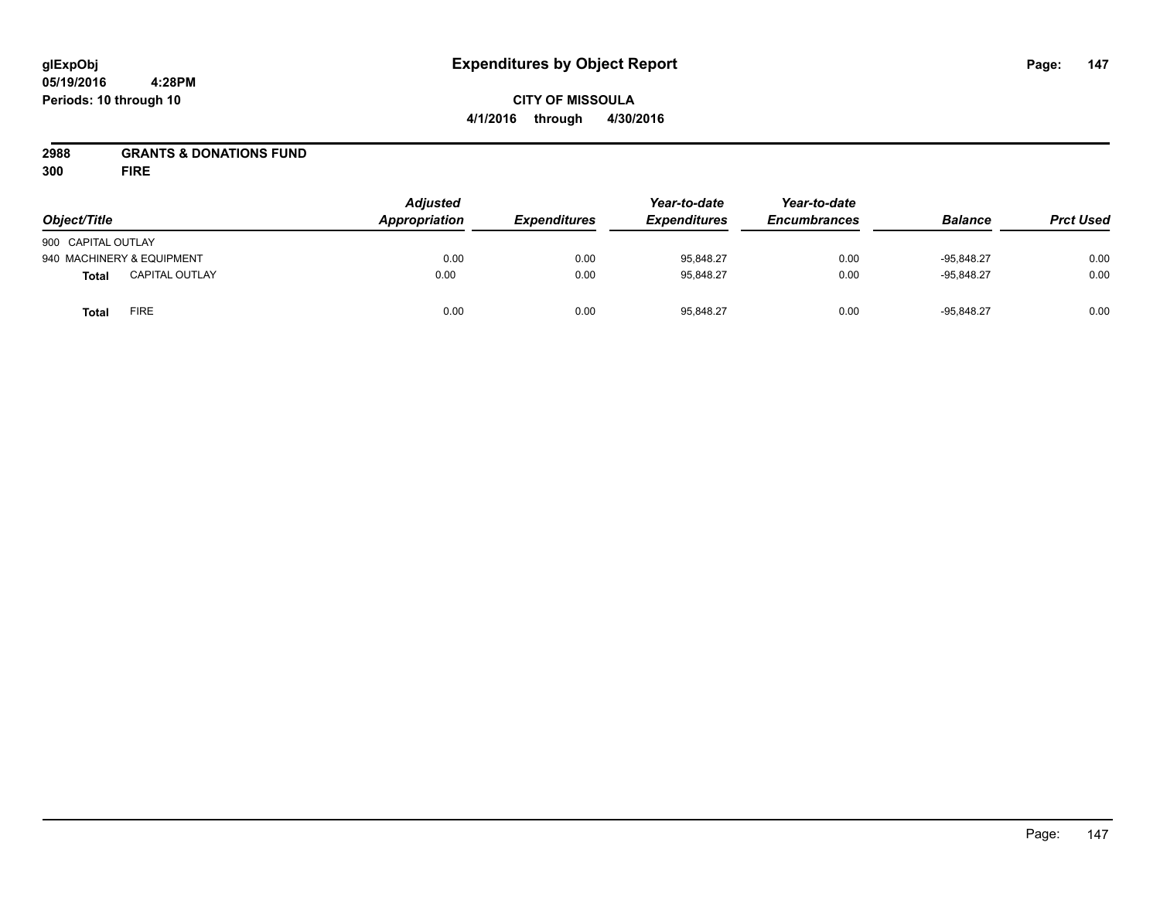# **CITY OF MISSOULA 4/1/2016 through 4/30/2016**

### **2988 GRANTS & DONATIONS FUND**

**300 FIRE**

| Object/Title              |                       | Adjusted<br>Appropriation | <b>Expenditures</b> | Year-to-date<br><b>Expenditures</b> | Year-to-date<br><b>Encumbrances</b> | <b>Balance</b> | <b>Prct Used</b> |
|---------------------------|-----------------------|---------------------------|---------------------|-------------------------------------|-------------------------------------|----------------|------------------|
| 900 CAPITAL OUTLAY        |                       |                           |                     |                                     |                                     |                |                  |
| 940 MACHINERY & EQUIPMENT |                       | 0.00                      | 0.00                | 95,848.27                           | 0.00                                | $-95.848.27$   | 0.00             |
| <b>Total</b>              | <b>CAPITAL OUTLAY</b> | 0.00                      | 0.00                | 95.848.27                           | 0.00                                | $-95.848.27$   | 0.00             |
| <b>Total</b>              | FIRE                  | 0.00                      | 0.00                | 95,848.27                           | 0.00                                | $-95.848.27$   | 0.00             |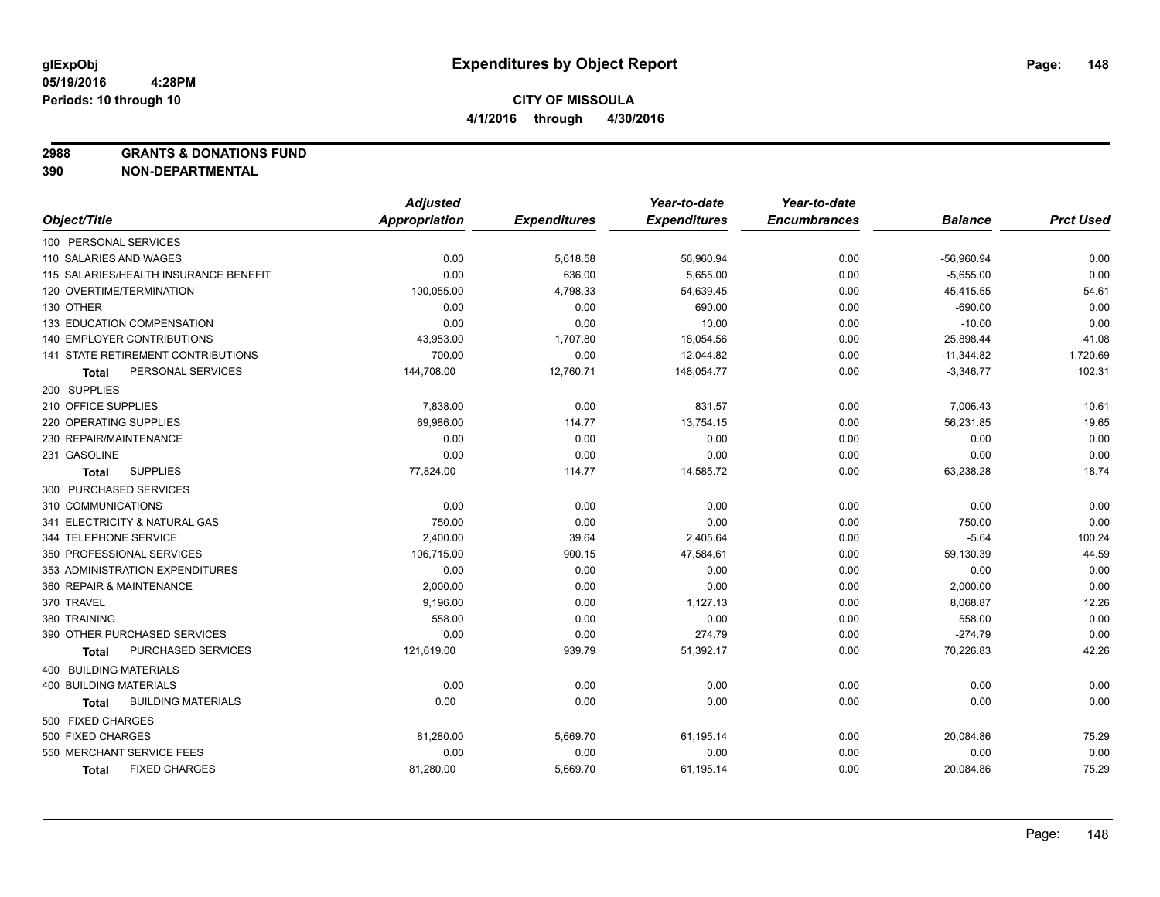**2988 GRANTS & DONATIONS FUND**

|                                       | <b>Adjusted</b> |                     | Year-to-date        | Year-to-date        |                |                  |
|---------------------------------------|-----------------|---------------------|---------------------|---------------------|----------------|------------------|
| Object/Title                          | Appropriation   | <b>Expenditures</b> | <b>Expenditures</b> | <b>Encumbrances</b> | <b>Balance</b> | <b>Prct Used</b> |
| 100 PERSONAL SERVICES                 |                 |                     |                     |                     |                |                  |
| 110 SALARIES AND WAGES                | 0.00            | 5,618.58            | 56,960.94           | 0.00                | $-56,960.94$   | 0.00             |
| 115 SALARIES/HEALTH INSURANCE BENEFIT | 0.00            | 636.00              | 5,655.00            | 0.00                | $-5,655.00$    | 0.00             |
| 120 OVERTIME/TERMINATION              | 100,055.00      | 4,798.33            | 54,639.45           | 0.00                | 45,415.55      | 54.61            |
| 130 OTHER                             | 0.00            | 0.00                | 690.00              | 0.00                | $-690.00$      | 0.00             |
| <b>133 EDUCATION COMPENSATION</b>     | 0.00            | 0.00                | 10.00               | 0.00                | $-10.00$       | 0.00             |
| <b>140 EMPLOYER CONTRIBUTIONS</b>     | 43,953.00       | 1,707.80            | 18,054.56           | 0.00                | 25,898.44      | 41.08            |
| 141 STATE RETIREMENT CONTRIBUTIONS    | 700.00          | 0.00                | 12,044.82           | 0.00                | $-11,344.82$   | 1,720.69         |
| PERSONAL SERVICES<br>Total            | 144,708.00      | 12,760.71           | 148,054.77          | 0.00                | $-3,346.77$    | 102.31           |
| 200 SUPPLIES                          |                 |                     |                     |                     |                |                  |
| 210 OFFICE SUPPLIES                   | 7,838.00        | 0.00                | 831.57              | 0.00                | 7,006.43       | 10.61            |
| 220 OPERATING SUPPLIES                | 69,986.00       | 114.77              | 13,754.15           | 0.00                | 56,231.85      | 19.65            |
| 230 REPAIR/MAINTENANCE                | 0.00            | 0.00                | 0.00                | 0.00                | 0.00           | 0.00             |
| 231 GASOLINE                          | 0.00            | 0.00                | 0.00                | 0.00                | 0.00           | 0.00             |
| <b>SUPPLIES</b><br>Total              | 77,824.00       | 114.77              | 14,585.72           | 0.00                | 63,238.28      | 18.74            |
| 300 PURCHASED SERVICES                |                 |                     |                     |                     |                |                  |
| 310 COMMUNICATIONS                    | 0.00            | 0.00                | 0.00                | 0.00                | 0.00           | 0.00             |
| 341 ELECTRICITY & NATURAL GAS         | 750.00          | 0.00                | 0.00                | 0.00                | 750.00         | 0.00             |
| 344 TELEPHONE SERVICE                 | 2,400.00        | 39.64               | 2,405.64            | 0.00                | $-5.64$        | 100.24           |
| 350 PROFESSIONAL SERVICES             | 106,715.00      | 900.15              | 47,584.61           | 0.00                | 59,130.39      | 44.59            |
| 353 ADMINISTRATION EXPENDITURES       | 0.00            | 0.00                | 0.00                | 0.00                | 0.00           | 0.00             |
| 360 REPAIR & MAINTENANCE              | 2,000.00        | 0.00                | 0.00                | 0.00                | 2,000.00       | 0.00             |
| 370 TRAVEL                            | 9,196.00        | 0.00                | 1,127.13            | 0.00                | 8,068.87       | 12.26            |
| 380 TRAINING                          | 558.00          | 0.00                | 0.00                | 0.00                | 558.00         | 0.00             |
| 390 OTHER PURCHASED SERVICES          | 0.00            | 0.00                | 274.79              | 0.00                | $-274.79$      | 0.00             |
| <b>PURCHASED SERVICES</b><br>Total    | 121,619.00      | 939.79              | 51,392.17           | 0.00                | 70,226.83      | 42.26            |
| <b>400 BUILDING MATERIALS</b>         |                 |                     |                     |                     |                |                  |
| 400 BUILDING MATERIALS                | 0.00            | 0.00                | 0.00                | 0.00                | 0.00           | 0.00             |
| <b>BUILDING MATERIALS</b><br>Total    | 0.00            | 0.00                | 0.00                | 0.00                | 0.00           | 0.00             |
| 500 FIXED CHARGES                     |                 |                     |                     |                     |                |                  |
| 500 FIXED CHARGES                     | 81,280.00       | 5,669.70            | 61,195.14           | 0.00                | 20,084.86      | 75.29            |
| 550 MERCHANT SERVICE FEES             | 0.00            | 0.00                | 0.00                | 0.00                | 0.00           | 0.00             |
| <b>FIXED CHARGES</b><br><b>Total</b>  | 81,280.00       | 5,669.70            | 61,195.14           | 0.00                | 20,084.86      | 75.29            |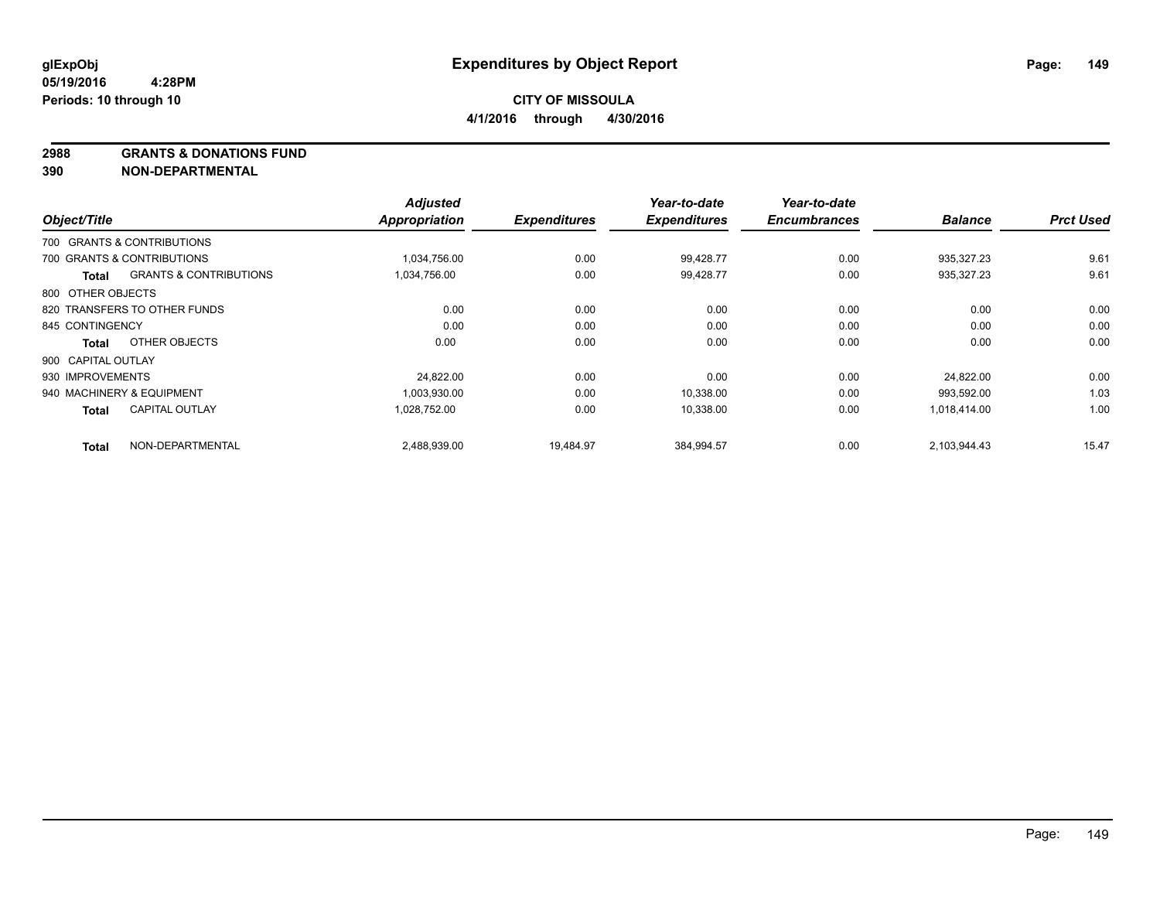#### **2988 GRANTS & DONATIONS FUND**

| Object/Title       |                                   | <b>Adjusted</b><br><b>Appropriation</b> | <b>Expenditures</b> | Year-to-date<br><b>Expenditures</b> | Year-to-date<br><b>Encumbrances</b> | <b>Balance</b> | <b>Prct Used</b> |
|--------------------|-----------------------------------|-----------------------------------------|---------------------|-------------------------------------|-------------------------------------|----------------|------------------|
|                    | 700 GRANTS & CONTRIBUTIONS        |                                         |                     |                                     |                                     |                |                  |
|                    | 700 GRANTS & CONTRIBUTIONS        |                                         |                     |                                     |                                     |                |                  |
|                    |                                   | 1,034,756.00                            | 0.00                | 99,428.77                           | 0.00                                | 935,327.23     | 9.61             |
| Total              | <b>GRANTS &amp; CONTRIBUTIONS</b> | 1,034,756.00                            | 0.00                | 99,428.77                           | 0.00                                | 935,327.23     | 9.61             |
| 800 OTHER OBJECTS  |                                   |                                         |                     |                                     |                                     |                |                  |
|                    | 820 TRANSFERS TO OTHER FUNDS      | 0.00                                    | 0.00                | 0.00                                | 0.00                                | 0.00           | 0.00             |
| 845 CONTINGENCY    |                                   | 0.00                                    | 0.00                | 0.00                                | 0.00                                | 0.00           | 0.00             |
| Total              | OTHER OBJECTS                     | 0.00                                    | 0.00                | 0.00                                | 0.00                                | 0.00           | 0.00             |
| 900 CAPITAL OUTLAY |                                   |                                         |                     |                                     |                                     |                |                  |
| 930 IMPROVEMENTS   |                                   | 24.822.00                               | 0.00                | 0.00                                | 0.00                                | 24.822.00      | 0.00             |
|                    | 940 MACHINERY & EQUIPMENT         | 1,003,930.00                            | 0.00                | 10,338.00                           | 0.00                                | 993,592.00     | 1.03             |
| <b>Total</b>       | <b>CAPITAL OUTLAY</b>             | 1,028,752.00                            | 0.00                | 10,338.00                           | 0.00                                | 1,018,414.00   | 1.00             |
| <b>Total</b>       | NON-DEPARTMENTAL                  | 2,488,939.00                            | 19,484.97           | 384,994.57                          | 0.00                                | 2,103,944.43   | 15.47            |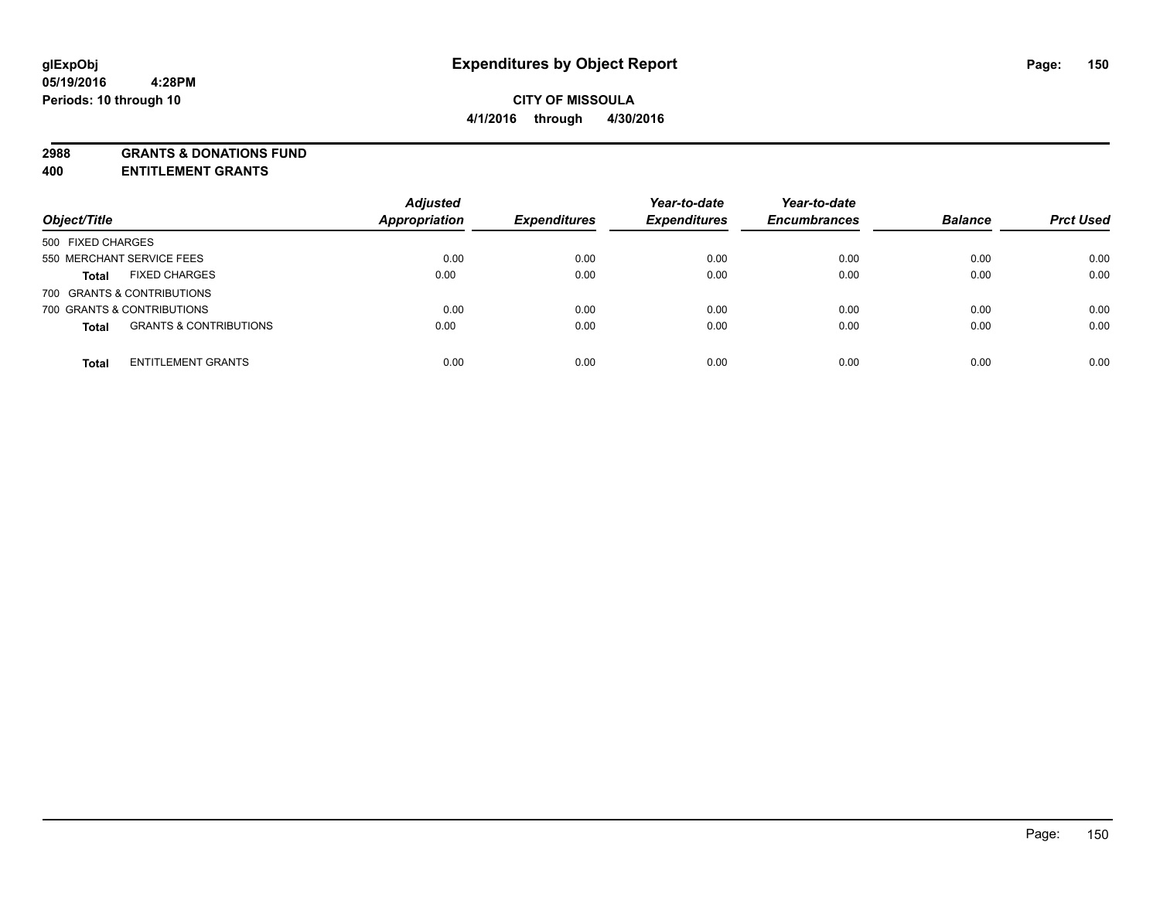**2988 GRANTS & DONATIONS FUND**

**400 ENTITLEMENT GRANTS**

| Object/Title                                      | <b>Adjusted</b><br><b>Appropriation</b> | <b>Expenditures</b> | Year-to-date<br><b>Expenditures</b> | Year-to-date<br><b>Encumbrances</b> | <b>Balance</b> | <b>Prct Used</b> |
|---------------------------------------------------|-----------------------------------------|---------------------|-------------------------------------|-------------------------------------|----------------|------------------|
| 500 FIXED CHARGES                                 |                                         |                     |                                     |                                     |                |                  |
| 550 MERCHANT SERVICE FEES                         | 0.00                                    | 0.00                | 0.00                                | 0.00                                | 0.00           | 0.00             |
| <b>FIXED CHARGES</b><br><b>Total</b>              | 0.00                                    | 0.00                | 0.00                                | 0.00                                | 0.00           | 0.00             |
| 700 GRANTS & CONTRIBUTIONS                        |                                         |                     |                                     |                                     |                |                  |
| 700 GRANTS & CONTRIBUTIONS                        | 0.00                                    | 0.00                | 0.00                                | 0.00                                | 0.00           | 0.00             |
| <b>GRANTS &amp; CONTRIBUTIONS</b><br><b>Total</b> | 0.00                                    | 0.00                | 0.00                                | 0.00                                | 0.00           | 0.00             |
| <b>ENTITLEMENT GRANTS</b><br><b>Total</b>         | 0.00                                    | 0.00                | 0.00                                | 0.00                                | 0.00           | 0.00             |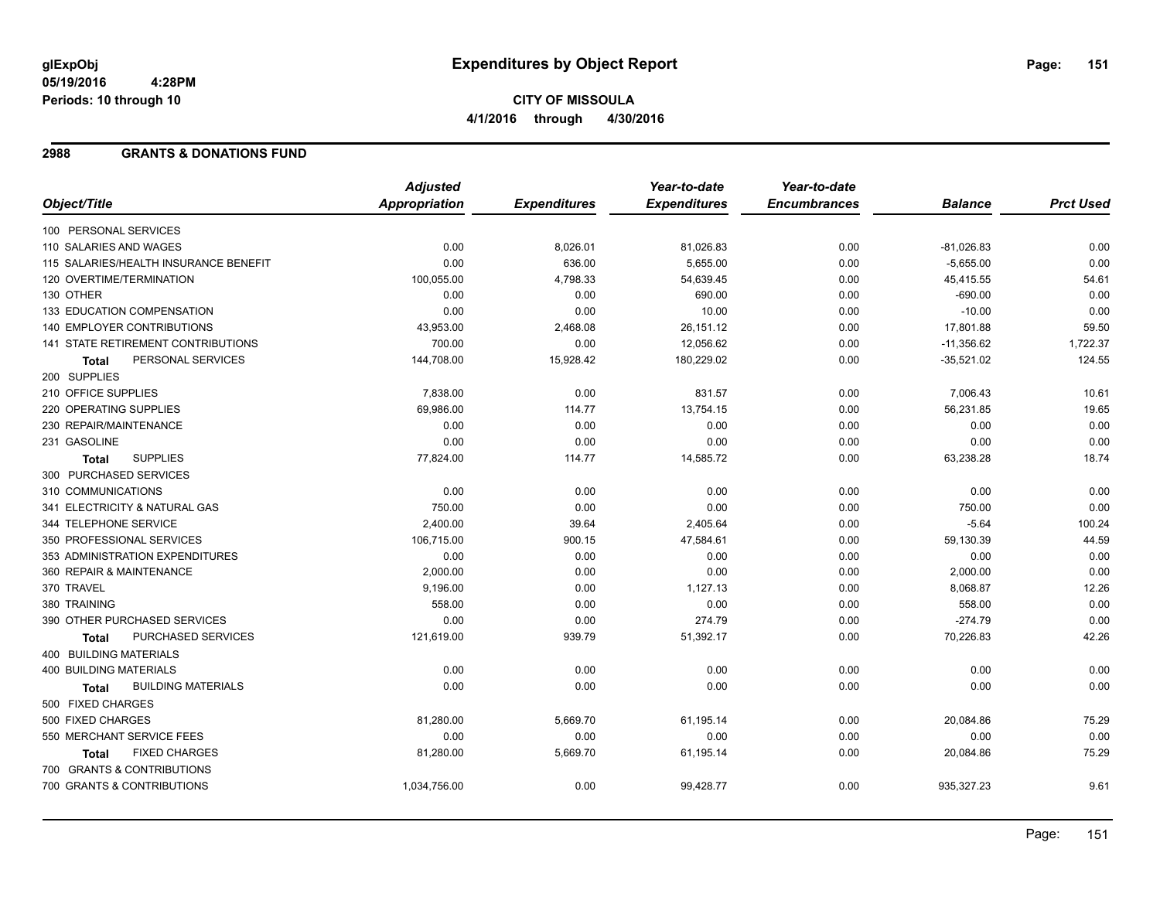# **CITY OF MISSOULA 4/1/2016 through 4/30/2016**

#### **2988 GRANTS & DONATIONS FUND**

|                                           | <b>Adjusted</b>      |                     | Year-to-date        | Year-to-date        |                |                  |
|-------------------------------------------|----------------------|---------------------|---------------------|---------------------|----------------|------------------|
| Object/Title                              | <b>Appropriation</b> | <b>Expenditures</b> | <b>Expenditures</b> | <b>Encumbrances</b> | <b>Balance</b> | <b>Prct Used</b> |
| 100 PERSONAL SERVICES                     |                      |                     |                     |                     |                |                  |
| 110 SALARIES AND WAGES                    | 0.00                 | 8,026.01            | 81,026.83           | 0.00                | $-81,026.83$   | 0.00             |
| 115 SALARIES/HEALTH INSURANCE BENEFIT     | 0.00                 | 636.00              | 5,655.00            | 0.00                | $-5,655.00$    | 0.00             |
| 120 OVERTIME/TERMINATION                  | 100,055.00           | 4,798.33            | 54,639.45           | 0.00                | 45,415.55      | 54.61            |
| 130 OTHER                                 | 0.00                 | 0.00                | 690.00              | 0.00                | $-690.00$      | 0.00             |
| 133 EDUCATION COMPENSATION                | 0.00                 | 0.00                | 10.00               | 0.00                | $-10.00$       | 0.00             |
| 140 EMPLOYER CONTRIBUTIONS                | 43,953.00            | 2,468.08            | 26,151.12           | 0.00                | 17,801.88      | 59.50            |
| 141 STATE RETIREMENT CONTRIBUTIONS        | 700.00               | 0.00                | 12,056.62           | 0.00                | $-11,356.62$   | 1,722.37         |
| PERSONAL SERVICES<br>Total                | 144,708.00           | 15,928.42           | 180,229.02          | 0.00                | $-35,521.02$   | 124.55           |
| 200 SUPPLIES                              |                      |                     |                     |                     |                |                  |
| 210 OFFICE SUPPLIES                       | 7,838.00             | 0.00                | 831.57              | 0.00                | 7,006.43       | 10.61            |
| 220 OPERATING SUPPLIES                    | 69,986.00            | 114.77              | 13,754.15           | 0.00                | 56,231.85      | 19.65            |
| 230 REPAIR/MAINTENANCE                    | 0.00                 | 0.00                | 0.00                | 0.00                | 0.00           | 0.00             |
| 231 GASOLINE                              | 0.00                 | 0.00                | 0.00                | 0.00                | 0.00           | 0.00             |
| <b>SUPPLIES</b><br><b>Total</b>           | 77.824.00            | 114.77              | 14,585.72           | 0.00                | 63,238.28      | 18.74            |
| 300 PURCHASED SERVICES                    |                      |                     |                     |                     |                |                  |
| 310 COMMUNICATIONS                        | 0.00                 | 0.00                | 0.00                | 0.00                | 0.00           | 0.00             |
| 341 ELECTRICITY & NATURAL GAS             | 750.00               | 0.00                | 0.00                | 0.00                | 750.00         | 0.00             |
| 344 TELEPHONE SERVICE                     | 2,400.00             | 39.64               | 2,405.64            | 0.00                | $-5.64$        | 100.24           |
| 350 PROFESSIONAL SERVICES                 | 106,715.00           | 900.15              | 47,584.61           | 0.00                | 59,130.39      | 44.59            |
| 353 ADMINISTRATION EXPENDITURES           | 0.00                 | 0.00                | 0.00                | 0.00                | 0.00           | 0.00             |
| 360 REPAIR & MAINTENANCE                  | 2,000.00             | 0.00                | 0.00                | 0.00                | 2,000.00       | 0.00             |
| 370 TRAVEL                                | 9,196.00             | 0.00                | 1,127.13            | 0.00                | 8,068.87       | 12.26            |
| 380 TRAINING                              | 558.00               | 0.00                | 0.00                | 0.00                | 558.00         | 0.00             |
| 390 OTHER PURCHASED SERVICES              | 0.00                 | 0.00                | 274.79              | 0.00                | $-274.79$      | 0.00             |
| PURCHASED SERVICES<br><b>Total</b>        | 121,619.00           | 939.79              | 51,392.17           | 0.00                | 70,226.83      | 42.26            |
| 400 BUILDING MATERIALS                    |                      |                     |                     |                     |                |                  |
| <b>400 BUILDING MATERIALS</b>             | 0.00                 | 0.00                | 0.00                | 0.00                | 0.00           | 0.00             |
| <b>BUILDING MATERIALS</b><br><b>Total</b> | 0.00                 | 0.00                | 0.00                | 0.00                | 0.00           | 0.00             |
| 500 FIXED CHARGES                         |                      |                     |                     |                     |                |                  |
| 500 FIXED CHARGES                         | 81,280.00            | 5,669.70            | 61,195.14           | 0.00                | 20,084.86      | 75.29            |
| 550 MERCHANT SERVICE FEES                 | 0.00                 | 0.00                | 0.00                | 0.00                | 0.00           | 0.00             |
| <b>FIXED CHARGES</b><br><b>Total</b>      | 81,280.00            | 5,669.70            | 61,195.14           | 0.00                | 20,084.86      | 75.29            |
| 700 GRANTS & CONTRIBUTIONS                |                      |                     |                     |                     |                |                  |
| 700 GRANTS & CONTRIBUTIONS                | 1,034,756.00         | 0.00                | 99,428.77           | 0.00                | 935,327.23     | 9.61             |
|                                           |                      |                     |                     |                     |                |                  |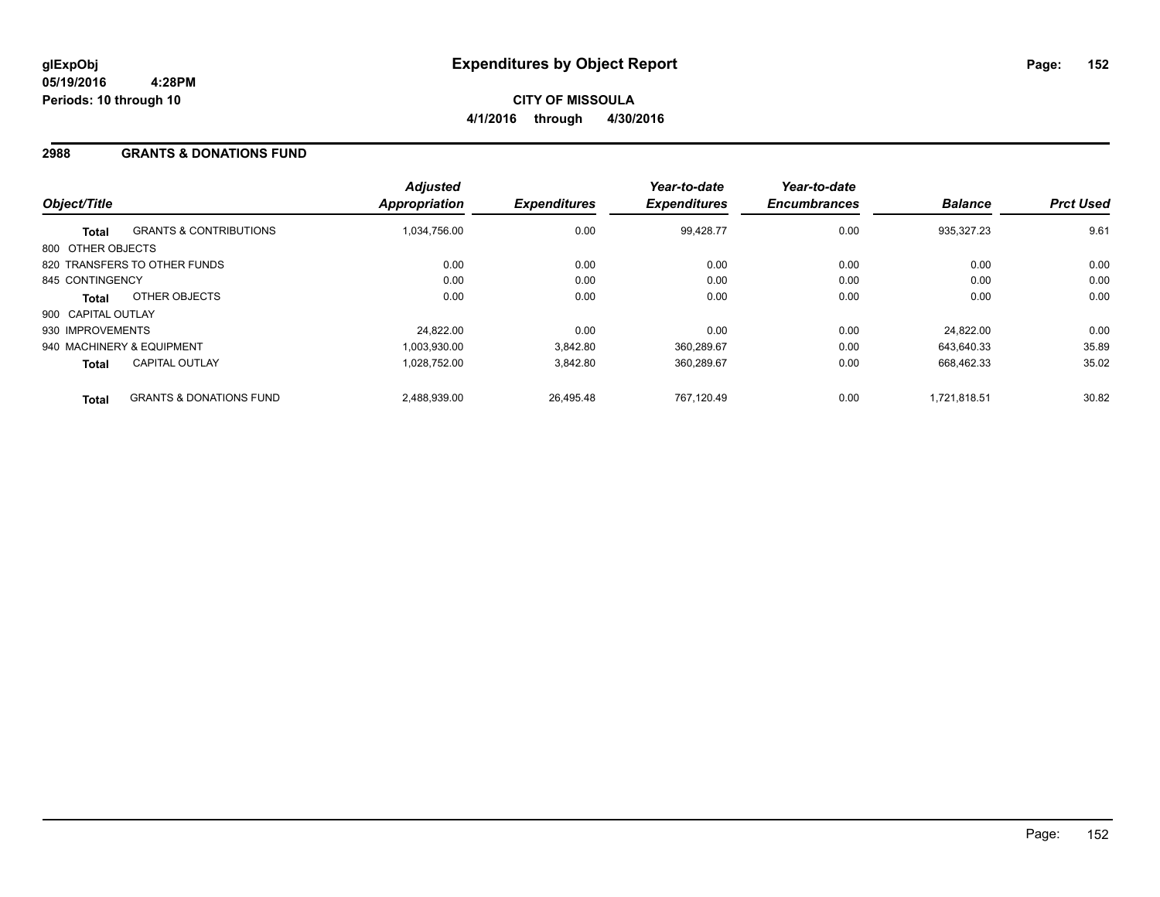### **2988 GRANTS & DONATIONS FUND**

| Object/Title       |                                    | <b>Adjusted</b><br>Appropriation | <b>Expenditures</b> | Year-to-date<br><b>Expenditures</b> | Year-to-date<br><b>Encumbrances</b> | <b>Balance</b> | <b>Prct Used</b> |
|--------------------|------------------------------------|----------------------------------|---------------------|-------------------------------------|-------------------------------------|----------------|------------------|
| <b>Total</b>       | <b>GRANTS &amp; CONTRIBUTIONS</b>  | 1.034.756.00                     | 0.00                | 99.428.77                           | 0.00                                | 935.327.23     | 9.61             |
| 800 OTHER OBJECTS  |                                    |                                  |                     |                                     |                                     |                |                  |
|                    | 820 TRANSFERS TO OTHER FUNDS       | 0.00                             | 0.00                | 0.00                                | 0.00                                | 0.00           | 0.00             |
| 845 CONTINGENCY    |                                    | 0.00                             | 0.00                | 0.00                                | 0.00                                | 0.00           | 0.00             |
| Total              | OTHER OBJECTS                      | 0.00                             | 0.00                | 0.00                                | 0.00                                | 0.00           | 0.00             |
| 900 CAPITAL OUTLAY |                                    |                                  |                     |                                     |                                     |                |                  |
| 930 IMPROVEMENTS   |                                    | 24,822.00                        | 0.00                | 0.00                                | 0.00                                | 24.822.00      | 0.00             |
|                    | 940 MACHINERY & EQUIPMENT          | 1.003.930.00                     | 3.842.80            | 360,289.67                          | 0.00                                | 643.640.33     | 35.89            |
| <b>Total</b>       | <b>CAPITAL OUTLAY</b>              | 1.028.752.00                     | 3,842.80            | 360,289.67                          | 0.00                                | 668.462.33     | 35.02            |
| <b>Total</b>       | <b>GRANTS &amp; DONATIONS FUND</b> | 2.488.939.00                     | 26.495.48           | 767.120.49                          | 0.00                                | 1.721.818.51   | 30.82            |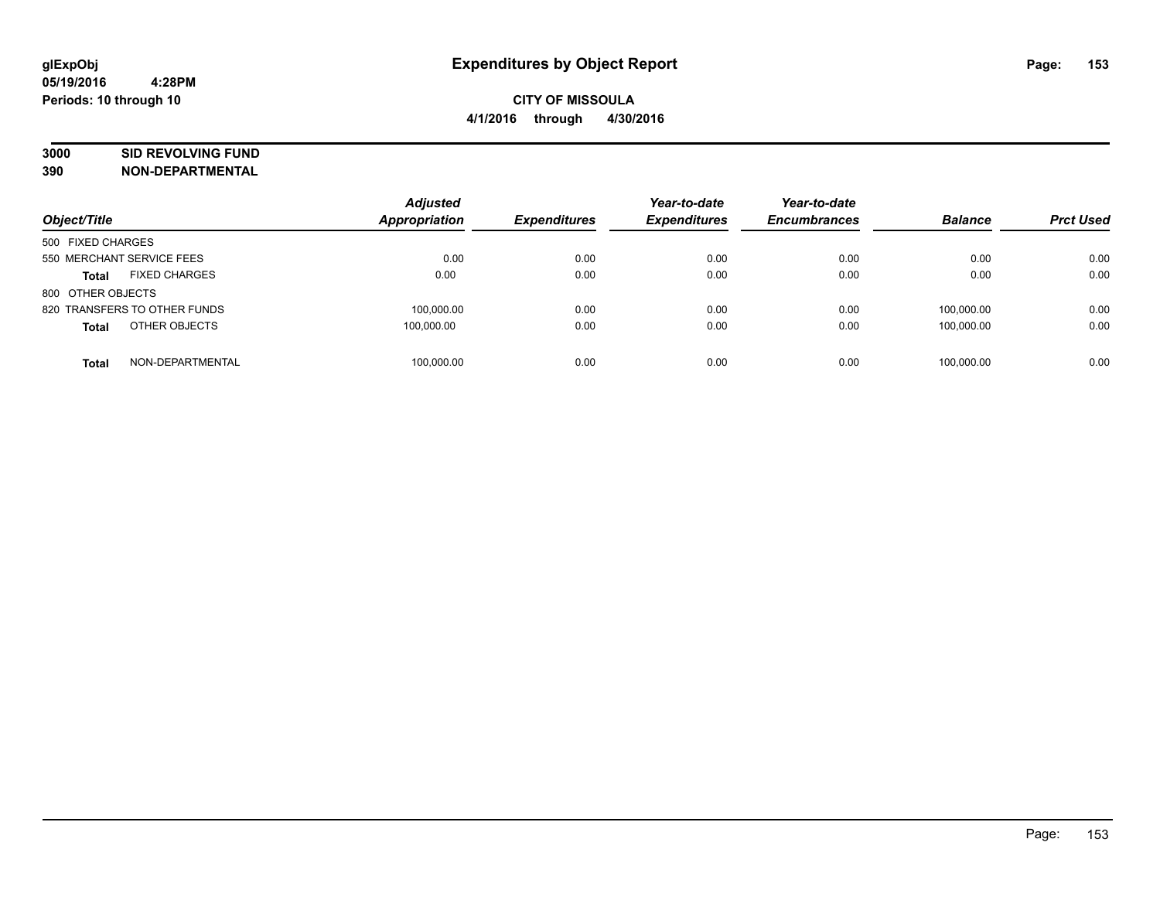# **3000 SID REVOLVING FUND**

| Object/Title                         | <b>Adjusted</b><br><b>Appropriation</b> | <b>Expenditures</b> | Year-to-date<br><b>Expenditures</b> | Year-to-date<br><b>Encumbrances</b> | <b>Balance</b> | <b>Prct Used</b> |
|--------------------------------------|-----------------------------------------|---------------------|-------------------------------------|-------------------------------------|----------------|------------------|
| 500 FIXED CHARGES                    |                                         |                     |                                     |                                     |                |                  |
| 550 MERCHANT SERVICE FEES            | 0.00                                    | 0.00                | 0.00                                | 0.00                                | 0.00           | 0.00             |
| <b>FIXED CHARGES</b><br><b>Total</b> | 0.00                                    | 0.00                | 0.00                                | 0.00                                | 0.00           | 0.00             |
| 800 OTHER OBJECTS                    |                                         |                     |                                     |                                     |                |                  |
| 820 TRANSFERS TO OTHER FUNDS         | 100,000.00                              | 0.00                | 0.00                                | 0.00                                | 100.000.00     | 0.00             |
| OTHER OBJECTS<br><b>Total</b>        | 100.000.00                              | 0.00                | 0.00                                | 0.00                                | 100.000.00     | 0.00             |
| NON-DEPARTMENTAL<br><b>Total</b>     | 100.000.00                              | 0.00                | 0.00                                | 0.00                                | 100.000.00     | 0.00             |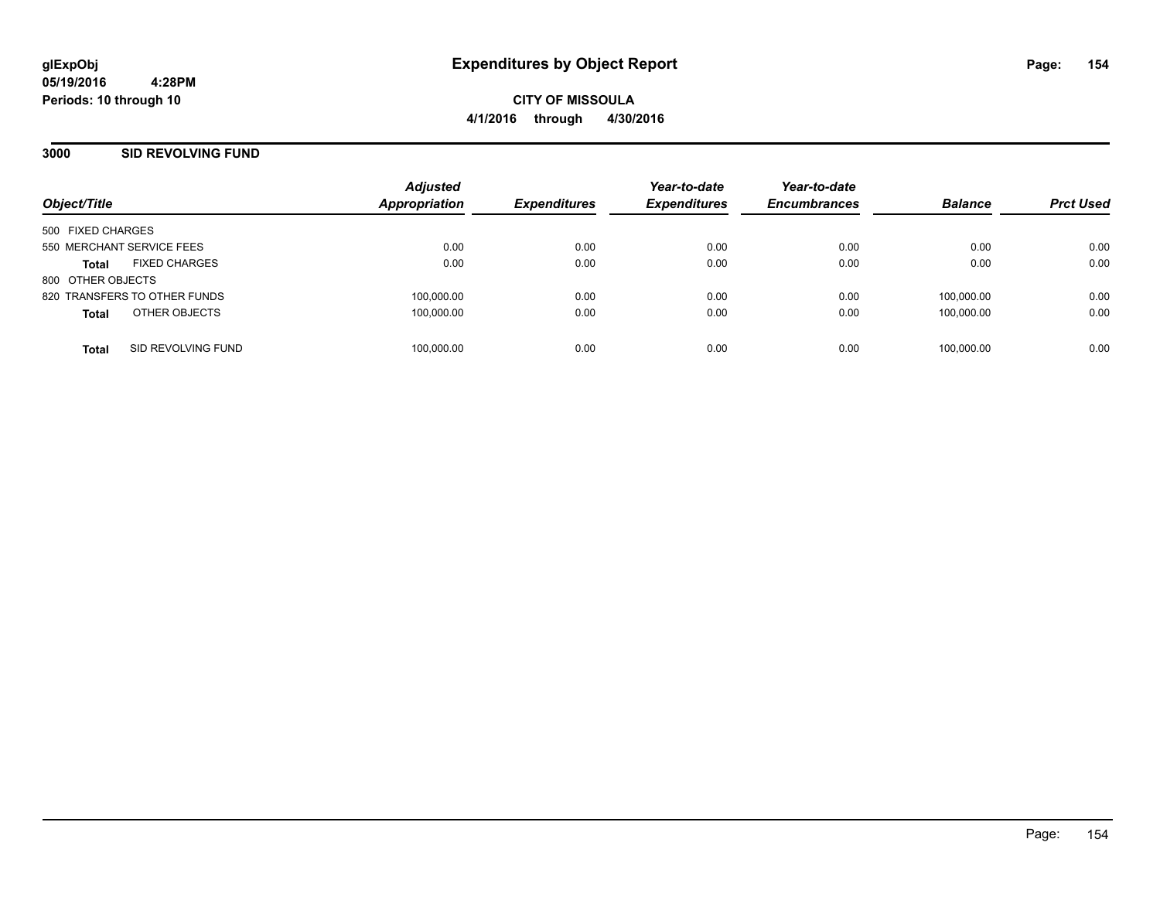### **3000 SID REVOLVING FUND**

| Object/Title                         | <b>Adjusted</b><br><b>Appropriation</b> | <b>Expenditures</b> | Year-to-date<br><b>Expenditures</b> | Year-to-date<br><b>Encumbrances</b> | <b>Balance</b> | <b>Prct Used</b> |
|--------------------------------------|-----------------------------------------|---------------------|-------------------------------------|-------------------------------------|----------------|------------------|
| 500 FIXED CHARGES                    |                                         |                     |                                     |                                     |                |                  |
| 550 MERCHANT SERVICE FEES            | 0.00                                    | 0.00                | 0.00                                | 0.00                                | 0.00           | 0.00             |
| <b>FIXED CHARGES</b><br><b>Total</b> | 0.00                                    | 0.00                | 0.00                                | 0.00                                | 0.00           | 0.00             |
| 800 OTHER OBJECTS                    |                                         |                     |                                     |                                     |                |                  |
| 820 TRANSFERS TO OTHER FUNDS         | 100,000.00                              | 0.00                | 0.00                                | 0.00                                | 100.000.00     | 0.00             |
| OTHER OBJECTS<br><b>Total</b>        | 100,000.00                              | 0.00                | 0.00                                | 0.00                                | 100.000.00     | 0.00             |
| SID REVOLVING FUND<br><b>Total</b>   | 100,000.00                              | 0.00                | 0.00                                | 0.00                                | 100.000.00     | 0.00             |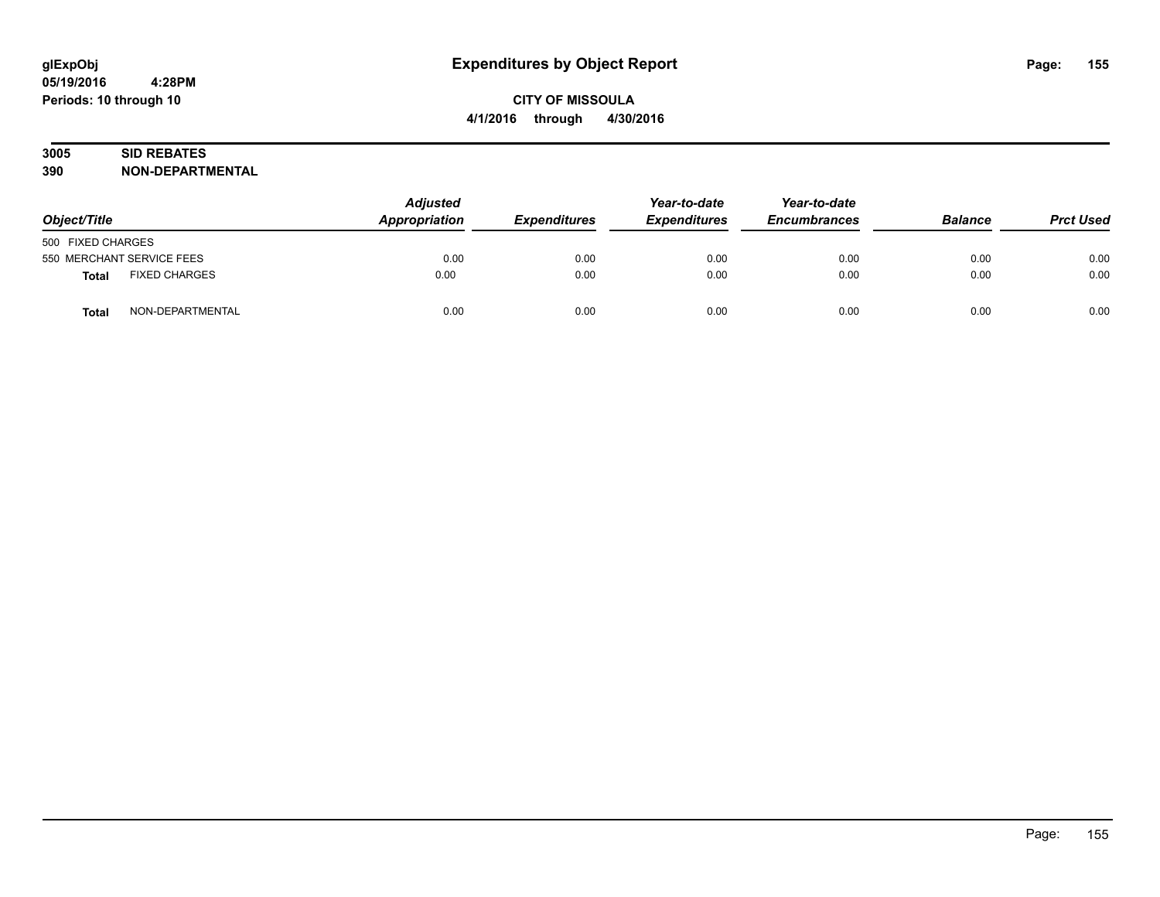# **3005 SID REBATES**

| Object/Title      |                           | <b>Adjusted</b><br>Appropriation | <b>Expenditures</b> | Year-to-date<br><b>Expenditures</b> | Year-to-date<br><b>Encumbrances</b> | <b>Balance</b> | <b>Prct Used</b> |
|-------------------|---------------------------|----------------------------------|---------------------|-------------------------------------|-------------------------------------|----------------|------------------|
| 500 FIXED CHARGES |                           |                                  |                     |                                     |                                     |                |                  |
|                   | 550 MERCHANT SERVICE FEES | 0.00                             | 0.00                | 0.00                                | 0.00                                | 0.00           | 0.00             |
| <b>Total</b>      | <b>FIXED CHARGES</b>      | 0.00                             | 0.00                | 0.00                                | 0.00                                | 0.00           | 0.00             |
| <b>Total</b>      | NON-DEPARTMENTAL          | 0.00                             | 0.00                | 0.00                                | 0.00                                | 0.00           | 0.00             |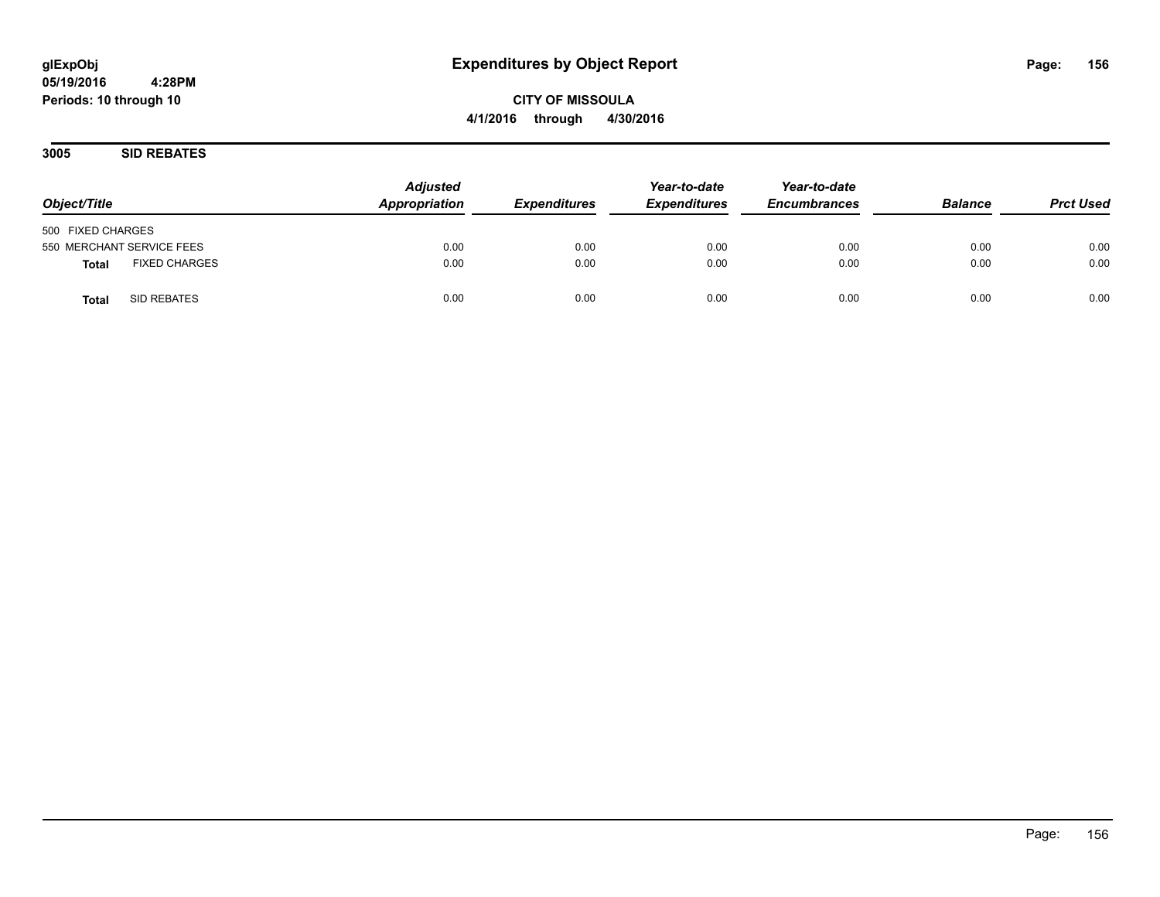**CITY OF MISSOULA 4/1/2016 through 4/30/2016**

**3005 SID REBATES**

| Object/Title                  | <b>Adjusted</b><br>Appropriation | <b>Expenditures</b> | Year-to-date<br><b>Expenditures</b> | Year-to-date<br><b>Encumbrances</b> | <b>Balance</b> | <b>Prct Used</b> |
|-------------------------------|----------------------------------|---------------------|-------------------------------------|-------------------------------------|----------------|------------------|
| 500 FIXED CHARGES             |                                  |                     |                                     |                                     |                |                  |
| 550 MERCHANT SERVICE FEES     | 0.00                             | 0.00                | 0.00                                | 0.00                                | 0.00           | 0.00             |
| <b>FIXED CHARGES</b><br>Total | 0.00                             | 0.00                | 0.00                                | 0.00                                | 0.00           | 0.00             |
| SID REBATES<br><b>Total</b>   | 0.00                             | 0.00                | 0.00                                | 0.00                                | 0.00           | 0.00             |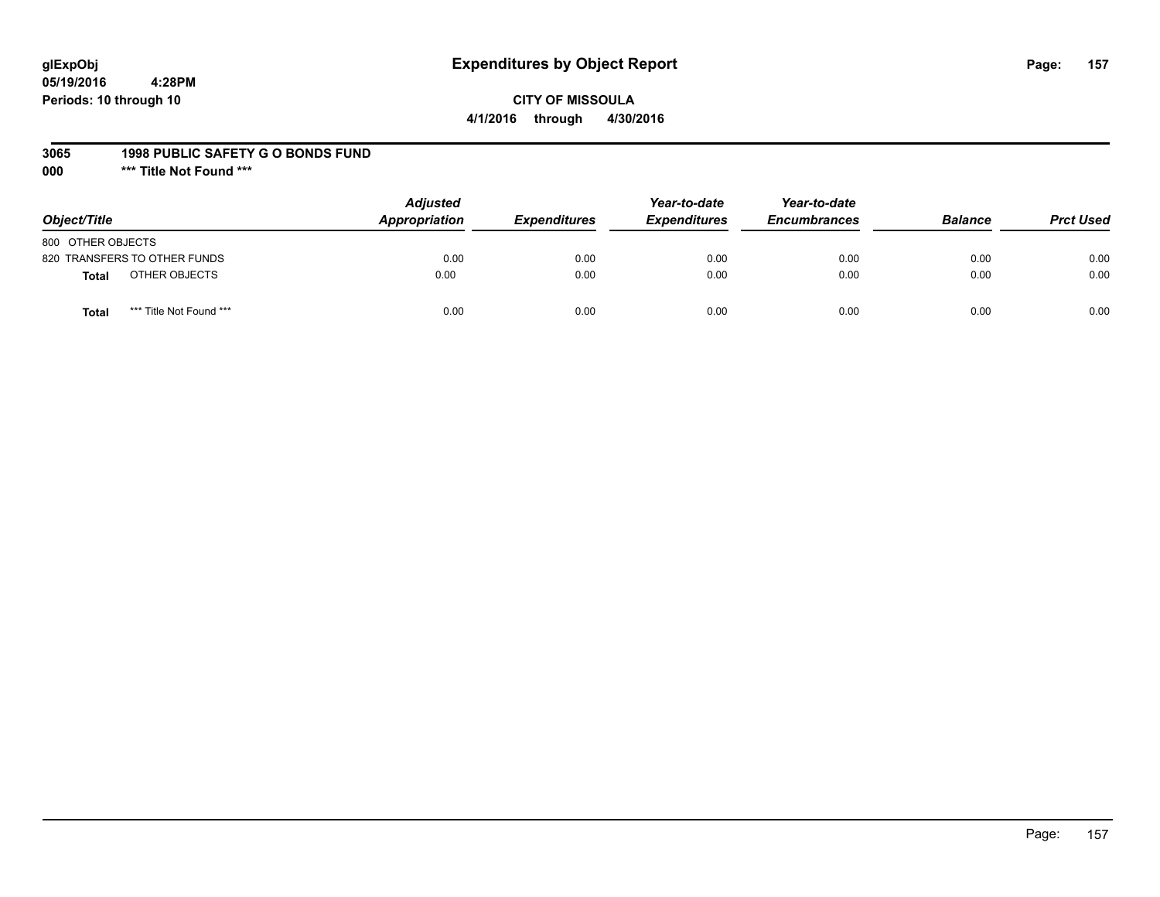# **glExpObj Expenditures by Object Report Page: 157**

#### **CITY OF MISSOULA 4/1/2016 through 4/30/2016**

#### **3065 1998 PUBLIC SAFETY G O BONDS FUND**

**000 \*\*\* Title Not Found \*\*\***

| Object/Title                            | <b>Adjusted</b><br>Appropriation | <b>Expenditures</b> | Year-to-date<br><b>Expenditures</b> | Year-to-date<br><b>Encumbrances</b> | <b>Balance</b> | <b>Prct Used</b> |
|-----------------------------------------|----------------------------------|---------------------|-------------------------------------|-------------------------------------|----------------|------------------|
| 800 OTHER OBJECTS                       |                                  |                     |                                     |                                     |                |                  |
| 820 TRANSFERS TO OTHER FUNDS            | 0.00                             | 0.00                | 0.00                                | 0.00                                | 0.00           | 0.00             |
| OTHER OBJECTS<br>Total                  | 0.00                             | 0.00                | 0.00                                | 0.00                                | 0.00           | 0.00             |
| *** Title Not Found ***<br><b>Total</b> | 0.00                             | 0.00                | 0.00                                | 0.00                                | 0.00           | 0.00             |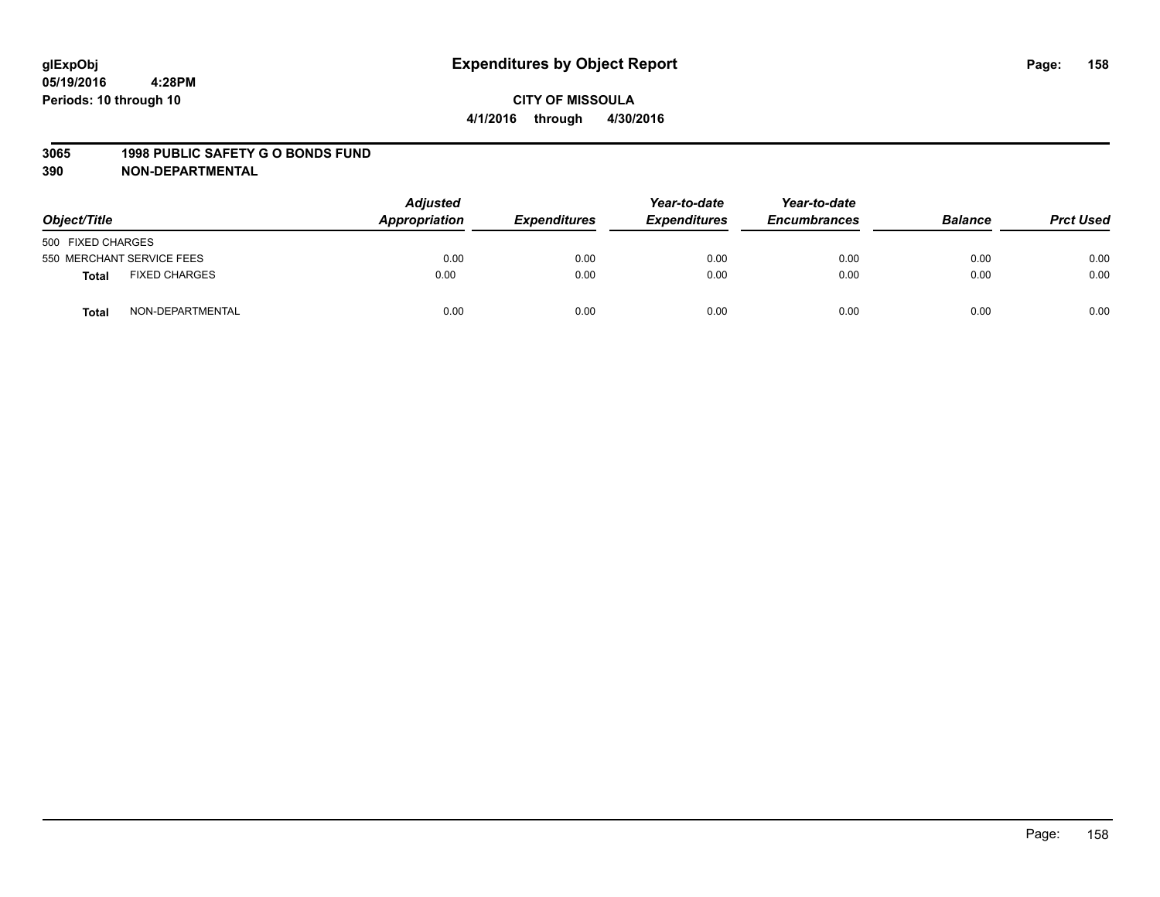#### **3065 1998 PUBLIC SAFETY G O BONDS FUND**

| Object/Title                         | <b>Adjusted</b><br>Appropriation | <b>Expenditures</b> | Year-to-date<br><b>Expenditures</b> | Year-to-date<br><b>Encumbrances</b> | <b>Balance</b> | <b>Prct Used</b> |
|--------------------------------------|----------------------------------|---------------------|-------------------------------------|-------------------------------------|----------------|------------------|
| 500 FIXED CHARGES                    |                                  |                     |                                     |                                     |                |                  |
| 550 MERCHANT SERVICE FEES            | 0.00                             | 0.00                | 0.00                                | 0.00                                | 0.00           | 0.00             |
| <b>FIXED CHARGES</b><br><b>Total</b> | 0.00                             | 0.00                | 0.00                                | 0.00                                | 0.00           | 0.00             |
| NON-DEPARTMENTAL<br><b>Total</b>     | 0.00                             | 0.00                | 0.00                                | 0.00                                | 0.00           | 0.00             |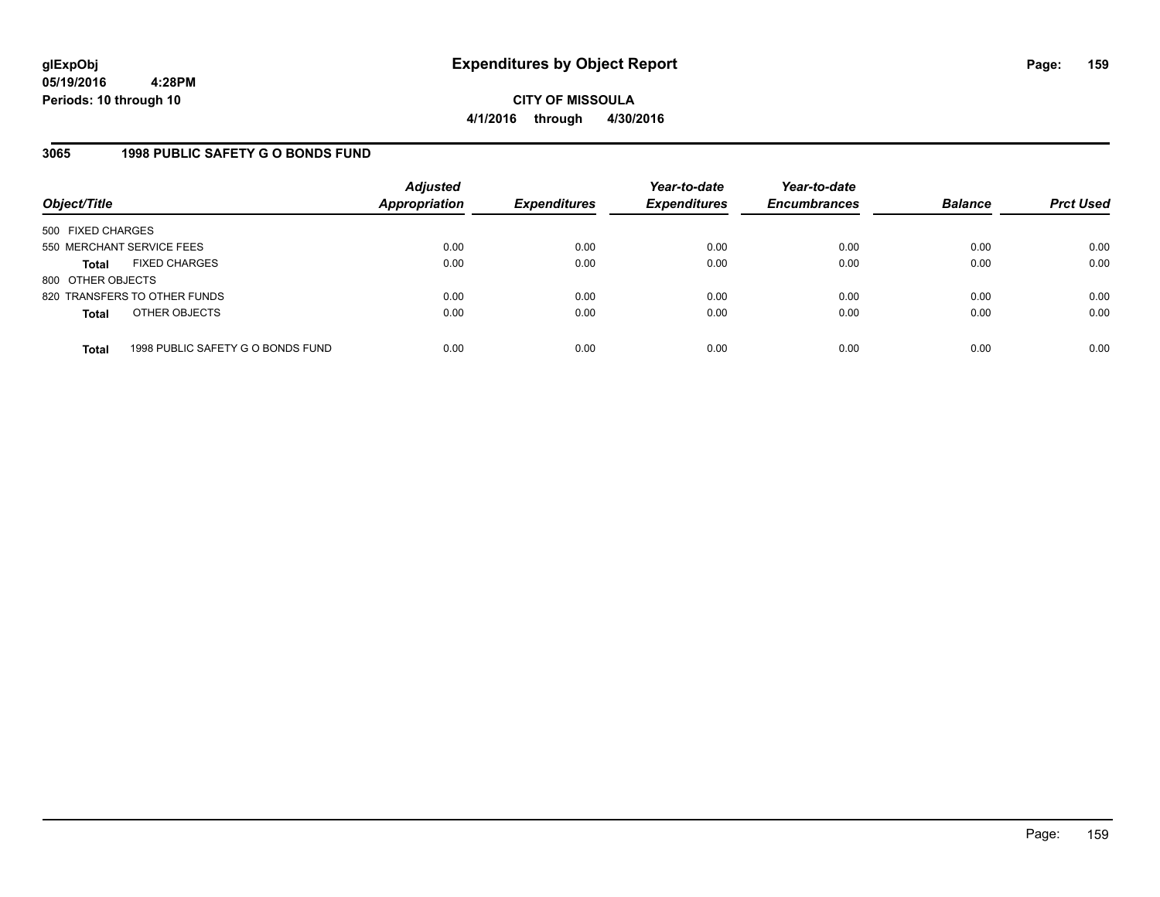### **CITY OF MISSOULA 4/1/2016 through 4/30/2016**

### **3065 1998 PUBLIC SAFETY G O BONDS FUND**

| Object/Title              |                                   | <b>Adjusted</b><br><b>Appropriation</b> | <b>Expenditures</b> | Year-to-date<br><b>Expenditures</b> | Year-to-date<br><b>Encumbrances</b> | <b>Balance</b> | <b>Prct Used</b> |
|---------------------------|-----------------------------------|-----------------------------------------|---------------------|-------------------------------------|-------------------------------------|----------------|------------------|
| 500 FIXED CHARGES         |                                   |                                         |                     |                                     |                                     |                |                  |
| 550 MERCHANT SERVICE FEES |                                   | 0.00                                    | 0.00                | 0.00                                | 0.00                                | 0.00           | 0.00             |
| <b>Total</b>              | <b>FIXED CHARGES</b>              | 0.00                                    | 0.00                | 0.00                                | 0.00                                | 0.00           | 0.00             |
| 800 OTHER OBJECTS         |                                   |                                         |                     |                                     |                                     |                |                  |
|                           | 820 TRANSFERS TO OTHER FUNDS      | 0.00                                    | 0.00                | 0.00                                | 0.00                                | 0.00           | 0.00             |
| <b>Total</b>              | OTHER OBJECTS                     | 0.00                                    | 0.00                | 0.00                                | 0.00                                | 0.00           | 0.00             |
| <b>Total</b>              | 1998 PUBLIC SAFETY G O BONDS FUND | 0.00                                    | 0.00                | 0.00                                | 0.00                                | 0.00           | 0.00             |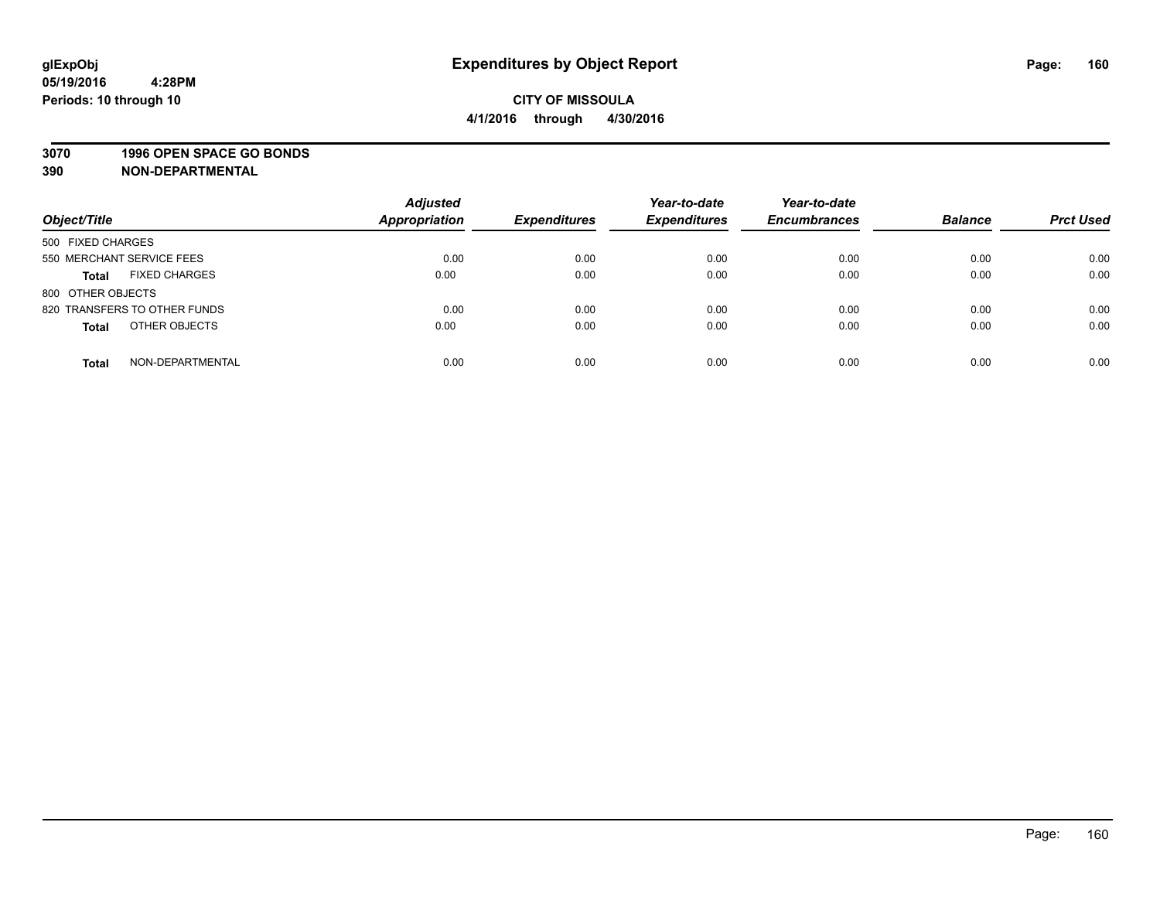#### **3070 1996 OPEN SPACE GO BONDS**

| Object/Title                         | <b>Adjusted</b><br><b>Appropriation</b> | <b>Expenditures</b> | Year-to-date<br><b>Expenditures</b> | Year-to-date<br><b>Encumbrances</b> | <b>Balance</b> | <b>Prct Used</b> |
|--------------------------------------|-----------------------------------------|---------------------|-------------------------------------|-------------------------------------|----------------|------------------|
|                                      |                                         |                     |                                     |                                     |                |                  |
| 500 FIXED CHARGES                    |                                         |                     |                                     |                                     |                |                  |
| 550 MERCHANT SERVICE FEES            | 0.00                                    | 0.00                | 0.00                                | 0.00                                | 0.00           | 0.00             |
| <b>FIXED CHARGES</b><br><b>Total</b> | 0.00                                    | 0.00                | 0.00                                | 0.00                                | 0.00           | 0.00             |
| 800 OTHER OBJECTS                    |                                         |                     |                                     |                                     |                |                  |
| 820 TRANSFERS TO OTHER FUNDS         | 0.00                                    | 0.00                | 0.00                                | 0.00                                | 0.00           | 0.00             |
| OTHER OBJECTS<br><b>Total</b>        | 0.00                                    | 0.00                | 0.00                                | 0.00                                | 0.00           | 0.00             |
|                                      |                                         |                     |                                     |                                     |                |                  |
| NON-DEPARTMENTAL<br><b>Total</b>     | 0.00                                    | 0.00                | 0.00                                | 0.00                                | 0.00           | 0.00             |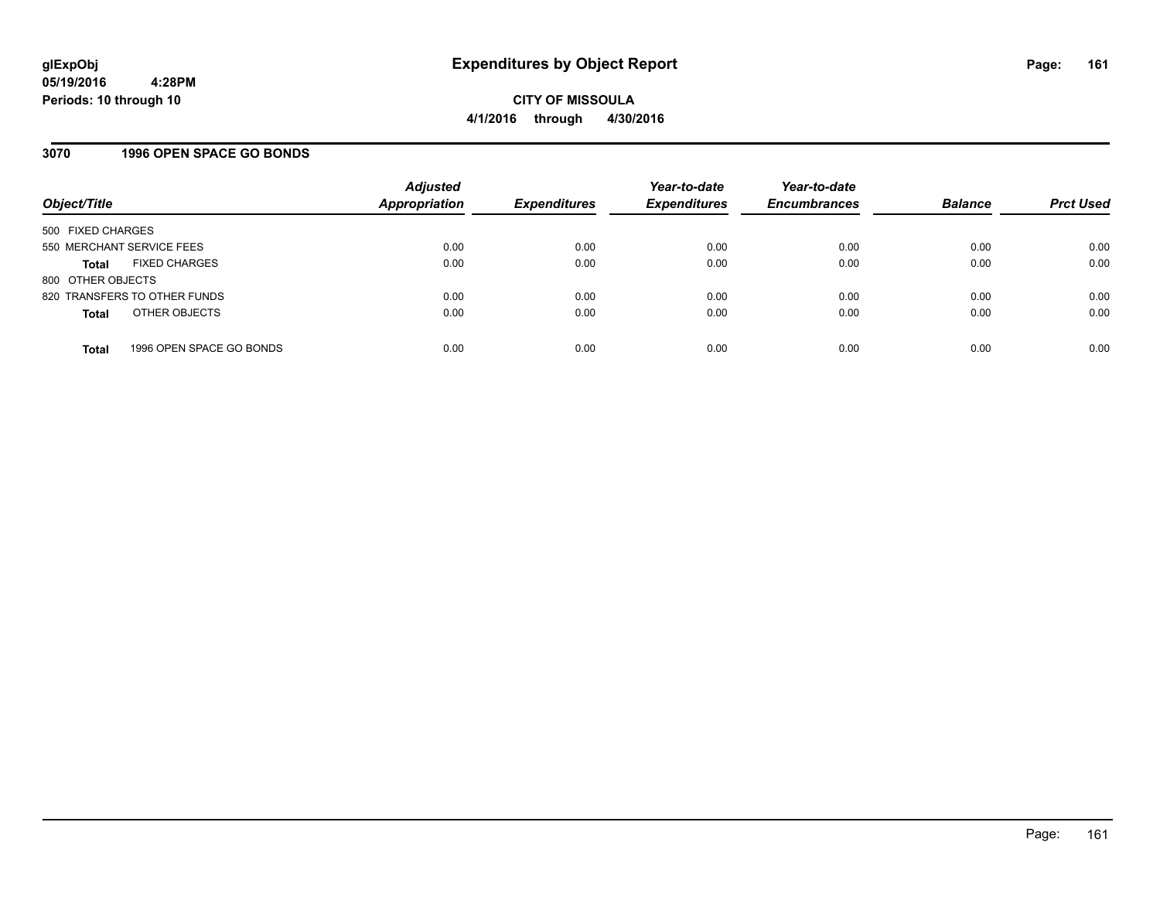#### **3070 1996 OPEN SPACE GO BONDS**

| Object/Title                             | <b>Adjusted</b><br><b>Appropriation</b> | <b>Expenditures</b> | Year-to-date<br><b>Expenditures</b> | Year-to-date<br><b>Encumbrances</b> | <b>Balance</b> | <b>Prct Used</b> |
|------------------------------------------|-----------------------------------------|---------------------|-------------------------------------|-------------------------------------|----------------|------------------|
| 500 FIXED CHARGES                        |                                         |                     |                                     |                                     |                |                  |
| 550 MERCHANT SERVICE FEES                | 0.00                                    | 0.00                | 0.00                                | 0.00                                | 0.00           | 0.00             |
| <b>FIXED CHARGES</b><br><b>Total</b>     | 0.00                                    | 0.00                | 0.00                                | 0.00                                | 0.00           | 0.00             |
| 800 OTHER OBJECTS                        |                                         |                     |                                     |                                     |                |                  |
| 820 TRANSFERS TO OTHER FUNDS             | 0.00                                    | 0.00                | 0.00                                | 0.00                                | 0.00           | 0.00             |
| OTHER OBJECTS<br><b>Total</b>            | 0.00                                    | 0.00                | 0.00                                | 0.00                                | 0.00           | 0.00             |
| 1996 OPEN SPACE GO BONDS<br><b>Total</b> | 0.00                                    | 0.00                | 0.00                                | 0.00                                | 0.00           | 0.00             |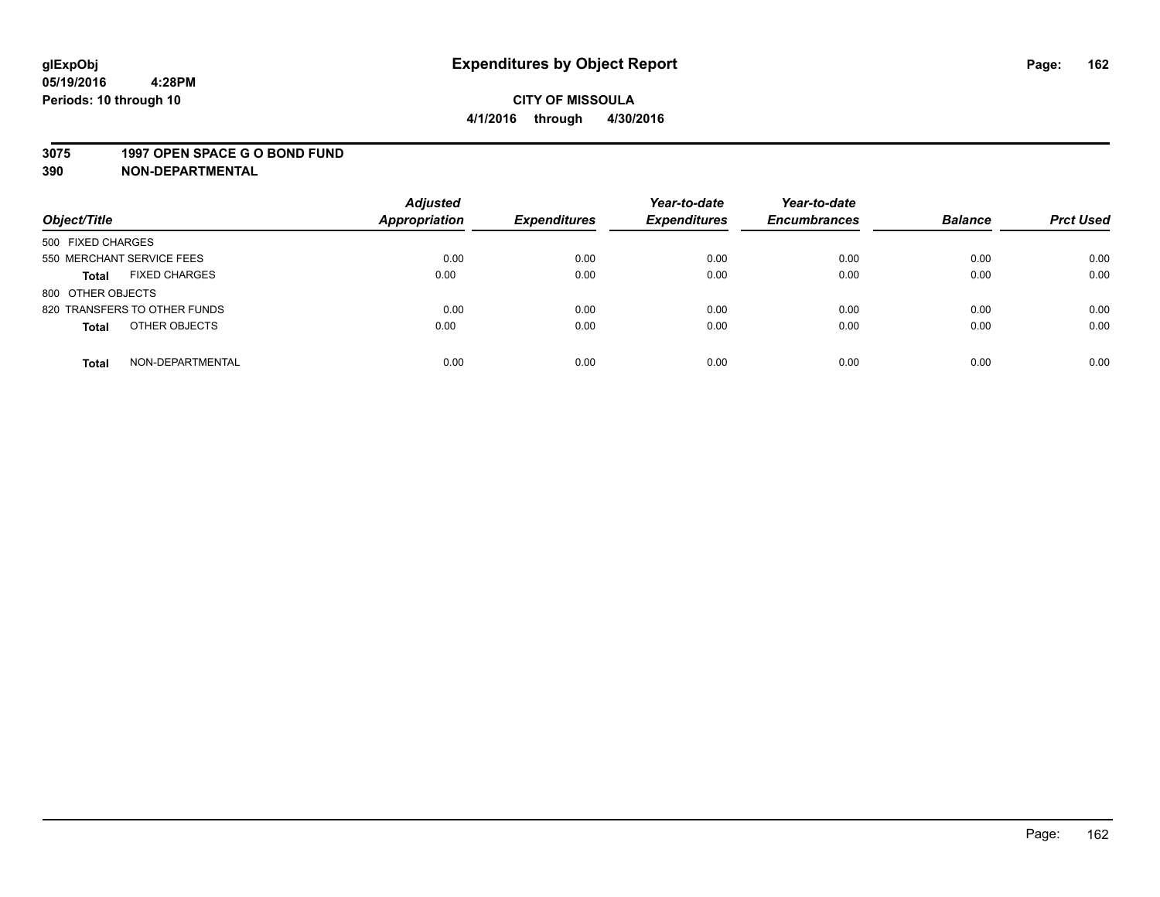#### **3075 1997 OPEN SPACE G O BOND FUND**

| Object/Title                         | <b>Adjusted</b><br>Appropriation | <b>Expenditures</b> | Year-to-date<br><b>Expenditures</b> | Year-to-date<br><b>Encumbrances</b> | <b>Balance</b> | <b>Prct Used</b> |
|--------------------------------------|----------------------------------|---------------------|-------------------------------------|-------------------------------------|----------------|------------------|
| 500 FIXED CHARGES                    |                                  |                     |                                     |                                     |                |                  |
| 550 MERCHANT SERVICE FEES            | 0.00                             | 0.00                | 0.00                                | 0.00                                | 0.00           | 0.00             |
| <b>FIXED CHARGES</b><br><b>Total</b> | 0.00                             | 0.00                | 0.00                                | 0.00                                | 0.00           | 0.00             |
| 800 OTHER OBJECTS                    |                                  |                     |                                     |                                     |                |                  |
| 820 TRANSFERS TO OTHER FUNDS         | 0.00                             | 0.00                | 0.00                                | 0.00                                | 0.00           | 0.00             |
| OTHER OBJECTS<br><b>Total</b>        | 0.00                             | 0.00                | 0.00                                | 0.00                                | 0.00           | 0.00             |
| NON-DEPARTMENTAL<br><b>Total</b>     | 0.00                             | 0.00                | 0.00                                | 0.00                                | 0.00           | 0.00             |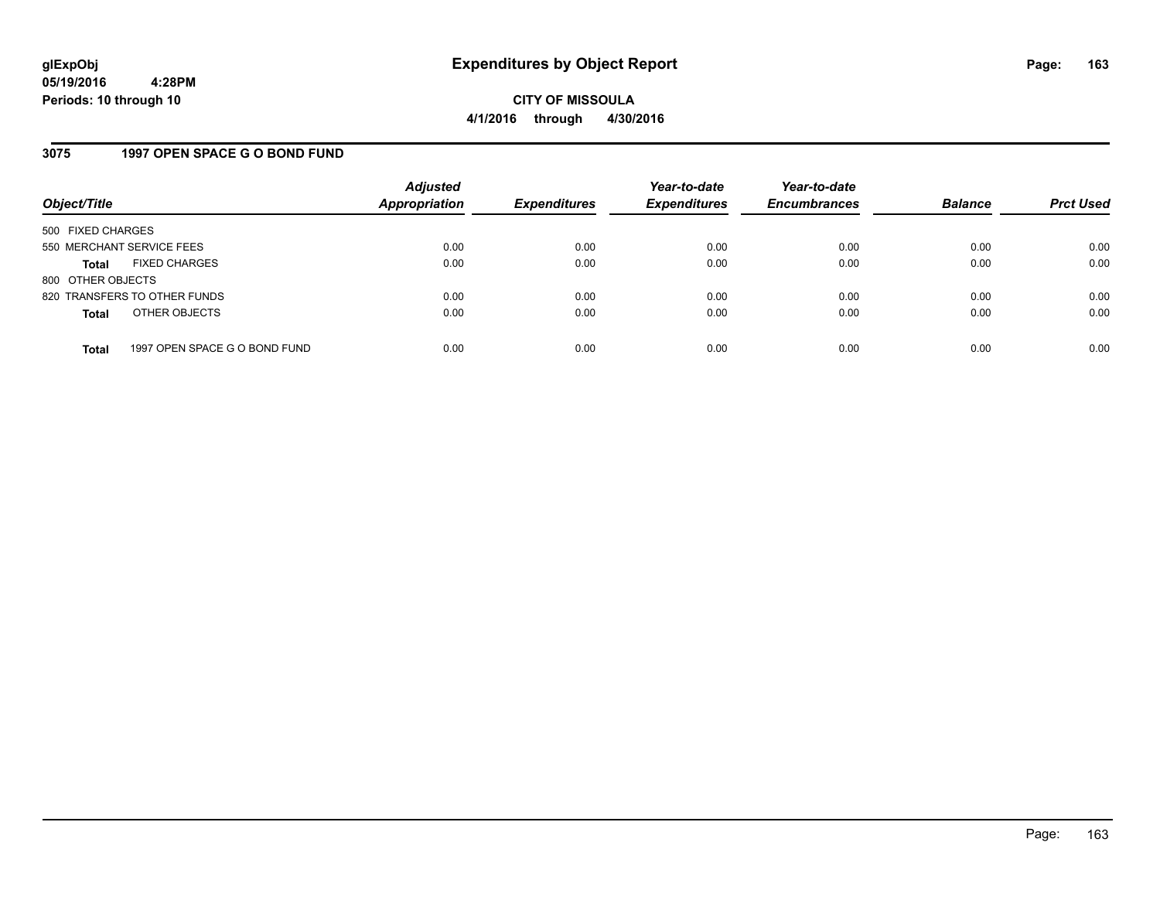### **3075 1997 OPEN SPACE G O BOND FUND**

| Object/Title              |                               | <b>Adjusted</b><br>Appropriation | <b>Expenditures</b> | Year-to-date<br><b>Expenditures</b> | Year-to-date<br><b>Encumbrances</b> | <b>Balance</b> | <b>Prct Used</b> |
|---------------------------|-------------------------------|----------------------------------|---------------------|-------------------------------------|-------------------------------------|----------------|------------------|
| 500 FIXED CHARGES         |                               |                                  |                     |                                     |                                     |                |                  |
| 550 MERCHANT SERVICE FEES |                               | 0.00                             | 0.00                | 0.00                                | 0.00                                | 0.00           | 0.00             |
| <b>Total</b>              | <b>FIXED CHARGES</b>          | 0.00                             | 0.00                | 0.00                                | 0.00                                | 0.00           | 0.00             |
| 800 OTHER OBJECTS         |                               |                                  |                     |                                     |                                     |                |                  |
|                           | 820 TRANSFERS TO OTHER FUNDS  | 0.00                             | 0.00                | 0.00                                | 0.00                                | 0.00           | 0.00             |
| <b>Total</b>              | OTHER OBJECTS                 | 0.00                             | 0.00                | 0.00                                | 0.00                                | 0.00           | 0.00             |
| <b>Total</b>              | 1997 OPEN SPACE G O BOND FUND | 0.00                             | 0.00                | 0.00                                | 0.00                                | 0.00           | 0.00             |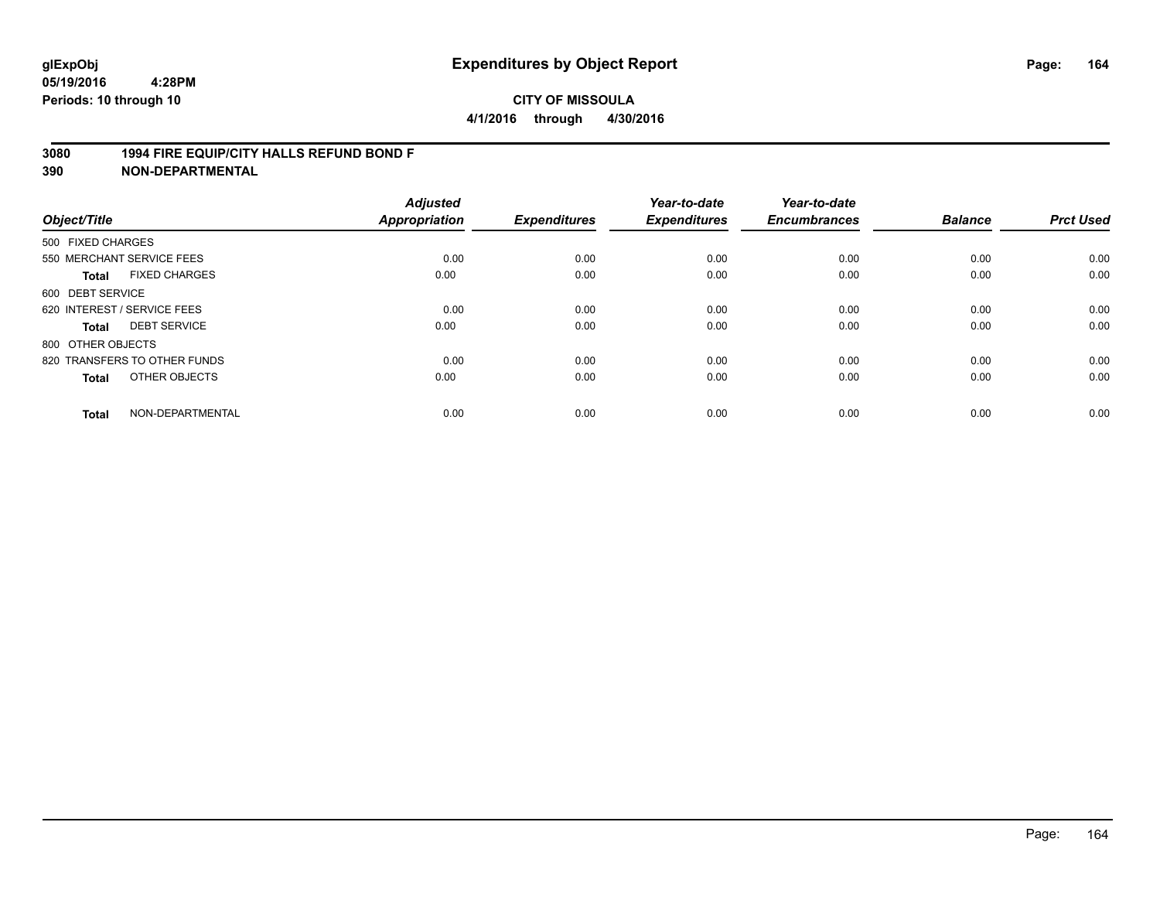#### **3080 1994 FIRE EQUIP/CITY HALLS REFUND BOND F**

| Object/Title                 |                      | <b>Adjusted</b><br>Appropriation | <b>Expenditures</b> | Year-to-date<br><b>Expenditures</b> | Year-to-date<br><b>Encumbrances</b> | <b>Balance</b> | <b>Prct Used</b> |
|------------------------------|----------------------|----------------------------------|---------------------|-------------------------------------|-------------------------------------|----------------|------------------|
| 500 FIXED CHARGES            |                      |                                  |                     |                                     |                                     |                |                  |
| 550 MERCHANT SERVICE FEES    |                      | 0.00                             | 0.00                | 0.00                                | 0.00                                | 0.00           | 0.00             |
| <b>Total</b>                 | <b>FIXED CHARGES</b> | 0.00                             | 0.00                | 0.00                                | 0.00                                | 0.00           | 0.00             |
| 600 DEBT SERVICE             |                      |                                  |                     |                                     |                                     |                |                  |
| 620 INTEREST / SERVICE FEES  |                      | 0.00                             | 0.00                | 0.00                                | 0.00                                | 0.00           | 0.00             |
| <b>DEBT SERVICE</b><br>Total |                      | 0.00                             | 0.00                | 0.00                                | 0.00                                | 0.00           | 0.00             |
| 800 OTHER OBJECTS            |                      |                                  |                     |                                     |                                     |                |                  |
| 820 TRANSFERS TO OTHER FUNDS |                      | 0.00                             | 0.00                | 0.00                                | 0.00                                | 0.00           | 0.00             |
| <b>Total</b>                 | OTHER OBJECTS        | 0.00                             | 0.00                | 0.00                                | 0.00                                | 0.00           | 0.00             |
|                              |                      |                                  |                     |                                     |                                     |                |                  |
| <b>Total</b>                 | NON-DEPARTMENTAL     | 0.00                             | 0.00                | 0.00                                | 0.00                                | 0.00           | 0.00             |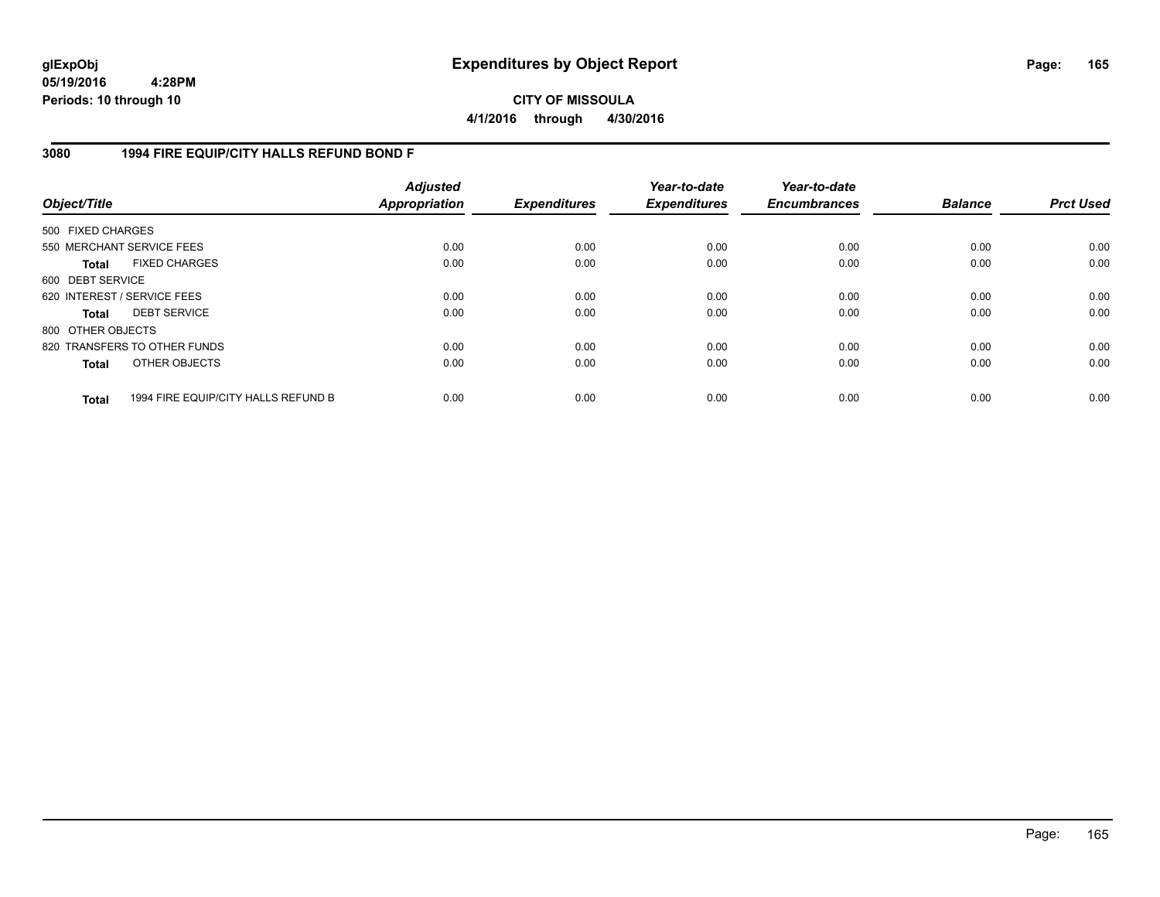### **CITY OF MISSOULA 4/1/2016 through 4/30/2016**

# **3080 1994 FIRE EQUIP/CITY HALLS REFUND BOND F**

| Object/Title                |                                     | <b>Adjusted</b><br><b>Appropriation</b> | <b>Expenditures</b> | Year-to-date<br><b>Expenditures</b> | Year-to-date<br><b>Encumbrances</b> | <b>Balance</b> | <b>Prct Used</b> |
|-----------------------------|-------------------------------------|-----------------------------------------|---------------------|-------------------------------------|-------------------------------------|----------------|------------------|
| 500 FIXED CHARGES           |                                     |                                         |                     |                                     |                                     |                |                  |
| 550 MERCHANT SERVICE FEES   |                                     | 0.00                                    | 0.00                | 0.00                                | 0.00                                | 0.00           | 0.00             |
| <b>Total</b>                | <b>FIXED CHARGES</b>                | 0.00                                    | 0.00                | 0.00                                | 0.00                                | 0.00           | 0.00             |
| 600 DEBT SERVICE            |                                     |                                         |                     |                                     |                                     |                |                  |
| 620 INTEREST / SERVICE FEES |                                     | 0.00                                    | 0.00                | 0.00                                | 0.00                                | 0.00           | 0.00             |
| Total                       | <b>DEBT SERVICE</b>                 | 0.00                                    | 0.00                | 0.00                                | 0.00                                | 0.00           | 0.00             |
| 800 OTHER OBJECTS           |                                     |                                         |                     |                                     |                                     |                |                  |
|                             | 820 TRANSFERS TO OTHER FUNDS        | 0.00                                    | 0.00                | 0.00                                | 0.00                                | 0.00           | 0.00             |
| <b>Total</b>                | OTHER OBJECTS                       | 0.00                                    | 0.00                | 0.00                                | 0.00                                | 0.00           | 0.00             |
| <b>Total</b>                | 1994 FIRE EQUIP/CITY HALLS REFUND B | 0.00                                    | 0.00                | 0.00                                | 0.00                                | 0.00           | 0.00             |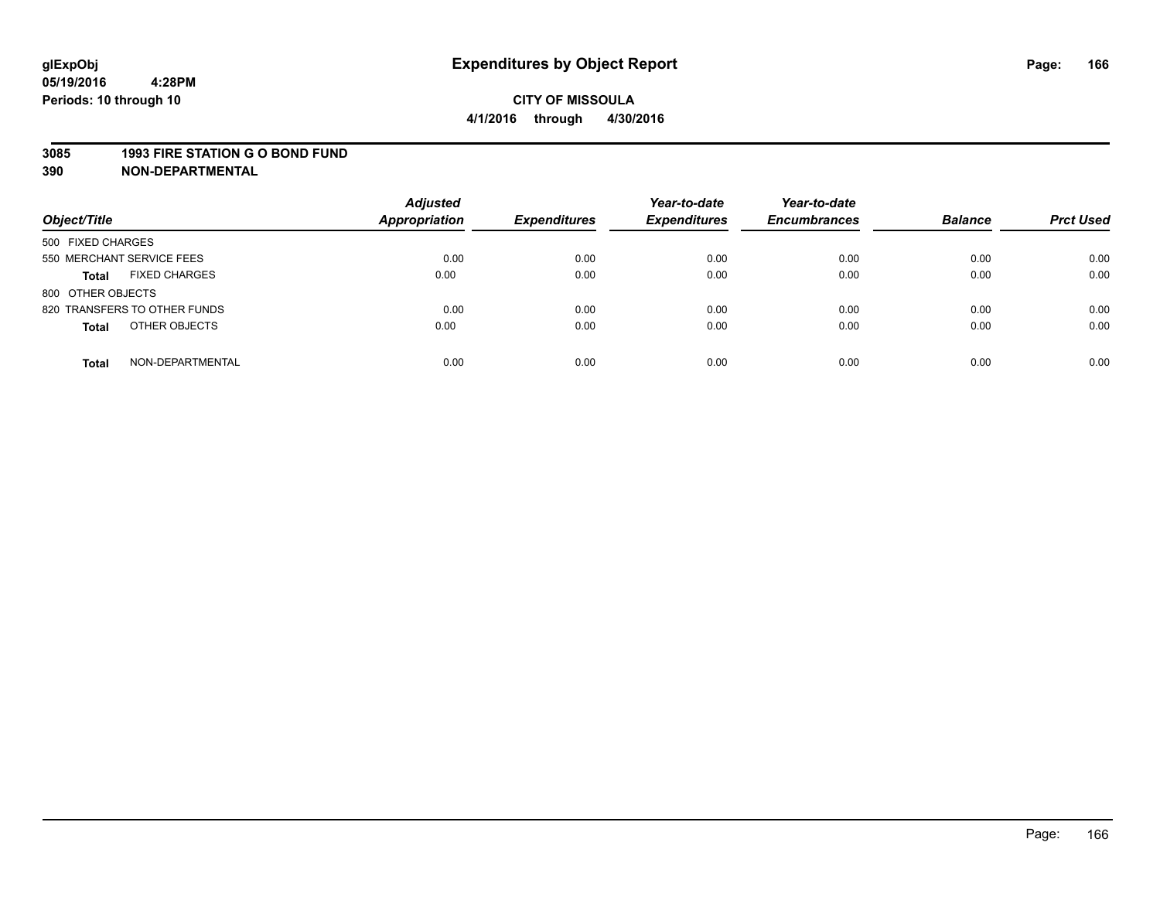#### **3085 1993 FIRE STATION G O BOND FUND**

| Object/Title                         | <b>Adjusted</b><br><b>Appropriation</b> | <b>Expenditures</b> | Year-to-date<br><b>Expenditures</b> | Year-to-date<br><b>Encumbrances</b> | <b>Balance</b> | <b>Prct Used</b> |
|--------------------------------------|-----------------------------------------|---------------------|-------------------------------------|-------------------------------------|----------------|------------------|
|                                      |                                         |                     |                                     |                                     |                |                  |
| 500 FIXED CHARGES                    |                                         |                     |                                     |                                     |                |                  |
| 550 MERCHANT SERVICE FEES            | 0.00                                    | 0.00                | 0.00                                | 0.00                                | 0.00           | 0.00             |
| <b>FIXED CHARGES</b><br><b>Total</b> | 0.00                                    | 0.00                | 0.00                                | 0.00                                | 0.00           | 0.00             |
| 800 OTHER OBJECTS                    |                                         |                     |                                     |                                     |                |                  |
| 820 TRANSFERS TO OTHER FUNDS         | 0.00                                    | 0.00                | 0.00                                | 0.00                                | 0.00           | 0.00             |
| OTHER OBJECTS<br><b>Total</b>        | 0.00                                    | 0.00                | 0.00                                | 0.00                                | 0.00           | 0.00             |
| NON-DEPARTMENTAL<br><b>Total</b>     | 0.00                                    | 0.00                | 0.00                                | 0.00                                | 0.00           | 0.00             |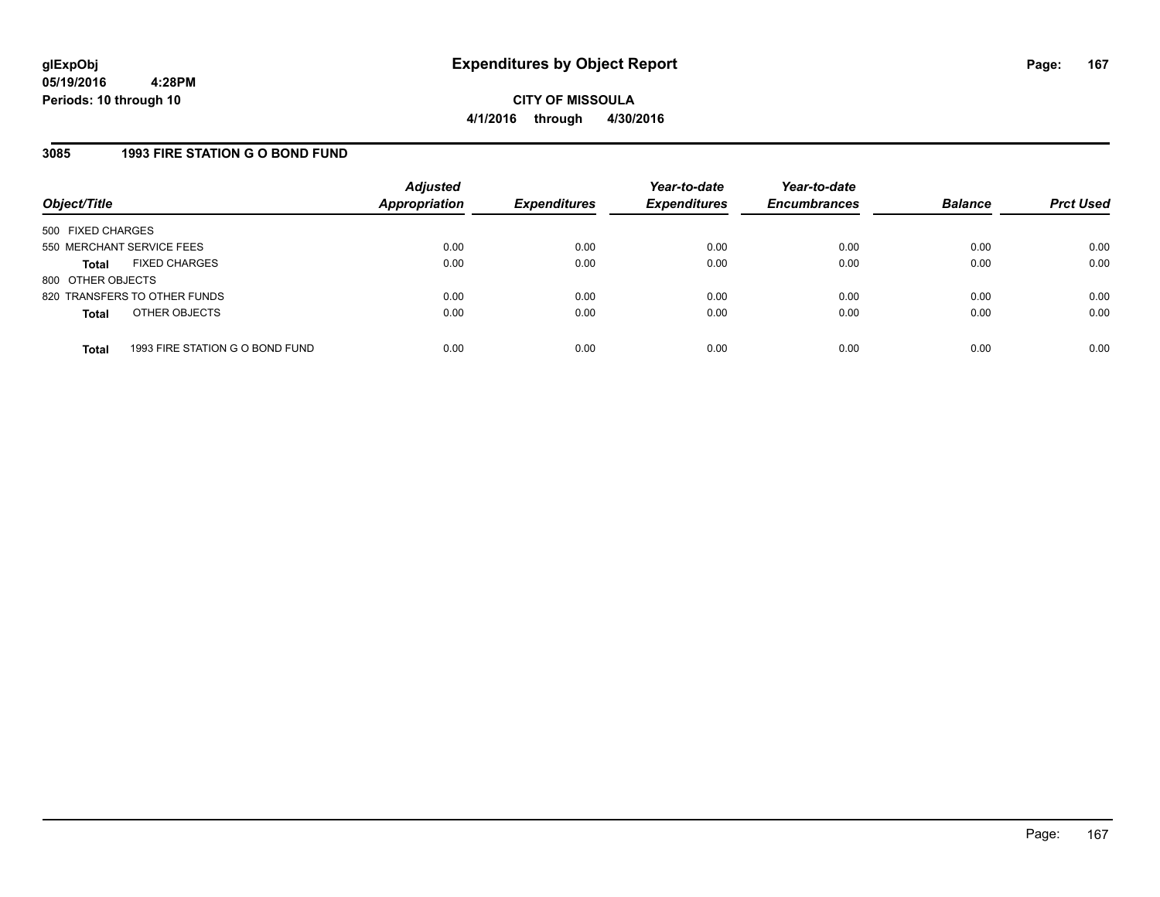### **3085 1993 FIRE STATION G O BOND FUND**

| Object/Title              |                                 | <b>Adjusted</b><br>Appropriation | <b>Expenditures</b> | Year-to-date<br><b>Expenditures</b> | Year-to-date<br><b>Encumbrances</b> | <b>Balance</b> | <b>Prct Used</b> |
|---------------------------|---------------------------------|----------------------------------|---------------------|-------------------------------------|-------------------------------------|----------------|------------------|
| 500 FIXED CHARGES         |                                 |                                  |                     |                                     |                                     |                |                  |
| 550 MERCHANT SERVICE FEES |                                 | 0.00                             | 0.00                | 0.00                                | 0.00                                | 0.00           | 0.00             |
| Total                     | <b>FIXED CHARGES</b>            | 0.00                             | 0.00                | 0.00                                | 0.00                                | 0.00           | 0.00             |
| 800 OTHER OBJECTS         |                                 |                                  |                     |                                     |                                     |                |                  |
|                           | 820 TRANSFERS TO OTHER FUNDS    | 0.00                             | 0.00                | 0.00                                | 0.00                                | 0.00           | 0.00             |
| <b>Total</b>              | OTHER OBJECTS                   | 0.00                             | 0.00                | 0.00                                | 0.00                                | 0.00           | 0.00             |
|                           |                                 |                                  |                     |                                     |                                     |                |                  |
| <b>Total</b>              | 1993 FIRE STATION G O BOND FUND | 0.00                             | 0.00                | 0.00                                | 0.00                                | 0.00           | 0.00             |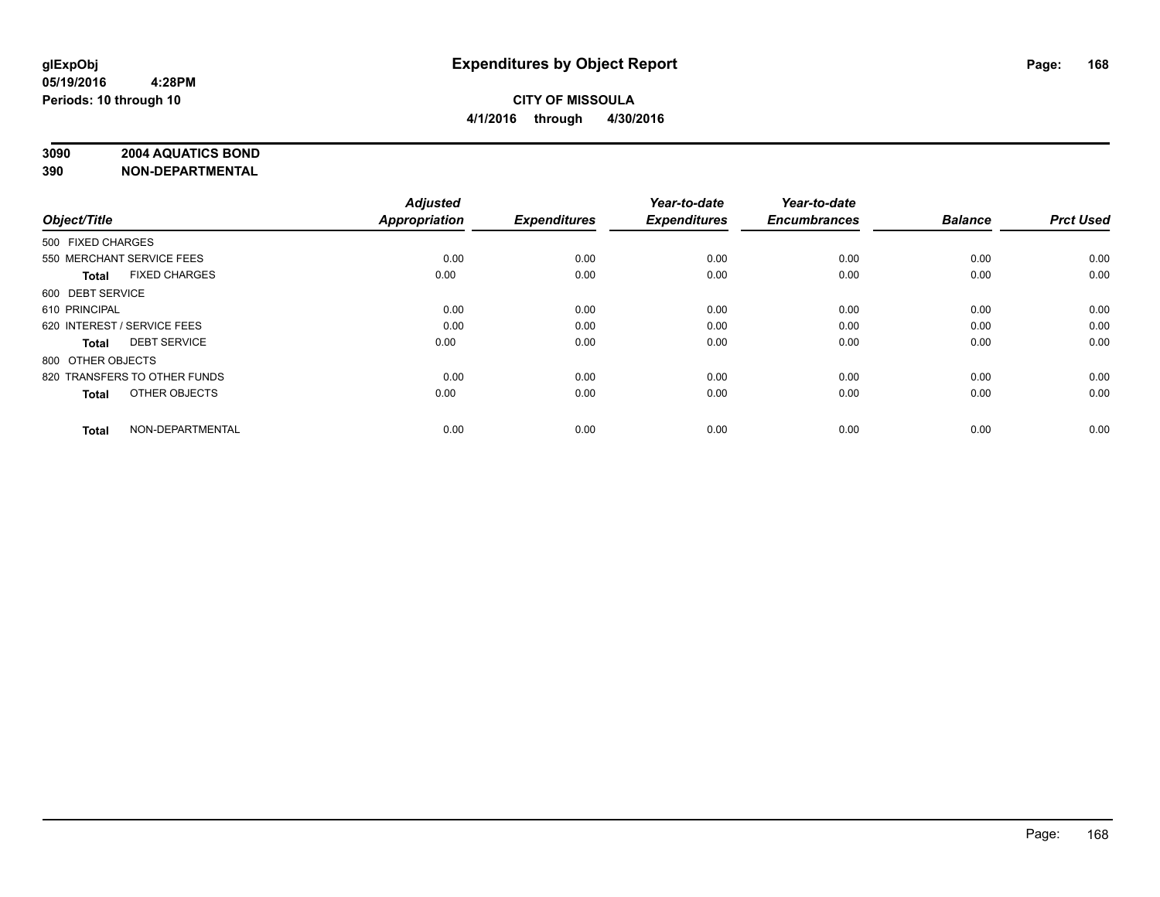#### **3090 2004 AQUATICS BOND**

| Object/Title                |                              | <b>Adjusted</b><br><b>Appropriation</b> | <b>Expenditures</b> | Year-to-date<br><b>Expenditures</b> | Year-to-date<br><b>Encumbrances</b> | <b>Balance</b> | <b>Prct Used</b> |
|-----------------------------|------------------------------|-----------------------------------------|---------------------|-------------------------------------|-------------------------------------|----------------|------------------|
| 500 FIXED CHARGES           |                              |                                         |                     |                                     |                                     |                |                  |
| 550 MERCHANT SERVICE FEES   |                              | 0.00                                    | 0.00                | 0.00                                | 0.00                                | 0.00           | 0.00             |
| <b>Total</b>                | <b>FIXED CHARGES</b>         | 0.00                                    | 0.00                | 0.00                                | 0.00                                | 0.00           | 0.00             |
| 600 DEBT SERVICE            |                              |                                         |                     |                                     |                                     |                |                  |
| 610 PRINCIPAL               |                              | 0.00                                    | 0.00                | 0.00                                | 0.00                                | 0.00           | 0.00             |
| 620 INTEREST / SERVICE FEES |                              | 0.00                                    | 0.00                | 0.00                                | 0.00                                | 0.00           | 0.00             |
| <b>Total</b>                | <b>DEBT SERVICE</b>          | 0.00                                    | 0.00                | 0.00                                | 0.00                                | 0.00           | 0.00             |
| 800 OTHER OBJECTS           |                              |                                         |                     |                                     |                                     |                |                  |
|                             | 820 TRANSFERS TO OTHER FUNDS | 0.00                                    | 0.00                | 0.00                                | 0.00                                | 0.00           | 0.00             |
| <b>Total</b>                | OTHER OBJECTS                | 0.00                                    | 0.00                | 0.00                                | 0.00                                | 0.00           | 0.00             |
|                             |                              |                                         |                     |                                     |                                     |                |                  |
| <b>Total</b>                | NON-DEPARTMENTAL             | 0.00                                    | 0.00                | 0.00                                | 0.00                                | 0.00           | 0.00             |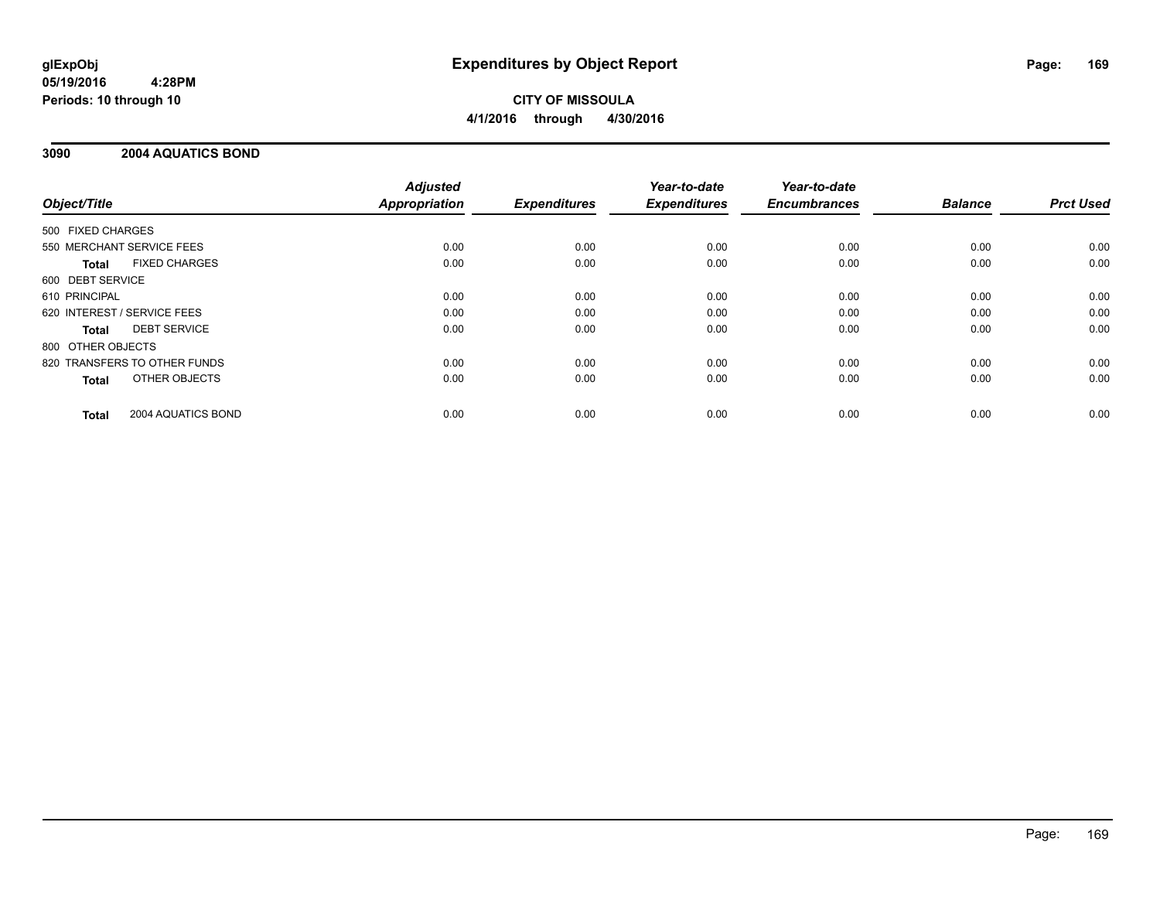# **CITY OF MISSOULA 4/1/2016 through 4/30/2016**

### **3090 2004 AQUATICS BOND**

|                                      | <b>Adjusted</b>      |                     | Year-to-date        | Year-to-date        |                |                  |
|--------------------------------------|----------------------|---------------------|---------------------|---------------------|----------------|------------------|
| Object/Title                         | <b>Appropriation</b> | <b>Expenditures</b> | <b>Expenditures</b> | <b>Encumbrances</b> | <b>Balance</b> | <b>Prct Used</b> |
| 500 FIXED CHARGES                    |                      |                     |                     |                     |                |                  |
| 550 MERCHANT SERVICE FEES            | 0.00                 | 0.00                | 0.00                | 0.00                | 0.00           | 0.00             |
| <b>FIXED CHARGES</b><br><b>Total</b> | 0.00                 | 0.00                | 0.00                | 0.00                | 0.00           | 0.00             |
| 600 DEBT SERVICE                     |                      |                     |                     |                     |                |                  |
| 610 PRINCIPAL                        | 0.00                 | 0.00                | 0.00                | 0.00                | 0.00           | 0.00             |
| 620 INTEREST / SERVICE FEES          | 0.00                 | 0.00                | 0.00                | 0.00                | 0.00           | 0.00             |
| <b>DEBT SERVICE</b><br><b>Total</b>  | 0.00                 | 0.00                | 0.00                | 0.00                | 0.00           | 0.00             |
| 800 OTHER OBJECTS                    |                      |                     |                     |                     |                |                  |
| 820 TRANSFERS TO OTHER FUNDS         | 0.00                 | 0.00                | 0.00                | 0.00                | 0.00           | 0.00             |
| OTHER OBJECTS<br><b>Total</b>        | 0.00                 | 0.00                | 0.00                | 0.00                | 0.00           | 0.00             |
| 2004 AQUATICS BOND<br><b>Total</b>   | 0.00                 | 0.00                | 0.00                | 0.00                | 0.00           | 0.00             |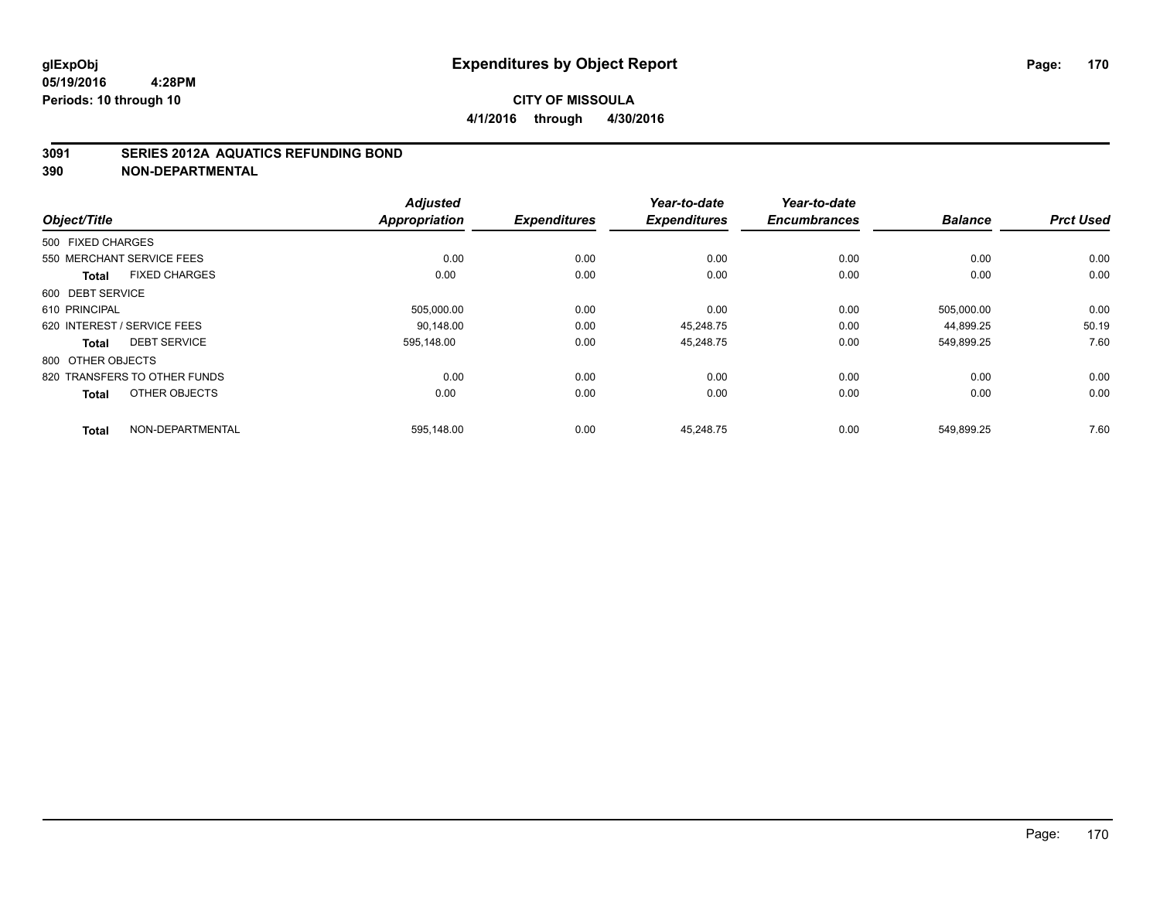#### **3091 SERIES 2012A AQUATICS REFUNDING BOND**

|                                      | <b>Adjusted</b>      |                     | Year-to-date        | Year-to-date        |                |                  |
|--------------------------------------|----------------------|---------------------|---------------------|---------------------|----------------|------------------|
| Object/Title                         | <b>Appropriation</b> | <b>Expenditures</b> | <b>Expenditures</b> | <b>Encumbrances</b> | <b>Balance</b> | <b>Prct Used</b> |
| 500 FIXED CHARGES                    |                      |                     |                     |                     |                |                  |
| 550 MERCHANT SERVICE FEES            | 0.00                 | 0.00                | 0.00                | 0.00                | 0.00           | 0.00             |
| <b>FIXED CHARGES</b><br><b>Total</b> | 0.00                 | 0.00                | 0.00                | 0.00                | 0.00           | 0.00             |
| 600 DEBT SERVICE                     |                      |                     |                     |                     |                |                  |
| 610 PRINCIPAL                        | 505,000.00           | 0.00                | 0.00                | 0.00                | 505,000.00     | 0.00             |
| 620 INTEREST / SERVICE FEES          | 90.148.00            | 0.00                | 45.248.75           | 0.00                | 44.899.25      | 50.19            |
| <b>DEBT SERVICE</b><br><b>Total</b>  | 595,148.00           | 0.00                | 45,248.75           | 0.00                | 549,899.25     | 7.60             |
| 800 OTHER OBJECTS                    |                      |                     |                     |                     |                |                  |
| 820 TRANSFERS TO OTHER FUNDS         | 0.00                 | 0.00                | 0.00                | 0.00                | 0.00           | 0.00             |
| OTHER OBJECTS<br><b>Total</b>        | 0.00                 | 0.00                | 0.00                | 0.00                | 0.00           | 0.00             |
|                                      |                      |                     |                     |                     |                |                  |
| NON-DEPARTMENTAL<br><b>Total</b>     | 595,148.00           | 0.00                | 45,248.75           | 0.00                | 549,899.25     | 7.60             |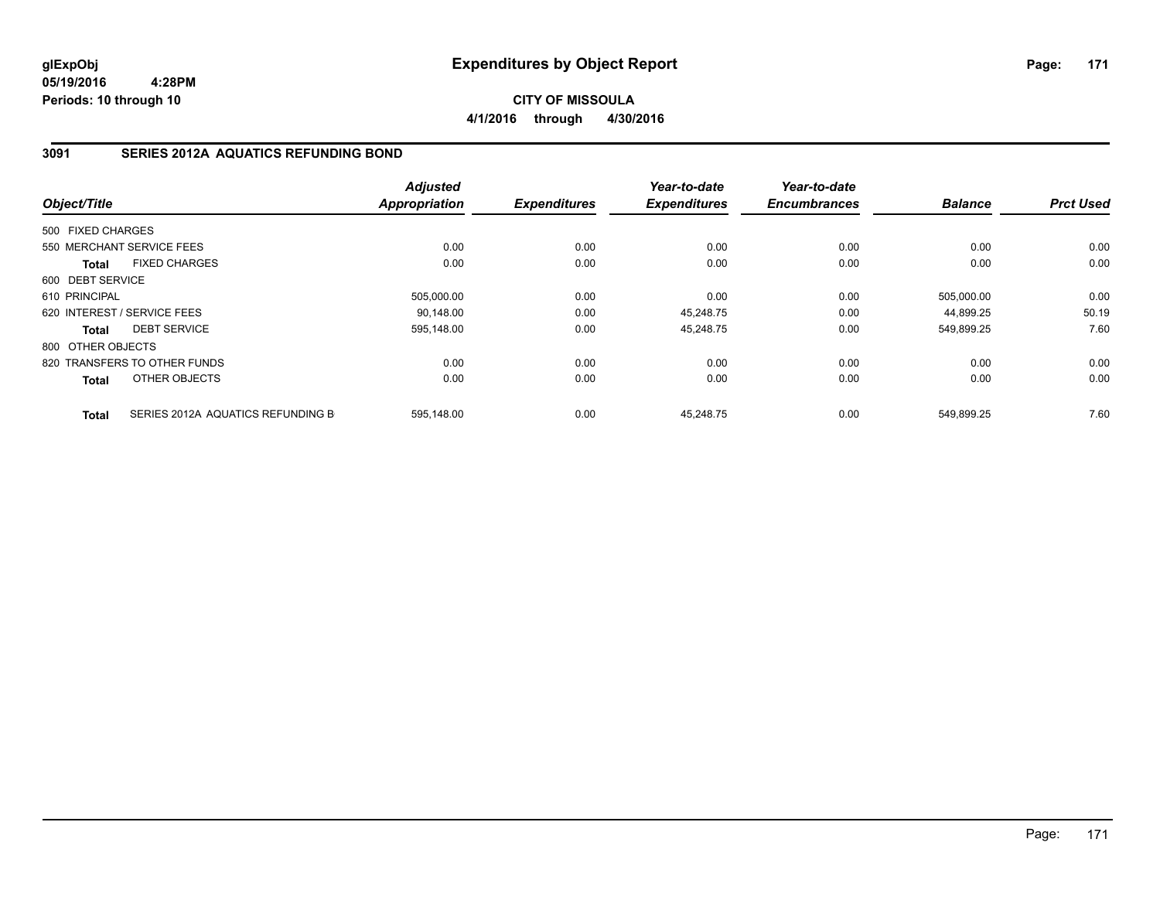### **CITY OF MISSOULA 4/1/2016 through 4/30/2016**

# **3091 SERIES 2012A AQUATICS REFUNDING BOND**

| Object/Title      |                                   | <b>Adjusted</b><br><b>Appropriation</b> | <b>Expenditures</b> | Year-to-date<br><b>Expenditures</b> | Year-to-date<br><b>Encumbrances</b> | <b>Balance</b> | <b>Prct Used</b> |
|-------------------|-----------------------------------|-----------------------------------------|---------------------|-------------------------------------|-------------------------------------|----------------|------------------|
|                   |                                   |                                         |                     |                                     |                                     |                |                  |
| 500 FIXED CHARGES |                                   |                                         |                     |                                     |                                     |                |                  |
|                   | 550 MERCHANT SERVICE FEES         | 0.00                                    | 0.00                | 0.00                                | 0.00                                | 0.00           | 0.00             |
| <b>Total</b>      | <b>FIXED CHARGES</b>              | 0.00                                    | 0.00                | 0.00                                | 0.00                                | 0.00           | 0.00             |
| 600 DEBT SERVICE  |                                   |                                         |                     |                                     |                                     |                |                  |
| 610 PRINCIPAL     |                                   | 505,000.00                              | 0.00                | 0.00                                | 0.00                                | 505,000.00     | 0.00             |
|                   | 620 INTEREST / SERVICE FEES       | 90.148.00                               | 0.00                | 45,248.75                           | 0.00                                | 44.899.25      | 50.19            |
| <b>Total</b>      | <b>DEBT SERVICE</b>               | 595,148.00                              | 0.00                | 45,248.75                           | 0.00                                | 549.899.25     | 7.60             |
| 800 OTHER OBJECTS |                                   |                                         |                     |                                     |                                     |                |                  |
|                   | 820 TRANSFERS TO OTHER FUNDS      | 0.00                                    | 0.00                | 0.00                                | 0.00                                | 0.00           | 0.00             |
| Total             | OTHER OBJECTS                     | 0.00                                    | 0.00                | 0.00                                | 0.00                                | 0.00           | 0.00             |
| <b>Total</b>      | SERIES 2012A AQUATICS REFUNDING B | 595,148.00                              | 0.00                | 45,248.75                           | 0.00                                | 549,899.25     | 7.60             |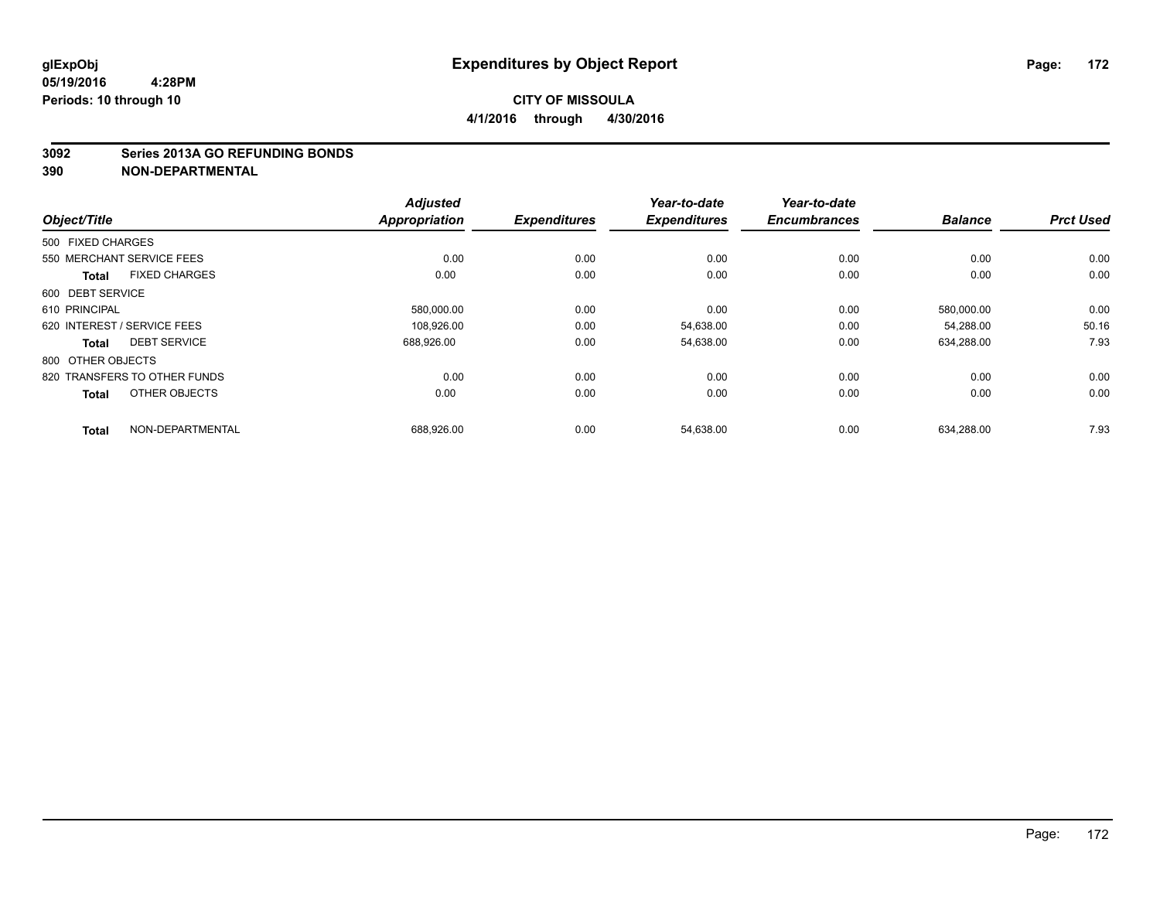#### **3092 Series 2013A GO REFUNDING BONDS**

|                                      | <b>Adjusted</b>      |                     | Year-to-date        | Year-to-date        |                |                  |
|--------------------------------------|----------------------|---------------------|---------------------|---------------------|----------------|------------------|
| Object/Title                         | <b>Appropriation</b> | <b>Expenditures</b> | <b>Expenditures</b> | <b>Encumbrances</b> | <b>Balance</b> | <b>Prct Used</b> |
| 500 FIXED CHARGES                    |                      |                     |                     |                     |                |                  |
| 550 MERCHANT SERVICE FEES            | 0.00                 | 0.00                | 0.00                | 0.00                | 0.00           | 0.00             |
| <b>FIXED CHARGES</b><br><b>Total</b> | 0.00                 | 0.00                | 0.00                | 0.00                | 0.00           | 0.00             |
| 600 DEBT SERVICE                     |                      |                     |                     |                     |                |                  |
| 610 PRINCIPAL                        | 580,000.00           | 0.00                | 0.00                | 0.00                | 580,000.00     | 0.00             |
| 620 INTEREST / SERVICE FEES          | 108,926.00           | 0.00                | 54,638.00           | 0.00                | 54.288.00      | 50.16            |
| <b>DEBT SERVICE</b><br><b>Total</b>  | 688,926.00           | 0.00                | 54,638.00           | 0.00                | 634,288.00     | 7.93             |
| 800 OTHER OBJECTS                    |                      |                     |                     |                     |                |                  |
| 820 TRANSFERS TO OTHER FUNDS         | 0.00                 | 0.00                | 0.00                | 0.00                | 0.00           | 0.00             |
| OTHER OBJECTS<br><b>Total</b>        | 0.00                 | 0.00                | 0.00                | 0.00                | 0.00           | 0.00             |
| NON-DEPARTMENTAL                     |                      |                     |                     |                     | 634,288.00     | 7.93             |
| <b>Total</b>                         | 688,926.00           | 0.00                | 54,638.00           | 0.00                |                |                  |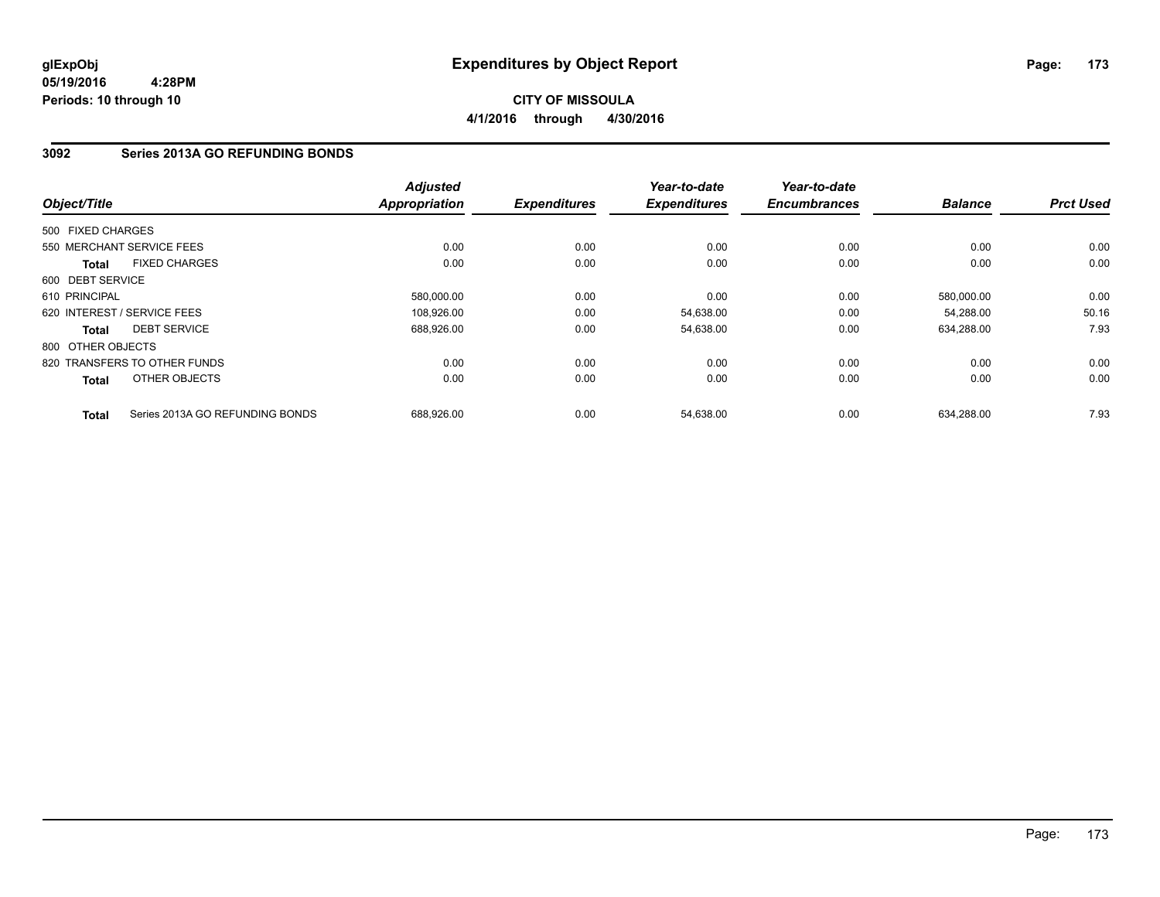### **CITY OF MISSOULA 4/1/2016 through 4/30/2016**

### **3092 Series 2013A GO REFUNDING BONDS**

| Object/Title      |                                 | <b>Adjusted</b><br><b>Appropriation</b> | <b>Expenditures</b> | Year-to-date<br><b>Expenditures</b> | Year-to-date<br><b>Encumbrances</b> | <b>Balance</b> | <b>Prct Used</b> |
|-------------------|---------------------------------|-----------------------------------------|---------------------|-------------------------------------|-------------------------------------|----------------|------------------|
|                   |                                 |                                         |                     |                                     |                                     |                |                  |
| 500 FIXED CHARGES |                                 |                                         |                     |                                     |                                     |                |                  |
|                   | 550 MERCHANT SERVICE FEES       | 0.00                                    | 0.00                | 0.00                                | 0.00                                | 0.00           | 0.00             |
| <b>Total</b>      | <b>FIXED CHARGES</b>            | 0.00                                    | 0.00                | 0.00                                | 0.00                                | 0.00           | 0.00             |
| 600 DEBT SERVICE  |                                 |                                         |                     |                                     |                                     |                |                  |
| 610 PRINCIPAL     |                                 | 580,000.00                              | 0.00                | 0.00                                | 0.00                                | 580,000.00     | 0.00             |
|                   | 620 INTEREST / SERVICE FEES     | 108,926.00                              | 0.00                | 54,638.00                           | 0.00                                | 54.288.00      | 50.16            |
| <b>Total</b>      | <b>DEBT SERVICE</b>             | 688,926.00                              | 0.00                | 54,638.00                           | 0.00                                | 634,288.00     | 7.93             |
| 800 OTHER OBJECTS |                                 |                                         |                     |                                     |                                     |                |                  |
|                   | 820 TRANSFERS TO OTHER FUNDS    | 0.00                                    | 0.00                | 0.00                                | 0.00                                | 0.00           | 0.00             |
| Total             | OTHER OBJECTS                   | 0.00                                    | 0.00                | 0.00                                | 0.00                                | 0.00           | 0.00             |
| <b>Total</b>      | Series 2013A GO REFUNDING BONDS | 688,926.00                              | 0.00                | 54,638.00                           | 0.00                                | 634,288.00     | 7.93             |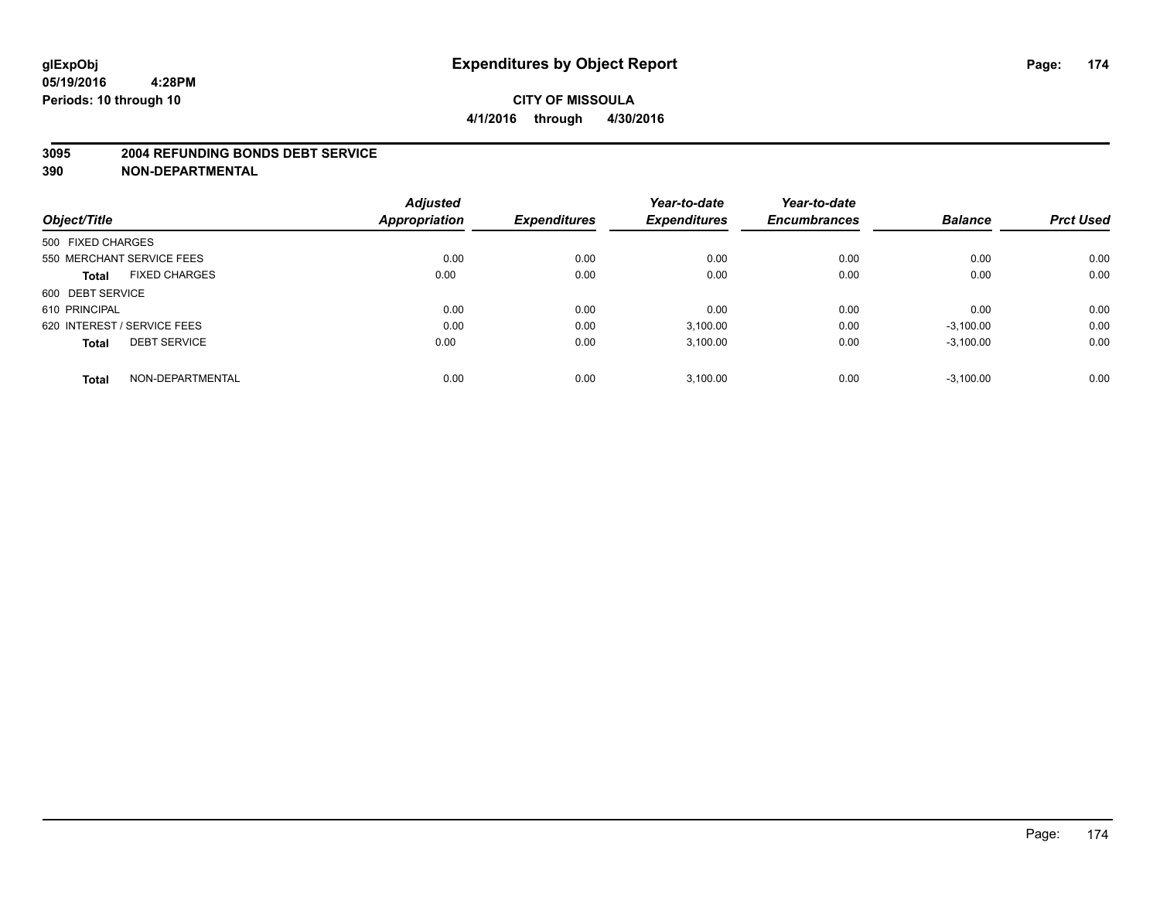#### **3095 2004 REFUNDING BONDS DEBT SERVICE**

|                                      | <b>Adjusted</b>      |                     | Year-to-date        | Year-to-date<br><b>Encumbrances</b> | <b>Balance</b> | <b>Prct Used</b> |
|--------------------------------------|----------------------|---------------------|---------------------|-------------------------------------|----------------|------------------|
| Object/Title                         | <b>Appropriation</b> | <b>Expenditures</b> | <b>Expenditures</b> |                                     |                |                  |
| 500 FIXED CHARGES                    |                      |                     |                     |                                     |                |                  |
| 550 MERCHANT SERVICE FEES            | 0.00                 | 0.00                | 0.00                | 0.00                                | 0.00           | 0.00             |
| <b>FIXED CHARGES</b><br><b>Total</b> | 0.00                 | 0.00                | 0.00                | 0.00                                | 0.00           | 0.00             |
| 600 DEBT SERVICE                     |                      |                     |                     |                                     |                |                  |
| 610 PRINCIPAL                        | 0.00                 | 0.00                | 0.00                | 0.00                                | 0.00           | 0.00             |
| 620 INTEREST / SERVICE FEES          | 0.00                 | 0.00                | 3,100.00            | 0.00                                | $-3,100.00$    | 0.00             |
| <b>DEBT SERVICE</b><br><b>Total</b>  | 0.00                 | 0.00                | 3,100.00            | 0.00                                | $-3,100.00$    | 0.00             |
| NON-DEPARTMENTAL<br><b>Total</b>     | 0.00                 | 0.00                | 3,100.00            | 0.00                                | $-3,100.00$    | 0.00             |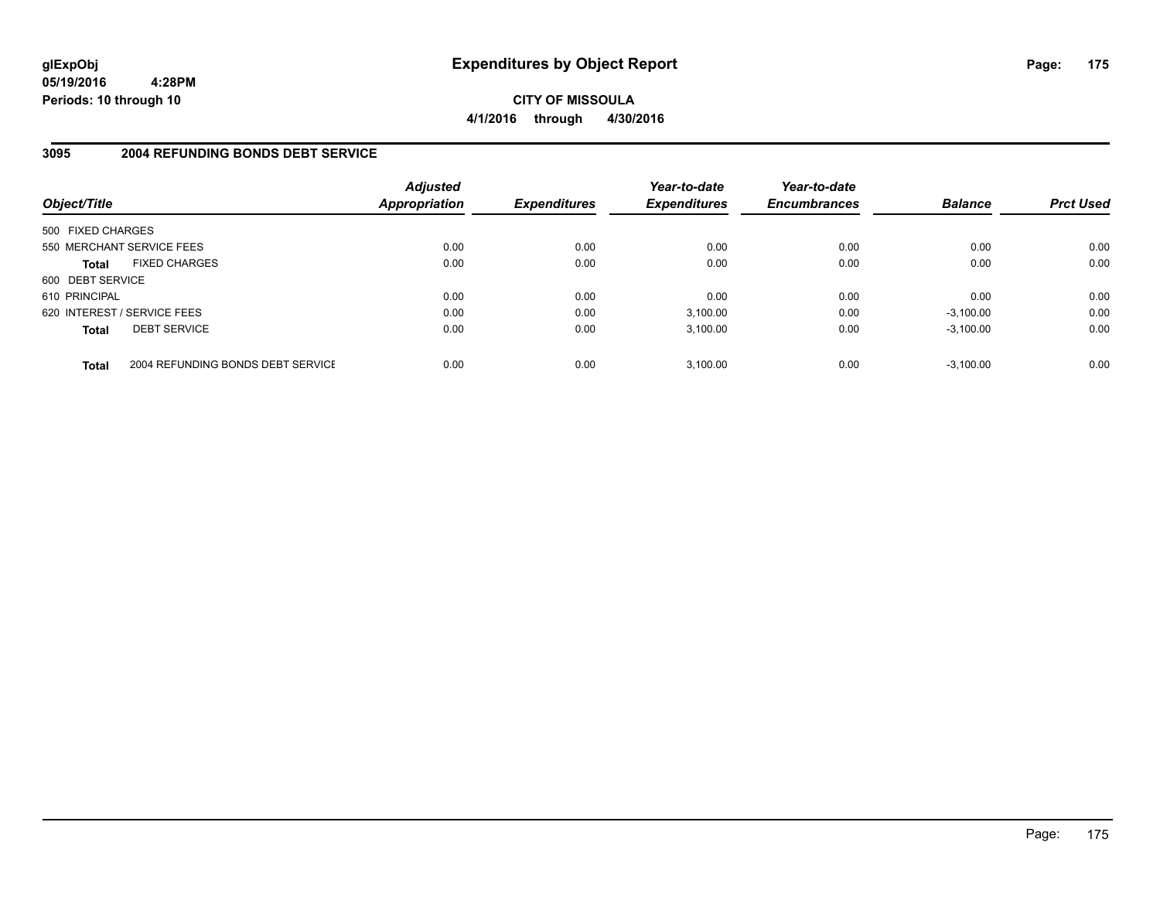**CITY OF MISSOULA 4/1/2016 through 4/30/2016**

### **3095 2004 REFUNDING BONDS DEBT SERVICE**

| Object/Title                |                                   | <b>Adjusted</b><br>Appropriation | <b>Expenditures</b> | Year-to-date<br><b>Expenditures</b> | Year-to-date<br><b>Encumbrances</b> | <b>Balance</b> | <b>Prct Used</b> |
|-----------------------------|-----------------------------------|----------------------------------|---------------------|-------------------------------------|-------------------------------------|----------------|------------------|
| 500 FIXED CHARGES           |                                   |                                  |                     |                                     |                                     |                |                  |
| 550 MERCHANT SERVICE FEES   |                                   | 0.00                             | 0.00                | 0.00                                | 0.00                                | 0.00           | 0.00             |
| <b>Total</b>                | <b>FIXED CHARGES</b>              | 0.00                             | 0.00                | 0.00                                | 0.00                                | 0.00           | 0.00             |
| 600 DEBT SERVICE            |                                   |                                  |                     |                                     |                                     |                |                  |
| 610 PRINCIPAL               |                                   | 0.00                             | 0.00                | 0.00                                | 0.00                                | 0.00           | 0.00             |
| 620 INTEREST / SERVICE FEES |                                   | 0.00                             | 0.00                | 3,100.00                            | 0.00                                | $-3,100.00$    | 0.00             |
| <b>Total</b>                | <b>DEBT SERVICE</b>               | 0.00                             | 0.00                | 3.100.00                            | 0.00                                | $-3.100.00$    | 0.00             |
| <b>Total</b>                | 2004 REFUNDING BONDS DEBT SERVICE | 0.00                             | 0.00                | 3.100.00                            | 0.00                                | $-3.100.00$    | 0.00             |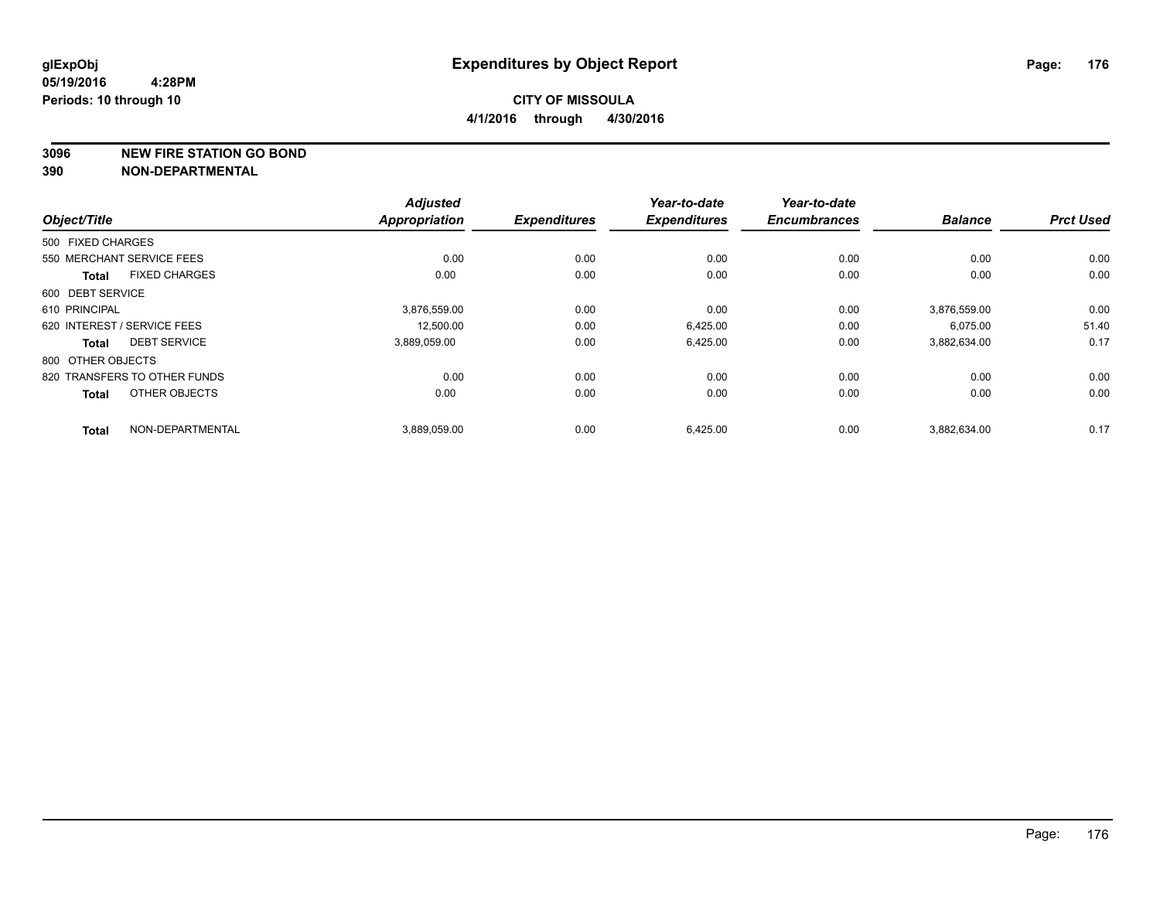#### **3096 NEW FIRE STATION GO BOND**

|                              |                      | <b>Adjusted</b>      | <b>Expenditures</b> | Year-to-date<br><b>Expenditures</b> | Year-to-date<br><b>Encumbrances</b> | <b>Balance</b> | <b>Prct Used</b> |
|------------------------------|----------------------|----------------------|---------------------|-------------------------------------|-------------------------------------|----------------|------------------|
| Object/Title                 |                      | <b>Appropriation</b> |                     |                                     |                                     |                |                  |
| 500 FIXED CHARGES            |                      |                      |                     |                                     |                                     |                |                  |
| 550 MERCHANT SERVICE FEES    |                      | 0.00                 | 0.00                | 0.00                                | 0.00                                | 0.00           | 0.00             |
| <b>Total</b>                 | <b>FIXED CHARGES</b> | 0.00                 | 0.00                | 0.00                                | 0.00                                | 0.00           | 0.00             |
| 600 DEBT SERVICE             |                      |                      |                     |                                     |                                     |                |                  |
| 610 PRINCIPAL                |                      | 3,876,559.00         | 0.00                | 0.00                                | 0.00                                | 3,876,559.00   | 0.00             |
| 620 INTEREST / SERVICE FEES  |                      | 12.500.00            | 0.00                | 6,425.00                            | 0.00                                | 6.075.00       | 51.40            |
| <b>Total</b>                 | <b>DEBT SERVICE</b>  | 3,889,059.00         | 0.00                | 6,425.00                            | 0.00                                | 3,882,634.00   | 0.17             |
| 800 OTHER OBJECTS            |                      |                      |                     |                                     |                                     |                |                  |
| 820 TRANSFERS TO OTHER FUNDS |                      | 0.00                 | 0.00                | 0.00                                | 0.00                                | 0.00           | 0.00             |
| <b>Total</b>                 | OTHER OBJECTS        | 0.00                 | 0.00                | 0.00                                | 0.00                                | 0.00           | 0.00             |
| <b>Total</b>                 | NON-DEPARTMENTAL     | 3,889,059.00         | 0.00                | 6,425.00                            | 0.00                                | 3,882,634.00   | 0.17             |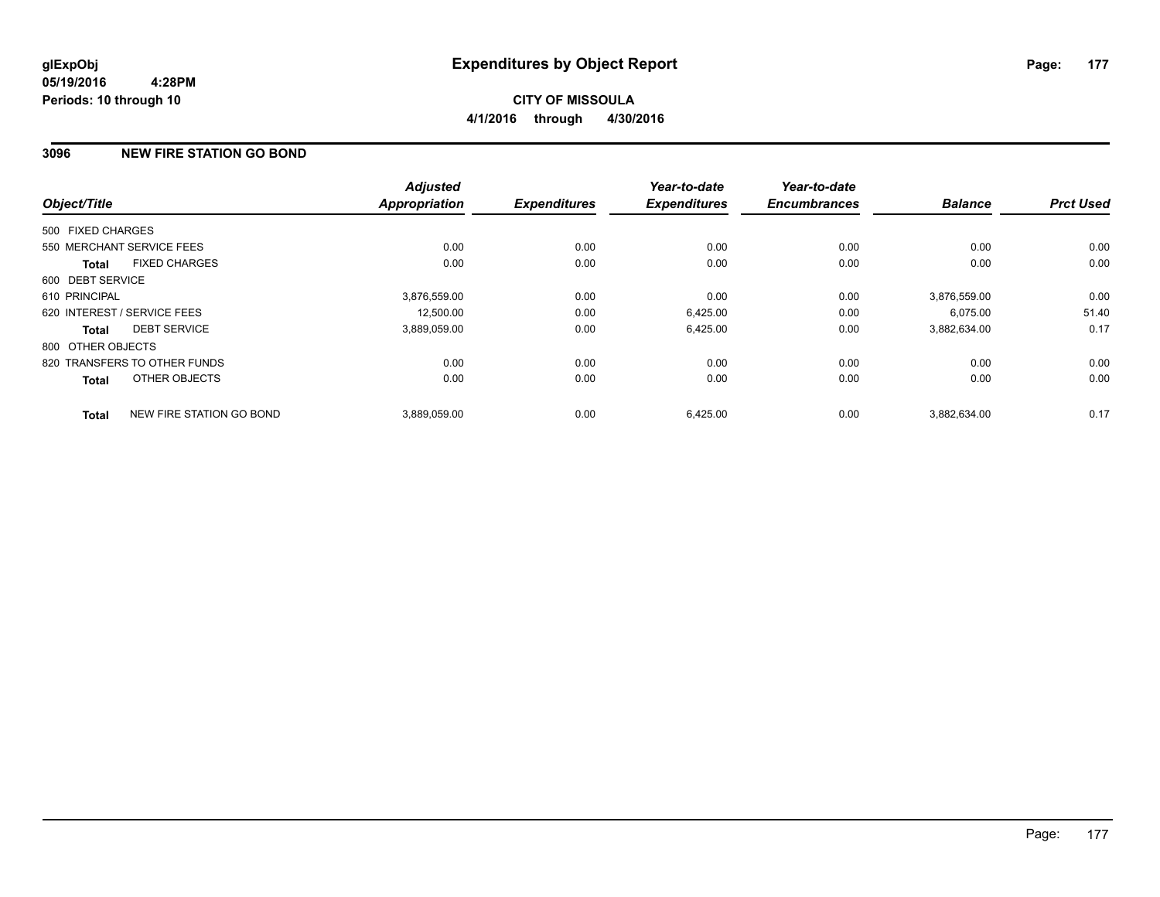### **3096 NEW FIRE STATION GO BOND**

|                   |                              | <b>Adjusted</b>      |                     | Year-to-date<br><b>Expenditures</b> | Year-to-date<br><b>Encumbrances</b> | <b>Balance</b> | <b>Prct Used</b> |
|-------------------|------------------------------|----------------------|---------------------|-------------------------------------|-------------------------------------|----------------|------------------|
| Object/Title      |                              | <b>Appropriation</b> | <b>Expenditures</b> |                                     |                                     |                |                  |
| 500 FIXED CHARGES |                              |                      |                     |                                     |                                     |                |                  |
|                   | 550 MERCHANT SERVICE FEES    | 0.00                 | 0.00                | 0.00                                | 0.00                                | 0.00           | 0.00             |
| <b>Total</b>      | <b>FIXED CHARGES</b>         | 0.00                 | 0.00                | 0.00                                | 0.00                                | 0.00           | 0.00             |
| 600 DEBT SERVICE  |                              |                      |                     |                                     |                                     |                |                  |
| 610 PRINCIPAL     |                              | 3,876,559.00         | 0.00                | 0.00                                | 0.00                                | 3.876.559.00   | 0.00             |
|                   | 620 INTEREST / SERVICE FEES  | 12,500.00            | 0.00                | 6,425.00                            | 0.00                                | 6,075.00       | 51.40            |
| <b>Total</b>      | <b>DEBT SERVICE</b>          | 3,889,059.00         | 0.00                | 6,425.00                            | 0.00                                | 3,882,634.00   | 0.17             |
| 800 OTHER OBJECTS |                              |                      |                     |                                     |                                     |                |                  |
|                   | 820 TRANSFERS TO OTHER FUNDS | 0.00                 | 0.00                | 0.00                                | 0.00                                | 0.00           | 0.00             |
| Total             | OTHER OBJECTS                | 0.00                 | 0.00                | 0.00                                | 0.00                                | 0.00           | 0.00             |
| <b>Total</b>      | NEW FIRE STATION GO BOND     | 3.889.059.00         | 0.00                | 6,425.00                            | 0.00                                | 3.882.634.00   | 0.17             |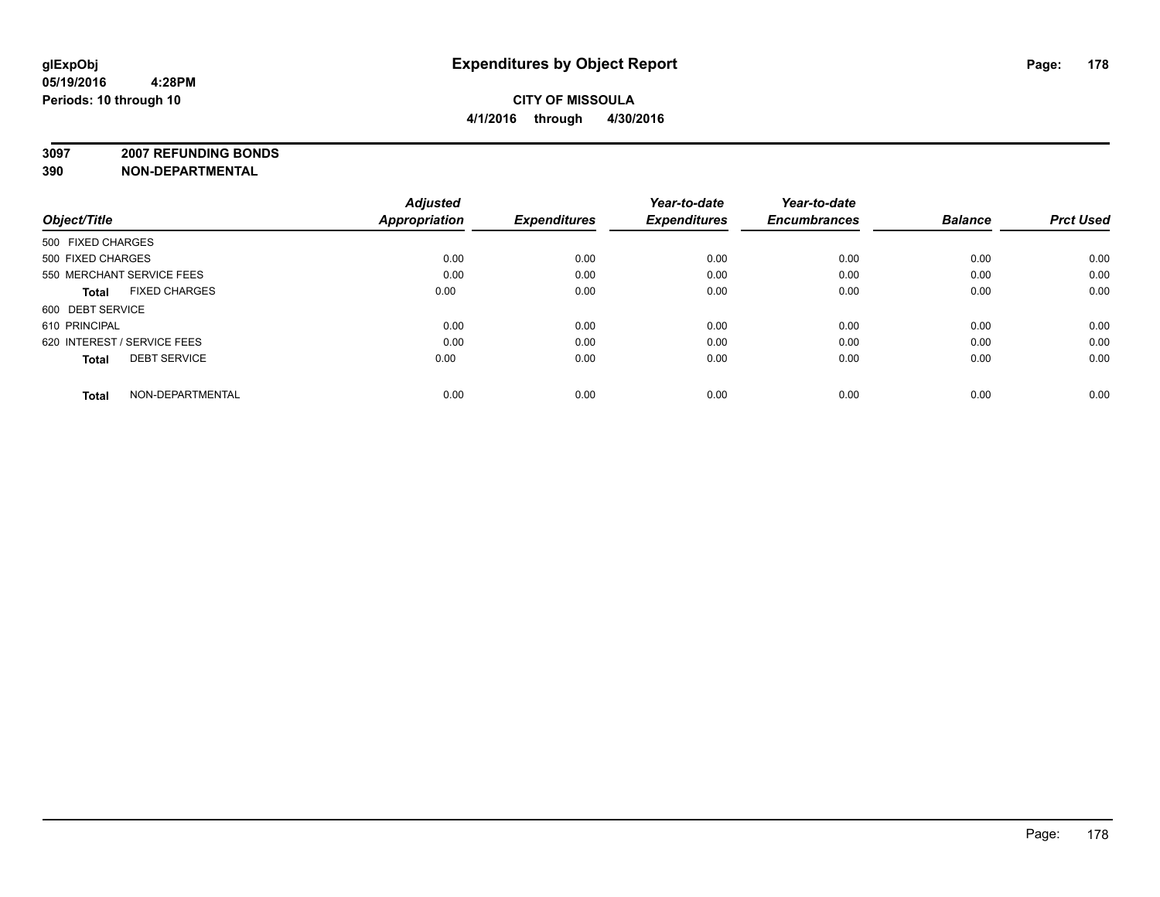**3097 2007 REFUNDING BONDS**

| Object/Title                         | <b>Adjusted</b><br><b>Appropriation</b> | <b>Expenditures</b> | Year-to-date<br><b>Expenditures</b> | Year-to-date<br><b>Encumbrances</b> | <b>Balance</b> | <b>Prct Used</b> |
|--------------------------------------|-----------------------------------------|---------------------|-------------------------------------|-------------------------------------|----------------|------------------|
| 500 FIXED CHARGES                    |                                         |                     |                                     |                                     |                |                  |
| 500 FIXED CHARGES                    | 0.00                                    | 0.00                | 0.00                                | 0.00                                | 0.00           | 0.00             |
| 550 MERCHANT SERVICE FEES            | 0.00                                    | 0.00                | 0.00                                | 0.00                                | 0.00           | 0.00             |
| <b>FIXED CHARGES</b><br><b>Total</b> | 0.00                                    | 0.00                | 0.00                                | 0.00                                | 0.00           | 0.00             |
| 600 DEBT SERVICE                     |                                         |                     |                                     |                                     |                |                  |
| 610 PRINCIPAL                        | 0.00                                    | 0.00                | 0.00                                | 0.00                                | 0.00           | 0.00             |
| 620 INTEREST / SERVICE FEES          | 0.00                                    | 0.00                | 0.00                                | 0.00                                | 0.00           | 0.00             |
| <b>DEBT SERVICE</b><br><b>Total</b>  | 0.00                                    | 0.00                | 0.00                                | 0.00                                | 0.00           | 0.00             |
| NON-DEPARTMENTAL<br><b>Total</b>     | 0.00                                    | 0.00                | 0.00                                | 0.00                                | 0.00           | 0.00             |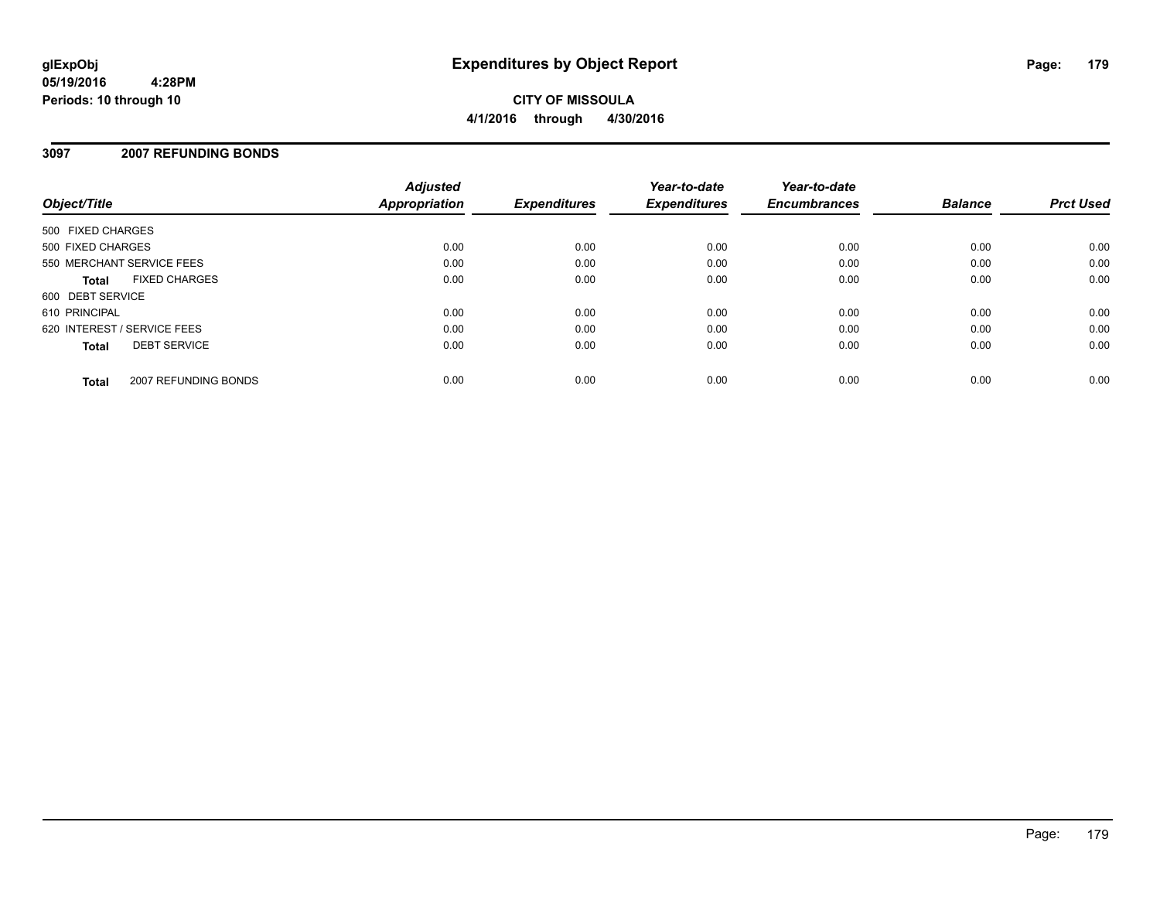# **CITY OF MISSOULA 4/1/2016 through 4/30/2016**

### **3097 2007 REFUNDING BONDS**

| Object/Title                |                      | <b>Adjusted</b><br><b>Appropriation</b> | <b>Expenditures</b> | Year-to-date<br><b>Expenditures</b> | Year-to-date<br><b>Encumbrances</b> | <b>Balance</b> | <b>Prct Used</b> |
|-----------------------------|----------------------|-----------------------------------------|---------------------|-------------------------------------|-------------------------------------|----------------|------------------|
| 500 FIXED CHARGES           |                      |                                         |                     |                                     |                                     |                |                  |
| 500 FIXED CHARGES           |                      | 0.00                                    | 0.00                | 0.00                                | 0.00                                | 0.00           | 0.00             |
| 550 MERCHANT SERVICE FEES   |                      | 0.00                                    | 0.00                | 0.00                                | 0.00                                | 0.00           | 0.00             |
| <b>Total</b>                | <b>FIXED CHARGES</b> | 0.00                                    | 0.00                | 0.00                                | 0.00                                | 0.00           | 0.00             |
| 600 DEBT SERVICE            |                      |                                         |                     |                                     |                                     |                |                  |
| 610 PRINCIPAL               |                      | 0.00                                    | 0.00                | 0.00                                | 0.00                                | 0.00           | 0.00             |
| 620 INTEREST / SERVICE FEES |                      | 0.00                                    | 0.00                | 0.00                                | 0.00                                | 0.00           | 0.00             |
| <b>Total</b>                | <b>DEBT SERVICE</b>  | 0.00                                    | 0.00                | 0.00                                | 0.00                                | 0.00           | 0.00             |
| <b>Total</b>                | 2007 REFUNDING BONDS | 0.00                                    | 0.00                | 0.00                                | 0.00                                | 0.00           | 0.00             |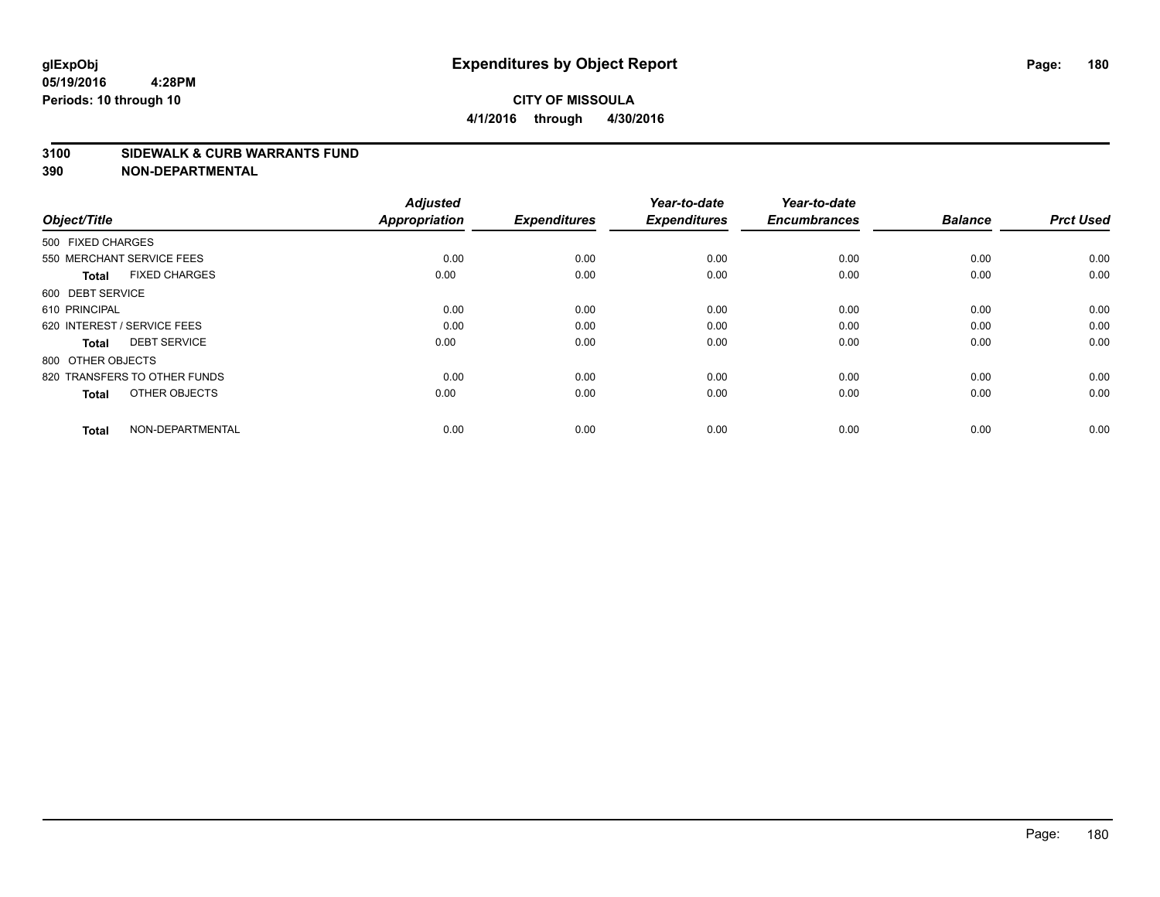#### **3100 SIDEWALK & CURB WARRANTS FUND**

| Object/Title                         | <b>Adjusted</b><br><b>Appropriation</b> | <b>Expenditures</b> | Year-to-date<br><b>Expenditures</b> | Year-to-date<br><b>Encumbrances</b> | <b>Balance</b> | <b>Prct Used</b> |
|--------------------------------------|-----------------------------------------|---------------------|-------------------------------------|-------------------------------------|----------------|------------------|
| 500 FIXED CHARGES                    |                                         |                     |                                     |                                     |                |                  |
| 550 MERCHANT SERVICE FEES            | 0.00                                    | 0.00                | 0.00                                | 0.00                                | 0.00           | 0.00             |
| <b>FIXED CHARGES</b><br><b>Total</b> | 0.00                                    | 0.00                | 0.00                                | 0.00                                | 0.00           | 0.00             |
| 600 DEBT SERVICE                     |                                         |                     |                                     |                                     |                |                  |
| 610 PRINCIPAL                        | 0.00                                    | 0.00                | 0.00                                | 0.00                                | 0.00           | 0.00             |
| 620 INTEREST / SERVICE FEES          | 0.00                                    | 0.00                | 0.00                                | 0.00                                | 0.00           | 0.00             |
| <b>DEBT SERVICE</b><br><b>Total</b>  | 0.00                                    | 0.00                | 0.00                                | 0.00                                | 0.00           | 0.00             |
| 800 OTHER OBJECTS                    |                                         |                     |                                     |                                     |                |                  |
| 820 TRANSFERS TO OTHER FUNDS         | 0.00                                    | 0.00                | 0.00                                | 0.00                                | 0.00           | 0.00             |
| OTHER OBJECTS<br><b>Total</b>        | 0.00                                    | 0.00                | 0.00                                | 0.00                                | 0.00           | 0.00             |
|                                      |                                         |                     |                                     |                                     |                |                  |
| NON-DEPARTMENTAL<br><b>Total</b>     | 0.00                                    | 0.00                | 0.00                                | 0.00                                | 0.00           | 0.00             |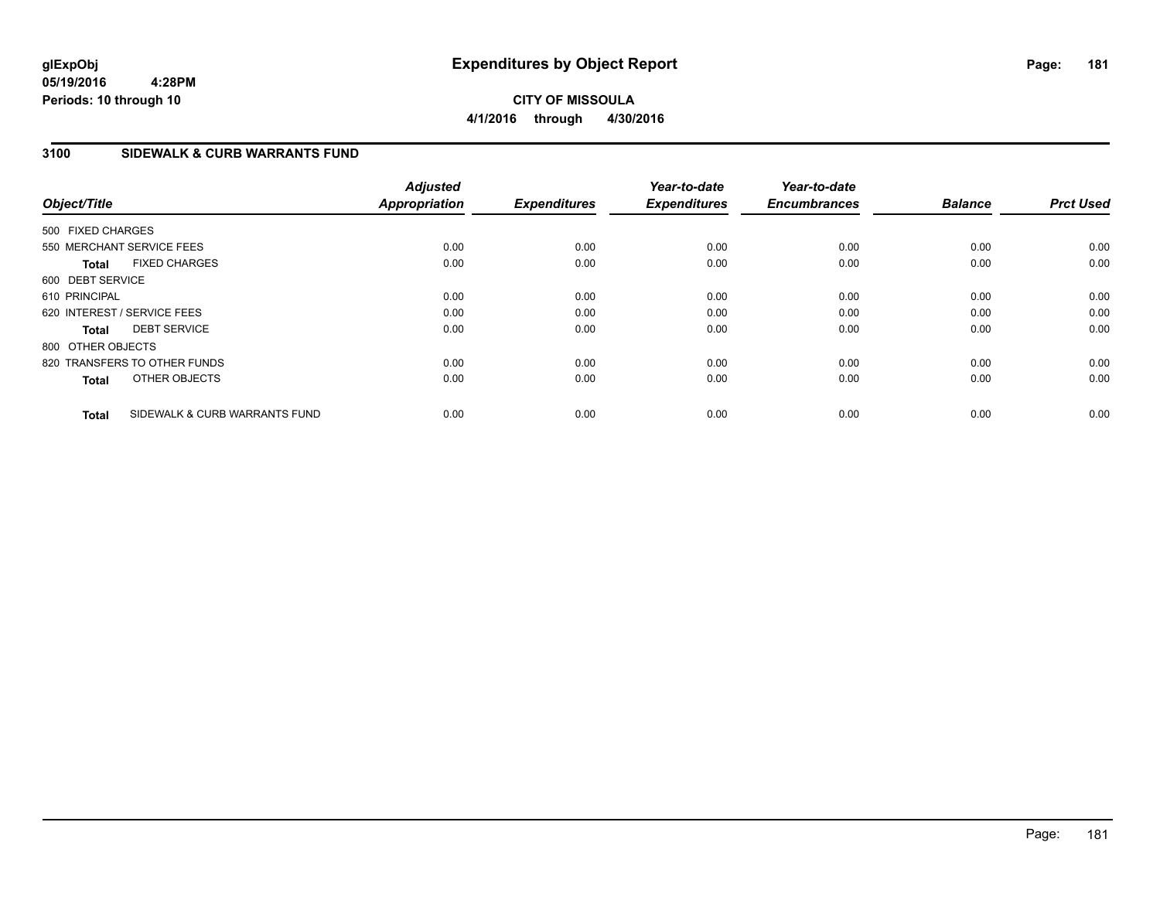### **CITY OF MISSOULA 4/1/2016 through 4/30/2016**

# **3100 SIDEWALK & CURB WARRANTS FUND**

| Object/Title                 |                               | <b>Adjusted</b><br>Appropriation | <b>Expenditures</b> | Year-to-date<br><b>Expenditures</b> | Year-to-date<br><b>Encumbrances</b> | <b>Balance</b> | <b>Prct Used</b> |
|------------------------------|-------------------------------|----------------------------------|---------------------|-------------------------------------|-------------------------------------|----------------|------------------|
| 500 FIXED CHARGES            |                               |                                  |                     |                                     |                                     |                |                  |
| 550 MERCHANT SERVICE FEES    |                               | 0.00                             | 0.00                | 0.00                                | 0.00                                | 0.00           | 0.00             |
| <b>Total</b>                 | <b>FIXED CHARGES</b>          | 0.00                             | 0.00                | 0.00                                | 0.00                                | 0.00           | 0.00             |
| 600 DEBT SERVICE             |                               |                                  |                     |                                     |                                     |                |                  |
| 610 PRINCIPAL                |                               | 0.00                             | 0.00                | 0.00                                | 0.00                                | 0.00           | 0.00             |
| 620 INTEREST / SERVICE FEES  |                               | 0.00                             | 0.00                | 0.00                                | 0.00                                | 0.00           | 0.00             |
| <b>Total</b>                 | <b>DEBT SERVICE</b>           | 0.00                             | 0.00                | 0.00                                | 0.00                                | 0.00           | 0.00             |
| 800 OTHER OBJECTS            |                               |                                  |                     |                                     |                                     |                |                  |
| 820 TRANSFERS TO OTHER FUNDS |                               | 0.00                             | 0.00                | 0.00                                | 0.00                                | 0.00           | 0.00             |
| <b>Total</b>                 | OTHER OBJECTS                 | 0.00                             | 0.00                | 0.00                                | 0.00                                | 0.00           | 0.00             |
| <b>Total</b>                 | SIDEWALK & CURB WARRANTS FUND | 0.00                             | 0.00                | 0.00                                | 0.00                                | 0.00           | 0.00             |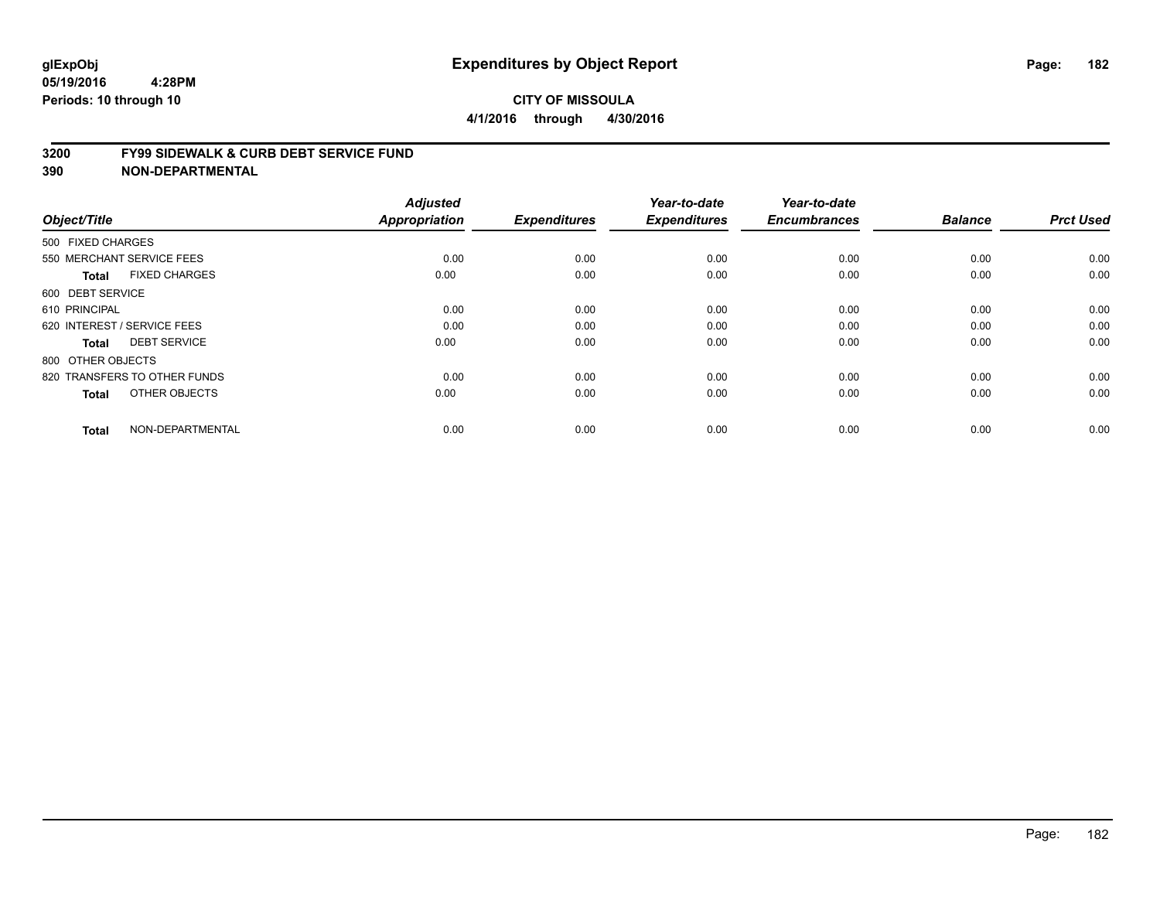#### **3200 FY99 SIDEWALK & CURB DEBT SERVICE FUND**

| Object/Title                         | <b>Adjusted</b><br>Appropriation | <b>Expenditures</b> | Year-to-date<br><b>Expenditures</b> | Year-to-date<br><b>Encumbrances</b> | <b>Balance</b> | <b>Prct Used</b> |
|--------------------------------------|----------------------------------|---------------------|-------------------------------------|-------------------------------------|----------------|------------------|
| 500 FIXED CHARGES                    |                                  |                     |                                     |                                     |                |                  |
|                                      |                                  |                     |                                     |                                     |                |                  |
| 550 MERCHANT SERVICE FEES            | 0.00                             | 0.00                | 0.00                                | 0.00                                | 0.00           | 0.00             |
| <b>FIXED CHARGES</b><br><b>Total</b> | 0.00                             | 0.00                | 0.00                                | 0.00                                | 0.00           | 0.00             |
| 600 DEBT SERVICE                     |                                  |                     |                                     |                                     |                |                  |
| 610 PRINCIPAL                        | 0.00                             | 0.00                | 0.00                                | 0.00                                | 0.00           | 0.00             |
| 620 INTEREST / SERVICE FEES          | 0.00                             | 0.00                | 0.00                                | 0.00                                | 0.00           | 0.00             |
| <b>DEBT SERVICE</b><br><b>Total</b>  | 0.00                             | 0.00                | 0.00                                | 0.00                                | 0.00           | 0.00             |
| 800 OTHER OBJECTS                    |                                  |                     |                                     |                                     |                |                  |
| 820 TRANSFERS TO OTHER FUNDS         | 0.00                             | 0.00                | 0.00                                | 0.00                                | 0.00           | 0.00             |
| OTHER OBJECTS<br><b>Total</b>        | 0.00                             | 0.00                | 0.00                                | 0.00                                | 0.00           | 0.00             |
|                                      |                                  |                     |                                     |                                     |                |                  |
| NON-DEPARTMENTAL<br><b>Total</b>     | 0.00                             | 0.00                | 0.00                                | 0.00                                | 0.00           | 0.00             |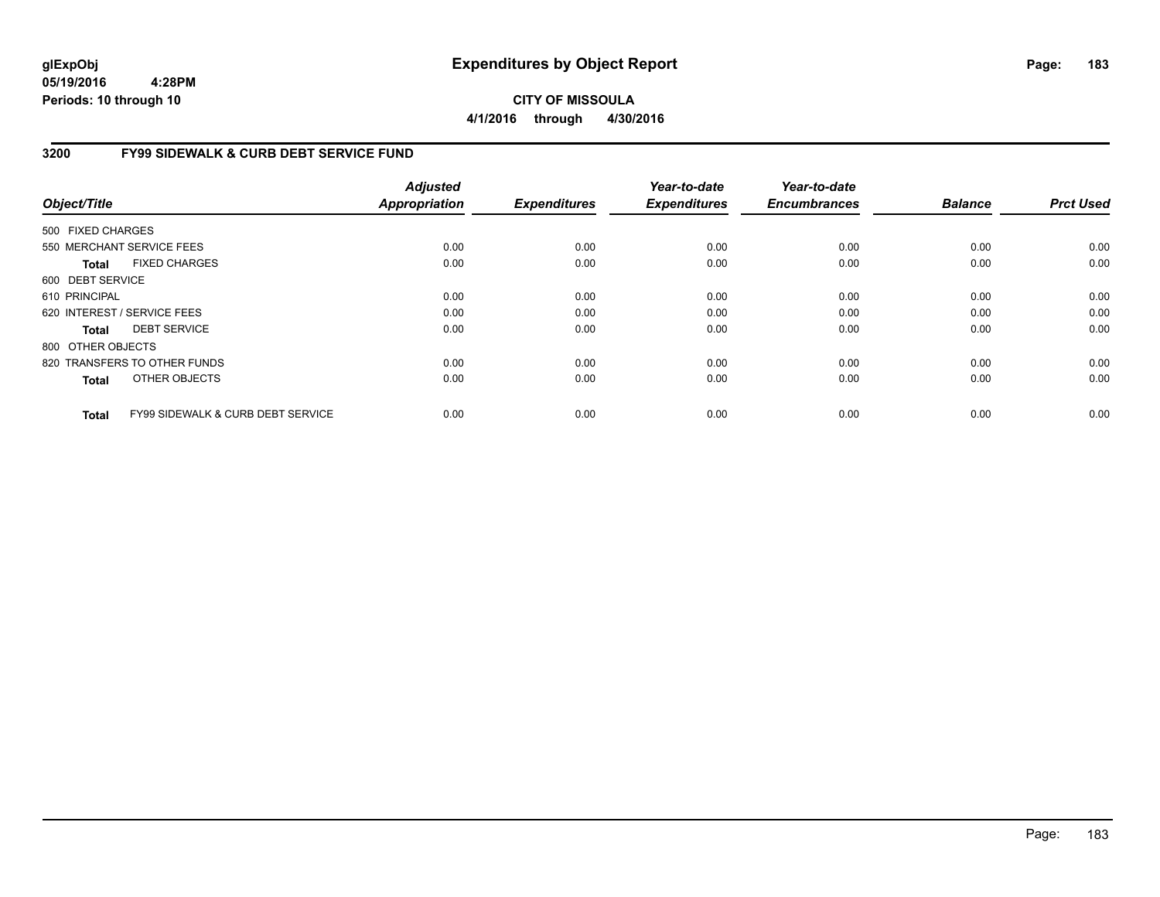### **CITY OF MISSOULA 4/1/2016 through 4/30/2016**

# **3200 FY99 SIDEWALK & CURB DEBT SERVICE FUND**

| Object/Title      |                                              | <b>Adjusted</b><br><b>Appropriation</b> | <b>Expenditures</b> | Year-to-date<br><b>Expenditures</b> | Year-to-date<br><b>Encumbrances</b> | <b>Balance</b> | <b>Prct Used</b> |
|-------------------|----------------------------------------------|-----------------------------------------|---------------------|-------------------------------------|-------------------------------------|----------------|------------------|
| 500 FIXED CHARGES |                                              |                                         |                     |                                     |                                     |                |                  |
|                   | 550 MERCHANT SERVICE FEES                    | 0.00                                    | 0.00                | 0.00                                | 0.00                                | 0.00           | 0.00             |
| Total             | <b>FIXED CHARGES</b>                         | 0.00                                    | 0.00                | 0.00                                | 0.00                                | 0.00           | 0.00             |
| 600 DEBT SERVICE  |                                              |                                         |                     |                                     |                                     |                |                  |
| 610 PRINCIPAL     |                                              | 0.00                                    | 0.00                | 0.00                                | 0.00                                | 0.00           | 0.00             |
|                   | 620 INTEREST / SERVICE FEES                  | 0.00                                    | 0.00                | 0.00                                | 0.00                                | 0.00           | 0.00             |
| Total             | <b>DEBT SERVICE</b>                          | 0.00                                    | 0.00                | 0.00                                | 0.00                                | 0.00           | 0.00             |
| 800 OTHER OBJECTS |                                              |                                         |                     |                                     |                                     |                |                  |
|                   | 820 TRANSFERS TO OTHER FUNDS                 | 0.00                                    | 0.00                | 0.00                                | 0.00                                | 0.00           | 0.00             |
| <b>Total</b>      | OTHER OBJECTS                                | 0.00                                    | 0.00                | 0.00                                | 0.00                                | 0.00           | 0.00             |
| <b>Total</b>      | <b>FY99 SIDEWALK &amp; CURB DEBT SERVICE</b> | 0.00                                    | 0.00                | 0.00                                | 0.00                                | 0.00           | 0.00             |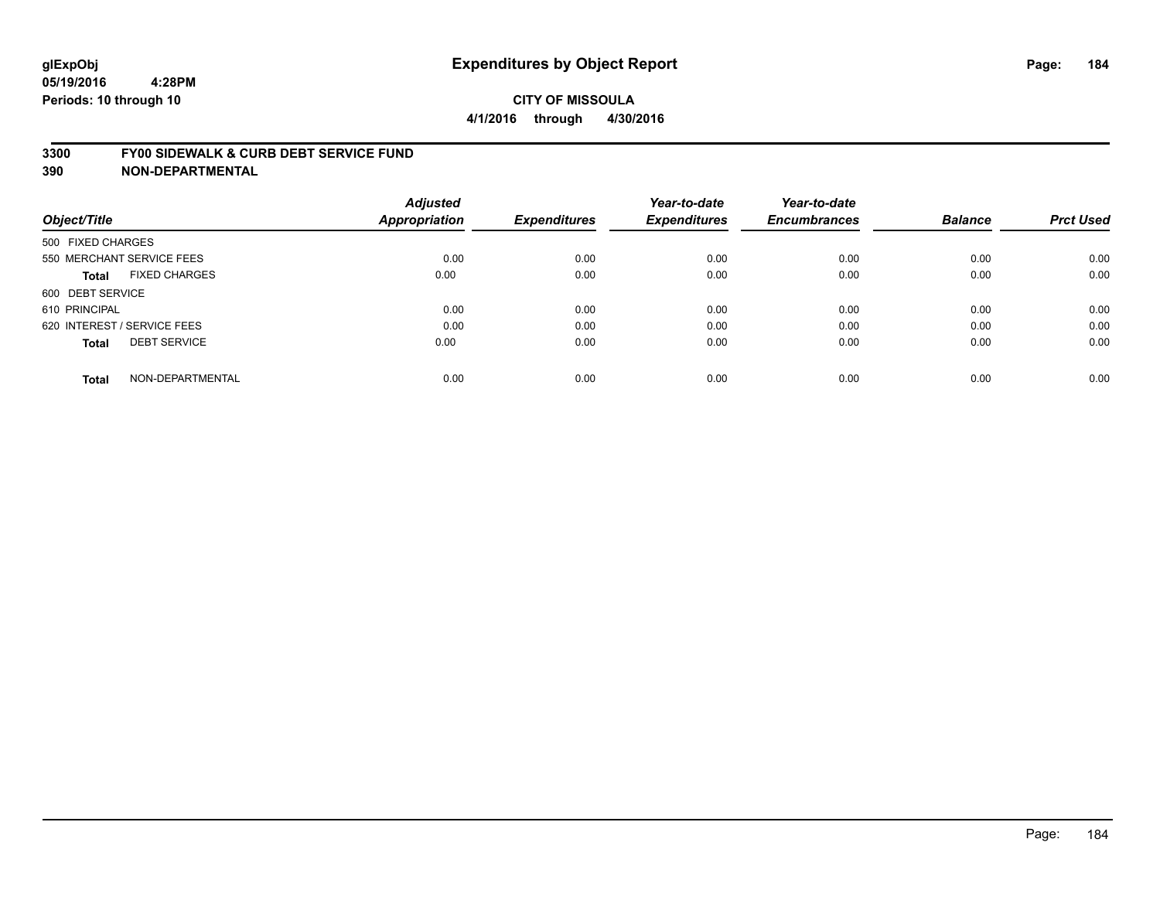#### **3300 FY00 SIDEWALK & CURB DEBT SERVICE FUND**

|                                     | <b>Adjusted</b>      |                     | Year-to-date        | Year-to-date        |                |                  |
|-------------------------------------|----------------------|---------------------|---------------------|---------------------|----------------|------------------|
| Object/Title                        | <b>Appropriation</b> | <b>Expenditures</b> | <b>Expenditures</b> | <b>Encumbrances</b> | <b>Balance</b> | <b>Prct Used</b> |
| 500 FIXED CHARGES                   |                      |                     |                     |                     |                |                  |
| 550 MERCHANT SERVICE FEES           | 0.00                 | 0.00                | 0.00                | 0.00                | 0.00           | 0.00             |
| <b>FIXED CHARGES</b><br>Total       | 0.00                 | 0.00                | 0.00                | 0.00                | 0.00           | 0.00             |
| 600 DEBT SERVICE                    |                      |                     |                     |                     |                |                  |
| 610 PRINCIPAL                       | 0.00                 | 0.00                | 0.00                | 0.00                | 0.00           | 0.00             |
| 620 INTEREST / SERVICE FEES         | 0.00                 | 0.00                | 0.00                | 0.00                | 0.00           | 0.00             |
| <b>DEBT SERVICE</b><br><b>Total</b> | 0.00                 | 0.00                | 0.00                | 0.00                | 0.00           | 0.00             |
|                                     |                      |                     |                     |                     |                |                  |
| NON-DEPARTMENTAL<br><b>Total</b>    | 0.00                 | 0.00                | 0.00                | 0.00                | 0.00           | 0.00             |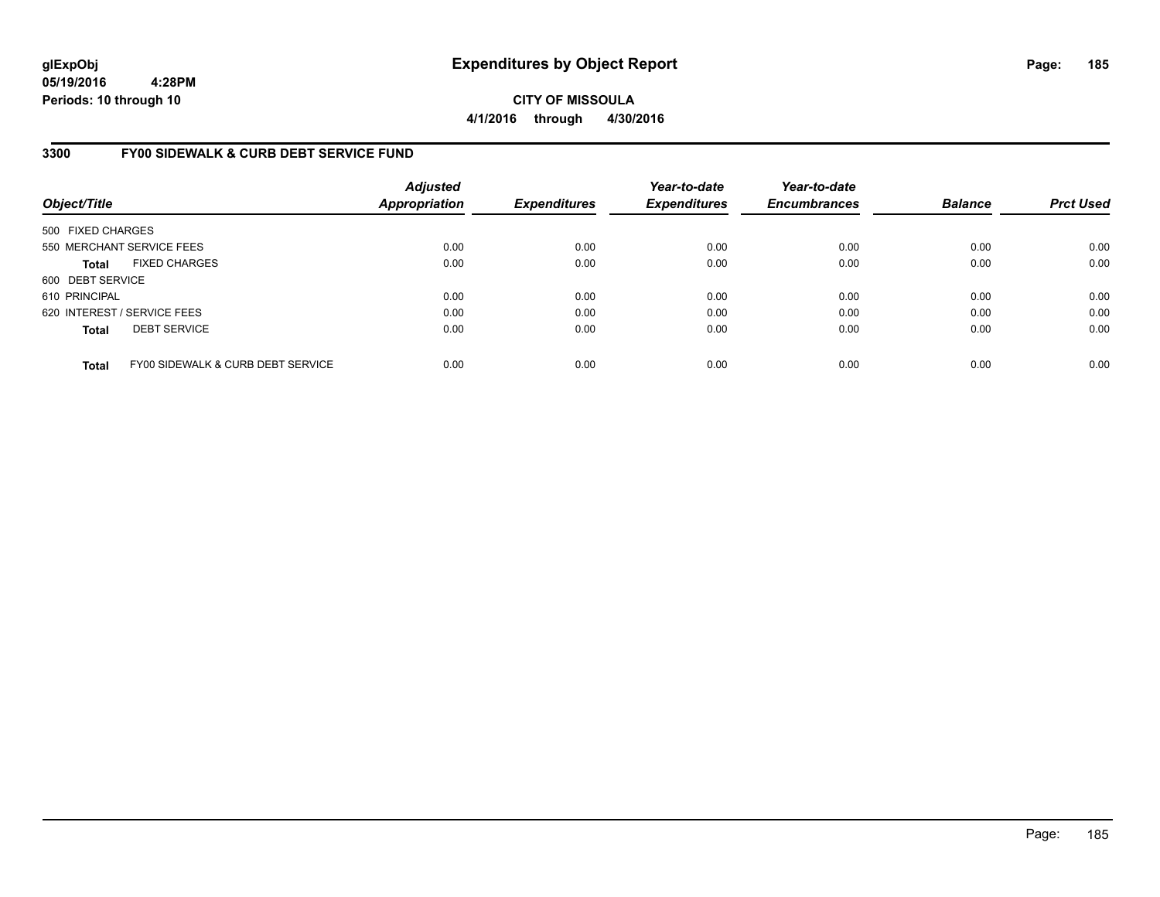**CITY OF MISSOULA 4/1/2016 through 4/30/2016**

#### **3300 FY00 SIDEWALK & CURB DEBT SERVICE FUND**

| Object/Title                |                                              | <b>Adjusted</b><br><b>Appropriation</b> | <b>Expenditures</b> | Year-to-date<br><b>Expenditures</b> | Year-to-date<br><b>Encumbrances</b> | <b>Balance</b> | <b>Prct Used</b> |
|-----------------------------|----------------------------------------------|-----------------------------------------|---------------------|-------------------------------------|-------------------------------------|----------------|------------------|
| 500 FIXED CHARGES           |                                              |                                         |                     |                                     |                                     |                |                  |
|                             | 550 MERCHANT SERVICE FEES                    | 0.00                                    | 0.00                | 0.00                                | 0.00                                | 0.00           | 0.00             |
| <b>Total</b>                | <b>FIXED CHARGES</b>                         | 0.00                                    | 0.00                | 0.00                                | 0.00                                | 0.00           | 0.00             |
| 600 DEBT SERVICE            |                                              |                                         |                     |                                     |                                     |                |                  |
| 610 PRINCIPAL               |                                              | 0.00                                    | 0.00                | 0.00                                | 0.00                                | 0.00           | 0.00             |
| 620 INTEREST / SERVICE FEES |                                              | 0.00                                    | 0.00                | 0.00                                | 0.00                                | 0.00           | 0.00             |
| <b>Total</b>                | <b>DEBT SERVICE</b>                          | 0.00                                    | 0.00                | 0.00                                | 0.00                                | 0.00           | 0.00             |
| <b>Total</b>                | <b>FY00 SIDEWALK &amp; CURB DEBT SERVICE</b> | 0.00                                    | 0.00                | 0.00                                | 0.00                                | 0.00           | 0.00             |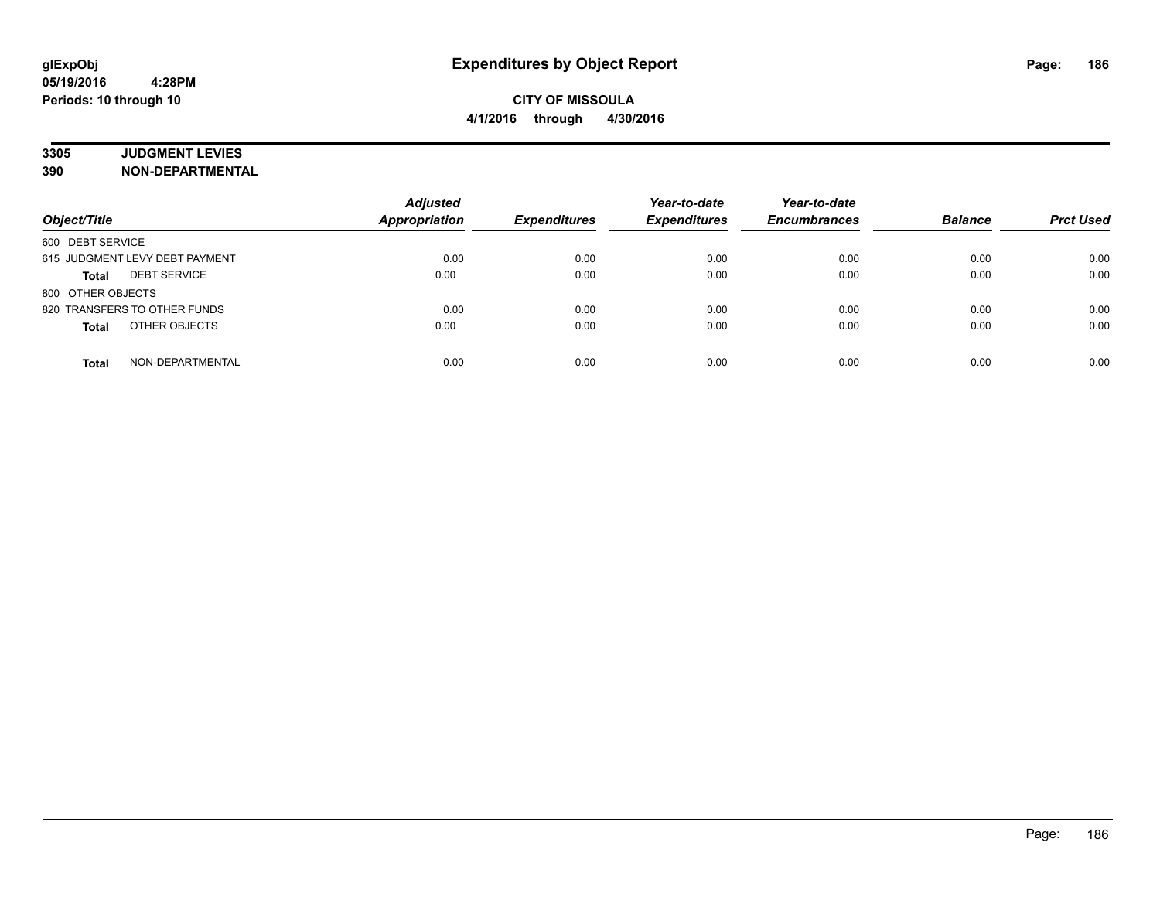# **3305 JUDGMENT LEVIES**

| Object/Title                        | <b>Adjusted</b><br><b>Appropriation</b> | <b>Expenditures</b> | Year-to-date<br><b>Expenditures</b> | Year-to-date<br><b>Encumbrances</b> | <b>Balance</b> | <b>Prct Used</b> |
|-------------------------------------|-----------------------------------------|---------------------|-------------------------------------|-------------------------------------|----------------|------------------|
| 600 DEBT SERVICE                    |                                         |                     |                                     |                                     |                |                  |
| 615 JUDGMENT LEVY DEBT PAYMENT      | 0.00                                    | 0.00                | 0.00                                | 0.00                                | 0.00           | 0.00             |
| <b>DEBT SERVICE</b><br><b>Total</b> | 0.00                                    | 0.00                | 0.00                                | 0.00                                | 0.00           | 0.00             |
| 800 OTHER OBJECTS                   |                                         |                     |                                     |                                     |                |                  |
| 820 TRANSFERS TO OTHER FUNDS        | 0.00                                    | 0.00                | 0.00                                | 0.00                                | 0.00           | 0.00             |
| OTHER OBJECTS<br><b>Total</b>       | 0.00                                    | 0.00                | 0.00                                | 0.00                                | 0.00           | 0.00             |
| NON-DEPARTMENTAL<br><b>Total</b>    | 0.00                                    | 0.00                | 0.00                                | 0.00                                | 0.00           | 0.00             |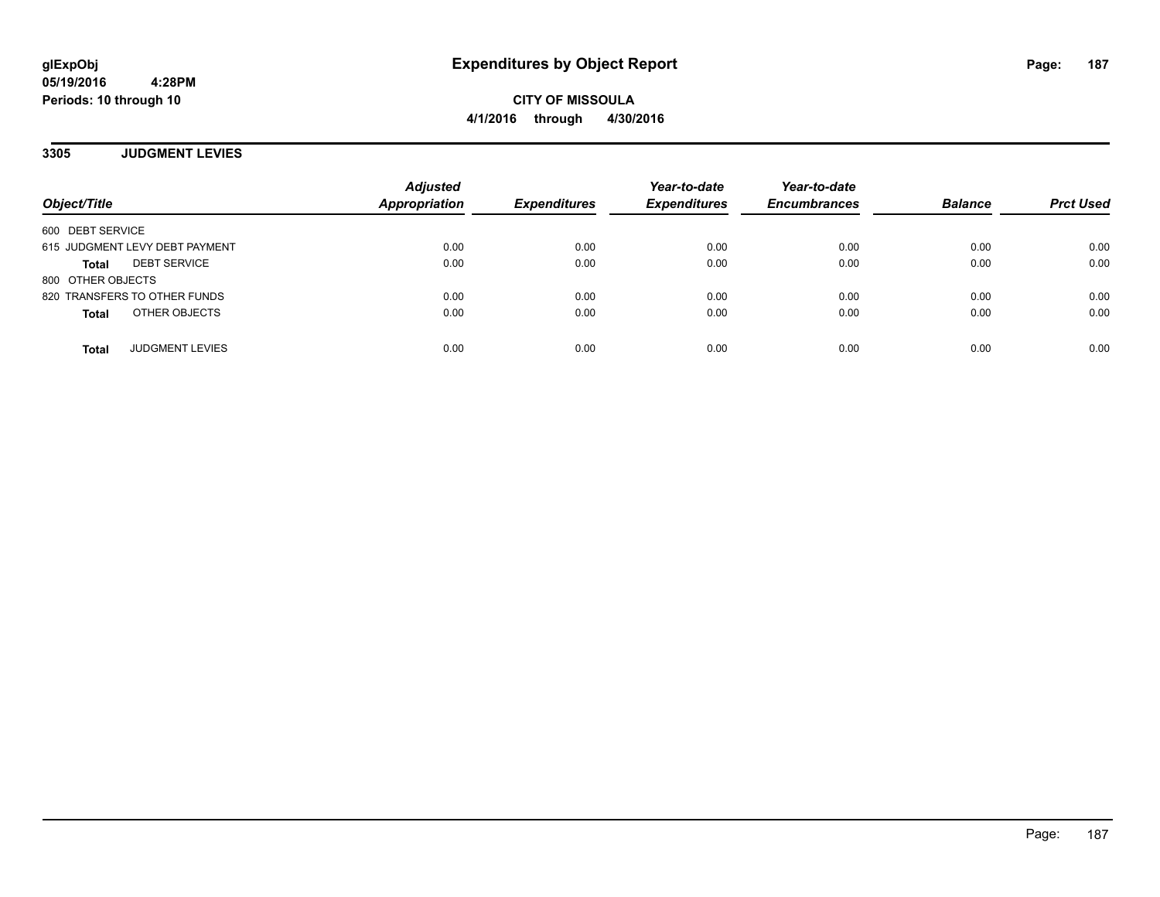**CITY OF MISSOULA 4/1/2016 through 4/30/2016**

**3305 JUDGMENT LEVIES**

| Object/Title                           | <b>Adjusted</b><br><b>Appropriation</b> | <b>Expenditures</b> | Year-to-date<br><b>Expenditures</b> | Year-to-date<br><b>Encumbrances</b> | <b>Balance</b> | <b>Prct Used</b> |
|----------------------------------------|-----------------------------------------|---------------------|-------------------------------------|-------------------------------------|----------------|------------------|
| 600 DEBT SERVICE                       |                                         |                     |                                     |                                     |                |                  |
| 615 JUDGMENT LEVY DEBT PAYMENT         | 0.00                                    | 0.00                | 0.00                                | 0.00                                | 0.00           | 0.00             |
| <b>DEBT SERVICE</b><br>Total           | 0.00                                    | 0.00                | 0.00                                | 0.00                                | 0.00           | 0.00             |
| 800 OTHER OBJECTS                      |                                         |                     |                                     |                                     |                |                  |
| 820 TRANSFERS TO OTHER FUNDS           | 0.00                                    | 0.00                | 0.00                                | 0.00                                | 0.00           | 0.00             |
| OTHER OBJECTS<br><b>Total</b>          | 0.00                                    | 0.00                | 0.00                                | 0.00                                | 0.00           | 0.00             |
| <b>JUDGMENT LEVIES</b><br><b>Total</b> | 0.00                                    | 0.00                | 0.00                                | 0.00                                | 0.00           | 0.00             |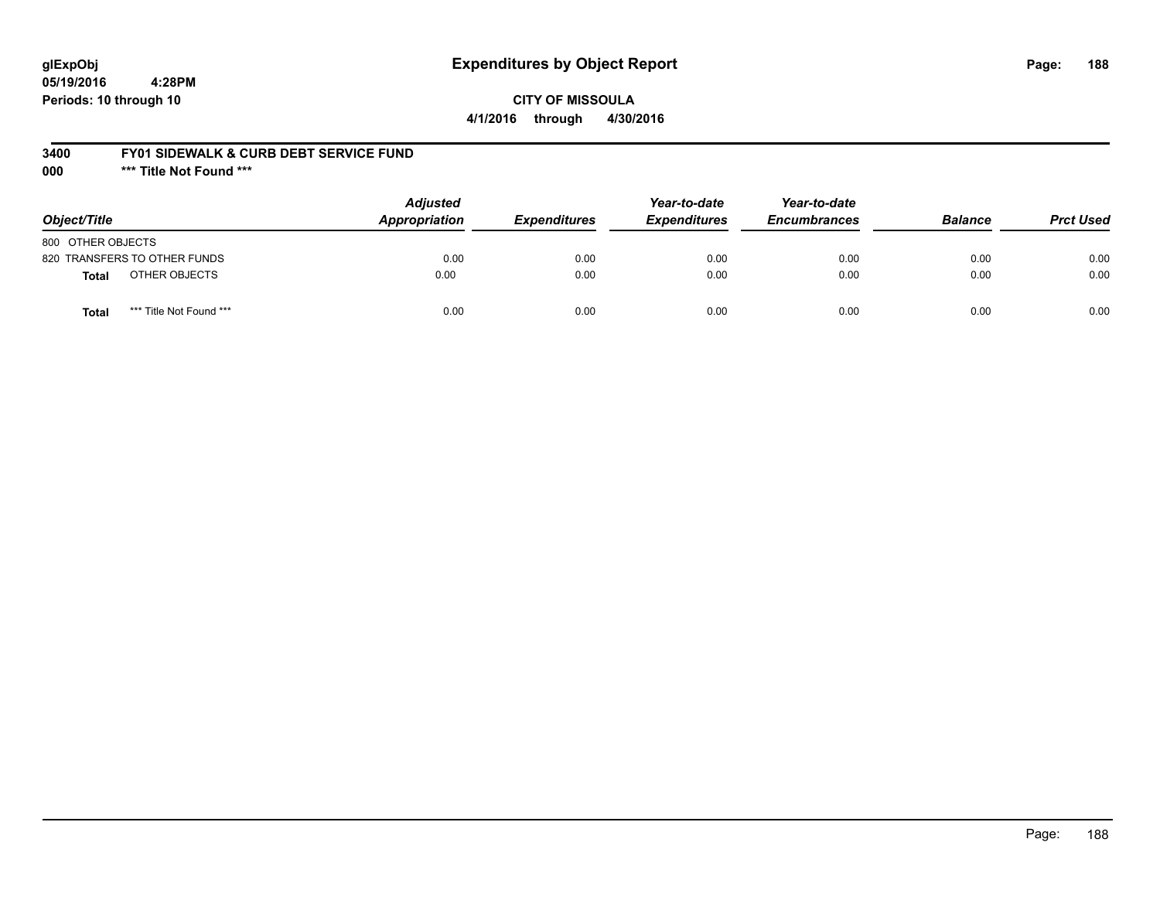# **glExpObj Expenditures by Object Report Page: 188**

**05/19/2016 4:28PM Periods: 10 through 10**

#### **CITY OF MISSOULA 4/1/2016 through 4/30/2016**

#### **3400 FY01 SIDEWALK & CURB DEBT SERVICE FUND**

**000 \*\*\* Title Not Found \*\*\***

| Object/Title                     | <b>Adjusted</b><br><b>Appropriation</b> | <b>Expenditures</b> | Year-to-date<br><b>Expenditures</b> | Year-to-date<br><b>Encumbrances</b> | <b>Balance</b> | <b>Prct Used</b> |
|----------------------------------|-----------------------------------------|---------------------|-------------------------------------|-------------------------------------|----------------|------------------|
| 800 OTHER OBJECTS                |                                         |                     |                                     |                                     |                |                  |
| 820 TRANSFERS TO OTHER FUNDS     | 0.00                                    | 0.00                | 0.00                                | 0.00                                | 0.00           | 0.00             |
| OTHER OBJECTS<br><b>Total</b>    | 0.00                                    | 0.00                | 0.00                                | 0.00                                | 0.00           | 0.00             |
| *** Title Not Found ***<br>Total | 0.00                                    | 0.00                | 0.00                                | 0.00                                | 0.00           | 0.00             |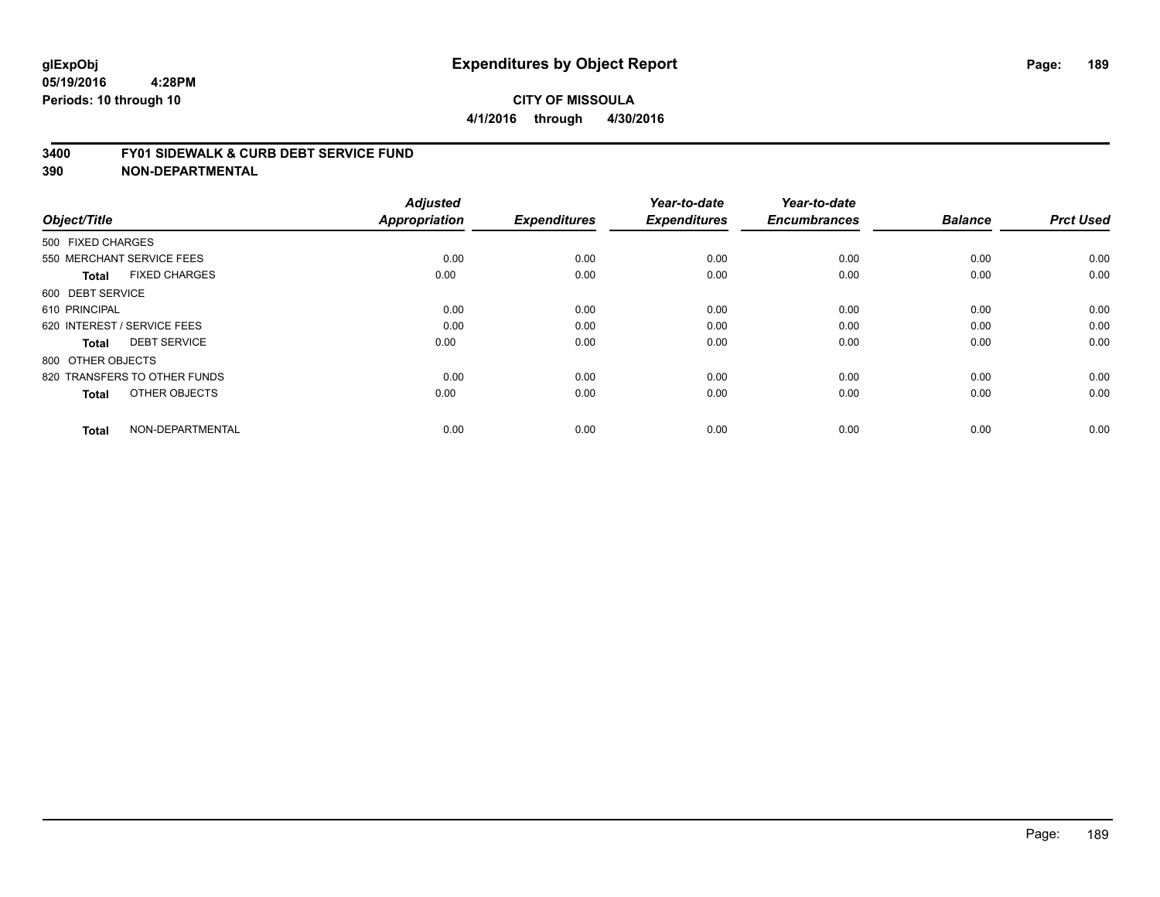#### **3400 FY01 SIDEWALK & CURB DEBT SERVICE FUND**

| Object/Title                         | <b>Adjusted</b><br>Appropriation | <b>Expenditures</b> | Year-to-date<br><b>Expenditures</b> | Year-to-date<br><b>Encumbrances</b> | <b>Balance</b> | <b>Prct Used</b> |
|--------------------------------------|----------------------------------|---------------------|-------------------------------------|-------------------------------------|----------------|------------------|
| 500 FIXED CHARGES                    |                                  |                     |                                     |                                     |                |                  |
|                                      |                                  |                     |                                     |                                     |                |                  |
| 550 MERCHANT SERVICE FEES            | 0.00                             | 0.00                | 0.00                                | 0.00                                | 0.00           | 0.00             |
| <b>FIXED CHARGES</b><br><b>Total</b> | 0.00                             | 0.00                | 0.00                                | 0.00                                | 0.00           | 0.00             |
| 600 DEBT SERVICE                     |                                  |                     |                                     |                                     |                |                  |
| 610 PRINCIPAL                        | 0.00                             | 0.00                | 0.00                                | 0.00                                | 0.00           | 0.00             |
| 620 INTEREST / SERVICE FEES          | 0.00                             | 0.00                | 0.00                                | 0.00                                | 0.00           | 0.00             |
| <b>DEBT SERVICE</b><br><b>Total</b>  | 0.00                             | 0.00                | 0.00                                | 0.00                                | 0.00           | 0.00             |
| 800 OTHER OBJECTS                    |                                  |                     |                                     |                                     |                |                  |
| 820 TRANSFERS TO OTHER FUNDS         | 0.00                             | 0.00                | 0.00                                | 0.00                                | 0.00           | 0.00             |
| OTHER OBJECTS<br><b>Total</b>        | 0.00                             | 0.00                | 0.00                                | 0.00                                | 0.00           | 0.00             |
|                                      |                                  |                     |                                     |                                     |                |                  |
| NON-DEPARTMENTAL<br><b>Total</b>     | 0.00                             | 0.00                | 0.00                                | 0.00                                | 0.00           | 0.00             |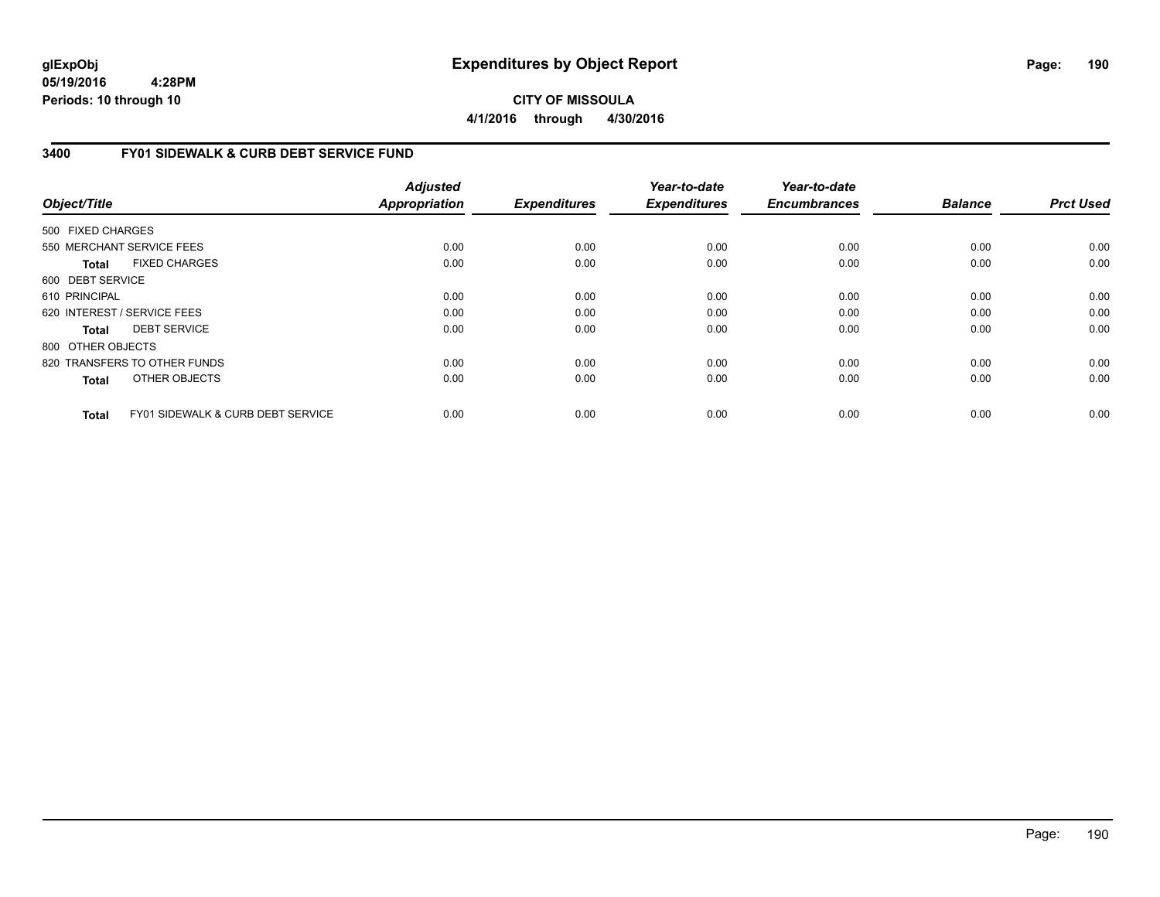### **CITY OF MISSOULA 4/1/2016 through 4/30/2016**

# **3400 FY01 SIDEWALK & CURB DEBT SERVICE FUND**

| Object/Title      |                                              | <b>Adjusted</b><br><b>Appropriation</b> | <b>Expenditures</b> | Year-to-date<br><b>Expenditures</b> | Year-to-date<br><b>Encumbrances</b> | <b>Balance</b> | <b>Prct Used</b> |
|-------------------|----------------------------------------------|-----------------------------------------|---------------------|-------------------------------------|-------------------------------------|----------------|------------------|
| 500 FIXED CHARGES |                                              |                                         |                     |                                     |                                     |                |                  |
|                   | 550 MERCHANT SERVICE FEES                    | 0.00                                    | 0.00                | 0.00                                | 0.00                                | 0.00           | 0.00             |
|                   |                                              |                                         |                     |                                     |                                     |                |                  |
| <b>Total</b>      | <b>FIXED CHARGES</b>                         | 0.00                                    | 0.00                | 0.00                                | 0.00                                | 0.00           | 0.00             |
| 600 DEBT SERVICE  |                                              |                                         |                     |                                     |                                     |                |                  |
| 610 PRINCIPAL     |                                              | 0.00                                    | 0.00                | 0.00                                | 0.00                                | 0.00           | 0.00             |
|                   | 620 INTEREST / SERVICE FEES                  | 0.00                                    | 0.00                | 0.00                                | 0.00                                | 0.00           | 0.00             |
| <b>Total</b>      | <b>DEBT SERVICE</b>                          | 0.00                                    | 0.00                | 0.00                                | 0.00                                | 0.00           | 0.00             |
| 800 OTHER OBJECTS |                                              |                                         |                     |                                     |                                     |                |                  |
|                   | 820 TRANSFERS TO OTHER FUNDS                 | 0.00                                    | 0.00                | 0.00                                | 0.00                                | 0.00           | 0.00             |
| <b>Total</b>      | OTHER OBJECTS                                | 0.00                                    | 0.00                | 0.00                                | 0.00                                | 0.00           | 0.00             |
| <b>Total</b>      | <b>FY01 SIDEWALK &amp; CURB DEBT SERVICE</b> | 0.00                                    | 0.00                | 0.00                                | 0.00                                | 0.00           | 0.00             |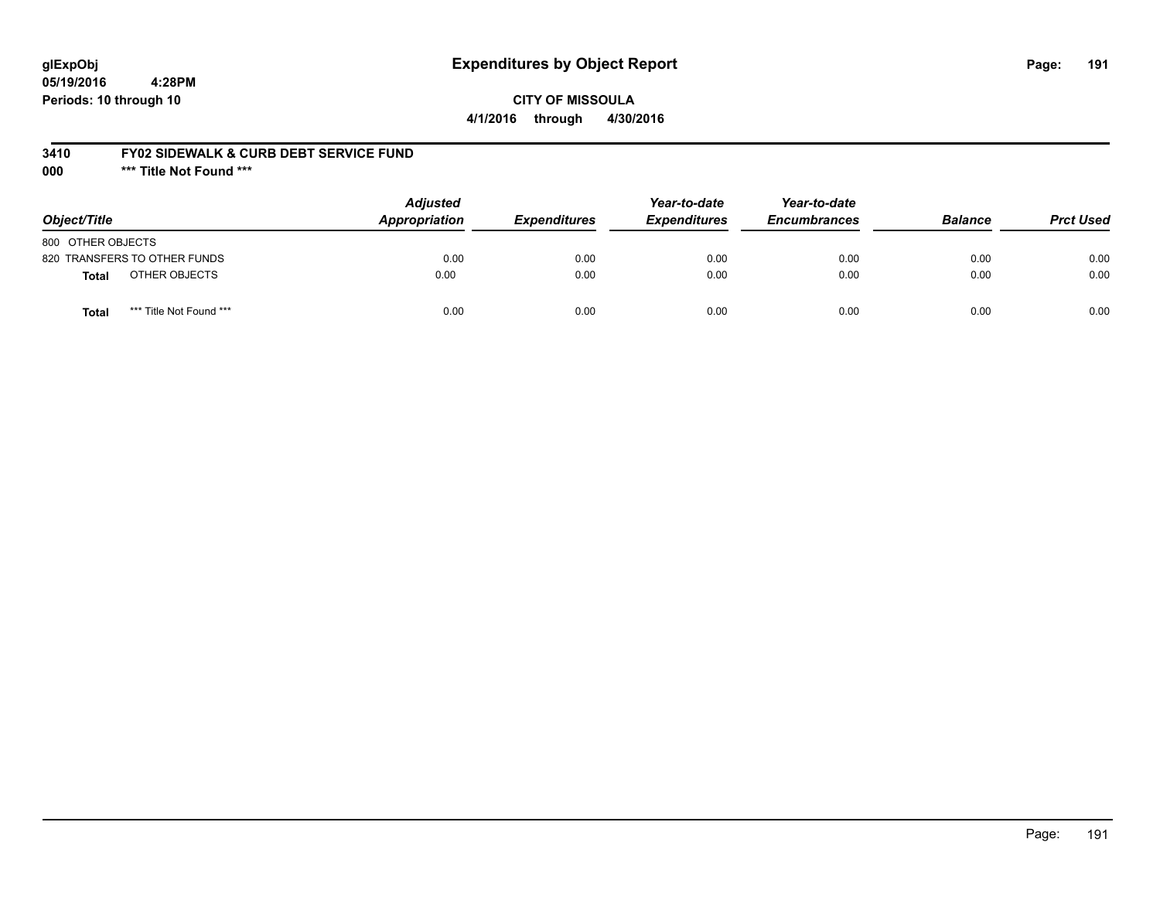# **glExpObj Expenditures by Object Report Page: 191**

**05/19/2016 4:28PM Periods: 10 through 10**

### **CITY OF MISSOULA 4/1/2016 through 4/30/2016**

#### **3410 FY02 SIDEWALK & CURB DEBT SERVICE FUND**

**000 \*\*\* Title Not Found \*\*\***

| Object/Title                     | <b>Adjusted</b><br>Appropriation | <b>Expenditures</b> | Year-to-date<br><b>Expenditures</b> | Year-to-date<br><b>Encumbrances</b> | <b>Balance</b> | <b>Prct Used</b> |
|----------------------------------|----------------------------------|---------------------|-------------------------------------|-------------------------------------|----------------|------------------|
| 800 OTHER OBJECTS                |                                  |                     |                                     |                                     |                |                  |
| 820 TRANSFERS TO OTHER FUNDS     | 0.00                             | 0.00                | 0.00                                | 0.00                                | 0.00           | 0.00             |
| OTHER OBJECTS<br><b>Total</b>    | 0.00                             | 0.00                | 0.00                                | 0.00                                | 0.00           | 0.00             |
| *** Title Not Found ***<br>Total | 0.00                             | 0.00                | 0.00                                | 0.00                                | 0.00           | 0.00             |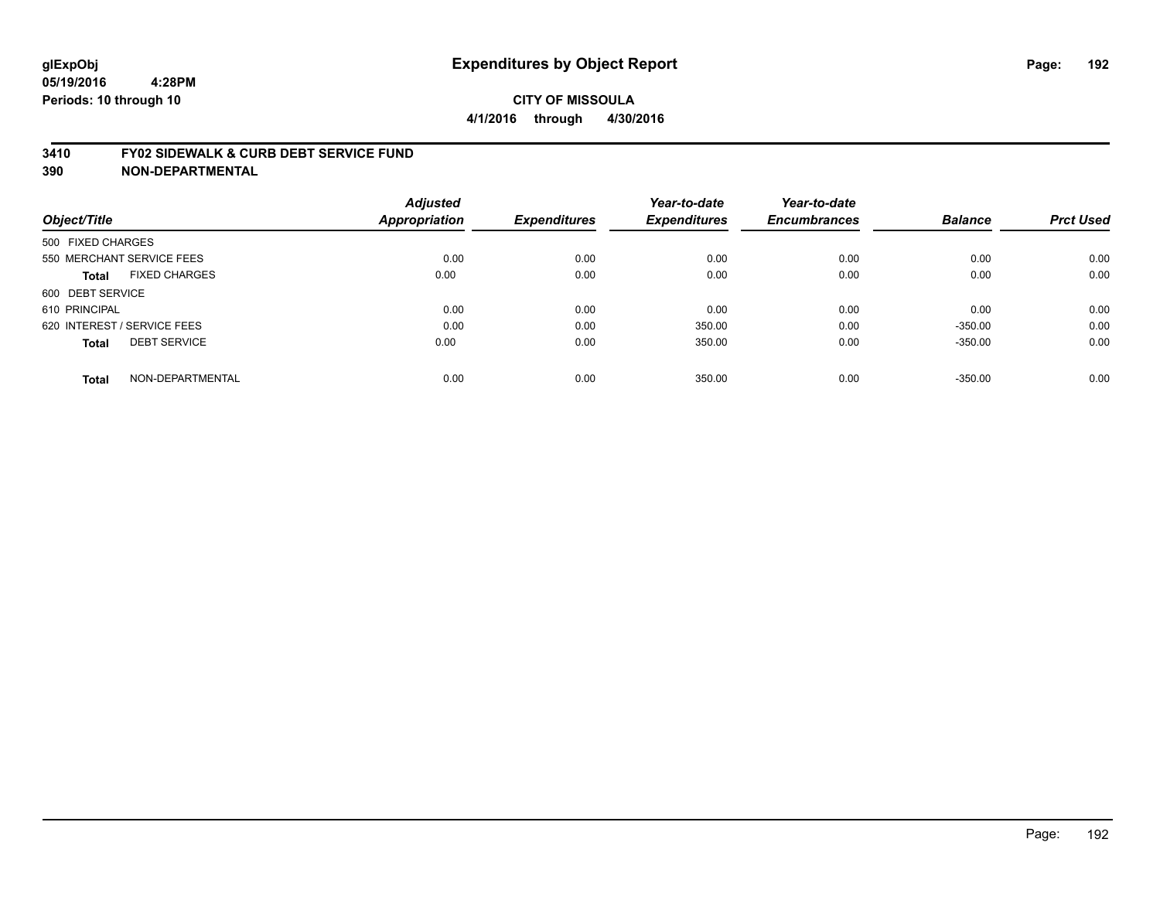#### **3410 FY02 SIDEWALK & CURB DEBT SERVICE FUND**

| Object/Title                        | <b>Adjusted</b><br>Appropriation | <b>Expenditures</b> | Year-to-date<br><b>Expenditures</b> | Year-to-date<br><b>Encumbrances</b> | <b>Balance</b> | <b>Prct Used</b> |
|-------------------------------------|----------------------------------|---------------------|-------------------------------------|-------------------------------------|----------------|------------------|
| 500 FIXED CHARGES                   |                                  |                     |                                     |                                     |                |                  |
| 550 MERCHANT SERVICE FEES           | 0.00                             | 0.00                | 0.00                                | 0.00                                | 0.00           | 0.00             |
| <b>FIXED CHARGES</b><br>Total       | 0.00                             | 0.00                | 0.00                                | 0.00                                | 0.00           | 0.00             |
| 600 DEBT SERVICE                    |                                  |                     |                                     |                                     |                |                  |
| 610 PRINCIPAL                       | 0.00                             | 0.00                | 0.00                                | 0.00                                | 0.00           | 0.00             |
| 620 INTEREST / SERVICE FEES         | 0.00                             | 0.00                | 350.00                              | 0.00                                | $-350.00$      | 0.00             |
| <b>DEBT SERVICE</b><br><b>Total</b> | 0.00                             | 0.00                | 350.00                              | 0.00                                | $-350.00$      | 0.00             |
| NON-DEPARTMENTAL<br><b>Total</b>    | 0.00                             | 0.00                | 350.00                              | 0.00                                | $-350.00$      | 0.00             |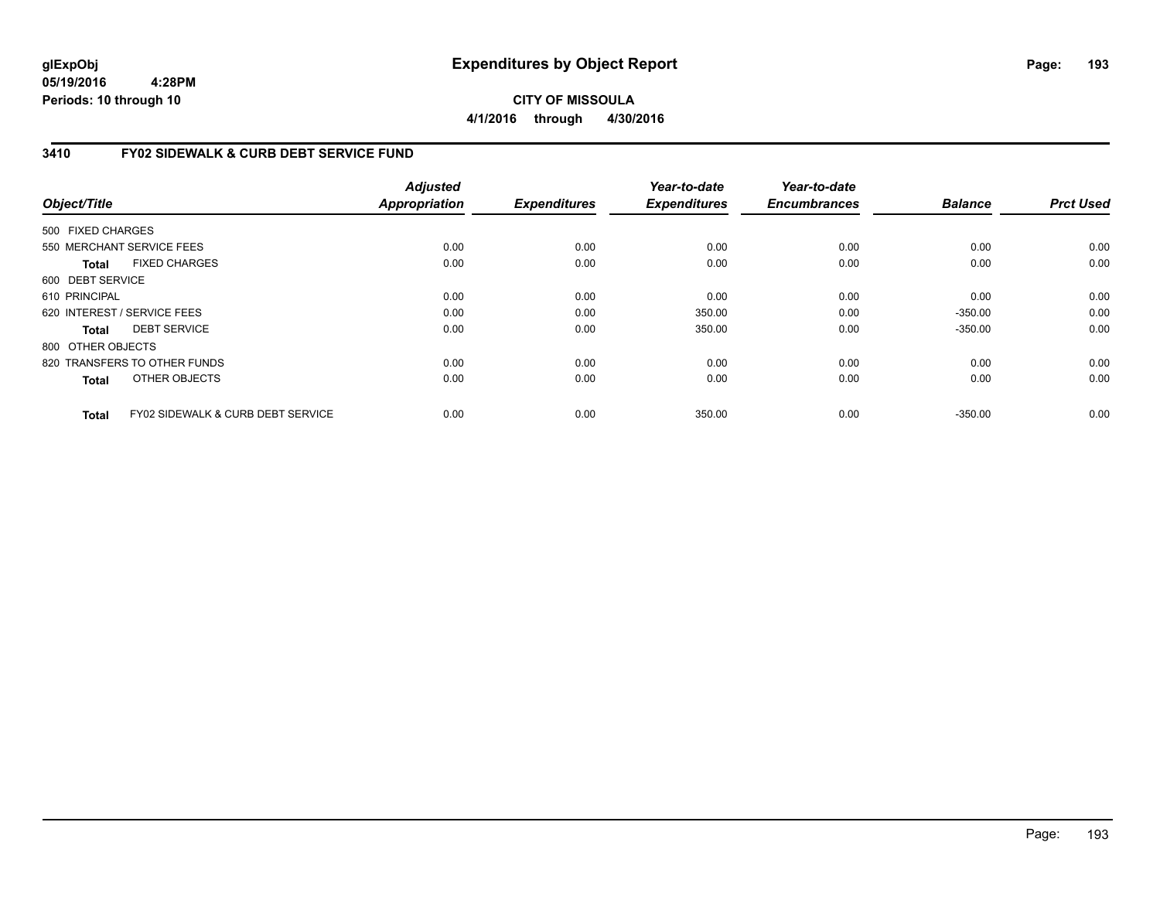**CITY OF MISSOULA 4/1/2016 through 4/30/2016**

# **3410 FY02 SIDEWALK & CURB DEBT SERVICE FUND**

|                   |                                              | <b>Adjusted</b>      |                     | Year-to-date        | Year-to-date        |                |                  |
|-------------------|----------------------------------------------|----------------------|---------------------|---------------------|---------------------|----------------|------------------|
| Object/Title      |                                              | <b>Appropriation</b> | <b>Expenditures</b> | <b>Expenditures</b> | <b>Encumbrances</b> | <b>Balance</b> | <b>Prct Used</b> |
| 500 FIXED CHARGES |                                              |                      |                     |                     |                     |                |                  |
|                   | 550 MERCHANT SERVICE FEES                    | 0.00                 | 0.00                | 0.00                | 0.00                | 0.00           | 0.00             |
| <b>Total</b>      | <b>FIXED CHARGES</b>                         | 0.00                 | 0.00                | 0.00                | 0.00                | 0.00           | 0.00             |
| 600 DEBT SERVICE  |                                              |                      |                     |                     |                     |                |                  |
| 610 PRINCIPAL     |                                              | 0.00                 | 0.00                | 0.00                | 0.00                | 0.00           | 0.00             |
|                   | 620 INTEREST / SERVICE FEES                  | 0.00                 | 0.00                | 350.00              | 0.00                | $-350.00$      | 0.00             |
| <b>Total</b>      | <b>DEBT SERVICE</b>                          | 0.00                 | 0.00                | 350.00              | 0.00                | $-350.00$      | 0.00             |
| 800 OTHER OBJECTS |                                              |                      |                     |                     |                     |                |                  |
|                   | 820 TRANSFERS TO OTHER FUNDS                 | 0.00                 | 0.00                | 0.00                | 0.00                | 0.00           | 0.00             |
| <b>Total</b>      | OTHER OBJECTS                                | 0.00                 | 0.00                | 0.00                | 0.00                | 0.00           | 0.00             |
| <b>Total</b>      | <b>FY02 SIDEWALK &amp; CURB DEBT SERVICE</b> | 0.00                 | 0.00                | 350.00              | 0.00                | $-350.00$      | 0.00             |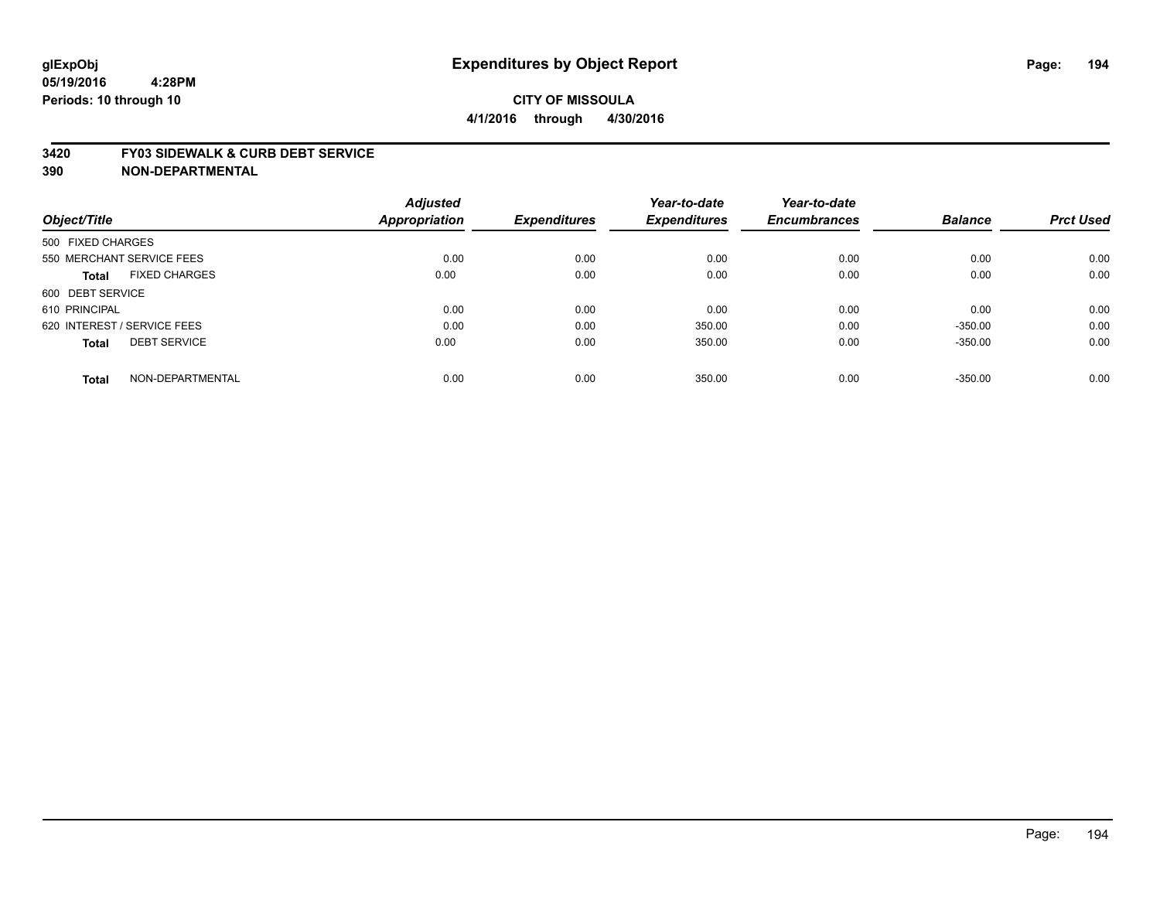#### **3420 FY03 SIDEWALK & CURB DEBT SERVICE**

|                                      | <b>Adjusted</b> |                     | Year-to-date        | Year-to-date        |                |                  |
|--------------------------------------|-----------------|---------------------|---------------------|---------------------|----------------|------------------|
| Object/Title                         | Appropriation   | <b>Expenditures</b> | <b>Expenditures</b> | <b>Encumbrances</b> | <b>Balance</b> | <b>Prct Used</b> |
| 500 FIXED CHARGES                    |                 |                     |                     |                     |                |                  |
| 550 MERCHANT SERVICE FEES            | 0.00            | 0.00                | 0.00                | 0.00                | 0.00           | 0.00             |
| <b>FIXED CHARGES</b><br><b>Total</b> | 0.00            | 0.00                | 0.00                | 0.00                | 0.00           | 0.00             |
| 600 DEBT SERVICE                     |                 |                     |                     |                     |                |                  |
| 610 PRINCIPAL                        | 0.00            | 0.00                | 0.00                | 0.00                | 0.00           | 0.00             |
| 620 INTEREST / SERVICE FEES          | 0.00            | 0.00                | 350.00              | 0.00                | $-350.00$      | 0.00             |
| <b>DEBT SERVICE</b><br><b>Total</b>  | 0.00            | 0.00                | 350.00              | 0.00                | $-350.00$      | 0.00             |
| NON-DEPARTMENTAL<br><b>Total</b>     | 0.00            | 0.00                | 350.00              | 0.00                | $-350.00$      | 0.00             |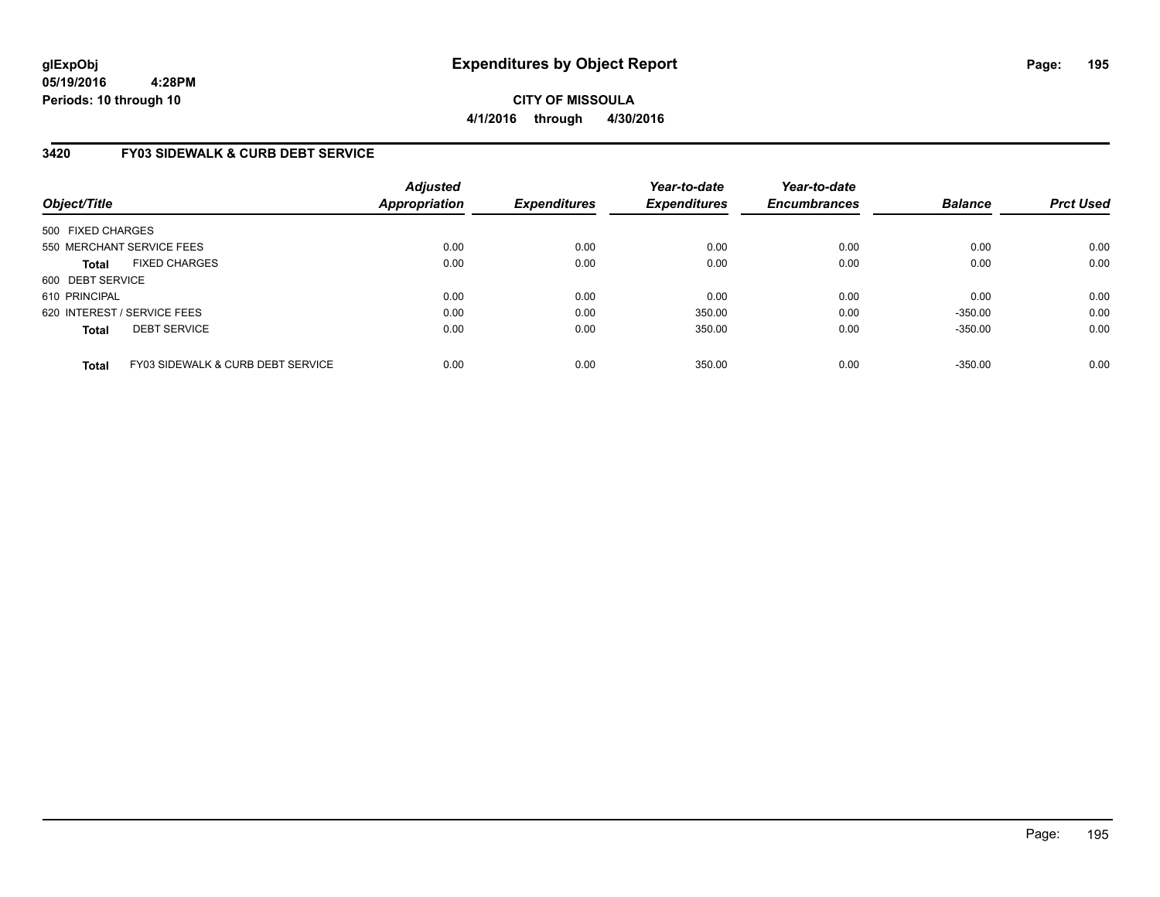**CITY OF MISSOULA 4/1/2016 through 4/30/2016**

### **3420 FY03 SIDEWALK & CURB DEBT SERVICE**

| Object/Title      |                                              | <b>Adjusted</b><br>Appropriation | <b>Expenditures</b> | Year-to-date<br><b>Expenditures</b> | Year-to-date<br><b>Encumbrances</b> | <b>Balance</b> | <b>Prct Used</b> |
|-------------------|----------------------------------------------|----------------------------------|---------------------|-------------------------------------|-------------------------------------|----------------|------------------|
| 500 FIXED CHARGES |                                              |                                  |                     |                                     |                                     |                |                  |
|                   | 550 MERCHANT SERVICE FEES                    | 0.00                             | 0.00                | 0.00                                | 0.00                                | 0.00           | 0.00             |
| <b>Total</b>      | <b>FIXED CHARGES</b>                         | 0.00                             | 0.00                | 0.00                                | 0.00                                | 0.00           | 0.00             |
| 600 DEBT SERVICE  |                                              |                                  |                     |                                     |                                     |                |                  |
| 610 PRINCIPAL     |                                              | 0.00                             | 0.00                | 0.00                                | 0.00                                | 0.00           | 0.00             |
|                   | 620 INTEREST / SERVICE FEES                  | 0.00                             | 0.00                | 350.00                              | 0.00                                | $-350.00$      | 0.00             |
| <b>Total</b>      | <b>DEBT SERVICE</b>                          | 0.00                             | 0.00                | 350.00                              | 0.00                                | $-350.00$      | 0.00             |
| <b>Total</b>      | <b>FY03 SIDEWALK &amp; CURB DEBT SERVICE</b> | 0.00                             | 0.00                | 350.00                              | 0.00                                | $-350.00$      | 0.00             |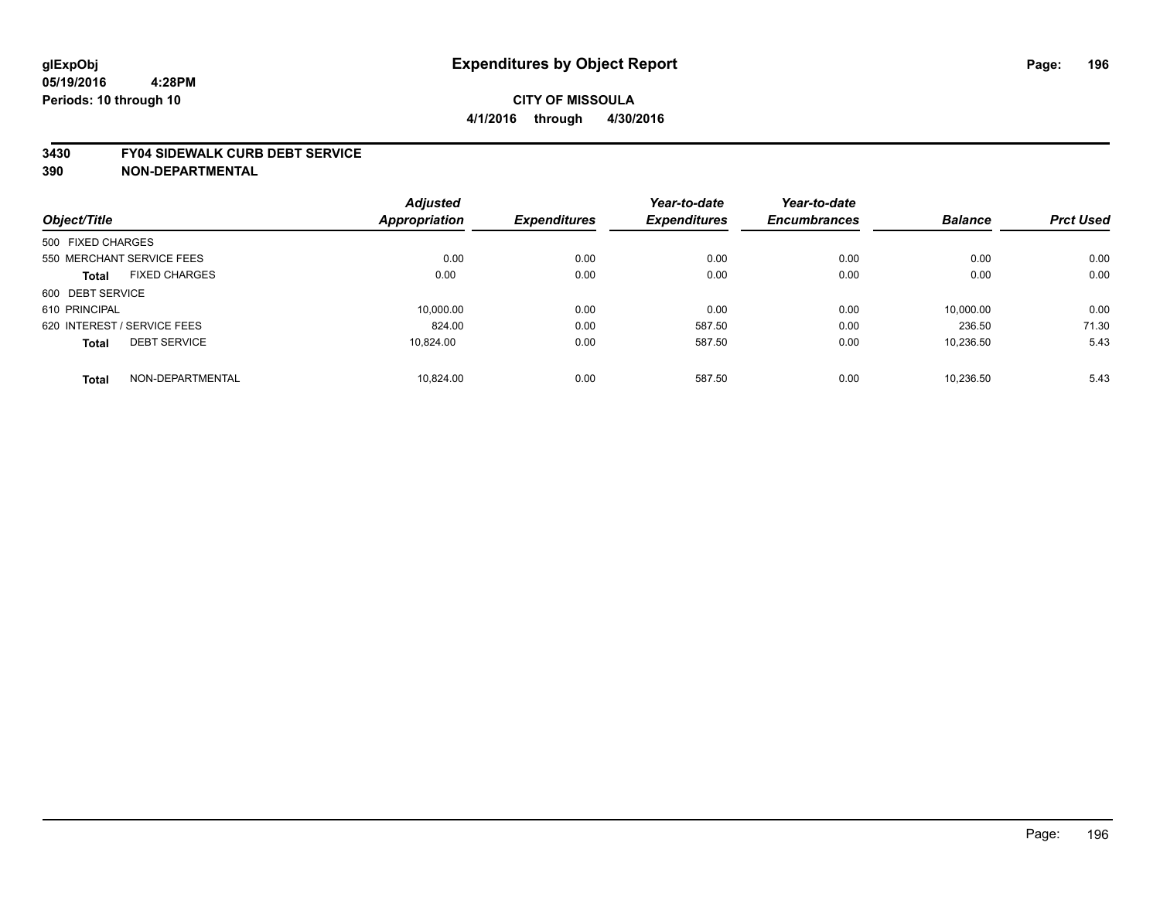#### **3430 FY04 SIDEWALK CURB DEBT SERVICE**

|                                      | <b>Adjusted</b> |                     | Year-to-date        | Year-to-date        |                |                  |
|--------------------------------------|-----------------|---------------------|---------------------|---------------------|----------------|------------------|
| Object/Title                         | Appropriation   | <b>Expenditures</b> | <b>Expenditures</b> | <b>Encumbrances</b> | <b>Balance</b> | <b>Prct Used</b> |
| 500 FIXED CHARGES                    |                 |                     |                     |                     |                |                  |
| 550 MERCHANT SERVICE FEES            | 0.00            | 0.00                | 0.00                | 0.00                | 0.00           | 0.00             |
| <b>FIXED CHARGES</b><br><b>Total</b> | 0.00            | 0.00                | 0.00                | 0.00                | 0.00           | 0.00             |
| 600 DEBT SERVICE                     |                 |                     |                     |                     |                |                  |
| 610 PRINCIPAL                        | 10,000.00       | 0.00                | 0.00                | 0.00                | 10,000.00      | 0.00             |
| 620 INTEREST / SERVICE FEES          | 824.00          | 0.00                | 587.50              | 0.00                | 236.50         | 71.30            |
| <b>DEBT SERVICE</b><br><b>Total</b>  | 10.824.00       | 0.00                | 587.50              | 0.00                | 10,236.50      | 5.43             |
| NON-DEPARTMENTAL<br><b>Total</b>     | 10.824.00       | 0.00                | 587.50              | 0.00                | 10.236.50      | 5.43             |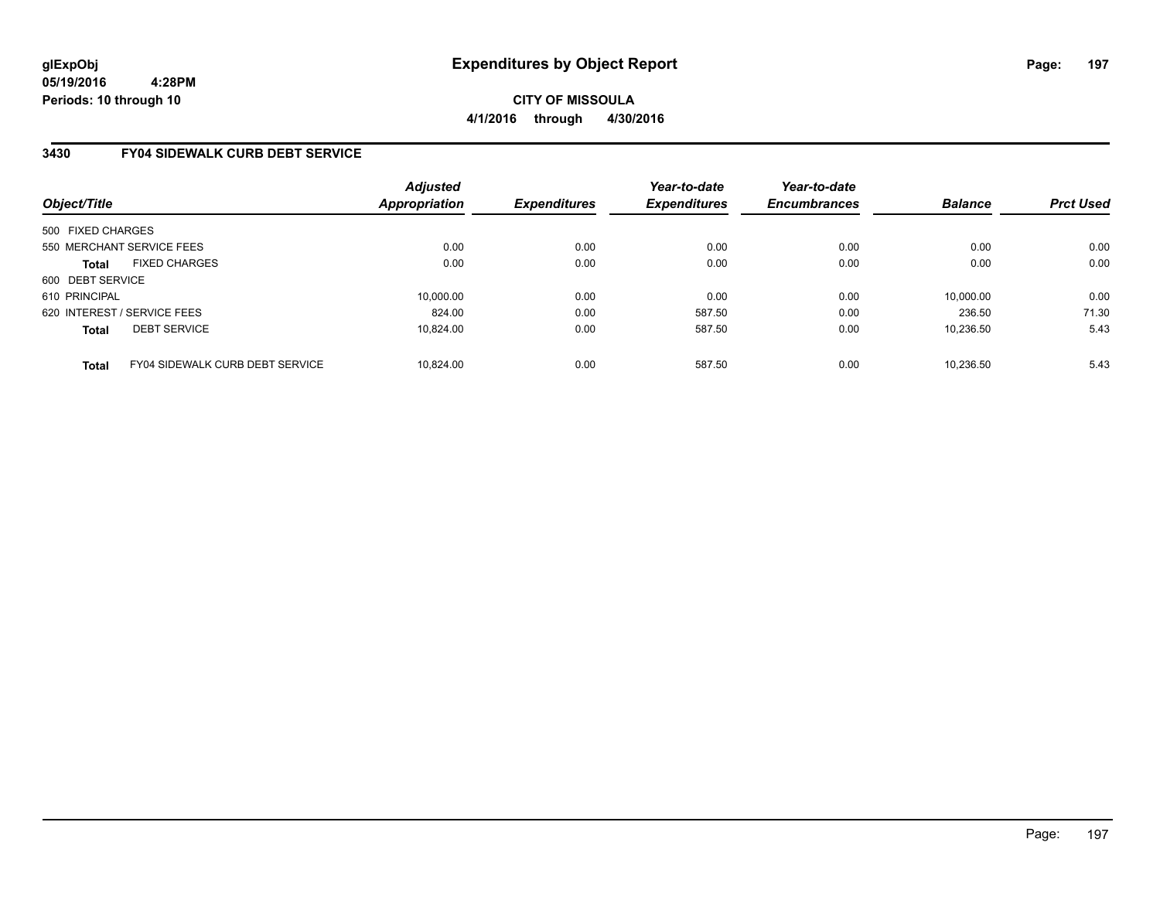# **CITY OF MISSOULA 4/1/2016 through 4/30/2016**

# **3430 FY04 SIDEWALK CURB DEBT SERVICE**

| Object/Title                |                                 | Adjusted<br><b>Appropriation</b> | <b>Expenditures</b> | Year-to-date<br><b>Expenditures</b> | Year-to-date<br><b>Encumbrances</b> | <b>Balance</b> | <b>Prct Used</b> |
|-----------------------------|---------------------------------|----------------------------------|---------------------|-------------------------------------|-------------------------------------|----------------|------------------|
| 500 FIXED CHARGES           |                                 |                                  |                     |                                     |                                     |                |                  |
|                             | 550 MERCHANT SERVICE FEES       | 0.00                             | 0.00                | 0.00                                | 0.00                                | 0.00           | 0.00             |
| <b>Total</b>                | <b>FIXED CHARGES</b>            | 0.00                             | 0.00                | 0.00                                | 0.00                                | 0.00           | 0.00             |
| 600 DEBT SERVICE            |                                 |                                  |                     |                                     |                                     |                |                  |
| 610 PRINCIPAL               |                                 | 10.000.00                        | 0.00                | 0.00                                | 0.00                                | 10,000.00      | 0.00             |
| 620 INTEREST / SERVICE FEES |                                 | 824.00                           | 0.00                | 587.50                              | 0.00                                | 236.50         | 71.30            |
| <b>Total</b>                | <b>DEBT SERVICE</b>             | 10.824.00                        | 0.00                | 587.50                              | 0.00                                | 10.236.50      | 5.43             |
| <b>Total</b>                | FY04 SIDEWALK CURB DEBT SERVICE | 10.824.00                        | 0.00                | 587.50                              | 0.00                                | 10.236.50      | 5.43             |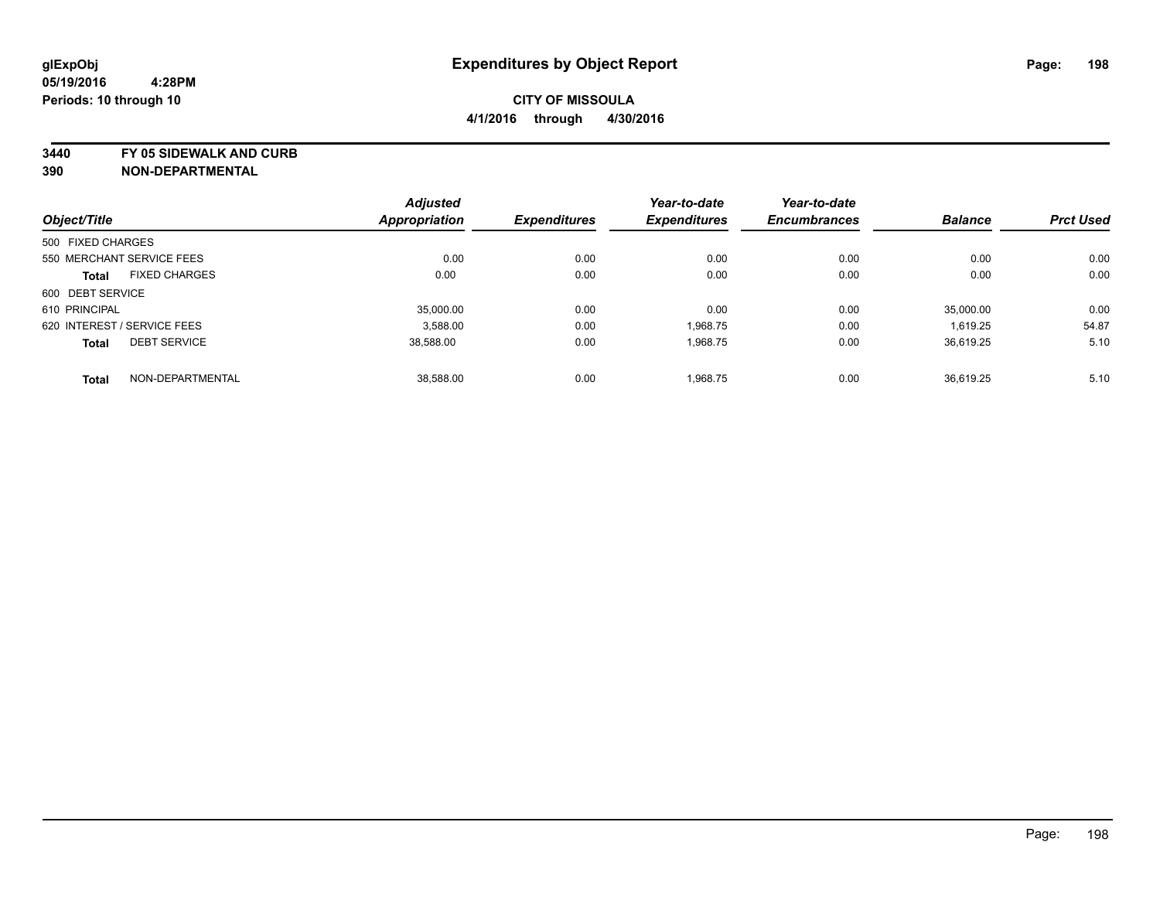**3440 FY 05 SIDEWALK AND CURB**

|                   |                             | <b>Adjusted</b>      |                     | Year-to-date        | Year-to-date        |                |                  |
|-------------------|-----------------------------|----------------------|---------------------|---------------------|---------------------|----------------|------------------|
| Object/Title      |                             | <b>Appropriation</b> | <b>Expenditures</b> | <b>Expenditures</b> | <b>Encumbrances</b> | <b>Balance</b> | <b>Prct Used</b> |
| 500 FIXED CHARGES |                             |                      |                     |                     |                     |                |                  |
|                   | 550 MERCHANT SERVICE FEES   | 0.00                 | 0.00                | 0.00                | 0.00                | 0.00           | 0.00             |
| <b>Total</b>      | <b>FIXED CHARGES</b>        | 0.00                 | 0.00                | 0.00                | 0.00                | 0.00           | 0.00             |
| 600 DEBT SERVICE  |                             |                      |                     |                     |                     |                |                  |
| 610 PRINCIPAL     |                             | 35,000.00            | 0.00                | 0.00                | 0.00                | 35.000.00      | 0.00             |
|                   | 620 INTEREST / SERVICE FEES | 3.588.00             | 0.00                | 1,968.75            | 0.00                | 1.619.25       | 54.87            |
| <b>Total</b>      | <b>DEBT SERVICE</b>         | 38.588.00            | 0.00                | 1,968.75            | 0.00                | 36.619.25      | 5.10             |
| <b>Total</b>      | NON-DEPARTMENTAL            | 38.588.00            | 0.00                | 1.968.75            | 0.00                | 36.619.25      | 5.10             |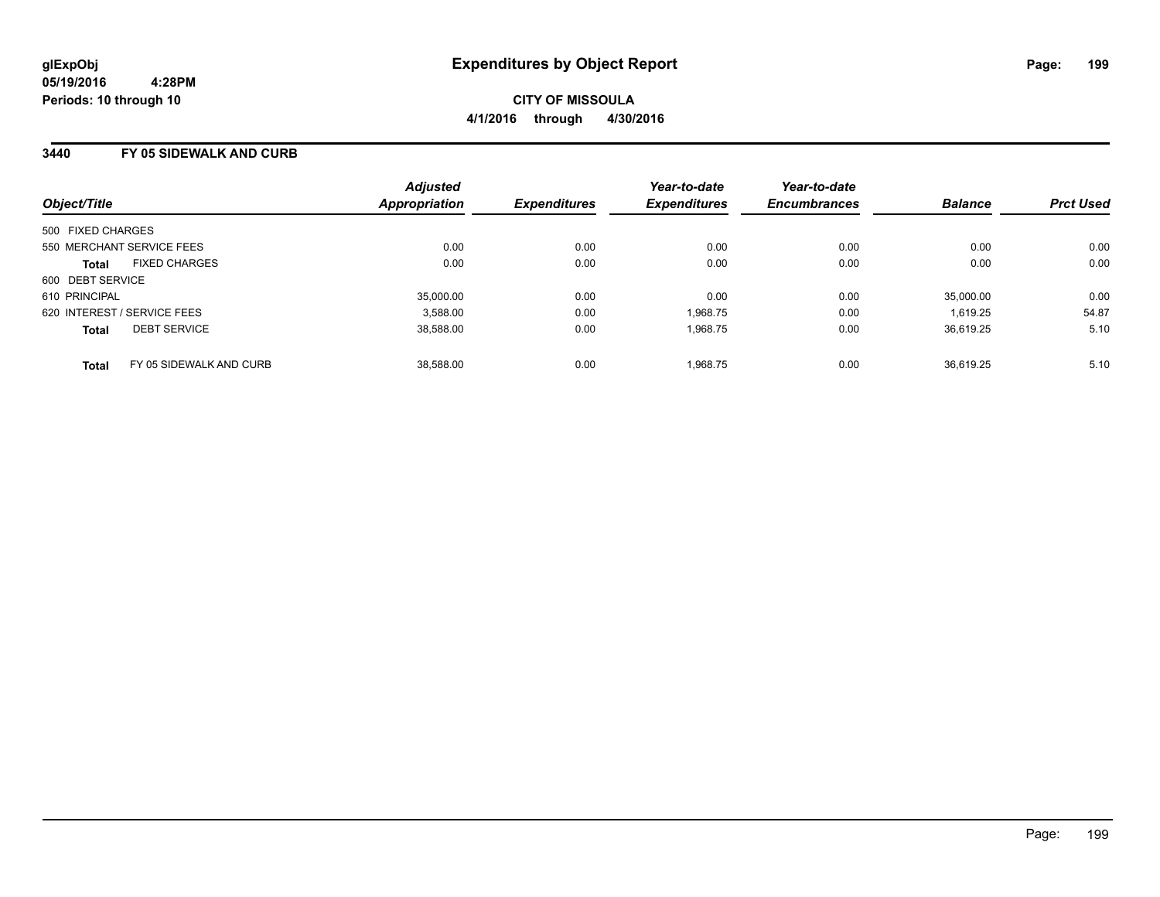### **3440 FY 05 SIDEWALK AND CURB**

| Object/Title                            | <b>Adjusted</b><br><b>Appropriation</b> | <b>Expenditures</b> | Year-to-date<br><b>Expenditures</b> | Year-to-date<br><b>Encumbrances</b> | <b>Balance</b> | <b>Prct Used</b> |
|-----------------------------------------|-----------------------------------------|---------------------|-------------------------------------|-------------------------------------|----------------|------------------|
| 500 FIXED CHARGES                       |                                         |                     |                                     |                                     |                |                  |
| 550 MERCHANT SERVICE FEES               | 0.00                                    | 0.00                | 0.00                                | 0.00                                | 0.00           | 0.00             |
| <b>FIXED CHARGES</b><br><b>Total</b>    | 0.00                                    | 0.00                | 0.00                                | 0.00                                | 0.00           | 0.00             |
| 600 DEBT SERVICE                        |                                         |                     |                                     |                                     |                |                  |
| 610 PRINCIPAL                           | 35,000.00                               | 0.00                | 0.00                                | 0.00                                | 35.000.00      | 0.00             |
| 620 INTEREST / SERVICE FEES             | 3,588.00                                | 0.00                | 1,968.75                            | 0.00                                | 1.619.25       | 54.87            |
| <b>DEBT SERVICE</b><br><b>Total</b>     | 38.588.00                               | 0.00                | 1,968.75                            | 0.00                                | 36.619.25      | 5.10             |
| FY 05 SIDEWALK AND CURB<br><b>Total</b> | 38,588.00                               | 0.00                | 1.968.75                            | 0.00                                | 36.619.25      | 5.10             |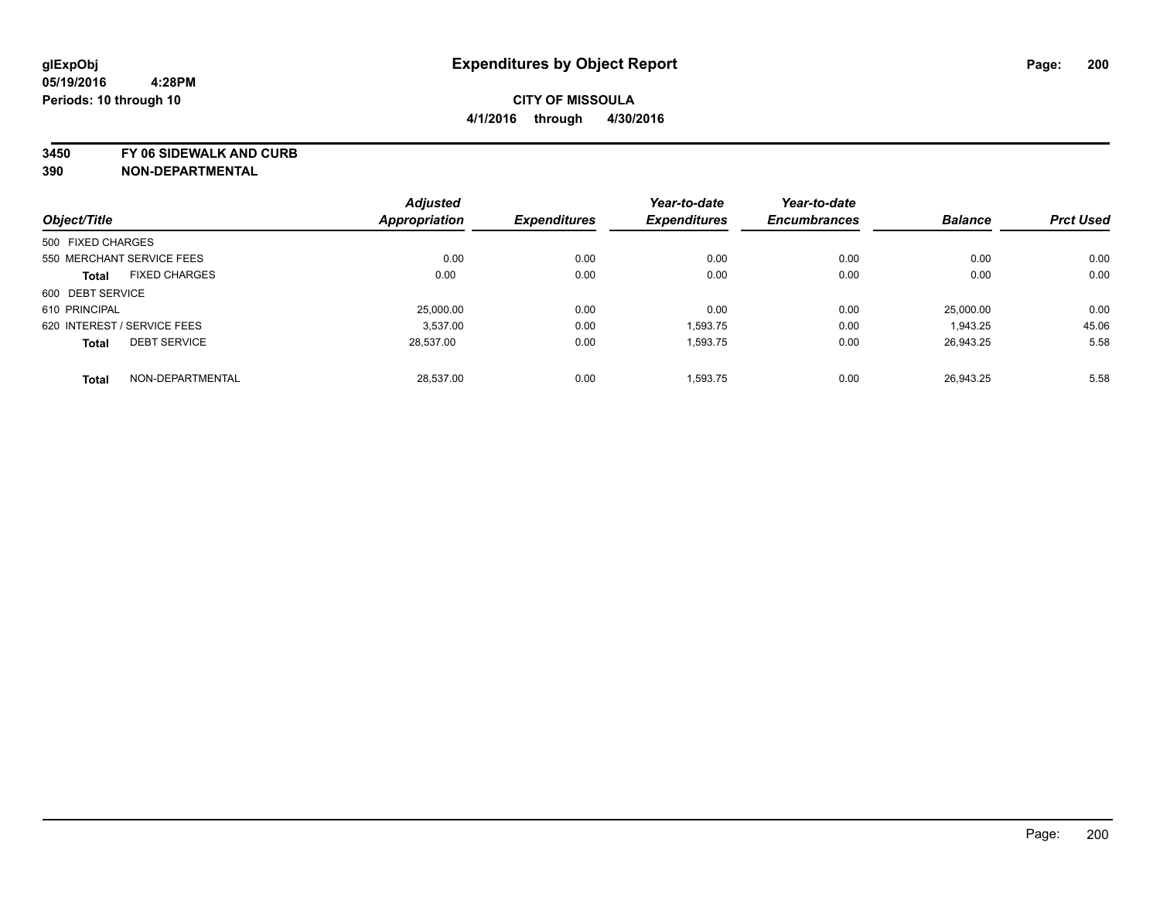**3450 FY 06 SIDEWALK AND CURB**

|                   |                             | <b>Adjusted</b>      |                     | Year-to-date        | Year-to-date        |                |                  |
|-------------------|-----------------------------|----------------------|---------------------|---------------------|---------------------|----------------|------------------|
| Object/Title      |                             | <b>Appropriation</b> | <b>Expenditures</b> | <b>Expenditures</b> | <b>Encumbrances</b> | <b>Balance</b> | <b>Prct Used</b> |
| 500 FIXED CHARGES |                             |                      |                     |                     |                     |                |                  |
|                   | 550 MERCHANT SERVICE FEES   | 0.00                 | 0.00                | 0.00                | 0.00                | 0.00           | 0.00             |
| <b>Total</b>      | <b>FIXED CHARGES</b>        | 0.00                 | 0.00                | 0.00                | 0.00                | 0.00           | 0.00             |
| 600 DEBT SERVICE  |                             |                      |                     |                     |                     |                |                  |
| 610 PRINCIPAL     |                             | 25,000.00            | 0.00                | 0.00                | 0.00                | 25.000.00      | 0.00             |
|                   | 620 INTEREST / SERVICE FEES | 3.537.00             | 0.00                | 1,593.75            | 0.00                | 1,943.25       | 45.06            |
| <b>Total</b>      | <b>DEBT SERVICE</b>         | 28.537.00            | 0.00                | 1,593.75            | 0.00                | 26,943.25      | 5.58             |
| <b>Total</b>      | NON-DEPARTMENTAL            | 28.537.00            | 0.00                | 1,593.75            | 0.00                | 26.943.25      | 5.58             |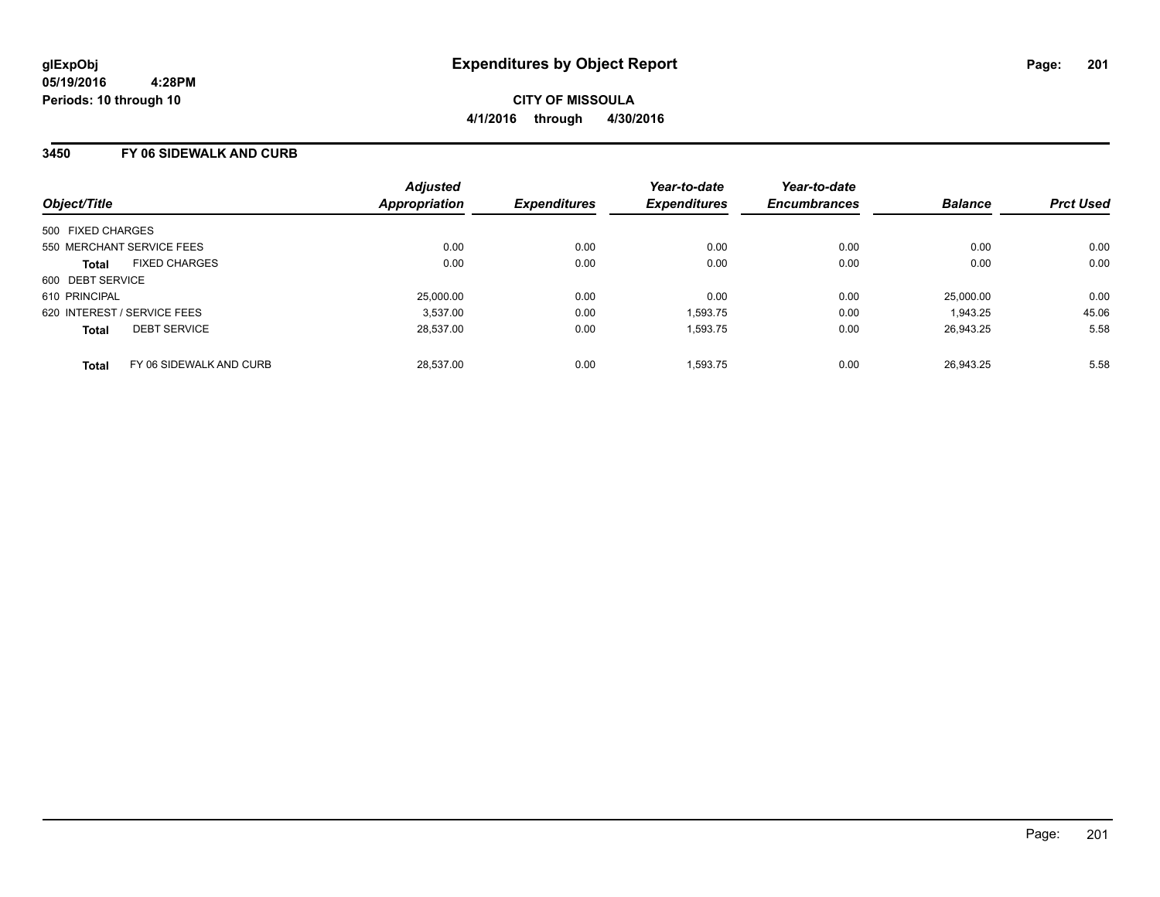### **3450 FY 06 SIDEWALK AND CURB**

| Object/Title                            | <b>Adjusted</b><br>Appropriation | <b>Expenditures</b> | Year-to-date<br><b>Expenditures</b> | Year-to-date<br><b>Encumbrances</b> | <b>Balance</b> | <b>Prct Used</b> |
|-----------------------------------------|----------------------------------|---------------------|-------------------------------------|-------------------------------------|----------------|------------------|
|                                         |                                  |                     |                                     |                                     |                |                  |
| 500 FIXED CHARGES                       |                                  |                     |                                     |                                     |                |                  |
| 550 MERCHANT SERVICE FEES               | 0.00                             | 0.00                | 0.00                                | 0.00                                | 0.00           | 0.00             |
| <b>FIXED CHARGES</b><br><b>Total</b>    | 0.00                             | 0.00                | 0.00                                | 0.00                                | 0.00           | 0.00             |
| 600 DEBT SERVICE                        |                                  |                     |                                     |                                     |                |                  |
| 610 PRINCIPAL                           | 25,000.00                        | 0.00                | 0.00                                | 0.00                                | 25,000.00      | 0.00             |
| 620 INTEREST / SERVICE FEES             | 3.537.00                         | 0.00                | 1.593.75                            | 0.00                                | 1.943.25       | 45.06            |
| <b>DEBT SERVICE</b><br><b>Total</b>     | 28.537.00                        | 0.00                | 1.593.75                            | 0.00                                | 26.943.25      | 5.58             |
| FY 06 SIDEWALK AND CURB<br><b>Total</b> | 28.537.00                        | 0.00                | 1,593.75                            | 0.00                                | 26.943.25      | 5.58             |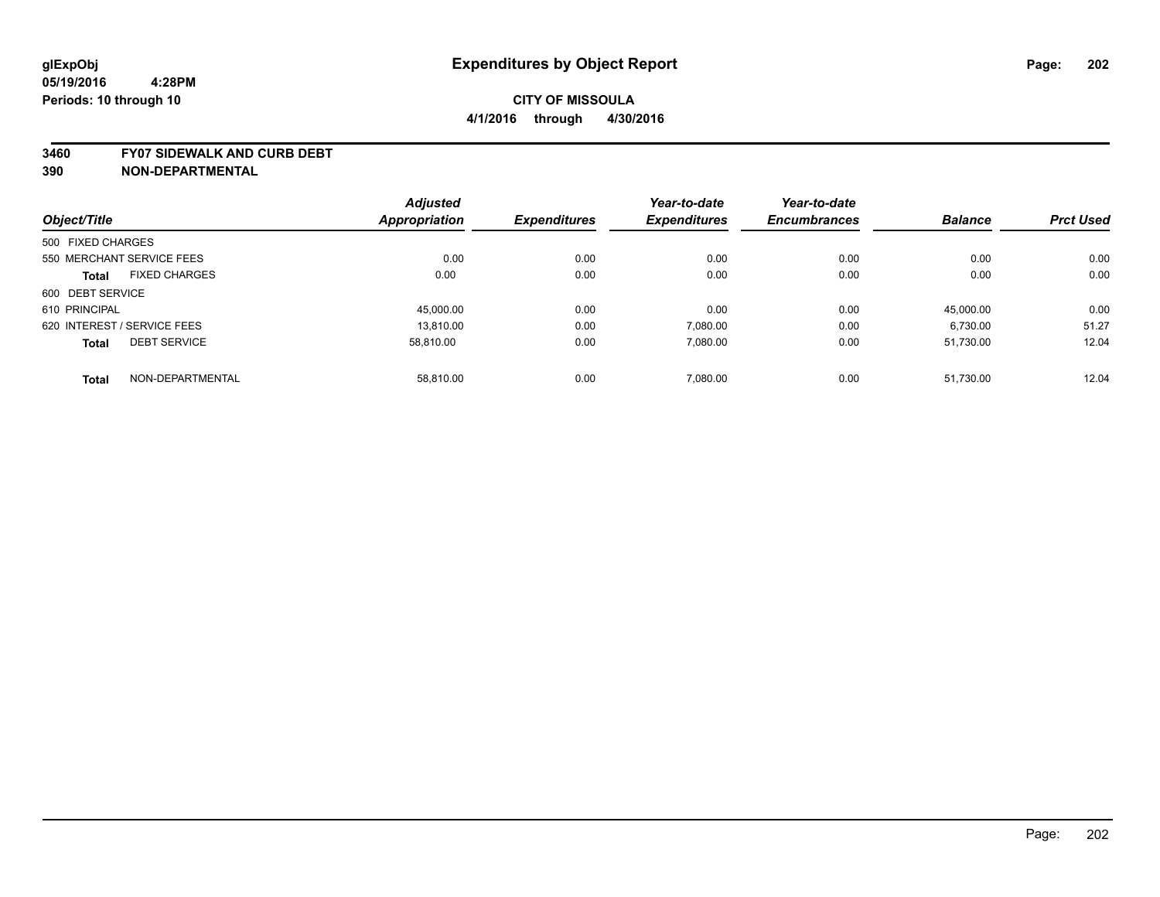#### **3460 FY07 SIDEWALK AND CURB DEBT**

|                             |                      | <b>Adjusted</b> |                     | Year-to-date        | Year-to-date        |                |                  |
|-----------------------------|----------------------|-----------------|---------------------|---------------------|---------------------|----------------|------------------|
| Object/Title                |                      | Appropriation   | <b>Expenditures</b> | <b>Expenditures</b> | <b>Encumbrances</b> | <b>Balance</b> | <b>Prct Used</b> |
| 500 FIXED CHARGES           |                      |                 |                     |                     |                     |                |                  |
| 550 MERCHANT SERVICE FEES   |                      | 0.00            | 0.00                | 0.00                | 0.00                | 0.00           | 0.00             |
| <b>Total</b>                | <b>FIXED CHARGES</b> | 0.00            | 0.00                | 0.00                | 0.00                | 0.00           | 0.00             |
| 600 DEBT SERVICE            |                      |                 |                     |                     |                     |                |                  |
| 610 PRINCIPAL               |                      | 45,000.00       | 0.00                | 0.00                | 0.00                | 45,000.00      | 0.00             |
| 620 INTEREST / SERVICE FEES |                      | 13.810.00       | 0.00                | 7.080.00            | 0.00                | 6,730.00       | 51.27            |
| <b>Total</b>                | <b>DEBT SERVICE</b>  | 58.810.00       | 0.00                | 7.080.00            | 0.00                | 51,730.00      | 12.04            |
| <b>Total</b>                | NON-DEPARTMENTAL     | 58.810.00       | 0.00                | 7.080.00            | 0.00                | 51.730.00      | 12.04            |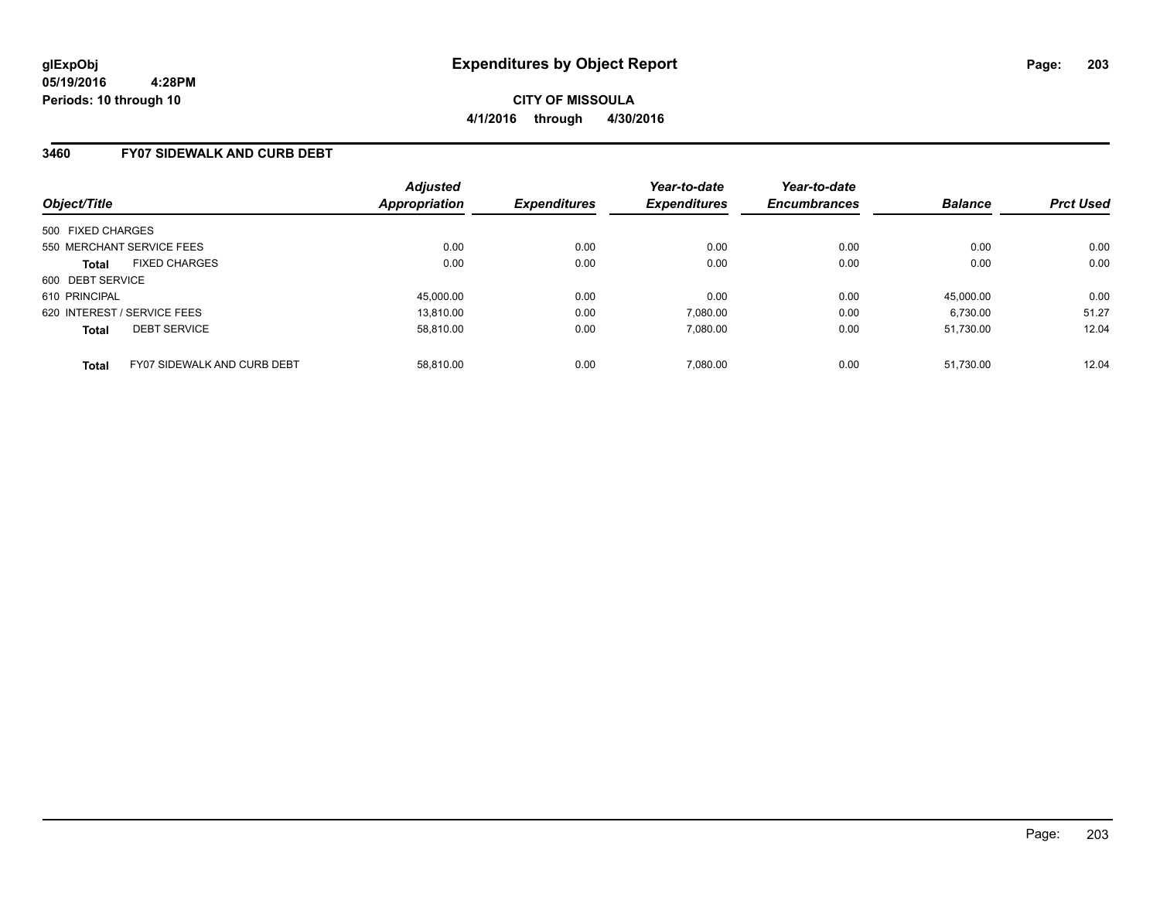### **3460 FY07 SIDEWALK AND CURB DEBT**

| Object/Title                                | <b>Adjusted</b><br>Appropriation | <b>Expenditures</b> | Year-to-date<br><b>Expenditures</b> | Year-to-date<br><b>Encumbrances</b> | <b>Balance</b> | <b>Prct Used</b> |
|---------------------------------------------|----------------------------------|---------------------|-------------------------------------|-------------------------------------|----------------|------------------|
| 500 FIXED CHARGES                           |                                  |                     |                                     |                                     |                |                  |
| 550 MERCHANT SERVICE FEES                   | 0.00                             | 0.00                | 0.00                                | 0.00                                | 0.00           | 0.00             |
| <b>FIXED CHARGES</b><br><b>Total</b>        | 0.00                             | 0.00                | 0.00                                | 0.00                                | 0.00           | 0.00             |
| 600 DEBT SERVICE                            |                                  |                     |                                     |                                     |                |                  |
| 610 PRINCIPAL                               | 45,000.00                        | 0.00                | 0.00                                | 0.00                                | 45.000.00      | 0.00             |
| 620 INTEREST / SERVICE FEES                 | 13.810.00                        | 0.00                | 7,080.00                            | 0.00                                | 6,730.00       | 51.27            |
| <b>DEBT SERVICE</b><br><b>Total</b>         | 58.810.00                        | 0.00                | 7.080.00                            | 0.00                                | 51.730.00      | 12.04            |
| FY07 SIDEWALK AND CURB DEBT<br><b>Total</b> | 58.810.00                        | 0.00                | 7.080.00                            | 0.00                                | 51.730.00      | 12.04            |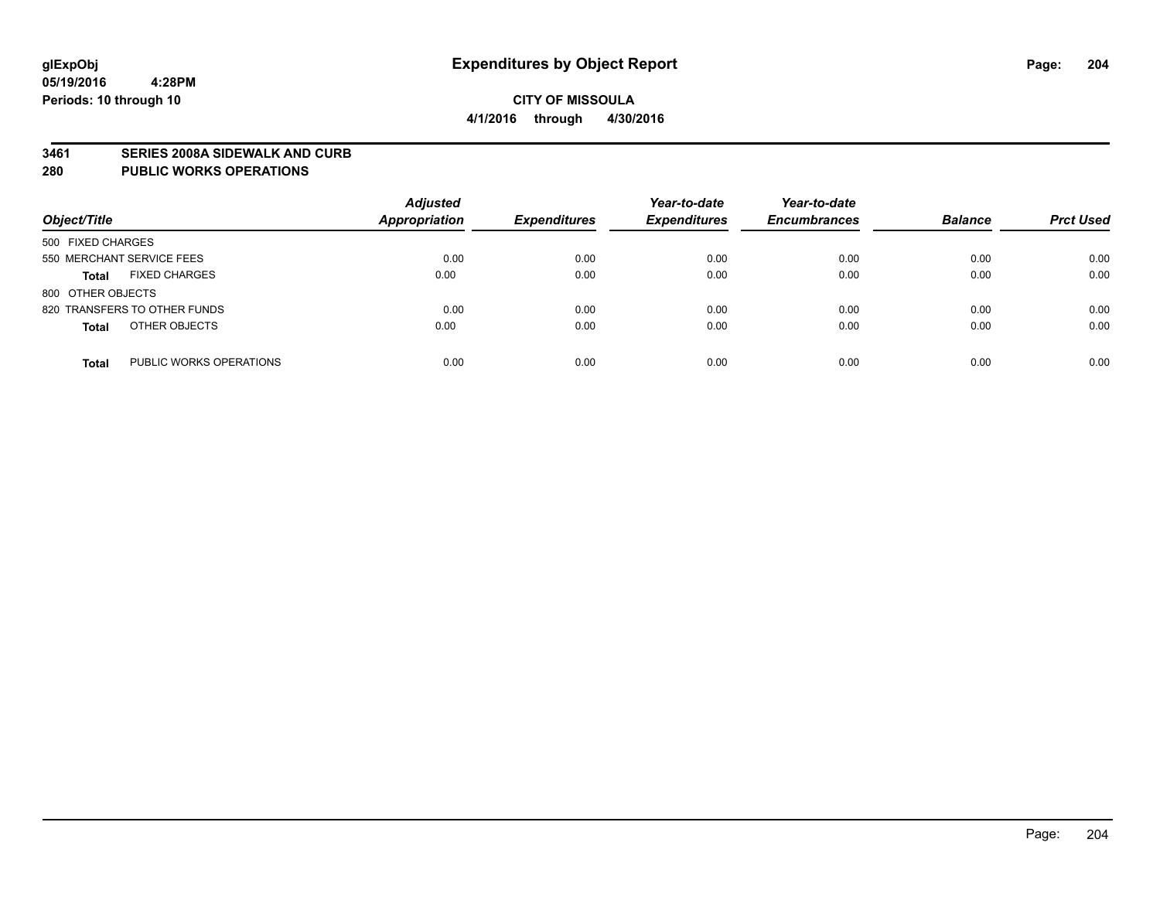#### **3461 SERIES 2008A SIDEWALK AND CURB**

#### **280 PUBLIC WORKS OPERATIONS**

| Object/Title                            | <b>Adjusted</b><br><b>Appropriation</b> | <b>Expenditures</b> | Year-to-date<br><b>Expenditures</b> | Year-to-date<br><b>Encumbrances</b> | <b>Balance</b> | <b>Prct Used</b> |
|-----------------------------------------|-----------------------------------------|---------------------|-------------------------------------|-------------------------------------|----------------|------------------|
| 500 FIXED CHARGES                       |                                         |                     |                                     |                                     |                |                  |
| 550 MERCHANT SERVICE FEES               | 0.00                                    | 0.00                | 0.00                                | 0.00                                | 0.00           | 0.00             |
| <b>FIXED CHARGES</b><br><b>Total</b>    | 0.00                                    | 0.00                | 0.00                                | 0.00                                | 0.00           | 0.00             |
| 800 OTHER OBJECTS                       |                                         |                     |                                     |                                     |                |                  |
| 820 TRANSFERS TO OTHER FUNDS            | 0.00                                    | 0.00                | 0.00                                | 0.00                                | 0.00           | 0.00             |
| OTHER OBJECTS<br><b>Total</b>           | 0.00                                    | 0.00                | 0.00                                | 0.00                                | 0.00           | 0.00             |
| PUBLIC WORKS OPERATIONS<br><b>Total</b> | 0.00                                    | 0.00                | 0.00                                | 0.00                                | 0.00           | 0.00             |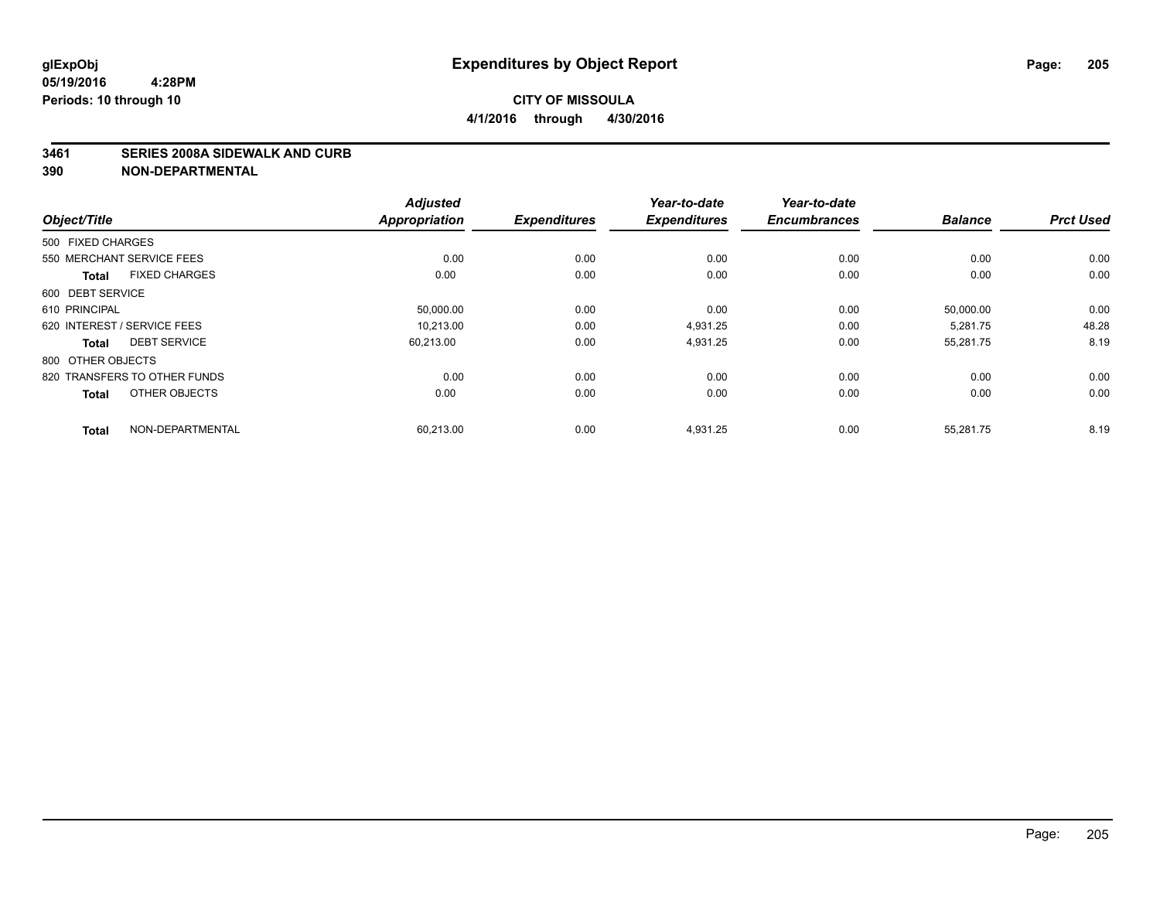#### **3461 SERIES 2008A SIDEWALK AND CURB**

| Object/Title                         | <b>Adjusted</b><br><b>Appropriation</b> | <b>Expenditures</b> | Year-to-date<br><b>Expenditures</b> | Year-to-date<br><b>Encumbrances</b> | <b>Balance</b> | <b>Prct Used</b> |
|--------------------------------------|-----------------------------------------|---------------------|-------------------------------------|-------------------------------------|----------------|------------------|
|                                      |                                         |                     |                                     |                                     |                |                  |
| 500 FIXED CHARGES                    |                                         |                     |                                     |                                     |                |                  |
| 550 MERCHANT SERVICE FEES            | 0.00                                    | 0.00                | 0.00                                | 0.00                                | 0.00           | 0.00             |
| <b>FIXED CHARGES</b><br><b>Total</b> | 0.00                                    | 0.00                | 0.00                                | 0.00                                | 0.00           | 0.00             |
| 600 DEBT SERVICE                     |                                         |                     |                                     |                                     |                |                  |
| 610 PRINCIPAL                        | 50,000.00                               | 0.00                | 0.00                                | 0.00                                | 50,000.00      | 0.00             |
| 620 INTEREST / SERVICE FEES          | 10.213.00                               | 0.00                | 4.931.25                            | 0.00                                | 5.281.75       | 48.28            |
| <b>DEBT SERVICE</b><br><b>Total</b>  | 60,213.00                               | 0.00                | 4,931.25                            | 0.00                                | 55,281.75      | 8.19             |
| 800 OTHER OBJECTS                    |                                         |                     |                                     |                                     |                |                  |
| 820 TRANSFERS TO OTHER FUNDS         | 0.00                                    | 0.00                | 0.00                                | 0.00                                | 0.00           | 0.00             |
| OTHER OBJECTS<br><b>Total</b>        | 0.00                                    | 0.00                | 0.00                                | 0.00                                | 0.00           | 0.00             |
| NON-DEPARTMENTAL<br><b>Total</b>     | 60,213.00                               | 0.00                | 4,931.25                            | 0.00                                | 55,281.75      | 8.19             |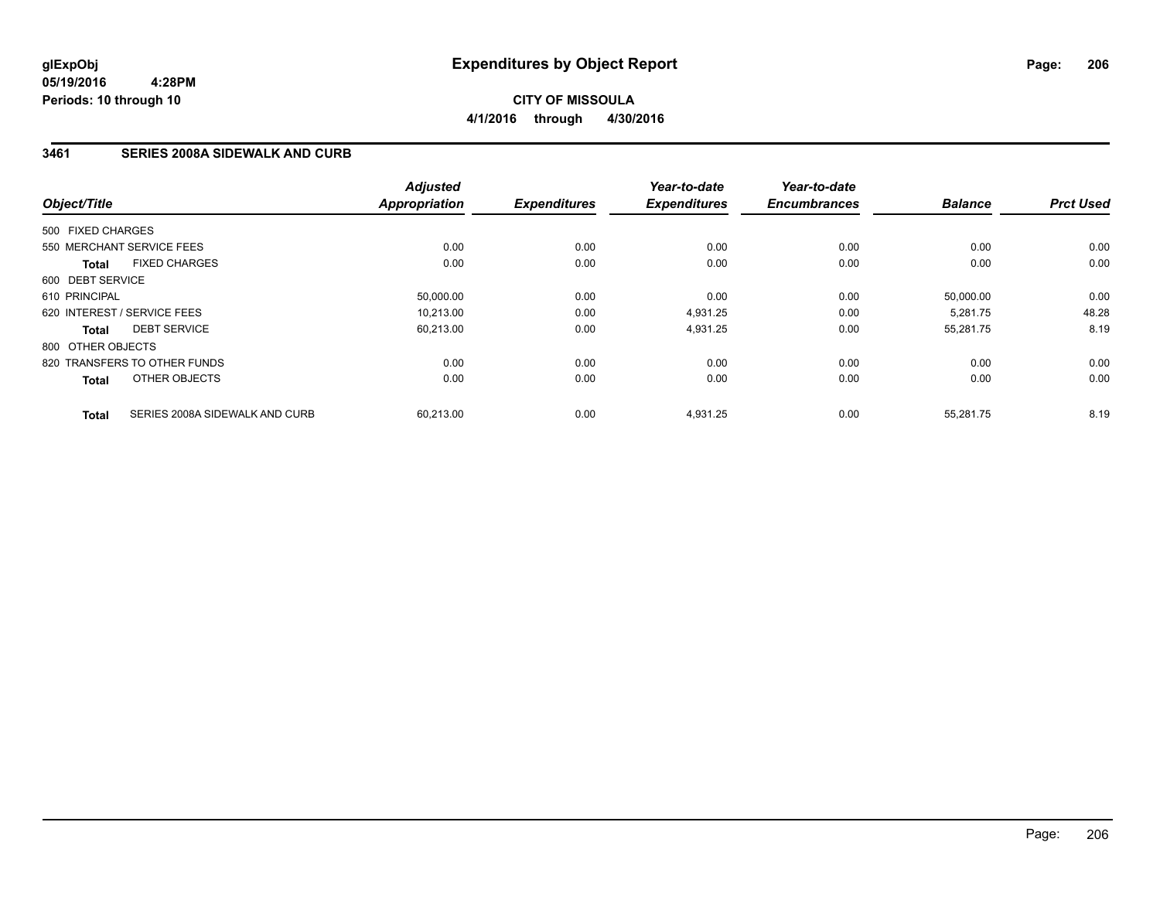### **CITY OF MISSOULA 4/1/2016 through 4/30/2016**

### **3461 SERIES 2008A SIDEWALK AND CURB**

| Object/Title                 |                                | <b>Adjusted</b><br><b>Appropriation</b> | <b>Expenditures</b> | Year-to-date<br><b>Expenditures</b> | Year-to-date<br><b>Encumbrances</b> | <b>Balance</b> | <b>Prct Used</b> |
|------------------------------|--------------------------------|-----------------------------------------|---------------------|-------------------------------------|-------------------------------------|----------------|------------------|
| 500 FIXED CHARGES            |                                |                                         |                     |                                     |                                     |                |                  |
| 550 MERCHANT SERVICE FEES    |                                | 0.00                                    | 0.00                | 0.00                                | 0.00                                | 0.00           | 0.00             |
| <b>Total</b>                 | <b>FIXED CHARGES</b>           | 0.00                                    | 0.00                | 0.00                                | 0.00                                | 0.00           | 0.00             |
| 600 DEBT SERVICE             |                                |                                         |                     |                                     |                                     |                |                  |
| 610 PRINCIPAL                |                                | 50,000.00                               | 0.00                | 0.00                                | 0.00                                | 50,000.00      | 0.00             |
| 620 INTEREST / SERVICE FEES  |                                | 10.213.00                               | 0.00                | 4,931.25                            | 0.00                                | 5,281.75       | 48.28            |
| <b>Total</b>                 | <b>DEBT SERVICE</b>            | 60,213.00                               | 0.00                | 4,931.25                            | 0.00                                | 55,281.75      | 8.19             |
| 800 OTHER OBJECTS            |                                |                                         |                     |                                     |                                     |                |                  |
| 820 TRANSFERS TO OTHER FUNDS |                                | 0.00                                    | 0.00                | 0.00                                | 0.00                                | 0.00           | 0.00             |
| <b>Total</b>                 | OTHER OBJECTS                  | 0.00                                    | 0.00                | 0.00                                | 0.00                                | 0.00           | 0.00             |
| <b>Total</b>                 | SERIES 2008A SIDEWALK AND CURB | 60,213.00                               | 0.00                | 4,931.25                            | 0.00                                | 55,281.75      | 8.19             |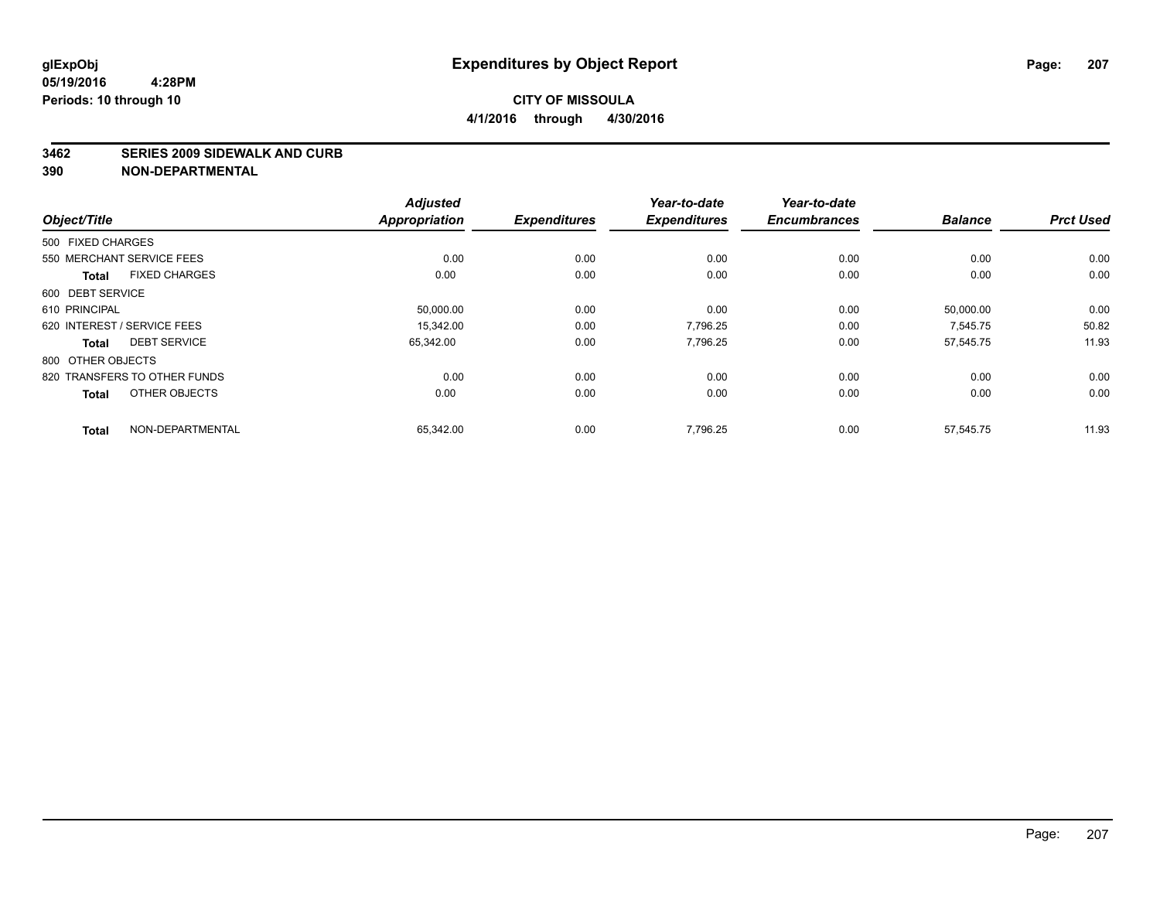#### **3462 SERIES 2009 SIDEWALK AND CURB**

|                                      | <b>Adjusted</b>      |                     | Year-to-date        | Year-to-date        |                |                  |
|--------------------------------------|----------------------|---------------------|---------------------|---------------------|----------------|------------------|
| Object/Title                         | <b>Appropriation</b> | <b>Expenditures</b> | <b>Expenditures</b> | <b>Encumbrances</b> | <b>Balance</b> | <b>Prct Used</b> |
| 500 FIXED CHARGES                    |                      |                     |                     |                     |                |                  |
| 550 MERCHANT SERVICE FEES            | 0.00                 | 0.00                | 0.00                | 0.00                | 0.00           | 0.00             |
| <b>FIXED CHARGES</b><br><b>Total</b> | 0.00                 | 0.00                | 0.00                | 0.00                | 0.00           | 0.00             |
| 600 DEBT SERVICE                     |                      |                     |                     |                     |                |                  |
| 610 PRINCIPAL                        | 50,000.00            | 0.00                | 0.00                | 0.00                | 50,000.00      | 0.00             |
| 620 INTEREST / SERVICE FEES          | 15.342.00            | 0.00                | 7.796.25            | 0.00                | 7.545.75       | 50.82            |
| <b>DEBT SERVICE</b><br><b>Total</b>  | 65,342.00            | 0.00                | 7,796.25            | 0.00                | 57,545.75      | 11.93            |
| 800 OTHER OBJECTS                    |                      |                     |                     |                     |                |                  |
| 820 TRANSFERS TO OTHER FUNDS         | 0.00                 | 0.00                | 0.00                | 0.00                | 0.00           | 0.00             |
| OTHER OBJECTS<br><b>Total</b>        | 0.00                 | 0.00                | 0.00                | 0.00                | 0.00           | 0.00             |
|                                      |                      |                     |                     |                     |                |                  |
| NON-DEPARTMENTAL<br><b>Total</b>     | 65,342.00            | 0.00                | 7,796.25            | 0.00                | 57,545.75      | 11.93            |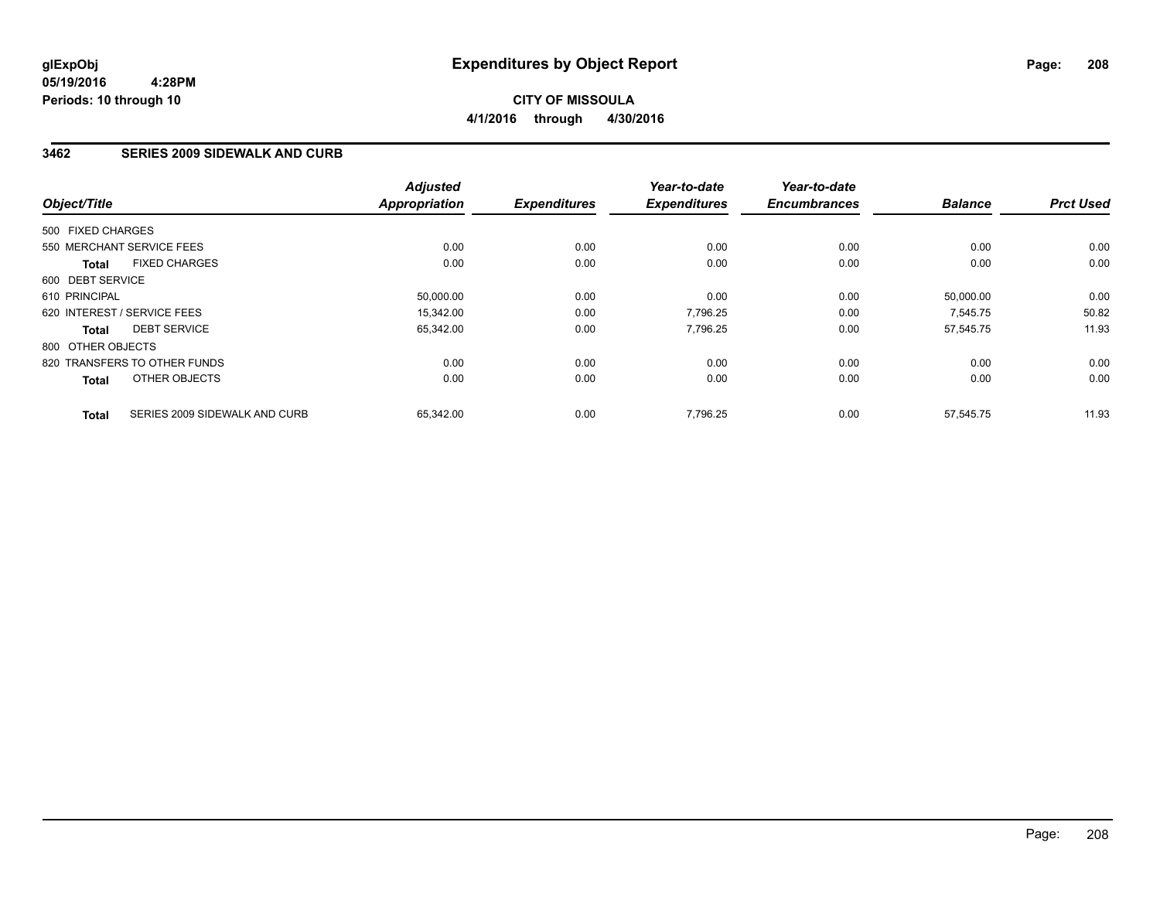# **CITY OF MISSOULA 4/1/2016 through 4/30/2016**

### **3462 SERIES 2009 SIDEWALK AND CURB**

| Object/Title                                  | <b>Adjusted</b><br><b>Appropriation</b> | <b>Expenditures</b> | Year-to-date<br><b>Expenditures</b> | Year-to-date<br><b>Encumbrances</b> | <b>Balance</b> | <b>Prct Used</b> |
|-----------------------------------------------|-----------------------------------------|---------------------|-------------------------------------|-------------------------------------|----------------|------------------|
| 500 FIXED CHARGES                             |                                         |                     |                                     |                                     |                |                  |
| 550 MERCHANT SERVICE FEES                     | 0.00                                    | 0.00                | 0.00                                | 0.00                                | 0.00           | 0.00             |
| <b>FIXED CHARGES</b><br>Total                 | 0.00                                    | 0.00                | 0.00                                | 0.00                                | 0.00           | 0.00             |
| 600 DEBT SERVICE                              |                                         |                     |                                     |                                     |                |                  |
| 610 PRINCIPAL                                 | 50,000.00                               | 0.00                | 0.00                                | 0.00                                | 50,000.00      | 0.00             |
| 620 INTEREST / SERVICE FEES                   | 15.342.00                               | 0.00                | 7,796.25                            | 0.00                                | 7,545.75       | 50.82            |
| <b>DEBT SERVICE</b><br><b>Total</b>           | 65,342.00                               | 0.00                | 7,796.25                            | 0.00                                | 57,545.75      | 11.93            |
| 800 OTHER OBJECTS                             |                                         |                     |                                     |                                     |                |                  |
| 820 TRANSFERS TO OTHER FUNDS                  | 0.00                                    | 0.00                | 0.00                                | 0.00                                | 0.00           | 0.00             |
| OTHER OBJECTS<br><b>Total</b>                 | 0.00                                    | 0.00                | 0.00                                | 0.00                                | 0.00           | 0.00             |
| SERIES 2009 SIDEWALK AND CURB<br><b>Total</b> | 65,342.00                               | 0.00                | 7,796.25                            | 0.00                                | 57,545.75      | 11.93            |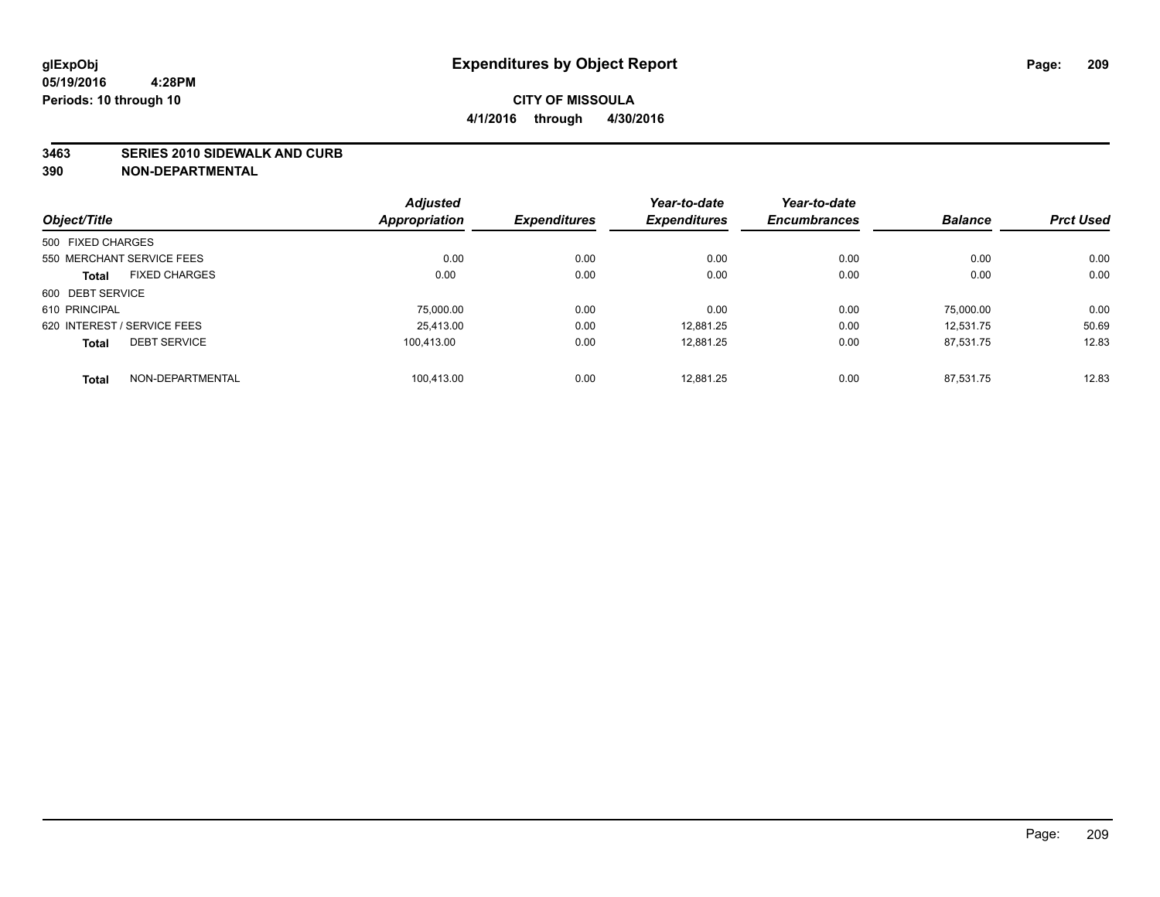#### **3463 SERIES 2010 SIDEWALK AND CURB**

|                                      | <b>Adjusted</b> |                     | Year-to-date        | Year-to-date<br><b>Encumbrances</b> | <b>Balance</b> | <b>Prct Used</b> |
|--------------------------------------|-----------------|---------------------|---------------------|-------------------------------------|----------------|------------------|
| Object/Title                         | Appropriation   | <b>Expenditures</b> | <b>Expenditures</b> |                                     |                |                  |
| 500 FIXED CHARGES                    |                 |                     |                     |                                     |                |                  |
| 550 MERCHANT SERVICE FEES            | 0.00            | 0.00                | 0.00                | 0.00                                | 0.00           | 0.00             |
| <b>FIXED CHARGES</b><br><b>Total</b> | 0.00            | 0.00                | 0.00                | 0.00                                | 0.00           | 0.00             |
| 600 DEBT SERVICE                     |                 |                     |                     |                                     |                |                  |
| 610 PRINCIPAL                        | 75,000.00       | 0.00                | 0.00                | 0.00                                | 75.000.00      | 0.00             |
| 620 INTEREST / SERVICE FEES          | 25.413.00       | 0.00                | 12.881.25           | 0.00                                | 12.531.75      | 50.69            |
| <b>DEBT SERVICE</b><br><b>Total</b>  | 100.413.00      | 0.00                | 12.881.25           | 0.00                                | 87.531.75      | 12.83            |
| NON-DEPARTMENTAL<br><b>Total</b>     | 100.413.00      | 0.00                | 12.881.25           | 0.00                                | 87.531.75      | 12.83            |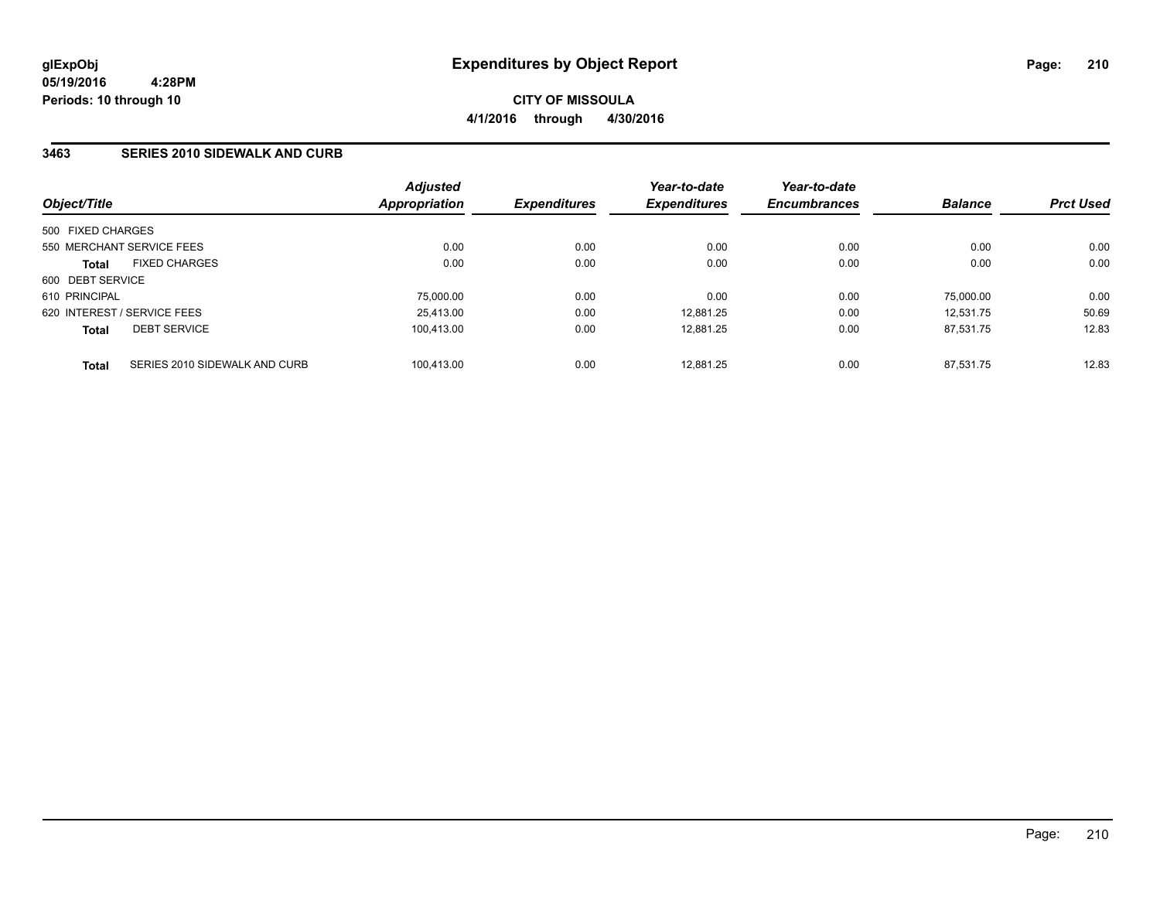### **3463 SERIES 2010 SIDEWALK AND CURB**

| Object/Title      |                               | <b>Adjusted</b><br>Appropriation | <b>Expenditures</b> | Year-to-date<br><b>Expenditures</b> | Year-to-date<br><b>Encumbrances</b> | <b>Balance</b> | <b>Prct Used</b> |
|-------------------|-------------------------------|----------------------------------|---------------------|-------------------------------------|-------------------------------------|----------------|------------------|
| 500 FIXED CHARGES |                               |                                  |                     |                                     |                                     |                |                  |
|                   | 550 MERCHANT SERVICE FEES     | 0.00                             | 0.00                | 0.00                                | 0.00                                | 0.00           | 0.00             |
| <b>Total</b>      | <b>FIXED CHARGES</b>          | 0.00                             | 0.00                | 0.00                                | 0.00                                | 0.00           | 0.00             |
| 600 DEBT SERVICE  |                               |                                  |                     |                                     |                                     |                |                  |
| 610 PRINCIPAL     |                               | 75.000.00                        | 0.00                | 0.00                                | 0.00                                | 75.000.00      | 0.00             |
|                   | 620 INTEREST / SERVICE FEES   | 25,413.00                        | 0.00                | 12.881.25                           | 0.00                                | 12.531.75      | 50.69            |
| <b>Total</b>      | <b>DEBT SERVICE</b>           | 100.413.00                       | 0.00                | 12.881.25                           | 0.00                                | 87.531.75      | 12.83            |
| <b>Total</b>      | SERIES 2010 SIDEWALK AND CURB | 100.413.00                       | 0.00                | 12.881.25                           | 0.00                                | 87.531.75      | 12.83            |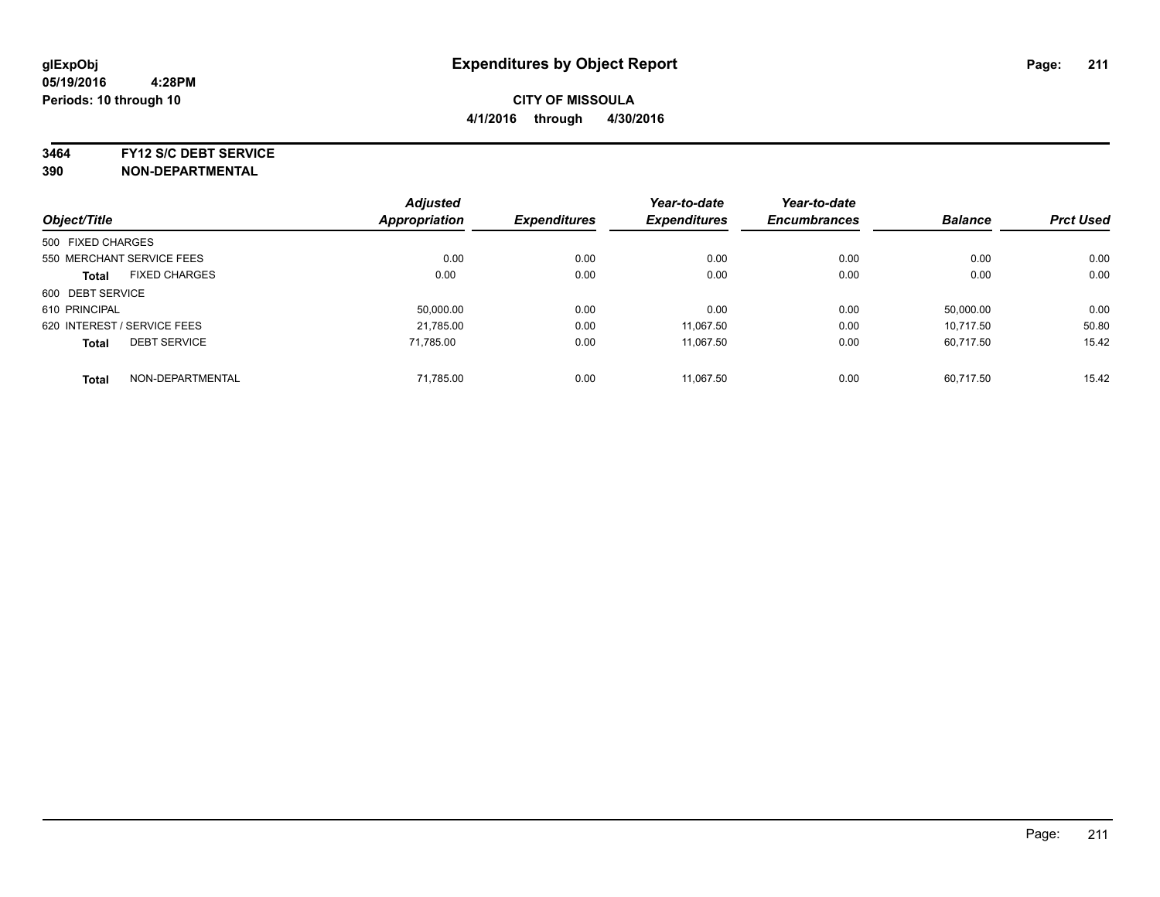#### **3464 FY12 S/C DEBT SERVICE**

|                             |                           | <b>Adjusted</b>      |                     | Year-to-date        | Year-to-date        |                |                  |
|-----------------------------|---------------------------|----------------------|---------------------|---------------------|---------------------|----------------|------------------|
| Object/Title                |                           | <b>Appropriation</b> | <b>Expenditures</b> | <b>Expenditures</b> | <b>Encumbrances</b> | <b>Balance</b> | <b>Prct Used</b> |
| 500 FIXED CHARGES           |                           |                      |                     |                     |                     |                |                  |
|                             | 550 MERCHANT SERVICE FEES | 0.00                 | 0.00                | 0.00                | 0.00                | 0.00           | 0.00             |
| <b>Total</b>                | <b>FIXED CHARGES</b>      | 0.00                 | 0.00                | 0.00                | 0.00                | 0.00           | 0.00             |
| 600 DEBT SERVICE            |                           |                      |                     |                     |                     |                |                  |
| 610 PRINCIPAL               |                           | 50.000.00            | 0.00                | 0.00                | 0.00                | 50.000.00      | 0.00             |
| 620 INTEREST / SERVICE FEES |                           | 21,785.00            | 0.00                | 11.067.50           | 0.00                | 10.717.50      | 50.80            |
| <b>Total</b>                | <b>DEBT SERVICE</b>       | 71.785.00            | 0.00                | 11.067.50           | 0.00                | 60.717.50      | 15.42            |
| <b>Total</b>                | NON-DEPARTMENTAL          | 71,785.00            | 0.00                | 11.067.50           | 0.00                | 60.717.50      | 15.42            |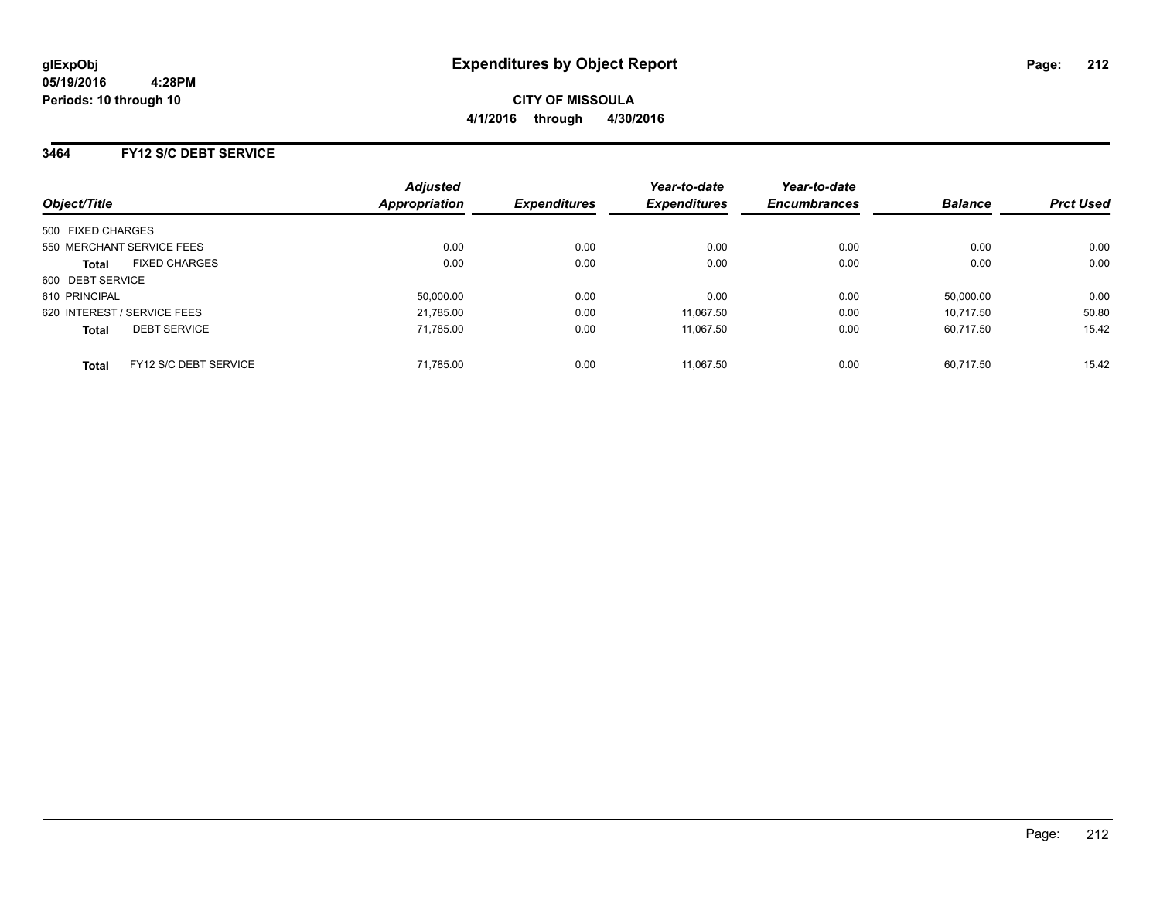#### **3464 FY12 S/C DEBT SERVICE**

| Object/Title                          | <b>Adjusted</b><br>Appropriation | <b>Expenditures</b> | Year-to-date<br><b>Expenditures</b> | Year-to-date<br><b>Encumbrances</b> | <b>Balance</b> | <b>Prct Used</b> |
|---------------------------------------|----------------------------------|---------------------|-------------------------------------|-------------------------------------|----------------|------------------|
| 500 FIXED CHARGES                     |                                  |                     |                                     |                                     |                |                  |
| 550 MERCHANT SERVICE FEES             | 0.00                             | 0.00                | 0.00                                | 0.00                                | 0.00           | 0.00             |
| <b>FIXED CHARGES</b><br><b>Total</b>  | 0.00                             | 0.00                | 0.00                                | 0.00                                | 0.00           | 0.00             |
| 600 DEBT SERVICE                      |                                  |                     |                                     |                                     |                |                  |
| 610 PRINCIPAL                         | 50.000.00                        | 0.00                | 0.00                                | 0.00                                | 50.000.00      | 0.00             |
| 620 INTEREST / SERVICE FEES           | 21,785.00                        | 0.00                | 11.067.50                           | 0.00                                | 10.717.50      | 50.80            |
| <b>DEBT SERVICE</b><br><b>Total</b>   | 71,785.00                        | 0.00                | 11.067.50                           | 0.00                                | 60.717.50      | 15.42            |
| FY12 S/C DEBT SERVICE<br><b>Total</b> | 71,785.00                        | 0.00                | 11.067.50                           | 0.00                                | 60.717.50      | 15.42            |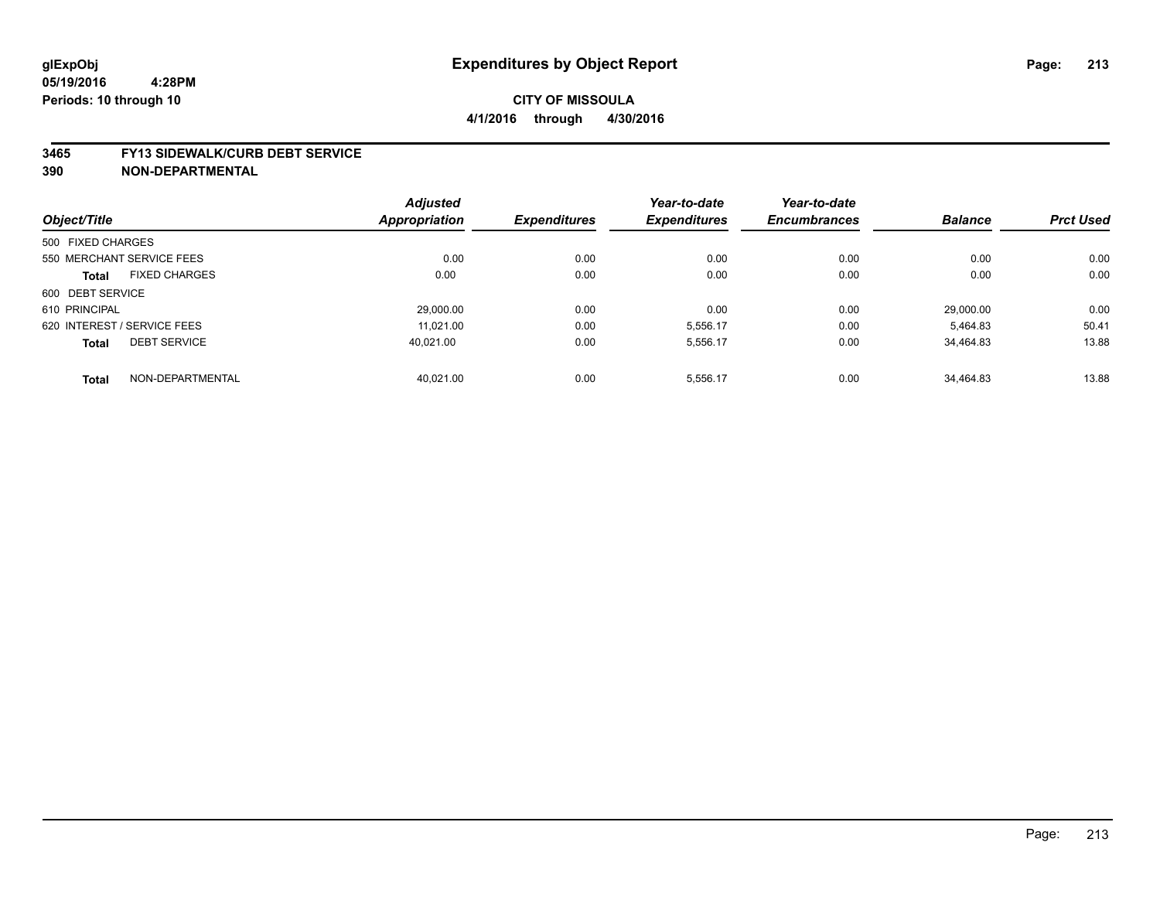#### **3465 FY13 SIDEWALK/CURB DEBT SERVICE**

|                                     | <b>Adjusted</b>      |                     | Year-to-date        | Year-to-date        |                |                  |
|-------------------------------------|----------------------|---------------------|---------------------|---------------------|----------------|------------------|
| Object/Title                        | <b>Appropriation</b> | <b>Expenditures</b> | <b>Expenditures</b> | <b>Encumbrances</b> | <b>Balance</b> | <b>Prct Used</b> |
| 500 FIXED CHARGES                   |                      |                     |                     |                     |                |                  |
| 550 MERCHANT SERVICE FEES           | 0.00                 | 0.00                | 0.00                | 0.00                | 0.00           | 0.00             |
| <b>FIXED CHARGES</b><br>Total       | 0.00                 | 0.00                | 0.00                | 0.00                | 0.00           | 0.00             |
| 600 DEBT SERVICE                    |                      |                     |                     |                     |                |                  |
| 610 PRINCIPAL                       | 29,000.00            | 0.00                | 0.00                | 0.00                | 29.000.00      | 0.00             |
| 620 INTEREST / SERVICE FEES         | 11.021.00            | 0.00                | 5,556.17            | 0.00                | 5,464.83       | 50.41            |
| <b>DEBT SERVICE</b><br><b>Total</b> | 40.021.00            | 0.00                | 5,556.17            | 0.00                | 34.464.83      | 13.88            |
| NON-DEPARTMENTAL<br><b>Total</b>    | 40,021.00            | 0.00                | 5,556.17            | 0.00                | 34.464.83      | 13.88            |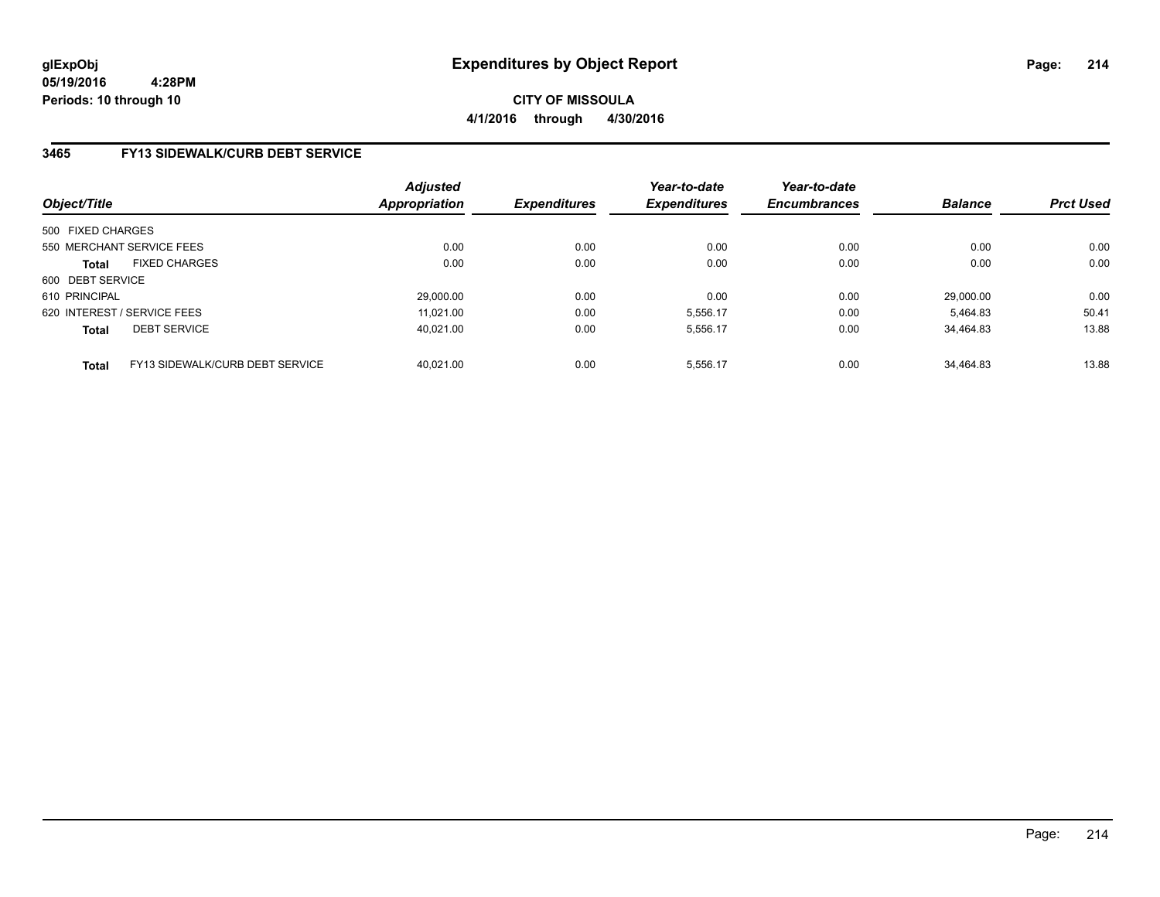**CITY OF MISSOULA 4/1/2016 through 4/30/2016**

### **3465 FY13 SIDEWALK/CURB DEBT SERVICE**

| Object/Title                                    | <b>Adjusted</b><br><b>Appropriation</b> | <b>Expenditures</b> | Year-to-date<br><b>Expenditures</b> | Year-to-date<br><b>Encumbrances</b> | <b>Balance</b> | <b>Prct Used</b> |
|-------------------------------------------------|-----------------------------------------|---------------------|-------------------------------------|-------------------------------------|----------------|------------------|
| 500 FIXED CHARGES                               |                                         |                     |                                     |                                     |                |                  |
| 550 MERCHANT SERVICE FEES                       | 0.00                                    | 0.00                | 0.00                                | 0.00                                | 0.00           | 0.00             |
| <b>FIXED CHARGES</b><br><b>Total</b>            | 0.00                                    | 0.00                | 0.00                                | 0.00                                | 0.00           | 0.00             |
| 600 DEBT SERVICE                                |                                         |                     |                                     |                                     |                |                  |
| 610 PRINCIPAL                                   | 29,000.00                               | 0.00                | 0.00                                | 0.00                                | 29.000.00      | 0.00             |
| 620 INTEREST / SERVICE FEES                     | 11.021.00                               | 0.00                | 5,556.17                            | 0.00                                | 5.464.83       | 50.41            |
| <b>DEBT SERVICE</b><br><b>Total</b>             | 40.021.00                               | 0.00                | 5.556.17                            | 0.00                                | 34.464.83      | 13.88            |
| FY13 SIDEWALK/CURB DEBT SERVICE<br><b>Total</b> | 40.021.00                               | 0.00                | 5.556.17                            | 0.00                                | 34.464.83      | 13.88            |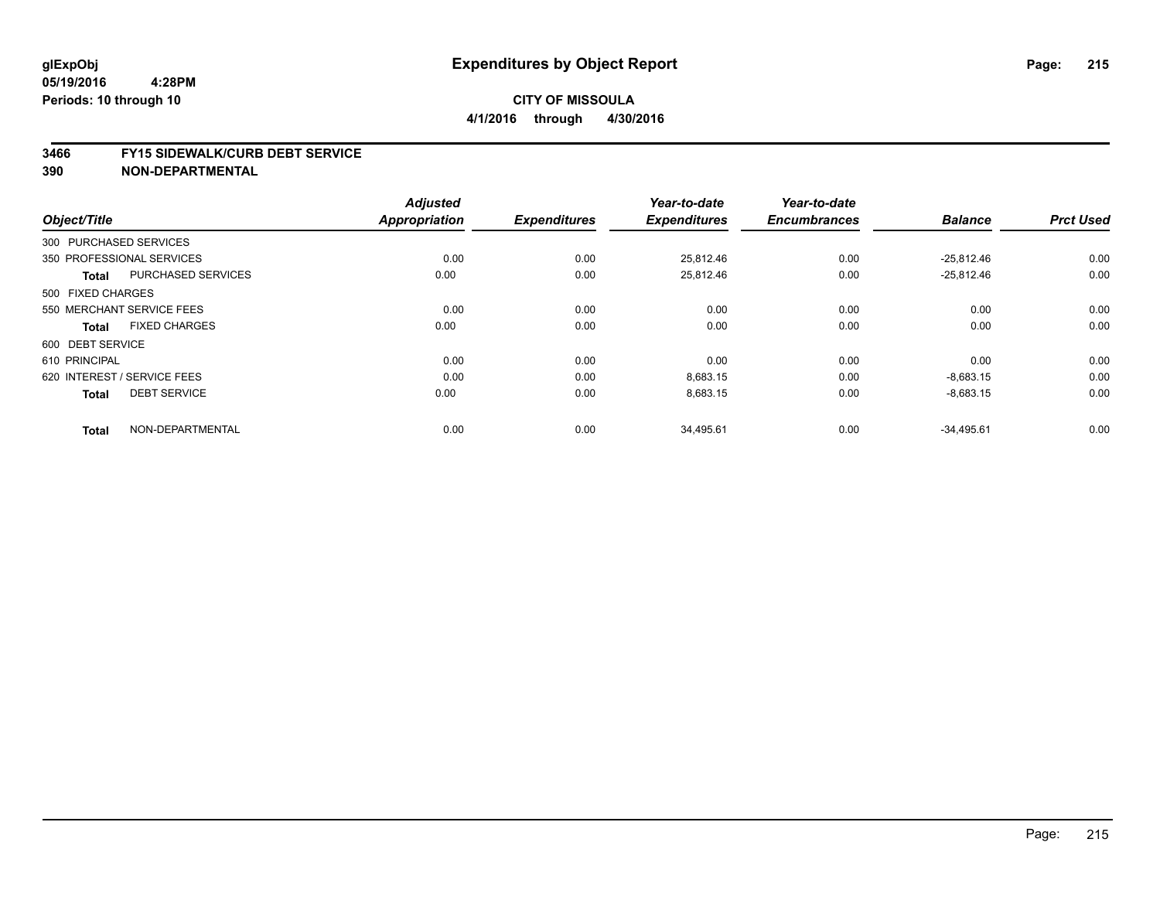# **CITY OF MISSOULA 4/1/2016 through 4/30/2016**

#### **3466 FY15 SIDEWALK/CURB DEBT SERVICE**

| Object/Title                |                           | <b>Adjusted</b><br><b>Appropriation</b> | <b>Expenditures</b> | Year-to-date<br><b>Expenditures</b> | Year-to-date<br><b>Encumbrances</b> | <b>Balance</b> | <b>Prct Used</b> |
|-----------------------------|---------------------------|-----------------------------------------|---------------------|-------------------------------------|-------------------------------------|----------------|------------------|
|                             |                           |                                         |                     |                                     |                                     |                |                  |
| 300 PURCHASED SERVICES      |                           |                                         |                     |                                     |                                     |                |                  |
| 350 PROFESSIONAL SERVICES   |                           | 0.00                                    | 0.00                | 25.812.46                           | 0.00                                | $-25.812.46$   | 0.00             |
| <b>Total</b>                | <b>PURCHASED SERVICES</b> | 0.00                                    | 0.00                | 25,812.46                           | 0.00                                | $-25,812.46$   | 0.00             |
| 500 FIXED CHARGES           |                           |                                         |                     |                                     |                                     |                |                  |
| 550 MERCHANT SERVICE FEES   |                           | 0.00                                    | 0.00                | 0.00                                | 0.00                                | 0.00           | 0.00             |
| <b>Total</b>                | <b>FIXED CHARGES</b>      | 0.00                                    | 0.00                | 0.00                                | 0.00                                | 0.00           | 0.00             |
| 600 DEBT SERVICE            |                           |                                         |                     |                                     |                                     |                |                  |
| 610 PRINCIPAL               |                           | 0.00                                    | 0.00                | 0.00                                | 0.00                                | 0.00           | 0.00             |
| 620 INTEREST / SERVICE FEES |                           | 0.00                                    | 0.00                | 8,683.15                            | 0.00                                | $-8,683.15$    | 0.00             |
| <b>Total</b>                | <b>DEBT SERVICE</b>       | 0.00                                    | 0.00                | 8,683.15                            | 0.00                                | $-8,683.15$    | 0.00             |
| <b>Total</b>                | NON-DEPARTMENTAL          | 0.00                                    | 0.00                | 34,495.61                           | 0.00                                | $-34,495.61$   | 0.00             |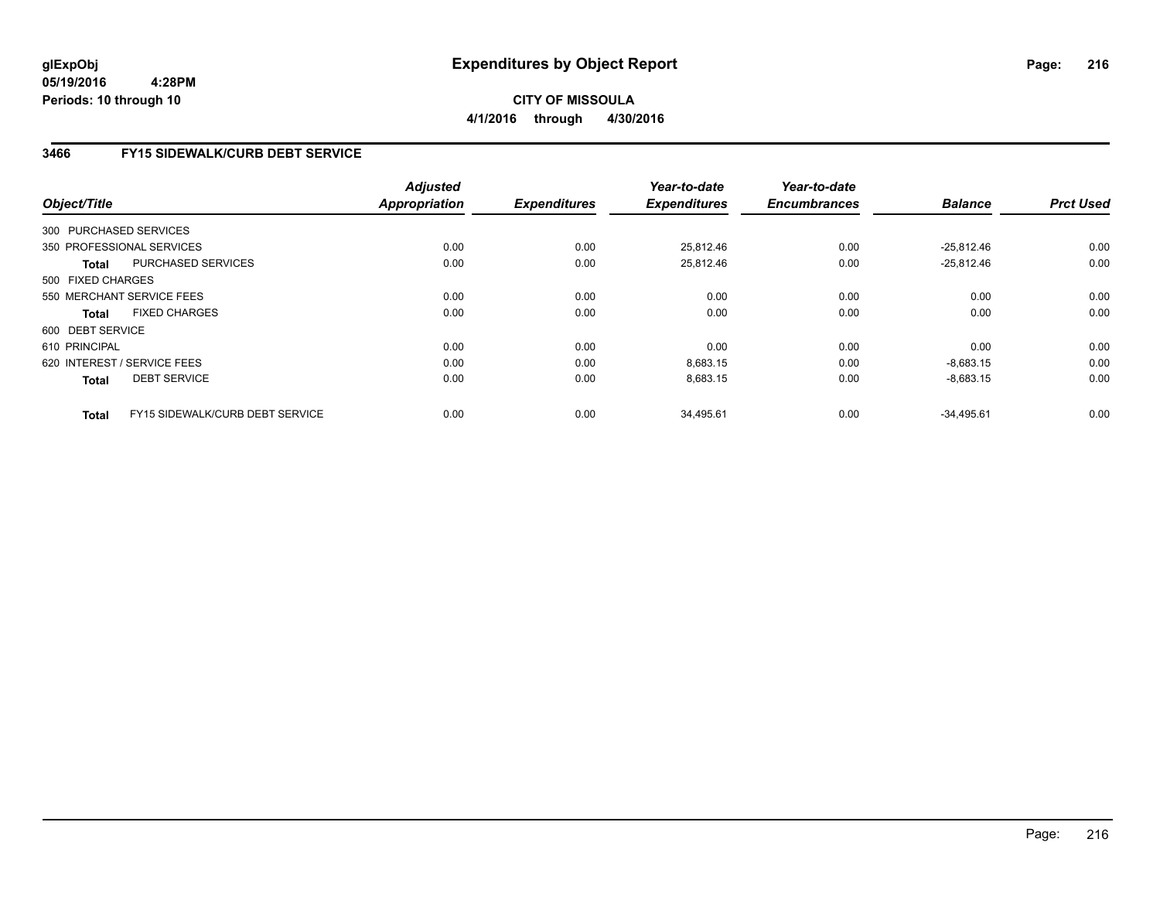# **CITY OF MISSOULA 4/1/2016 through 4/30/2016**

# **3466 FY15 SIDEWALK/CURB DEBT SERVICE**

| Object/Title      |                                 | <b>Adjusted</b><br><b>Appropriation</b> | <b>Expenditures</b> | Year-to-date<br><b>Expenditures</b> | Year-to-date<br><b>Encumbrances</b> | <b>Balance</b> | <b>Prct Used</b> |
|-------------------|---------------------------------|-----------------------------------------|---------------------|-------------------------------------|-------------------------------------|----------------|------------------|
|                   |                                 |                                         |                     |                                     |                                     |                |                  |
|                   | 300 PURCHASED SERVICES          |                                         |                     |                                     |                                     |                |                  |
|                   | 350 PROFESSIONAL SERVICES       | 0.00                                    | 0.00                | 25,812.46                           | 0.00                                | $-25,812.46$   | 0.00             |
| Total             | <b>PURCHASED SERVICES</b>       | 0.00                                    | 0.00                | 25,812.46                           | 0.00                                | $-25,812.46$   | 0.00             |
| 500 FIXED CHARGES |                                 |                                         |                     |                                     |                                     |                |                  |
|                   | 550 MERCHANT SERVICE FEES       | 0.00                                    | 0.00                | 0.00                                | 0.00                                | 0.00           | 0.00             |
| <b>Total</b>      | <b>FIXED CHARGES</b>            | 0.00                                    | 0.00                | 0.00                                | 0.00                                | 0.00           | 0.00             |
| 600 DEBT SERVICE  |                                 |                                         |                     |                                     |                                     |                |                  |
| 610 PRINCIPAL     |                                 | 0.00                                    | 0.00                | 0.00                                | 0.00                                | 0.00           | 0.00             |
|                   | 620 INTEREST / SERVICE FEES     | 0.00                                    | 0.00                | 8,683.15                            | 0.00                                | $-8,683.15$    | 0.00             |
| <b>Total</b>      | <b>DEBT SERVICE</b>             | 0.00                                    | 0.00                | 8,683.15                            | 0.00                                | $-8,683.15$    | 0.00             |
| <b>Total</b>      | FY15 SIDEWALK/CURB DEBT SERVICE | 0.00                                    | 0.00                | 34,495.61                           | 0.00                                | $-34,495.61$   | 0.00             |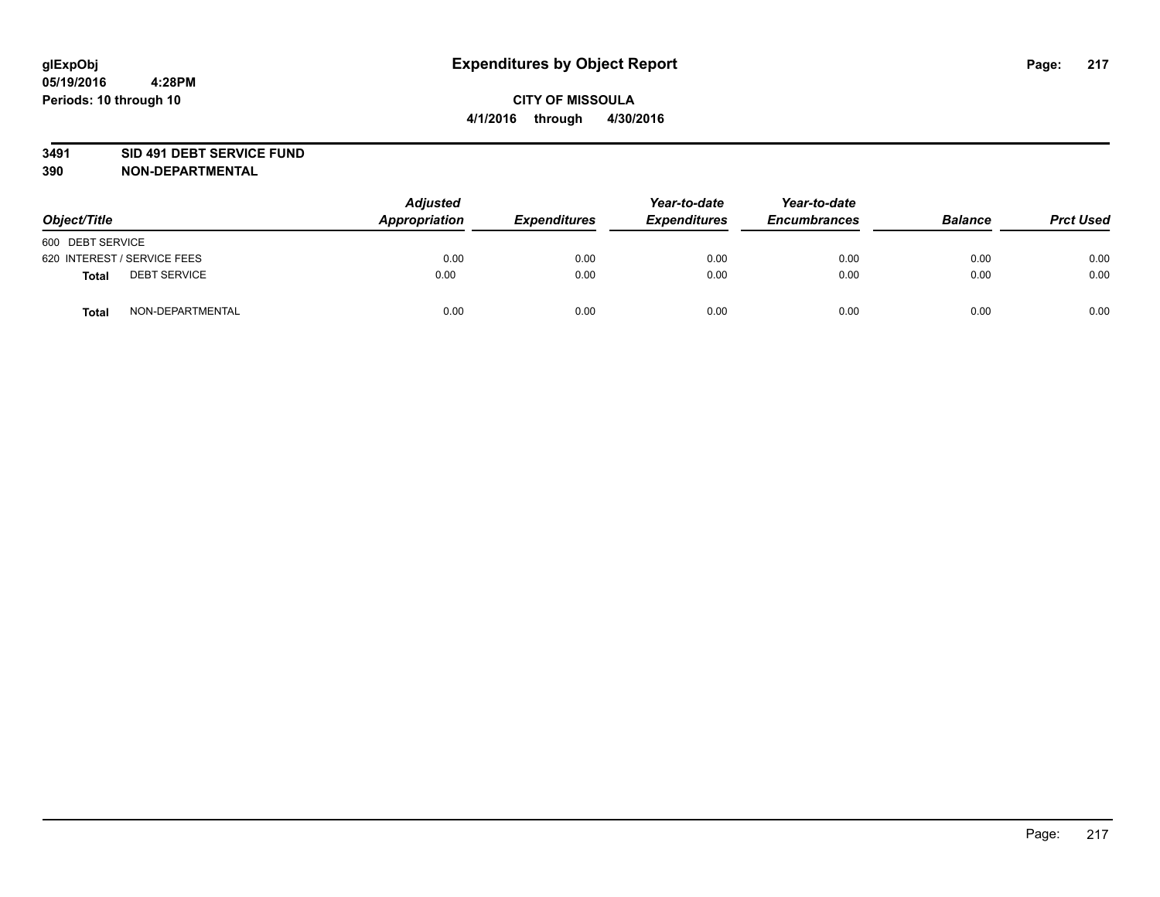#### **3491 SID 491 DEBT SERVICE FUND**

| Object/Title                        | <b>Adjusted</b><br>Appropriation | <b>Expenditures</b> | Year-to-date<br><b>Expenditures</b> | Year-to-date<br><b>Encumbrances</b> | <b>Balance</b> | <b>Prct Used</b> |
|-------------------------------------|----------------------------------|---------------------|-------------------------------------|-------------------------------------|----------------|------------------|
| 600 DEBT SERVICE                    |                                  |                     |                                     |                                     |                |                  |
| 620 INTEREST / SERVICE FEES         | 0.00                             | 0.00                | 0.00                                | 0.00                                | 0.00           | 0.00             |
| <b>DEBT SERVICE</b><br><b>Total</b> | 0.00                             | 0.00                | 0.00                                | 0.00                                | 0.00           | 0.00             |
| NON-DEPARTMENTAL<br><b>Total</b>    | 0.00                             | 0.00                | 0.00                                | 0.00                                | 0.00           | 0.00             |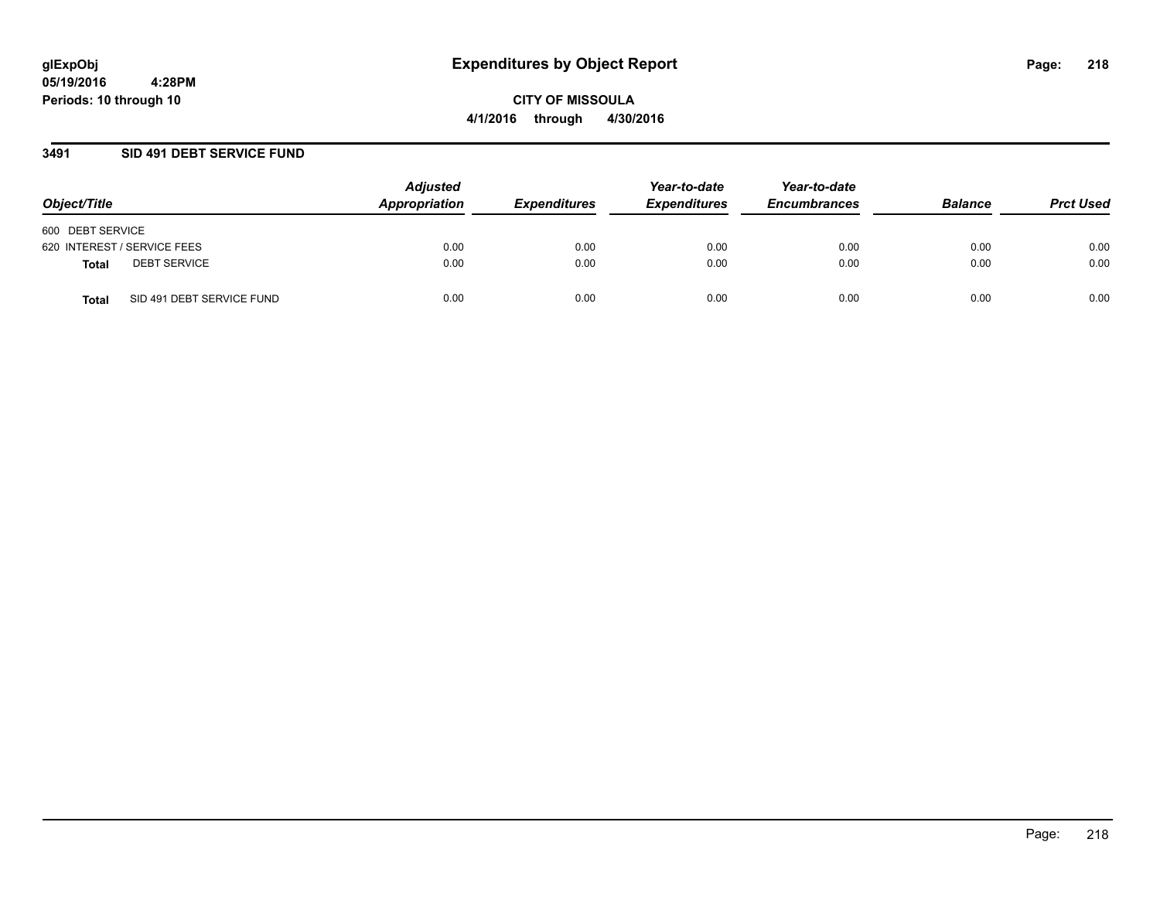#### **3491 SID 491 DEBT SERVICE FUND**

| Object/Title                              | <b>Adjusted</b><br>Appropriation | <b>Expenditures</b> | Year-to-date<br><b>Expenditures</b> | Year-to-date<br><b>Encumbrances</b> | <b>Balance</b> | <b>Prct Used</b> |
|-------------------------------------------|----------------------------------|---------------------|-------------------------------------|-------------------------------------|----------------|------------------|
| 600 DEBT SERVICE                          |                                  |                     |                                     |                                     |                |                  |
| 620 INTEREST / SERVICE FEES               | 0.00                             | 0.00                | 0.00                                | 0.00                                | 0.00           | 0.00             |
| <b>DEBT SERVICE</b><br>Total              | 0.00                             | 0.00                | 0.00                                | 0.00                                | 0.00           | 0.00             |
| SID 491 DEBT SERVICE FUND<br><b>Total</b> | 0.00                             | 0.00                | 0.00                                | 0.00                                | 0.00           | 0.00             |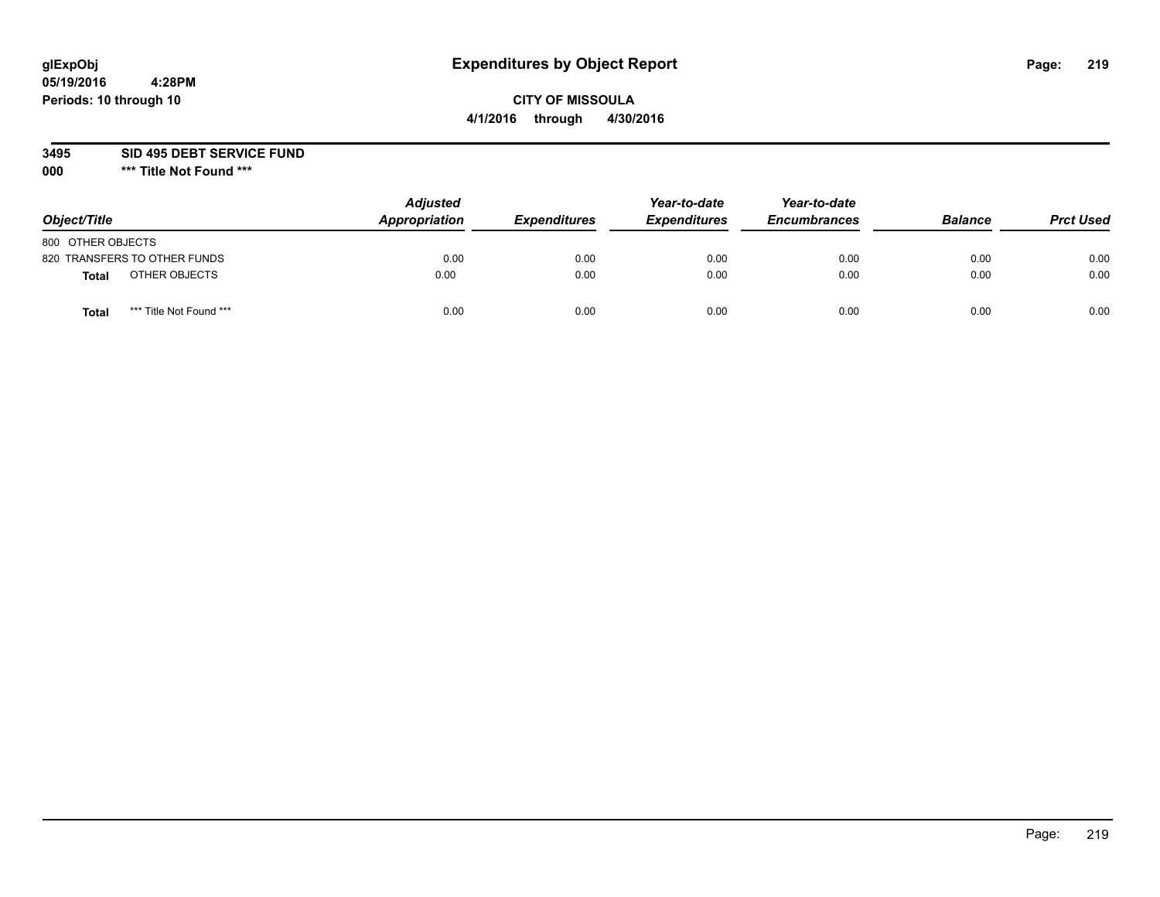## **CITY OF MISSOULA 4/1/2016 through 4/30/2016**

**3495 SID 495 DEBT SERVICE FUND**

| Object/Title                    | <b>Adjusted</b><br>Appropriation | <b>Expenditures</b> | Year-to-date<br><b>Expenditures</b> | Year-to-date<br><b>Encumbrances</b> | <b>Balance</b> | <b>Prct Used</b> |
|---------------------------------|----------------------------------|---------------------|-------------------------------------|-------------------------------------|----------------|------------------|
| 800 OTHER OBJECTS               |                                  |                     |                                     |                                     |                |                  |
| 820 TRANSFERS TO OTHER FUNDS    | 0.00                             | 0.00                | 0.00                                | 0.00                                | 0.00           | 0.00             |
| OTHER OBJECTS<br>Total          | 0.00                             | 0.00                | 0.00                                | 0.00                                | 0.00           | 0.00             |
| *** Title Not Found ***<br>Tota | 0.00                             | 0.00                | 0.00                                | 0.00                                | 0.00           | 0.00             |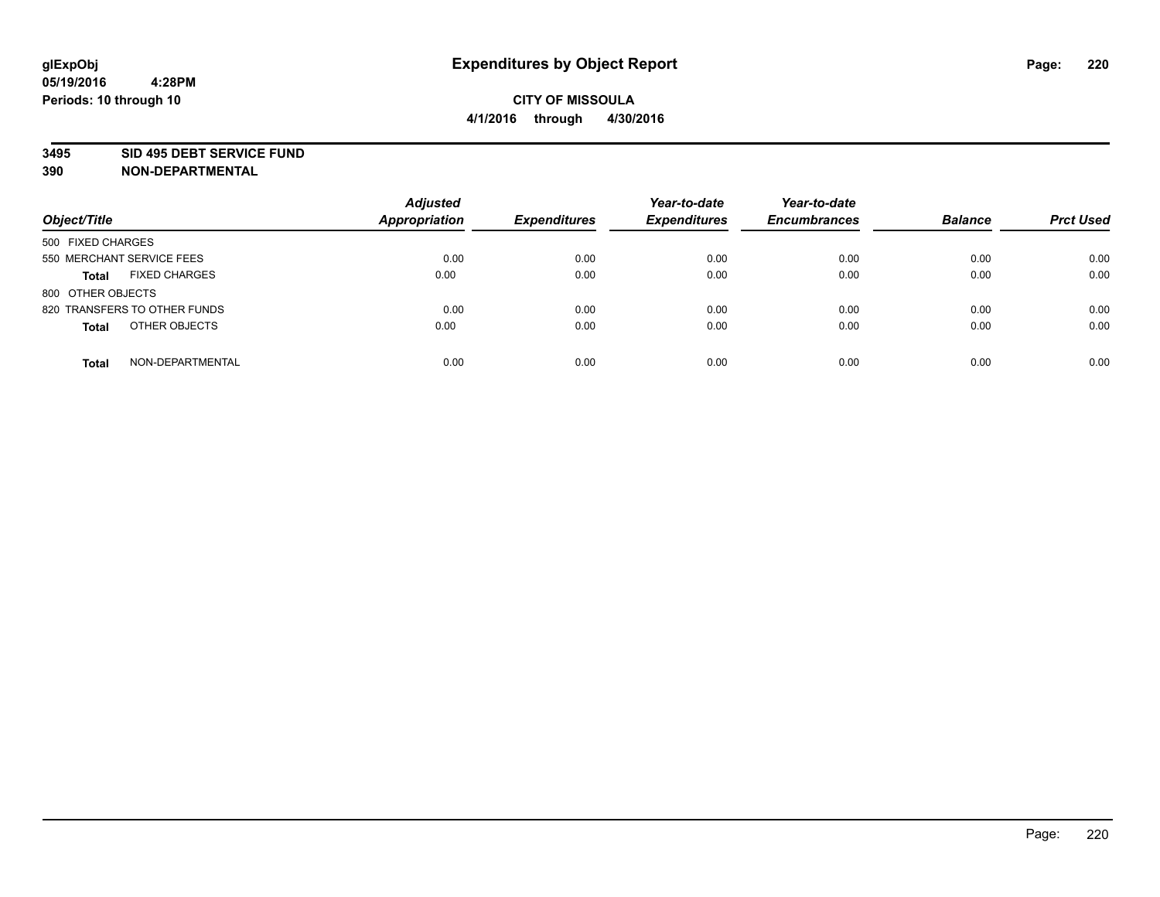#### **3495 SID 495 DEBT SERVICE FUND**

| Object/Title                         | <b>Adjusted</b><br><b>Appropriation</b> | <b>Expenditures</b> | Year-to-date<br><b>Expenditures</b> | Year-to-date<br><b>Encumbrances</b> | <b>Balance</b> | <b>Prct Used</b> |
|--------------------------------------|-----------------------------------------|---------------------|-------------------------------------|-------------------------------------|----------------|------------------|
| 500 FIXED CHARGES                    |                                         |                     |                                     |                                     |                |                  |
| 550 MERCHANT SERVICE FEES            | 0.00                                    | 0.00                | 0.00                                | 0.00                                | 0.00           | 0.00             |
| <b>FIXED CHARGES</b><br><b>Total</b> | 0.00                                    | 0.00                | 0.00                                | 0.00                                | 0.00           | 0.00             |
| 800 OTHER OBJECTS                    |                                         |                     |                                     |                                     |                |                  |
| 820 TRANSFERS TO OTHER FUNDS         | 0.00                                    | 0.00                | 0.00                                | 0.00                                | 0.00           | 0.00             |
| OTHER OBJECTS<br><b>Total</b>        | 0.00                                    | 0.00                | 0.00                                | 0.00                                | 0.00           | 0.00             |
| NON-DEPARTMENTAL<br><b>Total</b>     | 0.00                                    | 0.00                | 0.00                                | 0.00                                | 0.00           | 0.00             |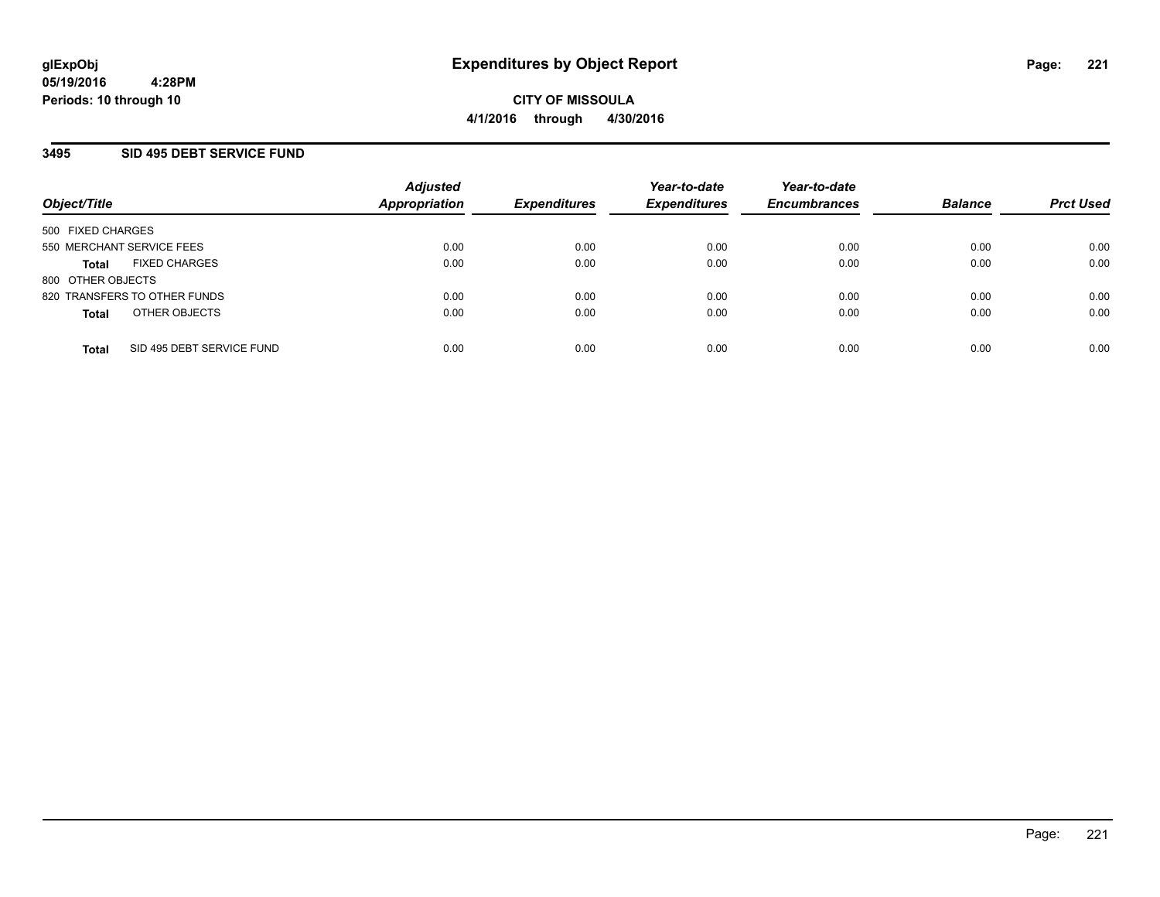### **3495 SID 495 DEBT SERVICE FUND**

| Object/Title                              | <b>Adjusted</b><br><b>Appropriation</b> | <b>Expenditures</b> | Year-to-date<br><b>Expenditures</b> | Year-to-date<br><b>Encumbrances</b> | <b>Balance</b> | <b>Prct Used</b> |
|-------------------------------------------|-----------------------------------------|---------------------|-------------------------------------|-------------------------------------|----------------|------------------|
| 500 FIXED CHARGES                         |                                         |                     |                                     |                                     |                |                  |
| 550 MERCHANT SERVICE FEES                 | 0.00                                    | 0.00                | 0.00                                | 0.00                                | 0.00           | 0.00             |
| <b>FIXED CHARGES</b><br><b>Total</b>      | 0.00                                    | 0.00                | 0.00                                | 0.00                                | 0.00           | 0.00             |
| 800 OTHER OBJECTS                         |                                         |                     |                                     |                                     |                |                  |
| 820 TRANSFERS TO OTHER FUNDS              | 0.00                                    | 0.00                | 0.00                                | 0.00                                | 0.00           | 0.00             |
| OTHER OBJECTS<br><b>Total</b>             | 0.00                                    | 0.00                | 0.00                                | 0.00                                | 0.00           | 0.00             |
| SID 495 DEBT SERVICE FUND<br><b>Total</b> | 0.00                                    | 0.00                | 0.00                                | 0.00                                | 0.00           | 0.00             |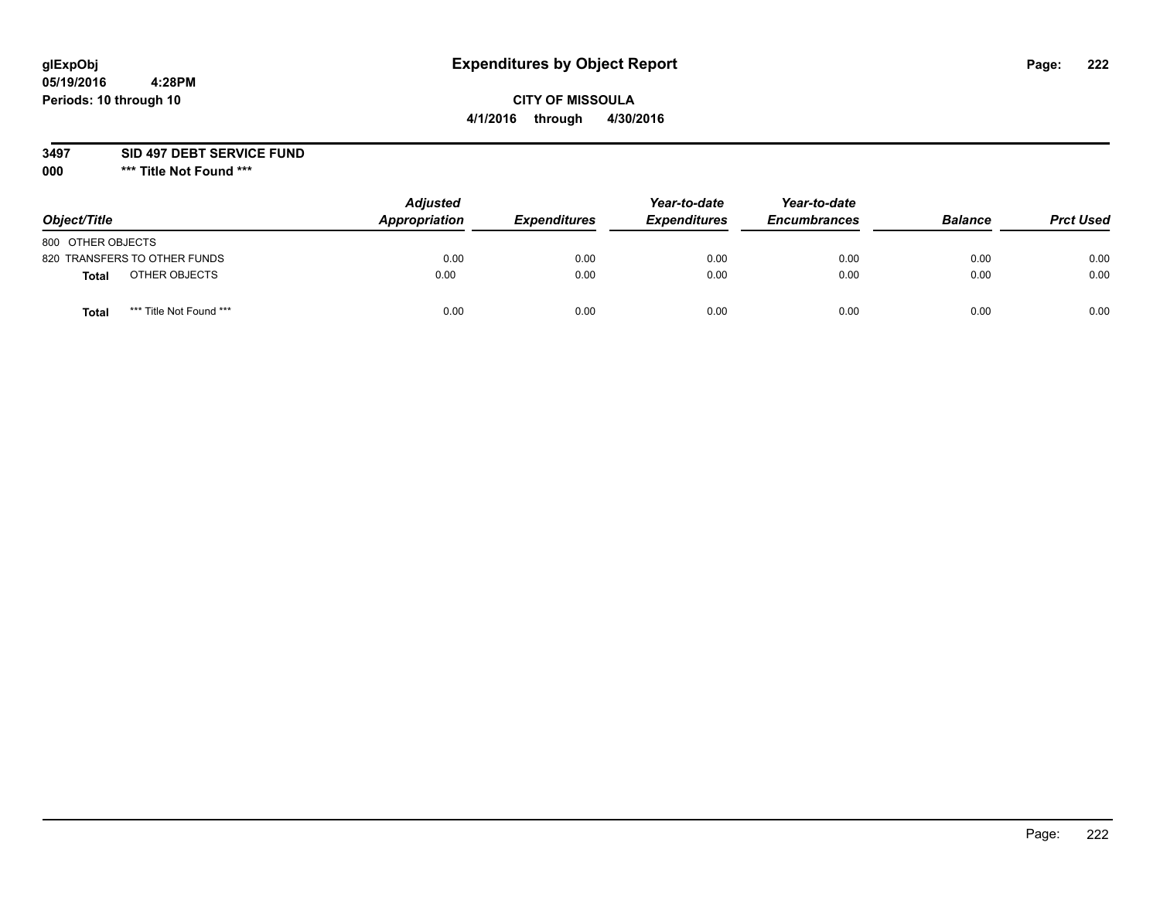## **CITY OF MISSOULA 4/1/2016 through 4/30/2016**

**3497 SID 497 DEBT SERVICE FUND**

| Object/Title                            | <b>Adjusted</b><br>Appropriation | <b>Expenditures</b> | Year-to-date<br><b>Expenditures</b> | Year-to-date<br><b>Encumbrances</b> | <b>Balance</b> | <b>Prct Used</b> |
|-----------------------------------------|----------------------------------|---------------------|-------------------------------------|-------------------------------------|----------------|------------------|
| 800 OTHER OBJECTS                       |                                  |                     |                                     |                                     |                |                  |
| 820 TRANSFERS TO OTHER FUNDS            | 0.00                             | 0.00                | 0.00                                | 0.00                                | 0.00           | 0.00             |
| OTHER OBJECTS<br>Total                  | 0.00                             | 0.00                | 0.00                                | 0.00                                | 0.00           | 0.00             |
| *** Title Not Found ***<br><b>Total</b> | 0.00                             | 0.00                | 0.00                                | 0.00                                | 0.00           | 0.00             |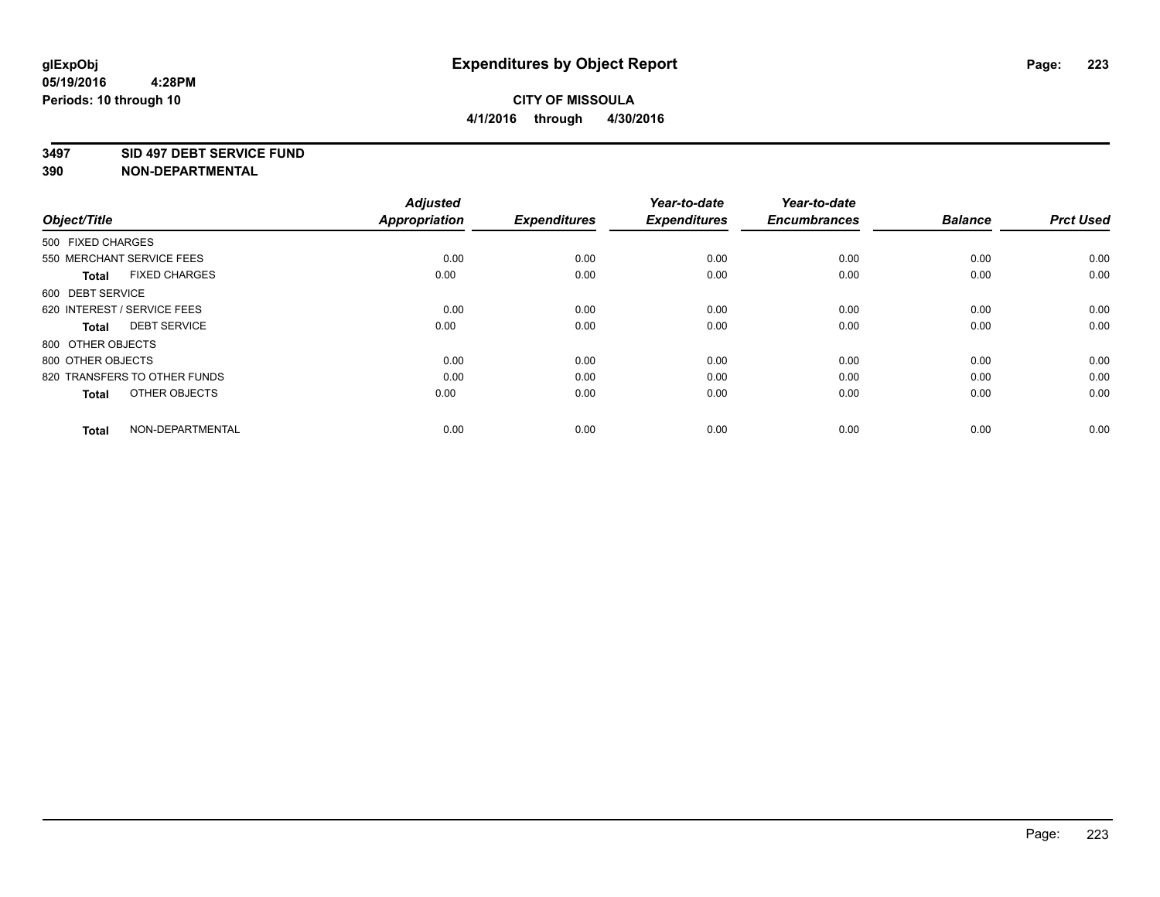#### **3497 SID 497 DEBT SERVICE FUND**

| Object/Title                         | <b>Adjusted</b><br><b>Appropriation</b> | <b>Expenditures</b> | Year-to-date<br><b>Expenditures</b> | Year-to-date<br><b>Encumbrances</b> | <b>Balance</b> | <b>Prct Used</b> |
|--------------------------------------|-----------------------------------------|---------------------|-------------------------------------|-------------------------------------|----------------|------------------|
| 500 FIXED CHARGES                    |                                         |                     |                                     |                                     |                |                  |
| 550 MERCHANT SERVICE FEES            | 0.00                                    | 0.00                | 0.00                                | 0.00                                | 0.00           | 0.00             |
| <b>FIXED CHARGES</b><br><b>Total</b> | 0.00                                    | 0.00                | 0.00                                | 0.00                                | 0.00           | 0.00             |
| 600 DEBT SERVICE                     |                                         |                     |                                     |                                     |                |                  |
| 620 INTEREST / SERVICE FEES          | 0.00                                    | 0.00                | 0.00                                | 0.00                                | 0.00           | 0.00             |
| <b>DEBT SERVICE</b><br><b>Total</b>  | 0.00                                    | 0.00                | 0.00                                | 0.00                                | 0.00           | 0.00             |
| 800 OTHER OBJECTS                    |                                         |                     |                                     |                                     |                |                  |
| 800 OTHER OBJECTS                    | 0.00                                    | 0.00                | 0.00                                | 0.00                                | 0.00           | 0.00             |
| 820 TRANSFERS TO OTHER FUNDS         | 0.00                                    | 0.00                | 0.00                                | 0.00                                | 0.00           | 0.00             |
| OTHER OBJECTS<br><b>Total</b>        | 0.00                                    | 0.00                | 0.00                                | 0.00                                | 0.00           | 0.00             |
|                                      |                                         |                     |                                     |                                     |                |                  |
| NON-DEPARTMENTAL<br><b>Total</b>     | 0.00                                    | 0.00                | 0.00                                | 0.00                                | 0.00           | 0.00             |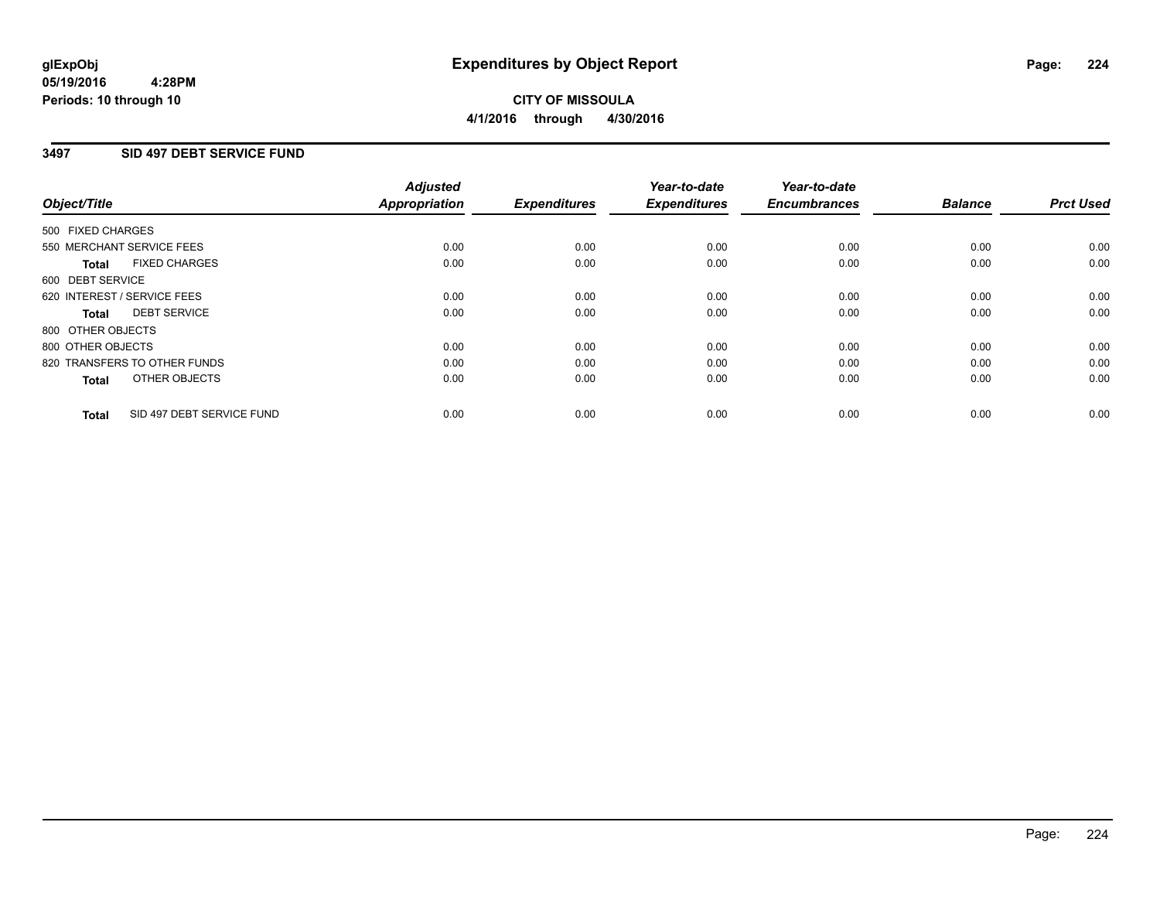#### **3497 SID 497 DEBT SERVICE FUND**

|                                           | <b>Adjusted</b>      | <b>Expenditures</b> | Year-to-date<br><b>Expenditures</b> | Year-to-date<br><b>Encumbrances</b> | <b>Balance</b> | <b>Prct Used</b> |
|-------------------------------------------|----------------------|---------------------|-------------------------------------|-------------------------------------|----------------|------------------|
| Object/Title                              | <b>Appropriation</b> |                     |                                     |                                     |                |                  |
| 500 FIXED CHARGES                         |                      |                     |                                     |                                     |                |                  |
| 550 MERCHANT SERVICE FEES                 | 0.00                 | 0.00                | 0.00                                | 0.00                                | 0.00           | 0.00             |
| <b>FIXED CHARGES</b><br>Total             | 0.00                 | 0.00                | 0.00                                | 0.00                                | 0.00           | 0.00             |
| 600 DEBT SERVICE                          |                      |                     |                                     |                                     |                |                  |
| 620 INTEREST / SERVICE FEES               | 0.00                 | 0.00                | 0.00                                | 0.00                                | 0.00           | 0.00             |
| <b>DEBT SERVICE</b><br>Total              | 0.00                 | 0.00                | 0.00                                | 0.00                                | 0.00           | 0.00             |
| 800 OTHER OBJECTS                         |                      |                     |                                     |                                     |                |                  |
| 800 OTHER OBJECTS                         | 0.00                 | 0.00                | 0.00                                | 0.00                                | 0.00           | 0.00             |
| 820 TRANSFERS TO OTHER FUNDS              | 0.00                 | 0.00                | 0.00                                | 0.00                                | 0.00           | 0.00             |
| OTHER OBJECTS<br><b>Total</b>             | 0.00                 | 0.00                | 0.00                                | 0.00                                | 0.00           | 0.00             |
|                                           |                      |                     |                                     |                                     |                |                  |
| SID 497 DEBT SERVICE FUND<br><b>Total</b> | 0.00                 | 0.00                | 0.00                                | 0.00                                | 0.00           | 0.00             |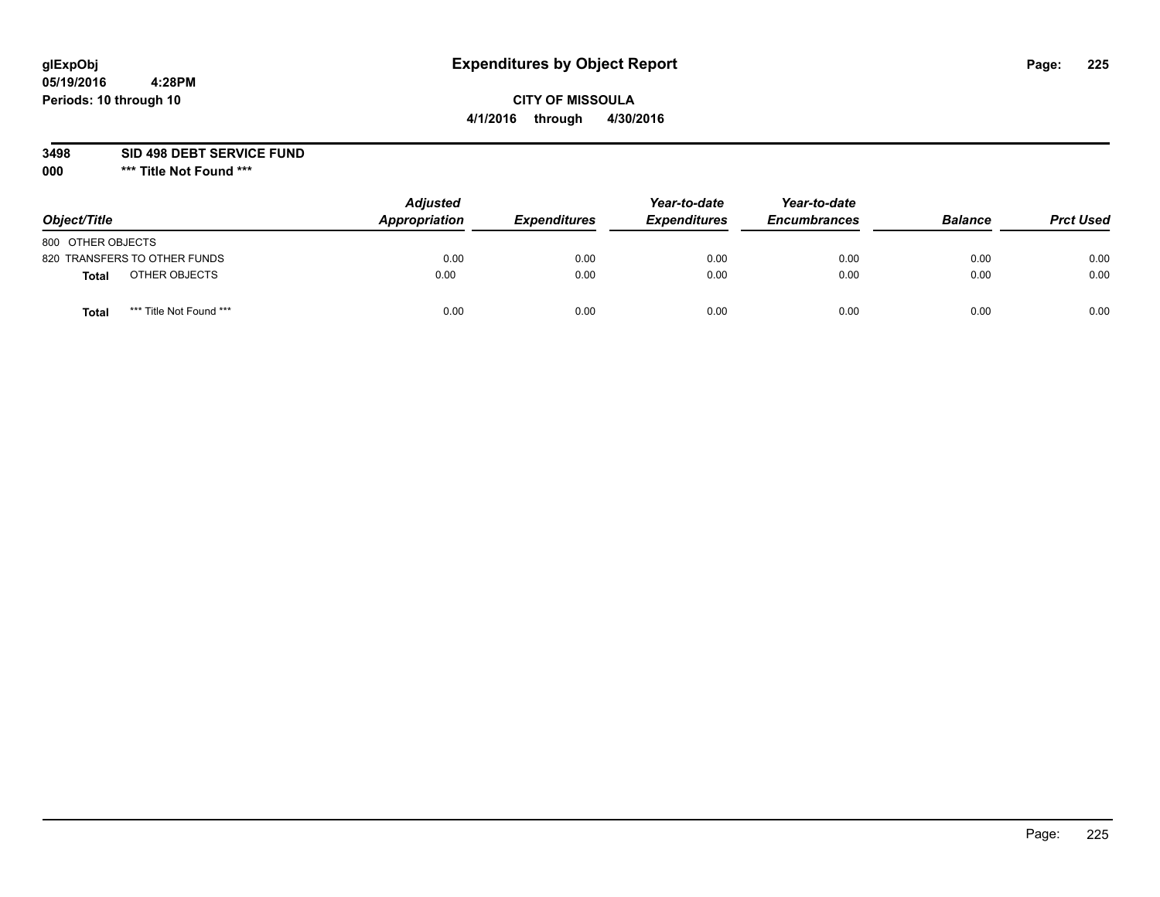## **CITY OF MISSOULA 4/1/2016 through 4/30/2016**

**3498 SID 498 DEBT SERVICE FUND**

| Object/Title                            | <b>Adjusted</b><br>Appropriation | <b>Expenditures</b> | Year-to-date<br><b>Expenditures</b> | Year-to-date<br><b>Encumbrances</b> | <b>Balance</b> | <b>Prct Used</b> |
|-----------------------------------------|----------------------------------|---------------------|-------------------------------------|-------------------------------------|----------------|------------------|
| 800 OTHER OBJECTS                       |                                  |                     |                                     |                                     |                |                  |
| 820 TRANSFERS TO OTHER FUNDS            | 0.00                             | 0.00                | 0.00                                | 0.00                                | 0.00           | 0.00             |
| OTHER OBJECTS<br>Total                  | 0.00                             | 0.00                | 0.00                                | 0.00                                | 0.00           | 0.00             |
| *** Title Not Found ***<br><b>Total</b> | 0.00                             | 0.00                | 0.00                                | 0.00                                | 0.00           | 0.00             |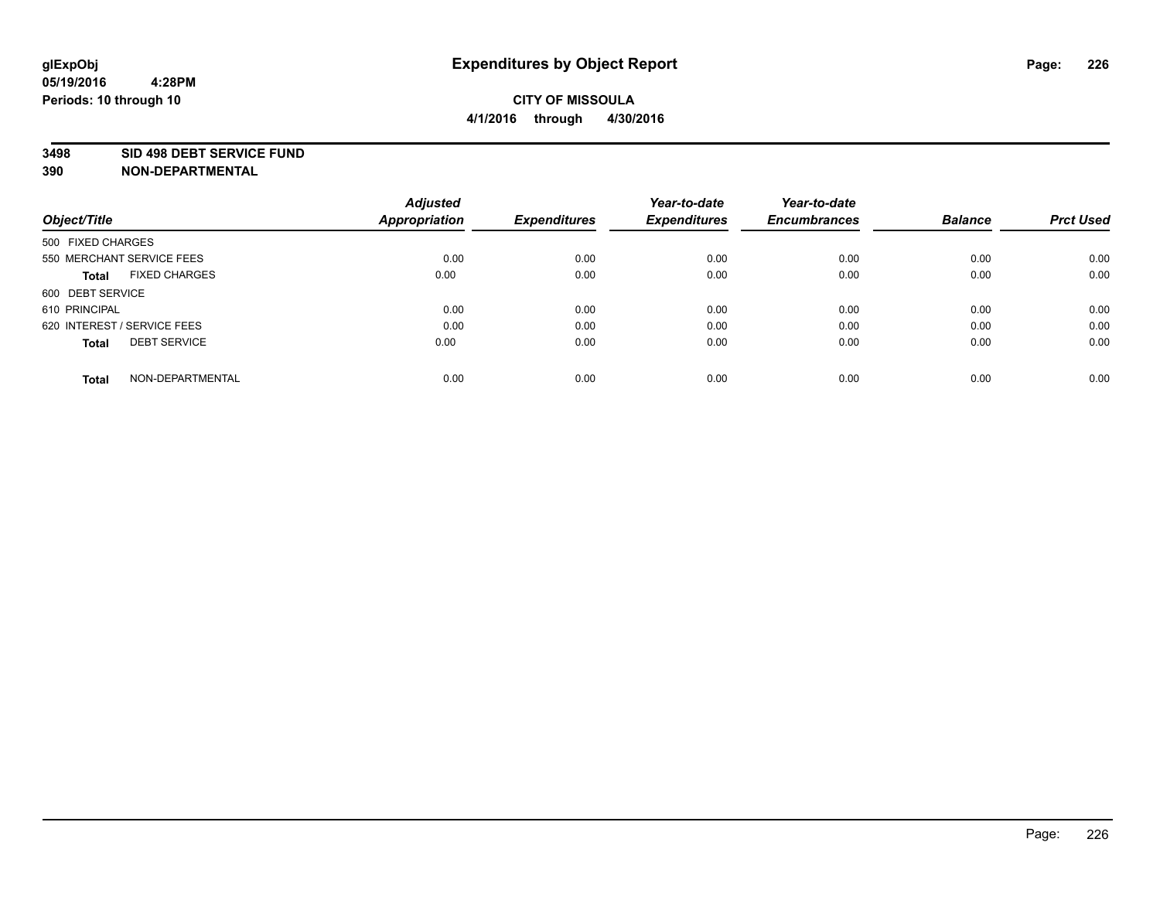#### **3498 SID 498 DEBT SERVICE FUND**

| Object/Title                         | <b>Adjusted</b><br><b>Appropriation</b> | <b>Expenditures</b> | Year-to-date<br><b>Expenditures</b> | Year-to-date<br><b>Encumbrances</b> | <b>Balance</b> | <b>Prct Used</b> |
|--------------------------------------|-----------------------------------------|---------------------|-------------------------------------|-------------------------------------|----------------|------------------|
|                                      |                                         |                     |                                     |                                     |                |                  |
| 500 FIXED CHARGES                    |                                         |                     |                                     |                                     |                |                  |
| 550 MERCHANT SERVICE FEES            | 0.00                                    | 0.00                | 0.00                                | 0.00                                | 0.00           | 0.00             |
| <b>FIXED CHARGES</b><br><b>Total</b> | 0.00                                    | 0.00                | 0.00                                | 0.00                                | 0.00           | 0.00             |
| 600 DEBT SERVICE                     |                                         |                     |                                     |                                     |                |                  |
| 610 PRINCIPAL                        | 0.00                                    | 0.00                | 0.00                                | 0.00                                | 0.00           | 0.00             |
| 620 INTEREST / SERVICE FEES          | 0.00                                    | 0.00                | 0.00                                | 0.00                                | 0.00           | 0.00             |
| <b>DEBT SERVICE</b><br><b>Total</b>  | 0.00                                    | 0.00                | 0.00                                | 0.00                                | 0.00           | 0.00             |
|                                      |                                         |                     |                                     |                                     |                |                  |
| NON-DEPARTMENTAL<br><b>Total</b>     | 0.00                                    | 0.00                | 0.00                                | 0.00                                | 0.00           | 0.00             |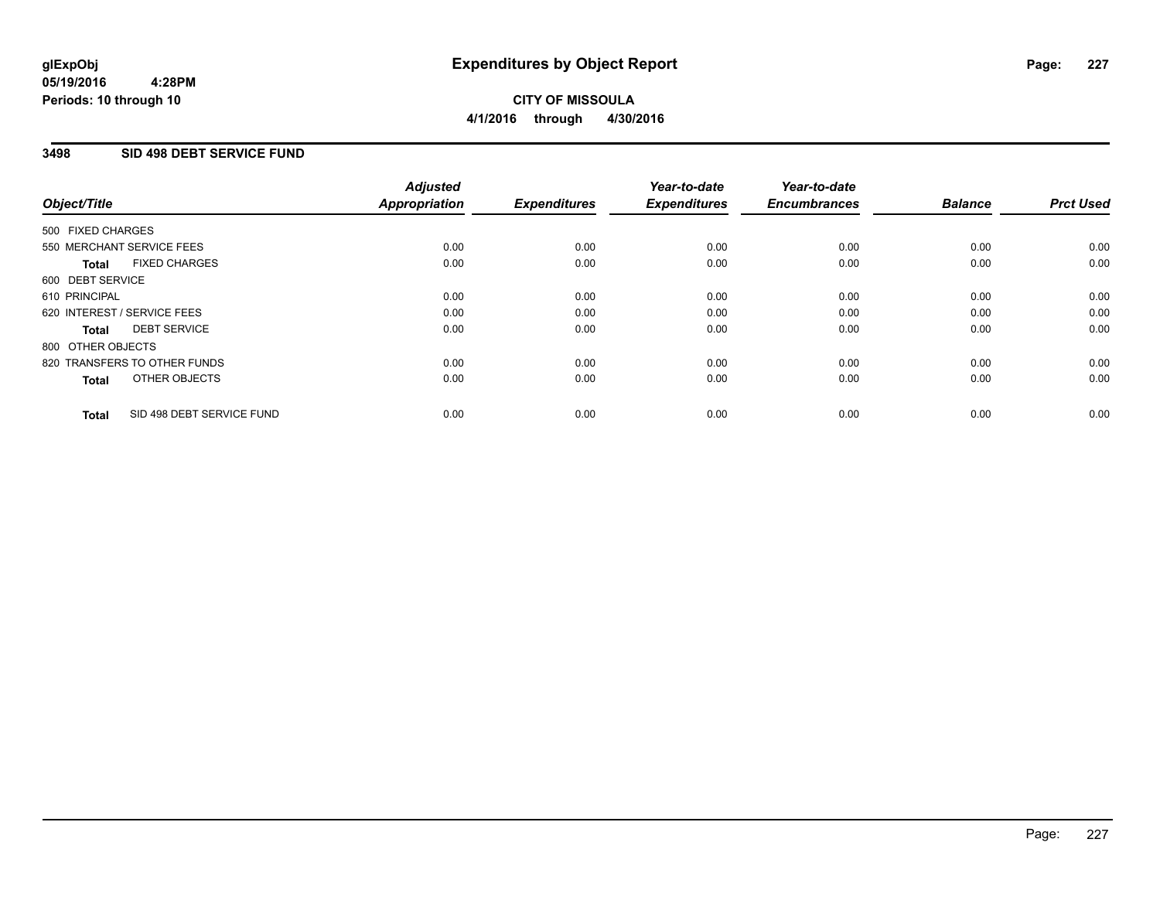#### **3498 SID 498 DEBT SERVICE FUND**

| Object/Title                              | <b>Adjusted</b><br><b>Appropriation</b> | <b>Expenditures</b> | Year-to-date<br><b>Expenditures</b> | Year-to-date<br><b>Encumbrances</b> | <b>Balance</b> | <b>Prct Used</b> |
|-------------------------------------------|-----------------------------------------|---------------------|-------------------------------------|-------------------------------------|----------------|------------------|
|                                           |                                         |                     |                                     |                                     |                |                  |
| 500 FIXED CHARGES                         |                                         |                     |                                     |                                     |                |                  |
| 550 MERCHANT SERVICE FEES                 | 0.00                                    | 0.00                | 0.00                                | 0.00                                | 0.00           | 0.00             |
| <b>FIXED CHARGES</b><br>Total             | 0.00                                    | 0.00                | 0.00                                | 0.00                                | 0.00           | 0.00             |
| 600 DEBT SERVICE                          |                                         |                     |                                     |                                     |                |                  |
| 610 PRINCIPAL                             | 0.00                                    | 0.00                | 0.00                                | 0.00                                | 0.00           | 0.00             |
| 620 INTEREST / SERVICE FEES               | 0.00                                    | 0.00                | 0.00                                | 0.00                                | 0.00           | 0.00             |
| <b>DEBT SERVICE</b><br><b>Total</b>       | 0.00                                    | 0.00                | 0.00                                | 0.00                                | 0.00           | 0.00             |
| 800 OTHER OBJECTS                         |                                         |                     |                                     |                                     |                |                  |
| 820 TRANSFERS TO OTHER FUNDS              | 0.00                                    | 0.00                | 0.00                                | 0.00                                | 0.00           | 0.00             |
| OTHER OBJECTS<br><b>Total</b>             | 0.00                                    | 0.00                | 0.00                                | 0.00                                | 0.00           | 0.00             |
|                                           |                                         |                     |                                     |                                     |                |                  |
| SID 498 DEBT SERVICE FUND<br><b>Total</b> | 0.00                                    | 0.00                | 0.00                                | 0.00                                | 0.00           | 0.00             |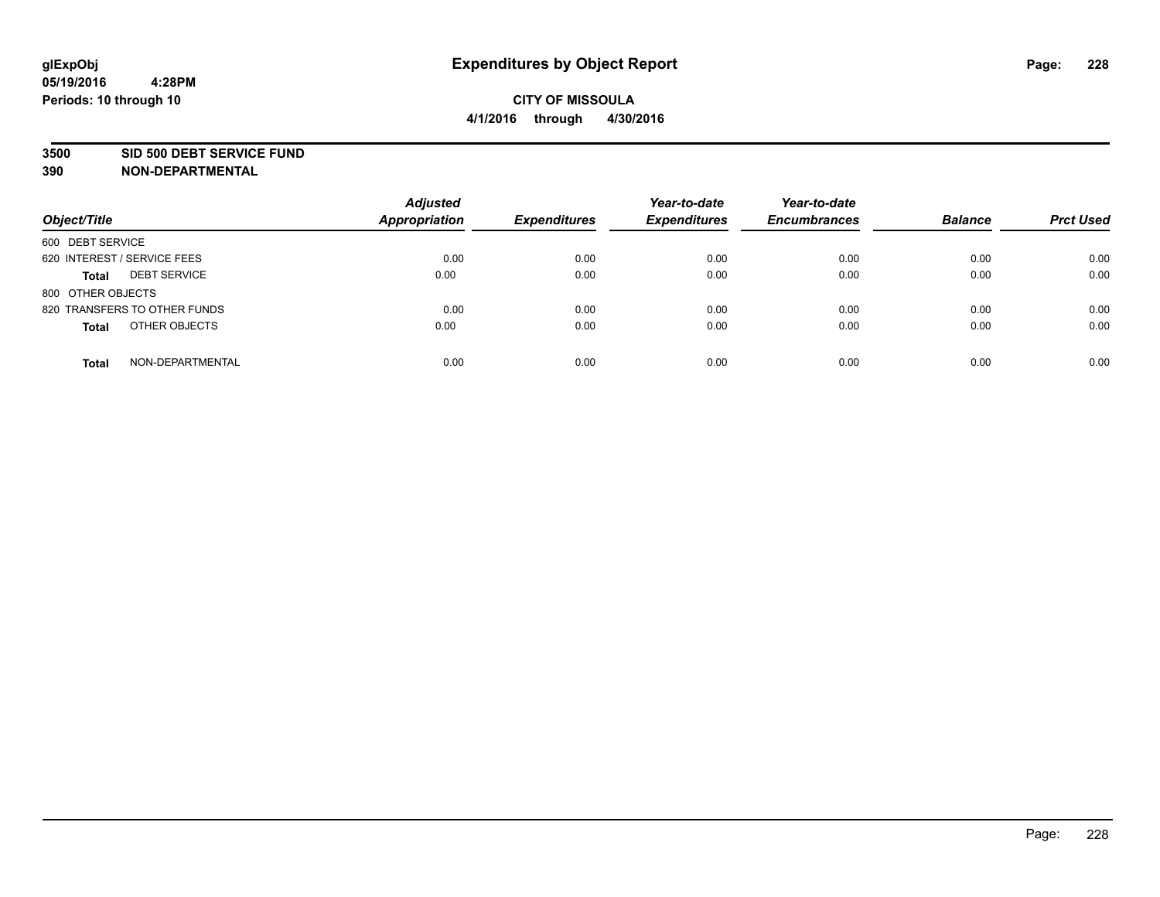#### **3500 SID 500 DEBT SERVICE FUND**

| Object/Title                        | <b>Adjusted</b><br><b>Appropriation</b> | <b>Expenditures</b> | Year-to-date<br><b>Expenditures</b> | Year-to-date<br><b>Encumbrances</b> | <b>Balance</b> | <b>Prct Used</b> |
|-------------------------------------|-----------------------------------------|---------------------|-------------------------------------|-------------------------------------|----------------|------------------|
| 600 DEBT SERVICE                    |                                         |                     |                                     |                                     |                |                  |
| 620 INTEREST / SERVICE FEES         | 0.00                                    | 0.00                | 0.00                                | 0.00                                | 0.00           | 0.00             |
| <b>DEBT SERVICE</b><br><b>Total</b> | 0.00                                    | 0.00                | 0.00                                | 0.00                                | 0.00           | 0.00             |
| 800 OTHER OBJECTS                   |                                         |                     |                                     |                                     |                |                  |
| 820 TRANSFERS TO OTHER FUNDS        | 0.00                                    | 0.00                | 0.00                                | 0.00                                | 0.00           | 0.00             |
| OTHER OBJECTS<br><b>Total</b>       | 0.00                                    | 0.00                | 0.00                                | 0.00                                | 0.00           | 0.00             |
| NON-DEPARTMENTAL<br><b>Total</b>    | 0.00                                    | 0.00                | 0.00                                | 0.00                                | 0.00           | 0.00             |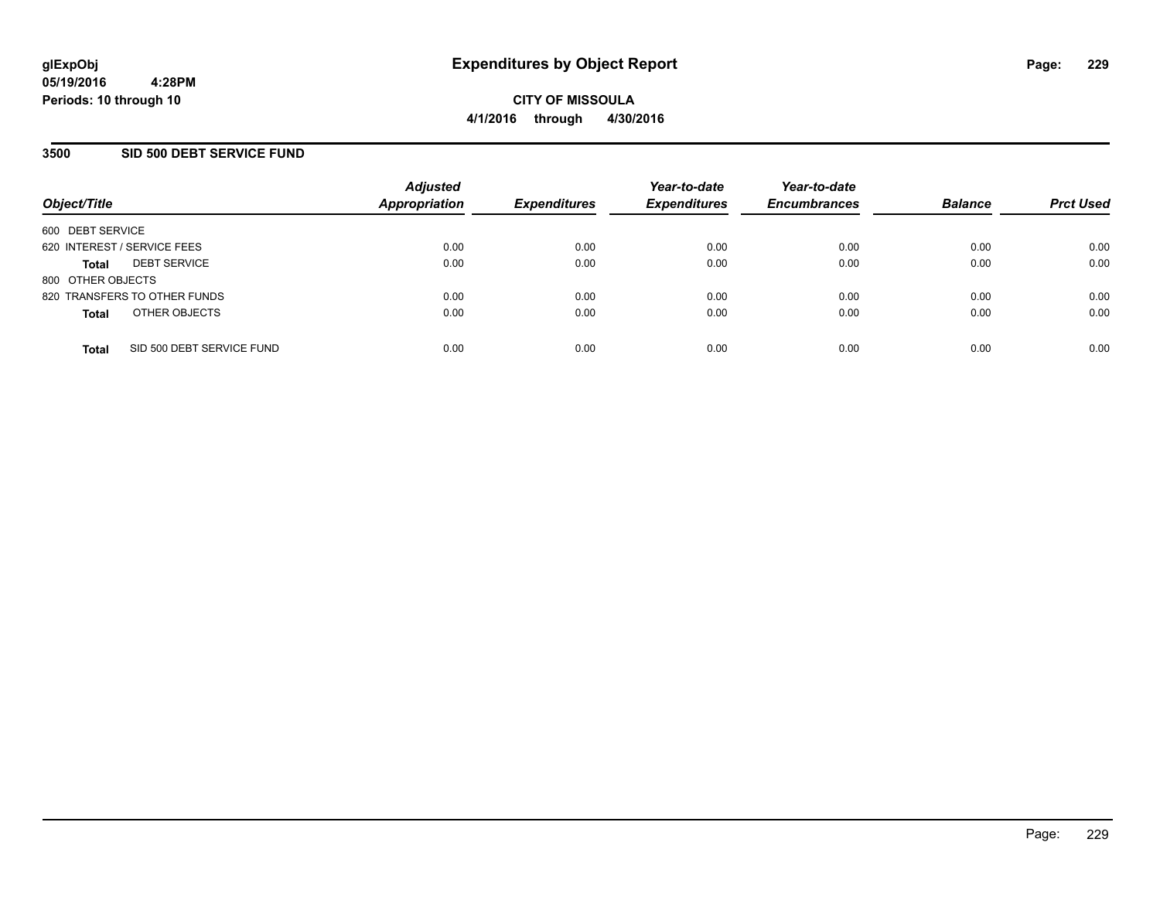#### **3500 SID 500 DEBT SERVICE FUND**

| Object/Title                |                              | <b>Adjusted</b><br><b>Appropriation</b> | <b>Expenditures</b> | Year-to-date<br><b>Expenditures</b> | Year-to-date<br><b>Encumbrances</b> | <b>Balance</b> | <b>Prct Used</b> |
|-----------------------------|------------------------------|-----------------------------------------|---------------------|-------------------------------------|-------------------------------------|----------------|------------------|
| 600 DEBT SERVICE            |                              |                                         |                     |                                     |                                     |                |                  |
| 620 INTEREST / SERVICE FEES |                              | 0.00                                    | 0.00                | 0.00                                | 0.00                                | 0.00           | 0.00             |
| <b>Total</b>                | <b>DEBT SERVICE</b>          | 0.00                                    | 0.00                | 0.00                                | 0.00                                | 0.00           | 0.00             |
| 800 OTHER OBJECTS           |                              |                                         |                     |                                     |                                     |                |                  |
|                             | 820 TRANSFERS TO OTHER FUNDS | 0.00                                    | 0.00                | 0.00                                | 0.00                                | 0.00           | 0.00             |
| <b>Total</b>                | OTHER OBJECTS                | 0.00                                    | 0.00                | 0.00                                | 0.00                                | 0.00           | 0.00             |
| <b>Total</b>                | SID 500 DEBT SERVICE FUND    | 0.00                                    | 0.00                | 0.00                                | 0.00                                | 0.00           | 0.00             |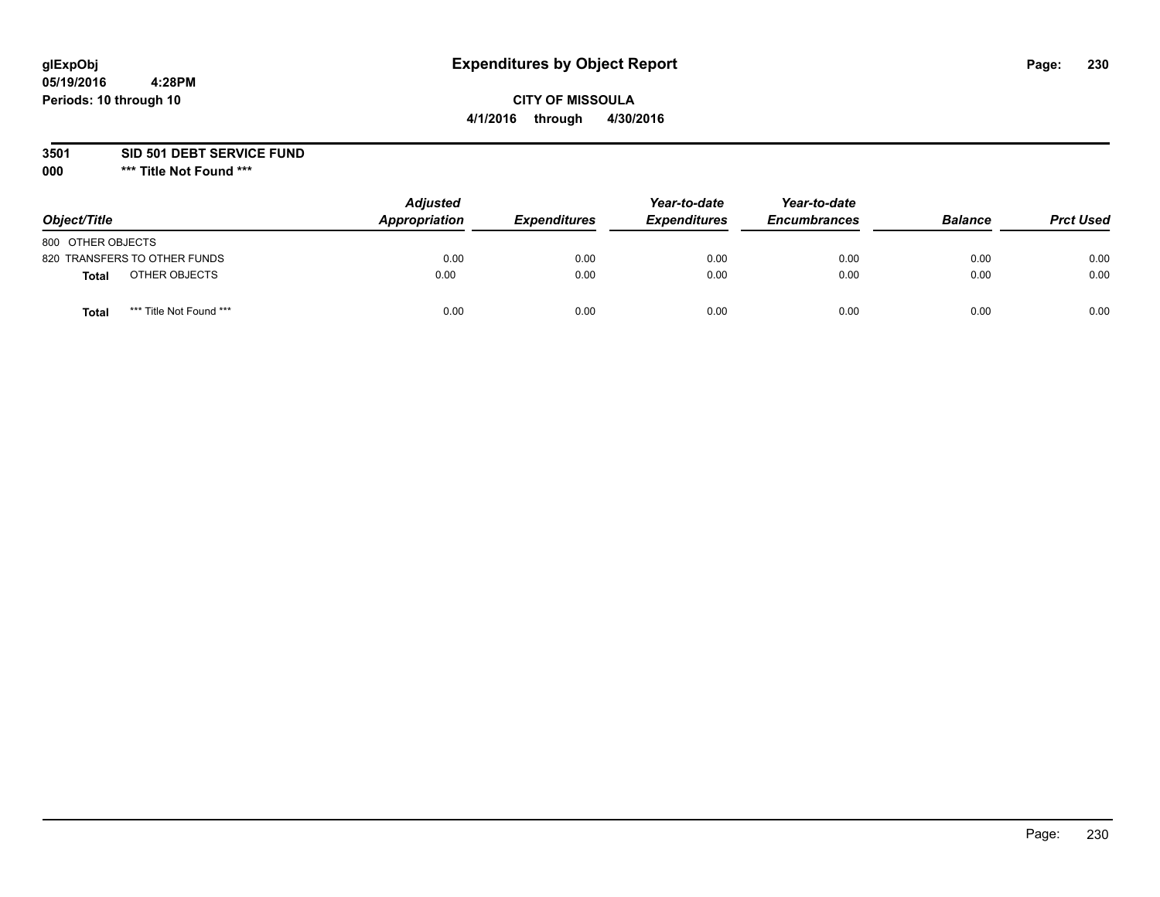## **CITY OF MISSOULA 4/1/2016 through 4/30/2016**

**3501 SID 501 DEBT SERVICE FUND**

| Object/Title                     | <b>Adjusted</b><br>Appropriation | <b>Expenditures</b> | Year-to-date<br><b>Expenditures</b> | Year-to-date<br><b>Encumbrances</b> | <b>Balance</b> | <b>Prct Used</b> |
|----------------------------------|----------------------------------|---------------------|-------------------------------------|-------------------------------------|----------------|------------------|
| 800 OTHER OBJECTS                |                                  |                     |                                     |                                     |                |                  |
| 820 TRANSFERS TO OTHER FUNDS     | 0.00                             | 0.00                | 0.00                                | 0.00                                | 0.00           | 0.00             |
| OTHER OBJECTS<br><b>Total</b>    | 0.00                             | 0.00                | 0.00                                | 0.00                                | 0.00           | 0.00             |
| *** Title Not Found ***<br>Total | 0.00                             | 0.00                | 0.00                                | 0.00                                | 0.00           | 0.00             |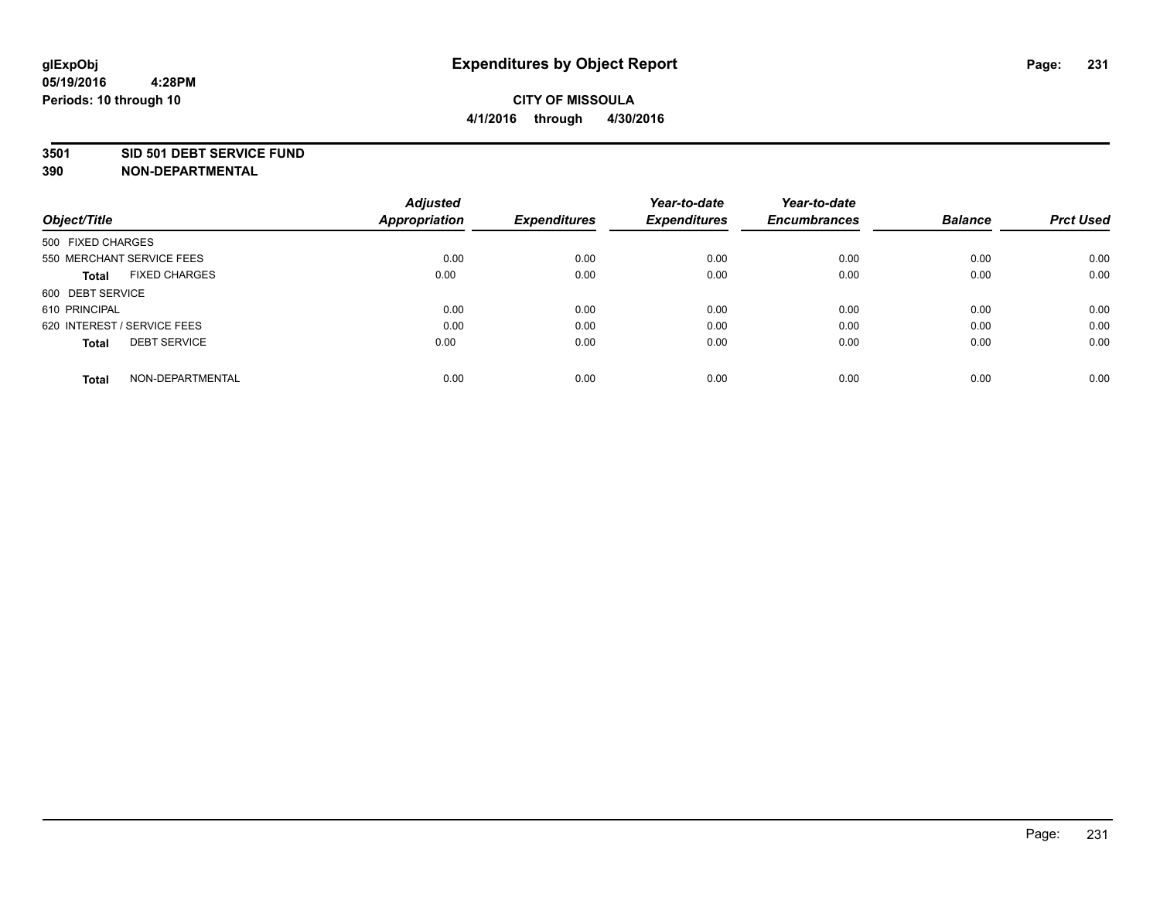#### **3501 SID 501 DEBT SERVICE FUND**

| Object/Title                         | <b>Adjusted</b><br><b>Appropriation</b> | <b>Expenditures</b> | Year-to-date<br><b>Expenditures</b> | Year-to-date<br><b>Encumbrances</b> | <b>Balance</b> | <b>Prct Used</b> |
|--------------------------------------|-----------------------------------------|---------------------|-------------------------------------|-------------------------------------|----------------|------------------|
|                                      |                                         |                     |                                     |                                     |                |                  |
| 500 FIXED CHARGES                    |                                         |                     |                                     |                                     |                |                  |
| 550 MERCHANT SERVICE FEES            | 0.00                                    | 0.00                | 0.00                                | 0.00                                | 0.00           | 0.00             |
| <b>FIXED CHARGES</b><br><b>Total</b> | 0.00                                    | 0.00                | 0.00                                | 0.00                                | 0.00           | 0.00             |
| 600 DEBT SERVICE                     |                                         |                     |                                     |                                     |                |                  |
| 610 PRINCIPAL                        | 0.00                                    | 0.00                | 0.00                                | 0.00                                | 0.00           | 0.00             |
| 620 INTEREST / SERVICE FEES          | 0.00                                    | 0.00                | 0.00                                | 0.00                                | 0.00           | 0.00             |
| <b>DEBT SERVICE</b><br><b>Total</b>  | 0.00                                    | 0.00                | 0.00                                | 0.00                                | 0.00           | 0.00             |
| NON-DEPARTMENTAL<br><b>Total</b>     | 0.00                                    | 0.00                | 0.00                                | 0.00                                | 0.00           | 0.00             |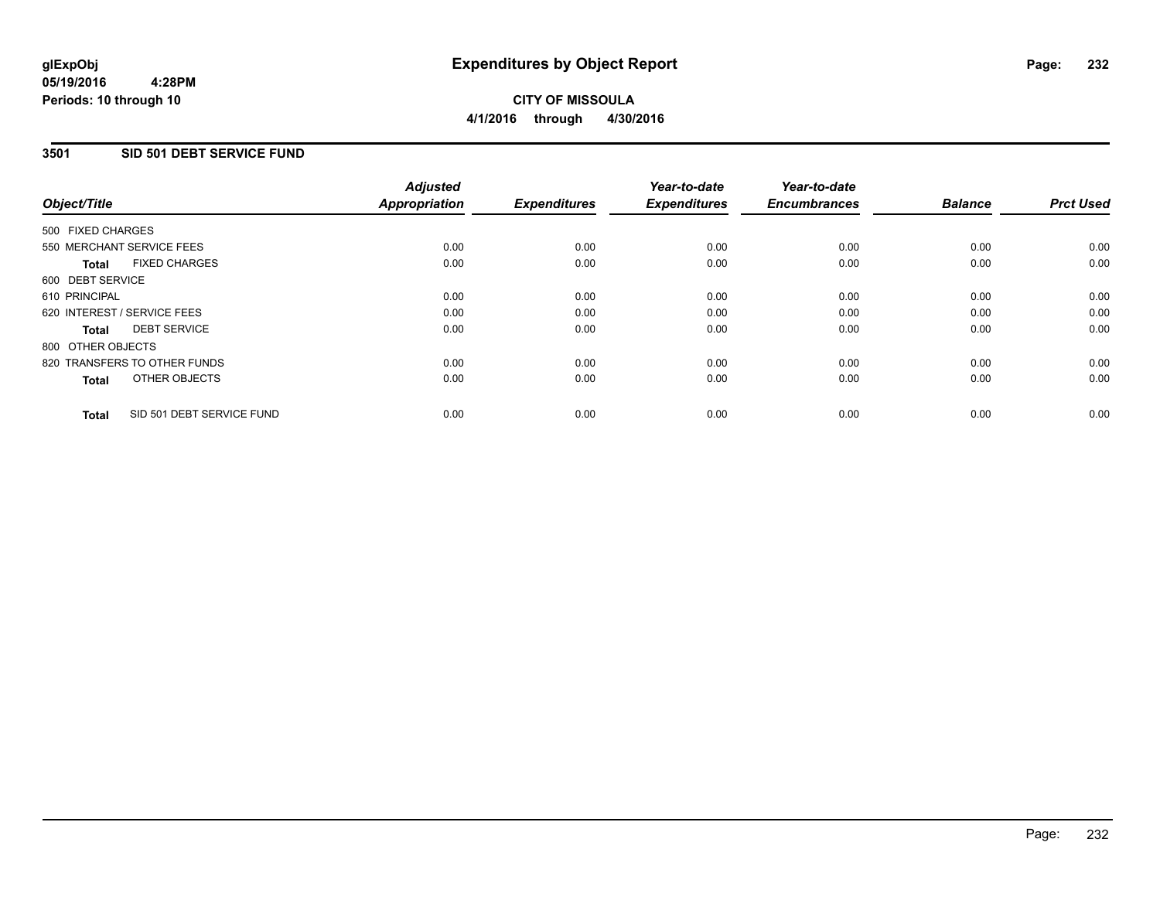#### **3501 SID 501 DEBT SERVICE FUND**

| Object/Title                              | <b>Adjusted</b><br><b>Appropriation</b> | <b>Expenditures</b> | Year-to-date<br><b>Expenditures</b> | Year-to-date<br><b>Encumbrances</b> | <b>Balance</b> | <b>Prct Used</b> |
|-------------------------------------------|-----------------------------------------|---------------------|-------------------------------------|-------------------------------------|----------------|------------------|
|                                           |                                         |                     |                                     |                                     |                |                  |
| 500 FIXED CHARGES                         |                                         |                     |                                     |                                     |                |                  |
| 550 MERCHANT SERVICE FEES                 | 0.00                                    | 0.00                | 0.00                                | 0.00                                | 0.00           | 0.00             |
| <b>FIXED CHARGES</b><br>Total             | 0.00                                    | 0.00                | 0.00                                | 0.00                                | 0.00           | 0.00             |
| 600 DEBT SERVICE                          |                                         |                     |                                     |                                     |                |                  |
| 610 PRINCIPAL                             | 0.00                                    | 0.00                | 0.00                                | 0.00                                | 0.00           | 0.00             |
| 620 INTEREST / SERVICE FEES               | 0.00                                    | 0.00                | 0.00                                | 0.00                                | 0.00           | 0.00             |
| <b>DEBT SERVICE</b><br><b>Total</b>       | 0.00                                    | 0.00                | 0.00                                | 0.00                                | 0.00           | 0.00             |
| 800 OTHER OBJECTS                         |                                         |                     |                                     |                                     |                |                  |
| 820 TRANSFERS TO OTHER FUNDS              | 0.00                                    | 0.00                | 0.00                                | 0.00                                | 0.00           | 0.00             |
| OTHER OBJECTS<br><b>Total</b>             | 0.00                                    | 0.00                | 0.00                                | 0.00                                | 0.00           | 0.00             |
|                                           |                                         |                     |                                     |                                     |                |                  |
| SID 501 DEBT SERVICE FUND<br><b>Total</b> | 0.00                                    | 0.00                | 0.00                                | 0.00                                | 0.00           | 0.00             |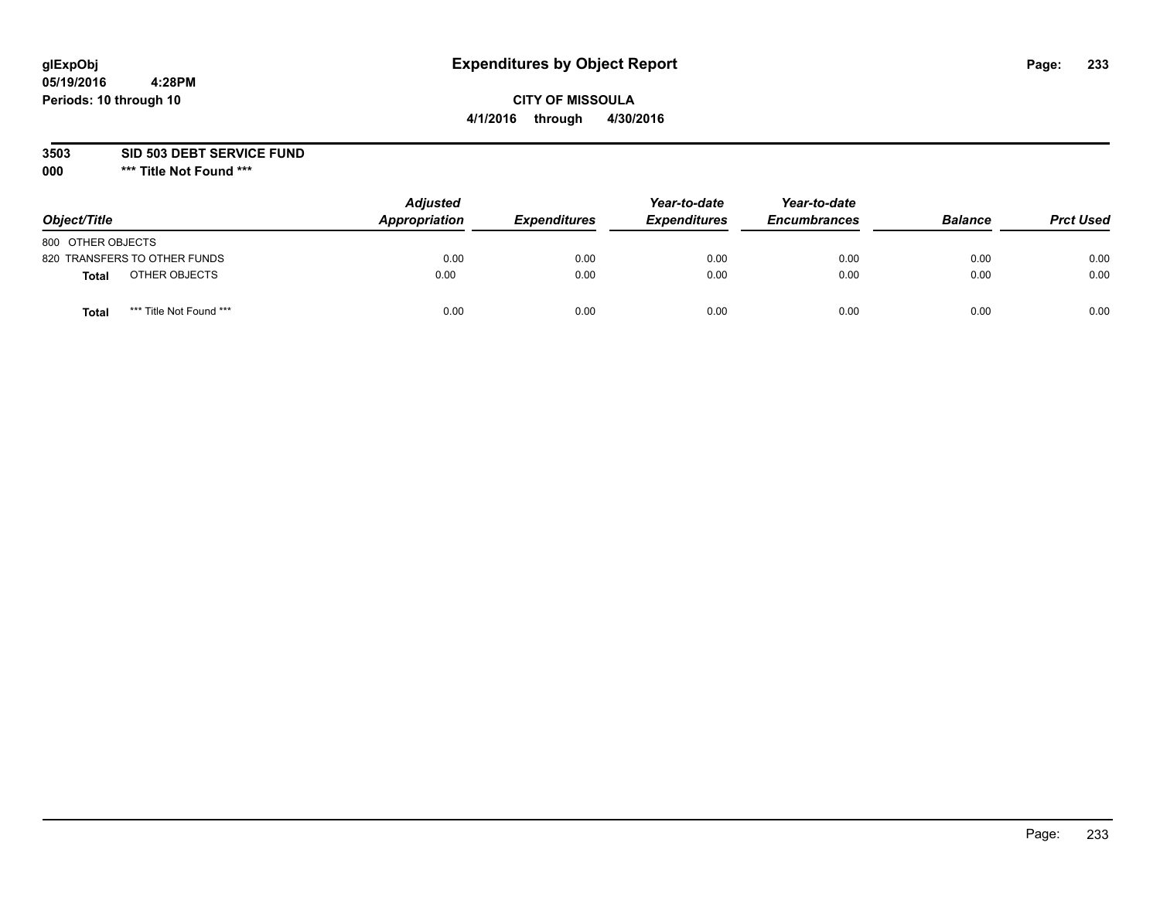## **CITY OF MISSOULA 4/1/2016 through 4/30/2016**

**3503 SID 503 DEBT SERVICE FUND**

| Object/Title                            | <b>Adjusted</b><br>Appropriation | <b>Expenditures</b> | Year-to-date<br><b>Expenditures</b> | Year-to-date<br><b>Encumbrances</b> | <b>Balance</b> | <b>Prct Used</b> |
|-----------------------------------------|----------------------------------|---------------------|-------------------------------------|-------------------------------------|----------------|------------------|
| 800 OTHER OBJECTS                       |                                  |                     |                                     |                                     |                |                  |
| 820 TRANSFERS TO OTHER FUNDS            | 0.00                             | 0.00                | 0.00                                | 0.00                                | 0.00           | 0.00             |
| OTHER OBJECTS<br><b>Total</b>           | 0.00                             | 0.00                | 0.00                                | 0.00                                | 0.00           | 0.00             |
| *** Title Not Found ***<br><b>Total</b> | 0.00                             | 0.00                | 0.00                                | 0.00                                | 0.00           | 0.00             |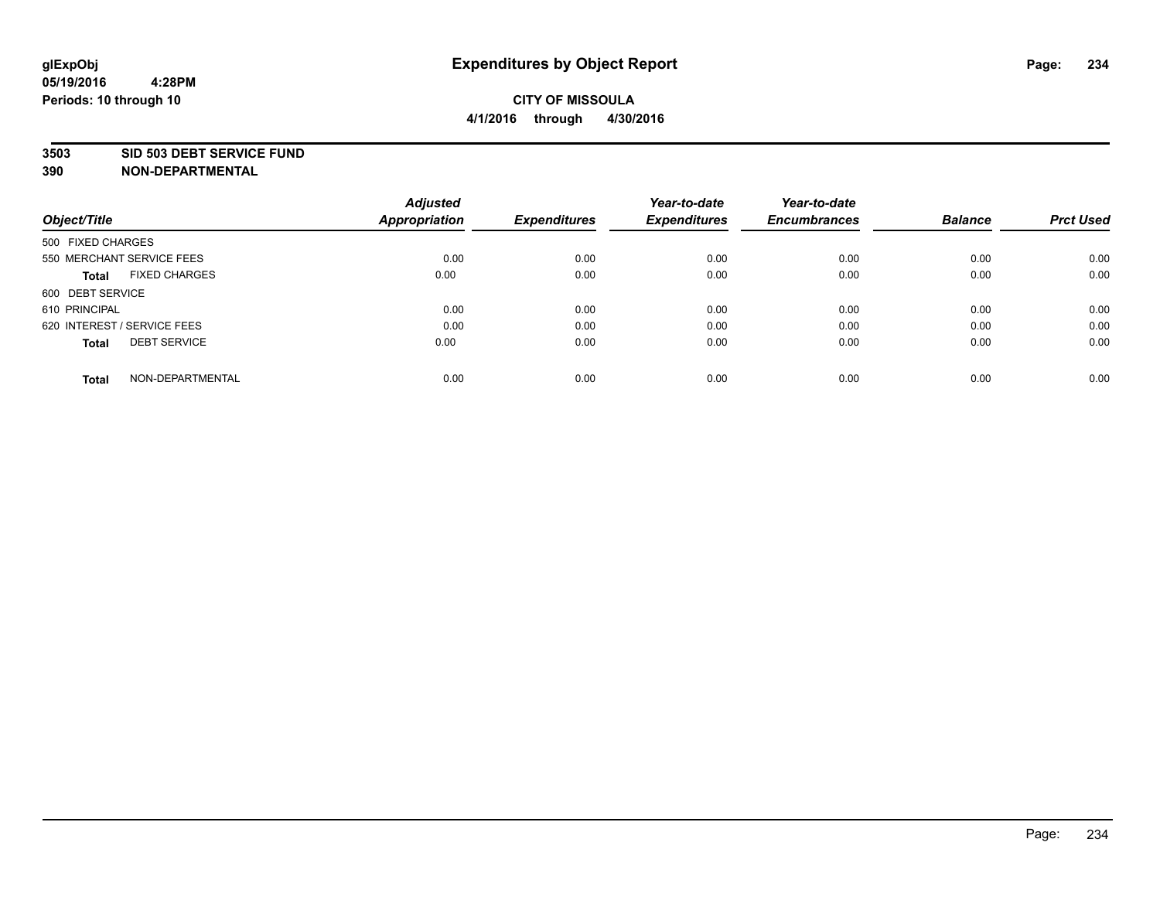#### **3503 SID 503 DEBT SERVICE FUND**

| Object/Title                         | <b>Adjusted</b><br><b>Appropriation</b> | <b>Expenditures</b> | Year-to-date<br><b>Expenditures</b> | Year-to-date<br><b>Encumbrances</b> | <b>Balance</b> | <b>Prct Used</b> |
|--------------------------------------|-----------------------------------------|---------------------|-------------------------------------|-------------------------------------|----------------|------------------|
|                                      |                                         |                     |                                     |                                     |                |                  |
| 500 FIXED CHARGES                    |                                         |                     |                                     |                                     |                |                  |
| 550 MERCHANT SERVICE FEES            | 0.00                                    | 0.00                | 0.00                                | 0.00                                | 0.00           | 0.00             |
| <b>FIXED CHARGES</b><br><b>Total</b> | 0.00                                    | 0.00                | 0.00                                | 0.00                                | 0.00           | 0.00             |
| 600 DEBT SERVICE                     |                                         |                     |                                     |                                     |                |                  |
| 610 PRINCIPAL                        | 0.00                                    | 0.00                | 0.00                                | 0.00                                | 0.00           | 0.00             |
| 620 INTEREST / SERVICE FEES          | 0.00                                    | 0.00                | 0.00                                | 0.00                                | 0.00           | 0.00             |
| <b>DEBT SERVICE</b><br><b>Total</b>  | 0.00                                    | 0.00                | 0.00                                | 0.00                                | 0.00           | 0.00             |
|                                      |                                         |                     |                                     |                                     |                |                  |
| NON-DEPARTMENTAL<br><b>Total</b>     | 0.00                                    | 0.00                | 0.00                                | 0.00                                | 0.00           | 0.00             |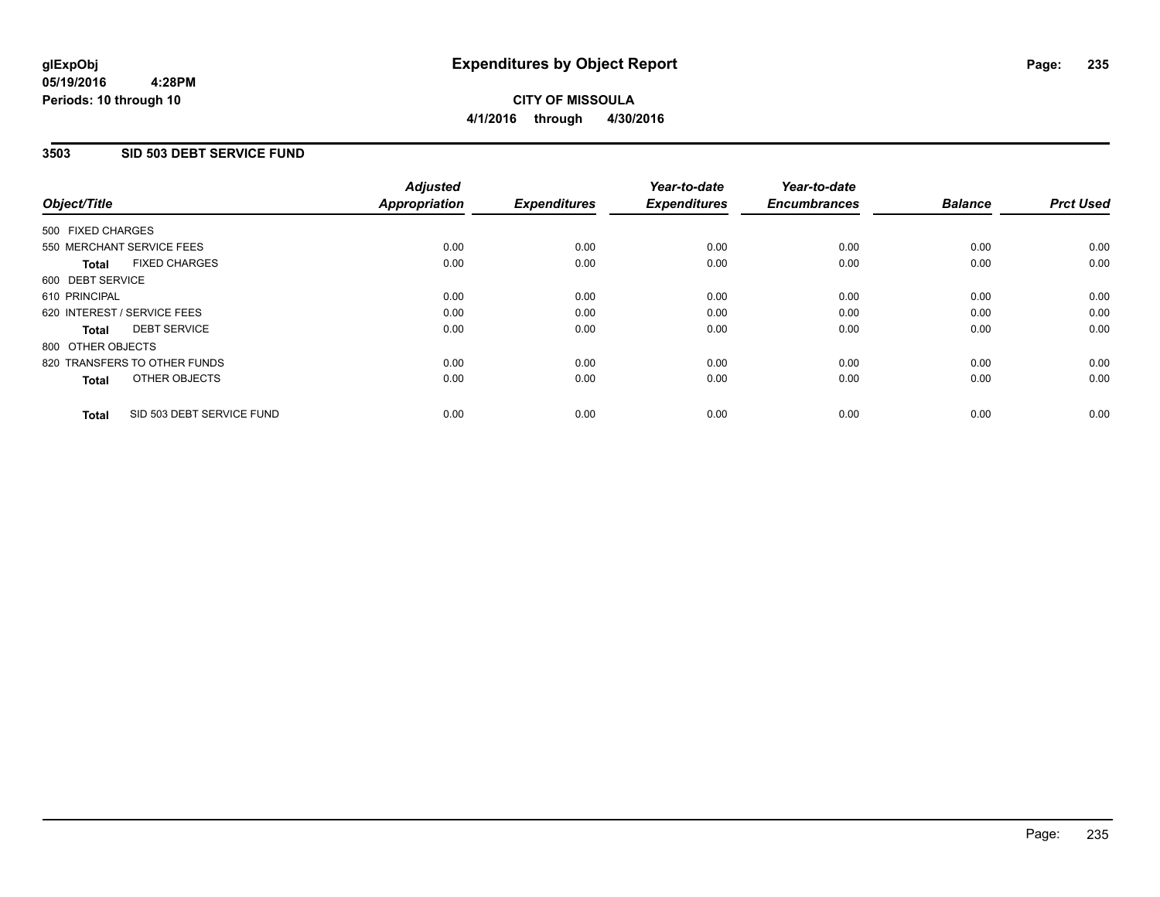### **3503 SID 503 DEBT SERVICE FUND**

| Object/Title                              | <b>Adjusted</b><br><b>Appropriation</b> | <b>Expenditures</b> | Year-to-date<br><b>Expenditures</b> | Year-to-date<br><b>Encumbrances</b> | <b>Balance</b> | <b>Prct Used</b> |
|-------------------------------------------|-----------------------------------------|---------------------|-------------------------------------|-------------------------------------|----------------|------------------|
|                                           |                                         |                     |                                     |                                     |                |                  |
| 500 FIXED CHARGES                         |                                         |                     |                                     |                                     |                |                  |
| 550 MERCHANT SERVICE FEES                 | 0.00                                    | 0.00                | 0.00                                | 0.00                                | 0.00           | 0.00             |
| <b>FIXED CHARGES</b><br><b>Total</b>      | 0.00                                    | 0.00                | 0.00                                | 0.00                                | 0.00           | 0.00             |
| 600 DEBT SERVICE                          |                                         |                     |                                     |                                     |                |                  |
| 610 PRINCIPAL                             | 0.00                                    | 0.00                | 0.00                                | 0.00                                | 0.00           | 0.00             |
| 620 INTEREST / SERVICE FEES               | 0.00                                    | 0.00                | 0.00                                | 0.00                                | 0.00           | 0.00             |
| <b>DEBT SERVICE</b><br><b>Total</b>       | 0.00                                    | 0.00                | 0.00                                | 0.00                                | 0.00           | 0.00             |
| 800 OTHER OBJECTS                         |                                         |                     |                                     |                                     |                |                  |
| 820 TRANSFERS TO OTHER FUNDS              | 0.00                                    | 0.00                | 0.00                                | 0.00                                | 0.00           | 0.00             |
| OTHER OBJECTS<br><b>Total</b>             | 0.00                                    | 0.00                | 0.00                                | 0.00                                | 0.00           | 0.00             |
| SID 503 DEBT SERVICE FUND<br><b>Total</b> | 0.00                                    | 0.00                | 0.00                                | 0.00                                | 0.00           | 0.00             |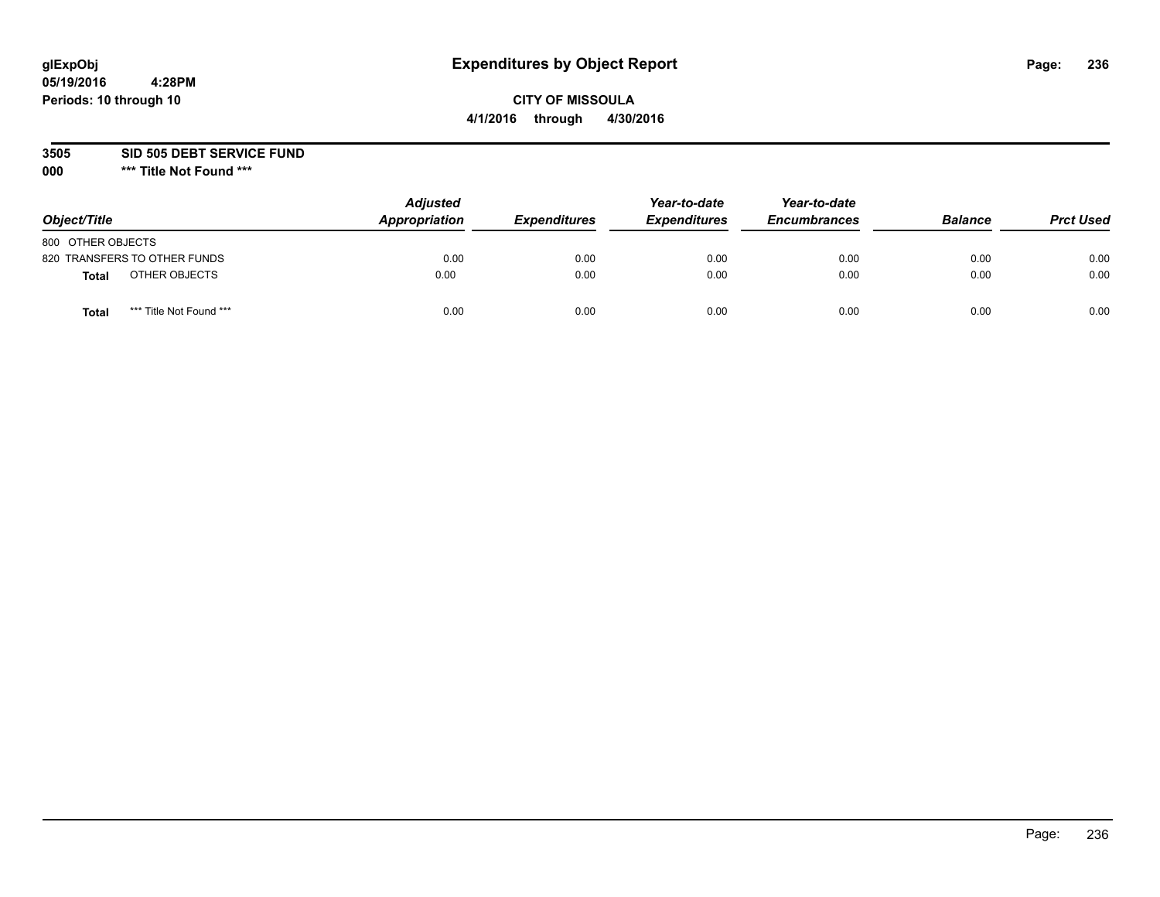## **CITY OF MISSOULA 4/1/2016 through 4/30/2016**

**3505 SID 505 DEBT SERVICE FUND**

| Object/Title      |                              | <b>Adjusted</b><br>Appropriation | <b>Expenditures</b> | Year-to-date<br><b>Expenditures</b> | Year-to-date<br><b>Encumbrances</b> | <b>Balance</b> | <b>Prct Used</b> |
|-------------------|------------------------------|----------------------------------|---------------------|-------------------------------------|-------------------------------------|----------------|------------------|
| 800 OTHER OBJECTS |                              |                                  |                     |                                     |                                     |                |                  |
|                   | 820 TRANSFERS TO OTHER FUNDS | 0.00                             | 0.00                | 0.00                                | 0.00                                | 0.00           | 0.00             |
| Total             | OTHER OBJECTS                | 0.00                             | 0.00                | 0.00                                | 0.00                                | 0.00           | 0.00             |
| Tota              | *** Title Not Found ***      | 0.00                             | 0.00                | 0.00                                | 0.00                                | 0.00           | 0.00             |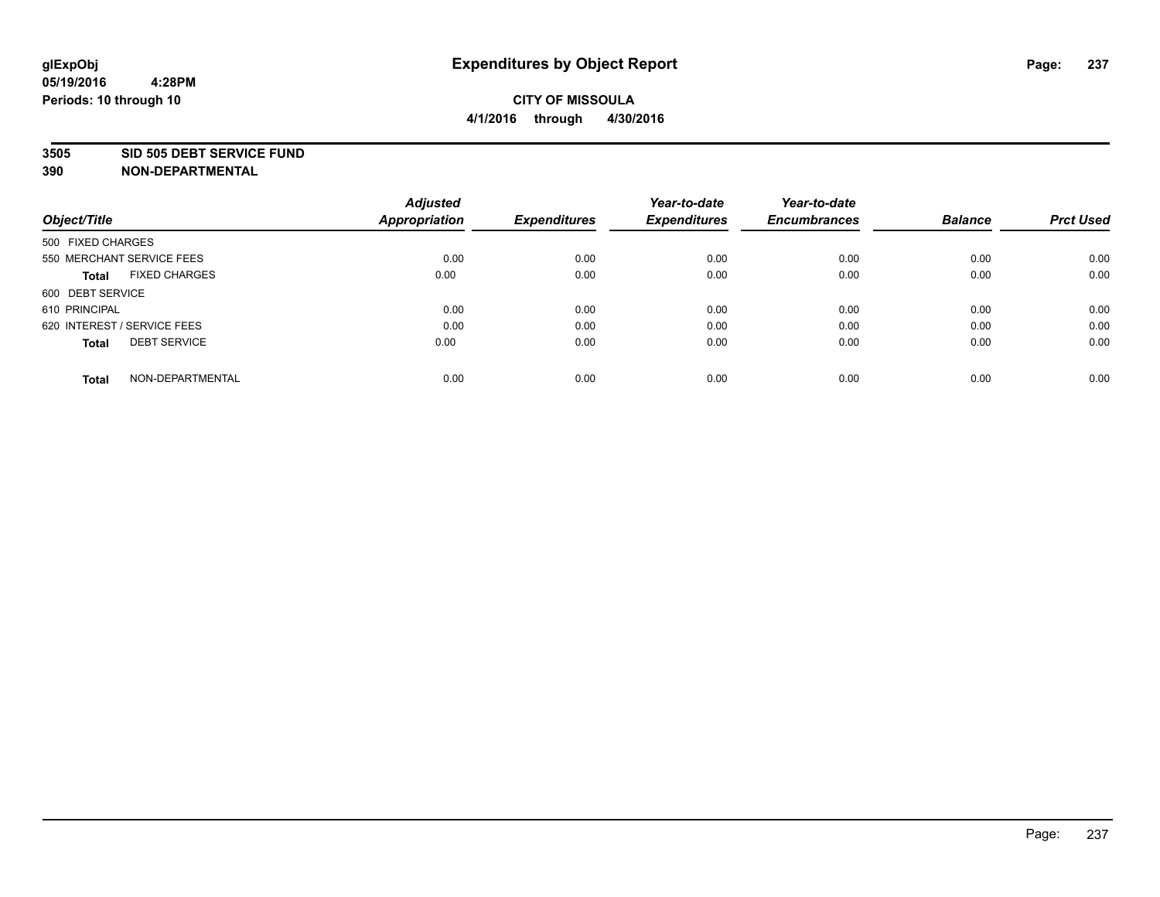#### **3505 SID 505 DEBT SERVICE FUND**

| Object/Title                         | <b>Adjusted</b><br><b>Appropriation</b> | <b>Expenditures</b> | Year-to-date<br><b>Expenditures</b> | Year-to-date<br><b>Encumbrances</b> | <b>Balance</b> | <b>Prct Used</b> |
|--------------------------------------|-----------------------------------------|---------------------|-------------------------------------|-------------------------------------|----------------|------------------|
|                                      |                                         |                     |                                     |                                     |                |                  |
| 500 FIXED CHARGES                    |                                         |                     |                                     |                                     |                |                  |
| 550 MERCHANT SERVICE FEES            | 0.00                                    | 0.00                | 0.00                                | 0.00                                | 0.00           | 0.00             |
| <b>FIXED CHARGES</b><br><b>Total</b> | 0.00                                    | 0.00                | 0.00                                | 0.00                                | 0.00           | 0.00             |
| 600 DEBT SERVICE                     |                                         |                     |                                     |                                     |                |                  |
| 610 PRINCIPAL                        | 0.00                                    | 0.00                | 0.00                                | 0.00                                | 0.00           | 0.00             |
| 620 INTEREST / SERVICE FEES          | 0.00                                    | 0.00                | 0.00                                | 0.00                                | 0.00           | 0.00             |
| <b>DEBT SERVICE</b><br><b>Total</b>  | 0.00                                    | 0.00                | 0.00                                | 0.00                                | 0.00           | 0.00             |
| NON-DEPARTMENTAL<br><b>Total</b>     | 0.00                                    | 0.00                | 0.00                                | 0.00                                | 0.00           | 0.00             |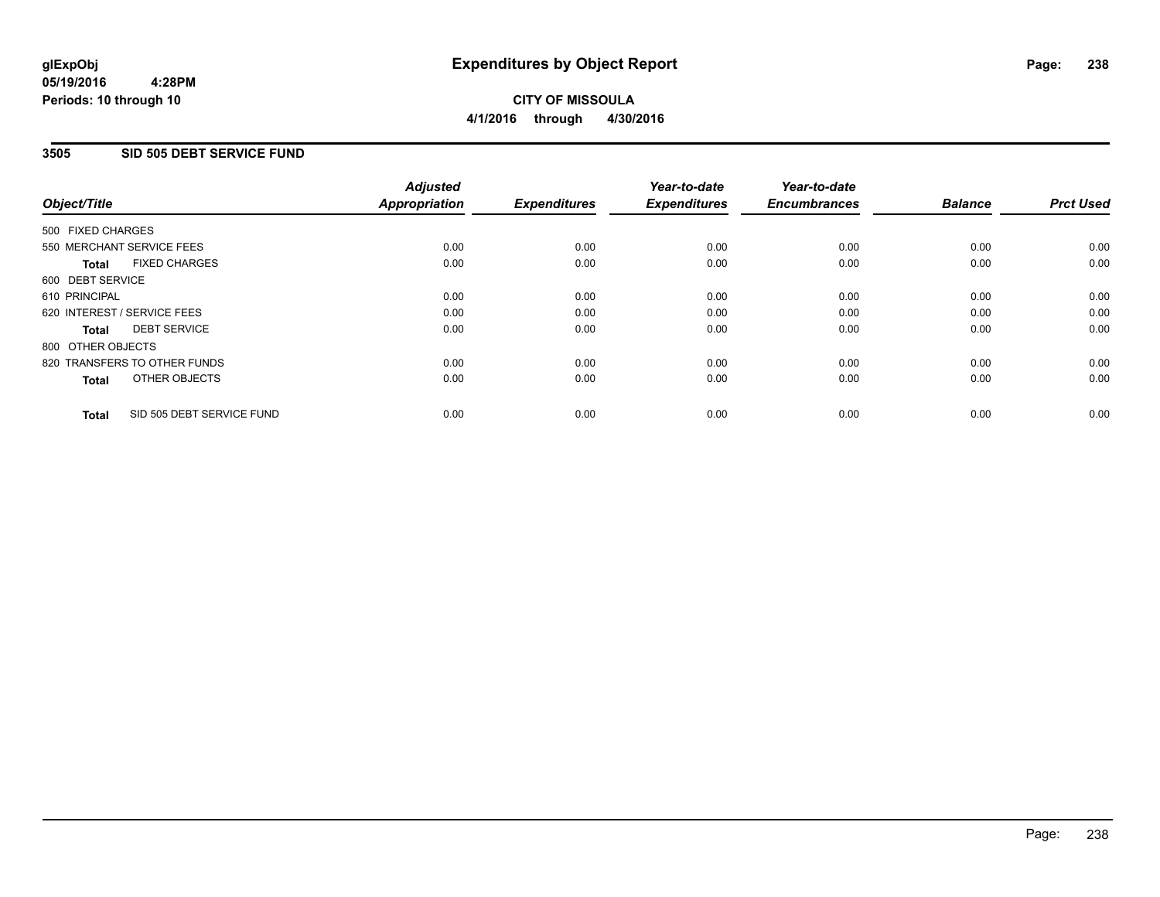#### **3505 SID 505 DEBT SERVICE FUND**

| Object/Title                              | <b>Adjusted</b><br><b>Appropriation</b> | <b>Expenditures</b> | Year-to-date<br><b>Expenditures</b> | Year-to-date<br><b>Encumbrances</b> | <b>Balance</b> | <b>Prct Used</b> |
|-------------------------------------------|-----------------------------------------|---------------------|-------------------------------------|-------------------------------------|----------------|------------------|
|                                           |                                         |                     |                                     |                                     |                |                  |
| 500 FIXED CHARGES                         |                                         |                     |                                     |                                     |                |                  |
| 550 MERCHANT SERVICE FEES                 | 0.00                                    | 0.00                | 0.00                                | 0.00                                | 0.00           | 0.00             |
| <b>FIXED CHARGES</b><br>Total             | 0.00                                    | 0.00                | 0.00                                | 0.00                                | 0.00           | 0.00             |
| 600 DEBT SERVICE                          |                                         |                     |                                     |                                     |                |                  |
| 610 PRINCIPAL                             | 0.00                                    | 0.00                | 0.00                                | 0.00                                | 0.00           | 0.00             |
| 620 INTEREST / SERVICE FEES               | 0.00                                    | 0.00                | 0.00                                | 0.00                                | 0.00           | 0.00             |
| <b>DEBT SERVICE</b><br><b>Total</b>       | 0.00                                    | 0.00                | 0.00                                | 0.00                                | 0.00           | 0.00             |
| 800 OTHER OBJECTS                         |                                         |                     |                                     |                                     |                |                  |
| 820 TRANSFERS TO OTHER FUNDS              | 0.00                                    | 0.00                | 0.00                                | 0.00                                | 0.00           | 0.00             |
| OTHER OBJECTS<br><b>Total</b>             | 0.00                                    | 0.00                | 0.00                                | 0.00                                | 0.00           | 0.00             |
|                                           |                                         |                     |                                     |                                     |                |                  |
| SID 505 DEBT SERVICE FUND<br><b>Total</b> | 0.00                                    | 0.00                | 0.00                                | 0.00                                | 0.00           | 0.00             |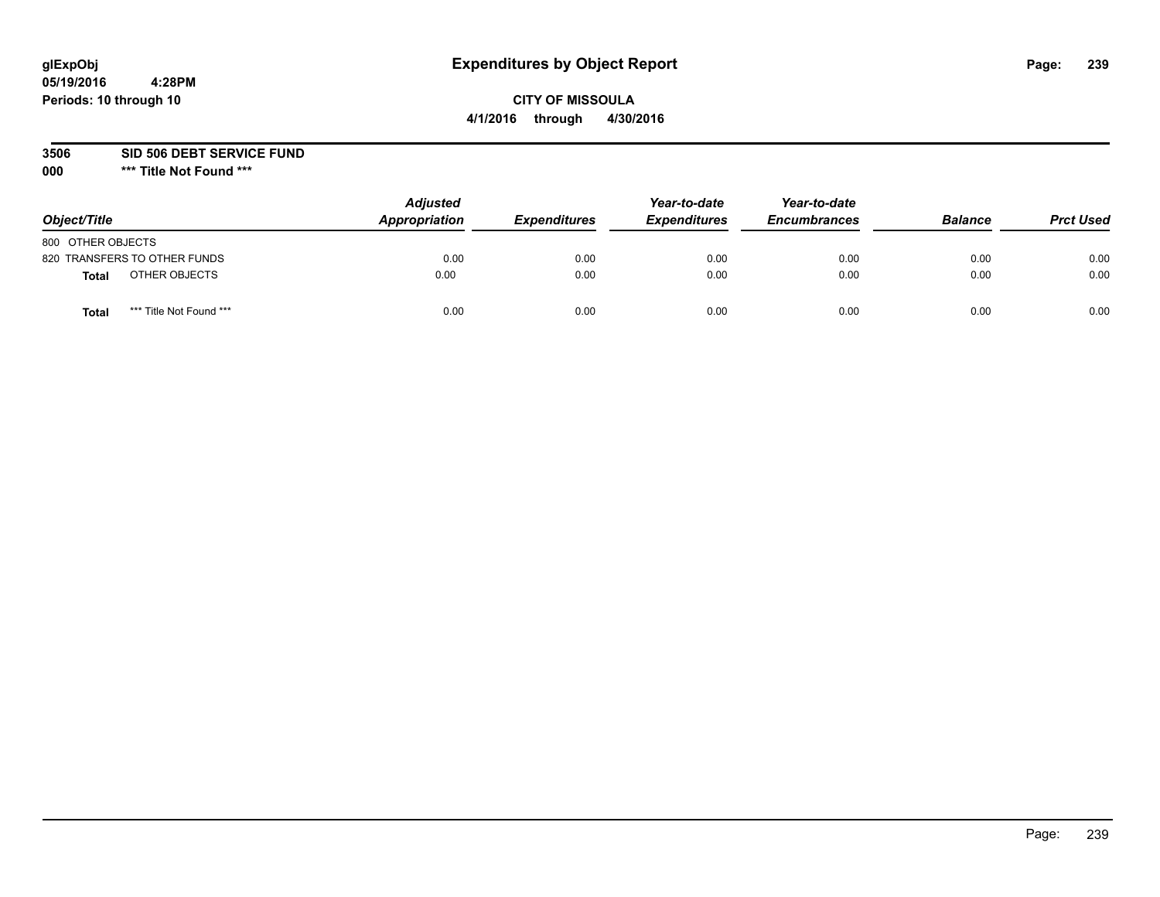## **CITY OF MISSOULA 4/1/2016 through 4/30/2016**

**3506 SID 506 DEBT SERVICE FUND**

| Object/Title                            | <b>Adjusted</b><br>Appropriation | <b>Expenditures</b> | Year-to-date<br><b>Expenditures</b> | Year-to-date<br><b>Encumbrances</b> | <b>Balance</b> | <b>Prct Used</b> |
|-----------------------------------------|----------------------------------|---------------------|-------------------------------------|-------------------------------------|----------------|------------------|
| 800 OTHER OBJECTS                       |                                  |                     |                                     |                                     |                |                  |
| 820 TRANSFERS TO OTHER FUNDS            | 0.00                             | 0.00                | 0.00                                | 0.00                                | 0.00           | 0.00             |
| OTHER OBJECTS<br><b>Total</b>           | 0.00                             | 0.00                | 0.00                                | 0.00                                | 0.00           | 0.00             |
| *** Title Not Found ***<br><b>Total</b> | 0.00                             | 0.00                | 0.00                                | 0.00                                | 0.00           | 0.00             |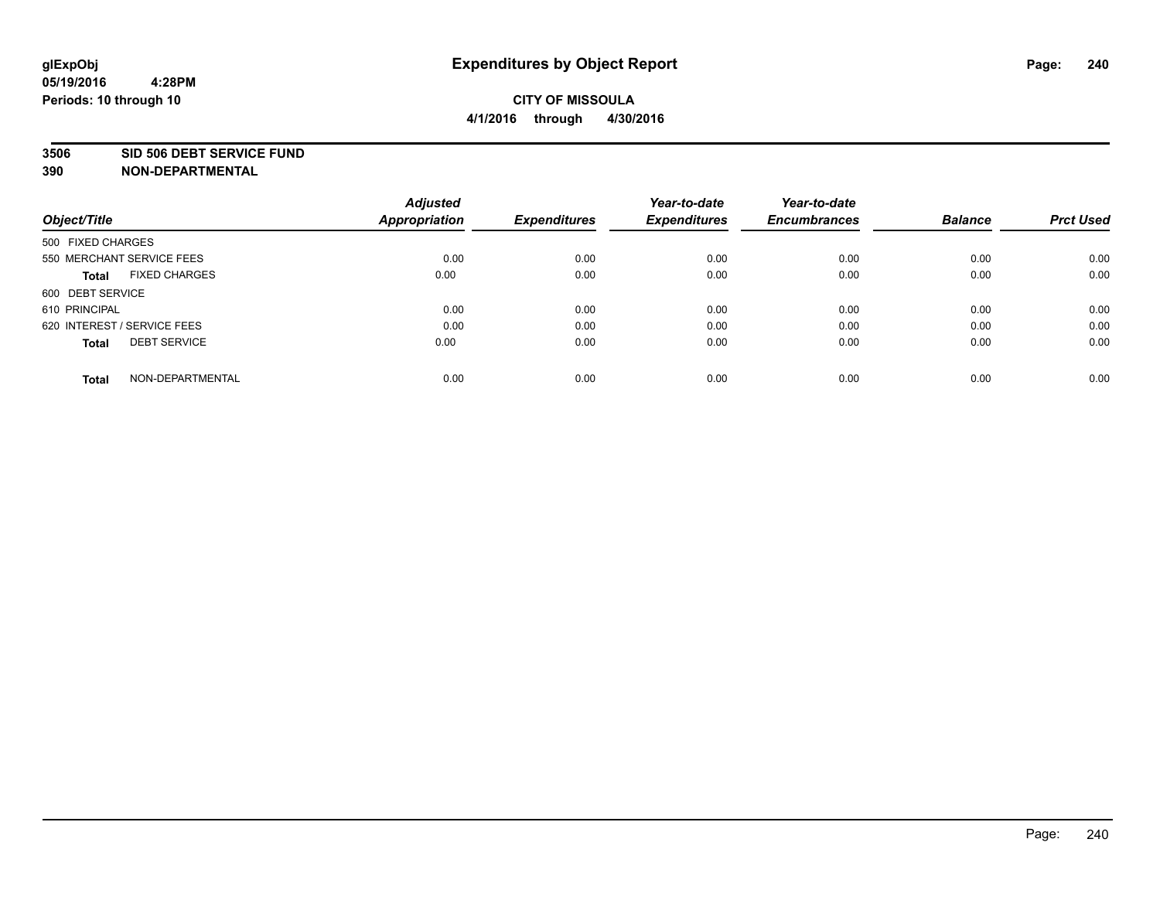#### **3506 SID 506 DEBT SERVICE FUND**

| Object/Title                         | <b>Adjusted</b><br><b>Appropriation</b> | <b>Expenditures</b> | Year-to-date<br><b>Expenditures</b> | Year-to-date<br><b>Encumbrances</b> | <b>Balance</b> | <b>Prct Used</b> |
|--------------------------------------|-----------------------------------------|---------------------|-------------------------------------|-------------------------------------|----------------|------------------|
|                                      |                                         |                     |                                     |                                     |                |                  |
| 500 FIXED CHARGES                    |                                         |                     |                                     |                                     |                |                  |
| 550 MERCHANT SERVICE FEES            | 0.00                                    | 0.00                | 0.00                                | 0.00                                | 0.00           | 0.00             |
| <b>FIXED CHARGES</b><br><b>Total</b> | 0.00                                    | 0.00                | 0.00                                | 0.00                                | 0.00           | 0.00             |
| 600 DEBT SERVICE                     |                                         |                     |                                     |                                     |                |                  |
| 610 PRINCIPAL                        | 0.00                                    | 0.00                | 0.00                                | 0.00                                | 0.00           | 0.00             |
| 620 INTEREST / SERVICE FEES          | 0.00                                    | 0.00                | 0.00                                | 0.00                                | 0.00           | 0.00             |
| <b>DEBT SERVICE</b><br><b>Total</b>  | 0.00                                    | 0.00                | 0.00                                | 0.00                                | 0.00           | 0.00             |
|                                      |                                         |                     |                                     |                                     |                |                  |
| NON-DEPARTMENTAL<br><b>Total</b>     | 0.00                                    | 0.00                | 0.00                                | 0.00                                | 0.00           | 0.00             |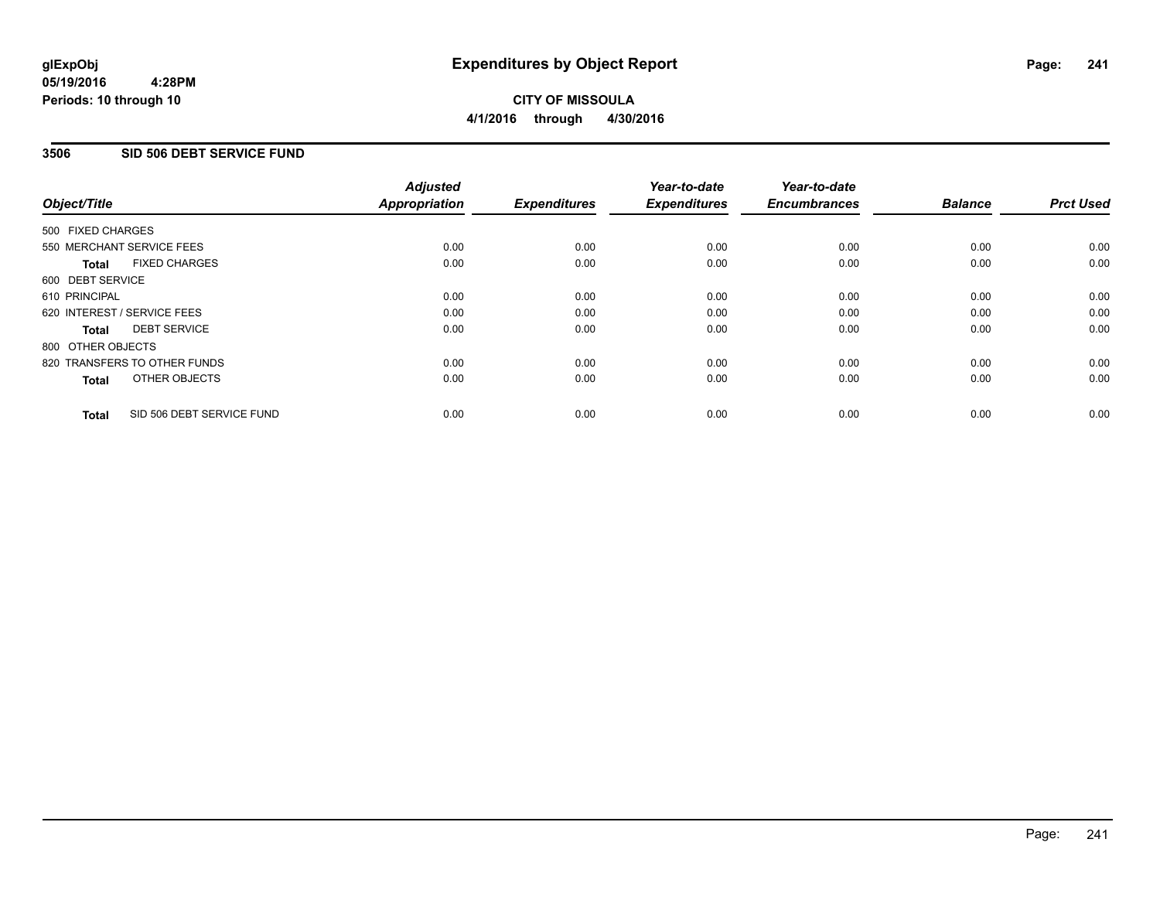#### **3506 SID 506 DEBT SERVICE FUND**

| Object/Title                              | <b>Adjusted</b><br><b>Appropriation</b> | <b>Expenditures</b> | Year-to-date<br><b>Expenditures</b> | Year-to-date<br><b>Encumbrances</b> | <b>Balance</b> | <b>Prct Used</b> |
|-------------------------------------------|-----------------------------------------|---------------------|-------------------------------------|-------------------------------------|----------------|------------------|
|                                           |                                         |                     |                                     |                                     |                |                  |
| 500 FIXED CHARGES                         |                                         |                     |                                     |                                     |                |                  |
| 550 MERCHANT SERVICE FEES                 | 0.00                                    | 0.00                | 0.00                                | 0.00                                | 0.00           | 0.00             |
| <b>FIXED CHARGES</b><br>Total             | 0.00                                    | 0.00                | 0.00                                | 0.00                                | 0.00           | 0.00             |
| 600 DEBT SERVICE                          |                                         |                     |                                     |                                     |                |                  |
| 610 PRINCIPAL                             | 0.00                                    | 0.00                | 0.00                                | 0.00                                | 0.00           | 0.00             |
| 620 INTEREST / SERVICE FEES               | 0.00                                    | 0.00                | 0.00                                | 0.00                                | 0.00           | 0.00             |
| <b>DEBT SERVICE</b><br><b>Total</b>       | 0.00                                    | 0.00                | 0.00                                | 0.00                                | 0.00           | 0.00             |
| 800 OTHER OBJECTS                         |                                         |                     |                                     |                                     |                |                  |
| 820 TRANSFERS TO OTHER FUNDS              | 0.00                                    | 0.00                | 0.00                                | 0.00                                | 0.00           | 0.00             |
| OTHER OBJECTS<br><b>Total</b>             | 0.00                                    | 0.00                | 0.00                                | 0.00                                | 0.00           | 0.00             |
|                                           |                                         |                     |                                     |                                     |                |                  |
| SID 506 DEBT SERVICE FUND<br><b>Total</b> | 0.00                                    | 0.00                | 0.00                                | 0.00                                | 0.00           | 0.00             |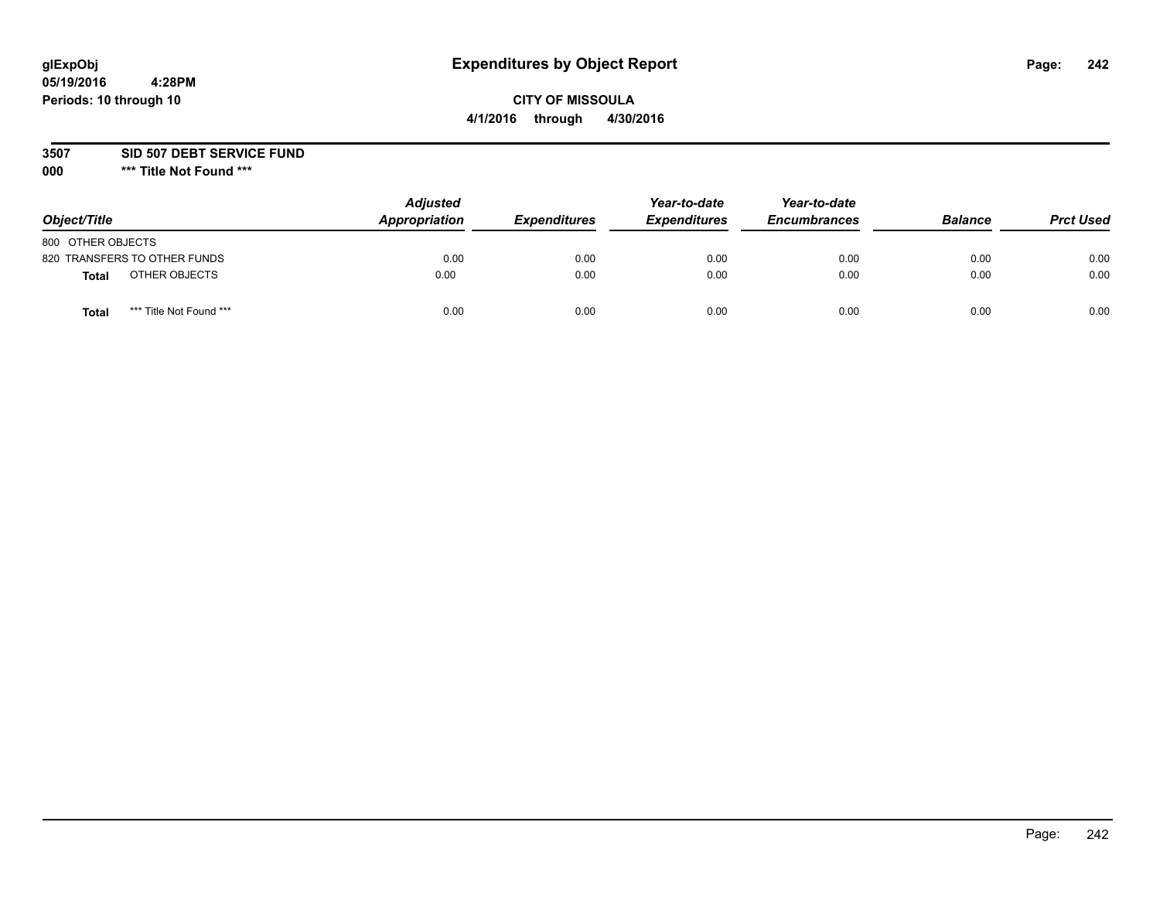## **CITY OF MISSOULA 4/1/2016 through 4/30/2016**

**3507 SID 507 DEBT SERVICE FUND**

| Object/Title                            | <b>Adjusted</b><br>Appropriation | <b>Expenditures</b> | Year-to-date<br><b>Expenditures</b> | Year-to-date<br><b>Encumbrances</b> | <b>Balance</b> | <b>Prct Used</b> |
|-----------------------------------------|----------------------------------|---------------------|-------------------------------------|-------------------------------------|----------------|------------------|
| 800 OTHER OBJECTS                       |                                  |                     |                                     |                                     |                |                  |
| 820 TRANSFERS TO OTHER FUNDS            | 0.00                             | 0.00                | 0.00                                | 0.00                                | 0.00           | 0.00             |
| OTHER OBJECTS<br><b>Total</b>           | 0.00                             | 0.00                | 0.00                                | 0.00                                | 0.00           | 0.00             |
| *** Title Not Found ***<br><b>Total</b> | 0.00                             | 0.00                | 0.00                                | 0.00                                | 0.00           | 0.00             |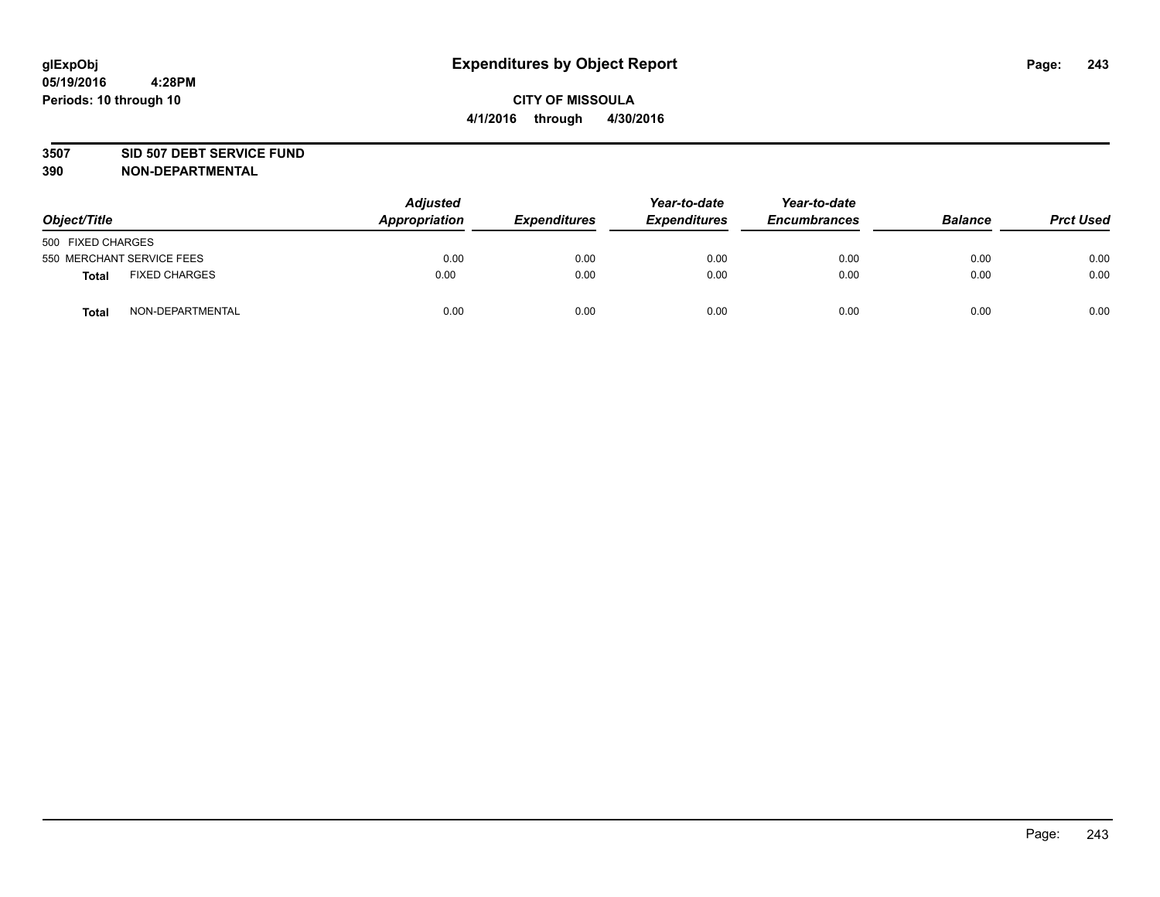#### **3507 SID 507 DEBT SERVICE FUND**

| Object/Title      |                           | <b>Adjusted</b><br>Appropriation | <b>Expenditures</b> | Year-to-date<br><b>Expenditures</b> | Year-to-date<br><b>Encumbrances</b> | <b>Balance</b> | <b>Prct Used</b> |
|-------------------|---------------------------|----------------------------------|---------------------|-------------------------------------|-------------------------------------|----------------|------------------|
| 500 FIXED CHARGES |                           |                                  |                     |                                     |                                     |                |                  |
|                   | 550 MERCHANT SERVICE FEES | 0.00                             | 0.00                | 0.00                                | 0.00                                | 0.00           | 0.00             |
| <b>Total</b>      | <b>FIXED CHARGES</b>      | 0.00                             | 0.00                | 0.00                                | 0.00                                | 0.00           | 0.00             |
| <b>Total</b>      | NON-DEPARTMENTAL          | 0.00                             | 0.00                | 0.00                                | 0.00                                | 0.00           | 0.00             |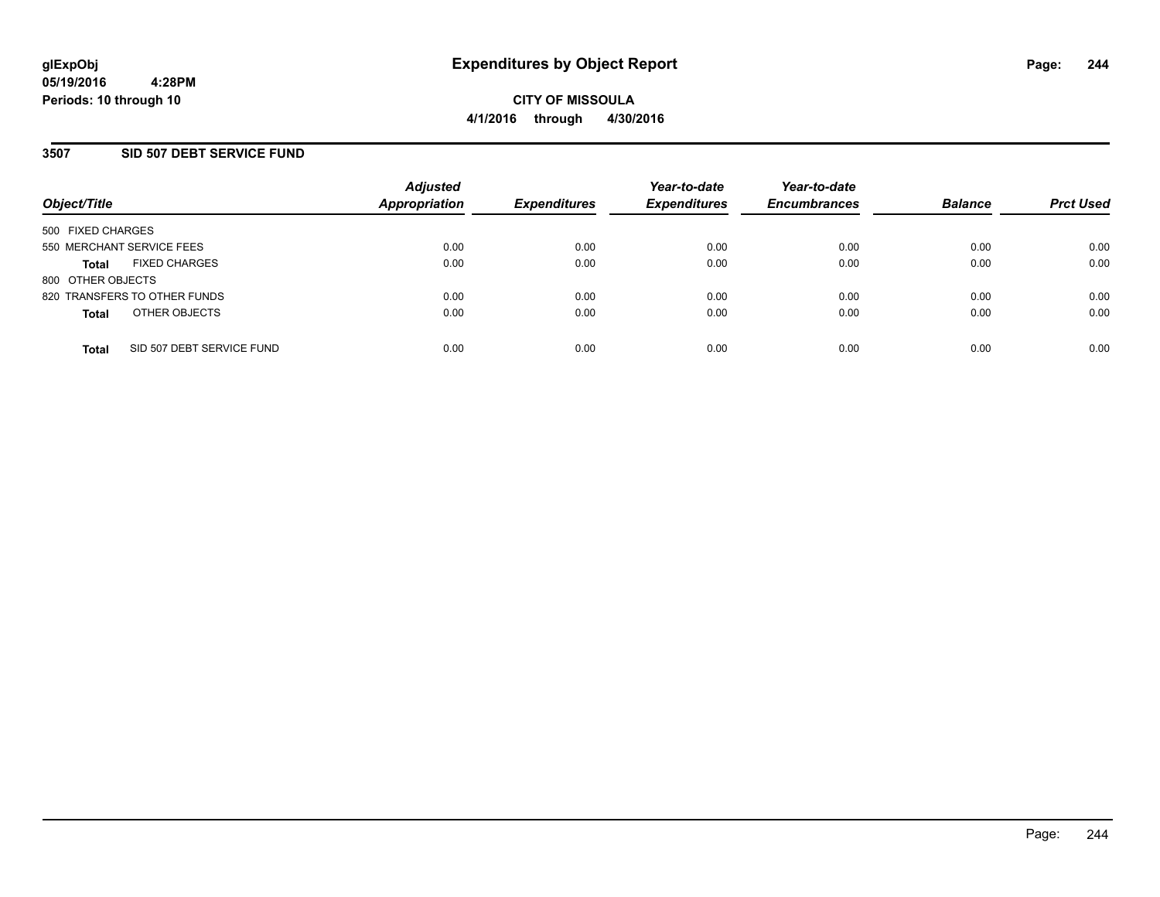### **3507 SID 507 DEBT SERVICE FUND**

| Object/Title                              | <b>Adjusted</b><br><b>Appropriation</b> | <b>Expenditures</b> | Year-to-date<br><b>Expenditures</b> | Year-to-date<br><b>Encumbrances</b> | <b>Balance</b> | <b>Prct Used</b> |
|-------------------------------------------|-----------------------------------------|---------------------|-------------------------------------|-------------------------------------|----------------|------------------|
| 500 FIXED CHARGES                         |                                         |                     |                                     |                                     |                |                  |
| 550 MERCHANT SERVICE FEES                 | 0.00                                    | 0.00                | 0.00                                | 0.00                                | 0.00           | 0.00             |
| <b>FIXED CHARGES</b><br><b>Total</b>      | 0.00                                    | 0.00                | 0.00                                | 0.00                                | 0.00           | 0.00             |
| 800 OTHER OBJECTS                         |                                         |                     |                                     |                                     |                |                  |
| 820 TRANSFERS TO OTHER FUNDS              | 0.00                                    | 0.00                | 0.00                                | 0.00                                | 0.00           | 0.00             |
| OTHER OBJECTS<br><b>Total</b>             | 0.00                                    | 0.00                | 0.00                                | 0.00                                | 0.00           | 0.00             |
| SID 507 DEBT SERVICE FUND<br><b>Total</b> | 0.00                                    | 0.00                | 0.00                                | 0.00                                | 0.00           | 0.00             |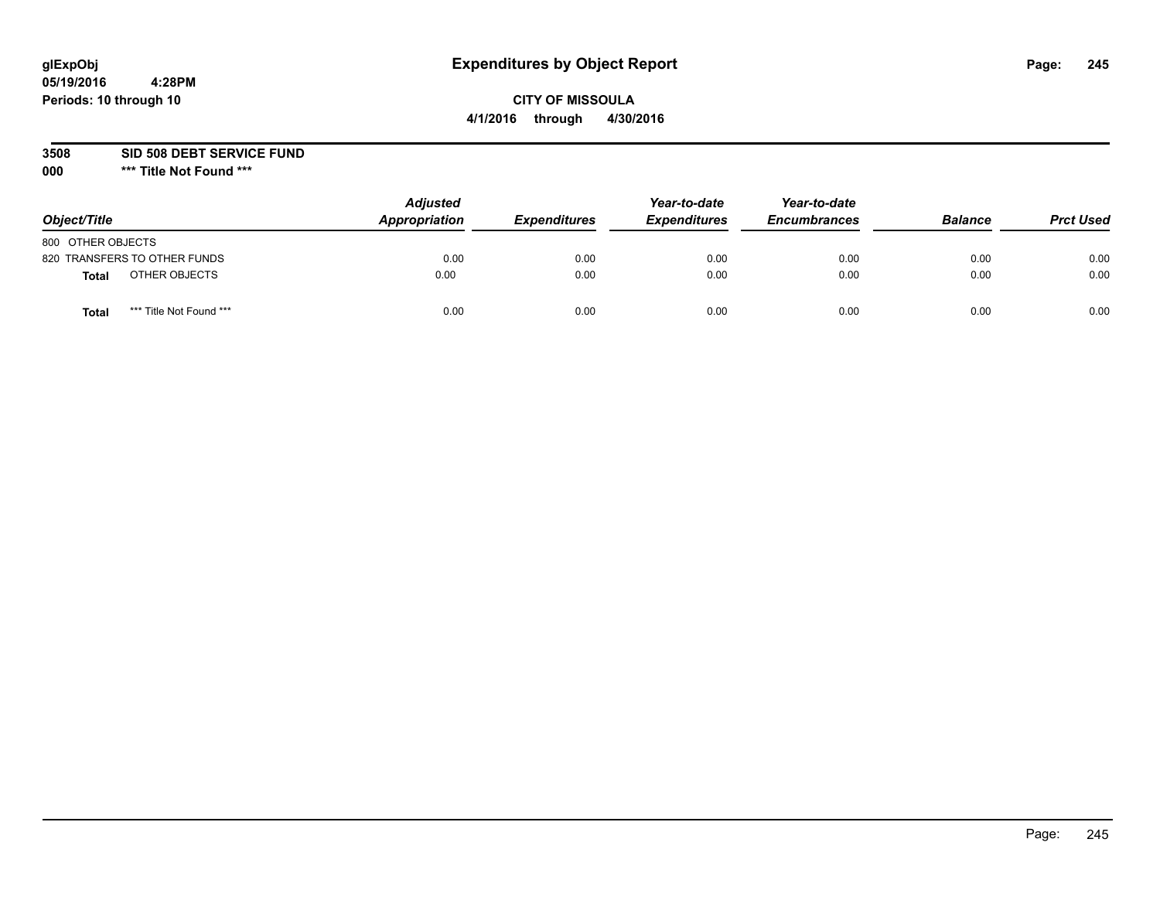### **CITY OF MISSOULA 4/1/2016 through 4/30/2016**

**3508 SID 508 DEBT SERVICE FUND**

| Object/Title                            | <b>Adjusted</b><br>Appropriation | <b>Expenditures</b> | Year-to-date<br><b>Expenditures</b> | Year-to-date<br><b>Encumbrances</b> | <b>Balance</b> | <b>Prct Used</b> |
|-----------------------------------------|----------------------------------|---------------------|-------------------------------------|-------------------------------------|----------------|------------------|
| 800 OTHER OBJECTS                       |                                  |                     |                                     |                                     |                |                  |
| 820 TRANSFERS TO OTHER FUNDS            | 0.00                             | 0.00                | 0.00                                | 0.00                                | 0.00           | 0.00             |
| OTHER OBJECTS<br><b>Total</b>           | 0.00                             | 0.00                | 0.00                                | 0.00                                | 0.00           | 0.00             |
| *** Title Not Found ***<br><b>Total</b> | 0.00                             | 0.00                | 0.00                                | 0.00                                | 0.00           | 0.00             |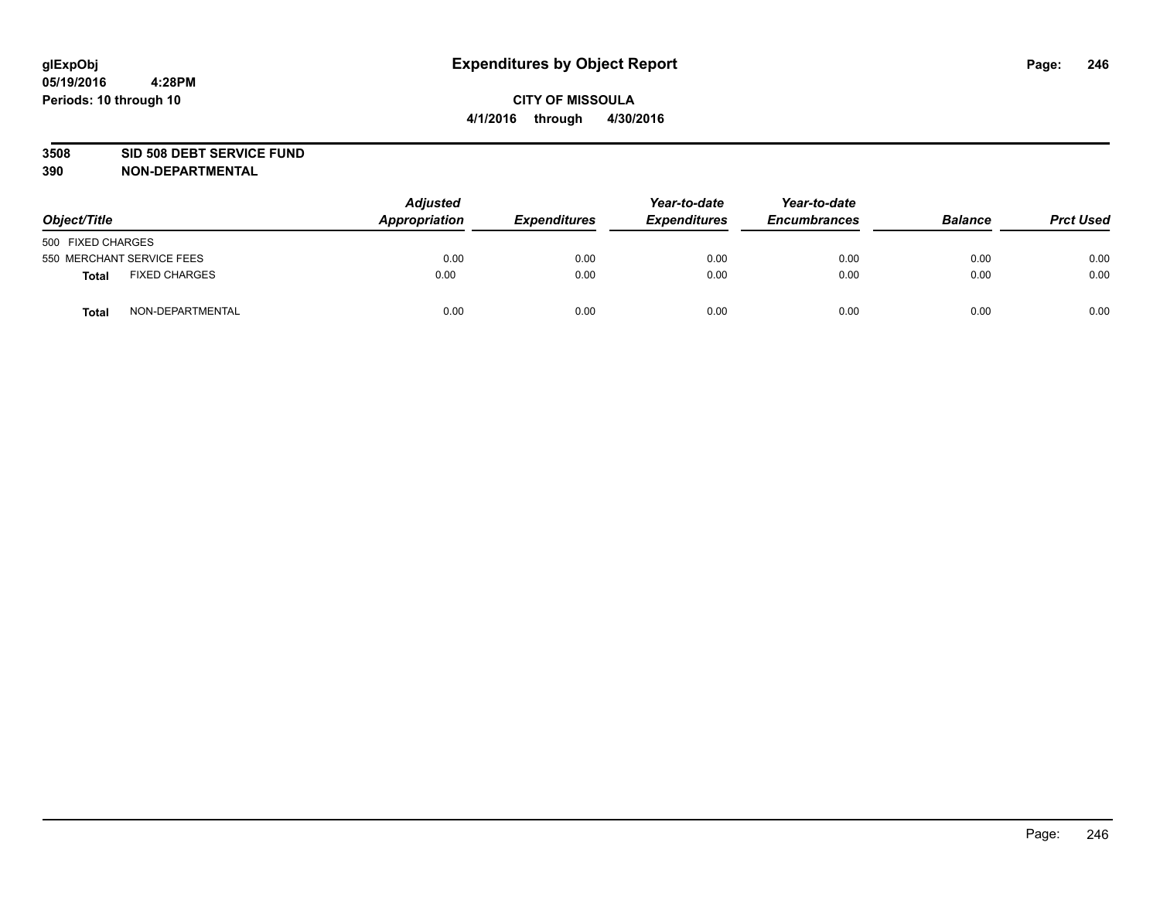#### **3508 SID 508 DEBT SERVICE FUND**

| Object/Title      |                           | <b>Adjusted</b><br>Appropriation | <b>Expenditures</b> | Year-to-date<br><b>Expenditures</b> | Year-to-date<br><b>Encumbrances</b> | <b>Balance</b> | <b>Prct Used</b> |
|-------------------|---------------------------|----------------------------------|---------------------|-------------------------------------|-------------------------------------|----------------|------------------|
| 500 FIXED CHARGES |                           |                                  |                     |                                     |                                     |                |                  |
|                   | 550 MERCHANT SERVICE FEES | 0.00                             | 0.00                | 0.00                                | 0.00                                | 0.00           | 0.00             |
| <b>Total</b>      | <b>FIXED CHARGES</b>      | 0.00                             | 0.00                | 0.00                                | 0.00                                | 0.00           | 0.00             |
| <b>Total</b>      | NON-DEPARTMENTAL          | 0.00                             | 0.00                | 0.00                                | 0.00                                | 0.00           | 0.00             |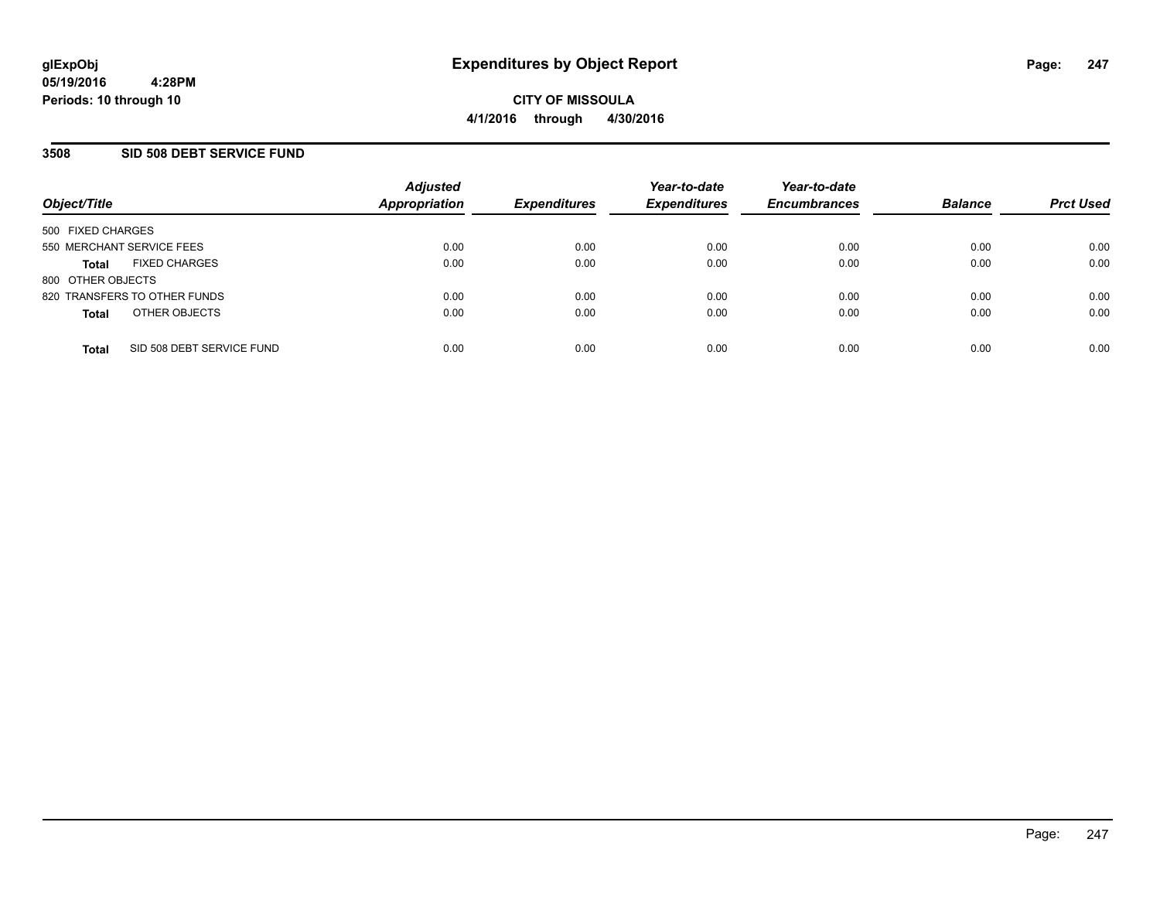#### **3508 SID 508 DEBT SERVICE FUND**

| Object/Title              |                              | <b>Adjusted</b><br><b>Appropriation</b> | <b>Expenditures</b> | Year-to-date<br><b>Expenditures</b> | Year-to-date<br><b>Encumbrances</b> | <b>Balance</b> | <b>Prct Used</b> |
|---------------------------|------------------------------|-----------------------------------------|---------------------|-------------------------------------|-------------------------------------|----------------|------------------|
| 500 FIXED CHARGES         |                              |                                         |                     |                                     |                                     |                |                  |
| 550 MERCHANT SERVICE FEES |                              | 0.00                                    | 0.00                | 0.00                                | 0.00                                | 0.00           | 0.00             |
| <b>Total</b>              | <b>FIXED CHARGES</b>         | 0.00                                    | 0.00                | 0.00                                | 0.00                                | 0.00           | 0.00             |
| 800 OTHER OBJECTS         |                              |                                         |                     |                                     |                                     |                |                  |
|                           | 820 TRANSFERS TO OTHER FUNDS | 0.00                                    | 0.00                | 0.00                                | 0.00                                | 0.00           | 0.00             |
| <b>Total</b>              | OTHER OBJECTS                | 0.00                                    | 0.00                | 0.00                                | 0.00                                | 0.00           | 0.00             |
| <b>Total</b>              | SID 508 DEBT SERVICE FUND    | 0.00                                    | 0.00                | 0.00                                | 0.00                                | 0.00           | 0.00             |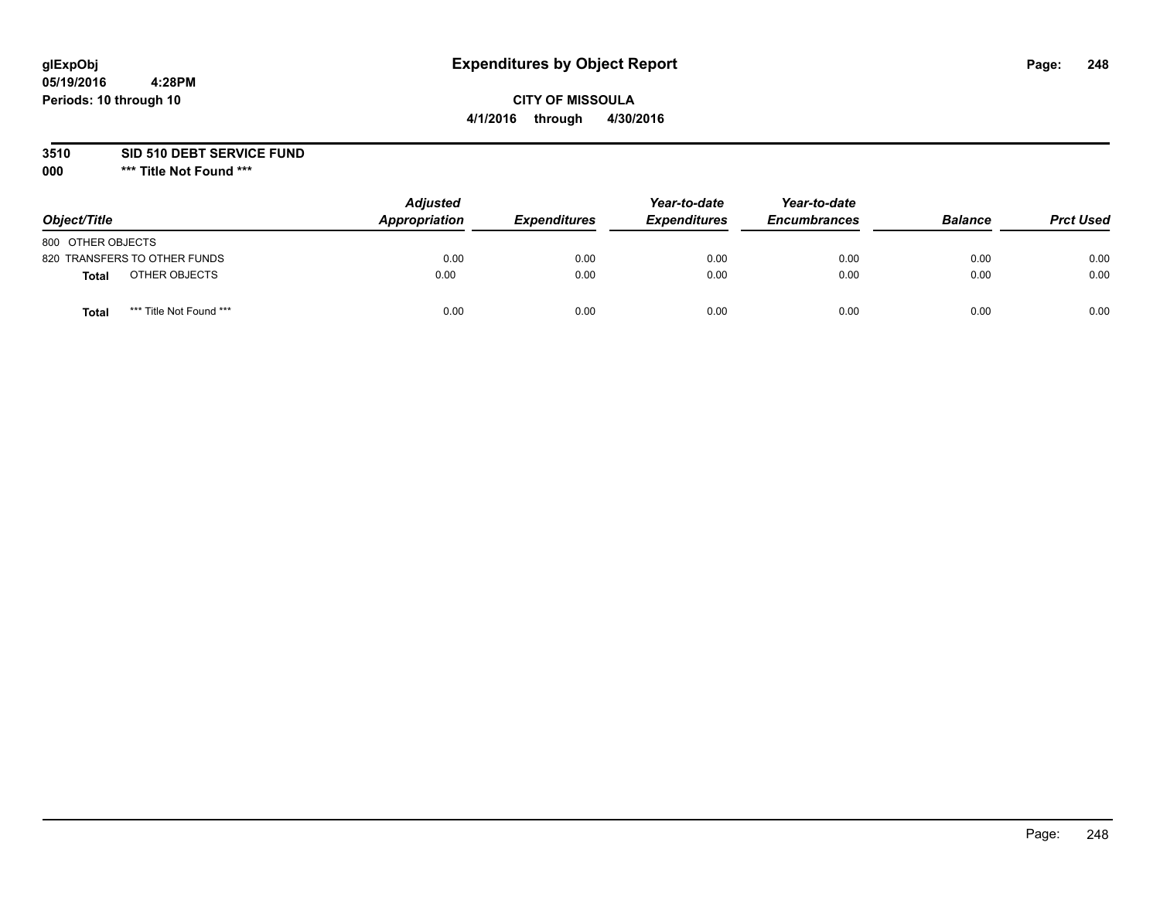### **CITY OF MISSOULA 4/1/2016 through 4/30/2016**

**3510 SID 510 DEBT SERVICE FUND**

| Object/Title                            | <b>Adjusted</b><br>Appropriation | <b>Expenditures</b> | Year-to-date<br><b>Expenditures</b> | Year-to-date<br><b>Encumbrances</b> | <b>Balance</b> | <b>Prct Used</b> |
|-----------------------------------------|----------------------------------|---------------------|-------------------------------------|-------------------------------------|----------------|------------------|
| 800 OTHER OBJECTS                       |                                  |                     |                                     |                                     |                |                  |
| 820 TRANSFERS TO OTHER FUNDS            | 0.00                             | 0.00                | 0.00                                | 0.00                                | 0.00           | 0.00             |
| OTHER OBJECTS<br><b>Total</b>           | 0.00                             | 0.00                | 0.00                                | 0.00                                | 0.00           | 0.00             |
| *** Title Not Found ***<br><b>Total</b> | 0.00                             | 0.00                | 0.00                                | 0.00                                | 0.00           | 0.00             |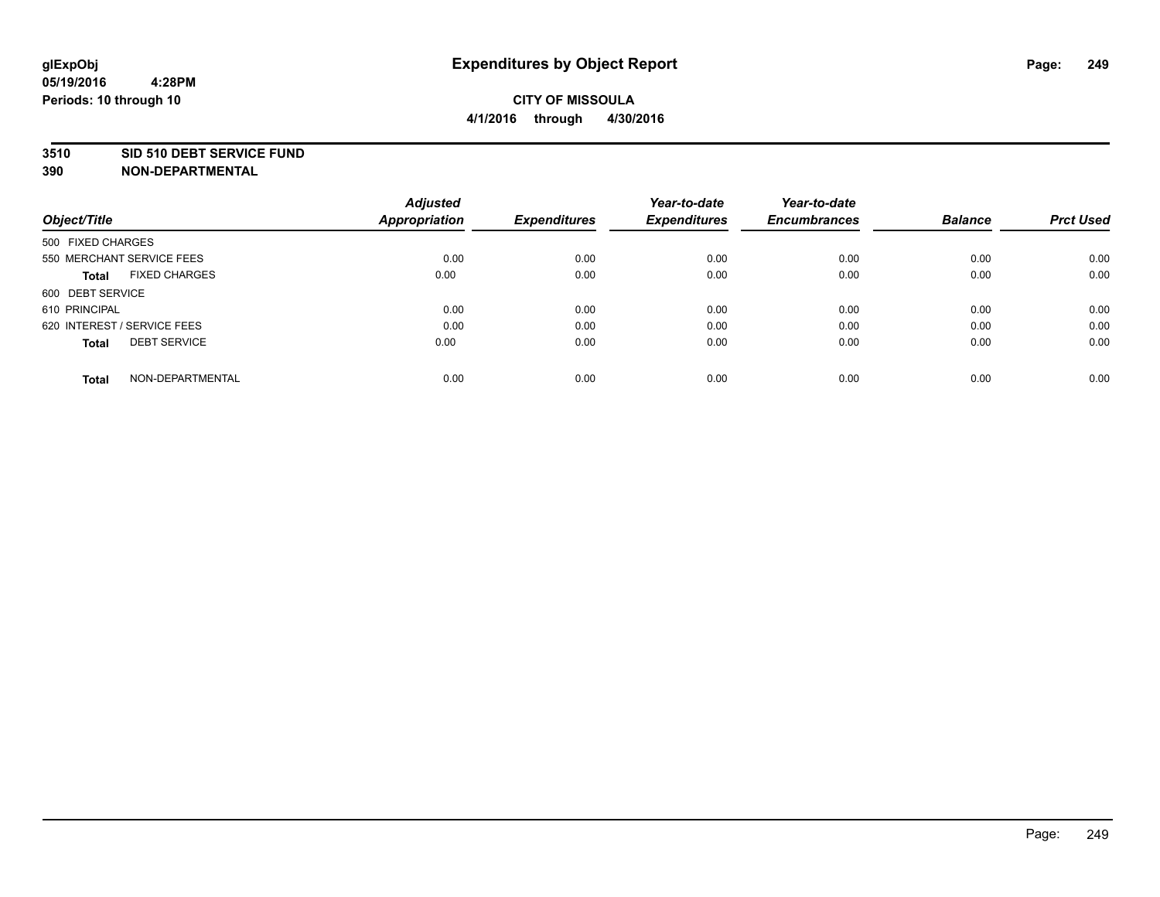#### **3510 SID 510 DEBT SERVICE FUND**

| Object/Title                         | <b>Adjusted</b><br><b>Appropriation</b> | <b>Expenditures</b> | Year-to-date<br><b>Expenditures</b> | Year-to-date<br><b>Encumbrances</b> | <b>Balance</b> | <b>Prct Used</b> |
|--------------------------------------|-----------------------------------------|---------------------|-------------------------------------|-------------------------------------|----------------|------------------|
|                                      |                                         |                     |                                     |                                     |                |                  |
| 500 FIXED CHARGES                    |                                         |                     |                                     |                                     |                |                  |
| 550 MERCHANT SERVICE FEES            | 0.00                                    | 0.00                | 0.00                                | 0.00                                | 0.00           | 0.00             |
| <b>FIXED CHARGES</b><br><b>Total</b> | 0.00                                    | 0.00                | 0.00                                | 0.00                                | 0.00           | 0.00             |
| 600 DEBT SERVICE                     |                                         |                     |                                     |                                     |                |                  |
| 610 PRINCIPAL                        | 0.00                                    | 0.00                | 0.00                                | 0.00                                | 0.00           | 0.00             |
| 620 INTEREST / SERVICE FEES          | 0.00                                    | 0.00                | 0.00                                | 0.00                                | 0.00           | 0.00             |
| <b>DEBT SERVICE</b><br><b>Total</b>  | 0.00                                    | 0.00                | 0.00                                | 0.00                                | 0.00           | 0.00             |
| NON-DEPARTMENTAL<br><b>Total</b>     | 0.00                                    | 0.00                | 0.00                                | 0.00                                | 0.00           | 0.00             |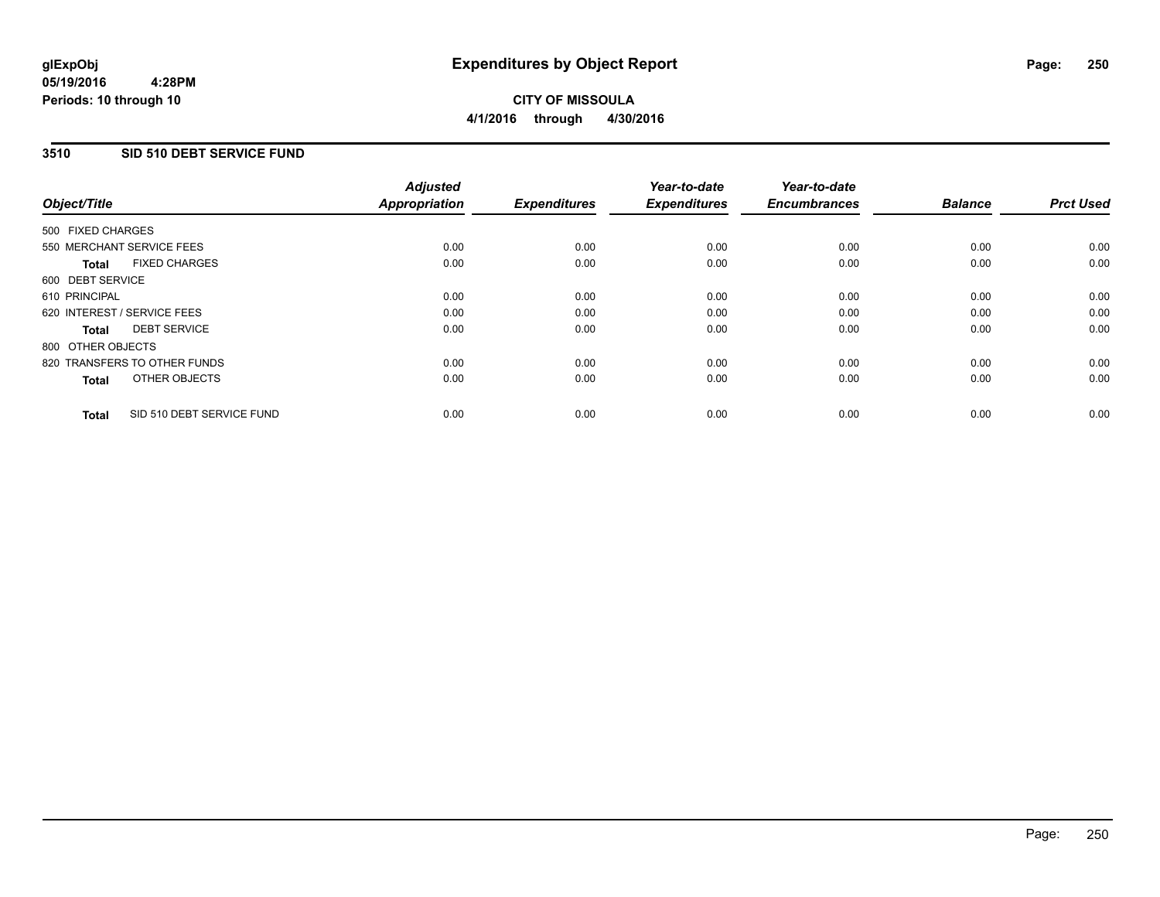### **3510 SID 510 DEBT SERVICE FUND**

| Object/Title                              | <b>Adjusted</b><br><b>Appropriation</b> | <b>Expenditures</b> | Year-to-date<br><b>Expenditures</b> | Year-to-date<br><b>Encumbrances</b> | <b>Balance</b> | <b>Prct Used</b> |
|-------------------------------------------|-----------------------------------------|---------------------|-------------------------------------|-------------------------------------|----------------|------------------|
| 500 FIXED CHARGES                         |                                         |                     |                                     |                                     |                |                  |
| 550 MERCHANT SERVICE FEES                 | 0.00                                    | 0.00                | 0.00                                | 0.00                                | 0.00           | 0.00             |
| <b>FIXED CHARGES</b><br><b>Total</b>      | 0.00                                    | 0.00                | 0.00                                | 0.00                                | 0.00           | 0.00             |
| 600 DEBT SERVICE                          |                                         |                     |                                     |                                     |                |                  |
| 610 PRINCIPAL                             | 0.00                                    | 0.00                | 0.00                                | 0.00                                | 0.00           | 0.00             |
| 620 INTEREST / SERVICE FEES               | 0.00                                    | 0.00                | 0.00                                | 0.00                                | 0.00           | 0.00             |
| <b>DEBT SERVICE</b><br><b>Total</b>       | 0.00                                    | 0.00                | 0.00                                | 0.00                                | 0.00           | 0.00             |
| 800 OTHER OBJECTS                         |                                         |                     |                                     |                                     |                |                  |
| 820 TRANSFERS TO OTHER FUNDS              | 0.00                                    | 0.00                | 0.00                                | 0.00                                | 0.00           | 0.00             |
| OTHER OBJECTS<br><b>Total</b>             | 0.00                                    | 0.00                | 0.00                                | 0.00                                | 0.00           | 0.00             |
| SID 510 DEBT SERVICE FUND<br><b>Total</b> | 0.00                                    | 0.00                | 0.00                                | 0.00                                | 0.00           | 0.00             |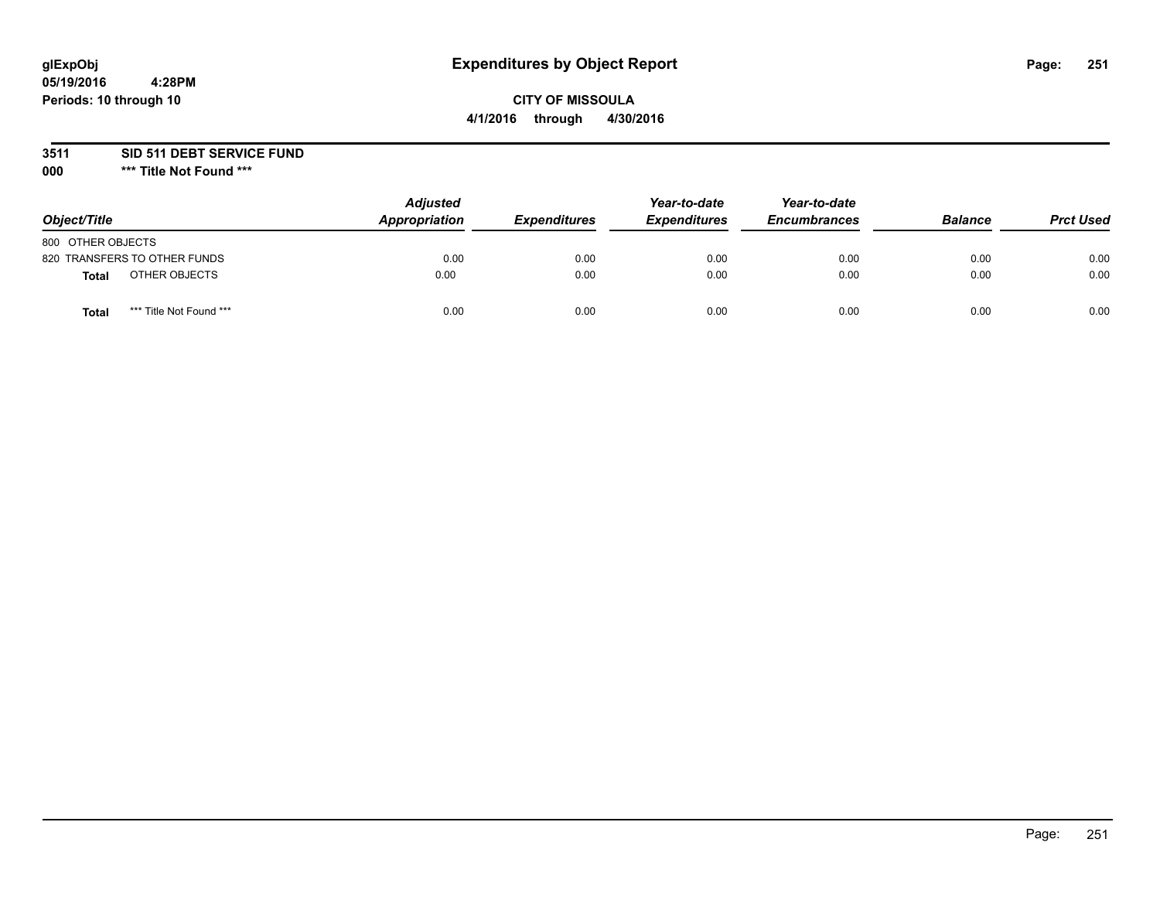## **CITY OF MISSOULA 4/1/2016 through 4/30/2016**

**3511 SID 511 DEBT SERVICE FUND**

| Object/Title                     | <b>Adjusted</b><br>Appropriation | <b>Expenditures</b> | Year-to-date<br><b>Expenditures</b> | Year-to-date<br><b>Encumbrances</b> | <b>Balance</b> | <b>Prct Used</b> |
|----------------------------------|----------------------------------|---------------------|-------------------------------------|-------------------------------------|----------------|------------------|
| 800 OTHER OBJECTS                |                                  |                     |                                     |                                     |                |                  |
| 820 TRANSFERS TO OTHER FUNDS     | 0.00                             | 0.00                | 0.00                                | 0.00                                | 0.00           | 0.00             |
| OTHER OBJECTS<br><b>Total</b>    | 0.00                             | 0.00                | 0.00                                | 0.00                                | 0.00           | 0.00             |
| *** Title Not Found ***<br>Total | 0.00                             | 0.00                | 0.00                                | 0.00                                | 0.00           | 0.00             |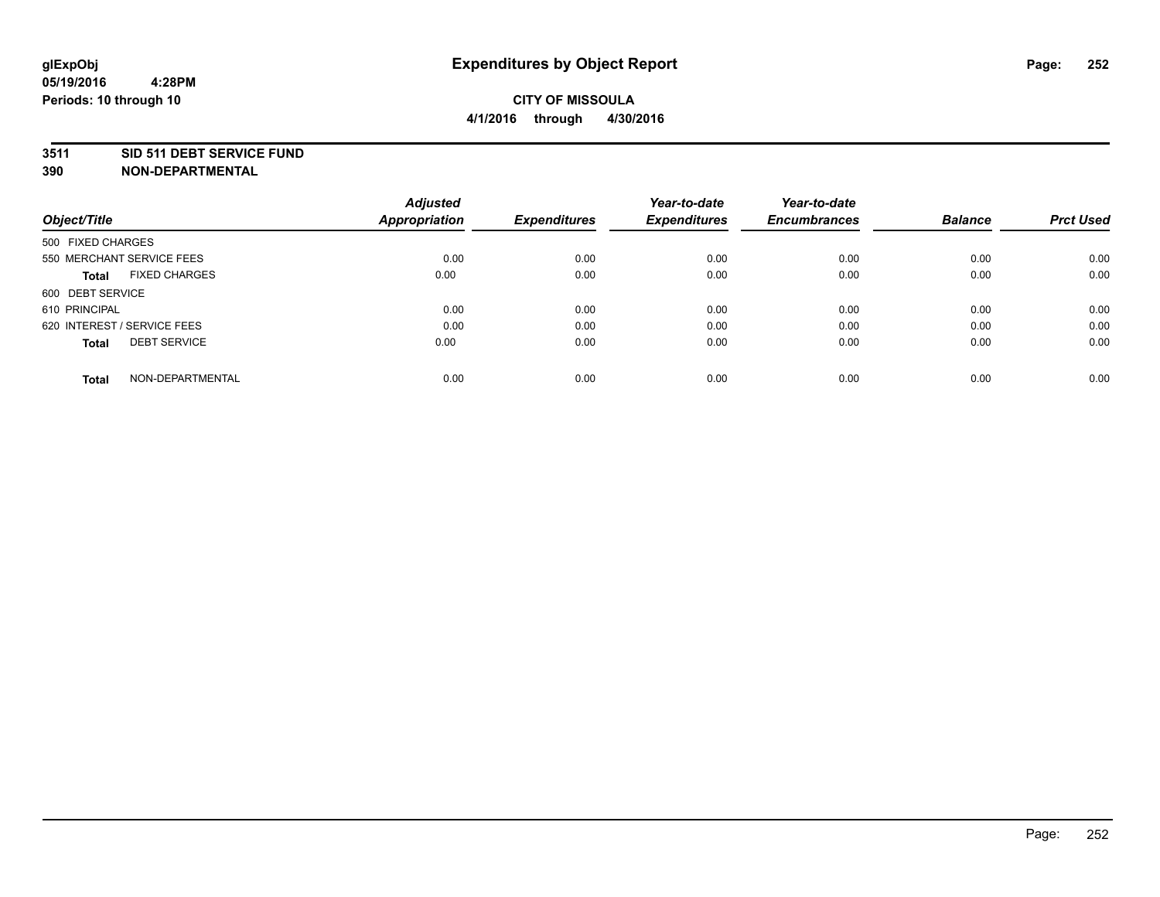#### **3511 SID 511 DEBT SERVICE FUND**

| Object/Title                         | <b>Adjusted</b><br><b>Appropriation</b> | <b>Expenditures</b> | Year-to-date<br><b>Expenditures</b> | Year-to-date<br><b>Encumbrances</b> | <b>Balance</b> | <b>Prct Used</b> |
|--------------------------------------|-----------------------------------------|---------------------|-------------------------------------|-------------------------------------|----------------|------------------|
|                                      |                                         |                     |                                     |                                     |                |                  |
| 500 FIXED CHARGES                    |                                         |                     |                                     |                                     |                |                  |
| 550 MERCHANT SERVICE FEES            | 0.00                                    | 0.00                | 0.00                                | 0.00                                | 0.00           | 0.00             |
| <b>FIXED CHARGES</b><br><b>Total</b> | 0.00                                    | 0.00                | 0.00                                | 0.00                                | 0.00           | 0.00             |
| 600 DEBT SERVICE                     |                                         |                     |                                     |                                     |                |                  |
| 610 PRINCIPAL                        | 0.00                                    | 0.00                | 0.00                                | 0.00                                | 0.00           | 0.00             |
| 620 INTEREST / SERVICE FEES          | 0.00                                    | 0.00                | 0.00                                | 0.00                                | 0.00           | 0.00             |
| <b>DEBT SERVICE</b><br><b>Total</b>  | 0.00                                    | 0.00                | 0.00                                | 0.00                                | 0.00           | 0.00             |
|                                      |                                         |                     |                                     |                                     |                |                  |
| NON-DEPARTMENTAL<br><b>Total</b>     | 0.00                                    | 0.00                | 0.00                                | 0.00                                | 0.00           | 0.00             |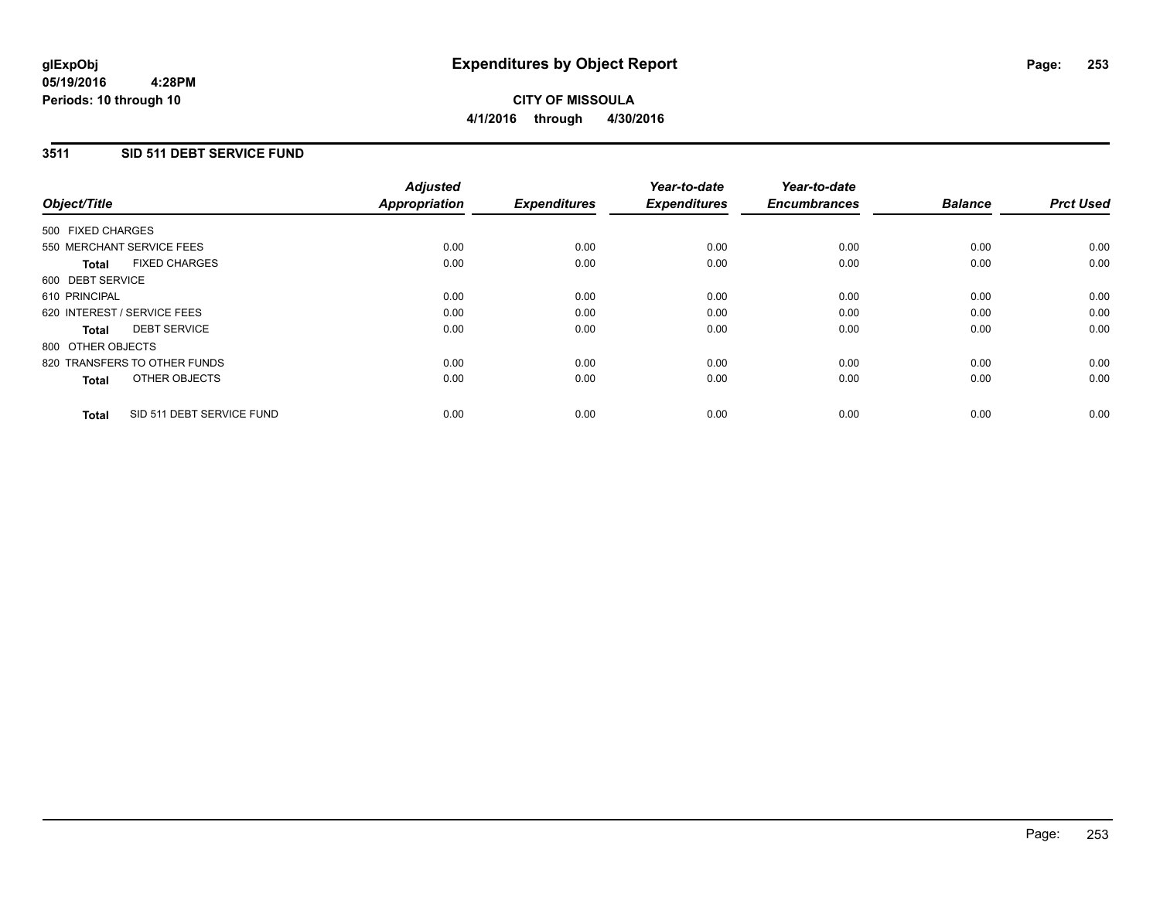#### **3511 SID 511 DEBT SERVICE FUND**

| Object/Title                              | <b>Adjusted</b><br><b>Appropriation</b> | <b>Expenditures</b> | Year-to-date<br><b>Expenditures</b> | Year-to-date<br><b>Encumbrances</b> | <b>Balance</b> | <b>Prct Used</b> |
|-------------------------------------------|-----------------------------------------|---------------------|-------------------------------------|-------------------------------------|----------------|------------------|
|                                           |                                         |                     |                                     |                                     |                |                  |
| 500 FIXED CHARGES                         |                                         |                     |                                     |                                     |                |                  |
| 550 MERCHANT SERVICE FEES                 | 0.00                                    | 0.00                | 0.00                                | 0.00                                | 0.00           | 0.00             |
| <b>FIXED CHARGES</b><br>Total             | 0.00                                    | 0.00                | 0.00                                | 0.00                                | 0.00           | 0.00             |
| 600 DEBT SERVICE                          |                                         |                     |                                     |                                     |                |                  |
| 610 PRINCIPAL                             | 0.00                                    | 0.00                | 0.00                                | 0.00                                | 0.00           | 0.00             |
| 620 INTEREST / SERVICE FEES               | 0.00                                    | 0.00                | 0.00                                | 0.00                                | 0.00           | 0.00             |
| <b>DEBT SERVICE</b><br><b>Total</b>       | 0.00                                    | 0.00                | 0.00                                | 0.00                                | 0.00           | 0.00             |
| 800 OTHER OBJECTS                         |                                         |                     |                                     |                                     |                |                  |
| 820 TRANSFERS TO OTHER FUNDS              | 0.00                                    | 0.00                | 0.00                                | 0.00                                | 0.00           | 0.00             |
| OTHER OBJECTS<br><b>Total</b>             | 0.00                                    | 0.00                | 0.00                                | 0.00                                | 0.00           | 0.00             |
|                                           |                                         |                     |                                     |                                     |                |                  |
| SID 511 DEBT SERVICE FUND<br><b>Total</b> | 0.00                                    | 0.00                | 0.00                                | 0.00                                | 0.00           | 0.00             |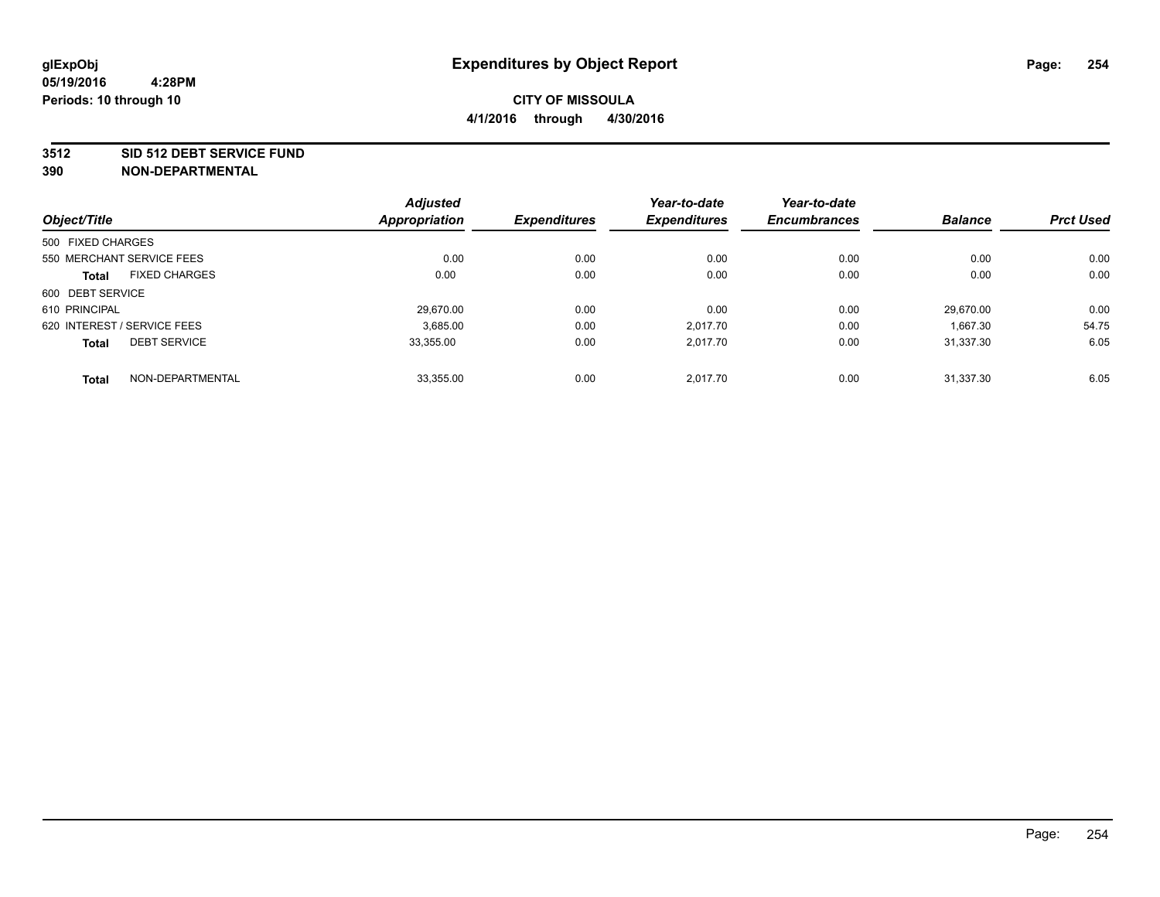#### **3512 SID 512 DEBT SERVICE FUND**

|                                      | <b>Adjusted</b>      |                     | Year-to-date        | Year-to-date        |                |                  |
|--------------------------------------|----------------------|---------------------|---------------------|---------------------|----------------|------------------|
| Object/Title                         | <b>Appropriation</b> | <b>Expenditures</b> | <b>Expenditures</b> | <b>Encumbrances</b> | <b>Balance</b> | <b>Prct Used</b> |
| 500 FIXED CHARGES                    |                      |                     |                     |                     |                |                  |
| 550 MERCHANT SERVICE FEES            | 0.00                 | 0.00                | 0.00                | 0.00                | 0.00           | 0.00             |
| <b>FIXED CHARGES</b><br><b>Total</b> | 0.00                 | 0.00                | 0.00                | 0.00                | 0.00           | 0.00             |
| 600 DEBT SERVICE                     |                      |                     |                     |                     |                |                  |
| 610 PRINCIPAL                        | 29.670.00            | 0.00                | 0.00                | 0.00                | 29.670.00      | 0.00             |
| 620 INTEREST / SERVICE FEES          | 3,685.00             | 0.00                | 2.017.70            | 0.00                | 1,667.30       | 54.75            |
| <b>DEBT SERVICE</b><br><b>Total</b>  | 33.355.00            | 0.00                | 2.017.70            | 0.00                | 31.337.30      | 6.05             |
| NON-DEPARTMENTAL<br><b>Total</b>     | 33,355.00            | 0.00                | 2.017.70            | 0.00                | 31.337.30      | 6.05             |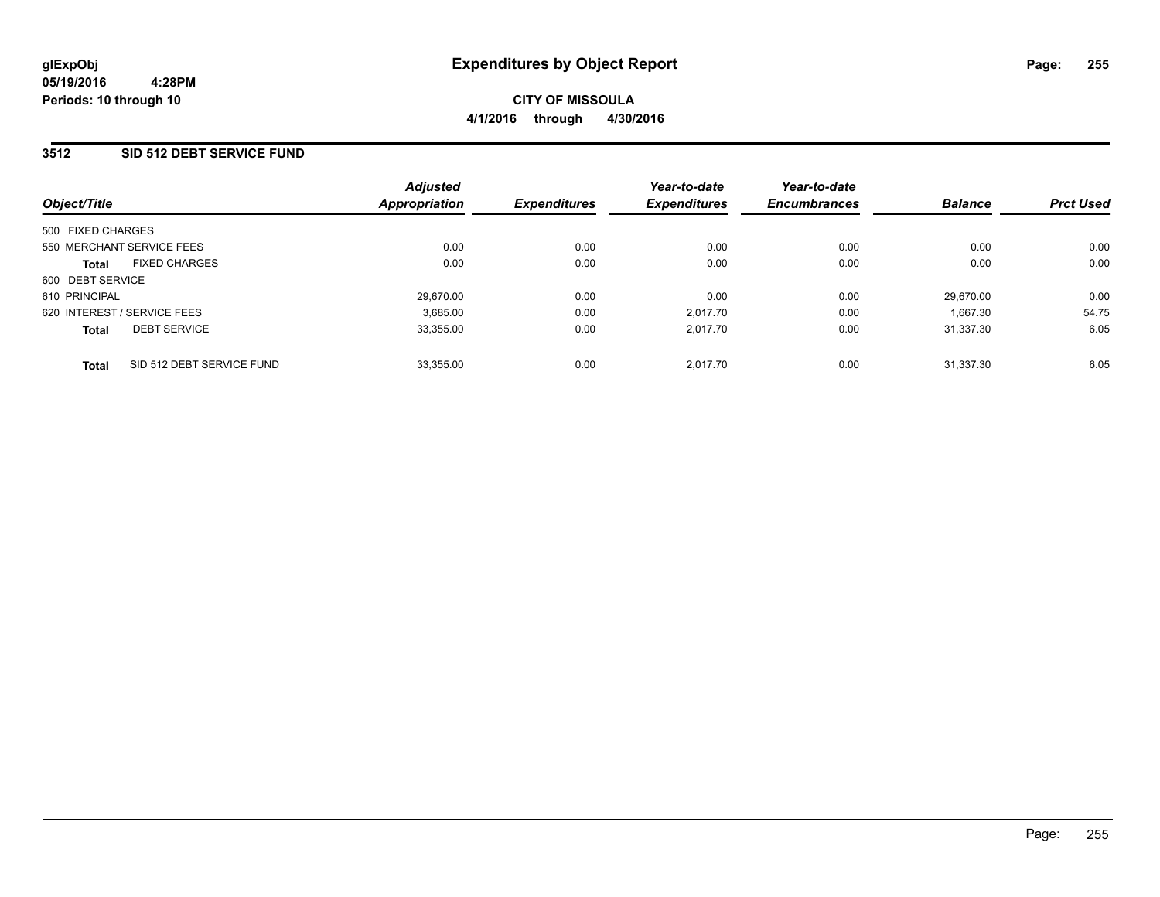#### **3512 SID 512 DEBT SERVICE FUND**

|                                           | <b>Adjusted</b> |                     | Year-to-date        | Year-to-date        |                |                  |
|-------------------------------------------|-----------------|---------------------|---------------------|---------------------|----------------|------------------|
| Object/Title                              | Appropriation   | <b>Expenditures</b> | <b>Expenditures</b> | <b>Encumbrances</b> | <b>Balance</b> | <b>Prct Used</b> |
| 500 FIXED CHARGES                         |                 |                     |                     |                     |                |                  |
| 550 MERCHANT SERVICE FEES                 | 0.00            | 0.00                | 0.00                | 0.00                | 0.00           | 0.00             |
| <b>FIXED CHARGES</b><br><b>Total</b>      | 0.00            | 0.00                | 0.00                | 0.00                | 0.00           | 0.00             |
| 600 DEBT SERVICE                          |                 |                     |                     |                     |                |                  |
| 610 PRINCIPAL                             | 29,670.00       | 0.00                | 0.00                | 0.00                | 29.670.00      | 0.00             |
| 620 INTEREST / SERVICE FEES               | 3,685.00        | 0.00                | 2.017.70            | 0.00                | 1.667.30       | 54.75            |
| <b>DEBT SERVICE</b><br><b>Total</b>       | 33,355.00       | 0.00                | 2.017.70            | 0.00                | 31.337.30      | 6.05             |
| SID 512 DEBT SERVICE FUND<br><b>Total</b> | 33,355.00       | 0.00                | 2.017.70            | 0.00                | 31.337.30      | 6.05             |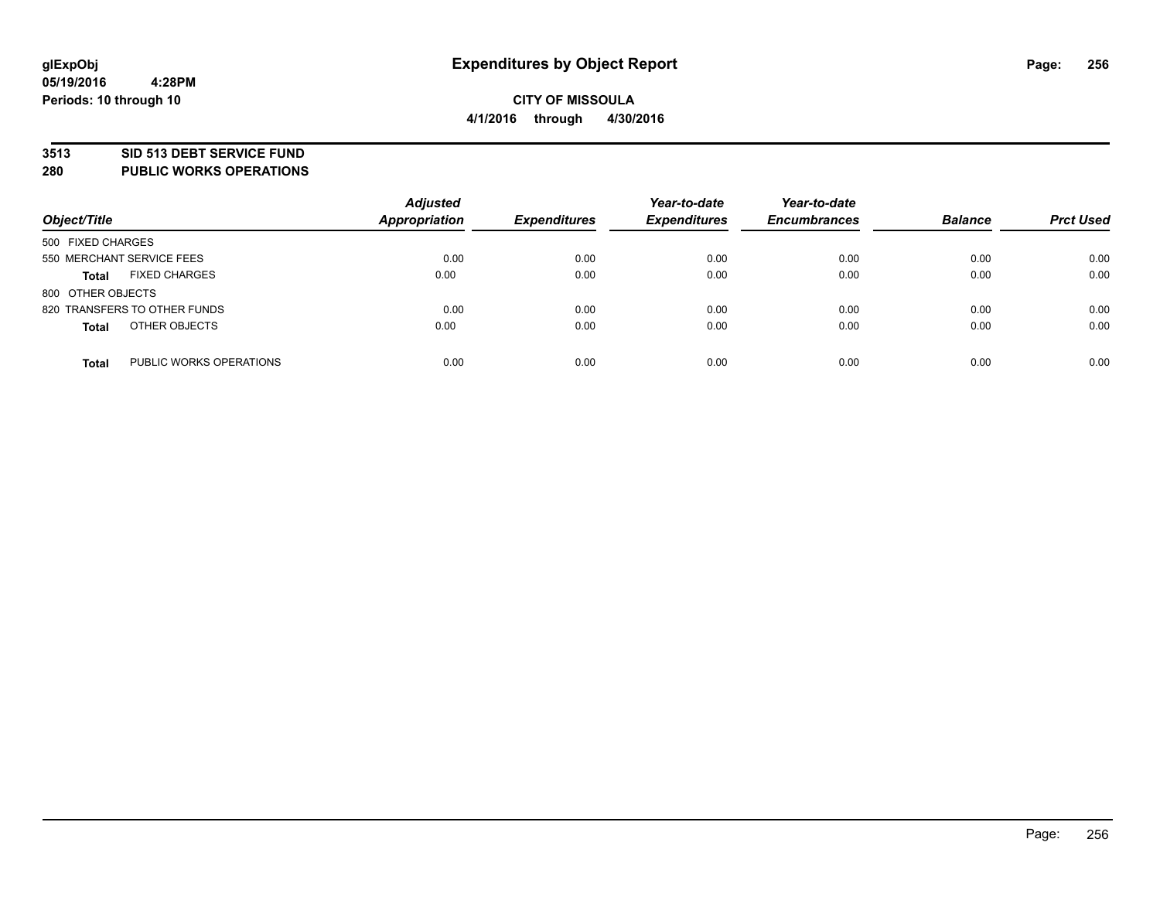#### **3513 SID 513 DEBT SERVICE FUND**

**280 PUBLIC WORKS OPERATIONS**

| Object/Title                            | <b>Adjusted</b><br><b>Appropriation</b> | <b>Expenditures</b> | Year-to-date<br><b>Expenditures</b> | Year-to-date<br><b>Encumbrances</b> | <b>Balance</b> | <b>Prct Used</b> |
|-----------------------------------------|-----------------------------------------|---------------------|-------------------------------------|-------------------------------------|----------------|------------------|
| 500 FIXED CHARGES                       |                                         |                     |                                     |                                     |                |                  |
| 550 MERCHANT SERVICE FEES               | 0.00                                    | 0.00                | 0.00                                | 0.00                                | 0.00           | 0.00             |
| <b>FIXED CHARGES</b><br><b>Total</b>    | 0.00                                    | 0.00                | 0.00                                | 0.00                                | 0.00           | 0.00             |
| 800 OTHER OBJECTS                       |                                         |                     |                                     |                                     |                |                  |
| 820 TRANSFERS TO OTHER FUNDS            | 0.00                                    | 0.00                | 0.00                                | 0.00                                | 0.00           | 0.00             |
| OTHER OBJECTS<br><b>Total</b>           | 0.00                                    | 0.00                | 0.00                                | 0.00                                | 0.00           | 0.00             |
| PUBLIC WORKS OPERATIONS<br><b>Total</b> | 0.00                                    | 0.00                | 0.00                                | 0.00                                | 0.00           | 0.00             |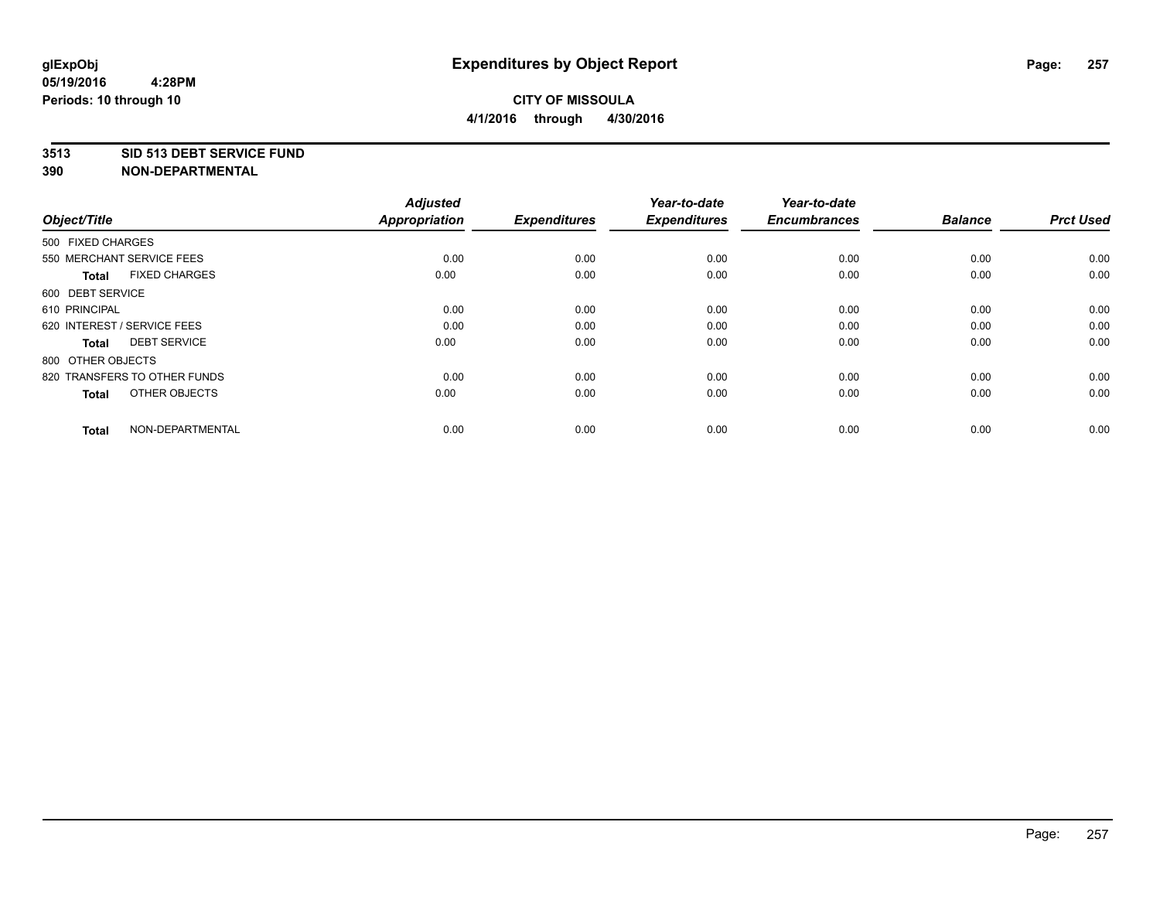#### **3513 SID 513 DEBT SERVICE FUND**

| Object/Title                         | <b>Adjusted</b><br><b>Appropriation</b> | <b>Expenditures</b> | Year-to-date<br><b>Expenditures</b> | Year-to-date<br><b>Encumbrances</b> | <b>Balance</b> | <b>Prct Used</b> |
|--------------------------------------|-----------------------------------------|---------------------|-------------------------------------|-------------------------------------|----------------|------------------|
| 500 FIXED CHARGES                    |                                         |                     |                                     |                                     |                |                  |
| 550 MERCHANT SERVICE FEES            | 0.00                                    | 0.00                | 0.00                                | 0.00                                | 0.00           | 0.00             |
| <b>FIXED CHARGES</b><br><b>Total</b> | 0.00                                    | 0.00                | 0.00                                | 0.00                                | 0.00           | 0.00             |
| 600 DEBT SERVICE                     |                                         |                     |                                     |                                     |                |                  |
| 610 PRINCIPAL                        | 0.00                                    | 0.00                | 0.00                                | 0.00                                | 0.00           | 0.00             |
| 620 INTEREST / SERVICE FEES          | 0.00                                    | 0.00                | 0.00                                | 0.00                                | 0.00           | 0.00             |
| <b>DEBT SERVICE</b><br><b>Total</b>  | 0.00                                    | 0.00                | 0.00                                | 0.00                                | 0.00           | 0.00             |
| 800 OTHER OBJECTS                    |                                         |                     |                                     |                                     |                |                  |
| 820 TRANSFERS TO OTHER FUNDS         | 0.00                                    | 0.00                | 0.00                                | 0.00                                | 0.00           | 0.00             |
| OTHER OBJECTS<br><b>Total</b>        | 0.00                                    | 0.00                | 0.00                                | 0.00                                | 0.00           | 0.00             |
|                                      |                                         |                     |                                     |                                     |                |                  |
| NON-DEPARTMENTAL<br><b>Total</b>     | 0.00                                    | 0.00                | 0.00                                | 0.00                                | 0.00           | 0.00             |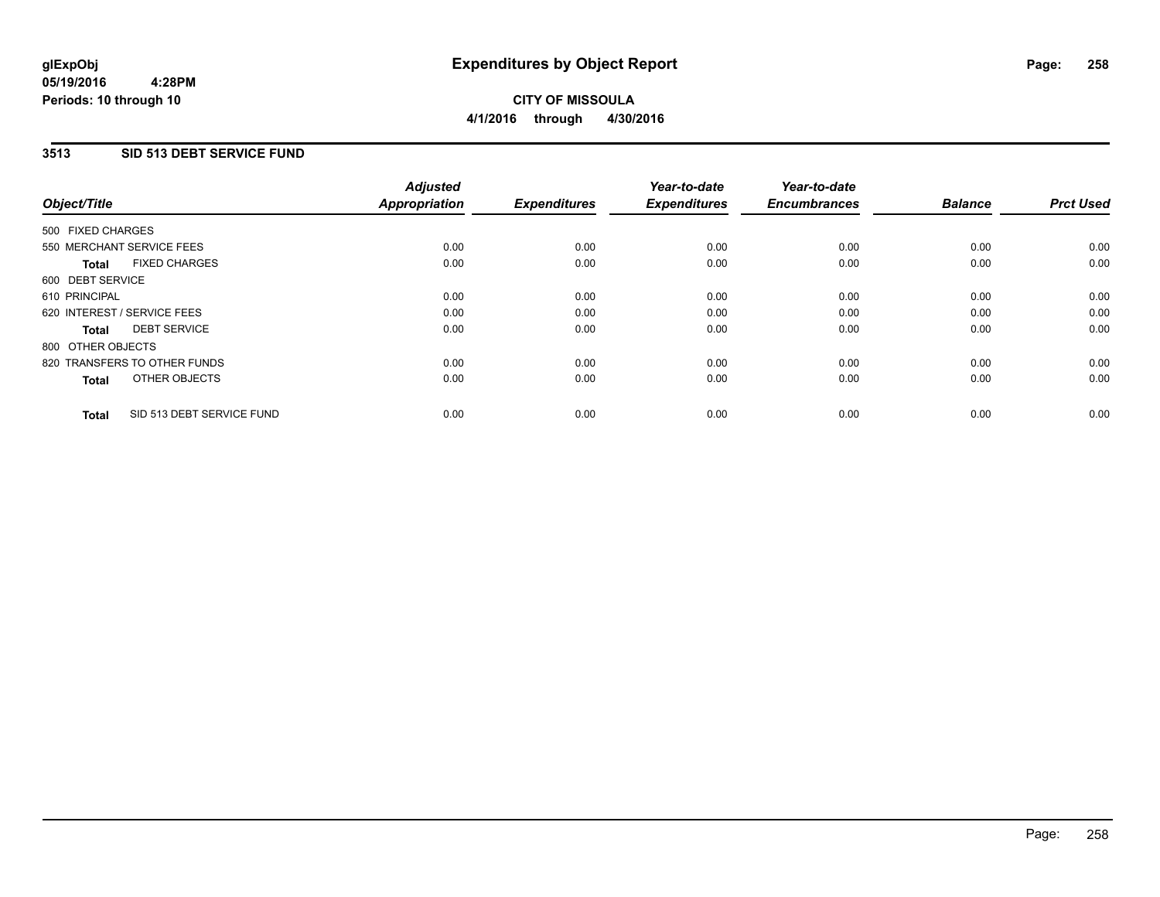#### **05/19/2016 4:28PM Periods: 10 through 10**

# **CITY OF MISSOULA 4/1/2016 through 4/30/2016**

#### **3513 SID 513 DEBT SERVICE FUND**

| Object/Title      |                              | <b>Adjusted</b><br>Appropriation | <b>Expenditures</b> | Year-to-date<br><b>Expenditures</b> | Year-to-date<br><b>Encumbrances</b> | <b>Balance</b> | <b>Prct Used</b> |
|-------------------|------------------------------|----------------------------------|---------------------|-------------------------------------|-------------------------------------|----------------|------------------|
| 500 FIXED CHARGES |                              |                                  |                     |                                     |                                     |                |                  |
|                   | 550 MERCHANT SERVICE FEES    | 0.00                             | 0.00                | 0.00                                | 0.00                                | 0.00           | 0.00             |
| <b>Total</b>      | <b>FIXED CHARGES</b>         | 0.00                             | 0.00                | 0.00                                | 0.00                                | 0.00           | 0.00             |
| 600 DEBT SERVICE  |                              |                                  |                     |                                     |                                     |                |                  |
| 610 PRINCIPAL     |                              | 0.00                             | 0.00                | 0.00                                | 0.00                                | 0.00           | 0.00             |
|                   | 620 INTEREST / SERVICE FEES  | 0.00                             | 0.00                | 0.00                                | 0.00                                | 0.00           | 0.00             |
| Total             | <b>DEBT SERVICE</b>          | 0.00                             | 0.00                | 0.00                                | 0.00                                | 0.00           | 0.00             |
| 800 OTHER OBJECTS |                              |                                  |                     |                                     |                                     |                |                  |
|                   | 820 TRANSFERS TO OTHER FUNDS | 0.00                             | 0.00                | 0.00                                | 0.00                                | 0.00           | 0.00             |
| <b>Total</b>      | OTHER OBJECTS                | 0.00                             | 0.00                | 0.00                                | 0.00                                | 0.00           | 0.00             |
| <b>Total</b>      | SID 513 DEBT SERVICE FUND    | 0.00                             | 0.00                | 0.00                                | 0.00                                | 0.00           | 0.00             |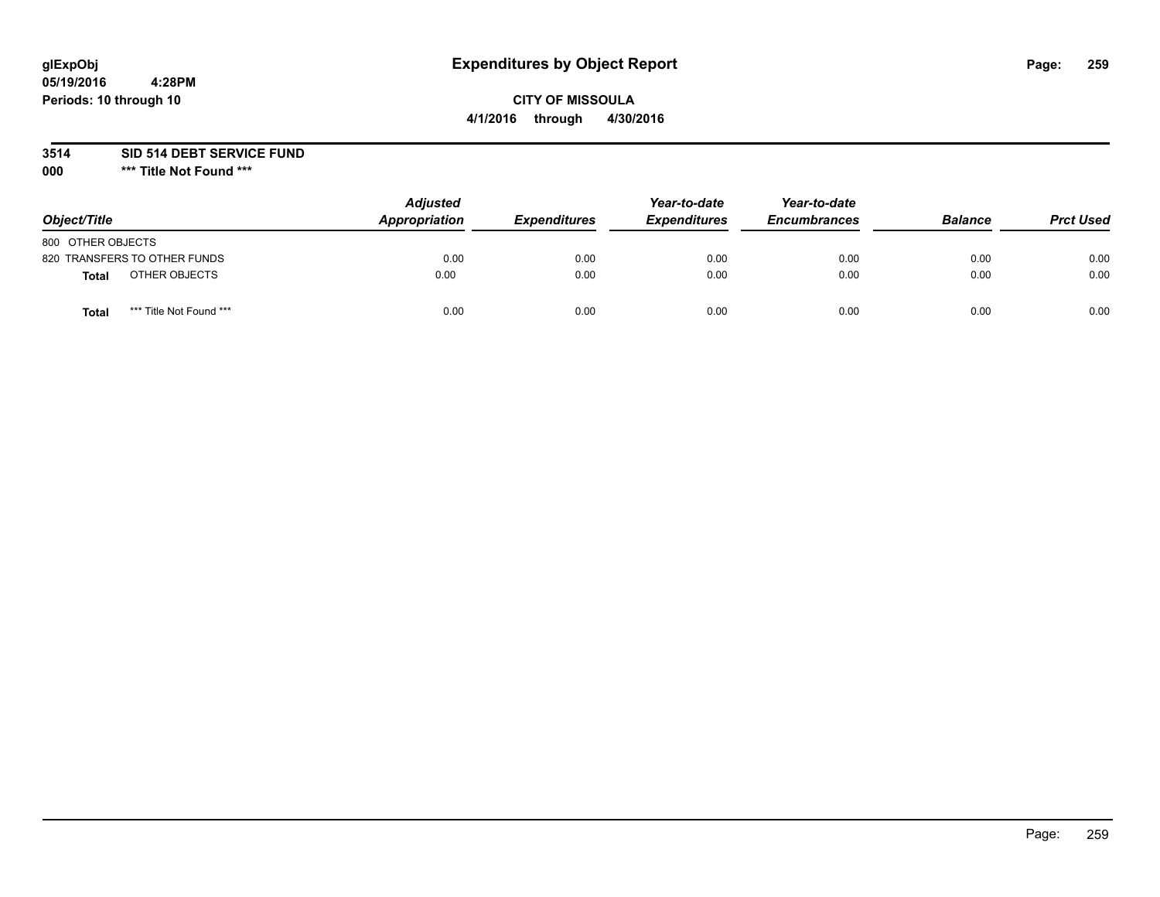# **glExpObj Expenditures by Object Report Page: 259**

### **CITY OF MISSOULA 4/1/2016 through 4/30/2016**

**3514 SID 514 DEBT SERVICE FUND**

**000 \*\*\* Title Not Found \*\*\***

| Object/Title                     | <b>Adjusted</b><br>Appropriation | <b>Expenditures</b> | Year-to-date<br><b>Expenditures</b> | Year-to-date<br><b>Encumbrances</b> | <b>Balance</b> | <b>Prct Used</b> |
|----------------------------------|----------------------------------|---------------------|-------------------------------------|-------------------------------------|----------------|------------------|
| 800 OTHER OBJECTS                |                                  |                     |                                     |                                     |                |                  |
| 820 TRANSFERS TO OTHER FUNDS     | 0.00                             | 0.00                | 0.00                                | 0.00                                | 0.00           | 0.00             |
| OTHER OBJECTS<br><b>Total</b>    | 0.00                             | 0.00                | 0.00                                | 0.00                                | 0.00           | 0.00             |
| *** Title Not Found ***<br>Total | 0.00                             | 0.00                | 0.00                                | 0.00                                | 0.00           | 0.00             |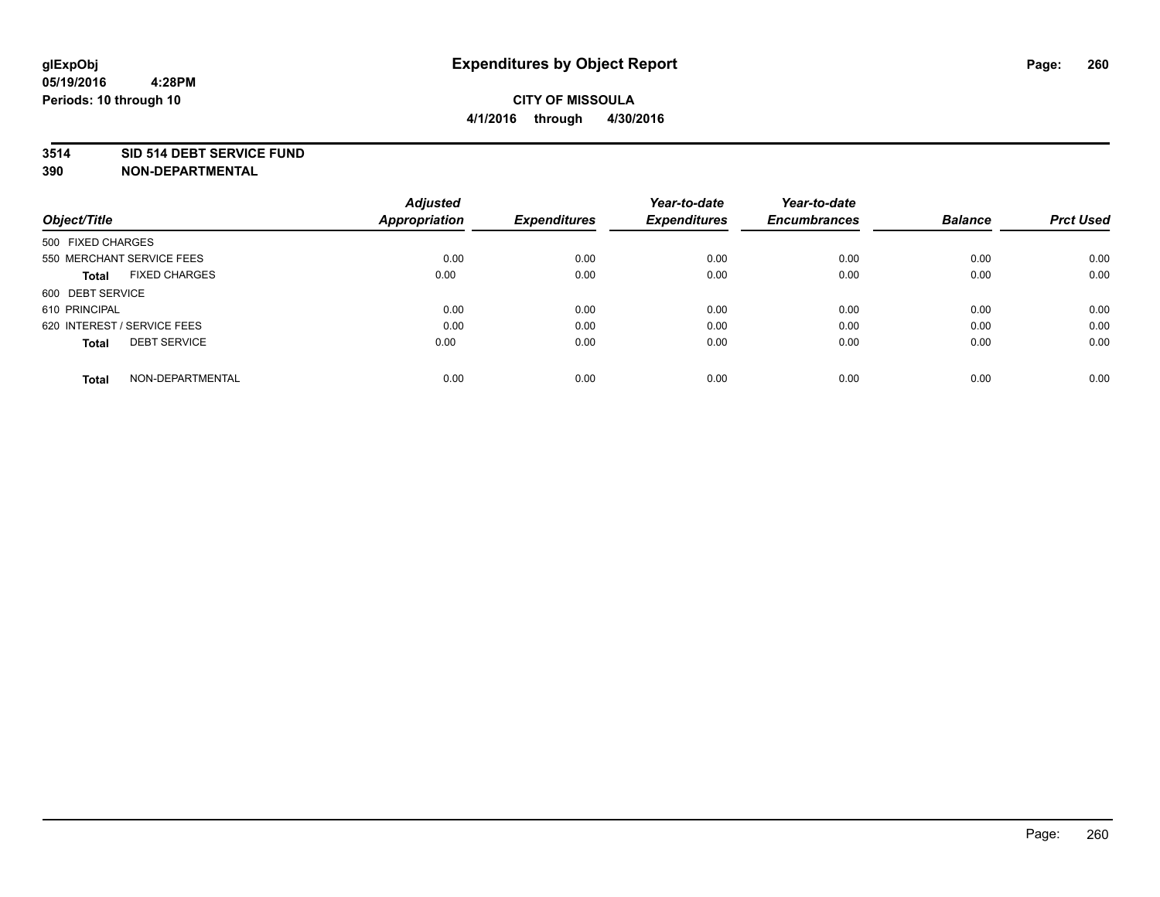#### **3514 SID 514 DEBT SERVICE FUND**

| Object/Title                         | <b>Adjusted</b><br><b>Appropriation</b> | <b>Expenditures</b> | Year-to-date<br><b>Expenditures</b> | Year-to-date<br><b>Encumbrances</b> | <b>Balance</b> | <b>Prct Used</b> |
|--------------------------------------|-----------------------------------------|---------------------|-------------------------------------|-------------------------------------|----------------|------------------|
|                                      |                                         |                     |                                     |                                     |                |                  |
| 500 FIXED CHARGES                    |                                         |                     |                                     |                                     |                |                  |
| 550 MERCHANT SERVICE FEES            | 0.00                                    | 0.00                | 0.00                                | 0.00                                | 0.00           | 0.00             |
| <b>FIXED CHARGES</b><br><b>Total</b> | 0.00                                    | 0.00                | 0.00                                | 0.00                                | 0.00           | 0.00             |
| 600 DEBT SERVICE                     |                                         |                     |                                     |                                     |                |                  |
| 610 PRINCIPAL                        | 0.00                                    | 0.00                | 0.00                                | 0.00                                | 0.00           | 0.00             |
| 620 INTEREST / SERVICE FEES          | 0.00                                    | 0.00                | 0.00                                | 0.00                                | 0.00           | 0.00             |
| <b>DEBT SERVICE</b><br><b>Total</b>  | 0.00                                    | 0.00                | 0.00                                | 0.00                                | 0.00           | 0.00             |
| NON-DEPARTMENTAL<br><b>Total</b>     | 0.00                                    | 0.00                | 0.00                                | 0.00                                | 0.00           | 0.00             |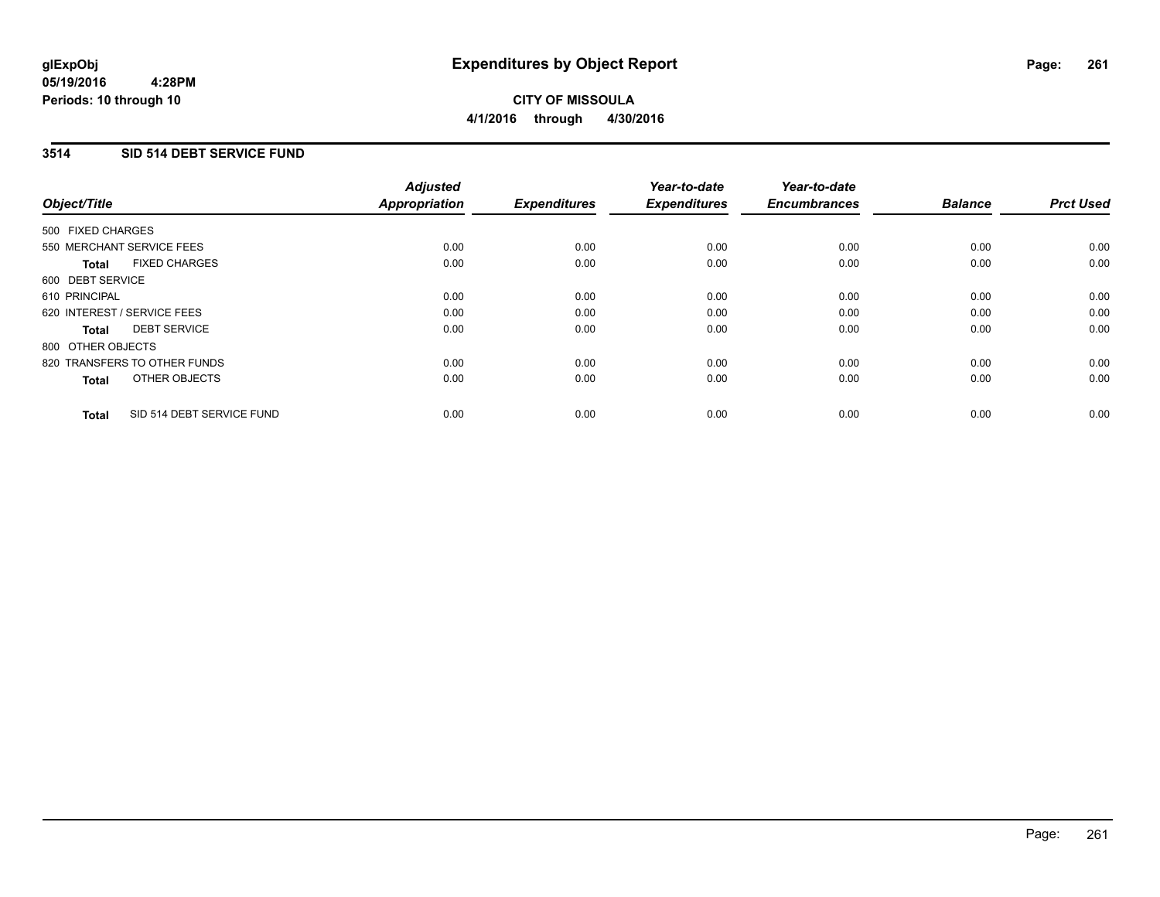#### **05/19/2016 4:28PM Periods: 10 through 10**

# **CITY OF MISSOULA 4/1/2016 through 4/30/2016**

#### **3514 SID 514 DEBT SERVICE FUND**

| Object/Title      |                              | <b>Adjusted</b><br>Appropriation | <b>Expenditures</b> | Year-to-date<br><b>Expenditures</b> | Year-to-date<br><b>Encumbrances</b> | <b>Balance</b> | <b>Prct Used</b> |
|-------------------|------------------------------|----------------------------------|---------------------|-------------------------------------|-------------------------------------|----------------|------------------|
| 500 FIXED CHARGES |                              |                                  |                     |                                     |                                     |                |                  |
|                   | 550 MERCHANT SERVICE FEES    | 0.00                             | 0.00                | 0.00                                | 0.00                                | 0.00           | 0.00             |
| <b>Total</b>      | <b>FIXED CHARGES</b>         | 0.00                             | 0.00                | 0.00                                | 0.00                                | 0.00           | 0.00             |
| 600 DEBT SERVICE  |                              |                                  |                     |                                     |                                     |                |                  |
| 610 PRINCIPAL     |                              | 0.00                             | 0.00                | 0.00                                | 0.00                                | 0.00           | 0.00             |
|                   | 620 INTEREST / SERVICE FEES  | 0.00                             | 0.00                | 0.00                                | 0.00                                | 0.00           | 0.00             |
| Total             | <b>DEBT SERVICE</b>          | 0.00                             | 0.00                | 0.00                                | 0.00                                | 0.00           | 0.00             |
| 800 OTHER OBJECTS |                              |                                  |                     |                                     |                                     |                |                  |
|                   | 820 TRANSFERS TO OTHER FUNDS | 0.00                             | 0.00                | 0.00                                | 0.00                                | 0.00           | 0.00             |
| <b>Total</b>      | OTHER OBJECTS                | 0.00                             | 0.00                | 0.00                                | 0.00                                | 0.00           | 0.00             |
| <b>Total</b>      | SID 514 DEBT SERVICE FUND    | 0.00                             | 0.00                | 0.00                                | 0.00                                | 0.00           | 0.00             |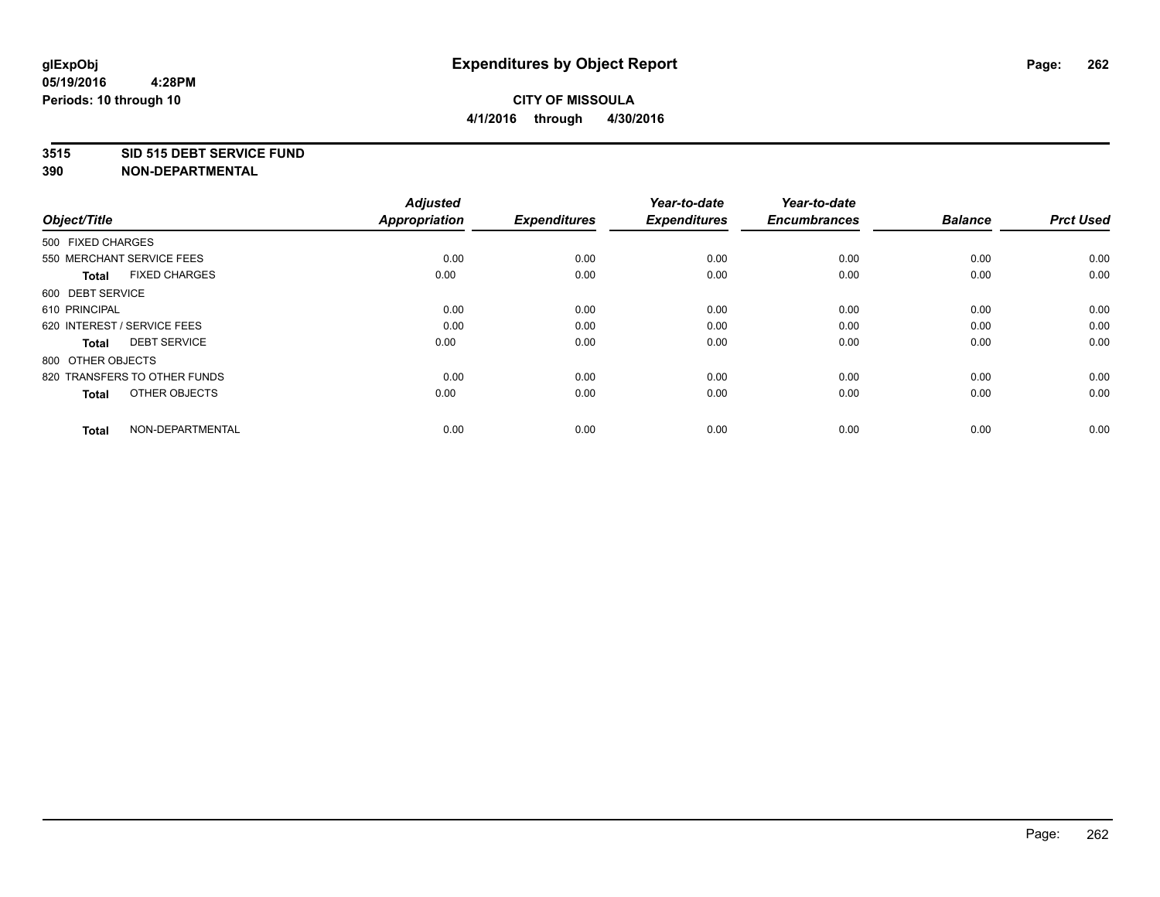#### **3515 SID 515 DEBT SERVICE FUND**

| Object/Title                         | <b>Adjusted</b><br><b>Appropriation</b> | <b>Expenditures</b> | Year-to-date<br><b>Expenditures</b> | Year-to-date<br><b>Encumbrances</b> | <b>Balance</b> | <b>Prct Used</b> |
|--------------------------------------|-----------------------------------------|---------------------|-------------------------------------|-------------------------------------|----------------|------------------|
| 500 FIXED CHARGES                    |                                         |                     |                                     |                                     |                |                  |
| 550 MERCHANT SERVICE FEES            | 0.00                                    | 0.00                | 0.00                                | 0.00                                | 0.00           | 0.00             |
| <b>FIXED CHARGES</b><br><b>Total</b> | 0.00                                    | 0.00                | 0.00                                | 0.00                                | 0.00           | 0.00             |
| 600 DEBT SERVICE                     |                                         |                     |                                     |                                     |                |                  |
| 610 PRINCIPAL                        | 0.00                                    | 0.00                | 0.00                                | 0.00                                | 0.00           | 0.00             |
| 620 INTEREST / SERVICE FEES          | 0.00                                    | 0.00                | 0.00                                | 0.00                                | 0.00           | 0.00             |
| <b>DEBT SERVICE</b><br><b>Total</b>  | 0.00                                    | 0.00                | 0.00                                | 0.00                                | 0.00           | 0.00             |
| 800 OTHER OBJECTS                    |                                         |                     |                                     |                                     |                |                  |
| 820 TRANSFERS TO OTHER FUNDS         | 0.00                                    | 0.00                | 0.00                                | 0.00                                | 0.00           | 0.00             |
| OTHER OBJECTS<br><b>Total</b>        | 0.00                                    | 0.00                | 0.00                                | 0.00                                | 0.00           | 0.00             |
|                                      |                                         |                     |                                     |                                     |                |                  |
| NON-DEPARTMENTAL<br><b>Total</b>     | 0.00                                    | 0.00                | 0.00                                | 0.00                                | 0.00           | 0.00             |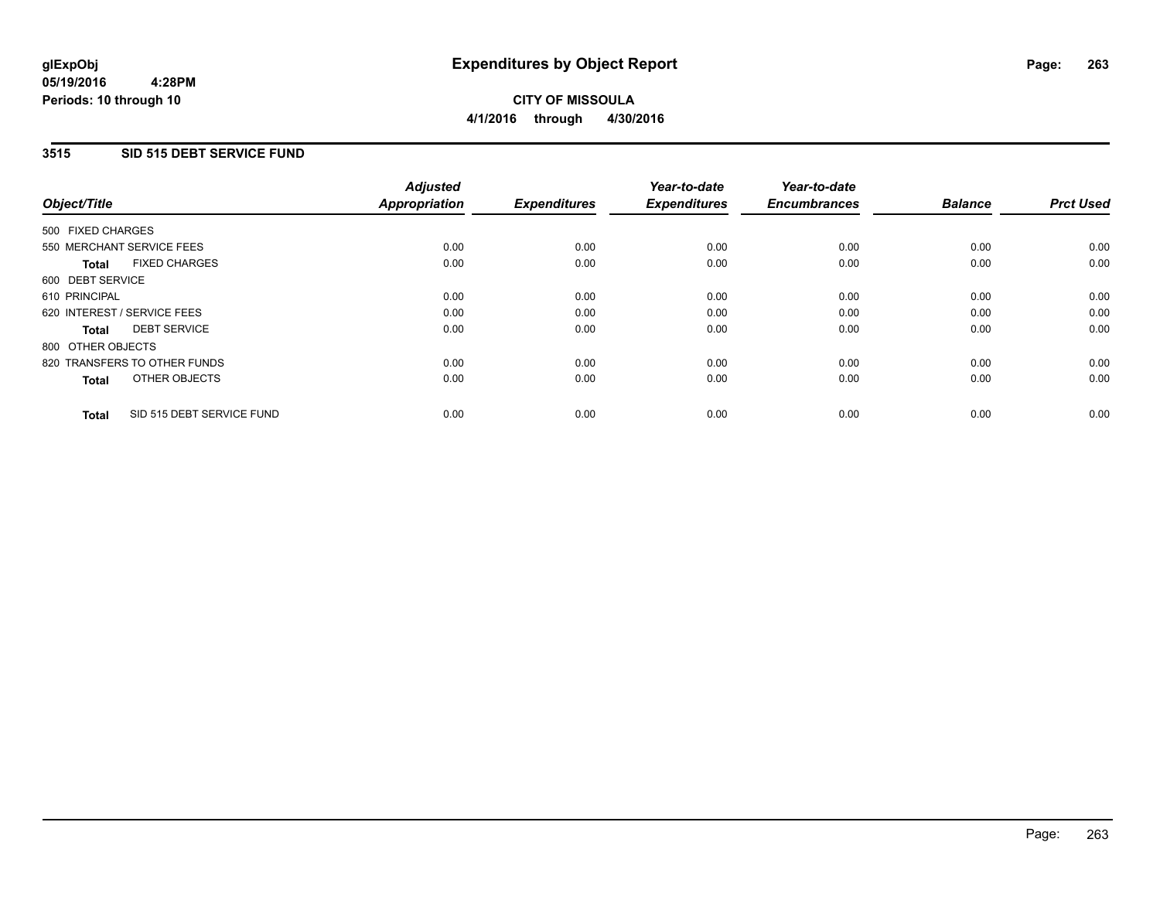#### **05/19/2016 4:28PM Periods: 10 through 10**

# **CITY OF MISSOULA 4/1/2016 through 4/30/2016**

### **3515 SID 515 DEBT SERVICE FUND**

| Object/Title                              | <b>Adjusted</b><br><b>Appropriation</b> | <b>Expenditures</b> | Year-to-date<br><b>Expenditures</b> | Year-to-date<br><b>Encumbrances</b> | <b>Balance</b> | <b>Prct Used</b> |
|-------------------------------------------|-----------------------------------------|---------------------|-------------------------------------|-------------------------------------|----------------|------------------|
|                                           |                                         |                     |                                     |                                     |                |                  |
| 500 FIXED CHARGES                         |                                         |                     |                                     |                                     |                |                  |
| 550 MERCHANT SERVICE FEES                 | 0.00                                    | 0.00                | 0.00                                | 0.00                                | 0.00           | 0.00             |
| <b>FIXED CHARGES</b><br>Total             | 0.00                                    | 0.00                | 0.00                                | 0.00                                | 0.00           | 0.00             |
| 600 DEBT SERVICE                          |                                         |                     |                                     |                                     |                |                  |
| 610 PRINCIPAL                             | 0.00                                    | 0.00                | 0.00                                | 0.00                                | 0.00           | 0.00             |
| 620 INTEREST / SERVICE FEES               | 0.00                                    | 0.00                | 0.00                                | 0.00                                | 0.00           | 0.00             |
| <b>DEBT SERVICE</b><br><b>Total</b>       | 0.00                                    | 0.00                | 0.00                                | 0.00                                | 0.00           | 0.00             |
| 800 OTHER OBJECTS                         |                                         |                     |                                     |                                     |                |                  |
| 820 TRANSFERS TO OTHER FUNDS              | 0.00                                    | 0.00                | 0.00                                | 0.00                                | 0.00           | 0.00             |
| OTHER OBJECTS<br><b>Total</b>             | 0.00                                    | 0.00                | 0.00                                | 0.00                                | 0.00           | 0.00             |
|                                           |                                         |                     |                                     |                                     |                |                  |
| SID 515 DEBT SERVICE FUND<br><b>Total</b> | 0.00                                    | 0.00                | 0.00                                | 0.00                                | 0.00           | 0.00             |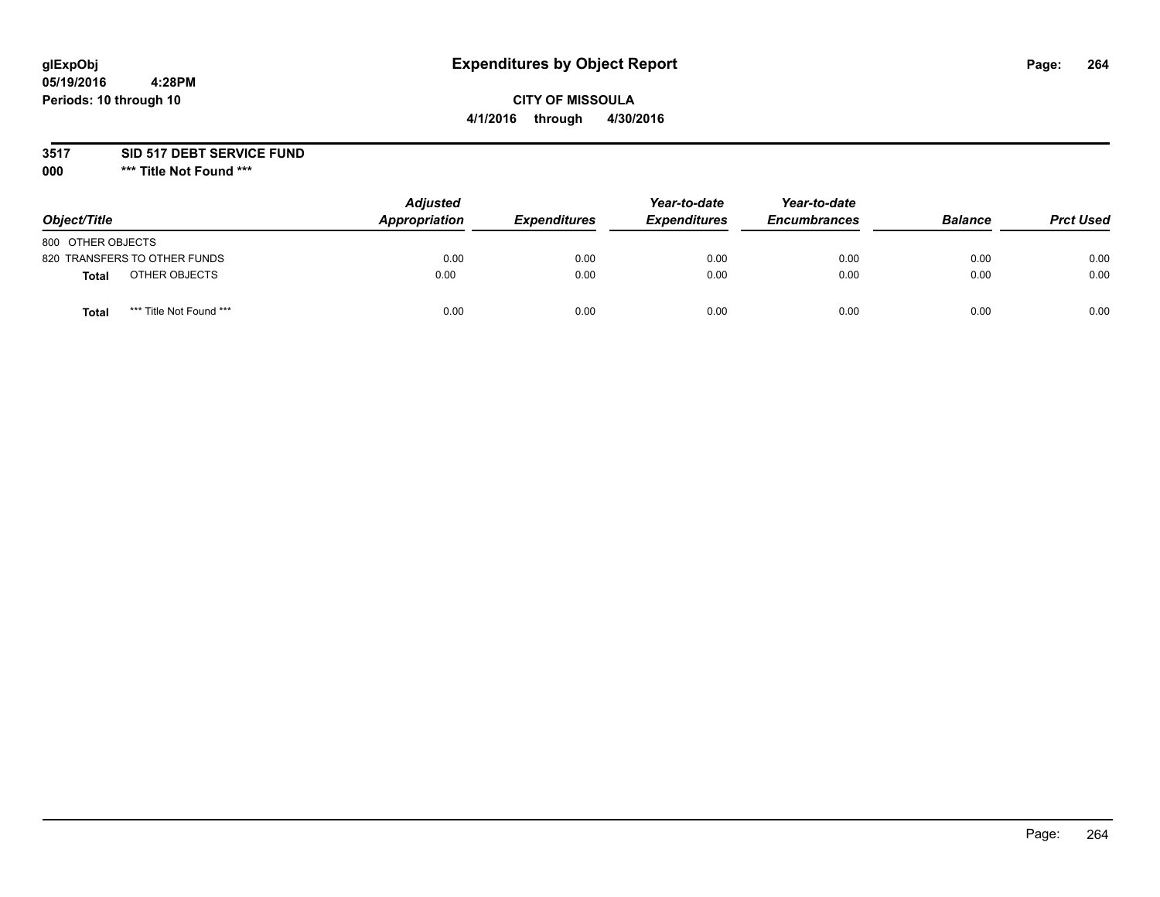# **glExpObj Expenditures by Object Report Page: 264**

### **CITY OF MISSOULA 4/1/2016 through 4/30/2016**

#### **3517 SID 517 DEBT SERVICE FUND**

**000 \*\*\* Title Not Found \*\*\***

| Object/Title                            | <b>Adjusted</b><br>Appropriation | <b>Expenditures</b> | Year-to-date<br><b>Expenditures</b> | Year-to-date<br><b>Encumbrances</b> | <b>Balance</b> | <b>Prct Used</b> |
|-----------------------------------------|----------------------------------|---------------------|-------------------------------------|-------------------------------------|----------------|------------------|
| 800 OTHER OBJECTS                       |                                  |                     |                                     |                                     |                |                  |
| 820 TRANSFERS TO OTHER FUNDS            | 0.00                             | 0.00                | 0.00                                | 0.00                                | 0.00           | 0.00             |
| OTHER OBJECTS<br>Total                  | 0.00                             | 0.00                | 0.00                                | 0.00                                | 0.00           | 0.00             |
| *** Title Not Found ***<br><b>Total</b> | 0.00                             | 0.00                | 0.00                                | 0.00                                | 0.00           | 0.00             |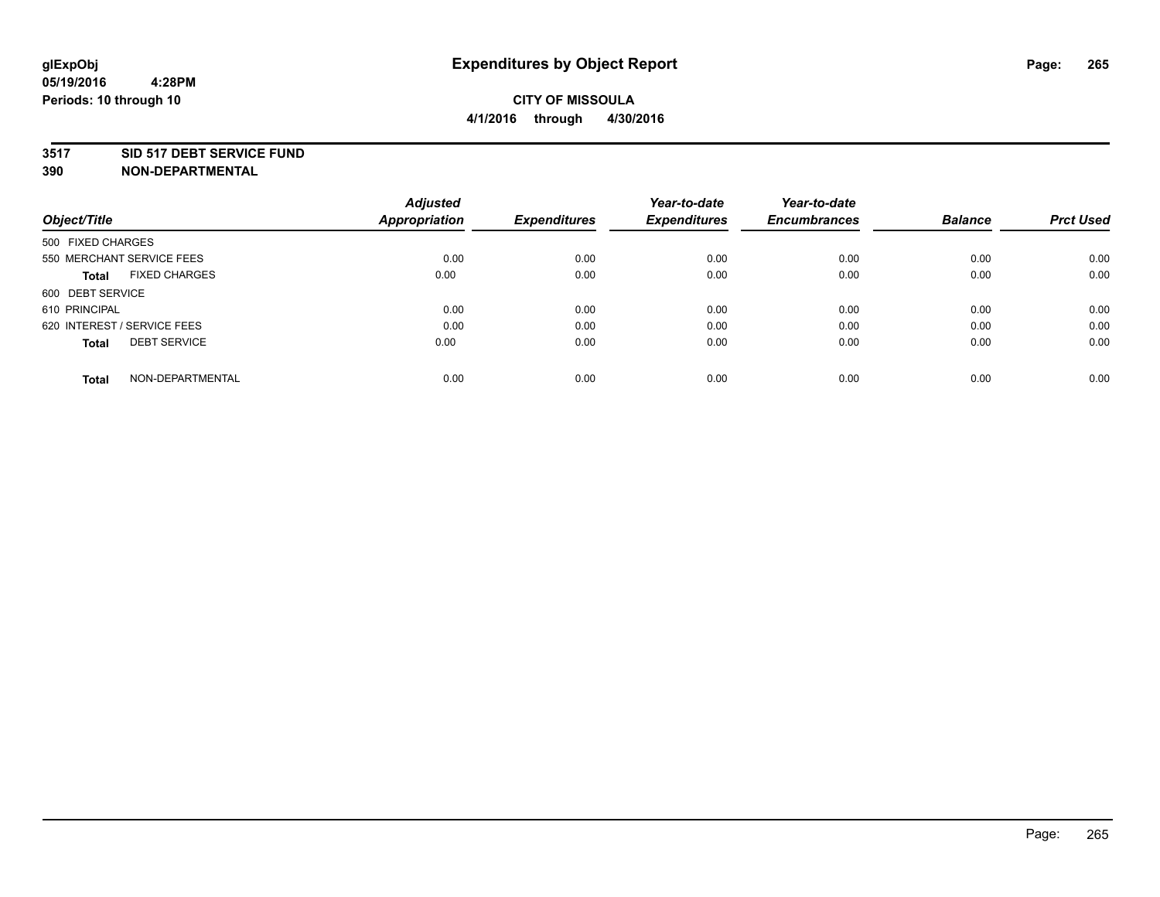#### **3517 SID 517 DEBT SERVICE FUND**

|                                      | <b>Adjusted</b>      |                     | Year-to-date        | Year-to-date        |                |                  |
|--------------------------------------|----------------------|---------------------|---------------------|---------------------|----------------|------------------|
| Object/Title                         | <b>Appropriation</b> | <b>Expenditures</b> | <b>Expenditures</b> | <b>Encumbrances</b> | <b>Balance</b> | <b>Prct Used</b> |
| 500 FIXED CHARGES                    |                      |                     |                     |                     |                |                  |
| 550 MERCHANT SERVICE FEES            | 0.00                 | 0.00                | 0.00                | 0.00                | 0.00           | 0.00             |
| <b>FIXED CHARGES</b><br><b>Total</b> | 0.00                 | 0.00                | 0.00                | 0.00                | 0.00           | 0.00             |
| 600 DEBT SERVICE                     |                      |                     |                     |                     |                |                  |
| 610 PRINCIPAL                        | 0.00                 | 0.00                | 0.00                | 0.00                | 0.00           | 0.00             |
| 620 INTEREST / SERVICE FEES          | 0.00                 | 0.00                | 0.00                | 0.00                | 0.00           | 0.00             |
| <b>DEBT SERVICE</b><br><b>Total</b>  | 0.00                 | 0.00                | 0.00                | 0.00                | 0.00           | 0.00             |
| NON-DEPARTMENTAL<br>Total            | 0.00                 | 0.00                | 0.00                | 0.00                | 0.00           | 0.00             |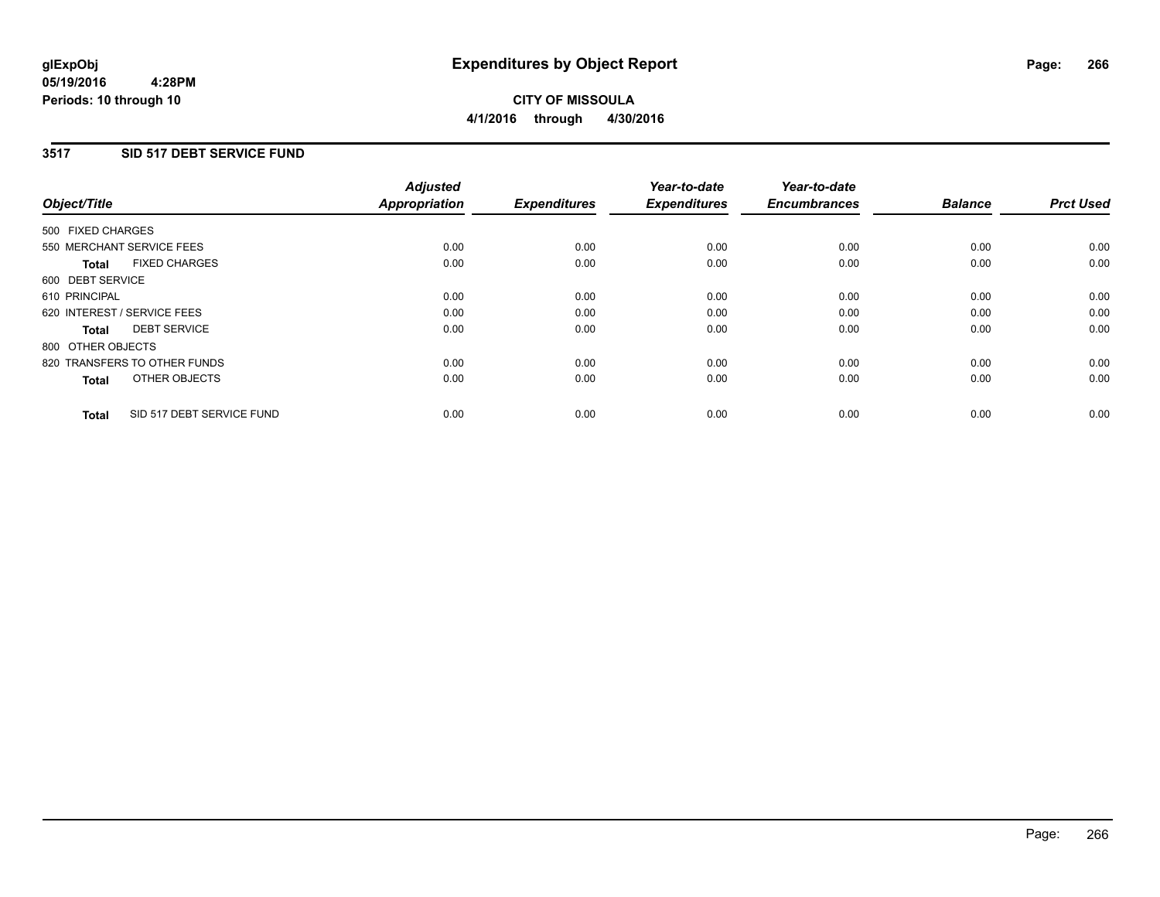### **3517 SID 517 DEBT SERVICE FUND**

|                                           | <b>Adjusted</b>      | <b>Expenditures</b> | Year-to-date<br><b>Expenditures</b> | Year-to-date<br><b>Encumbrances</b> | <b>Balance</b> | <b>Prct Used</b> |
|-------------------------------------------|----------------------|---------------------|-------------------------------------|-------------------------------------|----------------|------------------|
| Object/Title                              | <b>Appropriation</b> |                     |                                     |                                     |                |                  |
| 500 FIXED CHARGES                         |                      |                     |                                     |                                     |                |                  |
| 550 MERCHANT SERVICE FEES                 | 0.00                 | 0.00                | 0.00                                | 0.00                                | 0.00           | 0.00             |
| <b>FIXED CHARGES</b><br><b>Total</b>      | 0.00                 | 0.00                | 0.00                                | 0.00                                | 0.00           | 0.00             |
| 600 DEBT SERVICE                          |                      |                     |                                     |                                     |                |                  |
| 610 PRINCIPAL                             | 0.00                 | 0.00                | 0.00                                | 0.00                                | 0.00           | 0.00             |
| 620 INTEREST / SERVICE FEES               | 0.00                 | 0.00                | 0.00                                | 0.00                                | 0.00           | 0.00             |
| <b>DEBT SERVICE</b><br><b>Total</b>       | 0.00                 | 0.00                | 0.00                                | 0.00                                | 0.00           | 0.00             |
| 800 OTHER OBJECTS                         |                      |                     |                                     |                                     |                |                  |
| 820 TRANSFERS TO OTHER FUNDS              | 0.00                 | 0.00                | 0.00                                | 0.00                                | 0.00           | 0.00             |
| <b>OTHER OBJECTS</b><br><b>Total</b>      | 0.00                 | 0.00                | 0.00                                | 0.00                                | 0.00           | 0.00             |
| SID 517 DEBT SERVICE FUND<br><b>Total</b> | 0.00                 | 0.00                | 0.00                                | 0.00                                | 0.00           | 0.00             |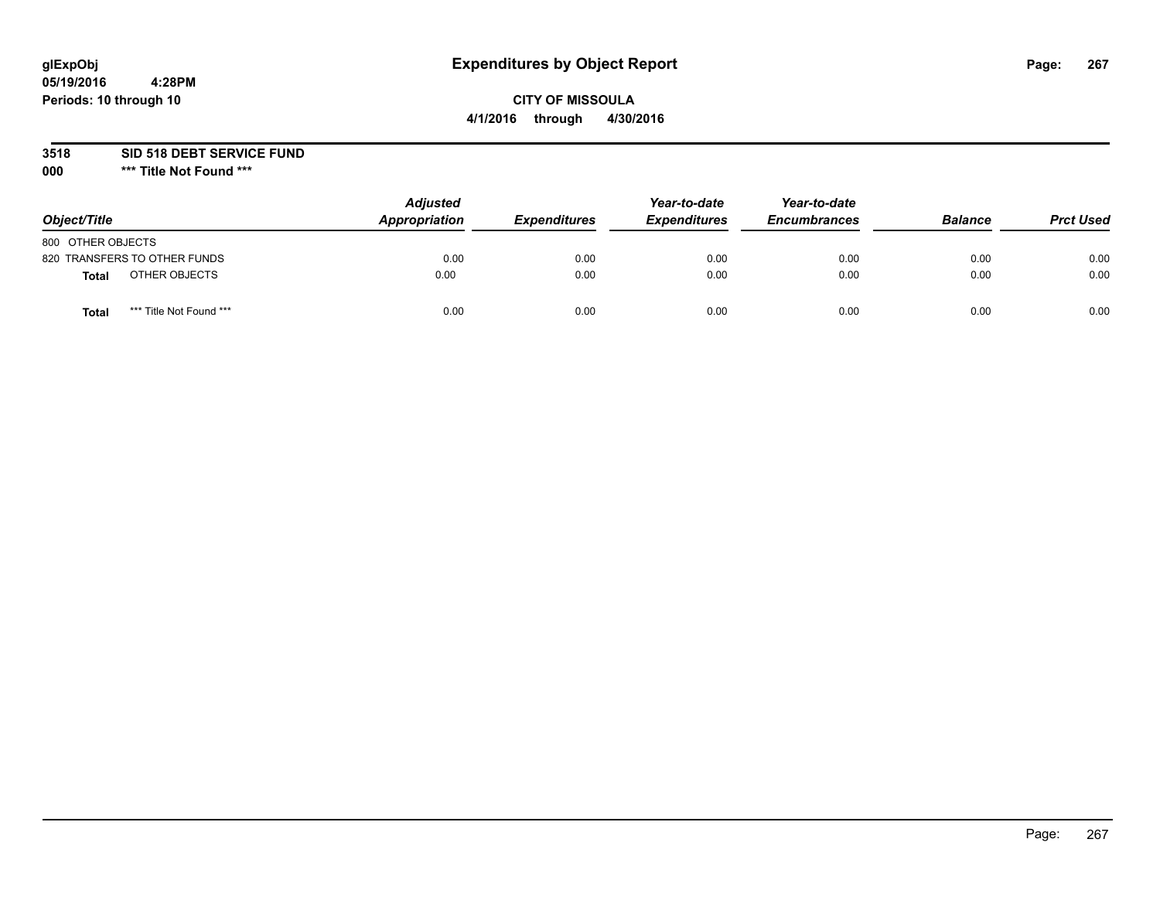# **glExpObj Expenditures by Object Report Page: 267**

### **CITY OF MISSOULA 4/1/2016 through 4/30/2016**

**3518 SID 518 DEBT SERVICE FUND**

**000 \*\*\* Title Not Found \*\*\***

| Object/Title                     | <b>Adjusted</b><br>Appropriation | <b>Expenditures</b> | Year-to-date<br><b>Expenditures</b> | Year-to-date<br><b>Encumbrances</b> | <b>Balance</b> | <b>Prct Used</b> |
|----------------------------------|----------------------------------|---------------------|-------------------------------------|-------------------------------------|----------------|------------------|
| 800 OTHER OBJECTS                |                                  |                     |                                     |                                     |                |                  |
| 820 TRANSFERS TO OTHER FUNDS     | 0.00                             | 0.00                | 0.00                                | 0.00                                | 0.00           | 0.00             |
| OTHER OBJECTS<br>Total           | 0.00                             | 0.00                | 0.00                                | 0.00                                | 0.00           | 0.00             |
| *** Title Not Found ***<br>Total | 0.00                             | 0.00                | 0.00                                | 0.00                                | 0.00           | 0.00             |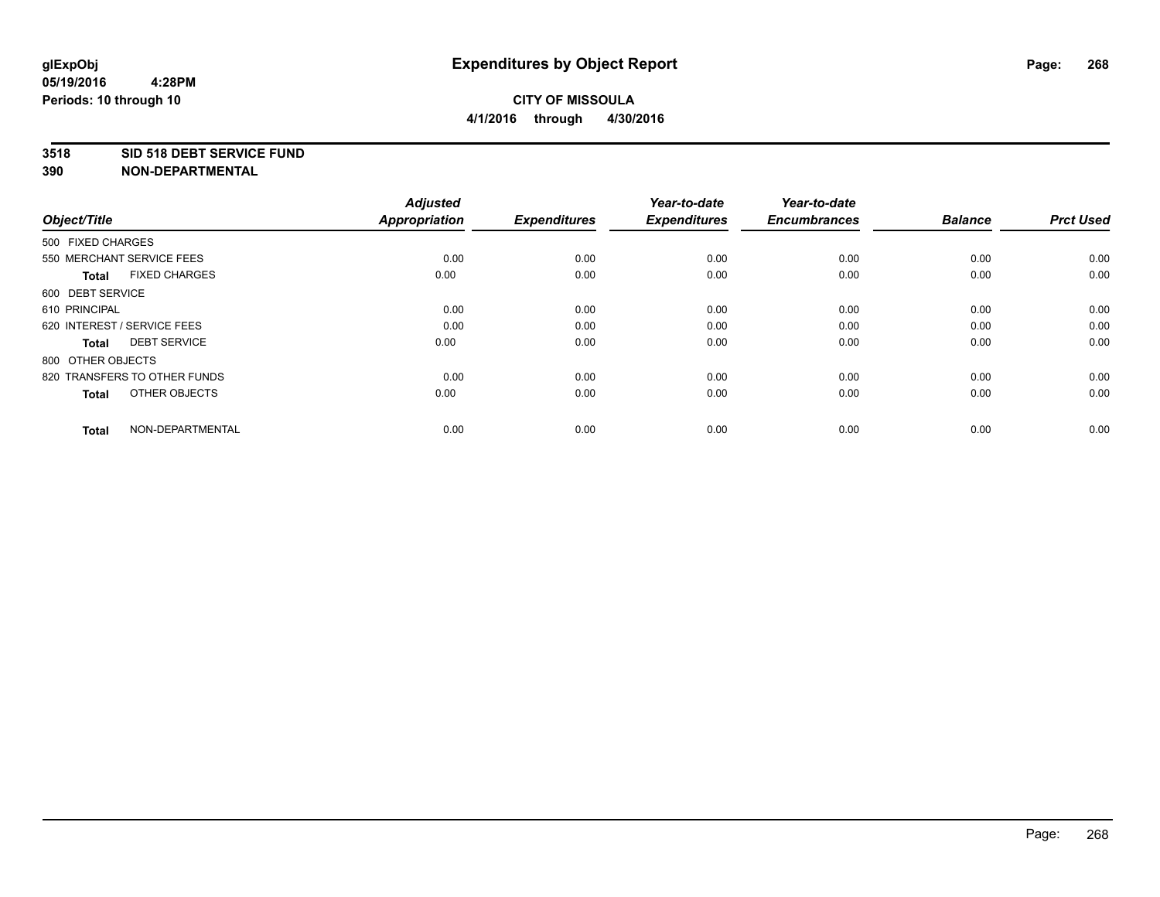#### **3518 SID 518 DEBT SERVICE FUND**

| Object/Title                         | <b>Adjusted</b><br><b>Appropriation</b> | <b>Expenditures</b> | Year-to-date<br><b>Expenditures</b> | Year-to-date<br><b>Encumbrances</b> | <b>Balance</b> | <b>Prct Used</b> |
|--------------------------------------|-----------------------------------------|---------------------|-------------------------------------|-------------------------------------|----------------|------------------|
| 500 FIXED CHARGES                    |                                         |                     |                                     |                                     |                |                  |
| 550 MERCHANT SERVICE FEES            | 0.00                                    | 0.00                | 0.00                                | 0.00                                | 0.00           | 0.00             |
| <b>FIXED CHARGES</b><br><b>Total</b> | 0.00                                    | 0.00                | 0.00                                | 0.00                                | 0.00           | 0.00             |
| 600 DEBT SERVICE                     |                                         |                     |                                     |                                     |                |                  |
| 610 PRINCIPAL                        | 0.00                                    | 0.00                | 0.00                                | 0.00                                | 0.00           | 0.00             |
| 620 INTEREST / SERVICE FEES          | 0.00                                    | 0.00                | 0.00                                | 0.00                                | 0.00           | 0.00             |
| <b>DEBT SERVICE</b><br><b>Total</b>  | 0.00                                    | 0.00                | 0.00                                | 0.00                                | 0.00           | 0.00             |
| 800 OTHER OBJECTS                    |                                         |                     |                                     |                                     |                |                  |
| 820 TRANSFERS TO OTHER FUNDS         | 0.00                                    | 0.00                | 0.00                                | 0.00                                | 0.00           | 0.00             |
| OTHER OBJECTS<br><b>Total</b>        | 0.00                                    | 0.00                | 0.00                                | 0.00                                | 0.00           | 0.00             |
|                                      |                                         |                     |                                     |                                     |                |                  |
| NON-DEPARTMENTAL<br><b>Total</b>     | 0.00                                    | 0.00                | 0.00                                | 0.00                                | 0.00           | 0.00             |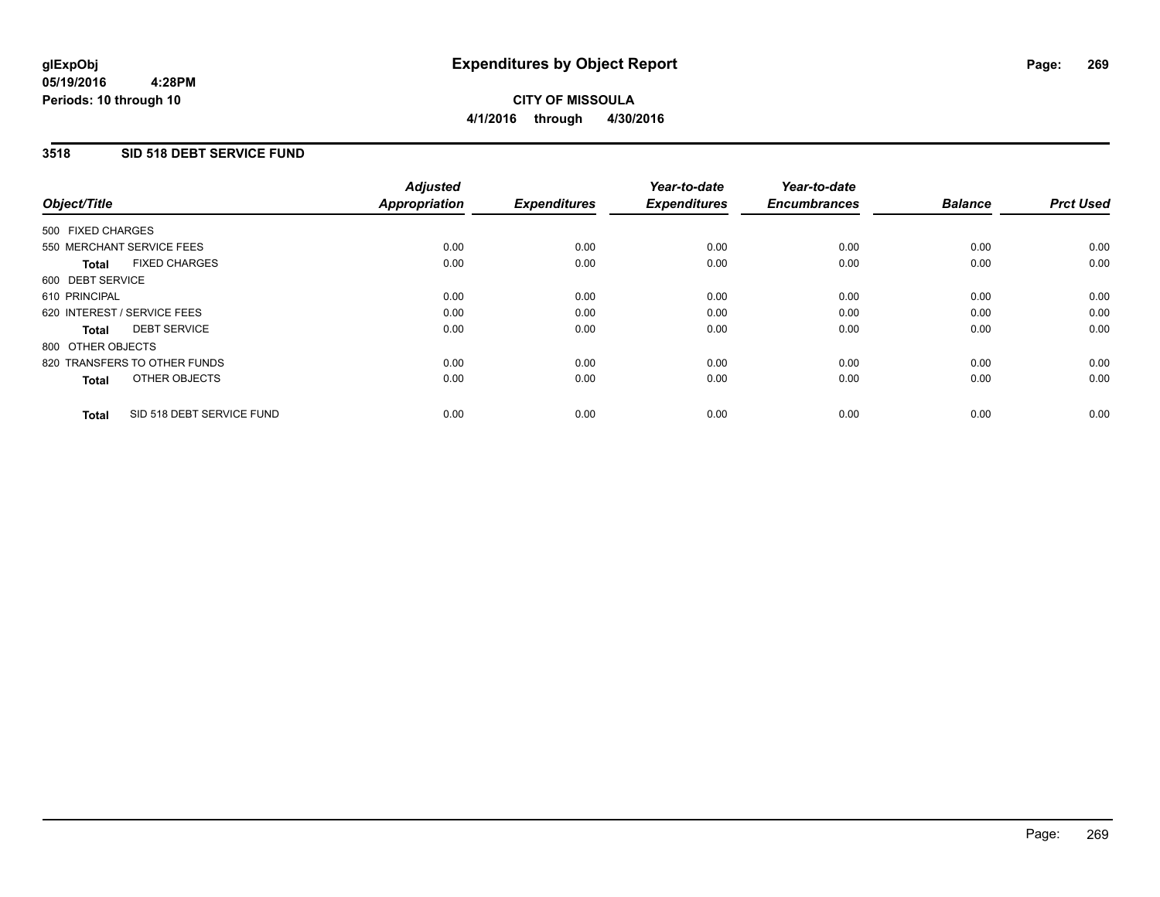### **3518 SID 518 DEBT SERVICE FUND**

| Object/Title                              | <b>Adjusted</b><br><b>Appropriation</b> | <b>Expenditures</b> | Year-to-date<br><b>Expenditures</b> | Year-to-date<br><b>Encumbrances</b> | <b>Balance</b> | <b>Prct Used</b> |
|-------------------------------------------|-----------------------------------------|---------------------|-------------------------------------|-------------------------------------|----------------|------------------|
| 500 FIXED CHARGES                         |                                         |                     |                                     |                                     |                |                  |
| 550 MERCHANT SERVICE FEES                 | 0.00                                    | 0.00                | 0.00                                | 0.00                                | 0.00           | 0.00             |
| <b>FIXED CHARGES</b><br><b>Total</b>      | 0.00                                    | 0.00                | 0.00                                | 0.00                                | 0.00           | 0.00             |
| 600 DEBT SERVICE                          |                                         |                     |                                     |                                     |                |                  |
| 610 PRINCIPAL                             | 0.00                                    | 0.00                | 0.00                                | 0.00                                | 0.00           | 0.00             |
| 620 INTEREST / SERVICE FEES               | 0.00                                    | 0.00                | 0.00                                | 0.00                                | 0.00           | 0.00             |
| <b>DEBT SERVICE</b><br><b>Total</b>       | 0.00                                    | 0.00                | 0.00                                | 0.00                                | 0.00           | 0.00             |
| 800 OTHER OBJECTS                         |                                         |                     |                                     |                                     |                |                  |
| 820 TRANSFERS TO OTHER FUNDS              | 0.00                                    | 0.00                | 0.00                                | 0.00                                | 0.00           | 0.00             |
| OTHER OBJECTS<br><b>Total</b>             | 0.00                                    | 0.00                | 0.00                                | 0.00                                | 0.00           | 0.00             |
| SID 518 DEBT SERVICE FUND<br><b>Total</b> | 0.00                                    | 0.00                | 0.00                                | 0.00                                | 0.00           | 0.00             |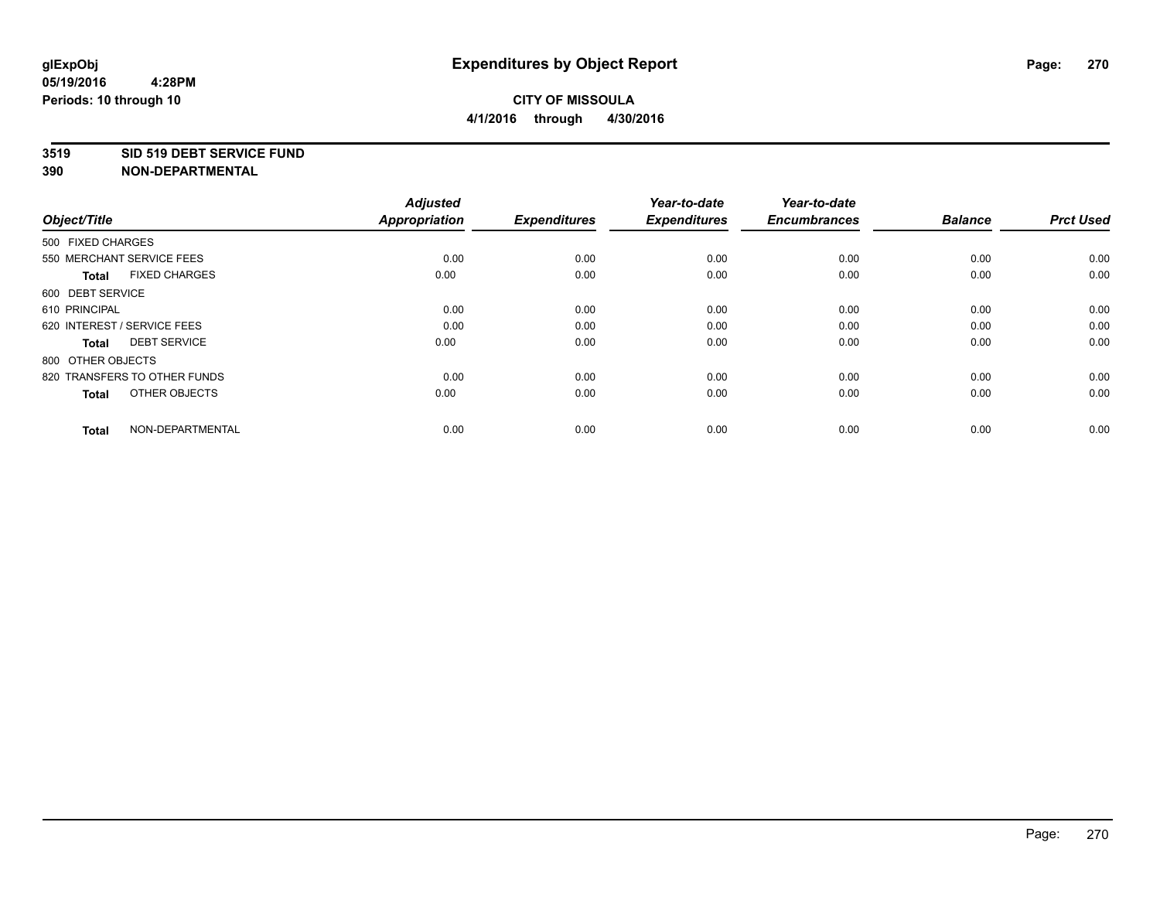#### **3519 SID 519 DEBT SERVICE FUND**

| Object/Title                         | <b>Adjusted</b><br><b>Appropriation</b> | <b>Expenditures</b> | Year-to-date<br><b>Expenditures</b> | Year-to-date<br><b>Encumbrances</b> | <b>Balance</b> | <b>Prct Used</b> |
|--------------------------------------|-----------------------------------------|---------------------|-------------------------------------|-------------------------------------|----------------|------------------|
| 500 FIXED CHARGES                    |                                         |                     |                                     |                                     |                |                  |
| 550 MERCHANT SERVICE FEES            | 0.00                                    | 0.00                | 0.00                                | 0.00                                | 0.00           | 0.00             |
| <b>FIXED CHARGES</b><br><b>Total</b> | 0.00                                    | 0.00                | 0.00                                | 0.00                                | 0.00           | 0.00             |
| 600 DEBT SERVICE                     |                                         |                     |                                     |                                     |                |                  |
| 610 PRINCIPAL                        | 0.00                                    | 0.00                | 0.00                                | 0.00                                | 0.00           | 0.00             |
| 620 INTEREST / SERVICE FEES          | 0.00                                    | 0.00                | 0.00                                | 0.00                                | 0.00           | 0.00             |
| <b>DEBT SERVICE</b><br><b>Total</b>  | 0.00                                    | 0.00                | 0.00                                | 0.00                                | 0.00           | 0.00             |
| 800 OTHER OBJECTS                    |                                         |                     |                                     |                                     |                |                  |
| 820 TRANSFERS TO OTHER FUNDS         | 0.00                                    | 0.00                | 0.00                                | 0.00                                | 0.00           | 0.00             |
| OTHER OBJECTS<br><b>Total</b>        | 0.00                                    | 0.00                | 0.00                                | 0.00                                | 0.00           | 0.00             |
|                                      |                                         |                     |                                     |                                     |                |                  |
| NON-DEPARTMENTAL<br><b>Total</b>     | 0.00                                    | 0.00                | 0.00                                | 0.00                                | 0.00           | 0.00             |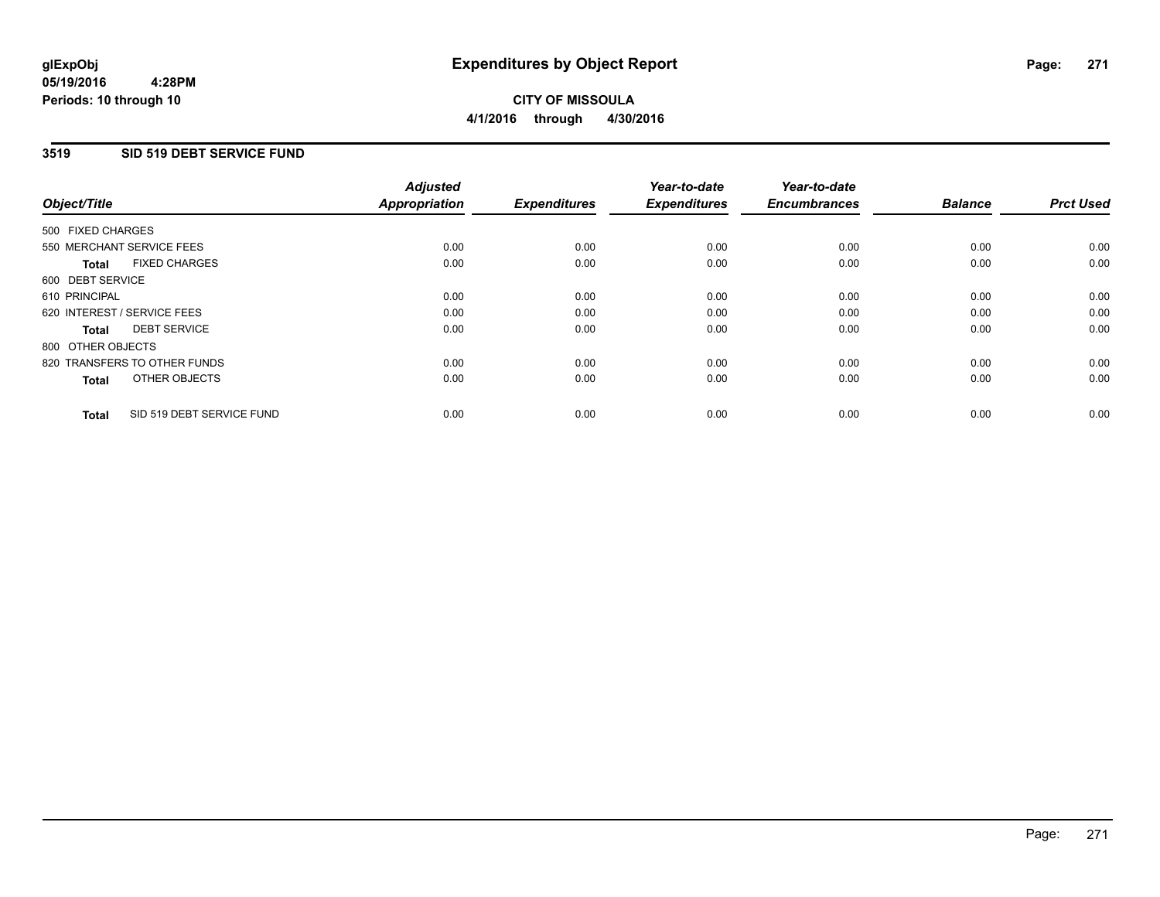#### **05/19/2016 4:28PM Periods: 10 through 10**

# **CITY OF MISSOULA 4/1/2016 through 4/30/2016**

### **3519 SID 519 DEBT SERVICE FUND**

| Object/Title                              | <b>Adjusted</b><br><b>Appropriation</b> | <b>Expenditures</b> | Year-to-date<br><b>Expenditures</b> | Year-to-date<br><b>Encumbrances</b> | <b>Balance</b> | <b>Prct Used</b> |
|-------------------------------------------|-----------------------------------------|---------------------|-------------------------------------|-------------------------------------|----------------|------------------|
|                                           |                                         |                     |                                     |                                     |                |                  |
| 500 FIXED CHARGES                         |                                         |                     |                                     |                                     |                |                  |
| 550 MERCHANT SERVICE FEES                 | 0.00                                    | 0.00                | 0.00                                | 0.00                                | 0.00           | 0.00             |
| <b>FIXED CHARGES</b><br>Total             | 0.00                                    | 0.00                | 0.00                                | 0.00                                | 0.00           | 0.00             |
| 600 DEBT SERVICE                          |                                         |                     |                                     |                                     |                |                  |
| 610 PRINCIPAL                             | 0.00                                    | 0.00                | 0.00                                | 0.00                                | 0.00           | 0.00             |
| 620 INTEREST / SERVICE FEES               | 0.00                                    | 0.00                | 0.00                                | 0.00                                | 0.00           | 0.00             |
| <b>DEBT SERVICE</b><br><b>Total</b>       | 0.00                                    | 0.00                | 0.00                                | 0.00                                | 0.00           | 0.00             |
| 800 OTHER OBJECTS                         |                                         |                     |                                     |                                     |                |                  |
| 820 TRANSFERS TO OTHER FUNDS              | 0.00                                    | 0.00                | 0.00                                | 0.00                                | 0.00           | 0.00             |
| OTHER OBJECTS<br><b>Total</b>             | 0.00                                    | 0.00                | 0.00                                | 0.00                                | 0.00           | 0.00             |
|                                           |                                         |                     |                                     |                                     |                |                  |
| SID 519 DEBT SERVICE FUND<br><b>Total</b> | 0.00                                    | 0.00                | 0.00                                | 0.00                                | 0.00           | 0.00             |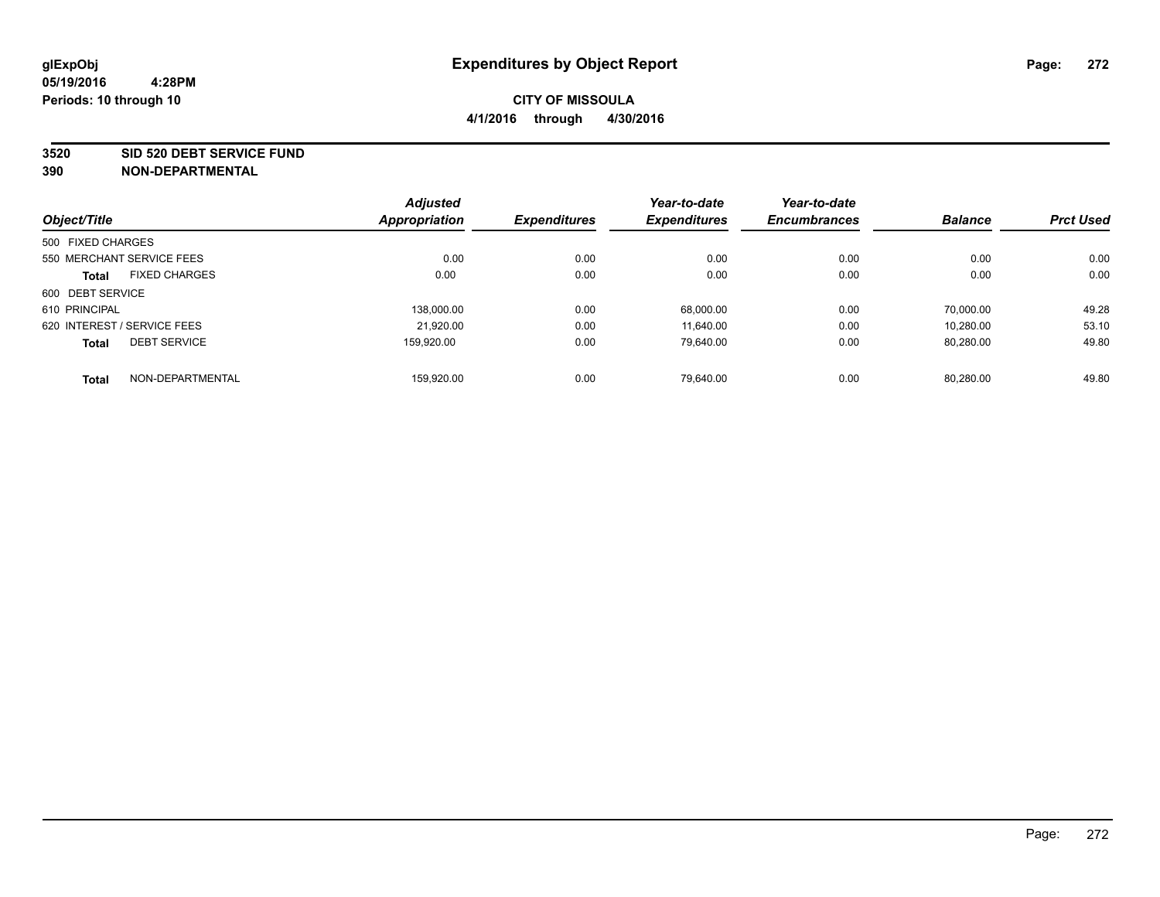#### **3520 SID 520 DEBT SERVICE FUND**

|                             |                      | <b>Adjusted</b> |                     | Year-to-date        | Year-to-date        |                |                  |
|-----------------------------|----------------------|-----------------|---------------------|---------------------|---------------------|----------------|------------------|
| Object/Title                |                      | Appropriation   | <b>Expenditures</b> | <b>Expenditures</b> | <b>Encumbrances</b> | <b>Balance</b> | <b>Prct Used</b> |
| 500 FIXED CHARGES           |                      |                 |                     |                     |                     |                |                  |
| 550 MERCHANT SERVICE FEES   |                      | 0.00            | 0.00                | 0.00                | 0.00                | 0.00           | 0.00             |
| <b>Total</b>                | <b>FIXED CHARGES</b> | 0.00            | 0.00                | 0.00                | 0.00                | 0.00           | 0.00             |
| 600 DEBT SERVICE            |                      |                 |                     |                     |                     |                |                  |
| 610 PRINCIPAL               |                      | 138.000.00      | 0.00                | 68.000.00           | 0.00                | 70.000.00      | 49.28            |
| 620 INTEREST / SERVICE FEES |                      | 21.920.00       | 0.00                | 11.640.00           | 0.00                | 10,280.00      | 53.10            |
| <b>Total</b>                | <b>DEBT SERVICE</b>  | 159.920.00      | 0.00                | 79.640.00           | 0.00                | 80,280.00      | 49.80            |
| <b>Total</b>                | NON-DEPARTMENTAL     | 159.920.00      | 0.00                | 79.640.00           | 0.00                | 80.280.00      | 49.80            |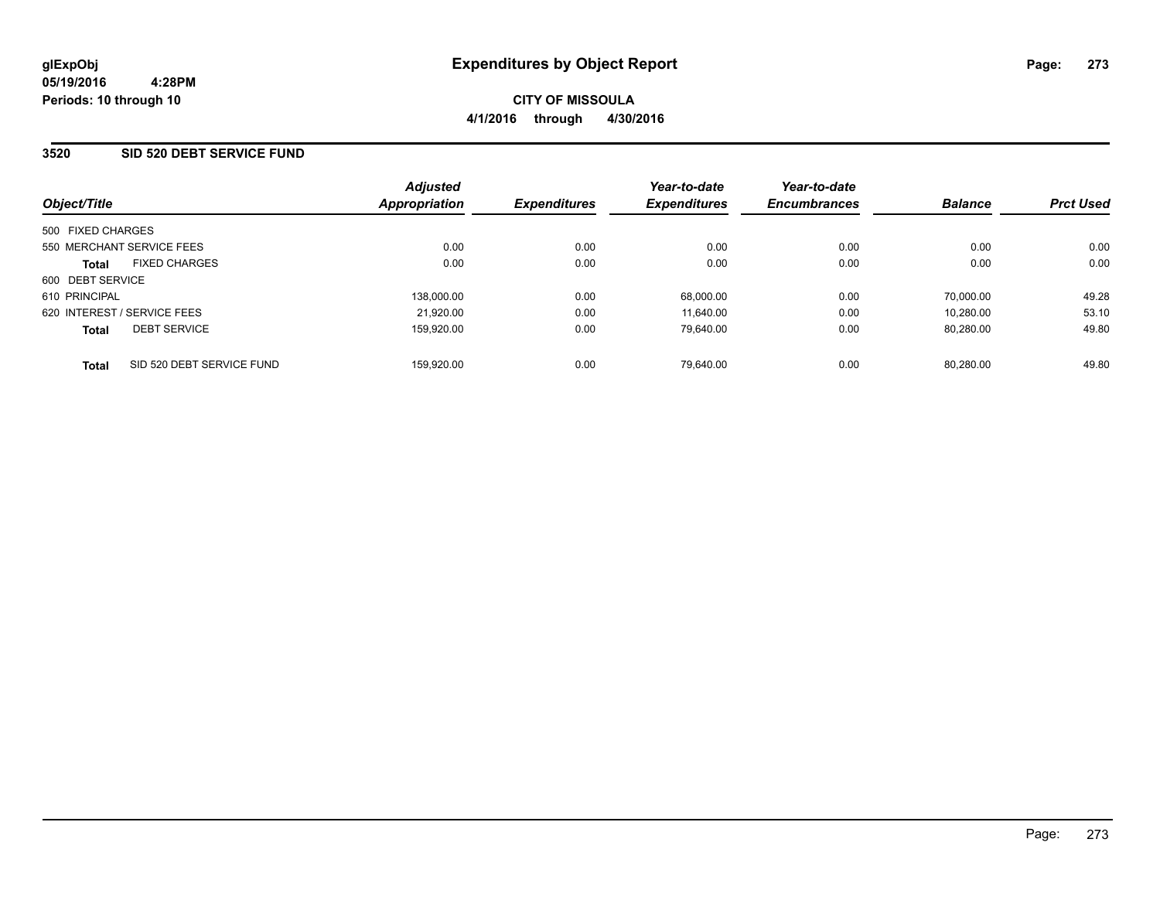#### **3520 SID 520 DEBT SERVICE FUND**

| Object/Title                              | <b>Adjusted</b><br>Appropriation | <b>Expenditures</b> | Year-to-date<br><b>Expenditures</b> | Year-to-date<br><b>Encumbrances</b> | <b>Balance</b> | <b>Prct Used</b> |
|-------------------------------------------|----------------------------------|---------------------|-------------------------------------|-------------------------------------|----------------|------------------|
| 500 FIXED CHARGES                         |                                  |                     |                                     |                                     |                |                  |
| 550 MERCHANT SERVICE FEES                 | 0.00                             | 0.00                | 0.00                                | 0.00                                | 0.00           | 0.00             |
| <b>FIXED CHARGES</b><br><b>Total</b>      | 0.00                             | 0.00                | 0.00                                | 0.00                                | 0.00           | 0.00             |
| 600 DEBT SERVICE                          |                                  |                     |                                     |                                     |                |                  |
| 610 PRINCIPAL                             | 138.000.00                       | 0.00                | 68.000.00                           | 0.00                                | 70.000.00      | 49.28            |
| 620 INTEREST / SERVICE FEES               | 21,920.00                        | 0.00                | 11.640.00                           | 0.00                                | 10.280.00      | 53.10            |
| <b>DEBT SERVICE</b><br><b>Total</b>       | 159.920.00                       | 0.00                | 79.640.00                           | 0.00                                | 80.280.00      | 49.80            |
| SID 520 DEBT SERVICE FUND<br><b>Total</b> | 159.920.00                       | 0.00                | 79.640.00                           | 0.00                                | 80.280.00      | 49.80            |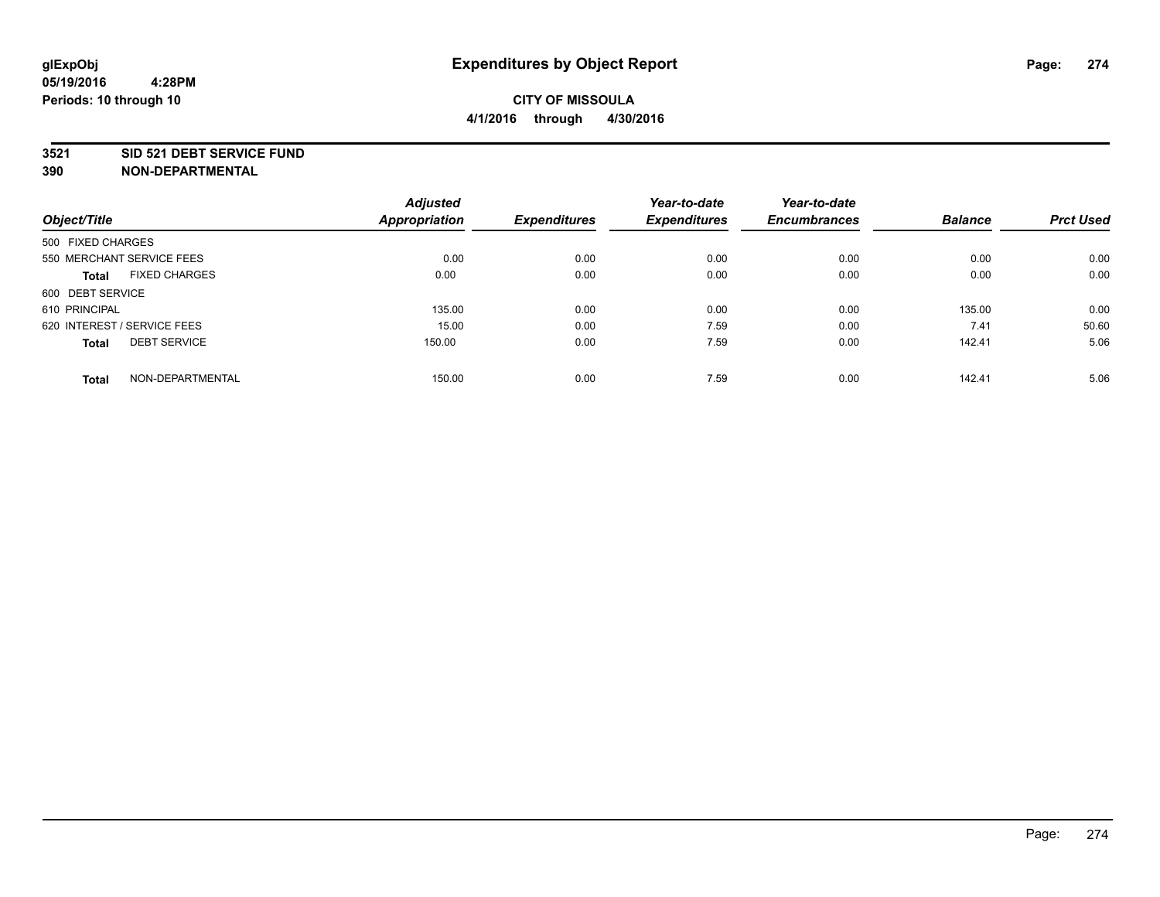#### **3521 SID 521 DEBT SERVICE FUND**

|                                      | <b>Adjusted</b>      |                     | Year-to-date        | Year-to-date        |                |                  |
|--------------------------------------|----------------------|---------------------|---------------------|---------------------|----------------|------------------|
| Object/Title                         | <b>Appropriation</b> | <b>Expenditures</b> | <b>Expenditures</b> | <b>Encumbrances</b> | <b>Balance</b> | <b>Prct Used</b> |
| 500 FIXED CHARGES                    |                      |                     |                     |                     |                |                  |
| 550 MERCHANT SERVICE FEES            | 0.00                 | 0.00                | 0.00                | 0.00                | 0.00           | 0.00             |
| <b>FIXED CHARGES</b><br><b>Total</b> | 0.00                 | 0.00                | 0.00                | 0.00                | 0.00           | 0.00             |
| 600 DEBT SERVICE                     |                      |                     |                     |                     |                |                  |
| 610 PRINCIPAL                        | 135.00               | 0.00                | 0.00                | 0.00                | 135.00         | 0.00             |
| 620 INTEREST / SERVICE FEES          | 15.00                | 0.00                | 7.59                | 0.00                | 7.41           | 50.60            |
| <b>DEBT SERVICE</b><br><b>Total</b>  | 150.00               | 0.00                | 7.59                | 0.00                | 142.41         | 5.06             |
| NON-DEPARTMENTAL<br><b>Total</b>     | 150.00               | 0.00                | 7.59                | 0.00                | 142.41         | 5.06             |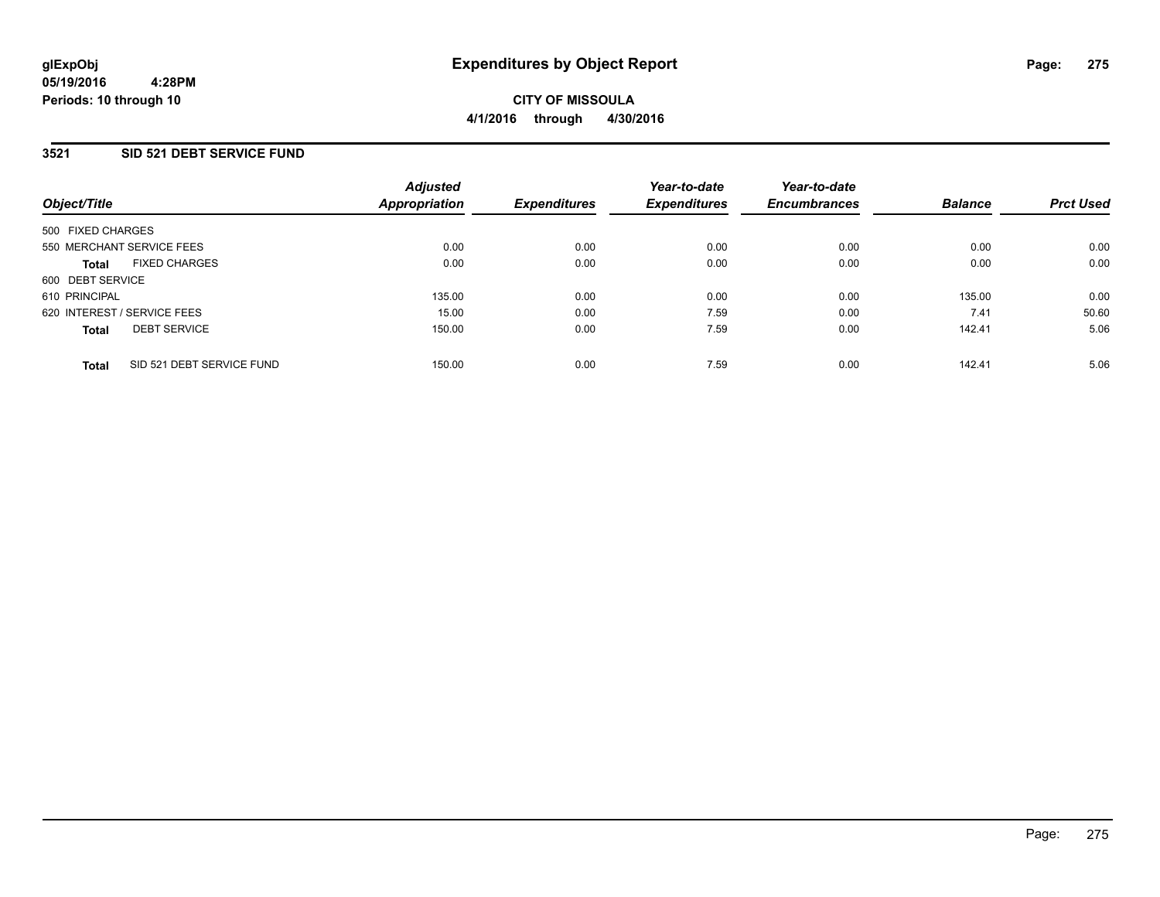### **3521 SID 521 DEBT SERVICE FUND**

| Object/Title                              | <b>Adjusted</b><br><b>Appropriation</b> | <b>Expenditures</b> | Year-to-date<br><b>Expenditures</b> | Year-to-date<br><b>Encumbrances</b> | <b>Balance</b> | <b>Prct Used</b> |
|-------------------------------------------|-----------------------------------------|---------------------|-------------------------------------|-------------------------------------|----------------|------------------|
| 500 FIXED CHARGES                         |                                         |                     |                                     |                                     |                |                  |
| 550 MERCHANT SERVICE FEES                 | 0.00                                    | 0.00                | 0.00                                | 0.00                                | 0.00           | 0.00             |
| <b>FIXED CHARGES</b><br><b>Total</b>      | 0.00                                    | 0.00                | 0.00                                | 0.00                                | 0.00           | 0.00             |
| 600 DEBT SERVICE                          |                                         |                     |                                     |                                     |                |                  |
| 610 PRINCIPAL                             | 135.00                                  | 0.00                | 0.00                                | 0.00                                | 135.00         | 0.00             |
| 620 INTEREST / SERVICE FEES               | 15.00                                   | 0.00                | 7.59                                | 0.00                                | 7.41           | 50.60            |
| <b>DEBT SERVICE</b><br><b>Total</b>       | 150.00                                  | 0.00                | 7.59                                | 0.00                                | 142.41         | 5.06             |
| SID 521 DEBT SERVICE FUND<br><b>Total</b> | 150.00                                  | 0.00                | 7.59                                | 0.00                                | 142.41         | 5.06             |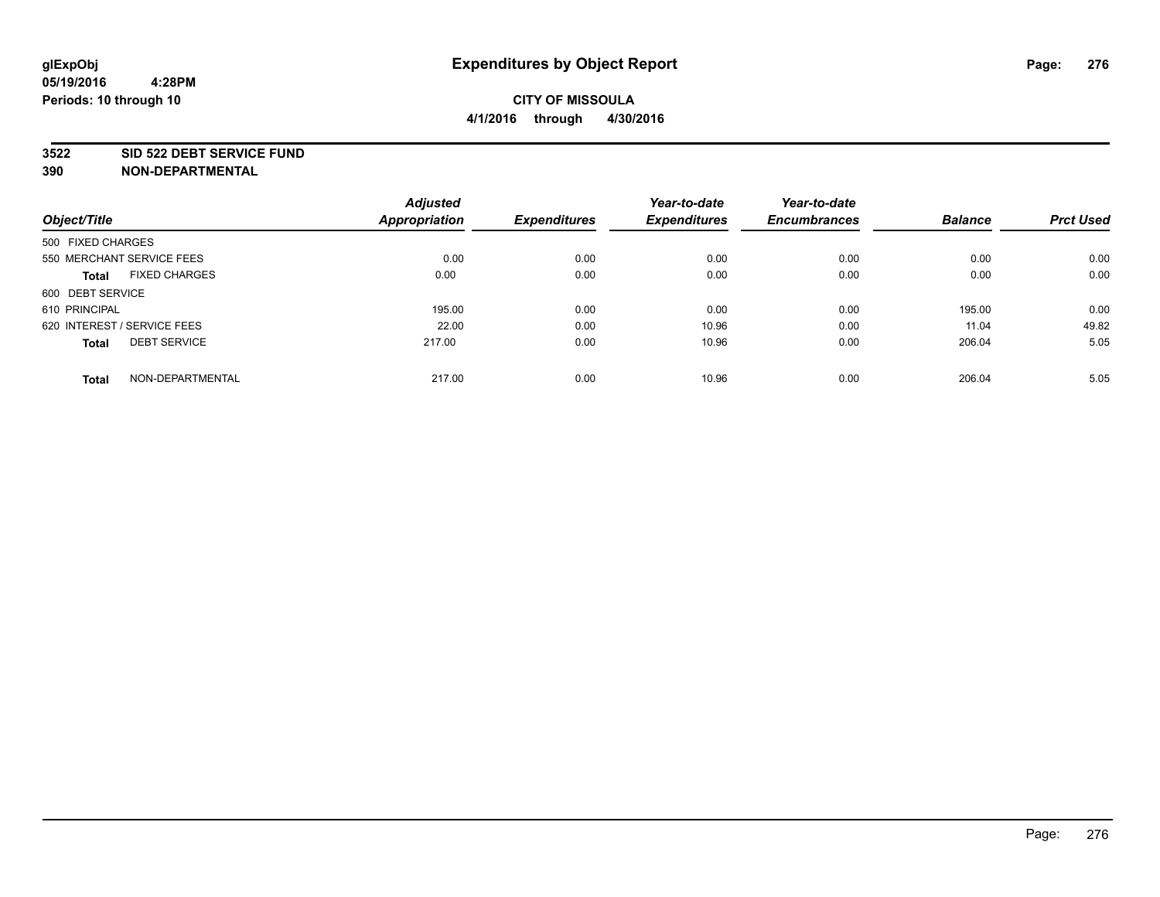#### **3522 SID 522 DEBT SERVICE FUND**

|                                      | <b>Adjusted</b>      |                     | Year-to-date        | Year-to-date        |                |                  |
|--------------------------------------|----------------------|---------------------|---------------------|---------------------|----------------|------------------|
| Object/Title                         | <b>Appropriation</b> | <b>Expenditures</b> | <b>Expenditures</b> | <b>Encumbrances</b> | <b>Balance</b> | <b>Prct Used</b> |
| 500 FIXED CHARGES                    |                      |                     |                     |                     |                |                  |
| 550 MERCHANT SERVICE FEES            | 0.00                 | 0.00                | 0.00                | 0.00                | 0.00           | 0.00             |
| <b>FIXED CHARGES</b><br><b>Total</b> | 0.00                 | 0.00                | 0.00                | 0.00                | 0.00           | 0.00             |
| 600 DEBT SERVICE                     |                      |                     |                     |                     |                |                  |
| 610 PRINCIPAL                        | 195.00               | 0.00                | 0.00                | 0.00                | 195.00         | 0.00             |
| 620 INTEREST / SERVICE FEES          | 22.00                | 0.00                | 10.96               | 0.00                | 11.04          | 49.82            |
| <b>DEBT SERVICE</b><br><b>Total</b>  | 217.00               | 0.00                | 10.96               | 0.00                | 206.04         | 5.05             |
| NON-DEPARTMENTAL<br><b>Total</b>     | 217.00               | 0.00                | 10.96               | 0.00                | 206.04         | 5.05             |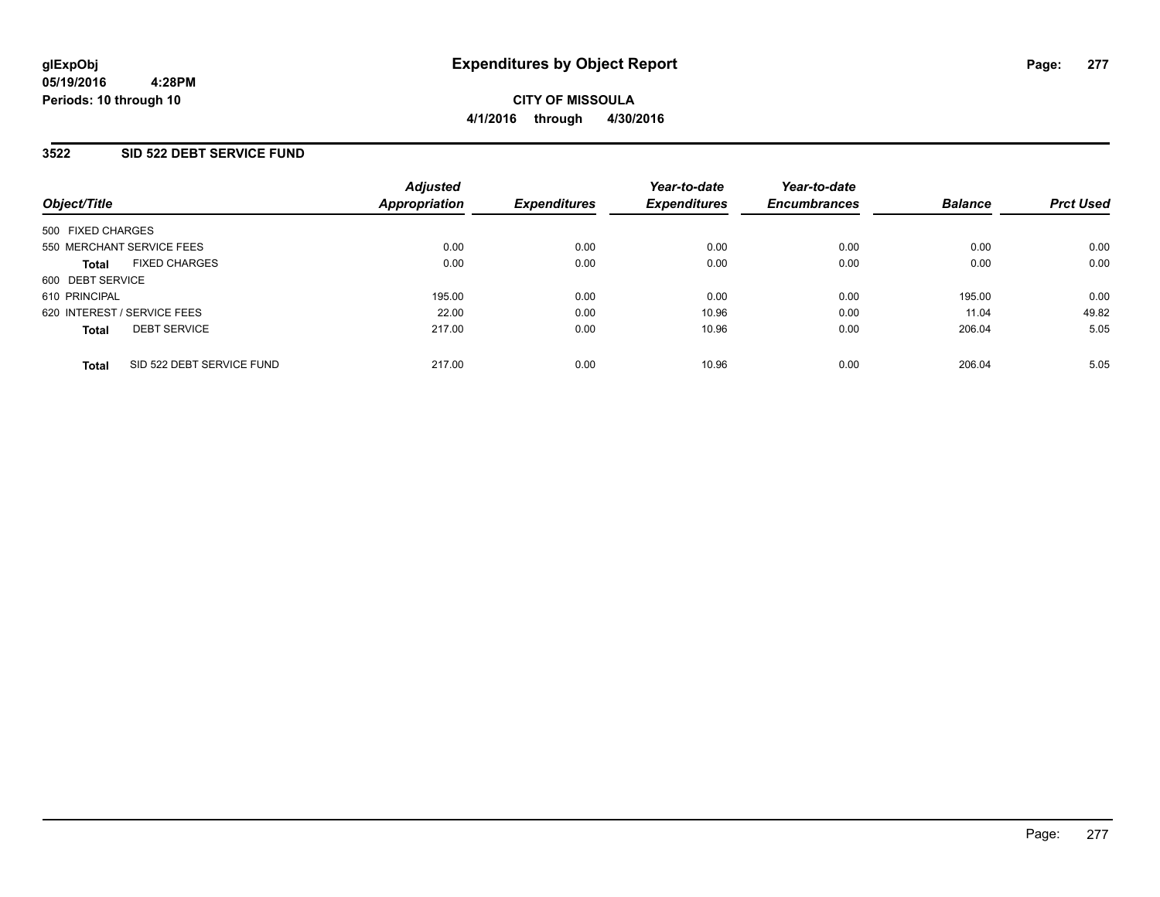#### **3522 SID 522 DEBT SERVICE FUND**

| Object/Title                              | <b>Adjusted</b><br>Appropriation | <b>Expenditures</b> | Year-to-date<br><b>Expenditures</b> | Year-to-date<br><b>Encumbrances</b> | <b>Balance</b> | <b>Prct Used</b> |
|-------------------------------------------|----------------------------------|---------------------|-------------------------------------|-------------------------------------|----------------|------------------|
| 500 FIXED CHARGES                         |                                  |                     |                                     |                                     |                |                  |
| 550 MERCHANT SERVICE FEES                 | 0.00                             | 0.00                | 0.00                                | 0.00                                | 0.00           | 0.00             |
| <b>FIXED CHARGES</b><br><b>Total</b>      | 0.00                             | 0.00                | 0.00                                | 0.00                                | 0.00           | 0.00             |
| 600 DEBT SERVICE                          |                                  |                     |                                     |                                     |                |                  |
| 610 PRINCIPAL                             | 195.00                           | 0.00                | 0.00                                | 0.00                                | 195.00         | 0.00             |
| 620 INTEREST / SERVICE FEES               | 22.00                            | 0.00                | 10.96                               | 0.00                                | 11.04          | 49.82            |
| <b>DEBT SERVICE</b><br><b>Total</b>       | 217.00                           | 0.00                | 10.96                               | 0.00                                | 206.04         | 5.05             |
| SID 522 DEBT SERVICE FUND<br><b>Total</b> | 217.00                           | 0.00                | 10.96                               | 0.00                                | 206.04         | 5.05             |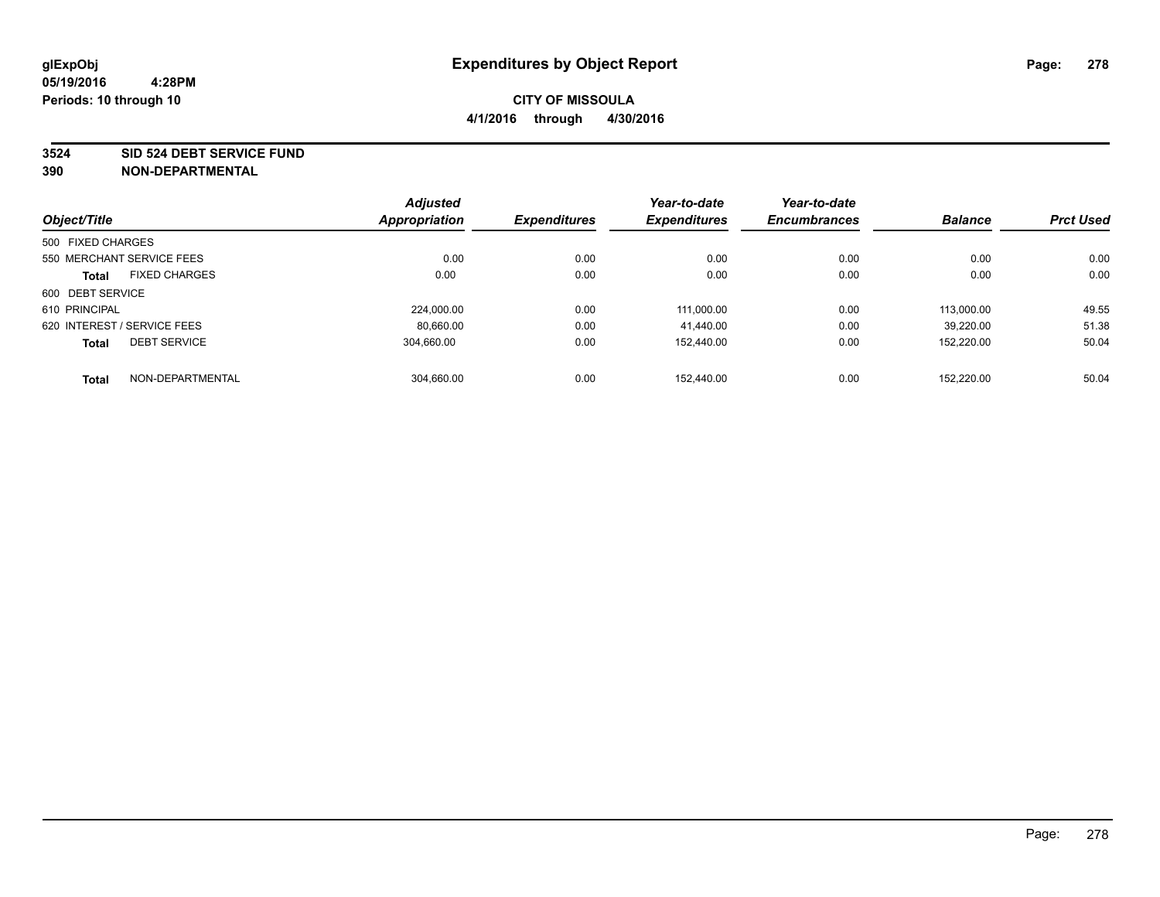#### **3524 SID 524 DEBT SERVICE FUND**

| Object/Title                |                           | <b>Adjusted</b><br>Appropriation | <b>Expenditures</b> | Year-to-date<br><b>Expenditures</b> | Year-to-date<br><b>Encumbrances</b> | <b>Balance</b> | <b>Prct Used</b> |
|-----------------------------|---------------------------|----------------------------------|---------------------|-------------------------------------|-------------------------------------|----------------|------------------|
|                             |                           |                                  |                     |                                     |                                     |                |                  |
| 500 FIXED CHARGES           |                           |                                  |                     |                                     |                                     |                |                  |
|                             | 550 MERCHANT SERVICE FEES | 0.00                             | 0.00                | 0.00                                | 0.00                                | 0.00           | 0.00             |
| <b>Total</b>                | <b>FIXED CHARGES</b>      | 0.00                             | 0.00                | 0.00                                | 0.00                                | 0.00           | 0.00             |
| 600 DEBT SERVICE            |                           |                                  |                     |                                     |                                     |                |                  |
| 610 PRINCIPAL               |                           | 224.000.00                       | 0.00                | 111.000.00                          | 0.00                                | 113.000.00     | 49.55            |
| 620 INTEREST / SERVICE FEES |                           | 80,660.00                        | 0.00                | 41.440.00                           | 0.00                                | 39.220.00      | 51.38            |
| <b>Total</b>                | <b>DEBT SERVICE</b>       | 304.660.00                       | 0.00                | 152.440.00                          | 0.00                                | 152,220.00     | 50.04            |
| <b>Total</b>                | NON-DEPARTMENTAL          | 304,660.00                       | 0.00                | 152.440.00                          | 0.00                                | 152.220.00     | 50.04            |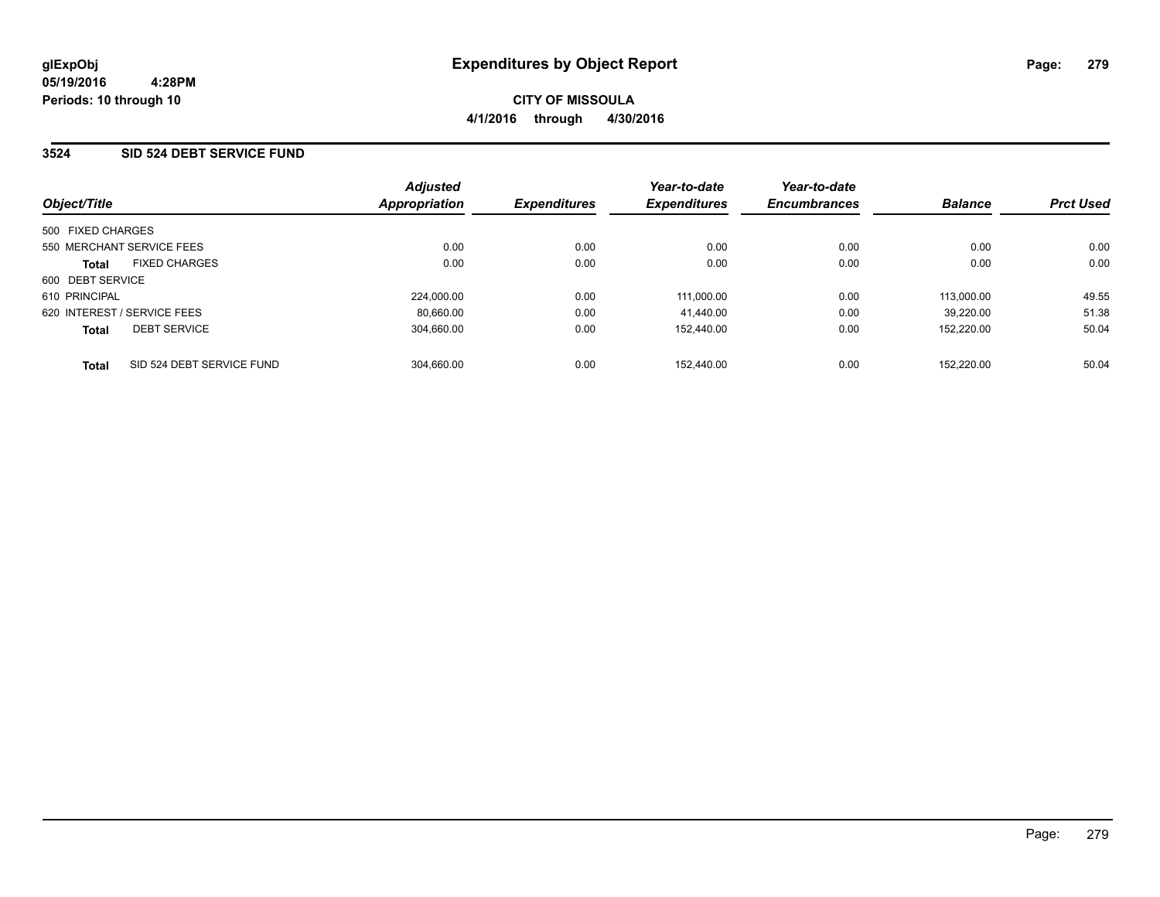#### **3524 SID 524 DEBT SERVICE FUND**

| Object/Title                              | <b>Adjusted</b><br>Appropriation | <b>Expenditures</b> | Year-to-date<br><b>Expenditures</b> | Year-to-date<br><b>Encumbrances</b> | <b>Balance</b> | <b>Prct Used</b> |
|-------------------------------------------|----------------------------------|---------------------|-------------------------------------|-------------------------------------|----------------|------------------|
| 500 FIXED CHARGES                         |                                  |                     |                                     |                                     |                |                  |
| 550 MERCHANT SERVICE FEES                 | 0.00                             | 0.00                | 0.00                                | 0.00                                | 0.00           | 0.00             |
| <b>FIXED CHARGES</b><br><b>Total</b>      | 0.00                             | 0.00                | 0.00                                | 0.00                                | 0.00           | 0.00             |
| 600 DEBT SERVICE                          |                                  |                     |                                     |                                     |                |                  |
| 610 PRINCIPAL                             | 224.000.00                       | 0.00                | 111.000.00                          | 0.00                                | 113.000.00     | 49.55            |
| 620 INTEREST / SERVICE FEES               | 80.660.00                        | 0.00                | 41.440.00                           | 0.00                                | 39.220.00      | 51.38            |
| <b>DEBT SERVICE</b><br><b>Total</b>       | 304.660.00                       | 0.00                | 152.440.00                          | 0.00                                | 152.220.00     | 50.04            |
| SID 524 DEBT SERVICE FUND<br><b>Total</b> | 304.660.00                       | 0.00                | 152.440.00                          | 0.00                                | 152.220.00     | 50.04            |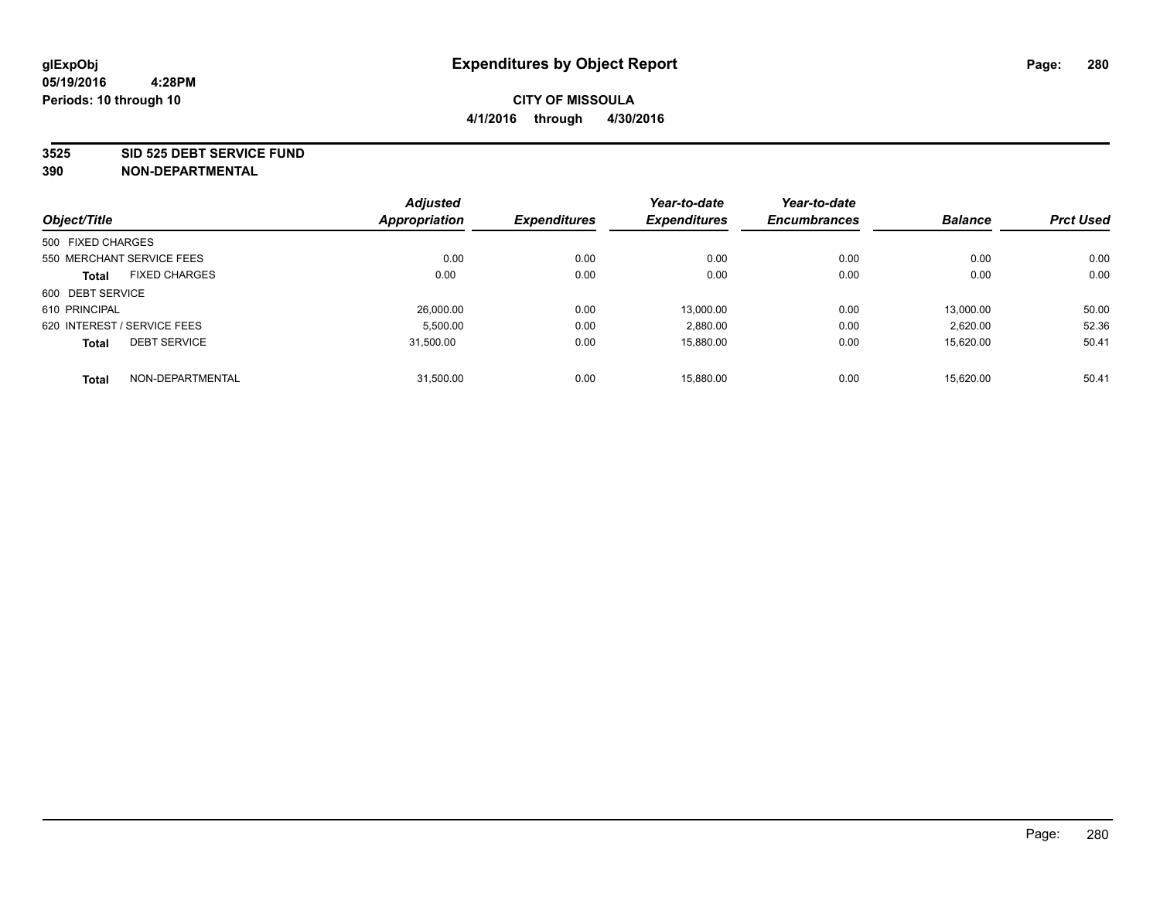#### **3525 SID 525 DEBT SERVICE FUND**

|                             |                           | <b>Adjusted</b>      |                     | Year-to-date        | Year-to-date        |                |                  |
|-----------------------------|---------------------------|----------------------|---------------------|---------------------|---------------------|----------------|------------------|
| Object/Title                |                           | <b>Appropriation</b> | <b>Expenditures</b> | <b>Expenditures</b> | <b>Encumbrances</b> | <b>Balance</b> | <b>Prct Used</b> |
| 500 FIXED CHARGES           |                           |                      |                     |                     |                     |                |                  |
|                             | 550 MERCHANT SERVICE FEES | 0.00                 | 0.00                | 0.00                | 0.00                | 0.00           | 0.00             |
| <b>Total</b>                | <b>FIXED CHARGES</b>      | 0.00                 | 0.00                | 0.00                | 0.00                | 0.00           | 0.00             |
| 600 DEBT SERVICE            |                           |                      |                     |                     |                     |                |                  |
| 610 PRINCIPAL               |                           | 26,000.00            | 0.00                | 13.000.00           | 0.00                | 13.000.00      | 50.00            |
| 620 INTEREST / SERVICE FEES |                           | 5,500.00             | 0.00                | 2,880.00            | 0.00                | 2,620.00       | 52.36            |
| <b>Total</b>                | <b>DEBT SERVICE</b>       | 31.500.00            | 0.00                | 15.880.00           | 0.00                | 15.620.00      | 50.41            |
| <b>Total</b>                | NON-DEPARTMENTAL          | 31,500.00            | 0.00                | 15.880.00           | 0.00                | 15.620.00      | 50.41            |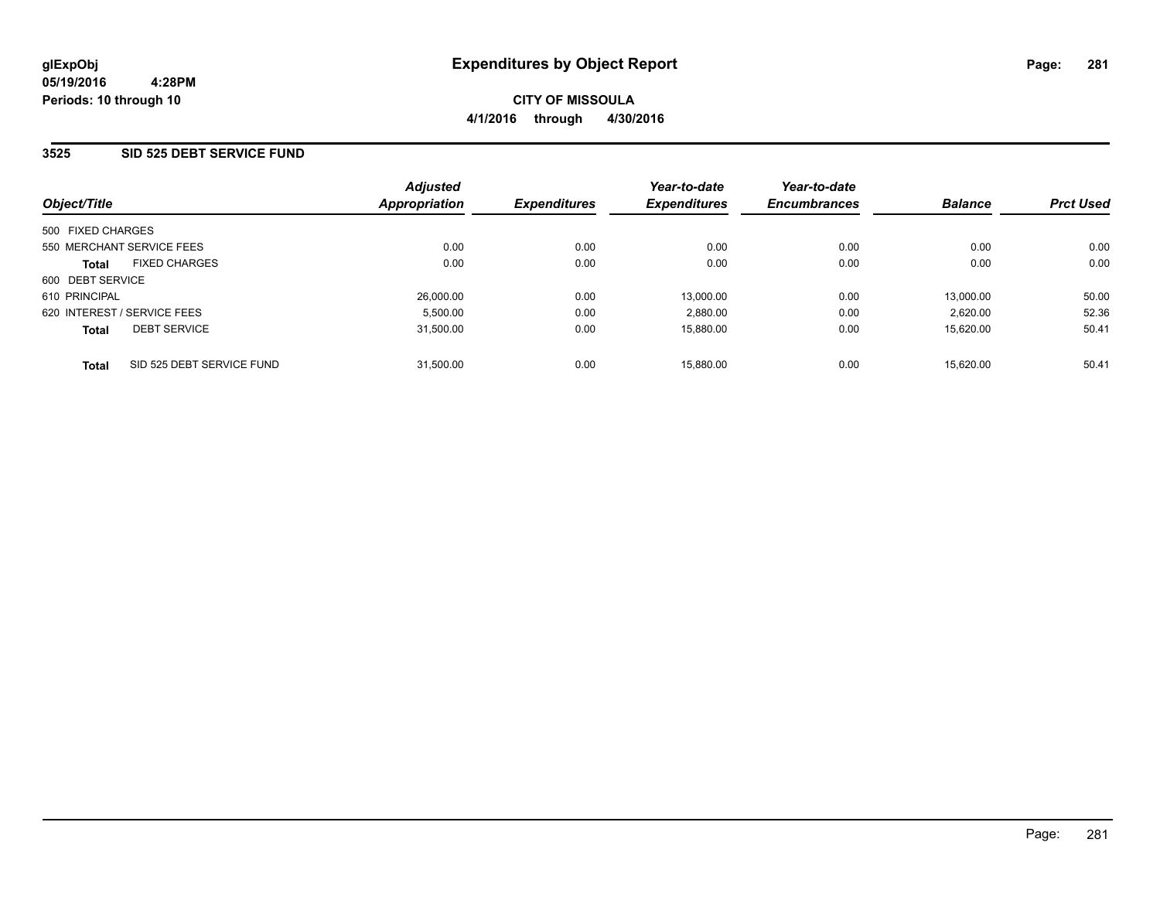#### **3525 SID 525 DEBT SERVICE FUND**

| Object/Title                              | <b>Adjusted</b><br><b>Appropriation</b> | <b>Expenditures</b> | Year-to-date<br><b>Expenditures</b> | Year-to-date<br><b>Encumbrances</b> | <b>Balance</b> | <b>Prct Used</b> |
|-------------------------------------------|-----------------------------------------|---------------------|-------------------------------------|-------------------------------------|----------------|------------------|
| 500 FIXED CHARGES                         |                                         |                     |                                     |                                     |                |                  |
| 550 MERCHANT SERVICE FEES                 | 0.00                                    | 0.00                | 0.00                                | 0.00                                | 0.00           | 0.00             |
| <b>FIXED CHARGES</b><br><b>Total</b>      | 0.00                                    | 0.00                | 0.00                                | 0.00                                | 0.00           | 0.00             |
| 600 DEBT SERVICE                          |                                         |                     |                                     |                                     |                |                  |
| 610 PRINCIPAL                             | 26,000.00                               | 0.00                | 13,000.00                           | 0.00                                | 13,000.00      | 50.00            |
| 620 INTEREST / SERVICE FEES               | 5,500.00                                | 0.00                | 2,880.00                            | 0.00                                | 2.620.00       | 52.36            |
| <b>DEBT SERVICE</b><br><b>Total</b>       | 31,500.00                               | 0.00                | 15,880.00                           | 0.00                                | 15.620.00      | 50.41            |
| SID 525 DEBT SERVICE FUND<br><b>Total</b> | 31.500.00                               | 0.00                | 15.880.00                           | 0.00                                | 15.620.00      | 50.41            |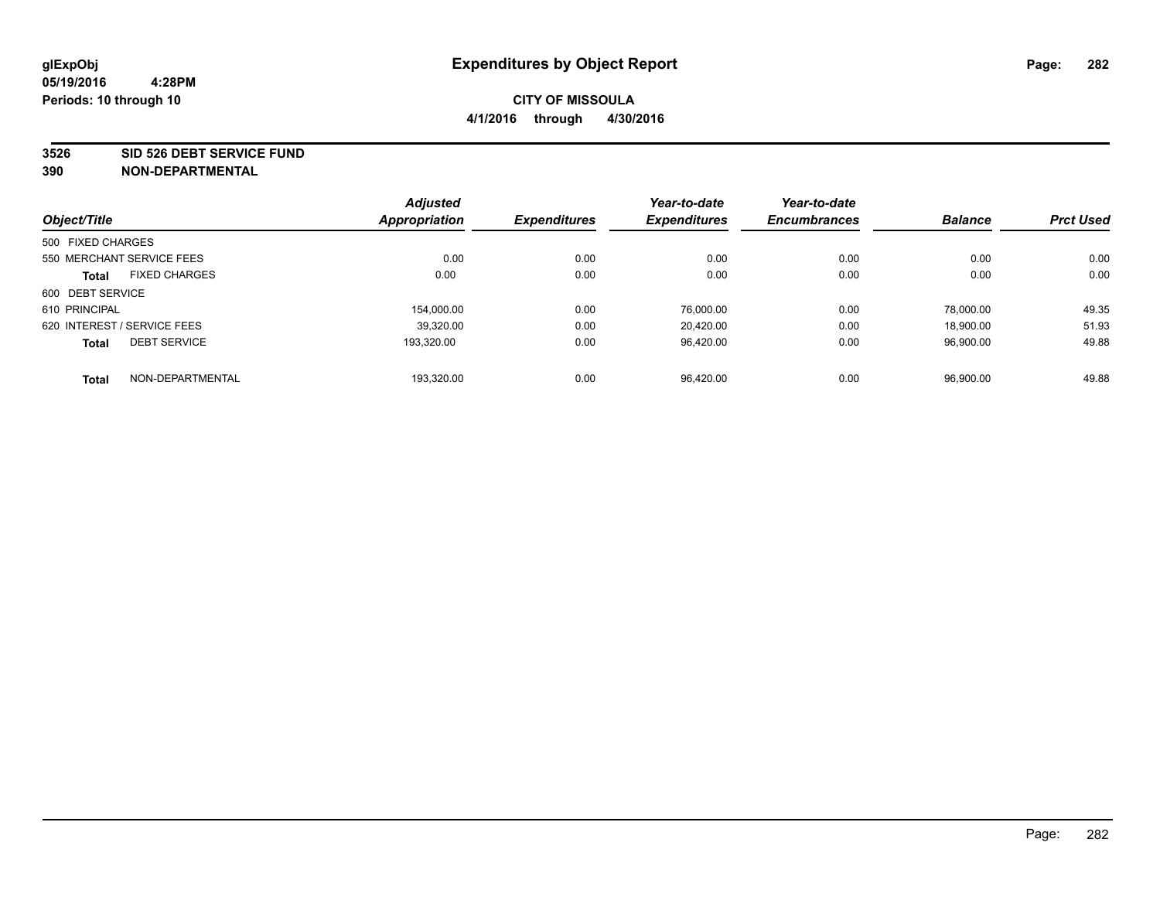#### **3526 SID 526 DEBT SERVICE FUND**

|                             |                      | <b>Adjusted</b> |                     | Year-to-date        | Year-to-date        |                |                  |
|-----------------------------|----------------------|-----------------|---------------------|---------------------|---------------------|----------------|------------------|
| Object/Title                |                      | Appropriation   | <b>Expenditures</b> | <b>Expenditures</b> | <b>Encumbrances</b> | <b>Balance</b> | <b>Prct Used</b> |
| 500 FIXED CHARGES           |                      |                 |                     |                     |                     |                |                  |
| 550 MERCHANT SERVICE FEES   |                      | 0.00            | 0.00                | 0.00                | 0.00                | 0.00           | 0.00             |
| <b>Total</b>                | <b>FIXED CHARGES</b> | 0.00            | 0.00                | 0.00                | 0.00                | 0.00           | 0.00             |
| 600 DEBT SERVICE            |                      |                 |                     |                     |                     |                |                  |
| 610 PRINCIPAL               |                      | 154.000.00      | 0.00                | 76,000.00           | 0.00                | 78,000.00      | 49.35            |
| 620 INTEREST / SERVICE FEES |                      | 39,320.00       | 0.00                | 20.420.00           | 0.00                | 18.900.00      | 51.93            |
| <b>Total</b>                | <b>DEBT SERVICE</b>  | 193.320.00      | 0.00                | 96.420.00           | 0.00                | 96,900.00      | 49.88            |
| <b>Total</b>                | NON-DEPARTMENTAL     | 193.320.00      | 0.00                | 96.420.00           | 0.00                | 96.900.00      | 49.88            |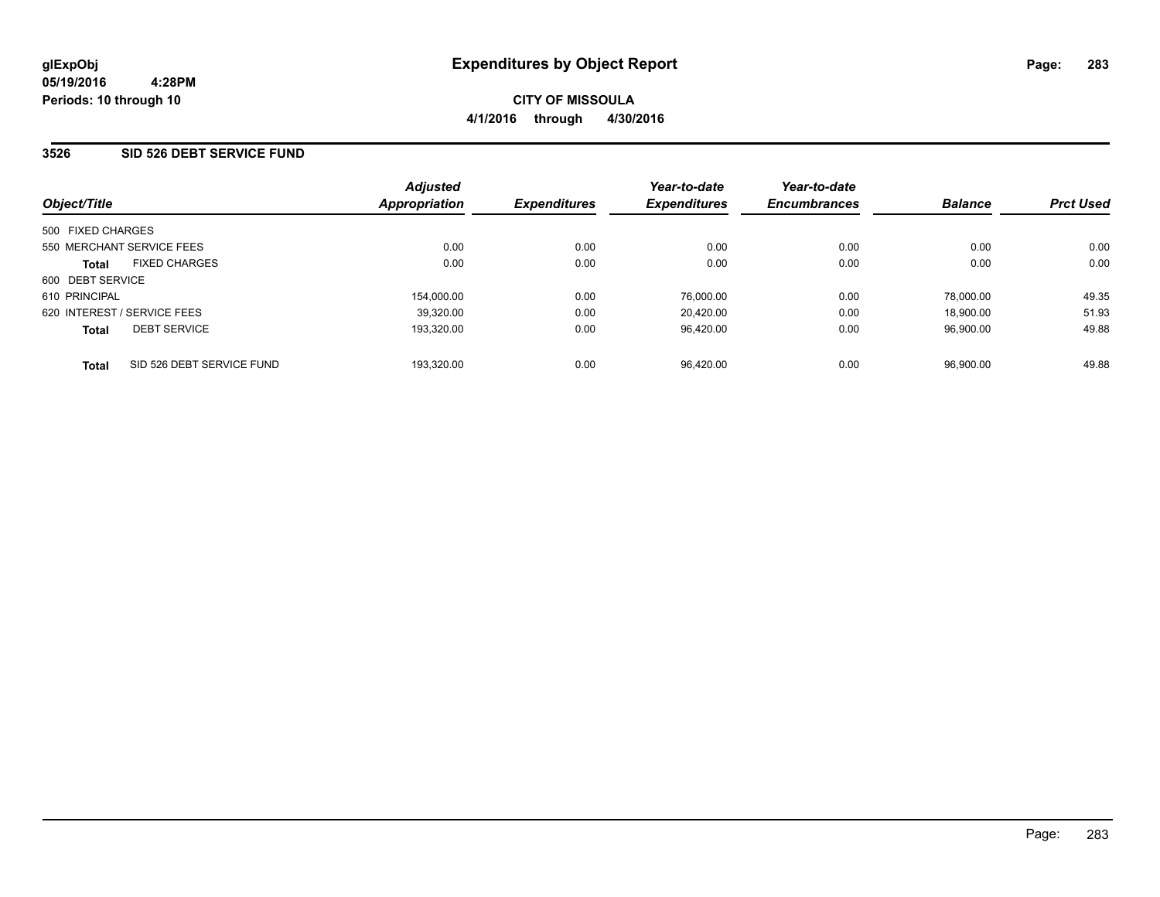#### **3526 SID 526 DEBT SERVICE FUND**

| Object/Title                              | <b>Adjusted</b><br>Appropriation | <b>Expenditures</b> | Year-to-date<br><b>Expenditures</b> | Year-to-date<br><b>Encumbrances</b> | <b>Balance</b> | <b>Prct Used</b> |
|-------------------------------------------|----------------------------------|---------------------|-------------------------------------|-------------------------------------|----------------|------------------|
| 500 FIXED CHARGES                         |                                  |                     |                                     |                                     |                |                  |
| 550 MERCHANT SERVICE FEES                 | 0.00                             | 0.00                | 0.00                                | 0.00                                | 0.00           | 0.00             |
| <b>FIXED CHARGES</b><br><b>Total</b>      | 0.00                             | 0.00                | 0.00                                | 0.00                                | 0.00           | 0.00             |
| 600 DEBT SERVICE                          |                                  |                     |                                     |                                     |                |                  |
| 610 PRINCIPAL                             | 154,000.00                       | 0.00                | 76.000.00                           | 0.00                                | 78.000.00      | 49.35            |
| 620 INTEREST / SERVICE FEES               | 39,320.00                        | 0.00                | 20.420.00                           | 0.00                                | 18.900.00      | 51.93            |
| <b>DEBT SERVICE</b><br><b>Total</b>       | 193.320.00                       | 0.00                | 96.420.00                           | 0.00                                | 96.900.00      | 49.88            |
| SID 526 DEBT SERVICE FUND<br><b>Total</b> | 193.320.00                       | 0.00                | 96.420.00                           | 0.00                                | 96.900.00      | 49.88            |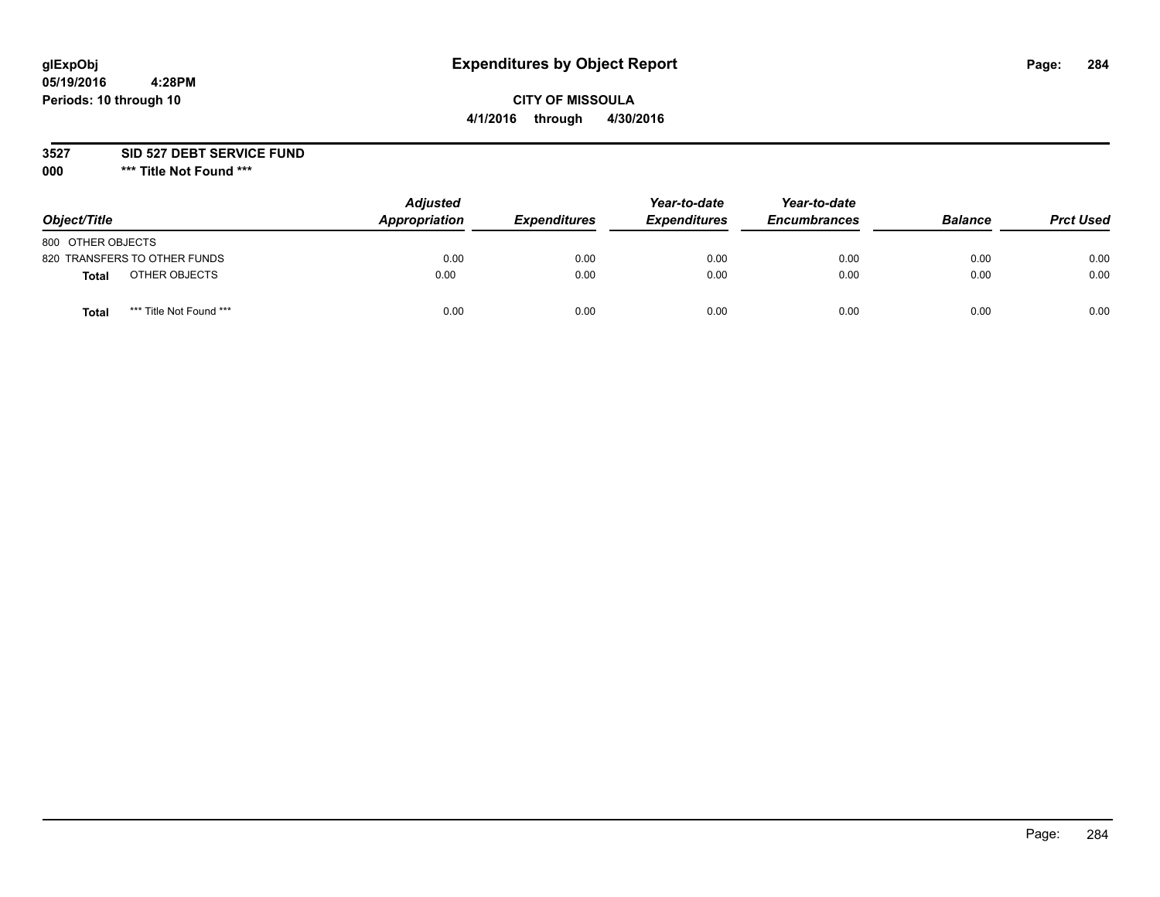# **glExpObj Expenditures by Object Report Page: 284**

### **CITY OF MISSOULA 4/1/2016 through 4/30/2016**

**3527 SID 527 DEBT SERVICE FUND**

**000 \*\*\* Title Not Found \*\*\***

| Object/Title                            | <b>Adjusted</b><br>Appropriation | <b>Expenditures</b> | Year-to-date<br><b>Expenditures</b> | Year-to-date<br><b>Encumbrances</b> | <b>Balance</b> | <b>Prct Used</b> |
|-----------------------------------------|----------------------------------|---------------------|-------------------------------------|-------------------------------------|----------------|------------------|
| 800 OTHER OBJECTS                       |                                  |                     |                                     |                                     |                |                  |
| 820 TRANSFERS TO OTHER FUNDS            | 0.00                             | 0.00                | 0.00                                | 0.00                                | 0.00           | 0.00             |
| OTHER OBJECTS<br><b>Total</b>           | 0.00                             | 0.00                | 0.00                                | 0.00                                | 0.00           | 0.00             |
| *** Title Not Found ***<br><b>Total</b> | 0.00                             | 0.00                | 0.00                                | 0.00                                | 0.00           | 0.00             |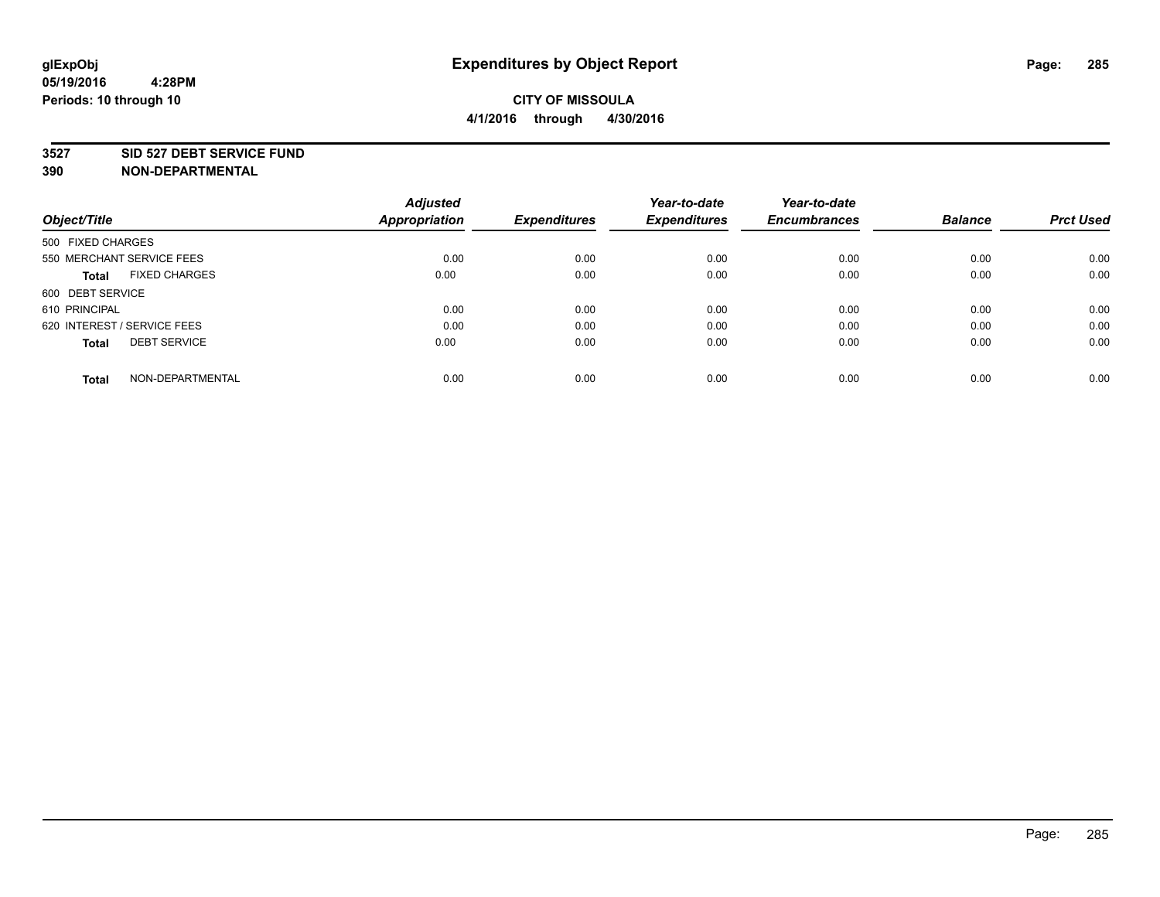#### **3527 SID 527 DEBT SERVICE FUND**

| Object/Title                         | <b>Adjusted</b><br><b>Appropriation</b> | <b>Expenditures</b> | Year-to-date<br><b>Expenditures</b> | Year-to-date<br><b>Encumbrances</b> | <b>Balance</b> | <b>Prct Used</b> |
|--------------------------------------|-----------------------------------------|---------------------|-------------------------------------|-------------------------------------|----------------|------------------|
|                                      |                                         |                     |                                     |                                     |                |                  |
| 500 FIXED CHARGES                    |                                         |                     |                                     |                                     |                |                  |
| 550 MERCHANT SERVICE FEES            | 0.00                                    | 0.00                | 0.00                                | 0.00                                | 0.00           | 0.00             |
| <b>FIXED CHARGES</b><br><b>Total</b> | 0.00                                    | 0.00                | 0.00                                | 0.00                                | 0.00           | 0.00             |
| 600 DEBT SERVICE                     |                                         |                     |                                     |                                     |                |                  |
| 610 PRINCIPAL                        | 0.00                                    | 0.00                | 0.00                                | 0.00                                | 0.00           | 0.00             |
| 620 INTEREST / SERVICE FEES          | 0.00                                    | 0.00                | 0.00                                | 0.00                                | 0.00           | 0.00             |
| <b>DEBT SERVICE</b><br><b>Total</b>  | 0.00                                    | 0.00                | 0.00                                | 0.00                                | 0.00           | 0.00             |
|                                      |                                         |                     |                                     |                                     |                |                  |
| NON-DEPARTMENTAL<br><b>Total</b>     | 0.00                                    | 0.00                | 0.00                                | 0.00                                | 0.00           | 0.00             |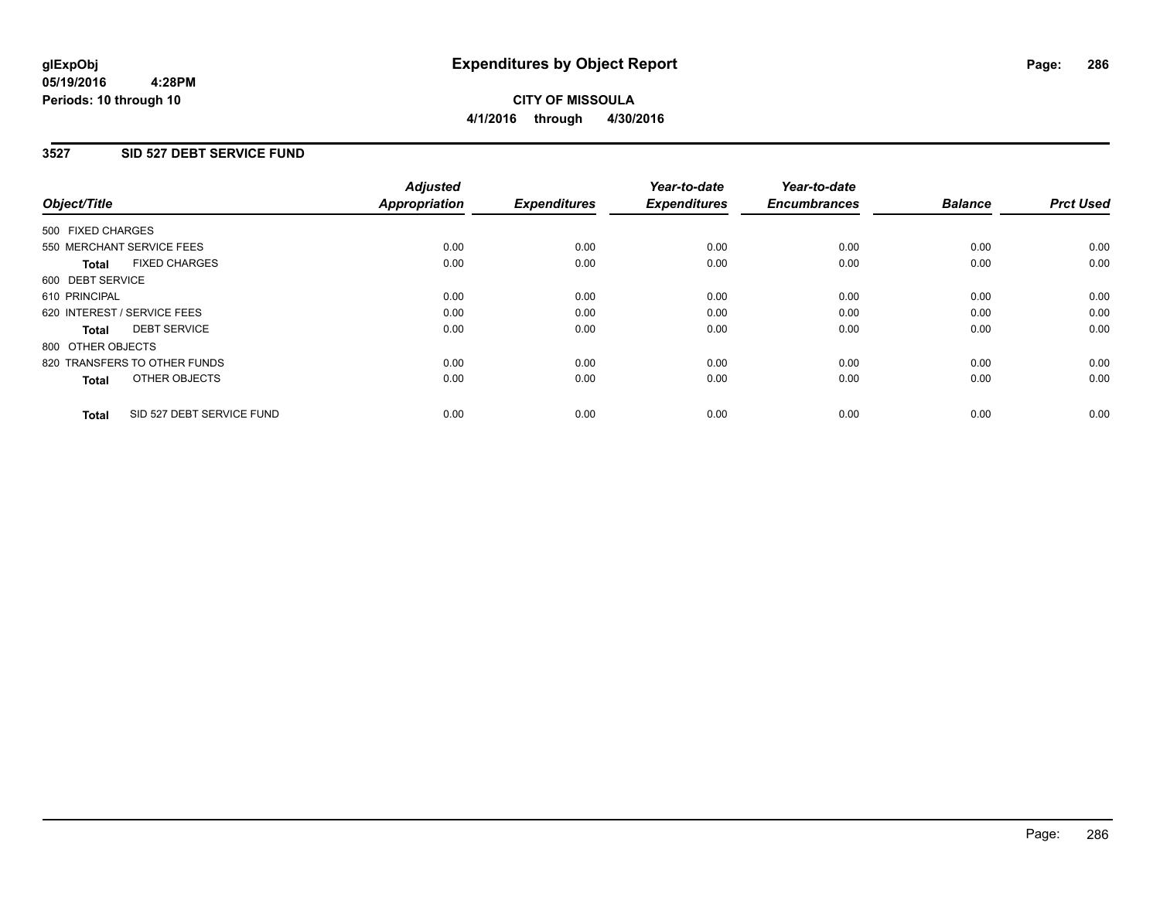### **3527 SID 527 DEBT SERVICE FUND**

| Object/Title      |                              | <b>Adjusted</b><br>Appropriation | <b>Expenditures</b> | Year-to-date<br><b>Expenditures</b> | Year-to-date<br><b>Encumbrances</b> | <b>Balance</b> | <b>Prct Used</b> |
|-------------------|------------------------------|----------------------------------|---------------------|-------------------------------------|-------------------------------------|----------------|------------------|
| 500 FIXED CHARGES |                              |                                  |                     |                                     |                                     |                |                  |
|                   | 550 MERCHANT SERVICE FEES    | 0.00                             | 0.00                | 0.00                                | 0.00                                | 0.00           | 0.00             |
| <b>Total</b>      | <b>FIXED CHARGES</b>         | 0.00                             | 0.00                | 0.00                                | 0.00                                | 0.00           | 0.00             |
| 600 DEBT SERVICE  |                              |                                  |                     |                                     |                                     |                |                  |
| 610 PRINCIPAL     |                              | 0.00                             | 0.00                | 0.00                                | 0.00                                | 0.00           | 0.00             |
|                   | 620 INTEREST / SERVICE FEES  | 0.00                             | 0.00                | 0.00                                | 0.00                                | 0.00           | 0.00             |
| Total             | <b>DEBT SERVICE</b>          | 0.00                             | 0.00                | 0.00                                | 0.00                                | 0.00           | 0.00             |
| 800 OTHER OBJECTS |                              |                                  |                     |                                     |                                     |                |                  |
|                   | 820 TRANSFERS TO OTHER FUNDS | 0.00                             | 0.00                | 0.00                                | 0.00                                | 0.00           | 0.00             |
| <b>Total</b>      | OTHER OBJECTS                | 0.00                             | 0.00                | 0.00                                | 0.00                                | 0.00           | 0.00             |
| <b>Total</b>      | SID 527 DEBT SERVICE FUND    | 0.00                             | 0.00                | 0.00                                | 0.00                                | 0.00           | 0.00             |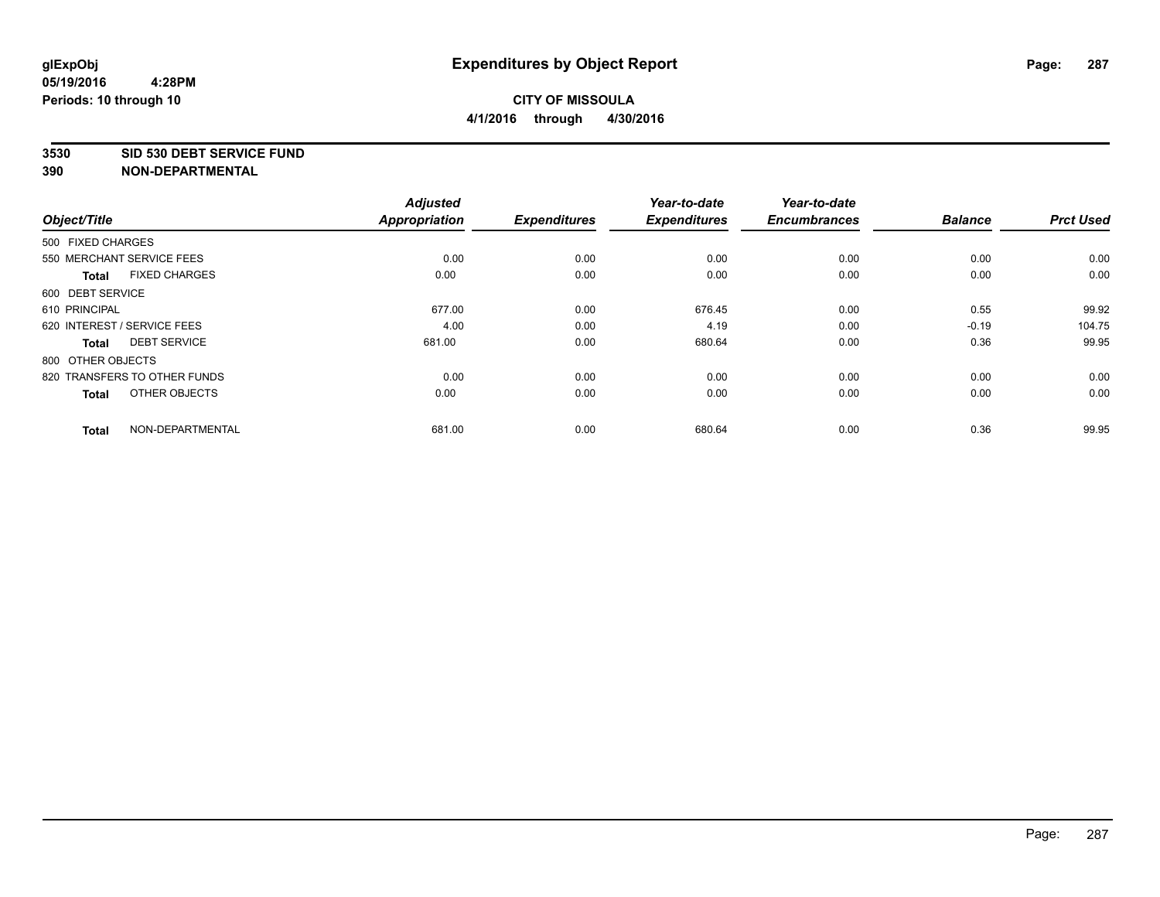#### **3530 SID 530 DEBT SERVICE FUND**

| Object/Title      |                              | <b>Adjusted</b><br><b>Appropriation</b> | <b>Expenditures</b> | Year-to-date<br><b>Expenditures</b> | Year-to-date<br><b>Encumbrances</b> | <b>Balance</b> | <b>Prct Used</b> |
|-------------------|------------------------------|-----------------------------------------|---------------------|-------------------------------------|-------------------------------------|----------------|------------------|
|                   |                              |                                         |                     |                                     |                                     |                |                  |
| 500 FIXED CHARGES |                              |                                         |                     |                                     |                                     |                |                  |
|                   | 550 MERCHANT SERVICE FEES    | 0.00                                    | 0.00                | 0.00                                | 0.00                                | 0.00           | 0.00             |
| <b>Total</b>      | <b>FIXED CHARGES</b>         | 0.00                                    | 0.00                | 0.00                                | 0.00                                | 0.00           | 0.00             |
| 600 DEBT SERVICE  |                              |                                         |                     |                                     |                                     |                |                  |
| 610 PRINCIPAL     |                              | 677.00                                  | 0.00                | 676.45                              | 0.00                                | 0.55           | 99.92            |
|                   | 620 INTEREST / SERVICE FEES  | 4.00                                    | 0.00                | 4.19                                | 0.00                                | $-0.19$        | 104.75           |
| <b>Total</b>      | <b>DEBT SERVICE</b>          | 681.00                                  | 0.00                | 680.64                              | 0.00                                | 0.36           | 99.95            |
| 800 OTHER OBJECTS |                              |                                         |                     |                                     |                                     |                |                  |
|                   | 820 TRANSFERS TO OTHER FUNDS | 0.00                                    | 0.00                | 0.00                                | 0.00                                | 0.00           | 0.00             |
| <b>Total</b>      | OTHER OBJECTS                | 0.00                                    | 0.00                | 0.00                                | 0.00                                | 0.00           | 0.00             |
| <b>Total</b>      | NON-DEPARTMENTAL             | 681.00                                  | 0.00                | 680.64                              | 0.00                                | 0.36           | 99.95            |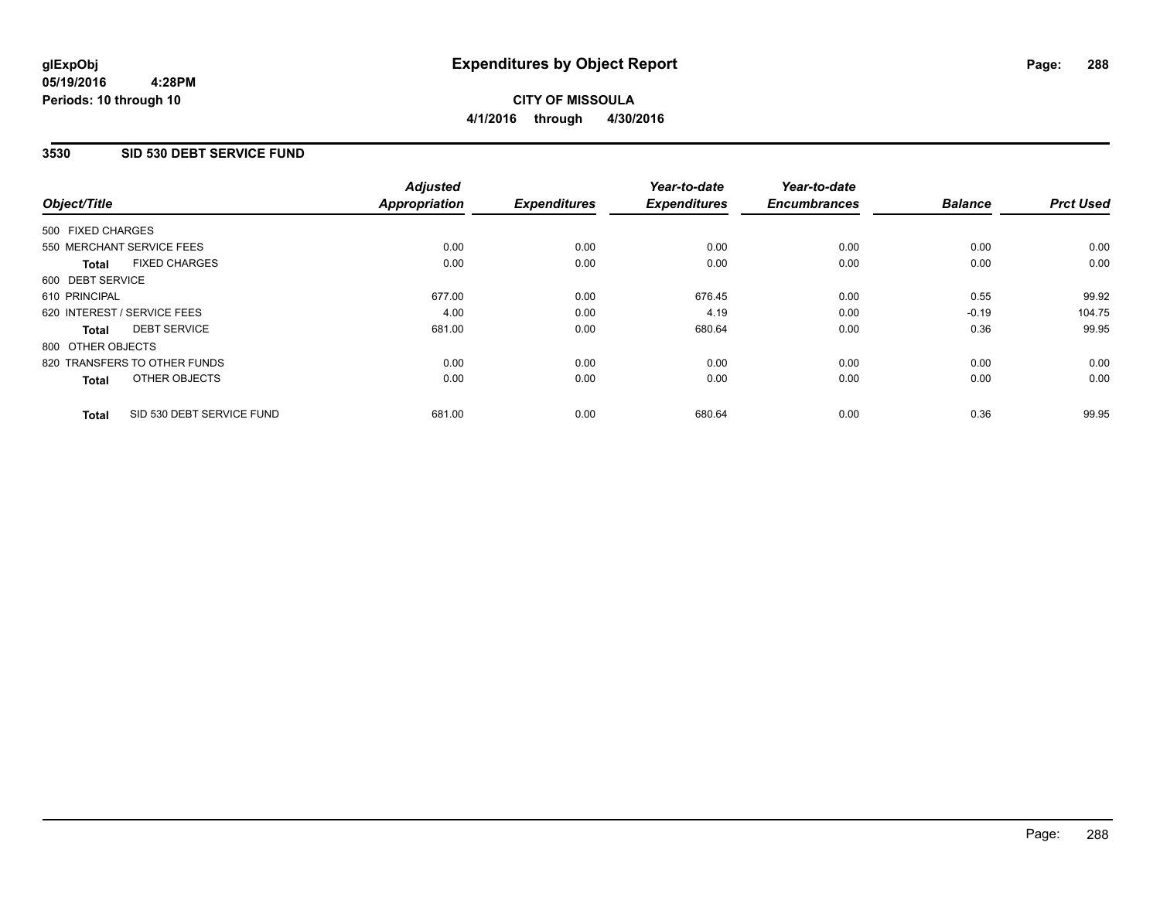#### **05/19/2016 4:28PM Periods: 10 through 10**

# **CITY OF MISSOULA 4/1/2016 through 4/30/2016**

#### **3530 SID 530 DEBT SERVICE FUND**

| Object/Title      |                              | <b>Adjusted</b><br><b>Appropriation</b> | <b>Expenditures</b> | Year-to-date<br><b>Expenditures</b> | Year-to-date<br><b>Encumbrances</b> | <b>Balance</b> | <b>Prct Used</b> |
|-------------------|------------------------------|-----------------------------------------|---------------------|-------------------------------------|-------------------------------------|----------------|------------------|
|                   |                              |                                         |                     |                                     |                                     |                |                  |
| 500 FIXED CHARGES |                              |                                         |                     |                                     |                                     |                |                  |
|                   | 550 MERCHANT SERVICE FEES    | 0.00                                    | 0.00                | 0.00                                | 0.00                                | 0.00           | 0.00             |
| <b>Total</b>      | <b>FIXED CHARGES</b>         | 0.00                                    | 0.00                | 0.00                                | 0.00                                | 0.00           | 0.00             |
| 600 DEBT SERVICE  |                              |                                         |                     |                                     |                                     |                |                  |
| 610 PRINCIPAL     |                              | 677.00                                  | 0.00                | 676.45                              | 0.00                                | 0.55           | 99.92            |
|                   | 620 INTEREST / SERVICE FEES  | 4.00                                    | 0.00                | 4.19                                | 0.00                                | $-0.19$        | 104.75           |
| <b>Total</b>      | <b>DEBT SERVICE</b>          | 681.00                                  | 0.00                | 680.64                              | 0.00                                | 0.36           | 99.95            |
| 800 OTHER OBJECTS |                              |                                         |                     |                                     |                                     |                |                  |
|                   | 820 TRANSFERS TO OTHER FUNDS | 0.00                                    | 0.00                | 0.00                                | 0.00                                | 0.00           | 0.00             |
| <b>Total</b>      | OTHER OBJECTS                | 0.00                                    | 0.00                | 0.00                                | 0.00                                | 0.00           | 0.00             |
| <b>Total</b>      | SID 530 DEBT SERVICE FUND    | 681.00                                  | 0.00                | 680.64                              | 0.00                                | 0.36           | 99.95            |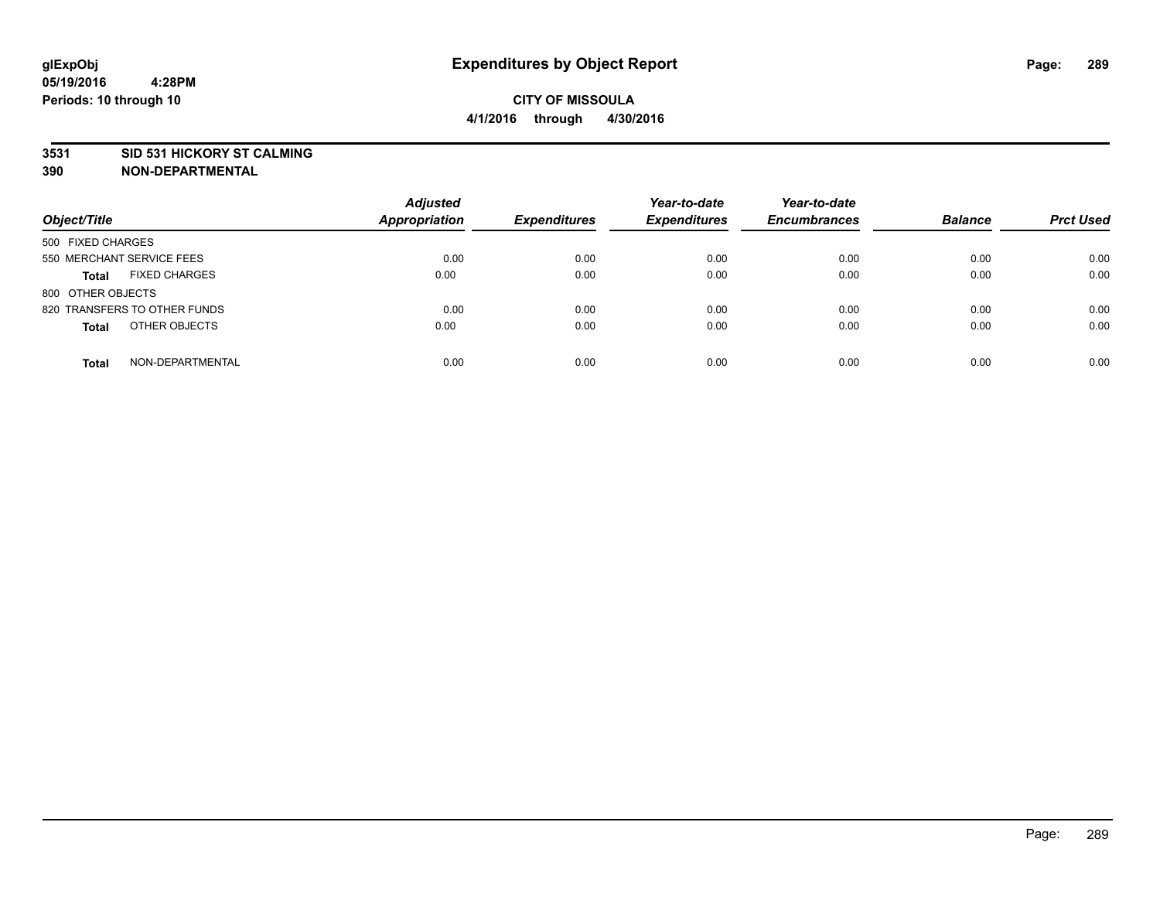### **3531 SID 531 HICKORY ST CALMING**

| Object/Title                         | <b>Adjusted</b><br><b>Appropriation</b> | <b>Expenditures</b> | Year-to-date<br><b>Expenditures</b> | Year-to-date<br><b>Encumbrances</b> | <b>Balance</b> | <b>Prct Used</b> |
|--------------------------------------|-----------------------------------------|---------------------|-------------------------------------|-------------------------------------|----------------|------------------|
|                                      |                                         |                     |                                     |                                     |                |                  |
| 500 FIXED CHARGES                    |                                         |                     |                                     |                                     |                |                  |
| 550 MERCHANT SERVICE FEES            | 0.00                                    | 0.00                | 0.00                                | 0.00                                | 0.00           | 0.00             |
| <b>FIXED CHARGES</b><br><b>Total</b> | 0.00                                    | 0.00                | 0.00                                | 0.00                                | 0.00           | 0.00             |
| 800 OTHER OBJECTS                    |                                         |                     |                                     |                                     |                |                  |
| 820 TRANSFERS TO OTHER FUNDS         | 0.00                                    | 0.00                | 0.00                                | 0.00                                | 0.00           | 0.00             |
| OTHER OBJECTS<br><b>Total</b>        | 0.00                                    | 0.00                | 0.00                                | 0.00                                | 0.00           | 0.00             |
|                                      |                                         |                     |                                     |                                     |                |                  |
| NON-DEPARTMENTAL<br><b>Total</b>     | 0.00                                    | 0.00                | 0.00                                | 0.00                                | 0.00           | 0.00             |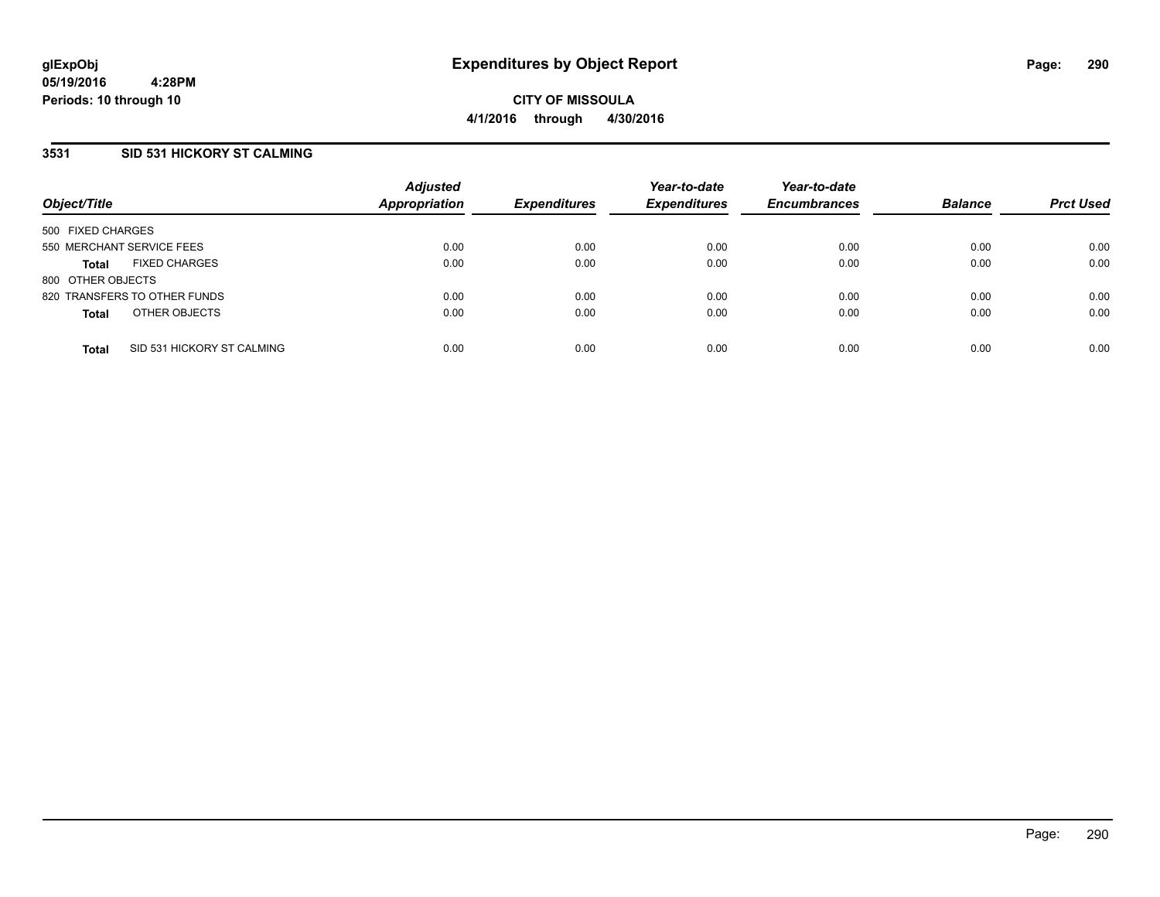## **3531 SID 531 HICKORY ST CALMING**

| Object/Title              |                              | <b>Adjusted</b><br><b>Appropriation</b> | <b>Expenditures</b> | Year-to-date<br><b>Expenditures</b> | Year-to-date<br><b>Encumbrances</b> | <b>Balance</b> | <b>Prct Used</b> |
|---------------------------|------------------------------|-----------------------------------------|---------------------|-------------------------------------|-------------------------------------|----------------|------------------|
| 500 FIXED CHARGES         |                              |                                         |                     |                                     |                                     |                |                  |
| 550 MERCHANT SERVICE FEES |                              | 0.00                                    | 0.00                | 0.00                                | 0.00                                | 0.00           | 0.00             |
| <b>Total</b>              | <b>FIXED CHARGES</b>         | 0.00                                    | 0.00                | 0.00                                | 0.00                                | 0.00           | 0.00             |
| 800 OTHER OBJECTS         |                              |                                         |                     |                                     |                                     |                |                  |
|                           | 820 TRANSFERS TO OTHER FUNDS | 0.00                                    | 0.00                | 0.00                                | 0.00                                | 0.00           | 0.00             |
| <b>Total</b>              | OTHER OBJECTS                | 0.00                                    | 0.00                | 0.00                                | 0.00                                | 0.00           | 0.00             |
| <b>Total</b>              | SID 531 HICKORY ST CALMING   | 0.00                                    | 0.00                | 0.00                                | 0.00                                | 0.00           | 0.00             |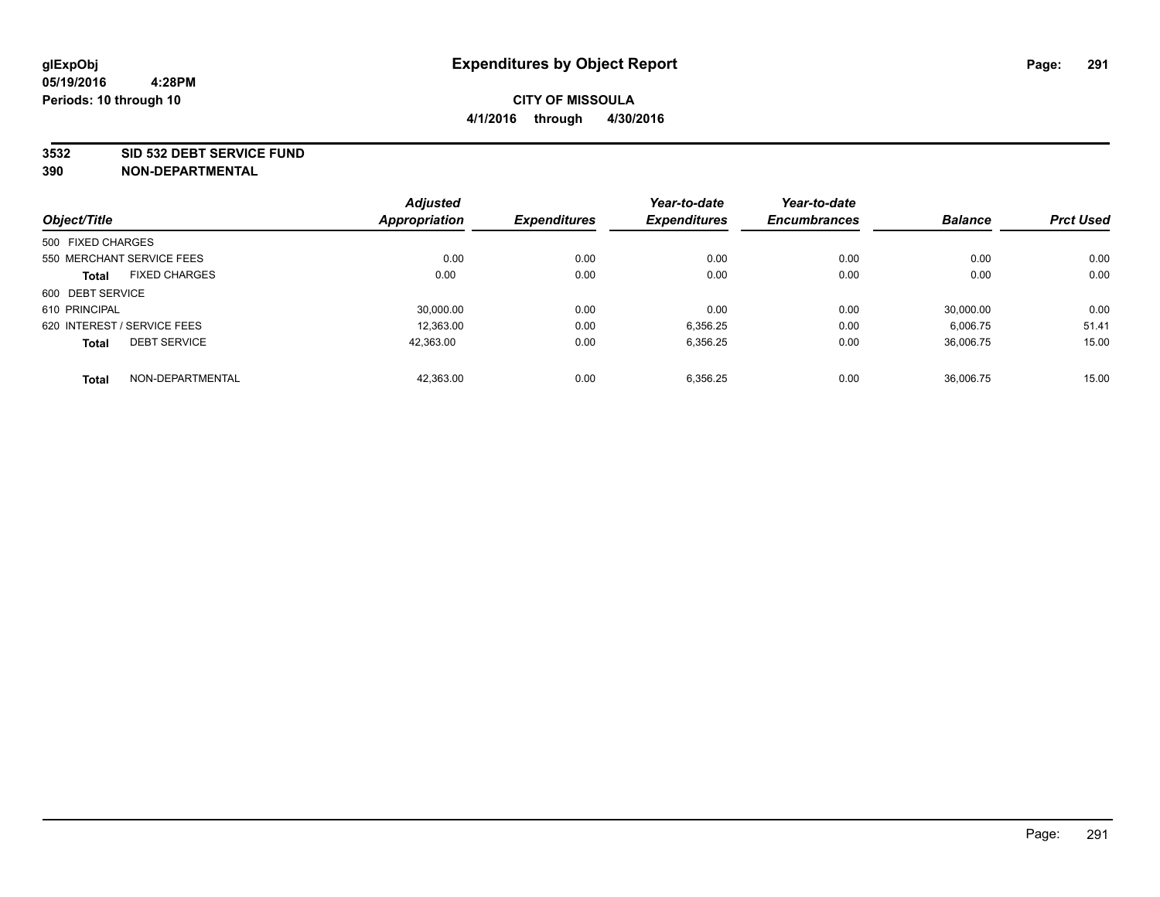### **3532 SID 532 DEBT SERVICE FUND**

|                                      | <b>Adjusted</b>      |                     | Year-to-date        | Year-to-date        |                |                  |
|--------------------------------------|----------------------|---------------------|---------------------|---------------------|----------------|------------------|
| Object/Title                         | <b>Appropriation</b> | <b>Expenditures</b> | <b>Expenditures</b> | <b>Encumbrances</b> | <b>Balance</b> | <b>Prct Used</b> |
| 500 FIXED CHARGES                    |                      |                     |                     |                     |                |                  |
| 550 MERCHANT SERVICE FEES            | 0.00                 | 0.00                | 0.00                | 0.00                | 0.00           | 0.00             |
| <b>FIXED CHARGES</b><br><b>Total</b> | 0.00                 | 0.00                | 0.00                | 0.00                | 0.00           | 0.00             |
| 600 DEBT SERVICE                     |                      |                     |                     |                     |                |                  |
| 610 PRINCIPAL                        | 30.000.00            | 0.00                | 0.00                | 0.00                | 30.000.00      | 0.00             |
| 620 INTEREST / SERVICE FEES          | 12,363.00            | 0.00                | 6,356.25            | 0.00                | 6,006.75       | 51.41            |
| <b>DEBT SERVICE</b><br><b>Total</b>  | 42.363.00            | 0.00                | 6,356.25            | 0.00                | 36.006.75      | 15.00            |
| NON-DEPARTMENTAL<br><b>Total</b>     | 42,363.00            | 0.00                | 6,356.25            | 0.00                | 36,006.75      | 15.00            |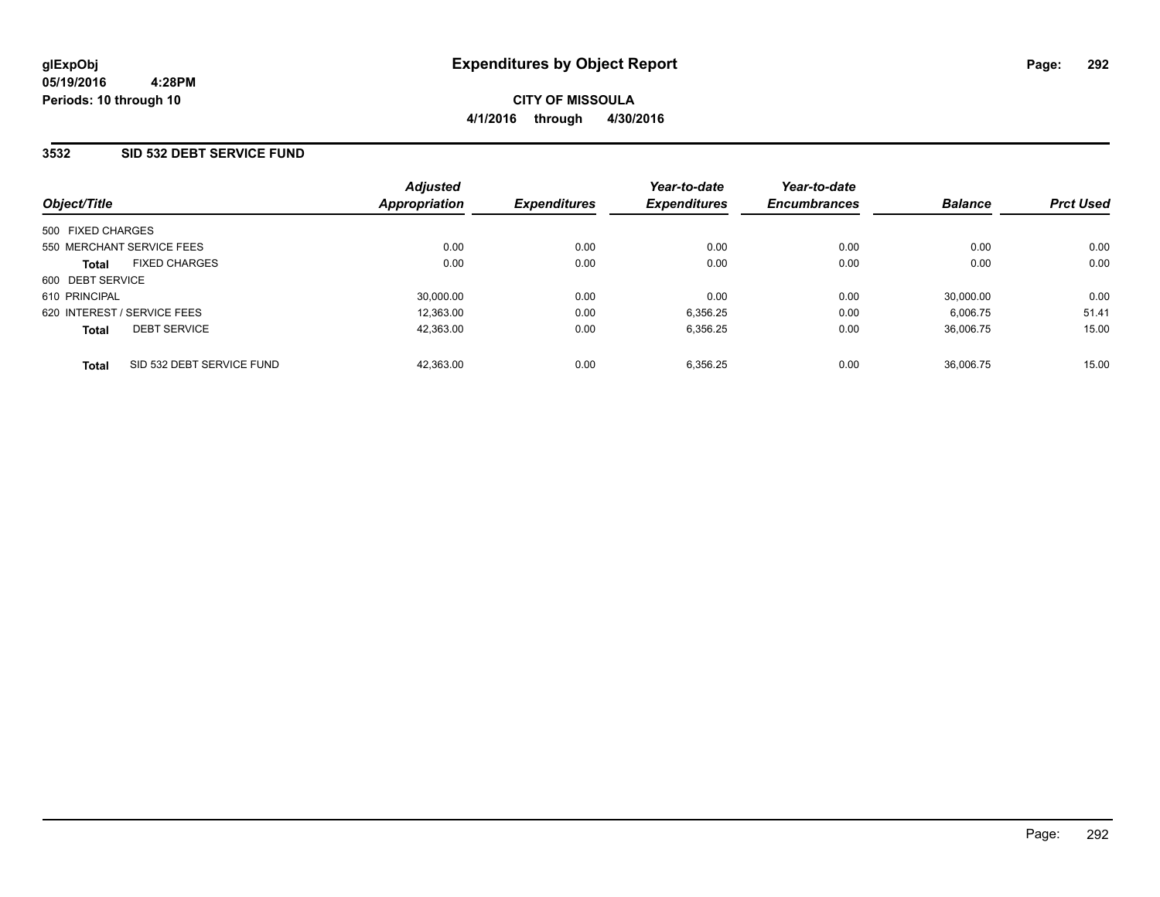## **3532 SID 532 DEBT SERVICE FUND**

| Object/Title                              | <b>Adjusted</b><br>Appropriation | <b>Expenditures</b> | Year-to-date<br><b>Expenditures</b> | Year-to-date<br><b>Encumbrances</b> | <b>Balance</b> | <b>Prct Used</b> |
|-------------------------------------------|----------------------------------|---------------------|-------------------------------------|-------------------------------------|----------------|------------------|
| 500 FIXED CHARGES                         |                                  |                     |                                     |                                     |                |                  |
| 550 MERCHANT SERVICE FEES                 | 0.00                             | 0.00                | 0.00                                | 0.00                                | 0.00           | 0.00             |
| <b>FIXED CHARGES</b><br><b>Total</b>      | 0.00                             | 0.00                | 0.00                                | 0.00                                | 0.00           | 0.00             |
| 600 DEBT SERVICE                          |                                  |                     |                                     |                                     |                |                  |
| 610 PRINCIPAL                             | 30,000.00                        | 0.00                | 0.00                                | 0.00                                | 30,000.00      | 0.00             |
| 620 INTEREST / SERVICE FEES               | 12,363.00                        | 0.00                | 6,356.25                            | 0.00                                | 6,006.75       | 51.41            |
| <b>DEBT SERVICE</b><br><b>Total</b>       | 42,363.00                        | 0.00                | 6,356.25                            | 0.00                                | 36.006.75      | 15.00            |
| SID 532 DEBT SERVICE FUND<br><b>Total</b> | 42.363.00                        | 0.00                | 6.356.25                            | 0.00                                | 36.006.75      | 15.00            |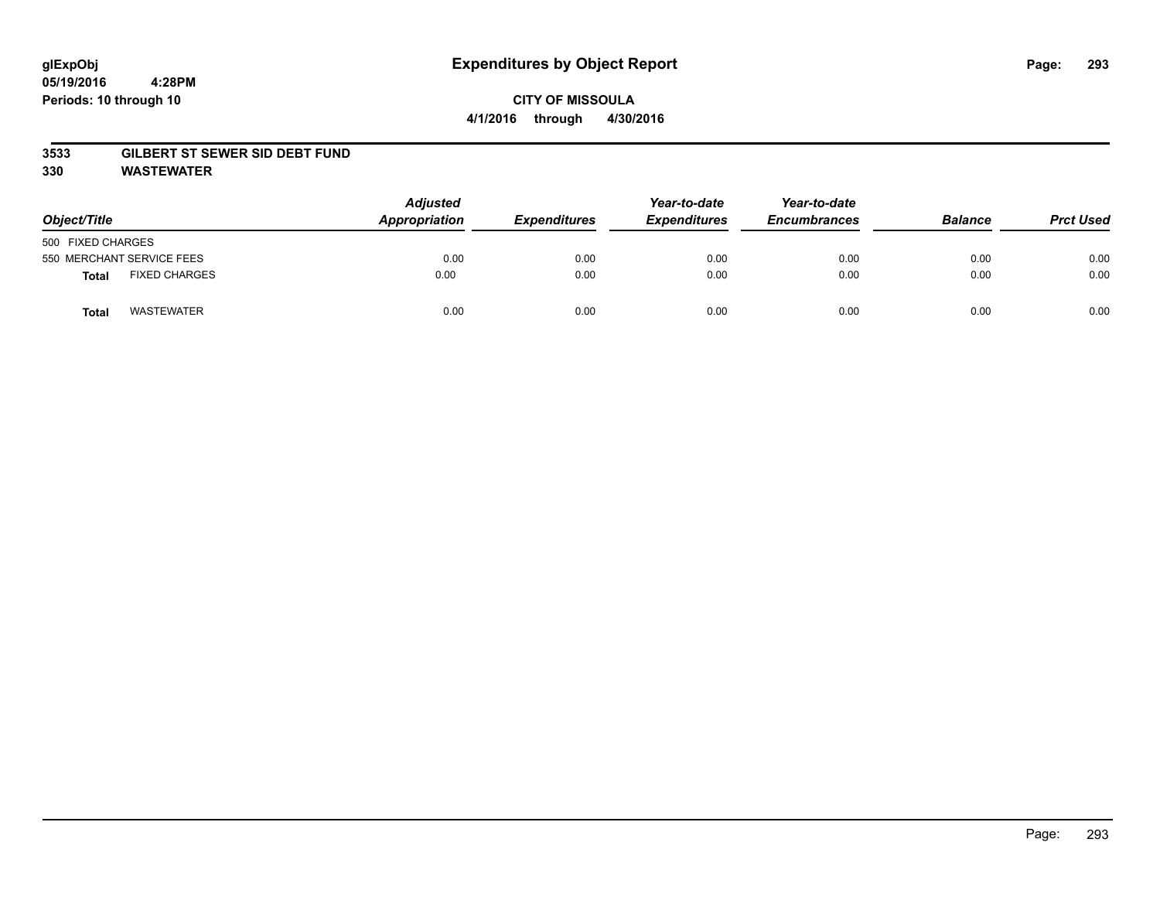# **CITY OF MISSOULA 4/1/2016 through 4/30/2016**

### **3533 GILBERT ST SEWER SID DEBT FUND**

**330 WASTEWATER**

| Object/Title                  | <b>Adjusted</b><br>Appropriation | <b>Expenditures</b> | Year-to-date<br><b>Expenditures</b> | Year-to-date<br><b>Encumbrances</b> | <b>Balance</b> | <b>Prct Used</b> |
|-------------------------------|----------------------------------|---------------------|-------------------------------------|-------------------------------------|----------------|------------------|
| 500 FIXED CHARGES             |                                  |                     |                                     |                                     |                |                  |
| 550 MERCHANT SERVICE FEES     | 0.00                             | 0.00                | 0.00                                | 0.00                                | 0.00           | 0.00             |
| <b>FIXED CHARGES</b><br>Total | 0.00                             | 0.00                | 0.00                                | 0.00                                | 0.00           | 0.00             |
| <b>WASTEWATER</b><br>Total    | 0.00                             | 0.00                | 0.00                                | 0.00                                | 0.00           | 0.00             |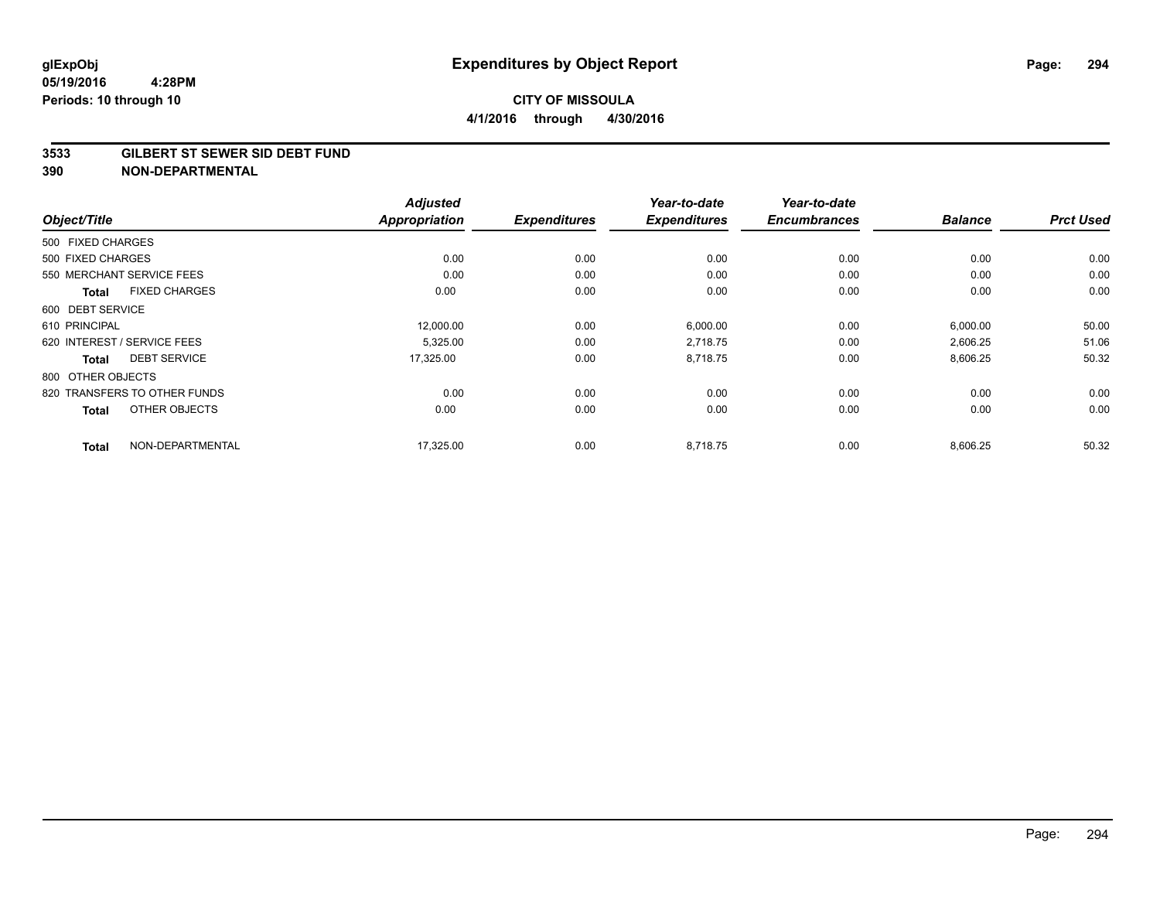### **3533 GILBERT ST SEWER SID DEBT FUND**

|                                      | <b>Adjusted</b>      |                     | Year-to-date        | Year-to-date        |                |                  |
|--------------------------------------|----------------------|---------------------|---------------------|---------------------|----------------|------------------|
| Object/Title                         | <b>Appropriation</b> | <b>Expenditures</b> | <b>Expenditures</b> | <b>Encumbrances</b> | <b>Balance</b> | <b>Prct Used</b> |
| 500 FIXED CHARGES                    |                      |                     |                     |                     |                |                  |
| 500 FIXED CHARGES                    | 0.00                 | 0.00                | 0.00                | 0.00                | 0.00           | 0.00             |
| 550 MERCHANT SERVICE FEES            | 0.00                 | 0.00                | 0.00                | 0.00                | 0.00           | 0.00             |
| <b>FIXED CHARGES</b><br><b>Total</b> | 0.00                 | 0.00                | 0.00                | 0.00                | 0.00           | 0.00             |
| 600 DEBT SERVICE                     |                      |                     |                     |                     |                |                  |
| 610 PRINCIPAL                        | 12,000.00            | 0.00                | 6,000.00            | 0.00                | 6,000.00       | 50.00            |
| 620 INTEREST / SERVICE FEES          | 5,325.00             | 0.00                | 2,718.75            | 0.00                | 2,606.25       | 51.06            |
| <b>DEBT SERVICE</b><br>Total         | 17,325.00            | 0.00                | 8,718.75            | 0.00                | 8,606.25       | 50.32            |
| 800 OTHER OBJECTS                    |                      |                     |                     |                     |                |                  |
| 820 TRANSFERS TO OTHER FUNDS         | 0.00                 | 0.00                | 0.00                | 0.00                | 0.00           | 0.00             |
| OTHER OBJECTS<br><b>Total</b>        | 0.00                 | 0.00                | 0.00                | 0.00                | 0.00           | 0.00             |
| NON-DEPARTMENTAL<br><b>Total</b>     | 17,325.00            | 0.00                | 8.718.75            | 0.00                | 8,606.25       | 50.32            |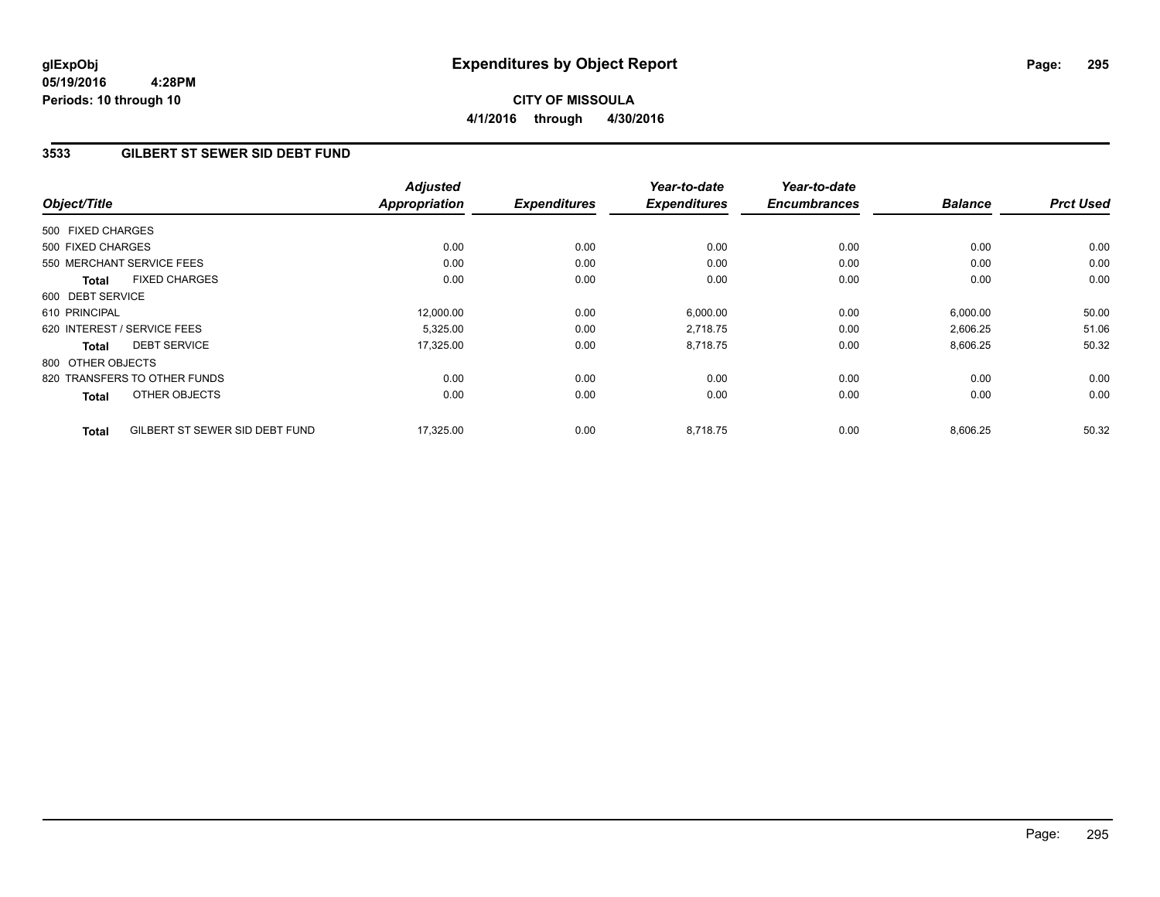# **CITY OF MISSOULA 4/1/2016 through 4/30/2016**

## **3533 GILBERT ST SEWER SID DEBT FUND**

| Object/Title      |                                | <b>Adjusted</b><br><b>Appropriation</b> | <b>Expenditures</b> | Year-to-date<br><b>Expenditures</b> | Year-to-date<br><b>Encumbrances</b> | <b>Balance</b> | <b>Prct Used</b> |
|-------------------|--------------------------------|-----------------------------------------|---------------------|-------------------------------------|-------------------------------------|----------------|------------------|
| 500 FIXED CHARGES |                                |                                         |                     |                                     |                                     |                |                  |
| 500 FIXED CHARGES |                                | 0.00                                    | 0.00                | 0.00                                | 0.00                                | 0.00           | 0.00             |
|                   | 550 MERCHANT SERVICE FEES      | 0.00                                    | 0.00                | 0.00                                | 0.00                                | 0.00           | 0.00             |
| Total             | <b>FIXED CHARGES</b>           | 0.00                                    | 0.00                | 0.00                                | 0.00                                | 0.00           | 0.00             |
| 600 DEBT SERVICE  |                                |                                         |                     |                                     |                                     |                |                  |
| 610 PRINCIPAL     |                                | 12,000.00                               | 0.00                | 6,000.00                            | 0.00                                | 6,000.00       | 50.00            |
|                   | 620 INTEREST / SERVICE FEES    | 5,325.00                                | 0.00                | 2,718.75                            | 0.00                                | 2,606.25       | 51.06            |
| <b>Total</b>      | <b>DEBT SERVICE</b>            | 17,325.00                               | 0.00                | 8,718.75                            | 0.00                                | 8,606.25       | 50.32            |
| 800 OTHER OBJECTS |                                |                                         |                     |                                     |                                     |                |                  |
|                   | 820 TRANSFERS TO OTHER FUNDS   | 0.00                                    | 0.00                | 0.00                                | 0.00                                | 0.00           | 0.00             |
| <b>Total</b>      | OTHER OBJECTS                  | 0.00                                    | 0.00                | 0.00                                | 0.00                                | 0.00           | 0.00             |
| <b>Total</b>      | GILBERT ST SEWER SID DEBT FUND | 17,325.00                               | 0.00                | 8,718.75                            | 0.00                                | 8,606.25       | 50.32            |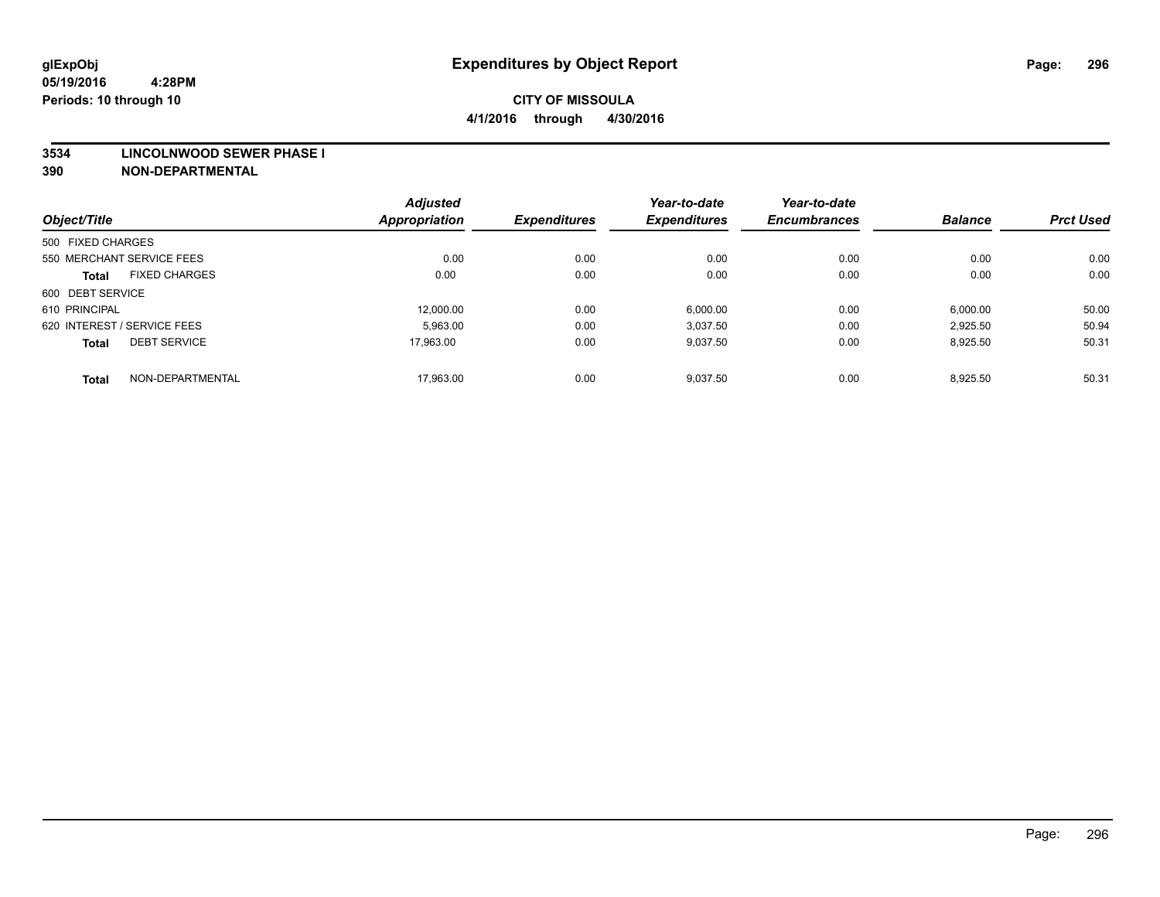### **3534 LINCOLNWOOD SEWER PHASE I**

|                             |                           | <b>Adjusted</b>      |                     | Year-to-date        | Year-to-date        |                | <b>Prct Used</b> |
|-----------------------------|---------------------------|----------------------|---------------------|---------------------|---------------------|----------------|------------------|
| Object/Title                |                           | <b>Appropriation</b> | <b>Expenditures</b> | <b>Expenditures</b> | <b>Encumbrances</b> | <b>Balance</b> |                  |
| 500 FIXED CHARGES           |                           |                      |                     |                     |                     |                |                  |
|                             | 550 MERCHANT SERVICE FEES | 0.00                 | 0.00                | 0.00                | 0.00                | 0.00           | 0.00             |
| <b>Total</b>                | <b>FIXED CHARGES</b>      | 0.00                 | 0.00                | 0.00                | 0.00                | 0.00           | 0.00             |
| 600 DEBT SERVICE            |                           |                      |                     |                     |                     |                |                  |
| 610 PRINCIPAL               |                           | 12.000.00            | 0.00                | 6,000.00            | 0.00                | 6,000.00       | 50.00            |
| 620 INTEREST / SERVICE FEES |                           | 5,963.00             | 0.00                | 3,037.50            | 0.00                | 2,925.50       | 50.94            |
| <b>Total</b>                | <b>DEBT SERVICE</b>       | 17.963.00            | 0.00                | 9,037.50            | 0.00                | 8,925.50       | 50.31            |
| <b>Total</b>                | NON-DEPARTMENTAL          | 17.963.00            | 0.00                | 9,037.50            | 0.00                | 8,925.50       | 50.31            |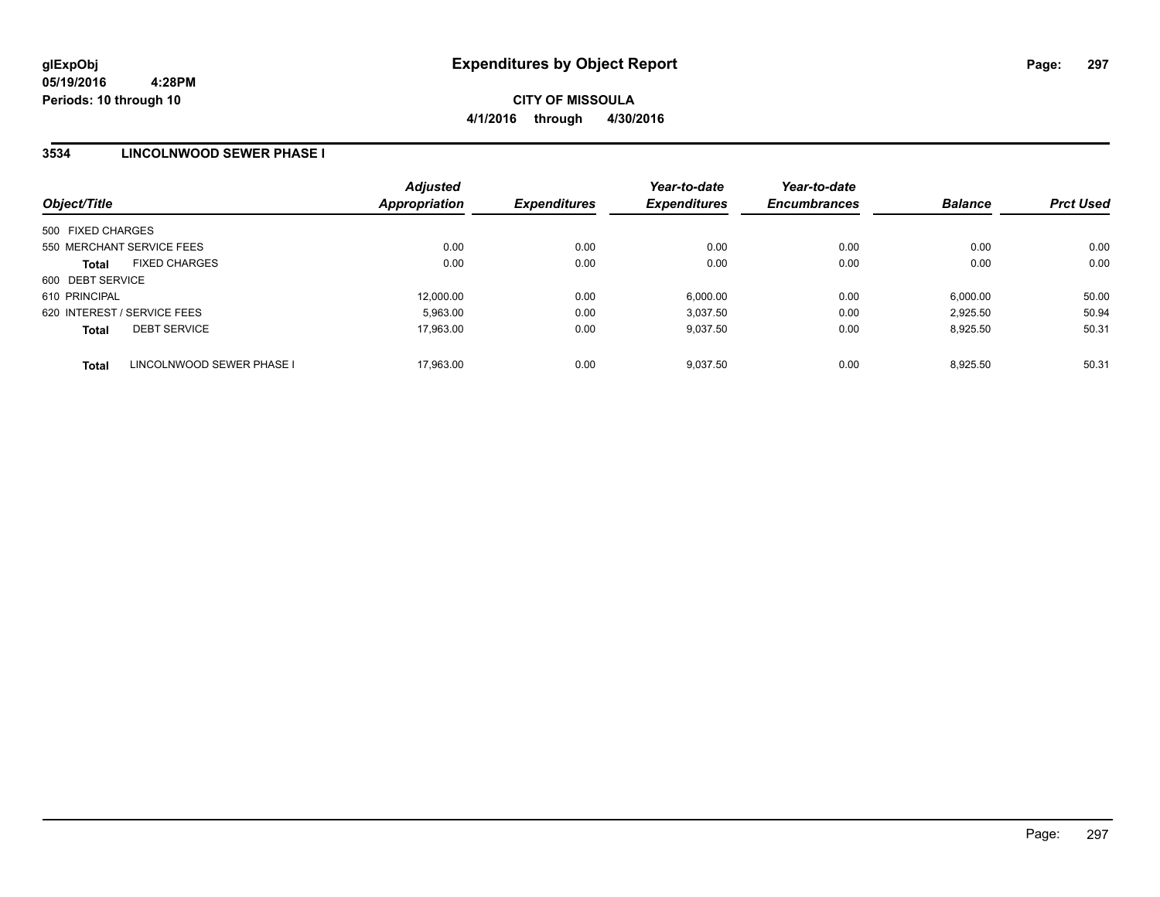## **3534 LINCOLNWOOD SEWER PHASE I**

| Object/Title                              | <b>Adjusted</b><br>Appropriation | <b>Expenditures</b> | Year-to-date<br><b>Expenditures</b> | Year-to-date<br><b>Encumbrances</b> | <b>Balance</b> | <b>Prct Used</b> |
|-------------------------------------------|----------------------------------|---------------------|-------------------------------------|-------------------------------------|----------------|------------------|
| 500 FIXED CHARGES                         |                                  |                     |                                     |                                     |                |                  |
| 550 MERCHANT SERVICE FEES                 | 0.00                             | 0.00                | 0.00                                | 0.00                                | 0.00           | 0.00             |
| <b>FIXED CHARGES</b><br><b>Total</b>      | 0.00                             | 0.00                | 0.00                                | 0.00                                | 0.00           | 0.00             |
| 600 DEBT SERVICE                          |                                  |                     |                                     |                                     |                |                  |
| 610 PRINCIPAL                             | 12,000.00                        | 0.00                | 6.000.00                            | 0.00                                | 6,000.00       | 50.00            |
| 620 INTEREST / SERVICE FEES               | 5,963.00                         | 0.00                | 3.037.50                            | 0.00                                | 2.925.50       | 50.94            |
| <b>DEBT SERVICE</b><br><b>Total</b>       | 17,963.00                        | 0.00                | 9.037.50                            | 0.00                                | 8.925.50       | 50.31            |
| LINCOLNWOOD SEWER PHASE I<br><b>Total</b> | 17.963.00                        | 0.00                | 9.037.50                            | 0.00                                | 8.925.50       | 50.31            |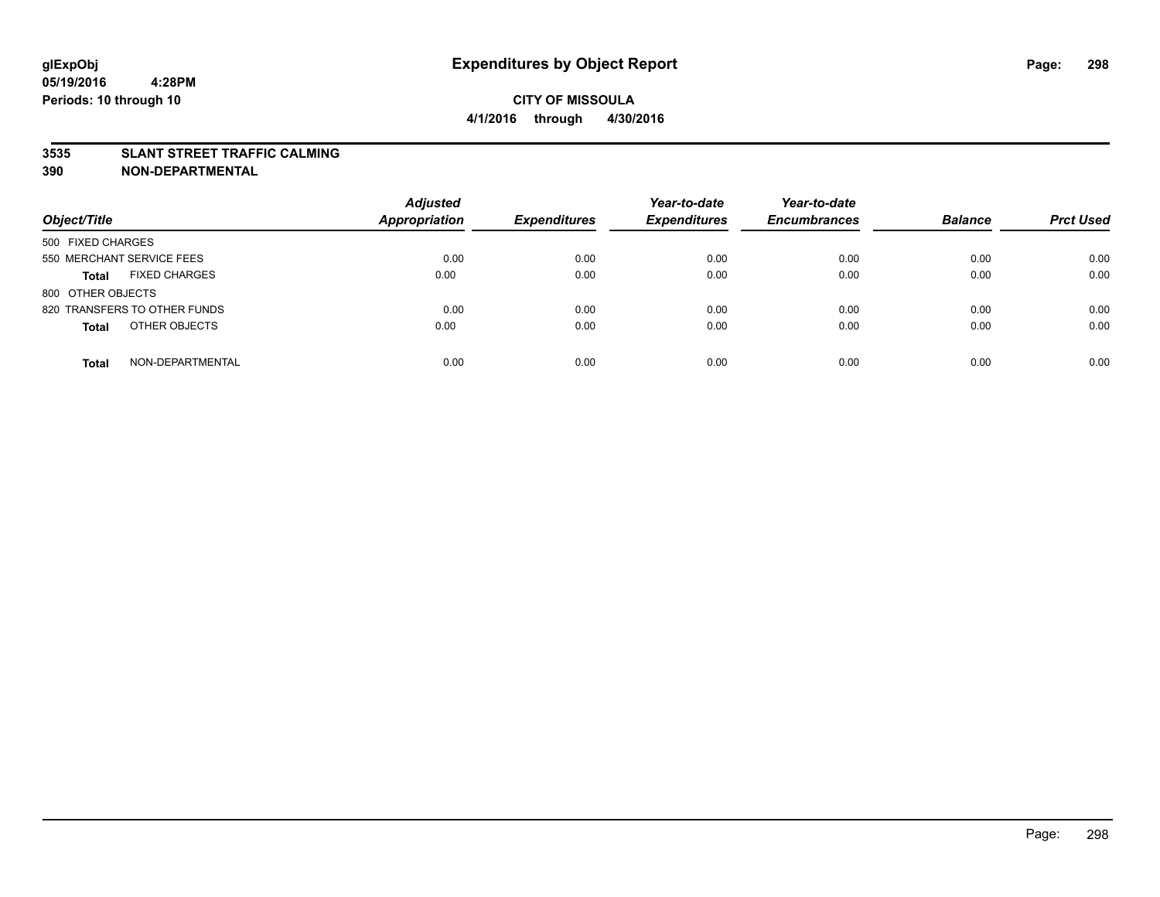### **3535 SLANT STREET TRAFFIC CALMING**

| Object/Title                         | <b>Adjusted</b><br><b>Appropriation</b> | <b>Expenditures</b> | Year-to-date<br><b>Expenditures</b> | Year-to-date<br><b>Encumbrances</b> | <b>Balance</b> | <b>Prct Used</b> |
|--------------------------------------|-----------------------------------------|---------------------|-------------------------------------|-------------------------------------|----------------|------------------|
|                                      |                                         |                     |                                     |                                     |                |                  |
| 500 FIXED CHARGES                    |                                         |                     |                                     |                                     |                |                  |
| 550 MERCHANT SERVICE FEES            | 0.00                                    | 0.00                | 0.00                                | 0.00                                | 0.00           | 0.00             |
| <b>FIXED CHARGES</b><br><b>Total</b> | 0.00                                    | 0.00                | 0.00                                | 0.00                                | 0.00           | 0.00             |
| 800 OTHER OBJECTS                    |                                         |                     |                                     |                                     |                |                  |
| 820 TRANSFERS TO OTHER FUNDS         | 0.00                                    | 0.00                | 0.00                                | 0.00                                | 0.00           | 0.00             |
| OTHER OBJECTS<br><b>Total</b>        | 0.00                                    | 0.00                | 0.00                                | 0.00                                | 0.00           | 0.00             |
|                                      |                                         |                     |                                     |                                     |                |                  |
| NON-DEPARTMENTAL<br><b>Total</b>     | 0.00                                    | 0.00                | 0.00                                | 0.00                                | 0.00           | 0.00             |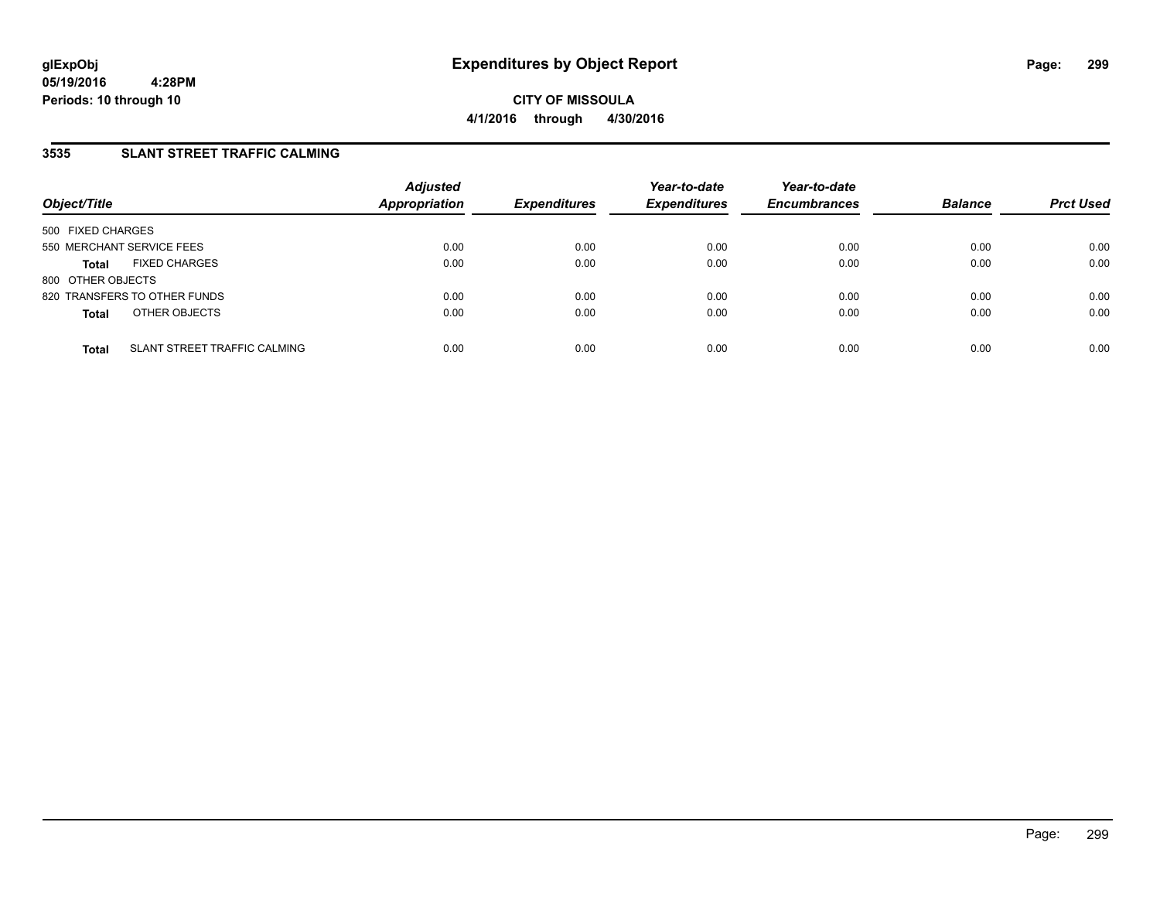## **3535 SLANT STREET TRAFFIC CALMING**

| Object/Title              |                              | <b>Adjusted</b><br><b>Appropriation</b> | <b>Expenditures</b> | Year-to-date<br><b>Expenditures</b> | Year-to-date<br><b>Encumbrances</b> | <b>Balance</b> | <b>Prct Used</b> |
|---------------------------|------------------------------|-----------------------------------------|---------------------|-------------------------------------|-------------------------------------|----------------|------------------|
| 500 FIXED CHARGES         |                              |                                         |                     |                                     |                                     |                |                  |
| 550 MERCHANT SERVICE FEES |                              | 0.00                                    | 0.00                | 0.00                                | 0.00                                | 0.00           | 0.00             |
| <b>Total</b>              | <b>FIXED CHARGES</b>         | 0.00                                    | 0.00                | 0.00                                | 0.00                                | 0.00           | 0.00             |
| 800 OTHER OBJECTS         |                              |                                         |                     |                                     |                                     |                |                  |
|                           | 820 TRANSFERS TO OTHER FUNDS | 0.00                                    | 0.00                | 0.00                                | 0.00                                | 0.00           | 0.00             |
| <b>Total</b>              | OTHER OBJECTS                | 0.00                                    | 0.00                | 0.00                                | 0.00                                | 0.00           | 0.00             |
| <b>Total</b>              | SLANT STREET TRAFFIC CALMING | 0.00                                    | 0.00                | 0.00                                | 0.00                                | 0.00           | 0.00             |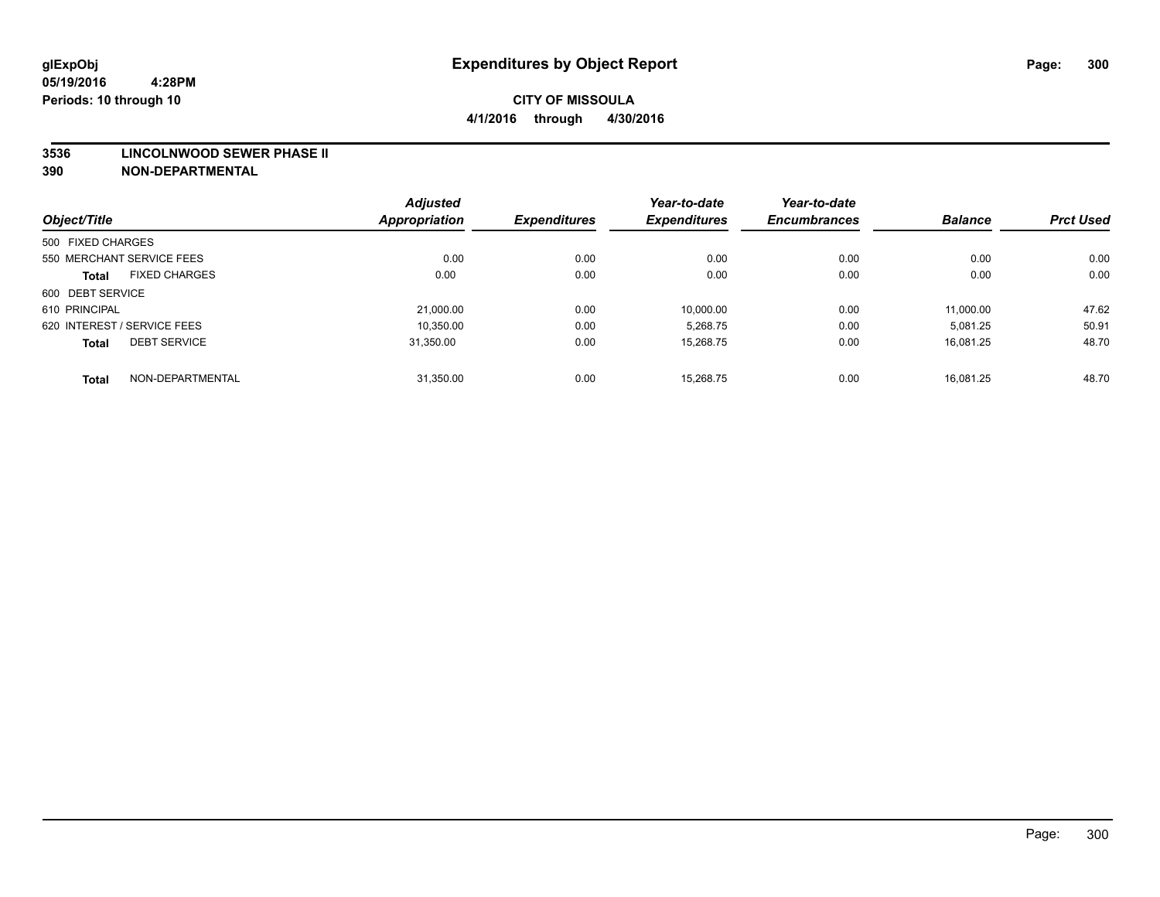### **3536 LINCOLNWOOD SEWER PHASE II**

|                             |                      | <b>Adjusted</b> |                     | Year-to-date        | Year-to-date        |                |                  |
|-----------------------------|----------------------|-----------------|---------------------|---------------------|---------------------|----------------|------------------|
| Object/Title                |                      | Appropriation   | <b>Expenditures</b> | <b>Expenditures</b> | <b>Encumbrances</b> | <b>Balance</b> | <b>Prct Used</b> |
| 500 FIXED CHARGES           |                      |                 |                     |                     |                     |                |                  |
| 550 MERCHANT SERVICE FEES   |                      | 0.00            | 0.00                | 0.00                | 0.00                | 0.00           | 0.00             |
| <b>Total</b>                | <b>FIXED CHARGES</b> | 0.00            | 0.00                | 0.00                | 0.00                | 0.00           | 0.00             |
| 600 DEBT SERVICE            |                      |                 |                     |                     |                     |                |                  |
| 610 PRINCIPAL               |                      | 21,000.00       | 0.00                | 10,000.00           | 0.00                | 11,000.00      | 47.62            |
| 620 INTEREST / SERVICE FEES |                      | 10,350.00       | 0.00                | 5,268.75            | 0.00                | 5,081.25       | 50.91            |
| <b>Total</b>                | <b>DEBT SERVICE</b>  | 31.350.00       | 0.00                | 15.268.75           | 0.00                | 16.081.25      | 48.70            |
| <b>Total</b>                | NON-DEPARTMENTAL     | 31,350.00       | 0.00                | 15.268.75           | 0.00                | 16.081.25      | 48.70            |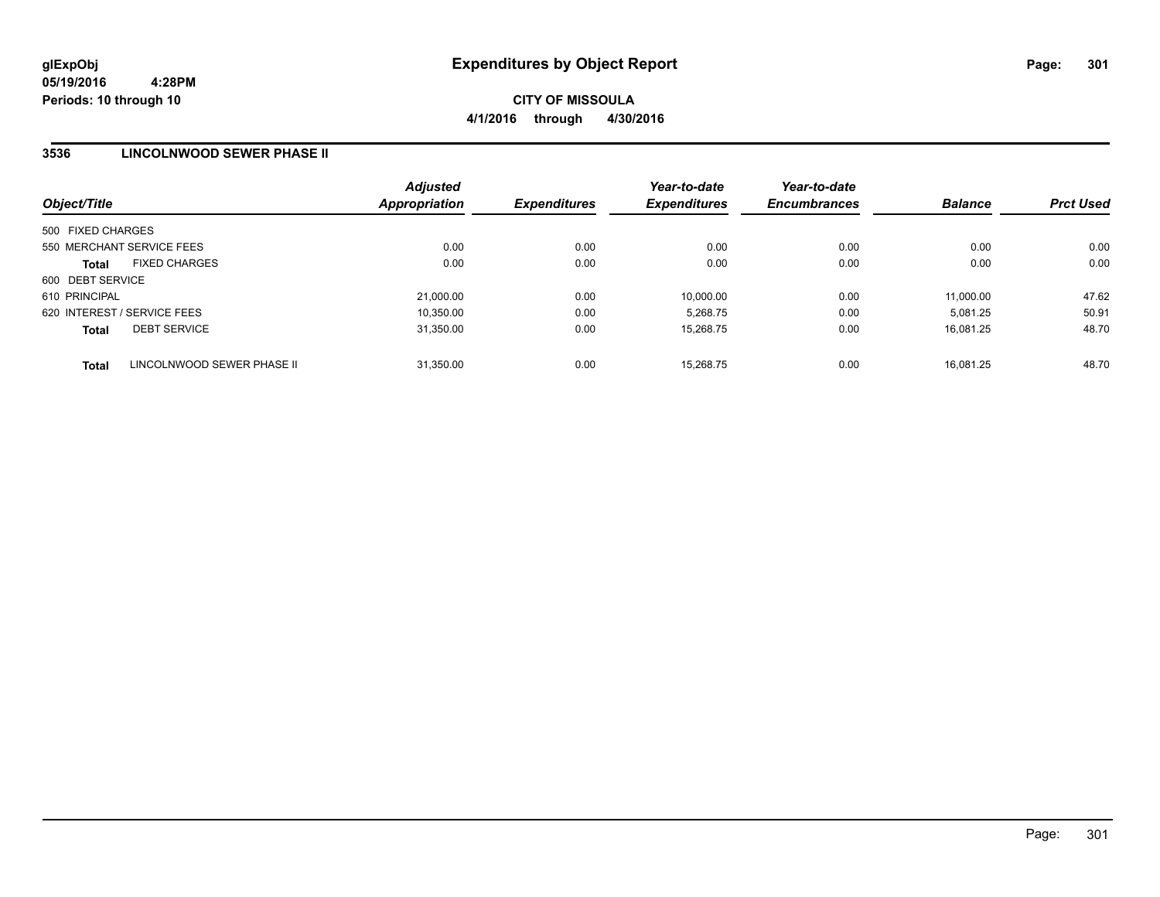## **3536 LINCOLNWOOD SEWER PHASE II**

| Object/Title                               | <b>Adjusted</b><br><b>Appropriation</b> | <b>Expenditures</b> | Year-to-date<br><b>Expenditures</b> | Year-to-date<br><b>Encumbrances</b> | <b>Balance</b> | <b>Prct Used</b> |
|--------------------------------------------|-----------------------------------------|---------------------|-------------------------------------|-------------------------------------|----------------|------------------|
| 500 FIXED CHARGES                          |                                         |                     |                                     |                                     |                |                  |
| 550 MERCHANT SERVICE FEES                  | 0.00                                    | 0.00                | 0.00                                | 0.00                                | 0.00           | 0.00             |
| <b>FIXED CHARGES</b><br><b>Total</b>       | 0.00                                    | 0.00                | 0.00                                | 0.00                                | 0.00           | 0.00             |
| 600 DEBT SERVICE                           |                                         |                     |                                     |                                     |                |                  |
| 610 PRINCIPAL                              | 21,000.00                               | 0.00                | 10.000.00                           | 0.00                                | 11.000.00      | 47.62            |
| 620 INTEREST / SERVICE FEES                | 10,350.00                               | 0.00                | 5,268.75                            | 0.00                                | 5.081.25       | 50.91            |
| <b>DEBT SERVICE</b><br><b>Total</b>        | 31.350.00                               | 0.00                | 15.268.75                           | 0.00                                | 16.081.25      | 48.70            |
| LINCOLNWOOD SEWER PHASE II<br><b>Total</b> | 31.350.00                               | 0.00                | 15.268.75                           | 0.00                                | 16.081.25      | 48.70            |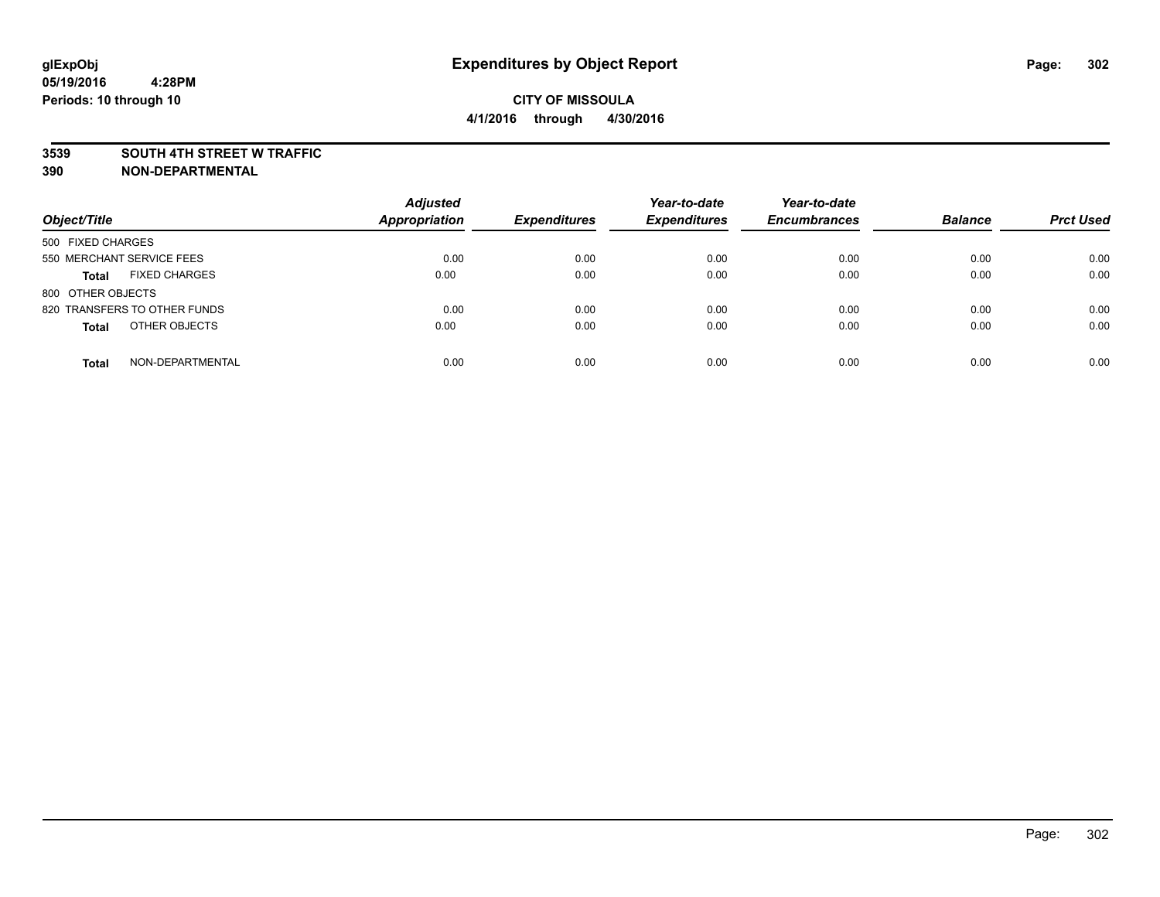### **3539 SOUTH 4TH STREET W TRAFFIC**

| Object/Title                         | <b>Adjusted</b><br><b>Appropriation</b> | <b>Expenditures</b> | Year-to-date<br><b>Expenditures</b> | Year-to-date<br><b>Encumbrances</b> | <b>Balance</b> | <b>Prct Used</b> |
|--------------------------------------|-----------------------------------------|---------------------|-------------------------------------|-------------------------------------|----------------|------------------|
| 500 FIXED CHARGES                    |                                         |                     |                                     |                                     |                |                  |
| 550 MERCHANT SERVICE FEES            | 0.00                                    | 0.00                | 0.00                                | 0.00                                | 0.00           | 0.00             |
| <b>FIXED CHARGES</b><br><b>Total</b> | 0.00                                    | 0.00                | 0.00                                | 0.00                                | 0.00           | 0.00             |
| 800 OTHER OBJECTS                    |                                         |                     |                                     |                                     |                |                  |
| 820 TRANSFERS TO OTHER FUNDS         | 0.00                                    | 0.00                | 0.00                                | 0.00                                | 0.00           | 0.00             |
| OTHER OBJECTS<br><b>Total</b>        | 0.00                                    | 0.00                | 0.00                                | 0.00                                | 0.00           | 0.00             |
| NON-DEPARTMENTAL<br><b>Total</b>     | 0.00                                    | 0.00                | 0.00                                | 0.00                                | 0.00           | 0.00             |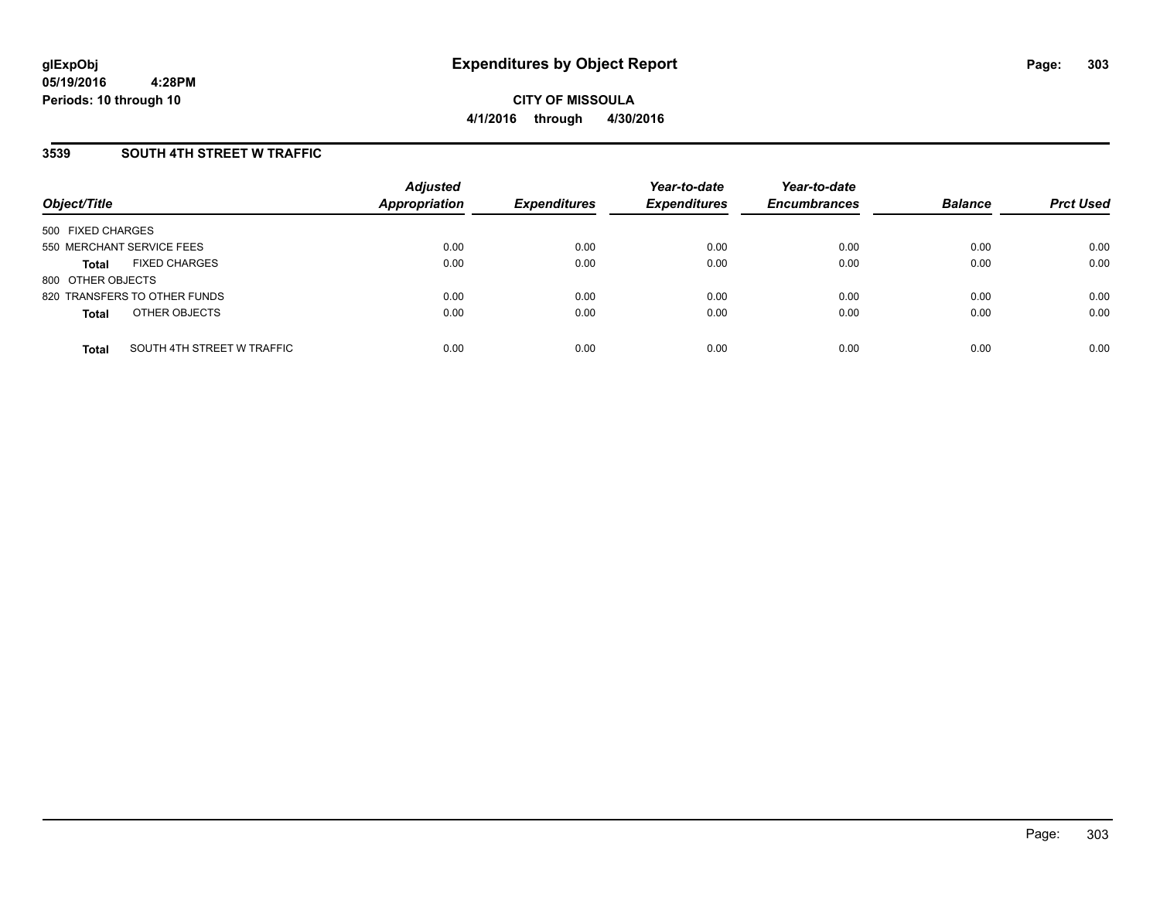## **3539 SOUTH 4TH STREET W TRAFFIC**

| Object/Title              |                              | <b>Adjusted</b><br><b>Appropriation</b> | <b>Expenditures</b> | Year-to-date<br><b>Expenditures</b> | Year-to-date<br><b>Encumbrances</b> | <b>Balance</b> | <b>Prct Used</b> |
|---------------------------|------------------------------|-----------------------------------------|---------------------|-------------------------------------|-------------------------------------|----------------|------------------|
| 500 FIXED CHARGES         |                              |                                         |                     |                                     |                                     |                |                  |
| 550 MERCHANT SERVICE FEES |                              | 0.00                                    | 0.00                | 0.00                                | 0.00                                | 0.00           | 0.00             |
| Total                     | <b>FIXED CHARGES</b>         | 0.00                                    | 0.00                | 0.00                                | 0.00                                | 0.00           | 0.00             |
| 800 OTHER OBJECTS         |                              |                                         |                     |                                     |                                     |                |                  |
|                           | 820 TRANSFERS TO OTHER FUNDS | 0.00                                    | 0.00                | 0.00                                | 0.00                                | 0.00           | 0.00             |
| <b>Total</b>              | OTHER OBJECTS                | 0.00                                    | 0.00                | 0.00                                | 0.00                                | 0.00           | 0.00             |
| <b>Total</b>              | SOUTH 4TH STREET W TRAFFIC   | 0.00                                    | 0.00                | 0.00                                | 0.00                                | 0.00           | 0.00             |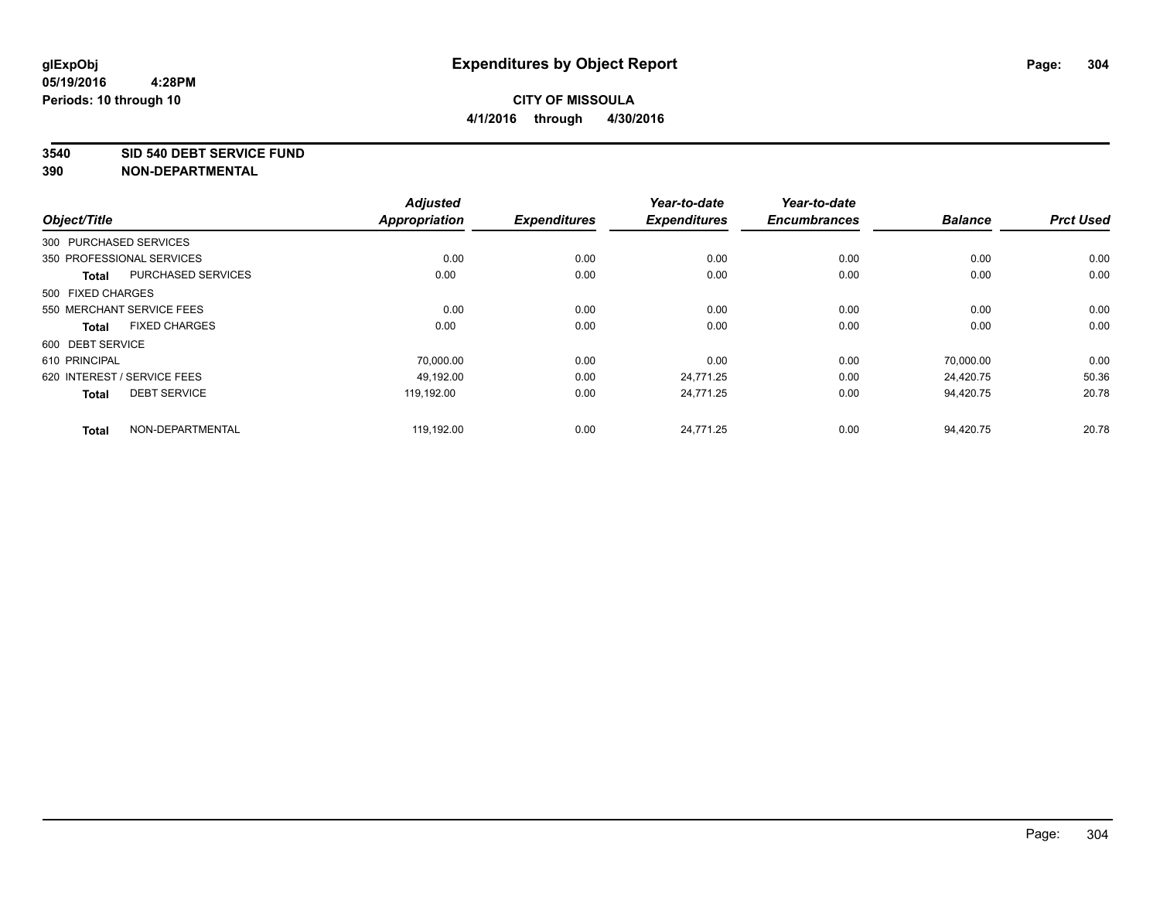**3540 SID 540 DEBT SERVICE FUND**

|                   |                             | <b>Adjusted</b>      |                     | Year-to-date        | Year-to-date        |                |                  |
|-------------------|-----------------------------|----------------------|---------------------|---------------------|---------------------|----------------|------------------|
| Object/Title      |                             | <b>Appropriation</b> | <b>Expenditures</b> | <b>Expenditures</b> | <b>Encumbrances</b> | <b>Balance</b> | <b>Prct Used</b> |
|                   | 300 PURCHASED SERVICES      |                      |                     |                     |                     |                |                  |
|                   | 350 PROFESSIONAL SERVICES   | 0.00                 | 0.00                | 0.00                | 0.00                | 0.00           | 0.00             |
| <b>Total</b>      | <b>PURCHASED SERVICES</b>   | 0.00                 | 0.00                | 0.00                | 0.00                | 0.00           | 0.00             |
| 500 FIXED CHARGES |                             |                      |                     |                     |                     |                |                  |
|                   | 550 MERCHANT SERVICE FEES   | 0.00                 | 0.00                | 0.00                | 0.00                | 0.00           | 0.00             |
| Total             | <b>FIXED CHARGES</b>        | 0.00                 | 0.00                | 0.00                | 0.00                | 0.00           | 0.00             |
| 600 DEBT SERVICE  |                             |                      |                     |                     |                     |                |                  |
| 610 PRINCIPAL     |                             | 70,000.00            | 0.00                | 0.00                | 0.00                | 70,000.00      | 0.00             |
|                   | 620 INTEREST / SERVICE FEES | 49.192.00            | 0.00                | 24.771.25           | 0.00                | 24,420.75      | 50.36            |
| <b>Total</b>      | <b>DEBT SERVICE</b>         | 119.192.00           | 0.00                | 24.771.25           | 0.00                | 94.420.75      | 20.78            |
| <b>Total</b>      | NON-DEPARTMENTAL            | 119,192.00           | 0.00                | 24,771.25           | 0.00                | 94,420.75      | 20.78            |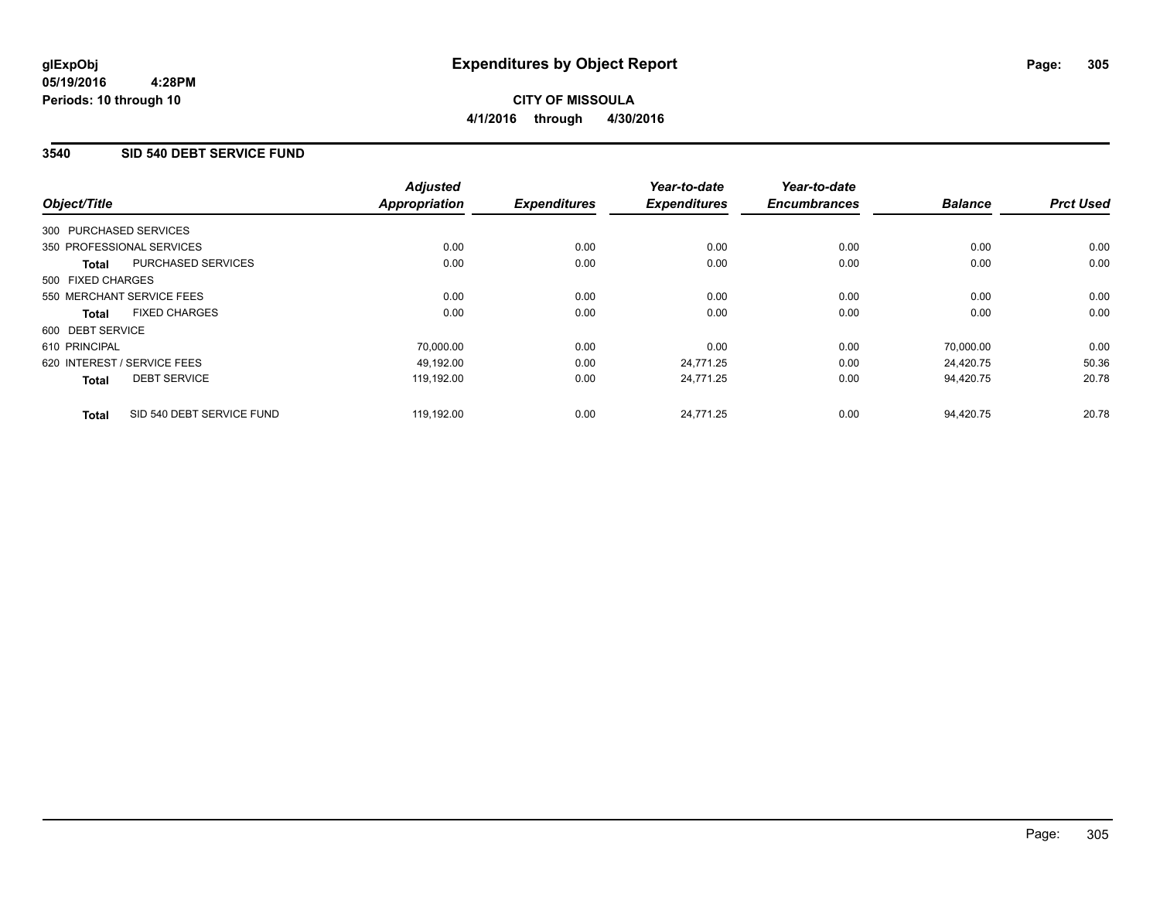# **CITY OF MISSOULA 4/1/2016 through 4/30/2016**

## **3540 SID 540 DEBT SERVICE FUND**

|                        |                             | <b>Adjusted</b>      |                     | Year-to-date        | Year-to-date        |                |                  |
|------------------------|-----------------------------|----------------------|---------------------|---------------------|---------------------|----------------|------------------|
| Object/Title           |                             | <b>Appropriation</b> | <b>Expenditures</b> | <b>Expenditures</b> | <b>Encumbrances</b> | <b>Balance</b> | <b>Prct Used</b> |
| 300 PURCHASED SERVICES |                             |                      |                     |                     |                     |                |                  |
|                        | 350 PROFESSIONAL SERVICES   | 0.00                 | 0.00                | 0.00                | 0.00                | 0.00           | 0.00             |
| <b>Total</b>           | PURCHASED SERVICES          | 0.00                 | 0.00                | 0.00                | 0.00                | 0.00           | 0.00             |
| 500 FIXED CHARGES      |                             |                      |                     |                     |                     |                |                  |
|                        | 550 MERCHANT SERVICE FEES   | 0.00                 | 0.00                | 0.00                | 0.00                | 0.00           | 0.00             |
| <b>Total</b>           | <b>FIXED CHARGES</b>        | 0.00                 | 0.00                | 0.00                | 0.00                | 0.00           | 0.00             |
| 600 DEBT SERVICE       |                             |                      |                     |                     |                     |                |                  |
| 610 PRINCIPAL          |                             | 70.000.00            | 0.00                | 0.00                | 0.00                | 70,000.00      | 0.00             |
|                        | 620 INTEREST / SERVICE FEES | 49,192.00            | 0.00                | 24.771.25           | 0.00                | 24,420.75      | 50.36            |
| <b>Total</b>           | <b>DEBT SERVICE</b>         | 119,192.00           | 0.00                | 24,771.25           | 0.00                | 94,420.75      | 20.78            |
| <b>Total</b>           | SID 540 DEBT SERVICE FUND   | 119,192.00           | 0.00                | 24,771.25           | 0.00                | 94,420.75      | 20.78            |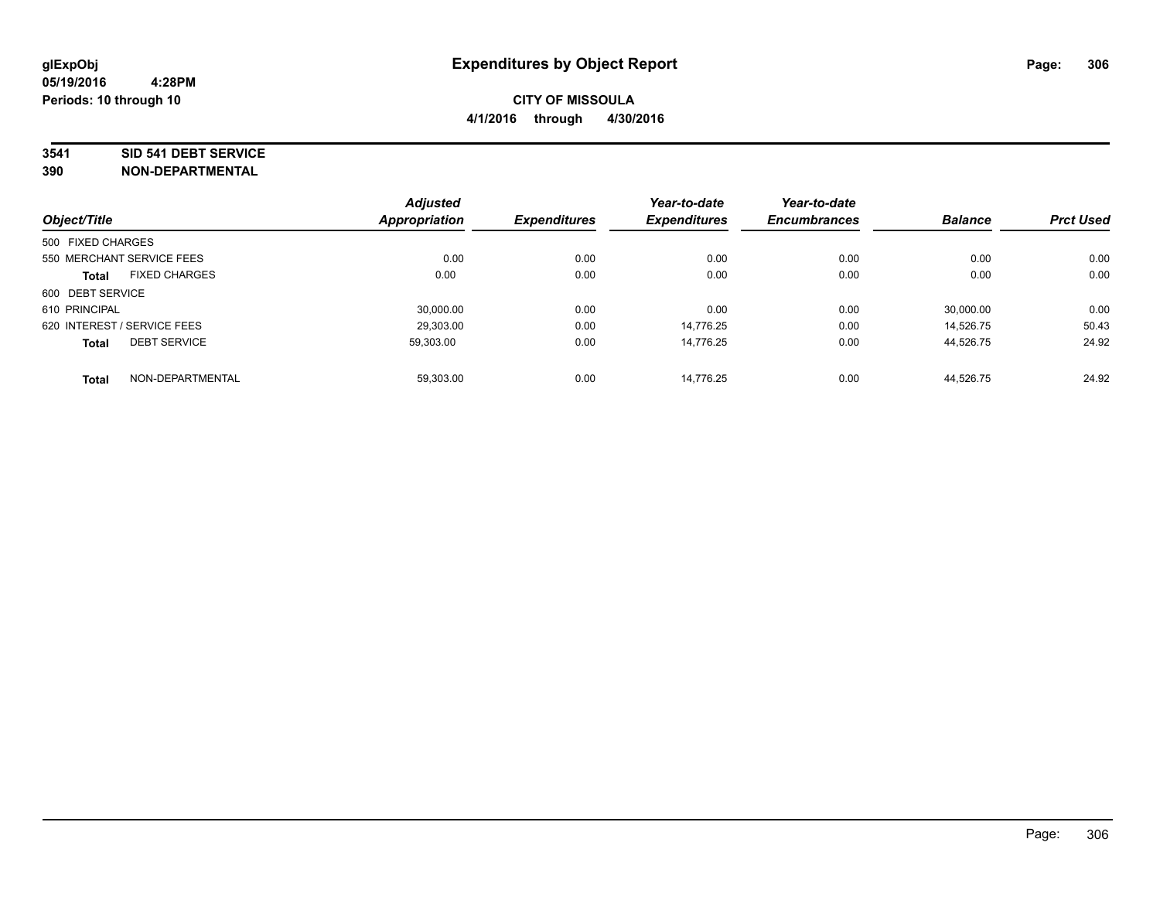### **3541 SID 541 DEBT SERVICE**

|                   |                             | <b>Adjusted</b>      |                     | Year-to-date        | Year-to-date        |                |                  |
|-------------------|-----------------------------|----------------------|---------------------|---------------------|---------------------|----------------|------------------|
| Object/Title      |                             | <b>Appropriation</b> | <b>Expenditures</b> | <b>Expenditures</b> | <b>Encumbrances</b> | <b>Balance</b> | <b>Prct Used</b> |
| 500 FIXED CHARGES |                             |                      |                     |                     |                     |                |                  |
|                   | 550 MERCHANT SERVICE FEES   | 0.00                 | 0.00                | 0.00                | 0.00                | 0.00           | 0.00             |
| <b>Total</b>      | <b>FIXED CHARGES</b>        | 0.00                 | 0.00                | 0.00                | 0.00                | 0.00           | 0.00             |
| 600 DEBT SERVICE  |                             |                      |                     |                     |                     |                |                  |
| 610 PRINCIPAL     |                             | 30.000.00            | 0.00                | 0.00                | 0.00                | 30.000.00      | 0.00             |
|                   | 620 INTEREST / SERVICE FEES | 29.303.00            | 0.00                | 14.776.25           | 0.00                | 14.526.75      | 50.43            |
| <b>Total</b>      | <b>DEBT SERVICE</b>         | 59,303.00            | 0.00                | 14.776.25           | 0.00                | 44,526.75      | 24.92            |
| <b>Total</b>      | NON-DEPARTMENTAL            | 59,303.00            | 0.00                | 14.776.25           | 0.00                | 44.526.75      | 24.92            |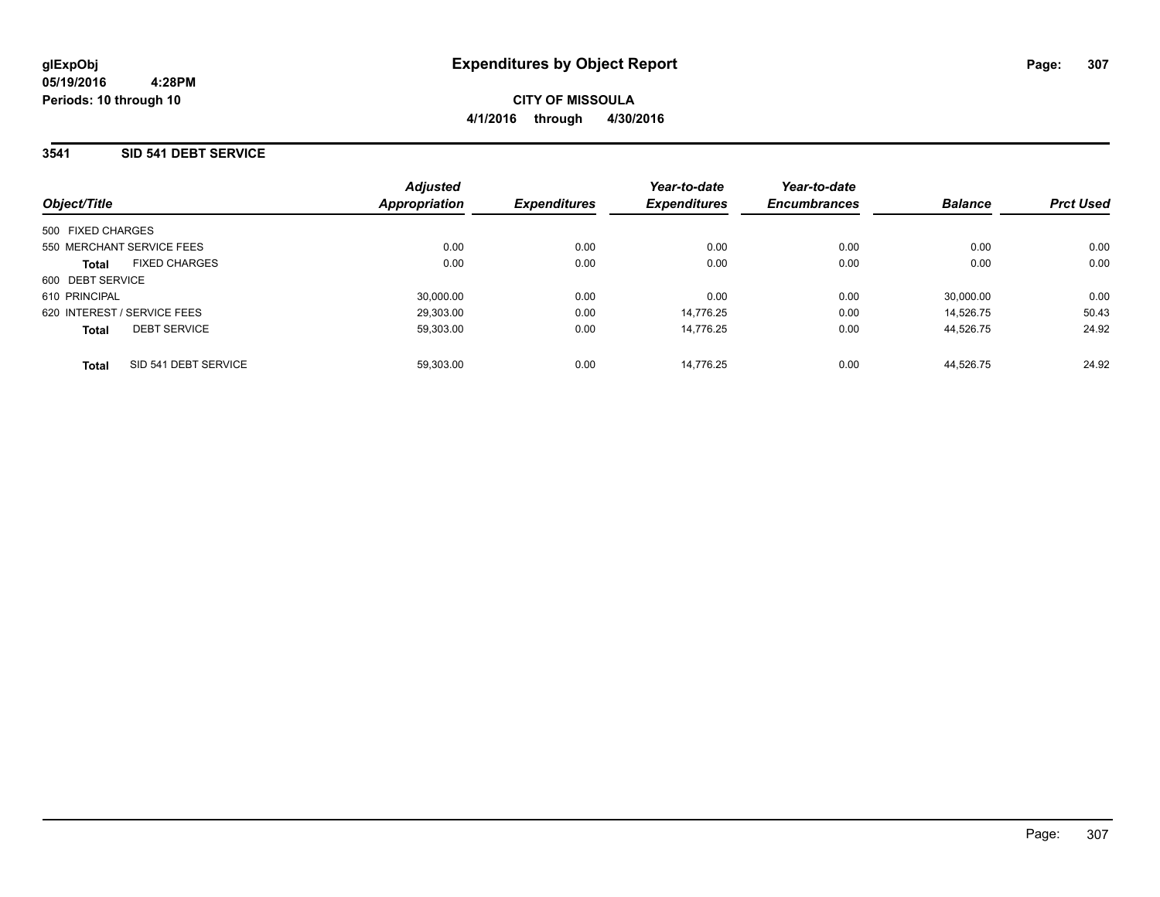### **3541 SID 541 DEBT SERVICE**

| Object/Title                         | <b>Adjusted</b><br><b>Appropriation</b> | <b>Expenditures</b> | Year-to-date<br><b>Expenditures</b> | Year-to-date<br><b>Encumbrances</b> | <b>Balance</b> | <b>Prct Used</b> |
|--------------------------------------|-----------------------------------------|---------------------|-------------------------------------|-------------------------------------|----------------|------------------|
| 500 FIXED CHARGES                    |                                         |                     |                                     |                                     |                |                  |
| 550 MERCHANT SERVICE FEES            | 0.00                                    | 0.00                | 0.00                                | 0.00                                | 0.00           | 0.00             |
| <b>FIXED CHARGES</b><br><b>Total</b> | 0.00                                    | 0.00                | 0.00                                | 0.00                                | 0.00           | 0.00             |
| 600 DEBT SERVICE                     |                                         |                     |                                     |                                     |                |                  |
| 610 PRINCIPAL                        | 30.000.00                               | 0.00                | 0.00                                | 0.00                                | 30.000.00      | 0.00             |
| 620 INTEREST / SERVICE FEES          | 29.303.00                               | 0.00                | 14.776.25                           | 0.00                                | 14.526.75      | 50.43            |
| <b>DEBT SERVICE</b><br><b>Total</b>  | 59.303.00                               | 0.00                | 14.776.25                           | 0.00                                | 44.526.75      | 24.92            |
| SID 541 DEBT SERVICE<br><b>Total</b> | 59.303.00                               | 0.00                | 14.776.25                           | 0.00                                | 44.526.75      | 24.92            |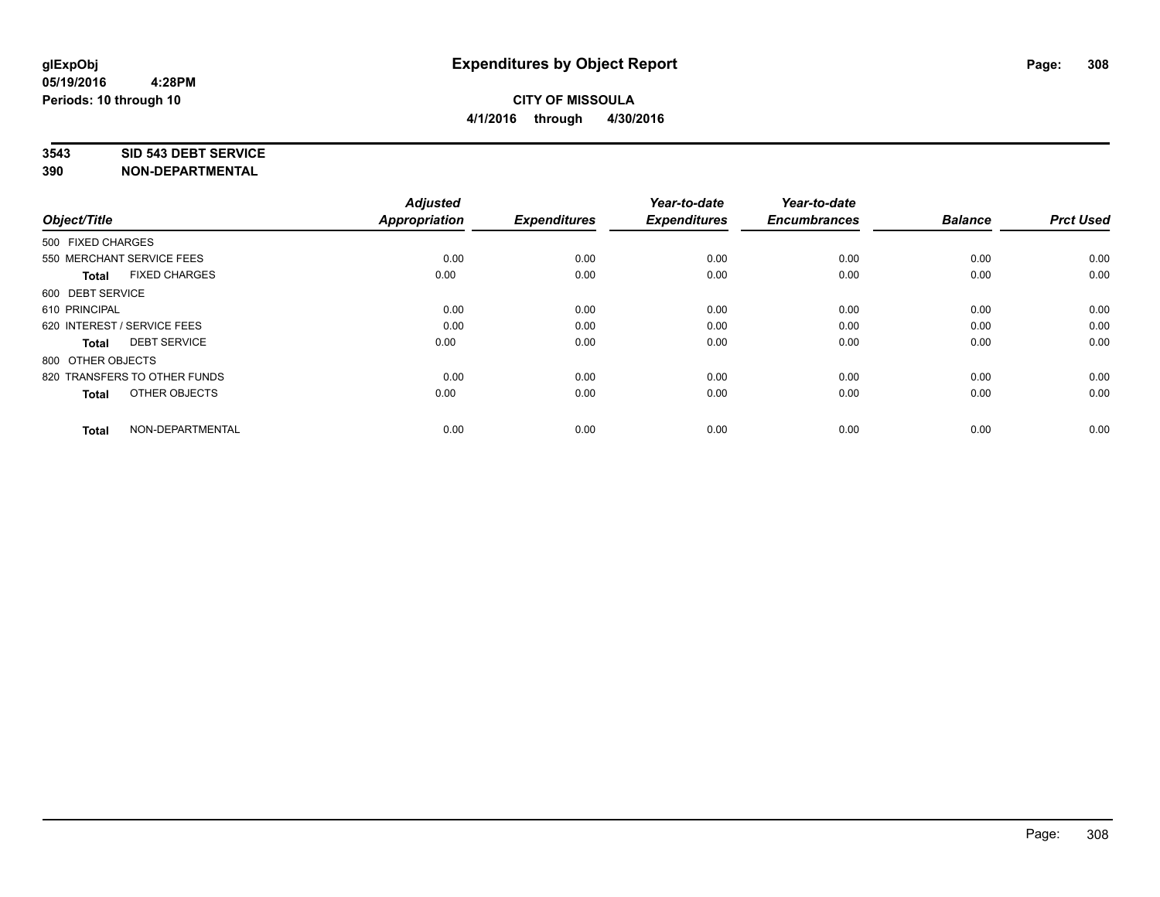### **3543 SID 543 DEBT SERVICE**

| Object/Title                         | <b>Adjusted</b><br>Appropriation | <b>Expenditures</b> | Year-to-date<br><b>Expenditures</b> | Year-to-date<br><b>Encumbrances</b> | <b>Balance</b> | <b>Prct Used</b> |
|--------------------------------------|----------------------------------|---------------------|-------------------------------------|-------------------------------------|----------------|------------------|
| 500 FIXED CHARGES                    |                                  |                     |                                     |                                     |                |                  |
| 550 MERCHANT SERVICE FEES            | 0.00                             | 0.00                | 0.00                                | 0.00                                | 0.00           | 0.00             |
| <b>FIXED CHARGES</b><br><b>Total</b> | 0.00                             | 0.00                | 0.00                                | 0.00                                | 0.00           | 0.00             |
| 600 DEBT SERVICE                     |                                  |                     |                                     |                                     |                |                  |
| 610 PRINCIPAL                        | 0.00                             | 0.00                | 0.00                                | 0.00                                | 0.00           | 0.00             |
| 620 INTEREST / SERVICE FEES          | 0.00                             | 0.00                | 0.00                                | 0.00                                | 0.00           | 0.00             |
| <b>DEBT SERVICE</b><br><b>Total</b>  | 0.00                             | 0.00                | 0.00                                | 0.00                                | 0.00           | 0.00             |
| 800 OTHER OBJECTS                    |                                  |                     |                                     |                                     |                |                  |
| 820 TRANSFERS TO OTHER FUNDS         | 0.00                             | 0.00                | 0.00                                | 0.00                                | 0.00           | 0.00             |
| OTHER OBJECTS<br><b>Total</b>        | 0.00                             | 0.00                | 0.00                                | 0.00                                | 0.00           | 0.00             |
|                                      |                                  |                     |                                     |                                     |                |                  |
| NON-DEPARTMENTAL<br><b>Total</b>     | 0.00                             | 0.00                | 0.00                                | 0.00                                | 0.00           | 0.00             |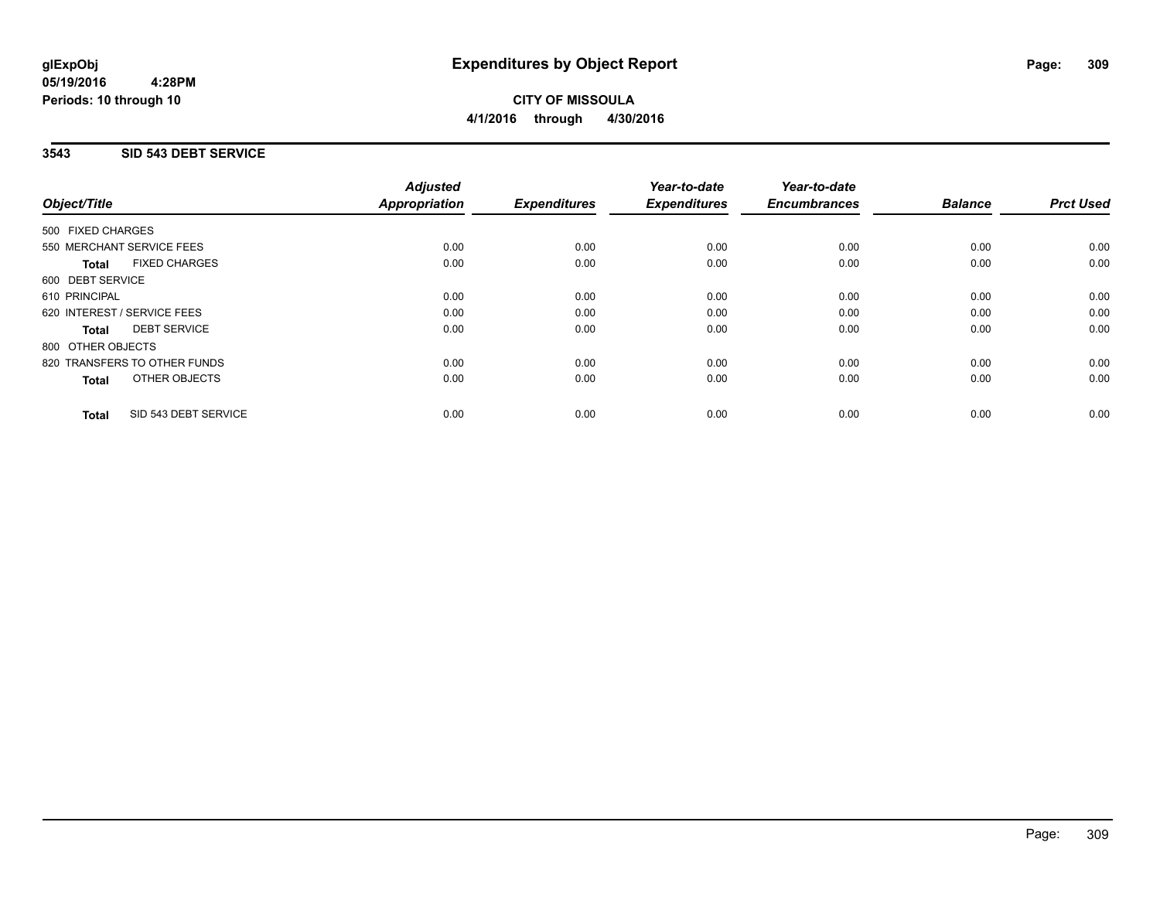# **CITY OF MISSOULA 4/1/2016 through 4/30/2016**

## **3543 SID 543 DEBT SERVICE**

|                                      | <b>Adjusted</b>      |                     | Year-to-date        | Year-to-date<br><b>Encumbrances</b> | <b>Balance</b> | <b>Prct Used</b> |
|--------------------------------------|----------------------|---------------------|---------------------|-------------------------------------|----------------|------------------|
| Object/Title                         | <b>Appropriation</b> | <b>Expenditures</b> | <b>Expenditures</b> |                                     |                |                  |
| 500 FIXED CHARGES                    |                      |                     |                     |                                     |                |                  |
| 550 MERCHANT SERVICE FEES            | 0.00                 | 0.00                | 0.00                | 0.00                                | 0.00           | 0.00             |
| <b>FIXED CHARGES</b><br>Total        | 0.00                 | 0.00                | 0.00                | 0.00                                | 0.00           | 0.00             |
| 600 DEBT SERVICE                     |                      |                     |                     |                                     |                |                  |
| 610 PRINCIPAL                        | 0.00                 | 0.00                | 0.00                | 0.00                                | 0.00           | 0.00             |
| 620 INTEREST / SERVICE FEES          | 0.00                 | 0.00                | 0.00                | 0.00                                | 0.00           | 0.00             |
| <b>DEBT SERVICE</b><br>Total         | 0.00                 | 0.00                | 0.00                | 0.00                                | 0.00           | 0.00             |
| 800 OTHER OBJECTS                    |                      |                     |                     |                                     |                |                  |
| 820 TRANSFERS TO OTHER FUNDS         | 0.00                 | 0.00                | 0.00                | 0.00                                | 0.00           | 0.00             |
| <b>OTHER OBJECTS</b><br><b>Total</b> | 0.00                 | 0.00                | 0.00                | 0.00                                | 0.00           | 0.00             |
| SID 543 DEBT SERVICE<br><b>Total</b> | 0.00                 | 0.00                | 0.00                | 0.00                                | 0.00           | 0.00             |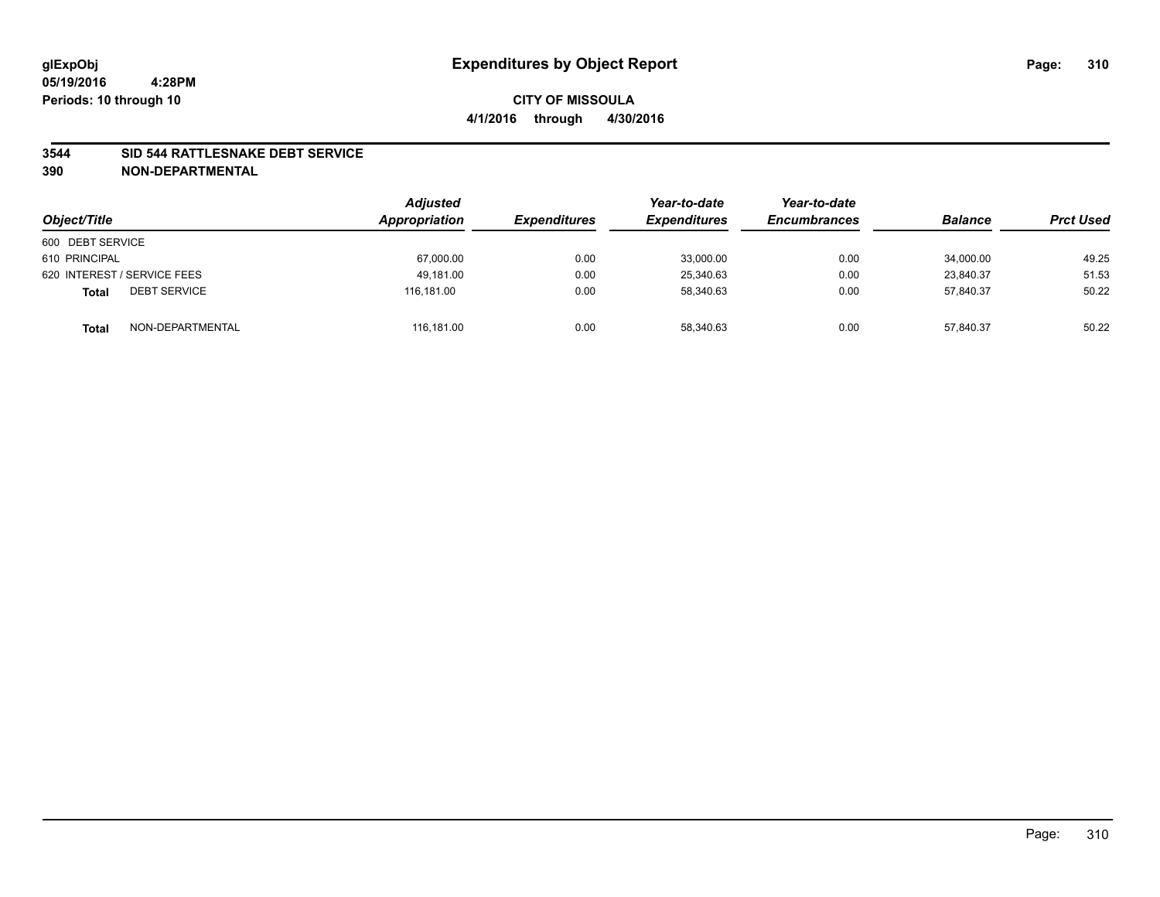### **3544 SID 544 RATTLESNAKE DEBT SERVICE**

| Object/Title                        | <b>Adjusted</b><br>Appropriation | <b>Expenditures</b> | Year-to-date<br><b>Expenditures</b> | Year-to-date<br><b>Encumbrances</b> | <b>Balance</b> | <b>Prct Used</b> |
|-------------------------------------|----------------------------------|---------------------|-------------------------------------|-------------------------------------|----------------|------------------|
| 600 DEBT SERVICE                    |                                  |                     |                                     |                                     |                |                  |
| 610 PRINCIPAL                       | 67,000.00                        | 0.00                | 33,000.00                           | 0.00                                | 34,000.00      | 49.25            |
| 620 INTEREST / SERVICE FEES         | 49.181.00                        | 0.00                | 25.340.63                           | 0.00                                | 23.840.37      | 51.53            |
| <b>DEBT SERVICE</b><br><b>Total</b> | 116.181.00                       | 0.00                | 58,340.63                           | 0.00                                | 57,840.37      | 50.22            |
| NON-DEPARTMENTAL<br><b>Total</b>    | 116,181.00                       | 0.00                | 58,340.63                           | 0.00                                | 57,840.37      | 50.22            |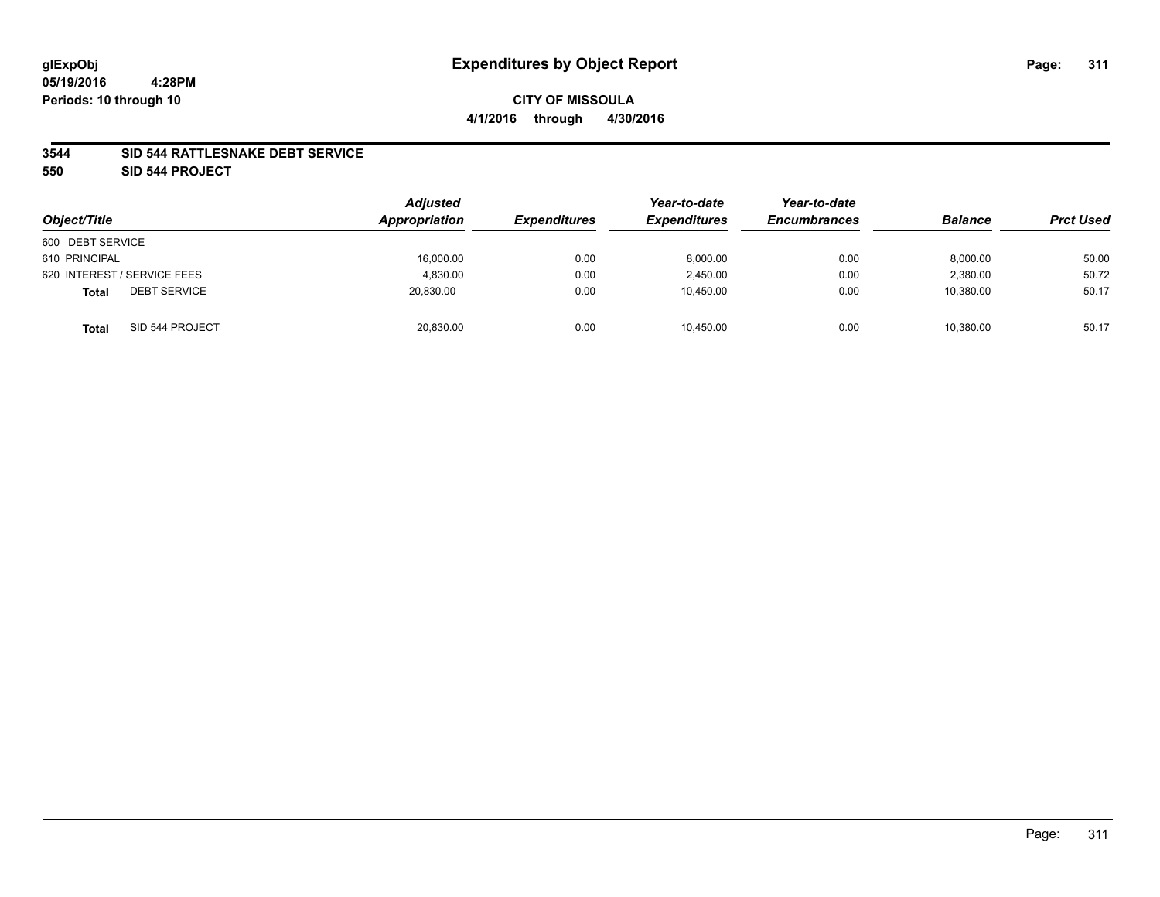### **3544 SID 544 RATTLESNAKE DEBT SERVICE**

**550 SID 544 PROJECT**

| Object/Title                        | <b>Adjusted</b><br>Appropriation | <b>Expenditures</b> | Year-to-date<br><b>Expenditures</b> | Year-to-date<br><b>Encumbrances</b> | <b>Balance</b> | <b>Prct Used</b> |
|-------------------------------------|----------------------------------|---------------------|-------------------------------------|-------------------------------------|----------------|------------------|
| 600 DEBT SERVICE                    |                                  |                     |                                     |                                     |                |                  |
| 610 PRINCIPAL                       | 16,000.00                        | 0.00                | 8,000.00                            | 0.00                                | 8,000.00       | 50.00            |
| 620 INTEREST / SERVICE FEES         | 4.830.00                         | 0.00                | 2.450.00                            | 0.00                                | 2.380.00       | 50.72            |
| <b>DEBT SERVICE</b><br><b>Total</b> | 20,830.00                        | 0.00                | 10,450.00                           | 0.00                                | 10,380.00      | 50.17            |
| SID 544 PROJECT<br><b>Total</b>     | 20,830.00                        | 0.00                | 10,450.00                           | 0.00                                | 10,380.00      | 50.17            |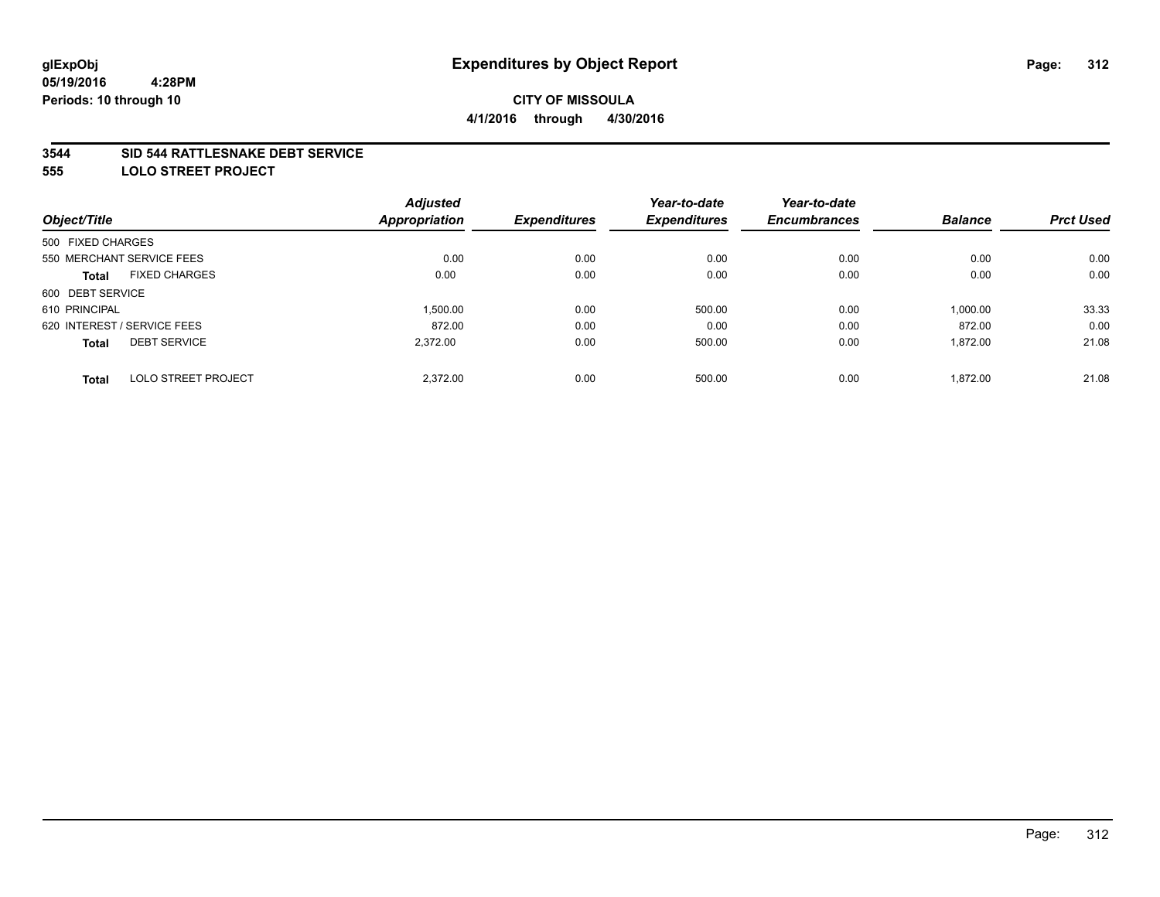### **3544 SID 544 RATTLESNAKE DEBT SERVICE**

**555 LOLO STREET PROJECT**

|                                            | <b>Adjusted</b> |                     | Year-to-date        | Year-to-date        |                |                  |
|--------------------------------------------|-----------------|---------------------|---------------------|---------------------|----------------|------------------|
| Object/Title                               | Appropriation   | <b>Expenditures</b> | <b>Expenditures</b> | <b>Encumbrances</b> | <b>Balance</b> | <b>Prct Used</b> |
| 500 FIXED CHARGES                          |                 |                     |                     |                     |                |                  |
| 550 MERCHANT SERVICE FEES                  | 0.00            | 0.00                | 0.00                | 0.00                | 0.00           | 0.00             |
| <b>FIXED CHARGES</b><br><b>Total</b>       | 0.00            | 0.00                | 0.00                | 0.00                | 0.00           | 0.00             |
| 600 DEBT SERVICE                           |                 |                     |                     |                     |                |                  |
| 610 PRINCIPAL                              | 1,500.00        | 0.00                | 500.00              | 0.00                | 1,000.00       | 33.33            |
| 620 INTEREST / SERVICE FEES                | 872.00          | 0.00                | 0.00                | 0.00                | 872.00         | 0.00             |
| <b>DEBT SERVICE</b><br><b>Total</b>        | 2,372.00        | 0.00                | 500.00              | 0.00                | 1,872.00       | 21.08            |
| <b>LOLO STREET PROJECT</b><br><b>Total</b> | 2.372.00        | 0.00                | 500.00              | 0.00                | 1.872.00       | 21.08            |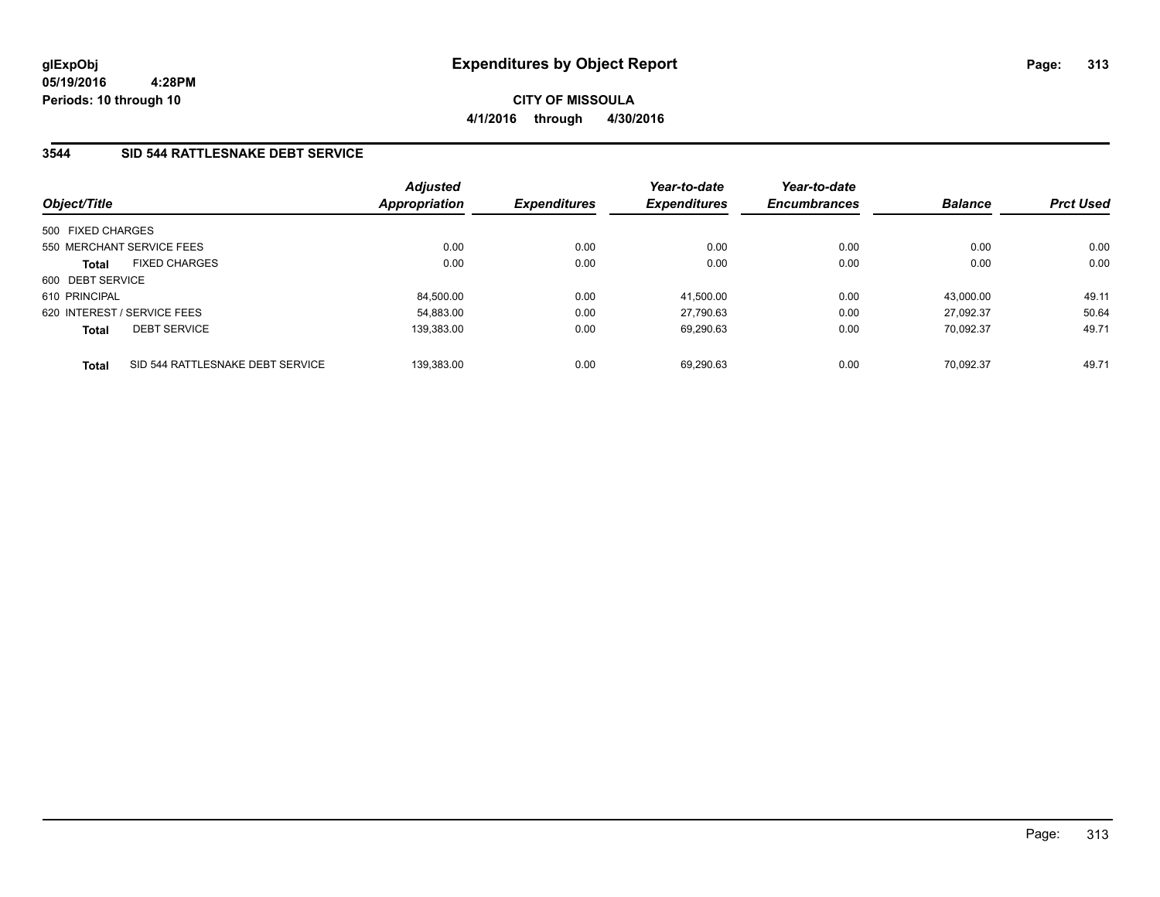**CITY OF MISSOULA 4/1/2016 through 4/30/2016**

# **3544 SID 544 RATTLESNAKE DEBT SERVICE**

| Object/Title                |                                  | <b>Adjusted</b><br>Appropriation | <b>Expenditures</b> | Year-to-date<br><b>Expenditures</b> | Year-to-date<br><b>Encumbrances</b> | <b>Balance</b> | <b>Prct Used</b> |
|-----------------------------|----------------------------------|----------------------------------|---------------------|-------------------------------------|-------------------------------------|----------------|------------------|
| 500 FIXED CHARGES           |                                  |                                  |                     |                                     |                                     |                |                  |
| 550 MERCHANT SERVICE FEES   |                                  | 0.00                             | 0.00                | 0.00                                | 0.00                                | 0.00           | 0.00             |
| <b>Total</b>                | <b>FIXED CHARGES</b>             | 0.00                             | 0.00                | 0.00                                | 0.00                                | 0.00           | 0.00             |
| 600 DEBT SERVICE            |                                  |                                  |                     |                                     |                                     |                |                  |
| 610 PRINCIPAL               |                                  | 84.500.00                        | 0.00                | 41.500.00                           | 0.00                                | 43.000.00      | 49.11            |
| 620 INTEREST / SERVICE FEES |                                  | 54.883.00                        | 0.00                | 27.790.63                           | 0.00                                | 27.092.37      | 50.64            |
| <b>Total</b>                | <b>DEBT SERVICE</b>              | 139.383.00                       | 0.00                | 69,290.63                           | 0.00                                | 70.092.37      | 49.71            |
| <b>Total</b>                | SID 544 RATTLESNAKE DEBT SERVICE | 139.383.00                       | 0.00                | 69.290.63                           | 0.00                                | 70.092.37      | 49.71            |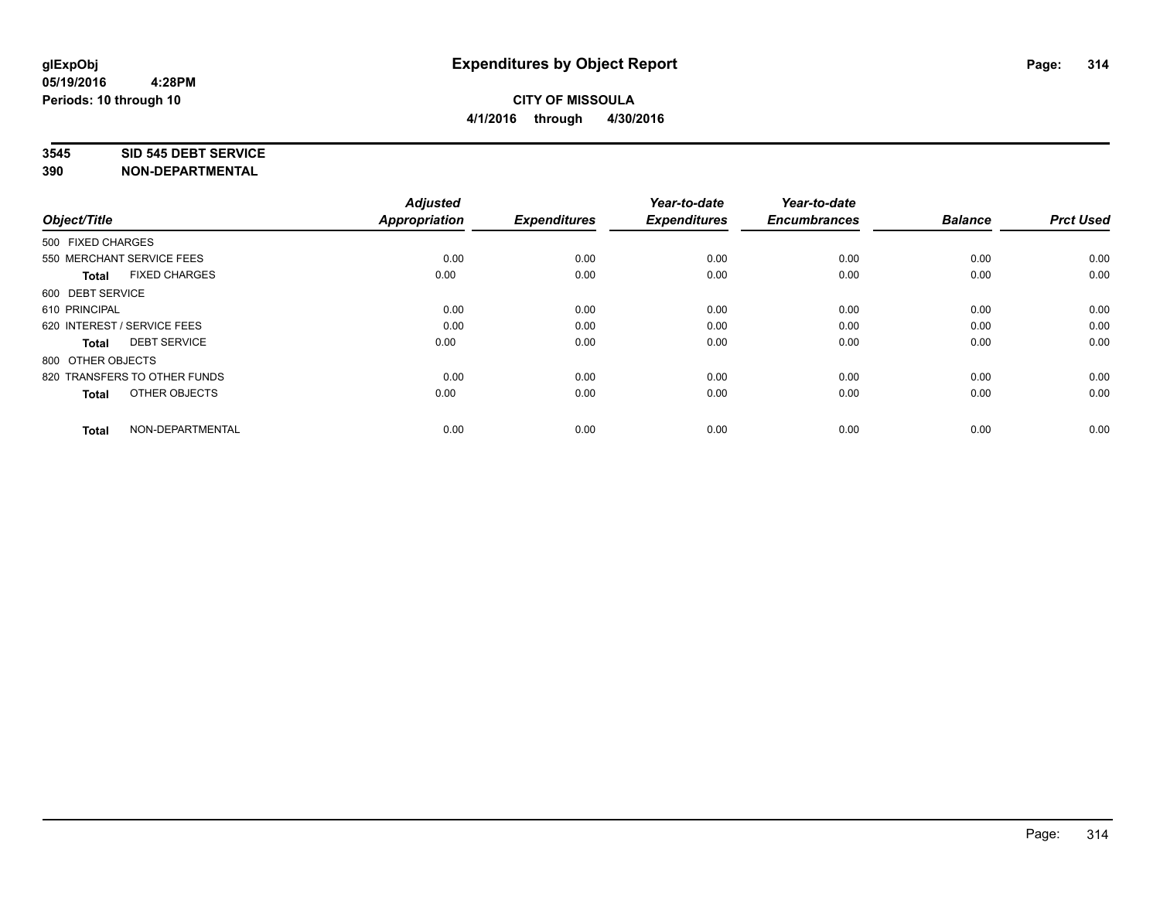### **3545 SID 545 DEBT SERVICE**

| Object/Title                         | <b>Adjusted</b><br><b>Appropriation</b> | <b>Expenditures</b> | Year-to-date<br><b>Expenditures</b> | Year-to-date<br><b>Encumbrances</b> | <b>Balance</b> | <b>Prct Used</b> |
|--------------------------------------|-----------------------------------------|---------------------|-------------------------------------|-------------------------------------|----------------|------------------|
| 500 FIXED CHARGES                    |                                         |                     |                                     |                                     |                |                  |
| 550 MERCHANT SERVICE FEES            | 0.00                                    | 0.00                | 0.00                                | 0.00                                | 0.00           | 0.00             |
| <b>FIXED CHARGES</b><br><b>Total</b> | 0.00                                    | 0.00                | 0.00                                | 0.00                                | 0.00           | 0.00             |
| 600 DEBT SERVICE                     |                                         |                     |                                     |                                     |                |                  |
| 610 PRINCIPAL                        | 0.00                                    | 0.00                | 0.00                                | 0.00                                | 0.00           | 0.00             |
| 620 INTEREST / SERVICE FEES          | 0.00                                    | 0.00                | 0.00                                | 0.00                                | 0.00           | 0.00             |
| <b>DEBT SERVICE</b><br><b>Total</b>  | 0.00                                    | 0.00                | 0.00                                | 0.00                                | 0.00           | 0.00             |
| 800 OTHER OBJECTS                    |                                         |                     |                                     |                                     |                |                  |
| 820 TRANSFERS TO OTHER FUNDS         | 0.00                                    | 0.00                | 0.00                                | 0.00                                | 0.00           | 0.00             |
| OTHER OBJECTS<br><b>Total</b>        | 0.00                                    | 0.00                | 0.00                                | 0.00                                | 0.00           | 0.00             |
|                                      |                                         |                     |                                     |                                     |                |                  |
| NON-DEPARTMENTAL<br><b>Total</b>     | 0.00                                    | 0.00                | 0.00                                | 0.00                                | 0.00           | 0.00             |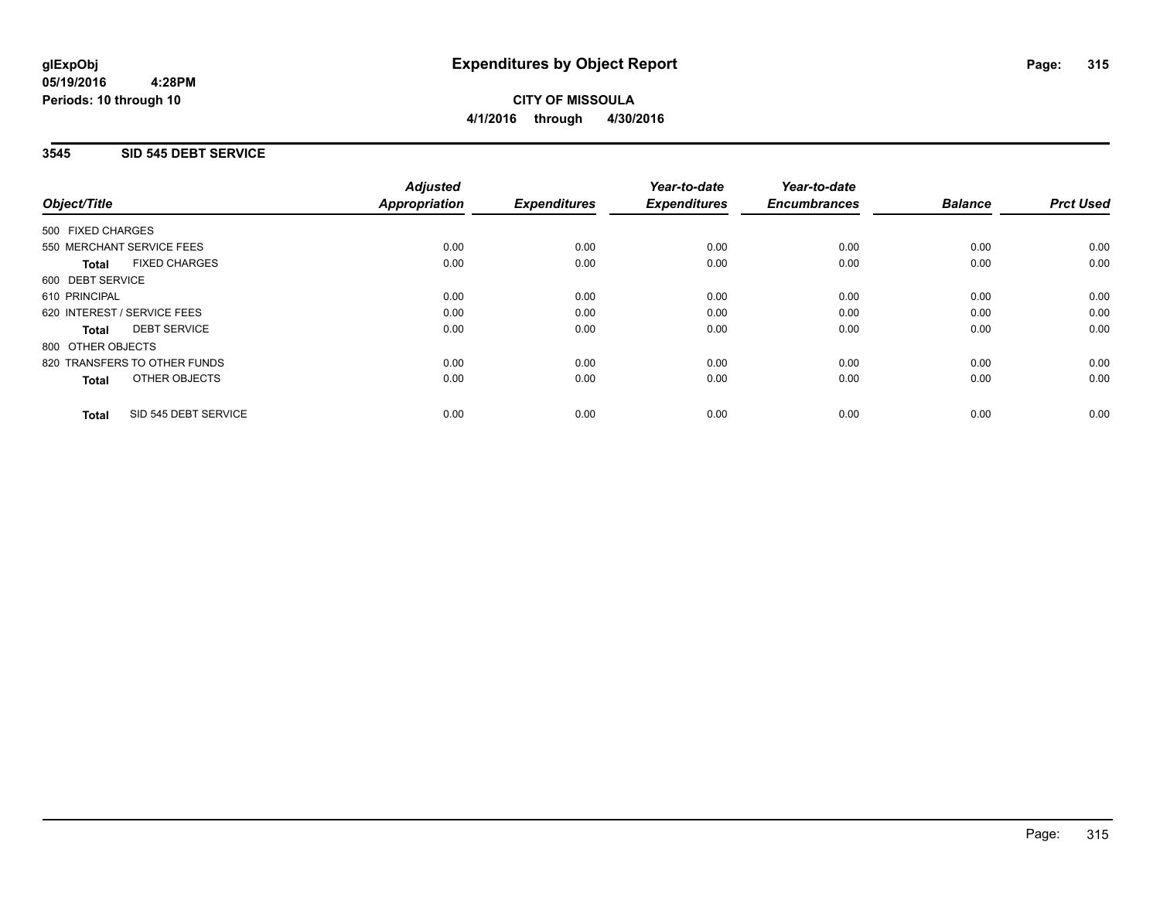**CITY OF MISSOULA 4/1/2016 through 4/30/2016**

## **3545 SID 545 DEBT SERVICE**

|                                      | <b>Adjusted</b>      |                     | Year-to-date        | Year-to-date        |                |                  |
|--------------------------------------|----------------------|---------------------|---------------------|---------------------|----------------|------------------|
| Object/Title                         | <b>Appropriation</b> | <b>Expenditures</b> | <b>Expenditures</b> | <b>Encumbrances</b> | <b>Balance</b> | <b>Prct Used</b> |
| 500 FIXED CHARGES                    |                      |                     |                     |                     |                |                  |
| 550 MERCHANT SERVICE FEES            | 0.00                 | 0.00                | 0.00                | 0.00                | 0.00           | 0.00             |
| <b>FIXED CHARGES</b><br>Total        | 0.00                 | 0.00                | 0.00                | 0.00                | 0.00           | 0.00             |
| 600 DEBT SERVICE                     |                      |                     |                     |                     |                |                  |
| 610 PRINCIPAL                        | 0.00                 | 0.00                | 0.00                | 0.00                | 0.00           | 0.00             |
| 620 INTEREST / SERVICE FEES          | 0.00                 | 0.00                | 0.00                | 0.00                | 0.00           | 0.00             |
| <b>DEBT SERVICE</b><br>Total         | 0.00                 | 0.00                | 0.00                | 0.00                | 0.00           | 0.00             |
| 800 OTHER OBJECTS                    |                      |                     |                     |                     |                |                  |
| 820 TRANSFERS TO OTHER FUNDS         | 0.00                 | 0.00                | 0.00                | 0.00                | 0.00           | 0.00             |
| <b>OTHER OBJECTS</b><br><b>Total</b> | 0.00                 | 0.00                | 0.00                | 0.00                | 0.00           | 0.00             |
| SID 545 DEBT SERVICE<br><b>Total</b> | 0.00                 | 0.00                | 0.00                | 0.00                | 0.00           | 0.00             |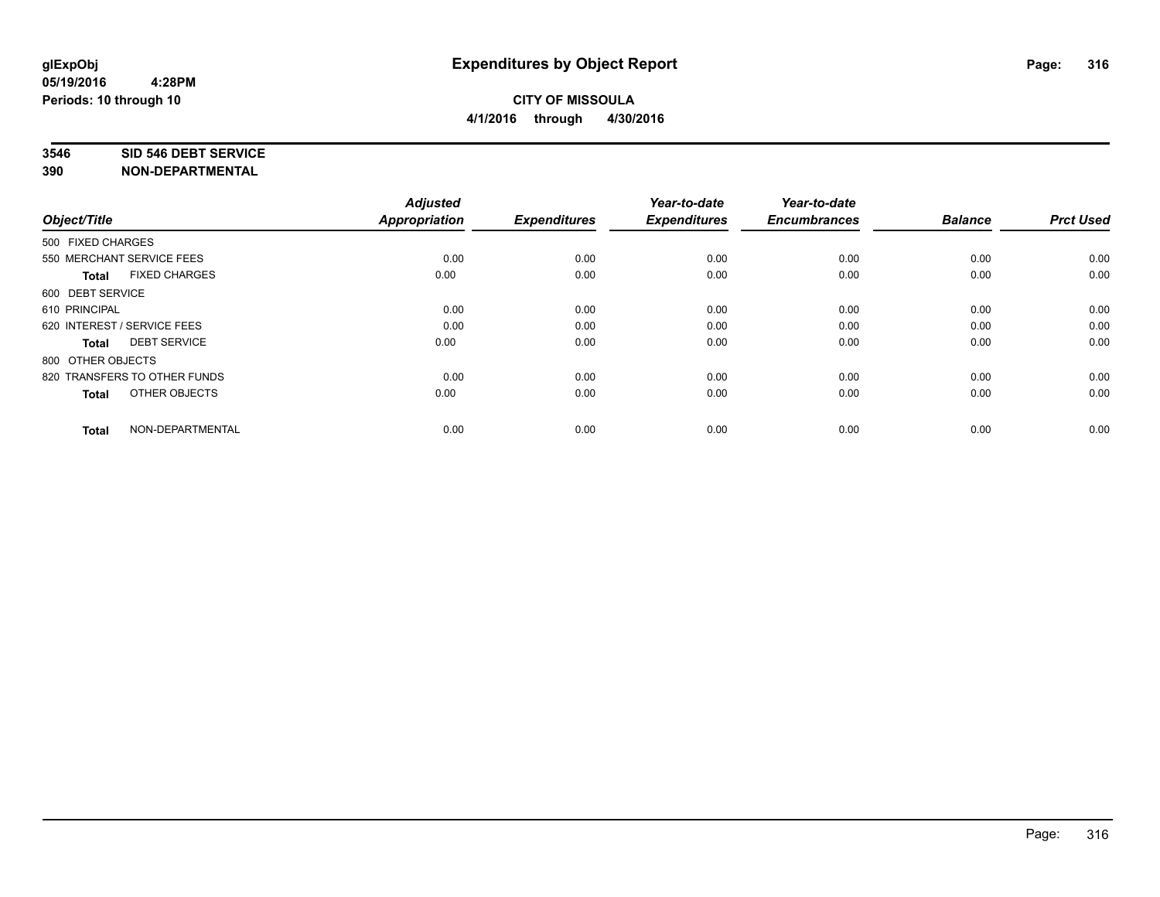### **3546 SID 546 DEBT SERVICE**

| Object/Title                         | <b>Adjusted</b><br><b>Appropriation</b> | <b>Expenditures</b> | Year-to-date<br><b>Expenditures</b> | Year-to-date<br><b>Encumbrances</b> | <b>Balance</b> | <b>Prct Used</b> |
|--------------------------------------|-----------------------------------------|---------------------|-------------------------------------|-------------------------------------|----------------|------------------|
|                                      |                                         |                     |                                     |                                     |                |                  |
| 500 FIXED CHARGES                    |                                         |                     |                                     |                                     |                |                  |
| 550 MERCHANT SERVICE FEES            | 0.00                                    | 0.00                | 0.00                                | 0.00                                | 0.00           | 0.00             |
| <b>FIXED CHARGES</b><br><b>Total</b> | 0.00                                    | 0.00                | 0.00                                | 0.00                                | 0.00           | 0.00             |
| 600 DEBT SERVICE                     |                                         |                     |                                     |                                     |                |                  |
| 610 PRINCIPAL                        | 0.00                                    | 0.00                | 0.00                                | 0.00                                | 0.00           | 0.00             |
| 620 INTEREST / SERVICE FEES          | 0.00                                    | 0.00                | 0.00                                | 0.00                                | 0.00           | 0.00             |
| <b>DEBT SERVICE</b><br><b>Total</b>  | 0.00                                    | 0.00                | 0.00                                | 0.00                                | 0.00           | 0.00             |
| 800 OTHER OBJECTS                    |                                         |                     |                                     |                                     |                |                  |
| 820 TRANSFERS TO OTHER FUNDS         | 0.00                                    | 0.00                | 0.00                                | 0.00                                | 0.00           | 0.00             |
| OTHER OBJECTS<br><b>Total</b>        | 0.00                                    | 0.00                | 0.00                                | 0.00                                | 0.00           | 0.00             |
|                                      |                                         |                     |                                     |                                     |                |                  |
| NON-DEPARTMENTAL<br><b>Total</b>     | 0.00                                    | 0.00                | 0.00                                | 0.00                                | 0.00           | 0.00             |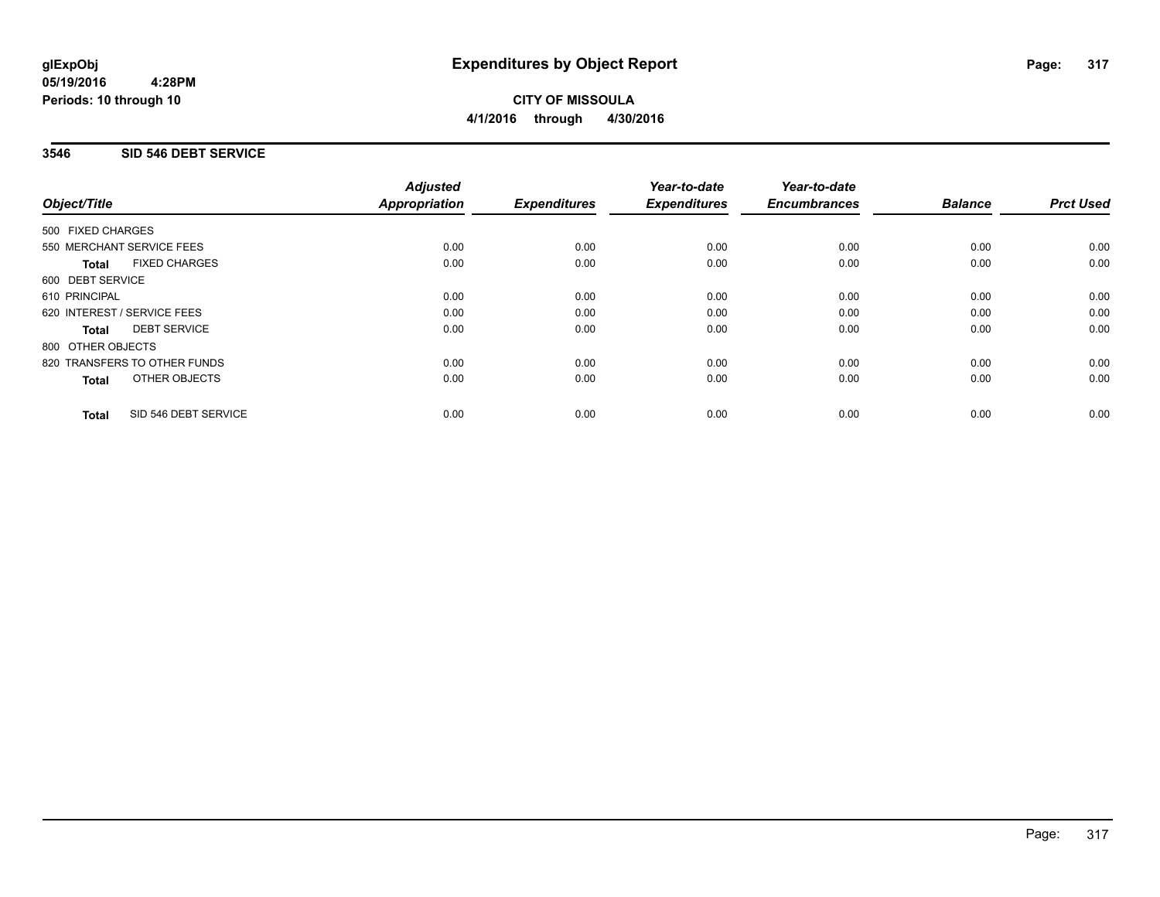# **CITY OF MISSOULA 4/1/2016 through 4/30/2016**

## **3546 SID 546 DEBT SERVICE**

|                                      | <b>Adjusted</b>      |                     | Year-to-date        | Year-to-date<br><b>Encumbrances</b> | <b>Balance</b> | <b>Prct Used</b> |
|--------------------------------------|----------------------|---------------------|---------------------|-------------------------------------|----------------|------------------|
| Object/Title                         | <b>Appropriation</b> | <b>Expenditures</b> | <b>Expenditures</b> |                                     |                |                  |
| 500 FIXED CHARGES                    |                      |                     |                     |                                     |                |                  |
| 550 MERCHANT SERVICE FEES            | 0.00                 | 0.00                | 0.00                | 0.00                                | 0.00           | 0.00             |
| <b>FIXED CHARGES</b><br>Total        | 0.00                 | 0.00                | 0.00                | 0.00                                | 0.00           | 0.00             |
| 600 DEBT SERVICE                     |                      |                     |                     |                                     |                |                  |
| 610 PRINCIPAL                        | 0.00                 | 0.00                | 0.00                | 0.00                                | 0.00           | 0.00             |
| 620 INTEREST / SERVICE FEES          | 0.00                 | 0.00                | 0.00                | 0.00                                | 0.00           | 0.00             |
| <b>DEBT SERVICE</b><br>Total         | 0.00                 | 0.00                | 0.00                | 0.00                                | 0.00           | 0.00             |
| 800 OTHER OBJECTS                    |                      |                     |                     |                                     |                |                  |
| 820 TRANSFERS TO OTHER FUNDS         | 0.00                 | 0.00                | 0.00                | 0.00                                | 0.00           | 0.00             |
| <b>OTHER OBJECTS</b><br><b>Total</b> | 0.00                 | 0.00                | 0.00                | 0.00                                | 0.00           | 0.00             |
| SID 546 DEBT SERVICE<br><b>Total</b> | 0.00                 | 0.00                | 0.00                | 0.00                                | 0.00           | 0.00             |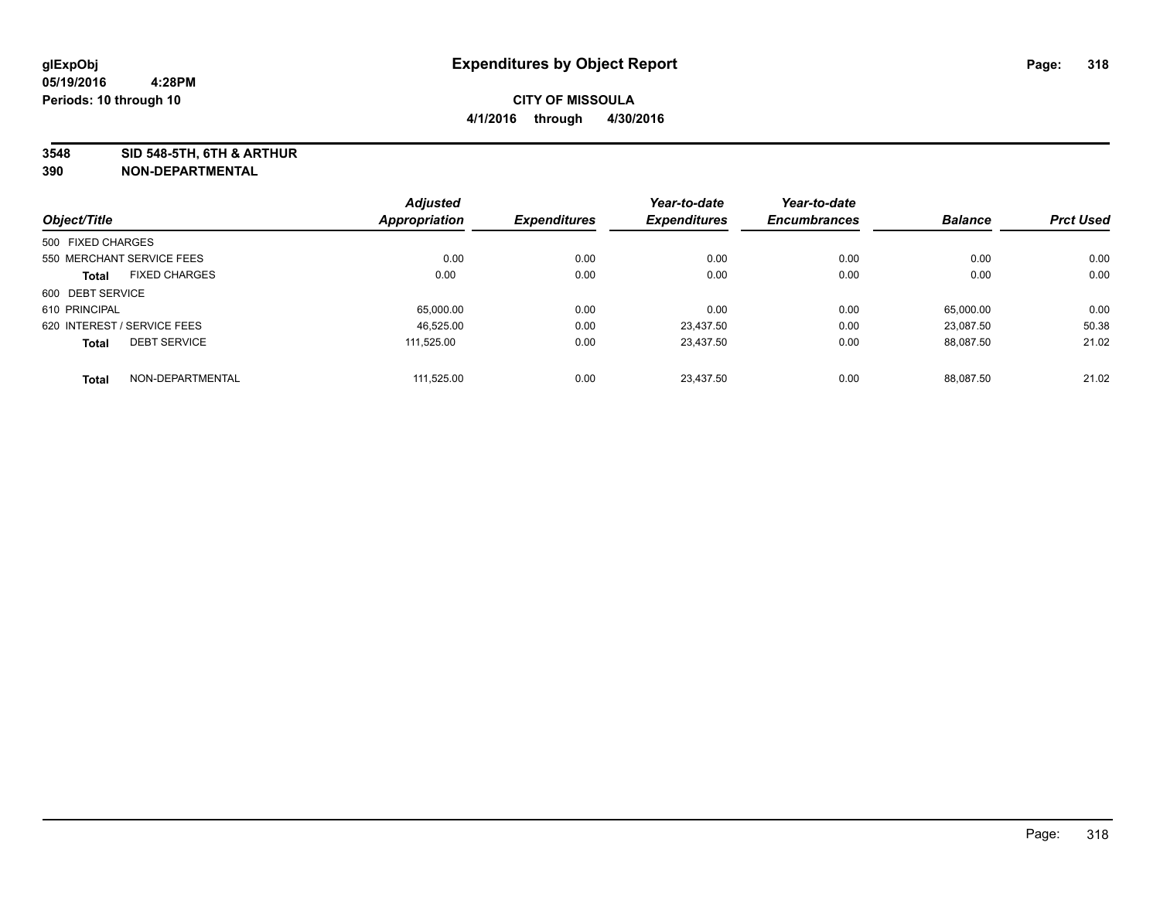**3548 SID 548-5TH, 6TH & ARTHUR**

|                                      | <b>Adjusted</b>      |                     | Year-to-date        | Year-to-date        |                |                  |
|--------------------------------------|----------------------|---------------------|---------------------|---------------------|----------------|------------------|
| Object/Title                         | <b>Appropriation</b> | <b>Expenditures</b> | <b>Expenditures</b> | <b>Encumbrances</b> | <b>Balance</b> | <b>Prct Used</b> |
| 500 FIXED CHARGES                    |                      |                     |                     |                     |                |                  |
| 550 MERCHANT SERVICE FEES            | 0.00                 | 0.00                | 0.00                | 0.00                | 0.00           | 0.00             |
| <b>FIXED CHARGES</b><br><b>Total</b> | 0.00                 | 0.00                | 0.00                | 0.00                | 0.00           | 0.00             |
| 600 DEBT SERVICE                     |                      |                     |                     |                     |                |                  |
| 610 PRINCIPAL                        | 65.000.00            | 0.00                | 0.00                | 0.00                | 65.000.00      | 0.00             |
| 620 INTEREST / SERVICE FEES          | 46,525.00            | 0.00                | 23.437.50           | 0.00                | 23.087.50      | 50.38            |
| <b>DEBT SERVICE</b><br><b>Total</b>  | 111.525.00           | 0.00                | 23.437.50           | 0.00                | 88.087.50      | 21.02            |
| NON-DEPARTMENTAL<br><b>Total</b>     | 111.525.00           | 0.00                | 23.437.50           | 0.00                | 88.087.50      | 21.02            |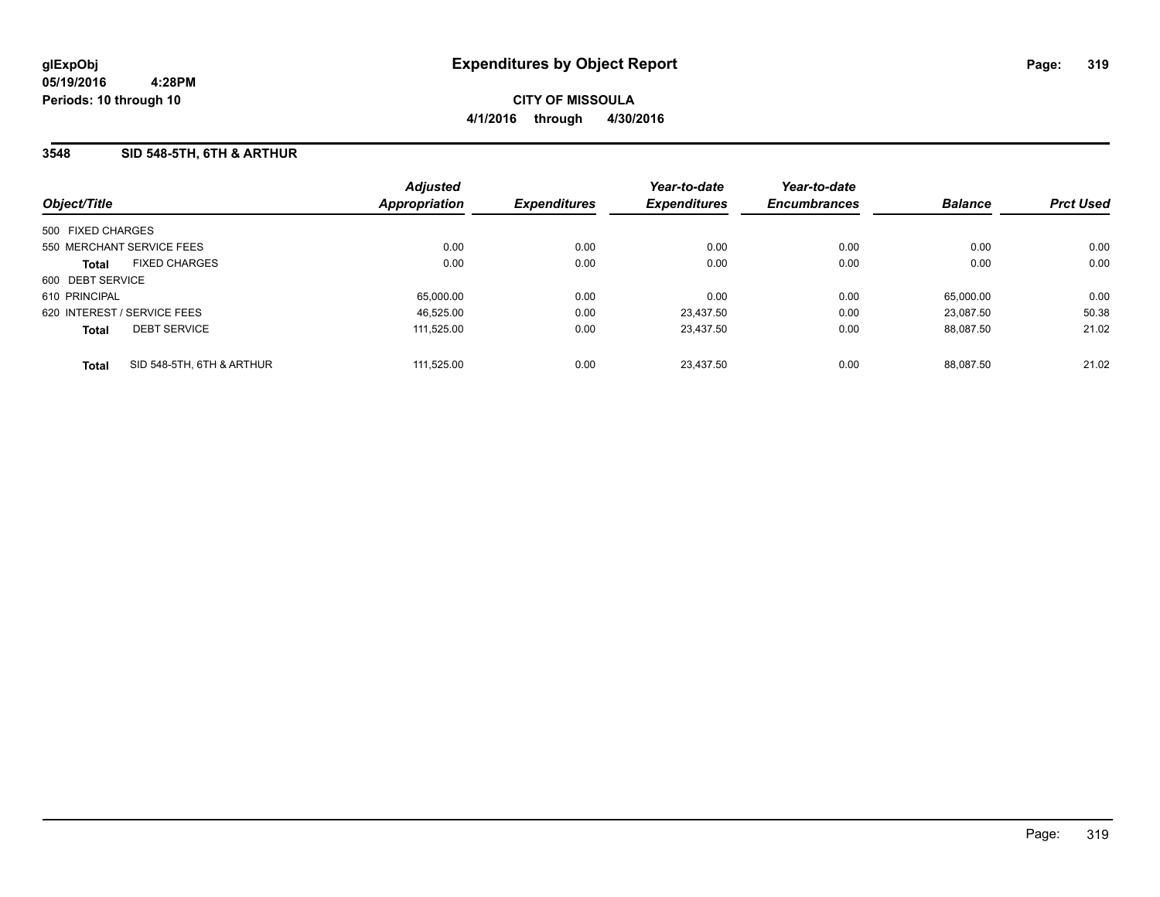## **3548 SID 548-5TH, 6TH & ARTHUR**

| Object/Title                              | <b>Adjusted</b><br>Appropriation | <b>Expenditures</b> | Year-to-date<br><b>Expenditures</b> | Year-to-date<br><b>Encumbrances</b> | <b>Balance</b> | <b>Prct Used</b> |
|-------------------------------------------|----------------------------------|---------------------|-------------------------------------|-------------------------------------|----------------|------------------|
| 500 FIXED CHARGES                         |                                  |                     |                                     |                                     |                |                  |
| 550 MERCHANT SERVICE FEES                 | 0.00                             | 0.00                | 0.00                                | 0.00                                | 0.00           | 0.00             |
| <b>FIXED CHARGES</b><br><b>Total</b>      | 0.00                             | 0.00                | 0.00                                | 0.00                                | 0.00           | 0.00             |
| 600 DEBT SERVICE                          |                                  |                     |                                     |                                     |                |                  |
| 610 PRINCIPAL                             | 65,000.00                        | 0.00                | 0.00                                | 0.00                                | 65.000.00      | 0.00             |
| 620 INTEREST / SERVICE FEES               | 46.525.00                        | 0.00                | 23.437.50                           | 0.00                                | 23.087.50      | 50.38            |
| <b>DEBT SERVICE</b><br><b>Total</b>       | 111.525.00                       | 0.00                | 23.437.50                           | 0.00                                | 88.087.50      | 21.02            |
| SID 548-5TH, 6TH & ARTHUR<br><b>Total</b> | 111.525.00                       | 0.00                | 23.437.50                           | 0.00                                | 88.087.50      | 21.02            |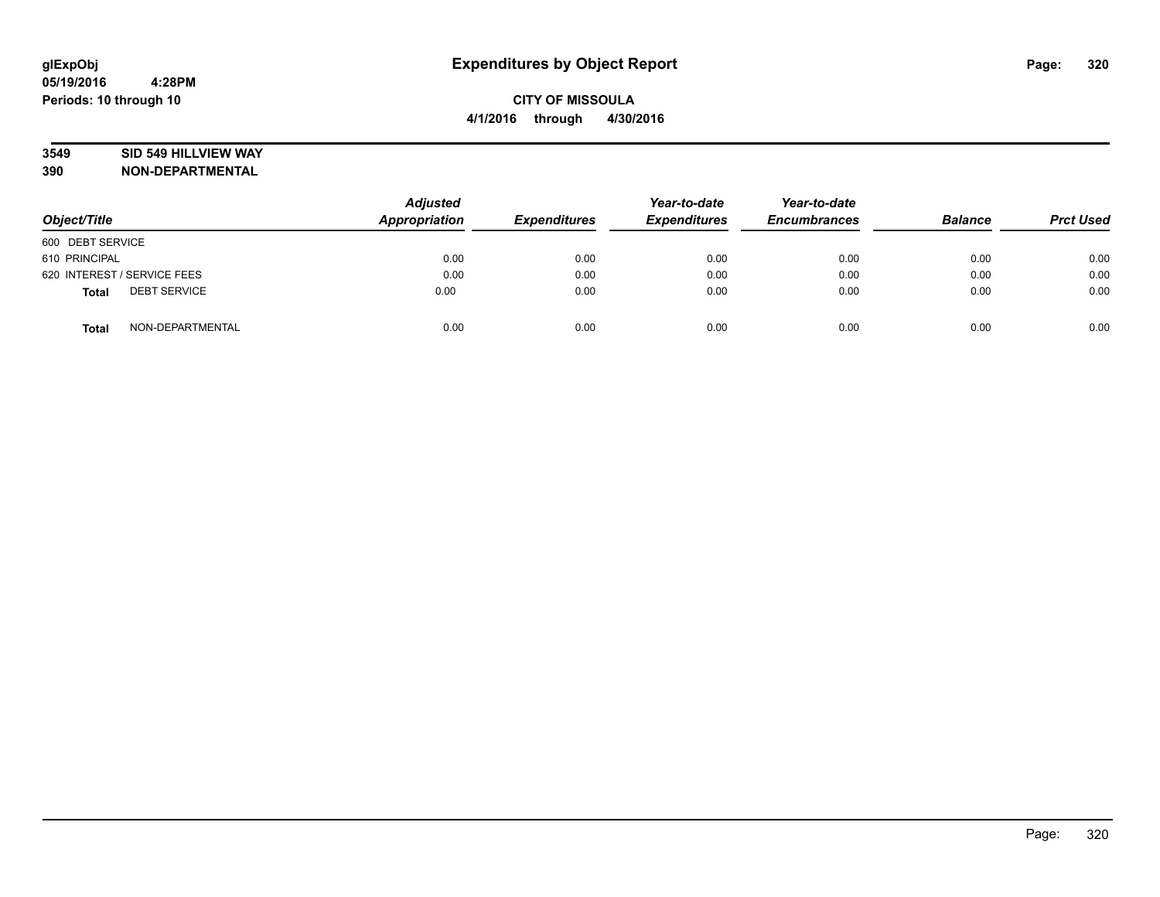### **3549 SID 549 HILLVIEW WAY**

| Object/Title                        | <b>Adjusted</b><br>Appropriation | <b>Expenditures</b> | Year-to-date<br><b>Expenditures</b> | Year-to-date<br><b>Encumbrances</b> | <b>Balance</b> | <b>Prct Used</b> |
|-------------------------------------|----------------------------------|---------------------|-------------------------------------|-------------------------------------|----------------|------------------|
| 600 DEBT SERVICE                    |                                  |                     |                                     |                                     |                |                  |
| 610 PRINCIPAL                       | 0.00                             | 0.00                | 0.00                                | 0.00                                | 0.00           | 0.00             |
| 620 INTEREST / SERVICE FEES         | 0.00                             | 0.00                | 0.00                                | 0.00                                | 0.00           | 0.00             |
| <b>DEBT SERVICE</b><br><b>Total</b> | 0.00                             | 0.00                | 0.00                                | 0.00                                | 0.00           | 0.00             |
| NON-DEPARTMENTAL<br><b>Total</b>    | 0.00                             | 0.00                | 0.00                                | 0.00                                | 0.00           | 0.00             |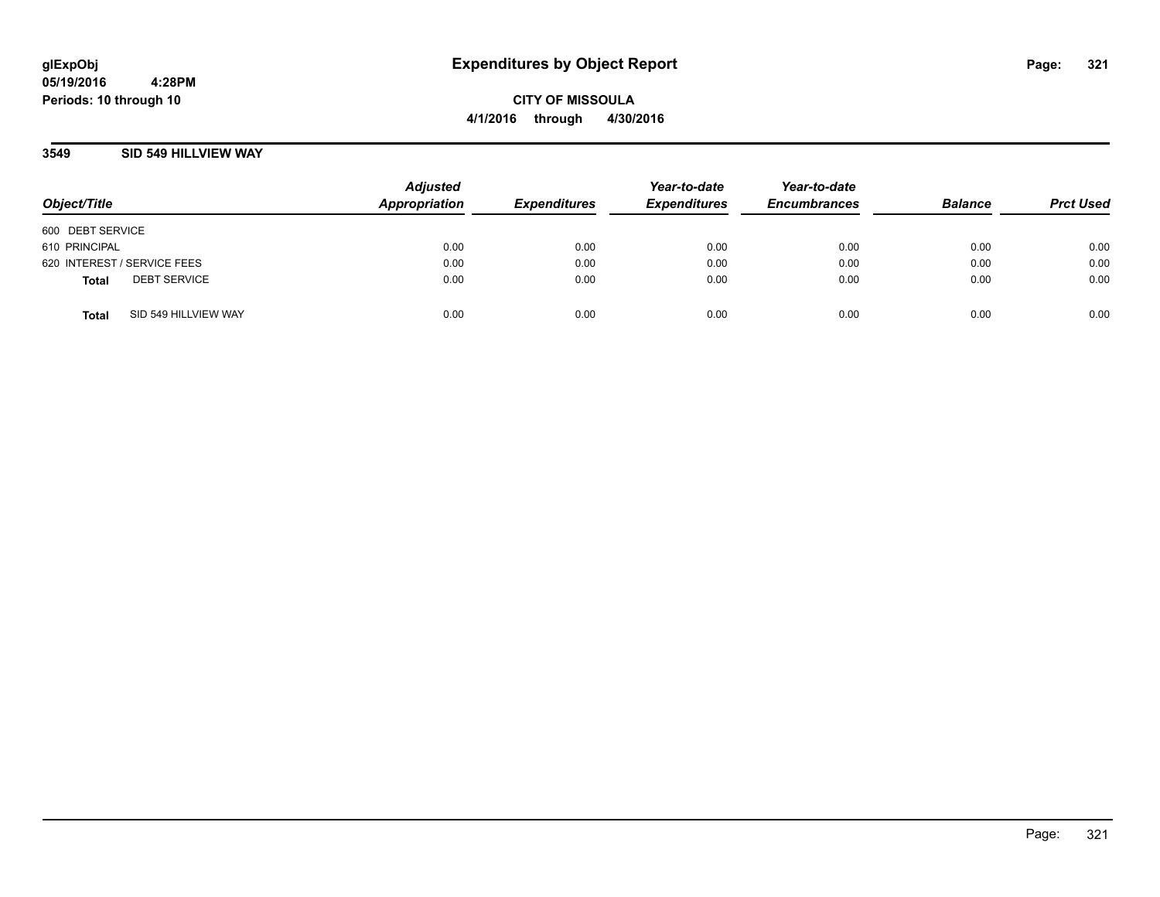## **3549 SID 549 HILLVIEW WAY**

| Object/Title                |                      | <b>Adjusted</b><br>Appropriation | <b>Expenditures</b> | Year-to-date<br><b>Expenditures</b> | Year-to-date<br><b>Encumbrances</b> | <b>Balance</b> | <b>Prct Used</b> |
|-----------------------------|----------------------|----------------------------------|---------------------|-------------------------------------|-------------------------------------|----------------|------------------|
| 600 DEBT SERVICE            |                      |                                  |                     |                                     |                                     |                |                  |
| 610 PRINCIPAL               |                      | 0.00                             | 0.00                | 0.00                                | 0.00                                | 0.00           | 0.00             |
| 620 INTEREST / SERVICE FEES |                      | 0.00                             | 0.00                | 0.00                                | 0.00                                | 0.00           | 0.00             |
| <b>Total</b>                | <b>DEBT SERVICE</b>  | 0.00                             | 0.00                | 0.00                                | 0.00                                | 0.00           | 0.00             |
| <b>Total</b>                | SID 549 HILLVIEW WAY | 0.00                             | 0.00                | 0.00                                | 0.00                                | 0.00           | 0.00             |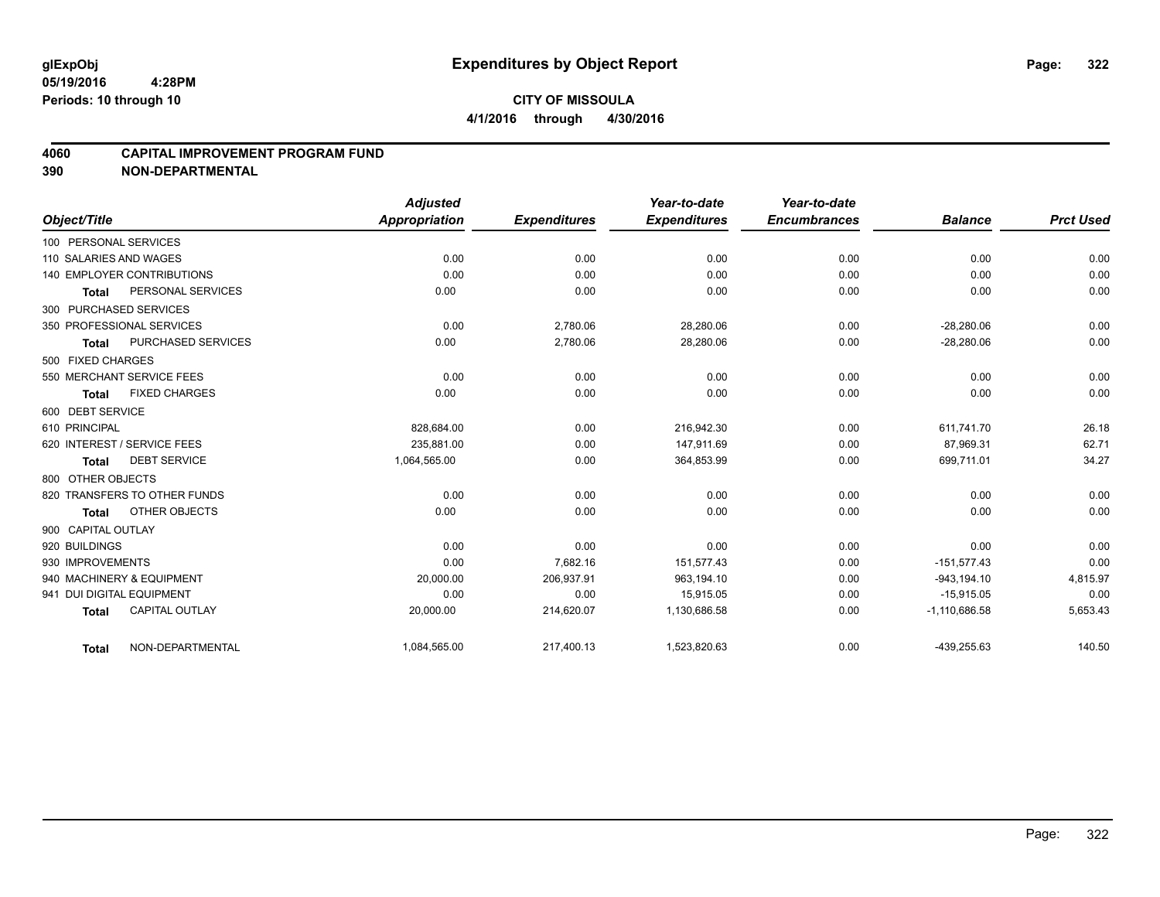## **4060 CAPITAL IMPROVEMENT PROGRAM FUND**

|                           |                              | <b>Adjusted</b>      |                     | Year-to-date        | Year-to-date        |                 |                  |
|---------------------------|------------------------------|----------------------|---------------------|---------------------|---------------------|-----------------|------------------|
| Object/Title              |                              | <b>Appropriation</b> | <b>Expenditures</b> | <b>Expenditures</b> | <b>Encumbrances</b> | <b>Balance</b>  | <b>Prct Used</b> |
| 100 PERSONAL SERVICES     |                              |                      |                     |                     |                     |                 |                  |
| 110 SALARIES AND WAGES    |                              | 0.00                 | 0.00                | 0.00                | 0.00                | 0.00            | 0.00             |
|                           | 140 EMPLOYER CONTRIBUTIONS   | 0.00                 | 0.00                | 0.00                | 0.00                | 0.00            | 0.00             |
| Total                     | PERSONAL SERVICES            | 0.00                 | 0.00                | 0.00                | 0.00                | 0.00            | 0.00             |
| 300 PURCHASED SERVICES    |                              |                      |                     |                     |                     |                 |                  |
|                           | 350 PROFESSIONAL SERVICES    | 0.00                 | 2,780.06            | 28,280.06           | 0.00                | $-28,280.06$    | 0.00             |
| <b>Total</b>              | PURCHASED SERVICES           | 0.00                 | 2,780.06            | 28,280.06           | 0.00                | $-28,280.06$    | 0.00             |
| 500 FIXED CHARGES         |                              |                      |                     |                     |                     |                 |                  |
|                           | 550 MERCHANT SERVICE FEES    | 0.00                 | 0.00                | 0.00                | 0.00                | 0.00            | 0.00             |
| <b>Total</b>              | <b>FIXED CHARGES</b>         | 0.00                 | 0.00                | 0.00                | 0.00                | 0.00            | 0.00             |
| 600 DEBT SERVICE          |                              |                      |                     |                     |                     |                 |                  |
| 610 PRINCIPAL             |                              | 828.684.00           | 0.00                | 216,942.30          | 0.00                | 611,741.70      | 26.18            |
|                           | 620 INTEREST / SERVICE FEES  | 235.881.00           | 0.00                | 147.911.69          | 0.00                | 87,969.31       | 62.71            |
| Total                     | <b>DEBT SERVICE</b>          | 1,064,565.00         | 0.00                | 364,853.99          | 0.00                | 699,711.01      | 34.27            |
| 800 OTHER OBJECTS         |                              |                      |                     |                     |                     |                 |                  |
|                           | 820 TRANSFERS TO OTHER FUNDS | 0.00                 | 0.00                | 0.00                | 0.00                | 0.00            | 0.00             |
| <b>Total</b>              | OTHER OBJECTS                | 0.00                 | 0.00                | 0.00                | 0.00                | 0.00            | 0.00             |
| 900 CAPITAL OUTLAY        |                              |                      |                     |                     |                     |                 |                  |
| 920 BUILDINGS             |                              | 0.00                 | 0.00                | 0.00                | 0.00                | 0.00            | 0.00             |
| 930 IMPROVEMENTS          |                              | 0.00                 | 7,682.16            | 151,577.43          | 0.00                | $-151,577.43$   | 0.00             |
|                           | 940 MACHINERY & EQUIPMENT    | 20,000.00            | 206,937.91          | 963,194.10          | 0.00                | $-943, 194.10$  | 4,815.97         |
| 941 DUI DIGITAL EQUIPMENT |                              | 0.00                 | 0.00                | 15,915.05           | 0.00                | $-15,915.05$    | 0.00             |
| <b>Total</b>              | CAPITAL OUTLAY               | 20,000.00            | 214,620.07          | 1,130,686.58        | 0.00                | $-1,110,686.58$ | 5,653.43         |
| <b>Total</b>              | NON-DEPARTMENTAL             | 1,084,565.00         | 217,400.13          | 1,523,820.63        | 0.00                | -439,255.63     | 140.50           |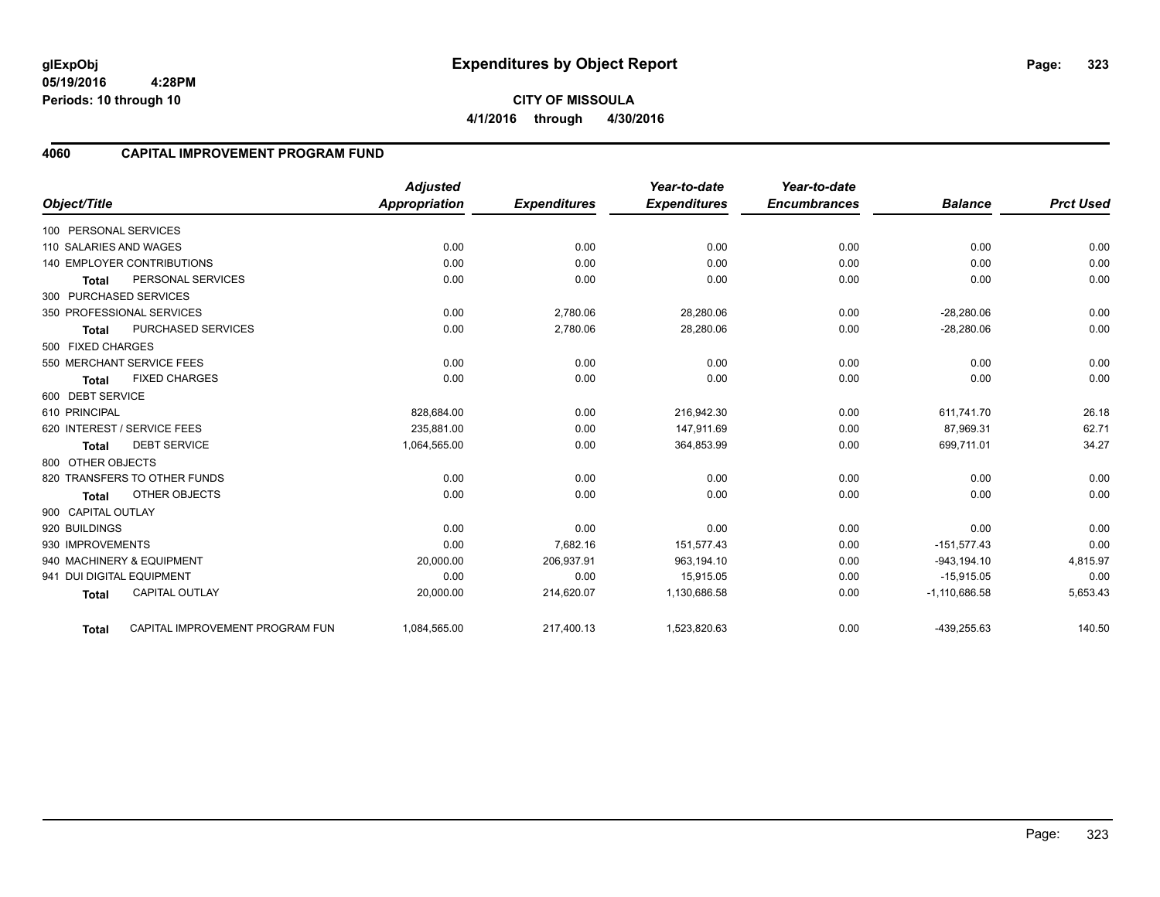**4/1/2016 through 4/30/2016**

### **4060 CAPITAL IMPROVEMENT PROGRAM FUND**

|                                       |                                 | <b>Adjusted</b> |                     | Year-to-date        | Year-to-date        |                 |                  |
|---------------------------------------|---------------------------------|-----------------|---------------------|---------------------|---------------------|-----------------|------------------|
| Object/Title                          |                                 | Appropriation   | <b>Expenditures</b> | <b>Expenditures</b> | <b>Encumbrances</b> | <b>Balance</b>  | <b>Prct Used</b> |
| 100 PERSONAL SERVICES                 |                                 |                 |                     |                     |                     |                 |                  |
| 110 SALARIES AND WAGES                |                                 | 0.00            | 0.00                | 0.00                | 0.00                | 0.00            | 0.00             |
| 140 EMPLOYER CONTRIBUTIONS            |                                 | 0.00            | 0.00                | 0.00                | 0.00                | 0.00            | 0.00             |
| <b>Total</b>                          | PERSONAL SERVICES               | 0.00            | 0.00                | 0.00                | 0.00                | 0.00            | 0.00             |
| 300 PURCHASED SERVICES                |                                 |                 |                     |                     |                     |                 |                  |
| 350 PROFESSIONAL SERVICES             |                                 | 0.00            | 2,780.06            | 28,280.06           | 0.00                | $-28,280.06$    | 0.00             |
| <b>Total</b>                          | PURCHASED SERVICES              | 0.00            | 2,780.06            | 28,280.06           | 0.00                | $-28,280.06$    | 0.00             |
| 500 FIXED CHARGES                     |                                 |                 |                     |                     |                     |                 |                  |
| 550 MERCHANT SERVICE FEES             |                                 | 0.00            | 0.00                | 0.00                | 0.00                | 0.00            | 0.00             |
| <b>FIXED CHARGES</b><br><b>Total</b>  |                                 | 0.00            | 0.00                | 0.00                | 0.00                | 0.00            | 0.00             |
| 600 DEBT SERVICE                      |                                 |                 |                     |                     |                     |                 |                  |
| 610 PRINCIPAL                         |                                 | 828,684.00      | 0.00                | 216,942.30          | 0.00                | 611,741.70      | 26.18            |
| 620 INTEREST / SERVICE FEES           |                                 | 235,881.00      | 0.00                | 147,911.69          | 0.00                | 87,969.31       | 62.71            |
| <b>DEBT SERVICE</b><br><b>Total</b>   |                                 | 1,064,565.00    | 0.00                | 364,853.99          | 0.00                | 699,711.01      | 34.27            |
| 800 OTHER OBJECTS                     |                                 |                 |                     |                     |                     |                 |                  |
| 820 TRANSFERS TO OTHER FUNDS          |                                 | 0.00            | 0.00                | 0.00                | 0.00                | 0.00            | 0.00             |
| OTHER OBJECTS<br><b>Total</b>         |                                 | 0.00            | 0.00                | 0.00                | 0.00                | 0.00            | 0.00             |
| 900 CAPITAL OUTLAY                    |                                 |                 |                     |                     |                     |                 |                  |
| 920 BUILDINGS                         |                                 | 0.00            | 0.00                | 0.00                | 0.00                | 0.00            | 0.00             |
| 930 IMPROVEMENTS                      |                                 | 0.00            | 7,682.16            | 151,577.43          | 0.00                | $-151,577.43$   | 0.00             |
| 940 MACHINERY & EQUIPMENT             |                                 | 20,000.00       | 206,937.91          | 963,194.10          | 0.00                | $-943, 194.10$  | 4,815.97         |
| 941 DUI DIGITAL EQUIPMENT             |                                 | 0.00            | 0.00                | 15,915.05           | 0.00                | $-15,915.05$    | 0.00             |
| <b>CAPITAL OUTLAY</b><br><b>Total</b> |                                 | 20,000.00       | 214,620.07          | 1,130,686.58        | 0.00                | $-1,110,686.58$ | 5,653.43         |
| <b>Total</b>                          | CAPITAL IMPROVEMENT PROGRAM FUN | 1,084,565.00    | 217,400.13          | 1,523,820.63        | 0.00                | -439,255.63     | 140.50           |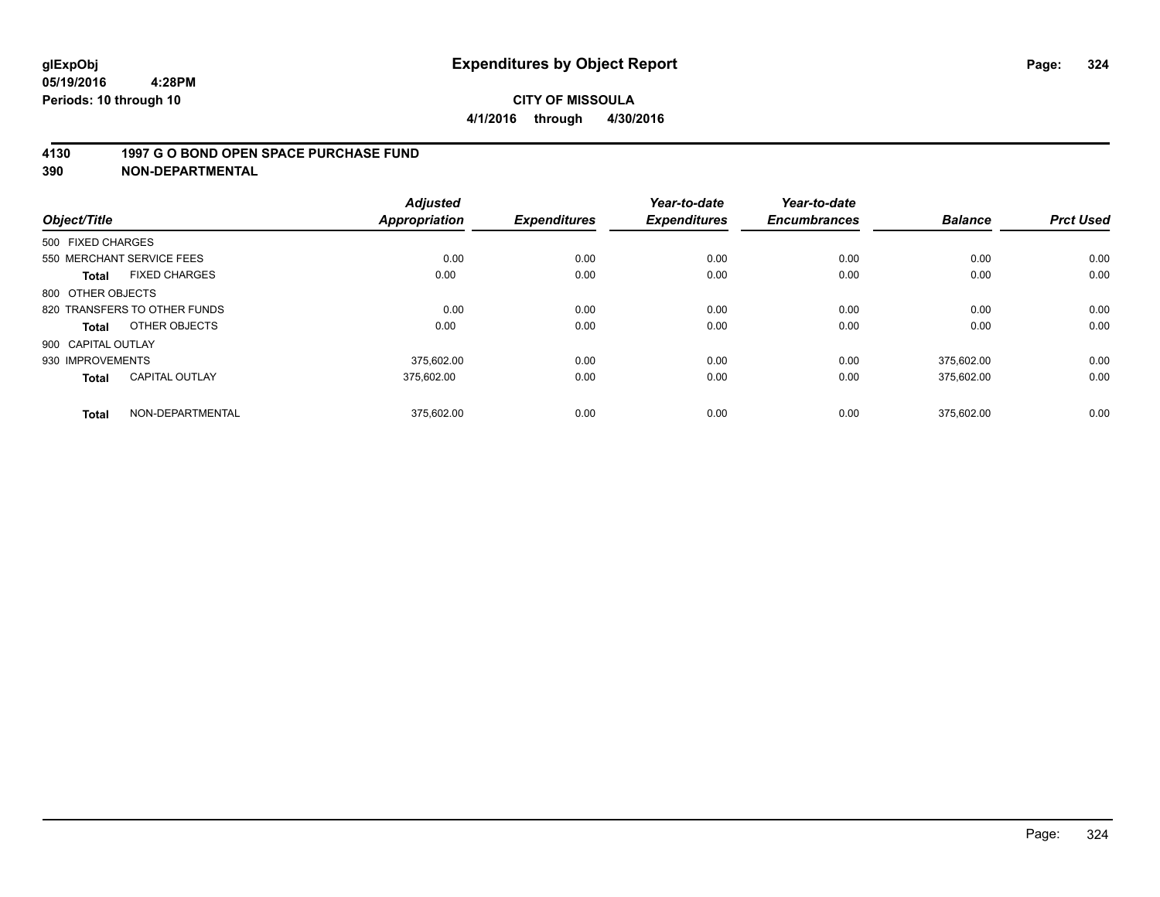### **4130 1997 G O BOND OPEN SPACE PURCHASE FUND**

| Object/Title                          | <b>Adjusted</b><br>Appropriation | <b>Expenditures</b> | Year-to-date<br><b>Expenditures</b> | Year-to-date<br><b>Encumbrances</b> | <b>Balance</b> | <b>Prct Used</b> |
|---------------------------------------|----------------------------------|---------------------|-------------------------------------|-------------------------------------|----------------|------------------|
| 500 FIXED CHARGES                     |                                  |                     |                                     |                                     |                |                  |
| 550 MERCHANT SERVICE FEES             | 0.00                             | 0.00                | 0.00                                | 0.00                                | 0.00           | 0.00             |
| <b>FIXED CHARGES</b><br><b>Total</b>  | 0.00                             | 0.00                | 0.00                                | 0.00                                | 0.00           | 0.00             |
| 800 OTHER OBJECTS                     |                                  |                     |                                     |                                     |                |                  |
| 820 TRANSFERS TO OTHER FUNDS          | 0.00                             | 0.00                | 0.00                                | 0.00                                | 0.00           | 0.00             |
| OTHER OBJECTS<br>Total                | 0.00                             | 0.00                | 0.00                                | 0.00                                | 0.00           | 0.00             |
| 900 CAPITAL OUTLAY                    |                                  |                     |                                     |                                     |                |                  |
| 930 IMPROVEMENTS                      | 375.602.00                       | 0.00                | 0.00                                | 0.00                                | 375.602.00     | 0.00             |
| <b>CAPITAL OUTLAY</b><br><b>Total</b> | 375,602.00                       | 0.00                | 0.00                                | 0.00                                | 375,602.00     | 0.00             |
| NON-DEPARTMENTAL<br><b>Total</b>      | 375,602.00                       | 0.00                | 0.00                                | 0.00                                | 375.602.00     | 0.00             |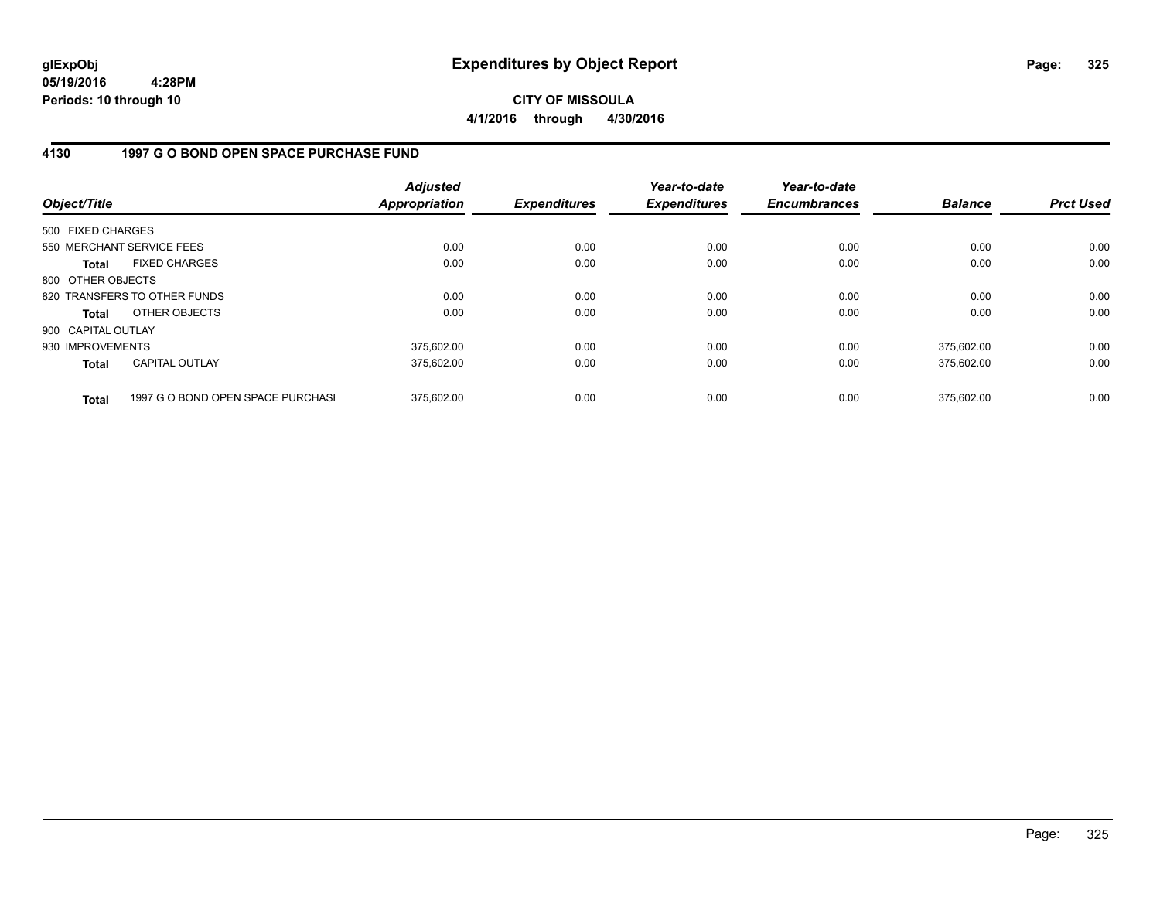**CITY OF MISSOULA 4/1/2016 through 4/30/2016**

## **4130 1997 G O BOND OPEN SPACE PURCHASE FUND**

| Object/Title       |                                   | <b>Adjusted</b><br><b>Appropriation</b> | <b>Expenditures</b> | Year-to-date<br><b>Expenditures</b> | Year-to-date<br><b>Encumbrances</b> | <b>Balance</b> | <b>Prct Used</b> |
|--------------------|-----------------------------------|-----------------------------------------|---------------------|-------------------------------------|-------------------------------------|----------------|------------------|
| 500 FIXED CHARGES  |                                   |                                         |                     |                                     |                                     |                |                  |
|                    | 550 MERCHANT SERVICE FEES         | 0.00                                    | 0.00                | 0.00                                | 0.00                                | 0.00           | 0.00             |
| Total              | <b>FIXED CHARGES</b>              | 0.00                                    | 0.00                | 0.00                                | 0.00                                | 0.00           | 0.00             |
| 800 OTHER OBJECTS  |                                   |                                         |                     |                                     |                                     |                |                  |
|                    | 820 TRANSFERS TO OTHER FUNDS      | 0.00                                    | 0.00                | 0.00                                | 0.00                                | 0.00           | 0.00             |
| Total              | OTHER OBJECTS                     | 0.00                                    | 0.00                | 0.00                                | 0.00                                | 0.00           | 0.00             |
| 900 CAPITAL OUTLAY |                                   |                                         |                     |                                     |                                     |                |                  |
| 930 IMPROVEMENTS   |                                   | 375,602.00                              | 0.00                | 0.00                                | 0.00                                | 375,602.00     | 0.00             |
| <b>Total</b>       | CAPITAL OUTLAY                    | 375,602.00                              | 0.00                | 0.00                                | 0.00                                | 375,602.00     | 0.00             |
| <b>Total</b>       | 1997 G O BOND OPEN SPACE PURCHASI | 375.602.00                              | 0.00                | 0.00                                | 0.00                                | 375.602.00     | 0.00             |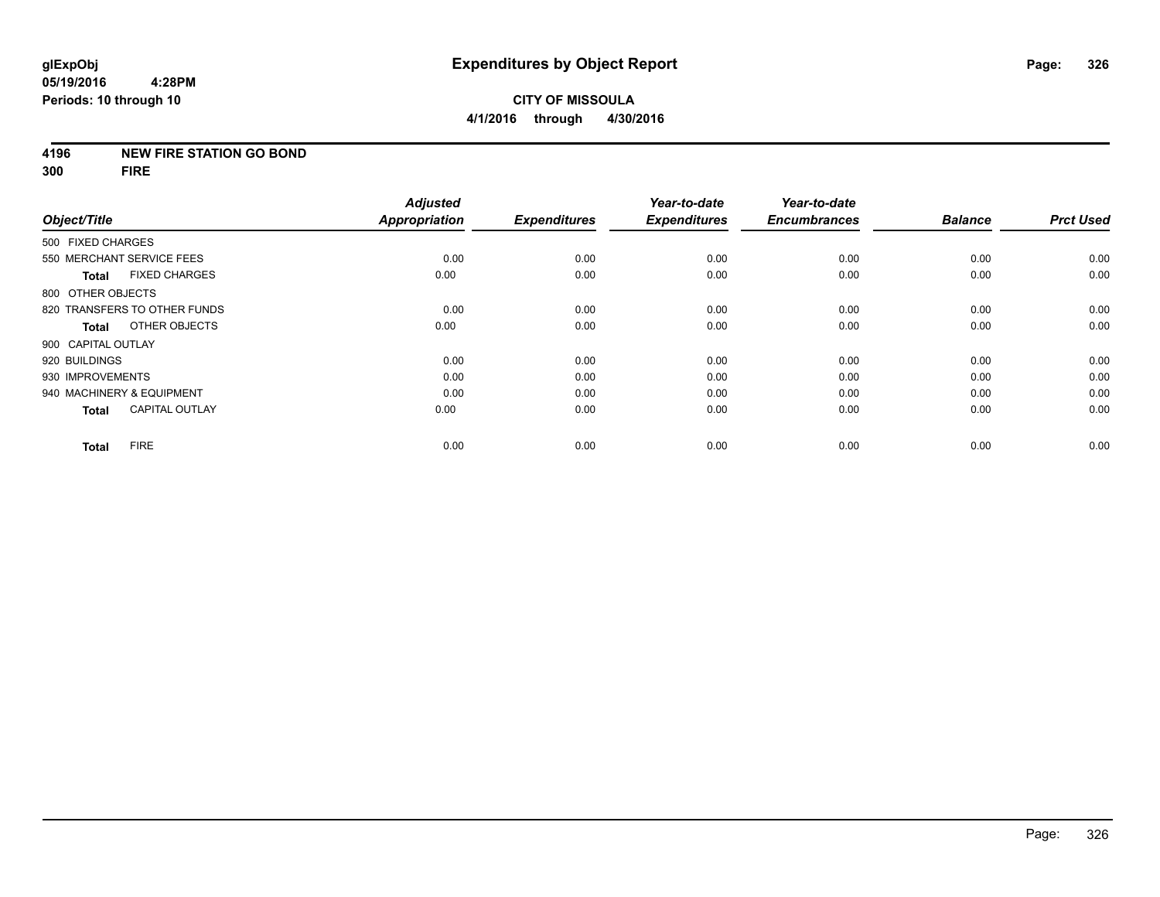#### **4196 NEW FIRE STATION GO BOND**

**300 FIRE**

|                                       | <b>Adjusted</b>      |                     | Year-to-date        | Year-to-date        |                |                  |
|---------------------------------------|----------------------|---------------------|---------------------|---------------------|----------------|------------------|
| Object/Title                          | <b>Appropriation</b> | <b>Expenditures</b> | <b>Expenditures</b> | <b>Encumbrances</b> | <b>Balance</b> | <b>Prct Used</b> |
| 500 FIXED CHARGES                     |                      |                     |                     |                     |                |                  |
| 550 MERCHANT SERVICE FEES             | 0.00                 | 0.00                | 0.00                | 0.00                | 0.00           | 0.00             |
| <b>FIXED CHARGES</b><br><b>Total</b>  | 0.00                 | 0.00                | 0.00                | 0.00                | 0.00           | 0.00             |
| 800 OTHER OBJECTS                     |                      |                     |                     |                     |                |                  |
| 820 TRANSFERS TO OTHER FUNDS          | 0.00                 | 0.00                | 0.00                | 0.00                | 0.00           | 0.00             |
| OTHER OBJECTS<br><b>Total</b>         | 0.00                 | 0.00                | 0.00                | 0.00                | 0.00           | 0.00             |
| 900 CAPITAL OUTLAY                    |                      |                     |                     |                     |                |                  |
| 920 BUILDINGS                         | 0.00                 | 0.00                | 0.00                | 0.00                | 0.00           | 0.00             |
| 930 IMPROVEMENTS                      | 0.00                 | 0.00                | 0.00                | 0.00                | 0.00           | 0.00             |
| 940 MACHINERY & EQUIPMENT             | 0.00                 | 0.00                | 0.00                | 0.00                | 0.00           | 0.00             |
| <b>CAPITAL OUTLAY</b><br><b>Total</b> | 0.00                 | 0.00                | 0.00                | 0.00                | 0.00           | 0.00             |
| <b>FIRE</b><br><b>Total</b>           | 0.00                 | 0.00                | 0.00                | 0.00                | 0.00           | 0.00             |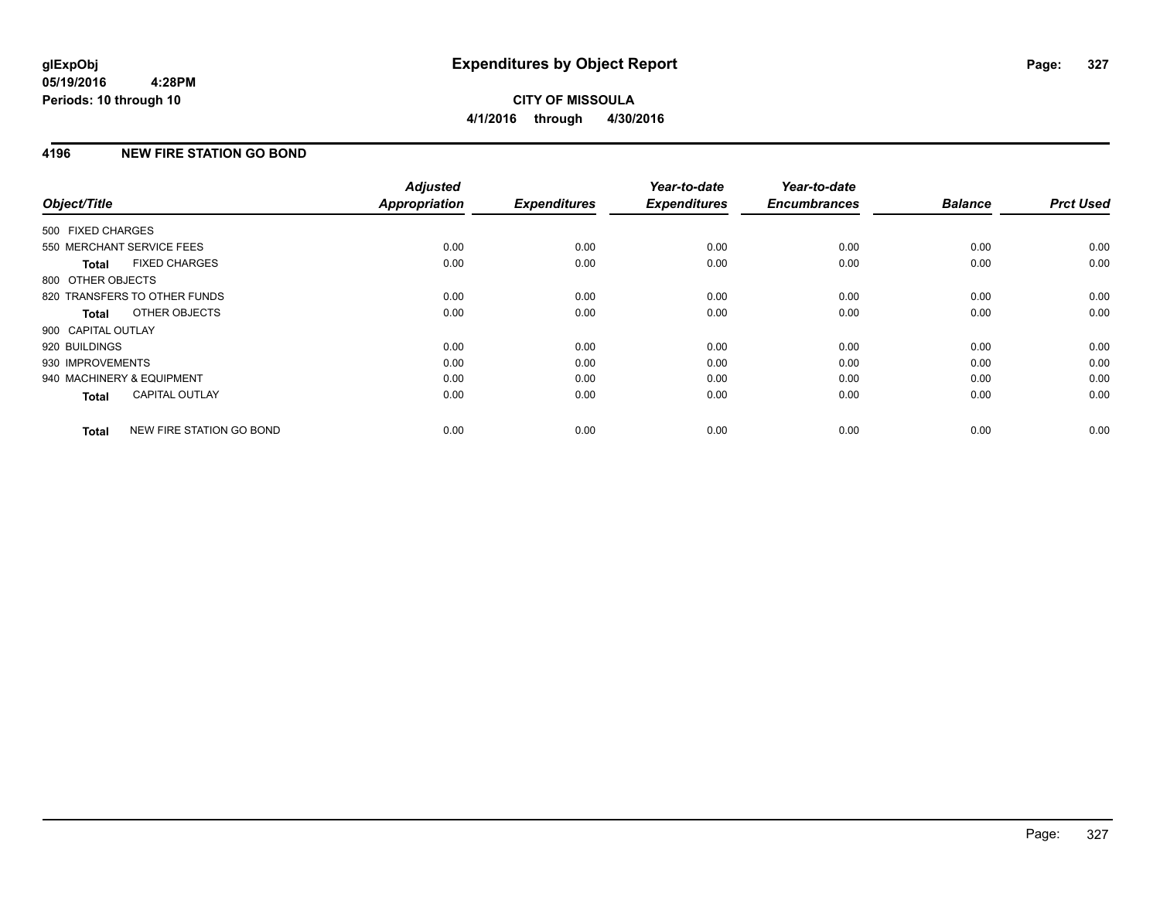# **4196 NEW FIRE STATION GO BOND**

| Object/Title              |                              | <b>Adjusted</b><br><b>Appropriation</b> | <b>Expenditures</b> | Year-to-date<br><b>Expenditures</b> | Year-to-date<br><b>Encumbrances</b> | <b>Balance</b> | <b>Prct Used</b> |
|---------------------------|------------------------------|-----------------------------------------|---------------------|-------------------------------------|-------------------------------------|----------------|------------------|
| 500 FIXED CHARGES         |                              |                                         |                     |                                     |                                     |                |                  |
|                           |                              |                                         |                     |                                     |                                     |                |                  |
|                           | 550 MERCHANT SERVICE FEES    | 0.00                                    | 0.00                | 0.00                                | 0.00                                | 0.00           | 0.00             |
| <b>Total</b>              | <b>FIXED CHARGES</b>         | 0.00                                    | 0.00                | 0.00                                | 0.00                                | 0.00           | 0.00             |
| 800 OTHER OBJECTS         |                              |                                         |                     |                                     |                                     |                |                  |
|                           | 820 TRANSFERS TO OTHER FUNDS | 0.00                                    | 0.00                | 0.00                                | 0.00                                | 0.00           | 0.00             |
| Total                     | OTHER OBJECTS                | 0.00                                    | 0.00                | 0.00                                | 0.00                                | 0.00           | 0.00             |
| 900 CAPITAL OUTLAY        |                              |                                         |                     |                                     |                                     |                |                  |
| 920 BUILDINGS             |                              | 0.00                                    | 0.00                | 0.00                                | 0.00                                | 0.00           | 0.00             |
| 930 IMPROVEMENTS          |                              | 0.00                                    | 0.00                | 0.00                                | 0.00                                | 0.00           | 0.00             |
| 940 MACHINERY & EQUIPMENT |                              | 0.00                                    | 0.00                | 0.00                                | 0.00                                | 0.00           | 0.00             |
| Total                     | <b>CAPITAL OUTLAY</b>        | 0.00                                    | 0.00                | 0.00                                | 0.00                                | 0.00           | 0.00             |
| <b>Total</b>              | NEW FIRE STATION GO BOND     | 0.00                                    | 0.00                | 0.00                                | 0.00                                | 0.00           | 0.00             |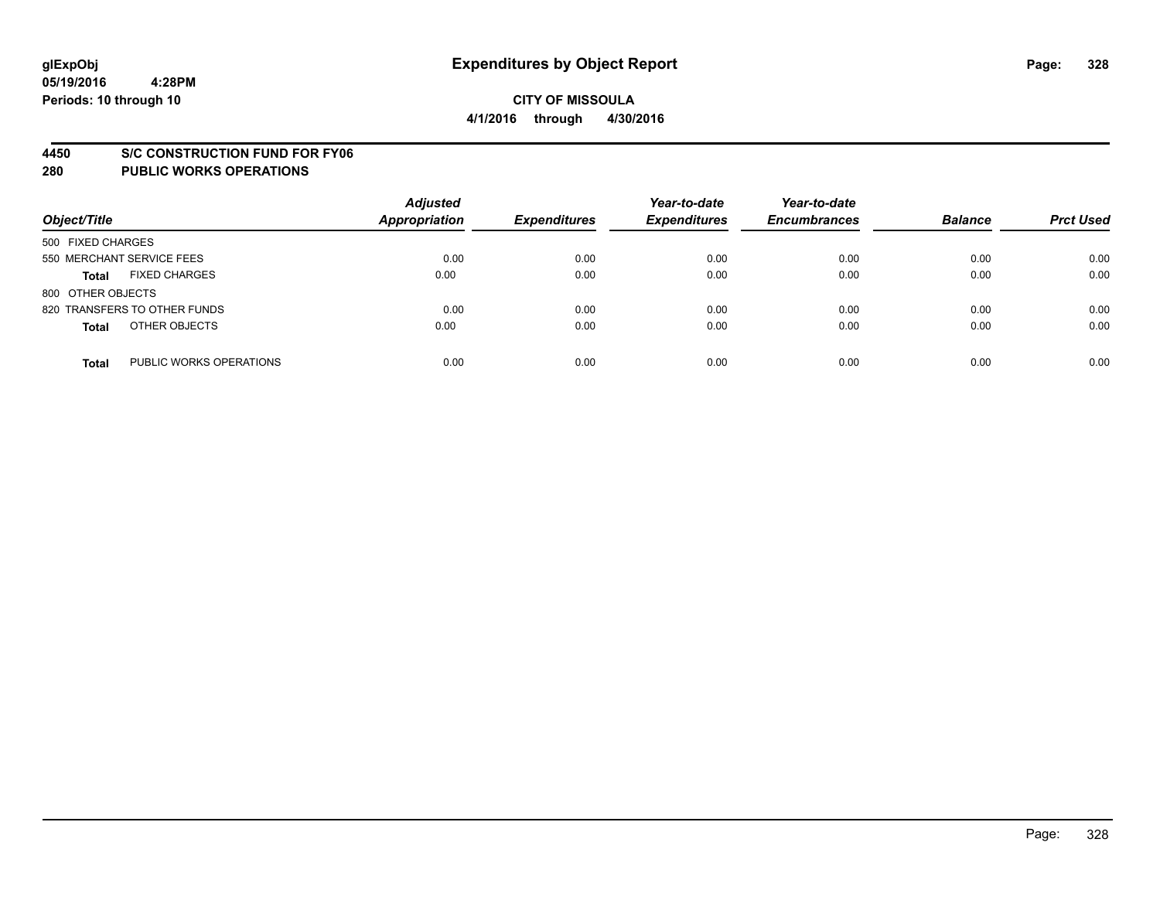#### **4450 S/C CONSTRUCTION FUND FOR FY06**

| Object/Title              |                              | <b>Adjusted</b><br><b>Appropriation</b> | <b>Expenditures</b> | Year-to-date<br><b>Expenditures</b> | Year-to-date<br><b>Encumbrances</b> | <b>Balance</b> | <b>Prct Used</b> |
|---------------------------|------------------------------|-----------------------------------------|---------------------|-------------------------------------|-------------------------------------|----------------|------------------|
| 500 FIXED CHARGES         |                              |                                         |                     |                                     |                                     |                |                  |
| 550 MERCHANT SERVICE FEES |                              | 0.00                                    | 0.00                | 0.00                                | 0.00                                | 0.00           | 0.00             |
| <b>Total</b>              | <b>FIXED CHARGES</b>         | 0.00                                    | 0.00                | 0.00                                | 0.00                                | 0.00           | 0.00             |
| 800 OTHER OBJECTS         |                              |                                         |                     |                                     |                                     |                |                  |
|                           | 820 TRANSFERS TO OTHER FUNDS | 0.00                                    | 0.00                | 0.00                                | 0.00                                | 0.00           | 0.00             |
| <b>Total</b>              | OTHER OBJECTS                | 0.00                                    | 0.00                | 0.00                                | 0.00                                | 0.00           | 0.00             |
| <b>Total</b>              | PUBLIC WORKS OPERATIONS      | 0.00                                    | 0.00                | 0.00                                | 0.00                                | 0.00           | 0.00             |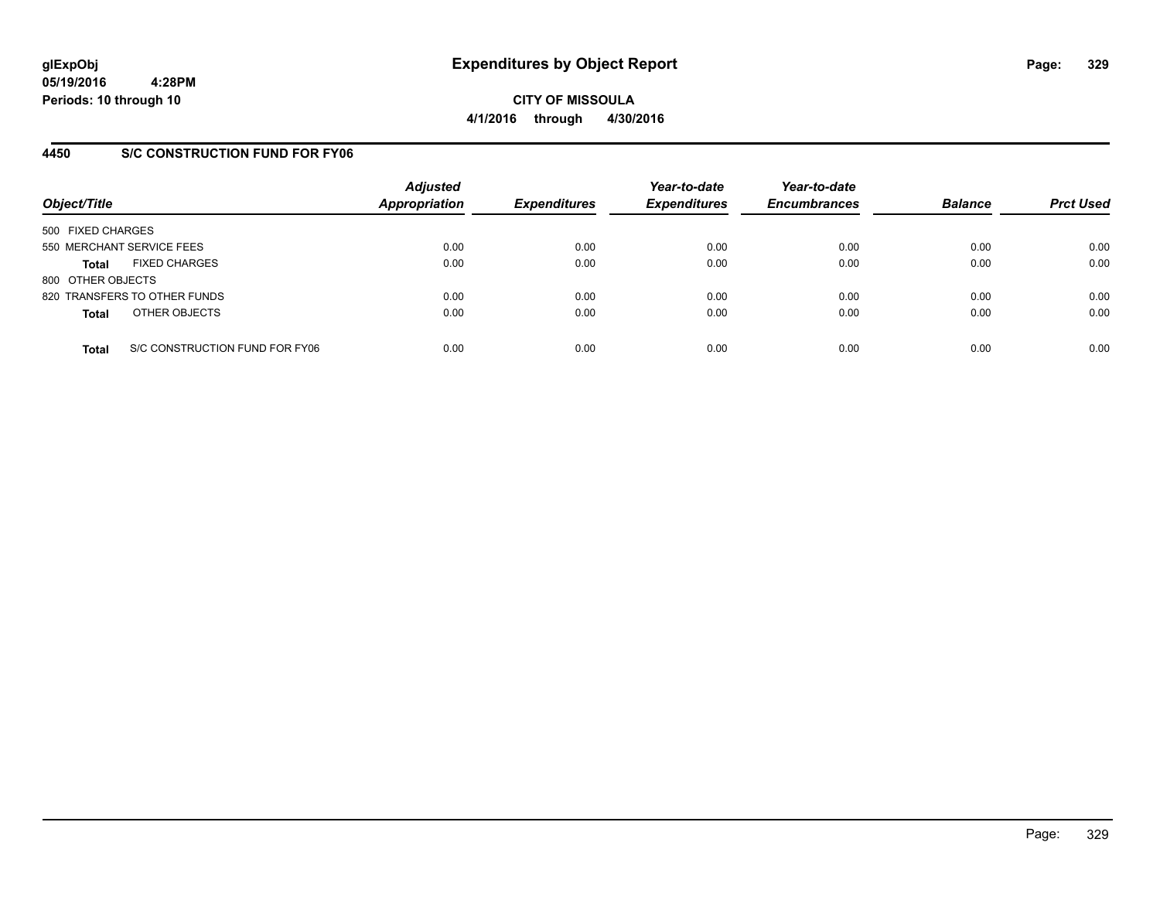**CITY OF MISSOULA 4/1/2016 through 4/30/2016**

## **4450 S/C CONSTRUCTION FUND FOR FY06**

| Object/Title                         |                                | <b>Adjusted</b><br><b>Appropriation</b> | <b>Expenditures</b> | Year-to-date<br><b>Expenditures</b> | Year-to-date<br><b>Encumbrances</b> | <b>Balance</b> | <b>Prct Used</b> |
|--------------------------------------|--------------------------------|-----------------------------------------|---------------------|-------------------------------------|-------------------------------------|----------------|------------------|
| 500 FIXED CHARGES                    |                                |                                         |                     |                                     |                                     |                |                  |
| 550 MERCHANT SERVICE FEES            |                                | 0.00                                    | 0.00                | 0.00                                | 0.00                                | 0.00           | 0.00             |
| <b>FIXED CHARGES</b><br><b>Total</b> |                                | 0.00                                    | 0.00                | 0.00                                | 0.00                                | 0.00           | 0.00             |
| 800 OTHER OBJECTS                    |                                |                                         |                     |                                     |                                     |                |                  |
| 820 TRANSFERS TO OTHER FUNDS         |                                | 0.00                                    | 0.00                | 0.00                                | 0.00                                | 0.00           | 0.00             |
| OTHER OBJECTS<br><b>Total</b>        |                                | 0.00                                    | 0.00                | 0.00                                | 0.00                                | 0.00           | 0.00             |
| <b>Total</b>                         | S/C CONSTRUCTION FUND FOR FY06 | 0.00                                    | 0.00                | 0.00                                | 0.00                                | 0.00           | 0.00             |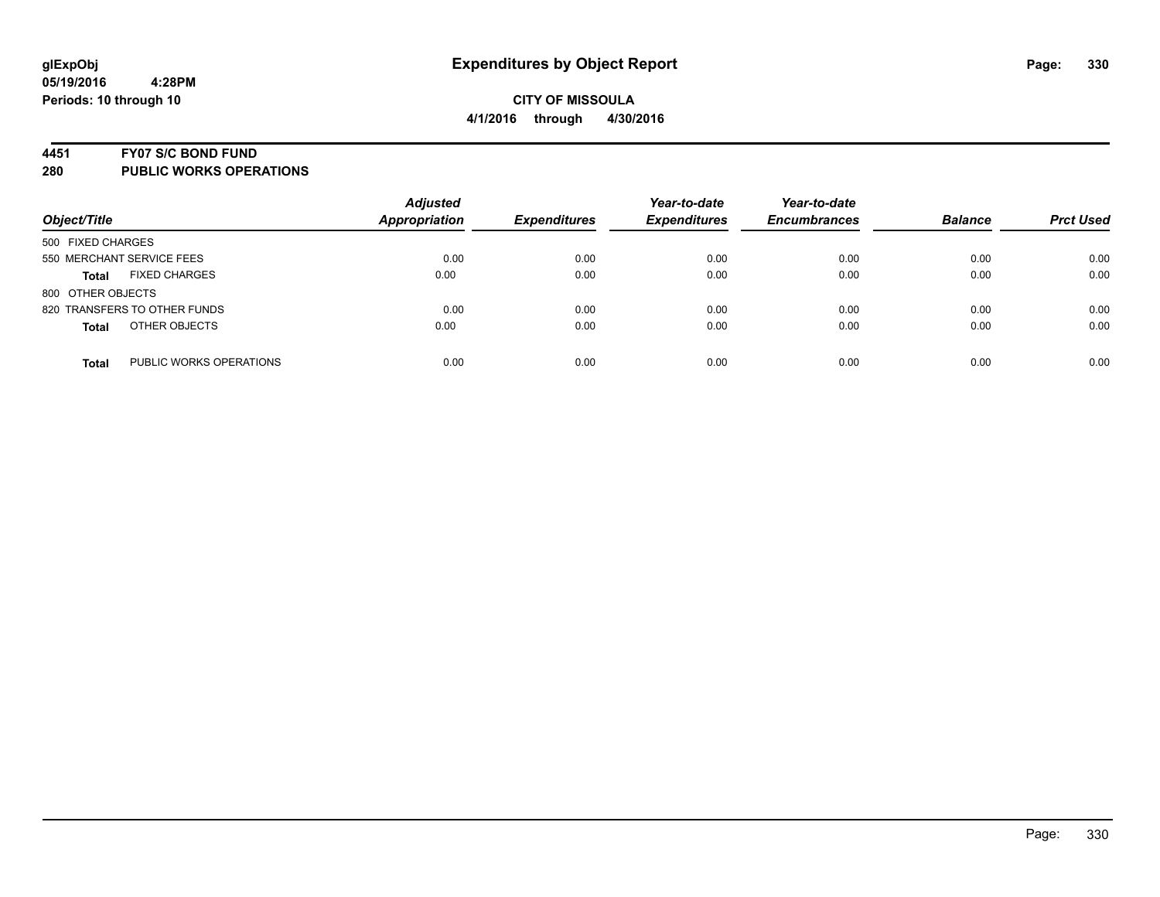#### **4451 FY07 S/C BOND FUND**

| Object/Title                            | <b>Adjusted</b><br><b>Appropriation</b> | <b>Expenditures</b> | Year-to-date<br><b>Expenditures</b> | Year-to-date<br><b>Encumbrances</b> | <b>Balance</b> | <b>Prct Used</b> |
|-----------------------------------------|-----------------------------------------|---------------------|-------------------------------------|-------------------------------------|----------------|------------------|
|                                         |                                         |                     |                                     |                                     |                |                  |
| 500 FIXED CHARGES                       |                                         |                     |                                     |                                     |                |                  |
| 550 MERCHANT SERVICE FEES               | 0.00                                    | 0.00                | 0.00                                | 0.00                                | 0.00           | 0.00             |
| <b>FIXED CHARGES</b><br><b>Total</b>    | 0.00                                    | 0.00                | 0.00                                | 0.00                                | 0.00           | 0.00             |
| 800 OTHER OBJECTS                       |                                         |                     |                                     |                                     |                |                  |
| 820 TRANSFERS TO OTHER FUNDS            | 0.00                                    | 0.00                | 0.00                                | 0.00                                | 0.00           | 0.00             |
| OTHER OBJECTS<br><b>Total</b>           | 0.00                                    | 0.00                | 0.00                                | 0.00                                | 0.00           | 0.00             |
| PUBLIC WORKS OPERATIONS<br><b>Total</b> | 0.00                                    | 0.00                | 0.00                                | 0.00                                | 0.00           | 0.00             |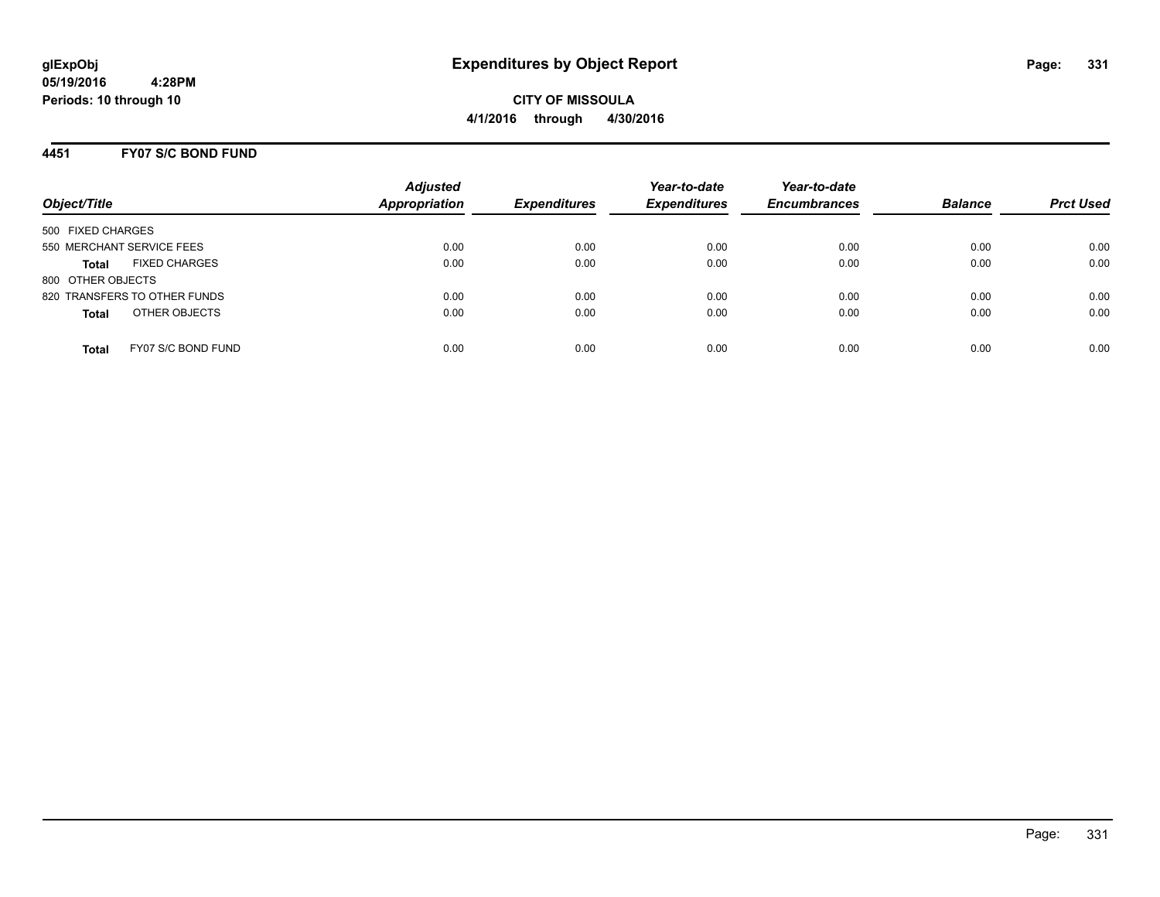# **CITY OF MISSOULA 4/1/2016 through 4/30/2016**

# **4451 FY07 S/C BOND FUND**

| Object/Title                         | <b>Adjusted</b><br><b>Appropriation</b> | <b>Expenditures</b> | Year-to-date<br><b>Expenditures</b> | Year-to-date<br><b>Encumbrances</b> | <b>Balance</b> | <b>Prct Used</b> |
|--------------------------------------|-----------------------------------------|---------------------|-------------------------------------|-------------------------------------|----------------|------------------|
| 500 FIXED CHARGES                    |                                         |                     |                                     |                                     |                |                  |
| 550 MERCHANT SERVICE FEES            | 0.00                                    | 0.00                | 0.00                                | 0.00                                | 0.00           | 0.00             |
| <b>FIXED CHARGES</b><br><b>Total</b> | 0.00                                    | 0.00                | 0.00                                | 0.00                                | 0.00           | 0.00             |
| 800 OTHER OBJECTS                    |                                         |                     |                                     |                                     |                |                  |
| 820 TRANSFERS TO OTHER FUNDS         | 0.00                                    | 0.00                | 0.00                                | 0.00                                | 0.00           | 0.00             |
| OTHER OBJECTS<br><b>Total</b>        | 0.00                                    | 0.00                | 0.00                                | 0.00                                | 0.00           | 0.00             |
| FY07 S/C BOND FUND<br><b>Total</b>   | 0.00                                    | 0.00                | 0.00                                | 0.00                                | 0.00           | 0.00             |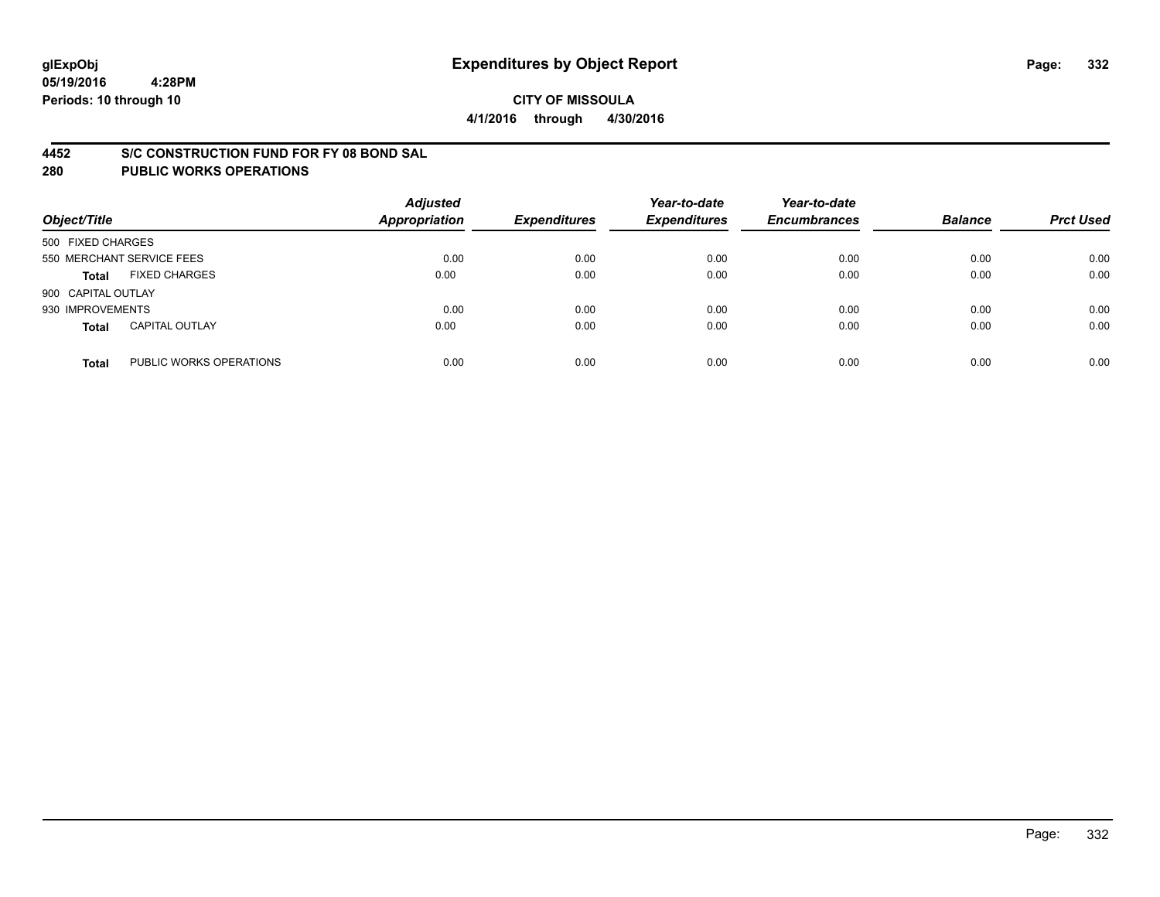#### **4452 S/C CONSTRUCTION FUND FOR FY 08 BOND SAL**

| Object/Title       |                           | <b>Adjusted</b><br><b>Appropriation</b> | <b>Expenditures</b> | Year-to-date<br><b>Expenditures</b> | Year-to-date<br><b>Encumbrances</b> | <b>Balance</b> | <b>Prct Used</b> |
|--------------------|---------------------------|-----------------------------------------|---------------------|-------------------------------------|-------------------------------------|----------------|------------------|
| 500 FIXED CHARGES  |                           |                                         |                     |                                     |                                     |                |                  |
|                    | 550 MERCHANT SERVICE FEES | 0.00                                    | 0.00                | 0.00                                | 0.00                                | 0.00           | 0.00             |
| <b>Total</b>       | <b>FIXED CHARGES</b>      | 0.00                                    | 0.00                | 0.00                                | 0.00                                | 0.00           | 0.00             |
| 900 CAPITAL OUTLAY |                           |                                         |                     |                                     |                                     |                |                  |
| 930 IMPROVEMENTS   |                           | 0.00                                    | 0.00                | 0.00                                | 0.00                                | 0.00           | 0.00             |
| <b>Total</b>       | <b>CAPITAL OUTLAY</b>     | 0.00                                    | 0.00                | 0.00                                | 0.00                                | 0.00           | 0.00             |
| <b>Total</b>       | PUBLIC WORKS OPERATIONS   | 0.00                                    | 0.00                | 0.00                                | 0.00                                | 0.00           | 0.00             |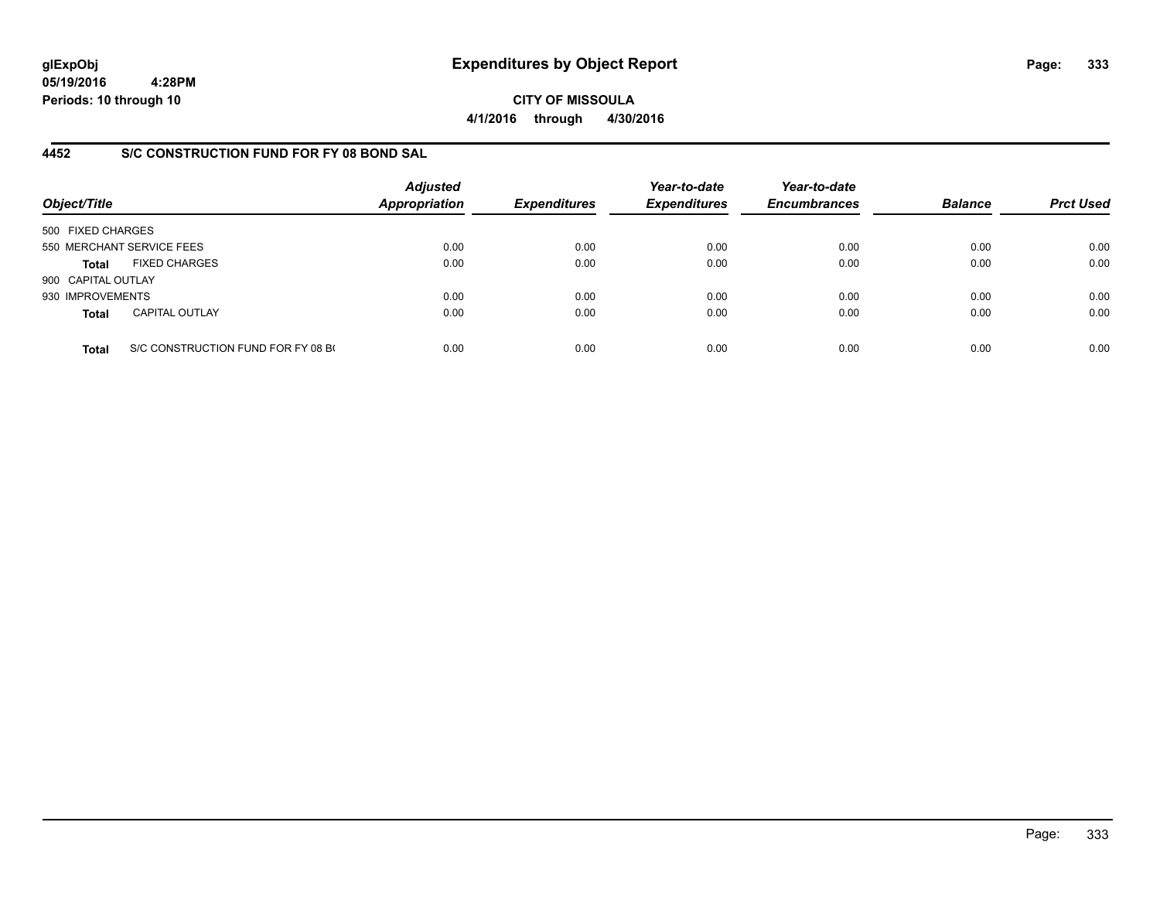# **CITY OF MISSOULA 4/1/2016 through 4/30/2016**

# **4452 S/C CONSTRUCTION FUND FOR FY 08 BOND SAL**

| Object/Title       |                                    | <b>Adjusted</b><br><b>Appropriation</b> | <b>Expenditures</b> | Year-to-date<br><b>Expenditures</b> | Year-to-date<br><b>Encumbrances</b> | <b>Balance</b> | <b>Prct Used</b> |
|--------------------|------------------------------------|-----------------------------------------|---------------------|-------------------------------------|-------------------------------------|----------------|------------------|
| 500 FIXED CHARGES  |                                    |                                         |                     |                                     |                                     |                |                  |
|                    | 550 MERCHANT SERVICE FEES          | 0.00                                    | 0.00                | 0.00                                | 0.00                                | 0.00           | 0.00             |
| <b>Total</b>       | <b>FIXED CHARGES</b>               | 0.00                                    | 0.00                | 0.00                                | 0.00                                | 0.00           | 0.00             |
| 900 CAPITAL OUTLAY |                                    |                                         |                     |                                     |                                     |                |                  |
| 930 IMPROVEMENTS   |                                    | 0.00                                    | 0.00                | 0.00                                | 0.00                                | 0.00           | 0.00             |
| <b>Total</b>       | <b>CAPITAL OUTLAY</b>              | 0.00                                    | 0.00                | 0.00                                | 0.00                                | 0.00           | 0.00             |
| <b>Total</b>       | S/C CONSTRUCTION FUND FOR FY 08 BO | 0.00                                    | 0.00                | 0.00                                | 0.00                                | 0.00           | 0.00             |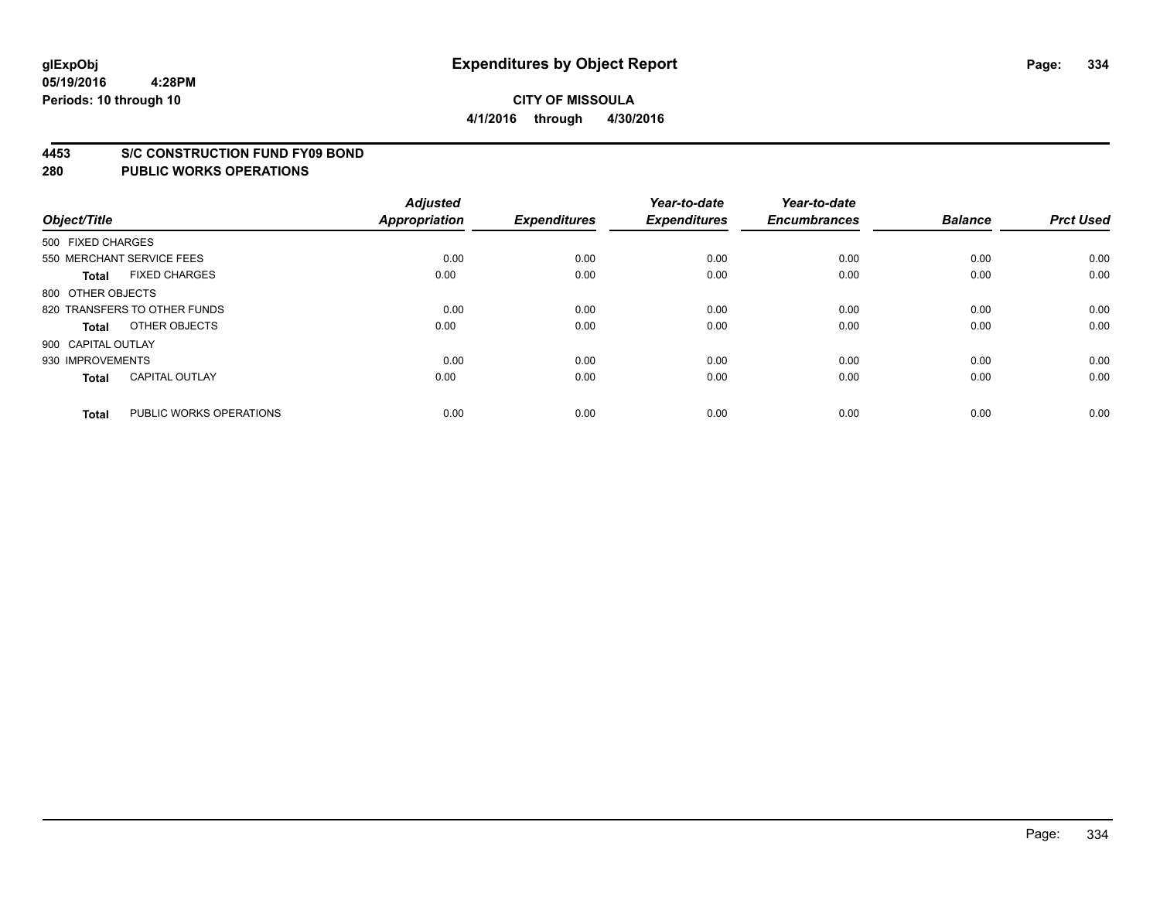#### **4453 S/C CONSTRUCTION FUND FY09 BOND**

| Object/Title       |                              | <b>Adjusted</b><br><b>Appropriation</b> | <b>Expenditures</b> | Year-to-date<br><b>Expenditures</b> | Year-to-date<br><b>Encumbrances</b> | <b>Balance</b> | <b>Prct Used</b> |
|--------------------|------------------------------|-----------------------------------------|---------------------|-------------------------------------|-------------------------------------|----------------|------------------|
| 500 FIXED CHARGES  |                              |                                         |                     |                                     |                                     |                |                  |
|                    | 550 MERCHANT SERVICE FEES    | 0.00                                    | 0.00                | 0.00                                | 0.00                                | 0.00           | 0.00             |
| <b>Total</b>       | <b>FIXED CHARGES</b>         | 0.00                                    | 0.00                | 0.00                                | 0.00                                | 0.00           | 0.00             |
| 800 OTHER OBJECTS  |                              |                                         |                     |                                     |                                     |                |                  |
|                    | 820 TRANSFERS TO OTHER FUNDS | 0.00                                    | 0.00                | 0.00                                | 0.00                                | 0.00           | 0.00             |
| Total              | OTHER OBJECTS                | 0.00                                    | 0.00                | 0.00                                | 0.00                                | 0.00           | 0.00             |
| 900 CAPITAL OUTLAY |                              |                                         |                     |                                     |                                     |                |                  |
| 930 IMPROVEMENTS   |                              | 0.00                                    | 0.00                | 0.00                                | 0.00                                | 0.00           | 0.00             |
| Total              | <b>CAPITAL OUTLAY</b>        | 0.00                                    | 0.00                | 0.00                                | 0.00                                | 0.00           | 0.00             |
| <b>Total</b>       | PUBLIC WORKS OPERATIONS      | 0.00                                    | 0.00                | 0.00                                | 0.00                                | 0.00           | 0.00             |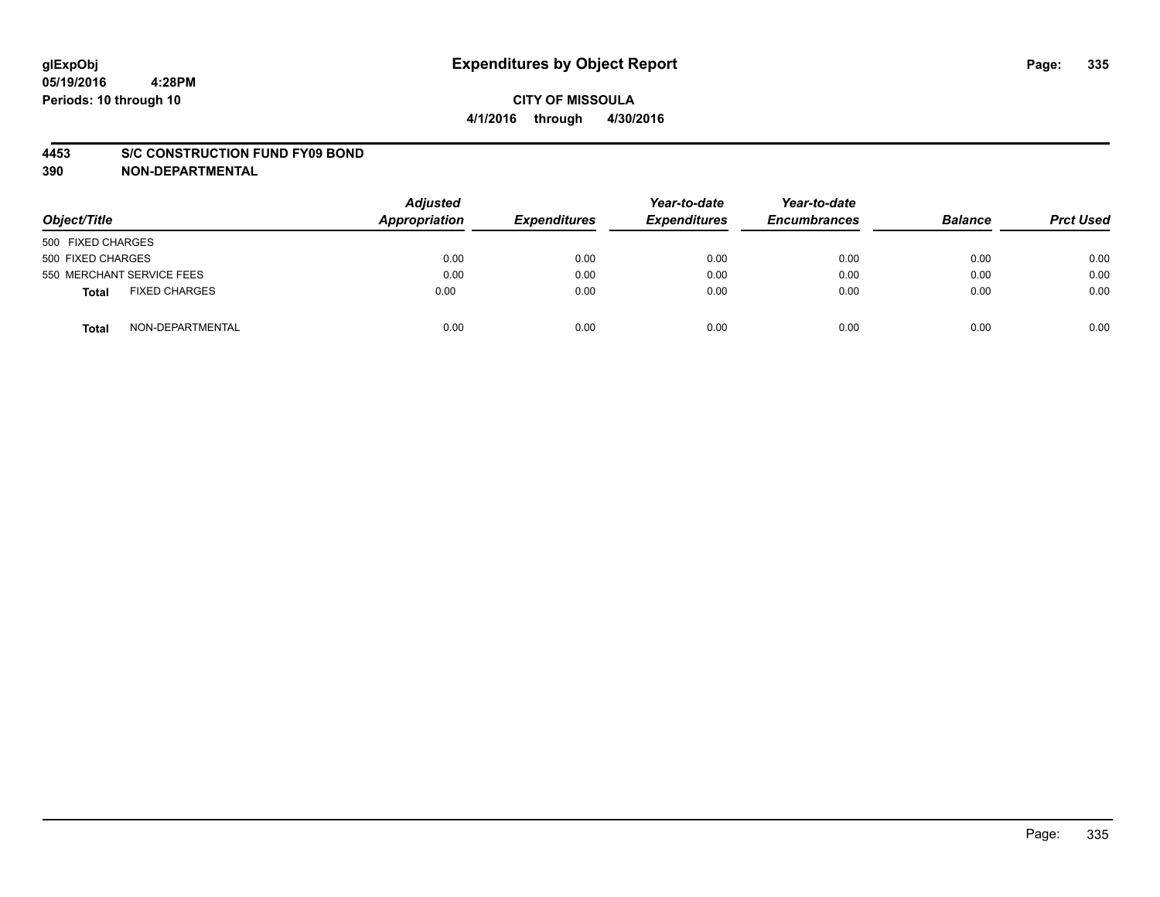#### **4453 S/C CONSTRUCTION FUND FY09 BOND**

**390 NON-DEPARTMENTAL**

| Object/Title                  | <b>Adjusted</b><br>Appropriation | <b>Expenditures</b> | Year-to-date<br><b>Expenditures</b> | Year-to-date<br><b>Encumbrances</b> | <b>Balance</b> | <b>Prct Used</b> |
|-------------------------------|----------------------------------|---------------------|-------------------------------------|-------------------------------------|----------------|------------------|
| 500 FIXED CHARGES             |                                  |                     |                                     |                                     |                |                  |
| 500 FIXED CHARGES             | 0.00                             | 0.00                | 0.00                                | 0.00                                | 0.00           | 0.00             |
| 550 MERCHANT SERVICE FEES     | 0.00                             | 0.00                | 0.00                                | 0.00                                | 0.00           | 0.00             |
| <b>FIXED CHARGES</b><br>Total | 0.00                             | 0.00                | 0.00                                | 0.00                                | 0.00           | 0.00             |
| NON-DEPARTMENTAL<br>Total     | 0.00                             | 0.00                | 0.00                                | 0.00                                | 0.00           | 0.00             |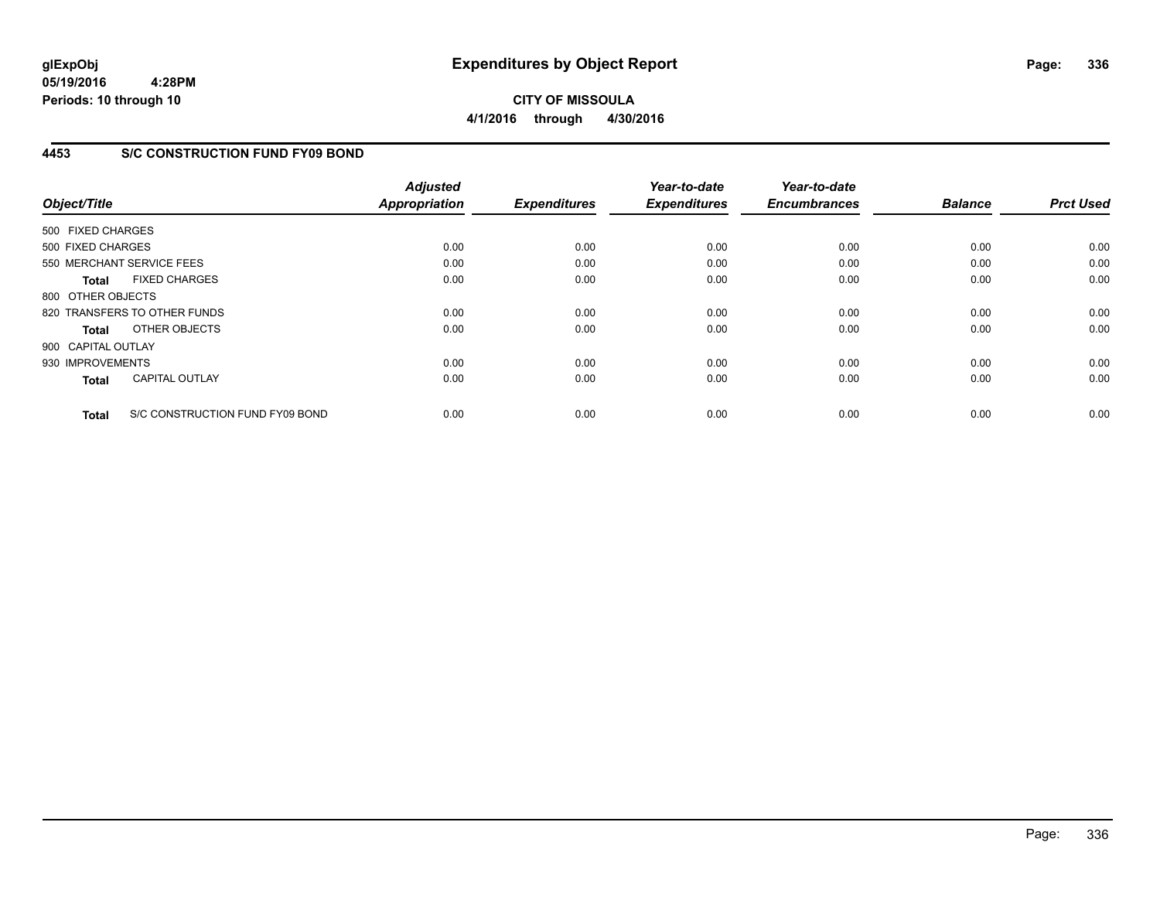# **CITY OF MISSOULA 4/1/2016 through 4/30/2016**

# **4453 S/C CONSTRUCTION FUND FY09 BOND**

| Object/Title       |                                 | <b>Adjusted</b><br><b>Appropriation</b> | <b>Expenditures</b> | Year-to-date<br><b>Expenditures</b> | Year-to-date<br><b>Encumbrances</b> | <b>Balance</b> | <b>Prct Used</b> |
|--------------------|---------------------------------|-----------------------------------------|---------------------|-------------------------------------|-------------------------------------|----------------|------------------|
| 500 FIXED CHARGES  |                                 |                                         |                     |                                     |                                     |                |                  |
| 500 FIXED CHARGES  |                                 | 0.00                                    | 0.00                | 0.00                                | 0.00                                | 0.00           | 0.00             |
|                    | 550 MERCHANT SERVICE FEES       | 0.00                                    | 0.00                | 0.00                                | 0.00                                | 0.00           | 0.00             |
| <b>Total</b>       | <b>FIXED CHARGES</b>            | 0.00                                    | 0.00                | 0.00                                | 0.00                                | 0.00           | 0.00             |
| 800 OTHER OBJECTS  |                                 |                                         |                     |                                     |                                     |                |                  |
|                    | 820 TRANSFERS TO OTHER FUNDS    | 0.00                                    | 0.00                | 0.00                                | 0.00                                | 0.00           | 0.00             |
| Total              | OTHER OBJECTS                   | 0.00                                    | 0.00                | 0.00                                | 0.00                                | 0.00           | 0.00             |
| 900 CAPITAL OUTLAY |                                 |                                         |                     |                                     |                                     |                |                  |
| 930 IMPROVEMENTS   |                                 | 0.00                                    | 0.00                | 0.00                                | 0.00                                | 0.00           | 0.00             |
| <b>Total</b>       | <b>CAPITAL OUTLAY</b>           | 0.00                                    | 0.00                | 0.00                                | 0.00                                | 0.00           | 0.00             |
| <b>Total</b>       | S/C CONSTRUCTION FUND FY09 BOND | 0.00                                    | 0.00                | 0.00                                | 0.00                                | 0.00           | 0.00             |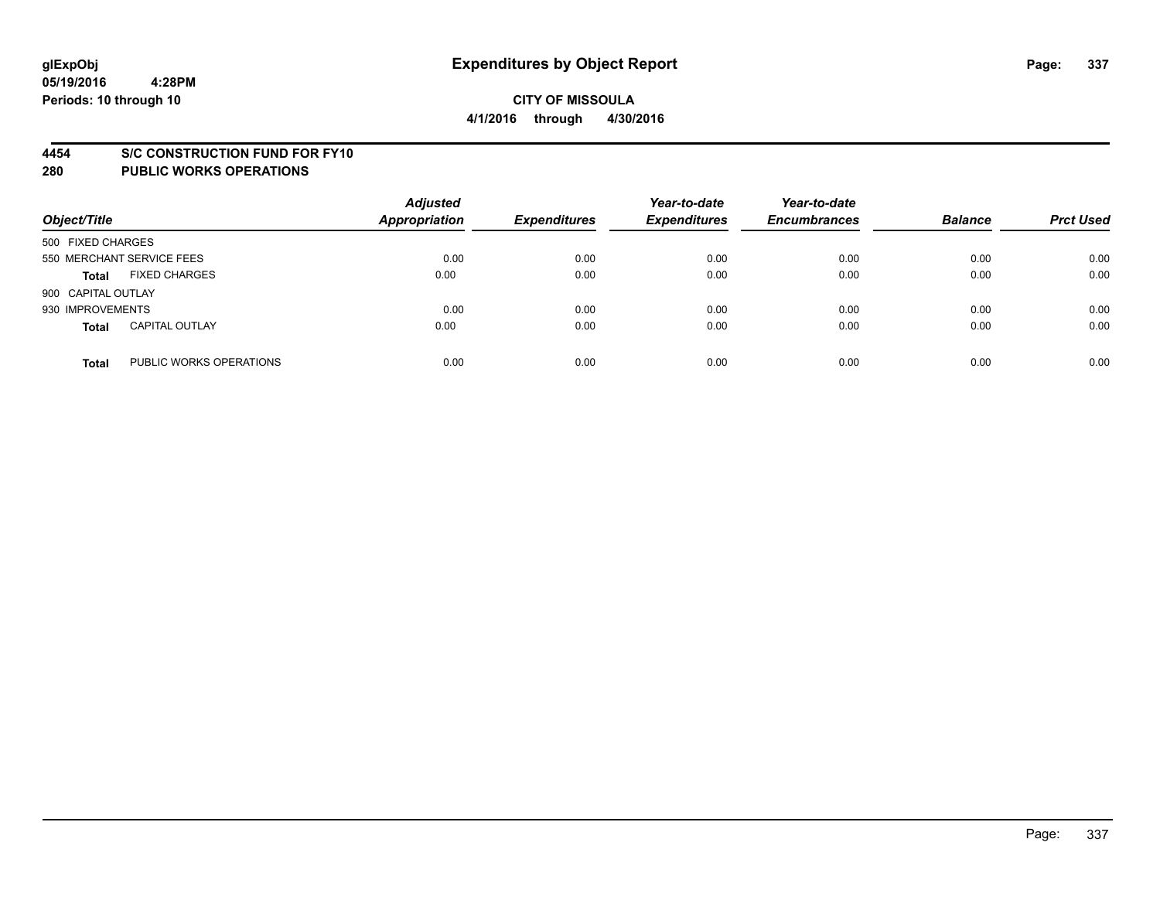#### **4454 S/C CONSTRUCTION FUND FOR FY10**

| Object/Title       |                           | <b>Adjusted</b><br><b>Appropriation</b> | <b>Expenditures</b> | Year-to-date<br><b>Expenditures</b> | Year-to-date<br><b>Encumbrances</b> | <b>Balance</b> | <b>Prct Used</b> |
|--------------------|---------------------------|-----------------------------------------|---------------------|-------------------------------------|-------------------------------------|----------------|------------------|
| 500 FIXED CHARGES  |                           |                                         |                     |                                     |                                     |                |                  |
|                    | 550 MERCHANT SERVICE FEES | 0.00                                    | 0.00                | 0.00                                | 0.00                                | 0.00           | 0.00             |
| <b>Total</b>       | <b>FIXED CHARGES</b>      | 0.00                                    | 0.00                | 0.00                                | 0.00                                | 0.00           | 0.00             |
| 900 CAPITAL OUTLAY |                           |                                         |                     |                                     |                                     |                |                  |
| 930 IMPROVEMENTS   |                           | 0.00                                    | 0.00                | 0.00                                | 0.00                                | 0.00           | 0.00             |
| <b>Total</b>       | <b>CAPITAL OUTLAY</b>     | 0.00                                    | 0.00                | 0.00                                | 0.00                                | 0.00           | 0.00             |
| <b>Total</b>       | PUBLIC WORKS OPERATIONS   | 0.00                                    | 0.00                | 0.00                                | 0.00                                | 0.00           | 0.00             |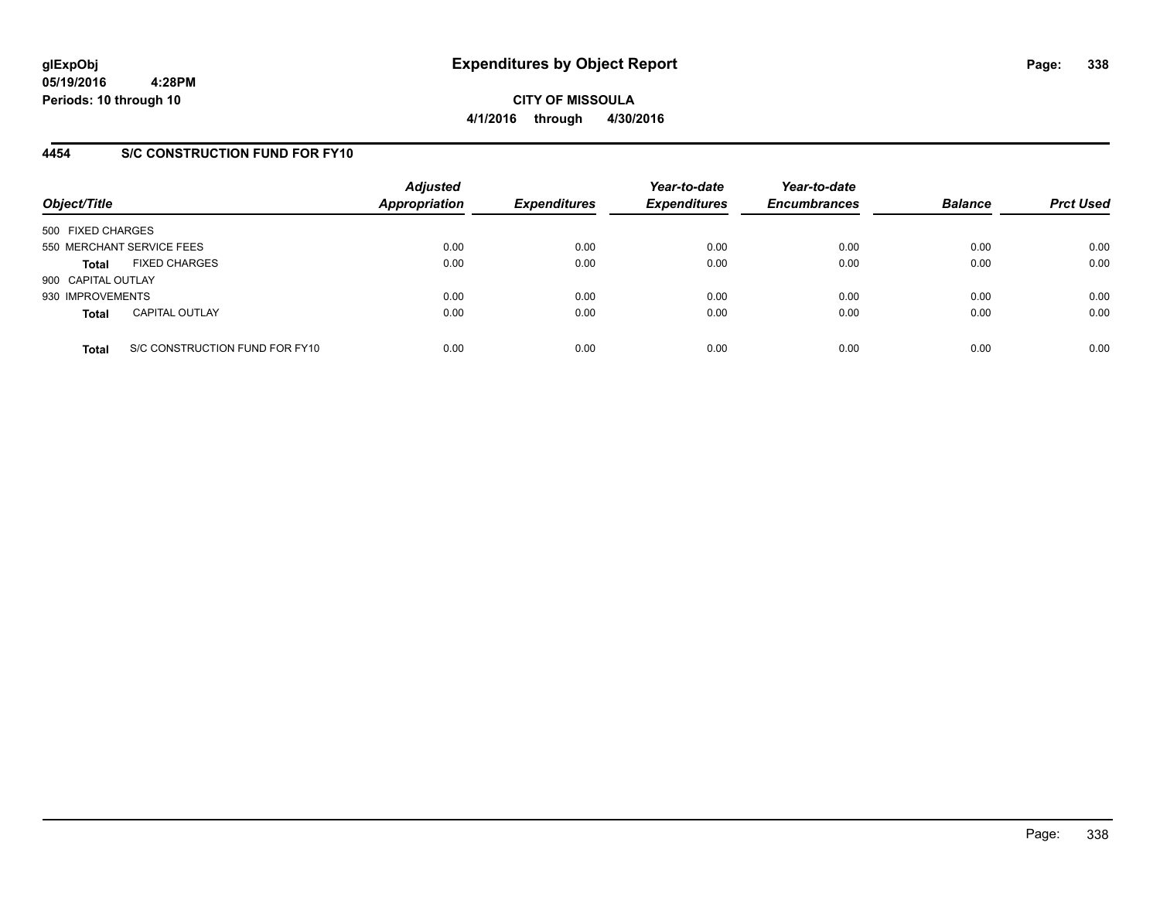# **CITY OF MISSOULA 4/1/2016 through 4/30/2016**

# **4454 S/C CONSTRUCTION FUND FOR FY10**

| Object/Title       |                                | <b>Adjusted</b><br><b>Appropriation</b> | <b>Expenditures</b> | Year-to-date<br><b>Expenditures</b> | Year-to-date<br><b>Encumbrances</b> | <b>Balance</b> | <b>Prct Used</b> |
|--------------------|--------------------------------|-----------------------------------------|---------------------|-------------------------------------|-------------------------------------|----------------|------------------|
| 500 FIXED CHARGES  |                                |                                         |                     |                                     |                                     |                |                  |
|                    | 550 MERCHANT SERVICE FEES      | 0.00                                    | 0.00                | 0.00                                | 0.00                                | 0.00           | 0.00             |
| <b>Total</b>       | <b>FIXED CHARGES</b>           | 0.00                                    | 0.00                | 0.00                                | 0.00                                | 0.00           | 0.00             |
| 900 CAPITAL OUTLAY |                                |                                         |                     |                                     |                                     |                |                  |
| 930 IMPROVEMENTS   |                                | 0.00                                    | 0.00                | 0.00                                | 0.00                                | 0.00           | 0.00             |
| <b>Total</b>       | <b>CAPITAL OUTLAY</b>          | 0.00                                    | 0.00                | 0.00                                | 0.00                                | 0.00           | 0.00             |
| <b>Total</b>       | S/C CONSTRUCTION FUND FOR FY10 | 0.00                                    | 0.00                | 0.00                                | 0.00                                | 0.00           | 0.00             |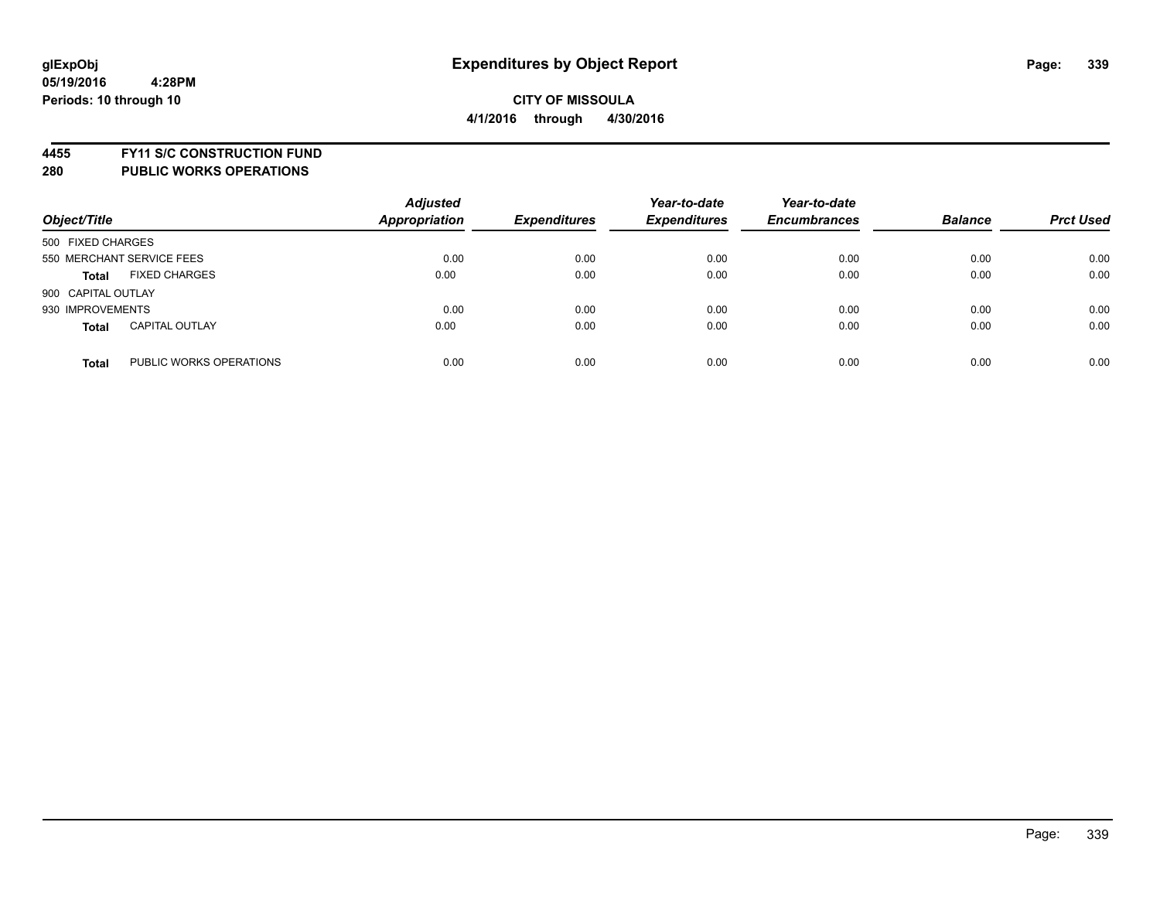**4455 FY11 S/C CONSTRUCTION FUND**

| Object/Title                            | <b>Adjusted</b><br><b>Appropriation</b> | <b>Expenditures</b> | Year-to-date<br><b>Expenditures</b> | Year-to-date<br><b>Encumbrances</b> | <b>Balance</b> | <b>Prct Used</b> |
|-----------------------------------------|-----------------------------------------|---------------------|-------------------------------------|-------------------------------------|----------------|------------------|
| 500 FIXED CHARGES                       |                                         |                     |                                     |                                     |                |                  |
| 550 MERCHANT SERVICE FEES               | 0.00                                    | 0.00                | 0.00                                | 0.00                                | 0.00           | 0.00             |
| <b>FIXED CHARGES</b><br><b>Total</b>    | 0.00                                    | 0.00                | 0.00                                | 0.00                                | 0.00           | 0.00             |
| 900 CAPITAL OUTLAY                      |                                         |                     |                                     |                                     |                |                  |
| 930 IMPROVEMENTS                        | 0.00                                    | 0.00                | 0.00                                | 0.00                                | 0.00           | 0.00             |
| <b>CAPITAL OUTLAY</b><br><b>Total</b>   | 0.00                                    | 0.00                | 0.00                                | 0.00                                | 0.00           | 0.00             |
| PUBLIC WORKS OPERATIONS<br><b>Total</b> | 0.00                                    | 0.00                | 0.00                                | 0.00                                | 0.00           | 0.00             |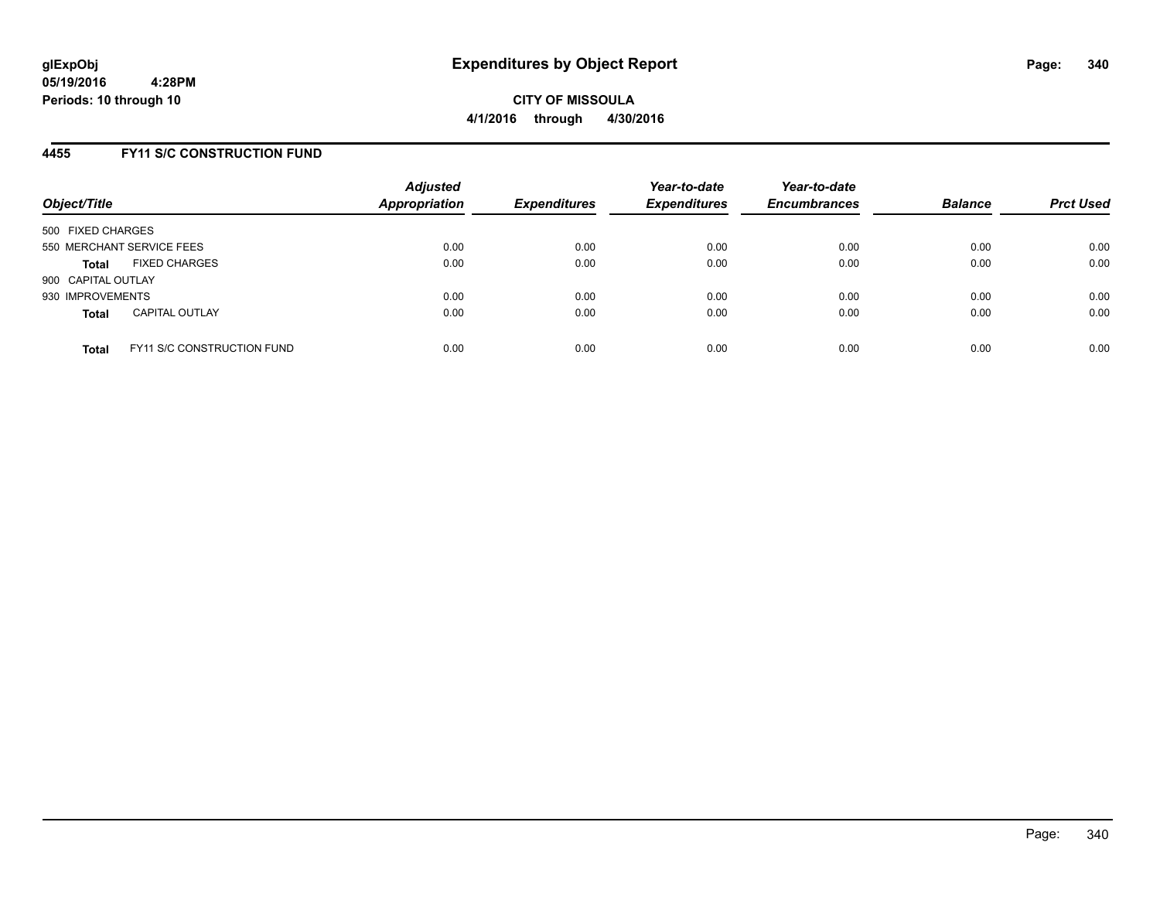## **4455 FY11 S/C CONSTRUCTION FUND**

| Object/Title       |                                   | <b>Adjusted</b><br><b>Appropriation</b> | <b>Expenditures</b> | Year-to-date<br><b>Expenditures</b> | Year-to-date<br><b>Encumbrances</b> | <b>Balance</b> | <b>Prct Used</b> |
|--------------------|-----------------------------------|-----------------------------------------|---------------------|-------------------------------------|-------------------------------------|----------------|------------------|
| 500 FIXED CHARGES  |                                   |                                         |                     |                                     |                                     |                |                  |
|                    | 550 MERCHANT SERVICE FEES         | 0.00                                    | 0.00                | 0.00                                | 0.00                                | 0.00           | 0.00             |
| <b>Total</b>       | <b>FIXED CHARGES</b>              | 0.00                                    | 0.00                | 0.00                                | 0.00                                | 0.00           | 0.00             |
| 900 CAPITAL OUTLAY |                                   |                                         |                     |                                     |                                     |                |                  |
| 930 IMPROVEMENTS   |                                   | 0.00                                    | 0.00                | 0.00                                | 0.00                                | 0.00           | 0.00             |
| <b>Total</b>       | <b>CAPITAL OUTLAY</b>             | 0.00                                    | 0.00                | 0.00                                | 0.00                                | 0.00           | 0.00             |
| <b>Total</b>       | <b>FY11 S/C CONSTRUCTION FUND</b> | 0.00                                    | 0.00                | 0.00                                | 0.00                                | 0.00           | 0.00             |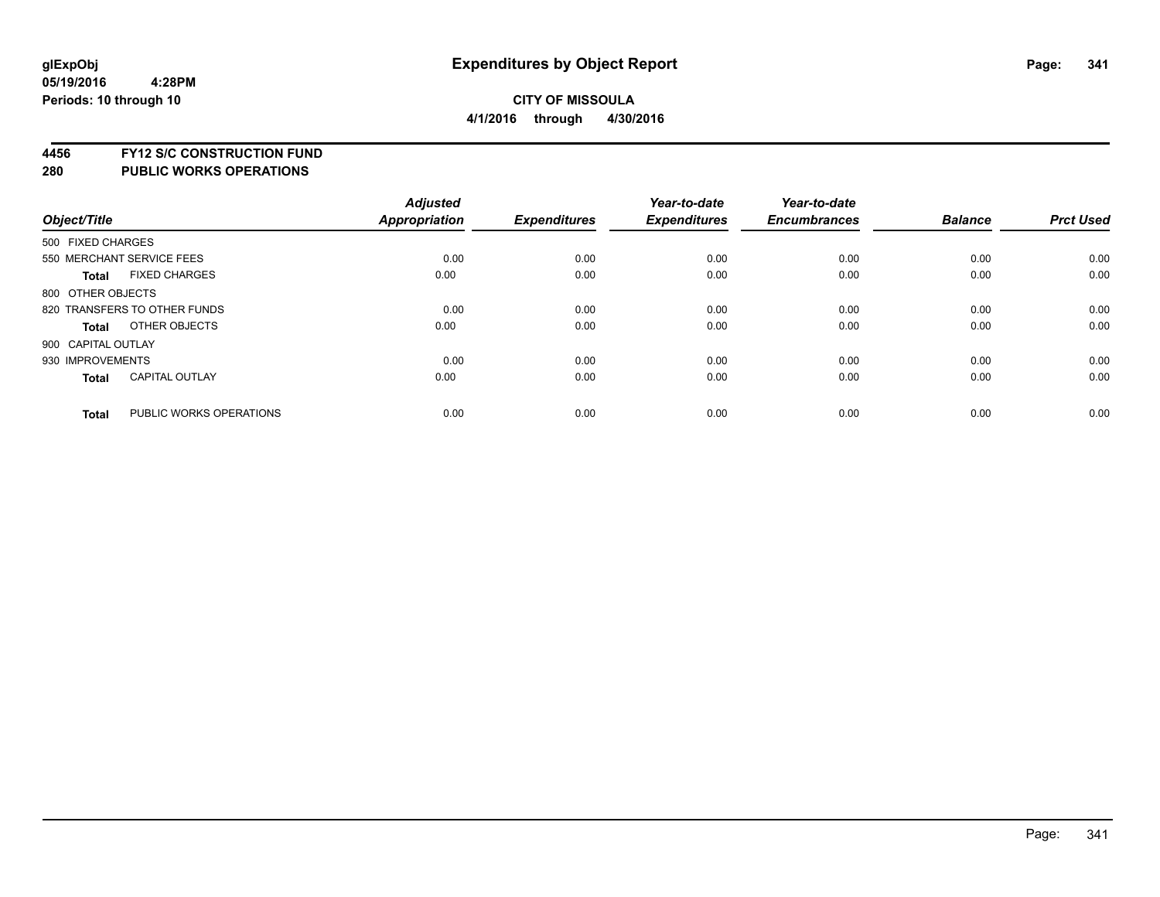# **4456 FY12 S/C CONSTRUCTION FUND**

|                    |                              | <b>Adjusted</b> |                     | Year-to-date        | Year-to-date        |                |                  |
|--------------------|------------------------------|-----------------|---------------------|---------------------|---------------------|----------------|------------------|
| Object/Title       |                              | Appropriation   | <b>Expenditures</b> | <b>Expenditures</b> | <b>Encumbrances</b> | <b>Balance</b> | <b>Prct Used</b> |
| 500 FIXED CHARGES  |                              |                 |                     |                     |                     |                |                  |
|                    | 550 MERCHANT SERVICE FEES    | 0.00            | 0.00                | 0.00                | 0.00                | 0.00           | 0.00             |
| <b>Total</b>       | <b>FIXED CHARGES</b>         | 0.00            | 0.00                | 0.00                | 0.00                | 0.00           | 0.00             |
| 800 OTHER OBJECTS  |                              |                 |                     |                     |                     |                |                  |
|                    | 820 TRANSFERS TO OTHER FUNDS | 0.00            | 0.00                | 0.00                | 0.00                | 0.00           | 0.00             |
| Total              | OTHER OBJECTS                | 0.00            | 0.00                | 0.00                | 0.00                | 0.00           | 0.00             |
| 900 CAPITAL OUTLAY |                              |                 |                     |                     |                     |                |                  |
| 930 IMPROVEMENTS   |                              | 0.00            | 0.00                | 0.00                | 0.00                | 0.00           | 0.00             |
| Total              | <b>CAPITAL OUTLAY</b>        | 0.00            | 0.00                | 0.00                | 0.00                | 0.00           | 0.00             |
| <b>Total</b>       | PUBLIC WORKS OPERATIONS      | 0.00            | 0.00                | 0.00                | 0.00                | 0.00           | 0.00             |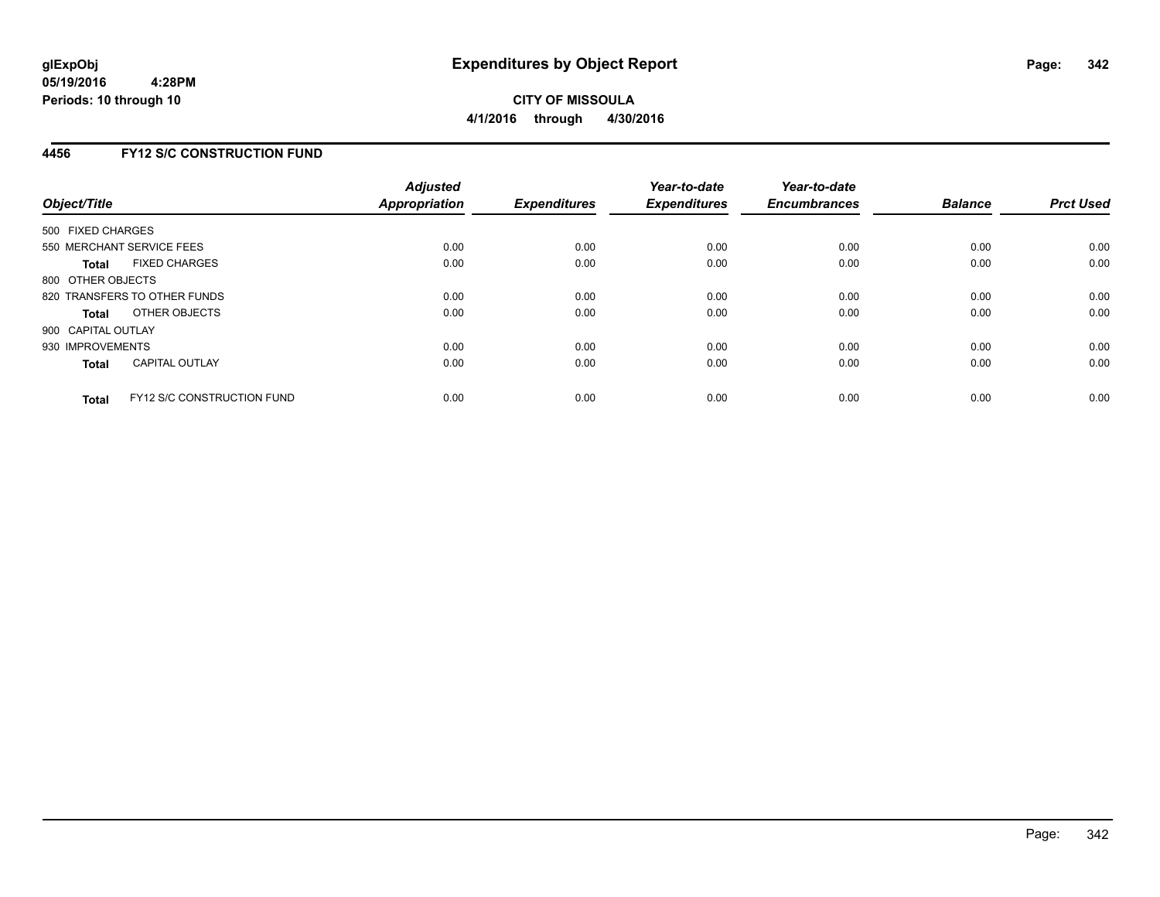## **4456 FY12 S/C CONSTRUCTION FUND**

| Object/Title       |                                   | <b>Adjusted</b><br><b>Appropriation</b> | <b>Expenditures</b> | Year-to-date<br><b>Expenditures</b> | Year-to-date<br><b>Encumbrances</b> | <b>Balance</b> | <b>Prct Used</b> |
|--------------------|-----------------------------------|-----------------------------------------|---------------------|-------------------------------------|-------------------------------------|----------------|------------------|
| 500 FIXED CHARGES  |                                   |                                         |                     |                                     |                                     |                |                  |
|                    | 550 MERCHANT SERVICE FEES         | 0.00                                    | 0.00                | 0.00                                | 0.00                                | 0.00           | 0.00             |
| <b>Total</b>       | <b>FIXED CHARGES</b>              | 0.00                                    | 0.00                | 0.00                                | 0.00                                | 0.00           | 0.00             |
| 800 OTHER OBJECTS  |                                   |                                         |                     |                                     |                                     |                |                  |
|                    | 820 TRANSFERS TO OTHER FUNDS      | 0.00                                    | 0.00                | 0.00                                | 0.00                                | 0.00           | 0.00             |
| <b>Total</b>       | OTHER OBJECTS                     | 0.00                                    | 0.00                | 0.00                                | 0.00                                | 0.00           | 0.00             |
| 900 CAPITAL OUTLAY |                                   |                                         |                     |                                     |                                     |                |                  |
| 930 IMPROVEMENTS   |                                   | 0.00                                    | 0.00                | 0.00                                | 0.00                                | 0.00           | 0.00             |
| Total              | <b>CAPITAL OUTLAY</b>             | 0.00                                    | 0.00                | 0.00                                | 0.00                                | 0.00           | 0.00             |
| <b>Total</b>       | <b>FY12 S/C CONSTRUCTION FUND</b> | 0.00                                    | 0.00                | 0.00                                | 0.00                                | 0.00           | 0.00             |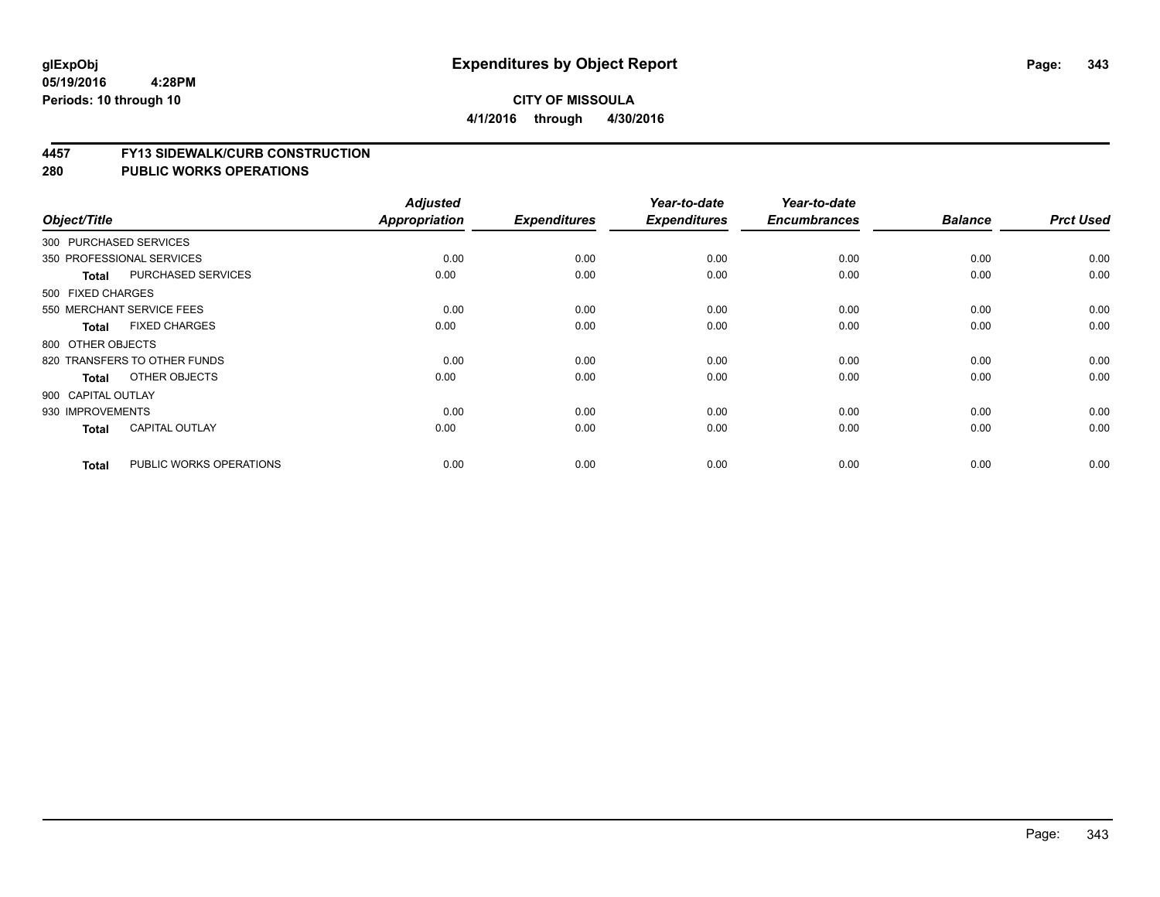#### **4457 FY13 SIDEWALK/CURB CONSTRUCTION**

| Object/Title       |                              | <b>Adjusted</b><br>Appropriation | <b>Expenditures</b> | Year-to-date<br><b>Expenditures</b> | Year-to-date<br><b>Encumbrances</b> | <b>Balance</b> | <b>Prct Used</b> |
|--------------------|------------------------------|----------------------------------|---------------------|-------------------------------------|-------------------------------------|----------------|------------------|
|                    |                              |                                  |                     |                                     |                                     |                |                  |
|                    | 300 PURCHASED SERVICES       |                                  |                     |                                     |                                     |                |                  |
|                    | 350 PROFESSIONAL SERVICES    | 0.00                             | 0.00                | 0.00                                | 0.00                                | 0.00           | 0.00             |
| <b>Total</b>       | PURCHASED SERVICES           | 0.00                             | 0.00                | 0.00                                | 0.00                                | 0.00           | 0.00             |
| 500 FIXED CHARGES  |                              |                                  |                     |                                     |                                     |                |                  |
|                    | 550 MERCHANT SERVICE FEES    | 0.00                             | 0.00                | 0.00                                | 0.00                                | 0.00           | 0.00             |
| <b>Total</b>       | <b>FIXED CHARGES</b>         | 0.00                             | 0.00                | 0.00                                | 0.00                                | 0.00           | 0.00             |
| 800 OTHER OBJECTS  |                              |                                  |                     |                                     |                                     |                |                  |
|                    | 820 TRANSFERS TO OTHER FUNDS | 0.00                             | 0.00                | 0.00                                | 0.00                                | 0.00           | 0.00             |
| Total              | OTHER OBJECTS                | 0.00                             | 0.00                | 0.00                                | 0.00                                | 0.00           | 0.00             |
| 900 CAPITAL OUTLAY |                              |                                  |                     |                                     |                                     |                |                  |
| 930 IMPROVEMENTS   |                              | 0.00                             | 0.00                | 0.00                                | 0.00                                | 0.00           | 0.00             |
| <b>Total</b>       | <b>CAPITAL OUTLAY</b>        | 0.00                             | 0.00                | 0.00                                | 0.00                                | 0.00           | 0.00             |
| <b>Total</b>       | PUBLIC WORKS OPERATIONS      | 0.00                             | 0.00                | 0.00                                | 0.00                                | 0.00           | 0.00             |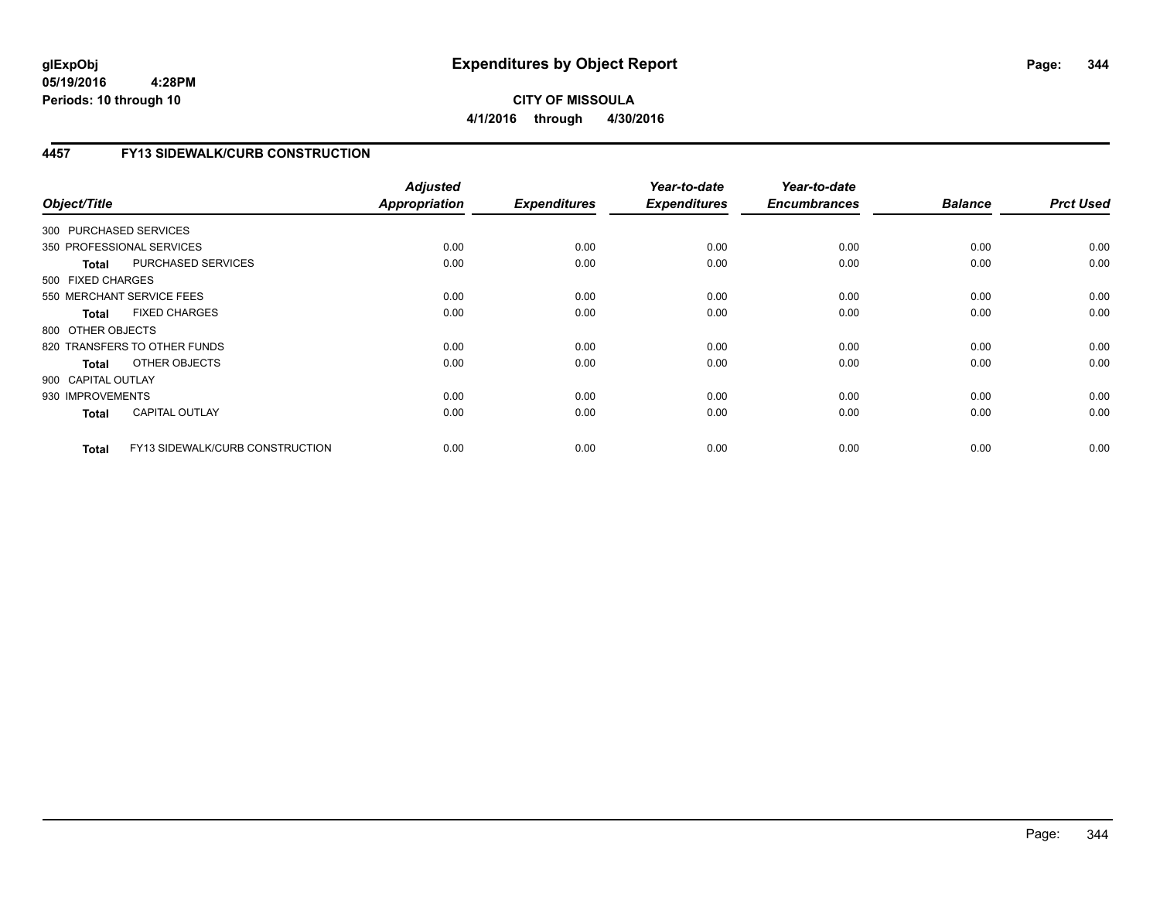# **CITY OF MISSOULA 4/1/2016 through 4/30/2016**

# **4457 FY13 SIDEWALK/CURB CONSTRUCTION**

| Object/Title              |                                 | <b>Adjusted</b><br><b>Appropriation</b> | <b>Expenditures</b> | Year-to-date<br><b>Expenditures</b> | Year-to-date<br><b>Encumbrances</b> | <b>Balance</b> | <b>Prct Used</b> |
|---------------------------|---------------------------------|-----------------------------------------|---------------------|-------------------------------------|-------------------------------------|----------------|------------------|
| 300 PURCHASED SERVICES    |                                 |                                         |                     |                                     |                                     |                |                  |
| 350 PROFESSIONAL SERVICES |                                 | 0.00                                    | 0.00                | 0.00                                | 0.00                                | 0.00           | 0.00             |
| <b>Total</b>              | PURCHASED SERVICES              | 0.00                                    | 0.00                | 0.00                                | 0.00                                | 0.00           | 0.00             |
| 500 FIXED CHARGES         |                                 |                                         |                     |                                     |                                     |                |                  |
| 550 MERCHANT SERVICE FEES |                                 | 0.00                                    | 0.00                | 0.00                                | 0.00                                | 0.00           | 0.00             |
| <b>Total</b>              | <b>FIXED CHARGES</b>            | 0.00                                    | 0.00                | 0.00                                | 0.00                                | 0.00           | 0.00             |
| 800 OTHER OBJECTS         |                                 |                                         |                     |                                     |                                     |                |                  |
|                           | 820 TRANSFERS TO OTHER FUNDS    | 0.00                                    | 0.00                | 0.00                                | 0.00                                | 0.00           | 0.00             |
| Total                     | OTHER OBJECTS                   | 0.00                                    | 0.00                | 0.00                                | 0.00                                | 0.00           | 0.00             |
| 900 CAPITAL OUTLAY        |                                 |                                         |                     |                                     |                                     |                |                  |
| 930 IMPROVEMENTS          |                                 | 0.00                                    | 0.00                | 0.00                                | 0.00                                | 0.00           | 0.00             |
| <b>Total</b>              | <b>CAPITAL OUTLAY</b>           | 0.00                                    | 0.00                | 0.00                                | 0.00                                | 0.00           | 0.00             |
| <b>Total</b>              | FY13 SIDEWALK/CURB CONSTRUCTION | 0.00                                    | 0.00                | 0.00                                | 0.00                                | 0.00           | 0.00             |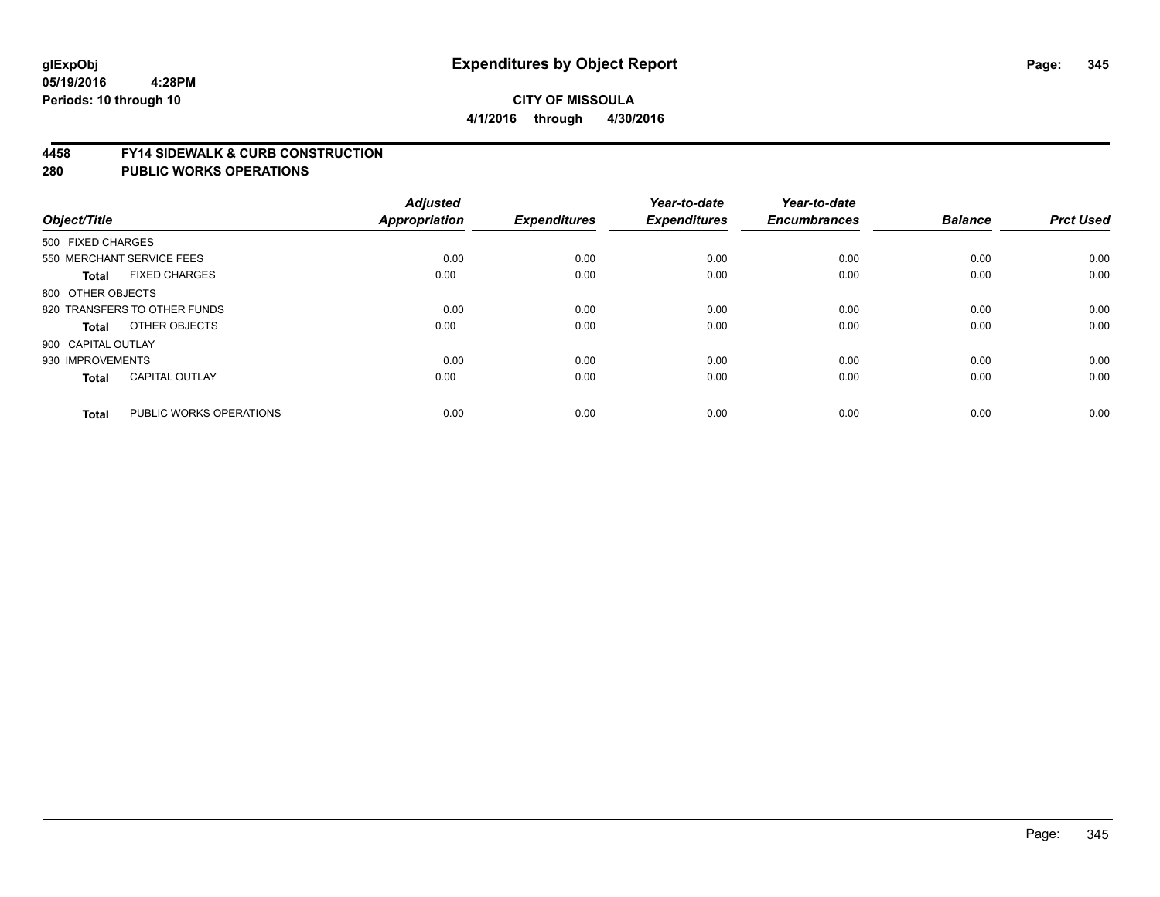#### **4458 FY14 SIDEWALK & CURB CONSTRUCTION**

| Object/Title       |                              | <b>Adjusted</b><br><b>Appropriation</b> | <b>Expenditures</b> | Year-to-date<br><b>Expenditures</b> | Year-to-date<br><b>Encumbrances</b> | <b>Balance</b> | <b>Prct Used</b> |
|--------------------|------------------------------|-----------------------------------------|---------------------|-------------------------------------|-------------------------------------|----------------|------------------|
| 500 FIXED CHARGES  |                              |                                         |                     |                                     |                                     |                |                  |
|                    | 550 MERCHANT SERVICE FEES    | 0.00                                    | 0.00                | 0.00                                | 0.00                                | 0.00           | 0.00             |
| <b>Total</b>       | <b>FIXED CHARGES</b>         | 0.00                                    | 0.00                | 0.00                                | 0.00                                | 0.00           | 0.00             |
| 800 OTHER OBJECTS  |                              |                                         |                     |                                     |                                     |                |                  |
|                    | 820 TRANSFERS TO OTHER FUNDS | 0.00                                    | 0.00                | 0.00                                | 0.00                                | 0.00           | 0.00             |
| Total              | OTHER OBJECTS                | 0.00                                    | 0.00                | 0.00                                | 0.00                                | 0.00           | 0.00             |
| 900 CAPITAL OUTLAY |                              |                                         |                     |                                     |                                     |                |                  |
| 930 IMPROVEMENTS   |                              | 0.00                                    | 0.00                | 0.00                                | 0.00                                | 0.00           | 0.00             |
| <b>Total</b>       | <b>CAPITAL OUTLAY</b>        | 0.00                                    | 0.00                | 0.00                                | 0.00                                | 0.00           | 0.00             |
| <b>Total</b>       | PUBLIC WORKS OPERATIONS      | 0.00                                    | 0.00                | 0.00                                | 0.00                                | 0.00           | 0.00             |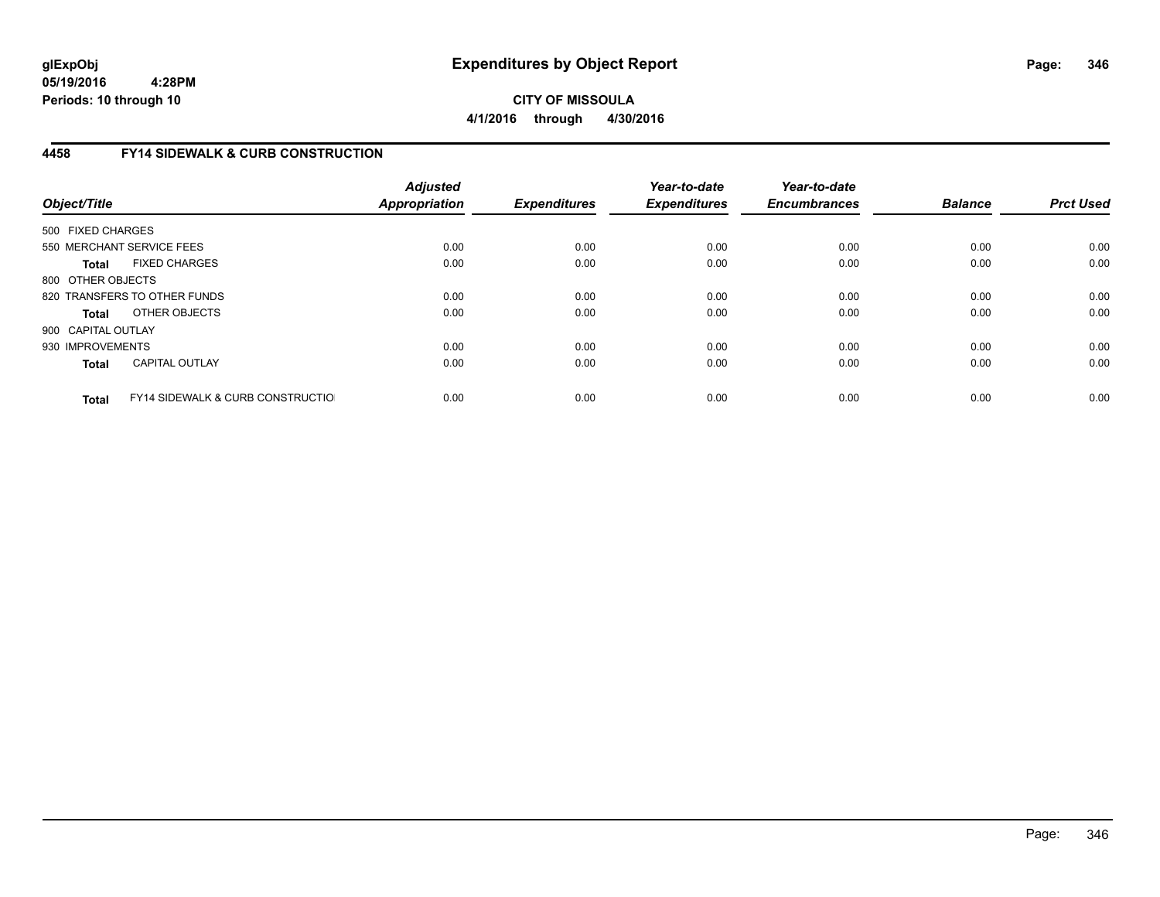# **CITY OF MISSOULA 4/1/2016 through 4/30/2016**

# **4458 FY14 SIDEWALK & CURB CONSTRUCTION**

| Object/Title       |                                              | <b>Adjusted</b><br>Appropriation | <b>Expenditures</b> | Year-to-date<br><b>Expenditures</b> | Year-to-date<br><b>Encumbrances</b> | <b>Balance</b> | <b>Prct Used</b> |
|--------------------|----------------------------------------------|----------------------------------|---------------------|-------------------------------------|-------------------------------------|----------------|------------------|
| 500 FIXED CHARGES  |                                              |                                  |                     |                                     |                                     |                |                  |
|                    | 550 MERCHANT SERVICE FEES                    | 0.00                             | 0.00                | 0.00                                | 0.00                                | 0.00           | 0.00             |
| <b>Total</b>       | <b>FIXED CHARGES</b>                         | 0.00                             | 0.00                | 0.00                                | 0.00                                | 0.00           | 0.00             |
| 800 OTHER OBJECTS  |                                              |                                  |                     |                                     |                                     |                |                  |
|                    | 820 TRANSFERS TO OTHER FUNDS                 | 0.00                             | 0.00                | 0.00                                | 0.00                                | 0.00           | 0.00             |
| <b>Total</b>       | OTHER OBJECTS                                | 0.00                             | 0.00                | 0.00                                | 0.00                                | 0.00           | 0.00             |
| 900 CAPITAL OUTLAY |                                              |                                  |                     |                                     |                                     |                |                  |
| 930 IMPROVEMENTS   |                                              | 0.00                             | 0.00                | 0.00                                | 0.00                                | 0.00           | 0.00             |
| Total              | <b>CAPITAL OUTLAY</b>                        | 0.00                             | 0.00                | 0.00                                | 0.00                                | 0.00           | 0.00             |
| <b>Total</b>       | <b>FY14 SIDEWALK &amp; CURB CONSTRUCTIOL</b> | 0.00                             | 0.00                | 0.00                                | 0.00                                | 0.00           | 0.00             |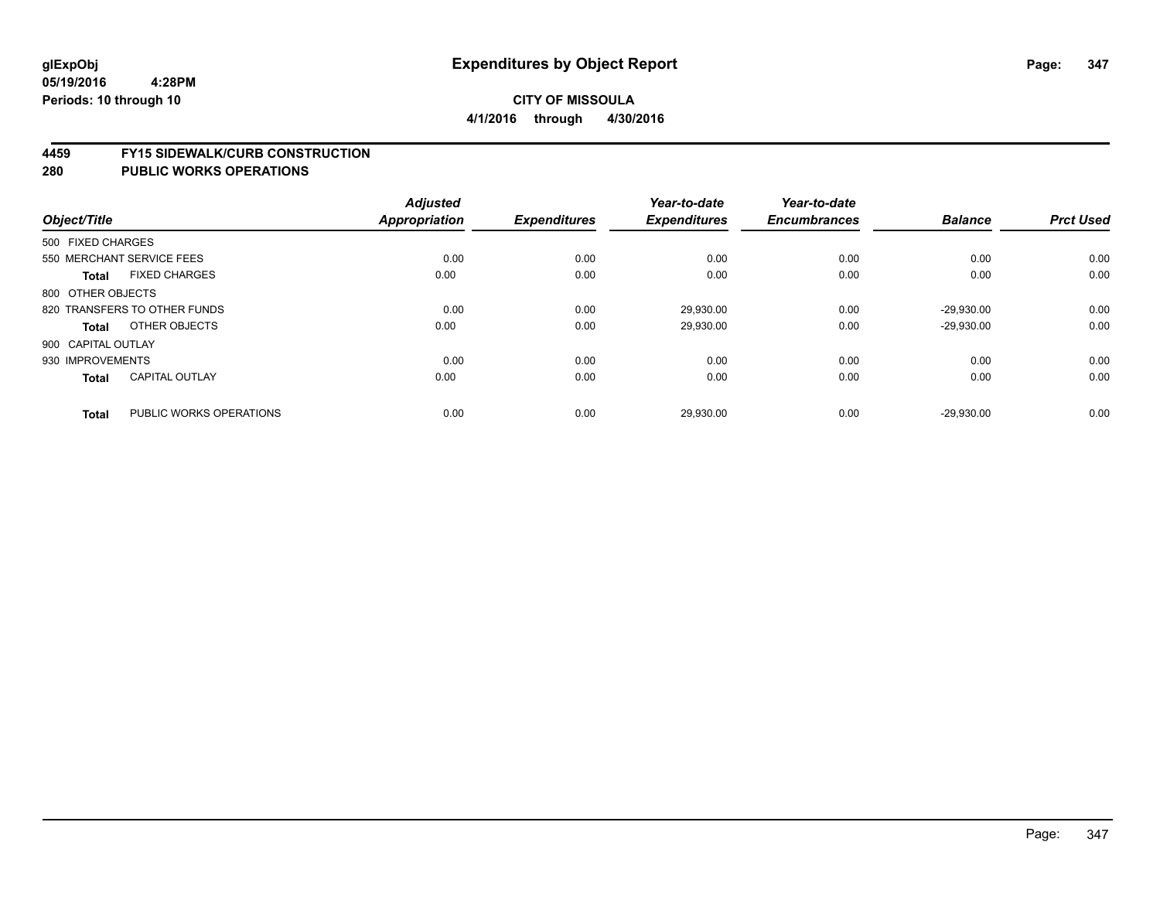#### **4459 FY15 SIDEWALK/CURB CONSTRUCTION**

| Object/Title       |                              | <b>Adjusted</b><br><b>Appropriation</b> | <b>Expenditures</b> | Year-to-date<br><b>Expenditures</b> | Year-to-date<br><b>Encumbrances</b> | <b>Balance</b> | <b>Prct Used</b> |
|--------------------|------------------------------|-----------------------------------------|---------------------|-------------------------------------|-------------------------------------|----------------|------------------|
| 500 FIXED CHARGES  |                              |                                         |                     |                                     |                                     |                |                  |
|                    | 550 MERCHANT SERVICE FEES    | 0.00                                    | 0.00                | 0.00                                | 0.00                                | 0.00           | 0.00             |
| <b>Total</b>       | <b>FIXED CHARGES</b>         | 0.00                                    | 0.00                | 0.00                                | 0.00                                | 0.00           | 0.00             |
| 800 OTHER OBJECTS  |                              |                                         |                     |                                     |                                     |                |                  |
|                    | 820 TRANSFERS TO OTHER FUNDS | 0.00                                    | 0.00                | 29,930.00                           | 0.00                                | $-29,930.00$   | 0.00             |
| Total              | OTHER OBJECTS                | 0.00                                    | 0.00                | 29,930.00                           | 0.00                                | $-29,930.00$   | 0.00             |
| 900 CAPITAL OUTLAY |                              |                                         |                     |                                     |                                     |                |                  |
| 930 IMPROVEMENTS   |                              | 0.00                                    | 0.00                | 0.00                                | 0.00                                | 0.00           | 0.00             |
| Total              | <b>CAPITAL OUTLAY</b>        | 0.00                                    | 0.00                | 0.00                                | 0.00                                | 0.00           | 0.00             |
| <b>Total</b>       | PUBLIC WORKS OPERATIONS      | 0.00                                    | 0.00                | 29,930.00                           | 0.00                                | $-29,930.00$   | 0.00             |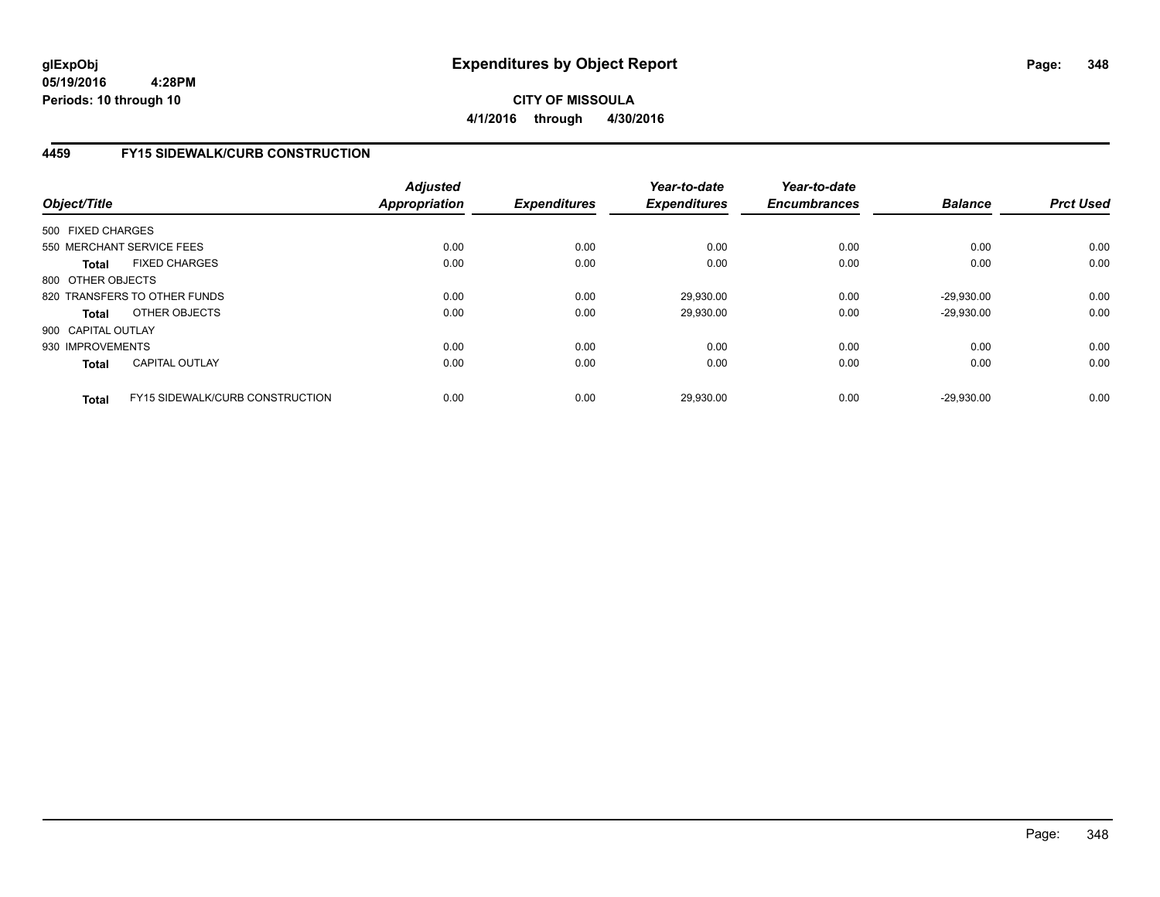# **CITY OF MISSOULA 4/1/2016 through 4/30/2016**

# **4459 FY15 SIDEWALK/CURB CONSTRUCTION**

| Object/Title       |                                        | <b>Adjusted</b><br><b>Appropriation</b> | <b>Expenditures</b> | Year-to-date<br><b>Expenditures</b> | Year-to-date<br><b>Encumbrances</b> | <b>Balance</b> | <b>Prct Used</b> |
|--------------------|----------------------------------------|-----------------------------------------|---------------------|-------------------------------------|-------------------------------------|----------------|------------------|
| 500 FIXED CHARGES  |                                        |                                         |                     |                                     |                                     |                |                  |
|                    | 550 MERCHANT SERVICE FEES              | 0.00                                    | 0.00                | 0.00                                | 0.00                                | 0.00           | 0.00             |
| <b>Total</b>       | <b>FIXED CHARGES</b>                   | 0.00                                    | 0.00                | 0.00                                | 0.00                                | 0.00           | 0.00             |
| 800 OTHER OBJECTS  |                                        |                                         |                     |                                     |                                     |                |                  |
|                    | 820 TRANSFERS TO OTHER FUNDS           | 0.00                                    | 0.00                | 29,930.00                           | 0.00                                | $-29,930.00$   | 0.00             |
| Total              | OTHER OBJECTS                          | 0.00                                    | 0.00                | 29,930.00                           | 0.00                                | $-29,930.00$   | 0.00             |
| 900 CAPITAL OUTLAY |                                        |                                         |                     |                                     |                                     |                |                  |
| 930 IMPROVEMENTS   |                                        | 0.00                                    | 0.00                | 0.00                                | 0.00                                | 0.00           | 0.00             |
| <b>Total</b>       | <b>CAPITAL OUTLAY</b>                  | 0.00                                    | 0.00                | 0.00                                | 0.00                                | 0.00           | 0.00             |
| <b>Total</b>       | <b>FY15 SIDEWALK/CURB CONSTRUCTION</b> | 0.00                                    | 0.00                | 29.930.00                           | 0.00                                | $-29.930.00$   | 0.00             |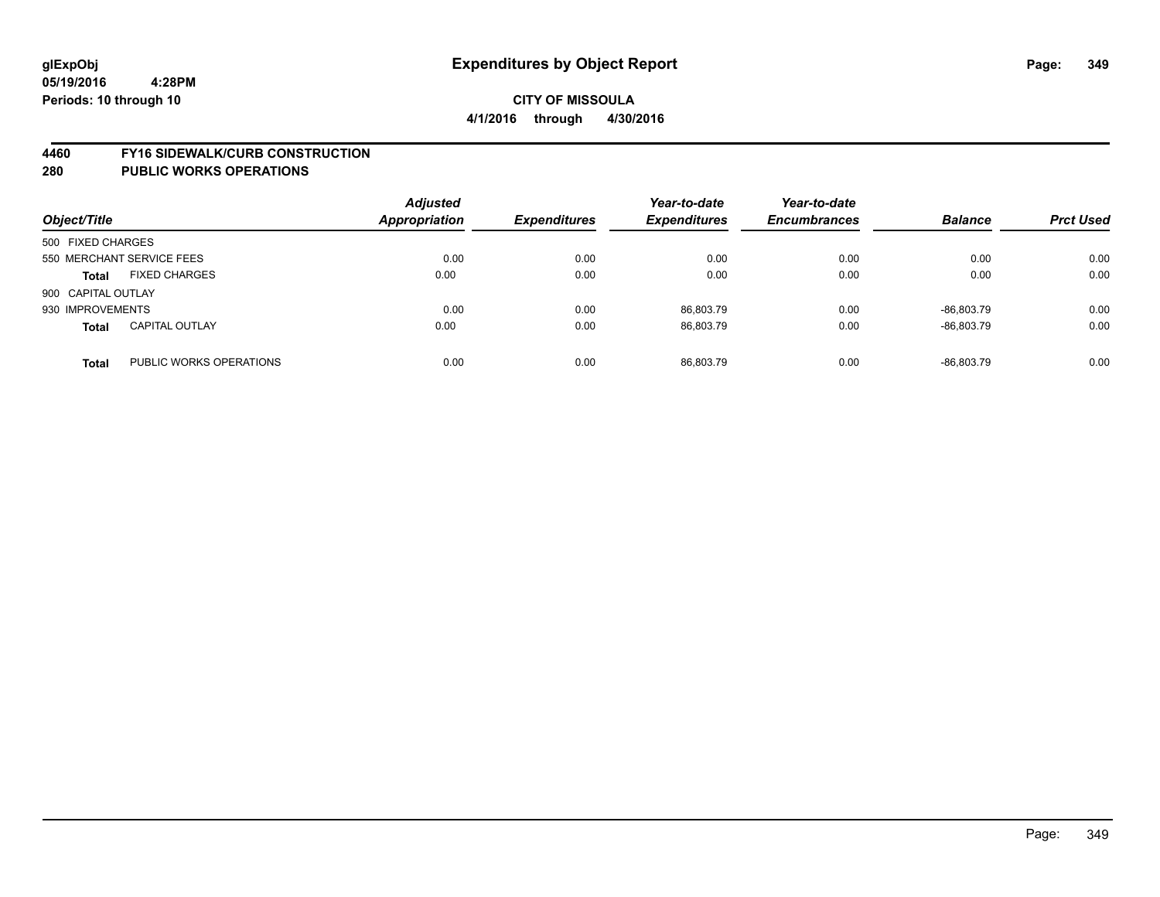#### **4460 FY16 SIDEWALK/CURB CONSTRUCTION**

| Object/Title       |                           | <b>Adjusted</b><br><b>Appropriation</b> | <b>Expenditures</b> | Year-to-date<br><b>Expenditures</b> | Year-to-date<br><b>Encumbrances</b> | <b>Balance</b> | <b>Prct Used</b> |
|--------------------|---------------------------|-----------------------------------------|---------------------|-------------------------------------|-------------------------------------|----------------|------------------|
| 500 FIXED CHARGES  |                           |                                         |                     |                                     |                                     |                |                  |
|                    | 550 MERCHANT SERVICE FEES | 0.00                                    | 0.00                | 0.00                                | 0.00                                | 0.00           | 0.00             |
| <b>Total</b>       | <b>FIXED CHARGES</b>      | 0.00                                    | 0.00                | 0.00                                | 0.00                                | 0.00           | 0.00             |
| 900 CAPITAL OUTLAY |                           |                                         |                     |                                     |                                     |                |                  |
| 930 IMPROVEMENTS   |                           | 0.00                                    | 0.00                | 86,803.79                           | 0.00                                | -86.803.79     | 0.00             |
| <b>Total</b>       | <b>CAPITAL OUTLAY</b>     | 0.00                                    | 0.00                | 86.803.79                           | 0.00                                | -86.803.79     | 0.00             |
| <b>Total</b>       | PUBLIC WORKS OPERATIONS   | 0.00                                    | 0.00                | 86.803.79                           | 0.00                                | -86.803.79     | 0.00             |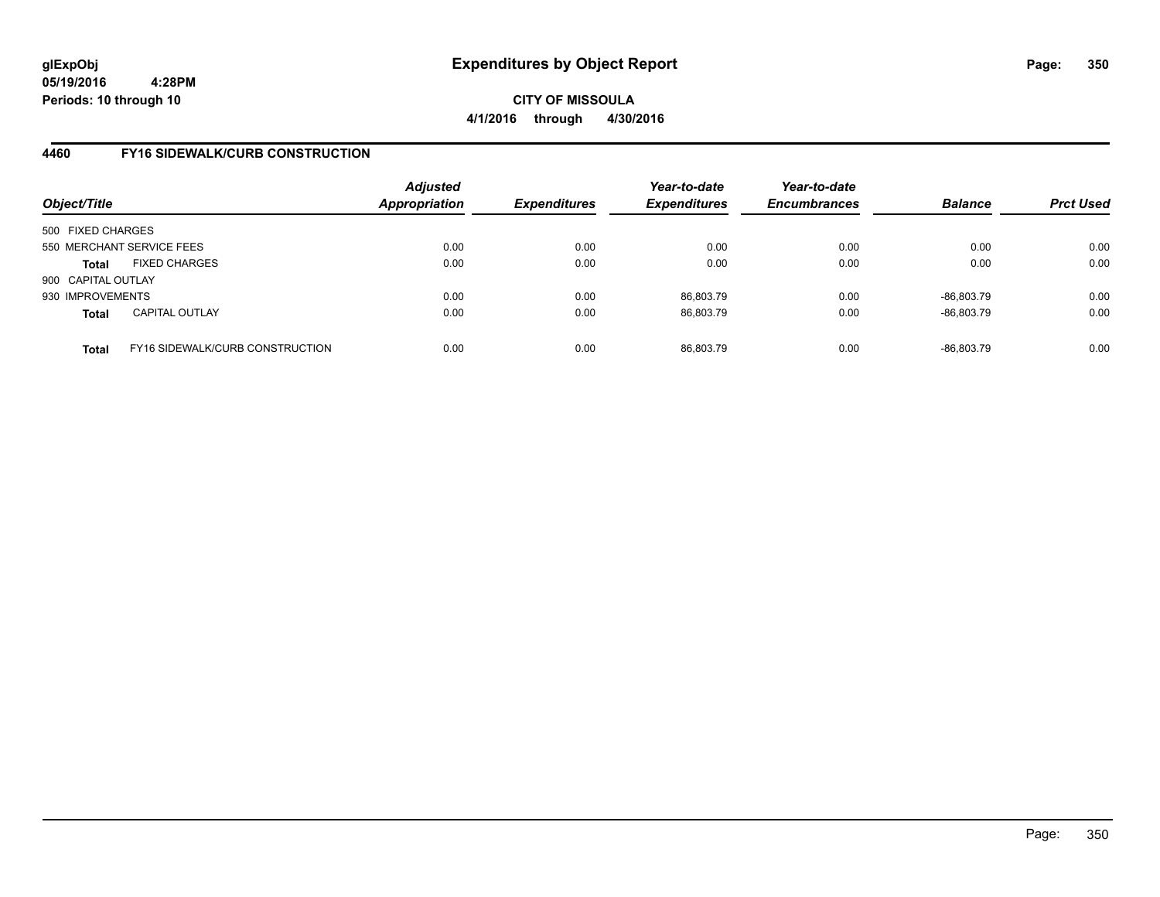# **CITY OF MISSOULA 4/1/2016 through 4/30/2016**

# **4460 FY16 SIDEWALK/CURB CONSTRUCTION**

| Object/Title       |                                        | <b>Adjusted</b><br>Appropriation | <b>Expenditures</b> | Year-to-date<br><b>Expenditures</b> | Year-to-date<br><b>Encumbrances</b> | <b>Balance</b> | <b>Prct Used</b> |
|--------------------|----------------------------------------|----------------------------------|---------------------|-------------------------------------|-------------------------------------|----------------|------------------|
| 500 FIXED CHARGES  |                                        |                                  |                     |                                     |                                     |                |                  |
|                    | 550 MERCHANT SERVICE FEES              | 0.00                             | 0.00                | 0.00                                | 0.00                                | 0.00           | 0.00             |
| <b>Total</b>       | <b>FIXED CHARGES</b>                   | 0.00                             | 0.00                | 0.00                                | 0.00                                | 0.00           | 0.00             |
| 900 CAPITAL OUTLAY |                                        |                                  |                     |                                     |                                     |                |                  |
| 930 IMPROVEMENTS   |                                        | 0.00                             | 0.00                | 86.803.79                           | 0.00                                | -86.803.79     | 0.00             |
| <b>Total</b>       | <b>CAPITAL OUTLAY</b>                  | 0.00                             | 0.00                | 86,803.79                           | 0.00                                | -86,803.79     | 0.00             |
| <b>Total</b>       | <b>FY16 SIDEWALK/CURB CONSTRUCTION</b> | 0.00                             | 0.00                | 86.803.79                           | 0.00                                | $-86.803.79$   | 0.00             |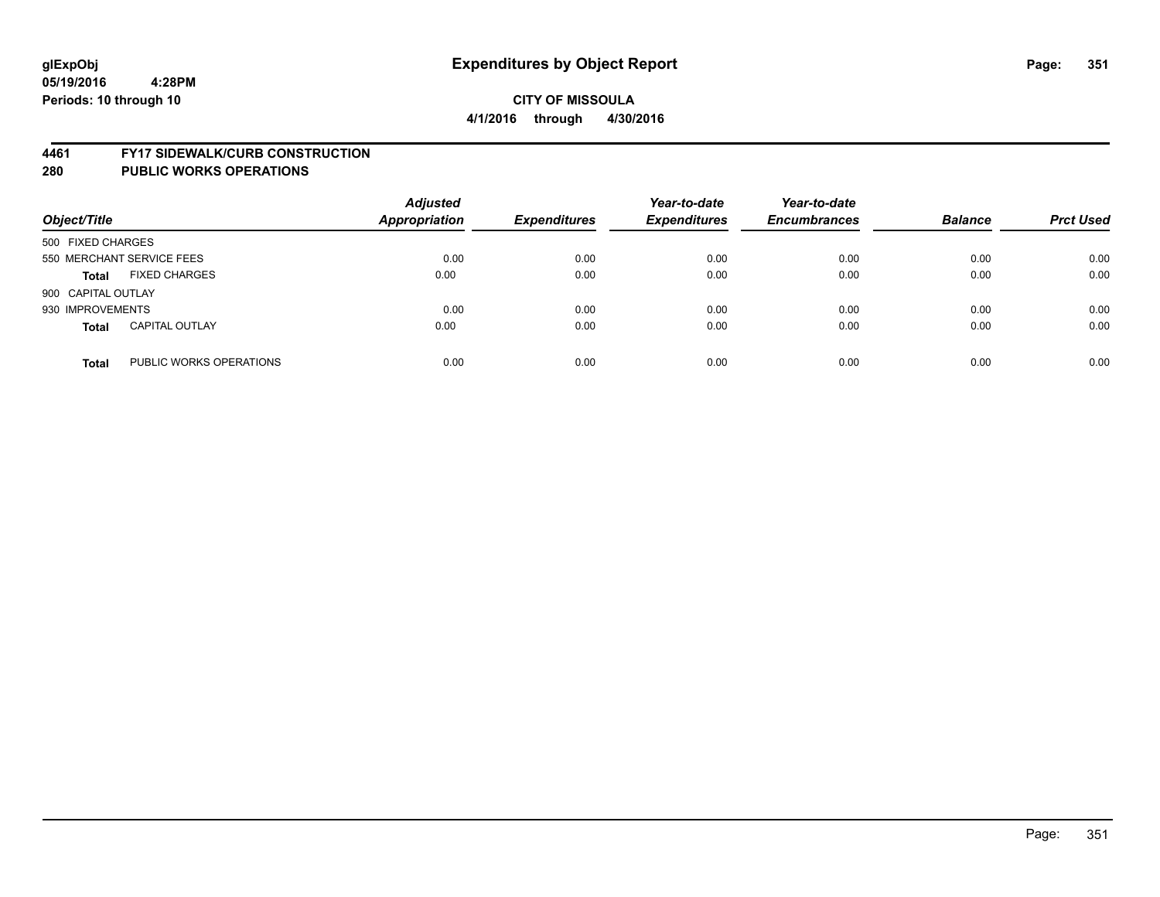#### **4461 FY17 SIDEWALK/CURB CONSTRUCTION**

| Object/Title       |                           | <b>Adjusted</b><br><b>Appropriation</b> | <b>Expenditures</b> | Year-to-date<br><b>Expenditures</b> | Year-to-date<br><b>Encumbrances</b> | <b>Balance</b> | <b>Prct Used</b> |
|--------------------|---------------------------|-----------------------------------------|---------------------|-------------------------------------|-------------------------------------|----------------|------------------|
| 500 FIXED CHARGES  |                           |                                         |                     |                                     |                                     |                |                  |
|                    | 550 MERCHANT SERVICE FEES | 0.00                                    | 0.00                | 0.00                                | 0.00                                | 0.00           | 0.00             |
| <b>Total</b>       | <b>FIXED CHARGES</b>      | 0.00                                    | 0.00                | 0.00                                | 0.00                                | 0.00           | 0.00             |
| 900 CAPITAL OUTLAY |                           |                                         |                     |                                     |                                     |                |                  |
| 930 IMPROVEMENTS   |                           | 0.00                                    | 0.00                | 0.00                                | 0.00                                | 0.00           | 0.00             |
| <b>Total</b>       | <b>CAPITAL OUTLAY</b>     | 0.00                                    | 0.00                | 0.00                                | 0.00                                | 0.00           | 0.00             |
| <b>Total</b>       | PUBLIC WORKS OPERATIONS   | 0.00                                    | 0.00                | 0.00                                | 0.00                                | 0.00           | 0.00             |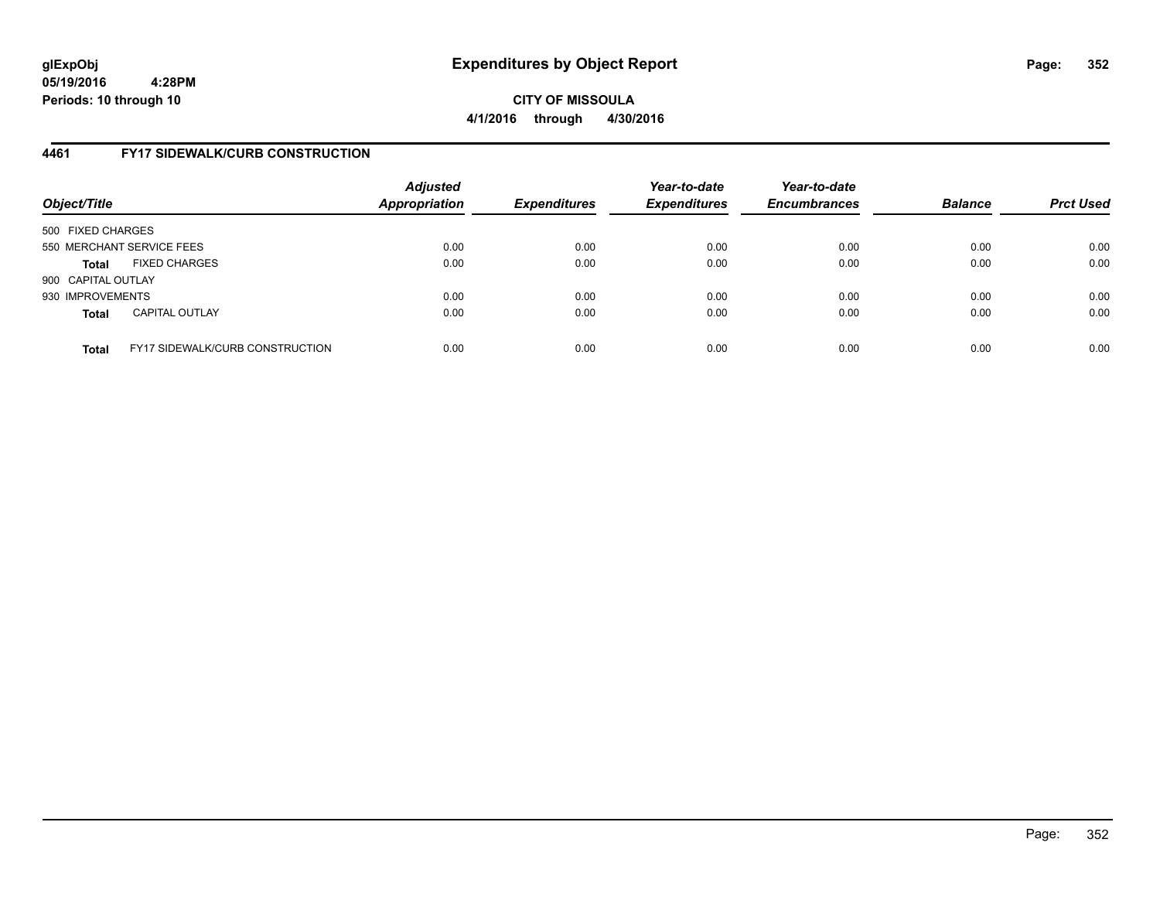# **CITY OF MISSOULA 4/1/2016 through 4/30/2016**

# **4461 FY17 SIDEWALK/CURB CONSTRUCTION**

| Object/Title       |                                        | <b>Adjusted</b><br><b>Appropriation</b> | <b>Expenditures</b> | Year-to-date<br><b>Expenditures</b> | Year-to-date<br><b>Encumbrances</b> | <b>Balance</b> | <b>Prct Used</b> |
|--------------------|----------------------------------------|-----------------------------------------|---------------------|-------------------------------------|-------------------------------------|----------------|------------------|
| 500 FIXED CHARGES  |                                        |                                         |                     |                                     |                                     |                |                  |
|                    | 550 MERCHANT SERVICE FEES              | 0.00                                    | 0.00                | 0.00                                | 0.00                                | 0.00           | 0.00             |
| <b>Total</b>       | <b>FIXED CHARGES</b>                   | 0.00                                    | 0.00                | 0.00                                | 0.00                                | 0.00           | 0.00             |
| 900 CAPITAL OUTLAY |                                        |                                         |                     |                                     |                                     |                |                  |
| 930 IMPROVEMENTS   |                                        | 0.00                                    | 0.00                | 0.00                                | 0.00                                | 0.00           | 0.00             |
| <b>Total</b>       | <b>CAPITAL OUTLAY</b>                  | 0.00                                    | 0.00                | 0.00                                | 0.00                                | 0.00           | 0.00             |
| <b>Total</b>       | <b>FY17 SIDEWALK/CURB CONSTRUCTION</b> | 0.00                                    | 0.00                | 0.00                                | 0.00                                | 0.00           | 0.00             |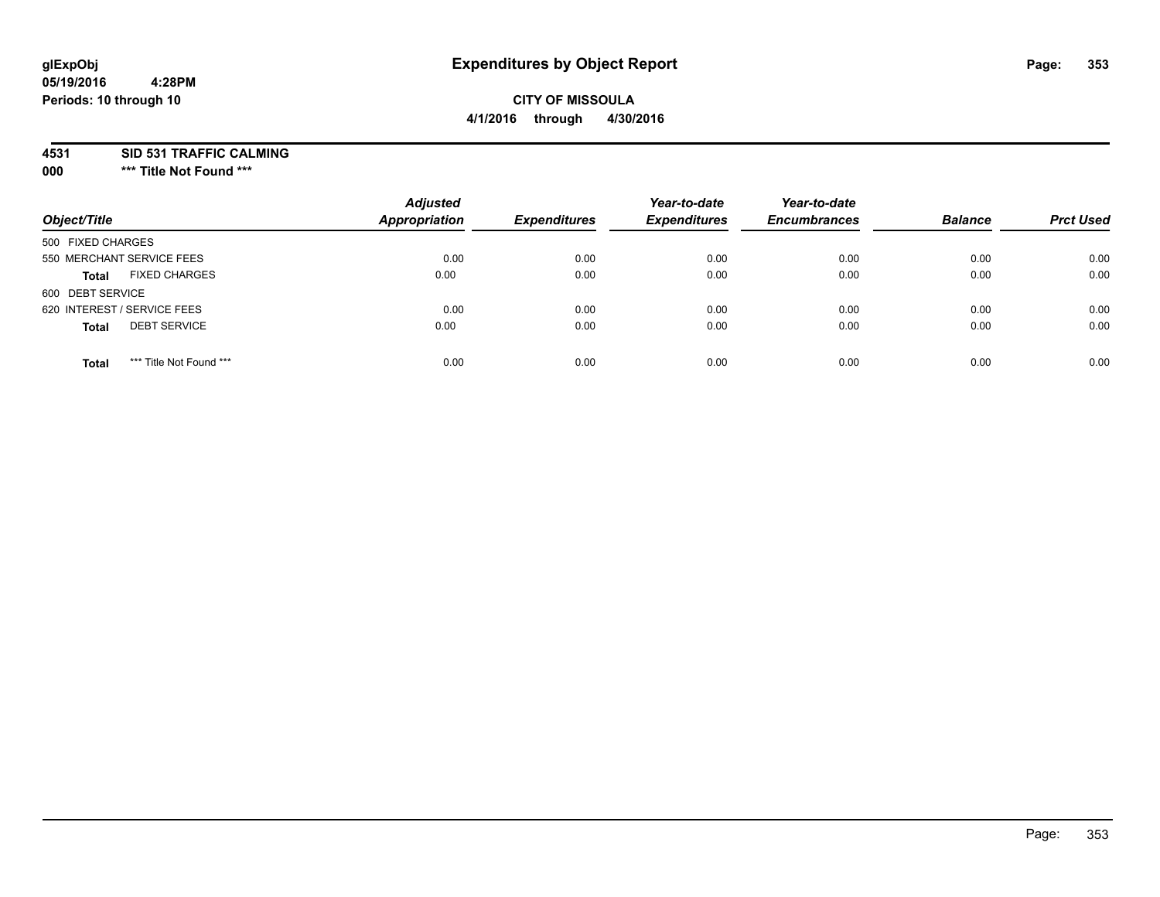# **CITY OF MISSOULA 4/1/2016 through 4/30/2016**

**4531 SID 531 TRAFFIC CALMING**

**000 \*\*\* Title Not Found \*\*\***

| Object/Title                            | <b>Adjusted</b><br><b>Appropriation</b> | <b>Expenditures</b> | Year-to-date<br><b>Expenditures</b> | Year-to-date<br><b>Encumbrances</b> | <b>Balance</b> | <b>Prct Used</b> |
|-----------------------------------------|-----------------------------------------|---------------------|-------------------------------------|-------------------------------------|----------------|------------------|
| 500 FIXED CHARGES                       |                                         |                     |                                     |                                     |                |                  |
| 550 MERCHANT SERVICE FEES               | 0.00                                    | 0.00                | 0.00                                | 0.00                                | 0.00           | 0.00             |
| <b>FIXED CHARGES</b><br><b>Total</b>    | 0.00                                    | 0.00                | 0.00                                | 0.00                                | 0.00           | 0.00             |
| 600 DEBT SERVICE                        |                                         |                     |                                     |                                     |                |                  |
| 620 INTEREST / SERVICE FEES             | 0.00                                    | 0.00                | 0.00                                | 0.00                                | 0.00           | 0.00             |
| <b>DEBT SERVICE</b><br><b>Total</b>     | 0.00                                    | 0.00                | 0.00                                | 0.00                                | 0.00           | 0.00             |
| *** Title Not Found ***<br><b>Total</b> | 0.00                                    | 0.00                | 0.00                                | 0.00                                | 0.00           | 0.00             |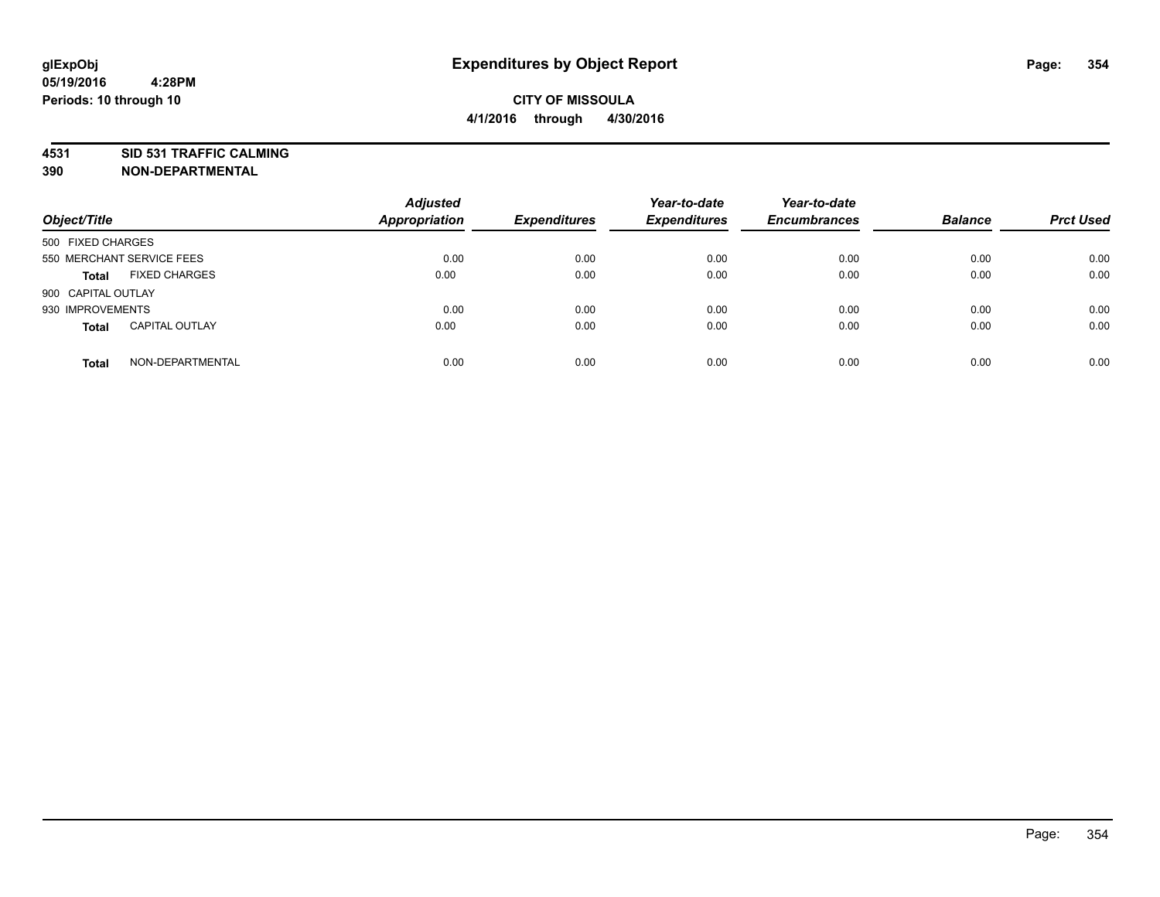# **4531 SID 531 TRAFFIC CALMING**

**390 NON-DEPARTMENTAL**

| Object/Title       |                           | <b>Adjusted</b><br><b>Appropriation</b> | <b>Expenditures</b> | Year-to-date<br><b>Expenditures</b> | Year-to-date<br><b>Encumbrances</b> | <b>Balance</b> | <b>Prct Used</b> |
|--------------------|---------------------------|-----------------------------------------|---------------------|-------------------------------------|-------------------------------------|----------------|------------------|
| 500 FIXED CHARGES  |                           |                                         |                     |                                     |                                     |                |                  |
|                    | 550 MERCHANT SERVICE FEES | 0.00                                    | 0.00                | 0.00                                | 0.00                                | 0.00           | 0.00             |
| <b>Total</b>       | <b>FIXED CHARGES</b>      | 0.00                                    | 0.00                | 0.00                                | 0.00                                | 0.00           | 0.00             |
| 900 CAPITAL OUTLAY |                           |                                         |                     |                                     |                                     |                |                  |
| 930 IMPROVEMENTS   |                           | 0.00                                    | 0.00                | 0.00                                | 0.00                                | 0.00           | 0.00             |
| <b>Total</b>       | <b>CAPITAL OUTLAY</b>     | 0.00                                    | 0.00                | 0.00                                | 0.00                                | 0.00           | 0.00             |
| <b>Total</b>       | NON-DEPARTMENTAL          | 0.00                                    | 0.00                | 0.00                                | 0.00                                | 0.00           | 0.00             |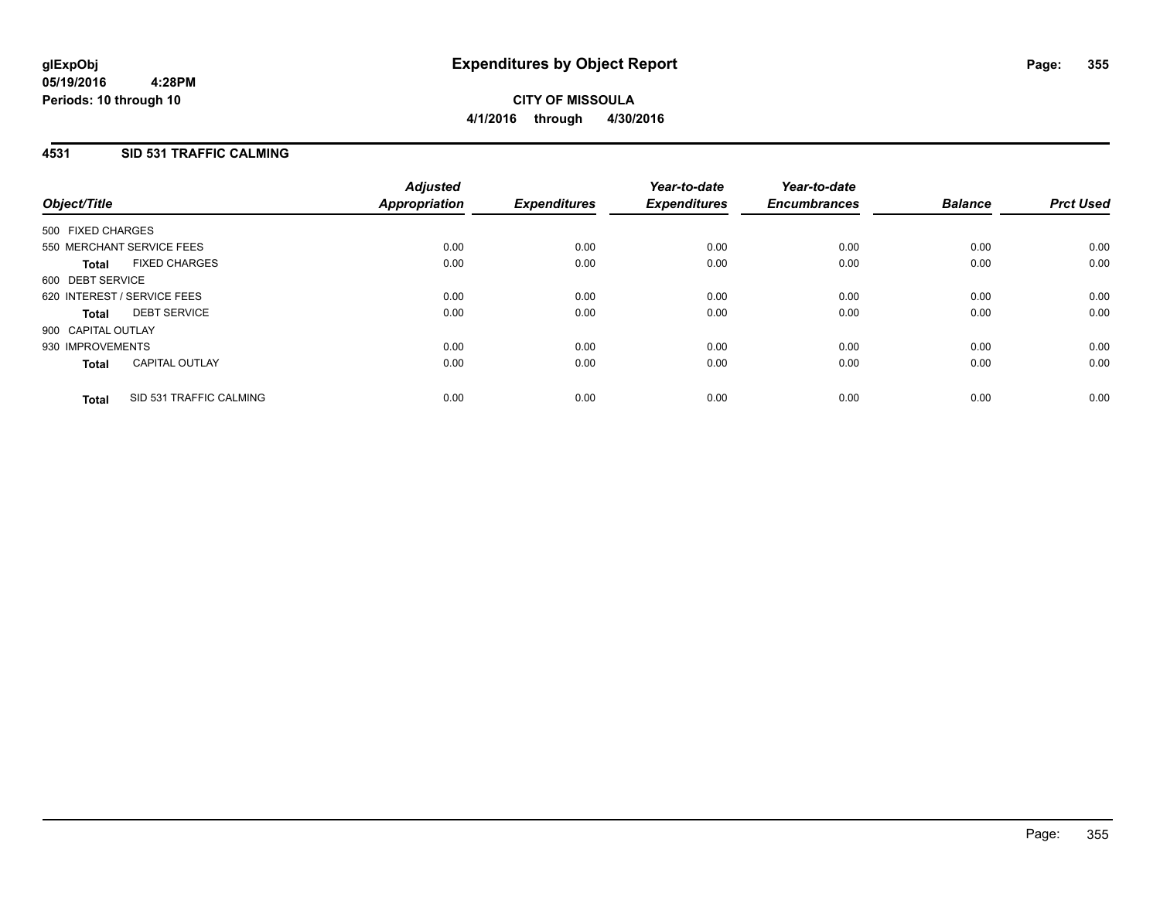# **CITY OF MISSOULA 4/1/2016 through 4/30/2016**

# **4531 SID 531 TRAFFIC CALMING**

| Object/Title       |                             | <b>Adjusted</b><br>Appropriation | <b>Expenditures</b> | Year-to-date<br><b>Expenditures</b> | Year-to-date<br><b>Encumbrances</b> | <b>Balance</b> | <b>Prct Used</b> |
|--------------------|-----------------------------|----------------------------------|---------------------|-------------------------------------|-------------------------------------|----------------|------------------|
| 500 FIXED CHARGES  |                             |                                  |                     |                                     |                                     |                |                  |
|                    | 550 MERCHANT SERVICE FEES   | 0.00                             | 0.00                | 0.00                                | 0.00                                | 0.00           | 0.00             |
| Total              | <b>FIXED CHARGES</b>        | 0.00                             | 0.00                | 0.00                                | 0.00                                | 0.00           | 0.00             |
| 600 DEBT SERVICE   |                             |                                  |                     |                                     |                                     |                |                  |
|                    | 620 INTEREST / SERVICE FEES | 0.00                             | 0.00                | 0.00                                | 0.00                                | 0.00           | 0.00             |
| <b>Total</b>       | <b>DEBT SERVICE</b>         | 0.00                             | 0.00                | 0.00                                | 0.00                                | 0.00           | 0.00             |
| 900 CAPITAL OUTLAY |                             |                                  |                     |                                     |                                     |                |                  |
| 930 IMPROVEMENTS   |                             | 0.00                             | 0.00                | 0.00                                | 0.00                                | 0.00           | 0.00             |
| <b>Total</b>       | <b>CAPITAL OUTLAY</b>       | 0.00                             | 0.00                | 0.00                                | 0.00                                | 0.00           | 0.00             |
| <b>Total</b>       | SID 531 TRAFFIC CALMING     | 0.00                             | 0.00                | 0.00                                | 0.00                                | 0.00           | 0.00             |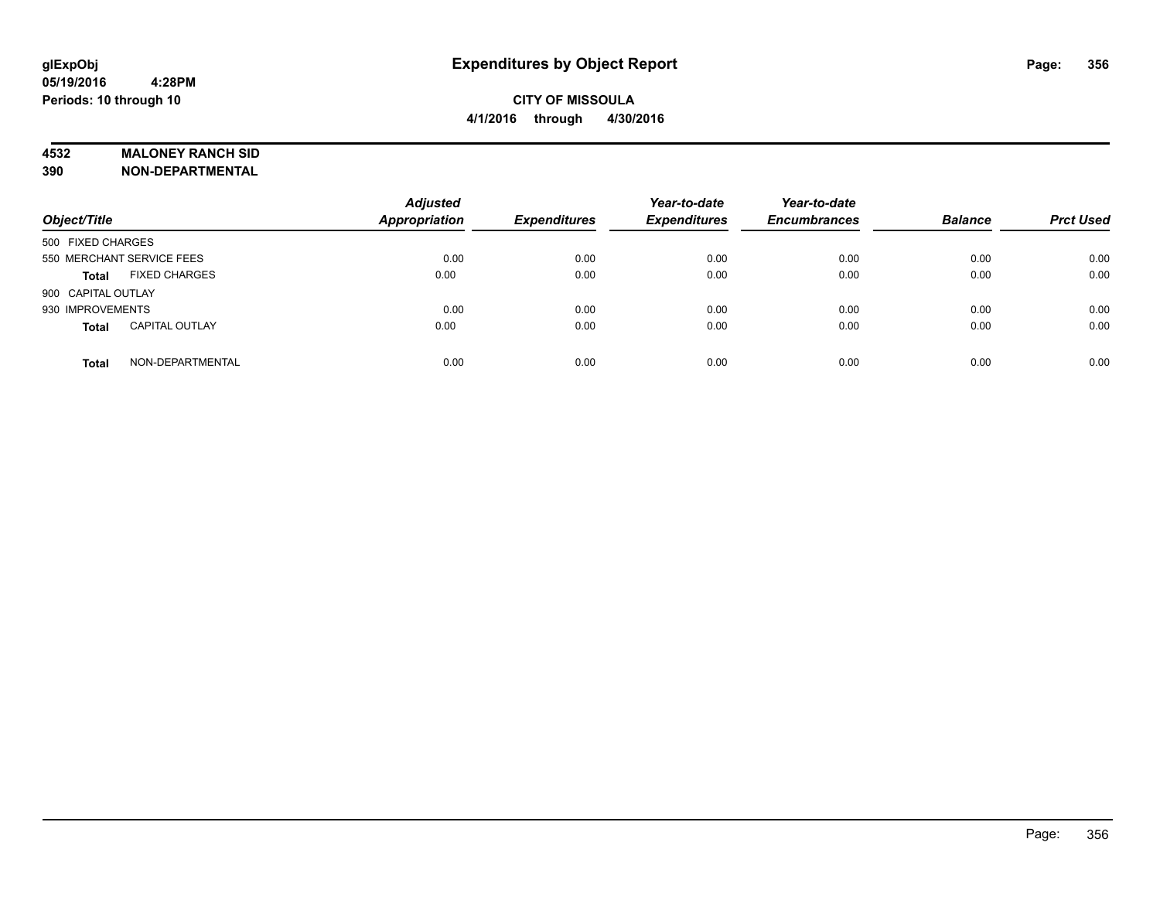#### **4532 MALONEY RANCH SID**

**390 NON-DEPARTMENTAL**

| Object/Title                          | <b>Adjusted</b><br><b>Appropriation</b> | <b>Expenditures</b> | Year-to-date<br><b>Expenditures</b> | Year-to-date<br><b>Encumbrances</b> | <b>Balance</b> | <b>Prct Used</b> |
|---------------------------------------|-----------------------------------------|---------------------|-------------------------------------|-------------------------------------|----------------|------------------|
| 500 FIXED CHARGES                     |                                         |                     |                                     |                                     |                |                  |
| 550 MERCHANT SERVICE FEES             | 0.00                                    | 0.00                | 0.00                                | 0.00                                | 0.00           | 0.00             |
| <b>FIXED CHARGES</b><br><b>Total</b>  | 0.00                                    | 0.00                | 0.00                                | 0.00                                | 0.00           | 0.00             |
| 900 CAPITAL OUTLAY                    |                                         |                     |                                     |                                     |                |                  |
| 930 IMPROVEMENTS                      | 0.00                                    | 0.00                | 0.00                                | 0.00                                | 0.00           | 0.00             |
| <b>CAPITAL OUTLAY</b><br><b>Total</b> | 0.00                                    | 0.00                | 0.00                                | 0.00                                | 0.00           | 0.00             |
| NON-DEPARTMENTAL<br><b>Total</b>      | 0.00                                    | 0.00                | 0.00                                | 0.00                                | 0.00           | 0.00             |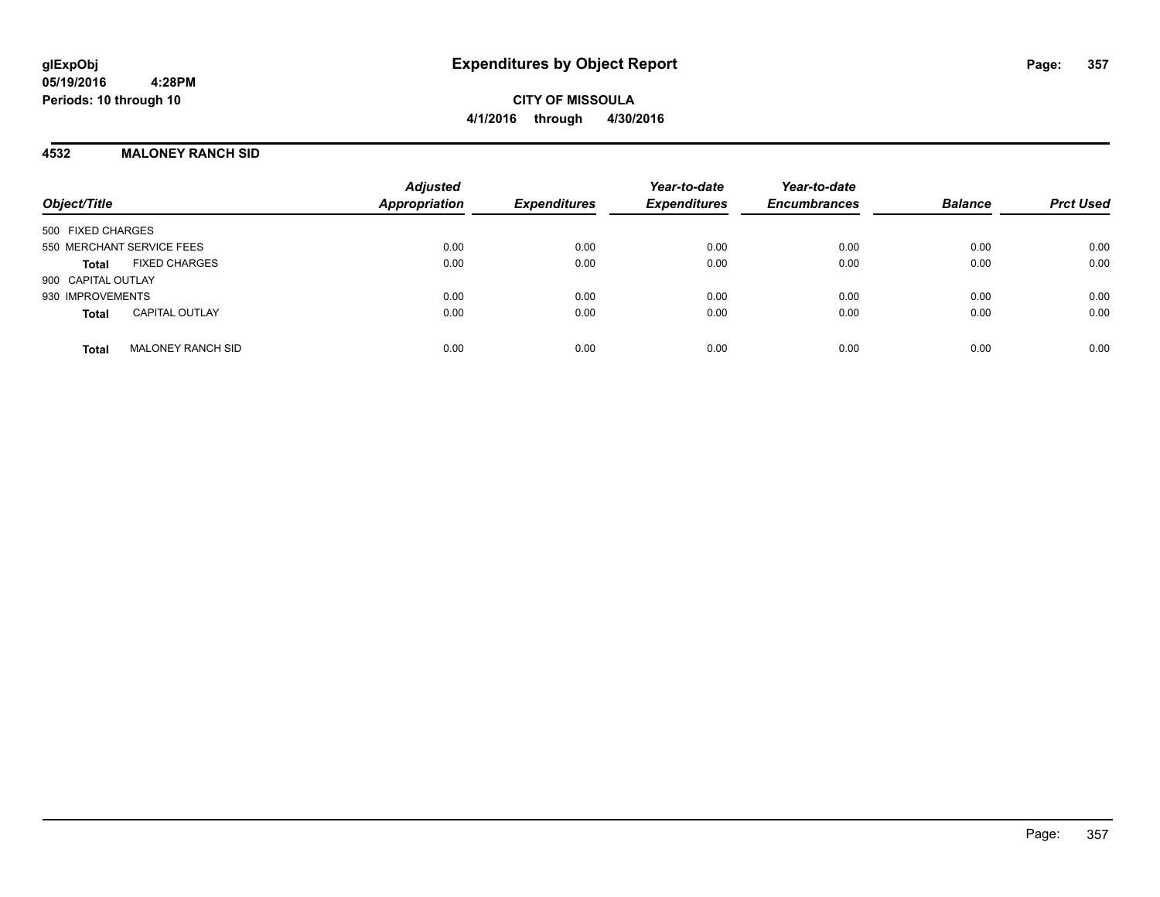**CITY OF MISSOULA 4/1/2016 through 4/30/2016**

#### **4532 MALONEY RANCH SID**

| Object/Title                             | <b>Adjusted</b><br><b>Appropriation</b> | <b>Expenditures</b> | Year-to-date<br><b>Expenditures</b> | Year-to-date<br><b>Encumbrances</b> | <b>Balance</b> | <b>Prct Used</b> |
|------------------------------------------|-----------------------------------------|---------------------|-------------------------------------|-------------------------------------|----------------|------------------|
| 500 FIXED CHARGES                        |                                         |                     |                                     |                                     |                |                  |
| 550 MERCHANT SERVICE FEES                | 0.00                                    | 0.00                | 0.00                                | 0.00                                | 0.00           | 0.00             |
| <b>FIXED CHARGES</b><br><b>Total</b>     | 0.00                                    | 0.00                | 0.00                                | 0.00                                | 0.00           | 0.00             |
| 900 CAPITAL OUTLAY                       |                                         |                     |                                     |                                     |                |                  |
| 930 IMPROVEMENTS                         | 0.00                                    | 0.00                | 0.00                                | 0.00                                | 0.00           | 0.00             |
| <b>CAPITAL OUTLAY</b><br><b>Total</b>    | 0.00                                    | 0.00                | 0.00                                | 0.00                                | 0.00           | 0.00             |
| <b>MALONEY RANCH SID</b><br><b>Total</b> | 0.00                                    | 0.00                | 0.00                                | 0.00                                | 0.00           | 0.00             |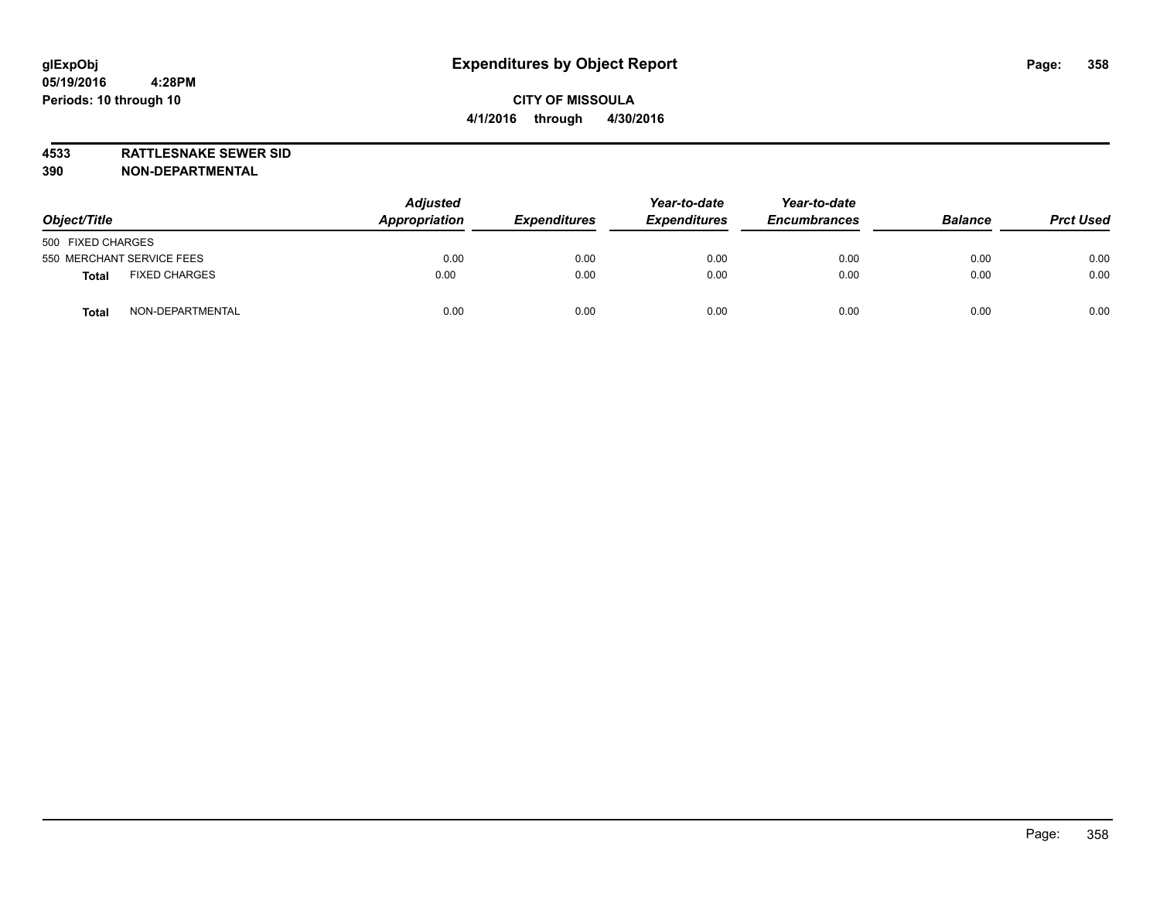**4533 RATTLESNAKE SEWER SID**

**390 NON-DEPARTMENTAL**

| Object/Title                         | <b>Adjusted</b><br>Appropriation | <b>Expenditures</b> | Year-to-date<br><b>Expenditures</b> | Year-to-date<br><b>Encumbrances</b> | <b>Balance</b> | <b>Prct Used</b> |
|--------------------------------------|----------------------------------|---------------------|-------------------------------------|-------------------------------------|----------------|------------------|
| 500 FIXED CHARGES                    |                                  |                     |                                     |                                     |                |                  |
| 550 MERCHANT SERVICE FEES            | 0.00                             | 0.00                | 0.00                                | 0.00                                | 0.00           | 0.00             |
| <b>FIXED CHARGES</b><br><b>Total</b> | 0.00                             | 0.00                | 0.00                                | 0.00                                | 0.00           | 0.00             |
| NON-DEPARTMENTAL<br>Tota             | 0.00                             | 0.00                | 0.00                                | 0.00                                | 0.00           | 0.00             |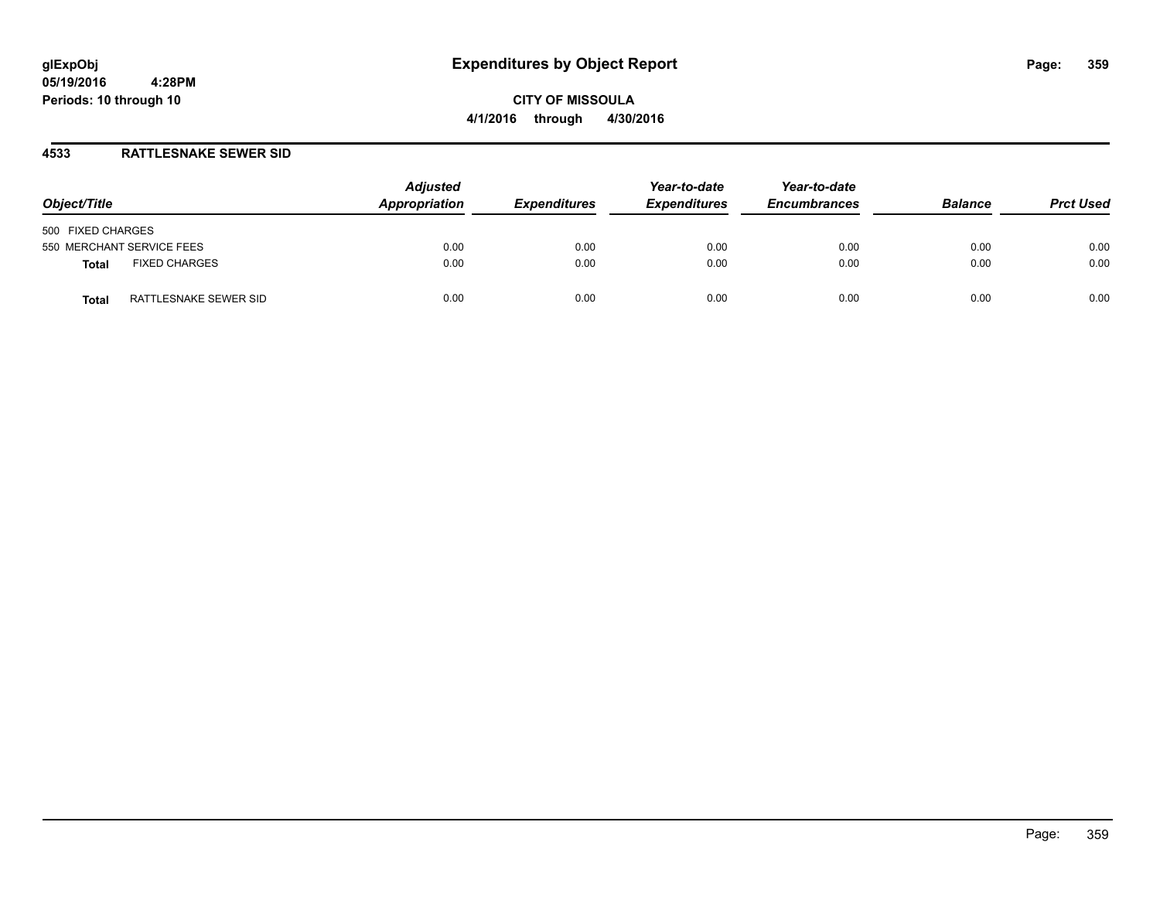## **4533 RATTLESNAKE SEWER SID**

| Object/Title                         | <b>Adjusted</b><br>Appropriation | <b>Expenditures</b> | Year-to-date<br><b>Expenditures</b> | Year-to-date<br><b>Encumbrances</b> | <b>Balance</b> | <b>Prct Used</b> |
|--------------------------------------|----------------------------------|---------------------|-------------------------------------|-------------------------------------|----------------|------------------|
| 500 FIXED CHARGES                    |                                  |                     |                                     |                                     |                |                  |
| 550 MERCHANT SERVICE FEES            | 0.00                             | 0.00                | 0.00                                | 0.00                                | 0.00           | 0.00             |
| <b>FIXED CHARGES</b><br><b>Total</b> | 0.00                             | 0.00                | 0.00                                | 0.00                                | 0.00           | 0.00             |
| RATTLESNAKE SEWER SID<br>Total       | 0.00                             | 0.00                | 0.00                                | 0.00                                | 0.00           | 0.00             |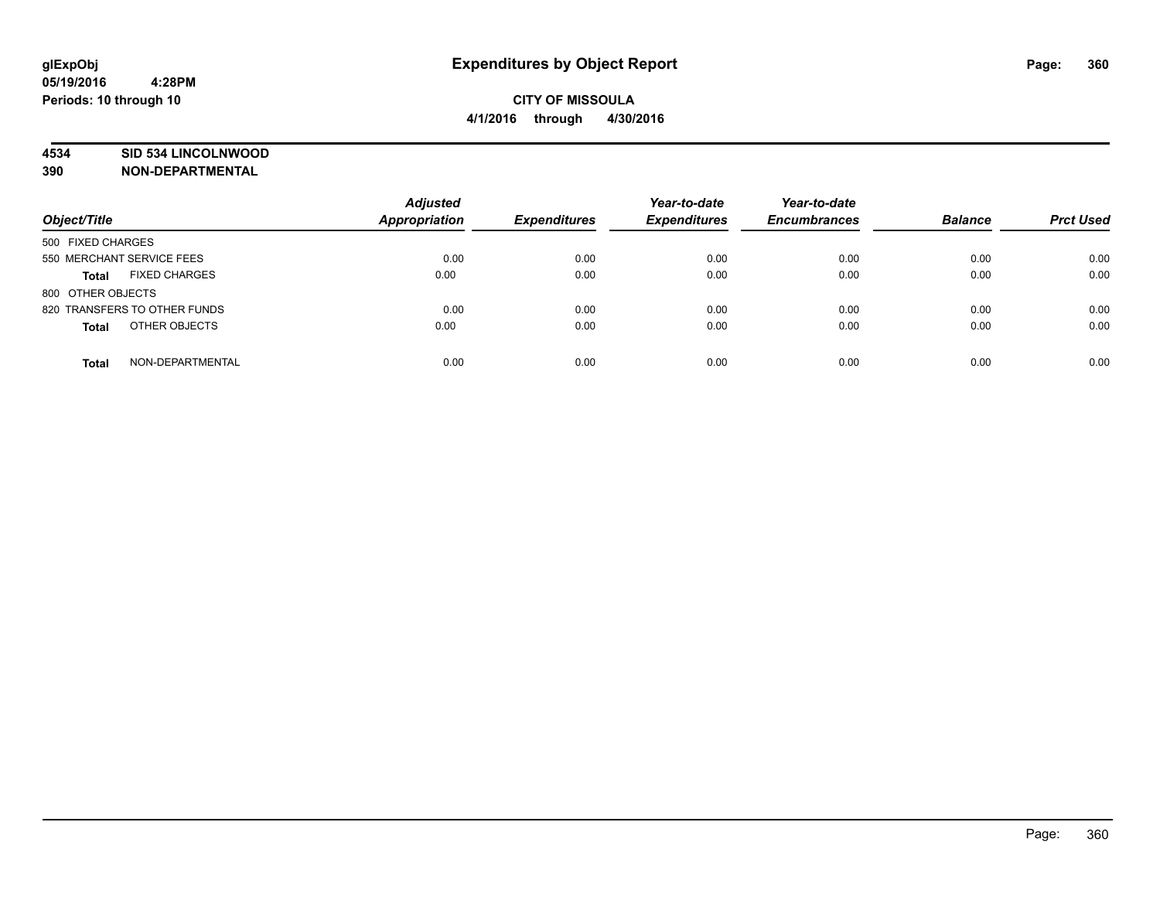## **4534 SID 534 LINCOLNWOOD**

**390 NON-DEPARTMENTAL**

| Object/Title                         | <b>Adjusted</b><br><b>Appropriation</b> | <b>Expenditures</b> | Year-to-date<br><b>Expenditures</b> | Year-to-date<br><b>Encumbrances</b> | <b>Balance</b> | <b>Prct Used</b> |
|--------------------------------------|-----------------------------------------|---------------------|-------------------------------------|-------------------------------------|----------------|------------------|
|                                      |                                         |                     |                                     |                                     |                |                  |
| 500 FIXED CHARGES                    |                                         |                     |                                     |                                     |                |                  |
| 550 MERCHANT SERVICE FEES            | 0.00                                    | 0.00                | 0.00                                | 0.00                                | 0.00           | 0.00             |
| <b>FIXED CHARGES</b><br><b>Total</b> | 0.00                                    | 0.00                | 0.00                                | 0.00                                | 0.00           | 0.00             |
| 800 OTHER OBJECTS                    |                                         |                     |                                     |                                     |                |                  |
| 820 TRANSFERS TO OTHER FUNDS         | 0.00                                    | 0.00                | 0.00                                | 0.00                                | 0.00           | 0.00             |
| OTHER OBJECTS<br><b>Total</b>        | 0.00                                    | 0.00                | 0.00                                | 0.00                                | 0.00           | 0.00             |
| NON-DEPARTMENTAL<br><b>Total</b>     | 0.00                                    | 0.00                | 0.00                                | 0.00                                | 0.00           | 0.00             |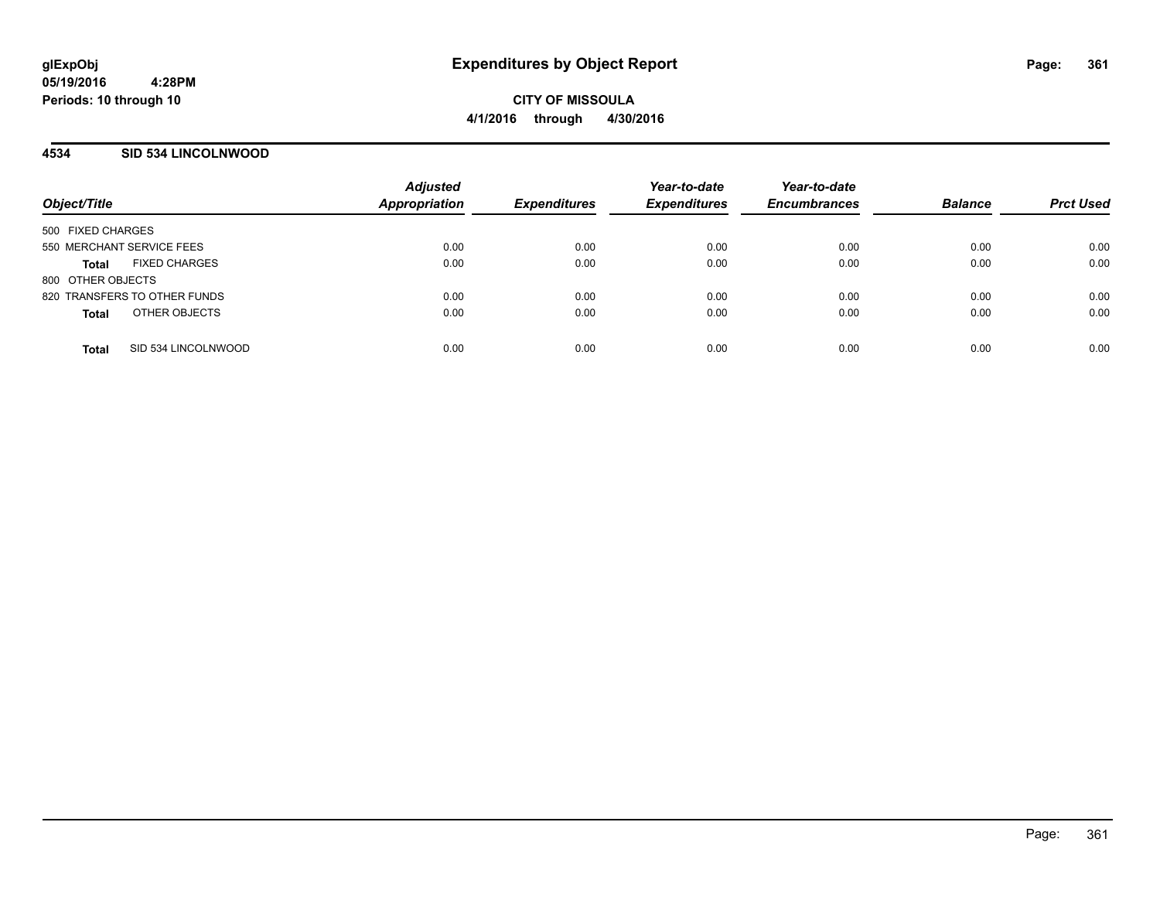**CITY OF MISSOULA 4/1/2016 through 4/30/2016**

## **4534 SID 534 LINCOLNWOOD**

| Object/Title                 |                      | <b>Adjusted</b><br><b>Appropriation</b> | <b>Expenditures</b> | Year-to-date<br><b>Expenditures</b> | Year-to-date<br><b>Encumbrances</b> | <b>Balance</b> | <b>Prct Used</b> |
|------------------------------|----------------------|-----------------------------------------|---------------------|-------------------------------------|-------------------------------------|----------------|------------------|
| 500 FIXED CHARGES            |                      |                                         |                     |                                     |                                     |                |                  |
| 550 MERCHANT SERVICE FEES    |                      | 0.00                                    | 0.00                | 0.00                                | 0.00                                | 0.00           | 0.00             |
| <b>Total</b>                 | <b>FIXED CHARGES</b> | 0.00                                    | 0.00                | 0.00                                | 0.00                                | 0.00           | 0.00             |
| 800 OTHER OBJECTS            |                      |                                         |                     |                                     |                                     |                |                  |
| 820 TRANSFERS TO OTHER FUNDS |                      | 0.00                                    | 0.00                | 0.00                                | 0.00                                | 0.00           | 0.00             |
| <b>Total</b>                 | OTHER OBJECTS        | 0.00                                    | 0.00                | 0.00                                | 0.00                                | 0.00           | 0.00             |
|                              |                      |                                         |                     |                                     |                                     |                |                  |
| <b>Total</b>                 | SID 534 LINCOLNWOOD  | 0.00                                    | 0.00                | 0.00                                | 0.00                                | 0.00           | 0.00             |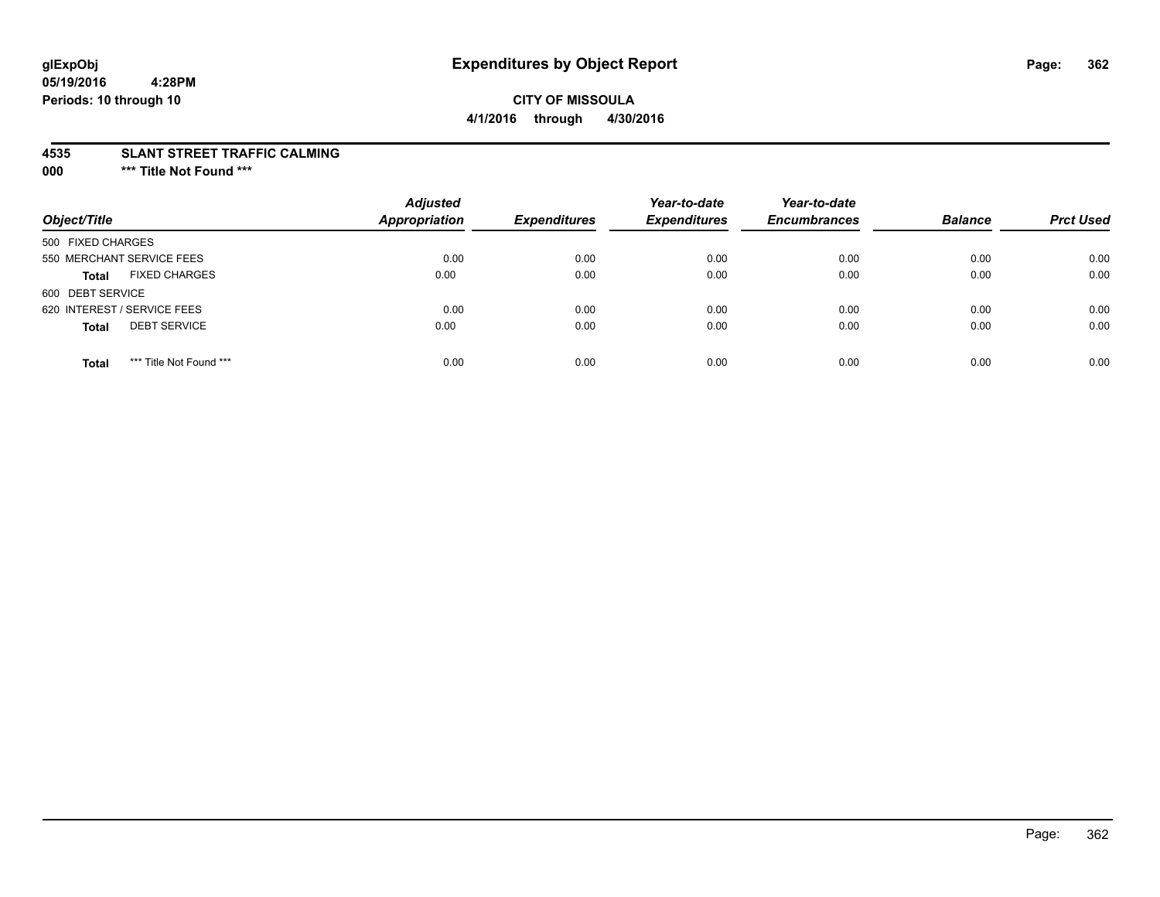## **CITY OF MISSOULA 4/1/2016 through 4/30/2016**

#### **4535 SLANT STREET TRAFFIC CALMING**

**000 \*\*\* Title Not Found \*\*\***

| Object/Title                            | <b>Adjusted</b><br><b>Appropriation</b> | <b>Expenditures</b> | Year-to-date<br><b>Expenditures</b> | Year-to-date<br><b>Encumbrances</b> | <b>Balance</b> | <b>Prct Used</b> |
|-----------------------------------------|-----------------------------------------|---------------------|-------------------------------------|-------------------------------------|----------------|------------------|
| 500 FIXED CHARGES                       |                                         |                     |                                     |                                     |                |                  |
| 550 MERCHANT SERVICE FEES               | 0.00                                    | 0.00                | 0.00                                | 0.00                                | 0.00           | 0.00             |
| <b>FIXED CHARGES</b><br><b>Total</b>    | 0.00                                    | 0.00                | 0.00                                | 0.00                                | 0.00           | 0.00             |
| 600 DEBT SERVICE                        |                                         |                     |                                     |                                     |                |                  |
| 620 INTEREST / SERVICE FEES             | 0.00                                    | 0.00                | 0.00                                | 0.00                                | 0.00           | 0.00             |
| <b>DEBT SERVICE</b><br><b>Total</b>     | 0.00                                    | 0.00                | 0.00                                | 0.00                                | 0.00           | 0.00             |
| *** Title Not Found ***<br><b>Total</b> | 0.00                                    | 0.00                | 0.00                                | 0.00                                | 0.00           | 0.00             |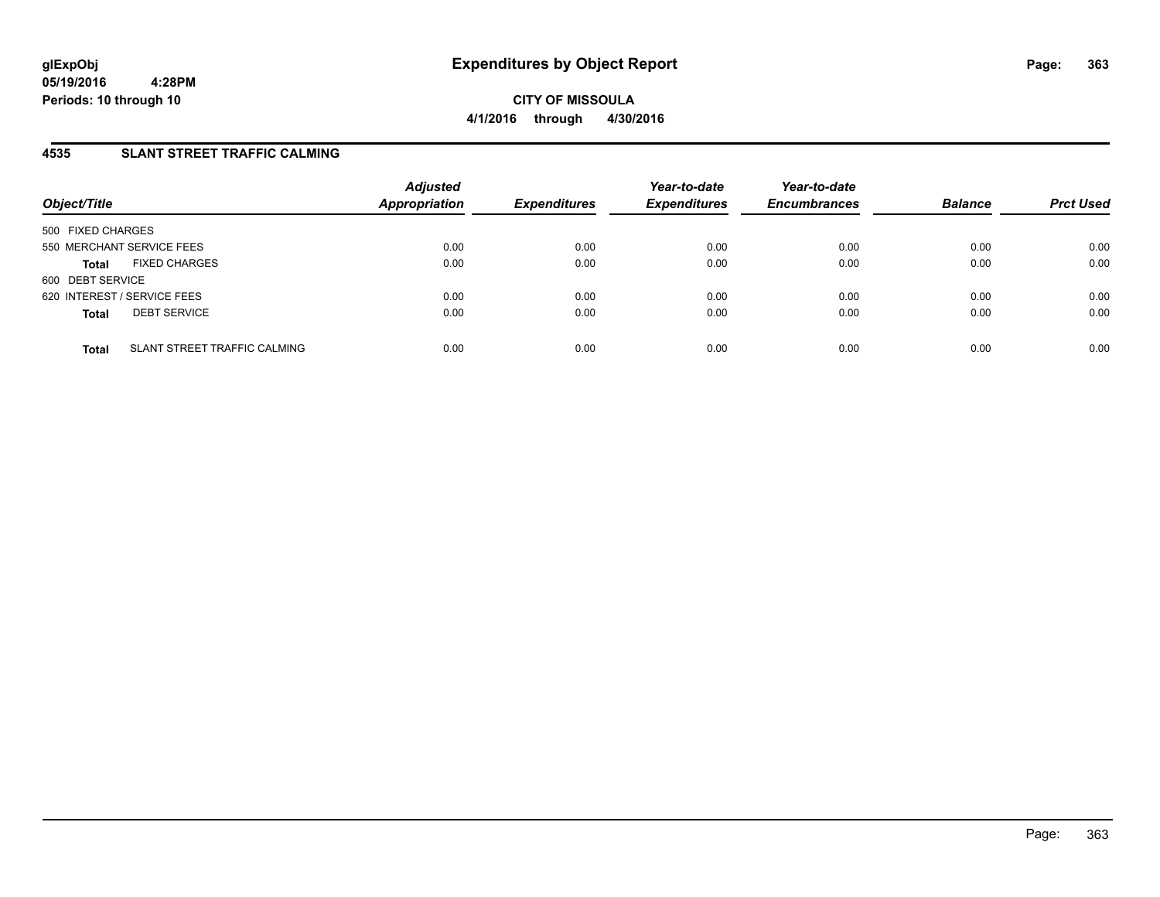## **4535 SLANT STREET TRAFFIC CALMING**

| Object/Title                                 | <b>Adjusted</b><br><b>Appropriation</b> | <b>Expenditures</b> | Year-to-date<br><b>Expenditures</b> | Year-to-date<br><b>Encumbrances</b> | <b>Balance</b> | <b>Prct Used</b> |
|----------------------------------------------|-----------------------------------------|---------------------|-------------------------------------|-------------------------------------|----------------|------------------|
| 500 FIXED CHARGES                            |                                         |                     |                                     |                                     |                |                  |
| 550 MERCHANT SERVICE FEES                    | 0.00                                    | 0.00                | 0.00                                | 0.00                                | 0.00           | 0.00             |
| <b>FIXED CHARGES</b><br><b>Total</b>         | 0.00                                    | 0.00                | 0.00                                | 0.00                                | 0.00           | 0.00             |
| 600 DEBT SERVICE                             |                                         |                     |                                     |                                     |                |                  |
| 620 INTEREST / SERVICE FEES                  | 0.00                                    | 0.00                | 0.00                                | 0.00                                | 0.00           | 0.00             |
| <b>DEBT SERVICE</b><br><b>Total</b>          | 0.00                                    | 0.00                | 0.00                                | 0.00                                | 0.00           | 0.00             |
|                                              |                                         |                     |                                     |                                     |                |                  |
| SLANT STREET TRAFFIC CALMING<br><b>Total</b> | 0.00                                    | 0.00                | 0.00                                | 0.00                                | 0.00           | 0.00             |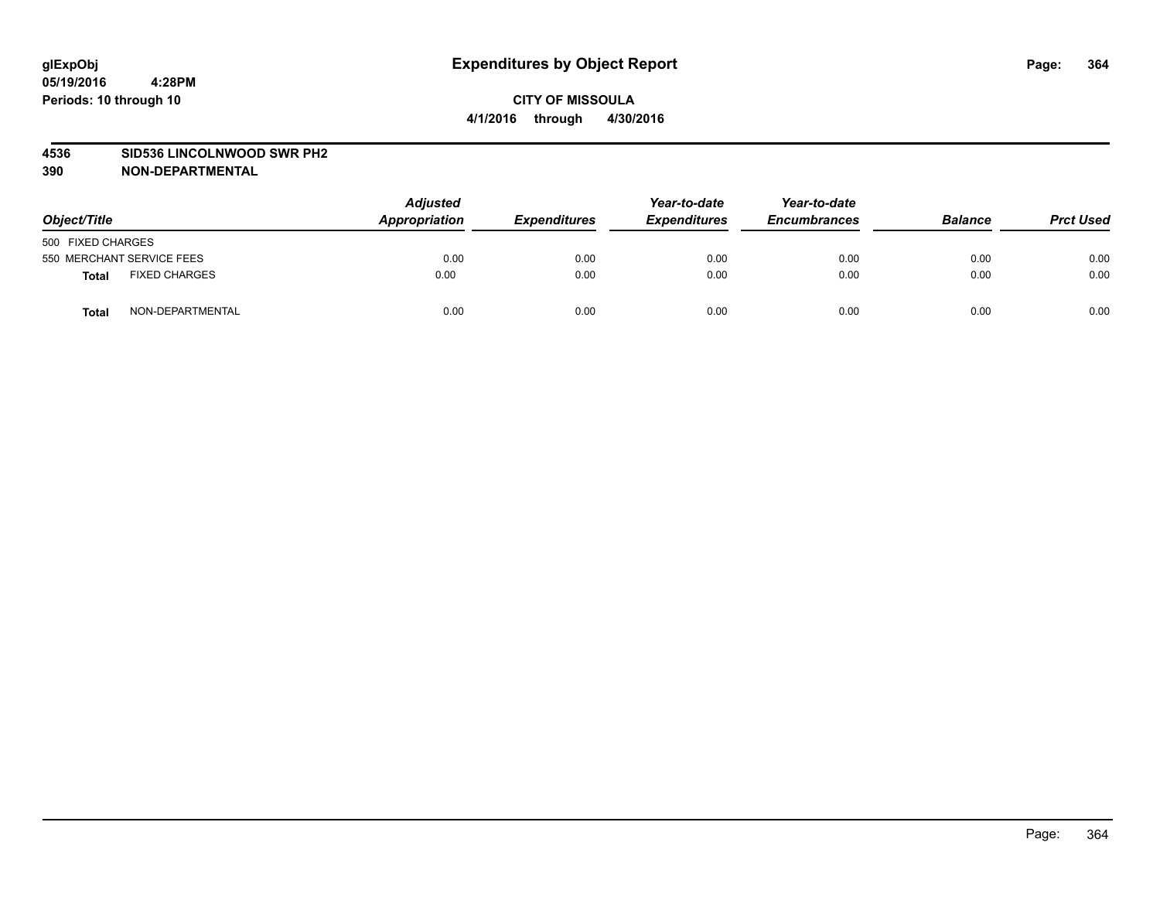#### **4536 SID536 LINCOLNWOOD SWR PH2**

| Object/Title                  | <b>Adjusted</b><br>Appropriation | <b>Expenditures</b> | Year-to-date<br><b>Expenditures</b> | Year-to-date<br><b>Encumbrances</b> | <b>Balance</b> | <b>Prct Used</b> |
|-------------------------------|----------------------------------|---------------------|-------------------------------------|-------------------------------------|----------------|------------------|
| 500 FIXED CHARGES             |                                  |                     |                                     |                                     |                |                  |
| 550 MERCHANT SERVICE FEES     | 0.00                             | 0.00                | 0.00                                | 0.00                                | 0.00           | 0.00             |
| <b>FIXED CHARGES</b><br>Total | 0.00                             | 0.00                | 0.00                                | 0.00                                | 0.00           | 0.00             |
| NON-DEPARTMENTAL<br>Total     | 0.00                             | 0.00                | 0.00                                | 0.00                                | 0.00           | 0.00             |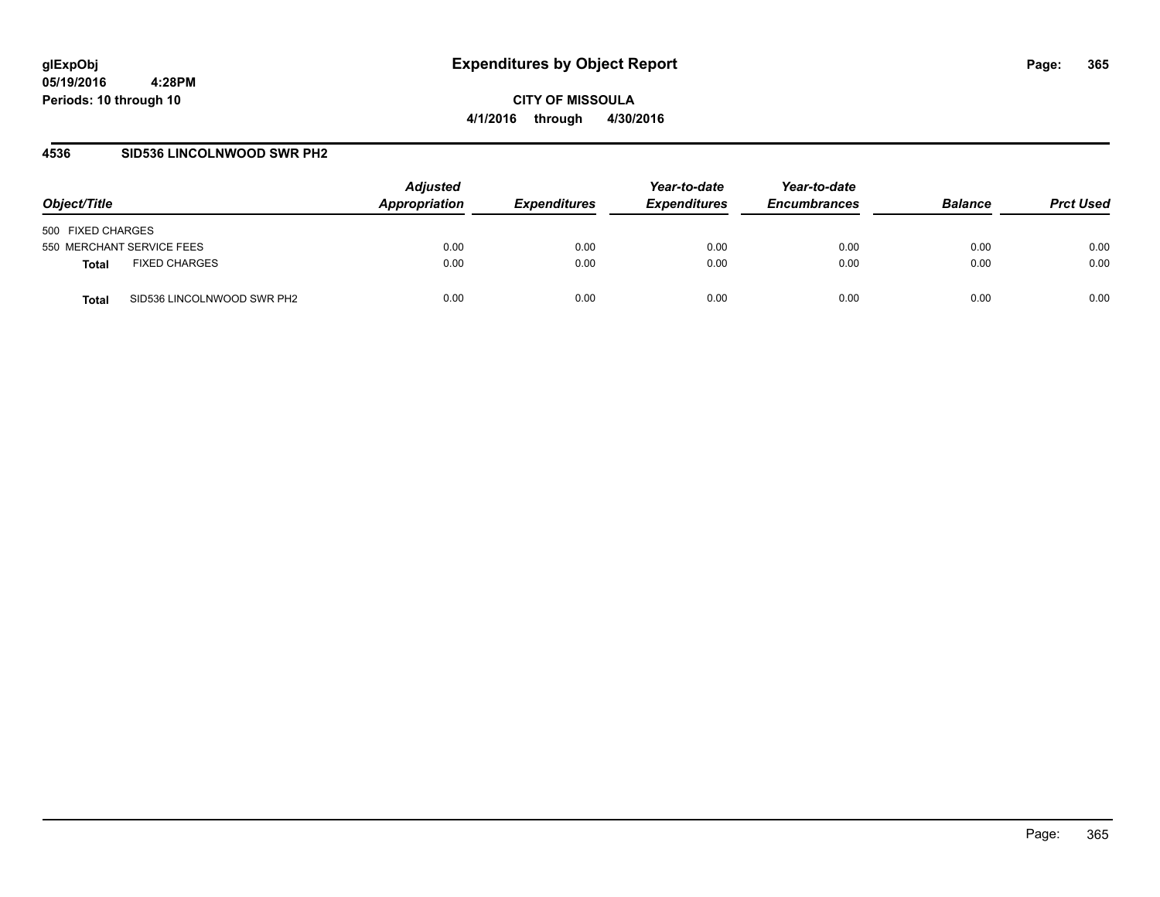**CITY OF MISSOULA 4/1/2016 through 4/30/2016**

### **4536 SID536 LINCOLNWOOD SWR PH2**

| Object/Title                         | <b>Adjusted</b><br>Appropriation | <i><b>Expenditures</b></i> | Year-to-date<br><i><b>Expenditures</b></i> | Year-to-date<br><b>Encumbrances</b> | <b>Balance</b> | <b>Prct Used</b> |
|--------------------------------------|----------------------------------|----------------------------|--------------------------------------------|-------------------------------------|----------------|------------------|
| 500 FIXED CHARGES                    |                                  |                            |                                            |                                     |                |                  |
| 550 MERCHANT SERVICE FEES            | 0.00                             | 0.00                       | 0.00                                       | 0.00                                | 0.00           | 0.00             |
| <b>FIXED CHARGES</b><br><b>Total</b> | 0.00                             | 0.00                       | 0.00                                       | 0.00                                | 0.00           | 0.00             |
| SID536 LINCOLNWOOD SWR PH2<br>Total  | 0.00                             | 0.00                       | 0.00                                       | 0.00                                | 0.00           | 0.00             |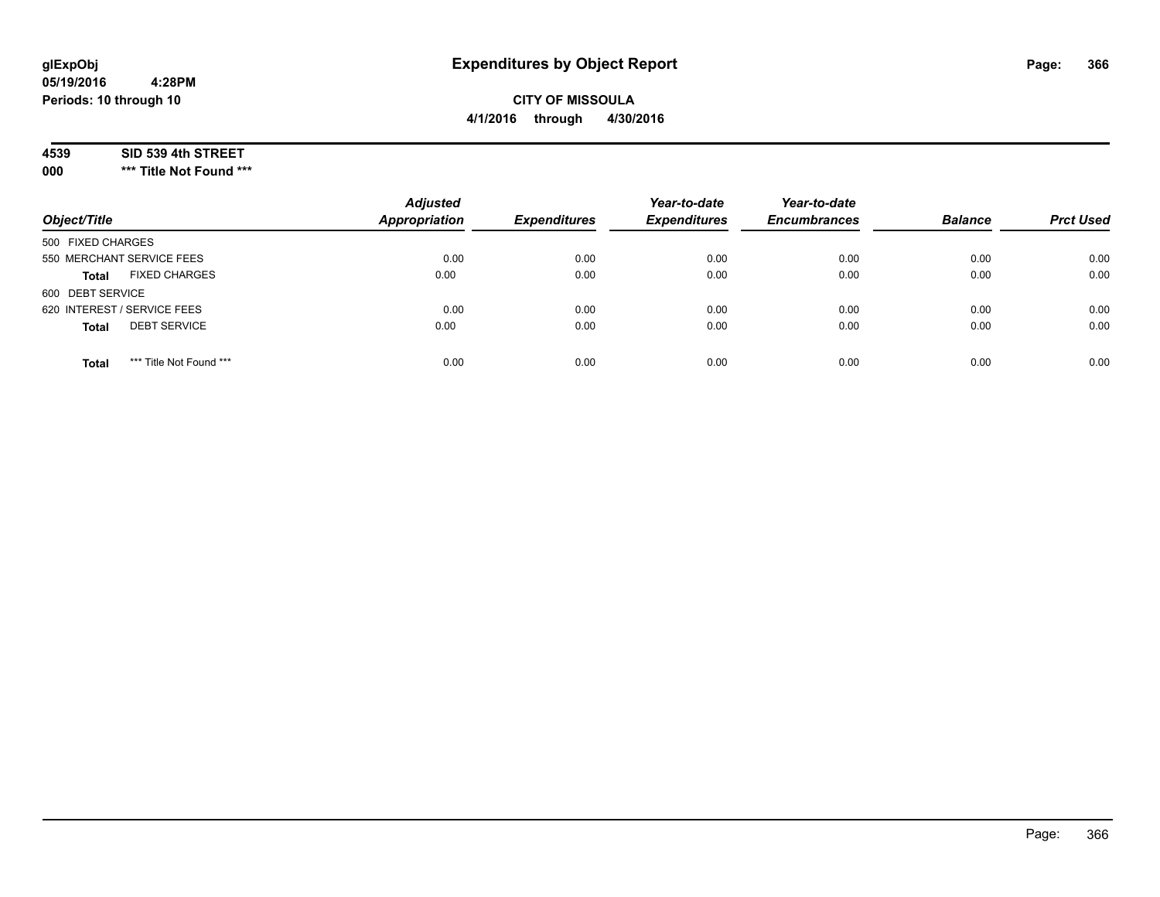# **CITY OF MISSOULA 4/1/2016 through 4/30/2016**

#### **4539 SID 539 4th STREET**

**000 \*\*\* Title Not Found \*\*\***

| Object/Title                            | <b>Adjusted</b><br>Appropriation | <b>Expenditures</b> | Year-to-date<br><b>Expenditures</b> | Year-to-date<br><b>Encumbrances</b> | <b>Balance</b> | <b>Prct Used</b> |
|-----------------------------------------|----------------------------------|---------------------|-------------------------------------|-------------------------------------|----------------|------------------|
| 500 FIXED CHARGES                       |                                  |                     |                                     |                                     |                |                  |
| 550 MERCHANT SERVICE FEES               | 0.00                             | 0.00                | 0.00                                | 0.00                                | 0.00           | 0.00             |
| <b>FIXED CHARGES</b><br><b>Total</b>    | 0.00                             | 0.00                | 0.00                                | 0.00                                | 0.00           | 0.00             |
| 600 DEBT SERVICE                        |                                  |                     |                                     |                                     |                |                  |
| 620 INTEREST / SERVICE FEES             | 0.00                             | 0.00                | 0.00                                | 0.00                                | 0.00           | 0.00             |
| <b>DEBT SERVICE</b><br><b>Total</b>     | 0.00                             | 0.00                | 0.00                                | 0.00                                | 0.00           | 0.00             |
| *** Title Not Found ***<br><b>Total</b> | 0.00                             | 0.00                | 0.00                                | 0.00                                | 0.00           | 0.00             |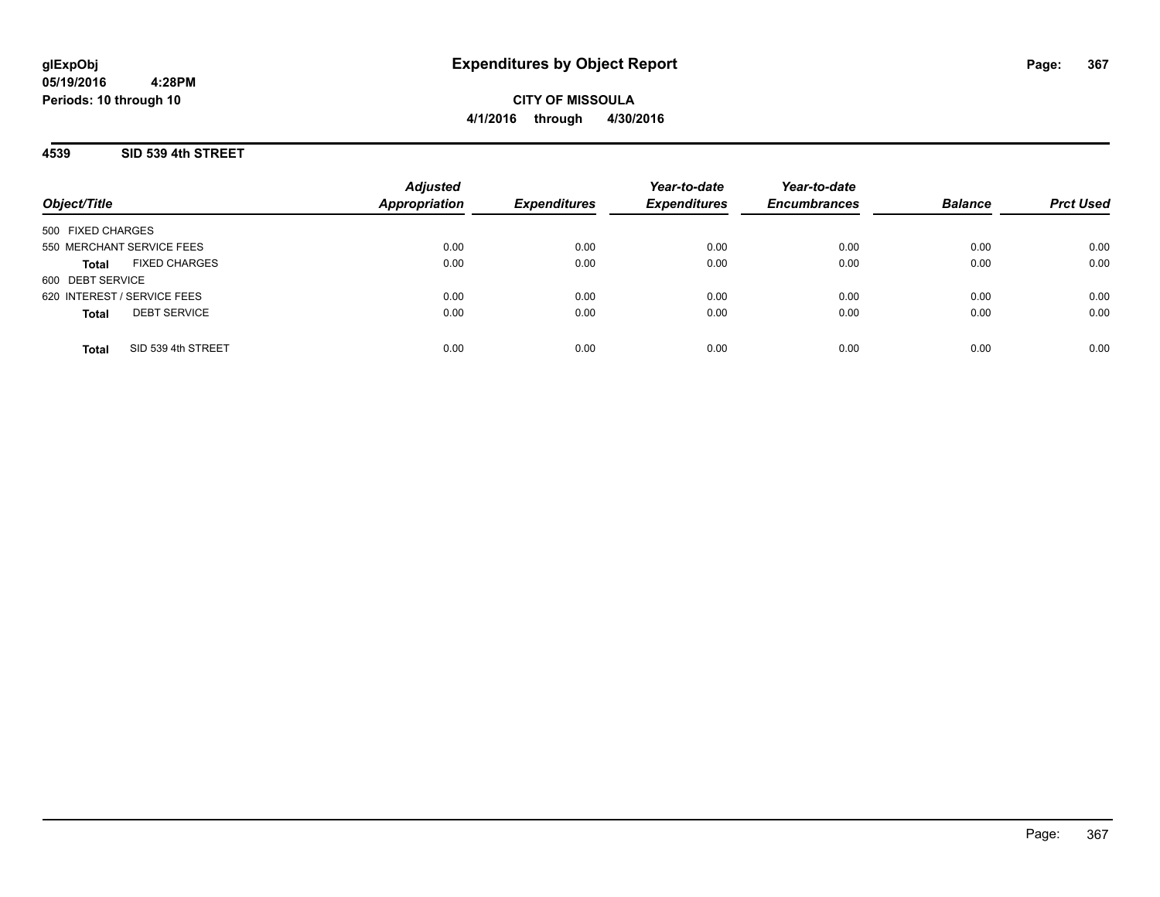**CITY OF MISSOULA 4/1/2016 through 4/30/2016**

## **4539 SID 539 4th STREET**

| Object/Title                         | <b>Adjusted</b><br><b>Appropriation</b> | <b>Expenditures</b> | Year-to-date<br><b>Expenditures</b> | Year-to-date<br><b>Encumbrances</b> | <b>Balance</b> | <b>Prct Used</b> |
|--------------------------------------|-----------------------------------------|---------------------|-------------------------------------|-------------------------------------|----------------|------------------|
| 500 FIXED CHARGES                    |                                         |                     |                                     |                                     |                |                  |
| 550 MERCHANT SERVICE FEES            | 0.00                                    | 0.00                | 0.00                                | 0.00                                | 0.00           | 0.00             |
| <b>FIXED CHARGES</b><br><b>Total</b> | 0.00                                    | 0.00                | 0.00                                | 0.00                                | 0.00           | 0.00             |
| 600 DEBT SERVICE                     |                                         |                     |                                     |                                     |                |                  |
| 620 INTEREST / SERVICE FEES          | 0.00                                    | 0.00                | 0.00                                | 0.00                                | 0.00           | 0.00             |
| <b>DEBT SERVICE</b><br><b>Total</b>  | 0.00                                    | 0.00                | 0.00                                | 0.00                                | 0.00           | 0.00             |
| SID 539 4th STREET<br><b>Total</b>   | 0.00                                    | 0.00                | 0.00                                | 0.00                                | 0.00           | 0.00             |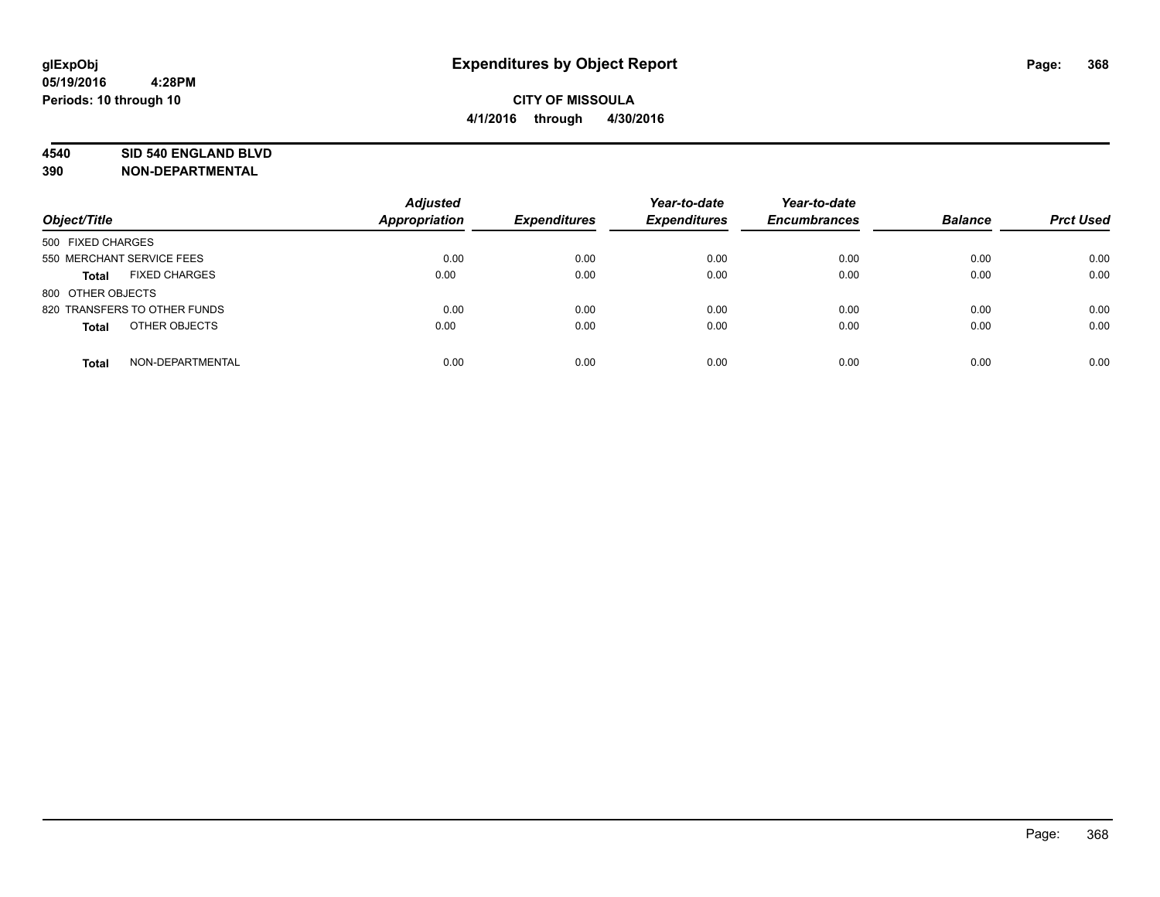#### **4540 SID 540 ENGLAND BLVD**

| Object/Title                         | <b>Adjusted</b><br>Appropriation | <b>Expenditures</b> | Year-to-date<br><b>Expenditures</b> | Year-to-date<br><b>Encumbrances</b> | <b>Balance</b> | <b>Prct Used</b> |
|--------------------------------------|----------------------------------|---------------------|-------------------------------------|-------------------------------------|----------------|------------------|
| 500 FIXED CHARGES                    |                                  |                     |                                     |                                     |                |                  |
| 550 MERCHANT SERVICE FEES            | 0.00                             | 0.00                | 0.00                                | 0.00                                | 0.00           | 0.00             |
| <b>FIXED CHARGES</b><br><b>Total</b> | 0.00                             | 0.00                | 0.00                                | 0.00                                | 0.00           | 0.00             |
| 800 OTHER OBJECTS                    |                                  |                     |                                     |                                     |                |                  |
| 820 TRANSFERS TO OTHER FUNDS         | 0.00                             | 0.00                | 0.00                                | 0.00                                | 0.00           | 0.00             |
| OTHER OBJECTS<br><b>Total</b>        | 0.00                             | 0.00                | 0.00                                | 0.00                                | 0.00           | 0.00             |
| NON-DEPARTMENTAL<br><b>Total</b>     | 0.00                             | 0.00                | 0.00                                | 0.00                                | 0.00           | 0.00             |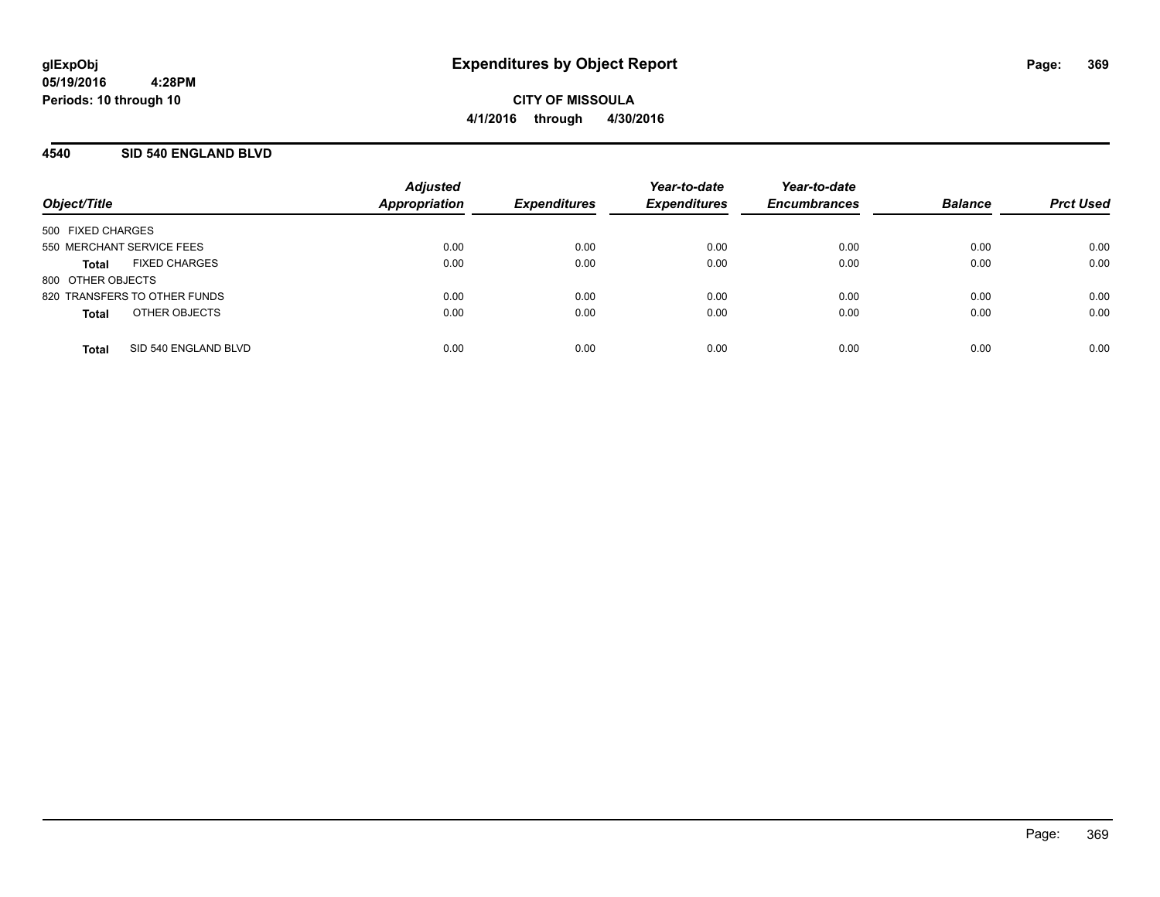## **4540 SID 540 ENGLAND BLVD**

| Object/Title                         | <b>Adjusted</b><br><b>Appropriation</b> | <b>Expenditures</b> | Year-to-date<br><b>Expenditures</b> | Year-to-date<br><b>Encumbrances</b> | <b>Balance</b> | <b>Prct Used</b> |
|--------------------------------------|-----------------------------------------|---------------------|-------------------------------------|-------------------------------------|----------------|------------------|
| 500 FIXED CHARGES                    |                                         |                     |                                     |                                     |                |                  |
| 550 MERCHANT SERVICE FEES            | 0.00                                    | 0.00                | 0.00                                | 0.00                                | 0.00           | 0.00             |
| <b>FIXED CHARGES</b><br><b>Total</b> | 0.00                                    | 0.00                | 0.00                                | 0.00                                | 0.00           | 0.00             |
| 800 OTHER OBJECTS                    |                                         |                     |                                     |                                     |                |                  |
| 820 TRANSFERS TO OTHER FUNDS         | 0.00                                    | 0.00                | 0.00                                | 0.00                                | 0.00           | 0.00             |
| OTHER OBJECTS<br><b>Total</b>        | 0.00                                    | 0.00                | 0.00                                | 0.00                                | 0.00           | 0.00             |
| SID 540 ENGLAND BLVD<br><b>Total</b> | 0.00                                    | 0.00                | 0.00                                | 0.00                                | 0.00           | 0.00             |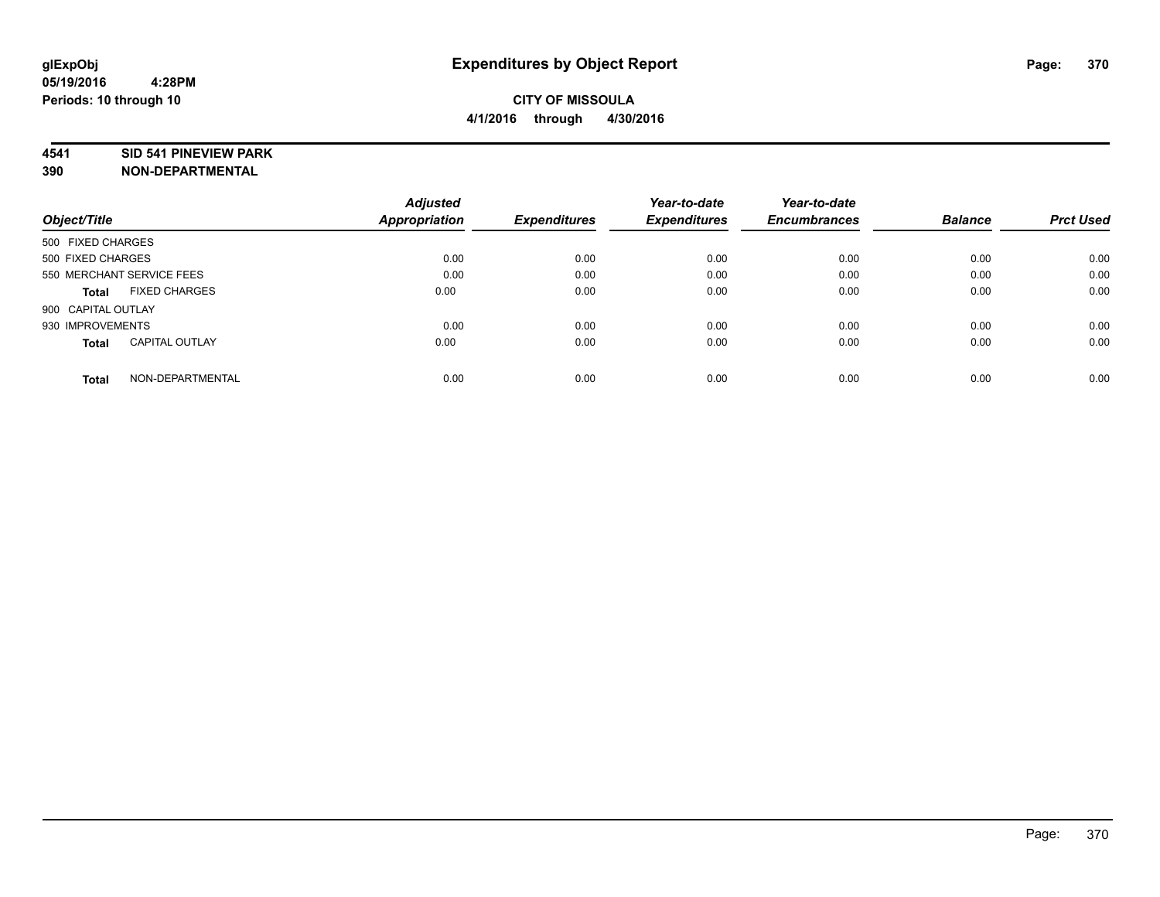#### **4541 SID 541 PINEVIEW PARK**

| Object/Title                          | <b>Adjusted</b><br><b>Appropriation</b> | <b>Expenditures</b> | Year-to-date<br><b>Expenditures</b> | Year-to-date<br><b>Encumbrances</b> | <b>Balance</b> | <b>Prct Used</b> |
|---------------------------------------|-----------------------------------------|---------------------|-------------------------------------|-------------------------------------|----------------|------------------|
| 500 FIXED CHARGES                     |                                         |                     |                                     |                                     |                |                  |
| 500 FIXED CHARGES                     | 0.00                                    | 0.00                | 0.00                                | 0.00                                | 0.00           | 0.00             |
| 550 MERCHANT SERVICE FEES             | 0.00                                    | 0.00                | 0.00                                | 0.00                                | 0.00           | 0.00             |
| <b>FIXED CHARGES</b><br><b>Total</b>  | 0.00                                    | 0.00                | 0.00                                | 0.00                                | 0.00           | 0.00             |
| 900 CAPITAL OUTLAY                    |                                         |                     |                                     |                                     |                |                  |
| 930 IMPROVEMENTS                      | 0.00                                    | 0.00                | 0.00                                | 0.00                                | 0.00           | 0.00             |
| <b>CAPITAL OUTLAY</b><br><b>Total</b> | 0.00                                    | 0.00                | 0.00                                | 0.00                                | 0.00           | 0.00             |
| NON-DEPARTMENTAL<br><b>Total</b>      | 0.00                                    | 0.00                | 0.00                                | 0.00                                | 0.00           | 0.00             |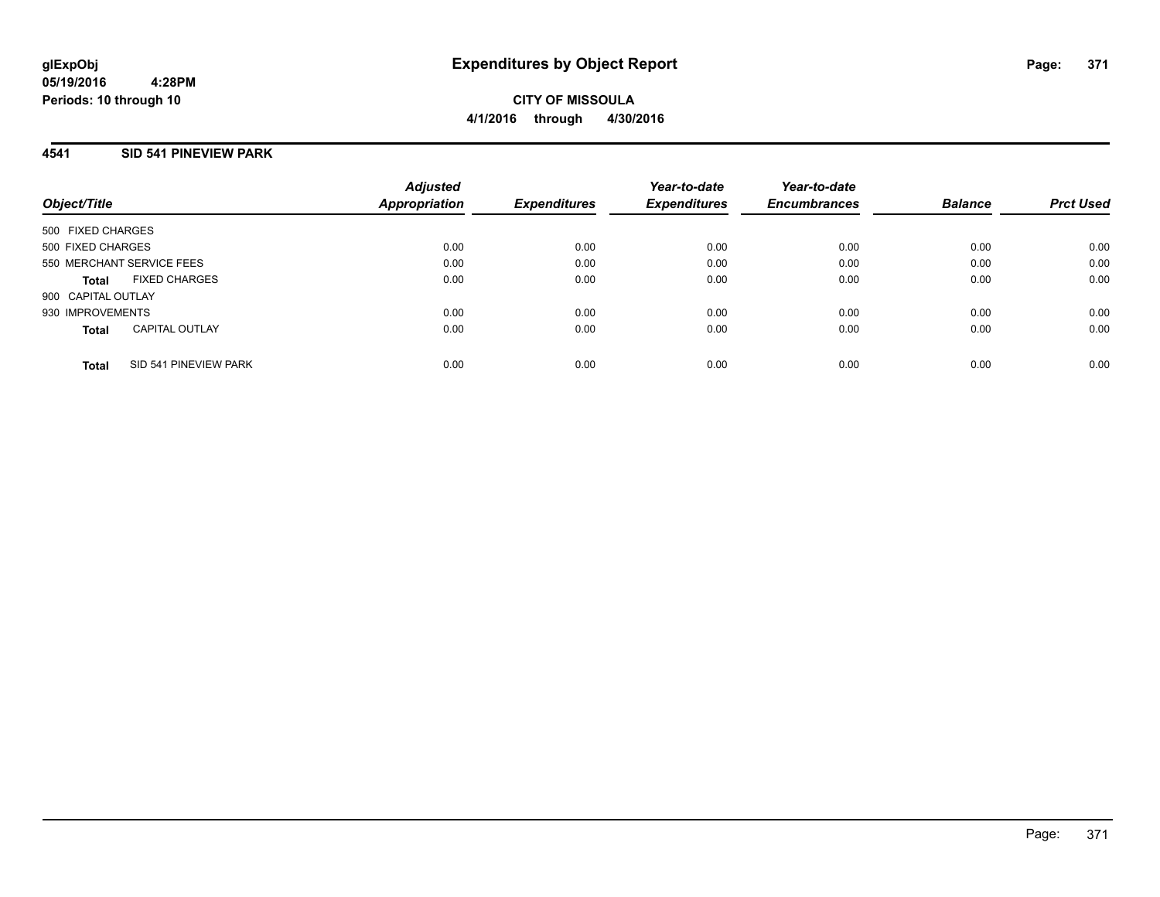**CITY OF MISSOULA 4/1/2016 through 4/30/2016**

## **4541 SID 541 PINEVIEW PARK**

| Object/Title       |                           | <b>Adjusted</b><br><b>Appropriation</b> | <b>Expenditures</b> | Year-to-date<br><b>Expenditures</b> | Year-to-date<br><b>Encumbrances</b> | <b>Balance</b> | <b>Prct Used</b> |
|--------------------|---------------------------|-----------------------------------------|---------------------|-------------------------------------|-------------------------------------|----------------|------------------|
| 500 FIXED CHARGES  |                           |                                         |                     |                                     |                                     |                |                  |
| 500 FIXED CHARGES  |                           | 0.00                                    | 0.00                | 0.00                                | 0.00                                | 0.00           | 0.00             |
|                    | 550 MERCHANT SERVICE FEES | 0.00                                    | 0.00                | 0.00                                | 0.00                                | 0.00           | 0.00             |
| Total              | <b>FIXED CHARGES</b>      | 0.00                                    | 0.00                | 0.00                                | 0.00                                | 0.00           | 0.00             |
| 900 CAPITAL OUTLAY |                           |                                         |                     |                                     |                                     |                |                  |
| 930 IMPROVEMENTS   |                           | 0.00                                    | 0.00                | 0.00                                | 0.00                                | 0.00           | 0.00             |
| <b>Total</b>       | <b>CAPITAL OUTLAY</b>     | 0.00                                    | 0.00                | 0.00                                | 0.00                                | 0.00           | 0.00             |
| <b>Total</b>       | SID 541 PINEVIEW PARK     | 0.00                                    | 0.00                | 0.00                                | 0.00                                | 0.00           | 0.00             |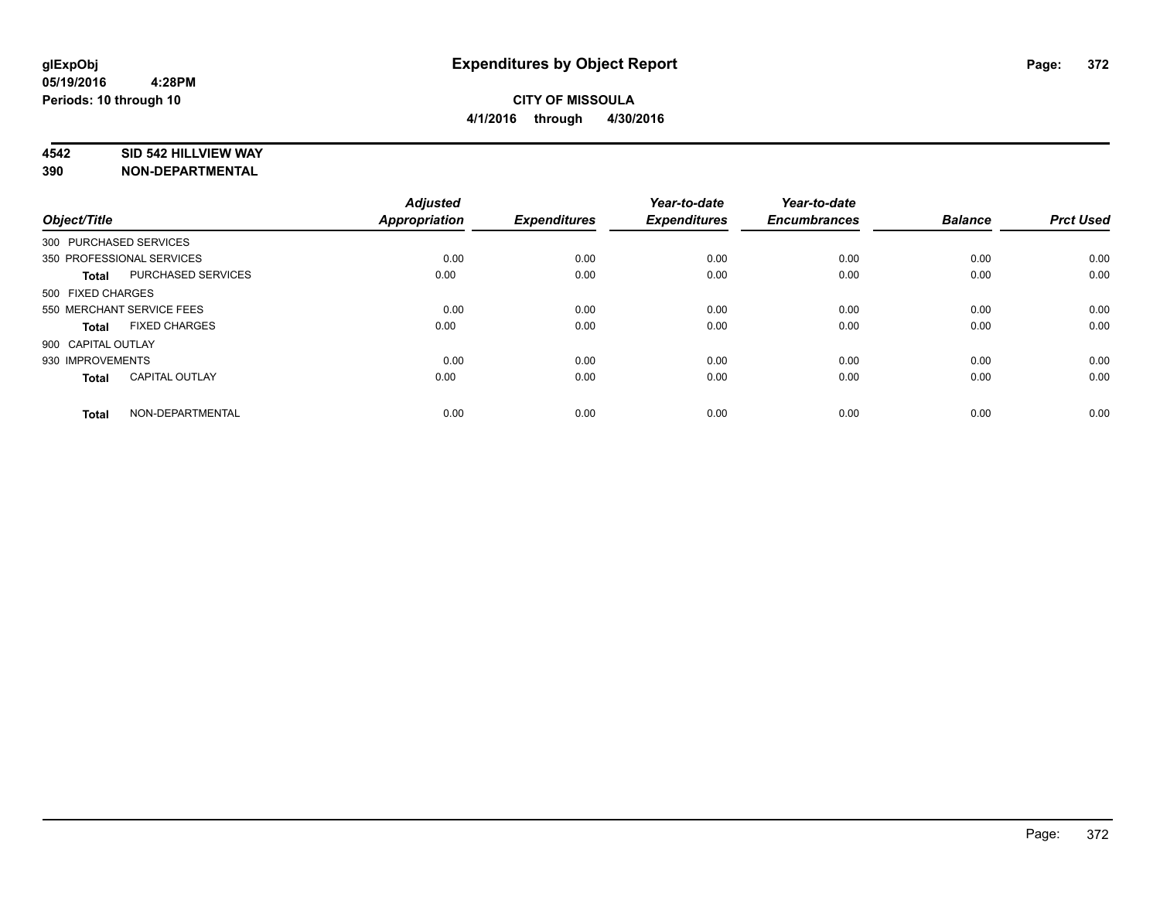#### **4542 SID 542 HILLVIEW WAY**

| Object/Title              |                           | <b>Adjusted</b><br><b>Appropriation</b> | <b>Expenditures</b> | Year-to-date<br><b>Expenditures</b> | Year-to-date<br><b>Encumbrances</b> | <b>Balance</b> | <b>Prct Used</b> |
|---------------------------|---------------------------|-----------------------------------------|---------------------|-------------------------------------|-------------------------------------|----------------|------------------|
| 300 PURCHASED SERVICES    |                           |                                         |                     |                                     |                                     |                |                  |
| 350 PROFESSIONAL SERVICES |                           | 0.00                                    | 0.00                | 0.00                                | 0.00                                | 0.00           | 0.00             |
| <b>Total</b>              | <b>PURCHASED SERVICES</b> | 0.00                                    | 0.00                | 0.00                                | 0.00                                | 0.00           | 0.00             |
| 500 FIXED CHARGES         |                           |                                         |                     |                                     |                                     |                |                  |
| 550 MERCHANT SERVICE FEES |                           | 0.00                                    | 0.00                | 0.00                                | 0.00                                | 0.00           | 0.00             |
| <b>Total</b>              | <b>FIXED CHARGES</b>      | 0.00                                    | 0.00                | 0.00                                | 0.00                                | 0.00           | 0.00             |
| 900 CAPITAL OUTLAY        |                           |                                         |                     |                                     |                                     |                |                  |
| 930 IMPROVEMENTS          |                           | 0.00                                    | 0.00                | 0.00                                | 0.00                                | 0.00           | 0.00             |
| <b>Total</b>              | <b>CAPITAL OUTLAY</b>     | 0.00                                    | 0.00                | 0.00                                | 0.00                                | 0.00           | 0.00             |
| <b>Total</b>              | NON-DEPARTMENTAL          | 0.00                                    | 0.00                | 0.00                                | 0.00                                | 0.00           | 0.00             |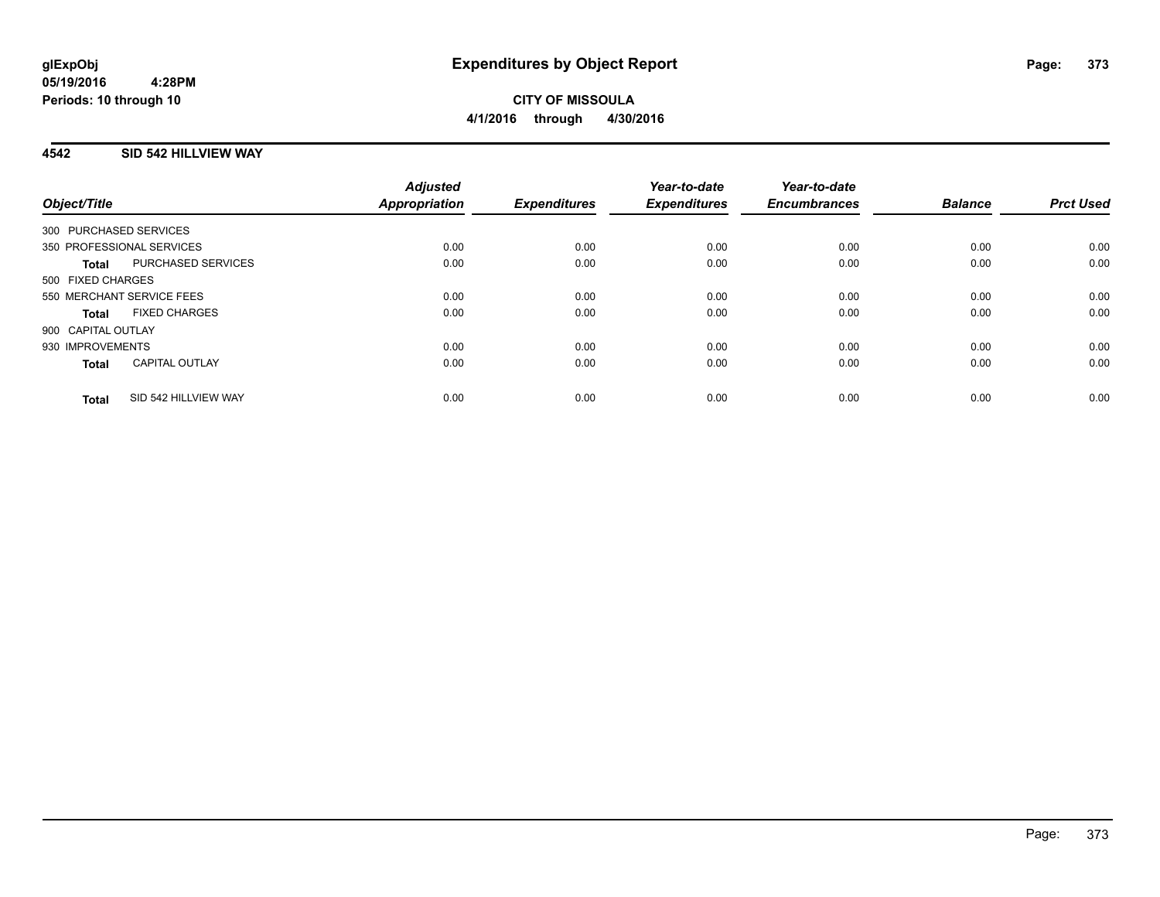## **4542 SID 542 HILLVIEW WAY**

| Object/Title                          |                      | <b>Adjusted</b><br>Appropriation | <b>Expenditures</b> | Year-to-date<br><b>Expenditures</b> | Year-to-date<br><b>Encumbrances</b> | <b>Balance</b> | <b>Prct Used</b> |
|---------------------------------------|----------------------|----------------------------------|---------------------|-------------------------------------|-------------------------------------|----------------|------------------|
|                                       |                      |                                  |                     |                                     |                                     |                |                  |
| 300 PURCHASED SERVICES                |                      |                                  |                     |                                     |                                     |                |                  |
| 350 PROFESSIONAL SERVICES             |                      | 0.00                             | 0.00                | 0.00                                | 0.00                                | 0.00           | 0.00             |
| <b>Total</b>                          | PURCHASED SERVICES   | 0.00                             | 0.00                | 0.00                                | 0.00                                | 0.00           | 0.00             |
| 500 FIXED CHARGES                     |                      |                                  |                     |                                     |                                     |                |                  |
| 550 MERCHANT SERVICE FEES             |                      | 0.00                             | 0.00                | 0.00                                | 0.00                                | 0.00           | 0.00             |
| <b>FIXED CHARGES</b><br><b>Total</b>  |                      | 0.00                             | 0.00                | 0.00                                | 0.00                                | 0.00           | 0.00             |
| 900 CAPITAL OUTLAY                    |                      |                                  |                     |                                     |                                     |                |                  |
| 930 IMPROVEMENTS                      |                      | 0.00                             | 0.00                | 0.00                                | 0.00                                | 0.00           | 0.00             |
| <b>CAPITAL OUTLAY</b><br><b>Total</b> |                      | 0.00                             | 0.00                | 0.00                                | 0.00                                | 0.00           | 0.00             |
| <b>Total</b>                          | SID 542 HILLVIEW WAY | 0.00                             | 0.00                | 0.00                                | 0.00                                | 0.00           | 0.00             |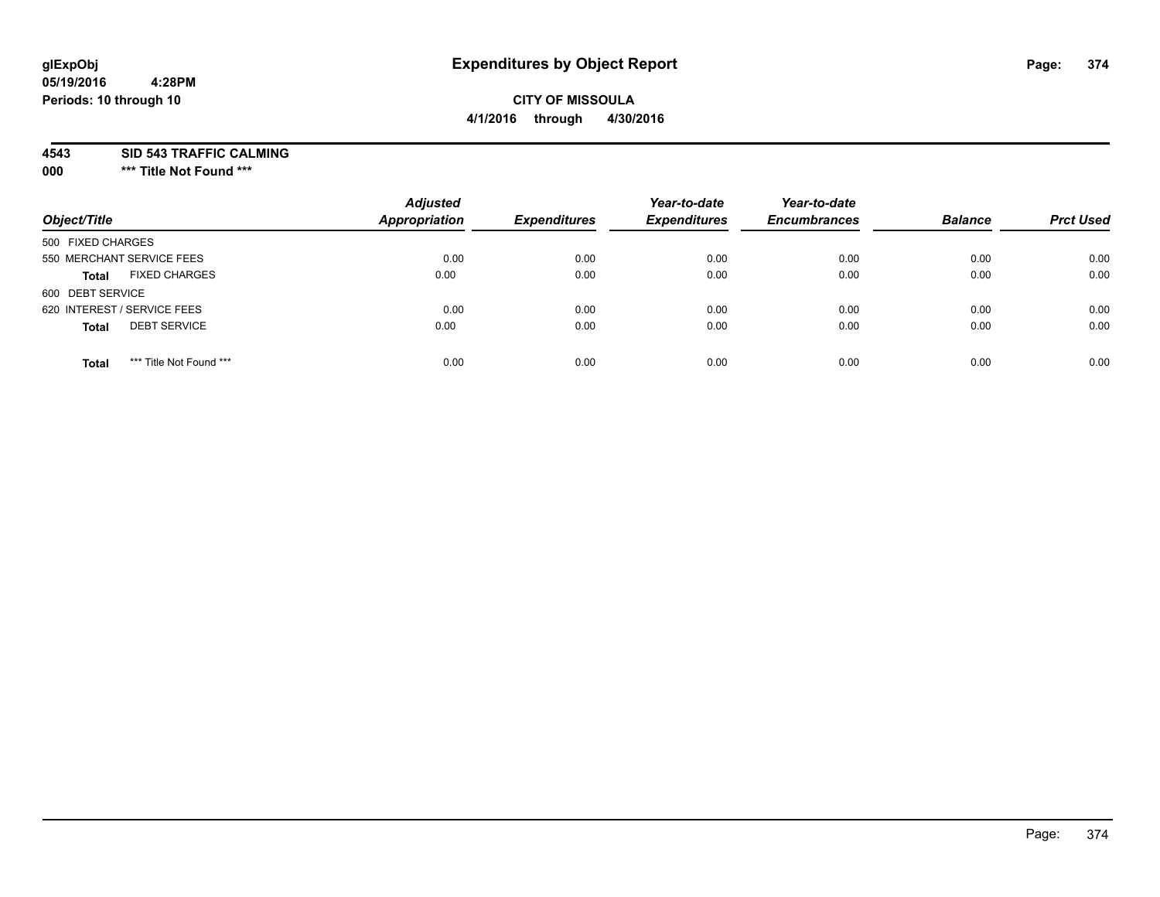# **CITY OF MISSOULA 4/1/2016 through 4/30/2016**

**4543 SID 543 TRAFFIC CALMING**

**000 \*\*\* Title Not Found \*\*\***

| Object/Title                            | <b>Adjusted</b><br><b>Appropriation</b> | <b>Expenditures</b> | Year-to-date<br><b>Expenditures</b> | Year-to-date<br><b>Encumbrances</b> | <b>Balance</b> | <b>Prct Used</b> |
|-----------------------------------------|-----------------------------------------|---------------------|-------------------------------------|-------------------------------------|----------------|------------------|
| 500 FIXED CHARGES                       |                                         |                     |                                     |                                     |                |                  |
| 550 MERCHANT SERVICE FEES               | 0.00                                    | 0.00                | 0.00                                | 0.00                                | 0.00           | 0.00             |
| <b>FIXED CHARGES</b><br><b>Total</b>    | 0.00                                    | 0.00                | 0.00                                | 0.00                                | 0.00           | 0.00             |
| 600 DEBT SERVICE                        |                                         |                     |                                     |                                     |                |                  |
| 620 INTEREST / SERVICE FEES             | 0.00                                    | 0.00                | 0.00                                | 0.00                                | 0.00           | 0.00             |
| <b>DEBT SERVICE</b><br><b>Total</b>     | 0.00                                    | 0.00                | 0.00                                | 0.00                                | 0.00           | 0.00             |
| *** Title Not Found ***<br><b>Total</b> | 0.00                                    | 0.00                | 0.00                                | 0.00                                | 0.00           | 0.00             |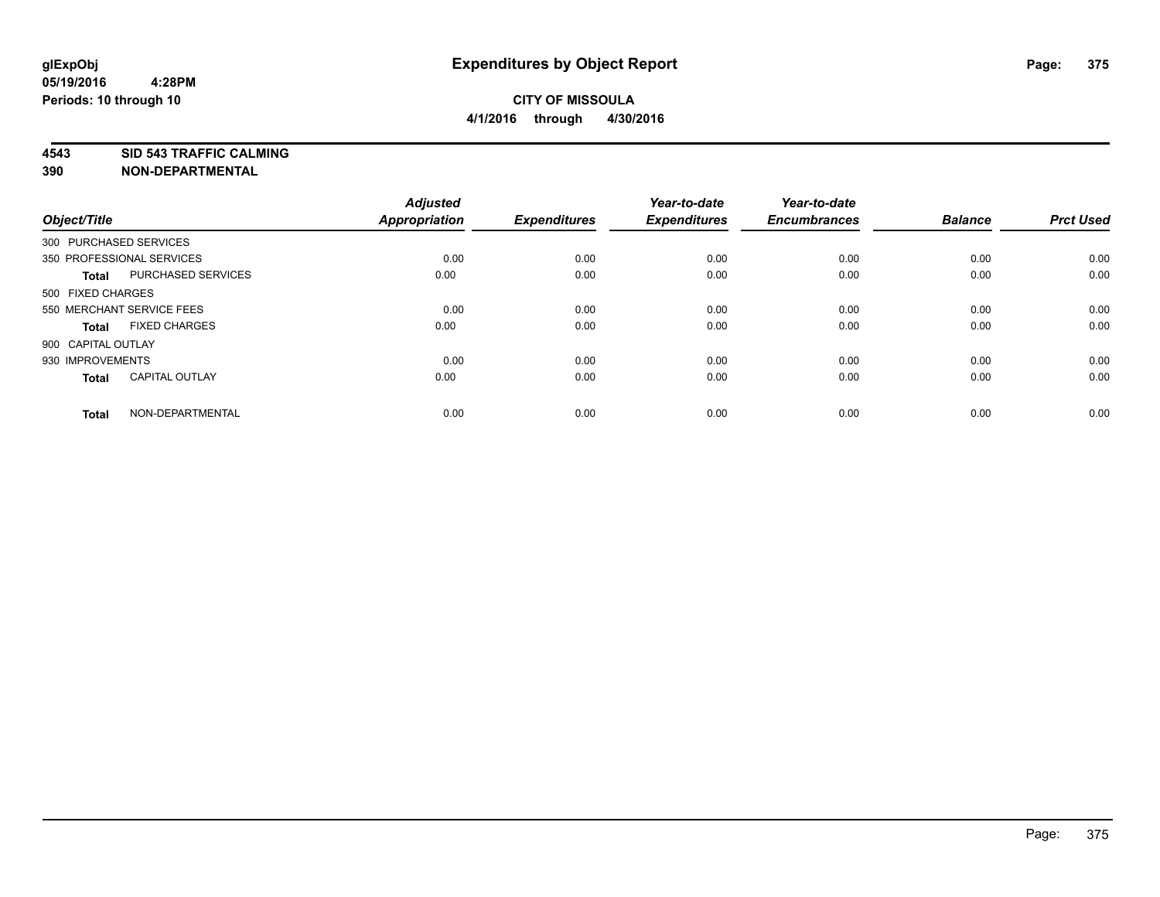**4543 SID 543 TRAFFIC CALMING**

| Object/Title           |                           | <b>Adjusted</b><br><b>Appropriation</b> | <b>Expenditures</b> | Year-to-date<br><b>Expenditures</b> | Year-to-date<br><b>Encumbrances</b> | <b>Balance</b> | <b>Prct Used</b> |
|------------------------|---------------------------|-----------------------------------------|---------------------|-------------------------------------|-------------------------------------|----------------|------------------|
| 300 PURCHASED SERVICES |                           |                                         |                     |                                     |                                     |                |                  |
|                        | 350 PROFESSIONAL SERVICES | 0.00                                    | 0.00                | 0.00                                | 0.00                                | 0.00           | 0.00             |
| <b>Total</b>           | <b>PURCHASED SERVICES</b> | 0.00                                    | 0.00                | 0.00                                | 0.00                                | 0.00           | 0.00             |
| 500 FIXED CHARGES      |                           |                                         |                     |                                     |                                     |                |                  |
|                        | 550 MERCHANT SERVICE FEES | 0.00                                    | 0.00                | 0.00                                | 0.00                                | 0.00           | 0.00             |
| <b>Total</b>           | <b>FIXED CHARGES</b>      | 0.00                                    | 0.00                | 0.00                                | 0.00                                | 0.00           | 0.00             |
| 900 CAPITAL OUTLAY     |                           |                                         |                     |                                     |                                     |                |                  |
| 930 IMPROVEMENTS       |                           | 0.00                                    | 0.00                | 0.00                                | 0.00                                | 0.00           | 0.00             |
| <b>Total</b>           | <b>CAPITAL OUTLAY</b>     | 0.00                                    | 0.00                | 0.00                                | 0.00                                | 0.00           | 0.00             |
| <b>Total</b>           | NON-DEPARTMENTAL          | 0.00                                    | 0.00                | 0.00                                | 0.00                                | 0.00           | 0.00             |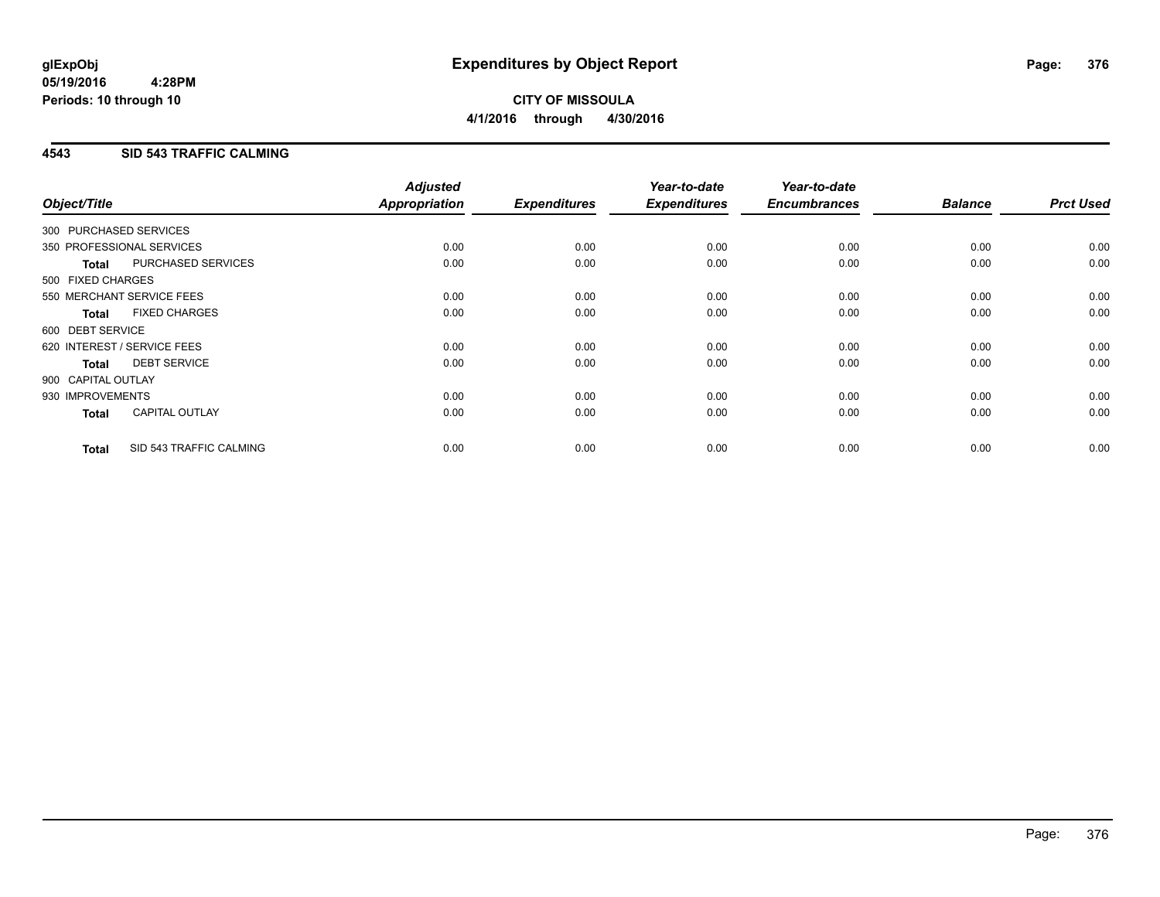# **CITY OF MISSOULA 4/1/2016 through 4/30/2016**

## **4543 SID 543 TRAFFIC CALMING**

|                        |                             | <b>Adjusted</b> |                     | Year-to-date        | Year-to-date        |                |                  |
|------------------------|-----------------------------|-----------------|---------------------|---------------------|---------------------|----------------|------------------|
| Object/Title           |                             | Appropriation   | <b>Expenditures</b> | <b>Expenditures</b> | <b>Encumbrances</b> | <b>Balance</b> | <b>Prct Used</b> |
| 300 PURCHASED SERVICES |                             |                 |                     |                     |                     |                |                  |
|                        | 350 PROFESSIONAL SERVICES   | 0.00            | 0.00                | 0.00                | 0.00                | 0.00           | 0.00             |
| <b>Total</b>           | PURCHASED SERVICES          | 0.00            | 0.00                | 0.00                | 0.00                | 0.00           | 0.00             |
| 500 FIXED CHARGES      |                             |                 |                     |                     |                     |                |                  |
|                        | 550 MERCHANT SERVICE FEES   | 0.00            | 0.00                | 0.00                | 0.00                | 0.00           | 0.00             |
| <b>Total</b>           | <b>FIXED CHARGES</b>        | 0.00            | 0.00                | 0.00                | 0.00                | 0.00           | 0.00             |
| 600 DEBT SERVICE       |                             |                 |                     |                     |                     |                |                  |
|                        | 620 INTEREST / SERVICE FEES | 0.00            | 0.00                | 0.00                | 0.00                | 0.00           | 0.00             |
| <b>Total</b>           | <b>DEBT SERVICE</b>         | 0.00            | 0.00                | 0.00                | 0.00                | 0.00           | 0.00             |
| 900 CAPITAL OUTLAY     |                             |                 |                     |                     |                     |                |                  |
| 930 IMPROVEMENTS       |                             | 0.00            | 0.00                | 0.00                | 0.00                | 0.00           | 0.00             |
| <b>Total</b>           | <b>CAPITAL OUTLAY</b>       | 0.00            | 0.00                | 0.00                | 0.00                | 0.00           | 0.00             |
| <b>Total</b>           | SID 543 TRAFFIC CALMING     | 0.00            | 0.00                | 0.00                | 0.00                | 0.00           | 0.00             |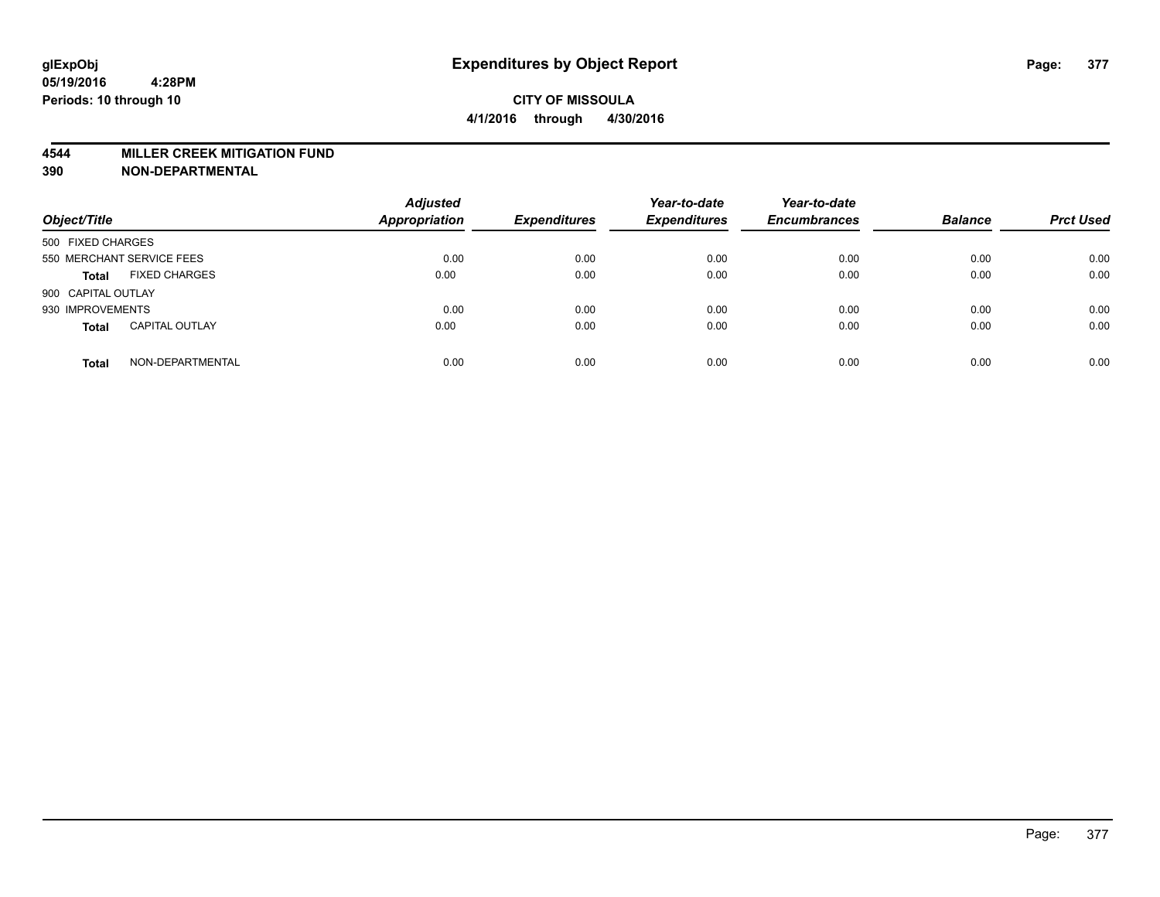#### **4544 MILLER CREEK MITIGATION FUND**

| Object/Title                          | <b>Adjusted</b><br><b>Appropriation</b> | <b>Expenditures</b> | Year-to-date<br><b>Expenditures</b> | Year-to-date<br><b>Encumbrances</b> | <b>Balance</b> | <b>Prct Used</b> |
|---------------------------------------|-----------------------------------------|---------------------|-------------------------------------|-------------------------------------|----------------|------------------|
| 500 FIXED CHARGES                     |                                         |                     |                                     |                                     |                |                  |
| 550 MERCHANT SERVICE FEES             | 0.00                                    | 0.00                | 0.00                                | 0.00                                | 0.00           | 0.00             |
| <b>FIXED CHARGES</b><br><b>Total</b>  | 0.00                                    | 0.00                | 0.00                                | 0.00                                | 0.00           | 0.00             |
| 900 CAPITAL OUTLAY                    |                                         |                     |                                     |                                     |                |                  |
| 930 IMPROVEMENTS                      | 0.00                                    | 0.00                | 0.00                                | 0.00                                | 0.00           | 0.00             |
| <b>CAPITAL OUTLAY</b><br><b>Total</b> | 0.00                                    | 0.00                | 0.00                                | 0.00                                | 0.00           | 0.00             |
| NON-DEPARTMENTAL<br><b>Total</b>      | 0.00                                    | 0.00                | 0.00                                | 0.00                                | 0.00           | 0.00             |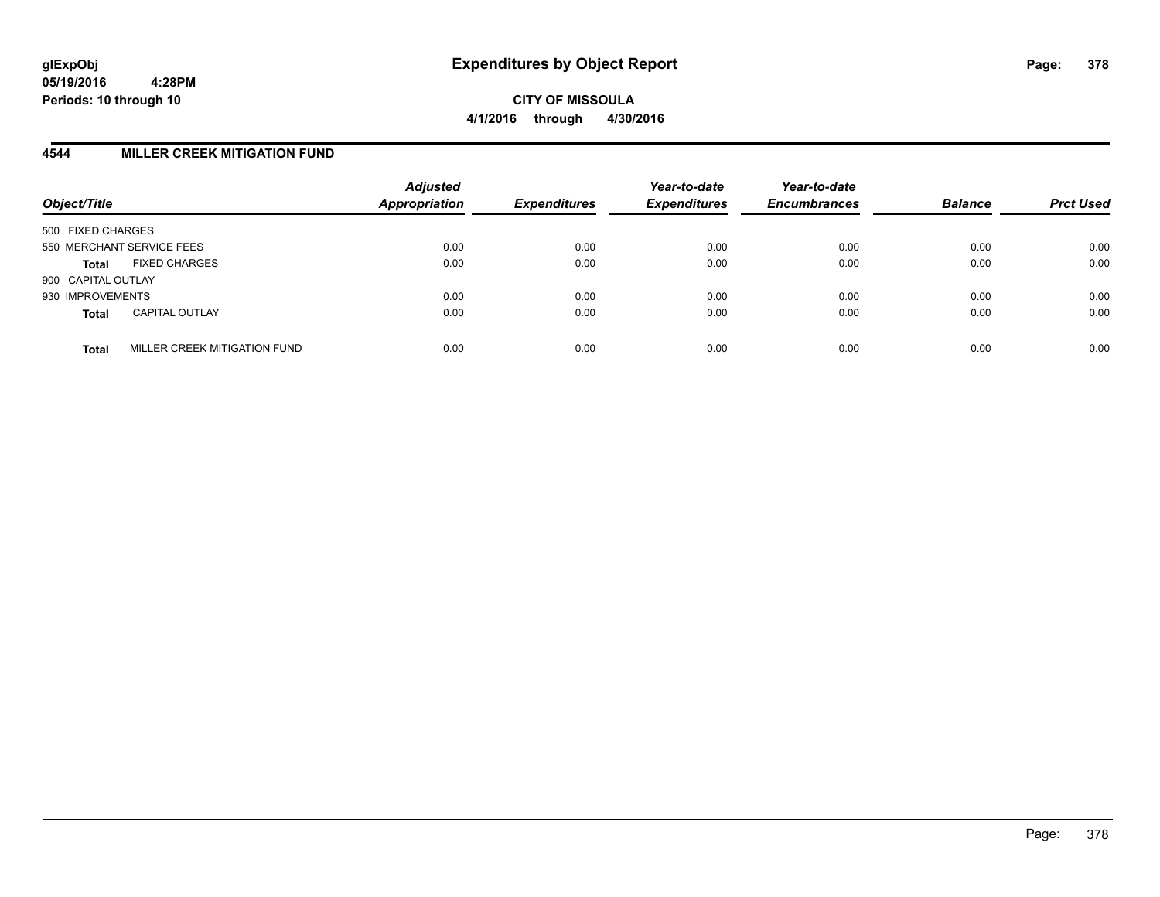## **4544 MILLER CREEK MITIGATION FUND**

| Object/Title       |                              | <b>Adjusted</b><br><b>Appropriation</b> | <b>Expenditures</b> | Year-to-date<br><b>Expenditures</b> | Year-to-date<br><b>Encumbrances</b> | <b>Balance</b> | <b>Prct Used</b> |
|--------------------|------------------------------|-----------------------------------------|---------------------|-------------------------------------|-------------------------------------|----------------|------------------|
| 500 FIXED CHARGES  |                              |                                         |                     |                                     |                                     |                |                  |
|                    | 550 MERCHANT SERVICE FEES    | 0.00                                    | 0.00                | 0.00                                | 0.00                                | 0.00           | 0.00             |
| <b>Total</b>       | <b>FIXED CHARGES</b>         | 0.00                                    | 0.00                | 0.00                                | 0.00                                | 0.00           | 0.00             |
| 900 CAPITAL OUTLAY |                              |                                         |                     |                                     |                                     |                |                  |
| 930 IMPROVEMENTS   |                              | 0.00                                    | 0.00                | 0.00                                | 0.00                                | 0.00           | 0.00             |
| <b>Total</b>       | <b>CAPITAL OUTLAY</b>        | 0.00                                    | 0.00                | 0.00                                | 0.00                                | 0.00           | 0.00             |
| <b>Total</b>       | MILLER CREEK MITIGATION FUND | 0.00                                    | 0.00                | 0.00                                | 0.00                                | 0.00           | 0.00             |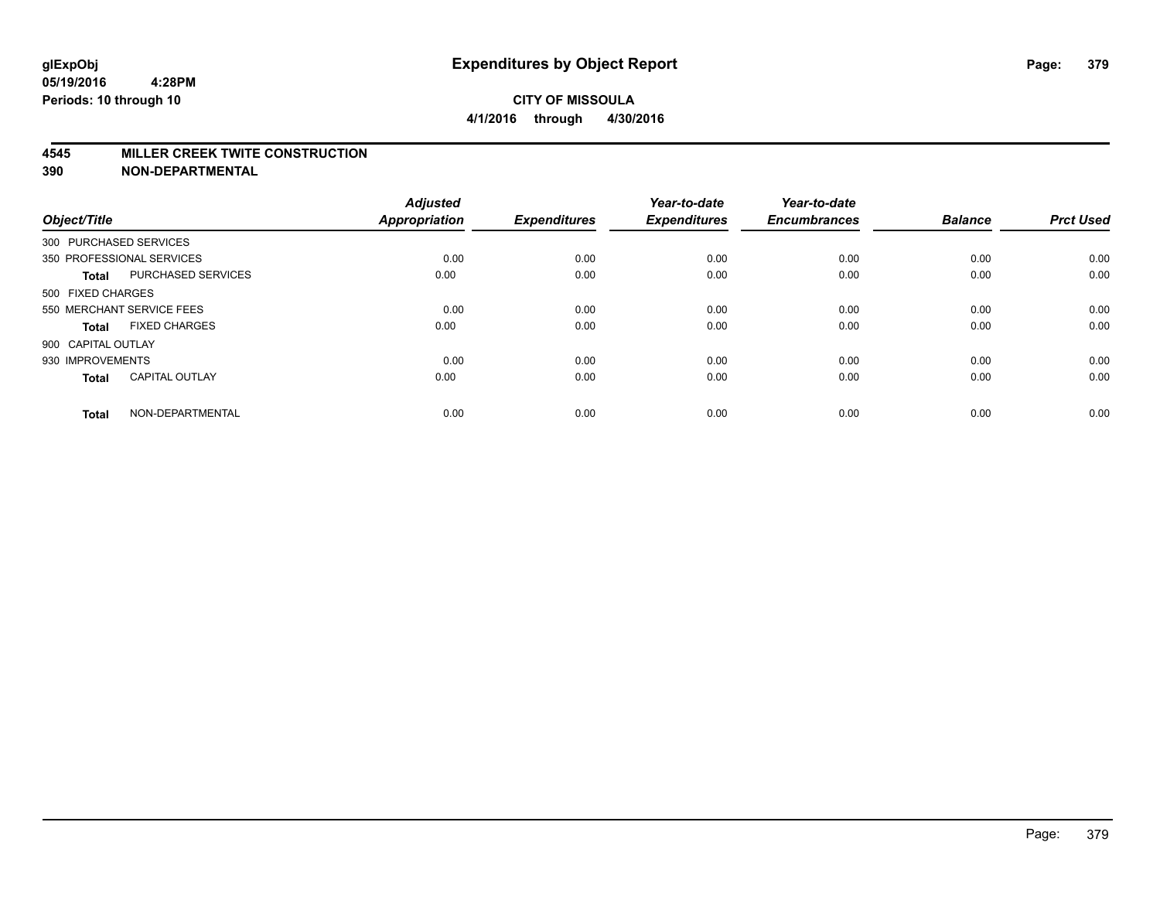## **CITY OF MISSOULA 4/1/2016 through 4/30/2016**

#### **4545 MILLER CREEK TWITE CONSTRUCTION**

| Object/Title       |                           | <b>Adjusted</b><br>Appropriation | <b>Expenditures</b> | Year-to-date<br><b>Expenditures</b> | Year-to-date<br><b>Encumbrances</b> | <b>Balance</b> | <b>Prct Used</b> |
|--------------------|---------------------------|----------------------------------|---------------------|-------------------------------------|-------------------------------------|----------------|------------------|
|                    | 300 PURCHASED SERVICES    |                                  |                     |                                     |                                     |                |                  |
|                    | 350 PROFESSIONAL SERVICES | 0.00                             | 0.00                | 0.00                                | 0.00                                | 0.00           | 0.00             |
| <b>Total</b>       | PURCHASED SERVICES        | 0.00                             | 0.00                | 0.00                                | 0.00                                | 0.00           | 0.00             |
| 500 FIXED CHARGES  |                           |                                  |                     |                                     |                                     |                |                  |
|                    | 550 MERCHANT SERVICE FEES | 0.00                             | 0.00                | 0.00                                | 0.00                                | 0.00           | 0.00             |
| <b>Total</b>       | <b>FIXED CHARGES</b>      | 0.00                             | 0.00                | 0.00                                | 0.00                                | 0.00           | 0.00             |
| 900 CAPITAL OUTLAY |                           |                                  |                     |                                     |                                     |                |                  |
| 930 IMPROVEMENTS   |                           | 0.00                             | 0.00                | 0.00                                | 0.00                                | 0.00           | 0.00             |
| <b>Total</b>       | <b>CAPITAL OUTLAY</b>     | 0.00                             | 0.00                | 0.00                                | 0.00                                | 0.00           | 0.00             |
| <b>Total</b>       | NON-DEPARTMENTAL          | 0.00                             | 0.00                | 0.00                                | 0.00                                | 0.00           | 0.00             |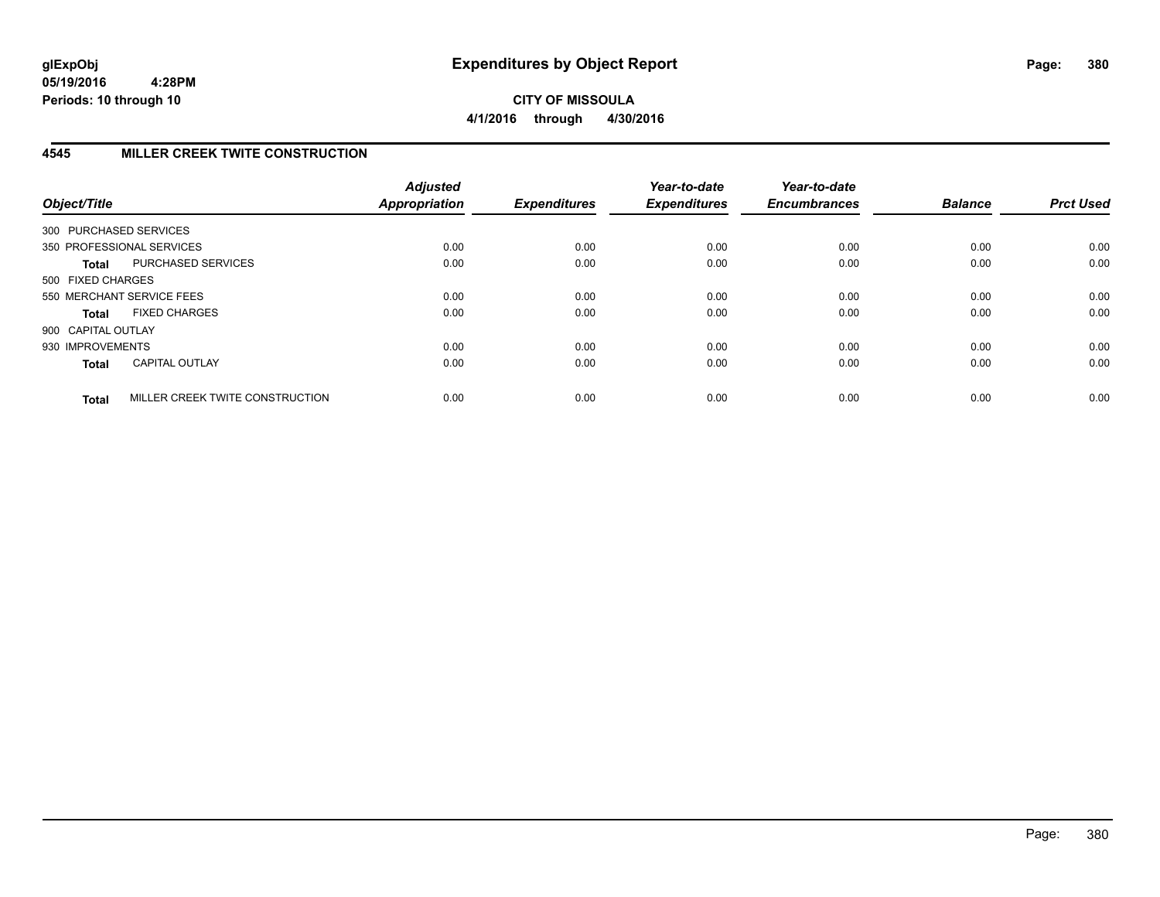## **CITY OF MISSOULA 4/1/2016 through 4/30/2016**

# **4545 MILLER CREEK TWITE CONSTRUCTION**

| Object/Title       |                                 | <b>Adjusted</b><br><b>Appropriation</b> | <b>Expenditures</b> | Year-to-date<br><b>Expenditures</b> | Year-to-date<br><b>Encumbrances</b> | <b>Balance</b> | <b>Prct Used</b> |
|--------------------|---------------------------------|-----------------------------------------|---------------------|-------------------------------------|-------------------------------------|----------------|------------------|
|                    | 300 PURCHASED SERVICES          |                                         |                     |                                     |                                     |                |                  |
|                    | 350 PROFESSIONAL SERVICES       | 0.00                                    | 0.00                | 0.00                                | 0.00                                | 0.00           | 0.00             |
| <b>Total</b>       | PURCHASED SERVICES              | 0.00                                    | 0.00                | 0.00                                | 0.00                                | 0.00           | 0.00             |
| 500 FIXED CHARGES  |                                 |                                         |                     |                                     |                                     |                |                  |
|                    | 550 MERCHANT SERVICE FEES       | 0.00                                    | 0.00                | 0.00                                | 0.00                                | 0.00           | 0.00             |
| <b>Total</b>       | <b>FIXED CHARGES</b>            | 0.00                                    | 0.00                | 0.00                                | 0.00                                | 0.00           | 0.00             |
| 900 CAPITAL OUTLAY |                                 |                                         |                     |                                     |                                     |                |                  |
| 930 IMPROVEMENTS   |                                 | 0.00                                    | 0.00                | 0.00                                | 0.00                                | 0.00           | 0.00             |
| <b>Total</b>       | <b>CAPITAL OUTLAY</b>           | 0.00                                    | 0.00                | 0.00                                | 0.00                                | 0.00           | 0.00             |
| <b>Total</b>       | MILLER CREEK TWITE CONSTRUCTION | 0.00                                    | 0.00                | 0.00                                | 0.00                                | 0.00           | 0.00             |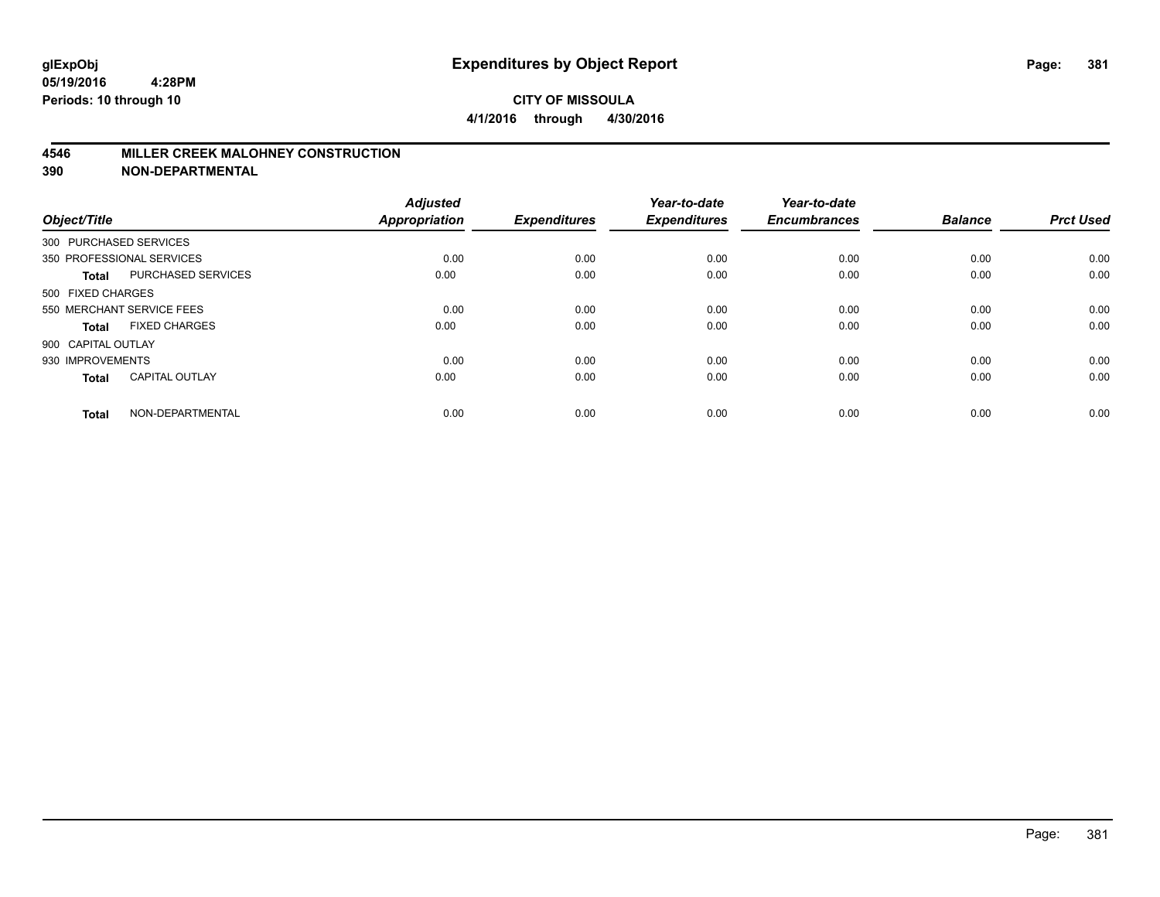## **4546 MILLER CREEK MALOHNEY CONSTRUCTION**

| Object/Title           |                           | <b>Adjusted</b><br><b>Appropriation</b> | <b>Expenditures</b> | Year-to-date<br><b>Expenditures</b> | Year-to-date<br><b>Encumbrances</b> | <b>Balance</b> | <b>Prct Used</b> |
|------------------------|---------------------------|-----------------------------------------|---------------------|-------------------------------------|-------------------------------------|----------------|------------------|
| 300 PURCHASED SERVICES |                           |                                         |                     |                                     |                                     |                |                  |
|                        | 350 PROFESSIONAL SERVICES | 0.00                                    | 0.00                | 0.00                                | 0.00                                | 0.00           | 0.00             |
| <b>Total</b>           | <b>PURCHASED SERVICES</b> | 0.00                                    | 0.00                | 0.00                                | 0.00                                | 0.00           | 0.00             |
| 500 FIXED CHARGES      |                           |                                         |                     |                                     |                                     |                |                  |
|                        | 550 MERCHANT SERVICE FEES | 0.00                                    | 0.00                | 0.00                                | 0.00                                | 0.00           | 0.00             |
| Total                  | <b>FIXED CHARGES</b>      | 0.00                                    | 0.00                | 0.00                                | 0.00                                | 0.00           | 0.00             |
| 900 CAPITAL OUTLAY     |                           |                                         |                     |                                     |                                     |                |                  |
| 930 IMPROVEMENTS       |                           | 0.00                                    | 0.00                | 0.00                                | 0.00                                | 0.00           | 0.00             |
| Total                  | <b>CAPITAL OUTLAY</b>     | 0.00                                    | 0.00                | 0.00                                | 0.00                                | 0.00           | 0.00             |
| <b>Total</b>           | NON-DEPARTMENTAL          | 0.00                                    | 0.00                | 0.00                                | 0.00                                | 0.00           | 0.00             |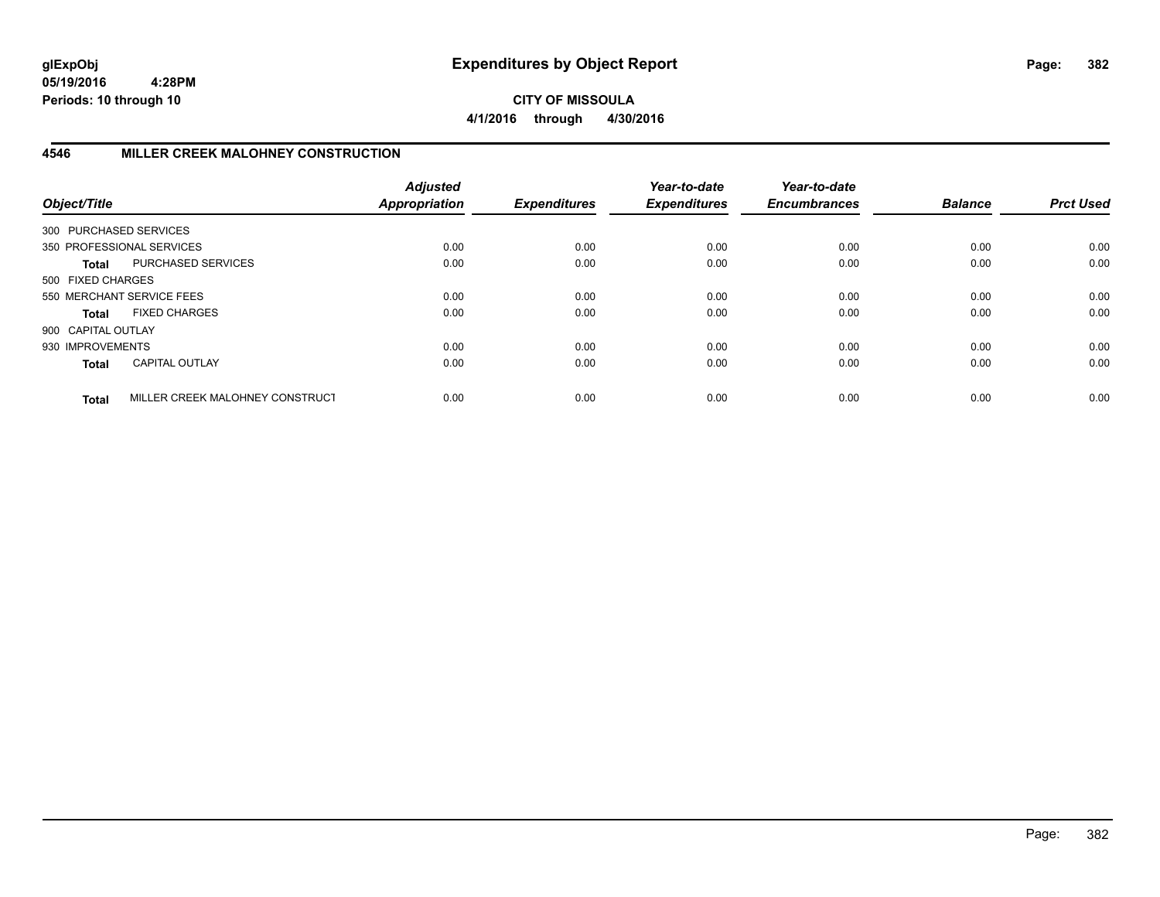## **CITY OF MISSOULA 4/1/2016 through 4/30/2016**

# **4546 MILLER CREEK MALOHNEY CONSTRUCTION**

| Object/Title           |                                 | <b>Adjusted</b><br><b>Appropriation</b> | <b>Expenditures</b> | Year-to-date<br><b>Expenditures</b> | Year-to-date<br><b>Encumbrances</b> | <b>Balance</b> | <b>Prct Used</b> |
|------------------------|---------------------------------|-----------------------------------------|---------------------|-------------------------------------|-------------------------------------|----------------|------------------|
| 300 PURCHASED SERVICES |                                 |                                         |                     |                                     |                                     |                |                  |
|                        | 350 PROFESSIONAL SERVICES       | 0.00                                    | 0.00                | 0.00                                | 0.00                                | 0.00           | 0.00             |
| Total                  | PURCHASED SERVICES              | 0.00                                    | 0.00                | 0.00                                | 0.00                                | 0.00           | 0.00             |
| 500 FIXED CHARGES      |                                 |                                         |                     |                                     |                                     |                |                  |
|                        | 550 MERCHANT SERVICE FEES       | 0.00                                    | 0.00                | 0.00                                | 0.00                                | 0.00           | 0.00             |
| Total                  | <b>FIXED CHARGES</b>            | 0.00                                    | 0.00                | 0.00                                | 0.00                                | 0.00           | 0.00             |
| 900 CAPITAL OUTLAY     |                                 |                                         |                     |                                     |                                     |                |                  |
| 930 IMPROVEMENTS       |                                 | 0.00                                    | 0.00                | 0.00                                | 0.00                                | 0.00           | 0.00             |
| <b>Total</b>           | <b>CAPITAL OUTLAY</b>           | 0.00                                    | 0.00                | 0.00                                | 0.00                                | 0.00           | 0.00             |
| <b>Total</b>           | MILLER CREEK MALOHNEY CONSTRUCT | 0.00                                    | 0.00                | 0.00                                | 0.00                                | 0.00           | 0.00             |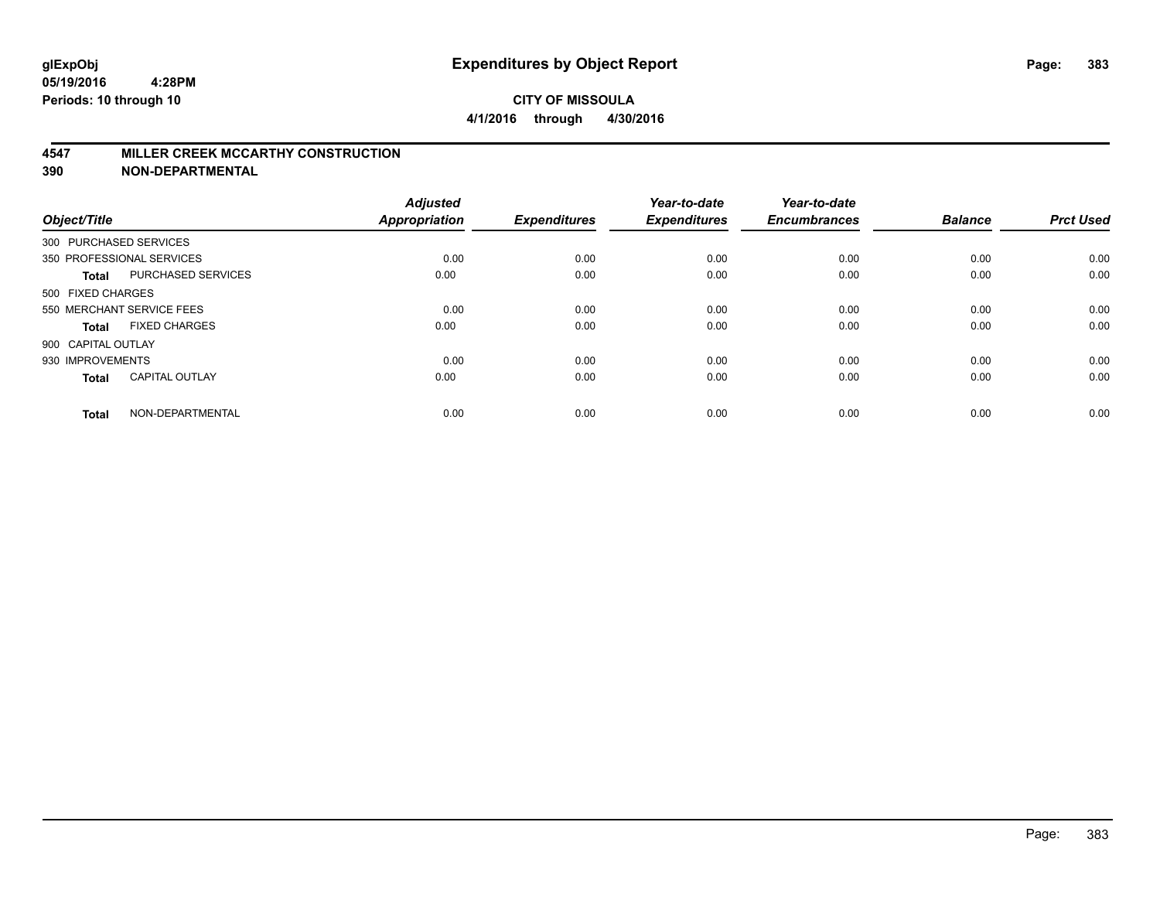#### **4547 MILLER CREEK MCCARTHY CONSTRUCTION**

| Object/Title           |                           | <b>Adjusted</b><br><b>Appropriation</b> | <b>Expenditures</b> | Year-to-date<br><b>Expenditures</b> | Year-to-date<br><b>Encumbrances</b> | <b>Balance</b> | <b>Prct Used</b> |
|------------------------|---------------------------|-----------------------------------------|---------------------|-------------------------------------|-------------------------------------|----------------|------------------|
| 300 PURCHASED SERVICES |                           |                                         |                     |                                     |                                     |                |                  |
|                        | 350 PROFESSIONAL SERVICES | 0.00                                    | 0.00                | 0.00                                | 0.00                                | 0.00           | 0.00             |
| <b>Total</b>           | <b>PURCHASED SERVICES</b> | 0.00                                    | 0.00                | 0.00                                | 0.00                                | 0.00           | 0.00             |
| 500 FIXED CHARGES      |                           |                                         |                     |                                     |                                     |                |                  |
|                        | 550 MERCHANT SERVICE FEES | 0.00                                    | 0.00                | 0.00                                | 0.00                                | 0.00           | 0.00             |
| Total                  | <b>FIXED CHARGES</b>      | 0.00                                    | 0.00                | 0.00                                | 0.00                                | 0.00           | 0.00             |
| 900 CAPITAL OUTLAY     |                           |                                         |                     |                                     |                                     |                |                  |
| 930 IMPROVEMENTS       |                           | 0.00                                    | 0.00                | 0.00                                | 0.00                                | 0.00           | 0.00             |
| Total                  | <b>CAPITAL OUTLAY</b>     | 0.00                                    | 0.00                | 0.00                                | 0.00                                | 0.00           | 0.00             |
| <b>Total</b>           | NON-DEPARTMENTAL          | 0.00                                    | 0.00                | 0.00                                | 0.00                                | 0.00           | 0.00             |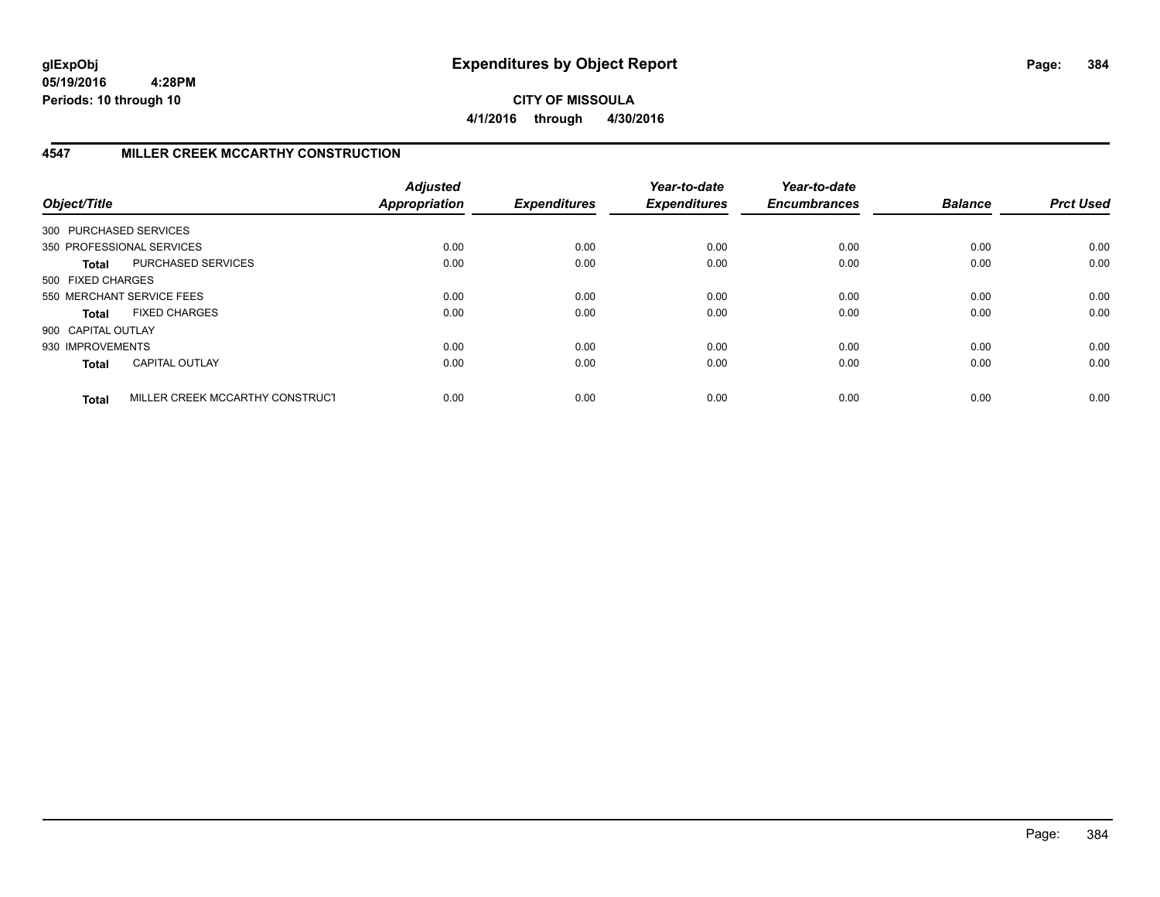## **CITY OF MISSOULA 4/1/2016 through 4/30/2016**

# **4547 MILLER CREEK MCCARTHY CONSTRUCTION**

| Object/Title           |                                 | <b>Adjusted</b><br><b>Appropriation</b> | <b>Expenditures</b> | Year-to-date<br><b>Expenditures</b> | Year-to-date<br><b>Encumbrances</b> | <b>Balance</b> | <b>Prct Used</b> |
|------------------------|---------------------------------|-----------------------------------------|---------------------|-------------------------------------|-------------------------------------|----------------|------------------|
| 300 PURCHASED SERVICES |                                 |                                         |                     |                                     |                                     |                |                  |
|                        | 350 PROFESSIONAL SERVICES       | 0.00                                    | 0.00                | 0.00                                | 0.00                                | 0.00           | 0.00             |
| Total                  | PURCHASED SERVICES              | 0.00                                    | 0.00                | 0.00                                | 0.00                                | 0.00           | 0.00             |
| 500 FIXED CHARGES      |                                 |                                         |                     |                                     |                                     |                |                  |
|                        | 550 MERCHANT SERVICE FEES       | 0.00                                    | 0.00                | 0.00                                | 0.00                                | 0.00           | 0.00             |
| Total                  | <b>FIXED CHARGES</b>            | 0.00                                    | 0.00                | 0.00                                | 0.00                                | 0.00           | 0.00             |
| 900 CAPITAL OUTLAY     |                                 |                                         |                     |                                     |                                     |                |                  |
| 930 IMPROVEMENTS       |                                 | 0.00                                    | 0.00                | 0.00                                | 0.00                                | 0.00           | 0.00             |
| <b>Total</b>           | CAPITAL OUTLAY                  | 0.00                                    | 0.00                | 0.00                                | 0.00                                | 0.00           | 0.00             |
| <b>Total</b>           | MILLER CREEK MCCARTHY CONSTRUCT | 0.00                                    | 0.00                | 0.00                                | 0.00                                | 0.00           | 0.00             |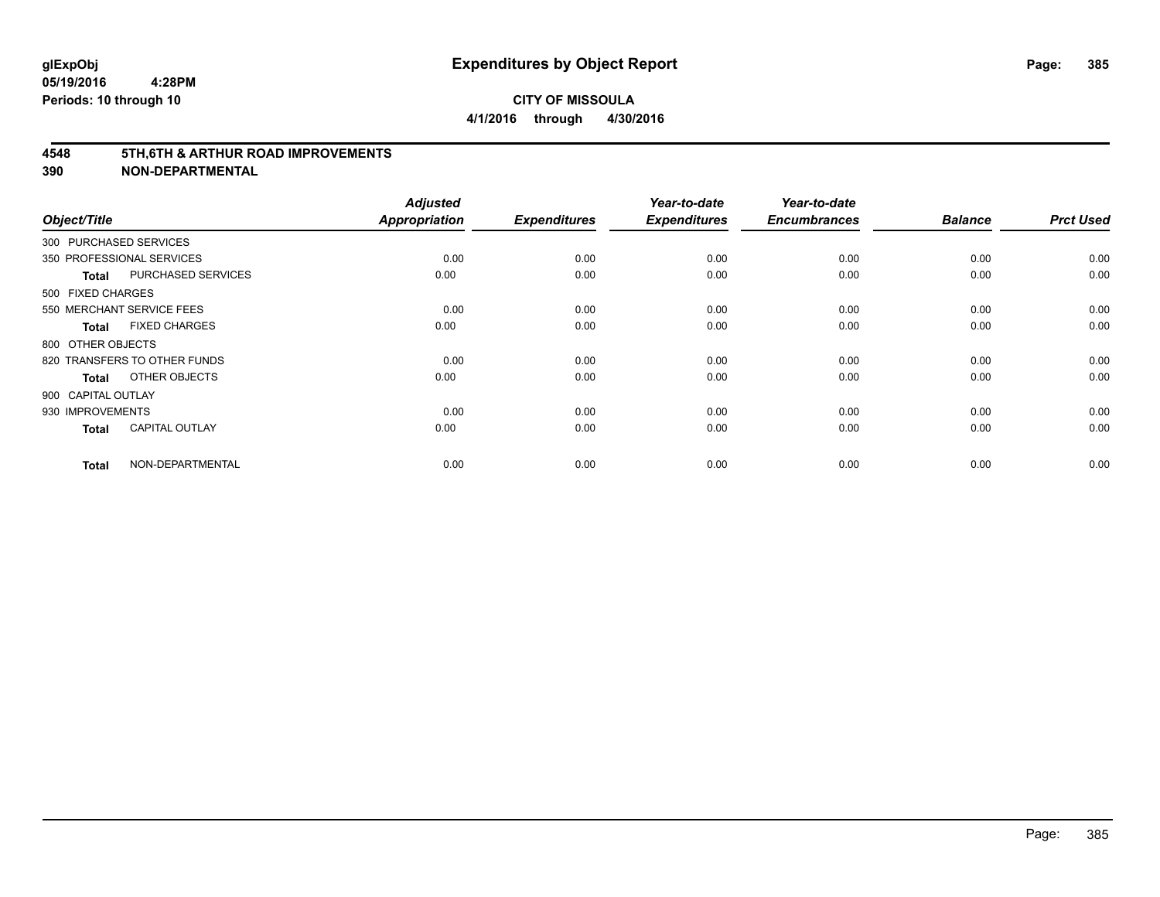#### **4548 5TH,6TH & ARTHUR ROAD IMPROVEMENTS**

| Object/Title           |                              | <b>Adjusted</b><br><b>Appropriation</b> | <b>Expenditures</b> | Year-to-date<br><b>Expenditures</b> | Year-to-date<br><b>Encumbrances</b> | <b>Balance</b> | <b>Prct Used</b> |
|------------------------|------------------------------|-----------------------------------------|---------------------|-------------------------------------|-------------------------------------|----------------|------------------|
| 300 PURCHASED SERVICES |                              |                                         |                     |                                     |                                     |                |                  |
|                        | 350 PROFESSIONAL SERVICES    | 0.00                                    | 0.00                | 0.00                                | 0.00                                | 0.00           | 0.00             |
| <b>Total</b>           | <b>PURCHASED SERVICES</b>    | 0.00                                    | 0.00                | 0.00                                | 0.00                                | 0.00           | 0.00             |
| 500 FIXED CHARGES      |                              |                                         |                     |                                     |                                     |                |                  |
|                        | 550 MERCHANT SERVICE FEES    | 0.00                                    | 0.00                | 0.00                                | 0.00                                | 0.00           | 0.00             |
| <b>Total</b>           | <b>FIXED CHARGES</b>         | 0.00                                    | 0.00                | 0.00                                | 0.00                                | 0.00           | 0.00             |
| 800 OTHER OBJECTS      |                              |                                         |                     |                                     |                                     |                |                  |
|                        | 820 TRANSFERS TO OTHER FUNDS | 0.00                                    | 0.00                | 0.00                                | 0.00                                | 0.00           | 0.00             |
| Total                  | OTHER OBJECTS                | 0.00                                    | 0.00                | 0.00                                | 0.00                                | 0.00           | 0.00             |
| 900 CAPITAL OUTLAY     |                              |                                         |                     |                                     |                                     |                |                  |
| 930 IMPROVEMENTS       |                              | 0.00                                    | 0.00                | 0.00                                | 0.00                                | 0.00           | 0.00             |
| <b>Total</b>           | <b>CAPITAL OUTLAY</b>        | 0.00                                    | 0.00                | 0.00                                | 0.00                                | 0.00           | 0.00             |
| <b>Total</b>           | NON-DEPARTMENTAL             | 0.00                                    | 0.00                | 0.00                                | 0.00                                | 0.00           | 0.00             |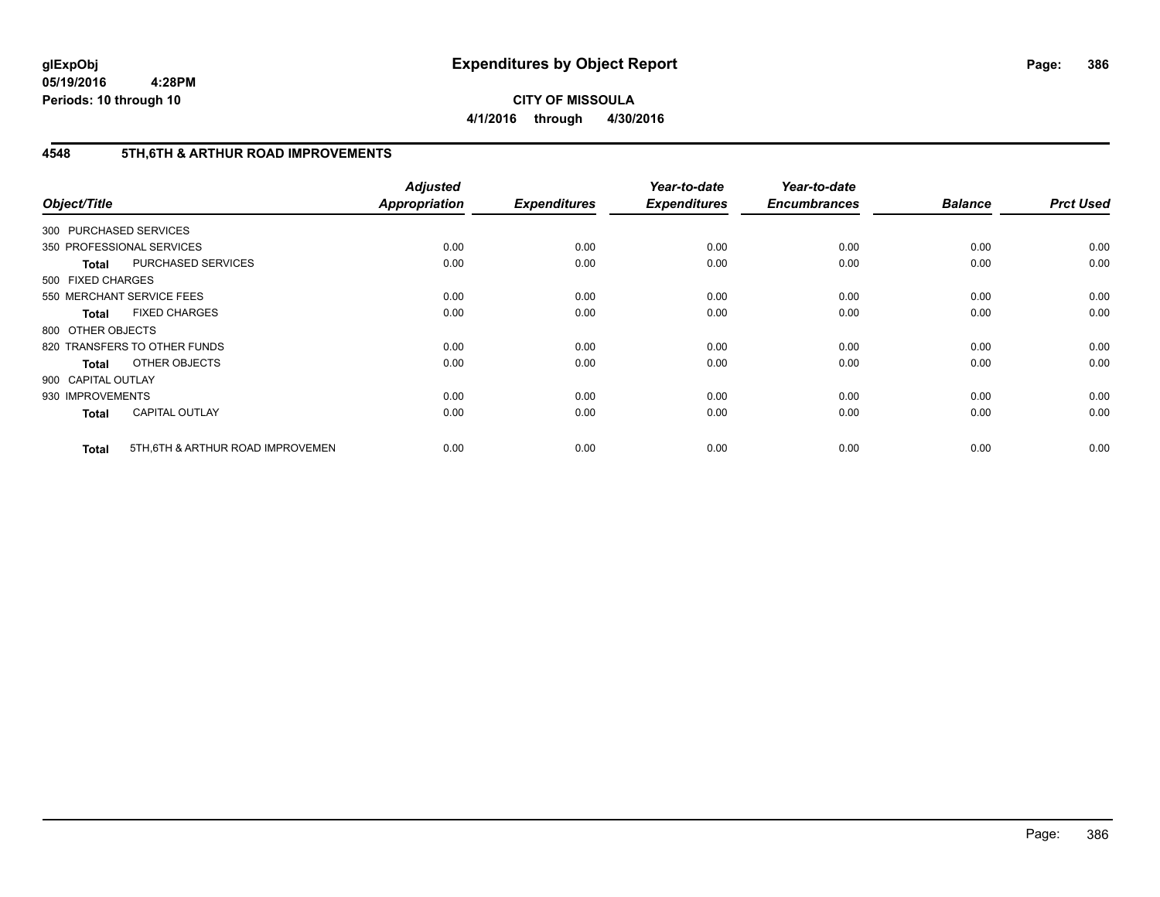**CITY OF MISSOULA 4/1/2016 through 4/30/2016**

# **4548 5TH,6TH & ARTHUR ROAD IMPROVEMENTS**

| Object/Title              |                                   | <b>Adjusted</b><br><b>Appropriation</b> | <b>Expenditures</b> | Year-to-date<br><b>Expenditures</b> | Year-to-date<br><b>Encumbrances</b> | <b>Balance</b> | <b>Prct Used</b> |
|---------------------------|-----------------------------------|-----------------------------------------|---------------------|-------------------------------------|-------------------------------------|----------------|------------------|
| 300 PURCHASED SERVICES    |                                   |                                         |                     |                                     |                                     |                |                  |
| 350 PROFESSIONAL SERVICES |                                   | 0.00                                    | 0.00                | 0.00                                | 0.00                                | 0.00           | 0.00             |
| <b>Total</b>              | PURCHASED SERVICES                | 0.00                                    | 0.00                | 0.00                                | 0.00                                | 0.00           | 0.00             |
| 500 FIXED CHARGES         |                                   |                                         |                     |                                     |                                     |                |                  |
| 550 MERCHANT SERVICE FEES |                                   | 0.00                                    | 0.00                | 0.00                                | 0.00                                | 0.00           | 0.00             |
| <b>Total</b>              | <b>FIXED CHARGES</b>              | 0.00                                    | 0.00                | 0.00                                | 0.00                                | 0.00           | 0.00             |
| 800 OTHER OBJECTS         |                                   |                                         |                     |                                     |                                     |                |                  |
|                           | 820 TRANSFERS TO OTHER FUNDS      | 0.00                                    | 0.00                | 0.00                                | 0.00                                | 0.00           | 0.00             |
| <b>Total</b>              | OTHER OBJECTS                     | 0.00                                    | 0.00                | 0.00                                | 0.00                                | 0.00           | 0.00             |
| 900 CAPITAL OUTLAY        |                                   |                                         |                     |                                     |                                     |                |                  |
| 930 IMPROVEMENTS          |                                   | 0.00                                    | 0.00                | 0.00                                | 0.00                                | 0.00           | 0.00             |
| <b>Total</b>              | <b>CAPITAL OUTLAY</b>             | 0.00                                    | 0.00                | 0.00                                | 0.00                                | 0.00           | 0.00             |
| <b>Total</b>              | 5TH, 6TH & ARTHUR ROAD IMPROVEMEN | 0.00                                    | 0.00                | 0.00                                | 0.00                                | 0.00           | 0.00             |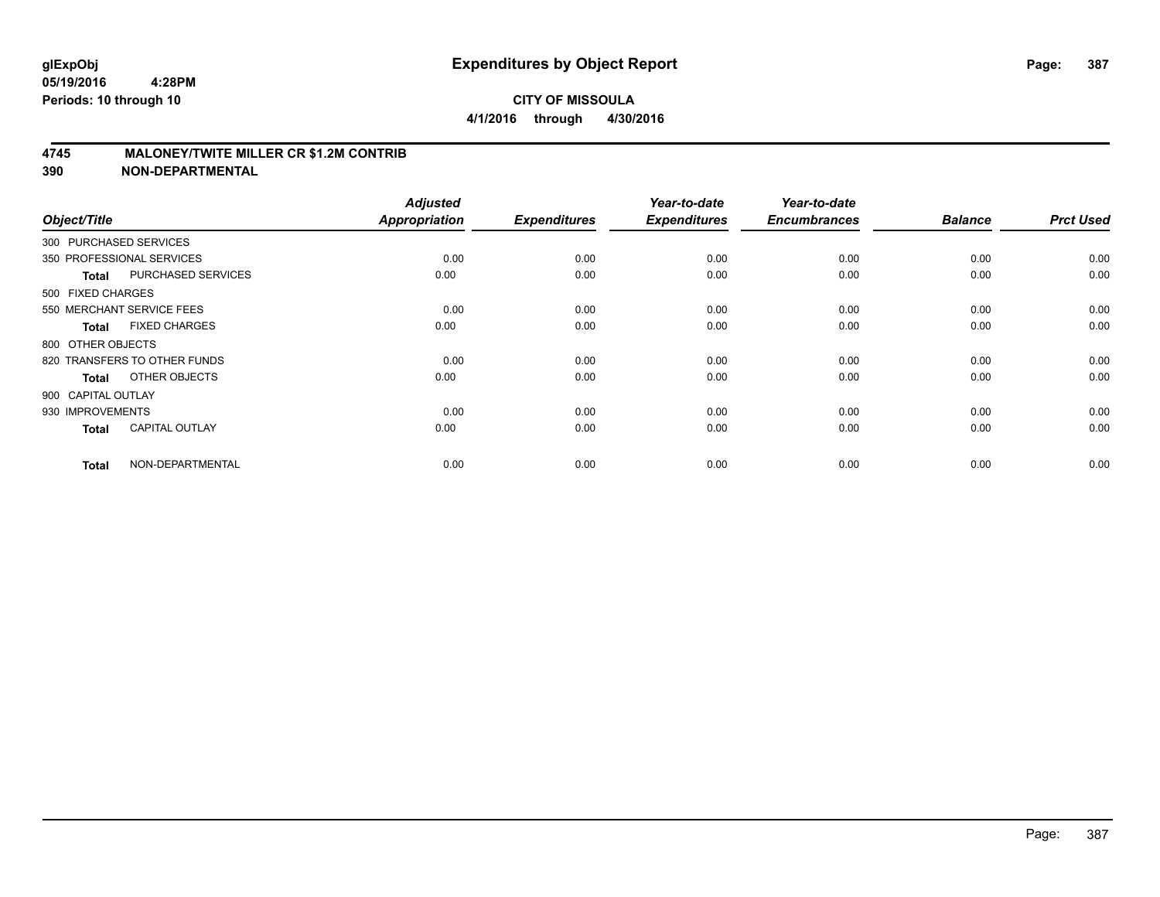## **4745 MALONEY/TWITE MILLER CR \$1.2M CONTRIB**

| Object/Title           |                              | <b>Adjusted</b><br><b>Appropriation</b> | <b>Expenditures</b> | Year-to-date<br><b>Expenditures</b> | Year-to-date<br><b>Encumbrances</b> | <b>Balance</b> | <b>Prct Used</b> |
|------------------------|------------------------------|-----------------------------------------|---------------------|-------------------------------------|-------------------------------------|----------------|------------------|
| 300 PURCHASED SERVICES |                              |                                         |                     |                                     |                                     |                |                  |
|                        | 350 PROFESSIONAL SERVICES    | 0.00                                    | 0.00                | 0.00                                | 0.00                                | 0.00           | 0.00             |
| <b>Total</b>           | <b>PURCHASED SERVICES</b>    | 0.00                                    | 0.00                | 0.00                                | 0.00                                | 0.00           | 0.00             |
| 500 FIXED CHARGES      |                              |                                         |                     |                                     |                                     |                |                  |
|                        | 550 MERCHANT SERVICE FEES    | 0.00                                    | 0.00                | 0.00                                | 0.00                                | 0.00           | 0.00             |
| <b>Total</b>           | <b>FIXED CHARGES</b>         | 0.00                                    | 0.00                | 0.00                                | 0.00                                | 0.00           | 0.00             |
| 800 OTHER OBJECTS      |                              |                                         |                     |                                     |                                     |                |                  |
|                        | 820 TRANSFERS TO OTHER FUNDS | 0.00                                    | 0.00                | 0.00                                | 0.00                                | 0.00           | 0.00             |
| <b>Total</b>           | OTHER OBJECTS                | 0.00                                    | 0.00                | 0.00                                | 0.00                                | 0.00           | 0.00             |
| 900 CAPITAL OUTLAY     |                              |                                         |                     |                                     |                                     |                |                  |
| 930 IMPROVEMENTS       |                              | 0.00                                    | 0.00                | 0.00                                | 0.00                                | 0.00           | 0.00             |
| <b>Total</b>           | <b>CAPITAL OUTLAY</b>        | 0.00                                    | 0.00                | 0.00                                | 0.00                                | 0.00           | 0.00             |
| <b>Total</b>           | NON-DEPARTMENTAL             | 0.00                                    | 0.00                | 0.00                                | 0.00                                | 0.00           | 0.00             |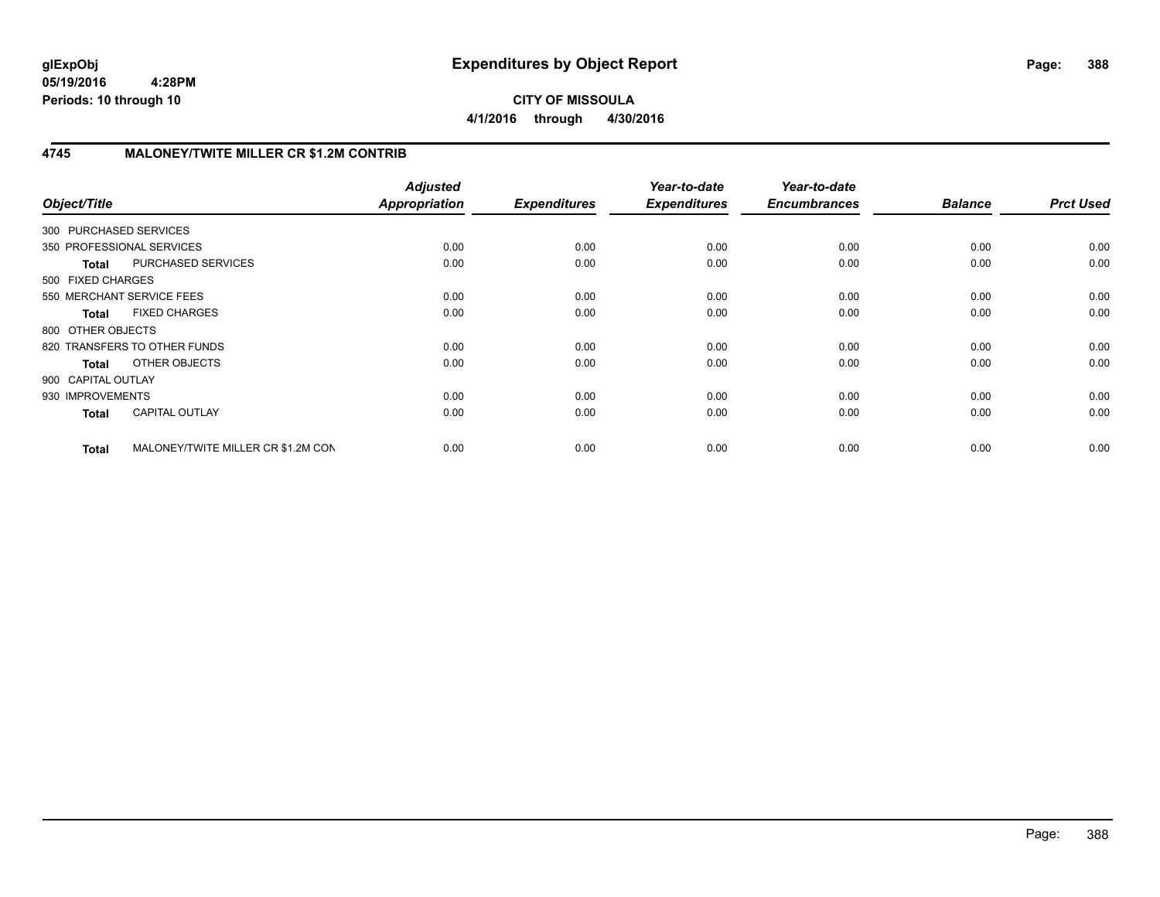# **CITY OF MISSOULA 4/1/2016 through 4/30/2016**

# **4745 MALONEY/TWITE MILLER CR \$1.2M CONTRIB**

| Object/Title              |                                    | <b>Adjusted</b><br><b>Appropriation</b> | <b>Expenditures</b> | Year-to-date<br><b>Expenditures</b> | Year-to-date<br><b>Encumbrances</b> | <b>Balance</b> | <b>Prct Used</b> |
|---------------------------|------------------------------------|-----------------------------------------|---------------------|-------------------------------------|-------------------------------------|----------------|------------------|
| 300 PURCHASED SERVICES    |                                    |                                         |                     |                                     |                                     |                |                  |
| 350 PROFESSIONAL SERVICES |                                    | 0.00                                    | 0.00                | 0.00                                | 0.00                                | 0.00           | 0.00             |
| <b>Total</b>              | PURCHASED SERVICES                 | 0.00                                    | 0.00                | 0.00                                | 0.00                                | 0.00           | 0.00             |
| 500 FIXED CHARGES         |                                    |                                         |                     |                                     |                                     |                |                  |
| 550 MERCHANT SERVICE FEES |                                    | 0.00                                    | 0.00                | 0.00                                | 0.00                                | 0.00           | 0.00             |
| <b>Total</b>              | <b>FIXED CHARGES</b>               | 0.00                                    | 0.00                | 0.00                                | 0.00                                | 0.00           | 0.00             |
| 800 OTHER OBJECTS         |                                    |                                         |                     |                                     |                                     |                |                  |
|                           | 820 TRANSFERS TO OTHER FUNDS       | 0.00                                    | 0.00                | 0.00                                | 0.00                                | 0.00           | 0.00             |
| <b>Total</b>              | <b>OTHER OBJECTS</b>               | 0.00                                    | 0.00                | 0.00                                | 0.00                                | 0.00           | 0.00             |
| 900 CAPITAL OUTLAY        |                                    |                                         |                     |                                     |                                     |                |                  |
| 930 IMPROVEMENTS          |                                    | 0.00                                    | 0.00                | 0.00                                | 0.00                                | 0.00           | 0.00             |
| <b>Total</b>              | <b>CAPITAL OUTLAY</b>              | 0.00                                    | 0.00                | 0.00                                | 0.00                                | 0.00           | 0.00             |
| <b>Total</b>              | MALONEY/TWITE MILLER CR \$1.2M CON | 0.00                                    | 0.00                | 0.00                                | 0.00                                | 0.00           | 0.00             |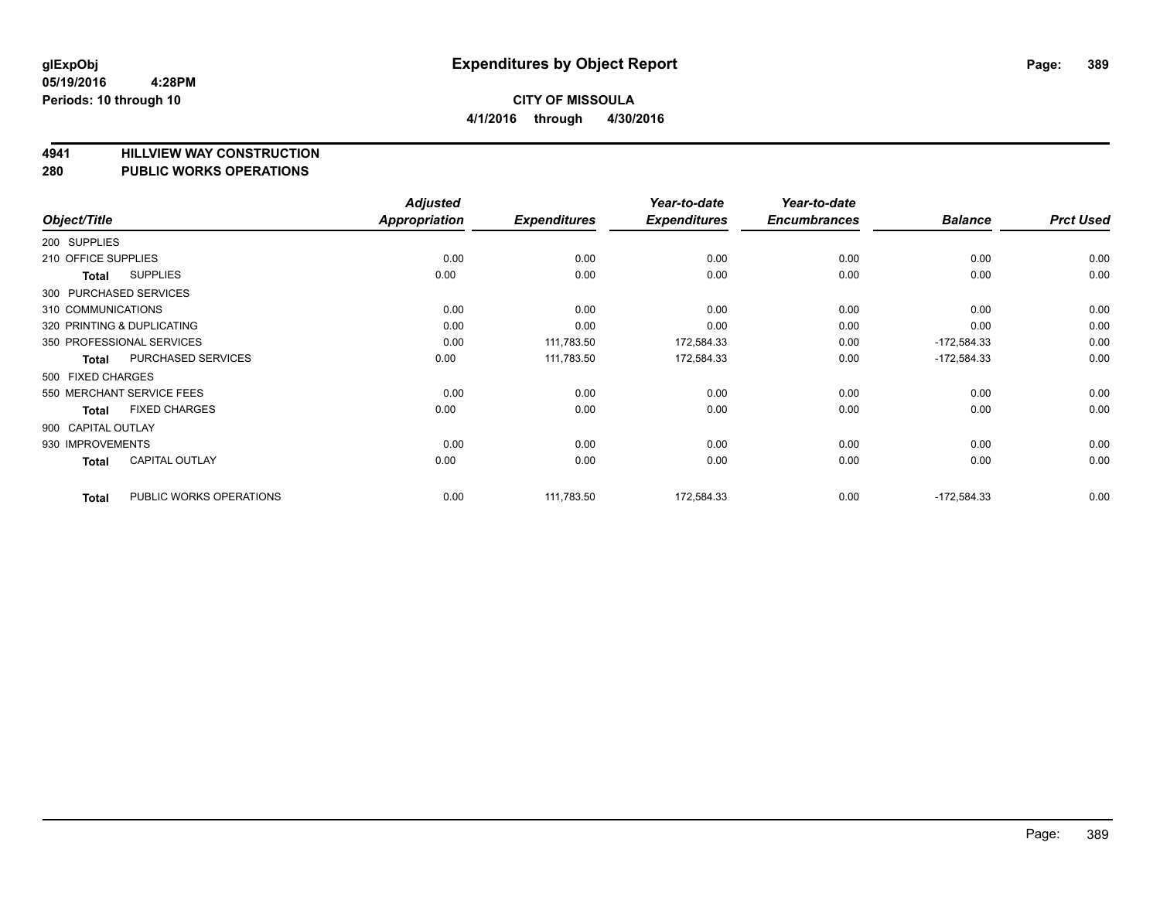# **4941 HILLVIEW WAY CONSTRUCTION**

#### **280 PUBLIC WORKS OPERATIONS**

| Object/Title        |                            | <b>Adjusted</b><br>Appropriation | <b>Expenditures</b> | Year-to-date<br><b>Expenditures</b> | Year-to-date<br><b>Encumbrances</b> | <b>Balance</b> | <b>Prct Used</b> |
|---------------------|----------------------------|----------------------------------|---------------------|-------------------------------------|-------------------------------------|----------------|------------------|
| 200 SUPPLIES        |                            |                                  |                     |                                     |                                     |                |                  |
| 210 OFFICE SUPPLIES |                            | 0.00                             | 0.00                | 0.00                                | 0.00                                | 0.00           | 0.00             |
| Total               | <b>SUPPLIES</b>            | 0.00                             | 0.00                | 0.00                                | 0.00                                | 0.00           | 0.00             |
|                     | 300 PURCHASED SERVICES     |                                  |                     |                                     |                                     |                |                  |
| 310 COMMUNICATIONS  |                            | 0.00                             | 0.00                | 0.00                                | 0.00                                | 0.00           | 0.00             |
|                     | 320 PRINTING & DUPLICATING | 0.00                             | 0.00                | 0.00                                | 0.00                                | 0.00           | 0.00             |
|                     | 350 PROFESSIONAL SERVICES  | 0.00                             | 111,783.50          | 172,584.33                          | 0.00                                | $-172,584.33$  | 0.00             |
| <b>Total</b>        | PURCHASED SERVICES         | 0.00                             | 111,783.50          | 172,584.33                          | 0.00                                | $-172,584.33$  | 0.00             |
| 500 FIXED CHARGES   |                            |                                  |                     |                                     |                                     |                |                  |
|                     | 550 MERCHANT SERVICE FEES  | 0.00                             | 0.00                | 0.00                                | 0.00                                | 0.00           | 0.00             |
| <b>Total</b>        | <b>FIXED CHARGES</b>       | 0.00                             | 0.00                | 0.00                                | 0.00                                | 0.00           | 0.00             |
| 900 CAPITAL OUTLAY  |                            |                                  |                     |                                     |                                     |                |                  |
| 930 IMPROVEMENTS    |                            | 0.00                             | 0.00                | 0.00                                | 0.00                                | 0.00           | 0.00             |
| <b>Total</b>        | <b>CAPITAL OUTLAY</b>      | 0.00                             | 0.00                | 0.00                                | 0.00                                | 0.00           | 0.00             |
| <b>Total</b>        | PUBLIC WORKS OPERATIONS    | 0.00                             | 111,783.50          | 172,584.33                          | 0.00                                | $-172,584.33$  | 0.00             |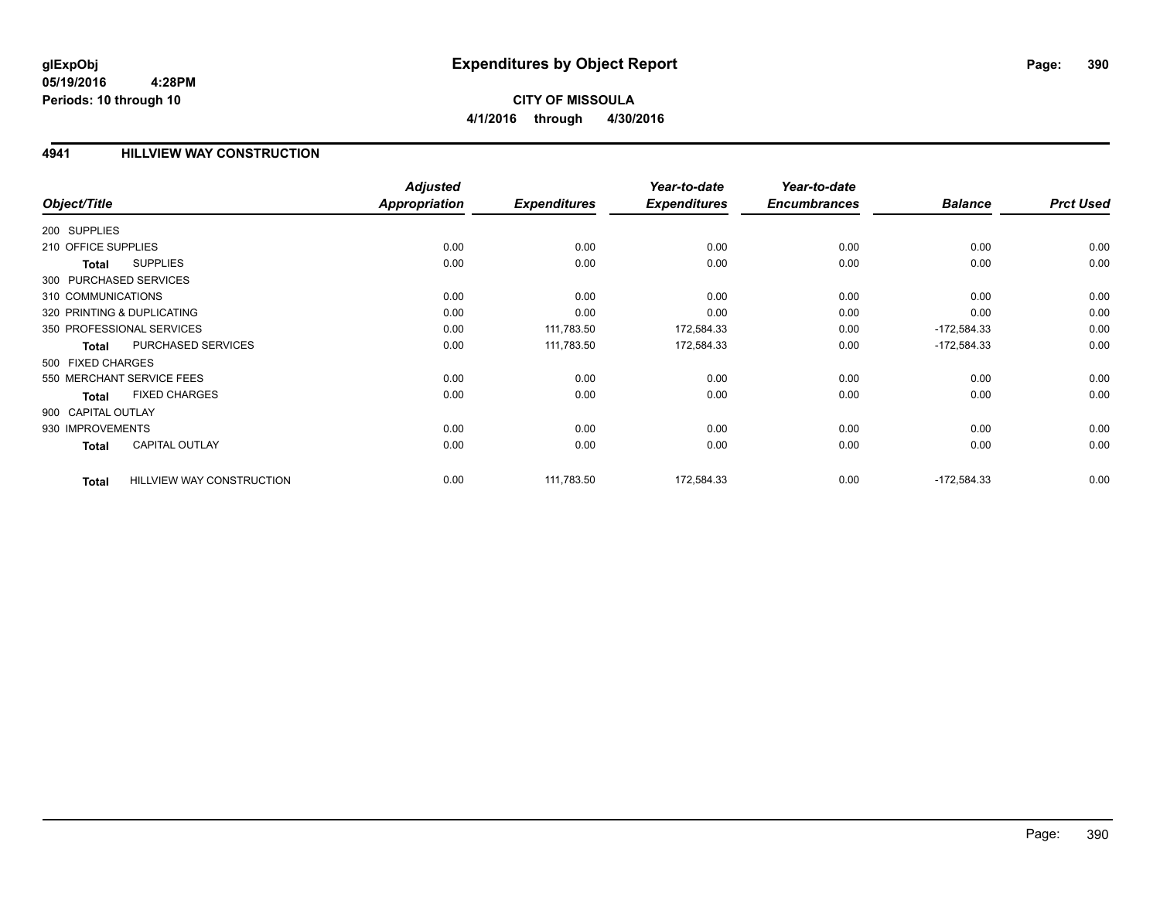# **CITY OF MISSOULA 4/1/2016 through 4/30/2016**

## **4941 HILLVIEW WAY CONSTRUCTION**

|                     |                                  | <b>Adjusted</b>      |                     | Year-to-date        | Year-to-date        |                |                  |
|---------------------|----------------------------------|----------------------|---------------------|---------------------|---------------------|----------------|------------------|
| Object/Title        |                                  | <b>Appropriation</b> | <b>Expenditures</b> | <b>Expenditures</b> | <b>Encumbrances</b> | <b>Balance</b> | <b>Prct Used</b> |
| 200 SUPPLIES        |                                  |                      |                     |                     |                     |                |                  |
| 210 OFFICE SUPPLIES |                                  | 0.00                 | 0.00                | 0.00                | 0.00                | 0.00           | 0.00             |
| <b>Total</b>        | <b>SUPPLIES</b>                  | 0.00                 | 0.00                | 0.00                | 0.00                | 0.00           | 0.00             |
|                     | 300 PURCHASED SERVICES           |                      |                     |                     |                     |                |                  |
| 310 COMMUNICATIONS  |                                  | 0.00                 | 0.00                | 0.00                | 0.00                | 0.00           | 0.00             |
|                     | 320 PRINTING & DUPLICATING       | 0.00                 | 0.00                | 0.00                | 0.00                | 0.00           | 0.00             |
|                     | 350 PROFESSIONAL SERVICES        | 0.00                 | 111,783.50          | 172,584.33          | 0.00                | $-172,584.33$  | 0.00             |
| <b>Total</b>        | PURCHASED SERVICES               | 0.00                 | 111,783.50          | 172,584.33          | 0.00                | $-172,584.33$  | 0.00             |
| 500 FIXED CHARGES   |                                  |                      |                     |                     |                     |                |                  |
|                     | 550 MERCHANT SERVICE FEES        | 0.00                 | 0.00                | 0.00                | 0.00                | 0.00           | 0.00             |
| <b>Total</b>        | <b>FIXED CHARGES</b>             | 0.00                 | 0.00                | 0.00                | 0.00                | 0.00           | 0.00             |
| 900 CAPITAL OUTLAY  |                                  |                      |                     |                     |                     |                |                  |
| 930 IMPROVEMENTS    |                                  | 0.00                 | 0.00                | 0.00                | 0.00                | 0.00           | 0.00             |
| <b>Total</b>        | <b>CAPITAL OUTLAY</b>            | 0.00                 | 0.00                | 0.00                | 0.00                | 0.00           | 0.00             |
| <b>Total</b>        | <b>HILLVIEW WAY CONSTRUCTION</b> | 0.00                 | 111,783.50          | 172,584.33          | 0.00                | $-172,584.33$  | 0.00             |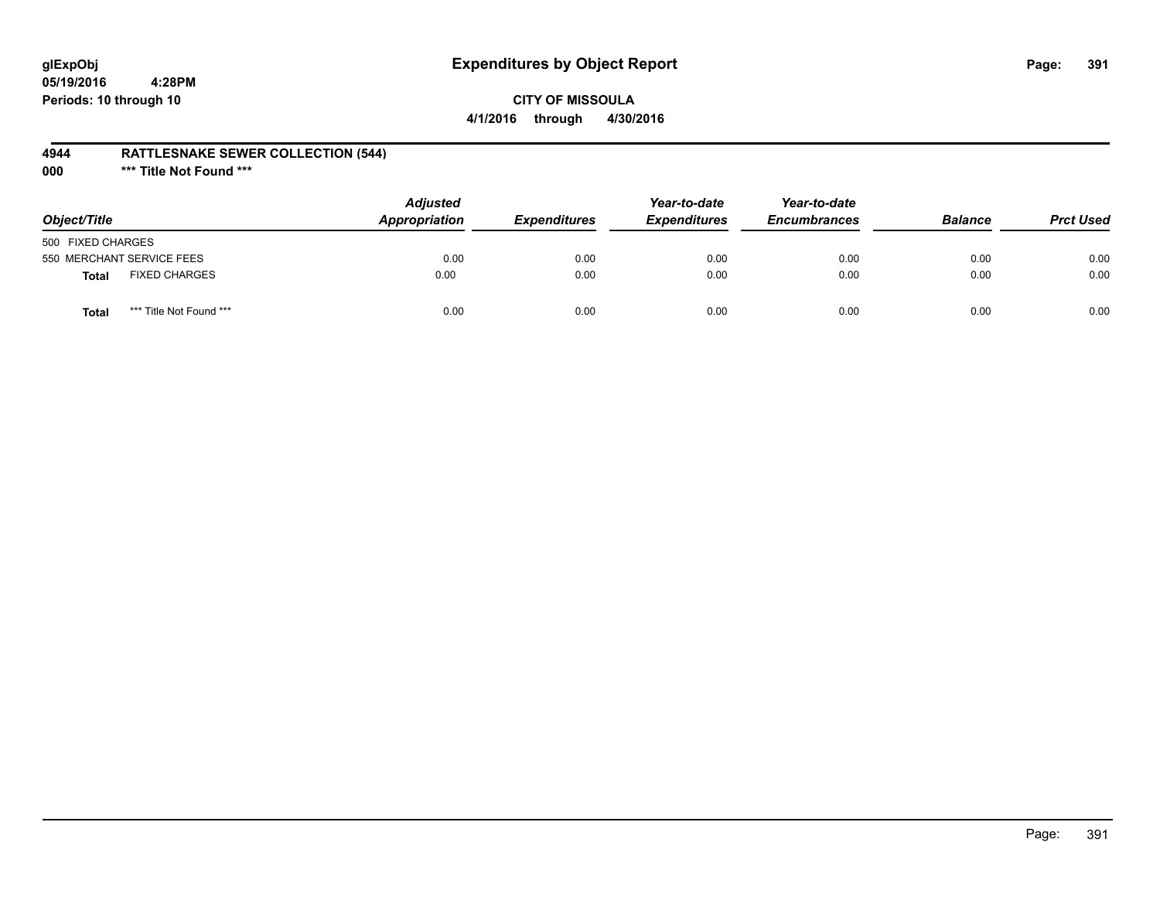# **glExpObj Expenditures by Object Report Page: 391**

## **CITY OF MISSOULA 4/1/2016 through 4/30/2016**

## **4944 RATTLESNAKE SEWER COLLECTION (544)**

**000 \*\*\* Title Not Found \*\*\***

| Object/Title                            | <b>Adjusted</b><br>Appropriation | <b>Expenditures</b> | Year-to-date<br><b>Expenditures</b> | Year-to-date<br><b>Encumbrances</b> | <b>Balance</b> | <b>Prct Used</b> |
|-----------------------------------------|----------------------------------|---------------------|-------------------------------------|-------------------------------------|----------------|------------------|
| 500 FIXED CHARGES                       |                                  |                     |                                     |                                     |                |                  |
| 550 MERCHANT SERVICE FEES               | 0.00                             | 0.00                | 0.00                                | 0.00                                | 0.00           | 0.00             |
| <b>FIXED CHARGES</b><br><b>Total</b>    | 0.00                             | 0.00                | 0.00                                | 0.00                                | 0.00           | 0.00             |
| *** Title Not Found ***<br><b>Total</b> | 0.00                             | 0.00                | 0.00                                | 0.00                                | 0.00           | 0.00             |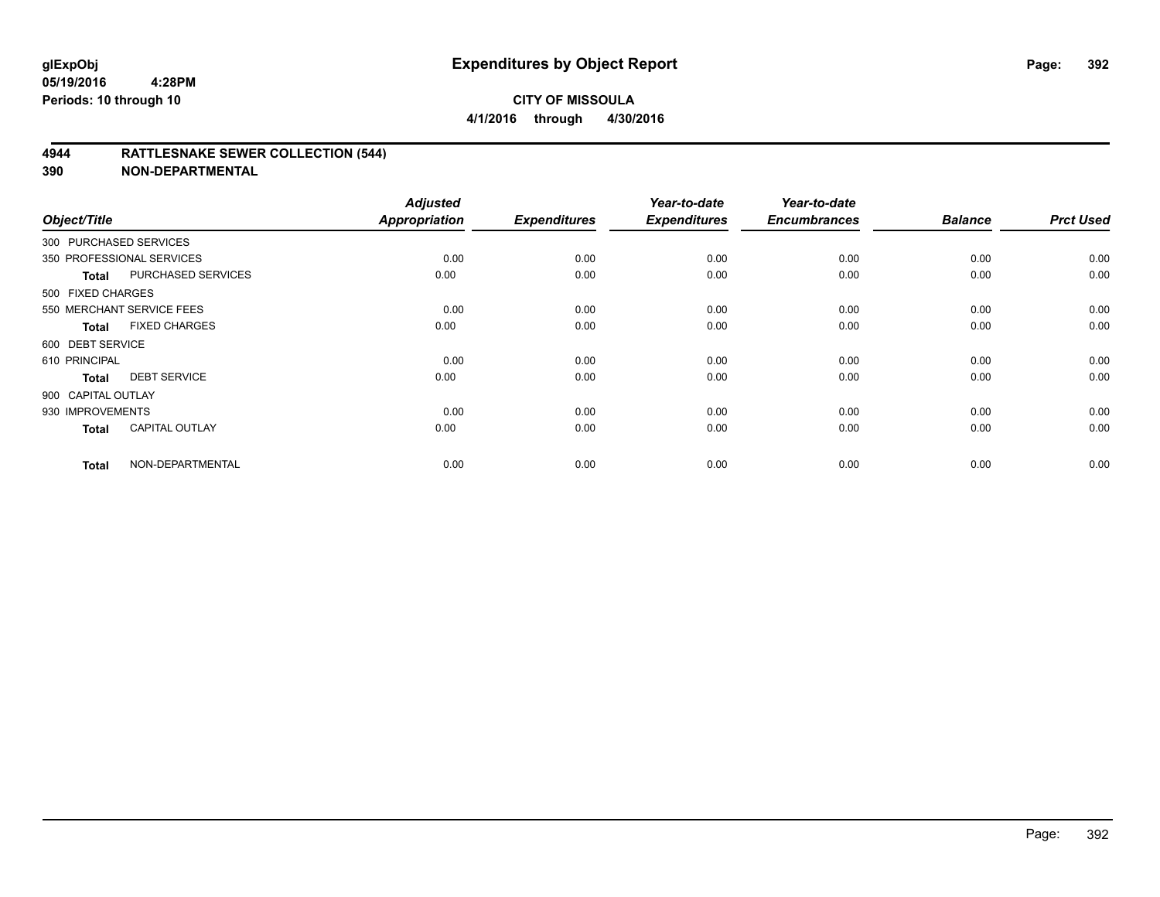## **4944 RATTLESNAKE SEWER COLLECTION (544)**

| Object/Title           |                           | <b>Adjusted</b><br><b>Appropriation</b> | <b>Expenditures</b> | Year-to-date<br><b>Expenditures</b> | Year-to-date<br><b>Encumbrances</b> | <b>Balance</b> | <b>Prct Used</b> |
|------------------------|---------------------------|-----------------------------------------|---------------------|-------------------------------------|-------------------------------------|----------------|------------------|
| 300 PURCHASED SERVICES |                           |                                         |                     |                                     |                                     |                |                  |
|                        | 350 PROFESSIONAL SERVICES | 0.00                                    | 0.00                | 0.00                                | 0.00                                | 0.00           | 0.00             |
| <b>Total</b>           | <b>PURCHASED SERVICES</b> | 0.00                                    | 0.00                | 0.00                                | 0.00                                | 0.00           | 0.00             |
| 500 FIXED CHARGES      |                           |                                         |                     |                                     |                                     |                |                  |
|                        | 550 MERCHANT SERVICE FEES | 0.00                                    | 0.00                | 0.00                                | 0.00                                | 0.00           | 0.00             |
| <b>Total</b>           | <b>FIXED CHARGES</b>      | 0.00                                    | 0.00                | 0.00                                | 0.00                                | 0.00           | 0.00             |
| 600 DEBT SERVICE       |                           |                                         |                     |                                     |                                     |                |                  |
| 610 PRINCIPAL          |                           | 0.00                                    | 0.00                | 0.00                                | 0.00                                | 0.00           | 0.00             |
| <b>Total</b>           | <b>DEBT SERVICE</b>       | 0.00                                    | 0.00                | 0.00                                | 0.00                                | 0.00           | 0.00             |
| 900 CAPITAL OUTLAY     |                           |                                         |                     |                                     |                                     |                |                  |
| 930 IMPROVEMENTS       |                           | 0.00                                    | 0.00                | 0.00                                | 0.00                                | 0.00           | 0.00             |
| <b>Total</b>           | <b>CAPITAL OUTLAY</b>     | 0.00                                    | 0.00                | 0.00                                | 0.00                                | 0.00           | 0.00             |
| <b>Total</b>           | NON-DEPARTMENTAL          | 0.00                                    | 0.00                | 0.00                                | 0.00                                | 0.00           | 0.00             |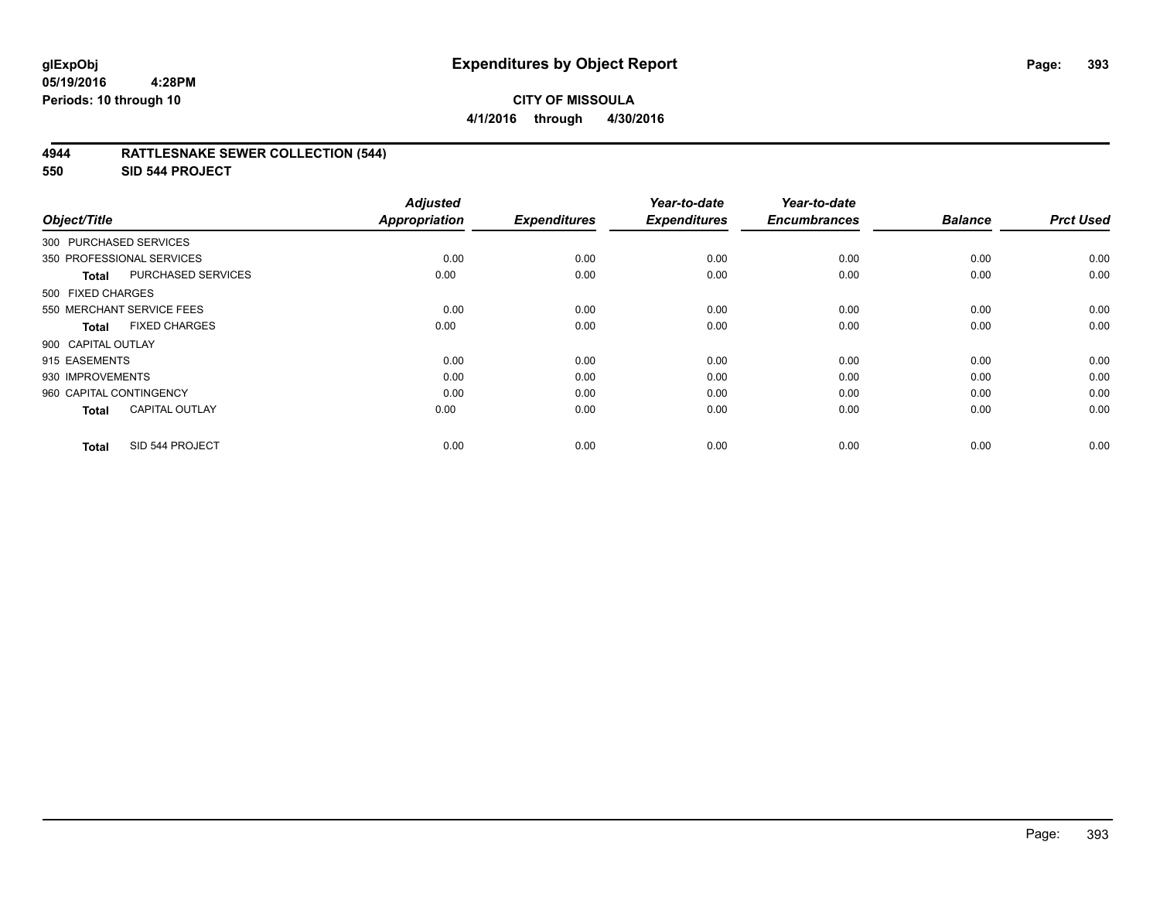## **4944 RATTLESNAKE SEWER COLLECTION (544)**

**550 SID 544 PROJECT**

| Object/Title            |                           | <b>Adjusted</b><br><b>Appropriation</b> | <b>Expenditures</b> | Year-to-date<br><b>Expenditures</b> | Year-to-date<br><b>Encumbrances</b> | <b>Balance</b> | <b>Prct Used</b> |
|-------------------------|---------------------------|-----------------------------------------|---------------------|-------------------------------------|-------------------------------------|----------------|------------------|
| 300 PURCHASED SERVICES  |                           |                                         |                     |                                     |                                     |                |                  |
|                         | 350 PROFESSIONAL SERVICES | 0.00                                    | 0.00                | 0.00                                | 0.00                                | 0.00           | 0.00             |
| Total                   | PURCHASED SERVICES        | 0.00                                    | 0.00                | 0.00                                | 0.00                                | 0.00           | 0.00             |
| 500 FIXED CHARGES       |                           |                                         |                     |                                     |                                     |                |                  |
|                         | 550 MERCHANT SERVICE FEES | 0.00                                    | 0.00                | 0.00                                | 0.00                                | 0.00           | 0.00             |
| <b>Total</b>            | <b>FIXED CHARGES</b>      | 0.00                                    | 0.00                | 0.00                                | 0.00                                | 0.00           | 0.00             |
| 900 CAPITAL OUTLAY      |                           |                                         |                     |                                     |                                     |                |                  |
| 915 EASEMENTS           |                           | 0.00                                    | 0.00                | 0.00                                | 0.00                                | 0.00           | 0.00             |
| 930 IMPROVEMENTS        |                           | 0.00                                    | 0.00                | 0.00                                | 0.00                                | 0.00           | 0.00             |
| 960 CAPITAL CONTINGENCY |                           | 0.00                                    | 0.00                | 0.00                                | 0.00                                | 0.00           | 0.00             |
| <b>Total</b>            | <b>CAPITAL OUTLAY</b>     | 0.00                                    | 0.00                | 0.00                                | 0.00                                | 0.00           | 0.00             |
| <b>Total</b>            | SID 544 PROJECT           | 0.00                                    | 0.00                | 0.00                                | 0.00                                | 0.00           | 0.00             |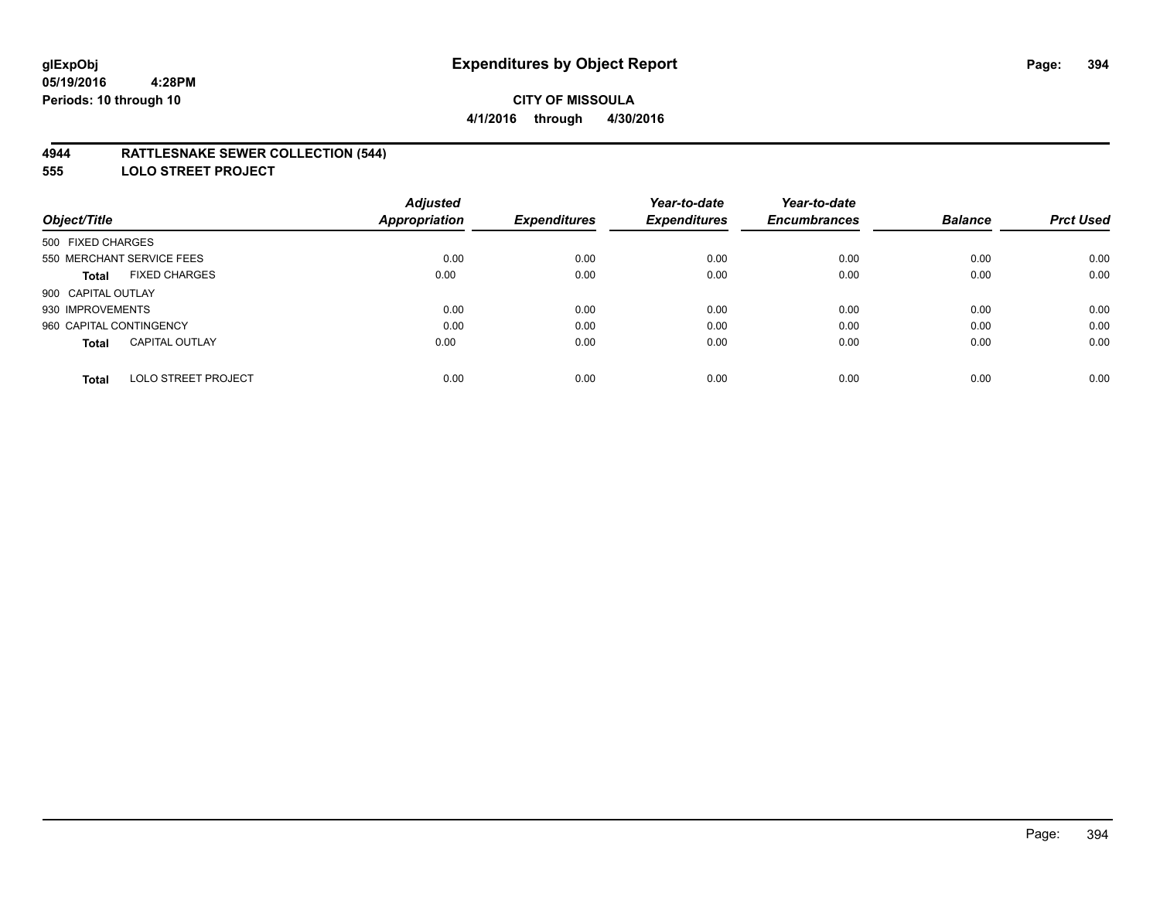## **4944 RATTLESNAKE SEWER COLLECTION (544)**

**555 LOLO STREET PROJECT**

|                                            | <b>Adjusted</b>      |                     | Year-to-date        | Year-to-date        |                |                  |
|--------------------------------------------|----------------------|---------------------|---------------------|---------------------|----------------|------------------|
| Object/Title                               | <b>Appropriation</b> | <b>Expenditures</b> | <b>Expenditures</b> | <b>Encumbrances</b> | <b>Balance</b> | <b>Prct Used</b> |
| 500 FIXED CHARGES                          |                      |                     |                     |                     |                |                  |
| 550 MERCHANT SERVICE FEES                  | 0.00                 | 0.00                | 0.00                | 0.00                | 0.00           | 0.00             |
| <b>FIXED CHARGES</b><br><b>Total</b>       | 0.00                 | 0.00                | 0.00                | 0.00                | 0.00           | 0.00             |
| 900 CAPITAL OUTLAY                         |                      |                     |                     |                     |                |                  |
| 930 IMPROVEMENTS                           | 0.00                 | 0.00                | 0.00                | 0.00                | 0.00           | 0.00             |
| 960 CAPITAL CONTINGENCY                    | 0.00                 | 0.00                | 0.00                | 0.00                | 0.00           | 0.00             |
| <b>CAPITAL OUTLAY</b><br><b>Total</b>      | 0.00                 | 0.00                | 0.00                | 0.00                | 0.00           | 0.00             |
| <b>LOLO STREET PROJECT</b><br><b>Total</b> | 0.00                 | 0.00                | 0.00                | 0.00                | 0.00           | 0.00             |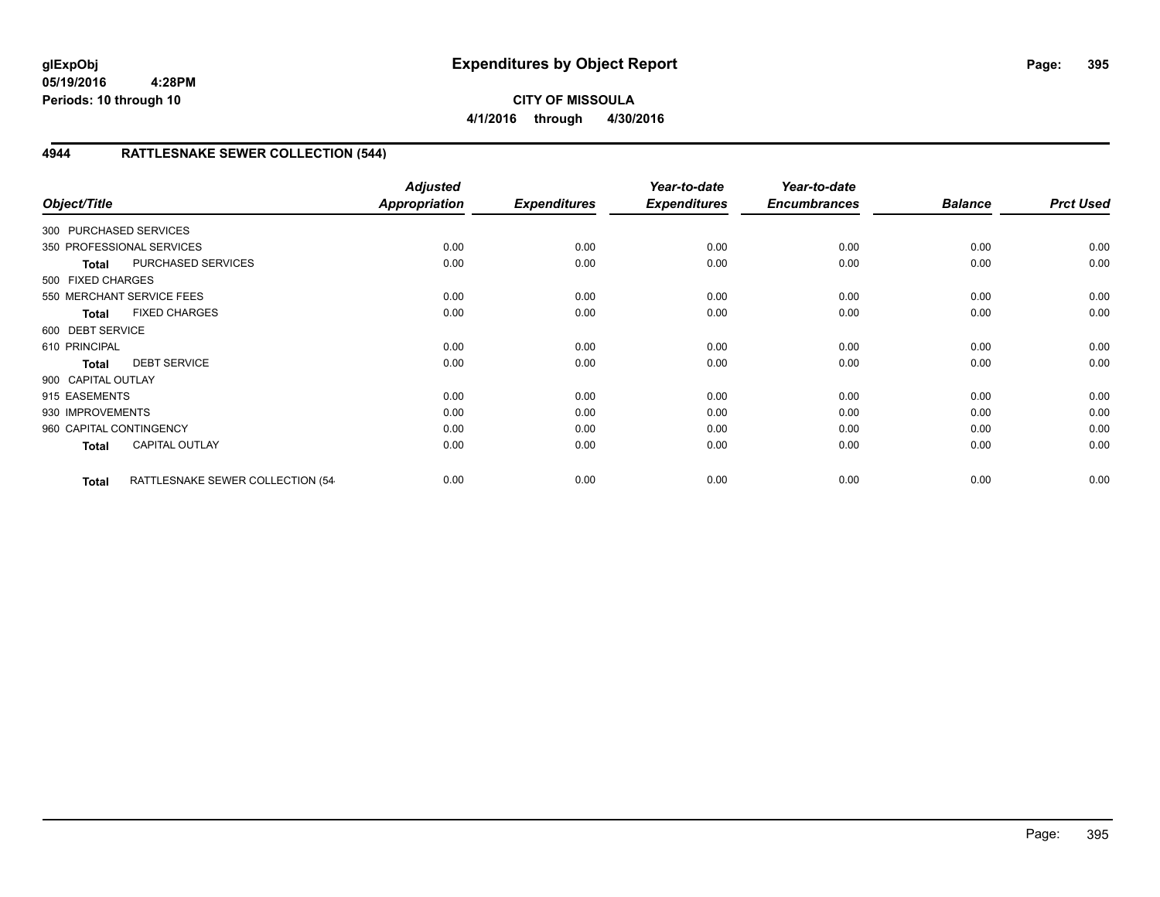## **CITY OF MISSOULA 4/1/2016 through 4/30/2016**

# **4944 RATTLESNAKE SEWER COLLECTION (544)**

| Object/Title            |                                   | <b>Adjusted</b><br>Appropriation | <b>Expenditures</b> | Year-to-date<br><b>Expenditures</b> | Year-to-date<br><b>Encumbrances</b> | <b>Balance</b> | <b>Prct Used</b> |
|-------------------------|-----------------------------------|----------------------------------|---------------------|-------------------------------------|-------------------------------------|----------------|------------------|
| 300 PURCHASED SERVICES  |                                   |                                  |                     |                                     |                                     |                |                  |
|                         | 350 PROFESSIONAL SERVICES         | 0.00                             | 0.00                | 0.00                                | 0.00                                | 0.00           | 0.00             |
| <b>Total</b>            | PURCHASED SERVICES                | 0.00                             | 0.00                | 0.00                                | 0.00                                | 0.00           | 0.00             |
| 500 FIXED CHARGES       |                                   |                                  |                     |                                     |                                     |                |                  |
|                         | 550 MERCHANT SERVICE FEES         | 0.00                             | 0.00                | 0.00                                | 0.00                                | 0.00           | 0.00             |
| <b>Total</b>            | <b>FIXED CHARGES</b>              | 0.00                             | 0.00                | 0.00                                | 0.00                                | 0.00           | 0.00             |
| 600 DEBT SERVICE        |                                   |                                  |                     |                                     |                                     |                |                  |
| 610 PRINCIPAL           |                                   | 0.00                             | 0.00                | 0.00                                | 0.00                                | 0.00           | 0.00             |
| <b>Total</b>            | <b>DEBT SERVICE</b>               | 0.00                             | 0.00                | 0.00                                | 0.00                                | 0.00           | 0.00             |
| 900 CAPITAL OUTLAY      |                                   |                                  |                     |                                     |                                     |                |                  |
| 915 EASEMENTS           |                                   | 0.00                             | 0.00                | 0.00                                | 0.00                                | 0.00           | 0.00             |
| 930 IMPROVEMENTS        |                                   | 0.00                             | 0.00                | 0.00                                | 0.00                                | 0.00           | 0.00             |
| 960 CAPITAL CONTINGENCY |                                   | 0.00                             | 0.00                | 0.00                                | 0.00                                | 0.00           | 0.00             |
| <b>Total</b>            | <b>CAPITAL OUTLAY</b>             | 0.00                             | 0.00                | 0.00                                | 0.00                                | 0.00           | 0.00             |
| <b>Total</b>            | RATTLESNAKE SEWER COLLECTION (54- | 0.00                             | 0.00                | 0.00                                | 0.00                                | 0.00           | 0.00             |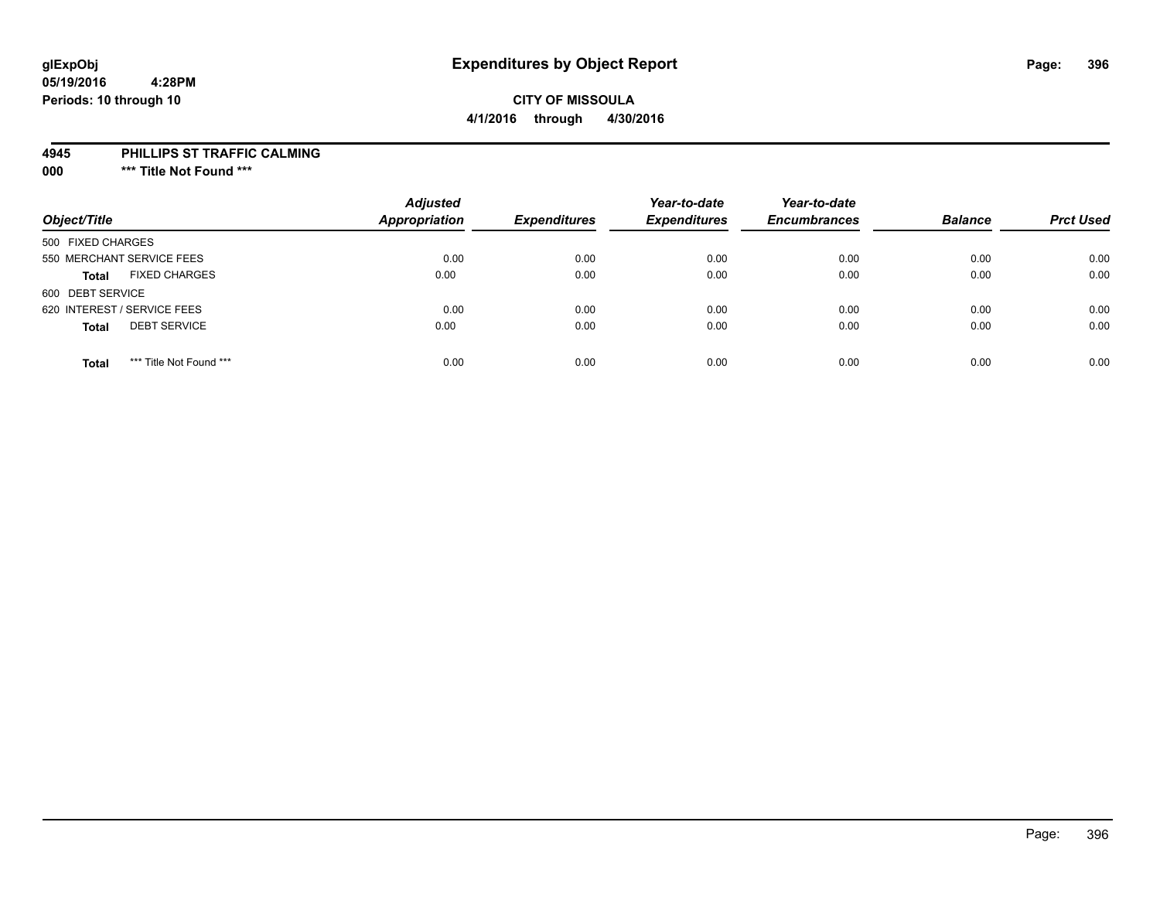# **CITY OF MISSOULA 4/1/2016 through 4/30/2016**

#### **4945 PHILLIPS ST TRAFFIC CALMING**

**000 \*\*\* Title Not Found \*\*\***

| Object/Title                            | <b>Adjusted</b><br><b>Appropriation</b> | <b>Expenditures</b> | Year-to-date<br><b>Expenditures</b> | Year-to-date<br><b>Encumbrances</b> | <b>Balance</b> | <b>Prct Used</b> |
|-----------------------------------------|-----------------------------------------|---------------------|-------------------------------------|-------------------------------------|----------------|------------------|
| 500 FIXED CHARGES                       |                                         |                     |                                     |                                     |                |                  |
| 550 MERCHANT SERVICE FEES               | 0.00                                    | 0.00                | 0.00                                | 0.00                                | 0.00           | 0.00             |
| <b>FIXED CHARGES</b><br><b>Total</b>    | 0.00                                    | 0.00                | 0.00                                | 0.00                                | 0.00           | 0.00             |
| 600 DEBT SERVICE                        |                                         |                     |                                     |                                     |                |                  |
| 620 INTEREST / SERVICE FEES             | 0.00                                    | 0.00                | 0.00                                | 0.00                                | 0.00           | 0.00             |
| <b>DEBT SERVICE</b><br><b>Total</b>     | 0.00                                    | 0.00                | 0.00                                | 0.00                                | 0.00           | 0.00             |
| *** Title Not Found ***<br><b>Total</b> | 0.00                                    | 0.00                | 0.00                                | 0.00                                | 0.00           | 0.00             |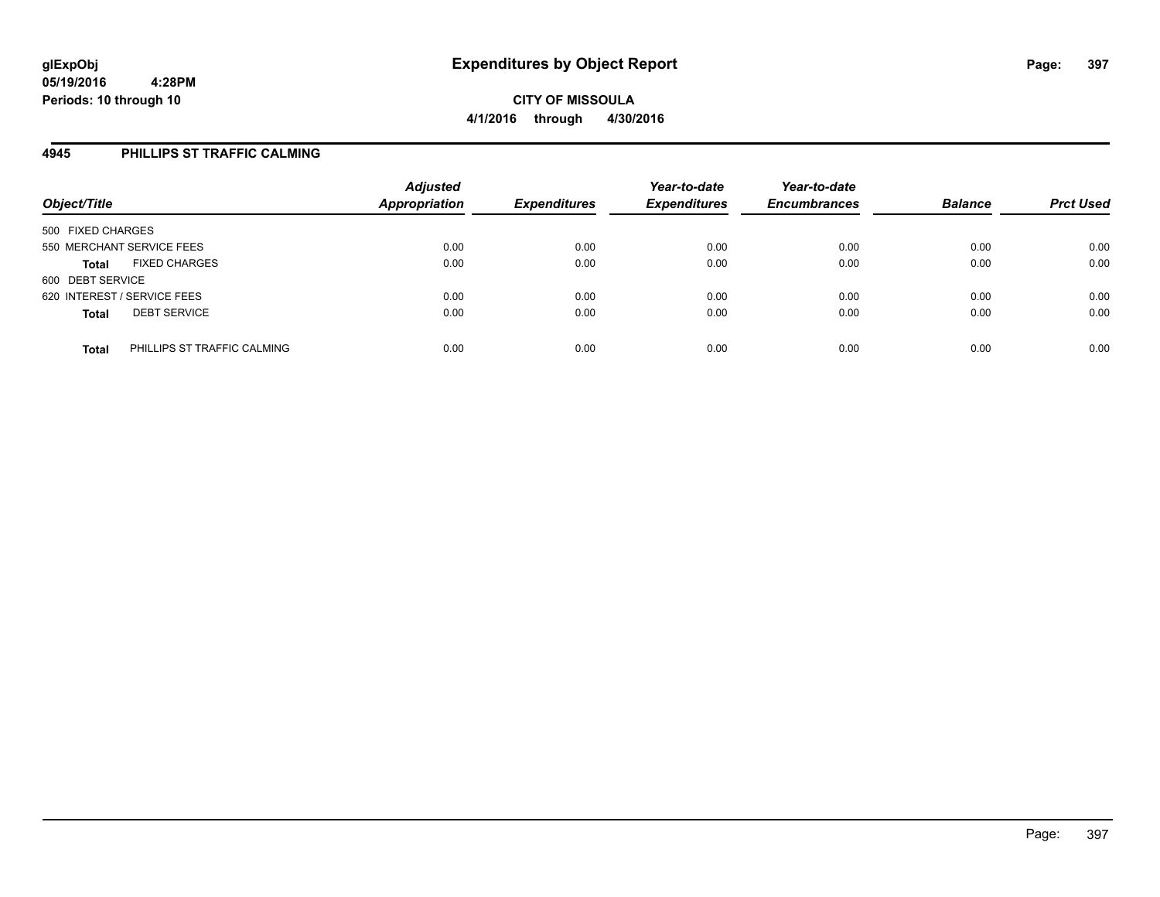#### **4945 PHILLIPS ST TRAFFIC CALMING**

| Object/Title                                | <b>Adjusted</b><br><b>Appropriation</b> | <b>Expenditures</b> | Year-to-date<br><b>Expenditures</b> | Year-to-date<br><b>Encumbrances</b> | <b>Balance</b> | <b>Prct Used</b> |
|---------------------------------------------|-----------------------------------------|---------------------|-------------------------------------|-------------------------------------|----------------|------------------|
| 500 FIXED CHARGES                           |                                         |                     |                                     |                                     |                |                  |
| 550 MERCHANT SERVICE FEES                   | 0.00                                    | 0.00                | 0.00                                | 0.00                                | 0.00           | 0.00             |
| <b>FIXED CHARGES</b><br><b>Total</b>        | 0.00                                    | 0.00                | 0.00                                | 0.00                                | 0.00           | 0.00             |
| 600 DEBT SERVICE                            |                                         |                     |                                     |                                     |                |                  |
| 620 INTEREST / SERVICE FEES                 | 0.00                                    | 0.00                | 0.00                                | 0.00                                | 0.00           | 0.00             |
| <b>DEBT SERVICE</b><br><b>Total</b>         | 0.00                                    | 0.00                | 0.00                                | 0.00                                | 0.00           | 0.00             |
| PHILLIPS ST TRAFFIC CALMING<br><b>Total</b> | 0.00                                    | 0.00                | 0.00                                | 0.00                                | 0.00           | 0.00             |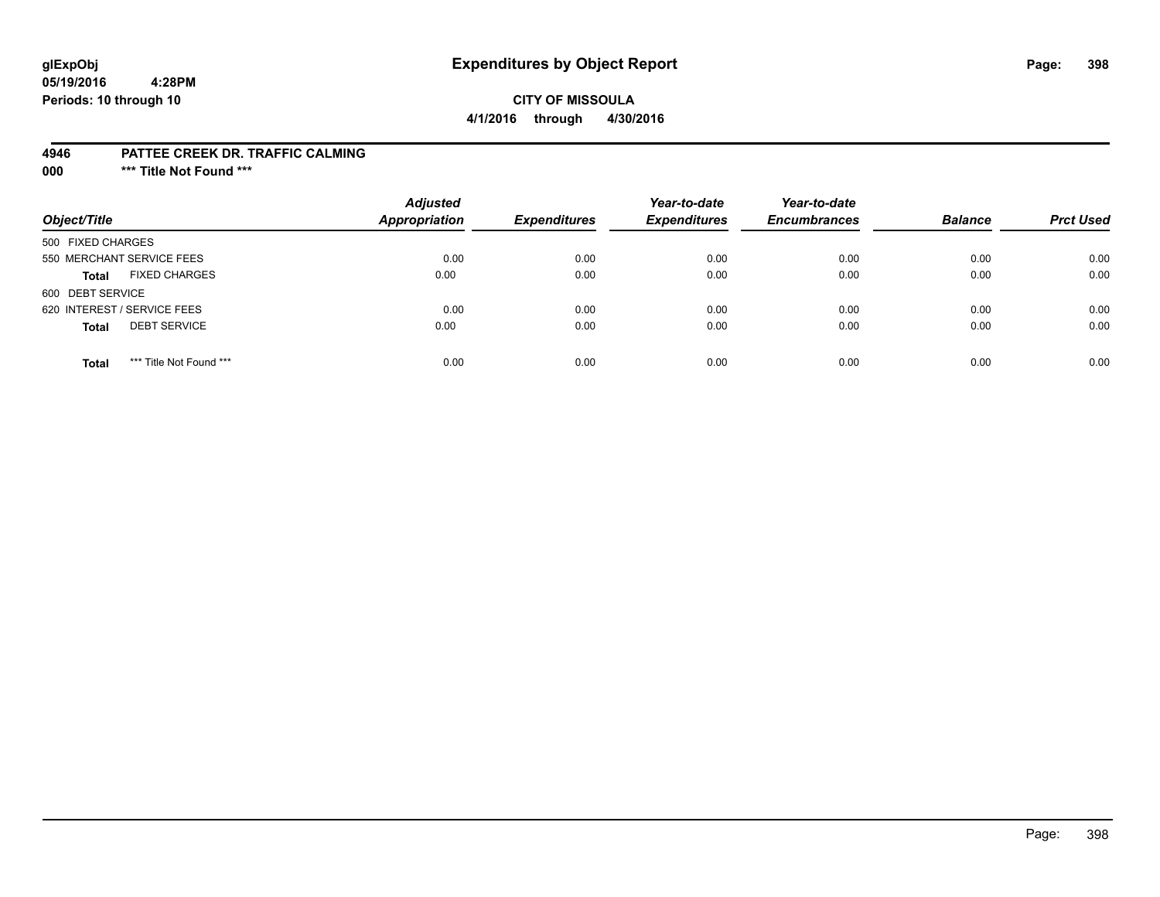## **glExpObj Expenditures by Object Report Page: 398**

#### **05/19/2016 4:28PM Periods: 10 through 10**

#### **CITY OF MISSOULA 4/1/2016 through 4/30/2016**

#### **4946 PATTEE CREEK DR. TRAFFIC CALMING**

**000 \*\*\* Title Not Found \*\*\***

| Object/Title                            | <b>Adjusted</b><br><b>Appropriation</b> | <b>Expenditures</b> | Year-to-date<br><b>Expenditures</b> | Year-to-date<br><b>Encumbrances</b> | <b>Balance</b> | <b>Prct Used</b> |
|-----------------------------------------|-----------------------------------------|---------------------|-------------------------------------|-------------------------------------|----------------|------------------|
| 500 FIXED CHARGES                       |                                         |                     |                                     |                                     |                |                  |
| 550 MERCHANT SERVICE FEES               | 0.00                                    | 0.00                | 0.00                                | 0.00                                | 0.00           | 0.00             |
| <b>FIXED CHARGES</b><br><b>Total</b>    | 0.00                                    | 0.00                | 0.00                                | 0.00                                | 0.00           | 0.00             |
| 600 DEBT SERVICE                        |                                         |                     |                                     |                                     |                |                  |
| 620 INTEREST / SERVICE FEES             | 0.00                                    | 0.00                | 0.00                                | 0.00                                | 0.00           | 0.00             |
| <b>DEBT SERVICE</b><br><b>Total</b>     | 0.00                                    | 0.00                | 0.00                                | 0.00                                | 0.00           | 0.00             |
| *** Title Not Found ***<br><b>Total</b> | 0.00                                    | 0.00                | 0.00                                | 0.00                                | 0.00           | 0.00             |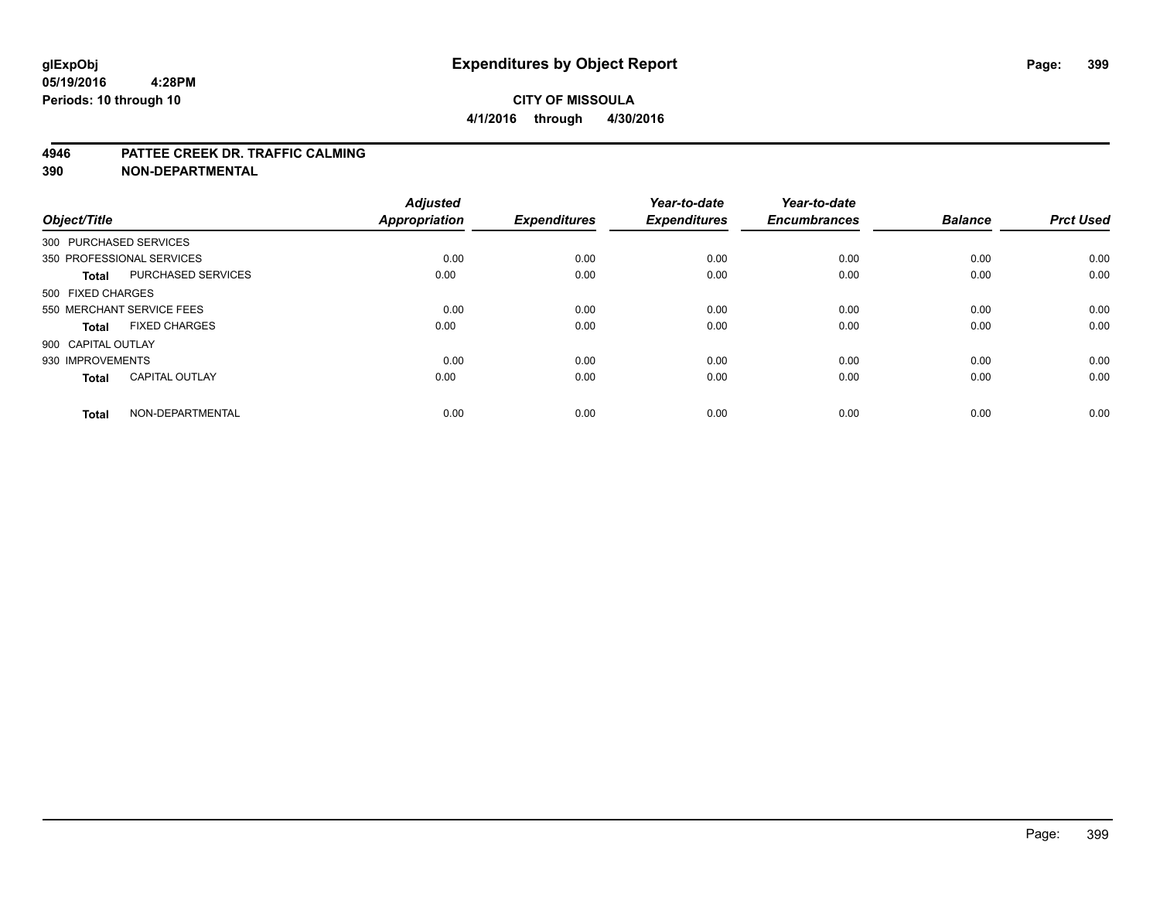#### **CITY OF MISSOULA 4/1/2016 through 4/30/2016**

#### **4946 PATTEE CREEK DR. TRAFFIC CALMING**

**390 NON-DEPARTMENTAL**

| Object/Title           |                           | <b>Adjusted</b><br><b>Appropriation</b> | <b>Expenditures</b> | Year-to-date<br><b>Expenditures</b> | Year-to-date<br><b>Encumbrances</b> | <b>Balance</b> | <b>Prct Used</b> |
|------------------------|---------------------------|-----------------------------------------|---------------------|-------------------------------------|-------------------------------------|----------------|------------------|
| 300 PURCHASED SERVICES |                           |                                         |                     |                                     |                                     |                |                  |
|                        | 350 PROFESSIONAL SERVICES | 0.00                                    | 0.00                | 0.00                                | 0.00                                | 0.00           | 0.00             |
| <b>Total</b>           | <b>PURCHASED SERVICES</b> | 0.00                                    | 0.00                | 0.00                                | 0.00                                | 0.00           | 0.00             |
| 500 FIXED CHARGES      |                           |                                         |                     |                                     |                                     |                |                  |
|                        | 550 MERCHANT SERVICE FEES | 0.00                                    | 0.00                | 0.00                                | 0.00                                | 0.00           | 0.00             |
| Total                  | <b>FIXED CHARGES</b>      | 0.00                                    | 0.00                | 0.00                                | 0.00                                | 0.00           | 0.00             |
| 900 CAPITAL OUTLAY     |                           |                                         |                     |                                     |                                     |                |                  |
| 930 IMPROVEMENTS       |                           | 0.00                                    | 0.00                | 0.00                                | 0.00                                | 0.00           | 0.00             |
| Total                  | <b>CAPITAL OUTLAY</b>     | 0.00                                    | 0.00                | 0.00                                | 0.00                                | 0.00           | 0.00             |
| <b>Total</b>           | NON-DEPARTMENTAL          | 0.00                                    | 0.00                | 0.00                                | 0.00                                | 0.00           | 0.00             |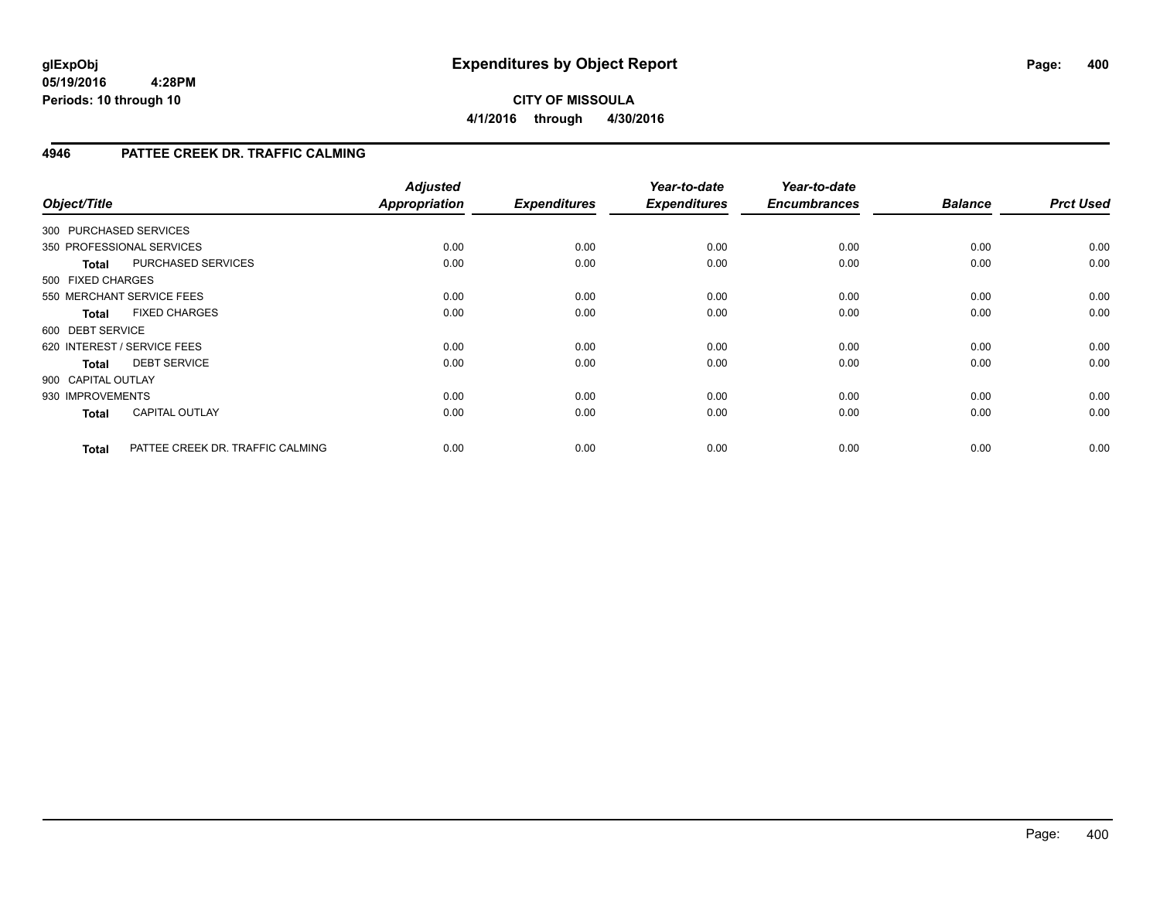#### **CITY OF MISSOULA 4/1/2016 through 4/30/2016**

## **4946 PATTEE CREEK DR. TRAFFIC CALMING**

| Object/Title       |                                  | <b>Adjusted</b><br><b>Appropriation</b> | <b>Expenditures</b> | Year-to-date<br><b>Expenditures</b> | Year-to-date<br><b>Encumbrances</b> | <b>Balance</b> | <b>Prct Used</b> |
|--------------------|----------------------------------|-----------------------------------------|---------------------|-------------------------------------|-------------------------------------|----------------|------------------|
|                    | 300 PURCHASED SERVICES           |                                         |                     |                                     |                                     |                |                  |
|                    | 350 PROFESSIONAL SERVICES        | 0.00                                    | 0.00                | 0.00                                | 0.00                                | 0.00           | 0.00             |
| <b>Total</b>       | PURCHASED SERVICES               | 0.00                                    | 0.00                | 0.00                                | 0.00                                | 0.00           | 0.00             |
| 500 FIXED CHARGES  |                                  |                                         |                     |                                     |                                     |                |                  |
|                    | 550 MERCHANT SERVICE FEES        | 0.00                                    | 0.00                | 0.00                                | 0.00                                | 0.00           | 0.00             |
| <b>Total</b>       | <b>FIXED CHARGES</b>             | 0.00                                    | 0.00                | 0.00                                | 0.00                                | 0.00           | 0.00             |
| 600 DEBT SERVICE   |                                  |                                         |                     |                                     |                                     |                |                  |
|                    | 620 INTEREST / SERVICE FEES      | 0.00                                    | 0.00                | 0.00                                | 0.00                                | 0.00           | 0.00             |
| <b>Total</b>       | <b>DEBT SERVICE</b>              | 0.00                                    | 0.00                | 0.00                                | 0.00                                | 0.00           | 0.00             |
| 900 CAPITAL OUTLAY |                                  |                                         |                     |                                     |                                     |                |                  |
| 930 IMPROVEMENTS   |                                  | 0.00                                    | 0.00                | 0.00                                | 0.00                                | 0.00           | 0.00             |
| <b>Total</b>       | <b>CAPITAL OUTLAY</b>            | 0.00                                    | 0.00                | 0.00                                | 0.00                                | 0.00           | 0.00             |
| <b>Total</b>       | PATTEE CREEK DR. TRAFFIC CALMING | 0.00                                    | 0.00                | 0.00                                | 0.00                                | 0.00           | 0.00             |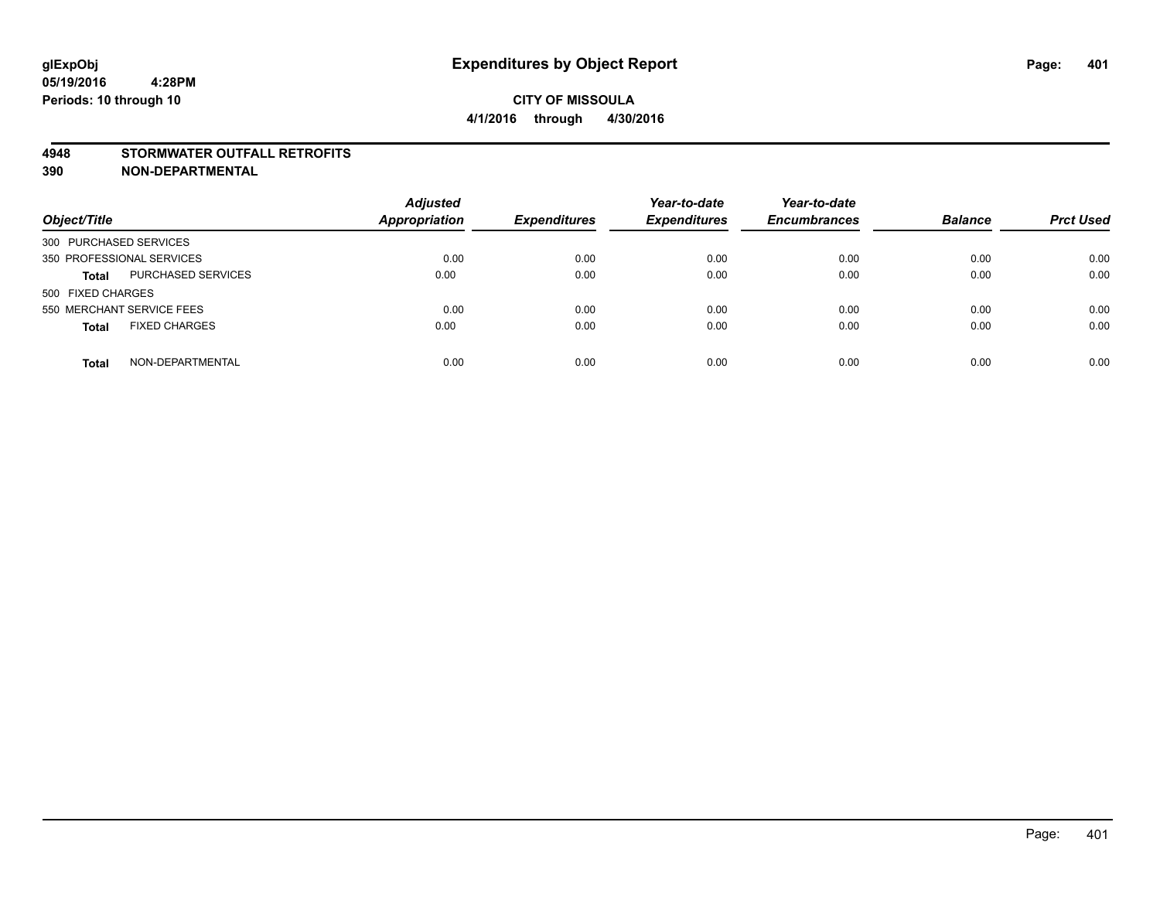#### **4948 STORMWATER OUTFALL RETROFITS**

**390 NON-DEPARTMENTAL**

| Object/Title                              | <b>Adjusted</b><br><b>Appropriation</b> | <b>Expenditures</b> | Year-to-date<br><b>Expenditures</b> | Year-to-date<br><b>Encumbrances</b> | <b>Balance</b> | <b>Prct Used</b> |
|-------------------------------------------|-----------------------------------------|---------------------|-------------------------------------|-------------------------------------|----------------|------------------|
| 300 PURCHASED SERVICES                    |                                         |                     |                                     |                                     |                |                  |
| 350 PROFESSIONAL SERVICES                 | 0.00                                    | 0.00                | 0.00                                | 0.00                                | 0.00           | 0.00             |
| <b>PURCHASED SERVICES</b><br><b>Total</b> | 0.00                                    | 0.00                | 0.00                                | 0.00                                | 0.00           | 0.00             |
| 500 FIXED CHARGES                         |                                         |                     |                                     |                                     |                |                  |
| 550 MERCHANT SERVICE FEES                 | 0.00                                    | 0.00                | 0.00                                | 0.00                                | 0.00           | 0.00             |
| <b>FIXED CHARGES</b><br><b>Total</b>      | 0.00                                    | 0.00                | 0.00                                | 0.00                                | 0.00           | 0.00             |
| NON-DEPARTMENTAL<br><b>Total</b>          | 0.00                                    | 0.00                | 0.00                                | 0.00                                | 0.00           | 0.00             |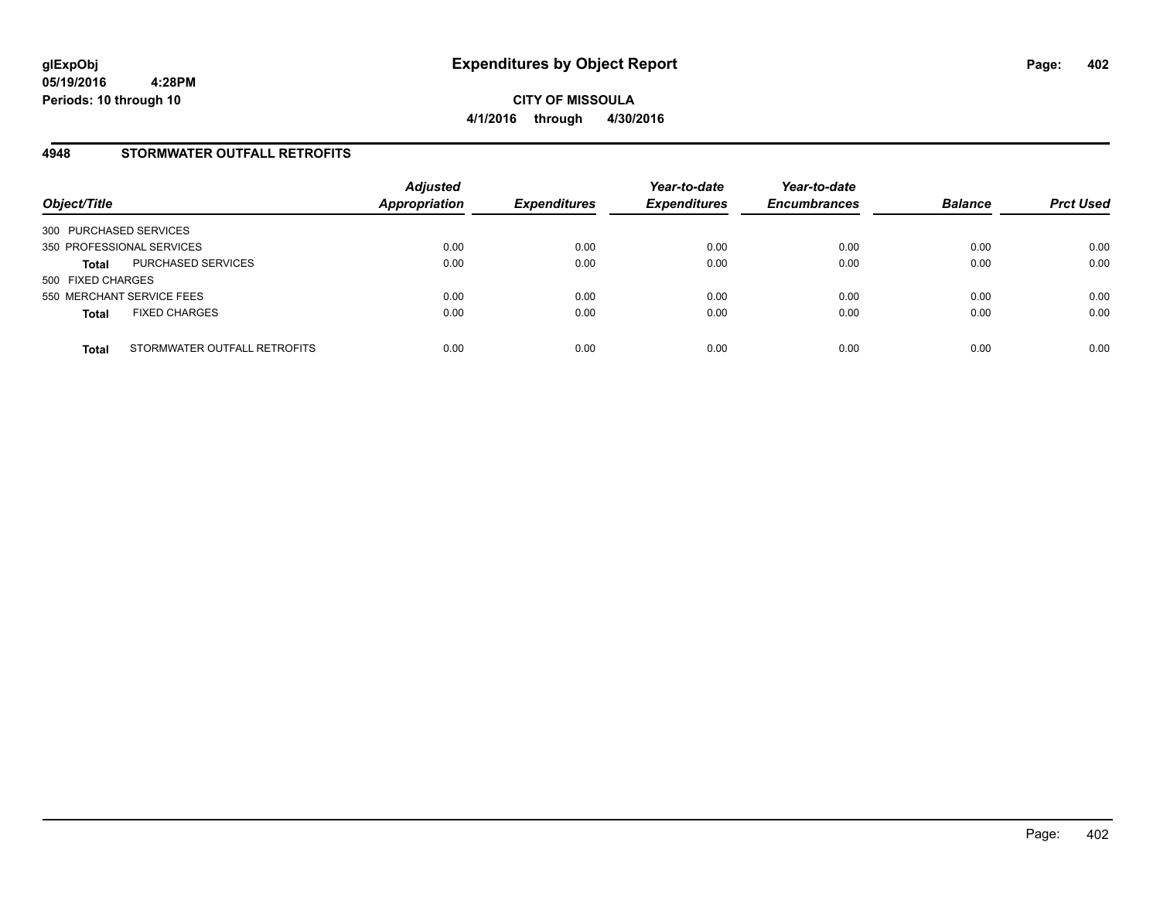## **4948 STORMWATER OUTFALL RETROFITS**

| Object/Title                                 | <b>Adjusted</b><br><b>Appropriation</b> | <b>Expenditures</b> | Year-to-date<br><b>Expenditures</b> | Year-to-date<br><b>Encumbrances</b> | <b>Balance</b> | <b>Prct Used</b> |
|----------------------------------------------|-----------------------------------------|---------------------|-------------------------------------|-------------------------------------|----------------|------------------|
| 300 PURCHASED SERVICES                       |                                         |                     |                                     |                                     |                |                  |
| 350 PROFESSIONAL SERVICES                    | 0.00                                    | 0.00                | 0.00                                | 0.00                                | 0.00           | 0.00             |
| PURCHASED SERVICES<br><b>Total</b>           | 0.00                                    | 0.00                | 0.00                                | 0.00                                | 0.00           | 0.00             |
| 500 FIXED CHARGES                            |                                         |                     |                                     |                                     |                |                  |
| 550 MERCHANT SERVICE FEES                    | 0.00                                    | 0.00                | 0.00                                | 0.00                                | 0.00           | 0.00             |
| <b>FIXED CHARGES</b><br><b>Total</b>         | 0.00                                    | 0.00                | 0.00                                | 0.00                                | 0.00           | 0.00             |
| STORMWATER OUTFALL RETROFITS<br><b>Total</b> | 0.00                                    | 0.00                | 0.00                                | 0.00                                | 0.00           | 0.00             |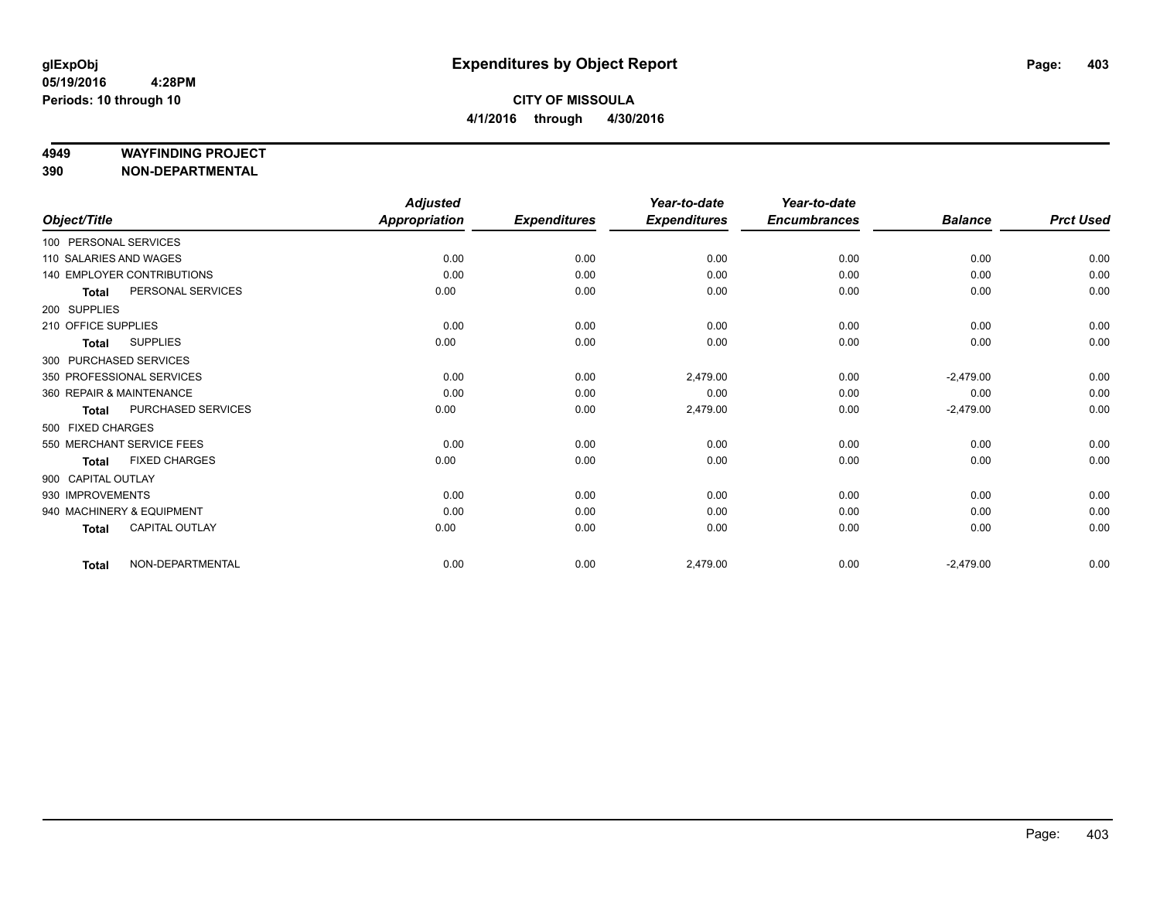#### **4949 WAYFINDING PROJECT**

**390 NON-DEPARTMENTAL**

|                          |                                   | <b>Adjusted</b>      |                     | Year-to-date        | Year-to-date        |                |                  |
|--------------------------|-----------------------------------|----------------------|---------------------|---------------------|---------------------|----------------|------------------|
| Object/Title             |                                   | <b>Appropriation</b> | <b>Expenditures</b> | <b>Expenditures</b> | <b>Encumbrances</b> | <b>Balance</b> | <b>Prct Used</b> |
| 100 PERSONAL SERVICES    |                                   |                      |                     |                     |                     |                |                  |
| 110 SALARIES AND WAGES   |                                   | 0.00                 | 0.00                | 0.00                | 0.00                | 0.00           | 0.00             |
|                          | <b>140 EMPLOYER CONTRIBUTIONS</b> | 0.00                 | 0.00                | 0.00                | 0.00                | 0.00           | 0.00             |
| <b>Total</b>             | PERSONAL SERVICES                 | 0.00                 | 0.00                | 0.00                | 0.00                | 0.00           | 0.00             |
| 200 SUPPLIES             |                                   |                      |                     |                     |                     |                |                  |
| 210 OFFICE SUPPLIES      |                                   | 0.00                 | 0.00                | 0.00                | 0.00                | 0.00           | 0.00             |
| <b>Total</b>             | <b>SUPPLIES</b>                   | 0.00                 | 0.00                | 0.00                | 0.00                | 0.00           | 0.00             |
| 300 PURCHASED SERVICES   |                                   |                      |                     |                     |                     |                |                  |
|                          | 350 PROFESSIONAL SERVICES         | 0.00                 | 0.00                | 2,479.00            | 0.00                | $-2,479.00$    | 0.00             |
| 360 REPAIR & MAINTENANCE |                                   | 0.00                 | 0.00                | 0.00                | 0.00                | 0.00           | 0.00             |
| <b>Total</b>             | PURCHASED SERVICES                | 0.00                 | 0.00                | 2,479.00            | 0.00                | $-2,479.00$    | 0.00             |
| 500 FIXED CHARGES        |                                   |                      |                     |                     |                     |                |                  |
|                          | 550 MERCHANT SERVICE FEES         | 0.00                 | 0.00                | 0.00                | 0.00                | 0.00           | 0.00             |
| <b>Total</b>             | <b>FIXED CHARGES</b>              | 0.00                 | 0.00                | 0.00                | 0.00                | 0.00           | 0.00             |
| 900 CAPITAL OUTLAY       |                                   |                      |                     |                     |                     |                |                  |
| 930 IMPROVEMENTS         |                                   | 0.00                 | 0.00                | 0.00                | 0.00                | 0.00           | 0.00             |
|                          | 940 MACHINERY & EQUIPMENT         | 0.00                 | 0.00                | 0.00                | 0.00                | 0.00           | 0.00             |
| <b>Total</b>             | <b>CAPITAL OUTLAY</b>             | 0.00                 | 0.00                | 0.00                | 0.00                | 0.00           | 0.00             |
| <b>Total</b>             | NON-DEPARTMENTAL                  | 0.00                 | 0.00                | 2,479.00            | 0.00                | $-2,479.00$    | 0.00             |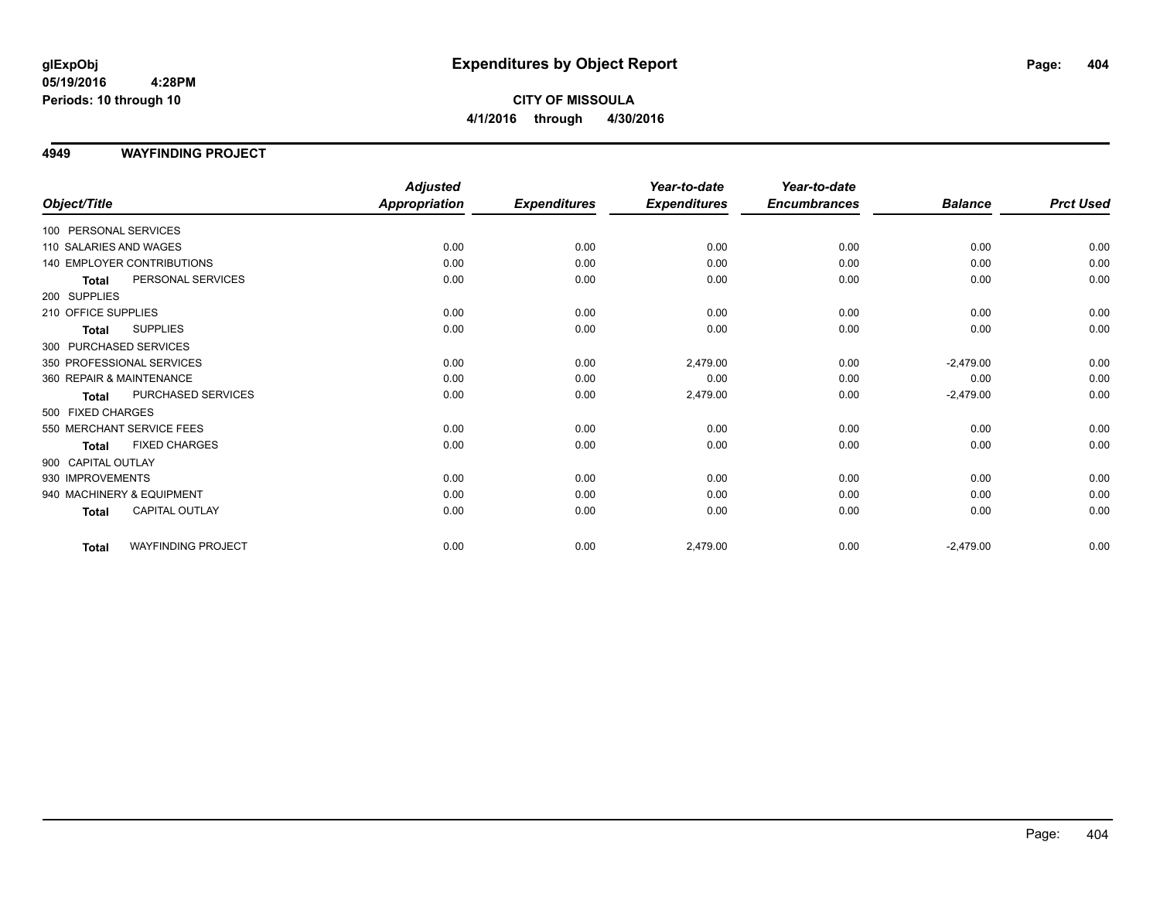## **CITY OF MISSOULA 4/1/2016 through 4/30/2016**

#### **4949 WAYFINDING PROJECT**

|                                 |                           | <b>Adjusted</b>      |                     | Year-to-date        | Year-to-date        |                |                  |
|---------------------------------|---------------------------|----------------------|---------------------|---------------------|---------------------|----------------|------------------|
| Object/Title                    |                           | <b>Appropriation</b> | <b>Expenditures</b> | <b>Expenditures</b> | <b>Encumbrances</b> | <b>Balance</b> | <b>Prct Used</b> |
| 100 PERSONAL SERVICES           |                           |                      |                     |                     |                     |                |                  |
| 110 SALARIES AND WAGES          |                           | 0.00                 | 0.00                | 0.00                | 0.00                | 0.00           | 0.00             |
| 140 EMPLOYER CONTRIBUTIONS      |                           | 0.00                 | 0.00                | 0.00                | 0.00                | 0.00           | 0.00             |
| <b>Total</b>                    | PERSONAL SERVICES         | 0.00                 | 0.00                | 0.00                | 0.00                | 0.00           | 0.00             |
| 200 SUPPLIES                    |                           |                      |                     |                     |                     |                |                  |
| 210 OFFICE SUPPLIES             |                           | 0.00                 | 0.00                | 0.00                | 0.00                | 0.00           | 0.00             |
| <b>SUPPLIES</b><br><b>Total</b> |                           | 0.00                 | 0.00                | 0.00                | 0.00                | 0.00           | 0.00             |
| 300 PURCHASED SERVICES          |                           |                      |                     |                     |                     |                |                  |
| 350 PROFESSIONAL SERVICES       |                           | 0.00                 | 0.00                | 2,479.00            | 0.00                | $-2,479.00$    | 0.00             |
| 360 REPAIR & MAINTENANCE        |                           | 0.00                 | 0.00                | 0.00                | 0.00                | 0.00           | 0.00             |
| <b>Total</b>                    | PURCHASED SERVICES        | 0.00                 | 0.00                | 2,479.00            | 0.00                | $-2,479.00$    | 0.00             |
| 500 FIXED CHARGES               |                           |                      |                     |                     |                     |                |                  |
| 550 MERCHANT SERVICE FEES       |                           | 0.00                 | 0.00                | 0.00                | 0.00                | 0.00           | 0.00             |
| <b>Total</b>                    | <b>FIXED CHARGES</b>      | 0.00                 | 0.00                | 0.00                | 0.00                | 0.00           | 0.00             |
| 900 CAPITAL OUTLAY              |                           |                      |                     |                     |                     |                |                  |
| 930 IMPROVEMENTS                |                           | 0.00                 | 0.00                | 0.00                | 0.00                | 0.00           | 0.00             |
| 940 MACHINERY & EQUIPMENT       |                           | 0.00                 | 0.00                | 0.00                | 0.00                | 0.00           | 0.00             |
| <b>Total</b>                    | <b>CAPITAL OUTLAY</b>     | 0.00                 | 0.00                | 0.00                | 0.00                | 0.00           | 0.00             |
| <b>Total</b>                    | <b>WAYFINDING PROJECT</b> | 0.00                 | 0.00                | 2,479.00            | 0.00                | $-2,479.00$    | 0.00             |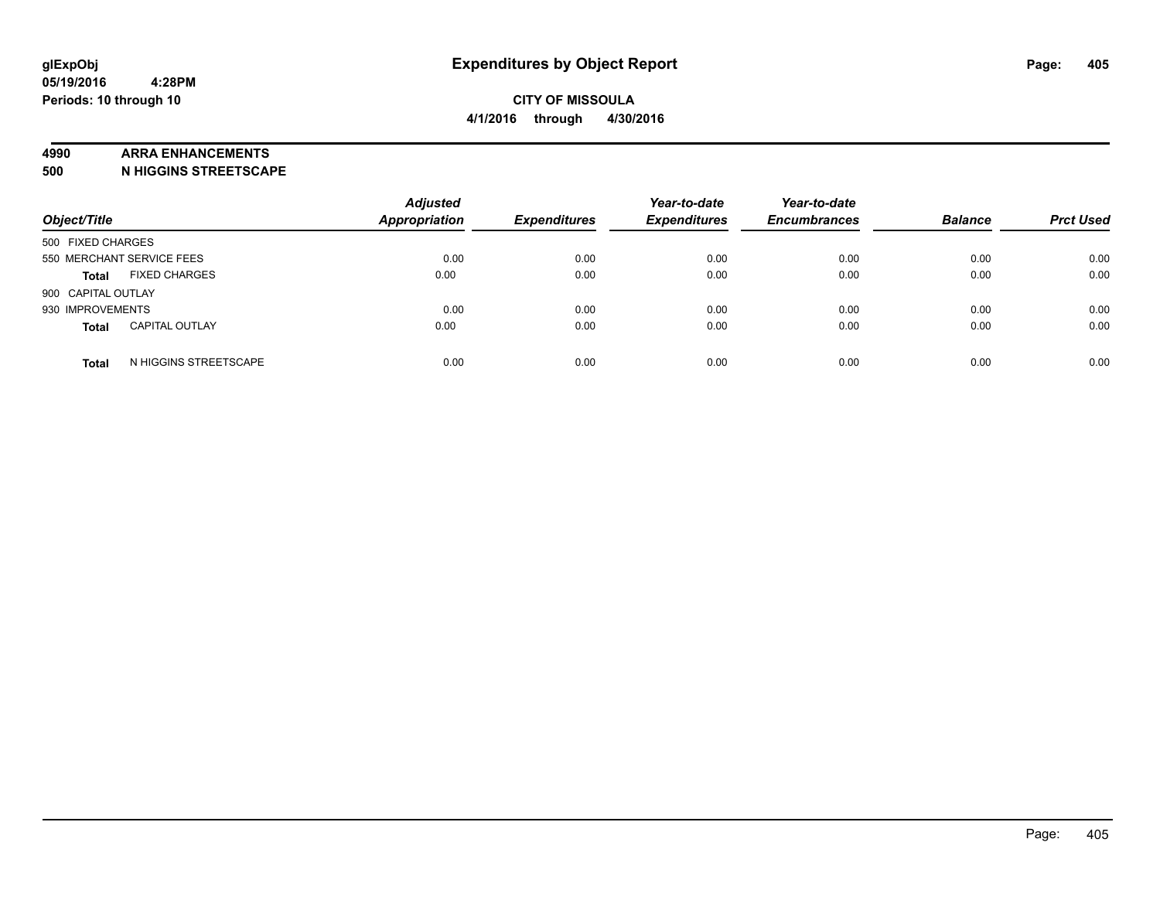#### **4990 ARRA ENHANCEMENTS**

**500 N HIGGINS STREETSCAPE**

| Object/Title              |                       | <b>Adjusted</b><br><b>Appropriation</b> | <b>Expenditures</b> | Year-to-date<br><b>Expenditures</b> | Year-to-date<br><b>Encumbrances</b> | <b>Balance</b> | <b>Prct Used</b> |
|---------------------------|-----------------------|-----------------------------------------|---------------------|-------------------------------------|-------------------------------------|----------------|------------------|
| 500 FIXED CHARGES         |                       |                                         |                     |                                     |                                     |                |                  |
| 550 MERCHANT SERVICE FEES |                       | 0.00                                    | 0.00                | 0.00                                | 0.00                                | 0.00           | 0.00             |
| <b>Total</b>              | <b>FIXED CHARGES</b>  | 0.00                                    | 0.00                | 0.00                                | 0.00                                | 0.00           | 0.00             |
| 900 CAPITAL OUTLAY        |                       |                                         |                     |                                     |                                     |                |                  |
| 930 IMPROVEMENTS          |                       | 0.00                                    | 0.00                | 0.00                                | 0.00                                | 0.00           | 0.00             |
| <b>Total</b>              | <b>CAPITAL OUTLAY</b> | 0.00                                    | 0.00                | 0.00                                | 0.00                                | 0.00           | 0.00             |
| <b>Total</b>              | N HIGGINS STREETSCAPE | 0.00                                    | 0.00                | 0.00                                | 0.00                                | 0.00           | 0.00             |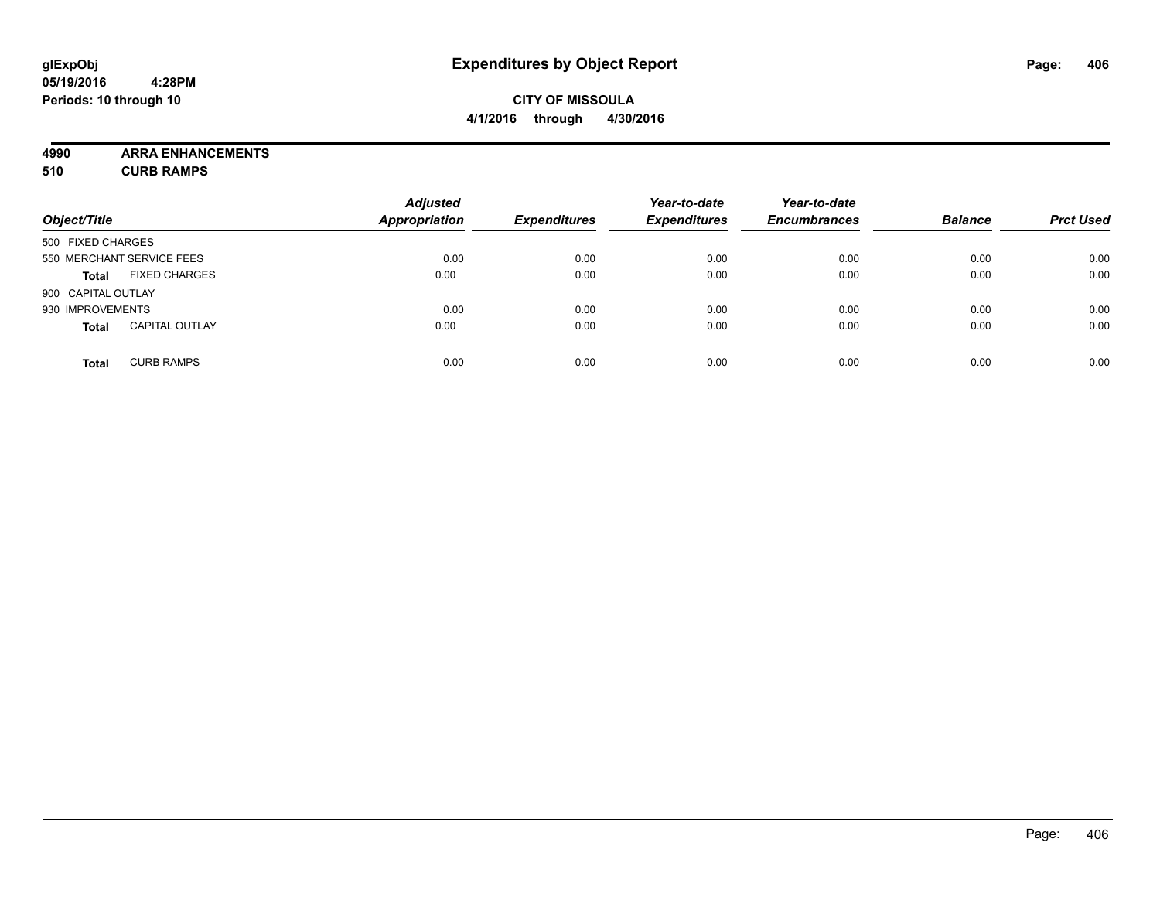## **CITY OF MISSOULA 4/1/2016 through 4/30/2016**

**4990 ARRA ENHANCEMENTS**

**510 CURB RAMPS**

| Object/Title       |                           | <b>Adjusted</b><br><b>Appropriation</b> | <b>Expenditures</b> | Year-to-date<br><b>Expenditures</b> | Year-to-date<br><b>Encumbrances</b> | <b>Balance</b> | <b>Prct Used</b> |
|--------------------|---------------------------|-----------------------------------------|---------------------|-------------------------------------|-------------------------------------|----------------|------------------|
| 500 FIXED CHARGES  |                           |                                         |                     |                                     |                                     |                |                  |
|                    | 550 MERCHANT SERVICE FEES | 0.00                                    | 0.00                | 0.00                                | 0.00                                | 0.00           | 0.00             |
| <b>Total</b>       | <b>FIXED CHARGES</b>      | 0.00                                    | 0.00                | 0.00                                | 0.00                                | 0.00           | 0.00             |
| 900 CAPITAL OUTLAY |                           |                                         |                     |                                     |                                     |                |                  |
| 930 IMPROVEMENTS   |                           | 0.00                                    | 0.00                | 0.00                                | 0.00                                | 0.00           | 0.00             |
| <b>Total</b>       | <b>CAPITAL OUTLAY</b>     | 0.00                                    | 0.00                | 0.00                                | 0.00                                | 0.00           | 0.00             |
| <b>Total</b>       | <b>CURB RAMPS</b>         | 0.00                                    | 0.00                | 0.00                                | 0.00                                | 0.00           | 0.00             |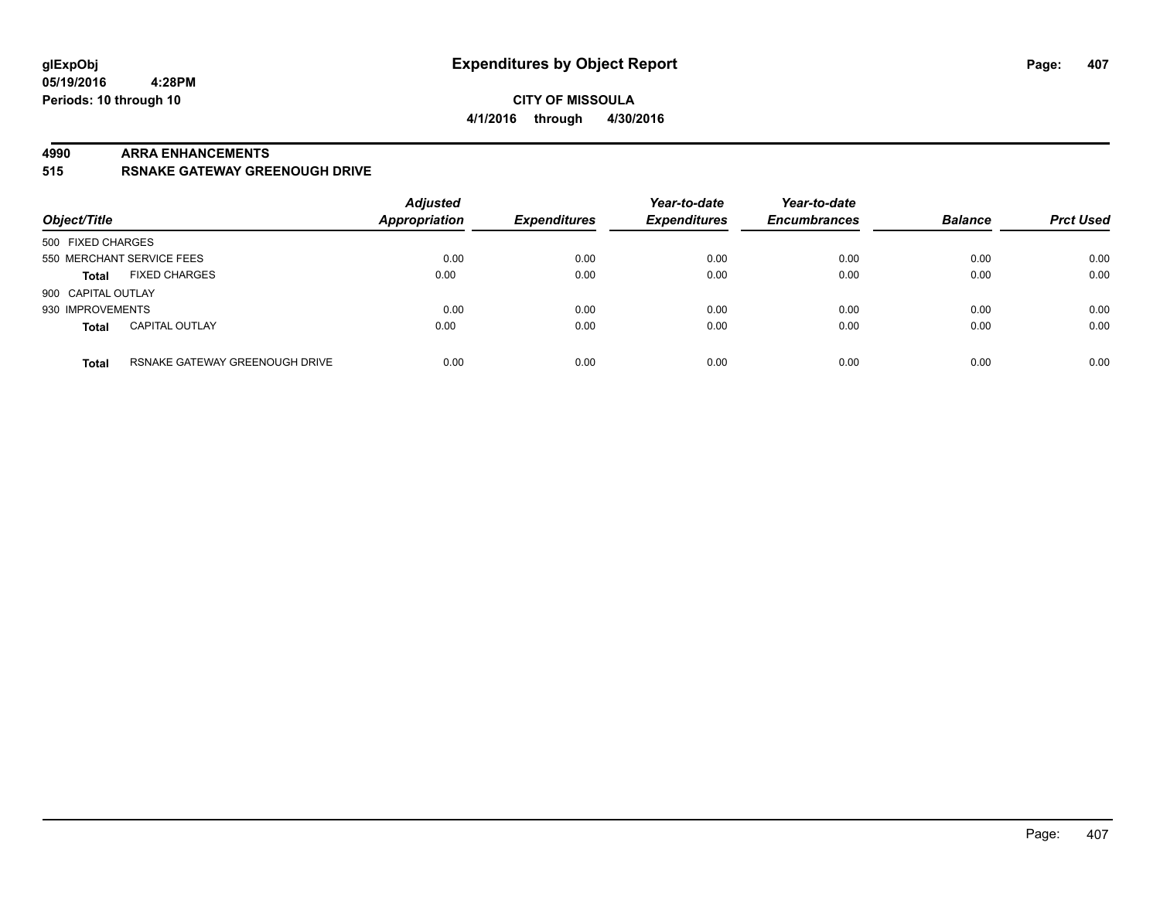#### **4990 ARRA ENHANCEMENTS**

**515 RSNAKE GATEWAY GREENOUGH DRIVE**

| Object/Title       |                                | <b>Adjusted</b><br><b>Appropriation</b> | <b>Expenditures</b> | Year-to-date<br><b>Expenditures</b> | Year-to-date<br><b>Encumbrances</b> | <b>Balance</b> | <b>Prct Used</b> |
|--------------------|--------------------------------|-----------------------------------------|---------------------|-------------------------------------|-------------------------------------|----------------|------------------|
| 500 FIXED CHARGES  |                                |                                         |                     |                                     |                                     |                |                  |
|                    | 550 MERCHANT SERVICE FEES      | 0.00                                    | 0.00                | 0.00                                | 0.00                                | 0.00           | 0.00             |
| <b>Total</b>       | <b>FIXED CHARGES</b>           | 0.00                                    | 0.00                | 0.00                                | 0.00                                | 0.00           | 0.00             |
| 900 CAPITAL OUTLAY |                                |                                         |                     |                                     |                                     |                |                  |
| 930 IMPROVEMENTS   |                                | 0.00                                    | 0.00                | 0.00                                | 0.00                                | 0.00           | 0.00             |
| <b>Total</b>       | <b>CAPITAL OUTLAY</b>          | 0.00                                    | 0.00                | 0.00                                | 0.00                                | 0.00           | 0.00             |
| <b>Total</b>       | RSNAKE GATEWAY GREENOUGH DRIVE | 0.00                                    | 0.00                | 0.00                                | 0.00                                | 0.00           | 0.00             |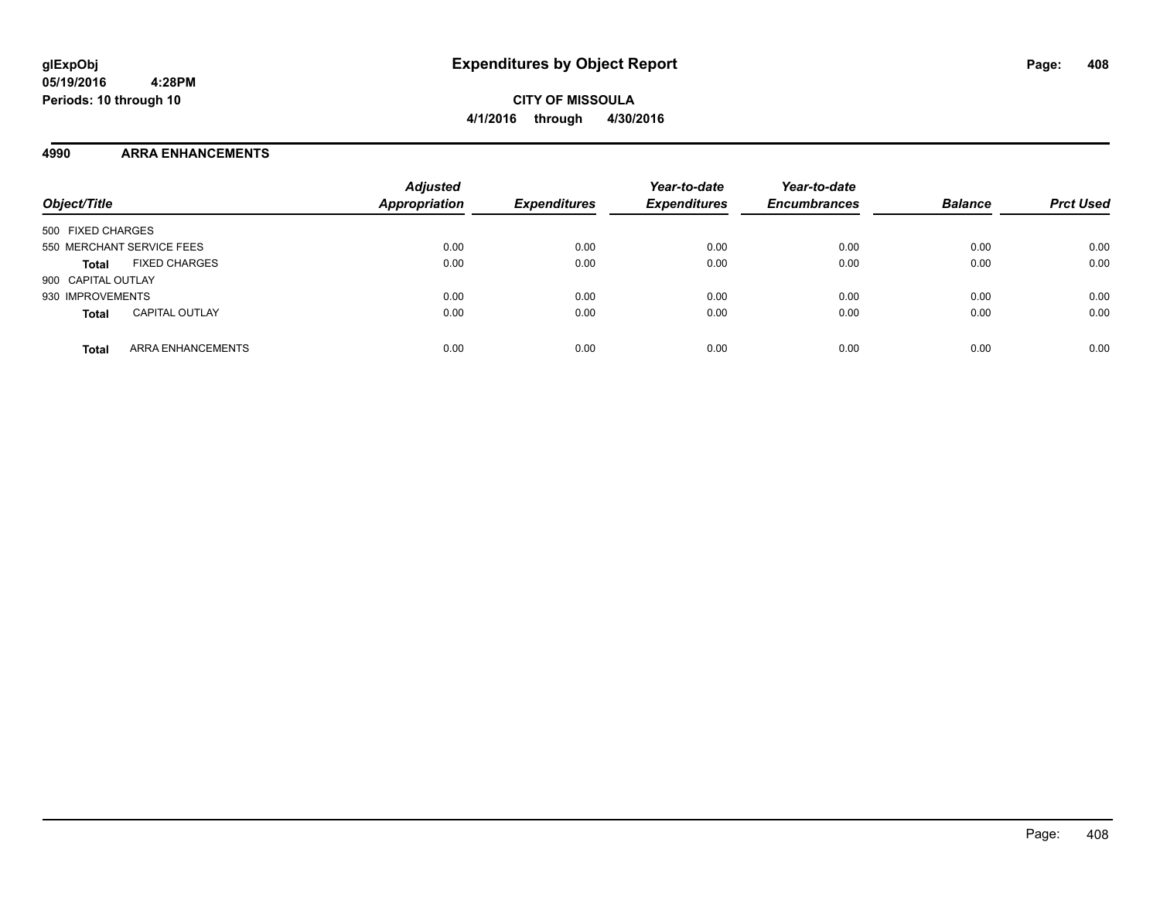#### **4990 ARRA ENHANCEMENTS**

| Object/Title                             | <b>Adjusted</b><br><b>Appropriation</b> | <b>Expenditures</b> | Year-to-date<br><b>Expenditures</b> | Year-to-date<br><b>Encumbrances</b> | <b>Balance</b> | <b>Prct Used</b> |
|------------------------------------------|-----------------------------------------|---------------------|-------------------------------------|-------------------------------------|----------------|------------------|
| 500 FIXED CHARGES                        |                                         |                     |                                     |                                     |                |                  |
| 550 MERCHANT SERVICE FEES                | 0.00                                    | 0.00                | 0.00                                | 0.00                                | 0.00           | 0.00             |
| <b>FIXED CHARGES</b><br><b>Total</b>     | 0.00                                    | 0.00                | 0.00                                | 0.00                                | 0.00           | 0.00             |
| 900 CAPITAL OUTLAY                       |                                         |                     |                                     |                                     |                |                  |
| 930 IMPROVEMENTS                         | 0.00                                    | 0.00                | 0.00                                | 0.00                                | 0.00           | 0.00             |
| <b>CAPITAL OUTLAY</b><br><b>Total</b>    | 0.00                                    | 0.00                | 0.00                                | 0.00                                | 0.00           | 0.00             |
| <b>ARRA ENHANCEMENTS</b><br><b>Total</b> | 0.00                                    | 0.00                | 0.00                                | 0.00                                | 0.00           | 0.00             |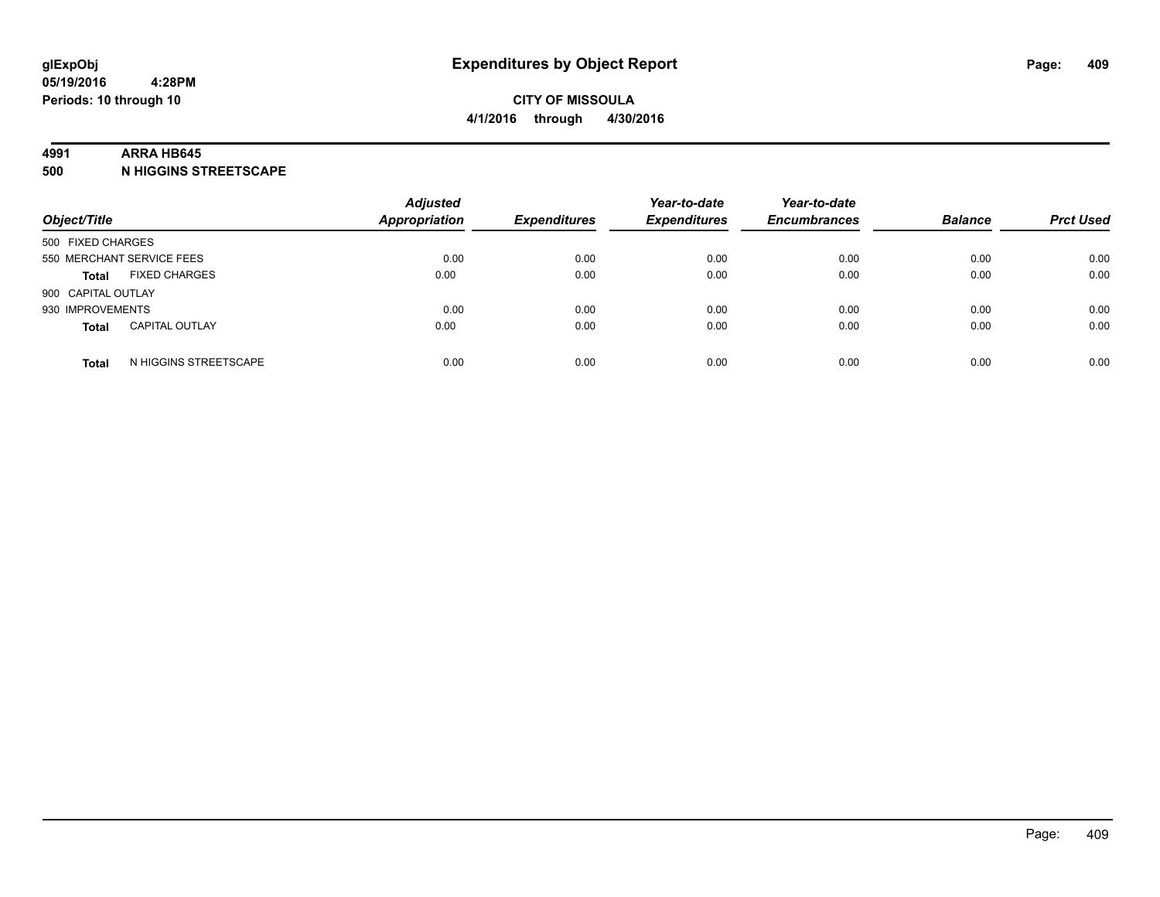#### **4991 ARRA HB645**

**500 N HIGGINS STREETSCAPE**

| Object/Title       |                           | <b>Adjusted</b><br><b>Appropriation</b> | <b>Expenditures</b> | Year-to-date<br><b>Expenditures</b> | Year-to-date<br><b>Encumbrances</b> | <b>Balance</b> | <b>Prct Used</b> |
|--------------------|---------------------------|-----------------------------------------|---------------------|-------------------------------------|-------------------------------------|----------------|------------------|
| 500 FIXED CHARGES  |                           |                                         |                     |                                     |                                     |                |                  |
|                    | 550 MERCHANT SERVICE FEES | 0.00                                    | 0.00                | 0.00                                | 0.00                                | 0.00           | 0.00             |
| <b>Total</b>       | <b>FIXED CHARGES</b>      | 0.00                                    | 0.00                | 0.00                                | 0.00                                | 0.00           | 0.00             |
| 900 CAPITAL OUTLAY |                           |                                         |                     |                                     |                                     |                |                  |
| 930 IMPROVEMENTS   |                           | 0.00                                    | 0.00                | 0.00                                | 0.00                                | 0.00           | 0.00             |
| <b>Total</b>       | <b>CAPITAL OUTLAY</b>     | 0.00                                    | 0.00                | 0.00                                | 0.00                                | 0.00           | 0.00             |
| <b>Total</b>       | N HIGGINS STREETSCAPE     | 0.00                                    | 0.00                | 0.00                                | 0.00                                | 0.00           | 0.00             |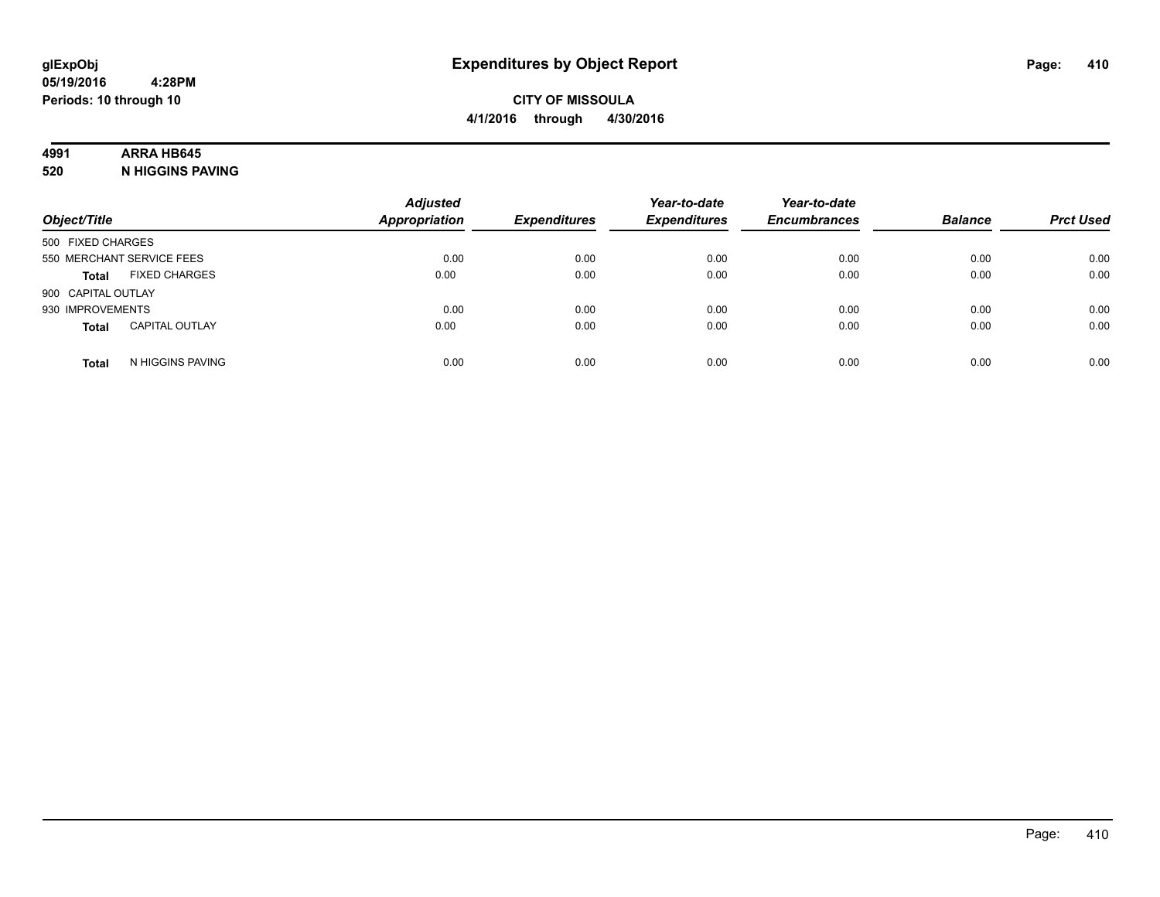## **4991 ARRA HB645**

**520 N HIGGINS PAVING**

| Object/Title       |                           | <b>Adjusted</b><br><b>Appropriation</b> | <b>Expenditures</b> | Year-to-date<br><b>Expenditures</b> | Year-to-date<br><b>Encumbrances</b> | <b>Balance</b> | <b>Prct Used</b> |
|--------------------|---------------------------|-----------------------------------------|---------------------|-------------------------------------|-------------------------------------|----------------|------------------|
| 500 FIXED CHARGES  |                           |                                         |                     |                                     |                                     |                |                  |
|                    | 550 MERCHANT SERVICE FEES | 0.00                                    | 0.00                | 0.00                                | 0.00                                | 0.00           | 0.00             |
| <b>Total</b>       | <b>FIXED CHARGES</b>      | 0.00                                    | 0.00                | 0.00                                | 0.00                                | 0.00           | 0.00             |
| 900 CAPITAL OUTLAY |                           |                                         |                     |                                     |                                     |                |                  |
| 930 IMPROVEMENTS   |                           | 0.00                                    | 0.00                | 0.00                                | 0.00                                | 0.00           | 0.00             |
| <b>Total</b>       | <b>CAPITAL OUTLAY</b>     | 0.00                                    | 0.00                | 0.00                                | 0.00                                | 0.00           | 0.00             |
| <b>Total</b>       | N HIGGINS PAVING          | 0.00                                    | 0.00                | 0.00                                | 0.00                                | 0.00           | 0.00             |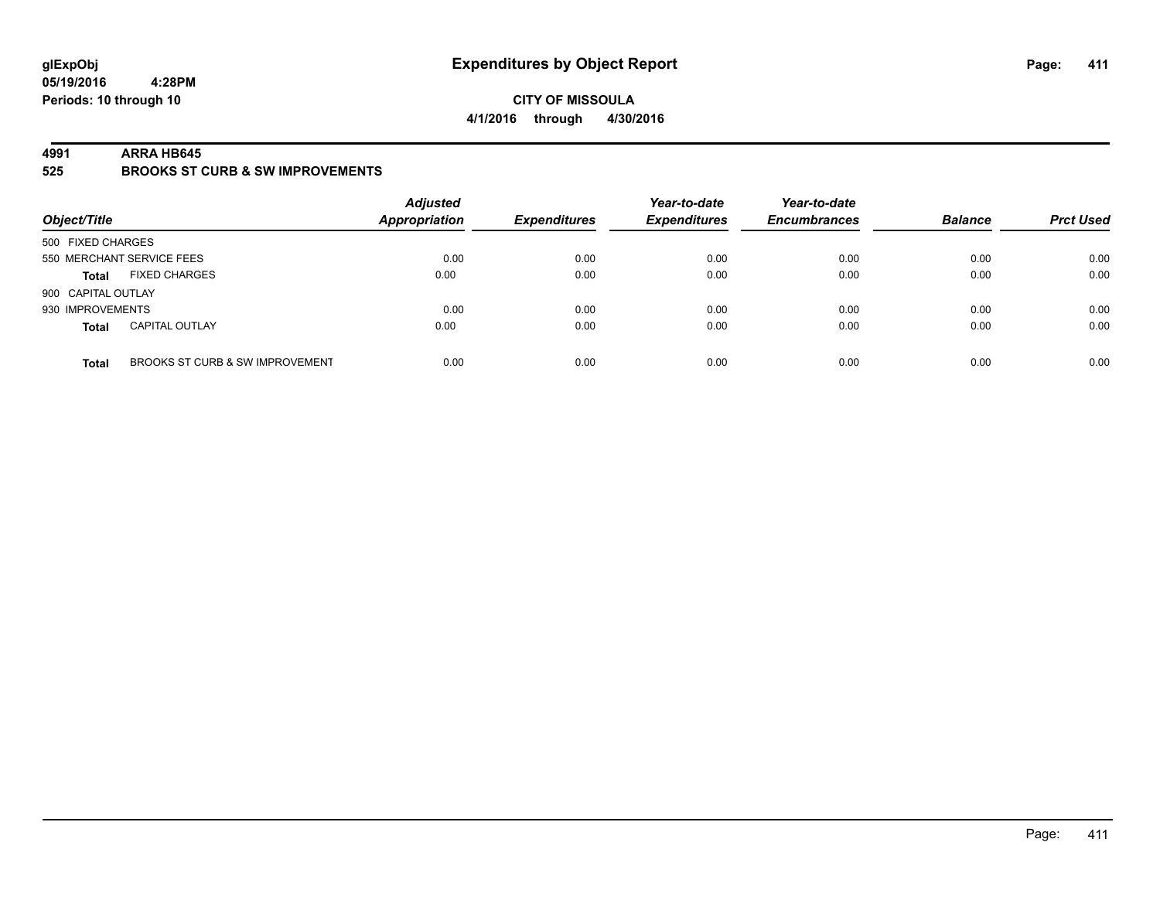#### **CITY OF MISSOULA 4/1/2016 through 4/30/2016**

#### **4991 ARRA HB645**

**525 BROOKS ST CURB & SW IMPROVEMENTS**

| Object/Title       |                                 | <b>Adjusted</b><br><b>Appropriation</b> | <b>Expenditures</b> | Year-to-date<br><b>Expenditures</b> | Year-to-date<br><b>Encumbrances</b> | <b>Balance</b> | <b>Prct Used</b> |
|--------------------|---------------------------------|-----------------------------------------|---------------------|-------------------------------------|-------------------------------------|----------------|------------------|
| 500 FIXED CHARGES  |                                 |                                         |                     |                                     |                                     |                |                  |
|                    | 550 MERCHANT SERVICE FEES       | 0.00                                    | 0.00                | 0.00                                | 0.00                                | 0.00           | 0.00             |
| <b>Total</b>       | <b>FIXED CHARGES</b>            | 0.00                                    | 0.00                | 0.00                                | 0.00                                | 0.00           | 0.00             |
| 900 CAPITAL OUTLAY |                                 |                                         |                     |                                     |                                     |                |                  |
| 930 IMPROVEMENTS   |                                 | 0.00                                    | 0.00                | 0.00                                | 0.00                                | 0.00           | 0.00             |
| <b>Total</b>       | <b>CAPITAL OUTLAY</b>           | 0.00                                    | 0.00                | 0.00                                | 0.00                                | 0.00           | 0.00             |
| <b>Total</b>       | BROOKS ST CURB & SW IMPROVEMENT | 0.00                                    | 0.00                | 0.00                                | 0.00                                | 0.00           | 0.00             |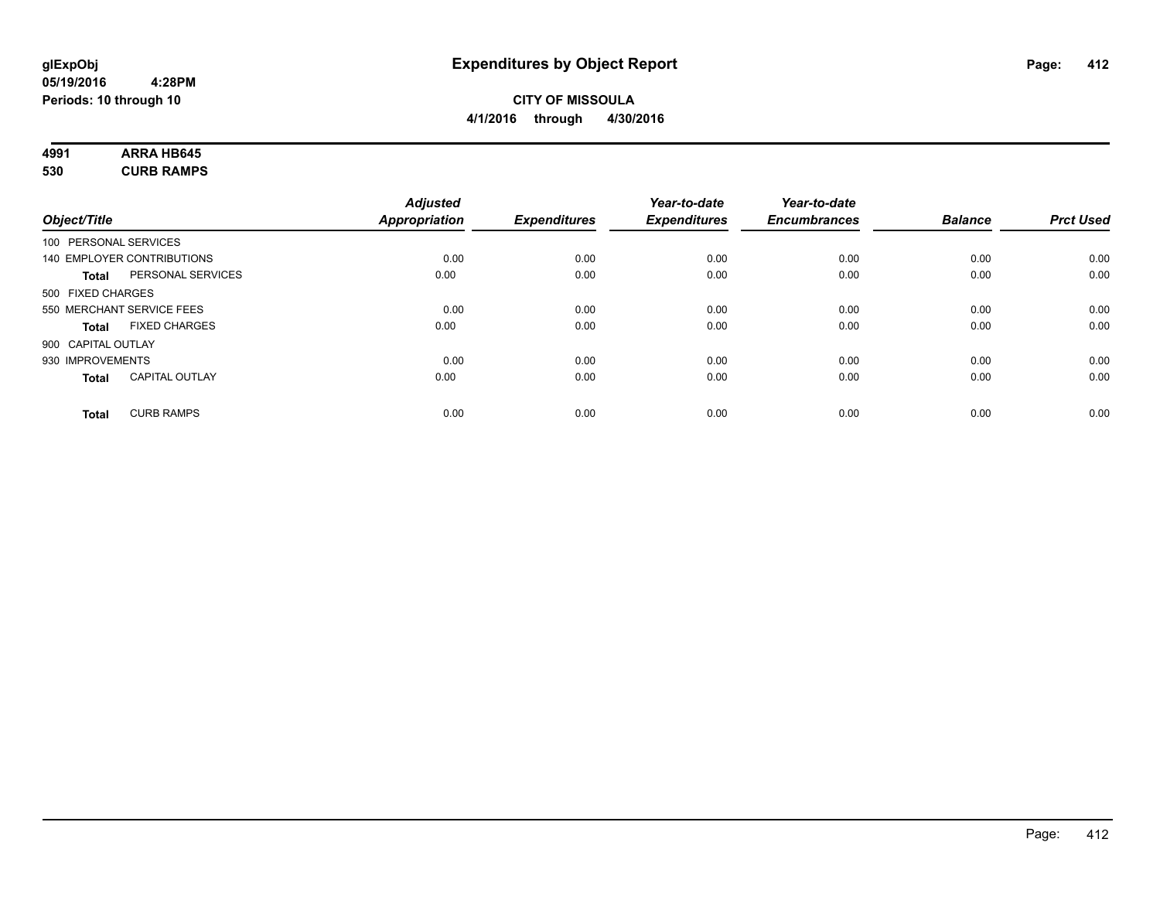# **4991 ARRA HB645**

**530 CURB RAMPS**

|              |                                   | <b>Adjusted</b>      |                     | Year-to-date        | Year-to-date        |                |                  |
|--------------|-----------------------------------|----------------------|---------------------|---------------------|---------------------|----------------|------------------|
| Object/Title |                                   | <b>Appropriation</b> | <b>Expenditures</b> | <b>Expenditures</b> | <b>Encumbrances</b> | <b>Balance</b> | <b>Prct Used</b> |
|              | 100 PERSONAL SERVICES             |                      |                     |                     |                     |                |                  |
|              | 140 EMPLOYER CONTRIBUTIONS        | 0.00                 | 0.00                | 0.00                | 0.00                | 0.00           | 0.00             |
|              | PERSONAL SERVICES<br><b>Total</b> | 0.00                 | 0.00                | 0.00                | 0.00                | 0.00           | 0.00             |
|              | 500 FIXED CHARGES                 |                      |                     |                     |                     |                |                  |
|              | 550 MERCHANT SERVICE FEES         | 0.00                 | 0.00                | 0.00                | 0.00                | 0.00           | 0.00             |
|              | <b>FIXED CHARGES</b><br>Total     | 0.00                 | 0.00                | 0.00                | 0.00                | 0.00           | 0.00             |
|              | 900 CAPITAL OUTLAY                |                      |                     |                     |                     |                |                  |
|              | 930 IMPROVEMENTS                  | 0.00                 | 0.00                | 0.00                | 0.00                | 0.00           | 0.00             |
|              | <b>CAPITAL OUTLAY</b><br>Total    | 0.00                 | 0.00                | 0.00                | 0.00                | 0.00           | 0.00             |
|              | <b>CURB RAMPS</b><br><b>Total</b> | 0.00                 | 0.00                | 0.00                | 0.00                | 0.00           | 0.00             |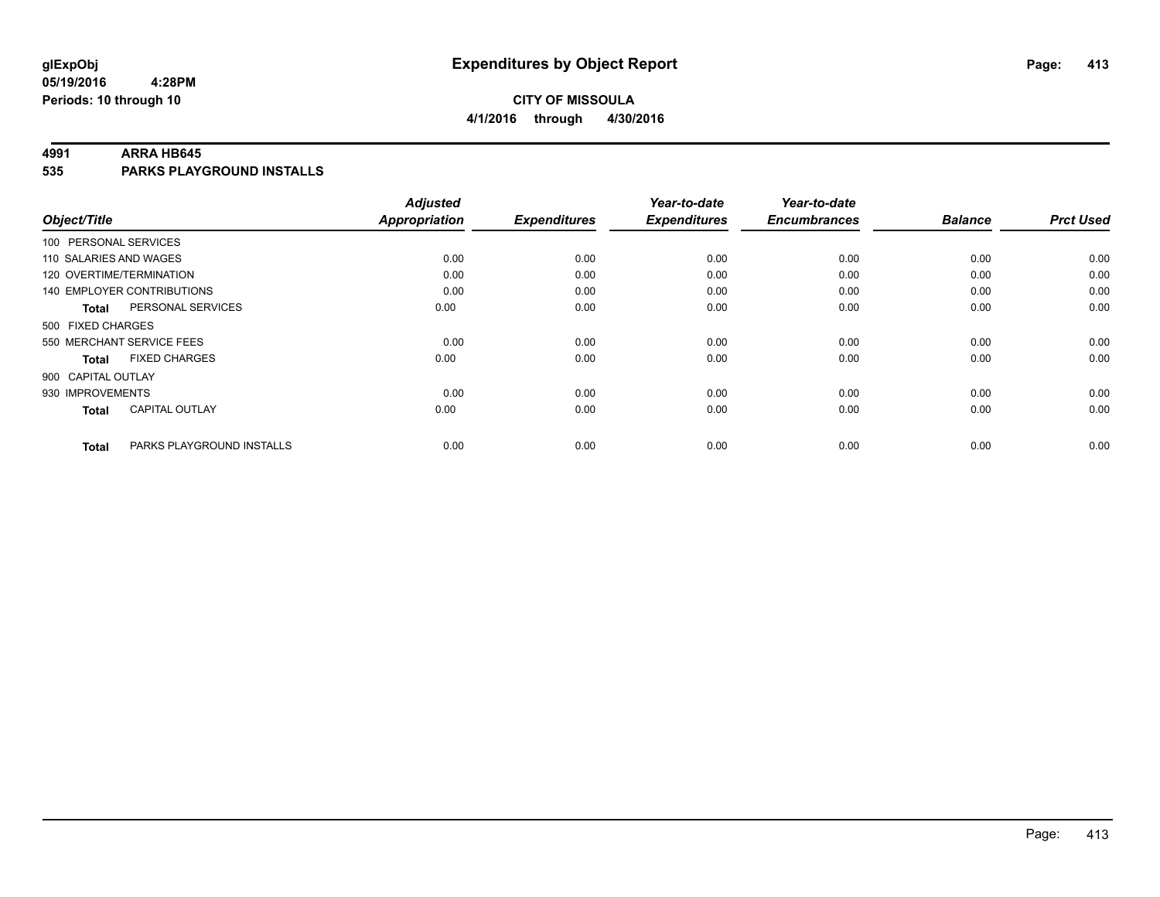#### **4991 ARRA HB645**

**535 PARKS PLAYGROUND INSTALLS**

| Object/Title                              | <b>Adjusted</b><br><b>Appropriation</b> | <b>Expenditures</b> | Year-to-date<br><b>Expenditures</b> | Year-to-date<br><b>Encumbrances</b> | <b>Balance</b> | <b>Prct Used</b> |
|-------------------------------------------|-----------------------------------------|---------------------|-------------------------------------|-------------------------------------|----------------|------------------|
|                                           |                                         |                     |                                     |                                     |                |                  |
| 100 PERSONAL SERVICES                     |                                         |                     |                                     |                                     |                |                  |
| 110 SALARIES AND WAGES                    | 0.00                                    | 0.00                | 0.00                                | 0.00                                | 0.00           | 0.00             |
| 120 OVERTIME/TERMINATION                  | 0.00                                    | 0.00                | 0.00                                | 0.00                                | 0.00           | 0.00             |
| 140 EMPLOYER CONTRIBUTIONS                | 0.00                                    | 0.00                | 0.00                                | 0.00                                | 0.00           | 0.00             |
| PERSONAL SERVICES<br><b>Total</b>         | 0.00                                    | 0.00                | 0.00                                | 0.00                                | 0.00           | 0.00             |
| 500 FIXED CHARGES                         |                                         |                     |                                     |                                     |                |                  |
| 550 MERCHANT SERVICE FEES                 | 0.00                                    | 0.00                | 0.00                                | 0.00                                | 0.00           | 0.00             |
| <b>FIXED CHARGES</b><br><b>Total</b>      | 0.00                                    | 0.00                | 0.00                                | 0.00                                | 0.00           | 0.00             |
| 900 CAPITAL OUTLAY                        |                                         |                     |                                     |                                     |                |                  |
| 930 IMPROVEMENTS                          | 0.00                                    | 0.00                | 0.00                                | 0.00                                | 0.00           | 0.00             |
| <b>CAPITAL OUTLAY</b><br><b>Total</b>     | 0.00                                    | 0.00                | 0.00                                | 0.00                                | 0.00           | 0.00             |
| PARKS PLAYGROUND INSTALLS<br><b>Total</b> | 0.00                                    | 0.00                | 0.00                                | 0.00                                | 0.00           | 0.00             |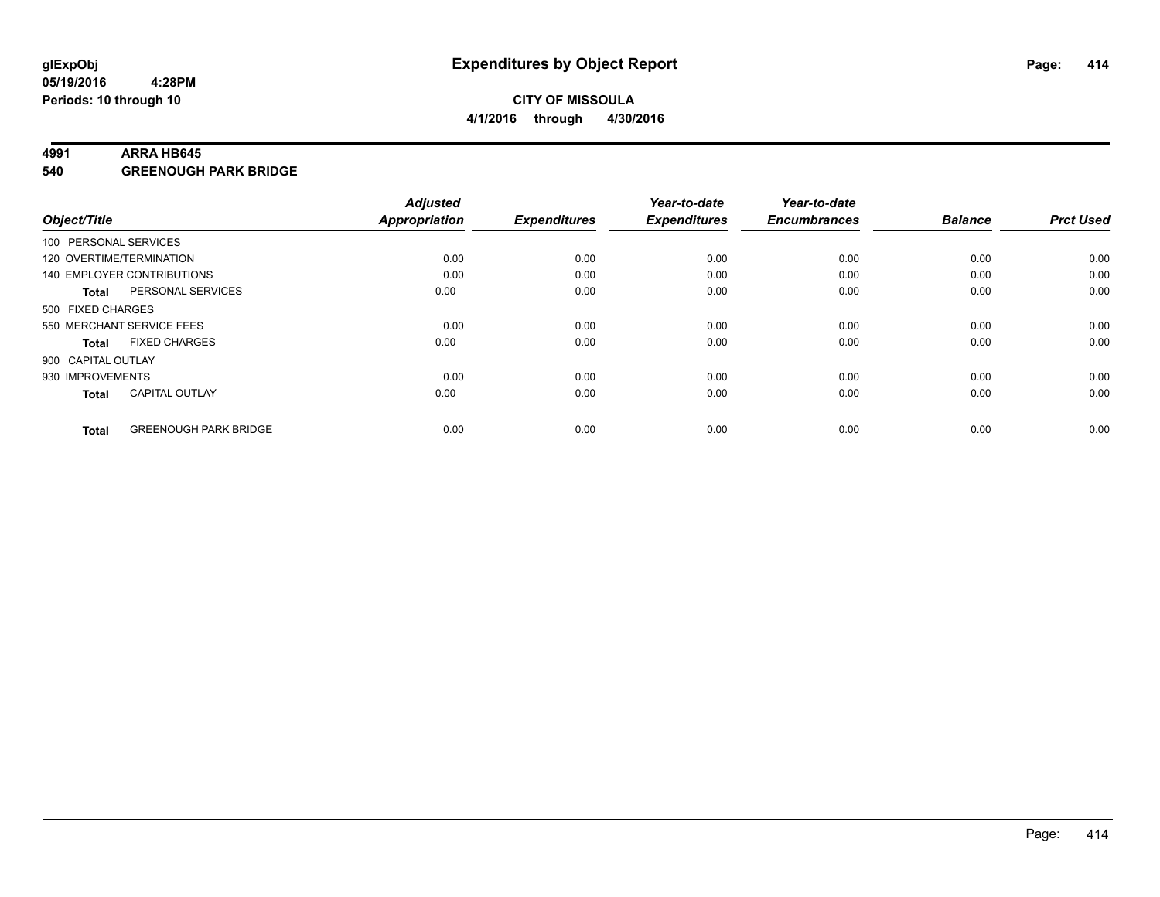#### **4991 ARRA HB645**

**540 GREENOUGH PARK BRIDGE**

| Object/Title       |                              | <b>Adjusted</b><br><b>Appropriation</b> | <b>Expenditures</b> | Year-to-date<br><b>Expenditures</b> | Year-to-date<br><b>Encumbrances</b> | <b>Balance</b> | <b>Prct Used</b> |
|--------------------|------------------------------|-----------------------------------------|---------------------|-------------------------------------|-------------------------------------|----------------|------------------|
|                    | 100 PERSONAL SERVICES        |                                         |                     |                                     |                                     |                |                  |
|                    | 120 OVERTIME/TERMINATION     | 0.00                                    | 0.00                | 0.00                                | 0.00                                | 0.00           | 0.00             |
|                    | 140 EMPLOYER CONTRIBUTIONS   | 0.00                                    | 0.00                | 0.00                                | 0.00                                | 0.00           | 0.00             |
| Total              | PERSONAL SERVICES            | 0.00                                    | 0.00                | 0.00                                | 0.00                                | 0.00           | 0.00             |
| 500 FIXED CHARGES  |                              |                                         |                     |                                     |                                     |                |                  |
|                    | 550 MERCHANT SERVICE FEES    | 0.00                                    | 0.00                | 0.00                                | 0.00                                | 0.00           | 0.00             |
| <b>Total</b>       | <b>FIXED CHARGES</b>         | 0.00                                    | 0.00                | 0.00                                | 0.00                                | 0.00           | 0.00             |
| 900 CAPITAL OUTLAY |                              |                                         |                     |                                     |                                     |                |                  |
| 930 IMPROVEMENTS   |                              | 0.00                                    | 0.00                | 0.00                                | 0.00                                | 0.00           | 0.00             |
| <b>Total</b>       | <b>CAPITAL OUTLAY</b>        | 0.00                                    | 0.00                | 0.00                                | 0.00                                | 0.00           | 0.00             |
| <b>Total</b>       | <b>GREENOUGH PARK BRIDGE</b> | 0.00                                    | 0.00                | 0.00                                | 0.00                                | 0.00           | 0.00             |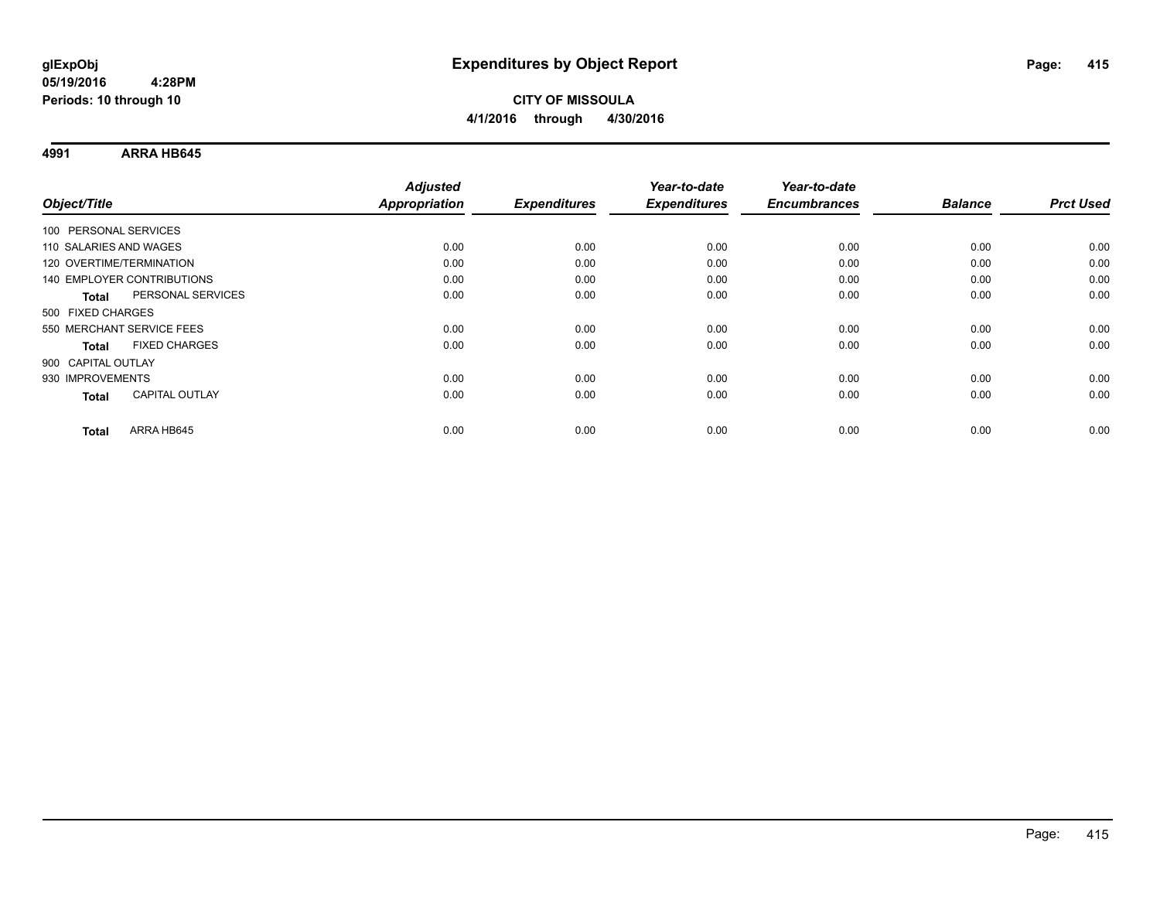**4991 ARRA HB645**

|                                       | <b>Adjusted</b>      |                     | Year-to-date        | Year-to-date        |                |                  |
|---------------------------------------|----------------------|---------------------|---------------------|---------------------|----------------|------------------|
| Object/Title                          | <b>Appropriation</b> | <b>Expenditures</b> | <b>Expenditures</b> | <b>Encumbrances</b> | <b>Balance</b> | <b>Prct Used</b> |
| 100 PERSONAL SERVICES                 |                      |                     |                     |                     |                |                  |
| 110 SALARIES AND WAGES                | 0.00                 | 0.00                | 0.00                | 0.00                | 0.00           | 0.00             |
| 120 OVERTIME/TERMINATION              | 0.00                 | 0.00                | 0.00                | 0.00                | 0.00           | 0.00             |
| 140 EMPLOYER CONTRIBUTIONS            | 0.00                 | 0.00                | 0.00                | 0.00                | 0.00           | 0.00             |
| PERSONAL SERVICES<br><b>Total</b>     | 0.00                 | 0.00                | 0.00                | 0.00                | 0.00           | 0.00             |
| 500 FIXED CHARGES                     |                      |                     |                     |                     |                |                  |
| 550 MERCHANT SERVICE FEES             | 0.00                 | 0.00                | 0.00                | 0.00                | 0.00           | 0.00             |
| <b>FIXED CHARGES</b><br><b>Total</b>  | 0.00                 | 0.00                | 0.00                | 0.00                | 0.00           | 0.00             |
| 900 CAPITAL OUTLAY                    |                      |                     |                     |                     |                |                  |
| 930 IMPROVEMENTS                      | 0.00                 | 0.00                | 0.00                | 0.00                | 0.00           | 0.00             |
| <b>CAPITAL OUTLAY</b><br><b>Total</b> | 0.00                 | 0.00                | 0.00                | 0.00                | 0.00           | 0.00             |
| ARRA HB645<br><b>Total</b>            | 0.00                 | 0.00                | 0.00                | 0.00                | 0.00           | 0.00             |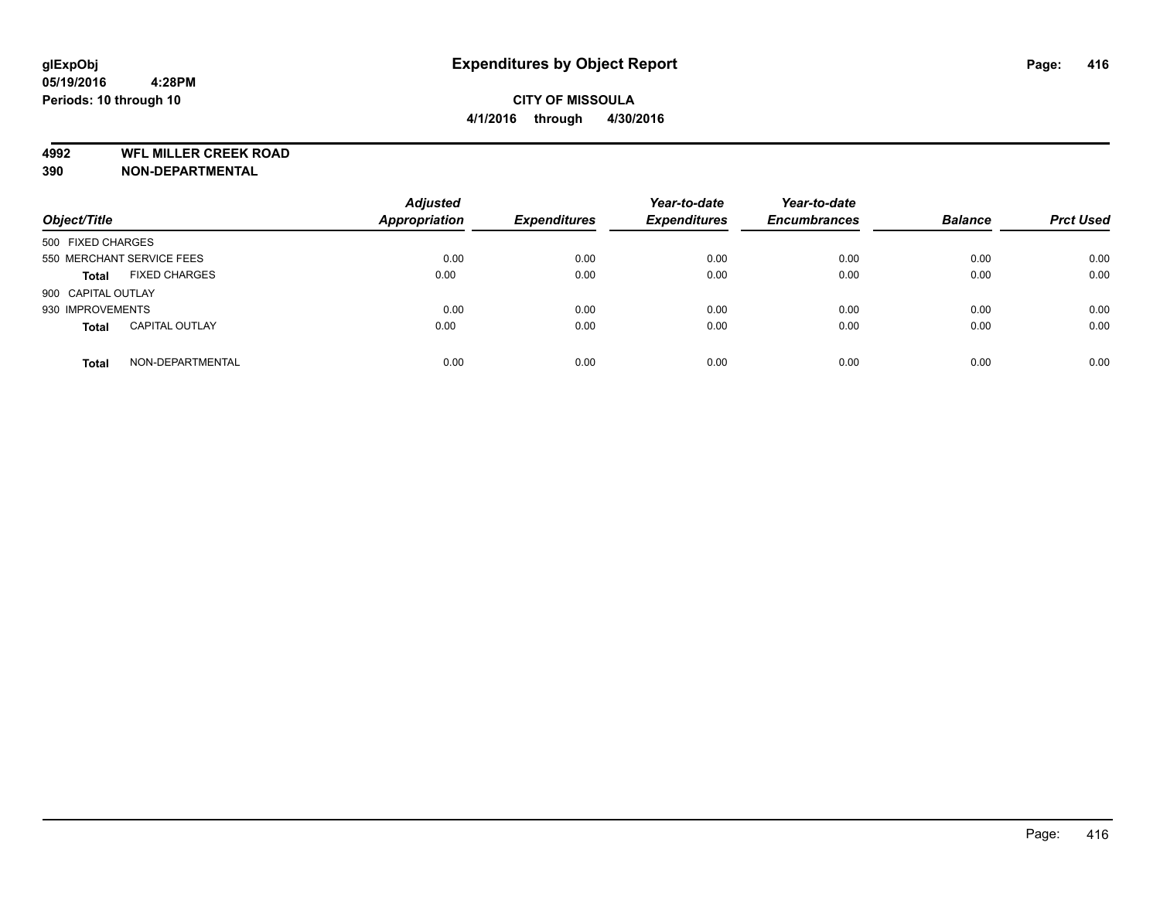**4992 WFL MILLER CREEK ROAD**

**390 NON-DEPARTMENTAL**

| Object/Title              |                       | <b>Adjusted</b><br>Appropriation | <b>Expenditures</b> | Year-to-date<br><b>Expenditures</b> | Year-to-date<br><b>Encumbrances</b> | <b>Balance</b> | <b>Prct Used</b> |
|---------------------------|-----------------------|----------------------------------|---------------------|-------------------------------------|-------------------------------------|----------------|------------------|
| 500 FIXED CHARGES         |                       |                                  |                     |                                     |                                     |                |                  |
| 550 MERCHANT SERVICE FEES |                       | 0.00                             | 0.00                | 0.00                                | 0.00                                | 0.00           | 0.00             |
| <b>Total</b>              | <b>FIXED CHARGES</b>  | 0.00                             | 0.00                | 0.00                                | 0.00                                | 0.00           | 0.00             |
| 900 CAPITAL OUTLAY        |                       |                                  |                     |                                     |                                     |                |                  |
| 930 IMPROVEMENTS          |                       | 0.00                             | 0.00                | 0.00                                | 0.00                                | 0.00           | 0.00             |
| <b>Total</b>              | <b>CAPITAL OUTLAY</b> | 0.00                             | 0.00                | 0.00                                | 0.00                                | 0.00           | 0.00             |
| <b>Total</b>              | NON-DEPARTMENTAL      | 0.00                             | 0.00                | 0.00                                | 0.00                                | 0.00           | 0.00             |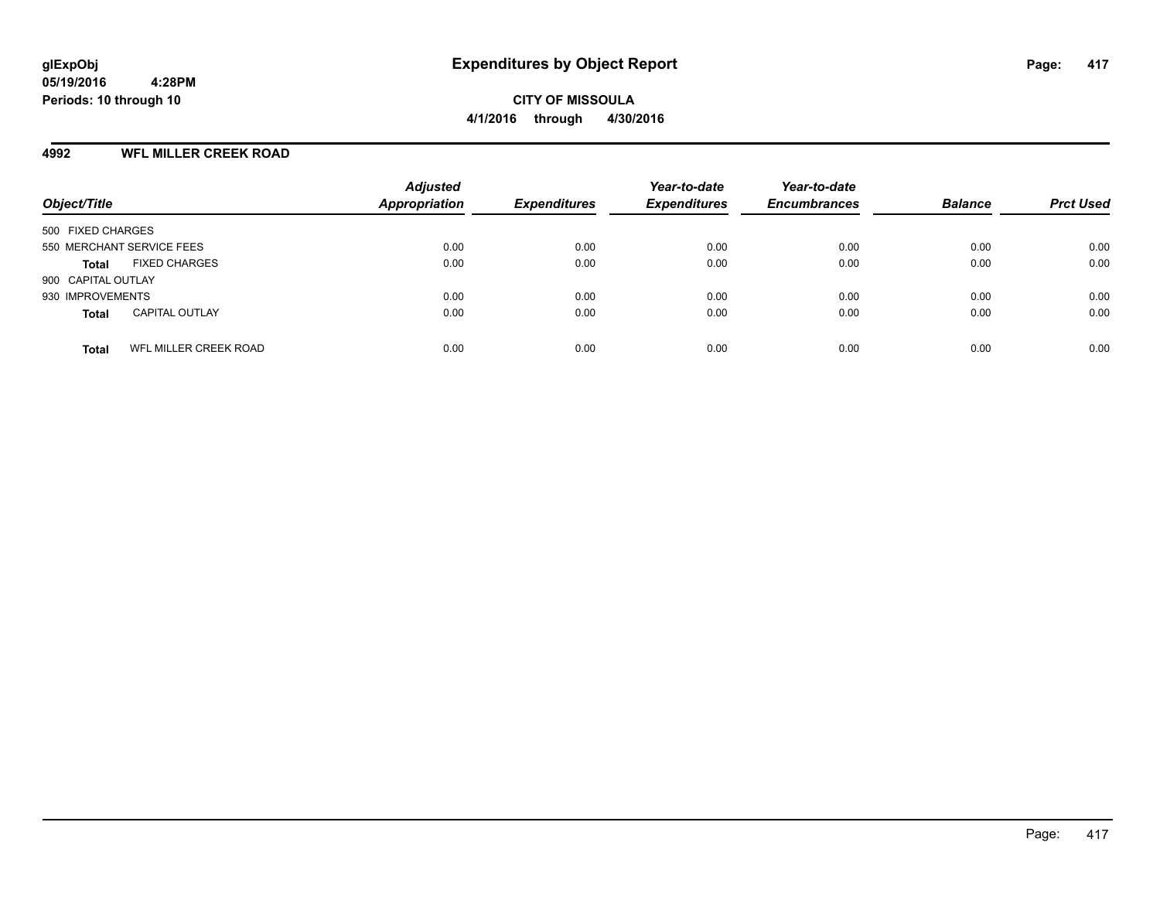#### **4992 WFL MILLER CREEK ROAD**

| Object/Title                          | <b>Adjusted</b><br>Appropriation | <b>Expenditures</b> | Year-to-date<br><b>Expenditures</b> | Year-to-date<br><b>Encumbrances</b> | <b>Balance</b> | <b>Prct Used</b> |
|---------------------------------------|----------------------------------|---------------------|-------------------------------------|-------------------------------------|----------------|------------------|
| 500 FIXED CHARGES                     |                                  |                     |                                     |                                     |                |                  |
| 550 MERCHANT SERVICE FEES             | 0.00                             | 0.00                | 0.00                                | 0.00                                | 0.00           | 0.00             |
| <b>FIXED CHARGES</b><br><b>Total</b>  | 0.00                             | 0.00                | 0.00                                | 0.00                                | 0.00           | 0.00             |
| 900 CAPITAL OUTLAY                    |                                  |                     |                                     |                                     |                |                  |
| 930 IMPROVEMENTS                      | 0.00                             | 0.00                | 0.00                                | 0.00                                | 0.00           | 0.00             |
| <b>CAPITAL OUTLAY</b><br><b>Total</b> | 0.00                             | 0.00                | 0.00                                | 0.00                                | 0.00           | 0.00             |
| WFL MILLER CREEK ROAD<br><b>Total</b> | 0.00                             | 0.00                | 0.00                                | 0.00                                | 0.00           | 0.00             |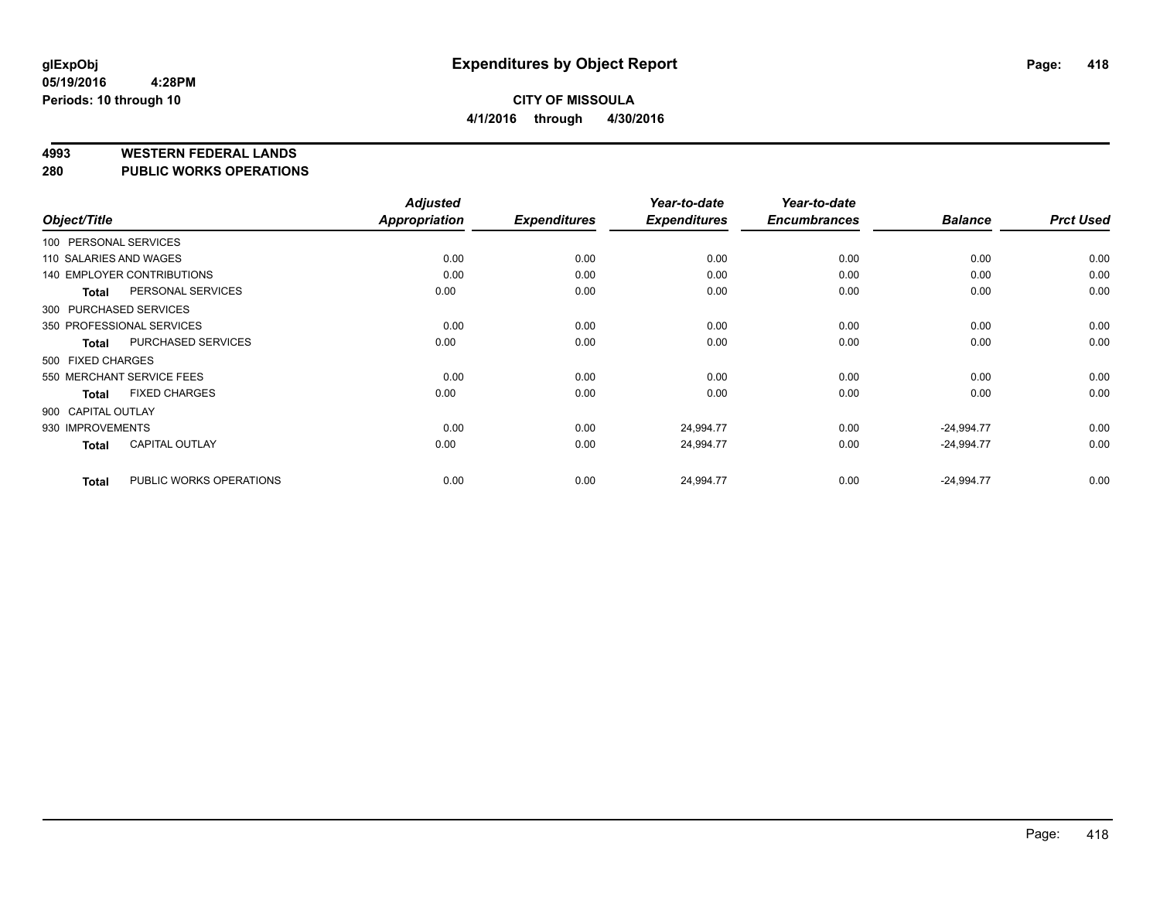#### **4993 WESTERN FEDERAL LANDS**

#### **280 PUBLIC WORKS OPERATIONS**

| Object/Title           |                                   | <b>Adjusted</b><br>Appropriation | <b>Expenditures</b> | Year-to-date<br><b>Expenditures</b> | Year-to-date<br><b>Encumbrances</b> | <b>Balance</b> | <b>Prct Used</b> |
|------------------------|-----------------------------------|----------------------------------|---------------------|-------------------------------------|-------------------------------------|----------------|------------------|
| 100 PERSONAL SERVICES  |                                   |                                  |                     |                                     |                                     |                |                  |
| 110 SALARIES AND WAGES |                                   | 0.00                             | 0.00                | 0.00                                | 0.00                                | 0.00           | 0.00             |
|                        |                                   |                                  |                     |                                     |                                     |                |                  |
|                        | <b>140 EMPLOYER CONTRIBUTIONS</b> | 0.00                             | 0.00                | 0.00                                | 0.00                                | 0.00           | 0.00             |
| <b>Total</b>           | PERSONAL SERVICES                 | 0.00                             | 0.00                | 0.00                                | 0.00                                | 0.00           | 0.00             |
| 300 PURCHASED SERVICES |                                   |                                  |                     |                                     |                                     |                |                  |
|                        | 350 PROFESSIONAL SERVICES         | 0.00                             | 0.00                | 0.00                                | 0.00                                | 0.00           | 0.00             |
| <b>Total</b>           | PURCHASED SERVICES                | 0.00                             | 0.00                | 0.00                                | 0.00                                | 0.00           | 0.00             |
| 500 FIXED CHARGES      |                                   |                                  |                     |                                     |                                     |                |                  |
|                        | 550 MERCHANT SERVICE FEES         | 0.00                             | 0.00                | 0.00                                | 0.00                                | 0.00           | 0.00             |
| <b>Total</b>           | <b>FIXED CHARGES</b>              | 0.00                             | 0.00                | 0.00                                | 0.00                                | 0.00           | 0.00             |
| 900 CAPITAL OUTLAY     |                                   |                                  |                     |                                     |                                     |                |                  |
| 930 IMPROVEMENTS       |                                   | 0.00                             | 0.00                | 24,994.77                           | 0.00                                | $-24,994.77$   | 0.00             |
| <b>Total</b>           | CAPITAL OUTLAY                    | 0.00                             | 0.00                | 24,994.77                           | 0.00                                | $-24,994.77$   | 0.00             |
| <b>Total</b>           | PUBLIC WORKS OPERATIONS           | 0.00                             | 0.00                | 24,994.77                           | 0.00                                | $-24,994.77$   | 0.00             |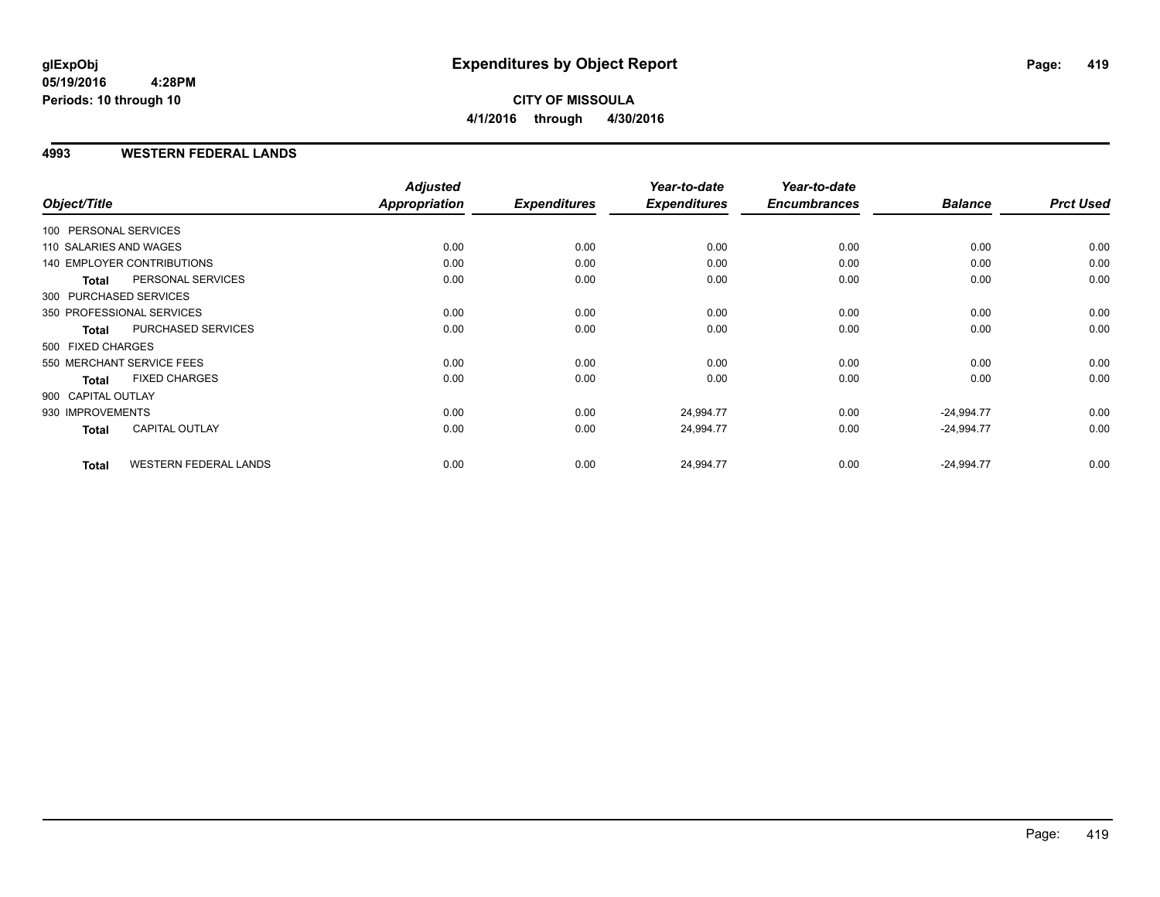## **CITY OF MISSOULA 4/1/2016 through 4/30/2016**

#### **4993 WESTERN FEDERAL LANDS**

|                        |                                   | <b>Adjusted</b> |                     | Year-to-date        | Year-to-date        |                |                  |
|------------------------|-----------------------------------|-----------------|---------------------|---------------------|---------------------|----------------|------------------|
| Object/Title           |                                   | Appropriation   | <b>Expenditures</b> | <b>Expenditures</b> | <b>Encumbrances</b> | <b>Balance</b> | <b>Prct Used</b> |
| 100 PERSONAL SERVICES  |                                   |                 |                     |                     |                     |                |                  |
| 110 SALARIES AND WAGES |                                   | 0.00            | 0.00                | 0.00                | 0.00                | 0.00           | 0.00             |
|                        | <b>140 EMPLOYER CONTRIBUTIONS</b> | 0.00            | 0.00                | 0.00                | 0.00                | 0.00           | 0.00             |
| <b>Total</b>           | PERSONAL SERVICES                 | 0.00            | 0.00                | 0.00                | 0.00                | 0.00           | 0.00             |
|                        | 300 PURCHASED SERVICES            |                 |                     |                     |                     |                |                  |
|                        | 350 PROFESSIONAL SERVICES         | 0.00            | 0.00                | 0.00                | 0.00                | 0.00           | 0.00             |
| <b>Total</b>           | PURCHASED SERVICES                | 0.00            | 0.00                | 0.00                | 0.00                | 0.00           | 0.00             |
| 500 FIXED CHARGES      |                                   |                 |                     |                     |                     |                |                  |
|                        | 550 MERCHANT SERVICE FEES         | 0.00            | 0.00                | 0.00                | 0.00                | 0.00           | 0.00             |
| <b>Total</b>           | <b>FIXED CHARGES</b>              | 0.00            | 0.00                | 0.00                | 0.00                | 0.00           | 0.00             |
| 900 CAPITAL OUTLAY     |                                   |                 |                     |                     |                     |                |                  |
| 930 IMPROVEMENTS       |                                   | 0.00            | 0.00                | 24,994.77           | 0.00                | $-24,994.77$   | 0.00             |
| Total                  | <b>CAPITAL OUTLAY</b>             | 0.00            | 0.00                | 24,994.77           | 0.00                | $-24,994.77$   | 0.00             |
| <b>Total</b>           | <b>WESTERN FEDERAL LANDS</b>      | 0.00            | 0.00                | 24,994.77           | 0.00                | $-24.994.77$   | 0.00             |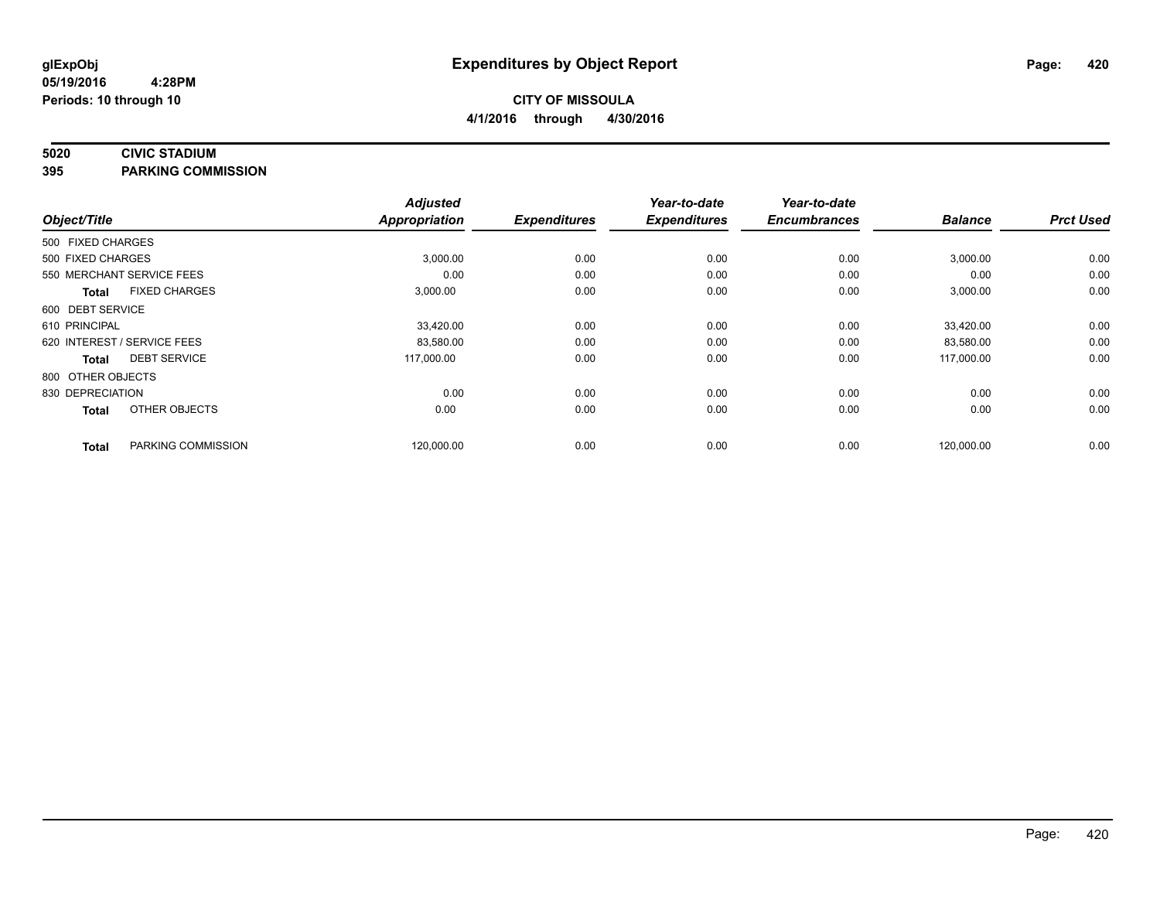#### **5020 CIVIC STADIUM**

**395 PARKING COMMISSION**

| Object/Title      |                             | <b>Adjusted</b><br><b>Appropriation</b> | <b>Expenditures</b> | Year-to-date<br><b>Expenditures</b> | Year-to-date<br><b>Encumbrances</b> | <b>Balance</b> | <b>Prct Used</b> |
|-------------------|-----------------------------|-----------------------------------------|---------------------|-------------------------------------|-------------------------------------|----------------|------------------|
|                   |                             |                                         |                     |                                     |                                     |                |                  |
| 500 FIXED CHARGES |                             |                                         |                     |                                     |                                     |                |                  |
| 500 FIXED CHARGES |                             | 3,000.00                                | 0.00                | 0.00                                | 0.00                                | 3,000.00       | 0.00             |
|                   | 550 MERCHANT SERVICE FEES   | 0.00                                    | 0.00                | 0.00                                | 0.00                                | 0.00           | 0.00             |
| <b>Total</b>      | <b>FIXED CHARGES</b>        | 3,000.00                                | 0.00                | 0.00                                | 0.00                                | 3,000.00       | 0.00             |
| 600 DEBT SERVICE  |                             |                                         |                     |                                     |                                     |                |                  |
| 610 PRINCIPAL     |                             | 33,420.00                               | 0.00                | 0.00                                | 0.00                                | 33,420.00      | 0.00             |
|                   | 620 INTEREST / SERVICE FEES | 83,580.00                               | 0.00                | 0.00                                | 0.00                                | 83,580.00      | 0.00             |
| <b>Total</b>      | <b>DEBT SERVICE</b>         | 117,000.00                              | 0.00                | 0.00                                | 0.00                                | 117,000.00     | 0.00             |
| 800 OTHER OBJECTS |                             |                                         |                     |                                     |                                     |                |                  |
| 830 DEPRECIATION  |                             | 0.00                                    | 0.00                | 0.00                                | 0.00                                | 0.00           | 0.00             |
| <b>Total</b>      | OTHER OBJECTS               | 0.00                                    | 0.00                | 0.00                                | 0.00                                | 0.00           | 0.00             |
| <b>Total</b>      | PARKING COMMISSION          | 120,000.00                              | 0.00                | 0.00                                | 0.00                                | 120,000.00     | 0.00             |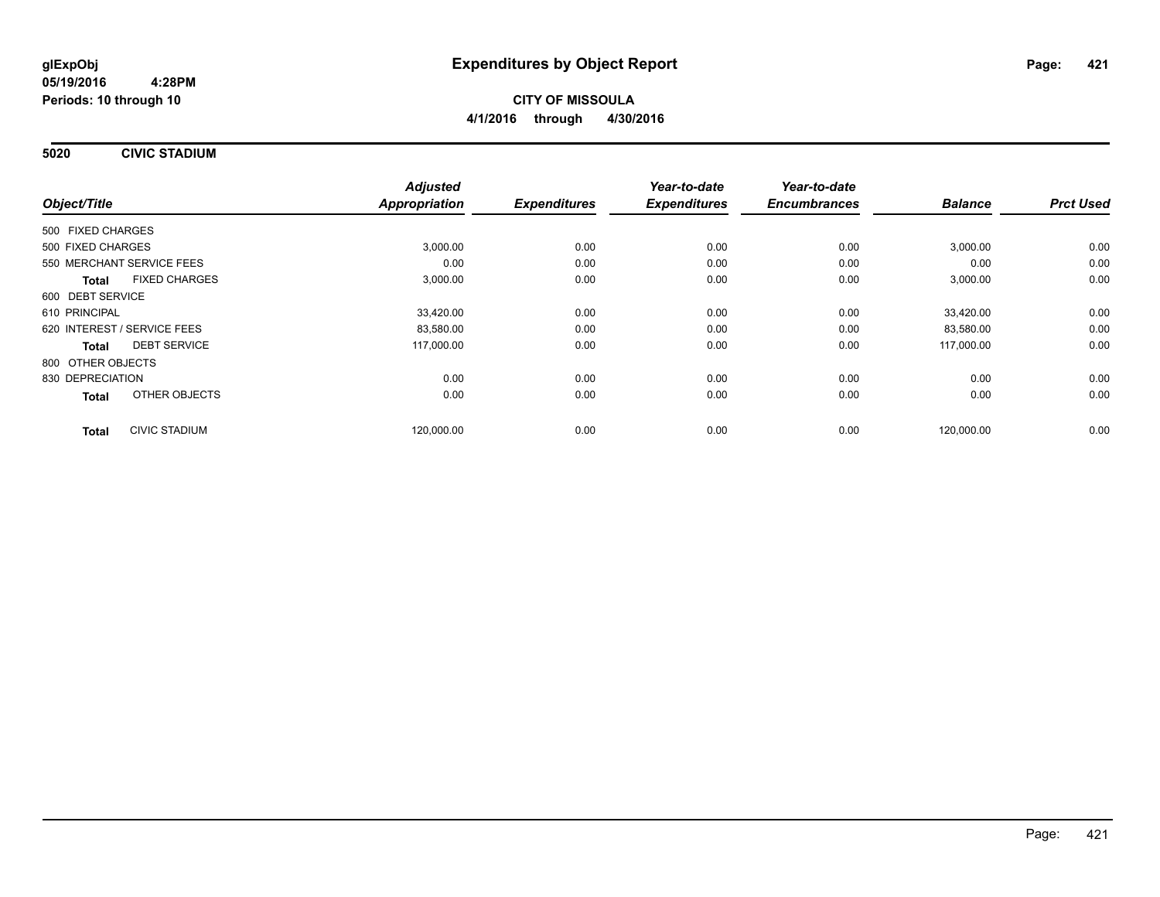**5020 CIVIC STADIUM**

|                                      | <b>Adjusted</b> |                     | Year-to-date<br><b>Expenditures</b> | Year-to-date        |                |                  |
|--------------------------------------|-----------------|---------------------|-------------------------------------|---------------------|----------------|------------------|
| Object/Title                         | Appropriation   | <b>Expenditures</b> |                                     | <b>Encumbrances</b> | <b>Balance</b> | <b>Prct Used</b> |
| 500 FIXED CHARGES                    |                 |                     |                                     |                     |                |                  |
| 500 FIXED CHARGES                    | 3,000.00        | 0.00                | 0.00                                | 0.00                | 3,000.00       | 0.00             |
| 550 MERCHANT SERVICE FEES            | 0.00            | 0.00                | 0.00                                | 0.00                | 0.00           | 0.00             |
| <b>FIXED CHARGES</b><br><b>Total</b> | 3,000.00        | 0.00                | 0.00                                | 0.00                | 3,000.00       | 0.00             |
| 600 DEBT SERVICE                     |                 |                     |                                     |                     |                |                  |
| 610 PRINCIPAL                        | 33,420.00       | 0.00                | 0.00                                | 0.00                | 33.420.00      | 0.00             |
| 620 INTEREST / SERVICE FEES          | 83,580.00       | 0.00                | 0.00                                | 0.00                | 83,580.00      | 0.00             |
| <b>DEBT SERVICE</b><br>Total         | 117,000.00      | 0.00                | 0.00                                | 0.00                | 117,000.00     | 0.00             |
| 800 OTHER OBJECTS                    |                 |                     |                                     |                     |                |                  |
| 830 DEPRECIATION                     | 0.00            | 0.00                | 0.00                                | 0.00                | 0.00           | 0.00             |
| OTHER OBJECTS<br><b>Total</b>        | 0.00            | 0.00                | 0.00                                | 0.00                | 0.00           | 0.00             |
| <b>CIVIC STADIUM</b><br><b>Total</b> | 120,000.00      | 0.00                | 0.00                                | 0.00                | 120,000.00     | 0.00             |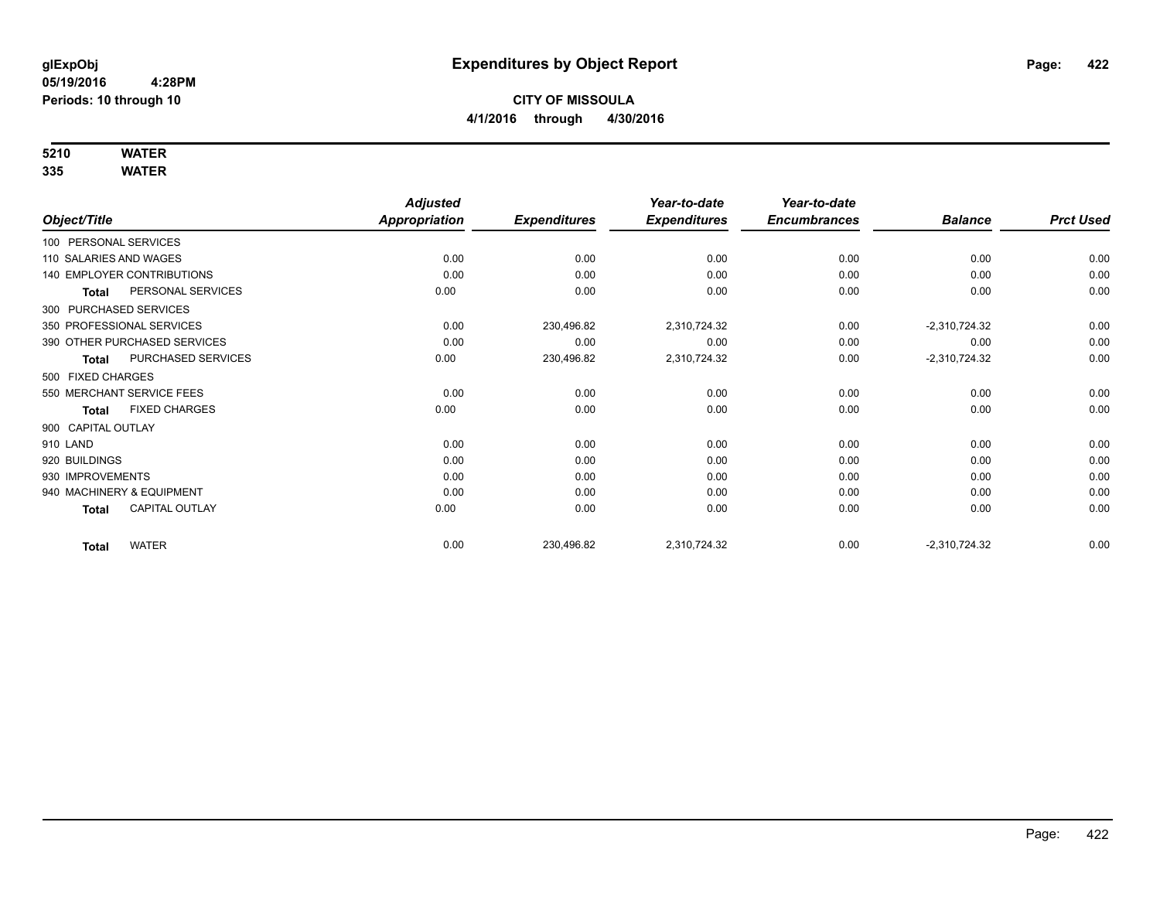# **5210 WATER**

|                                           | <b>Adjusted</b>      |                     | Year-to-date        | Year-to-date        |                 |                  |
|-------------------------------------------|----------------------|---------------------|---------------------|---------------------|-----------------|------------------|
| Object/Title                              | <b>Appropriation</b> | <b>Expenditures</b> | <b>Expenditures</b> | <b>Encumbrances</b> | <b>Balance</b>  | <b>Prct Used</b> |
| 100 PERSONAL SERVICES                     |                      |                     |                     |                     |                 |                  |
| 110 SALARIES AND WAGES                    | 0.00                 | 0.00                | 0.00                | 0.00                | 0.00            | 0.00             |
| <b>140 EMPLOYER CONTRIBUTIONS</b>         | 0.00                 | 0.00                | 0.00                | 0.00                | 0.00            | 0.00             |
| PERSONAL SERVICES<br><b>Total</b>         | 0.00                 | 0.00                | 0.00                | 0.00                | 0.00            | 0.00             |
| 300 PURCHASED SERVICES                    |                      |                     |                     |                     |                 |                  |
| 350 PROFESSIONAL SERVICES                 | 0.00                 | 230,496.82          | 2,310,724.32        | 0.00                | $-2,310,724.32$ | 0.00             |
| 390 OTHER PURCHASED SERVICES              | 0.00                 | 0.00                | 0.00                | 0.00                | 0.00            | 0.00             |
| <b>PURCHASED SERVICES</b><br><b>Total</b> | 0.00                 | 230,496.82          | 2,310,724.32        | 0.00                | $-2,310,724.32$ | 0.00             |
| 500 FIXED CHARGES                         |                      |                     |                     |                     |                 |                  |
| 550 MERCHANT SERVICE FEES                 | 0.00                 | 0.00                | 0.00                | 0.00                | 0.00            | 0.00             |
| <b>FIXED CHARGES</b><br><b>Total</b>      | 0.00                 | 0.00                | 0.00                | 0.00                | 0.00            | 0.00             |
| 900 CAPITAL OUTLAY                        |                      |                     |                     |                     |                 |                  |
| 910 LAND                                  | 0.00                 | 0.00                | 0.00                | 0.00                | 0.00            | 0.00             |
| 920 BUILDINGS                             | 0.00                 | 0.00                | 0.00                | 0.00                | 0.00            | 0.00             |
| 930 IMPROVEMENTS                          | 0.00                 | 0.00                | 0.00                | 0.00                | 0.00            | 0.00             |
| 940 MACHINERY & EQUIPMENT                 | 0.00                 | 0.00                | 0.00                | 0.00                | 0.00            | 0.00             |
| CAPITAL OUTLAY<br><b>Total</b>            | 0.00                 | 0.00                | 0.00                | 0.00                | 0.00            | 0.00             |
| <b>WATER</b><br><b>Total</b>              | 0.00                 | 230,496.82          | 2,310,724.32        | 0.00                | $-2,310,724.32$ | 0.00             |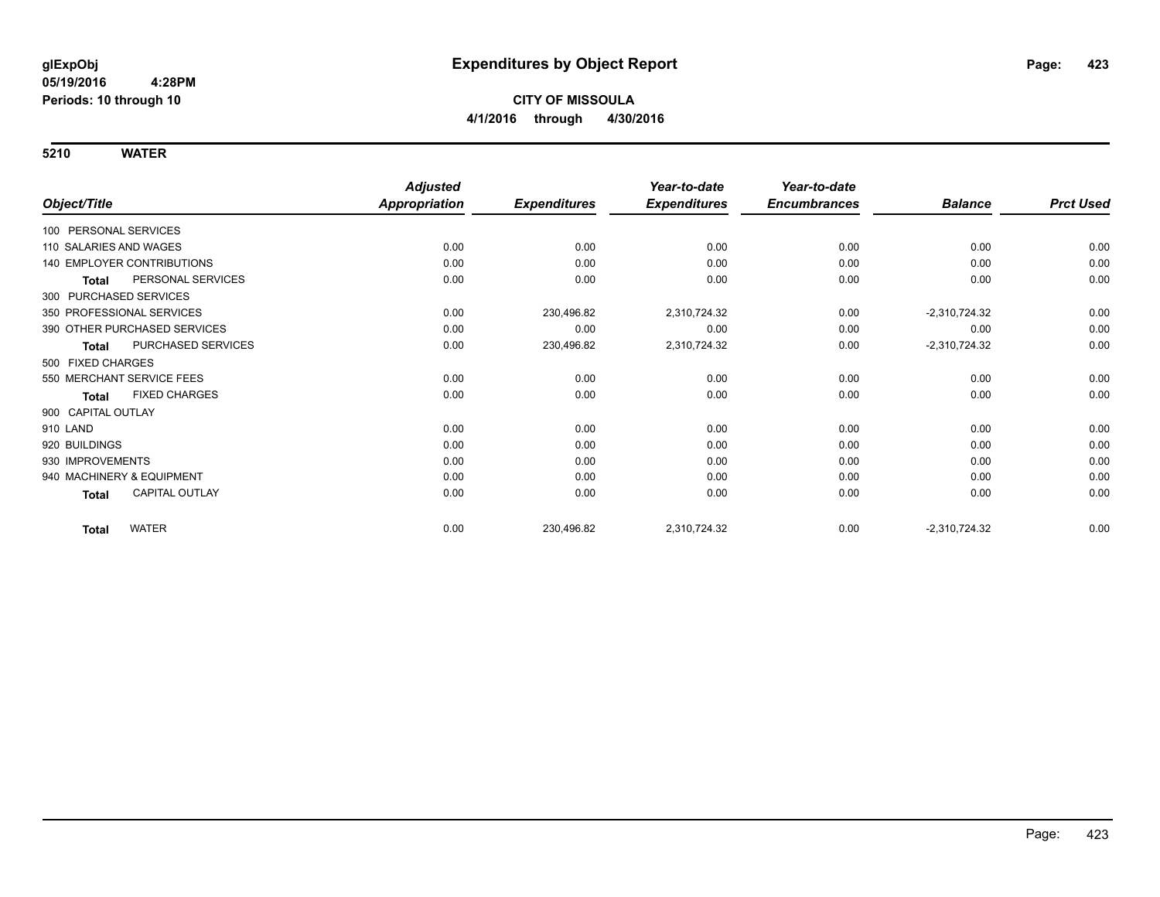|                                       | <b>Adjusted</b>      |                     | Year-to-date        | Year-to-date        |                 |                  |
|---------------------------------------|----------------------|---------------------|---------------------|---------------------|-----------------|------------------|
| Object/Title                          | <b>Appropriation</b> | <b>Expenditures</b> | <b>Expenditures</b> | <b>Encumbrances</b> | <b>Balance</b>  | <b>Prct Used</b> |
| 100 PERSONAL SERVICES                 |                      |                     |                     |                     |                 |                  |
| 110 SALARIES AND WAGES                | 0.00                 | 0.00                | 0.00                | 0.00                | 0.00            | 0.00             |
| 140 EMPLOYER CONTRIBUTIONS            | 0.00                 | 0.00                | 0.00                | 0.00                | 0.00            | 0.00             |
| PERSONAL SERVICES<br><b>Total</b>     | 0.00                 | 0.00                | 0.00                | 0.00                | 0.00            | 0.00             |
| 300 PURCHASED SERVICES                |                      |                     |                     |                     |                 |                  |
| 350 PROFESSIONAL SERVICES             | 0.00                 | 230,496.82          | 2,310,724.32        | 0.00                | $-2,310,724.32$ | 0.00             |
| 390 OTHER PURCHASED SERVICES          | 0.00                 | 0.00                | 0.00                | 0.00                | 0.00            | 0.00             |
| PURCHASED SERVICES<br><b>Total</b>    | 0.00                 | 230,496.82          | 2,310,724.32        | 0.00                | $-2,310,724.32$ | 0.00             |
| 500 FIXED CHARGES                     |                      |                     |                     |                     |                 |                  |
| 550 MERCHANT SERVICE FEES             | 0.00                 | 0.00                | 0.00                | 0.00                | 0.00            | 0.00             |
| <b>FIXED CHARGES</b><br><b>Total</b>  | 0.00                 | 0.00                | 0.00                | 0.00                | 0.00            | 0.00             |
| 900 CAPITAL OUTLAY                    |                      |                     |                     |                     |                 |                  |
| 910 LAND                              | 0.00                 | 0.00                | 0.00                | 0.00                | 0.00            | 0.00             |
| 920 BUILDINGS                         | 0.00                 | 0.00                | 0.00                | 0.00                | 0.00            | 0.00             |
| 930 IMPROVEMENTS                      | 0.00                 | 0.00                | 0.00                | 0.00                | 0.00            | 0.00             |
| 940 MACHINERY & EQUIPMENT             | 0.00                 | 0.00                | 0.00                | 0.00                | 0.00            | 0.00             |
| <b>CAPITAL OUTLAY</b><br><b>Total</b> | 0.00                 | 0.00                | 0.00                | 0.00                | 0.00            | 0.00             |
| <b>WATER</b><br><b>Total</b>          | 0.00                 | 230,496.82          | 2,310,724.32        | 0.00                | $-2,310,724.32$ | 0.00             |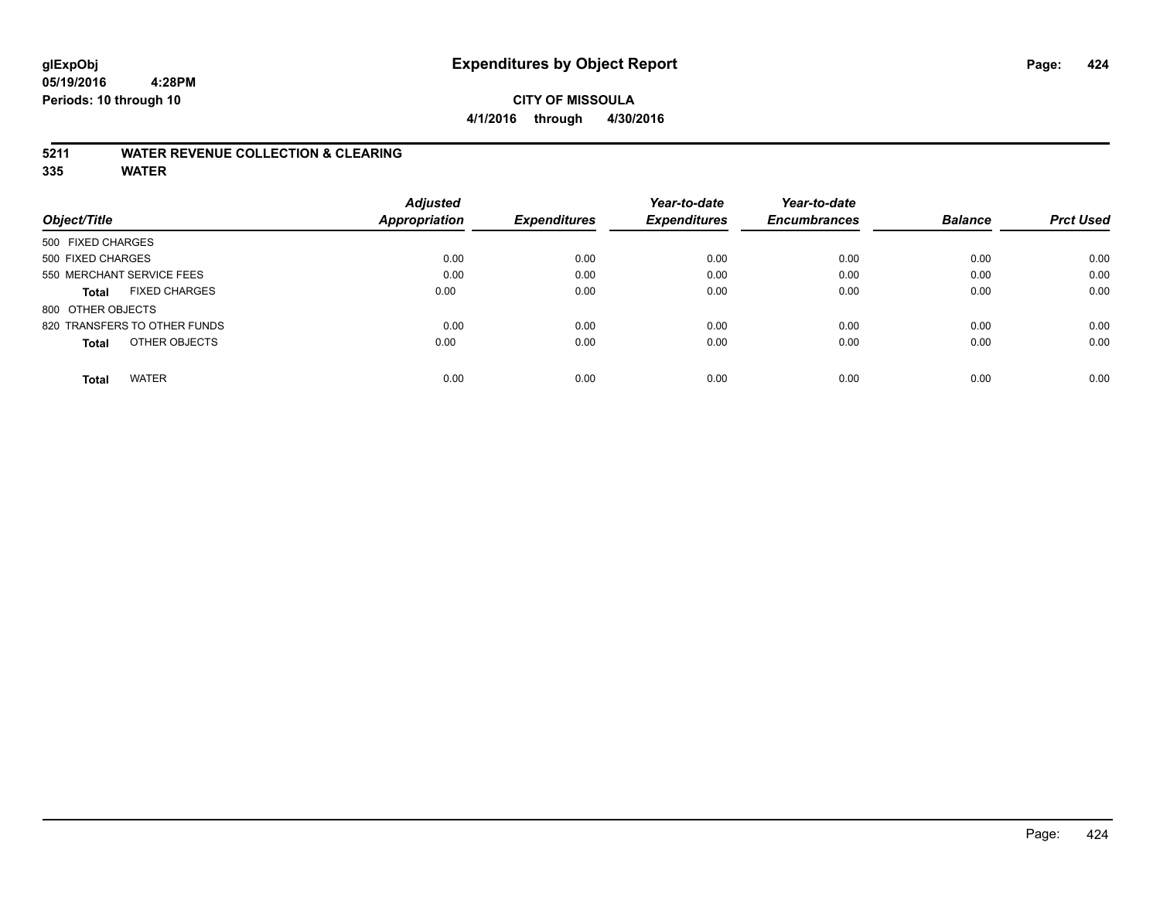#### **5211 WATER REVENUE COLLECTION & CLEARING**

|                                      | <b>Adjusted</b>      |                     | Year-to-date<br><b>Expenditures</b> | Year-to-date        | <b>Balance</b> |                  |
|--------------------------------------|----------------------|---------------------|-------------------------------------|---------------------|----------------|------------------|
| Object/Title                         | <b>Appropriation</b> | <b>Expenditures</b> |                                     | <b>Encumbrances</b> |                | <b>Prct Used</b> |
| 500 FIXED CHARGES                    |                      |                     |                                     |                     |                |                  |
| 500 FIXED CHARGES                    | 0.00                 | 0.00                | 0.00                                | 0.00                | 0.00           | 0.00             |
| 550 MERCHANT SERVICE FEES            | 0.00                 | 0.00                | 0.00                                | 0.00                | 0.00           | 0.00             |
| <b>FIXED CHARGES</b><br><b>Total</b> | 0.00                 | 0.00                | 0.00                                | 0.00                | 0.00           | 0.00             |
| 800 OTHER OBJECTS                    |                      |                     |                                     |                     |                |                  |
| 820 TRANSFERS TO OTHER FUNDS         | 0.00                 | 0.00                | 0.00                                | 0.00                | 0.00           | 0.00             |
| OTHER OBJECTS<br><b>Total</b>        | 0.00                 | 0.00                | 0.00                                | 0.00                | 0.00           | 0.00             |
| <b>WATER</b><br><b>Total</b>         | 0.00                 | 0.00                | 0.00                                | 0.00                | 0.00           | 0.00             |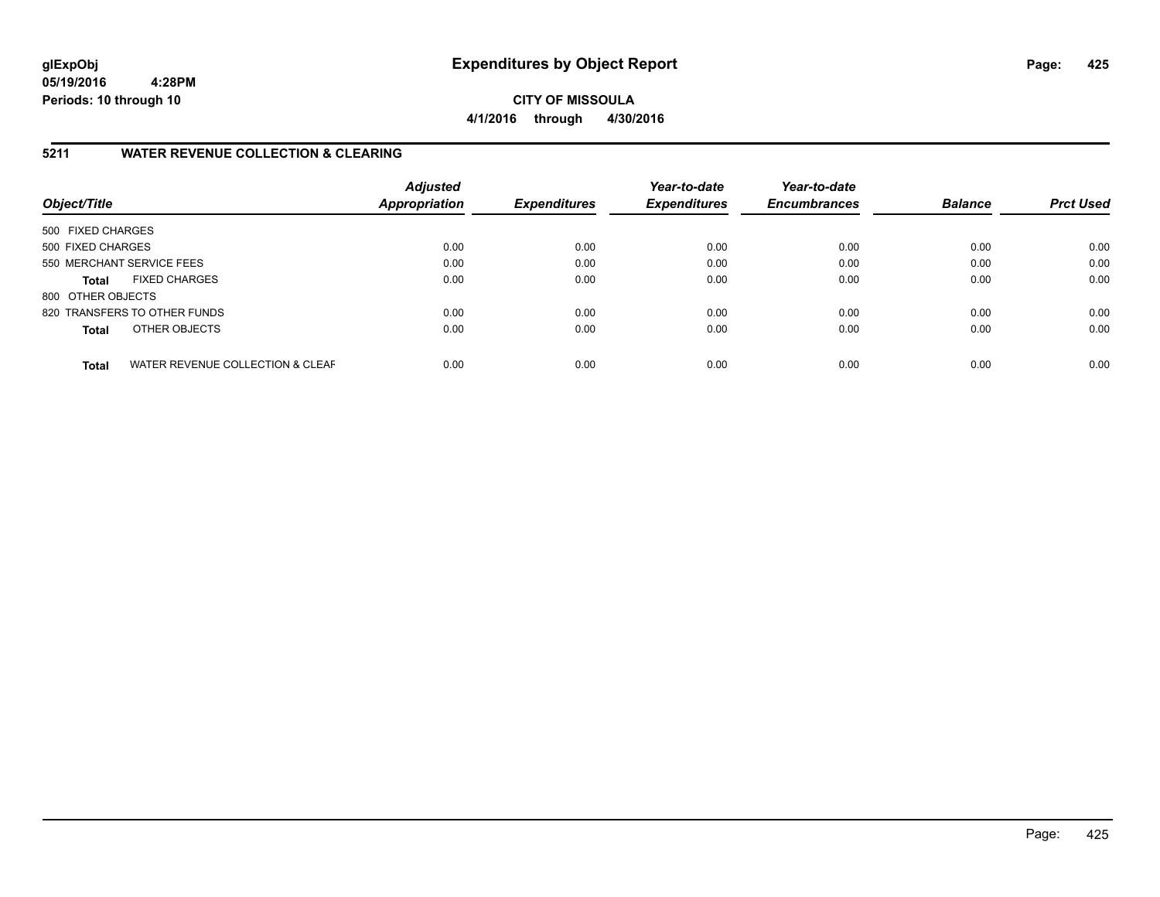**CITY OF MISSOULA 4/1/2016 through 4/30/2016**

## **5211 WATER REVENUE COLLECTION & CLEARING**

| Object/Title      |                                  | <b>Adjusted</b><br>Appropriation | <b>Expenditures</b> | Year-to-date<br><b>Expenditures</b> | Year-to-date<br><b>Encumbrances</b> | <b>Balance</b> | <b>Prct Used</b> |
|-------------------|----------------------------------|----------------------------------|---------------------|-------------------------------------|-------------------------------------|----------------|------------------|
| 500 FIXED CHARGES |                                  |                                  |                     |                                     |                                     |                |                  |
| 500 FIXED CHARGES |                                  | 0.00                             | 0.00                | 0.00                                | 0.00                                | 0.00           | 0.00             |
|                   | 550 MERCHANT SERVICE FEES        | 0.00                             | 0.00                | 0.00                                | 0.00                                | 0.00           | 0.00             |
| <b>Total</b>      | <b>FIXED CHARGES</b>             | 0.00                             | 0.00                | 0.00                                | 0.00                                | 0.00           | 0.00             |
| 800 OTHER OBJECTS |                                  |                                  |                     |                                     |                                     |                |                  |
|                   | 820 TRANSFERS TO OTHER FUNDS     | 0.00                             | 0.00                | 0.00                                | 0.00                                | 0.00           | 0.00             |
| <b>Total</b>      | OTHER OBJECTS                    | 0.00                             | 0.00                | 0.00                                | 0.00                                | 0.00           | 0.00             |
| <b>Total</b>      | WATER REVENUE COLLECTION & CLEAF | 0.00                             | 0.00                | 0.00                                | 0.00                                | 0.00           | 0.00             |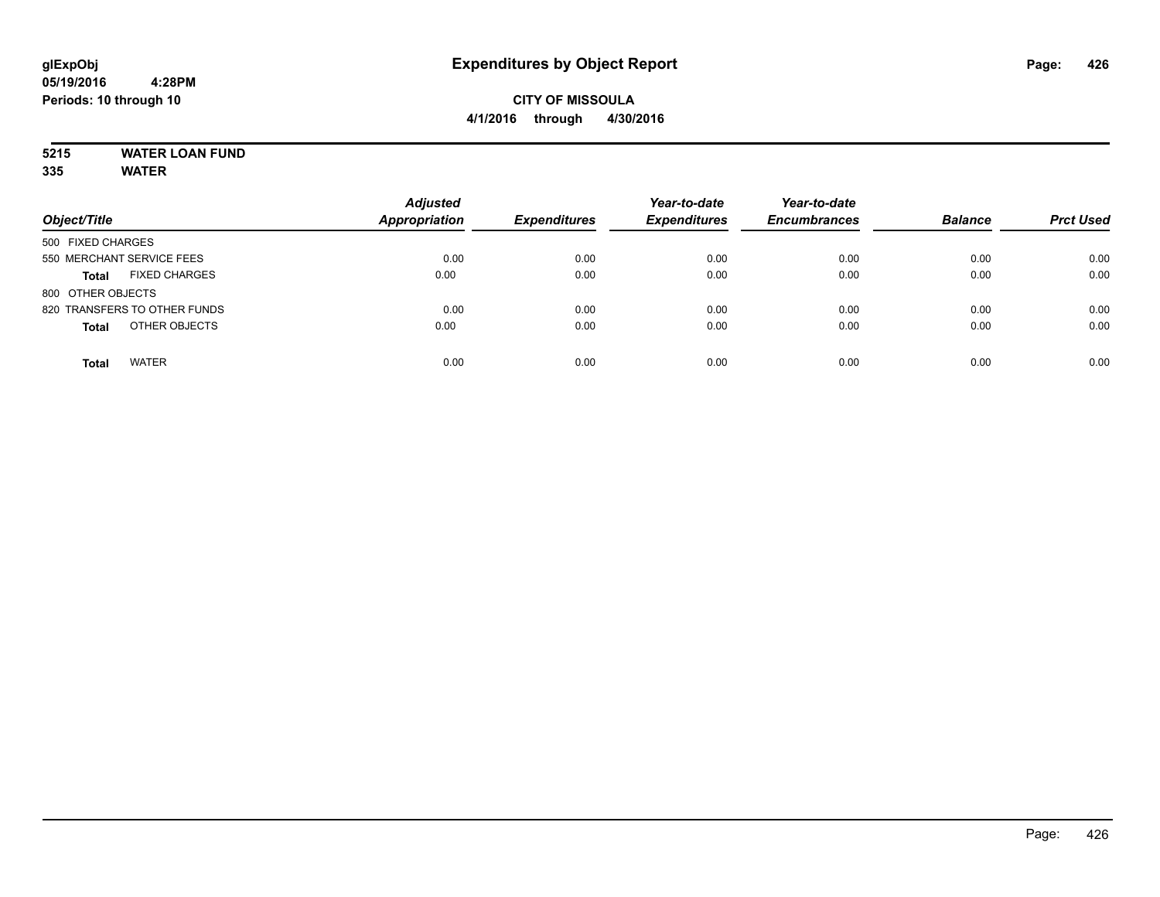# **5215 WATER LOAN FUND**

| Object/Title                         | <b>Adjusted</b><br><b>Appropriation</b> | <b>Expenditures</b> | Year-to-date<br><b>Expenditures</b> | Year-to-date<br><b>Encumbrances</b> | <b>Balance</b> | <b>Prct Used</b> |
|--------------------------------------|-----------------------------------------|---------------------|-------------------------------------|-------------------------------------|----------------|------------------|
| 500 FIXED CHARGES                    |                                         |                     |                                     |                                     |                |                  |
| 550 MERCHANT SERVICE FEES            | 0.00                                    | 0.00                | 0.00                                | 0.00                                | 0.00           | 0.00             |
| <b>FIXED CHARGES</b><br><b>Total</b> | 0.00                                    | 0.00                | 0.00                                | 0.00                                | 0.00           | 0.00             |
| 800 OTHER OBJECTS                    |                                         |                     |                                     |                                     |                |                  |
| 820 TRANSFERS TO OTHER FUNDS         | 0.00                                    | 0.00                | 0.00                                | 0.00                                | 0.00           | 0.00             |
| OTHER OBJECTS<br><b>Total</b>        | 0.00                                    | 0.00                | 0.00                                | 0.00                                | 0.00           | 0.00             |
| <b>WATER</b><br><b>Total</b>         | 0.00                                    | 0.00                | 0.00                                | 0.00                                | 0.00           | 0.00             |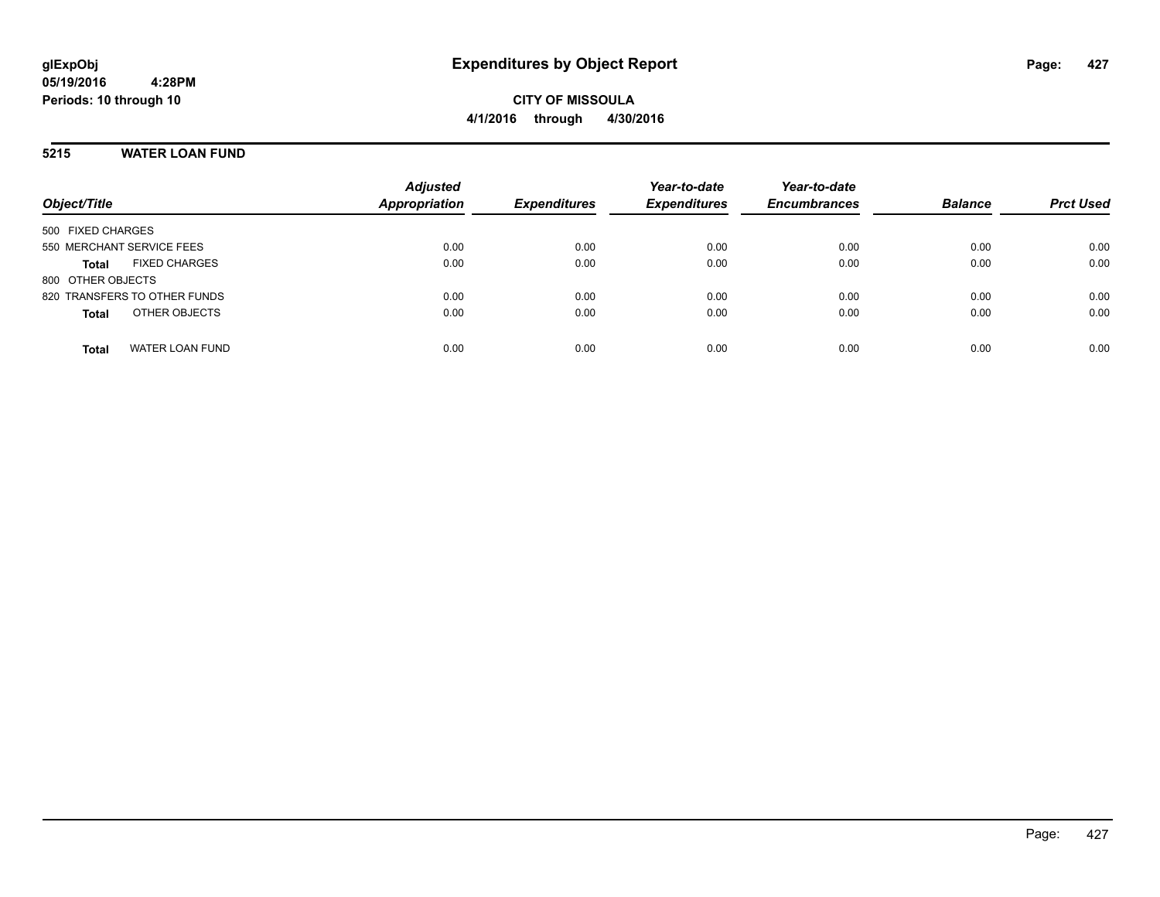**CITY OF MISSOULA 4/1/2016 through 4/30/2016**

#### **5215 WATER LOAN FUND**

| Object/Title                         | <b>Adjusted</b><br><b>Appropriation</b> | <b>Expenditures</b> | Year-to-date<br><b>Expenditures</b> | Year-to-date<br><b>Encumbrances</b> | <b>Balance</b> | <b>Prct Used</b> |
|--------------------------------------|-----------------------------------------|---------------------|-------------------------------------|-------------------------------------|----------------|------------------|
| 500 FIXED CHARGES                    |                                         |                     |                                     |                                     |                |                  |
| 550 MERCHANT SERVICE FEES            | 0.00                                    | 0.00                | 0.00                                | 0.00                                | 0.00           | 0.00             |
| <b>FIXED CHARGES</b><br><b>Total</b> | 0.00                                    | 0.00                | 0.00                                | 0.00                                | 0.00           | 0.00             |
| 800 OTHER OBJECTS                    |                                         |                     |                                     |                                     |                |                  |
| 820 TRANSFERS TO OTHER FUNDS         | 0.00                                    | 0.00                | 0.00                                | 0.00                                | 0.00           | 0.00             |
| OTHER OBJECTS<br><b>Total</b>        | 0.00                                    | 0.00                | 0.00                                | 0.00                                | 0.00           | 0.00             |
|                                      |                                         |                     |                                     |                                     |                |                  |
| <b>WATER LOAN FUND</b><br>Total      | 0.00                                    | 0.00                | 0.00                                | 0.00                                | 0.00           | 0.00             |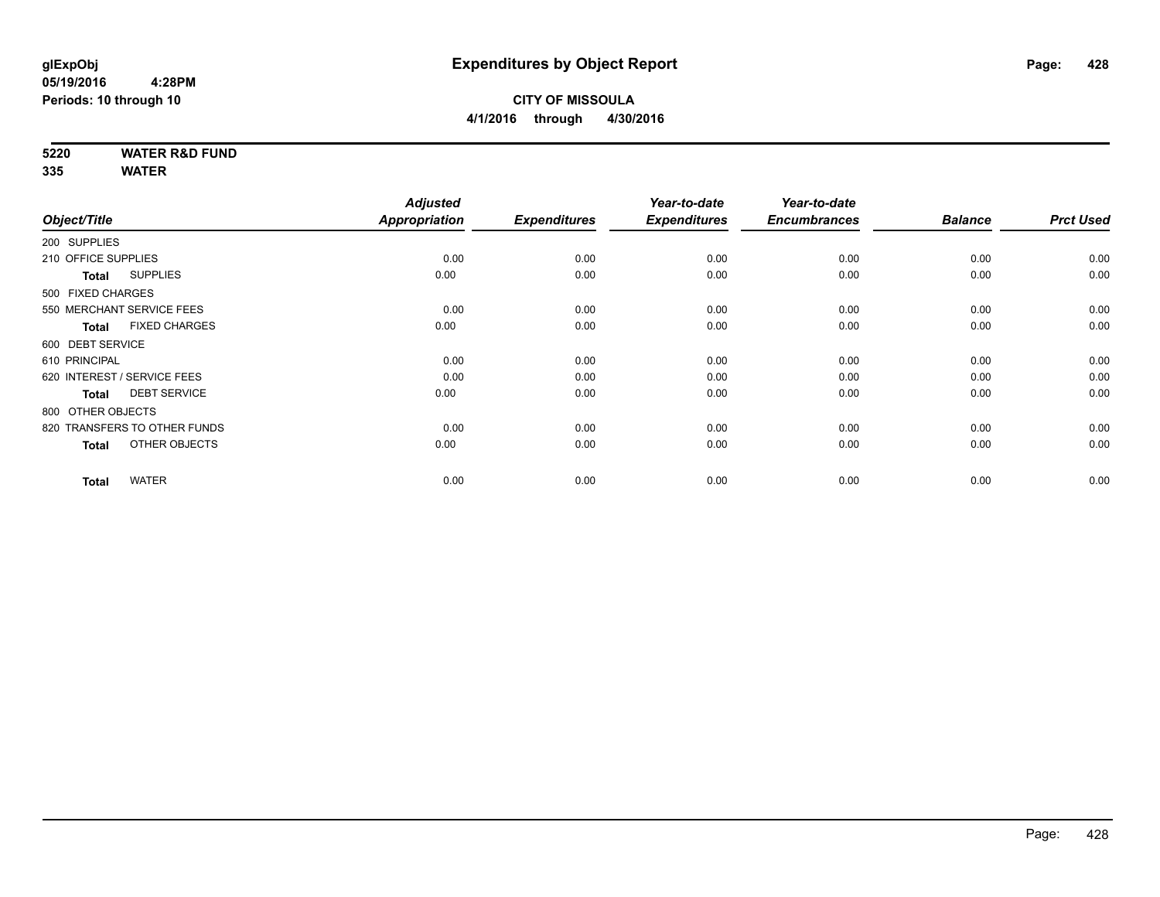## **5220 WATER R&D FUND**

| Object/Title                 |                      | <b>Adjusted</b><br>Appropriation | <b>Expenditures</b> | Year-to-date<br><b>Expenditures</b> | Year-to-date<br><b>Encumbrances</b> | <b>Balance</b> | <b>Prct Used</b> |
|------------------------------|----------------------|----------------------------------|---------------------|-------------------------------------|-------------------------------------|----------------|------------------|
|                              |                      |                                  |                     |                                     |                                     |                |                  |
| 200 SUPPLIES                 |                      |                                  |                     |                                     |                                     |                |                  |
| 210 OFFICE SUPPLIES          |                      | 0.00                             | 0.00                | 0.00                                | 0.00                                | 0.00           | 0.00             |
| Total                        | <b>SUPPLIES</b>      | 0.00                             | 0.00                | 0.00                                | 0.00                                | 0.00           | 0.00             |
| 500 FIXED CHARGES            |                      |                                  |                     |                                     |                                     |                |                  |
| 550 MERCHANT SERVICE FEES    |                      | 0.00                             | 0.00                | 0.00                                | 0.00                                | 0.00           | 0.00             |
| <b>Total</b>                 | <b>FIXED CHARGES</b> | 0.00                             | 0.00                | 0.00                                | 0.00                                | 0.00           | 0.00             |
| 600 DEBT SERVICE             |                      |                                  |                     |                                     |                                     |                |                  |
| 610 PRINCIPAL                |                      | 0.00                             | 0.00                | 0.00                                | 0.00                                | 0.00           | 0.00             |
| 620 INTEREST / SERVICE FEES  |                      | 0.00                             | 0.00                | 0.00                                | 0.00                                | 0.00           | 0.00             |
| <b>Total</b>                 | <b>DEBT SERVICE</b>  | 0.00                             | 0.00                | 0.00                                | 0.00                                | 0.00           | 0.00             |
| 800 OTHER OBJECTS            |                      |                                  |                     |                                     |                                     |                |                  |
| 820 TRANSFERS TO OTHER FUNDS |                      | 0.00                             | 0.00                | 0.00                                | 0.00                                | 0.00           | 0.00             |
| <b>Total</b>                 | OTHER OBJECTS        | 0.00                             | 0.00                | 0.00                                | 0.00                                | 0.00           | 0.00             |
| <b>Total</b>                 | <b>WATER</b>         | 0.00                             | 0.00                | 0.00                                | 0.00                                | 0.00           | 0.00             |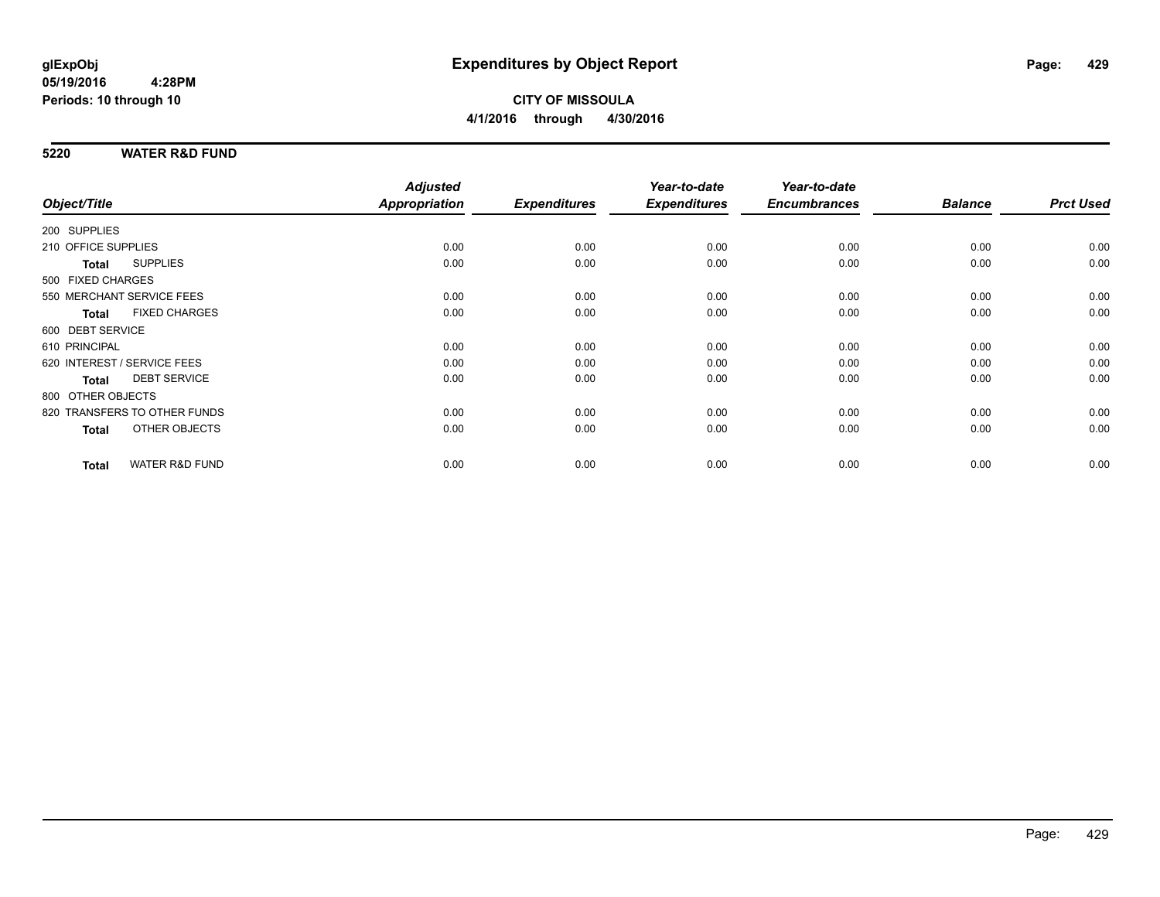#### **5220 WATER R&D FUND**

|                                 |                           | <b>Adjusted</b> |                     | Year-to-date        | Year-to-date        |                |                  |
|---------------------------------|---------------------------|-----------------|---------------------|---------------------|---------------------|----------------|------------------|
| Object/Title                    |                           | Appropriation   | <b>Expenditures</b> | <b>Expenditures</b> | <b>Encumbrances</b> | <b>Balance</b> | <b>Prct Used</b> |
| 200 SUPPLIES                    |                           |                 |                     |                     |                     |                |                  |
| 210 OFFICE SUPPLIES             |                           | 0.00            | 0.00                | 0.00                | 0.00                | 0.00           | 0.00             |
| <b>SUPPLIES</b><br><b>Total</b> |                           | 0.00            | 0.00                | 0.00                | 0.00                | 0.00           | 0.00             |
| 500 FIXED CHARGES               |                           |                 |                     |                     |                     |                |                  |
| 550 MERCHANT SERVICE FEES       |                           | 0.00            | 0.00                | 0.00                | 0.00                | 0.00           | 0.00             |
| <b>Total</b>                    | <b>FIXED CHARGES</b>      | 0.00            | 0.00                | 0.00                | 0.00                | 0.00           | 0.00             |
| 600 DEBT SERVICE                |                           |                 |                     |                     |                     |                |                  |
| 610 PRINCIPAL                   |                           | 0.00            | 0.00                | 0.00                | 0.00                | 0.00           | 0.00             |
| 620 INTEREST / SERVICE FEES     |                           | 0.00            | 0.00                | 0.00                | 0.00                | 0.00           | 0.00             |
| <b>Total</b>                    | <b>DEBT SERVICE</b>       | 0.00            | 0.00                | 0.00                | 0.00                | 0.00           | 0.00             |
| 800 OTHER OBJECTS               |                           |                 |                     |                     |                     |                |                  |
| 820 TRANSFERS TO OTHER FUNDS    |                           | 0.00            | 0.00                | 0.00                | 0.00                | 0.00           | 0.00             |
| <b>Total</b>                    | OTHER OBJECTS             | 0.00            | 0.00                | 0.00                | 0.00                | 0.00           | 0.00             |
| <b>Total</b>                    | <b>WATER R&amp;D FUND</b> | 0.00            | 0.00                | 0.00                | 0.00                | 0.00           | 0.00             |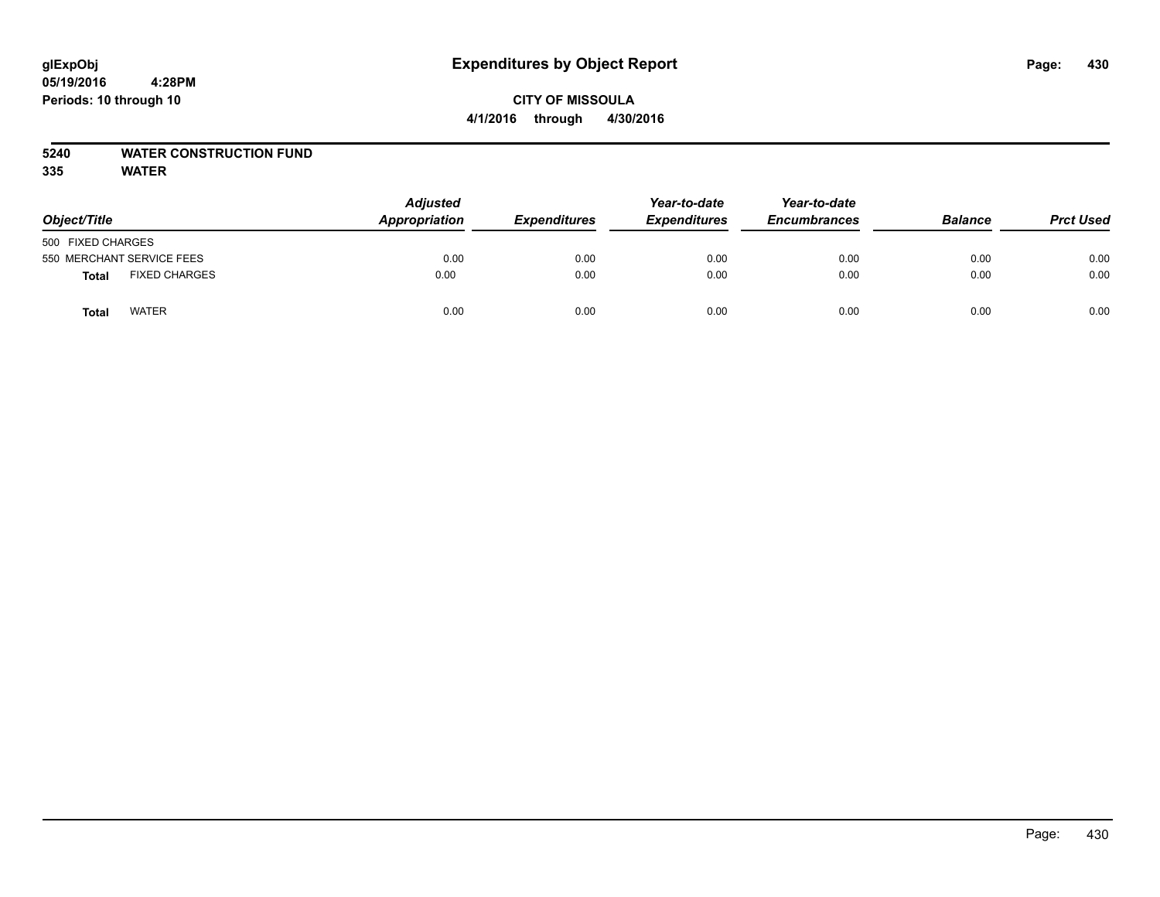## **CITY OF MISSOULA 4/1/2016 through 4/30/2016**

## **5240 WATER CONSTRUCTION FUND**

| Object/Title                         | <b>Adjusted</b><br>Appropriation | <b>Expenditures</b> | Year-to-date<br><b>Expenditures</b> | Year-to-date<br><b>Encumbrances</b> | <b>Balance</b> | <b>Prct Used</b> |
|--------------------------------------|----------------------------------|---------------------|-------------------------------------|-------------------------------------|----------------|------------------|
| 500 FIXED CHARGES                    |                                  |                     |                                     |                                     |                |                  |
| 550 MERCHANT SERVICE FEES            | 0.00                             | 0.00                | 0.00                                | 0.00                                | 0.00           | 0.00             |
| <b>FIXED CHARGES</b><br><b>Total</b> | 0.00                             | 0.00                | 0.00                                | 0.00                                | 0.00           | 0.00             |
| <b>WATER</b><br>Total                | 0.00                             | 0.00                | 0.00                                | 0.00                                | 0.00           | 0.00             |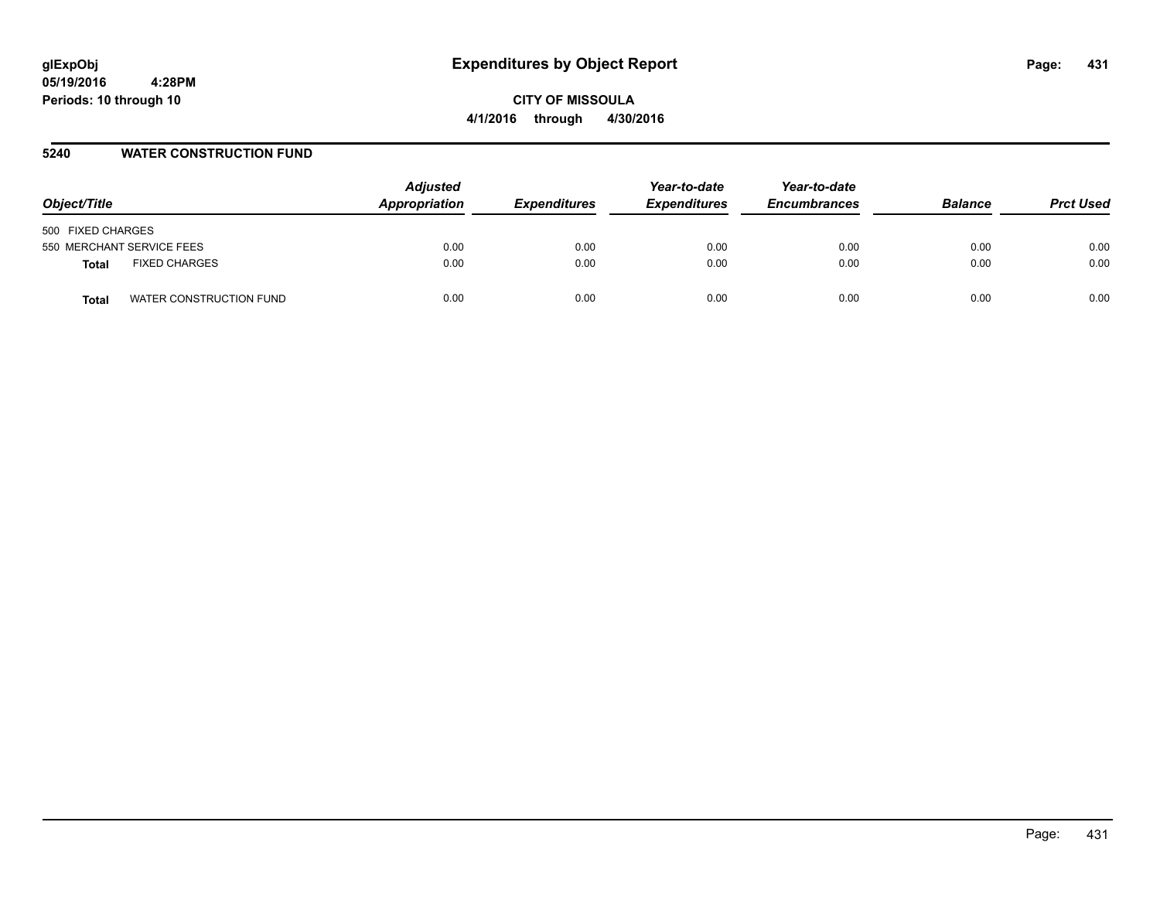#### **5240 WATER CONSTRUCTION FUND**

| Object/Title                         | <b>Adjusted</b><br>Appropriation | <b>Expenditures</b> | Year-to-date<br><b>Expenditures</b> | Year-to-date<br><b>Encumbrances</b> | <b>Balance</b> | <b>Prct Used</b> |
|--------------------------------------|----------------------------------|---------------------|-------------------------------------|-------------------------------------|----------------|------------------|
| 500 FIXED CHARGES                    |                                  |                     |                                     |                                     |                |                  |
| 550 MERCHANT SERVICE FEES            | 0.00                             | 0.00                | 0.00                                | 0.00                                | 0.00           | 0.00             |
| <b>FIXED CHARGES</b><br><b>Total</b> | 0.00                             | 0.00                | 0.00                                | 0.00                                | 0.00           | 0.00             |
| WATER CONSTRUCTION FUND<br>Total     | 0.00                             | 0.00                | 0.00                                | 0.00                                | 0.00           | 0.00             |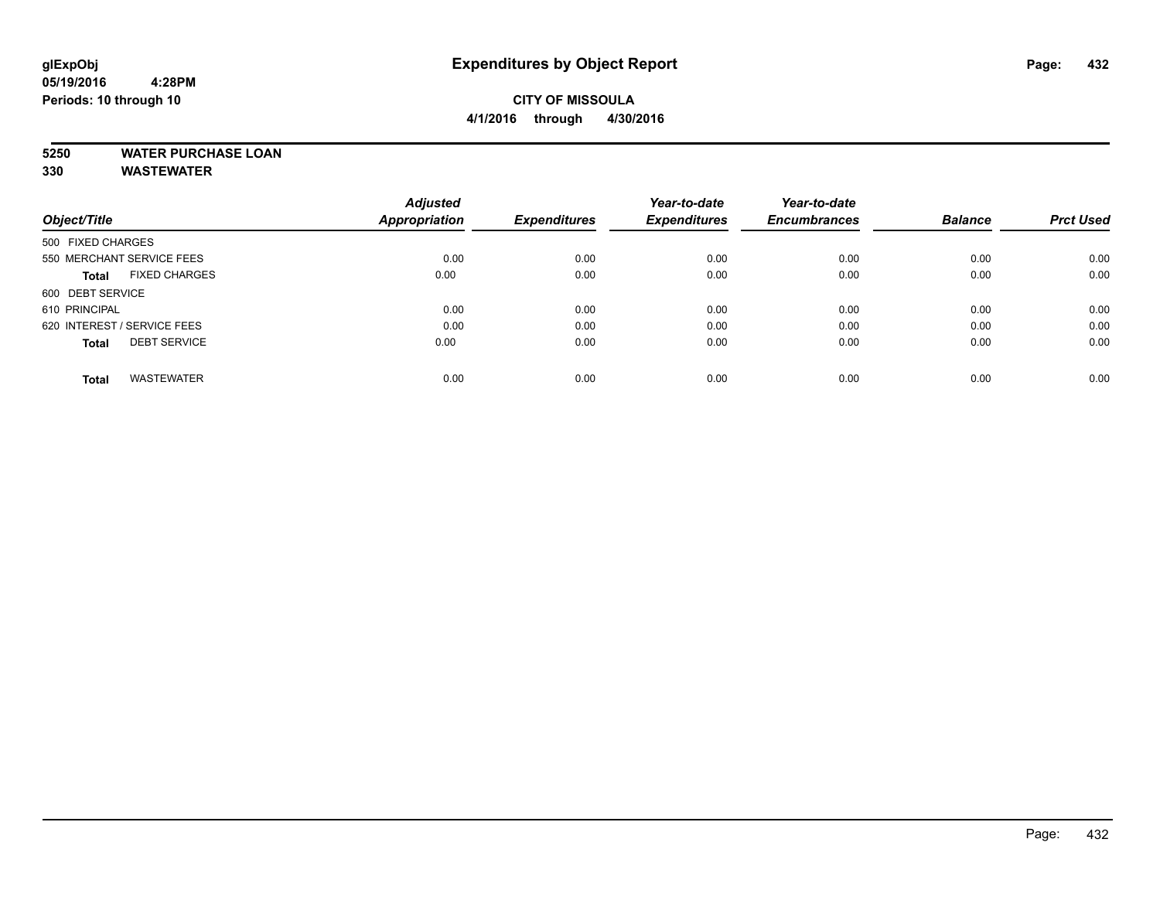## **CITY OF MISSOULA 4/1/2016 through 4/30/2016**

## **5250 WATER PURCHASE LOAN**

**330 WASTEWATER**

|                                      | <b>Adjusted</b>      |                     | Year-to-date        | Year-to-date        |                |                  |
|--------------------------------------|----------------------|---------------------|---------------------|---------------------|----------------|------------------|
| Object/Title                         | <b>Appropriation</b> | <b>Expenditures</b> | <b>Expenditures</b> | <b>Encumbrances</b> | <b>Balance</b> | <b>Prct Used</b> |
| 500 FIXED CHARGES                    |                      |                     |                     |                     |                |                  |
| 550 MERCHANT SERVICE FEES            | 0.00                 | 0.00                | 0.00                | 0.00                | 0.00           | 0.00             |
| <b>FIXED CHARGES</b><br><b>Total</b> | 0.00                 | 0.00                | 0.00                | 0.00                | 0.00           | 0.00             |
| 600 DEBT SERVICE                     |                      |                     |                     |                     |                |                  |
| 610 PRINCIPAL                        | 0.00                 | 0.00                | 0.00                | 0.00                | 0.00           | 0.00             |
| 620 INTEREST / SERVICE FEES          | 0.00                 | 0.00                | 0.00                | 0.00                | 0.00           | 0.00             |
| <b>DEBT SERVICE</b><br><b>Total</b>  | 0.00                 | 0.00                | 0.00                | 0.00                | 0.00           | 0.00             |
|                                      |                      |                     |                     |                     |                |                  |
| <b>WASTEWATER</b><br>Total           | 0.00                 | 0.00                | 0.00                | 0.00                | 0.00           | 0.00             |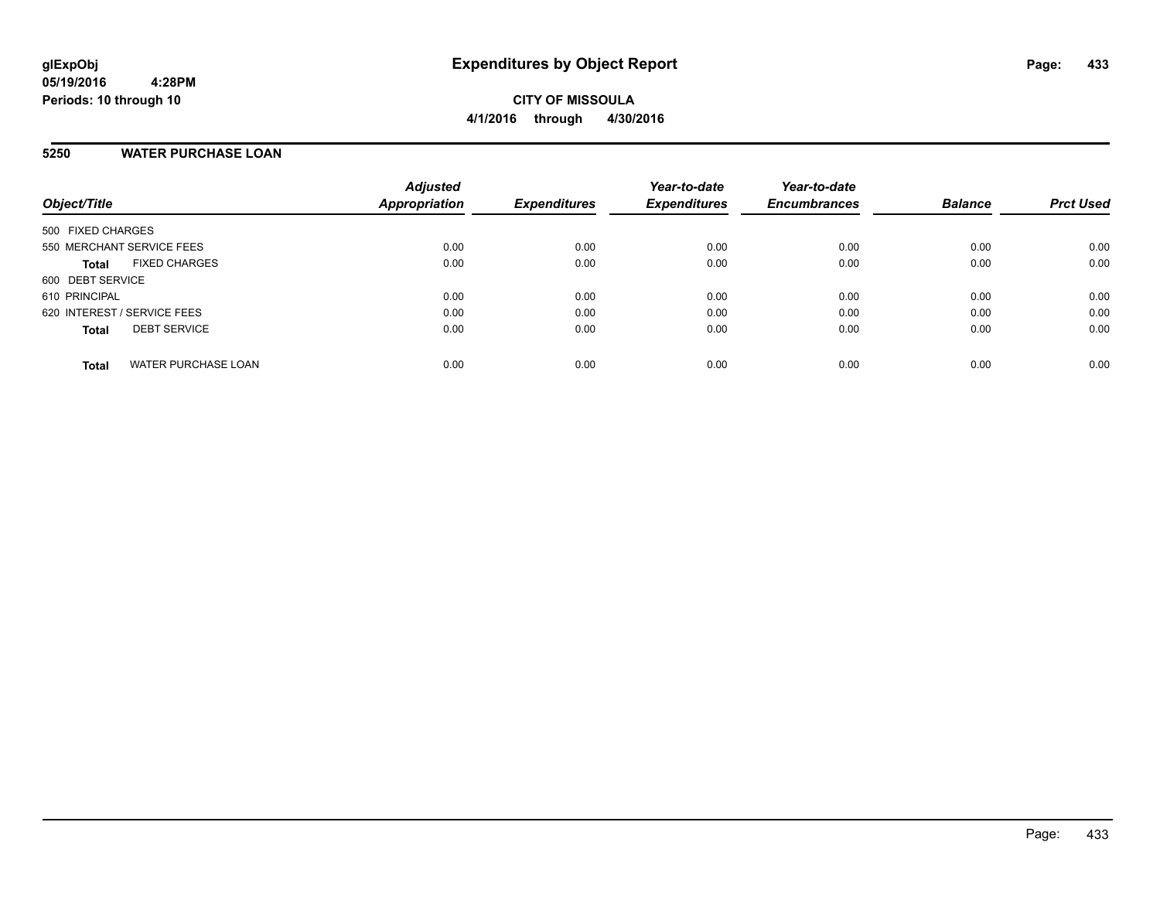## **5250 WATER PURCHASE LOAN**

| Object/Title                               | <b>Adjusted</b><br>Appropriation | <b>Expenditures</b> | Year-to-date<br><b>Expenditures</b> | Year-to-date<br><b>Encumbrances</b> | <b>Balance</b> | <b>Prct Used</b> |
|--------------------------------------------|----------------------------------|---------------------|-------------------------------------|-------------------------------------|----------------|------------------|
| 500 FIXED CHARGES                          |                                  |                     |                                     |                                     |                |                  |
| 550 MERCHANT SERVICE FEES                  | 0.00                             | 0.00                | 0.00                                | 0.00                                | 0.00           | 0.00             |
| <b>FIXED CHARGES</b><br><b>Total</b>       | 0.00                             | 0.00                | 0.00                                | 0.00                                | 0.00           | 0.00             |
| 600 DEBT SERVICE                           |                                  |                     |                                     |                                     |                |                  |
| 610 PRINCIPAL                              | 0.00                             | 0.00                | 0.00                                | 0.00                                | 0.00           | 0.00             |
| 620 INTEREST / SERVICE FEES                | 0.00                             | 0.00                | 0.00                                | 0.00                                | 0.00           | 0.00             |
| <b>DEBT SERVICE</b><br><b>Total</b>        | 0.00                             | 0.00                | 0.00                                | 0.00                                | 0.00           | 0.00             |
| <b>WATER PURCHASE LOAN</b><br><b>Total</b> | 0.00                             | 0.00                | 0.00                                | 0.00                                | 0.00           | 0.00             |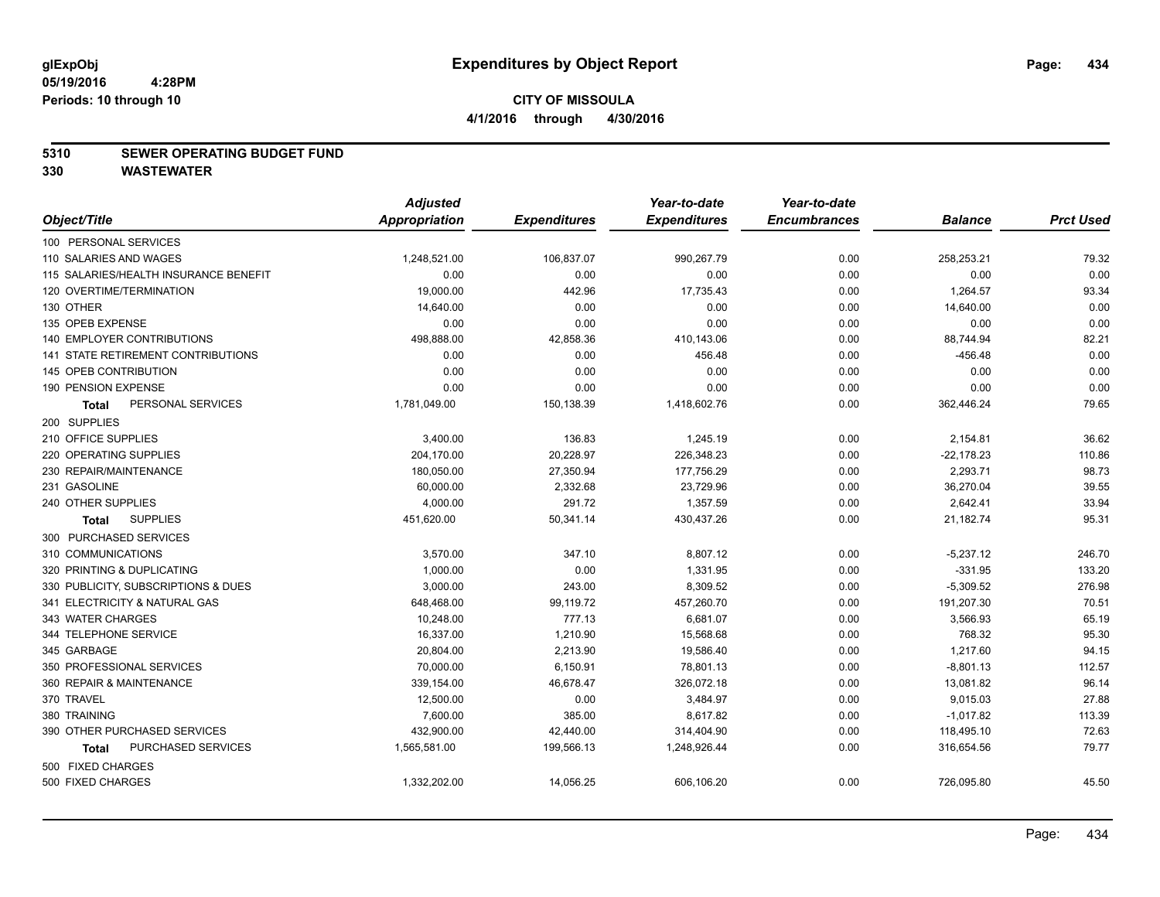#### **5310 SEWER OPERATING BUDGET FUND**

|                                       | <b>Adjusted</b>      |                     | Year-to-date        | Year-to-date        |                |                  |
|---------------------------------------|----------------------|---------------------|---------------------|---------------------|----------------|------------------|
| Object/Title                          | <b>Appropriation</b> | <b>Expenditures</b> | <b>Expenditures</b> | <b>Encumbrances</b> | <b>Balance</b> | <b>Prct Used</b> |
| 100 PERSONAL SERVICES                 |                      |                     |                     |                     |                |                  |
| 110 SALARIES AND WAGES                | 1,248,521.00         | 106,837.07          | 990,267.79          | 0.00                | 258,253.21     | 79.32            |
| 115 SALARIES/HEALTH INSURANCE BENEFIT | 0.00                 | 0.00                | 0.00                | 0.00                | 0.00           | 0.00             |
| 120 OVERTIME/TERMINATION              | 19,000.00            | 442.96              | 17,735.43           | 0.00                | 1,264.57       | 93.34            |
| 130 OTHER                             | 14,640.00            | 0.00                | 0.00                | 0.00                | 14,640.00      | 0.00             |
| 135 OPEB EXPENSE                      | 0.00                 | 0.00                | 0.00                | 0.00                | 0.00           | 0.00             |
| 140 EMPLOYER CONTRIBUTIONS            | 498,888.00           | 42,858.36           | 410,143.06          | 0.00                | 88,744.94      | 82.21            |
| 141 STATE RETIREMENT CONTRIBUTIONS    | 0.00                 | 0.00                | 456.48              | 0.00                | $-456.48$      | 0.00             |
| 145 OPEB CONTRIBUTION                 | 0.00                 | 0.00                | 0.00                | 0.00                | 0.00           | 0.00             |
| 190 PENSION EXPENSE                   | 0.00                 | 0.00                | 0.00                | 0.00                | 0.00           | 0.00             |
| PERSONAL SERVICES<br><b>Total</b>     | 1,781,049.00         | 150,138.39          | 1,418,602.76        | 0.00                | 362,446.24     | 79.65            |
| 200 SUPPLIES                          |                      |                     |                     |                     |                |                  |
| 210 OFFICE SUPPLIES                   | 3,400.00             | 136.83              | 1,245.19            | 0.00                | 2,154.81       | 36.62            |
| 220 OPERATING SUPPLIES                | 204,170.00           | 20,228.97           | 226,348.23          | 0.00                | $-22,178.23$   | 110.86           |
| 230 REPAIR/MAINTENANCE                | 180,050.00           | 27,350.94           | 177,756.29          | 0.00                | 2,293.71       | 98.73            |
| 231 GASOLINE                          | 60,000.00            | 2,332.68            | 23,729.96           | 0.00                | 36,270.04      | 39.55            |
| 240 OTHER SUPPLIES                    | 4,000.00             | 291.72              | 1,357.59            | 0.00                | 2,642.41       | 33.94            |
| <b>SUPPLIES</b><br>Total              | 451,620.00           | 50,341.14           | 430,437.26          | 0.00                | 21,182.74      | 95.31            |
| 300 PURCHASED SERVICES                |                      |                     |                     |                     |                |                  |
| 310 COMMUNICATIONS                    | 3,570.00             | 347.10              | 8,807.12            | 0.00                | $-5,237.12$    | 246.70           |
| 320 PRINTING & DUPLICATING            | 1,000.00             | 0.00                | 1,331.95            | 0.00                | $-331.95$      | 133.20           |
| 330 PUBLICITY, SUBSCRIPTIONS & DUES   | 3,000.00             | 243.00              | 8,309.52            | 0.00                | $-5,309.52$    | 276.98           |
| 341 ELECTRICITY & NATURAL GAS         | 648,468.00           | 99,119.72           | 457,260.70          | 0.00                | 191,207.30     | 70.51            |
| 343 WATER CHARGES                     | 10,248.00            | 777.13              | 6,681.07            | 0.00                | 3,566.93       | 65.19            |
| 344 TELEPHONE SERVICE                 | 16,337.00            | 1,210.90            | 15,568.68           | 0.00                | 768.32         | 95.30            |
| 345 GARBAGE                           | 20,804.00            | 2,213.90            | 19,586.40           | 0.00                | 1,217.60       | 94.15            |
| 350 PROFESSIONAL SERVICES             | 70,000.00            | 6,150.91            | 78,801.13           | 0.00                | $-8,801.13$    | 112.57           |
| 360 REPAIR & MAINTENANCE              | 339,154.00           | 46,678.47           | 326,072.18          | 0.00                | 13,081.82      | 96.14            |
| 370 TRAVEL                            | 12,500.00            | 0.00                | 3,484.97            | 0.00                | 9,015.03       | 27.88            |
| 380 TRAINING                          | 7,600.00             | 385.00              | 8,617.82            | 0.00                | $-1,017.82$    | 113.39           |
| 390 OTHER PURCHASED SERVICES          | 432,900.00           | 42,440.00           | 314,404.90          | 0.00                | 118,495.10     | 72.63            |
| PURCHASED SERVICES<br><b>Total</b>    | 1,565,581.00         | 199,566.13          | 1,248,926.44        | 0.00                | 316,654.56     | 79.77            |
| 500 FIXED CHARGES                     |                      |                     |                     |                     |                |                  |
| 500 FIXED CHARGES                     | 1,332,202.00         | 14,056.25           | 606,106.20          | 0.00                | 726,095.80     | 45.50            |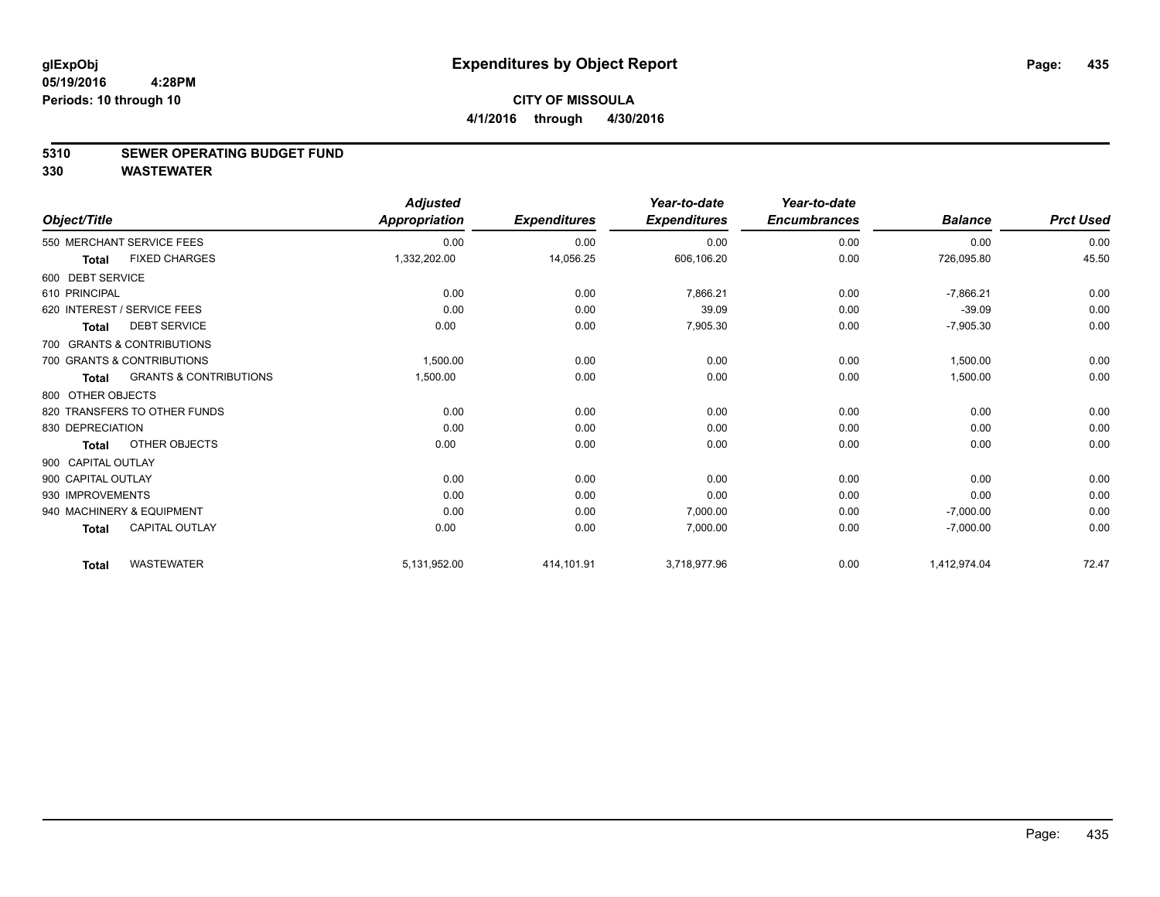#### **5310 SEWER OPERATING BUDGET FUND**

| Object/Title       |                                   | <b>Adjusted</b><br><b>Appropriation</b> | <b>Expenditures</b> | Year-to-date<br><b>Expenditures</b> | Year-to-date<br><b>Encumbrances</b> | <b>Balance</b> | <b>Prct Used</b> |
|--------------------|-----------------------------------|-----------------------------------------|---------------------|-------------------------------------|-------------------------------------|----------------|------------------|
|                    | 550 MERCHANT SERVICE FEES         | 0.00                                    | 0.00                | 0.00                                | 0.00                                | 0.00           | 0.00             |
| <b>Total</b>       | <b>FIXED CHARGES</b>              | 1,332,202.00                            | 14,056.25           | 606,106.20                          | 0.00                                | 726,095.80     | 45.50            |
| 600 DEBT SERVICE   |                                   |                                         |                     |                                     |                                     |                |                  |
| 610 PRINCIPAL      |                                   | 0.00                                    | 0.00                | 7,866.21                            | 0.00                                | $-7,866.21$    | 0.00             |
|                    | 620 INTEREST / SERVICE FEES       | 0.00                                    | 0.00                | 39.09                               | 0.00                                | $-39.09$       | 0.00             |
| <b>Total</b>       | <b>DEBT SERVICE</b>               | 0.00                                    | 0.00                | 7,905.30                            | 0.00                                | $-7,905.30$    | 0.00             |
|                    | 700 GRANTS & CONTRIBUTIONS        |                                         |                     |                                     |                                     |                |                  |
|                    | 700 GRANTS & CONTRIBUTIONS        | 1,500.00                                | 0.00                | 0.00                                | 0.00                                | 1,500.00       | 0.00             |
| <b>Total</b>       | <b>GRANTS &amp; CONTRIBUTIONS</b> | 1,500.00                                | 0.00                | 0.00                                | 0.00                                | 1,500.00       | 0.00             |
| 800 OTHER OBJECTS  |                                   |                                         |                     |                                     |                                     |                |                  |
|                    | 820 TRANSFERS TO OTHER FUNDS      | 0.00                                    | 0.00                | 0.00                                | 0.00                                | 0.00           | 0.00             |
| 830 DEPRECIATION   |                                   | 0.00                                    | 0.00                | 0.00                                | 0.00                                | 0.00           | 0.00             |
| Total              | OTHER OBJECTS                     | 0.00                                    | 0.00                | 0.00                                | 0.00                                | 0.00           | 0.00             |
| 900 CAPITAL OUTLAY |                                   |                                         |                     |                                     |                                     |                |                  |
| 900 CAPITAL OUTLAY |                                   | 0.00                                    | 0.00                | 0.00                                | 0.00                                | 0.00           | 0.00             |
| 930 IMPROVEMENTS   |                                   | 0.00                                    | 0.00                | 0.00                                | 0.00                                | 0.00           | 0.00             |
|                    | 940 MACHINERY & EQUIPMENT         | 0.00                                    | 0.00                | 7,000.00                            | 0.00                                | $-7,000.00$    | 0.00             |
| <b>Total</b>       | <b>CAPITAL OUTLAY</b>             | 0.00                                    | 0.00                | 7,000.00                            | 0.00                                | $-7,000.00$    | 0.00             |
| <b>Total</b>       | <b>WASTEWATER</b>                 | 5,131,952.00                            | 414,101.91          | 3,718,977.96                        | 0.00                                | 1,412,974.04   | 72.47            |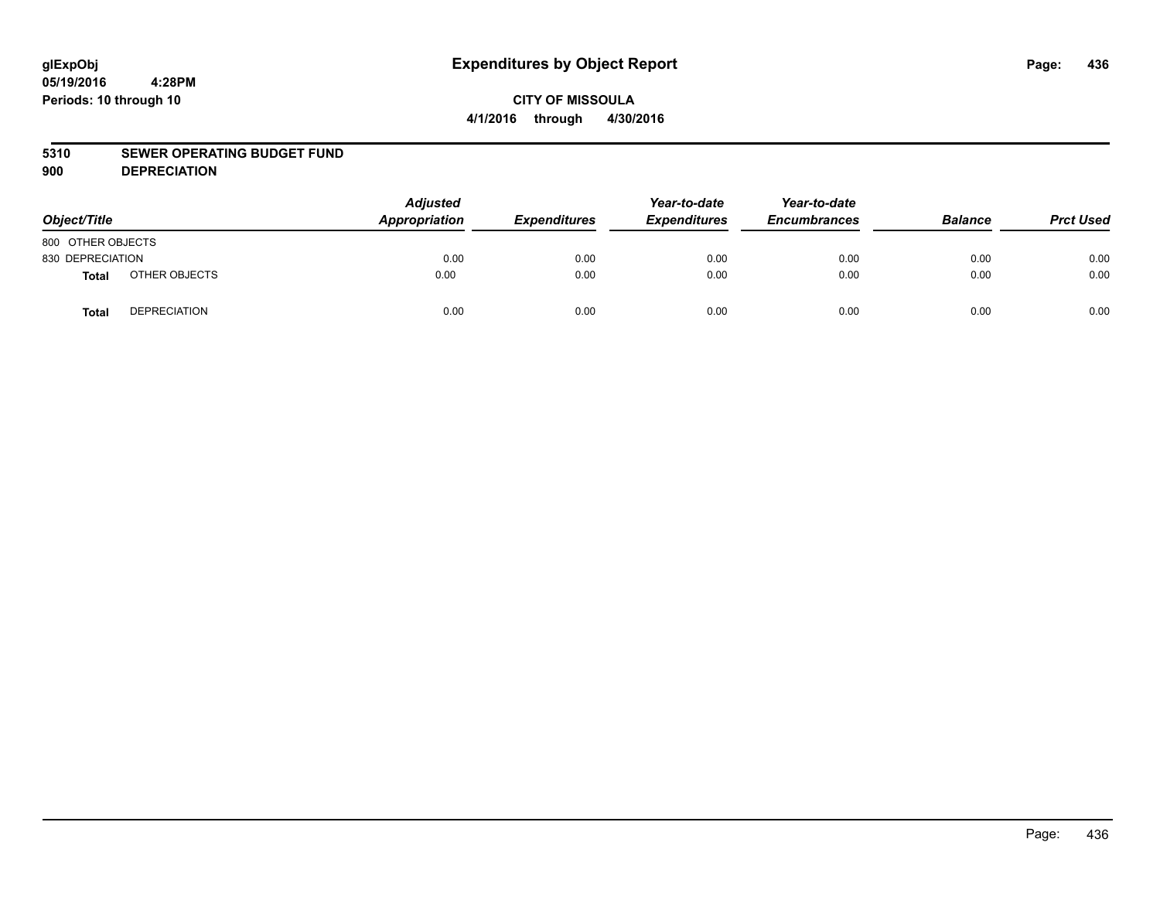# **CITY OF MISSOULA 4/1/2016 through 4/30/2016**

#### **5310 SEWER OPERATING BUDGET FUND**

**900 DEPRECIATION**

| Object/Title      |                     | <b>Adjusted</b><br>Appropriation | <b>Expenditures</b> | Year-to-date<br><b>Expenditures</b> | Year-to-date<br><b>Encumbrances</b> | <b>Balance</b> | <b>Prct Used</b> |
|-------------------|---------------------|----------------------------------|---------------------|-------------------------------------|-------------------------------------|----------------|------------------|
| 800 OTHER OBJECTS |                     |                                  |                     |                                     |                                     |                |                  |
| 830 DEPRECIATION  |                     | 0.00                             | 0.00                | 0.00                                | 0.00                                | 0.00           | 0.00             |
| <b>Total</b>      | OTHER OBJECTS       | 0.00                             | 0.00                | 0.00                                | 0.00                                | 0.00           | 0.00             |
| Tota              | <b>DEPRECIATION</b> | 0.00                             | 0.00                | 0.00                                | 0.00                                | 0.00           | 0.00             |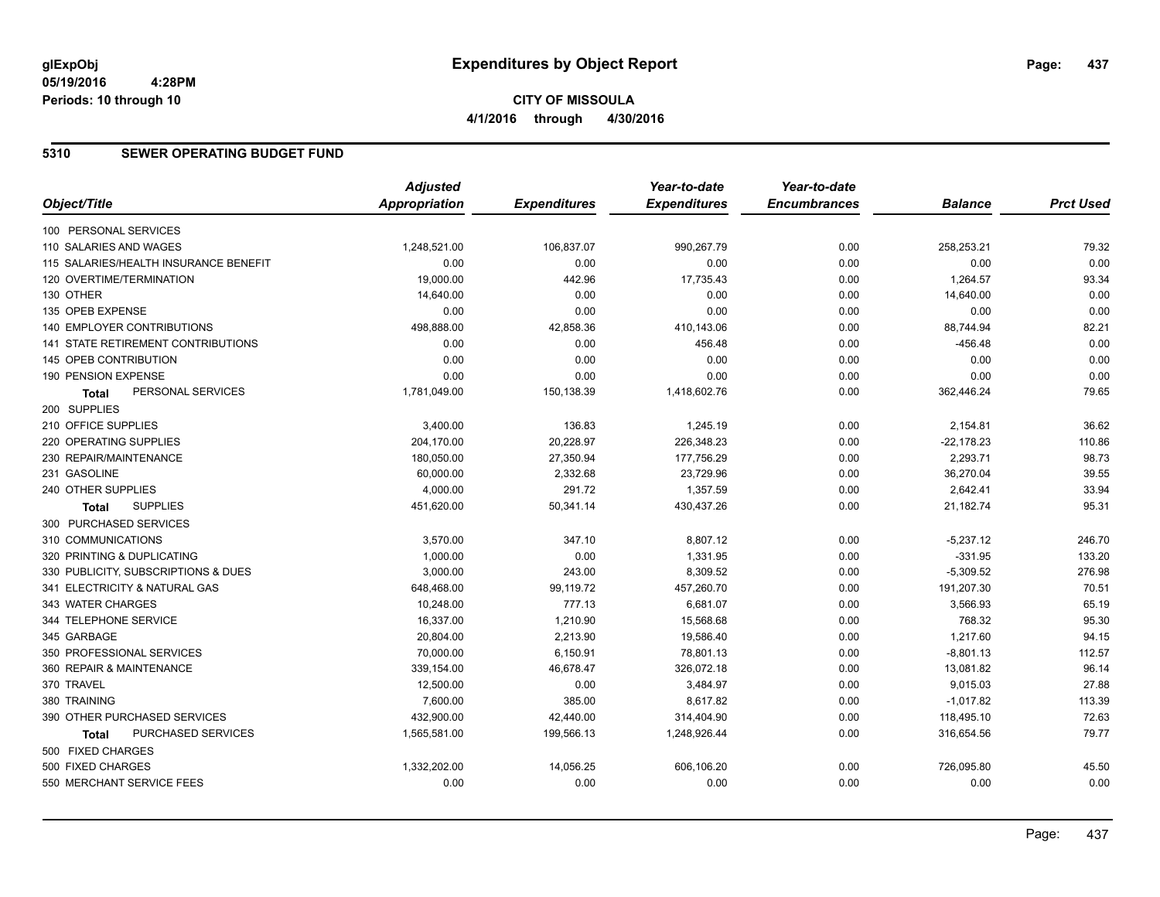**4/1/2016 through 4/30/2016**

## **5310 SEWER OPERATING BUDGET FUND**

|                                           | <b>Adjusted</b>      |                     | Year-to-date        | Year-to-date        |                |                  |
|-------------------------------------------|----------------------|---------------------|---------------------|---------------------|----------------|------------------|
| Object/Title                              | <b>Appropriation</b> | <b>Expenditures</b> | <b>Expenditures</b> | <b>Encumbrances</b> | <b>Balance</b> | <b>Prct Used</b> |
| 100 PERSONAL SERVICES                     |                      |                     |                     |                     |                |                  |
| 110 SALARIES AND WAGES                    | 1,248,521.00         | 106,837.07          | 990,267.79          | 0.00                | 258,253.21     | 79.32            |
| 115 SALARIES/HEALTH INSURANCE BENEFIT     | 0.00                 | 0.00                | 0.00                | 0.00                | 0.00           | 0.00             |
| 120 OVERTIME/TERMINATION                  | 19,000.00            | 442.96              | 17,735.43           | 0.00                | 1,264.57       | 93.34            |
| 130 OTHER                                 | 14,640.00            | 0.00                | 0.00                | 0.00                | 14,640.00      | 0.00             |
| 135 OPEB EXPENSE                          | 0.00                 | 0.00                | 0.00                | 0.00                | 0.00           | 0.00             |
| 140 EMPLOYER CONTRIBUTIONS                | 498,888.00           | 42,858.36           | 410,143.06          | 0.00                | 88,744.94      | 82.21            |
| <b>141 STATE RETIREMENT CONTRIBUTIONS</b> | 0.00                 | 0.00                | 456.48              | 0.00                | $-456.48$      | 0.00             |
| 145 OPEB CONTRIBUTION                     | 0.00                 | 0.00                | 0.00                | 0.00                | 0.00           | 0.00             |
| 190 PENSION EXPENSE                       | 0.00                 | 0.00                | 0.00                | 0.00                | 0.00           | 0.00             |
| PERSONAL SERVICES<br>Total                | 1,781,049.00         | 150,138.39          | 1,418,602.76        | 0.00                | 362,446.24     | 79.65            |
| 200 SUPPLIES                              |                      |                     |                     |                     |                |                  |
| 210 OFFICE SUPPLIES                       | 3,400.00             | 136.83              | 1,245.19            | 0.00                | 2,154.81       | 36.62            |
| 220 OPERATING SUPPLIES                    | 204,170.00           | 20,228.97           | 226,348.23          | 0.00                | $-22,178.23$   | 110.86           |
| 230 REPAIR/MAINTENANCE                    | 180,050.00           | 27,350.94           | 177,756.29          | 0.00                | 2,293.71       | 98.73            |
| 231 GASOLINE                              | 60,000.00            | 2,332.68            | 23,729.96           | 0.00                | 36,270.04      | 39.55            |
| 240 OTHER SUPPLIES                        | 4,000.00             | 291.72              | 1,357.59            | 0.00                | 2,642.41       | 33.94            |
| <b>SUPPLIES</b><br><b>Total</b>           | 451,620.00           | 50,341.14           | 430,437.26          | 0.00                | 21,182.74      | 95.31            |
| 300 PURCHASED SERVICES                    |                      |                     |                     |                     |                |                  |
| 310 COMMUNICATIONS                        | 3,570.00             | 347.10              | 8,807.12            | 0.00                | $-5,237.12$    | 246.70           |
| 320 PRINTING & DUPLICATING                | 1,000.00             | 0.00                | 1,331.95            | 0.00                | $-331.95$      | 133.20           |
| 330 PUBLICITY, SUBSCRIPTIONS & DUES       | 3,000.00             | 243.00              | 8,309.52            | 0.00                | $-5,309.52$    | 276.98           |
| 341 ELECTRICITY & NATURAL GAS             | 648,468.00           | 99,119.72           | 457,260.70          | 0.00                | 191,207.30     | 70.51            |
| 343 WATER CHARGES                         | 10,248.00            | 777.13              | 6,681.07            | 0.00                | 3,566.93       | 65.19            |
| 344 TELEPHONE SERVICE                     | 16,337.00            | 1,210.90            | 15,568.68           | 0.00                | 768.32         | 95.30            |
| 345 GARBAGE                               | 20,804.00            | 2,213.90            | 19,586.40           | 0.00                | 1,217.60       | 94.15            |
| 350 PROFESSIONAL SERVICES                 | 70,000.00            | 6,150.91            | 78,801.13           | 0.00                | $-8,801.13$    | 112.57           |
| 360 REPAIR & MAINTENANCE                  | 339,154.00           | 46,678.47           | 326,072.18          | 0.00                | 13,081.82      | 96.14            |
| 370 TRAVEL                                | 12,500.00            | 0.00                | 3,484.97            | 0.00                | 9,015.03       | 27.88            |
| 380 TRAINING                              | 7,600.00             | 385.00              | 8,617.82            | 0.00                | $-1,017.82$    | 113.39           |
| 390 OTHER PURCHASED SERVICES              | 432,900.00           | 42,440.00           | 314,404.90          | 0.00                | 118,495.10     | 72.63            |
| PURCHASED SERVICES<br>Total               | 1,565,581.00         | 199,566.13          | 1,248,926.44        | 0.00                | 316,654.56     | 79.77            |
| 500 FIXED CHARGES                         |                      |                     |                     |                     |                |                  |
| 500 FIXED CHARGES                         | 1,332,202.00         | 14,056.25           | 606,106.20          | 0.00                | 726,095.80     | 45.50            |
| 550 MERCHANT SERVICE FEES                 | 0.00                 | 0.00                | 0.00                | 0.00                | 0.00           | 0.00             |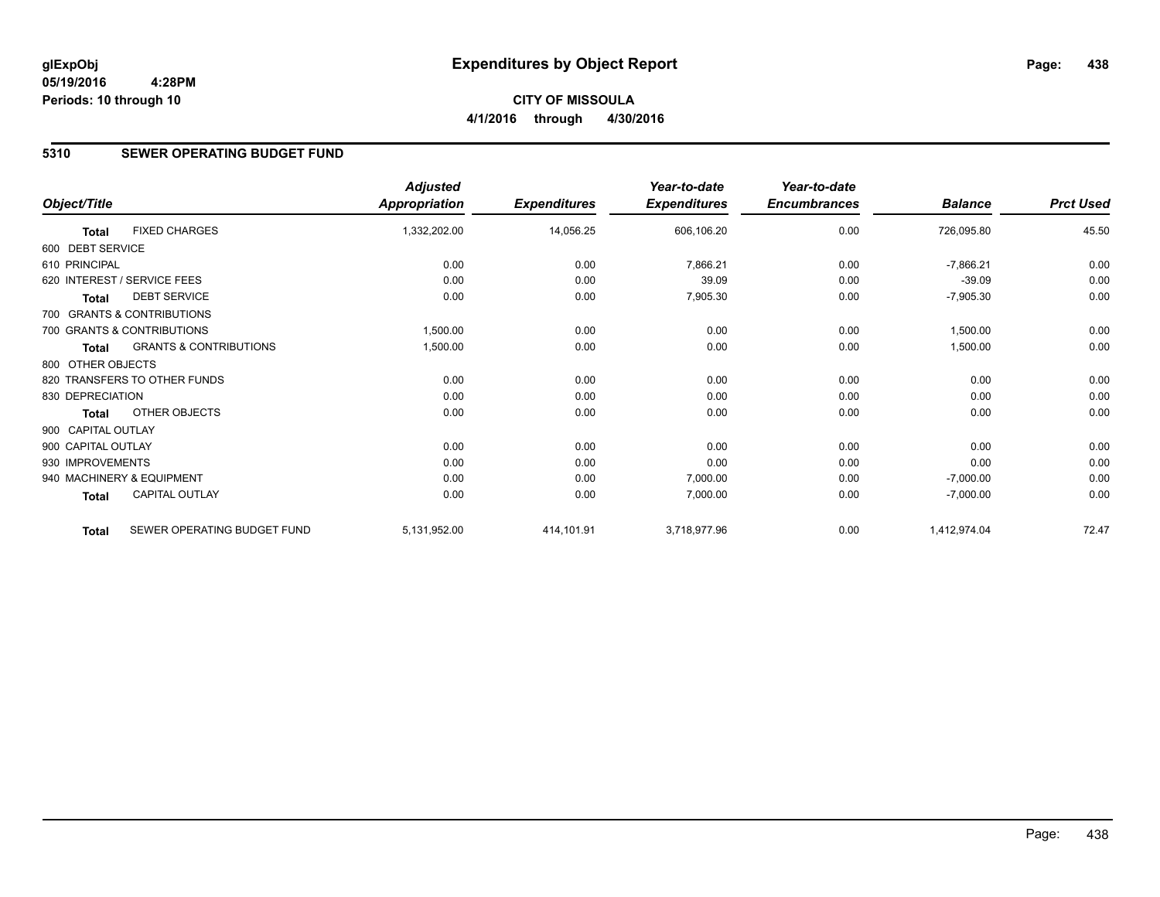## **5310 SEWER OPERATING BUDGET FUND**

|                    |                                   | <b>Adjusted</b>      |                     | Year-to-date        | Year-to-date        |                |                  |
|--------------------|-----------------------------------|----------------------|---------------------|---------------------|---------------------|----------------|------------------|
| Object/Title       |                                   | <b>Appropriation</b> | <b>Expenditures</b> | <b>Expenditures</b> | <b>Encumbrances</b> | <b>Balance</b> | <b>Prct Used</b> |
| <b>Total</b>       | <b>FIXED CHARGES</b>              | 1,332,202.00         | 14,056.25           | 606,106.20          | 0.00                | 726,095.80     | 45.50            |
| 600 DEBT SERVICE   |                                   |                      |                     |                     |                     |                |                  |
| 610 PRINCIPAL      |                                   | 0.00                 | 0.00                | 7,866.21            | 0.00                | $-7,866.21$    | 0.00             |
|                    | 620 INTEREST / SERVICE FEES       | 0.00                 | 0.00                | 39.09               | 0.00                | $-39.09$       | 0.00             |
| <b>Total</b>       | <b>DEBT SERVICE</b>               | 0.00                 | 0.00                | 7,905.30            | 0.00                | $-7,905.30$    | 0.00             |
|                    | 700 GRANTS & CONTRIBUTIONS        |                      |                     |                     |                     |                |                  |
|                    | 700 GRANTS & CONTRIBUTIONS        | 1,500.00             | 0.00                | 0.00                | 0.00                | 1,500.00       | 0.00             |
| <b>Total</b>       | <b>GRANTS &amp; CONTRIBUTIONS</b> | 1,500.00             | 0.00                | 0.00                | 0.00                | 1,500.00       | 0.00             |
| 800 OTHER OBJECTS  |                                   |                      |                     |                     |                     |                |                  |
|                    | 820 TRANSFERS TO OTHER FUNDS      | 0.00                 | 0.00                | 0.00                | 0.00                | 0.00           | 0.00             |
| 830 DEPRECIATION   |                                   | 0.00                 | 0.00                | 0.00                | 0.00                | 0.00           | 0.00             |
| <b>Total</b>       | OTHER OBJECTS                     | 0.00                 | 0.00                | 0.00                | 0.00                | 0.00           | 0.00             |
| 900 CAPITAL OUTLAY |                                   |                      |                     |                     |                     |                |                  |
| 900 CAPITAL OUTLAY |                                   | 0.00                 | 0.00                | 0.00                | 0.00                | 0.00           | 0.00             |
| 930 IMPROVEMENTS   |                                   | 0.00                 | 0.00                | 0.00                | 0.00                | 0.00           | 0.00             |
|                    | 940 MACHINERY & EQUIPMENT         | 0.00                 | 0.00                | 7,000.00            | 0.00                | $-7,000.00$    | 0.00             |
| Total              | <b>CAPITAL OUTLAY</b>             | 0.00                 | 0.00                | 7,000.00            | 0.00                | $-7,000.00$    | 0.00             |
| <b>Total</b>       | SEWER OPERATING BUDGET FUND       | 5,131,952.00         | 414,101.91          | 3,718,977.96        | 0.00                | 1,412,974.04   | 72.47            |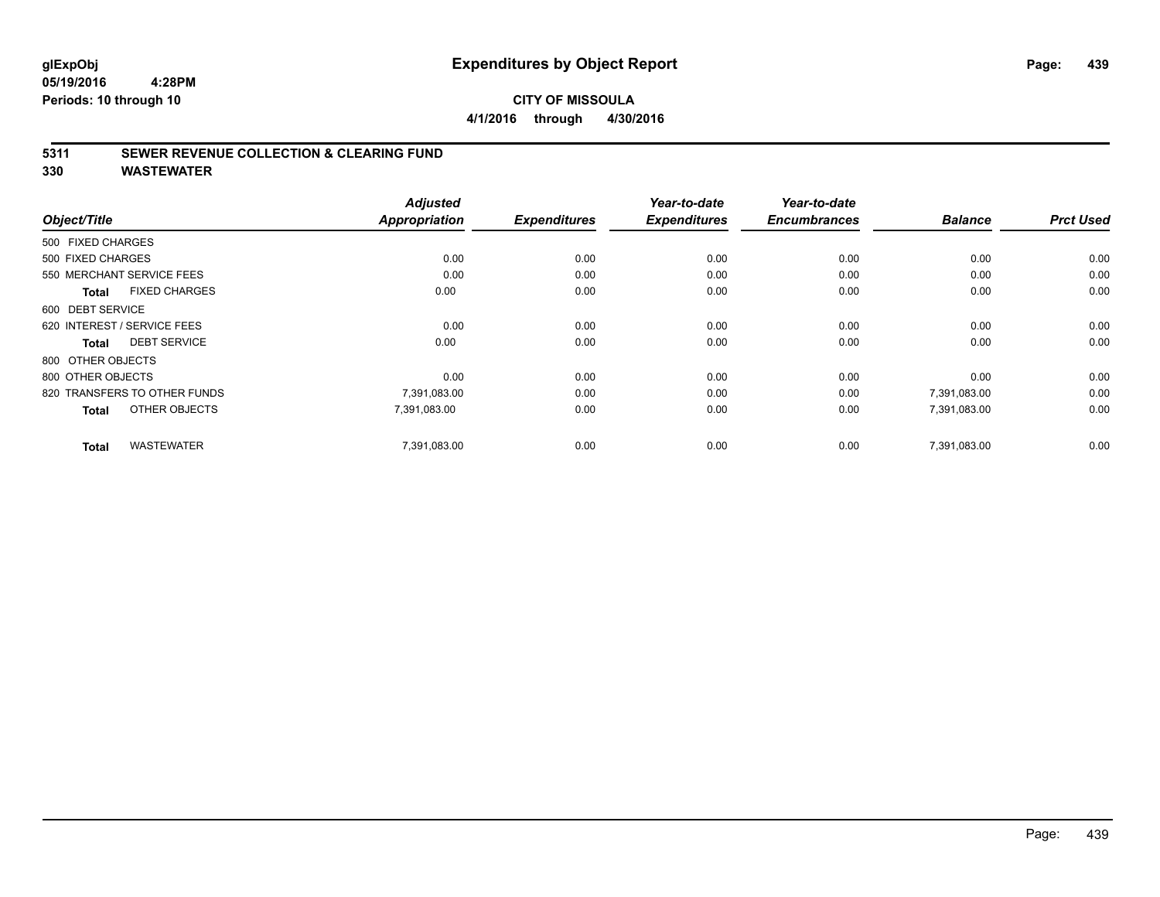## **CITY OF MISSOULA 4/1/2016 through 4/30/2016**

## **5311 SEWER REVENUE COLLECTION & CLEARING FUND**

|                                      | <b>Adjusted</b>      |                     | Year-to-date        | Year-to-date        |                |                  |
|--------------------------------------|----------------------|---------------------|---------------------|---------------------|----------------|------------------|
| Object/Title                         | <b>Appropriation</b> | <b>Expenditures</b> | <b>Expenditures</b> | <b>Encumbrances</b> | <b>Balance</b> | <b>Prct Used</b> |
| 500 FIXED CHARGES                    |                      |                     |                     |                     |                |                  |
| 500 FIXED CHARGES                    | 0.00                 | 0.00                | 0.00                | 0.00                | 0.00           | 0.00             |
| 550 MERCHANT SERVICE FEES            | 0.00                 | 0.00                | 0.00                | 0.00                | 0.00           | 0.00             |
| <b>FIXED CHARGES</b><br><b>Total</b> | 0.00                 | 0.00                | 0.00                | 0.00                | 0.00           | 0.00             |
| 600 DEBT SERVICE                     |                      |                     |                     |                     |                |                  |
| 620 INTEREST / SERVICE FEES          | 0.00                 | 0.00                | 0.00                | 0.00                | 0.00           | 0.00             |
| <b>DEBT SERVICE</b><br><b>Total</b>  | 0.00                 | 0.00                | 0.00                | 0.00                | 0.00           | 0.00             |
| 800 OTHER OBJECTS                    |                      |                     |                     |                     |                |                  |
| 800 OTHER OBJECTS                    | 0.00                 | 0.00                | 0.00                | 0.00                | 0.00           | 0.00             |
| 820 TRANSFERS TO OTHER FUNDS         | 7,391,083.00         | 0.00                | 0.00                | 0.00                | 7,391,083.00   | 0.00             |
| OTHER OBJECTS<br><b>Total</b>        | 7,391,083.00         | 0.00                | 0.00                | 0.00                | 7,391,083.00   | 0.00             |
| <b>WASTEWATER</b><br><b>Total</b>    | 7,391,083.00         | 0.00                | 0.00                | 0.00                | 7.391.083.00   | 0.00             |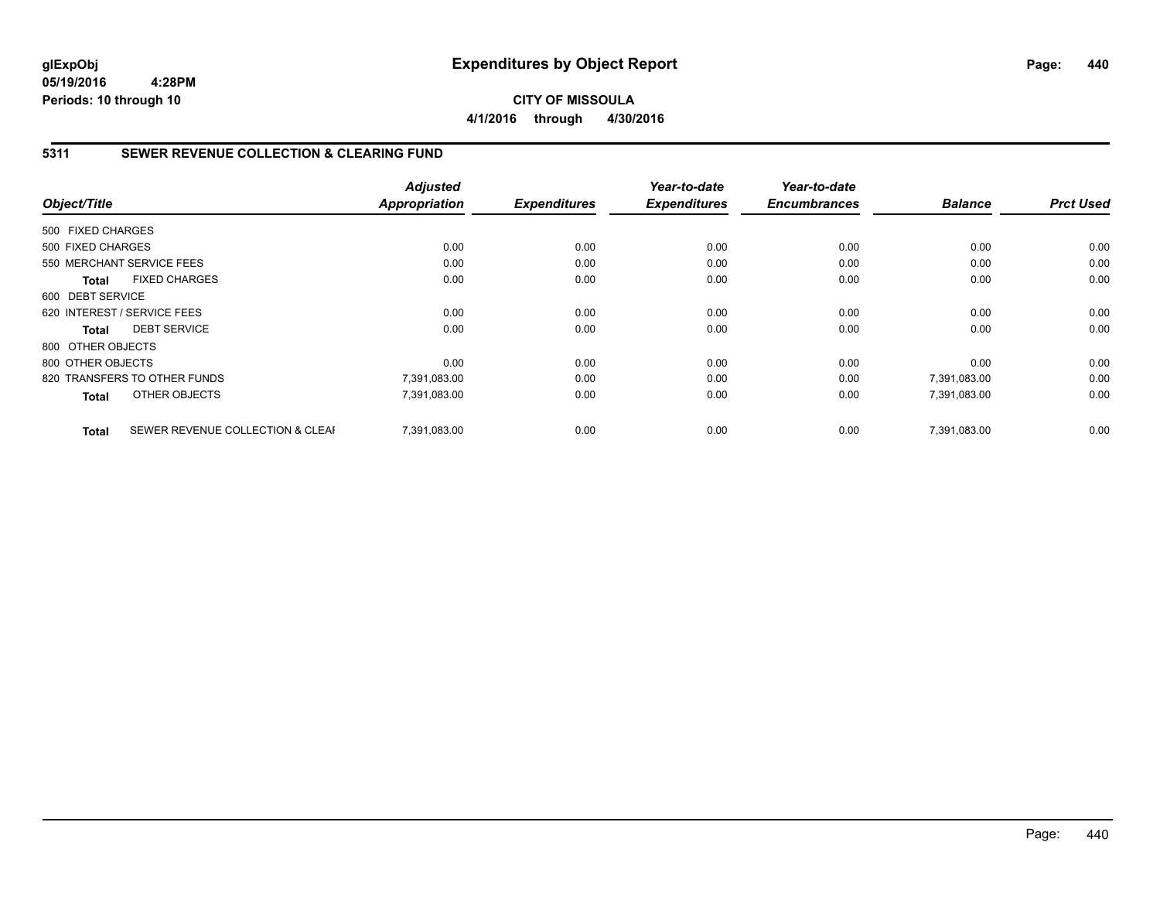## **CITY OF MISSOULA 4/1/2016 through 4/30/2016**

## **5311 SEWER REVENUE COLLECTION & CLEARING FUND**

|                   |                                  | <b>Adjusted</b>      |                     | Year-to-date        | Year-to-date        |                |                  |
|-------------------|----------------------------------|----------------------|---------------------|---------------------|---------------------|----------------|------------------|
| Object/Title      |                                  | <b>Appropriation</b> | <b>Expenditures</b> | <b>Expenditures</b> | <b>Encumbrances</b> | <b>Balance</b> | <b>Prct Used</b> |
| 500 FIXED CHARGES |                                  |                      |                     |                     |                     |                |                  |
| 500 FIXED CHARGES |                                  | 0.00                 | 0.00                | 0.00                | 0.00                | 0.00           | 0.00             |
|                   | 550 MERCHANT SERVICE FEES        | 0.00                 | 0.00                | 0.00                | 0.00                | 0.00           | 0.00             |
| <b>Total</b>      | <b>FIXED CHARGES</b>             | 0.00                 | 0.00                | 0.00                | 0.00                | 0.00           | 0.00             |
| 600 DEBT SERVICE  |                                  |                      |                     |                     |                     |                |                  |
|                   | 620 INTEREST / SERVICE FEES      | 0.00                 | 0.00                | 0.00                | 0.00                | 0.00           | 0.00             |
| Total             | <b>DEBT SERVICE</b>              | 0.00                 | 0.00                | 0.00                | 0.00                | 0.00           | 0.00             |
| 800 OTHER OBJECTS |                                  |                      |                     |                     |                     |                |                  |
| 800 OTHER OBJECTS |                                  | 0.00                 | 0.00                | 0.00                | 0.00                | 0.00           | 0.00             |
|                   | 820 TRANSFERS TO OTHER FUNDS     | 7,391,083.00         | 0.00                | 0.00                | 0.00                | 7,391,083.00   | 0.00             |
| <b>Total</b>      | OTHER OBJECTS                    | 7,391,083.00         | 0.00                | 0.00                | 0.00                | 7,391,083.00   | 0.00             |
| <b>Total</b>      | SEWER REVENUE COLLECTION & CLEAF | 7.391.083.00         | 0.00                | 0.00                | 0.00                | 7,391,083.00   | 0.00             |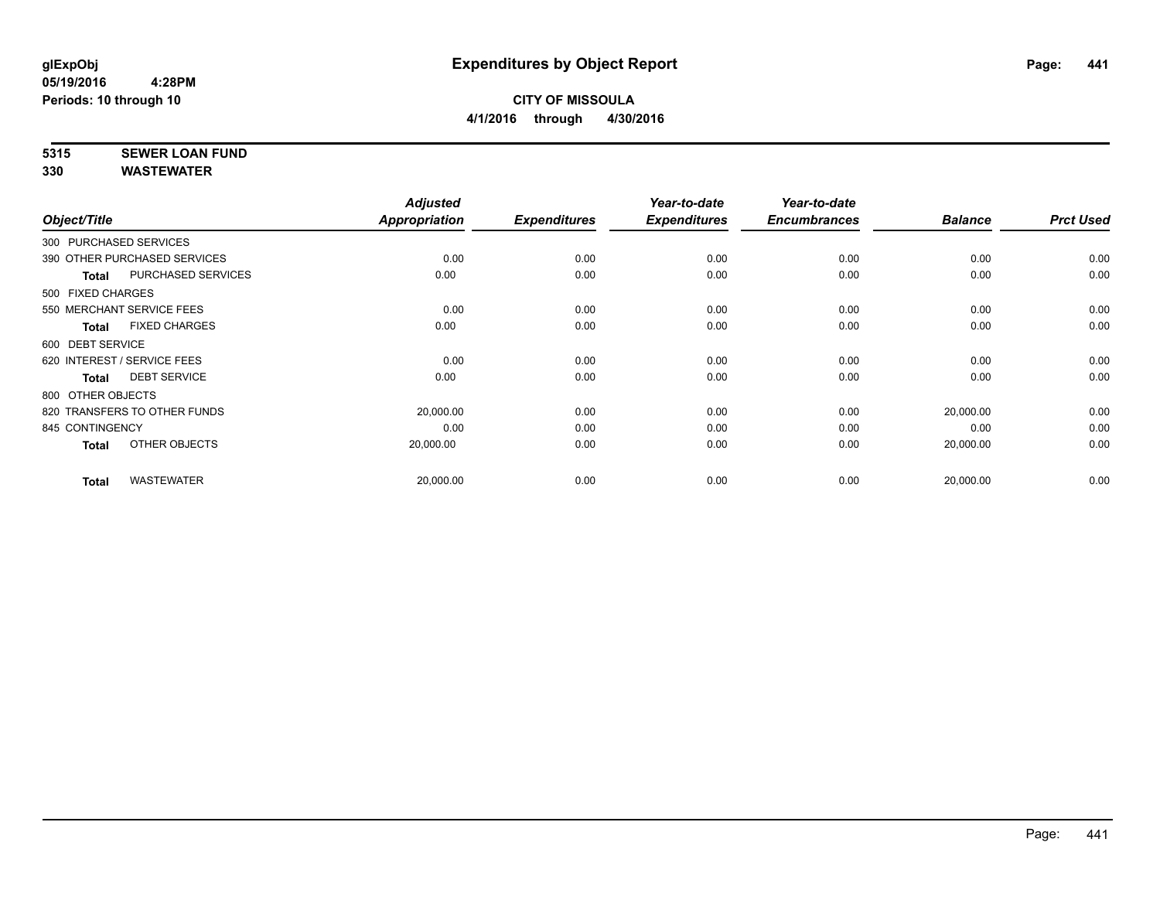# **5315 SEWER LOAN FUND**

|                                     | <b>Adjusted</b>      |                     | Year-to-date        | Year-to-date        |                |                  |
|-------------------------------------|----------------------|---------------------|---------------------|---------------------|----------------|------------------|
| Object/Title                        | <b>Appropriation</b> | <b>Expenditures</b> | <b>Expenditures</b> | <b>Encumbrances</b> | <b>Balance</b> | <b>Prct Used</b> |
| 300 PURCHASED SERVICES              |                      |                     |                     |                     |                |                  |
| 390 OTHER PURCHASED SERVICES        | 0.00                 | 0.00                | 0.00                | 0.00                | 0.00           | 0.00             |
| PURCHASED SERVICES<br><b>Total</b>  | 0.00                 | 0.00                | 0.00                | 0.00                | 0.00           | 0.00             |
| 500 FIXED CHARGES                   |                      |                     |                     |                     |                |                  |
| 550 MERCHANT SERVICE FEES           | 0.00                 | 0.00                | 0.00                | 0.00                | 0.00           | 0.00             |
| <b>FIXED CHARGES</b><br>Total       | 0.00                 | 0.00                | 0.00                | 0.00                | 0.00           | 0.00             |
| 600 DEBT SERVICE                    |                      |                     |                     |                     |                |                  |
| 620 INTEREST / SERVICE FEES         | 0.00                 | 0.00                | 0.00                | 0.00                | 0.00           | 0.00             |
| <b>DEBT SERVICE</b><br><b>Total</b> | 0.00                 | 0.00                | 0.00                | 0.00                | 0.00           | 0.00             |
| 800 OTHER OBJECTS                   |                      |                     |                     |                     |                |                  |
| 820 TRANSFERS TO OTHER FUNDS        | 20,000.00            | 0.00                | 0.00                | 0.00                | 20,000.00      | 0.00             |
| 845 CONTINGENCY                     | 0.00                 | 0.00                | 0.00                | 0.00                | 0.00           | 0.00             |
| OTHER OBJECTS<br>Total              | 20,000.00            | 0.00                | 0.00                | 0.00                | 20,000.00      | 0.00             |
| <b>WASTEWATER</b><br><b>Total</b>   | 20,000.00            | 0.00                | 0.00                | 0.00                | 20,000.00      | 0.00             |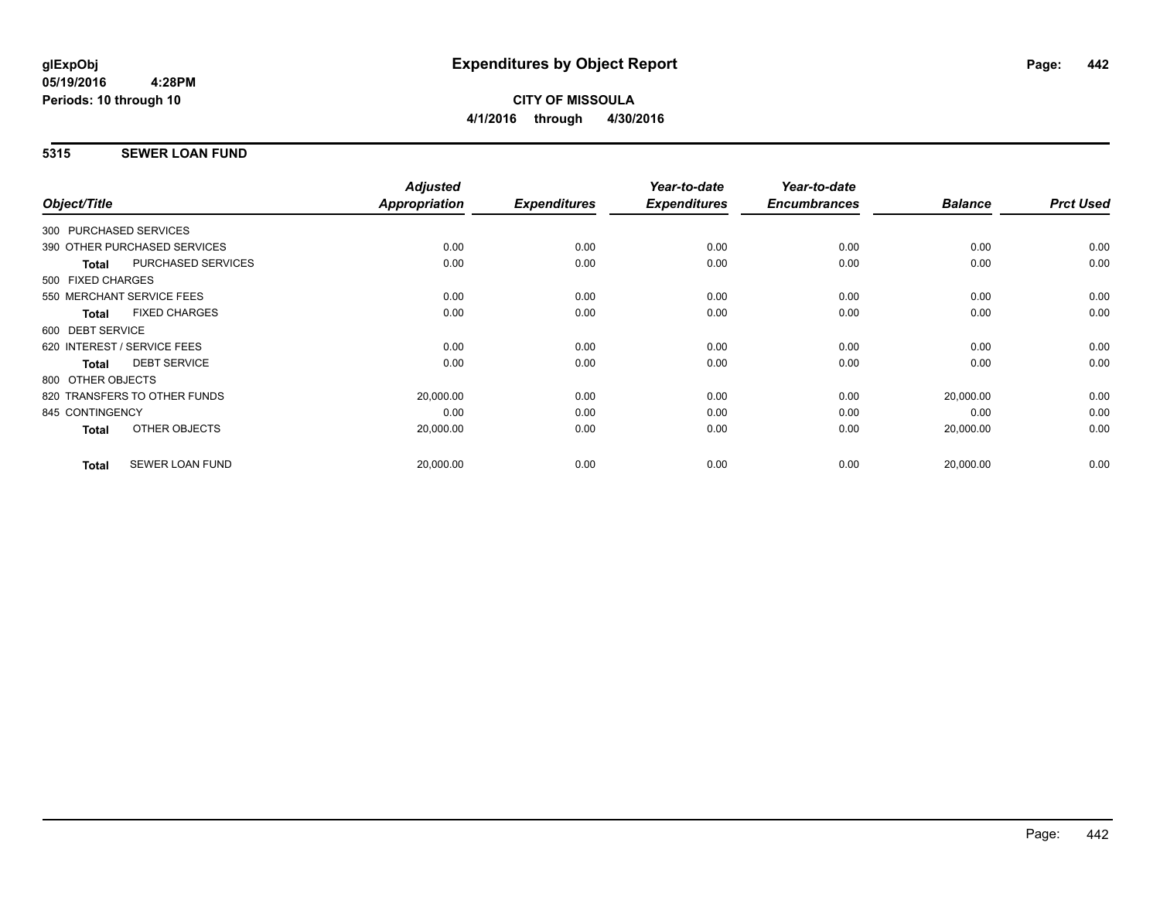## **5315 SEWER LOAN FUND**

| Object/Title     |                              | <b>Adjusted</b><br>Appropriation | <b>Expenditures</b> | Year-to-date<br><b>Expenditures</b> | Year-to-date<br><b>Encumbrances</b> | <b>Balance</b> | <b>Prct Used</b> |
|------------------|------------------------------|----------------------------------|---------------------|-------------------------------------|-------------------------------------|----------------|------------------|
|                  |                              |                                  |                     |                                     |                                     |                |                  |
|                  | 300 PURCHASED SERVICES       |                                  |                     |                                     |                                     |                |                  |
|                  | 390 OTHER PURCHASED SERVICES | 0.00                             | 0.00                | 0.00                                | 0.00                                | 0.00           | 0.00             |
| <b>Total</b>     | <b>PURCHASED SERVICES</b>    | 0.00                             | 0.00                | 0.00                                | 0.00                                | 0.00           | 0.00             |
|                  | 500 FIXED CHARGES            |                                  |                     |                                     |                                     |                |                  |
|                  | 550 MERCHANT SERVICE FEES    | 0.00                             | 0.00                | 0.00                                | 0.00                                | 0.00           | 0.00             |
| <b>Total</b>     | <b>FIXED CHARGES</b>         | 0.00                             | 0.00                | 0.00                                | 0.00                                | 0.00           | 0.00             |
| 600 DEBT SERVICE |                              |                                  |                     |                                     |                                     |                |                  |
|                  | 620 INTEREST / SERVICE FEES  | 0.00                             | 0.00                | 0.00                                | 0.00                                | 0.00           | 0.00             |
| <b>Total</b>     | <b>DEBT SERVICE</b>          | 0.00                             | 0.00                | 0.00                                | 0.00                                | 0.00           | 0.00             |
|                  | 800 OTHER OBJECTS            |                                  |                     |                                     |                                     |                |                  |
|                  | 820 TRANSFERS TO OTHER FUNDS | 20,000.00                        | 0.00                | 0.00                                | 0.00                                | 20,000.00      | 0.00             |
| 845 CONTINGENCY  |                              | 0.00                             | 0.00                | 0.00                                | 0.00                                | 0.00           | 0.00             |
| Total            | OTHER OBJECTS                | 20,000.00                        | 0.00                | 0.00                                | 0.00                                | 20,000.00      | 0.00             |
|                  |                              |                                  |                     |                                     |                                     |                |                  |
| <b>Total</b>     | <b>SEWER LOAN FUND</b>       | 20,000.00                        | 0.00                | 0.00                                | 0.00                                | 20,000.00      | 0.00             |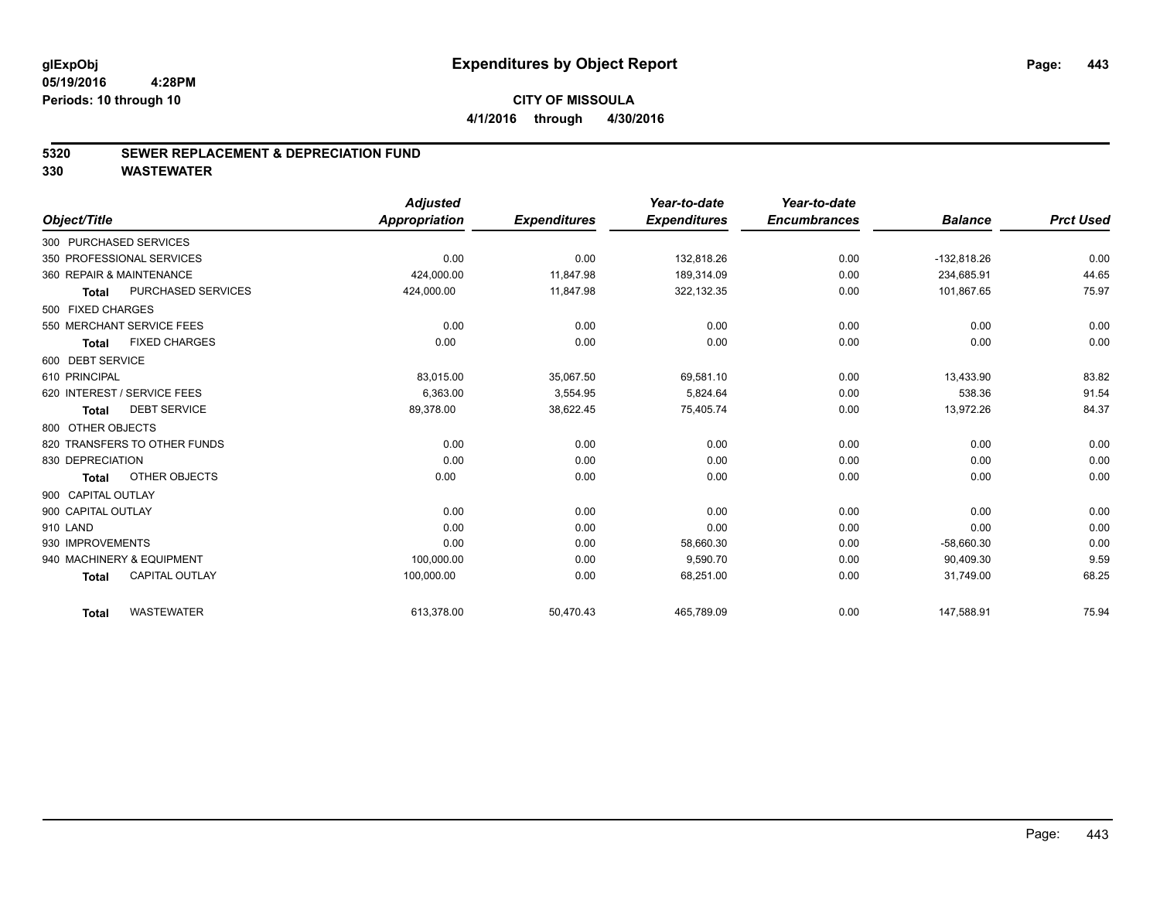#### **5320 SEWER REPLACEMENT & DEPRECIATION FUND**

|                                       | <b>Adjusted</b>      |                     | Year-to-date        | Year-to-date        |                |                  |
|---------------------------------------|----------------------|---------------------|---------------------|---------------------|----------------|------------------|
| Object/Title                          | <b>Appropriation</b> | <b>Expenditures</b> | <b>Expenditures</b> | <b>Encumbrances</b> | <b>Balance</b> | <b>Prct Used</b> |
| 300 PURCHASED SERVICES                |                      |                     |                     |                     |                |                  |
| 350 PROFESSIONAL SERVICES             | 0.00                 | 0.00                | 132,818.26          | 0.00                | $-132,818.26$  | 0.00             |
| 360 REPAIR & MAINTENANCE              | 424,000.00           | 11,847.98           | 189,314.09          | 0.00                | 234,685.91     | 44.65            |
| PURCHASED SERVICES<br><b>Total</b>    | 424,000.00           | 11,847.98           | 322,132.35          | 0.00                | 101,867.65     | 75.97            |
| 500 FIXED CHARGES                     |                      |                     |                     |                     |                |                  |
| 550 MERCHANT SERVICE FEES             | 0.00                 | 0.00                | 0.00                | 0.00                | 0.00           | 0.00             |
| <b>FIXED CHARGES</b><br><b>Total</b>  | 0.00                 | 0.00                | 0.00                | 0.00                | 0.00           | 0.00             |
| 600 DEBT SERVICE                      |                      |                     |                     |                     |                |                  |
| 610 PRINCIPAL                         | 83,015.00            | 35,067.50           | 69,581.10           | 0.00                | 13,433.90      | 83.82            |
| 620 INTEREST / SERVICE FEES           | 6,363.00             | 3,554.95            | 5,824.64            | 0.00                | 538.36         | 91.54            |
| <b>DEBT SERVICE</b><br><b>Total</b>   | 89,378.00            | 38,622.45           | 75,405.74           | 0.00                | 13,972.26      | 84.37            |
| 800 OTHER OBJECTS                     |                      |                     |                     |                     |                |                  |
| 820 TRANSFERS TO OTHER FUNDS          | 0.00                 | 0.00                | 0.00                | 0.00                | 0.00           | 0.00             |
| 830 DEPRECIATION                      | 0.00                 | 0.00                | 0.00                | 0.00                | 0.00           | 0.00             |
| OTHER OBJECTS<br><b>Total</b>         | 0.00                 | 0.00                | 0.00                | 0.00                | 0.00           | 0.00             |
| 900 CAPITAL OUTLAY                    |                      |                     |                     |                     |                |                  |
| 900 CAPITAL OUTLAY                    | 0.00                 | 0.00                | 0.00                | 0.00                | 0.00           | 0.00             |
| 910 LAND                              | 0.00                 | 0.00                | 0.00                | 0.00                | 0.00           | 0.00             |
| 930 IMPROVEMENTS                      | 0.00                 | 0.00                | 58,660.30           | 0.00                | $-58,660.30$   | 0.00             |
| 940 MACHINERY & EQUIPMENT             | 100,000.00           | 0.00                | 9,590.70            | 0.00                | 90,409.30      | 9.59             |
| <b>CAPITAL OUTLAY</b><br><b>Total</b> | 100,000.00           | 0.00                | 68,251.00           | 0.00                | 31,749.00      | 68.25            |
| <b>WASTEWATER</b><br><b>Total</b>     | 613.378.00           | 50.470.43           | 465.789.09          | 0.00                | 147,588.91     | 75.94            |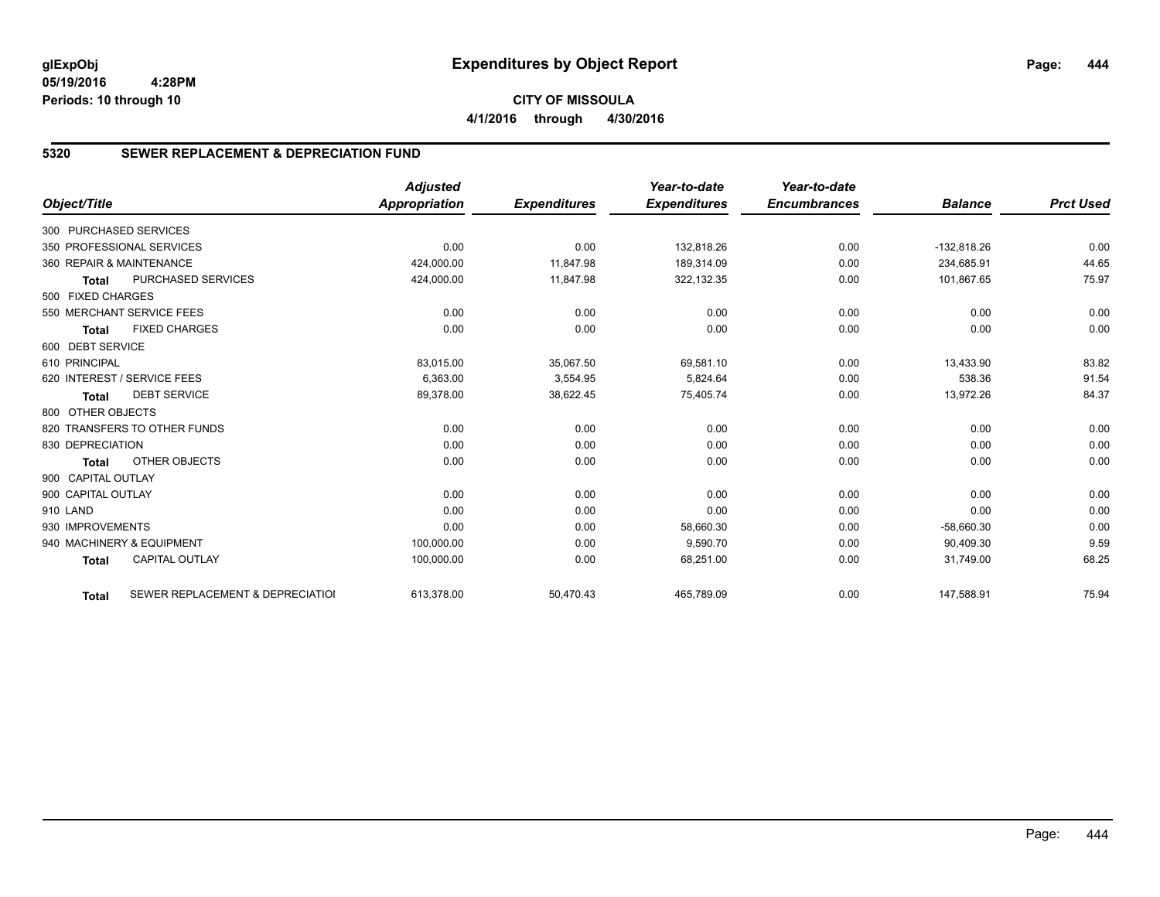# **CITY OF MISSOULA 4/1/2016 through 4/30/2016**

# **5320 SEWER REPLACEMENT & DEPRECIATION FUND**

|                        |                                  | <b>Adjusted</b>      |                     | Year-to-date        | Year-to-date        |                |                  |
|------------------------|----------------------------------|----------------------|---------------------|---------------------|---------------------|----------------|------------------|
| Object/Title           |                                  | <b>Appropriation</b> | <b>Expenditures</b> | <b>Expenditures</b> | <b>Encumbrances</b> | <b>Balance</b> | <b>Prct Used</b> |
| 300 PURCHASED SERVICES |                                  |                      |                     |                     |                     |                |                  |
|                        | 350 PROFESSIONAL SERVICES        | 0.00                 | 0.00                | 132,818.26          | 0.00                | $-132,818.26$  | 0.00             |
|                        | 360 REPAIR & MAINTENANCE         | 424,000.00           | 11,847.98           | 189,314.09          | 0.00                | 234,685.91     | 44.65            |
| <b>Total</b>           | <b>PURCHASED SERVICES</b>        | 424,000.00           | 11,847.98           | 322,132.35          | 0.00                | 101,867.65     | 75.97            |
| 500 FIXED CHARGES      |                                  |                      |                     |                     |                     |                |                  |
|                        | 550 MERCHANT SERVICE FEES        | 0.00                 | 0.00                | 0.00                | 0.00                | 0.00           | 0.00             |
| <b>Total</b>           | <b>FIXED CHARGES</b>             | 0.00                 | 0.00                | 0.00                | 0.00                | 0.00           | 0.00             |
| 600 DEBT SERVICE       |                                  |                      |                     |                     |                     |                |                  |
| 610 PRINCIPAL          |                                  | 83,015.00            | 35,067.50           | 69,581.10           | 0.00                | 13,433.90      | 83.82            |
|                        | 620 INTEREST / SERVICE FEES      | 6,363.00             | 3,554.95            | 5,824.64            | 0.00                | 538.36         | 91.54            |
| <b>Total</b>           | <b>DEBT SERVICE</b>              | 89,378.00            | 38,622.45           | 75,405.74           | 0.00                | 13,972.26      | 84.37            |
| 800 OTHER OBJECTS      |                                  |                      |                     |                     |                     |                |                  |
|                        | 820 TRANSFERS TO OTHER FUNDS     | 0.00                 | 0.00                | 0.00                | 0.00                | 0.00           | 0.00             |
| 830 DEPRECIATION       |                                  | 0.00                 | 0.00                | 0.00                | 0.00                | 0.00           | 0.00             |
| <b>Total</b>           | OTHER OBJECTS                    | 0.00                 | 0.00                | 0.00                | 0.00                | 0.00           | 0.00             |
| 900 CAPITAL OUTLAY     |                                  |                      |                     |                     |                     |                |                  |
| 900 CAPITAL OUTLAY     |                                  | 0.00                 | 0.00                | 0.00                | 0.00                | 0.00           | 0.00             |
| 910 LAND               |                                  | 0.00                 | 0.00                | 0.00                | 0.00                | 0.00           | 0.00             |
| 930 IMPROVEMENTS       |                                  | 0.00                 | 0.00                | 58,660.30           | 0.00                | $-58,660.30$   | 0.00             |
|                        | 940 MACHINERY & EQUIPMENT        | 100,000.00           | 0.00                | 9.590.70            | 0.00                | 90,409.30      | 9.59             |
| <b>Total</b>           | CAPITAL OUTLAY                   | 100,000.00           | 0.00                | 68,251.00           | 0.00                | 31,749.00      | 68.25            |
| <b>Total</b>           | SEWER REPLACEMENT & DEPRECIATION | 613,378.00           | 50,470.43           | 465,789.09          | 0.00                | 147,588.91     | 75.94            |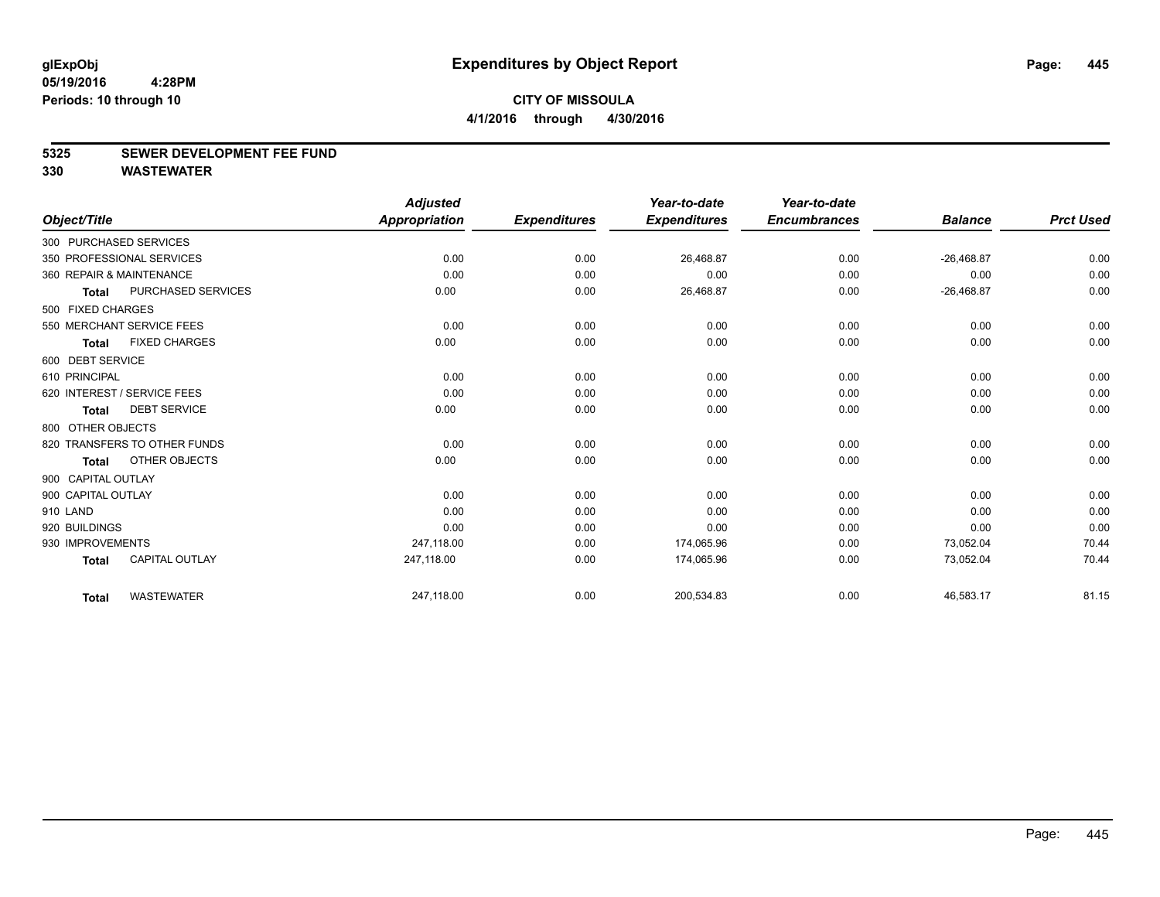#### **5325 SEWER DEVELOPMENT FEE FUND**

|                    |                              | <b>Adjusted</b>      |                     | Year-to-date        | Year-to-date        |                |                  |
|--------------------|------------------------------|----------------------|---------------------|---------------------|---------------------|----------------|------------------|
| Object/Title       |                              | <b>Appropriation</b> | <b>Expenditures</b> | <b>Expenditures</b> | <b>Encumbrances</b> | <b>Balance</b> | <b>Prct Used</b> |
|                    | 300 PURCHASED SERVICES       |                      |                     |                     |                     |                |                  |
|                    | 350 PROFESSIONAL SERVICES    | 0.00                 | 0.00                | 26,468.87           | 0.00                | $-26,468.87$   | 0.00             |
|                    | 360 REPAIR & MAINTENANCE     | 0.00                 | 0.00                | 0.00                | 0.00                | 0.00           | 0.00             |
| <b>Total</b>       | PURCHASED SERVICES           | 0.00                 | 0.00                | 26,468.87           | 0.00                | $-26,468.87$   | 0.00             |
| 500 FIXED CHARGES  |                              |                      |                     |                     |                     |                |                  |
|                    | 550 MERCHANT SERVICE FEES    | 0.00                 | 0.00                | 0.00                | 0.00                | 0.00           | 0.00             |
| <b>Total</b>       | <b>FIXED CHARGES</b>         | 0.00                 | 0.00                | 0.00                | 0.00                | 0.00           | 0.00             |
| 600 DEBT SERVICE   |                              |                      |                     |                     |                     |                |                  |
| 610 PRINCIPAL      |                              | 0.00                 | 0.00                | 0.00                | 0.00                | 0.00           | 0.00             |
|                    | 620 INTEREST / SERVICE FEES  | 0.00                 | 0.00                | 0.00                | 0.00                | 0.00           | 0.00             |
| <b>Total</b>       | <b>DEBT SERVICE</b>          | 0.00                 | 0.00                | 0.00                | 0.00                | 0.00           | 0.00             |
| 800 OTHER OBJECTS  |                              |                      |                     |                     |                     |                |                  |
|                    | 820 TRANSFERS TO OTHER FUNDS | 0.00                 | 0.00                | 0.00                | 0.00                | 0.00           | 0.00             |
| <b>Total</b>       | OTHER OBJECTS                | 0.00                 | 0.00                | 0.00                | 0.00                | 0.00           | 0.00             |
| 900 CAPITAL OUTLAY |                              |                      |                     |                     |                     |                |                  |
| 900 CAPITAL OUTLAY |                              | 0.00                 | 0.00                | 0.00                | 0.00                | 0.00           | 0.00             |
| 910 LAND           |                              | 0.00                 | 0.00                | 0.00                | 0.00                | 0.00           | 0.00             |
| 920 BUILDINGS      |                              | 0.00                 | 0.00                | 0.00                | 0.00                | 0.00           | 0.00             |
| 930 IMPROVEMENTS   |                              | 247,118.00           | 0.00                | 174,065.96          | 0.00                | 73,052.04      | 70.44            |
| <b>Total</b>       | <b>CAPITAL OUTLAY</b>        | 247,118.00           | 0.00                | 174,065.96          | 0.00                | 73,052.04      | 70.44            |
| <b>Total</b>       | <b>WASTEWATER</b>            | 247,118.00           | 0.00                | 200,534.83          | 0.00                | 46,583.17      | 81.15            |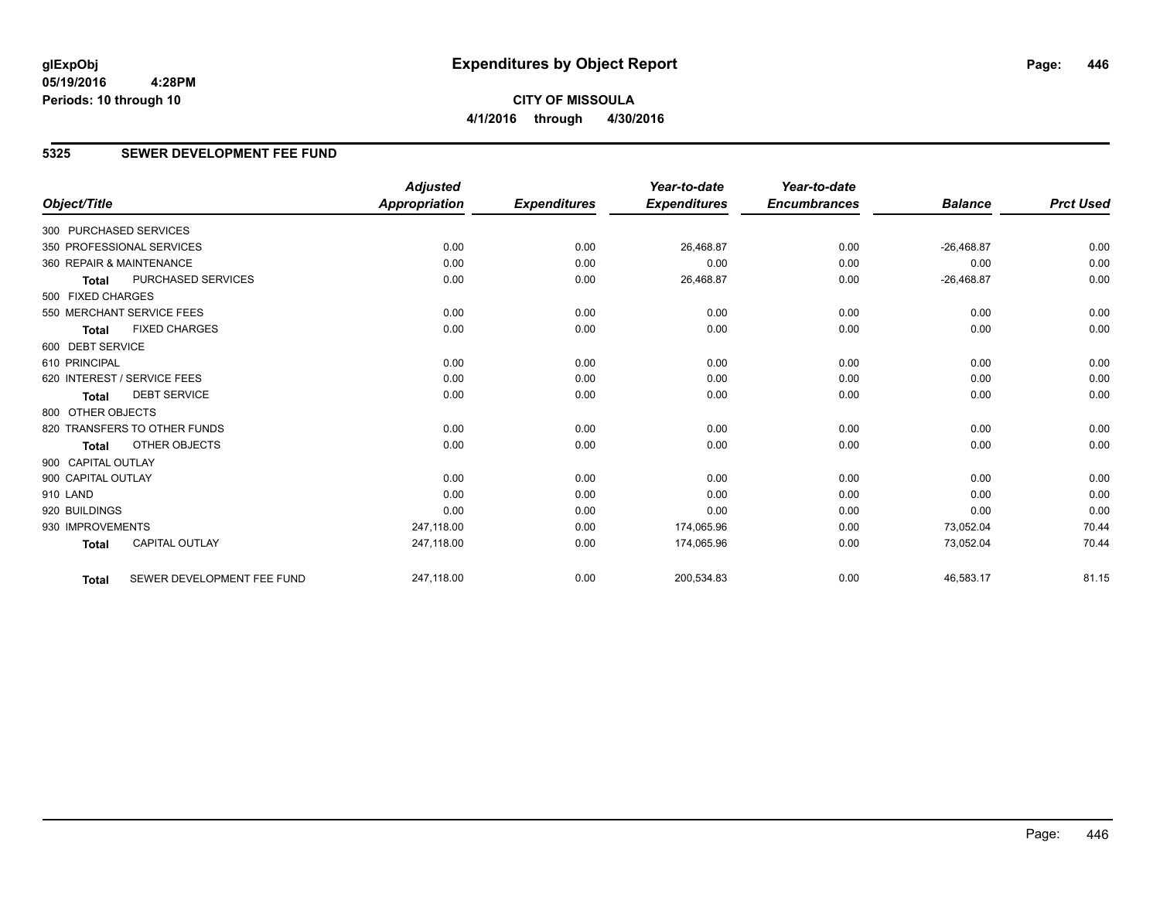# **CITY OF MISSOULA 4/1/2016 through 4/30/2016**

## **5325 SEWER DEVELOPMENT FEE FUND**

|                        |                              | <b>Adjusted</b>      |                     | Year-to-date        | Year-to-date        |                |                  |
|------------------------|------------------------------|----------------------|---------------------|---------------------|---------------------|----------------|------------------|
| Object/Title           |                              | <b>Appropriation</b> | <b>Expenditures</b> | <b>Expenditures</b> | <b>Encumbrances</b> | <b>Balance</b> | <b>Prct Used</b> |
| 300 PURCHASED SERVICES |                              |                      |                     |                     |                     |                |                  |
|                        | 350 PROFESSIONAL SERVICES    | 0.00                 | 0.00                | 26,468.87           | 0.00                | $-26,468.87$   | 0.00             |
|                        | 360 REPAIR & MAINTENANCE     | 0.00                 | 0.00                | 0.00                | 0.00                | 0.00           | 0.00             |
| <b>Total</b>           | PURCHASED SERVICES           | 0.00                 | 0.00                | 26,468.87           | 0.00                | $-26,468.87$   | 0.00             |
| 500 FIXED CHARGES      |                              |                      |                     |                     |                     |                |                  |
|                        | 550 MERCHANT SERVICE FEES    | 0.00                 | 0.00                | 0.00                | 0.00                | 0.00           | 0.00             |
| <b>Total</b>           | <b>FIXED CHARGES</b>         | 0.00                 | 0.00                | 0.00                | 0.00                | 0.00           | 0.00             |
| 600 DEBT SERVICE       |                              |                      |                     |                     |                     |                |                  |
| 610 PRINCIPAL          |                              | 0.00                 | 0.00                | 0.00                | 0.00                | 0.00           | 0.00             |
|                        | 620 INTEREST / SERVICE FEES  | 0.00                 | 0.00                | 0.00                | 0.00                | 0.00           | 0.00             |
| <b>Total</b>           | <b>DEBT SERVICE</b>          | 0.00                 | 0.00                | 0.00                | 0.00                | 0.00           | 0.00             |
| 800 OTHER OBJECTS      |                              |                      |                     |                     |                     |                |                  |
|                        | 820 TRANSFERS TO OTHER FUNDS | 0.00                 | 0.00                | 0.00                | 0.00                | 0.00           | 0.00             |
| <b>Total</b>           | OTHER OBJECTS                | 0.00                 | 0.00                | 0.00                | 0.00                | 0.00           | 0.00             |
| 900 CAPITAL OUTLAY     |                              |                      |                     |                     |                     |                |                  |
| 900 CAPITAL OUTLAY     |                              | 0.00                 | 0.00                | 0.00                | 0.00                | 0.00           | 0.00             |
| 910 LAND               |                              | 0.00                 | 0.00                | 0.00                | 0.00                | 0.00           | 0.00             |
| 920 BUILDINGS          |                              | 0.00                 | 0.00                | 0.00                | 0.00                | 0.00           | 0.00             |
| 930 IMPROVEMENTS       |                              | 247,118.00           | 0.00                | 174,065.96          | 0.00                | 73,052.04      | 70.44            |
| <b>Total</b>           | <b>CAPITAL OUTLAY</b>        | 247,118.00           | 0.00                | 174,065.96          | 0.00                | 73,052.04      | 70.44            |
| <b>Total</b>           | SEWER DEVELOPMENT FEE FUND   | 247,118.00           | 0.00                | 200,534.83          | 0.00                | 46,583.17      | 81.15            |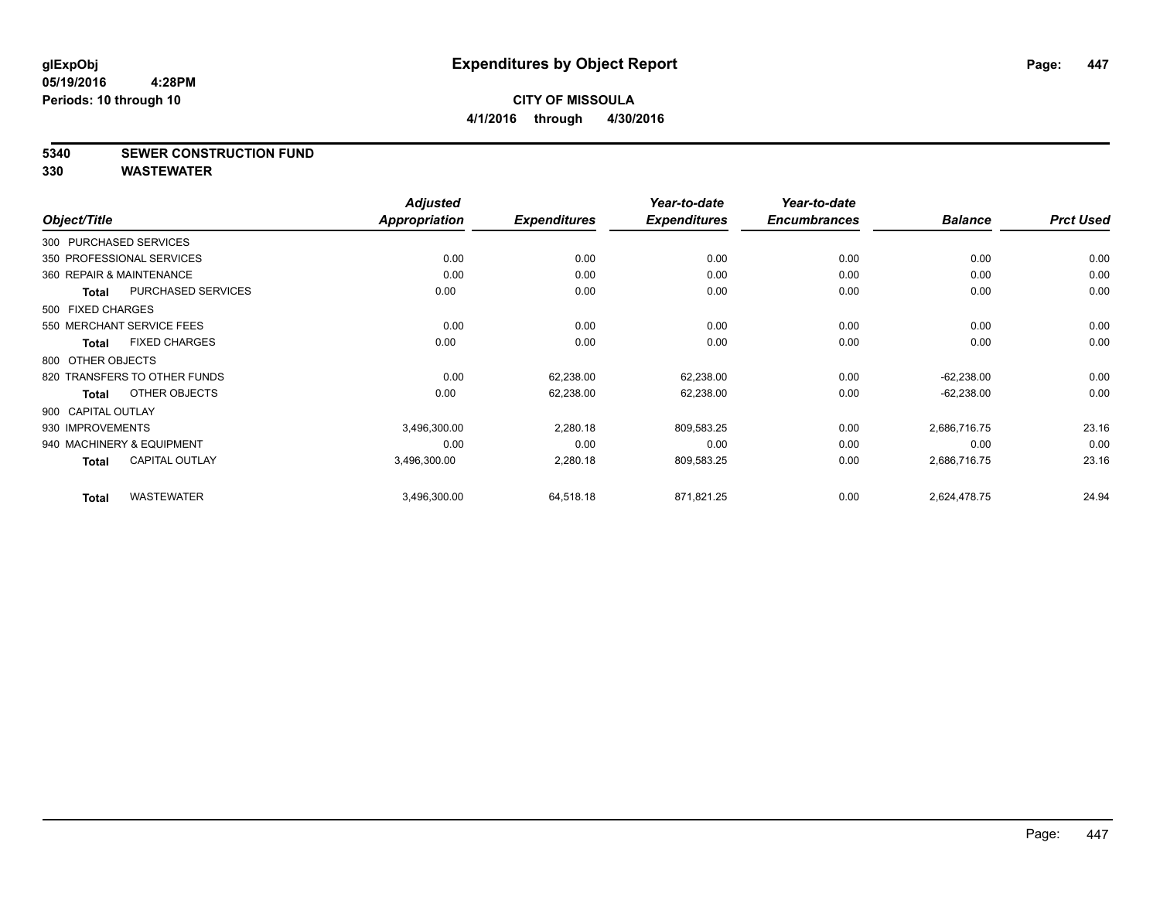#### **5340 SEWER CONSTRUCTION FUND**

| Object/Title           |                              | <b>Adjusted</b><br><b>Appropriation</b> | <b>Expenditures</b> | Year-to-date<br><b>Expenditures</b> | Year-to-date<br><b>Encumbrances</b> | <b>Balance</b> | <b>Prct Used</b> |
|------------------------|------------------------------|-----------------------------------------|---------------------|-------------------------------------|-------------------------------------|----------------|------------------|
| 300 PURCHASED SERVICES |                              |                                         |                     |                                     |                                     |                |                  |
|                        | 350 PROFESSIONAL SERVICES    | 0.00                                    | 0.00                | 0.00                                | 0.00                                | 0.00           | 0.00             |
|                        | 360 REPAIR & MAINTENANCE     | 0.00                                    | 0.00                | 0.00                                | 0.00                                | 0.00           | 0.00             |
| Total                  | <b>PURCHASED SERVICES</b>    | 0.00                                    | 0.00                | 0.00                                | 0.00                                | 0.00           | 0.00             |
| 500 FIXED CHARGES      |                              |                                         |                     |                                     |                                     |                |                  |
|                        | 550 MERCHANT SERVICE FEES    | 0.00                                    | 0.00                | 0.00                                | 0.00                                | 0.00           | 0.00             |
| <b>Total</b>           | <b>FIXED CHARGES</b>         | 0.00                                    | 0.00                | 0.00                                | 0.00                                | 0.00           | 0.00             |
| 800 OTHER OBJECTS      |                              |                                         |                     |                                     |                                     |                |                  |
|                        | 820 TRANSFERS TO OTHER FUNDS | 0.00                                    | 62,238.00           | 62,238.00                           | 0.00                                | $-62,238.00$   | 0.00             |
| <b>Total</b>           | OTHER OBJECTS                | 0.00                                    | 62,238.00           | 62,238.00                           | 0.00                                | $-62,238.00$   | 0.00             |
| 900 CAPITAL OUTLAY     |                              |                                         |                     |                                     |                                     |                |                  |
| 930 IMPROVEMENTS       |                              | 3,496,300.00                            | 2,280.18            | 809,583.25                          | 0.00                                | 2,686,716.75   | 23.16            |
|                        | 940 MACHINERY & EQUIPMENT    | 0.00                                    | 0.00                | 0.00                                | 0.00                                | 0.00           | 0.00             |
| <b>Total</b>           | <b>CAPITAL OUTLAY</b>        | 3,496,300.00                            | 2,280.18            | 809,583.25                          | 0.00                                | 2,686,716.75   | 23.16            |
| <b>Total</b>           | <b>WASTEWATER</b>            | 3,496,300.00                            | 64,518.18           | 871,821.25                          | 0.00                                | 2,624,478.75   | 24.94            |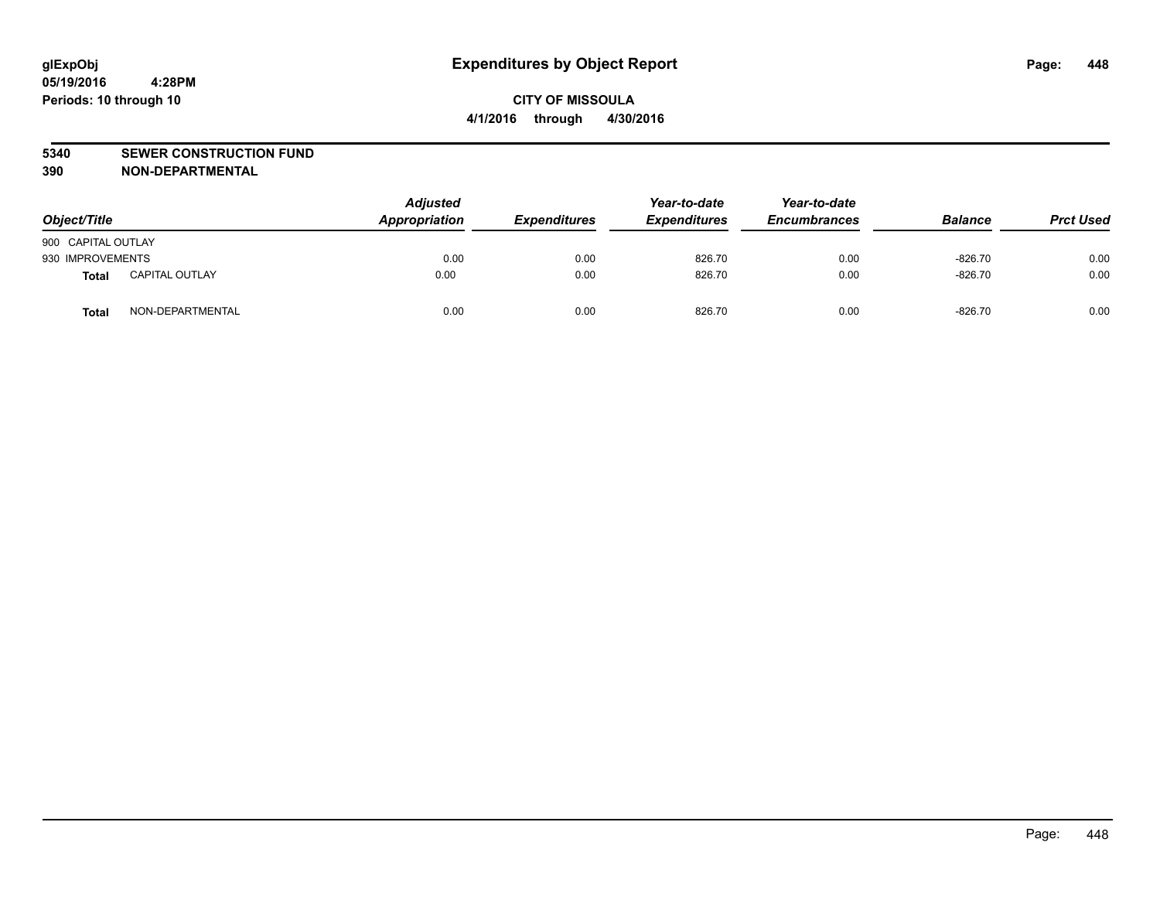#### **5340 SEWER CONSTRUCTION FUND**

**390 NON-DEPARTMENTAL**

| Object/Title       |                       | <b>Adjusted</b><br>Appropriation | <b>Expenditures</b> | Year-to-date<br><b>Expenditures</b> | Year-to-date<br><b>Encumbrances</b> | <b>Balance</b> | <b>Prct Used</b> |
|--------------------|-----------------------|----------------------------------|---------------------|-------------------------------------|-------------------------------------|----------------|------------------|
| 900 CAPITAL OUTLAY |                       |                                  |                     |                                     |                                     |                |                  |
| 930 IMPROVEMENTS   |                       | 0.00                             | 0.00                | 826.70                              | 0.00                                | $-826.70$      | 0.00             |
| <b>Total</b>       | <b>CAPITAL OUTLAY</b> | 0.00                             | 0.00                | 826.70                              | 0.00                                | $-826.70$      | 0.00             |
| Total              | NON-DEPARTMENTAL      | 0.00                             | 0.00                | 826.70                              | 0.00                                | $-826.70$      | 0.00             |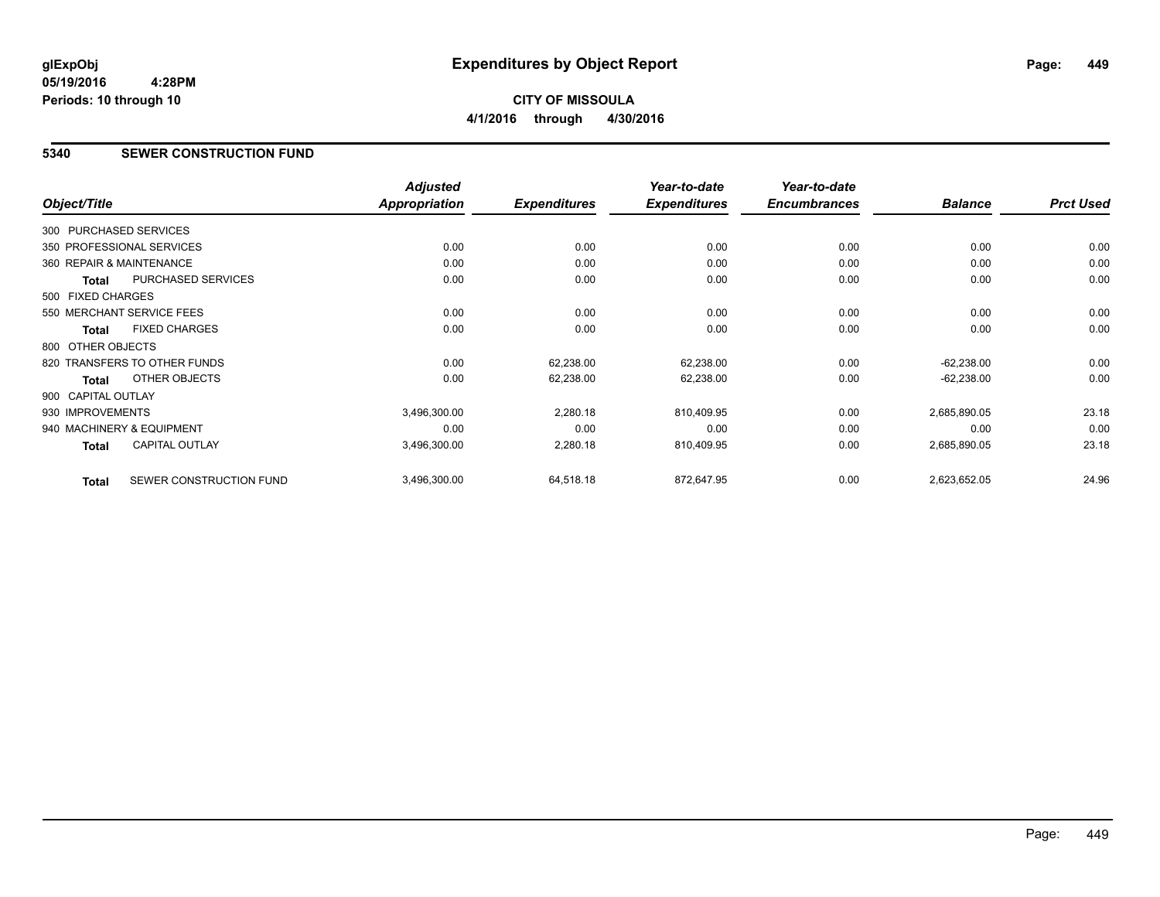# **CITY OF MISSOULA 4/1/2016 through 4/30/2016**

#### **5340 SEWER CONSTRUCTION FUND**

|                    |                              | <b>Adjusted</b>      |                     | Year-to-date        | Year-to-date        |                |                  |
|--------------------|------------------------------|----------------------|---------------------|---------------------|---------------------|----------------|------------------|
| Object/Title       |                              | <b>Appropriation</b> | <b>Expenditures</b> | <b>Expenditures</b> | <b>Encumbrances</b> | <b>Balance</b> | <b>Prct Used</b> |
|                    | 300 PURCHASED SERVICES       |                      |                     |                     |                     |                |                  |
|                    | 350 PROFESSIONAL SERVICES    | 0.00                 | 0.00                | 0.00                | 0.00                | 0.00           | 0.00             |
|                    | 360 REPAIR & MAINTENANCE     | 0.00                 | 0.00                | 0.00                | 0.00                | 0.00           | 0.00             |
| <b>Total</b>       | PURCHASED SERVICES           | 0.00                 | 0.00                | 0.00                | 0.00                | 0.00           | 0.00             |
| 500 FIXED CHARGES  |                              |                      |                     |                     |                     |                |                  |
|                    | 550 MERCHANT SERVICE FEES    | 0.00                 | 0.00                | 0.00                | 0.00                | 0.00           | 0.00             |
| Total              | <b>FIXED CHARGES</b>         | 0.00                 | 0.00                | 0.00                | 0.00                | 0.00           | 0.00             |
| 800 OTHER OBJECTS  |                              |                      |                     |                     |                     |                |                  |
|                    | 820 TRANSFERS TO OTHER FUNDS | 0.00                 | 62,238.00           | 62,238.00           | 0.00                | $-62,238.00$   | 0.00             |
| Total              | OTHER OBJECTS                | 0.00                 | 62,238.00           | 62,238.00           | 0.00                | $-62,238.00$   | 0.00             |
| 900 CAPITAL OUTLAY |                              |                      |                     |                     |                     |                |                  |
| 930 IMPROVEMENTS   |                              | 3,496,300.00         | 2,280.18            | 810,409.95          | 0.00                | 2,685,890.05   | 23.18            |
|                    | 940 MACHINERY & EQUIPMENT    | 0.00                 | 0.00                | 0.00                | 0.00                | 0.00           | 0.00             |
| <b>Total</b>       | <b>CAPITAL OUTLAY</b>        | 3,496,300.00         | 2,280.18            | 810,409.95          | 0.00                | 2,685,890.05   | 23.18            |
| <b>Total</b>       | SEWER CONSTRUCTION FUND      | 3,496,300.00         | 64,518.18           | 872,647.95          | 0.00                | 2,623,652.05   | 24.96            |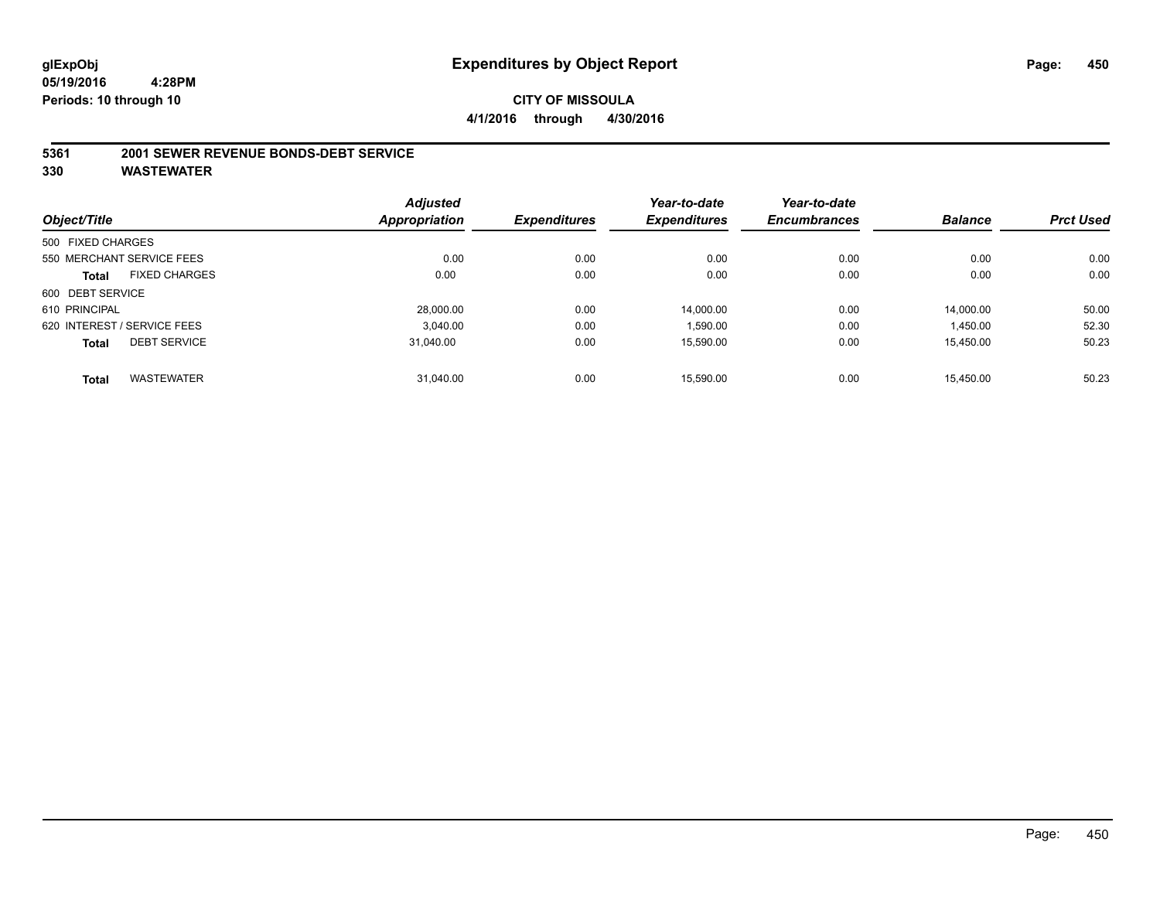#### **5361 2001 SEWER REVENUE BONDS-DEBT SERVICE**

|                   |                             | <b>Adjusted</b> |                     | Year-to-date        | Year-to-date        |                |                  |
|-------------------|-----------------------------|-----------------|---------------------|---------------------|---------------------|----------------|------------------|
| Object/Title      |                             | Appropriation   | <b>Expenditures</b> | <b>Expenditures</b> | <b>Encumbrances</b> | <b>Balance</b> | <b>Prct Used</b> |
| 500 FIXED CHARGES |                             |                 |                     |                     |                     |                |                  |
|                   | 550 MERCHANT SERVICE FEES   | 0.00            | 0.00                | 0.00                | 0.00                | 0.00           | 0.00             |
| <b>Total</b>      | <b>FIXED CHARGES</b>        | 0.00            | 0.00                | 0.00                | 0.00                | 0.00           | 0.00             |
| 600 DEBT SERVICE  |                             |                 |                     |                     |                     |                |                  |
| 610 PRINCIPAL     |                             | 28,000.00       | 0.00                | 14.000.00           | 0.00                | 14.000.00      | 50.00            |
|                   | 620 INTEREST / SERVICE FEES | 3.040.00        | 0.00                | 1,590.00            | 0.00                | 1,450.00       | 52.30            |
| <b>Total</b>      | <b>DEBT SERVICE</b>         | 31.040.00       | 0.00                | 15,590.00           | 0.00                | 15,450.00      | 50.23            |
| <b>Total</b>      | <b>WASTEWATER</b>           | 31.040.00       | 0.00                | 15.590.00           | 0.00                | 15.450.00      | 50.23            |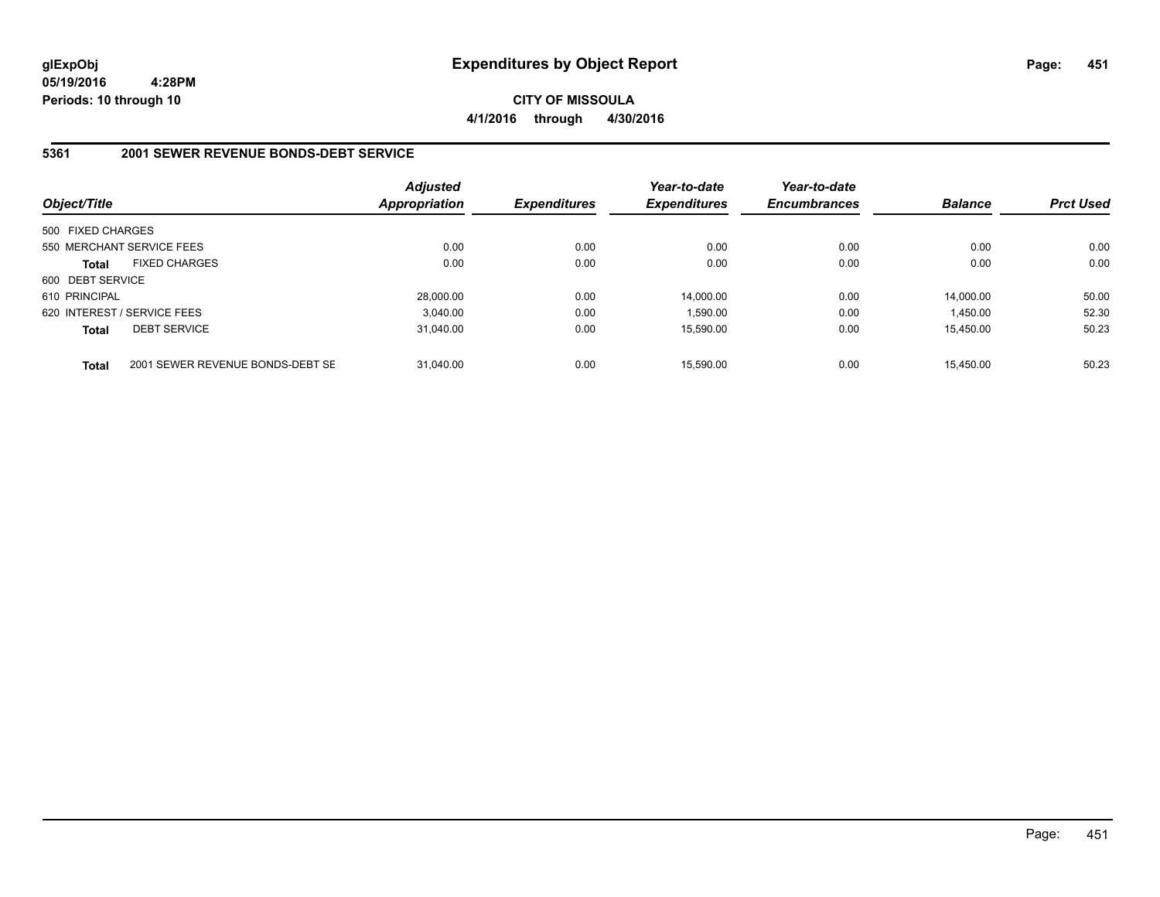## **CITY OF MISSOULA 4/1/2016 through 4/30/2016**

## **5361 2001 SEWER REVENUE BONDS-DEBT SERVICE**

| Object/Title      |                                  | <b>Adjusted</b><br><b>Appropriation</b> | <b>Expenditures</b> | Year-to-date<br><b>Expenditures</b> | Year-to-date<br><b>Encumbrances</b> | <b>Balance</b> | <b>Prct Used</b> |
|-------------------|----------------------------------|-----------------------------------------|---------------------|-------------------------------------|-------------------------------------|----------------|------------------|
| 500 FIXED CHARGES |                                  |                                         |                     |                                     |                                     |                |                  |
|                   | 550 MERCHANT SERVICE FEES        | 0.00                                    | 0.00                | 0.00                                | 0.00                                | 0.00           | 0.00             |
| <b>Total</b>      | <b>FIXED CHARGES</b>             | 0.00                                    | 0.00                | 0.00                                | 0.00                                | 0.00           | 0.00             |
| 600 DEBT SERVICE  |                                  |                                         |                     |                                     |                                     |                |                  |
| 610 PRINCIPAL     |                                  | 28,000.00                               | 0.00                | 14.000.00                           | 0.00                                | 14.000.00      | 50.00            |
|                   | 620 INTEREST / SERVICE FEES      | 3.040.00                                | 0.00                | 1.590.00                            | 0.00                                | 1.450.00       | 52.30            |
| <b>Total</b>      | <b>DEBT SERVICE</b>              | 31.040.00                               | 0.00                | 15.590.00                           | 0.00                                | 15.450.00      | 50.23            |
| <b>Total</b>      | 2001 SEWER REVENUE BONDS-DEBT SE | 31.040.00                               | 0.00                | 15.590.00                           | 0.00                                | 15.450.00      | 50.23            |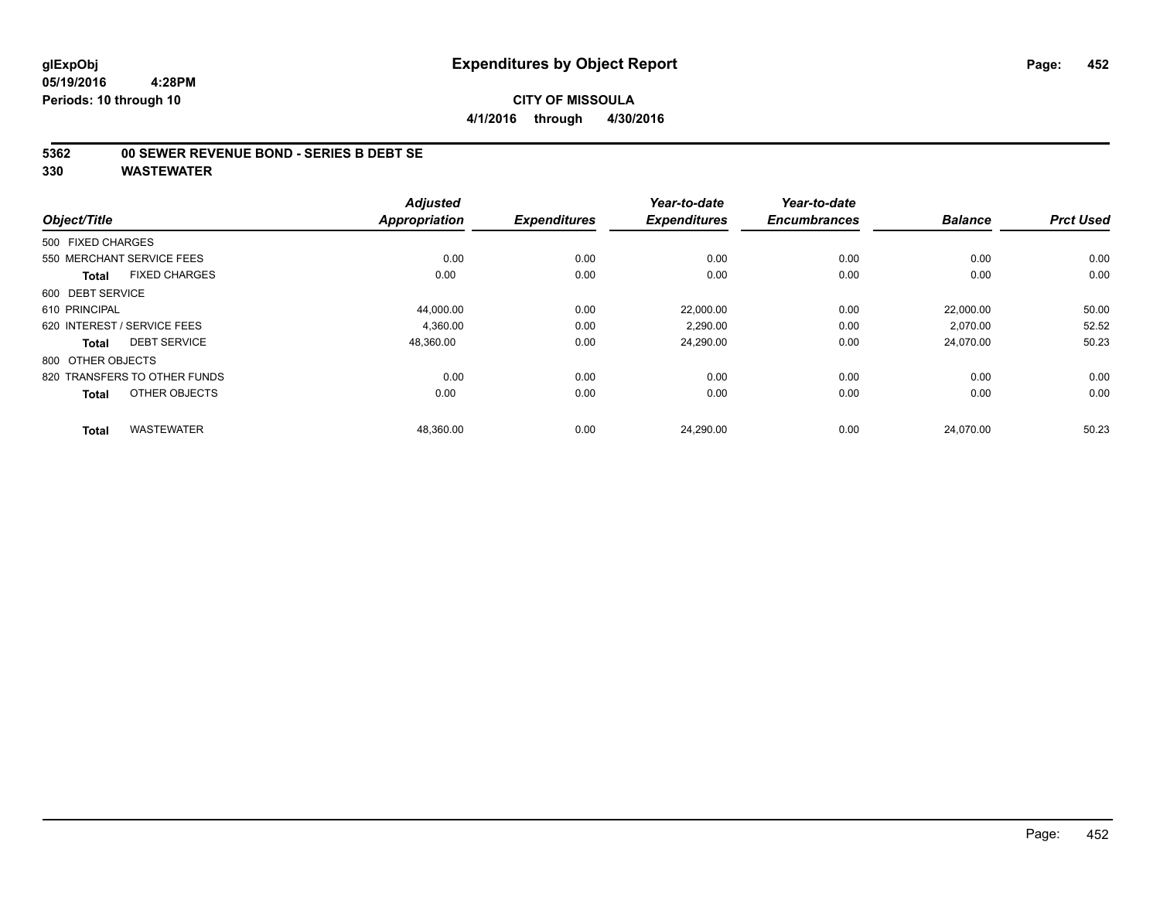## **CITY OF MISSOULA 4/1/2016 through 4/30/2016**

## **5362 00 SEWER REVENUE BOND - SERIES B DEBT SE**

| Object/Title                         | <b>Adjusted</b><br><b>Appropriation</b> | <b>Expenditures</b> | Year-to-date<br><b>Expenditures</b> | Year-to-date<br><b>Encumbrances</b> | <b>Balance</b> | <b>Prct Used</b> |
|--------------------------------------|-----------------------------------------|---------------------|-------------------------------------|-------------------------------------|----------------|------------------|
|                                      |                                         |                     |                                     |                                     |                |                  |
| 500 FIXED CHARGES                    |                                         |                     |                                     |                                     |                |                  |
| 550 MERCHANT SERVICE FEES            | 0.00                                    | 0.00                | 0.00                                | 0.00                                | 0.00           | 0.00             |
| <b>FIXED CHARGES</b><br><b>Total</b> | 0.00                                    | 0.00                | 0.00                                | 0.00                                | 0.00           | 0.00             |
| 600 DEBT SERVICE                     |                                         |                     |                                     |                                     |                |                  |
| 610 PRINCIPAL                        | 44,000.00                               | 0.00                | 22,000.00                           | 0.00                                | 22,000.00      | 50.00            |
| 620 INTEREST / SERVICE FEES          | 4.360.00                                | 0.00                | 2.290.00                            | 0.00                                | 2,070.00       | 52.52            |
| <b>DEBT SERVICE</b><br><b>Total</b>  | 48,360.00                               | 0.00                | 24,290.00                           | 0.00                                | 24,070.00      | 50.23            |
| 800 OTHER OBJECTS                    |                                         |                     |                                     |                                     |                |                  |
| 820 TRANSFERS TO OTHER FUNDS         | 0.00                                    | 0.00                | 0.00                                | 0.00                                | 0.00           | 0.00             |
| OTHER OBJECTS<br><b>Total</b>        | 0.00                                    | 0.00                | 0.00                                | 0.00                                | 0.00           | 0.00             |
| <b>WASTEWATER</b><br><b>Total</b>    | 48,360.00                               | 0.00                | 24.290.00                           | 0.00                                | 24.070.00      | 50.23            |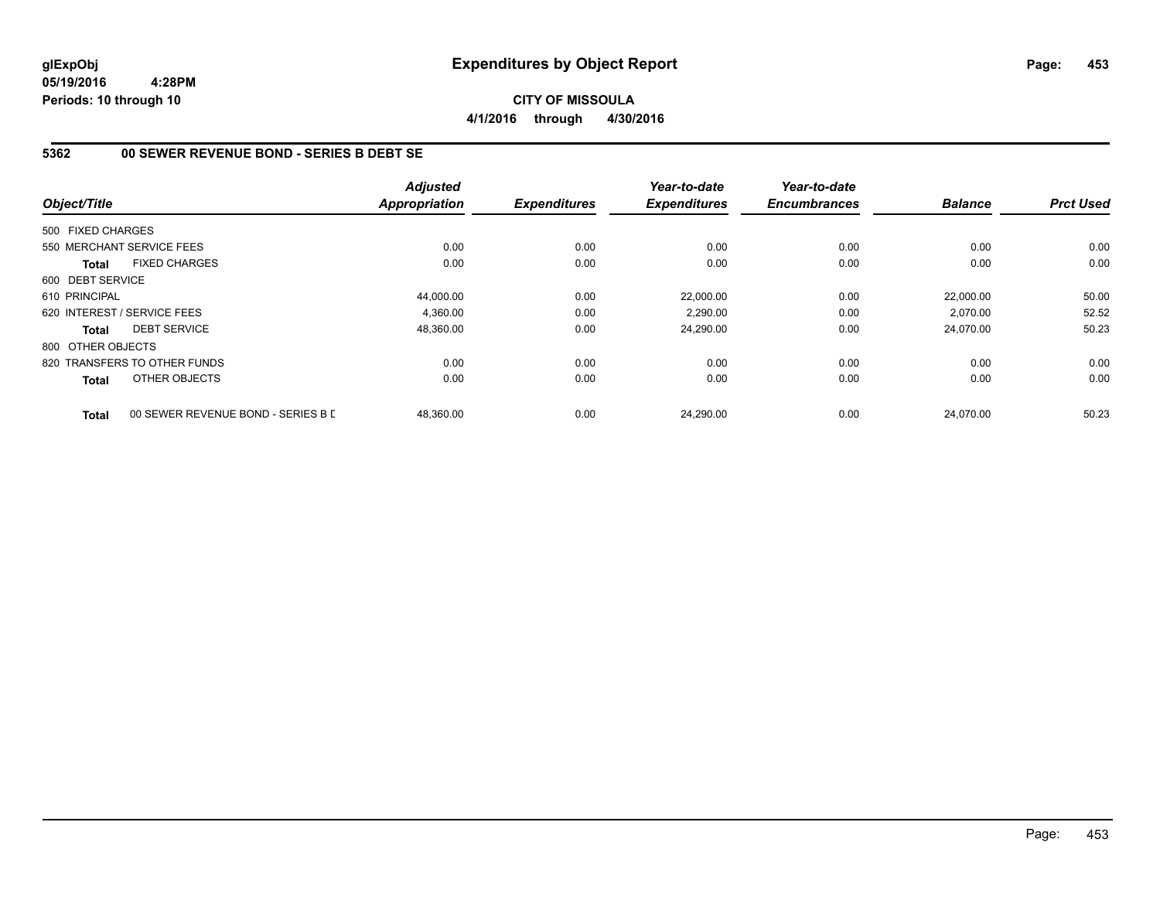## **CITY OF MISSOULA 4/1/2016 through 4/30/2016**

# **5362 00 SEWER REVENUE BOND - SERIES B DEBT SE**

|                   |                                    | <b>Adjusted</b> |                     | Year-to-date        | Year-to-date        |                |                  |
|-------------------|------------------------------------|-----------------|---------------------|---------------------|---------------------|----------------|------------------|
| Object/Title      |                                    | Appropriation   | <b>Expenditures</b> | <b>Expenditures</b> | <b>Encumbrances</b> | <b>Balance</b> | <b>Prct Used</b> |
| 500 FIXED CHARGES |                                    |                 |                     |                     |                     |                |                  |
|                   | 550 MERCHANT SERVICE FEES          | 0.00            | 0.00                | 0.00                | 0.00                | 0.00           | 0.00             |
| <b>Total</b>      | <b>FIXED CHARGES</b>               | 0.00            | 0.00                | 0.00                | 0.00                | 0.00           | 0.00             |
| 600 DEBT SERVICE  |                                    |                 |                     |                     |                     |                |                  |
| 610 PRINCIPAL     |                                    | 44,000.00       | 0.00                | 22.000.00           | 0.00                | 22,000.00      | 50.00            |
|                   | 620 INTEREST / SERVICE FEES        | 4.360.00        | 0.00                | 2,290.00            | 0.00                | 2.070.00       | 52.52            |
| <b>Total</b>      | <b>DEBT SERVICE</b>                | 48,360.00       | 0.00                | 24,290.00           | 0.00                | 24,070.00      | 50.23            |
| 800 OTHER OBJECTS |                                    |                 |                     |                     |                     |                |                  |
|                   | 820 TRANSFERS TO OTHER FUNDS       | 0.00            | 0.00                | 0.00                | 0.00                | 0.00           | 0.00             |
| <b>Total</b>      | OTHER OBJECTS                      | 0.00            | 0.00                | 0.00                | 0.00                | 0.00           | 0.00             |
| <b>Total</b>      | 00 SEWER REVENUE BOND - SERIES B L | 48.360.00       | 0.00                | 24,290.00           | 0.00                | 24.070.00      | 50.23            |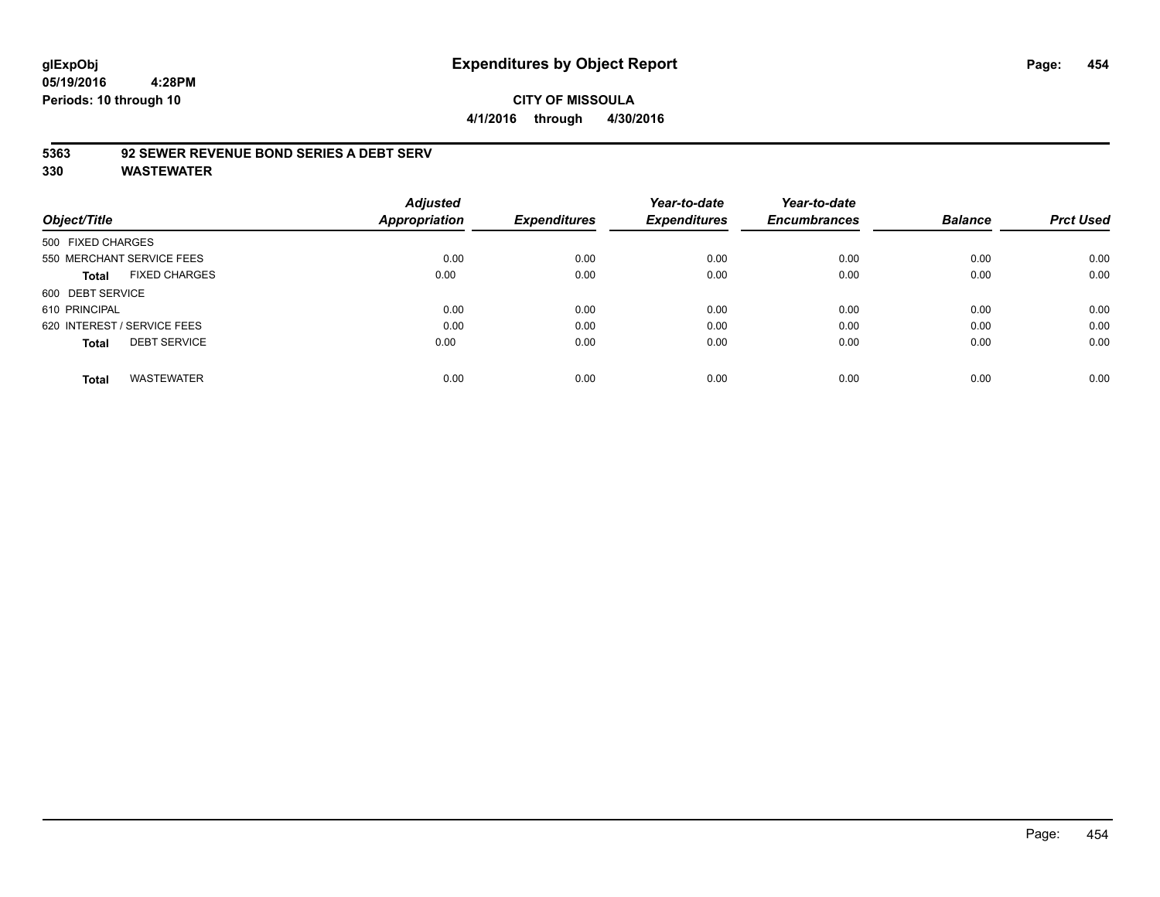## **CITY OF MISSOULA 4/1/2016 through 4/30/2016**

## **5363 92 SEWER REVENUE BOND SERIES A DEBT SERV**

| Object/Title                         | <b>Adjusted</b><br>Appropriation | <b>Expenditures</b> | Year-to-date<br><b>Expenditures</b> | Year-to-date<br><b>Encumbrances</b> | <b>Balance</b> | <b>Prct Used</b> |
|--------------------------------------|----------------------------------|---------------------|-------------------------------------|-------------------------------------|----------------|------------------|
|                                      |                                  |                     |                                     |                                     |                |                  |
| 500 FIXED CHARGES                    |                                  |                     |                                     |                                     |                |                  |
| 550 MERCHANT SERVICE FEES            | 0.00                             | 0.00                | 0.00                                | 0.00                                | 0.00           | 0.00             |
| <b>FIXED CHARGES</b><br><b>Total</b> | 0.00                             | 0.00                | 0.00                                | 0.00                                | 0.00           | 0.00             |
| 600 DEBT SERVICE                     |                                  |                     |                                     |                                     |                |                  |
| 610 PRINCIPAL                        | 0.00                             | 0.00                | 0.00                                | 0.00                                | 0.00           | 0.00             |
| 620 INTEREST / SERVICE FEES          | 0.00                             | 0.00                | 0.00                                | 0.00                                | 0.00           | 0.00             |
| <b>DEBT SERVICE</b><br><b>Total</b>  | 0.00                             | 0.00                | 0.00                                | 0.00                                | 0.00           | 0.00             |
| <b>WASTEWATER</b><br><b>Total</b>    | 0.00                             | 0.00                | 0.00                                | 0.00                                | 0.00           | 0.00             |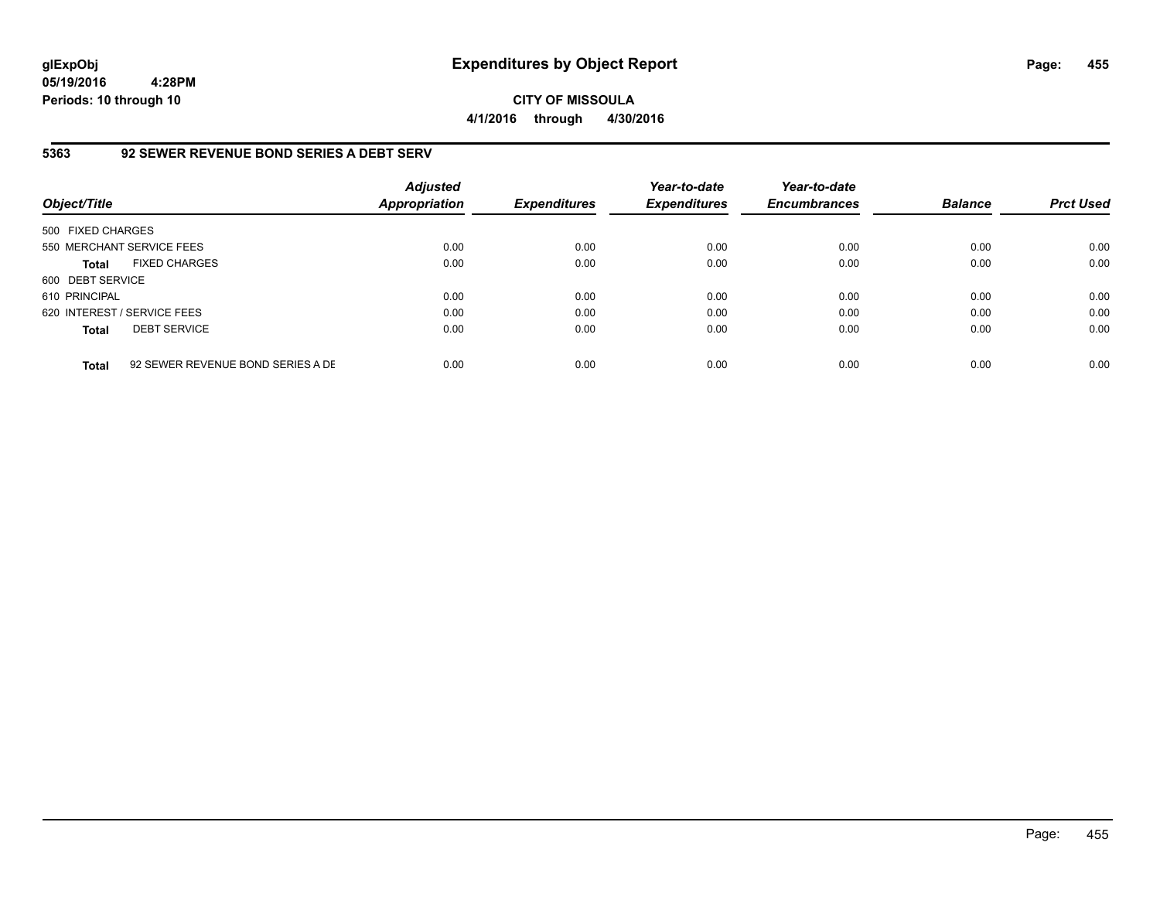**CITY OF MISSOULA 4/1/2016 through 4/30/2016**

## **5363 92 SEWER REVENUE BOND SERIES A DEBT SERV**

| Object/Title                |                                   | <b>Adjusted</b><br>Appropriation | <b>Expenditures</b> | Year-to-date<br><b>Expenditures</b> | Year-to-date<br><b>Encumbrances</b> | <b>Balance</b> | <b>Prct Used</b> |
|-----------------------------|-----------------------------------|----------------------------------|---------------------|-------------------------------------|-------------------------------------|----------------|------------------|
| 500 FIXED CHARGES           |                                   |                                  |                     |                                     |                                     |                |                  |
| 550 MERCHANT SERVICE FEES   |                                   | 0.00                             | 0.00                | 0.00                                | 0.00                                | 0.00           | 0.00             |
| <b>Total</b>                | <b>FIXED CHARGES</b>              | 0.00                             | 0.00                | 0.00                                | 0.00                                | 0.00           | 0.00             |
| 600 DEBT SERVICE            |                                   |                                  |                     |                                     |                                     |                |                  |
| 610 PRINCIPAL               |                                   | 0.00                             | 0.00                | 0.00                                | 0.00                                | 0.00           | 0.00             |
| 620 INTEREST / SERVICE FEES |                                   | 0.00                             | 0.00                | 0.00                                | 0.00                                | 0.00           | 0.00             |
| <b>Total</b>                | <b>DEBT SERVICE</b>               | 0.00                             | 0.00                | 0.00                                | 0.00                                | 0.00           | 0.00             |
| <b>Total</b>                | 92 SEWER REVENUE BOND SERIES A DE | 0.00                             | 0.00                | 0.00                                | 0.00                                | 0.00           | 0.00             |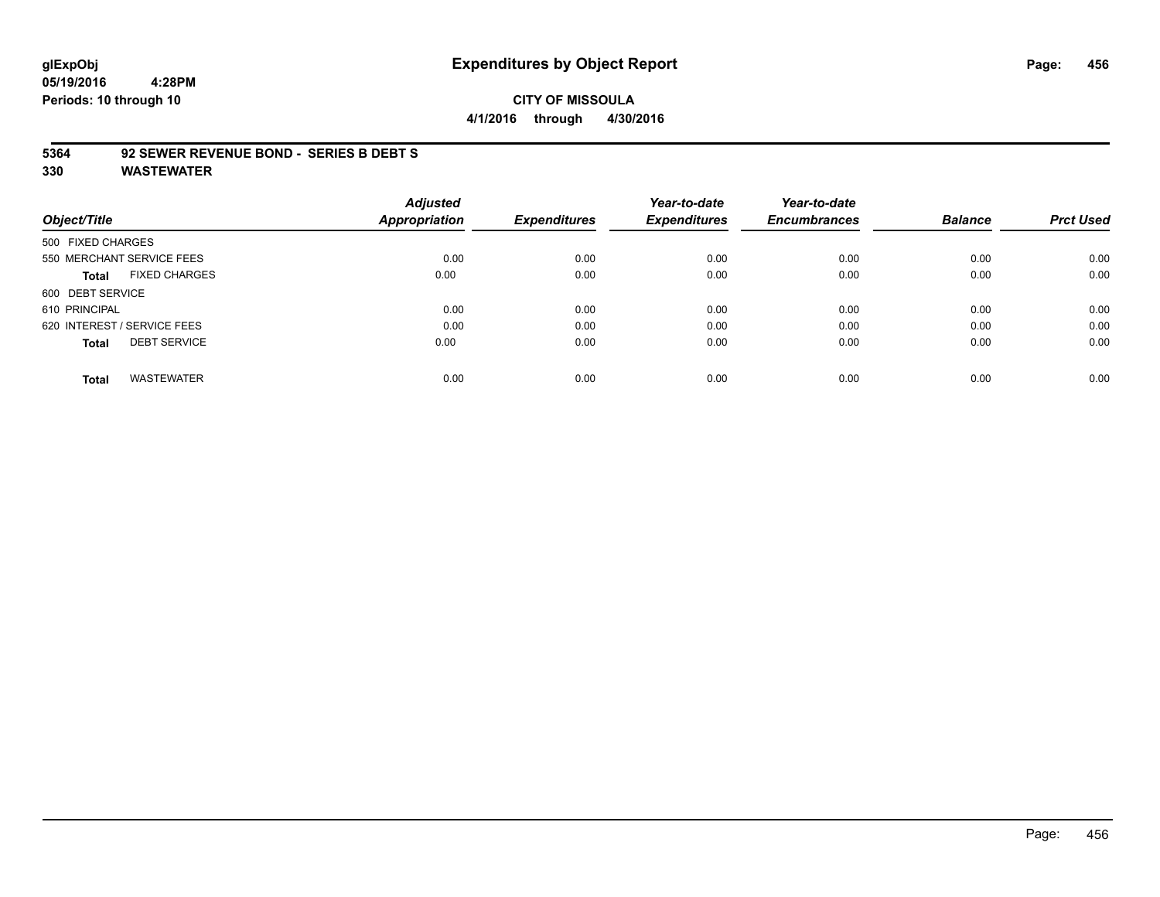# **glExpObj Expenditures by Object Report Page: 456**

**05/19/2016 4:28PM Periods: 10 through 10**

# **5364 92 SEWER REVENUE BOND - SERIES B DEBT S**

|                                      | <b>Adjusted</b>      |                     | Year-to-date        | Year-to-date        |                |                  |
|--------------------------------------|----------------------|---------------------|---------------------|---------------------|----------------|------------------|
| Object/Title                         | <b>Appropriation</b> | <b>Expenditures</b> | <b>Expenditures</b> | <b>Encumbrances</b> | <b>Balance</b> | <b>Prct Used</b> |
| 500 FIXED CHARGES                    |                      |                     |                     |                     |                |                  |
| 550 MERCHANT SERVICE FEES            | 0.00                 | 0.00                | 0.00                | 0.00                | 0.00           | 0.00             |
| <b>FIXED CHARGES</b><br><b>Total</b> | 0.00                 | 0.00                | 0.00                | 0.00                | 0.00           | 0.00             |
| 600 DEBT SERVICE                     |                      |                     |                     |                     |                |                  |
| 610 PRINCIPAL                        | 0.00                 | 0.00                | 0.00                | 0.00                | 0.00           | 0.00             |
| 620 INTEREST / SERVICE FEES          | 0.00                 | 0.00                | 0.00                | 0.00                | 0.00           | 0.00             |
| <b>DEBT SERVICE</b><br><b>Total</b>  | 0.00                 | 0.00                | 0.00                | 0.00                | 0.00           | 0.00             |
| <b>WASTEWATER</b><br><b>Total</b>    | 0.00                 | 0.00                | 0.00                | 0.00                | 0.00           | 0.00             |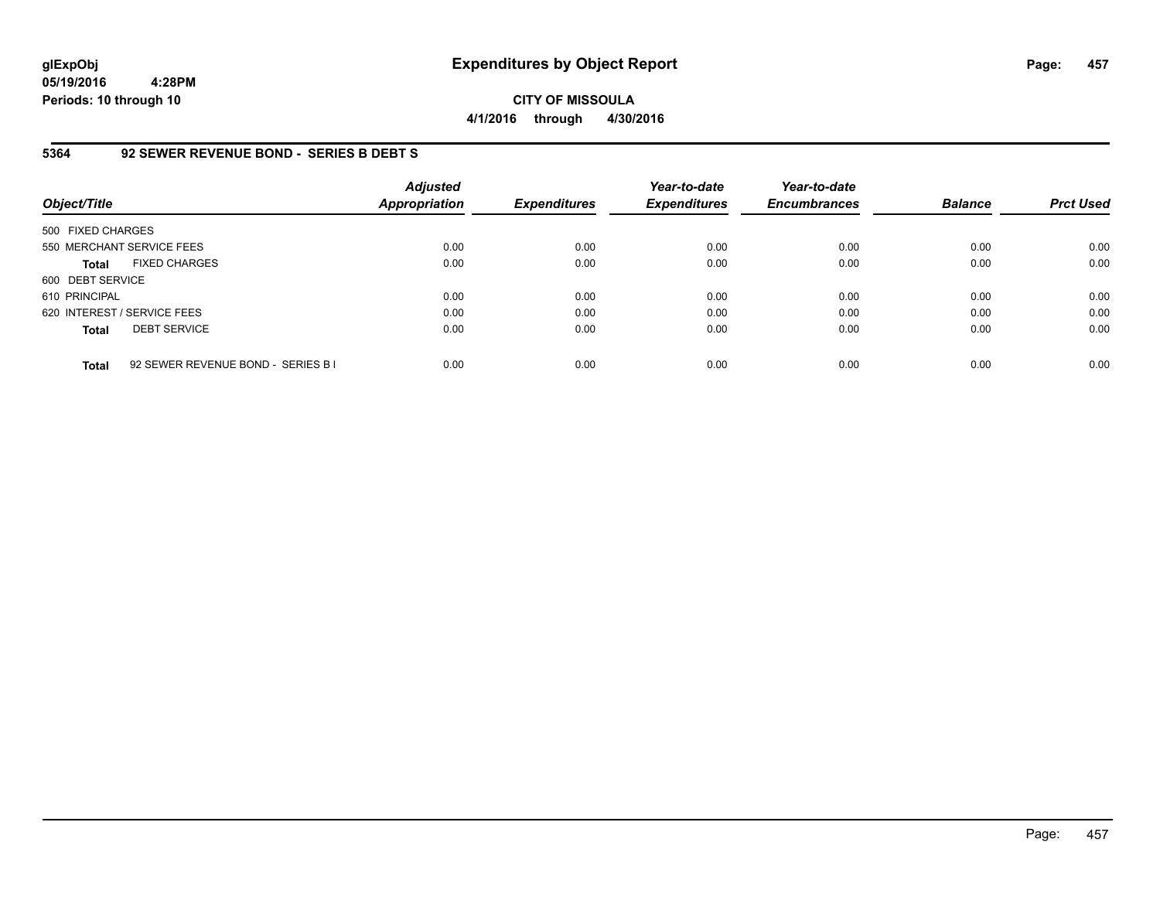**CITY OF MISSOULA 4/1/2016 through 4/30/2016**

## **5364 92 SEWER REVENUE BOND - SERIES B DEBT S**

| Object/Title                |                                    | <b>Adjusted</b><br><b>Appropriation</b> | <b>Expenditures</b> | Year-to-date<br><b>Expenditures</b> | Year-to-date<br><b>Encumbrances</b> | <b>Balance</b> | <b>Prct Used</b> |
|-----------------------------|------------------------------------|-----------------------------------------|---------------------|-------------------------------------|-------------------------------------|----------------|------------------|
| 500 FIXED CHARGES           |                                    |                                         |                     |                                     |                                     |                |                  |
|                             | 550 MERCHANT SERVICE FEES          | 0.00                                    | 0.00                | 0.00                                | 0.00                                | 0.00           | 0.00             |
| <b>Total</b>                | <b>FIXED CHARGES</b>               | 0.00                                    | 0.00                | 0.00                                | 0.00                                | 0.00           | 0.00             |
| 600 DEBT SERVICE            |                                    |                                         |                     |                                     |                                     |                |                  |
| 610 PRINCIPAL               |                                    | 0.00                                    | 0.00                | 0.00                                | 0.00                                | 0.00           | 0.00             |
| 620 INTEREST / SERVICE FEES |                                    | 0.00                                    | 0.00                | 0.00                                | 0.00                                | 0.00           | 0.00             |
| <b>Total</b>                | <b>DEBT SERVICE</b>                | 0.00                                    | 0.00                | 0.00                                | 0.00                                | 0.00           | 0.00             |
| <b>Total</b>                | 92 SEWER REVENUE BOND - SERIES B I | 0.00                                    | 0.00                | 0.00                                | 0.00                                | 0.00           | 0.00             |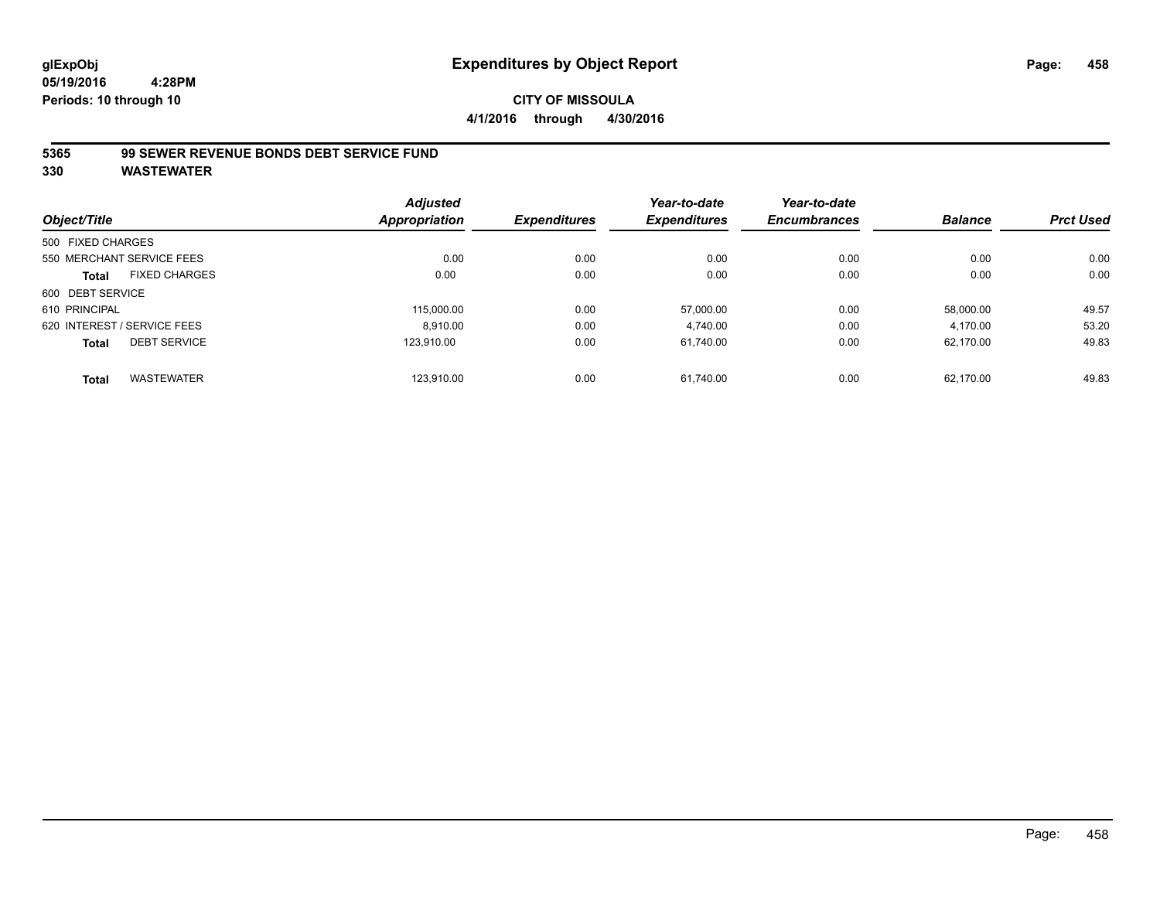## **5365 99 SEWER REVENUE BONDS DEBT SERVICE FUND**

| Object/Title      |                             | <b>Adjusted</b><br>Appropriation | <b>Expenditures</b> | Year-to-date<br><b>Expenditures</b> | Year-to-date<br><b>Encumbrances</b> | <b>Balance</b> | <b>Prct Used</b> |
|-------------------|-----------------------------|----------------------------------|---------------------|-------------------------------------|-------------------------------------|----------------|------------------|
|                   |                             |                                  |                     |                                     |                                     |                |                  |
| 500 FIXED CHARGES |                             |                                  |                     |                                     |                                     |                |                  |
|                   | 550 MERCHANT SERVICE FEES   | 0.00                             | 0.00                | 0.00                                | 0.00                                | 0.00           | 0.00             |
| <b>Total</b>      | <b>FIXED CHARGES</b>        | 0.00                             | 0.00                | 0.00                                | 0.00                                | 0.00           | 0.00             |
| 600 DEBT SERVICE  |                             |                                  |                     |                                     |                                     |                |                  |
| 610 PRINCIPAL     |                             | 115,000.00                       | 0.00                | 57.000.00                           | 0.00                                | 58.000.00      | 49.57            |
|                   | 620 INTEREST / SERVICE FEES | 8.910.00                         | 0.00                | 4.740.00                            | 0.00                                | 4,170.00       | 53.20            |
| <b>Total</b>      | <b>DEBT SERVICE</b>         | 123.910.00                       | 0.00                | 61,740.00                           | 0.00                                | 62,170.00      | 49.83            |
| <b>Total</b>      | <b>WASTEWATER</b>           | 123.910.00                       | 0.00                | 61.740.00                           | 0.00                                | 62.170.00      | 49.83            |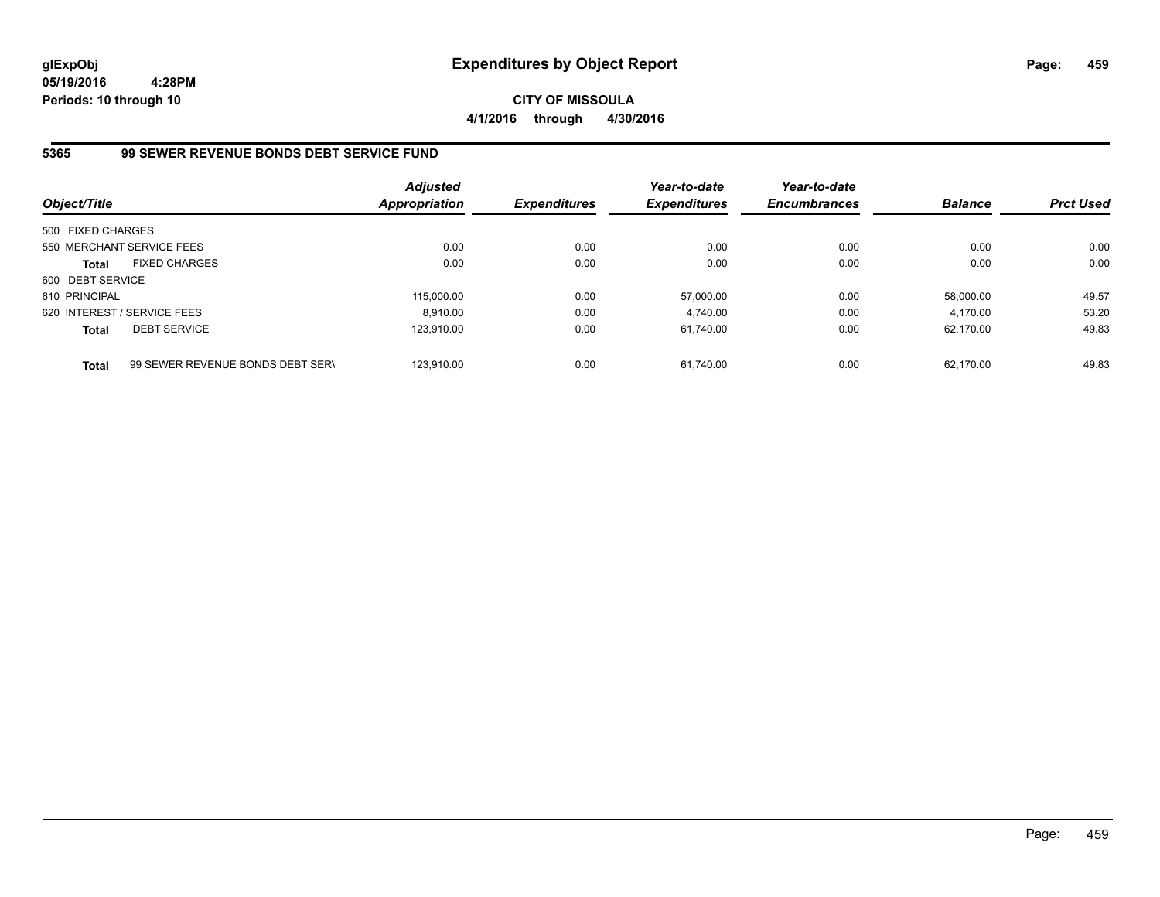## **CITY OF MISSOULA 4/1/2016 through 4/30/2016**

# **5365 99 SEWER REVENUE BONDS DEBT SERVICE FUND**

| Object/Title                |                                  | <b>Adjusted</b><br><b>Appropriation</b> | <b>Expenditures</b> | Year-to-date<br><b>Expenditures</b> | Year-to-date<br><b>Encumbrances</b> | <b>Balance</b> | <b>Prct Used</b> |
|-----------------------------|----------------------------------|-----------------------------------------|---------------------|-------------------------------------|-------------------------------------|----------------|------------------|
| 500 FIXED CHARGES           |                                  |                                         |                     |                                     |                                     |                |                  |
|                             | 550 MERCHANT SERVICE FEES        | 0.00                                    | 0.00                | 0.00                                | 0.00                                | 0.00           | 0.00             |
| <b>Total</b>                | <b>FIXED CHARGES</b>             | 0.00                                    | 0.00                | 0.00                                | 0.00                                | 0.00           | 0.00             |
| 600 DEBT SERVICE            |                                  |                                         |                     |                                     |                                     |                |                  |
| 610 PRINCIPAL               |                                  | 115,000.00                              | 0.00                | 57.000.00                           | 0.00                                | 58.000.00      | 49.57            |
| 620 INTEREST / SERVICE FEES |                                  | 8.910.00                                | 0.00                | 4.740.00                            | 0.00                                | 4.170.00       | 53.20            |
| <b>Total</b>                | <b>DEBT SERVICE</b>              | 123.910.00                              | 0.00                | 61.740.00                           | 0.00                                | 62.170.00      | 49.83            |
| <b>Total</b>                | 99 SEWER REVENUE BONDS DEBT SERV | 123.910.00                              | 0.00                | 61.740.00                           | 0.00                                | 62.170.00      | 49.83            |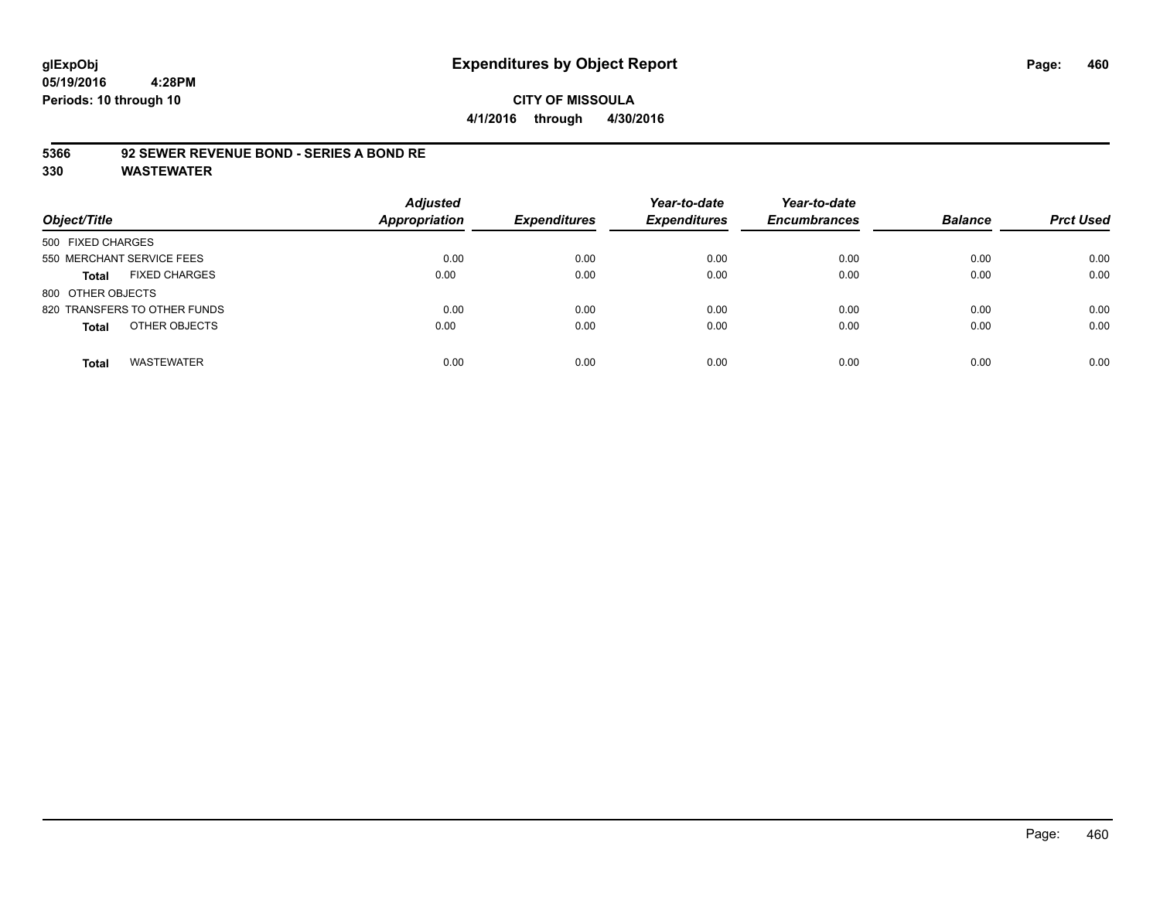## **CITY OF MISSOULA 4/1/2016 through 4/30/2016**

#### **5366 92 SEWER REVENUE BOND - SERIES A BOND RE**

| Object/Title                         | <b>Adjusted</b><br><b>Appropriation</b> | <b>Expenditures</b> | Year-to-date<br><b>Expenditures</b> | Year-to-date<br><b>Encumbrances</b> | <b>Balance</b> | <b>Prct Used</b> |
|--------------------------------------|-----------------------------------------|---------------------|-------------------------------------|-------------------------------------|----------------|------------------|
| 500 FIXED CHARGES                    |                                         |                     |                                     |                                     |                |                  |
| 550 MERCHANT SERVICE FEES            | 0.00                                    | 0.00                | 0.00                                | 0.00                                | 0.00           | 0.00             |
| <b>FIXED CHARGES</b><br><b>Total</b> | 0.00                                    | 0.00                | 0.00                                | 0.00                                | 0.00           | 0.00             |
| 800 OTHER OBJECTS                    |                                         |                     |                                     |                                     |                |                  |
| 820 TRANSFERS TO OTHER FUNDS         | 0.00                                    | 0.00                | 0.00                                | 0.00                                | 0.00           | 0.00             |
| OTHER OBJECTS<br><b>Total</b>        | 0.00                                    | 0.00                | 0.00                                | 0.00                                | 0.00           | 0.00             |
| <b>WASTEWATER</b><br><b>Total</b>    | 0.00                                    | 0.00                | 0.00                                | 0.00                                | 0.00           | 0.00             |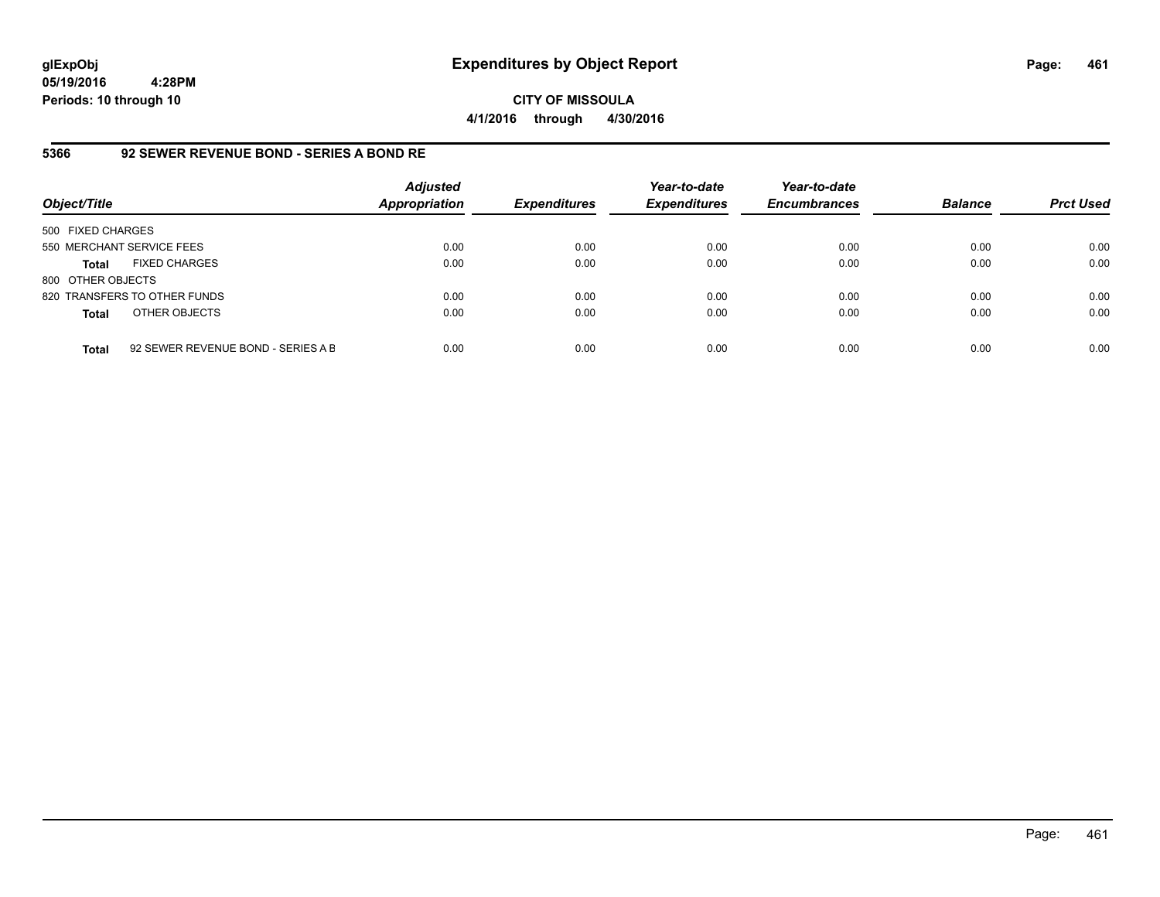## **CITY OF MISSOULA 4/1/2016 through 4/30/2016**

#### **5366 92 SEWER REVENUE BOND - SERIES A BOND RE**

| Object/Title              |                                    | <b>Adjusted</b><br><b>Appropriation</b> | <b>Expenditures</b> | Year-to-date<br><b>Expenditures</b> | Year-to-date<br><b>Encumbrances</b> | <b>Balance</b> | <b>Prct Used</b> |
|---------------------------|------------------------------------|-----------------------------------------|---------------------|-------------------------------------|-------------------------------------|----------------|------------------|
| 500 FIXED CHARGES         |                                    |                                         |                     |                                     |                                     |                |                  |
| 550 MERCHANT SERVICE FEES |                                    | 0.00                                    | 0.00                | 0.00                                | 0.00                                | 0.00           | 0.00             |
| <b>Total</b>              | <b>FIXED CHARGES</b>               | 0.00                                    | 0.00                | 0.00                                | 0.00                                | 0.00           | 0.00             |
| 800 OTHER OBJECTS         |                                    |                                         |                     |                                     |                                     |                |                  |
|                           | 820 TRANSFERS TO OTHER FUNDS       | 0.00                                    | 0.00                | 0.00                                | 0.00                                | 0.00           | 0.00             |
| <b>Total</b>              | OTHER OBJECTS                      | 0.00                                    | 0.00                | 0.00                                | 0.00                                | 0.00           | 0.00             |
| <b>Total</b>              | 92 SEWER REVENUE BOND - SERIES A B | 0.00                                    | 0.00                | 0.00                                | 0.00                                | 0.00           | 0.00             |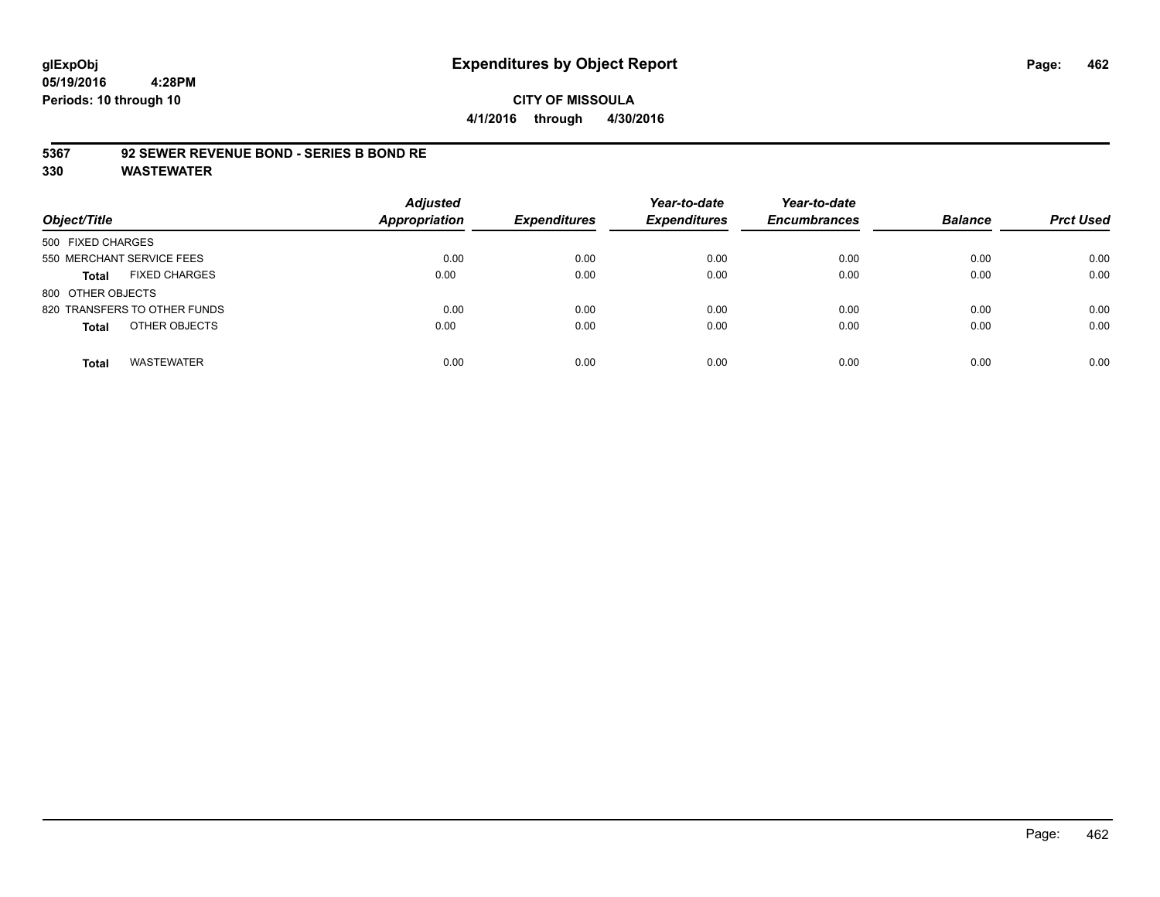## **CITY OF MISSOULA 4/1/2016 through 4/30/2016**

#### **5367 92 SEWER REVENUE BOND - SERIES B BOND RE**

| Object/Title                         | <b>Adjusted</b><br><b>Appropriation</b> | <b>Expenditures</b> | Year-to-date<br><b>Expenditures</b> | Year-to-date<br><b>Encumbrances</b> | <b>Balance</b> | <b>Prct Used</b> |
|--------------------------------------|-----------------------------------------|---------------------|-------------------------------------|-------------------------------------|----------------|------------------|
| 500 FIXED CHARGES                    |                                         |                     |                                     |                                     |                |                  |
| 550 MERCHANT SERVICE FEES            | 0.00                                    | 0.00                | 0.00                                | 0.00                                | 0.00           | 0.00             |
| <b>FIXED CHARGES</b><br><b>Total</b> | 0.00                                    | 0.00                | 0.00                                | 0.00                                | 0.00           | 0.00             |
| 800 OTHER OBJECTS                    |                                         |                     |                                     |                                     |                |                  |
| 820 TRANSFERS TO OTHER FUNDS         | 0.00                                    | 0.00                | 0.00                                | 0.00                                | 0.00           | 0.00             |
| OTHER OBJECTS<br><b>Total</b>        | 0.00                                    | 0.00                | 0.00                                | 0.00                                | 0.00           | 0.00             |
| <b>WASTEWATER</b><br><b>Total</b>    | 0.00                                    | 0.00                | 0.00                                | 0.00                                | 0.00           | 0.00             |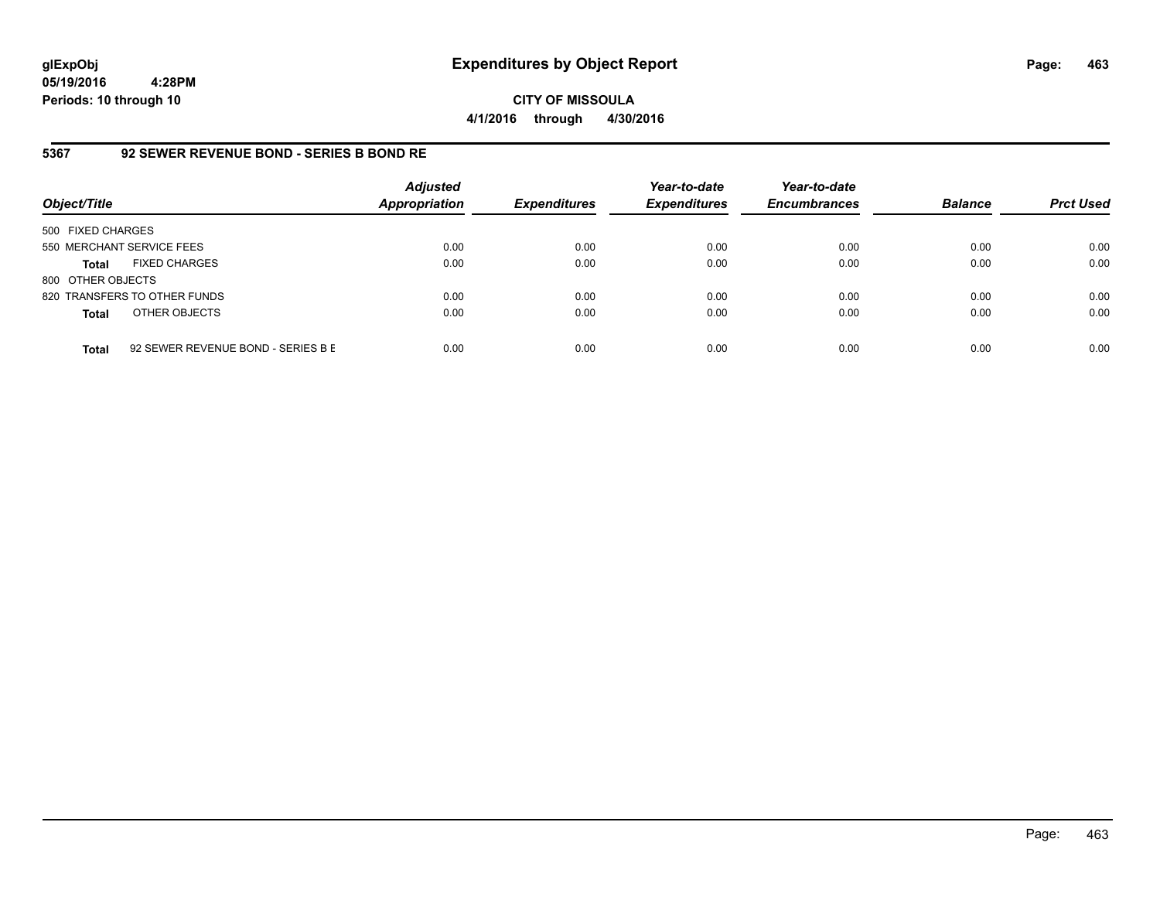**CITY OF MISSOULA 4/1/2016 through 4/30/2016**

# **5367 92 SEWER REVENUE BOND - SERIES B BOND RE**

| Object/Title              |                                    | <b>Adjusted</b><br>Appropriation | <b>Expenditures</b> | Year-to-date<br><b>Expenditures</b> | Year-to-date<br><b>Encumbrances</b> | <b>Balance</b> | <b>Prct Used</b> |
|---------------------------|------------------------------------|----------------------------------|---------------------|-------------------------------------|-------------------------------------|----------------|------------------|
| 500 FIXED CHARGES         |                                    |                                  |                     |                                     |                                     |                |                  |
| 550 MERCHANT SERVICE FEES |                                    | 0.00                             | 0.00                | 0.00                                | 0.00                                | 0.00           | 0.00             |
| Total                     | <b>FIXED CHARGES</b>               | 0.00                             | 0.00                | 0.00                                | 0.00                                | 0.00           | 0.00             |
| 800 OTHER OBJECTS         |                                    |                                  |                     |                                     |                                     |                |                  |
|                           | 820 TRANSFERS TO OTHER FUNDS       | 0.00                             | 0.00                | 0.00                                | 0.00                                | 0.00           | 0.00             |
| <b>Total</b>              | OTHER OBJECTS                      | 0.00                             | 0.00                | 0.00                                | 0.00                                | 0.00           | 0.00             |
| <b>Total</b>              | 92 SEWER REVENUE BOND - SERIES B E | 0.00                             | 0.00                | 0.00                                | 0.00                                | 0.00           | 0.00             |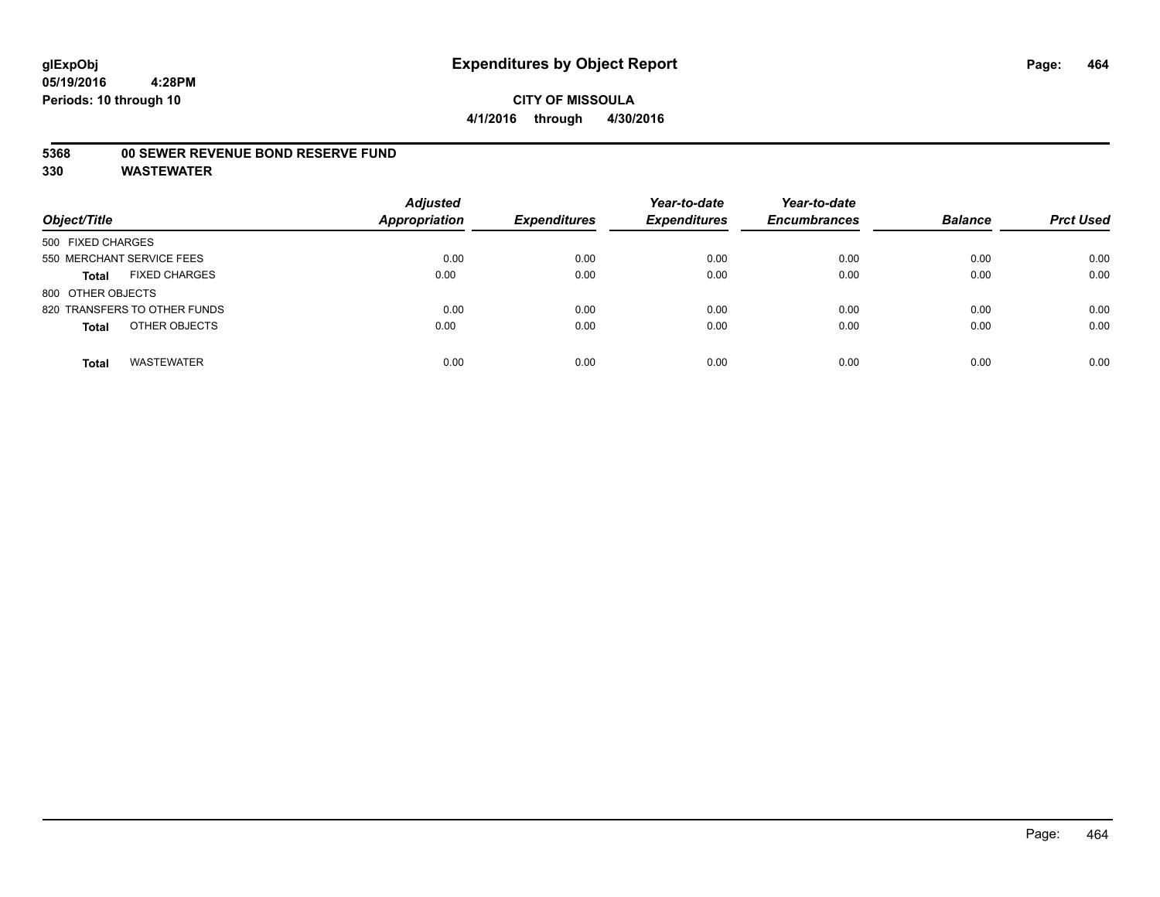## **CITY OF MISSOULA 4/1/2016 through 4/30/2016**

#### **5368 00 SEWER REVENUE BOND RESERVE FUND**

| Object/Title                         | <b>Adjusted</b><br>Appropriation | <b>Expenditures</b> | Year-to-date<br><b>Expenditures</b> | Year-to-date<br><b>Encumbrances</b> | <b>Balance</b> | <b>Prct Used</b> |
|--------------------------------------|----------------------------------|---------------------|-------------------------------------|-------------------------------------|----------------|------------------|
| 500 FIXED CHARGES                    |                                  |                     |                                     |                                     |                |                  |
| 550 MERCHANT SERVICE FEES            | 0.00                             | 0.00                | 0.00                                | 0.00                                | 0.00           | 0.00             |
| <b>FIXED CHARGES</b><br><b>Total</b> | 0.00                             | 0.00                | 0.00                                | 0.00                                | 0.00           | 0.00             |
| 800 OTHER OBJECTS                    |                                  |                     |                                     |                                     |                |                  |
| 820 TRANSFERS TO OTHER FUNDS         | 0.00                             | 0.00                | 0.00                                | 0.00                                | 0.00           | 0.00             |
| OTHER OBJECTS<br><b>Total</b>        | 0.00                             | 0.00                | 0.00                                | 0.00                                | 0.00           | 0.00             |
| <b>WASTEWATER</b><br><b>Total</b>    | 0.00                             | 0.00                | 0.00                                | 0.00                                | 0.00           | 0.00             |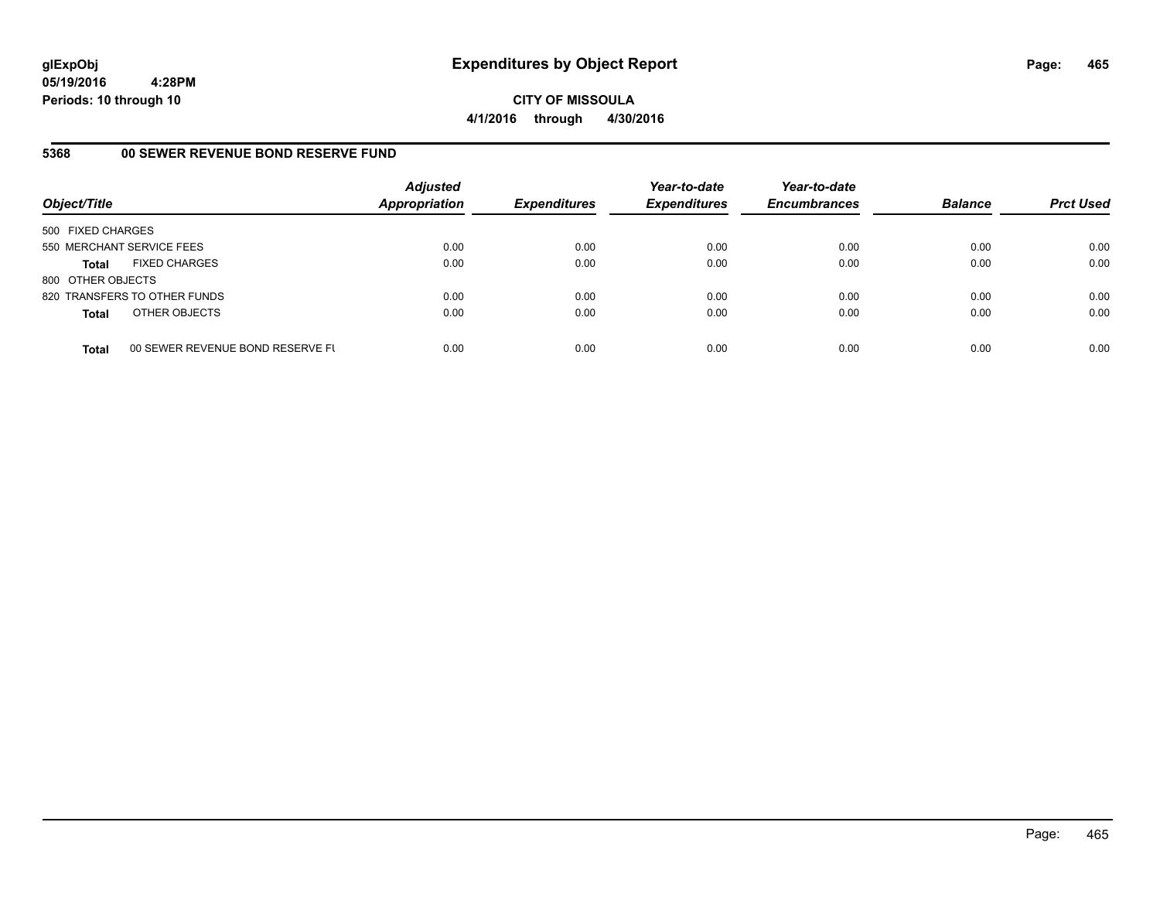**CITY OF MISSOULA 4/1/2016 through 4/30/2016**

# **5368 00 SEWER REVENUE BOND RESERVE FUND**

| Object/Title              |                                  | <b>Adjusted</b><br>Appropriation | <b>Expenditures</b> | Year-to-date<br><b>Expenditures</b> | Year-to-date<br><b>Encumbrances</b> | <b>Balance</b> | <b>Prct Used</b> |
|---------------------------|----------------------------------|----------------------------------|---------------------|-------------------------------------|-------------------------------------|----------------|------------------|
| 500 FIXED CHARGES         |                                  |                                  |                     |                                     |                                     |                |                  |
| 550 MERCHANT SERVICE FEES |                                  | 0.00                             | 0.00                | 0.00                                | 0.00                                | 0.00           | 0.00             |
| Total                     | <b>FIXED CHARGES</b>             | 0.00                             | 0.00                | 0.00                                | 0.00                                | 0.00           | 0.00             |
| 800 OTHER OBJECTS         |                                  |                                  |                     |                                     |                                     |                |                  |
|                           | 820 TRANSFERS TO OTHER FUNDS     | 0.00                             | 0.00                | 0.00                                | 0.00                                | 0.00           | 0.00             |
| <b>Total</b>              | OTHER OBJECTS                    | 0.00                             | 0.00                | 0.00                                | 0.00                                | 0.00           | 0.00             |
| <b>Total</b>              | 00 SEWER REVENUE BOND RESERVE FU | 0.00                             | 0.00                | 0.00                                | 0.00                                | 0.00           | 0.00             |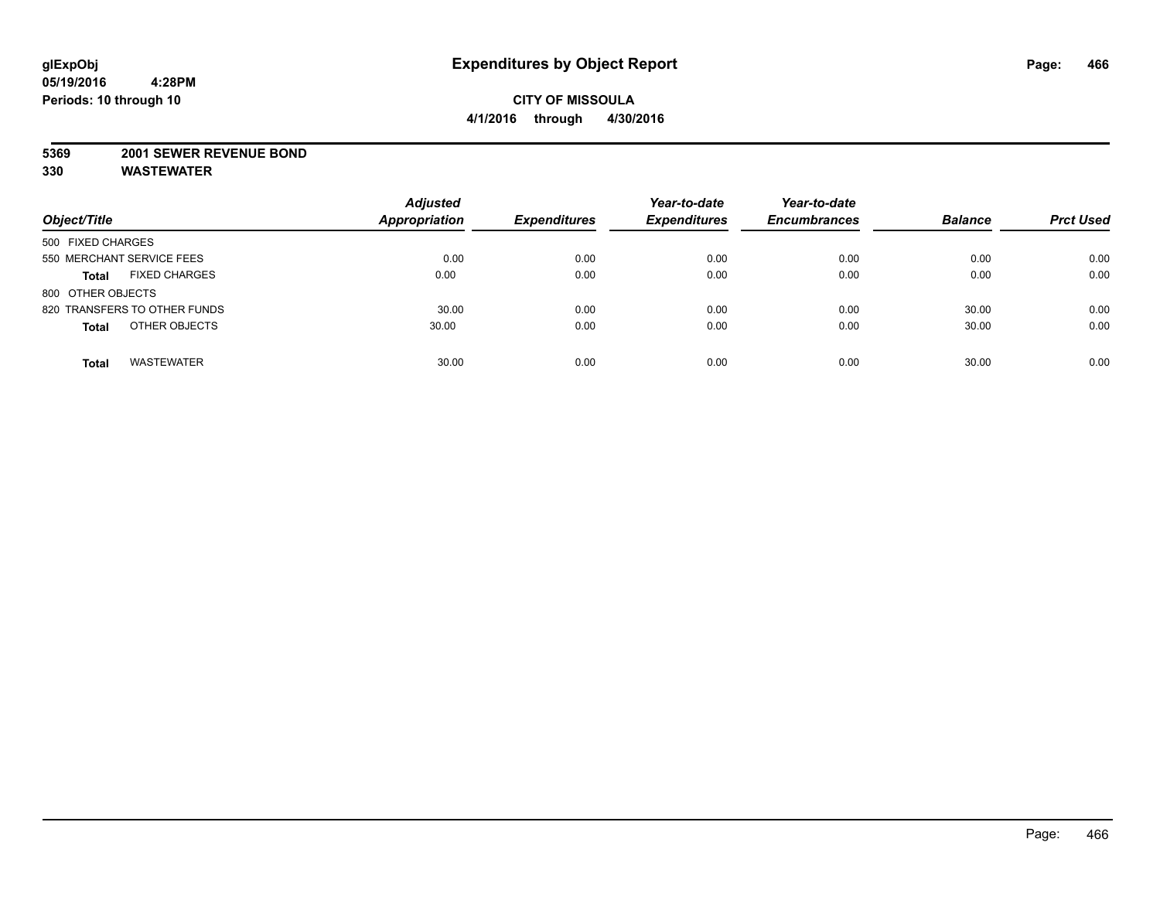#### **5369 2001 SEWER REVENUE BOND**

| Object/Title                         | <b>Adjusted</b><br><b>Appropriation</b> | <b>Expenditures</b> | Year-to-date<br><b>Expenditures</b> | Year-to-date<br><b>Encumbrances</b> | <b>Balance</b> | <b>Prct Used</b> |
|--------------------------------------|-----------------------------------------|---------------------|-------------------------------------|-------------------------------------|----------------|------------------|
| 500 FIXED CHARGES                    |                                         |                     |                                     |                                     |                |                  |
| 550 MERCHANT SERVICE FEES            | 0.00                                    | 0.00                | 0.00                                | 0.00                                | 0.00           | 0.00             |
| <b>FIXED CHARGES</b><br><b>Total</b> | 0.00                                    | 0.00                | 0.00                                | 0.00                                | 0.00           | 0.00             |
| 800 OTHER OBJECTS                    |                                         |                     |                                     |                                     |                |                  |
| 820 TRANSFERS TO OTHER FUNDS         | 30.00                                   | 0.00                | 0.00                                | 0.00                                | 30.00          | 0.00             |
| OTHER OBJECTS<br><b>Total</b>        | 30.00                                   | 0.00                | 0.00                                | 0.00                                | 30.00          | 0.00             |
| <b>WASTEWATER</b><br><b>Total</b>    | 30.00                                   | 0.00                | 0.00                                | 0.00                                | 30.00          | 0.00             |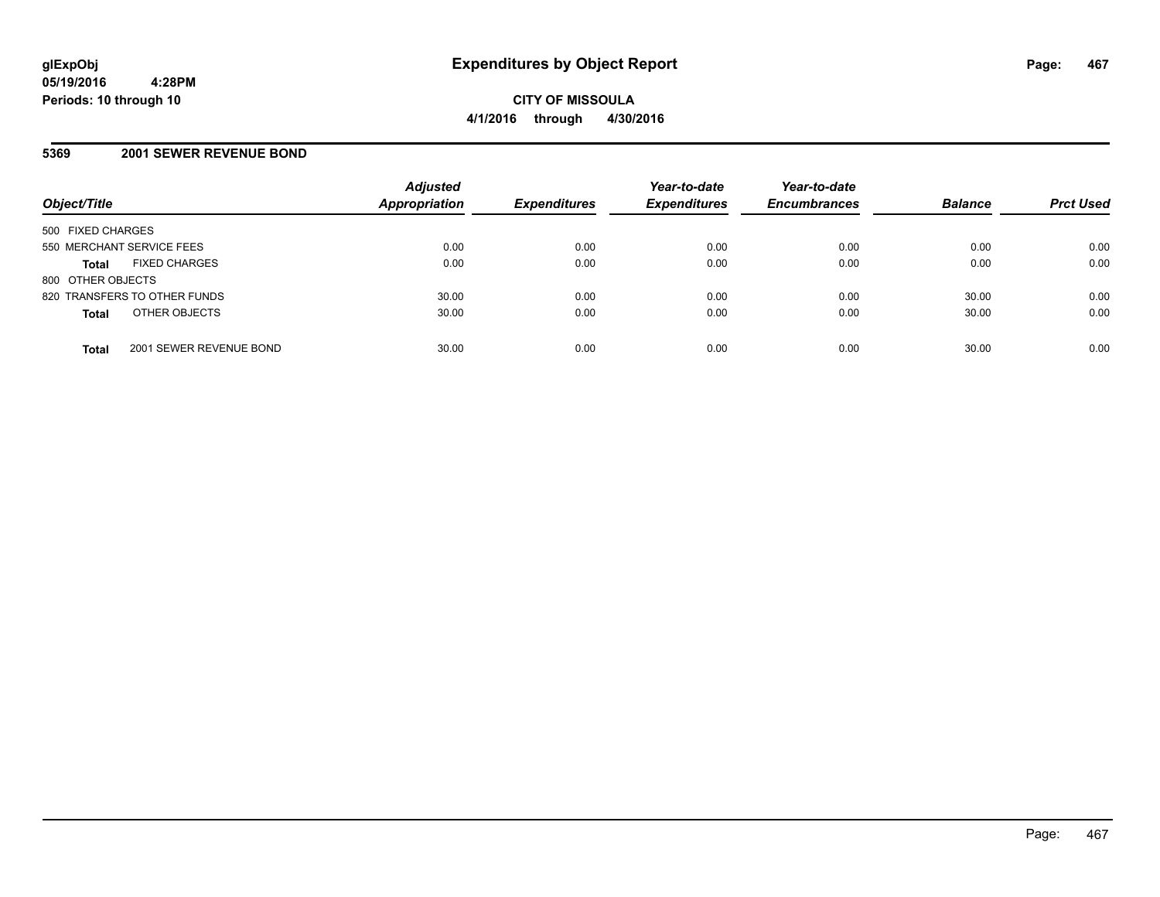## **5369 2001 SEWER REVENUE BOND**

| Object/Title                            | <b>Adjusted</b><br><b>Appropriation</b> | <b>Expenditures</b> | Year-to-date<br><b>Expenditures</b> | Year-to-date<br><b>Encumbrances</b> | <b>Balance</b> | <b>Prct Used</b> |
|-----------------------------------------|-----------------------------------------|---------------------|-------------------------------------|-------------------------------------|----------------|------------------|
| 500 FIXED CHARGES                       |                                         |                     |                                     |                                     |                |                  |
| 550 MERCHANT SERVICE FEES               | 0.00                                    | 0.00                | 0.00                                | 0.00                                | 0.00           | 0.00             |
| <b>FIXED CHARGES</b><br><b>Total</b>    | 0.00                                    | 0.00                | 0.00                                | 0.00                                | 0.00           | 0.00             |
| 800 OTHER OBJECTS                       |                                         |                     |                                     |                                     |                |                  |
| 820 TRANSFERS TO OTHER FUNDS            | 30.00                                   | 0.00                | 0.00                                | 0.00                                | 30.00          | 0.00             |
| OTHER OBJECTS<br><b>Total</b>           | 30.00                                   | 0.00                | 0.00                                | 0.00                                | 30.00          | 0.00             |
| 2001 SEWER REVENUE BOND<br><b>Total</b> | 30.00                                   | 0.00                | 0.00                                | 0.00                                | 30.00          | 0.00             |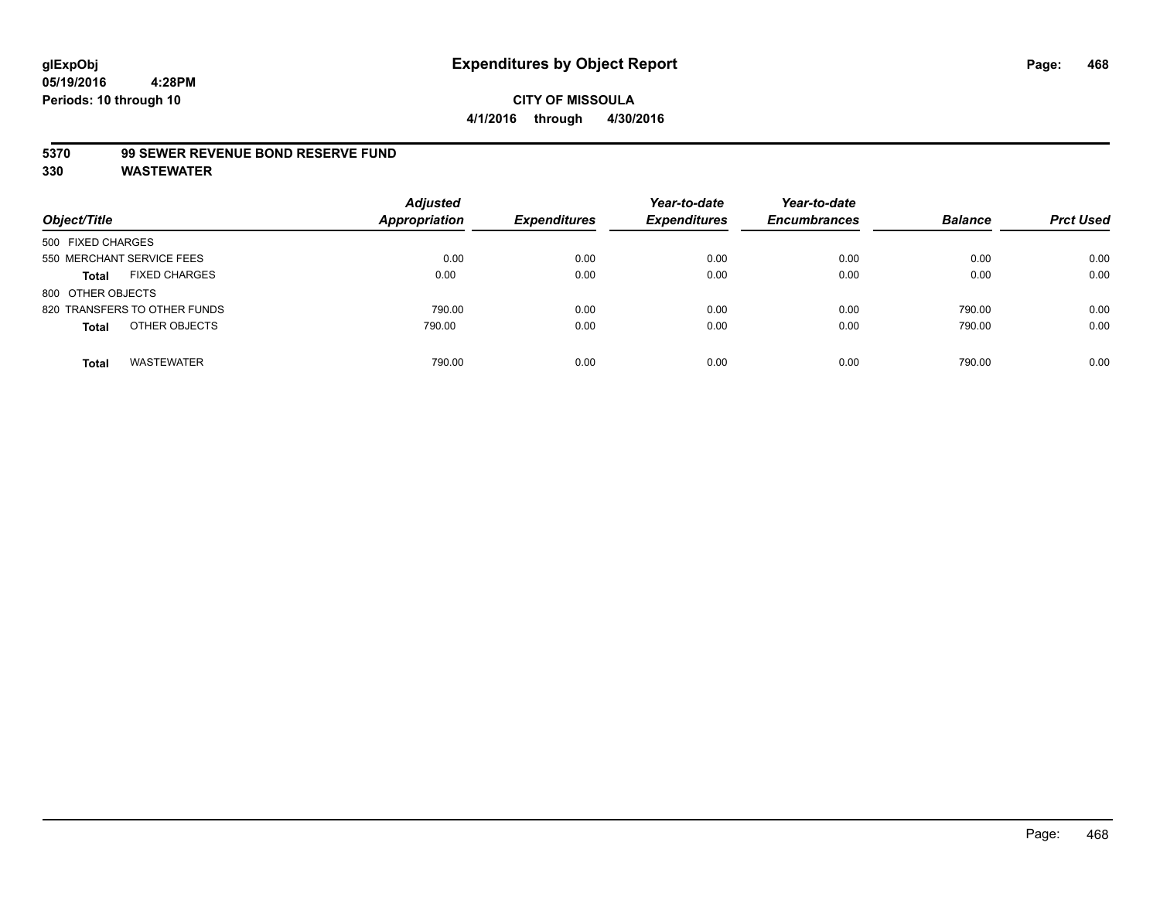#### **5370 99 SEWER REVENUE BOND RESERVE FUND**

| Object/Title                         | <b>Adjusted</b><br><b>Appropriation</b> | <b>Expenditures</b> | Year-to-date<br><b>Expenditures</b> | Year-to-date<br><b>Encumbrances</b> | <b>Balance</b> | <b>Prct Used</b> |
|--------------------------------------|-----------------------------------------|---------------------|-------------------------------------|-------------------------------------|----------------|------------------|
| 500 FIXED CHARGES                    |                                         |                     |                                     |                                     |                |                  |
| 550 MERCHANT SERVICE FEES            | 0.00                                    | 0.00                | 0.00                                | 0.00                                | 0.00           | 0.00             |
| <b>FIXED CHARGES</b><br><b>Total</b> | 0.00                                    | 0.00                | 0.00                                | 0.00                                | 0.00           | 0.00             |
| 800 OTHER OBJECTS                    |                                         |                     |                                     |                                     |                |                  |
| 820 TRANSFERS TO OTHER FUNDS         | 790.00                                  | 0.00                | 0.00                                | 0.00                                | 790.00         | 0.00             |
| OTHER OBJECTS<br><b>Total</b>        | 790.00                                  | 0.00                | 0.00                                | 0.00                                | 790.00         | 0.00             |
| <b>WASTEWATER</b><br><b>Total</b>    | 790.00                                  | 0.00                | 0.00                                | 0.00                                | 790.00         | 0.00             |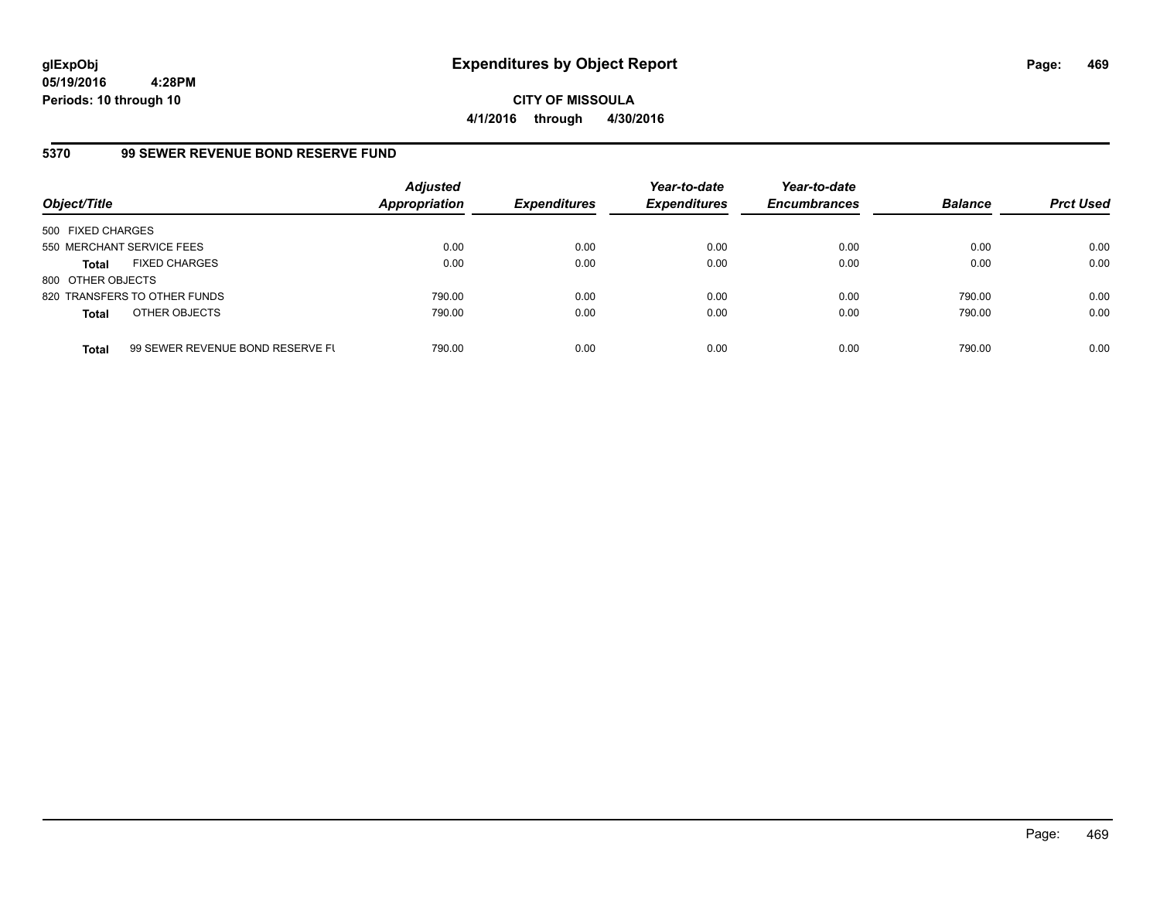**CITY OF MISSOULA 4/1/2016 through 4/30/2016**

# **5370 99 SEWER REVENUE BOND RESERVE FUND**

| Object/Title              |                                  | <b>Adjusted</b><br><b>Appropriation</b> | <b>Expenditures</b> | Year-to-date<br><b>Expenditures</b> | Year-to-date<br><b>Encumbrances</b> | <b>Balance</b> | <b>Prct Used</b> |
|---------------------------|----------------------------------|-----------------------------------------|---------------------|-------------------------------------|-------------------------------------|----------------|------------------|
| 500 FIXED CHARGES         |                                  |                                         |                     |                                     |                                     |                |                  |
| 550 MERCHANT SERVICE FEES |                                  | 0.00                                    | 0.00                | 0.00                                | 0.00                                | 0.00           | 0.00             |
| <b>Total</b>              | <b>FIXED CHARGES</b>             | 0.00                                    | 0.00                | 0.00                                | 0.00                                | 0.00           | 0.00             |
| 800 OTHER OBJECTS         |                                  |                                         |                     |                                     |                                     |                |                  |
|                           | 820 TRANSFERS TO OTHER FUNDS     | 790.00                                  | 0.00                | 0.00                                | 0.00                                | 790.00         | 0.00             |
| <b>Total</b>              | OTHER OBJECTS                    | 790.00                                  | 0.00                | 0.00                                | 0.00                                | 790.00         | 0.00             |
| <b>Total</b>              | 99 SEWER REVENUE BOND RESERVE FL | 790.00                                  | 0.00                | 0.00                                | 0.00                                | 790.00         | 0.00             |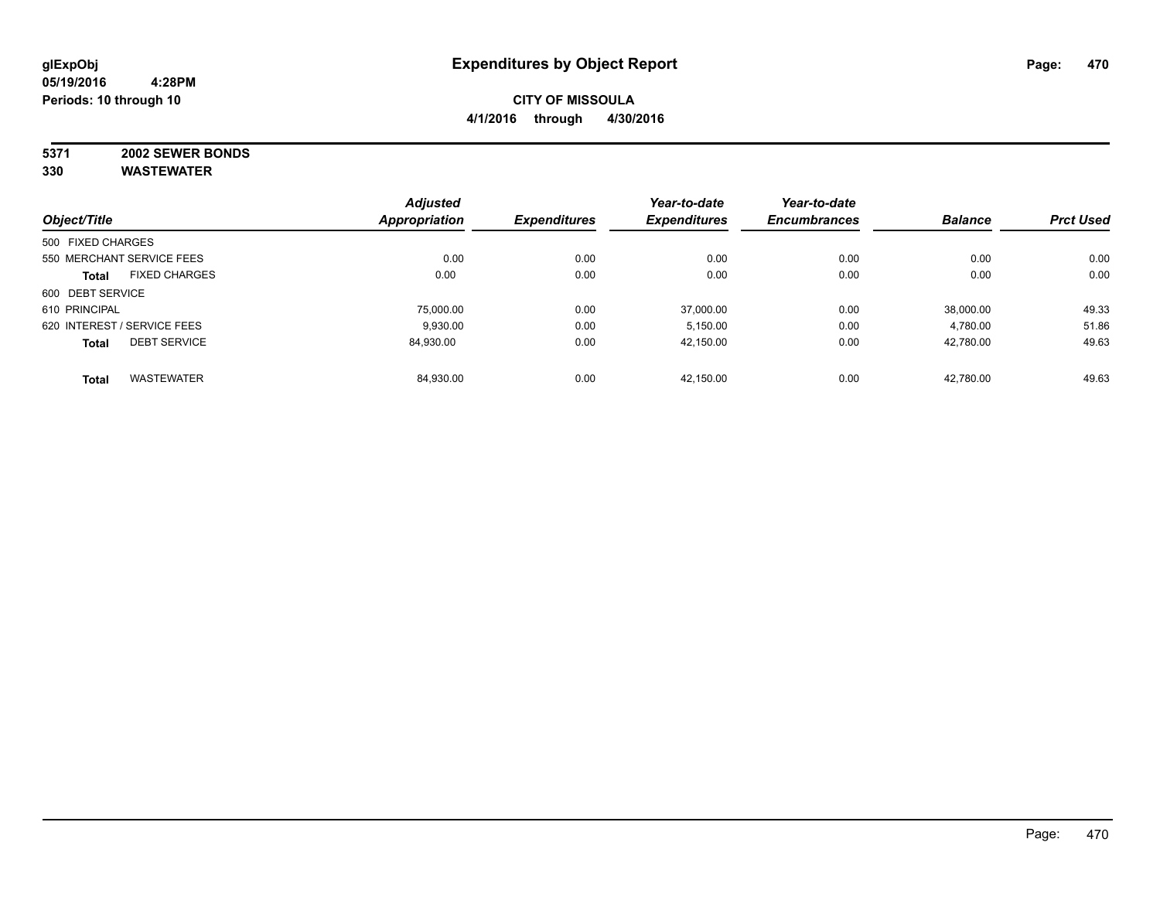# **5371 2002 SEWER BONDS**

| Object/Title      |                             | <b>Adjusted</b>      | <b>Expenditures</b> | Year-to-date<br><b>Expenditures</b> | Year-to-date        | <b>Balance</b> | <b>Prct Used</b> |
|-------------------|-----------------------------|----------------------|---------------------|-------------------------------------|---------------------|----------------|------------------|
|                   |                             | <b>Appropriation</b> |                     |                                     | <b>Encumbrances</b> |                |                  |
| 500 FIXED CHARGES |                             |                      |                     |                                     |                     |                |                  |
|                   | 550 MERCHANT SERVICE FEES   | 0.00                 | 0.00                | 0.00                                | 0.00                | 0.00           | 0.00             |
| <b>Total</b>      | <b>FIXED CHARGES</b>        | 0.00                 | 0.00                | 0.00                                | 0.00                | 0.00           | 0.00             |
| 600 DEBT SERVICE  |                             |                      |                     |                                     |                     |                |                  |
| 610 PRINCIPAL     |                             | 75.000.00            | 0.00                | 37.000.00                           | 0.00                | 38.000.00      | 49.33            |
|                   | 620 INTEREST / SERVICE FEES | 9.930.00             | 0.00                | 5,150.00                            | 0.00                | 4,780.00       | 51.86            |
| <b>Total</b>      | <b>DEBT SERVICE</b>         | 84.930.00            | 0.00                | 42,150.00                           | 0.00                | 42,780.00      | 49.63            |
| <b>Total</b>      | <b>WASTEWATER</b>           | 84,930.00            | 0.00                | 42.150.00                           | 0.00                | 42,780.00      | 49.63            |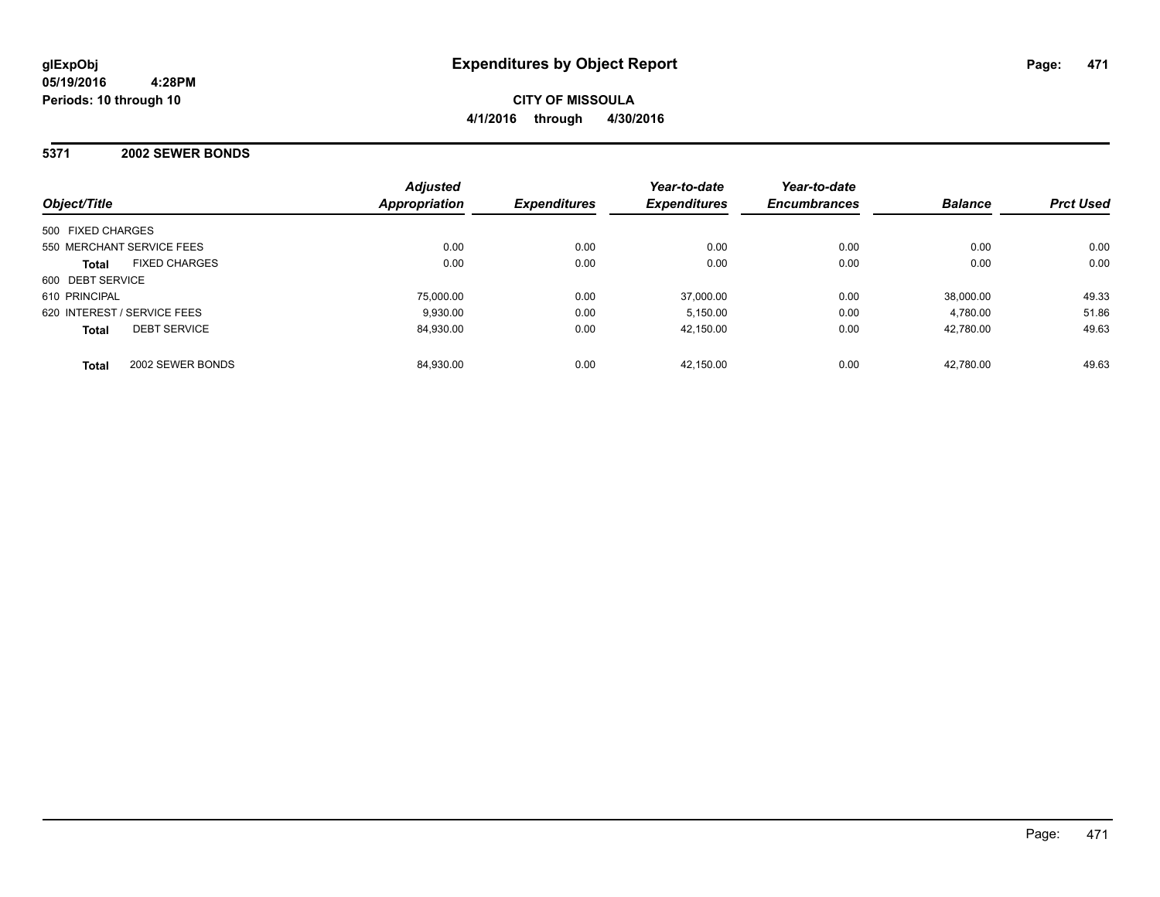### **5371 2002 SEWER BONDS**

| Object/Title                         | <b>Adjusted</b><br><b>Appropriation</b> | <b>Expenditures</b> | Year-to-date<br><b>Expenditures</b> | Year-to-date<br><b>Encumbrances</b> | <b>Balance</b> | <b>Prct Used</b> |
|--------------------------------------|-----------------------------------------|---------------------|-------------------------------------|-------------------------------------|----------------|------------------|
| 500 FIXED CHARGES                    |                                         |                     |                                     |                                     |                |                  |
| 550 MERCHANT SERVICE FEES            | 0.00                                    | 0.00                | 0.00                                | 0.00                                | 0.00           | 0.00             |
| <b>FIXED CHARGES</b><br><b>Total</b> | 0.00                                    | 0.00                | 0.00                                | 0.00                                | 0.00           | 0.00             |
| 600 DEBT SERVICE                     |                                         |                     |                                     |                                     |                |                  |
| 610 PRINCIPAL                        | 75.000.00                               | 0.00                | 37.000.00                           | 0.00                                | 38.000.00      | 49.33            |
| 620 INTEREST / SERVICE FEES          | 9.930.00                                | 0.00                | 5.150.00                            | 0.00                                | 4,780.00       | 51.86            |
| <b>DEBT SERVICE</b><br><b>Total</b>  | 84.930.00                               | 0.00                | 42.150.00                           | 0.00                                | 42.780.00      | 49.63            |
| 2002 SEWER BONDS<br><b>Total</b>     | 84.930.00                               | 0.00                | 42.150.00                           | 0.00                                | 42.780.00      | 49.63            |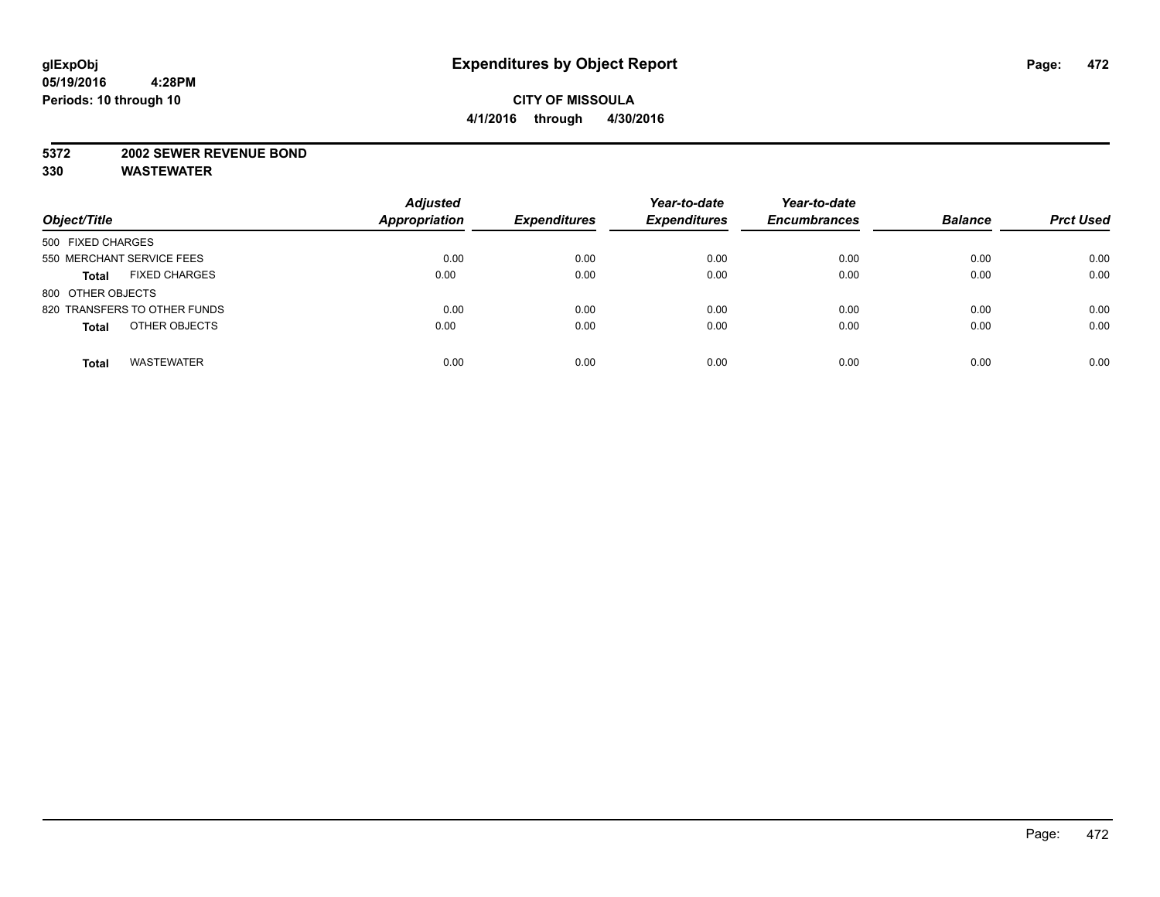#### **5372 2002 SEWER REVENUE BOND**

| Object/Title                         | <b>Adjusted</b><br><b>Appropriation</b> | <b>Expenditures</b> | Year-to-date<br><b>Expenditures</b> | Year-to-date<br><b>Encumbrances</b> | <b>Balance</b> | <b>Prct Used</b> |
|--------------------------------------|-----------------------------------------|---------------------|-------------------------------------|-------------------------------------|----------------|------------------|
| 500 FIXED CHARGES                    |                                         |                     |                                     |                                     |                |                  |
| 550 MERCHANT SERVICE FEES            | 0.00                                    | 0.00                | 0.00                                | 0.00                                | 0.00           | 0.00             |
| <b>FIXED CHARGES</b><br><b>Total</b> | 0.00                                    | 0.00                | 0.00                                | 0.00                                | 0.00           | 0.00             |
| 800 OTHER OBJECTS                    |                                         |                     |                                     |                                     |                |                  |
| 820 TRANSFERS TO OTHER FUNDS         | 0.00                                    | 0.00                | 0.00                                | 0.00                                | 0.00           | 0.00             |
| OTHER OBJECTS<br><b>Total</b>        | 0.00                                    | 0.00                | 0.00                                | 0.00                                | 0.00           | 0.00             |
| <b>WASTEWATER</b><br><b>Total</b>    | 0.00                                    | 0.00                | 0.00                                | 0.00                                | 0.00           | 0.00             |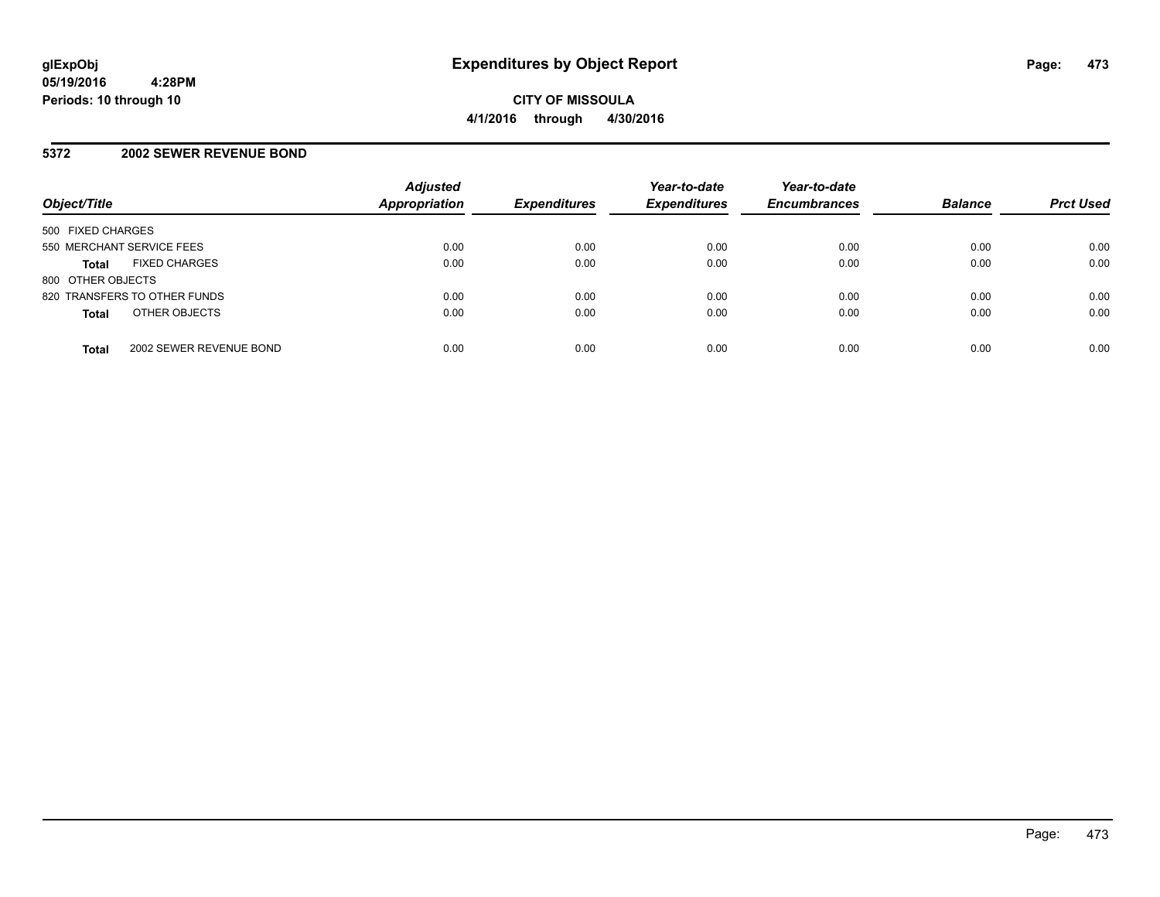# **5372 2002 SEWER REVENUE BOND**

| Object/Title                            | <b>Adjusted</b><br><b>Appropriation</b> | <b>Expenditures</b> | Year-to-date<br><b>Expenditures</b> | Year-to-date<br><b>Encumbrances</b> | <b>Balance</b> | <b>Prct Used</b> |
|-----------------------------------------|-----------------------------------------|---------------------|-------------------------------------|-------------------------------------|----------------|------------------|
| 500 FIXED CHARGES                       |                                         |                     |                                     |                                     |                |                  |
| 550 MERCHANT SERVICE FEES               | 0.00                                    | 0.00                | 0.00                                | 0.00                                | 0.00           | 0.00             |
| <b>FIXED CHARGES</b><br><b>Total</b>    | 0.00                                    | 0.00                | 0.00                                | 0.00                                | 0.00           | 0.00             |
| 800 OTHER OBJECTS                       |                                         |                     |                                     |                                     |                |                  |
| 820 TRANSFERS TO OTHER FUNDS            | 0.00                                    | 0.00                | 0.00                                | 0.00                                | 0.00           | 0.00             |
| OTHER OBJECTS<br><b>Total</b>           | 0.00                                    | 0.00                | 0.00                                | 0.00                                | 0.00           | 0.00             |
| 2002 SEWER REVENUE BOND<br><b>Total</b> | 0.00                                    | 0.00                | 0.00                                | 0.00                                | 0.00           | 0.00             |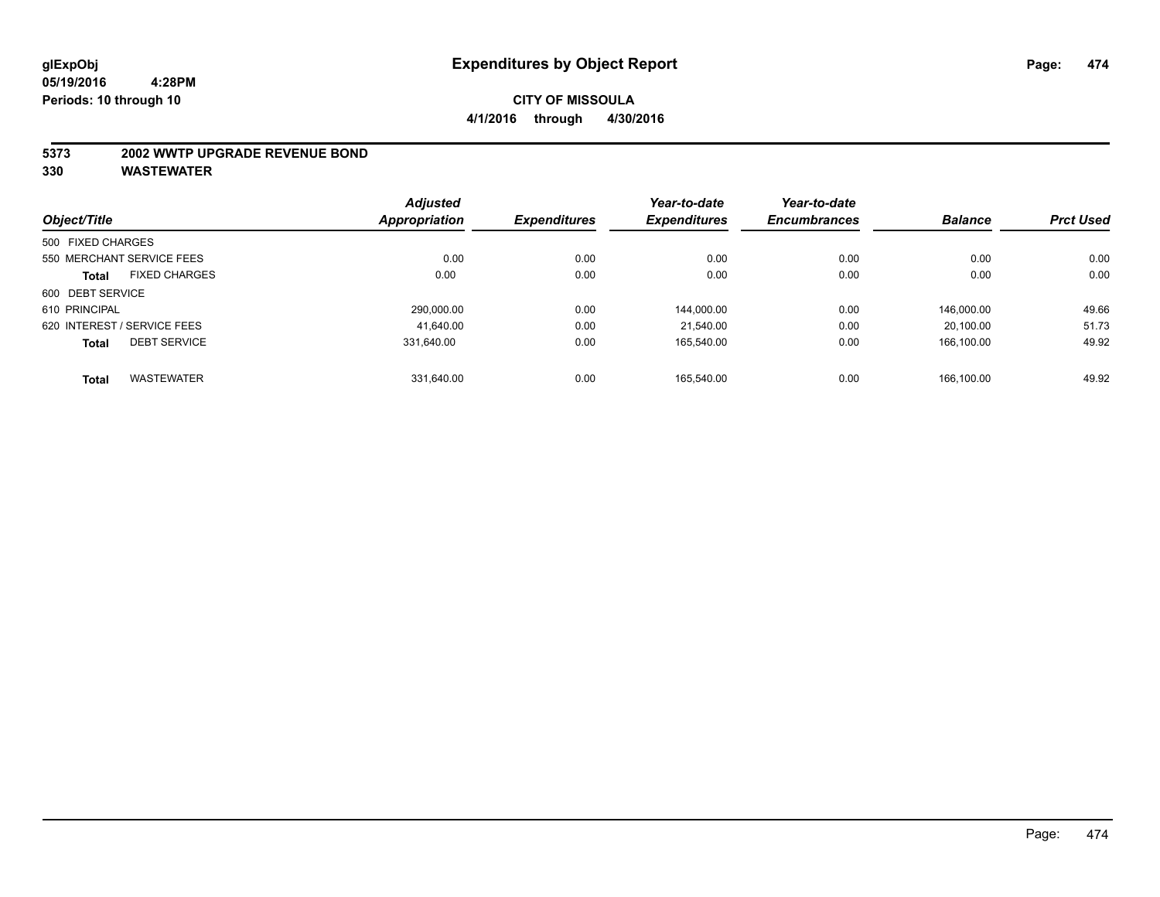#### **5373 2002 WWTP UPGRADE REVENUE BOND**

| Object/Title      |                             | <b>Adjusted</b> | <b>Expenditures</b> | Year-to-date<br><b>Expenditures</b> | Year-to-date        | <b>Balance</b> | <b>Prct Used</b> |
|-------------------|-----------------------------|-----------------|---------------------|-------------------------------------|---------------------|----------------|------------------|
|                   |                             | Appropriation   |                     |                                     | <b>Encumbrances</b> |                |                  |
| 500 FIXED CHARGES |                             |                 |                     |                                     |                     |                |                  |
|                   | 550 MERCHANT SERVICE FEES   | 0.00            | 0.00                | 0.00                                | 0.00                | 0.00           | 0.00             |
| <b>Total</b>      | <b>FIXED CHARGES</b>        | 0.00            | 0.00                | 0.00                                | 0.00                | 0.00           | 0.00             |
| 600 DEBT SERVICE  |                             |                 |                     |                                     |                     |                |                  |
| 610 PRINCIPAL     |                             | 290.000.00      | 0.00                | 144.000.00                          | 0.00                | 146.000.00     | 49.66            |
|                   | 620 INTEREST / SERVICE FEES | 41.640.00       | 0.00                | 21.540.00                           | 0.00                | 20.100.00      | 51.73            |
| <b>Total</b>      | <b>DEBT SERVICE</b>         | 331.640.00      | 0.00                | 165.540.00                          | 0.00                | 166.100.00     | 49.92            |
| <b>Total</b>      | <b>WASTEWATER</b>           | 331.640.00      | 0.00                | 165.540.00                          | 0.00                | 166.100.00     | 49.92            |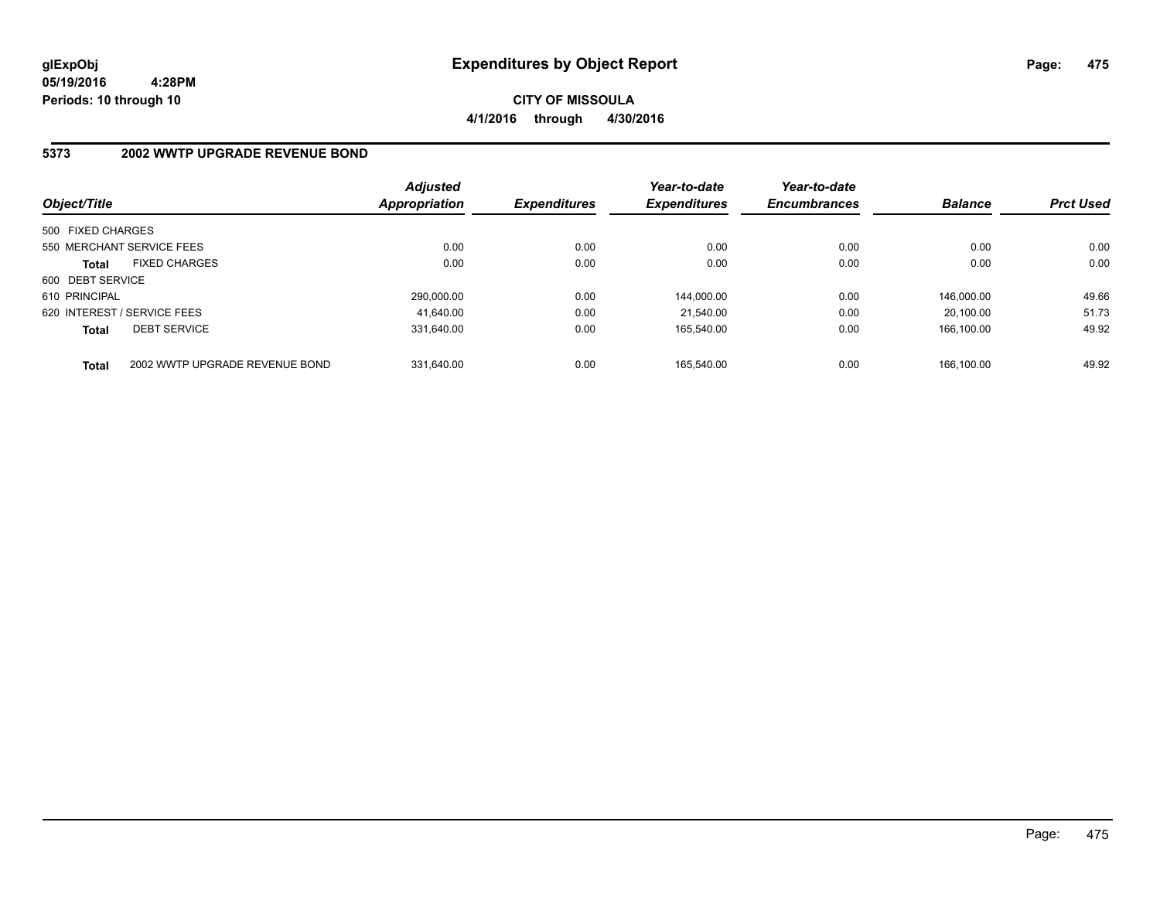**CITY OF MISSOULA 4/1/2016 through 4/30/2016**

# **5373 2002 WWTP UPGRADE REVENUE BOND**

| Object/Title                |                                | <b>Adjusted</b><br><b>Appropriation</b> | <b>Expenditures</b> | Year-to-date<br><b>Expenditures</b> | Year-to-date<br><b>Encumbrances</b> | <b>Balance</b> | <b>Prct Used</b> |
|-----------------------------|--------------------------------|-----------------------------------------|---------------------|-------------------------------------|-------------------------------------|----------------|------------------|
| 500 FIXED CHARGES           |                                |                                         |                     |                                     |                                     |                |                  |
| 550 MERCHANT SERVICE FEES   |                                | 0.00                                    | 0.00                | 0.00                                | 0.00                                | 0.00           | 0.00             |
| <b>Total</b>                | <b>FIXED CHARGES</b>           | 0.00                                    | 0.00                | 0.00                                | 0.00                                | 0.00           | 0.00             |
| 600 DEBT SERVICE            |                                |                                         |                     |                                     |                                     |                |                  |
| 610 PRINCIPAL               |                                | 290.000.00                              | 0.00                | 144.000.00                          | 0.00                                | 146.000.00     | 49.66            |
| 620 INTEREST / SERVICE FEES |                                | 41,640.00                               | 0.00                | 21.540.00                           | 0.00                                | 20.100.00      | 51.73            |
| <b>Total</b>                | <b>DEBT SERVICE</b>            | 331.640.00                              | 0.00                | 165.540.00                          | 0.00                                | 166.100.00     | 49.92            |
| <b>Total</b>                | 2002 WWTP UPGRADE REVENUE BOND | 331.640.00                              | 0.00                | 165.540.00                          | 0.00                                | 166.100.00     | 49.92            |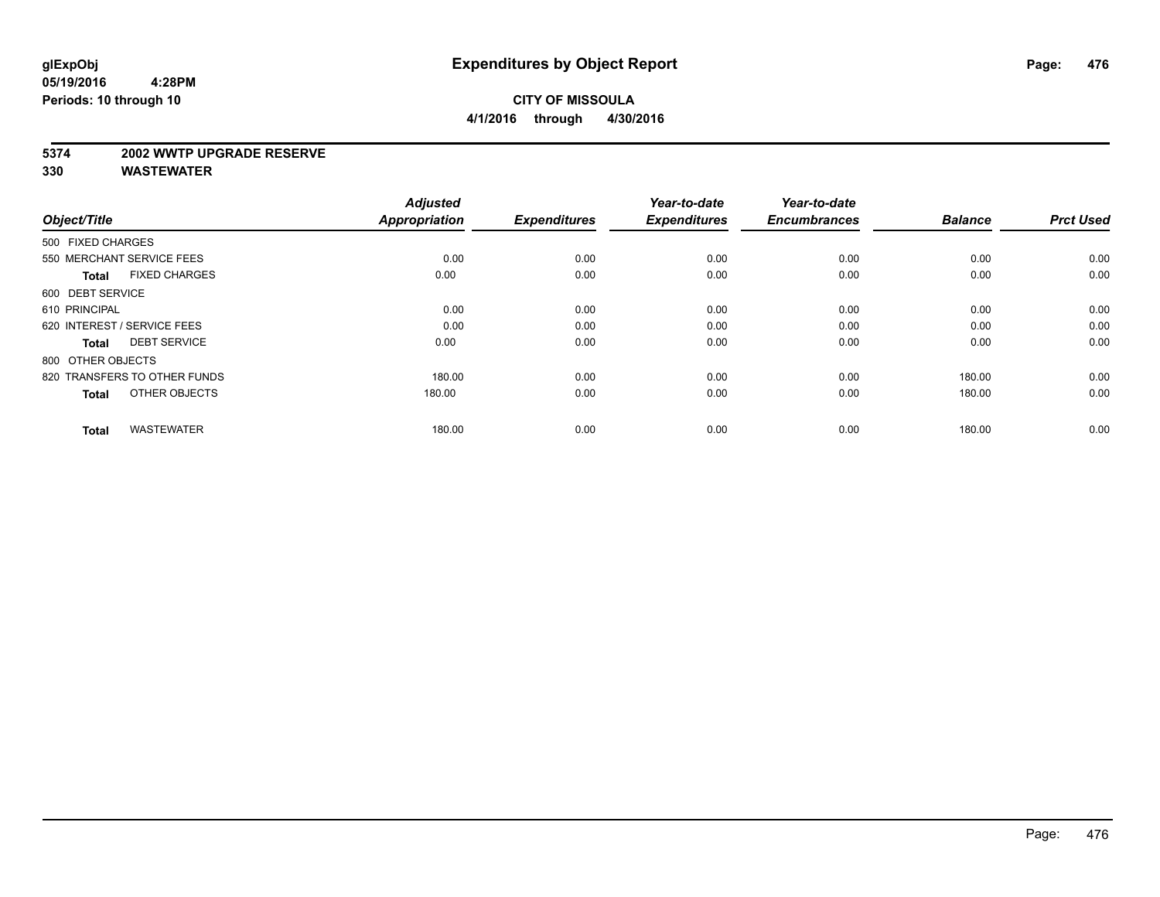#### **5374 2002 WWTP UPGRADE RESERVE**

| Object/Title                         | <b>Adjusted</b><br><b>Appropriation</b> | <b>Expenditures</b> | Year-to-date<br><b>Expenditures</b> | Year-to-date<br><b>Encumbrances</b> | <b>Balance</b> | <b>Prct Used</b> |
|--------------------------------------|-----------------------------------------|---------------------|-------------------------------------|-------------------------------------|----------------|------------------|
| 500 FIXED CHARGES                    |                                         |                     |                                     |                                     |                |                  |
| 550 MERCHANT SERVICE FEES            | 0.00                                    | 0.00                | 0.00                                | 0.00                                | 0.00           | 0.00             |
| <b>FIXED CHARGES</b><br><b>Total</b> | 0.00                                    | 0.00                | 0.00                                | 0.00                                | 0.00           | 0.00             |
| 600 DEBT SERVICE                     |                                         |                     |                                     |                                     |                |                  |
| 610 PRINCIPAL                        | 0.00                                    | 0.00                | 0.00                                | 0.00                                | 0.00           | 0.00             |
| 620 INTEREST / SERVICE FEES          | 0.00                                    | 0.00                | 0.00                                | 0.00                                | 0.00           | 0.00             |
| <b>DEBT SERVICE</b><br><b>Total</b>  | 0.00                                    | 0.00                | 0.00                                | 0.00                                | 0.00           | 0.00             |
| 800 OTHER OBJECTS                    |                                         |                     |                                     |                                     |                |                  |
| 820 TRANSFERS TO OTHER FUNDS         | 180.00                                  | 0.00                | 0.00                                | 0.00                                | 180.00         | 0.00             |
| OTHER OBJECTS<br><b>Total</b>        | 180.00                                  | 0.00                | 0.00                                | 0.00                                | 180.00         | 0.00             |
|                                      |                                         |                     |                                     |                                     |                |                  |
| <b>WASTEWATER</b><br><b>Total</b>    | 180.00                                  | 0.00                | 0.00                                | 0.00                                | 180.00         | 0.00             |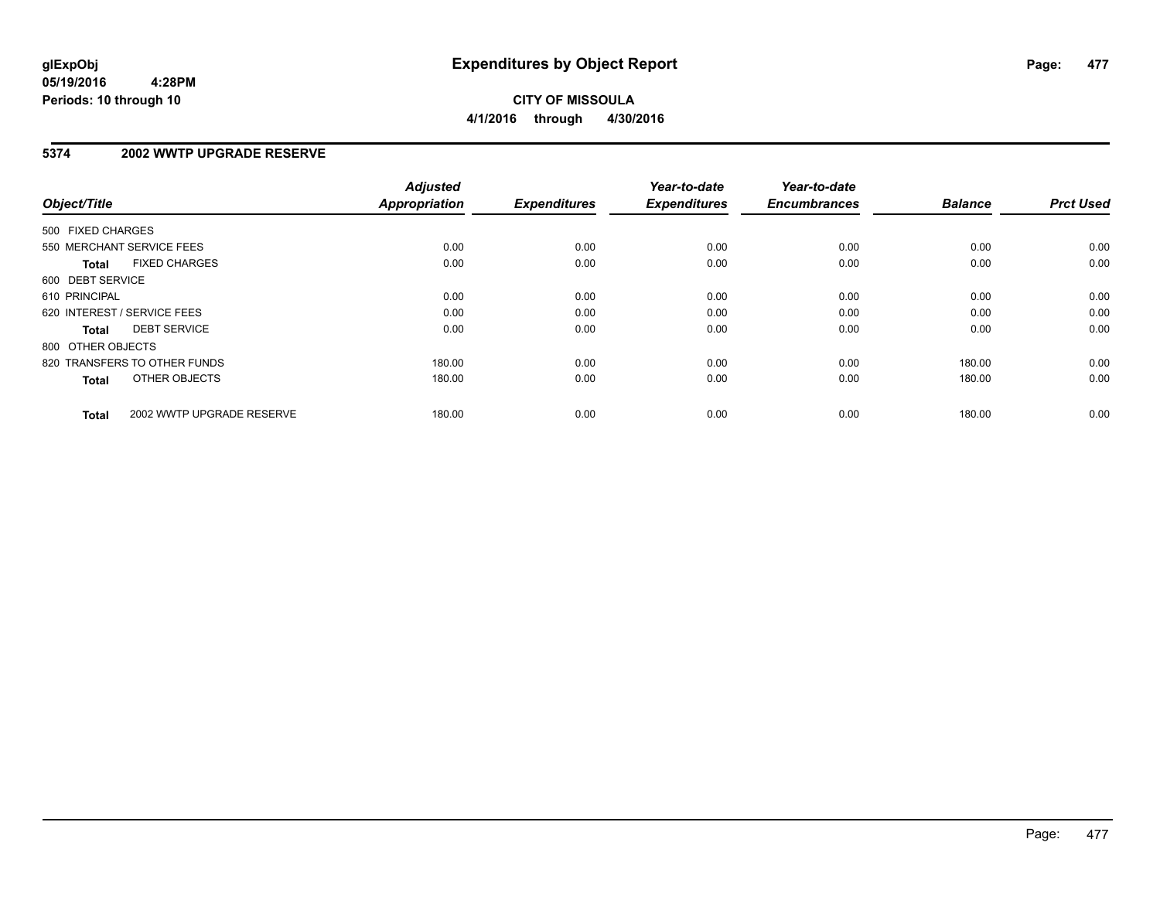## **5374 2002 WWTP UPGRADE RESERVE**

| Object/Title                              | <b>Adjusted</b><br><b>Appropriation</b> | <b>Expenditures</b> | Year-to-date<br><b>Expenditures</b> | Year-to-date<br><b>Encumbrances</b> | <b>Balance</b> | <b>Prct Used</b> |
|-------------------------------------------|-----------------------------------------|---------------------|-------------------------------------|-------------------------------------|----------------|------------------|
| 500 FIXED CHARGES                         |                                         |                     |                                     |                                     |                |                  |
| 550 MERCHANT SERVICE FEES                 | 0.00                                    | 0.00                | 0.00                                | 0.00                                | 0.00           | 0.00             |
| <b>FIXED CHARGES</b><br><b>Total</b>      | 0.00                                    | 0.00                | 0.00                                | 0.00                                | 0.00           | 0.00             |
| 600 DEBT SERVICE                          |                                         |                     |                                     |                                     |                |                  |
| 610 PRINCIPAL                             | 0.00                                    | 0.00                | 0.00                                | 0.00                                | 0.00           | 0.00             |
| 620 INTEREST / SERVICE FEES               | 0.00                                    | 0.00                | 0.00                                | 0.00                                | 0.00           | 0.00             |
| <b>DEBT SERVICE</b><br><b>Total</b>       | 0.00                                    | 0.00                | 0.00                                | 0.00                                | 0.00           | 0.00             |
| 800 OTHER OBJECTS                         |                                         |                     |                                     |                                     |                |                  |
| 820 TRANSFERS TO OTHER FUNDS              | 180.00                                  | 0.00                | 0.00                                | 0.00                                | 180.00         | 0.00             |
| OTHER OBJECTS<br><b>Total</b>             | 180.00                                  | 0.00                | 0.00                                | 0.00                                | 180.00         | 0.00             |
| 2002 WWTP UPGRADE RESERVE<br><b>Total</b> | 180.00                                  | 0.00                | 0.00                                | 0.00                                | 180.00         | 0.00             |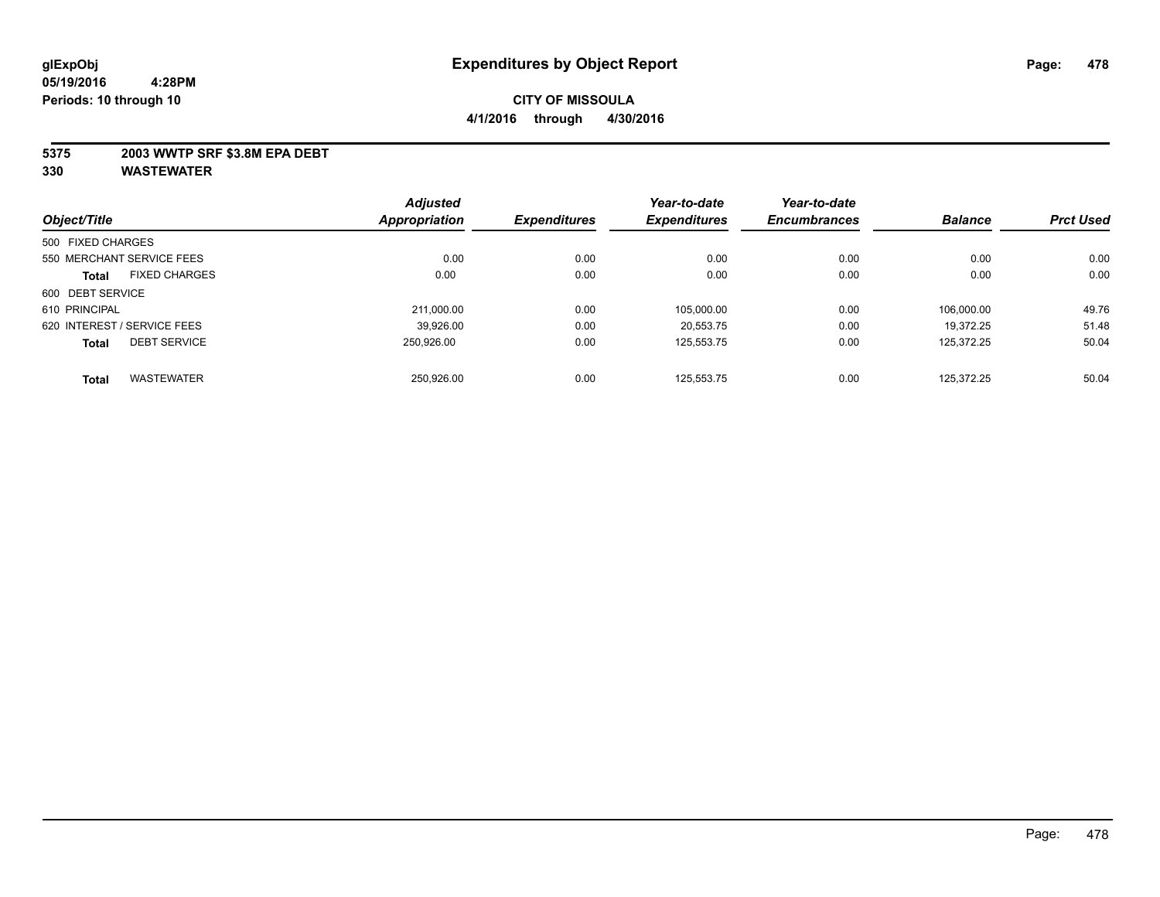### **5375 2003 WWTP SRF \$3.8M EPA DEBT**

| Object/Title      |                             | <b>Adjusted</b> | <b>Expenditures</b> | Year-to-date<br><b>Expenditures</b> | Year-to-date        | <b>Balance</b> | <b>Prct Used</b> |
|-------------------|-----------------------------|-----------------|---------------------|-------------------------------------|---------------------|----------------|------------------|
|                   |                             | Appropriation   |                     |                                     | <b>Encumbrances</b> |                |                  |
| 500 FIXED CHARGES |                             |                 |                     |                                     |                     |                |                  |
|                   | 550 MERCHANT SERVICE FEES   | 0.00            | 0.00                | 0.00                                | 0.00                | 0.00           | 0.00             |
| <b>Total</b>      | <b>FIXED CHARGES</b>        | 0.00            | 0.00                | 0.00                                | 0.00                | 0.00           | 0.00             |
| 600 DEBT SERVICE  |                             |                 |                     |                                     |                     |                |                  |
| 610 PRINCIPAL     |                             | 211,000.00      | 0.00                | 105,000.00                          | 0.00                | 106.000.00     | 49.76            |
|                   | 620 INTEREST / SERVICE FEES | 39.926.00       | 0.00                | 20.553.75                           | 0.00                | 19.372.25      | 51.48            |
| <b>Total</b>      | <b>DEBT SERVICE</b>         | 250.926.00      | 0.00                | 125,553.75                          | 0.00                | 125.372.25     | 50.04            |
| <b>Total</b>      | <b>WASTEWATER</b>           | 250.926.00      | 0.00                | 125.553.75                          | 0.00                | 125.372.25     | 50.04            |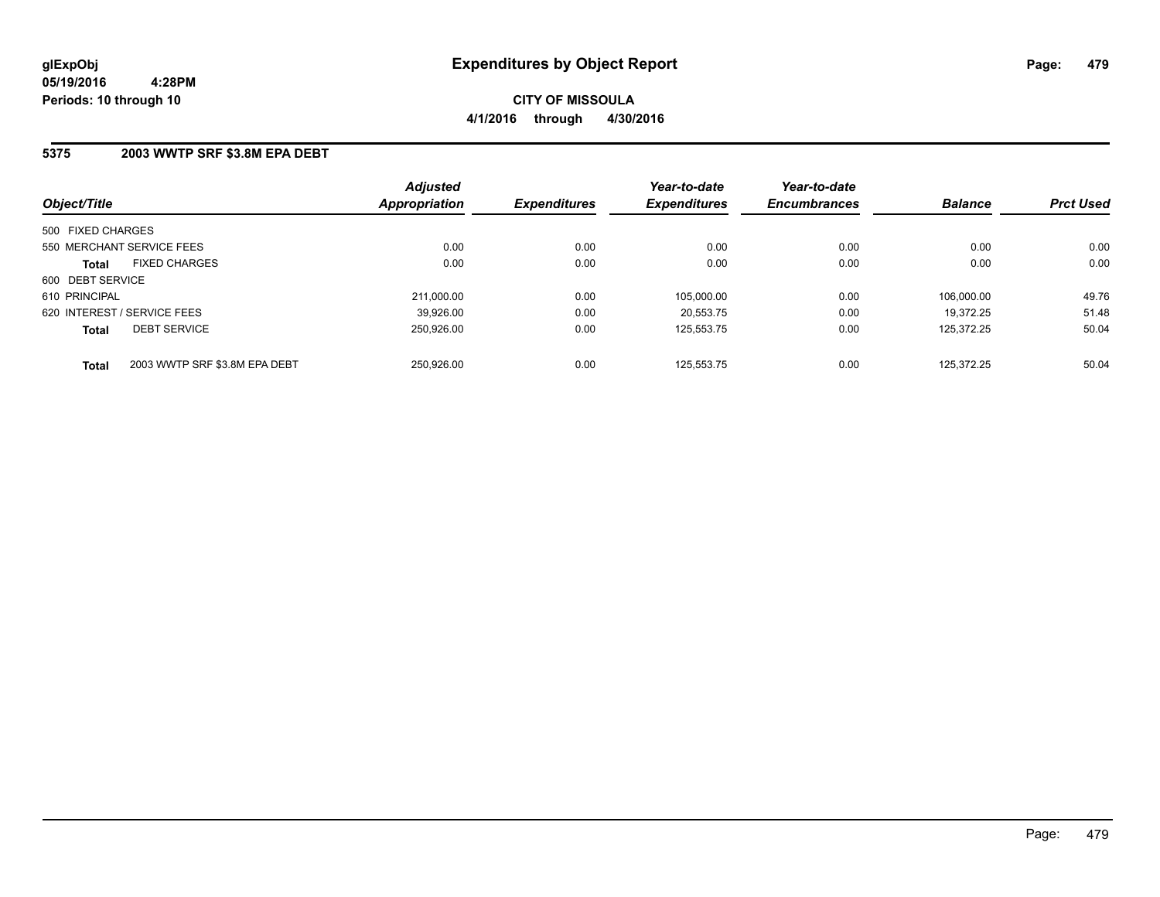### **5375 2003 WWTP SRF \$3.8M EPA DEBT**

| Object/Title                                  | <b>Adjusted</b><br><b>Appropriation</b> | <b>Expenditures</b> | Year-to-date<br><b>Expenditures</b> | Year-to-date<br><b>Encumbrances</b> | <b>Balance</b> | <b>Prct Used</b> |
|-----------------------------------------------|-----------------------------------------|---------------------|-------------------------------------|-------------------------------------|----------------|------------------|
| 500 FIXED CHARGES                             |                                         |                     |                                     |                                     |                |                  |
| 550 MERCHANT SERVICE FEES                     | 0.00                                    | 0.00                | 0.00                                | 0.00                                | 0.00           | 0.00             |
| <b>FIXED CHARGES</b><br><b>Total</b>          | 0.00                                    | 0.00                | 0.00                                | 0.00                                | 0.00           | 0.00             |
| 600 DEBT SERVICE                              |                                         |                     |                                     |                                     |                |                  |
| 610 PRINCIPAL                                 | 211.000.00                              | 0.00                | 105.000.00                          | 0.00                                | 106.000.00     | 49.76            |
| 620 INTEREST / SERVICE FEES                   | 39,926.00                               | 0.00                | 20,553.75                           | 0.00                                | 19.372.25      | 51.48            |
| <b>DEBT SERVICE</b><br><b>Total</b>           | 250.926.00                              | 0.00                | 125.553.75                          | 0.00                                | 125.372.25     | 50.04            |
| 2003 WWTP SRF \$3.8M EPA DEBT<br><b>Total</b> | 250.926.00                              | 0.00                | 125.553.75                          | 0.00                                | 125.372.25     | 50.04            |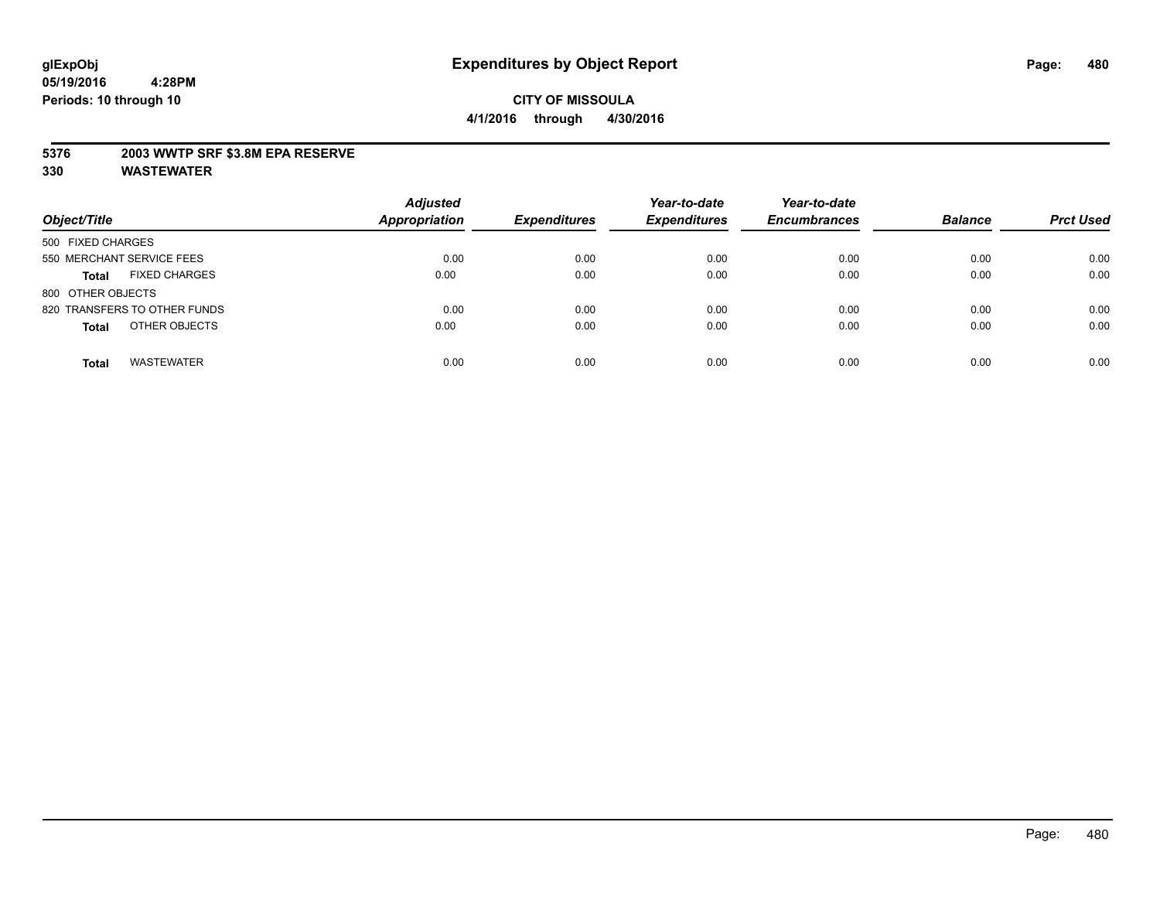### **5376 2003 WWTP SRF \$3.8M EPA RESERVE**

| Object/Title                         | <b>Adjusted</b><br><b>Appropriation</b> | <b>Expenditures</b> | Year-to-date<br><b>Expenditures</b> | Year-to-date<br><b>Encumbrances</b> | <b>Balance</b> | <b>Prct Used</b> |
|--------------------------------------|-----------------------------------------|---------------------|-------------------------------------|-------------------------------------|----------------|------------------|
|                                      |                                         |                     |                                     |                                     |                |                  |
| 500 FIXED CHARGES                    |                                         |                     |                                     |                                     |                |                  |
| 550 MERCHANT SERVICE FEES            | 0.00                                    | 0.00                | 0.00                                | 0.00                                | 0.00           | 0.00             |
| <b>FIXED CHARGES</b><br><b>Total</b> | 0.00                                    | 0.00                | 0.00                                | 0.00                                | 0.00           | 0.00             |
| 800 OTHER OBJECTS                    |                                         |                     |                                     |                                     |                |                  |
| 820 TRANSFERS TO OTHER FUNDS         | 0.00                                    | 0.00                | 0.00                                | 0.00                                | 0.00           | 0.00             |
| OTHER OBJECTS<br><b>Total</b>        | 0.00                                    | 0.00                | 0.00                                | 0.00                                | 0.00           | 0.00             |
| <b>WASTEWATER</b><br><b>Total</b>    | 0.00                                    | 0.00                | 0.00                                | 0.00                                | 0.00           | 0.00             |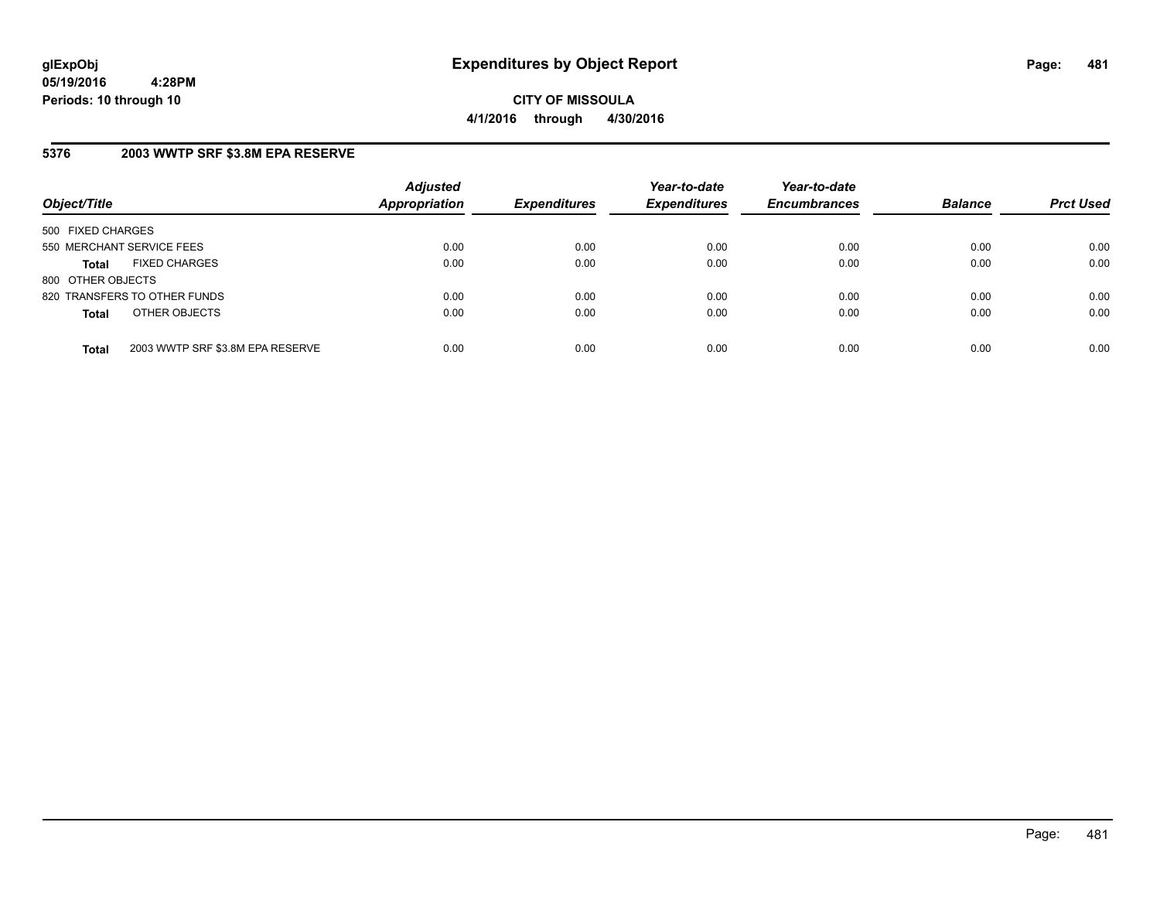# **CITY OF MISSOULA 4/1/2016 through 4/30/2016**

# **5376 2003 WWTP SRF \$3.8M EPA RESERVE**

| Object/Title              |                                  | <b>Adjusted</b><br><b>Appropriation</b> | <b>Expenditures</b> | Year-to-date<br><b>Expenditures</b> | Year-to-date<br><b>Encumbrances</b> | <b>Balance</b> | <b>Prct Used</b> |
|---------------------------|----------------------------------|-----------------------------------------|---------------------|-------------------------------------|-------------------------------------|----------------|------------------|
| 500 FIXED CHARGES         |                                  |                                         |                     |                                     |                                     |                |                  |
| 550 MERCHANT SERVICE FEES |                                  | 0.00                                    | 0.00                | 0.00                                | 0.00                                | 0.00           | 0.00             |
| <b>Total</b>              | <b>FIXED CHARGES</b>             | 0.00                                    | 0.00                | 0.00                                | 0.00                                | 0.00           | 0.00             |
| 800 OTHER OBJECTS         |                                  |                                         |                     |                                     |                                     |                |                  |
|                           | 820 TRANSFERS TO OTHER FUNDS     | 0.00                                    | 0.00                | 0.00                                | 0.00                                | 0.00           | 0.00             |
| <b>Total</b>              | OTHER OBJECTS                    | 0.00                                    | 0.00                | 0.00                                | 0.00                                | 0.00           | 0.00             |
| <b>Total</b>              | 2003 WWTP SRF \$3.8M EPA RESERVE | 0.00                                    | 0.00                | 0.00                                | 0.00                                | 0.00           | 0.00             |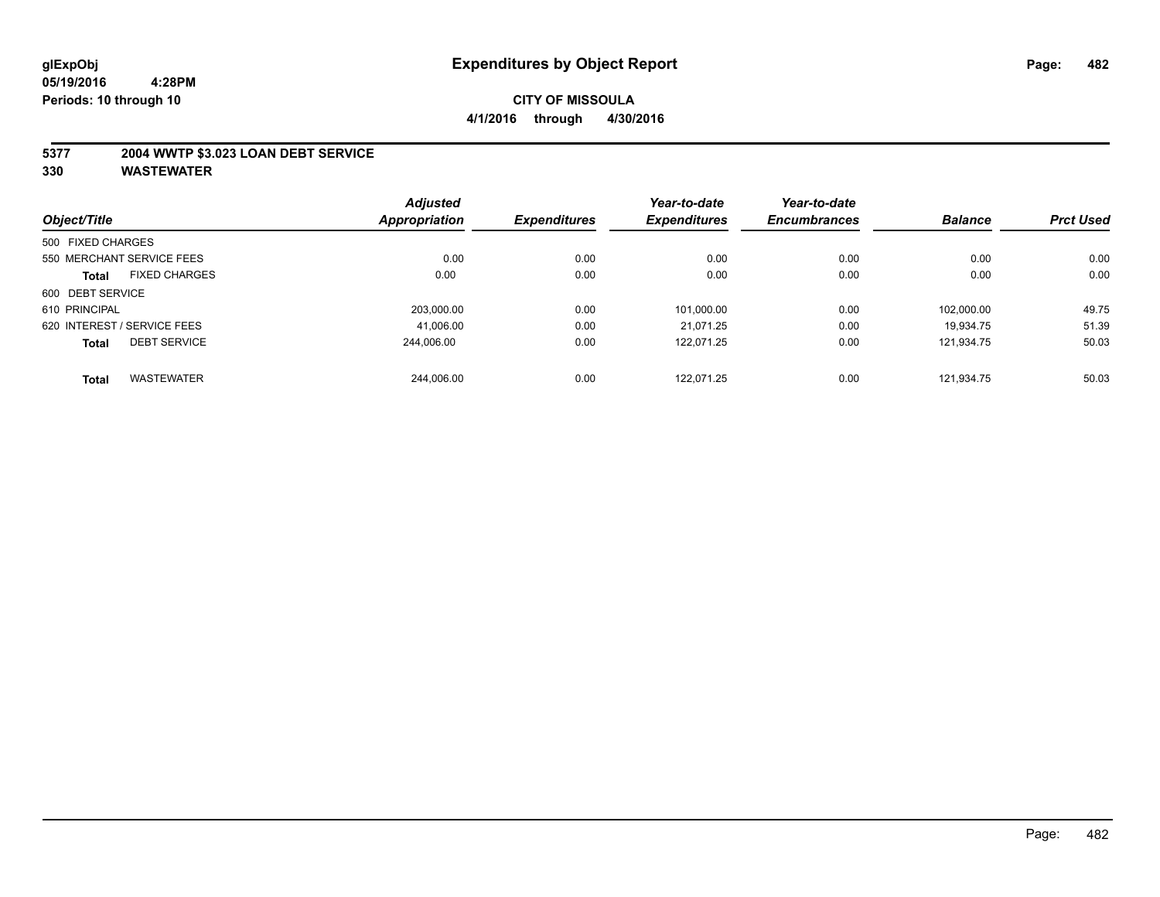### **5377 2004 WWTP \$3.023 LOAN DEBT SERVICE**

|                   |                             | <b>Adjusted</b> |                     | Year-to-date        | Year-to-date        |                |                  |
|-------------------|-----------------------------|-----------------|---------------------|---------------------|---------------------|----------------|------------------|
| Object/Title      |                             | Appropriation   | <b>Expenditures</b> | <b>Expenditures</b> | <b>Encumbrances</b> | <b>Balance</b> | <b>Prct Used</b> |
| 500 FIXED CHARGES |                             |                 |                     |                     |                     |                |                  |
|                   | 550 MERCHANT SERVICE FEES   | 0.00            | 0.00                | 0.00                | 0.00                | 0.00           | 0.00             |
| <b>Total</b>      | <b>FIXED CHARGES</b>        | 0.00            | 0.00                | 0.00                | 0.00                | 0.00           | 0.00             |
| 600 DEBT SERVICE  |                             |                 |                     |                     |                     |                |                  |
| 610 PRINCIPAL     |                             | 203.000.00      | 0.00                | 101,000.00          | 0.00                | 102.000.00     | 49.75            |
|                   | 620 INTEREST / SERVICE FEES | 41,006.00       | 0.00                | 21.071.25           | 0.00                | 19.934.75      | 51.39            |
| <b>Total</b>      | <b>DEBT SERVICE</b>         | 244.006.00      | 0.00                | 122.071.25          | 0.00                | 121.934.75     | 50.03            |
| <b>Total</b>      | <b>WASTEWATER</b>           | 244.006.00      | 0.00                | 122.071.25          | 0.00                | 121.934.75     | 50.03            |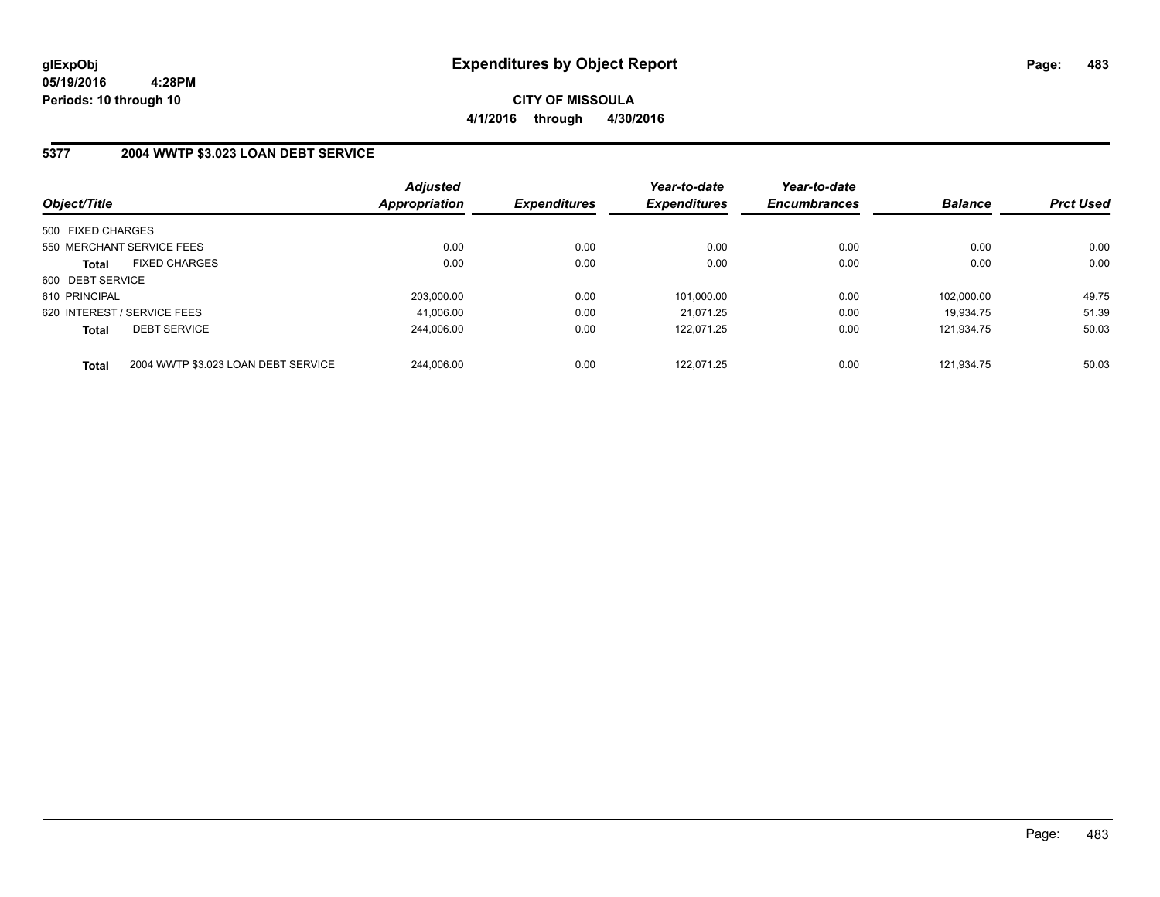# **CITY OF MISSOULA 4/1/2016 through 4/30/2016**

## **5377 2004 WWTP \$3.023 LOAN DEBT SERVICE**

| Object/Title      |                                     | <b>Adjusted</b><br><b>Appropriation</b> | <b>Expenditures</b> | Year-to-date<br><b>Expenditures</b> | Year-to-date<br><b>Encumbrances</b> | <b>Balance</b> | <b>Prct Used</b> |
|-------------------|-------------------------------------|-----------------------------------------|---------------------|-------------------------------------|-------------------------------------|----------------|------------------|
| 500 FIXED CHARGES |                                     |                                         |                     |                                     |                                     |                |                  |
|                   | 550 MERCHANT SERVICE FEES           | 0.00                                    | 0.00                | 0.00                                | 0.00                                | 0.00           | 0.00             |
| <b>Total</b>      | <b>FIXED CHARGES</b>                | 0.00                                    | 0.00                | 0.00                                | 0.00                                | 0.00           | 0.00             |
| 600 DEBT SERVICE  |                                     |                                         |                     |                                     |                                     |                |                  |
| 610 PRINCIPAL     |                                     | 203.000.00                              | 0.00                | 101.000.00                          | 0.00                                | 102.000.00     | 49.75            |
|                   | 620 INTEREST / SERVICE FEES         | 41.006.00                               | 0.00                | 21.071.25                           | 0.00                                | 19.934.75      | 51.39            |
| <b>Total</b>      | <b>DEBT SERVICE</b>                 | 244.006.00                              | 0.00                | 122.071.25                          | 0.00                                | 121.934.75     | 50.03            |
| <b>Total</b>      | 2004 WWTP \$3.023 LOAN DEBT SERVICE | 244.006.00                              | 0.00                | 122.071.25                          | 0.00                                | 121.934.75     | 50.03            |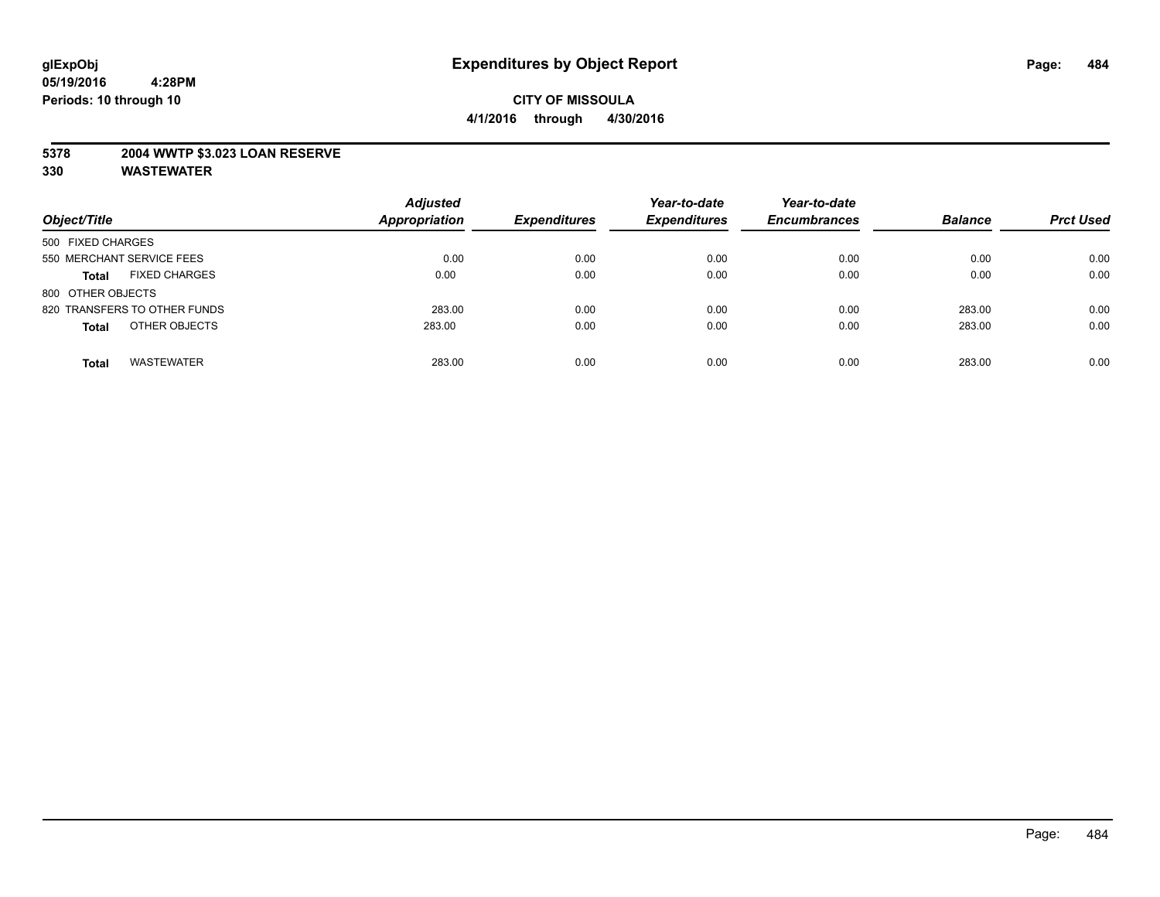### **5378 2004 WWTP \$3.023 LOAN RESERVE**

| Object/Title                         | <b>Adjusted</b><br><b>Appropriation</b> | <b>Expenditures</b> | Year-to-date<br><b>Expenditures</b> | Year-to-date<br><b>Encumbrances</b> | <b>Balance</b> | <b>Prct Used</b> |
|--------------------------------------|-----------------------------------------|---------------------|-------------------------------------|-------------------------------------|----------------|------------------|
| 500 FIXED CHARGES                    |                                         |                     |                                     |                                     |                |                  |
| 550 MERCHANT SERVICE FEES            | 0.00                                    | 0.00                | 0.00                                | 0.00                                | 0.00           | 0.00             |
| <b>FIXED CHARGES</b><br><b>Total</b> | 0.00                                    | 0.00                | 0.00                                | 0.00                                | 0.00           | 0.00             |
| 800 OTHER OBJECTS                    |                                         |                     |                                     |                                     |                |                  |
| 820 TRANSFERS TO OTHER FUNDS         | 283.00                                  | 0.00                | 0.00                                | 0.00                                | 283.00         | 0.00             |
| OTHER OBJECTS<br><b>Total</b>        | 283.00                                  | 0.00                | 0.00                                | 0.00                                | 283.00         | 0.00             |
| <b>WASTEWATER</b><br><b>Total</b>    | 283.00                                  | 0.00                | 0.00                                | 0.00                                | 283.00         | 0.00             |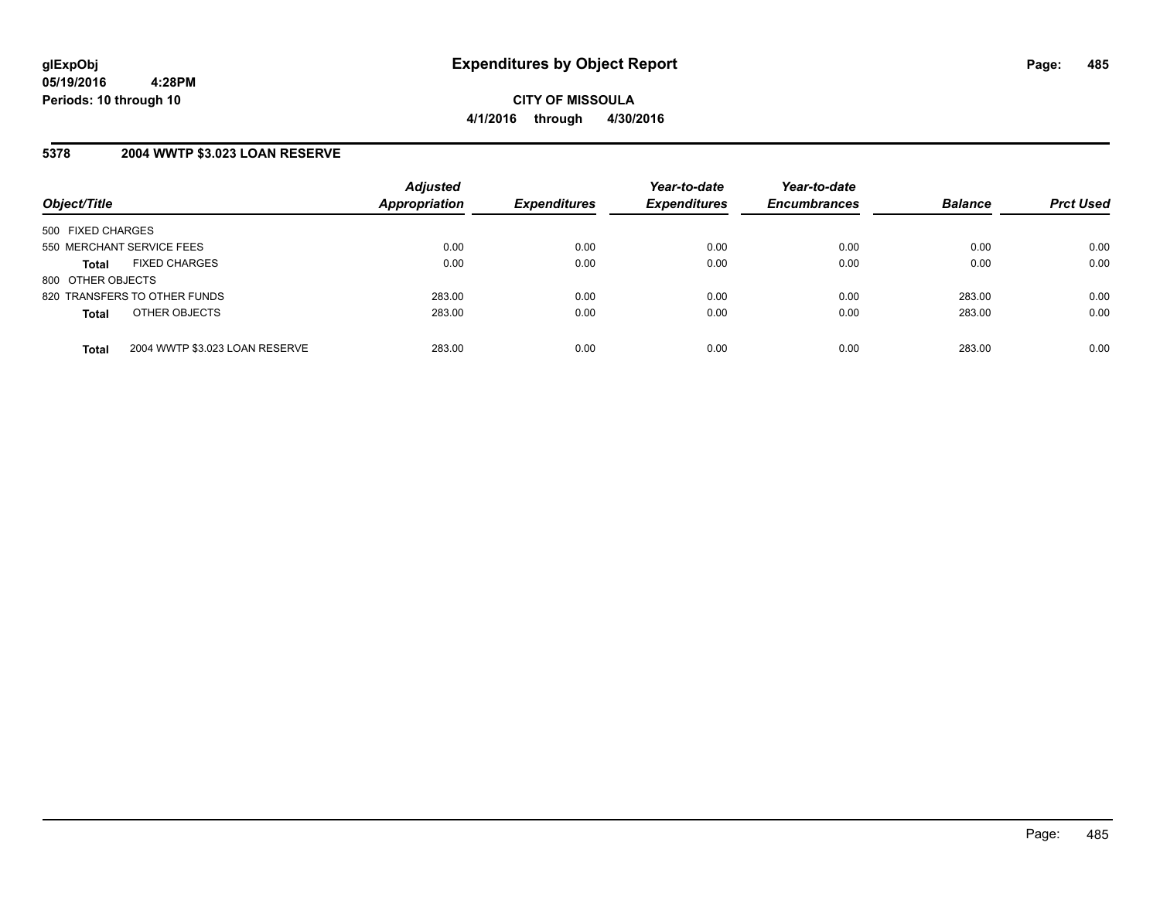### **5378 2004 WWTP \$3.023 LOAN RESERVE**

| Object/Title              |                                | <b>Adjusted</b><br><b>Appropriation</b> | <b>Expenditures</b> | Year-to-date<br><b>Expenditures</b> | Year-to-date<br><b>Encumbrances</b> | <b>Balance</b> | <b>Prct Used</b> |
|---------------------------|--------------------------------|-----------------------------------------|---------------------|-------------------------------------|-------------------------------------|----------------|------------------|
| 500 FIXED CHARGES         |                                |                                         |                     |                                     |                                     |                |                  |
| 550 MERCHANT SERVICE FEES |                                | 0.00                                    | 0.00                | 0.00                                | 0.00                                | 0.00           | 0.00             |
| <b>Total</b>              | <b>FIXED CHARGES</b>           | 0.00                                    | 0.00                | 0.00                                | 0.00                                | 0.00           | 0.00             |
| 800 OTHER OBJECTS         |                                |                                         |                     |                                     |                                     |                |                  |
|                           | 820 TRANSFERS TO OTHER FUNDS   | 283.00                                  | 0.00                | 0.00                                | 0.00                                | 283.00         | 0.00             |
| <b>Total</b>              | OTHER OBJECTS                  | 283.00                                  | 0.00                | 0.00                                | 0.00                                | 283.00         | 0.00             |
| <b>Total</b>              | 2004 WWTP \$3.023 LOAN RESERVE | 283.00                                  | 0.00                | 0.00                                | 0.00                                | 283.00         | 0.00             |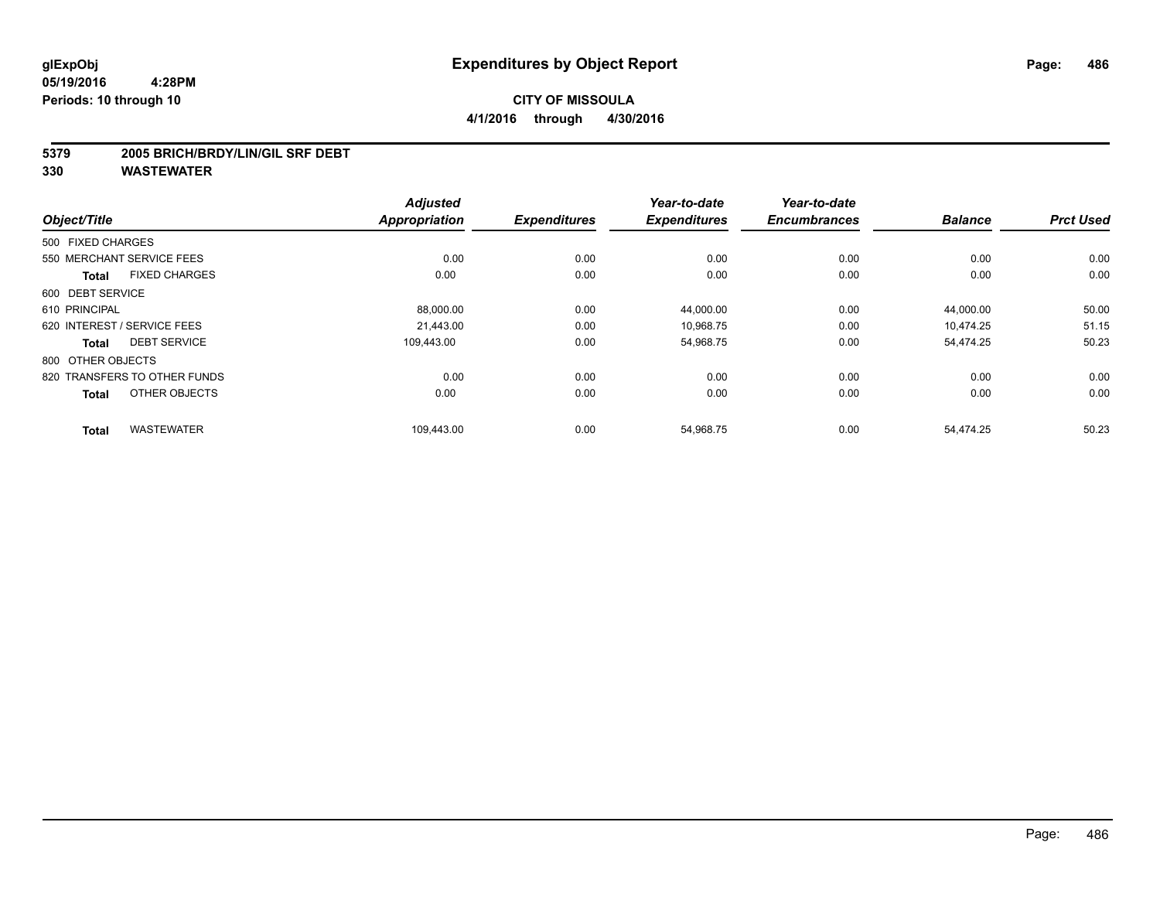#### **5379 2005 BRICH/BRDY/LIN/GIL SRF DEBT**

| Object/Title                |                              | <b>Adjusted</b><br><b>Appropriation</b> | <b>Expenditures</b> | Year-to-date<br><b>Expenditures</b> | Year-to-date<br><b>Encumbrances</b> | <b>Balance</b> | <b>Prct Used</b> |
|-----------------------------|------------------------------|-----------------------------------------|---------------------|-------------------------------------|-------------------------------------|----------------|------------------|
| 500 FIXED CHARGES           |                              |                                         |                     |                                     |                                     |                |                  |
| 550 MERCHANT SERVICE FEES   |                              | 0.00                                    | 0.00                | 0.00                                | 0.00                                | 0.00           | 0.00             |
| <b>Total</b>                | <b>FIXED CHARGES</b>         | 0.00                                    | 0.00                | 0.00                                | 0.00                                | 0.00           | 0.00             |
| 600 DEBT SERVICE            |                              |                                         |                     |                                     |                                     |                |                  |
| 610 PRINCIPAL               |                              | 88,000.00                               | 0.00                | 44,000.00                           | 0.00                                | 44,000.00      | 50.00            |
| 620 INTEREST / SERVICE FEES |                              | 21.443.00                               | 0.00                | 10,968.75                           | 0.00                                | 10.474.25      | 51.15            |
| <b>Total</b>                | <b>DEBT SERVICE</b>          | 109.443.00                              | 0.00                | 54,968.75                           | 0.00                                | 54,474.25      | 50.23            |
| 800 OTHER OBJECTS           |                              |                                         |                     |                                     |                                     |                |                  |
|                             | 820 TRANSFERS TO OTHER FUNDS | 0.00                                    | 0.00                | 0.00                                | 0.00                                | 0.00           | 0.00             |
| <b>Total</b>                | OTHER OBJECTS                | 0.00                                    | 0.00                | 0.00                                | 0.00                                | 0.00           | 0.00             |
| <b>Total</b>                | <b>WASTEWATER</b>            | 109,443.00                              | 0.00                | 54,968.75                           | 0.00                                | 54,474.25      | 50.23            |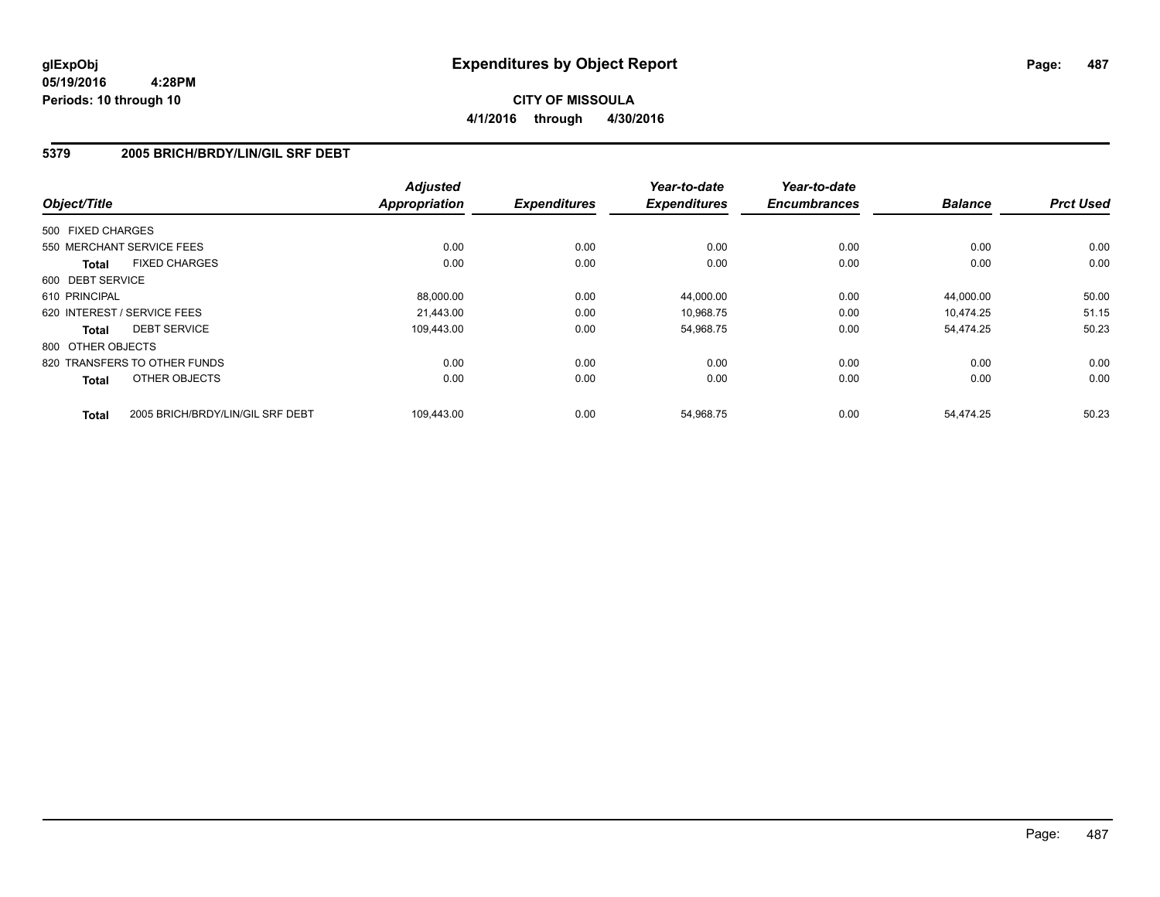# **CITY OF MISSOULA 4/1/2016 through 4/30/2016**

### **5379 2005 BRICH/BRDY/LIN/GIL SRF DEBT**

| Object/Title      |                                  | <b>Adjusted</b><br><b>Appropriation</b> | <b>Expenditures</b> | Year-to-date<br><b>Expenditures</b> | Year-to-date<br><b>Encumbrances</b> | <b>Balance</b> | <b>Prct Used</b> |
|-------------------|----------------------------------|-----------------------------------------|---------------------|-------------------------------------|-------------------------------------|----------------|------------------|
| 500 FIXED CHARGES |                                  |                                         |                     |                                     |                                     |                |                  |
|                   |                                  |                                         |                     |                                     |                                     |                |                  |
|                   | 550 MERCHANT SERVICE FEES        | 0.00                                    | 0.00                | 0.00                                | 0.00                                | 0.00           | 0.00             |
| <b>Total</b>      | <b>FIXED CHARGES</b>             | 0.00                                    | 0.00                | 0.00                                | 0.00                                | 0.00           | 0.00             |
| 600 DEBT SERVICE  |                                  |                                         |                     |                                     |                                     |                |                  |
| 610 PRINCIPAL     |                                  | 88,000.00                               | 0.00                | 44,000.00                           | 0.00                                | 44,000.00      | 50.00            |
|                   | 620 INTEREST / SERVICE FEES      | 21,443.00                               | 0.00                | 10,968.75                           | 0.00                                | 10.474.25      | 51.15            |
| <b>Total</b>      | <b>DEBT SERVICE</b>              | 109.443.00                              | 0.00                | 54,968.75                           | 0.00                                | 54,474.25      | 50.23            |
| 800 OTHER OBJECTS |                                  |                                         |                     |                                     |                                     |                |                  |
|                   | 820 TRANSFERS TO OTHER FUNDS     | 0.00                                    | 0.00                | 0.00                                | 0.00                                | 0.00           | 0.00             |
| Total             | OTHER OBJECTS                    | 0.00                                    | 0.00                | 0.00                                | 0.00                                | 0.00           | 0.00             |
| <b>Total</b>      | 2005 BRICH/BRDY/LIN/GIL SRF DEBT | 109,443.00                              | 0.00                | 54,968.75                           | 0.00                                | 54.474.25      | 50.23            |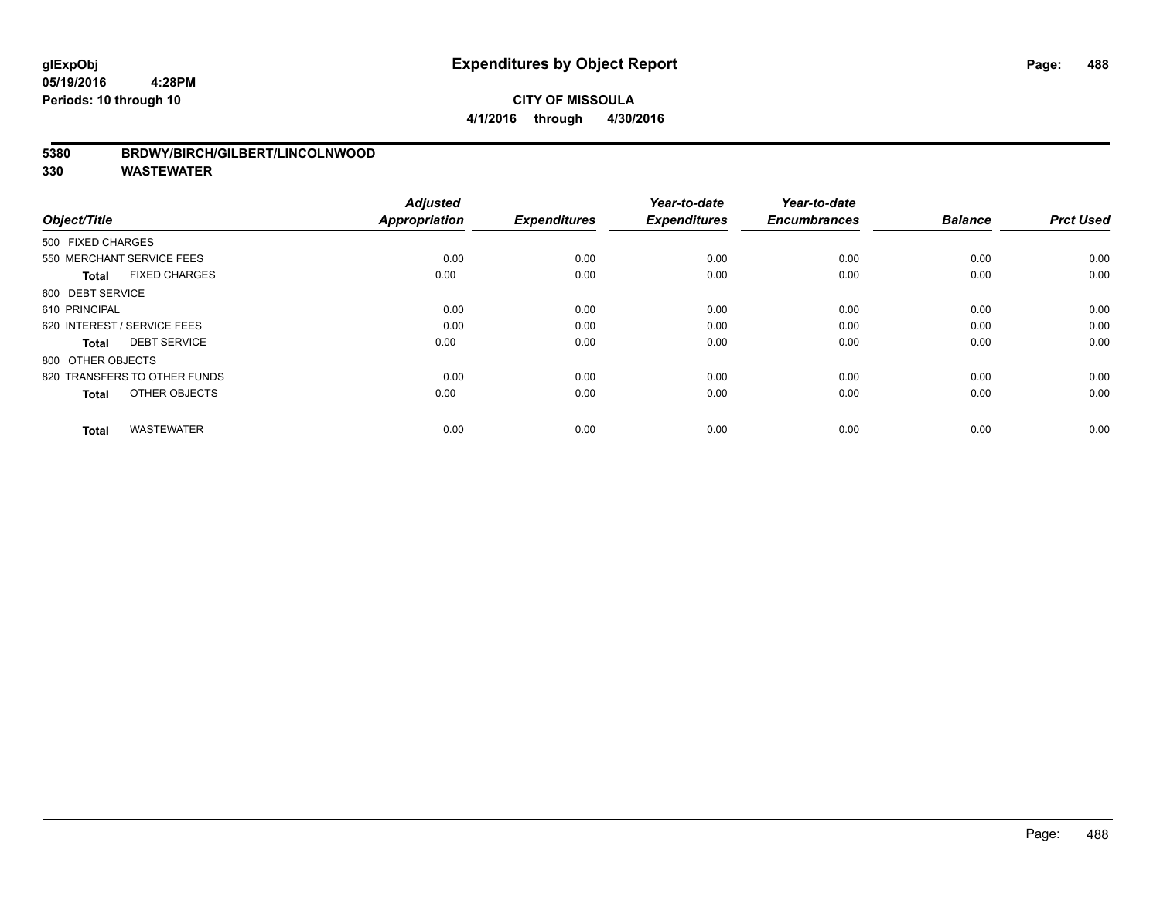### **5380 BRDWY/BIRCH/GILBERT/LINCOLNWOOD**

| Object/Title                         | <b>Adjusted</b><br><b>Appropriation</b> | <b>Expenditures</b> | Year-to-date<br><b>Expenditures</b> | Year-to-date<br><b>Encumbrances</b> | <b>Balance</b> | <b>Prct Used</b> |
|--------------------------------------|-----------------------------------------|---------------------|-------------------------------------|-------------------------------------|----------------|------------------|
| 500 FIXED CHARGES                    |                                         |                     |                                     |                                     |                |                  |
| 550 MERCHANT SERVICE FEES            | 0.00                                    | 0.00                | 0.00                                | 0.00                                | 0.00           | 0.00             |
| <b>FIXED CHARGES</b><br><b>Total</b> | 0.00                                    | 0.00                | 0.00                                | 0.00                                | 0.00           | 0.00             |
| 600 DEBT SERVICE                     |                                         |                     |                                     |                                     |                |                  |
| 610 PRINCIPAL                        | 0.00                                    | 0.00                | 0.00                                | 0.00                                | 0.00           | 0.00             |
| 620 INTEREST / SERVICE FEES          | 0.00                                    | 0.00                | 0.00                                | 0.00                                | 0.00           | 0.00             |
| <b>DEBT SERVICE</b><br><b>Total</b>  | 0.00                                    | 0.00                | 0.00                                | 0.00                                | 0.00           | 0.00             |
| 800 OTHER OBJECTS                    |                                         |                     |                                     |                                     |                |                  |
| 820 TRANSFERS TO OTHER FUNDS         | 0.00                                    | 0.00                | 0.00                                | 0.00                                | 0.00           | 0.00             |
| OTHER OBJECTS<br><b>Total</b>        | 0.00                                    | 0.00                | 0.00                                | 0.00                                | 0.00           | 0.00             |
|                                      |                                         |                     |                                     |                                     |                |                  |
| <b>WASTEWATER</b><br><b>Total</b>    | 0.00                                    | 0.00                | 0.00                                | 0.00                                | 0.00           | 0.00             |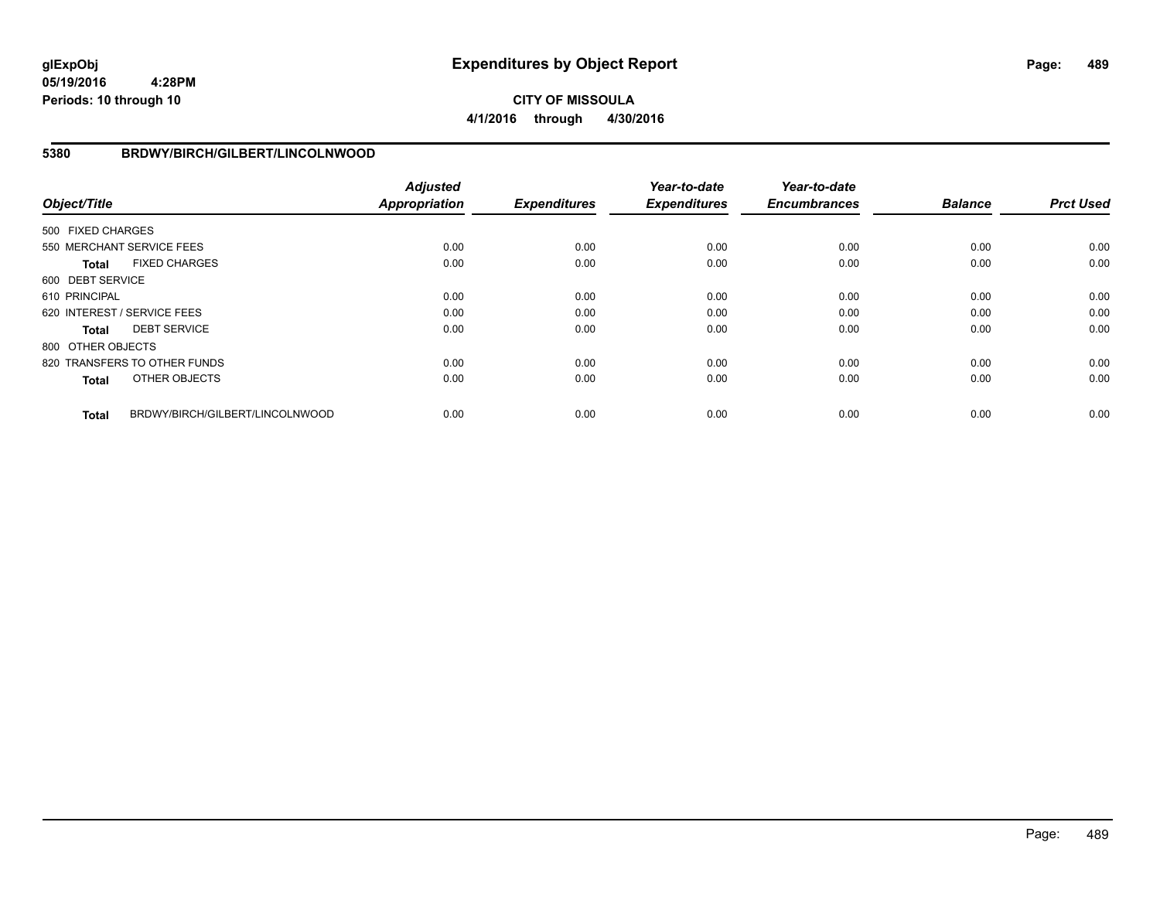### **CITY OF MISSOULA 4/1/2016 through 4/30/2016**

### **5380 BRDWY/BIRCH/GILBERT/LINCOLNWOOD**

| Object/Title      |                                 | <b>Adjusted</b><br>Appropriation | <b>Expenditures</b> | Year-to-date<br><b>Expenditures</b> | Year-to-date<br><b>Encumbrances</b> | <b>Balance</b> | <b>Prct Used</b> |
|-------------------|---------------------------------|----------------------------------|---------------------|-------------------------------------|-------------------------------------|----------------|------------------|
| 500 FIXED CHARGES |                                 |                                  |                     |                                     |                                     |                |                  |
|                   | 550 MERCHANT SERVICE FEES       | 0.00                             | 0.00                | 0.00                                | 0.00                                | 0.00           | 0.00             |
| <b>Total</b>      | <b>FIXED CHARGES</b>            | 0.00                             | 0.00                | 0.00                                | 0.00                                | 0.00           | 0.00             |
| 600 DEBT SERVICE  |                                 |                                  |                     |                                     |                                     |                |                  |
| 610 PRINCIPAL     |                                 | 0.00                             | 0.00                | 0.00                                | 0.00                                | 0.00           | 0.00             |
|                   | 620 INTEREST / SERVICE FEES     | 0.00                             | 0.00                | 0.00                                | 0.00                                | 0.00           | 0.00             |
| <b>Total</b>      | <b>DEBT SERVICE</b>             | 0.00                             | 0.00                | 0.00                                | 0.00                                | 0.00           | 0.00             |
| 800 OTHER OBJECTS |                                 |                                  |                     |                                     |                                     |                |                  |
|                   | 820 TRANSFERS TO OTHER FUNDS    | 0.00                             | 0.00                | 0.00                                | 0.00                                | 0.00           | 0.00             |
| <b>Total</b>      | OTHER OBJECTS                   | 0.00                             | 0.00                | 0.00                                | 0.00                                | 0.00           | 0.00             |
| <b>Total</b>      | BRDWY/BIRCH/GILBERT/LINCOLNWOOD | 0.00                             | 0.00                | 0.00                                | 0.00                                | 0.00           | 0.00             |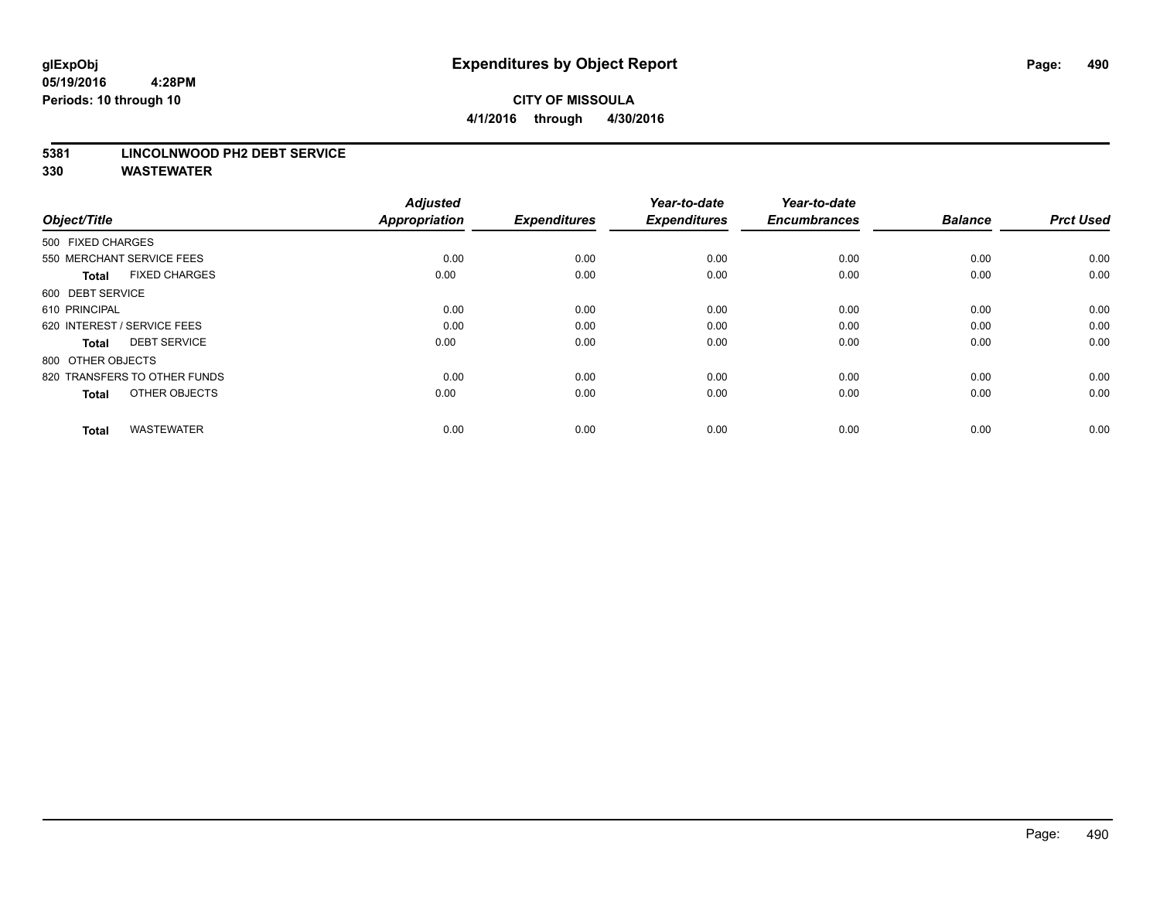# **CITY OF MISSOULA 4/1/2016 through 4/30/2016**

#### **5381 LINCOLNWOOD PH2 DEBT SERVICE**

| Object/Title                         | <b>Adjusted</b><br><b>Appropriation</b> | <b>Expenditures</b> | Year-to-date<br><b>Expenditures</b> | Year-to-date<br><b>Encumbrances</b> | <b>Balance</b> | <b>Prct Used</b> |
|--------------------------------------|-----------------------------------------|---------------------|-------------------------------------|-------------------------------------|----------------|------------------|
| 500 FIXED CHARGES                    |                                         |                     |                                     |                                     |                |                  |
| 550 MERCHANT SERVICE FEES            | 0.00                                    | 0.00                | 0.00                                | 0.00                                | 0.00           | 0.00             |
| <b>FIXED CHARGES</b><br><b>Total</b> | 0.00                                    | 0.00                | 0.00                                | 0.00                                | 0.00           | 0.00             |
| 600 DEBT SERVICE                     |                                         |                     |                                     |                                     |                |                  |
| 610 PRINCIPAL                        | 0.00                                    | 0.00                | 0.00                                | 0.00                                | 0.00           | 0.00             |
| 620 INTEREST / SERVICE FEES          | 0.00                                    | 0.00                | 0.00                                | 0.00                                | 0.00           | 0.00             |
| <b>DEBT SERVICE</b><br><b>Total</b>  | 0.00                                    | 0.00                | 0.00                                | 0.00                                | 0.00           | 0.00             |
| 800 OTHER OBJECTS                    |                                         |                     |                                     |                                     |                |                  |
| 820 TRANSFERS TO OTHER FUNDS         | 0.00                                    | 0.00                | 0.00                                | 0.00                                | 0.00           | 0.00             |
| OTHER OBJECTS<br><b>Total</b>        | 0.00                                    | 0.00                | 0.00                                | 0.00                                | 0.00           | 0.00             |
|                                      |                                         |                     |                                     |                                     |                |                  |
| <b>WASTEWATER</b><br><b>Total</b>    | 0.00                                    | 0.00                | 0.00                                | 0.00                                | 0.00           | 0.00             |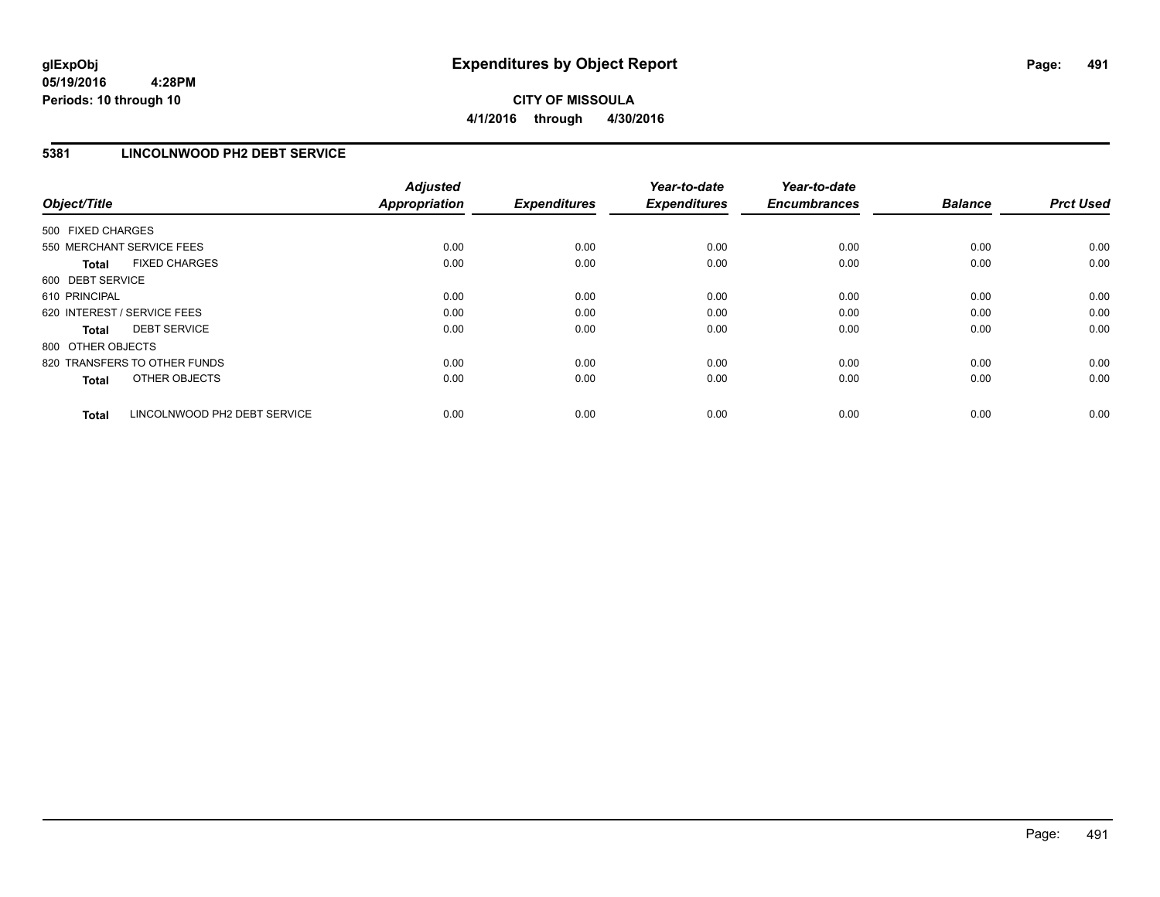### **5381 LINCOLNWOOD PH2 DEBT SERVICE**

| Object/Title                 |                              | <b>Adjusted</b><br><b>Appropriation</b> | <b>Expenditures</b> | Year-to-date<br><b>Expenditures</b> | Year-to-date<br><b>Encumbrances</b> | <b>Balance</b> | <b>Prct Used</b> |
|------------------------------|------------------------------|-----------------------------------------|---------------------|-------------------------------------|-------------------------------------|----------------|------------------|
| 500 FIXED CHARGES            |                              |                                         |                     |                                     |                                     |                |                  |
| 550 MERCHANT SERVICE FEES    |                              | 0.00                                    | 0.00                | 0.00                                | 0.00                                | 0.00           | 0.00             |
| <b>Total</b>                 | <b>FIXED CHARGES</b>         | 0.00                                    | 0.00                | 0.00                                | 0.00                                | 0.00           | 0.00             |
| 600 DEBT SERVICE             |                              |                                         |                     |                                     |                                     |                |                  |
| 610 PRINCIPAL                |                              | 0.00                                    | 0.00                | 0.00                                | 0.00                                | 0.00           | 0.00             |
| 620 INTEREST / SERVICE FEES  |                              | 0.00                                    | 0.00                | 0.00                                | 0.00                                | 0.00           | 0.00             |
| Total                        | <b>DEBT SERVICE</b>          | 0.00                                    | 0.00                | 0.00                                | 0.00                                | 0.00           | 0.00             |
| 800 OTHER OBJECTS            |                              |                                         |                     |                                     |                                     |                |                  |
| 820 TRANSFERS TO OTHER FUNDS |                              | 0.00                                    | 0.00                | 0.00                                | 0.00                                | 0.00           | 0.00             |
| <b>Total</b>                 | OTHER OBJECTS                | 0.00                                    | 0.00                | 0.00                                | 0.00                                | 0.00           | 0.00             |
| <b>Total</b>                 | LINCOLNWOOD PH2 DEBT SERVICE | 0.00                                    | 0.00                | 0.00                                | 0.00                                | 0.00           | 0.00             |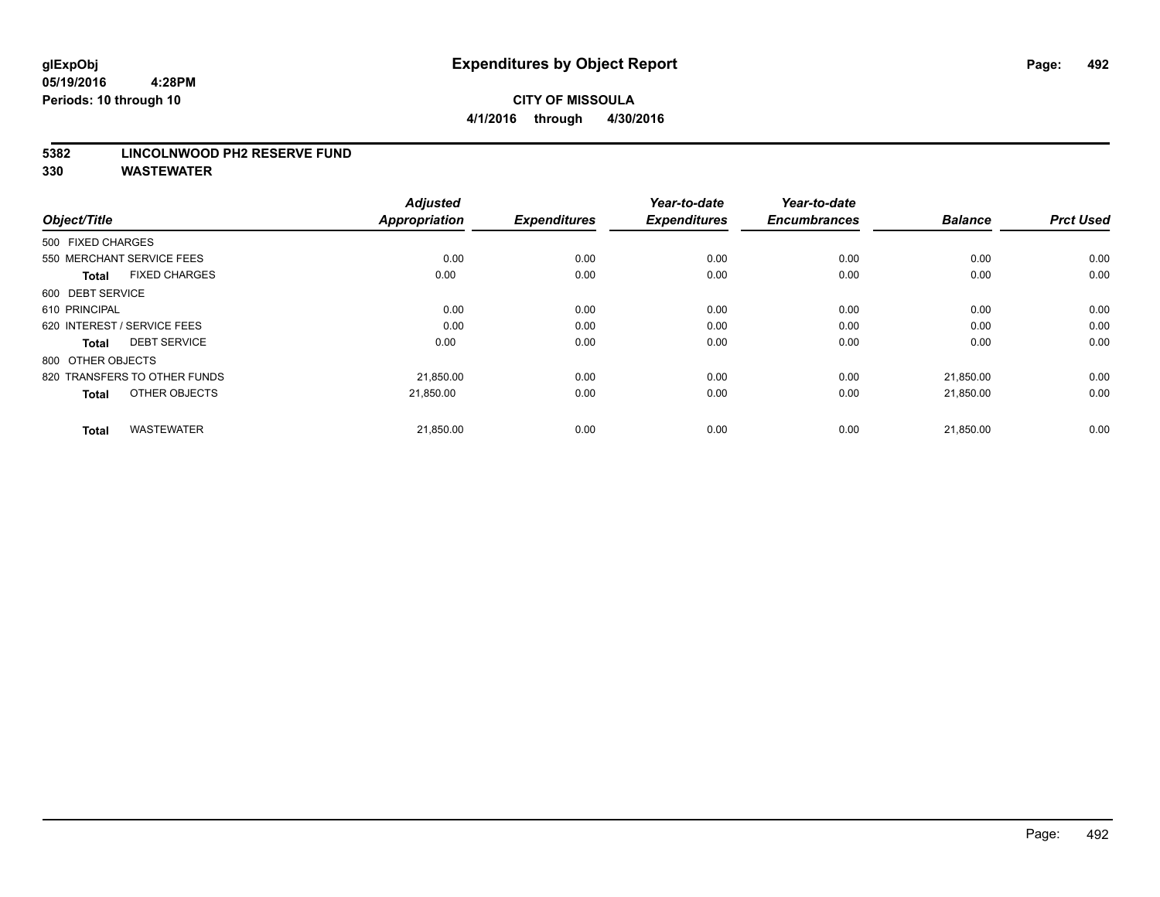#### **5382 LINCOLNWOOD PH2 RESERVE FUND**

| Object/Title                         | <b>Adjusted</b><br><b>Appropriation</b> | <b>Expenditures</b> | Year-to-date<br><b>Expenditures</b> | Year-to-date<br><b>Encumbrances</b> | <b>Balance</b> | <b>Prct Used</b> |
|--------------------------------------|-----------------------------------------|---------------------|-------------------------------------|-------------------------------------|----------------|------------------|
| 500 FIXED CHARGES                    |                                         |                     |                                     |                                     |                |                  |
| 550 MERCHANT SERVICE FEES            | 0.00                                    | 0.00                | 0.00                                | 0.00                                | 0.00           | 0.00             |
| <b>FIXED CHARGES</b><br><b>Total</b> | 0.00                                    | 0.00                | 0.00                                | 0.00                                | 0.00           | 0.00             |
| 600 DEBT SERVICE                     |                                         |                     |                                     |                                     |                |                  |
| 610 PRINCIPAL                        | 0.00                                    | 0.00                | 0.00                                | 0.00                                | 0.00           | 0.00             |
| 620 INTEREST / SERVICE FEES          | 0.00                                    | 0.00                | 0.00                                | 0.00                                | 0.00           | 0.00             |
| <b>DEBT SERVICE</b><br><b>Total</b>  | 0.00                                    | 0.00                | 0.00                                | 0.00                                | 0.00           | 0.00             |
| 800 OTHER OBJECTS                    |                                         |                     |                                     |                                     |                |                  |
| 820 TRANSFERS TO OTHER FUNDS         | 21,850.00                               | 0.00                | 0.00                                | 0.00                                | 21,850.00      | 0.00             |
| OTHER OBJECTS<br><b>Total</b>        | 21,850.00                               | 0.00                | 0.00                                | 0.00                                | 21,850.00      | 0.00             |
|                                      |                                         |                     |                                     |                                     |                |                  |
| <b>WASTEWATER</b><br><b>Total</b>    | 21,850.00                               | 0.00                | 0.00                                | 0.00                                | 21,850.00      | 0.00             |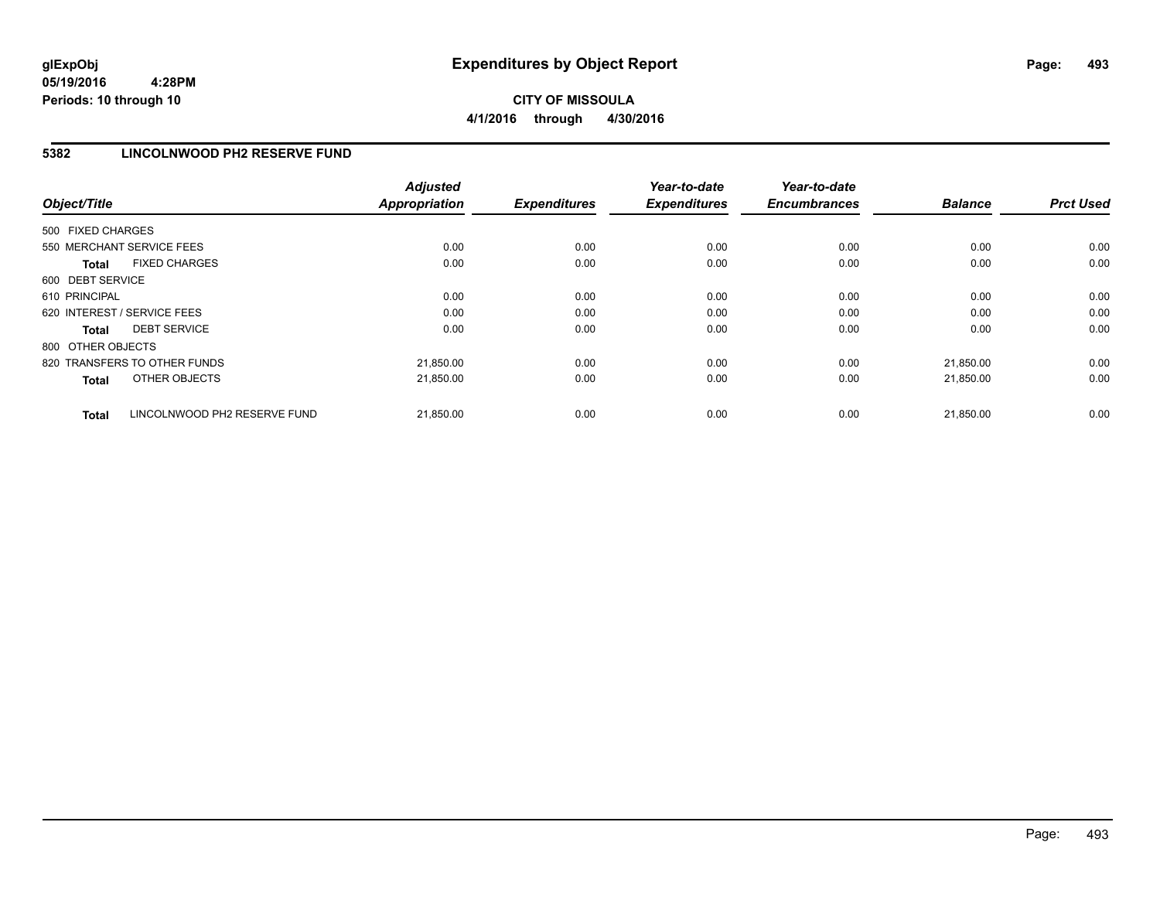# **CITY OF MISSOULA 4/1/2016 through 4/30/2016**

### **5382 LINCOLNWOOD PH2 RESERVE FUND**

| Object/Title                |                              | <b>Adjusted</b><br>Appropriation | <b>Expenditures</b> | Year-to-date<br><b>Expenditures</b> | Year-to-date<br><b>Encumbrances</b> | <b>Balance</b> | <b>Prct Used</b> |
|-----------------------------|------------------------------|----------------------------------|---------------------|-------------------------------------|-------------------------------------|----------------|------------------|
| 500 FIXED CHARGES           |                              |                                  |                     |                                     |                                     |                |                  |
| 550 MERCHANT SERVICE FEES   |                              | 0.00                             | 0.00                | 0.00                                | 0.00                                | 0.00           | 0.00             |
| <b>Total</b>                | <b>FIXED CHARGES</b>         | 0.00                             | 0.00                | 0.00                                | 0.00                                | 0.00           | 0.00             |
| 600 DEBT SERVICE            |                              |                                  |                     |                                     |                                     |                |                  |
| 610 PRINCIPAL               |                              | 0.00                             | 0.00                | 0.00                                | 0.00                                | 0.00           | 0.00             |
| 620 INTEREST / SERVICE FEES |                              | 0.00                             | 0.00                | 0.00                                | 0.00                                | 0.00           | 0.00             |
| <b>Total</b>                | <b>DEBT SERVICE</b>          | 0.00                             | 0.00                | 0.00                                | 0.00                                | 0.00           | 0.00             |
| 800 OTHER OBJECTS           |                              |                                  |                     |                                     |                                     |                |                  |
|                             | 820 TRANSFERS TO OTHER FUNDS | 21.850.00                        | 0.00                | 0.00                                | 0.00                                | 21.850.00      | 0.00             |
| <b>Total</b>                | OTHER OBJECTS                | 21,850.00                        | 0.00                | 0.00                                | 0.00                                | 21,850.00      | 0.00             |
| <b>Total</b>                | LINCOLNWOOD PH2 RESERVE FUND | 21,850.00                        | 0.00                | 0.00                                | 0.00                                | 21.850.00      | 0.00             |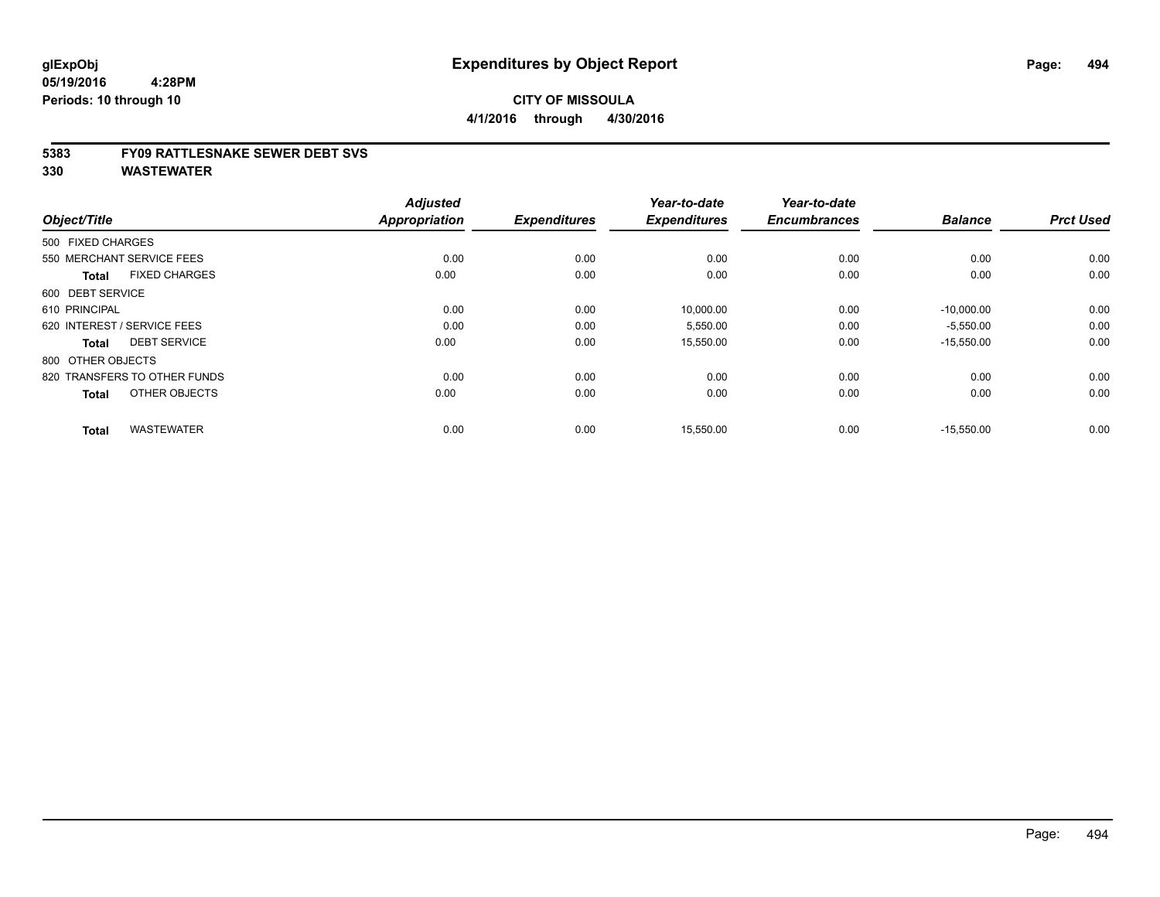#### **5383 FY09 RATTLESNAKE SEWER DEBT SVS**

| Object/Title                         | <b>Adjusted</b><br><b>Appropriation</b> | <b>Expenditures</b> | Year-to-date<br><b>Expenditures</b> | Year-to-date<br><b>Encumbrances</b> | <b>Balance</b> | <b>Prct Used</b> |
|--------------------------------------|-----------------------------------------|---------------------|-------------------------------------|-------------------------------------|----------------|------------------|
| 500 FIXED CHARGES                    |                                         |                     |                                     |                                     |                |                  |
| 550 MERCHANT SERVICE FEES            | 0.00                                    | 0.00                | 0.00                                | 0.00                                | 0.00           | 0.00             |
| <b>FIXED CHARGES</b><br><b>Total</b> | 0.00                                    | 0.00                | 0.00                                | 0.00                                | 0.00           | 0.00             |
| 600 DEBT SERVICE                     |                                         |                     |                                     |                                     |                |                  |
| 610 PRINCIPAL                        | 0.00                                    | 0.00                | 10,000.00                           | 0.00                                | $-10,000.00$   | 0.00             |
| 620 INTEREST / SERVICE FEES          | 0.00                                    | 0.00                | 5,550.00                            | 0.00                                | $-5,550.00$    | 0.00             |
| <b>DEBT SERVICE</b><br><b>Total</b>  | 0.00                                    | 0.00                | 15,550.00                           | 0.00                                | $-15,550.00$   | 0.00             |
| 800 OTHER OBJECTS                    |                                         |                     |                                     |                                     |                |                  |
| 820 TRANSFERS TO OTHER FUNDS         | 0.00                                    | 0.00                | 0.00                                | 0.00                                | 0.00           | 0.00             |
| OTHER OBJECTS<br><b>Total</b>        | 0.00                                    | 0.00                | 0.00                                | 0.00                                | 0.00           | 0.00             |
|                                      |                                         |                     |                                     |                                     |                |                  |
| <b>WASTEWATER</b><br><b>Total</b>    | 0.00                                    | 0.00                | 15,550.00                           | 0.00                                | $-15,550.00$   | 0.00             |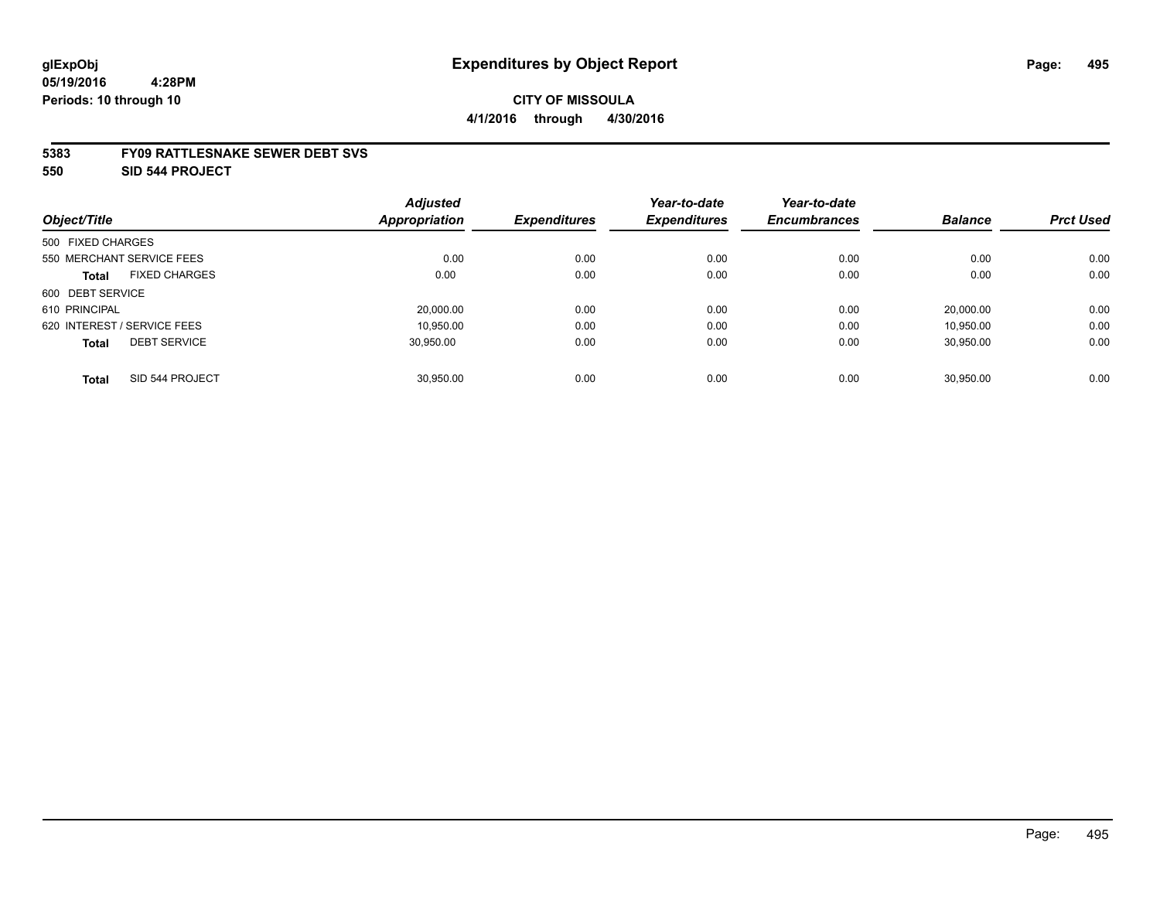#### **5383 FY09 RATTLESNAKE SEWER DEBT SVS**

**550 SID 544 PROJECT**

|                   |                             | <b>Adjusted</b> |                     | Year-to-date        | Year-to-date        |                |                  |
|-------------------|-----------------------------|-----------------|---------------------|---------------------|---------------------|----------------|------------------|
| Object/Title      |                             | Appropriation   | <b>Expenditures</b> | <b>Expenditures</b> | <b>Encumbrances</b> | <b>Balance</b> | <b>Prct Used</b> |
| 500 FIXED CHARGES |                             |                 |                     |                     |                     |                |                  |
|                   | 550 MERCHANT SERVICE FEES   | 0.00            | 0.00                | 0.00                | 0.00                | 0.00           | 0.00             |
| <b>Total</b>      | <b>FIXED CHARGES</b>        | 0.00            | 0.00                | 0.00                | 0.00                | 0.00           | 0.00             |
| 600 DEBT SERVICE  |                             |                 |                     |                     |                     |                |                  |
| 610 PRINCIPAL     |                             | 20,000.00       | 0.00                | 0.00                | 0.00                | 20.000.00      | 0.00             |
|                   | 620 INTEREST / SERVICE FEES | 10.950.00       | 0.00                | 0.00                | 0.00                | 10.950.00      | 0.00             |
| <b>Total</b>      | <b>DEBT SERVICE</b>         | 30.950.00       | 0.00                | 0.00                | 0.00                | 30,950.00      | 0.00             |
| <b>Total</b>      | SID 544 PROJECT             | 30.950.00       | 0.00                | 0.00                | 0.00                | 30.950.00      | 0.00             |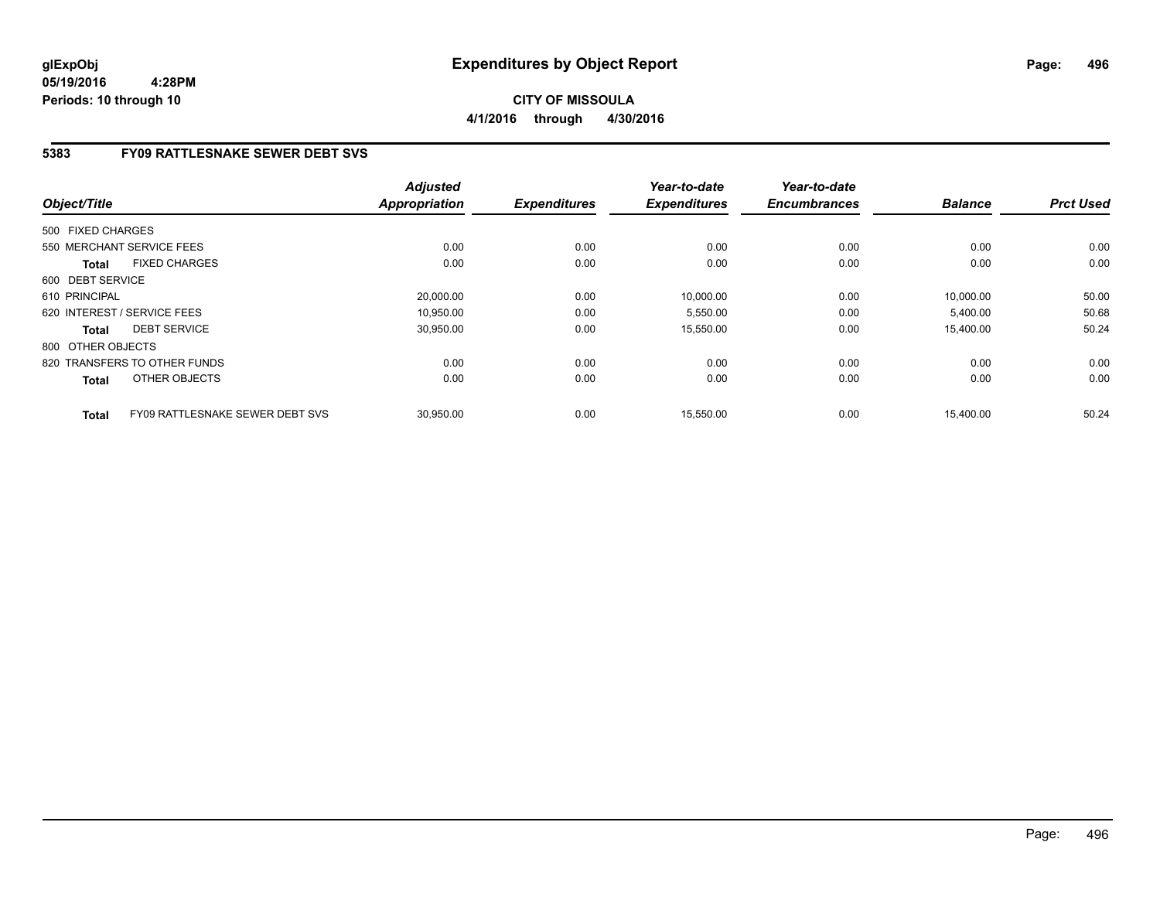# **CITY OF MISSOULA 4/1/2016 through 4/30/2016**

# **5383 FY09 RATTLESNAKE SEWER DEBT SVS**

| Object/Title                         |                                 | <b>Adjusted</b><br><b>Appropriation</b> | <b>Expenditures</b> | Year-to-date<br><b>Expenditures</b> | Year-to-date<br><b>Encumbrances</b> | <b>Balance</b> | <b>Prct Used</b> |
|--------------------------------------|---------------------------------|-----------------------------------------|---------------------|-------------------------------------|-------------------------------------|----------------|------------------|
|                                      |                                 |                                         |                     |                                     |                                     |                |                  |
| 500 FIXED CHARGES                    |                                 |                                         |                     |                                     |                                     |                |                  |
| 550 MERCHANT SERVICE FEES            |                                 | 0.00                                    | 0.00                | 0.00                                | 0.00                                | 0.00           | 0.00             |
| <b>FIXED CHARGES</b><br><b>Total</b> |                                 | 0.00                                    | 0.00                | 0.00                                | 0.00                                | 0.00           | 0.00             |
| 600 DEBT SERVICE                     |                                 |                                         |                     |                                     |                                     |                |                  |
| 610 PRINCIPAL                        |                                 | 20,000.00                               | 0.00                | 10,000.00                           | 0.00                                | 10.000.00      | 50.00            |
| 620 INTEREST / SERVICE FEES          |                                 | 10.950.00                               | 0.00                | 5,550.00                            | 0.00                                | 5,400.00       | 50.68            |
| <b>DEBT SERVICE</b><br><b>Total</b>  |                                 | 30,950.00                               | 0.00                | 15,550.00                           | 0.00                                | 15,400.00      | 50.24            |
| 800 OTHER OBJECTS                    |                                 |                                         |                     |                                     |                                     |                |                  |
| 820 TRANSFERS TO OTHER FUNDS         |                                 | 0.00                                    | 0.00                | 0.00                                | 0.00                                | 0.00           | 0.00             |
| OTHER OBJECTS<br><b>Total</b>        |                                 | 0.00                                    | 0.00                | 0.00                                | 0.00                                | 0.00           | 0.00             |
| <b>Total</b>                         | FY09 RATTLESNAKE SEWER DEBT SVS | 30,950.00                               | 0.00                | 15,550.00                           | 0.00                                | 15,400.00      | 50.24            |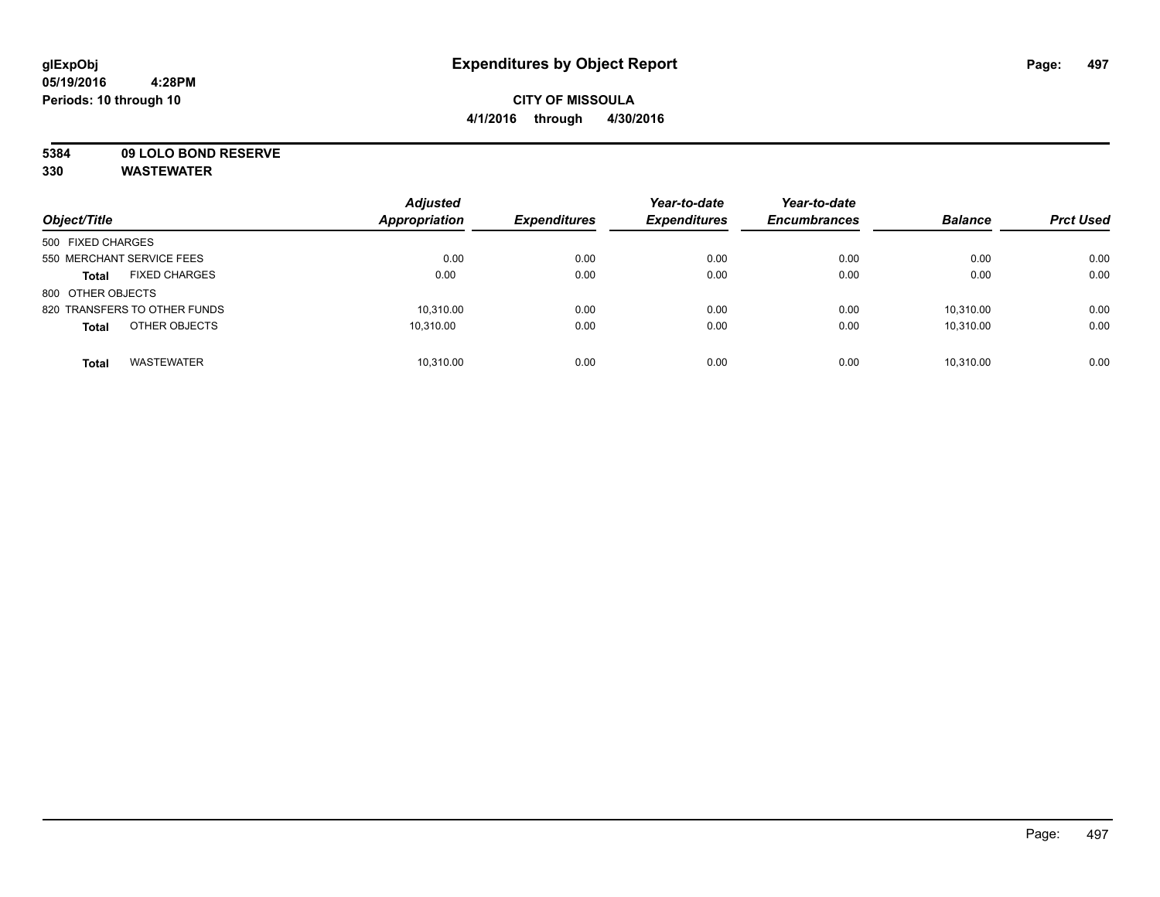# **CITY OF MISSOULA 4/1/2016 through 4/30/2016**

# **5384 09 LOLO BOND RESERVE**

| Object/Title                         | <b>Adjusted</b><br><b>Appropriation</b> | <b>Expenditures</b> | Year-to-date<br><b>Expenditures</b> | Year-to-date<br><b>Encumbrances</b> | <b>Balance</b> | <b>Prct Used</b> |
|--------------------------------------|-----------------------------------------|---------------------|-------------------------------------|-------------------------------------|----------------|------------------|
| 500 FIXED CHARGES                    |                                         |                     |                                     |                                     |                |                  |
| 550 MERCHANT SERVICE FEES            | 0.00                                    | 0.00                | 0.00                                | 0.00                                | 0.00           | 0.00             |
| <b>FIXED CHARGES</b><br><b>Total</b> | 0.00                                    | 0.00                | 0.00                                | 0.00                                | 0.00           | 0.00             |
| 800 OTHER OBJECTS                    |                                         |                     |                                     |                                     |                |                  |
| 820 TRANSFERS TO OTHER FUNDS         | 10.310.00                               | 0.00                | 0.00                                | 0.00                                | 10.310.00      | 0.00             |
| OTHER OBJECTS<br><b>Total</b>        | 10.310.00                               | 0.00                | 0.00                                | 0.00                                | 10.310.00      | 0.00             |
| <b>WASTEWATER</b><br><b>Total</b>    | 10,310.00                               | 0.00                | 0.00                                | 0.00                                | 10.310.00      | 0.00             |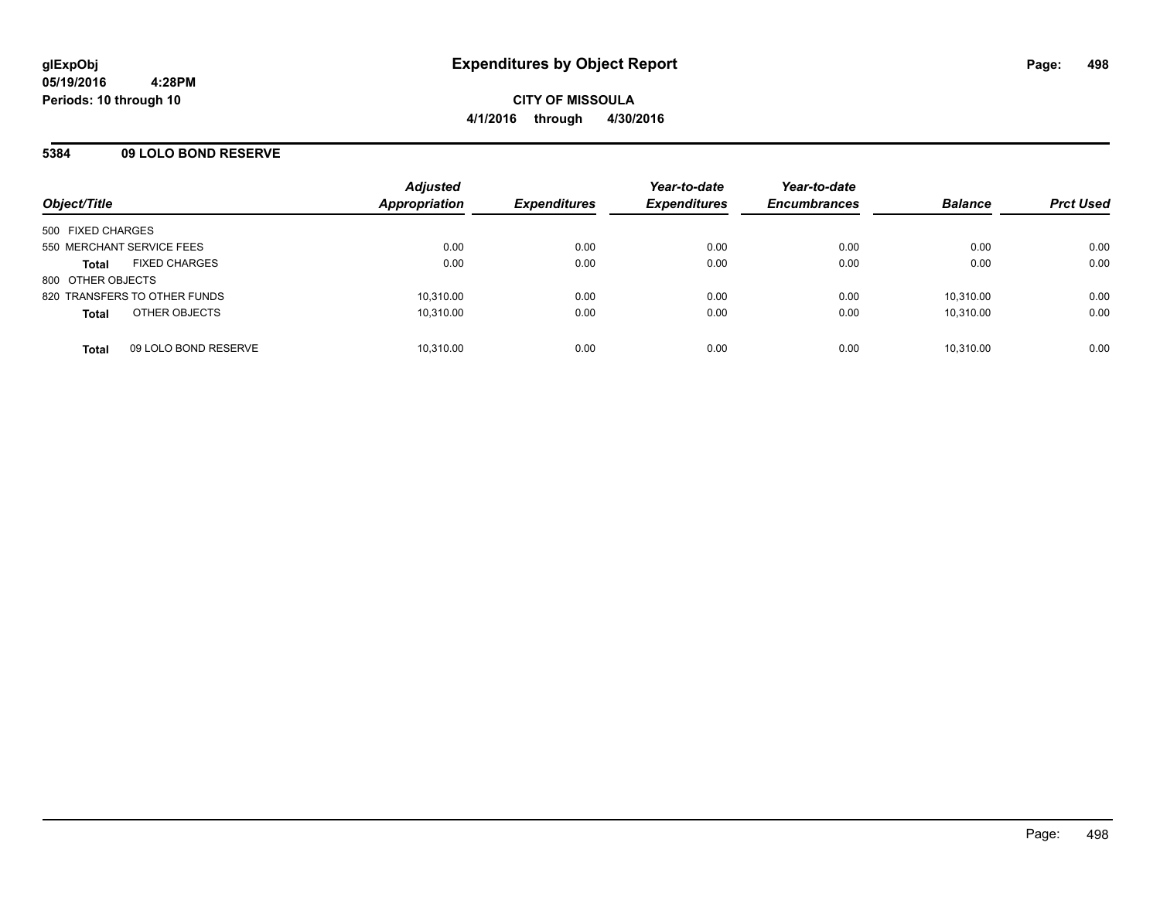### **5384 09 LOLO BOND RESERVE**

| Object/Title                 |                      | <b>Adjusted</b><br><b>Appropriation</b> | <b>Expenditures</b> | Year-to-date<br><b>Expenditures</b> | Year-to-date<br><b>Encumbrances</b> | <b>Balance</b> | <b>Prct Used</b> |
|------------------------------|----------------------|-----------------------------------------|---------------------|-------------------------------------|-------------------------------------|----------------|------------------|
| 500 FIXED CHARGES            |                      |                                         |                     |                                     |                                     |                |                  |
| 550 MERCHANT SERVICE FEES    |                      | 0.00                                    | 0.00                | 0.00                                | 0.00                                | 0.00           | 0.00             |
| <b>Total</b>                 | <b>FIXED CHARGES</b> | 0.00                                    | 0.00                | 0.00                                | 0.00                                | 0.00           | 0.00             |
| 800 OTHER OBJECTS            |                      |                                         |                     |                                     |                                     |                |                  |
| 820 TRANSFERS TO OTHER FUNDS |                      | 10,310.00                               | 0.00                | 0.00                                | 0.00                                | 10,310.00      | 0.00             |
| <b>Total</b>                 | OTHER OBJECTS        | 10,310.00                               | 0.00                | 0.00                                | 0.00                                | 10,310.00      | 0.00             |
| <b>Total</b>                 | 09 LOLO BOND RESERVE | 10,310.00                               | 0.00                | 0.00                                | 0.00                                | 10,310.00      | 0.00             |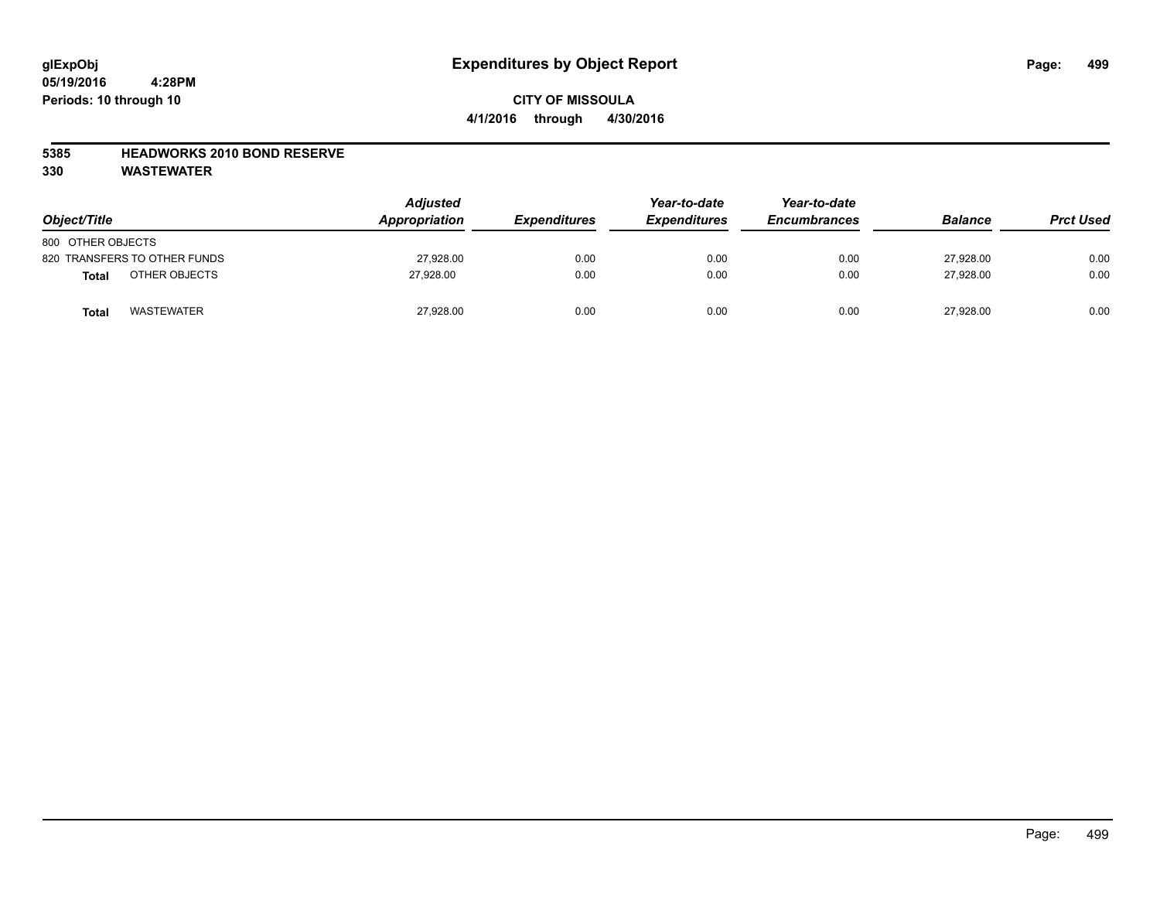# **CITY OF MISSOULA 4/1/2016 through 4/30/2016**

### **5385 HEADWORKS 2010 BOND RESERVE**

| Object/Title                 | <b>Adjusted</b><br>Appropriation | <b>Expenditures</b> | Year-to-date<br><b>Expenditures</b> | Year-to-date<br><b>Encumbrances</b> | <b>Balance</b> | <b>Prct Used</b> |
|------------------------------|----------------------------------|---------------------|-------------------------------------|-------------------------------------|----------------|------------------|
| 800 OTHER OBJECTS            |                                  |                     |                                     |                                     |                |                  |
| 820 TRANSFERS TO OTHER FUNDS | 27,928.00                        | 0.00                | 0.00                                | 0.00                                | 27,928.00      | 0.00             |
| OTHER OBJECTS<br>Total       | 27.928.00                        | 0.00                | 0.00                                | 0.00                                | 27.928.00      | 0.00             |
| <b>WASTEWATER</b><br>Total   | 27,928.00                        | 0.00                | 0.00                                | 0.00                                | 27,928.00      | 0.00             |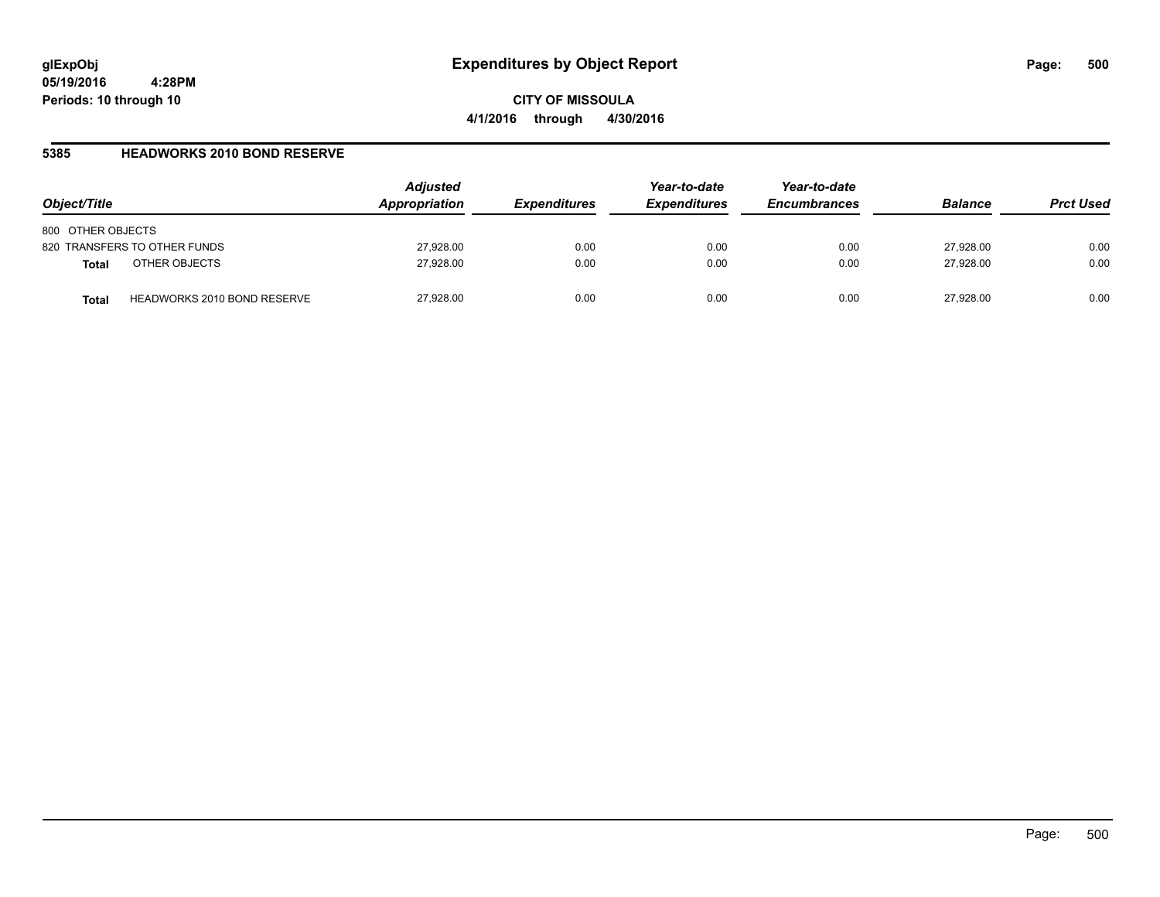**CITY OF MISSOULA 4/1/2016 through 4/30/2016**

### **5385 HEADWORKS 2010 BOND RESERVE**

| Object/Title                                       | <b>Adjusted</b><br>Appropriation | <b>Expenditures</b> | Year-to-date<br><b>Expenditures</b> | Year-to-date<br><b>Encumbrances</b> | <b>Balance</b> | <b>Prct Used</b> |
|----------------------------------------------------|----------------------------------|---------------------|-------------------------------------|-------------------------------------|----------------|------------------|
| 800 OTHER OBJECTS                                  |                                  |                     |                                     |                                     |                |                  |
| 820 TRANSFERS TO OTHER FUNDS                       | 27,928.00                        | 0.00                | 0.00                                | 0.00                                | 27,928.00      | 0.00             |
| OTHER OBJECTS<br><b>Total</b>                      | 27,928.00                        | 0.00                | 0.00                                | 0.00                                | 27.928.00      | 0.00             |
| <b>HEADWORKS 2010 BOND RESERVE</b><br><b>Total</b> | 27,928.00                        | 0.00                | 0.00                                | 0.00                                | 27.928.00      | 0.00             |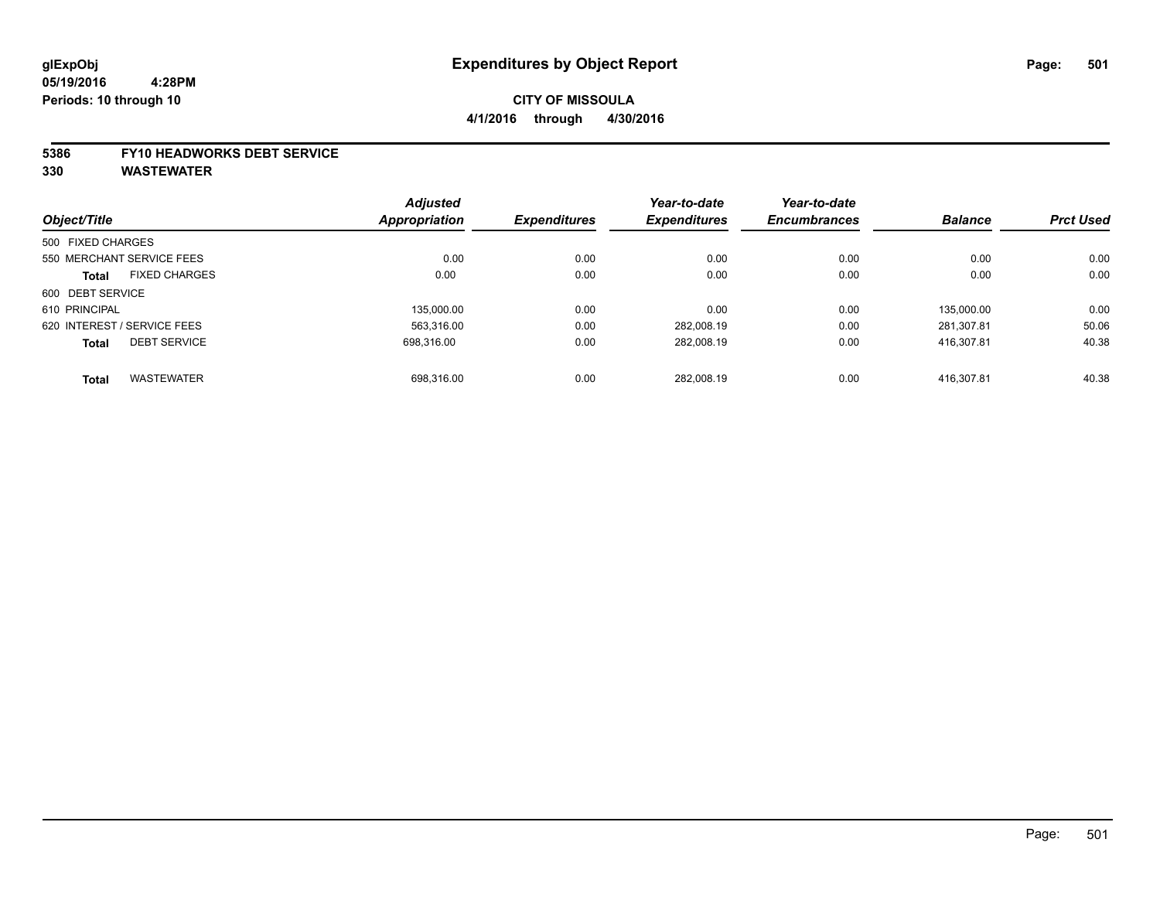# **CITY OF MISSOULA 4/1/2016 through 4/30/2016**

#### **5386 FY10 HEADWORKS DEBT SERVICE**

|                   |                             | <b>Adjusted</b> |                     | Year-to-date        | Year-to-date        |                |                  |
|-------------------|-----------------------------|-----------------|---------------------|---------------------|---------------------|----------------|------------------|
| Object/Title      |                             | Appropriation   | <b>Expenditures</b> | <b>Expenditures</b> | <b>Encumbrances</b> | <b>Balance</b> | <b>Prct Used</b> |
| 500 FIXED CHARGES |                             |                 |                     |                     |                     |                |                  |
|                   | 550 MERCHANT SERVICE FEES   | 0.00            | 0.00                | 0.00                | 0.00                | 0.00           | 0.00             |
| <b>Total</b>      | <b>FIXED CHARGES</b>        | 0.00            | 0.00                | 0.00                | 0.00                | 0.00           | 0.00             |
| 600 DEBT SERVICE  |                             |                 |                     |                     |                     |                |                  |
| 610 PRINCIPAL     |                             | 135.000.00      | 0.00                | 0.00                | 0.00                | 135.000.00     | 0.00             |
|                   | 620 INTEREST / SERVICE FEES | 563.316.00      | 0.00                | 282.008.19          | 0.00                | 281.307.81     | 50.06            |
| <b>Total</b>      | <b>DEBT SERVICE</b>         | 698.316.00      | 0.00                | 282,008.19          | 0.00                | 416.307.81     | 40.38            |
| <b>Total</b>      | <b>WASTEWATER</b>           | 698.316.00      | 0.00                | 282.008.19          | 0.00                | 416.307.81     | 40.38            |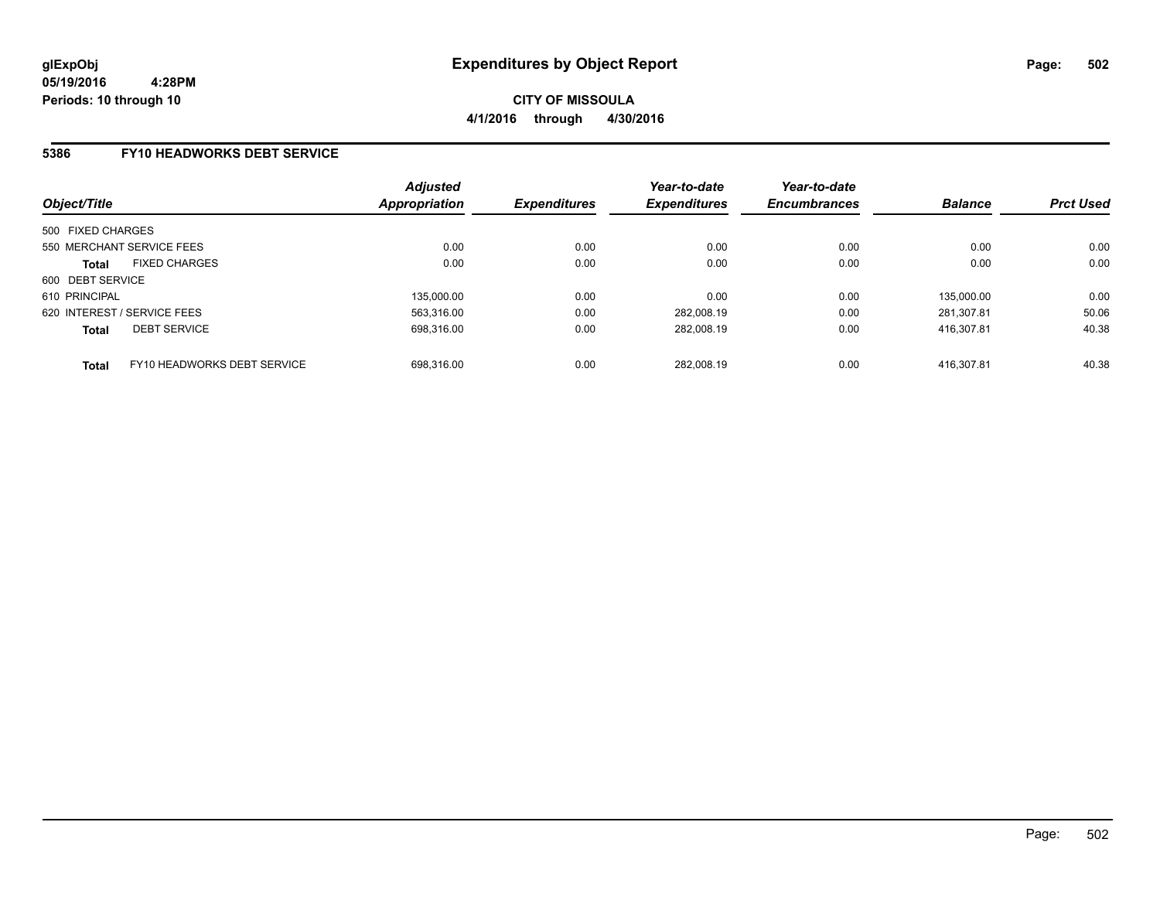## **5386 FY10 HEADWORKS DEBT SERVICE**

| Object/Title                                | <b>Adjusted</b><br><b>Appropriation</b> | <b>Expenditures</b> | Year-to-date<br><b>Expenditures</b> | Year-to-date<br><b>Encumbrances</b> | <b>Balance</b> | <b>Prct Used</b> |
|---------------------------------------------|-----------------------------------------|---------------------|-------------------------------------|-------------------------------------|----------------|------------------|
| 500 FIXED CHARGES                           |                                         |                     |                                     |                                     |                |                  |
| 550 MERCHANT SERVICE FEES                   | 0.00                                    | 0.00                | 0.00                                | 0.00                                | 0.00           | 0.00             |
| <b>FIXED CHARGES</b><br><b>Total</b>        | 0.00                                    | 0.00                | 0.00                                | 0.00                                | 0.00           | 0.00             |
| 600 DEBT SERVICE                            |                                         |                     |                                     |                                     |                |                  |
| 610 PRINCIPAL                               | 135.000.00                              | 0.00                | 0.00                                | 0.00                                | 135.000.00     | 0.00             |
| 620 INTEREST / SERVICE FEES                 | 563.316.00                              | 0.00                | 282,008.19                          | 0.00                                | 281.307.81     | 50.06            |
| <b>DEBT SERVICE</b><br><b>Total</b>         | 698.316.00                              | 0.00                | 282.008.19                          | 0.00                                | 416.307.81     | 40.38            |
| FY10 HEADWORKS DEBT SERVICE<br><b>Total</b> | 698.316.00                              | 0.00                | 282.008.19                          | 0.00                                | 416.307.81     | 40.38            |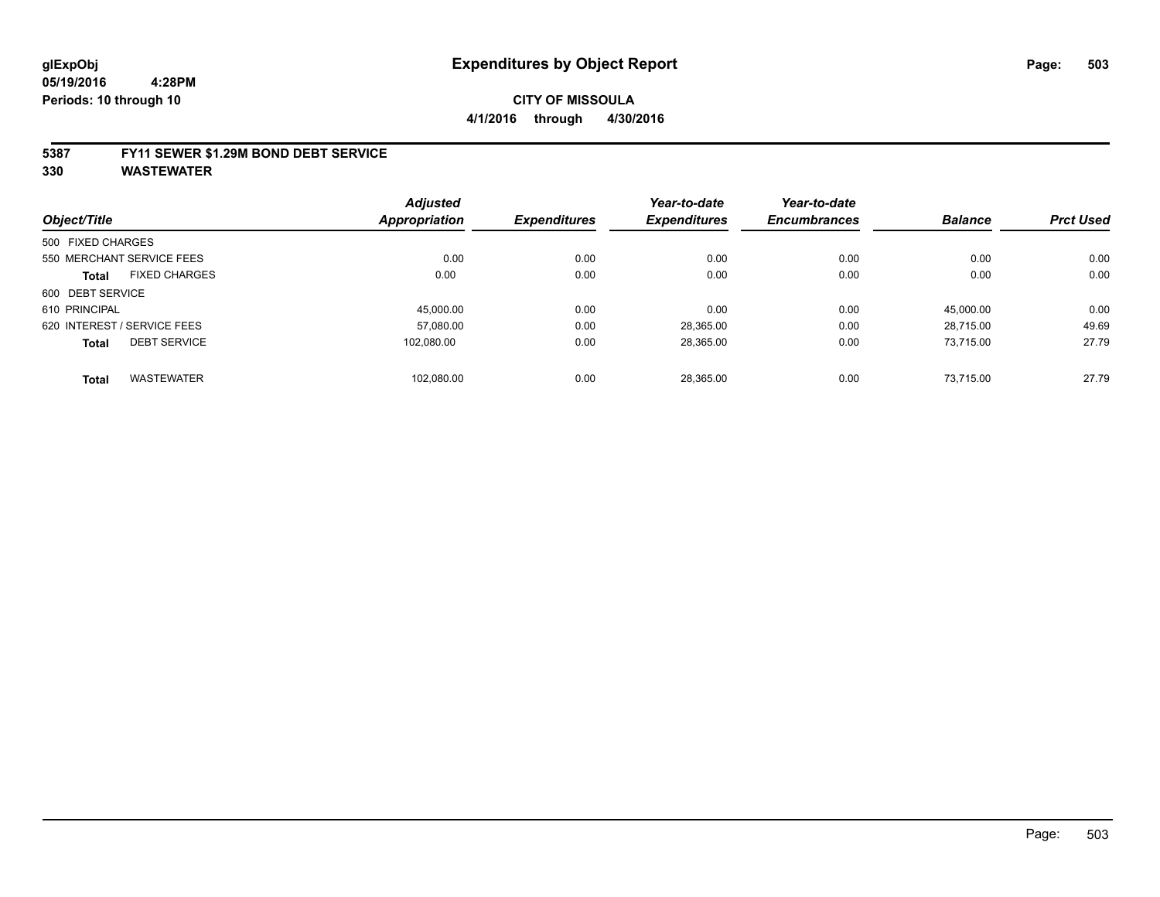#### **5387 FY11 SEWER \$1.29M BOND DEBT SERVICE**

| Object/Title      |                             | <b>Adjusted</b><br>Appropriation | <b>Expenditures</b> | Year-to-date<br><b>Expenditures</b> | Year-to-date<br><b>Encumbrances</b> | <b>Balance</b> | <b>Prct Used</b> |
|-------------------|-----------------------------|----------------------------------|---------------------|-------------------------------------|-------------------------------------|----------------|------------------|
|                   |                             |                                  |                     |                                     |                                     |                |                  |
| 500 FIXED CHARGES |                             |                                  |                     |                                     |                                     |                |                  |
|                   | 550 MERCHANT SERVICE FEES   | 0.00                             | 0.00                | 0.00                                | 0.00                                | 0.00           | 0.00             |
| <b>Total</b>      | <b>FIXED CHARGES</b>        | 0.00                             | 0.00                | 0.00                                | 0.00                                | 0.00           | 0.00             |
| 600 DEBT SERVICE  |                             |                                  |                     |                                     |                                     |                |                  |
| 610 PRINCIPAL     |                             | 45.000.00                        | 0.00                | 0.00                                | 0.00                                | 45.000.00      | 0.00             |
|                   | 620 INTEREST / SERVICE FEES | 57.080.00                        | 0.00                | 28,365.00                           | 0.00                                | 28,715.00      | 49.69            |
| <b>Total</b>      | <b>DEBT SERVICE</b>         | 102.080.00                       | 0.00                | 28,365.00                           | 0.00                                | 73,715.00      | 27.79            |
| <b>Total</b>      | <b>WASTEWATER</b>           | 102.080.00                       | 0.00                | 28.365.00                           | 0.00                                | 73.715.00      | 27.79            |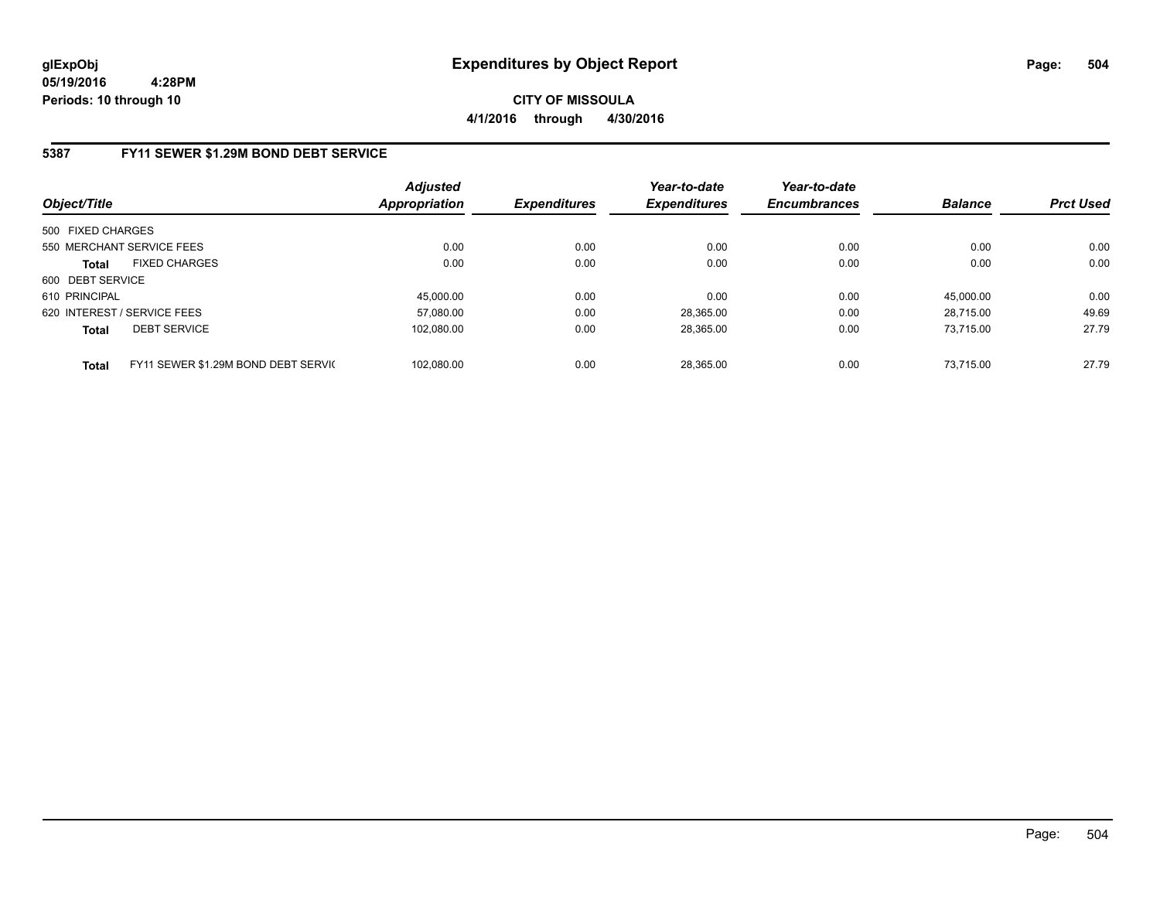### **CITY OF MISSOULA 4/1/2016 through 4/30/2016**

# **5387 FY11 SEWER \$1.29M BOND DEBT SERVICE**

| Object/Title      |                                     | Adjusted<br>Appropriation | <b>Expenditures</b> | Year-to-date<br><b>Expenditures</b> | Year-to-date<br><b>Encumbrances</b> | <b>Balance</b> | <b>Prct Used</b> |
|-------------------|-------------------------------------|---------------------------|---------------------|-------------------------------------|-------------------------------------|----------------|------------------|
| 500 FIXED CHARGES |                                     |                           |                     |                                     |                                     |                |                  |
|                   | 550 MERCHANT SERVICE FEES           | 0.00                      | 0.00                | 0.00                                | 0.00                                | 0.00           | 0.00             |
| <b>Total</b>      | <b>FIXED CHARGES</b>                | 0.00                      | 0.00                | 0.00                                | 0.00                                | 0.00           | 0.00             |
| 600 DEBT SERVICE  |                                     |                           |                     |                                     |                                     |                |                  |
| 610 PRINCIPAL     |                                     | 45.000.00                 | 0.00                | 0.00                                | 0.00                                | 45.000.00      | 0.00             |
|                   | 620 INTEREST / SERVICE FEES         | 57.080.00                 | 0.00                | 28.365.00                           | 0.00                                | 28.715.00      | 49.69            |
| <b>Total</b>      | <b>DEBT SERVICE</b>                 | 102.080.00                | 0.00                | 28.365.00                           | 0.00                                | 73.715.00      | 27.79            |
| <b>Total</b>      | FY11 SEWER \$1.29M BOND DEBT SERVIC | 102.080.00                | 0.00                | 28.365.00                           | 0.00                                | 73.715.00      | 27.79            |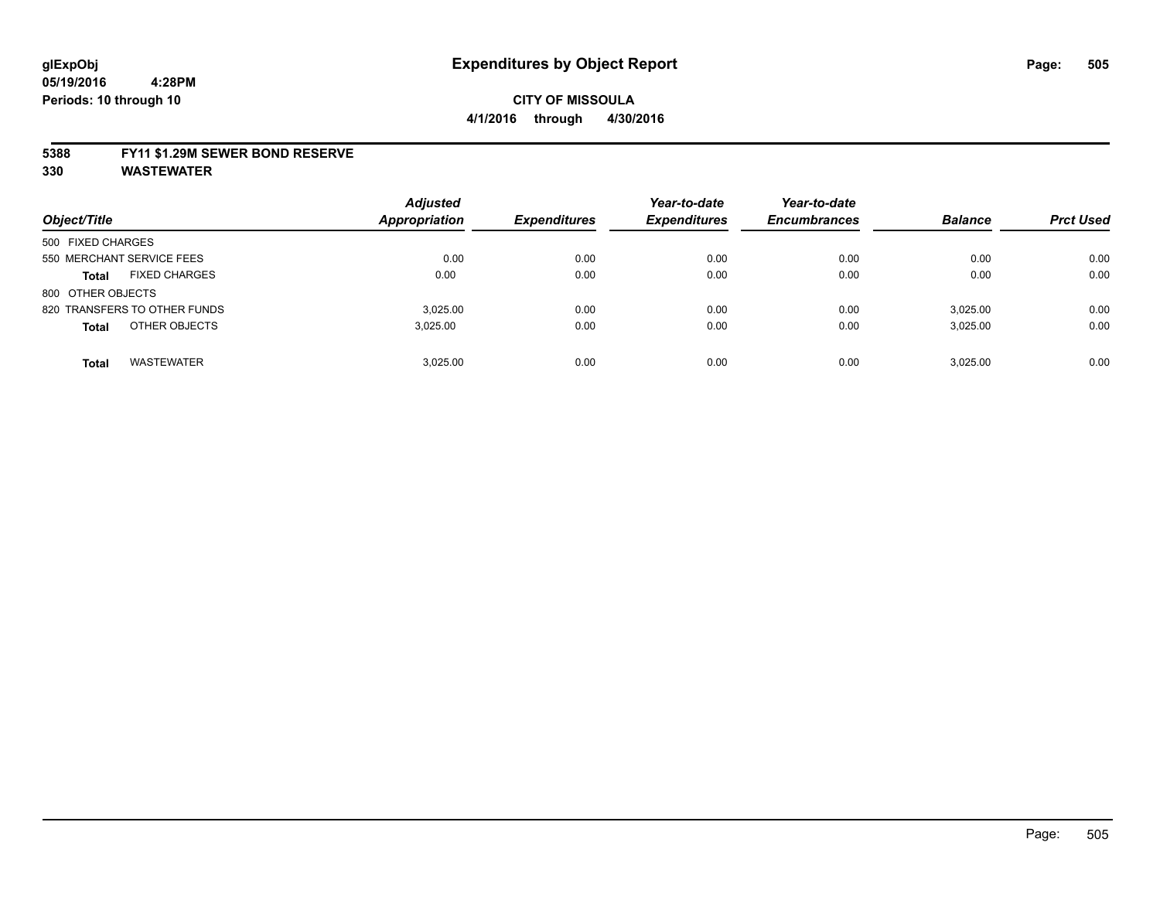#### **5388 FY11 \$1.29M SEWER BOND RESERVE**

**330 WASTEWATER**

| Object/Title                         | <b>Adjusted</b><br><b>Appropriation</b> | <b>Expenditures</b> | Year-to-date<br><b>Expenditures</b> | Year-to-date<br><b>Encumbrances</b> | <b>Balance</b> | <b>Prct Used</b> |
|--------------------------------------|-----------------------------------------|---------------------|-------------------------------------|-------------------------------------|----------------|------------------|
| 500 FIXED CHARGES                    |                                         |                     |                                     |                                     |                |                  |
| 550 MERCHANT SERVICE FEES            | 0.00                                    | 0.00                | 0.00                                | 0.00                                | 0.00           | 0.00             |
| <b>FIXED CHARGES</b><br><b>Total</b> | 0.00                                    | 0.00                | 0.00                                | 0.00                                | 0.00           | 0.00             |
| 800 OTHER OBJECTS                    |                                         |                     |                                     |                                     |                |                  |
| 820 TRANSFERS TO OTHER FUNDS         | 3.025.00                                | 0.00                | 0.00                                | 0.00                                | 3.025.00       | 0.00             |
| OTHER OBJECTS<br><b>Total</b>        | 3,025.00                                | 0.00                | 0.00                                | 0.00                                | 3,025.00       | 0.00             |
| <b>WASTEWATER</b><br><b>Total</b>    | 3.025.00                                | 0.00                | 0.00                                | 0.00                                | 3.025.00       | 0.00             |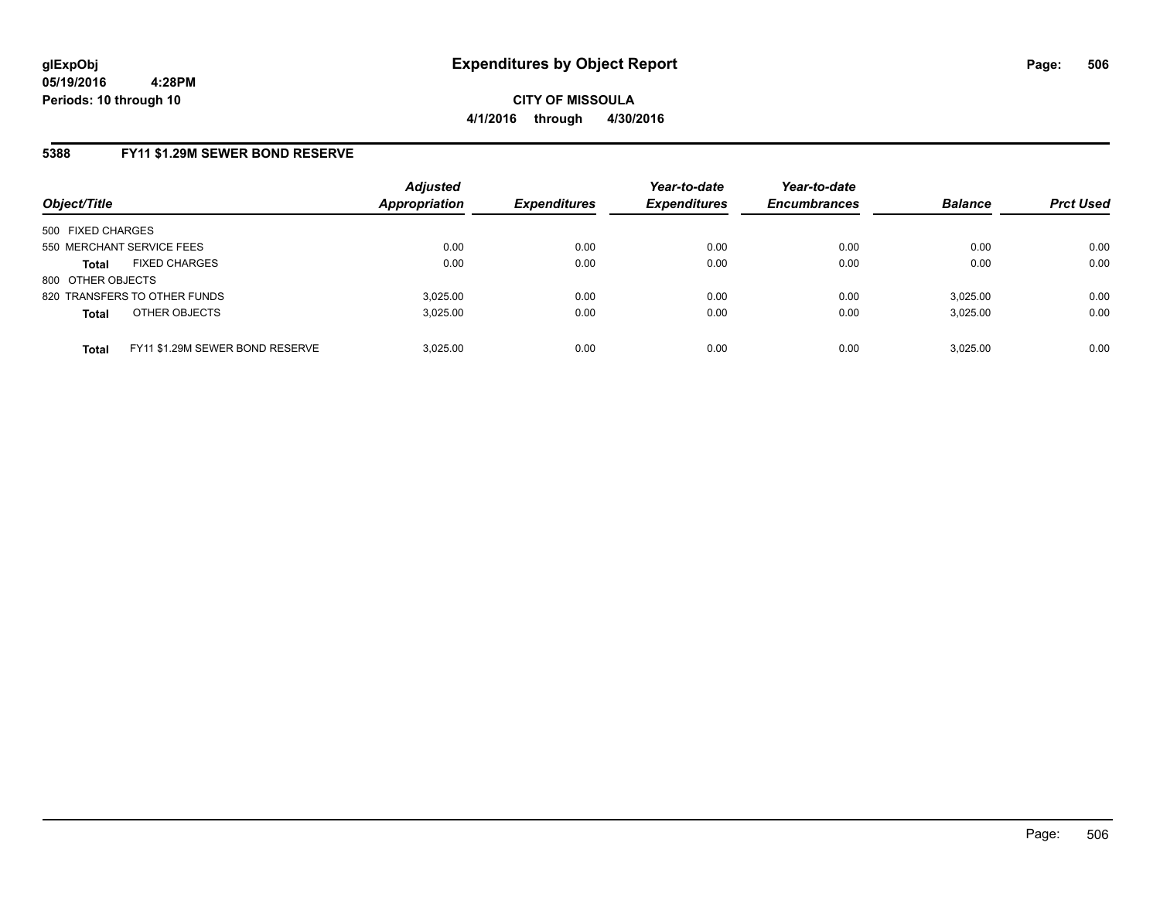# **5388 FY11 \$1.29M SEWER BOND RESERVE**

| Object/Title                                    | <b>Adjusted</b><br><b>Appropriation</b> | <b>Expenditures</b> | Year-to-date<br><b>Expenditures</b> | Year-to-date<br><b>Encumbrances</b> | <b>Balance</b> | <b>Prct Used</b> |
|-------------------------------------------------|-----------------------------------------|---------------------|-------------------------------------|-------------------------------------|----------------|------------------|
| 500 FIXED CHARGES                               |                                         |                     |                                     |                                     |                |                  |
| 550 MERCHANT SERVICE FEES                       | 0.00                                    | 0.00                | 0.00                                | 0.00                                | 0.00           | 0.00             |
| <b>FIXED CHARGES</b><br><b>Total</b>            | 0.00                                    | 0.00                | 0.00                                | 0.00                                | 0.00           | 0.00             |
| 800 OTHER OBJECTS                               |                                         |                     |                                     |                                     |                |                  |
| 820 TRANSFERS TO OTHER FUNDS                    | 3.025.00                                | 0.00                | 0.00                                | 0.00                                | 3,025.00       | 0.00             |
| OTHER OBJECTS<br><b>Total</b>                   | 3,025.00                                | 0.00                | 0.00                                | 0.00                                | 3,025.00       | 0.00             |
| FY11 \$1.29M SEWER BOND RESERVE<br><b>Total</b> | 3.025.00                                | 0.00                | 0.00                                | 0.00                                | 3,025.00       | 0.00             |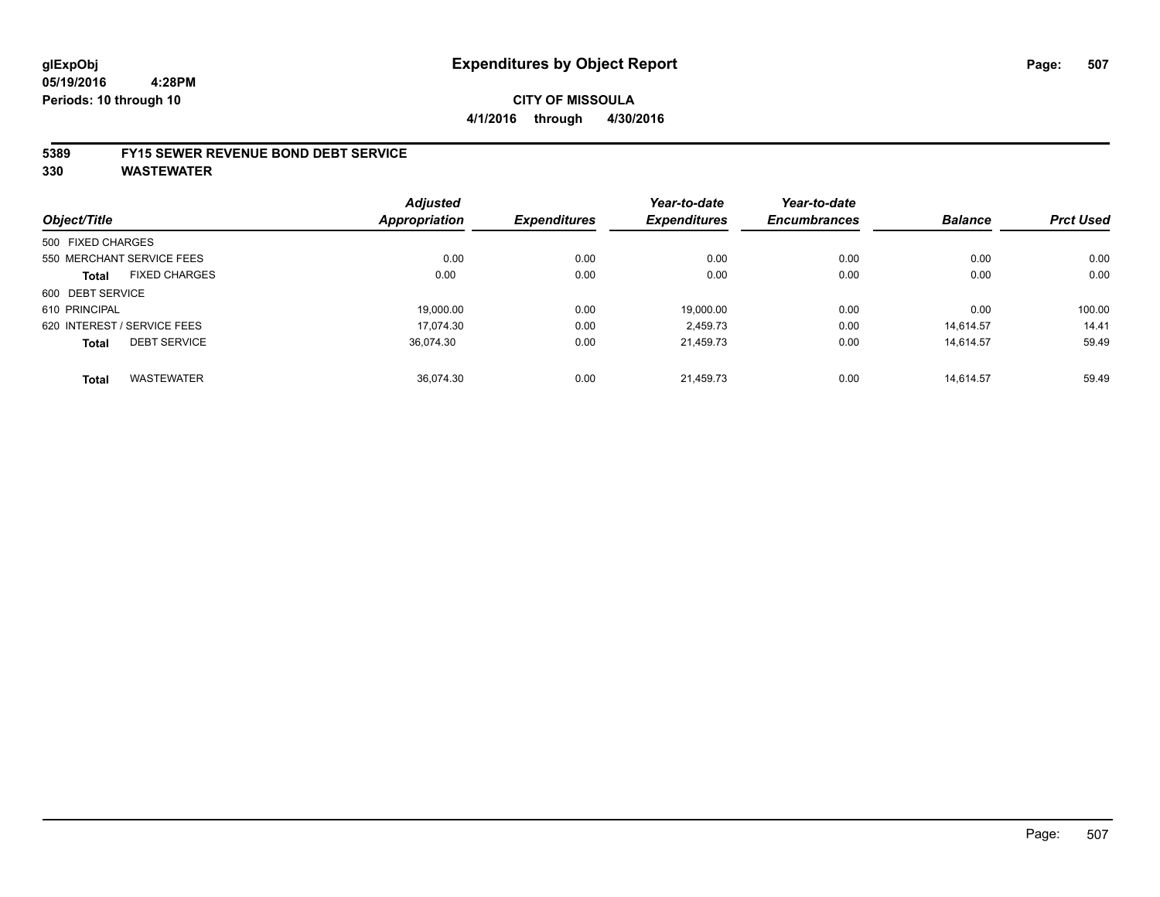## **CITY OF MISSOULA 4/1/2016 through 4/30/2016**

#### **5389 FY15 SEWER REVENUE BOND DEBT SERVICE**

**330 WASTEWATER**

|                   |                             | <b>Adjusted</b>     |                     | Year-to-date        | Year-to-date   |                  |        |
|-------------------|-----------------------------|---------------------|---------------------|---------------------|----------------|------------------|--------|
| Object/Title      | <b>Appropriation</b>        | <b>Expenditures</b> | <b>Expenditures</b> | <b>Encumbrances</b> | <b>Balance</b> | <b>Prct Used</b> |        |
| 500 FIXED CHARGES |                             |                     |                     |                     |                |                  |        |
|                   | 550 MERCHANT SERVICE FEES   | 0.00                | 0.00                | 0.00                | 0.00           | 0.00             | 0.00   |
| <b>Total</b>      | <b>FIXED CHARGES</b>        | 0.00                | 0.00                | 0.00                | 0.00           | 0.00             | 0.00   |
| 600 DEBT SERVICE  |                             |                     |                     |                     |                |                  |        |
| 610 PRINCIPAL     |                             | 19.000.00           | 0.00                | 19.000.00           | 0.00           | 0.00             | 100.00 |
|                   | 620 INTEREST / SERVICE FEES | 17.074.30           | 0.00                | 2,459.73            | 0.00           | 14.614.57        | 14.41  |
| <b>Total</b>      | <b>DEBT SERVICE</b>         | 36.074.30           | 0.00                | 21.459.73           | 0.00           | 14.614.57        | 59.49  |
| <b>Total</b>      | <b>WASTEWATER</b>           | 36.074.30           | 0.00                | 21.459.73           | 0.00           | 14.614.57        | 59.49  |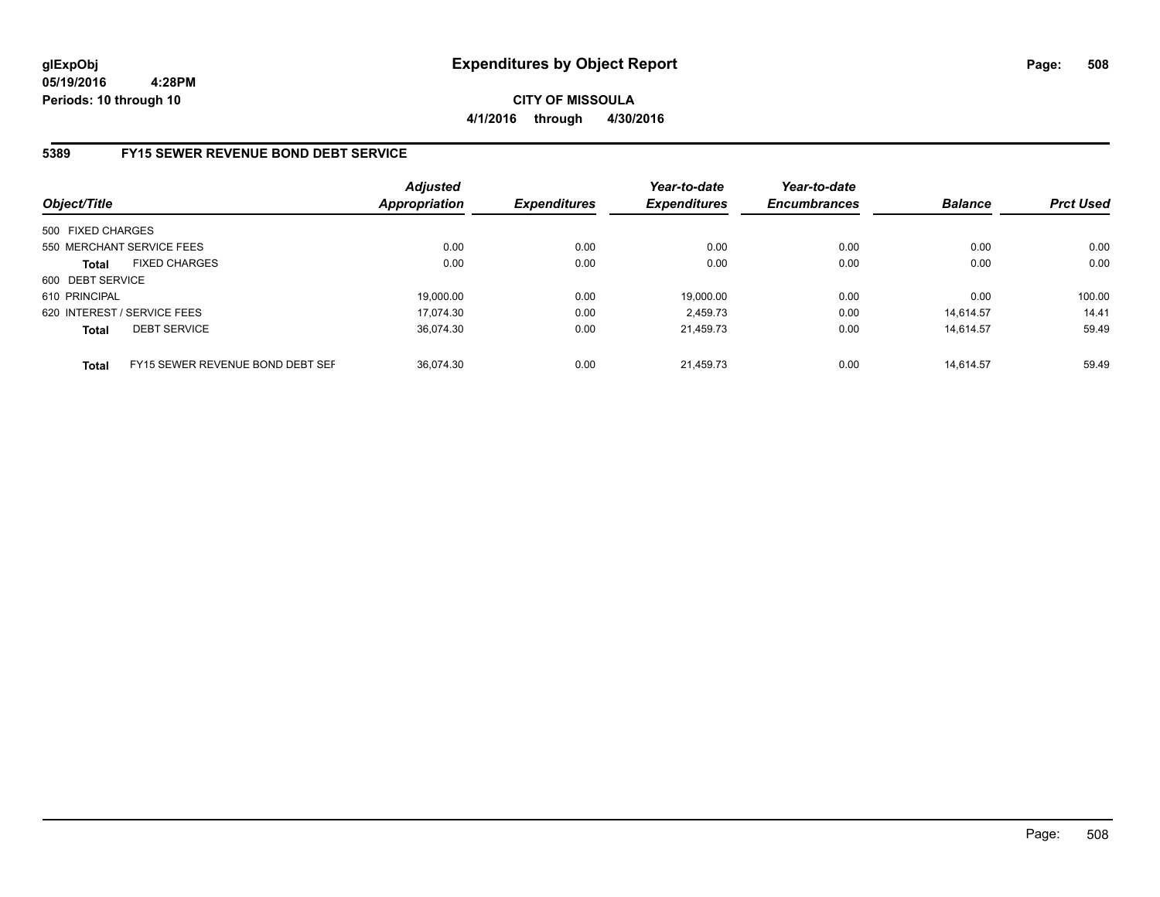**CITY OF MISSOULA 4/1/2016 through 4/30/2016**

# **5389 FY15 SEWER REVENUE BOND DEBT SERVICE**

| Object/Title      |                                  | <b>Adjusted</b><br><b>Appropriation</b> | <b>Expenditures</b> | Year-to-date<br><b>Expenditures</b> | Year-to-date<br><b>Encumbrances</b> | <b>Balance</b> | <b>Prct Used</b> |
|-------------------|----------------------------------|-----------------------------------------|---------------------|-------------------------------------|-------------------------------------|----------------|------------------|
| 500 FIXED CHARGES |                                  |                                         |                     |                                     |                                     |                |                  |
|                   | 550 MERCHANT SERVICE FEES        | 0.00                                    | 0.00                | 0.00                                | 0.00                                | 0.00           | 0.00             |
| <b>Total</b>      | <b>FIXED CHARGES</b>             | 0.00                                    | 0.00                | 0.00                                | 0.00                                | 0.00           | 0.00             |
| 600 DEBT SERVICE  |                                  |                                         |                     |                                     |                                     |                |                  |
| 610 PRINCIPAL     |                                  | 19,000.00                               | 0.00                | 19.000.00                           | 0.00                                | 0.00           | 100.00           |
|                   | 620 INTEREST / SERVICE FEES      | 17.074.30                               | 0.00                | 2.459.73                            | 0.00                                | 14.614.57      | 14.41            |
| <b>Total</b>      | <b>DEBT SERVICE</b>              | 36.074.30                               | 0.00                | 21.459.73                           | 0.00                                | 14.614.57      | 59.49            |
| <b>Total</b>      | FY15 SEWER REVENUE BOND DEBT SEF | 36.074.30                               | 0.00                | 21.459.73                           | 0.00                                | 14.614.57      | 59.49            |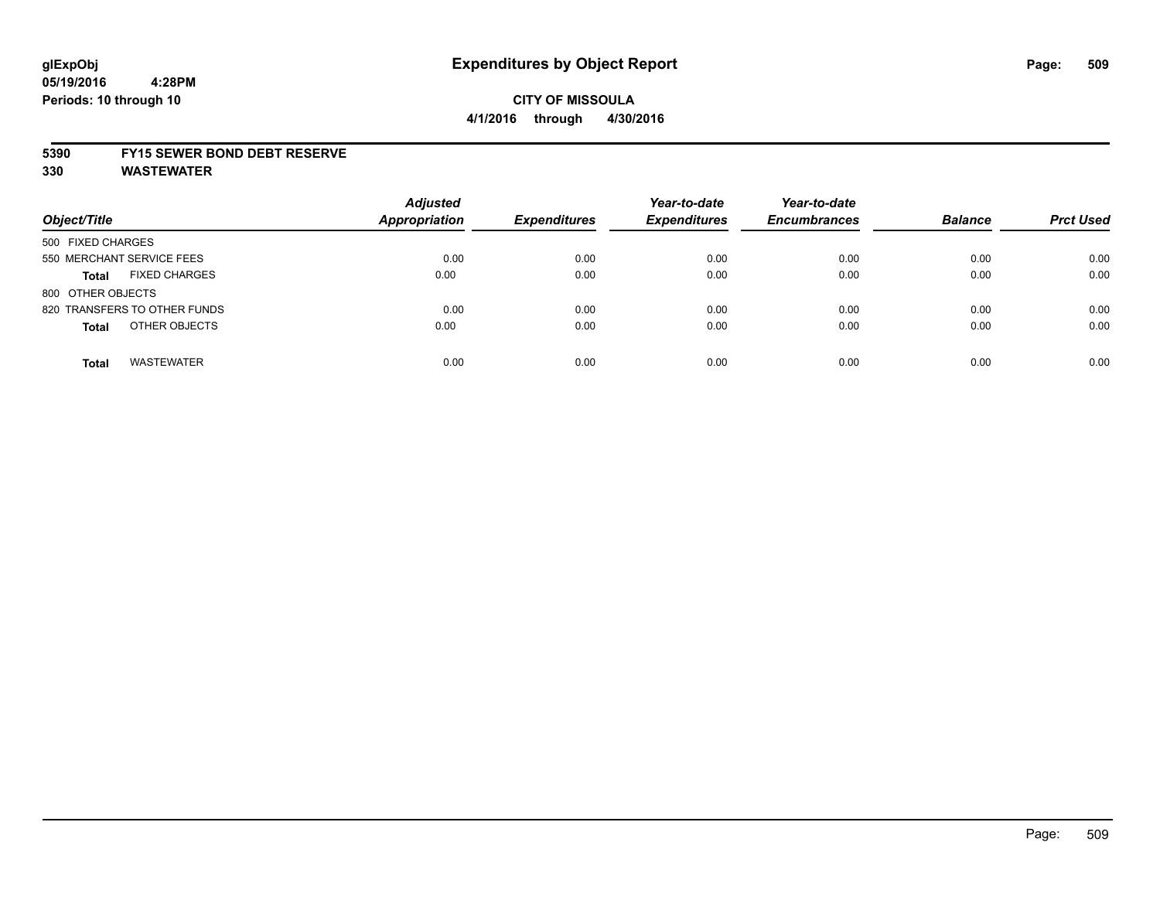# **CITY OF MISSOULA 4/1/2016 through 4/30/2016**

#### **5390 FY15 SEWER BOND DEBT RESERVE**

**330 WASTEWATER**

| Object/Title                         | <b>Adjusted</b><br><b>Appropriation</b> | <b>Expenditures</b> | Year-to-date<br><b>Expenditures</b> | Year-to-date<br><b>Encumbrances</b> | <b>Balance</b> | <b>Prct Used</b> |
|--------------------------------------|-----------------------------------------|---------------------|-------------------------------------|-------------------------------------|----------------|------------------|
| 500 FIXED CHARGES                    |                                         |                     |                                     |                                     |                |                  |
| 550 MERCHANT SERVICE FEES            | 0.00                                    | 0.00                | 0.00                                | 0.00                                | 0.00           | 0.00             |
| <b>FIXED CHARGES</b><br><b>Total</b> | 0.00                                    | 0.00                | 0.00                                | 0.00                                | 0.00           | 0.00             |
| 800 OTHER OBJECTS                    |                                         |                     |                                     |                                     |                |                  |
| 820 TRANSFERS TO OTHER FUNDS         | 0.00                                    | 0.00                | 0.00                                | 0.00                                | 0.00           | 0.00             |
| OTHER OBJECTS<br><b>Total</b>        | 0.00                                    | 0.00                | 0.00                                | 0.00                                | 0.00           | 0.00             |
| <b>WASTEWATER</b><br><b>Total</b>    | 0.00                                    | 0.00                | 0.00                                | 0.00                                | 0.00           | 0.00             |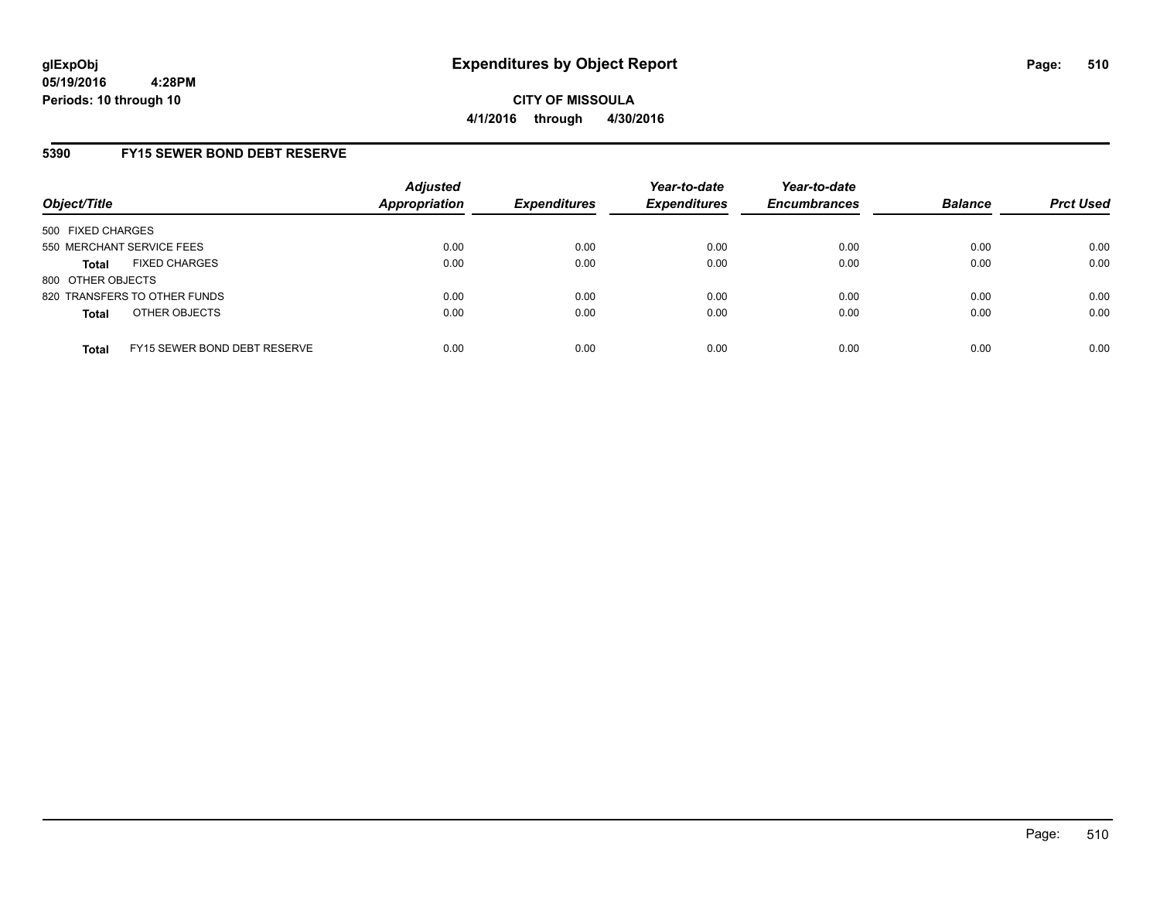# **5390 FY15 SEWER BOND DEBT RESERVE**

| Object/Title              |                              | <b>Adjusted</b><br>Appropriation | <b>Expenditures</b> | Year-to-date<br><b>Expenditures</b> | Year-to-date<br><b>Encumbrances</b> | <b>Balance</b> | <b>Prct Used</b> |
|---------------------------|------------------------------|----------------------------------|---------------------|-------------------------------------|-------------------------------------|----------------|------------------|
| 500 FIXED CHARGES         |                              |                                  |                     |                                     |                                     |                |                  |
| 550 MERCHANT SERVICE FEES |                              | 0.00                             | 0.00                | 0.00                                | 0.00                                | 0.00           | 0.00             |
| <b>Total</b>              | <b>FIXED CHARGES</b>         | 0.00                             | 0.00                | 0.00                                | 0.00                                | 0.00           | 0.00             |
| 800 OTHER OBJECTS         |                              |                                  |                     |                                     |                                     |                |                  |
|                           | 820 TRANSFERS TO OTHER FUNDS | 0.00                             | 0.00                | 0.00                                | 0.00                                | 0.00           | 0.00             |
| <b>Total</b>              | OTHER OBJECTS                | 0.00                             | 0.00                | 0.00                                | 0.00                                | 0.00           | 0.00             |
| <b>Total</b>              | FY15 SEWER BOND DEBT RESERVE | 0.00                             | 0.00                | 0.00                                | 0.00                                | 0.00           | 0.00             |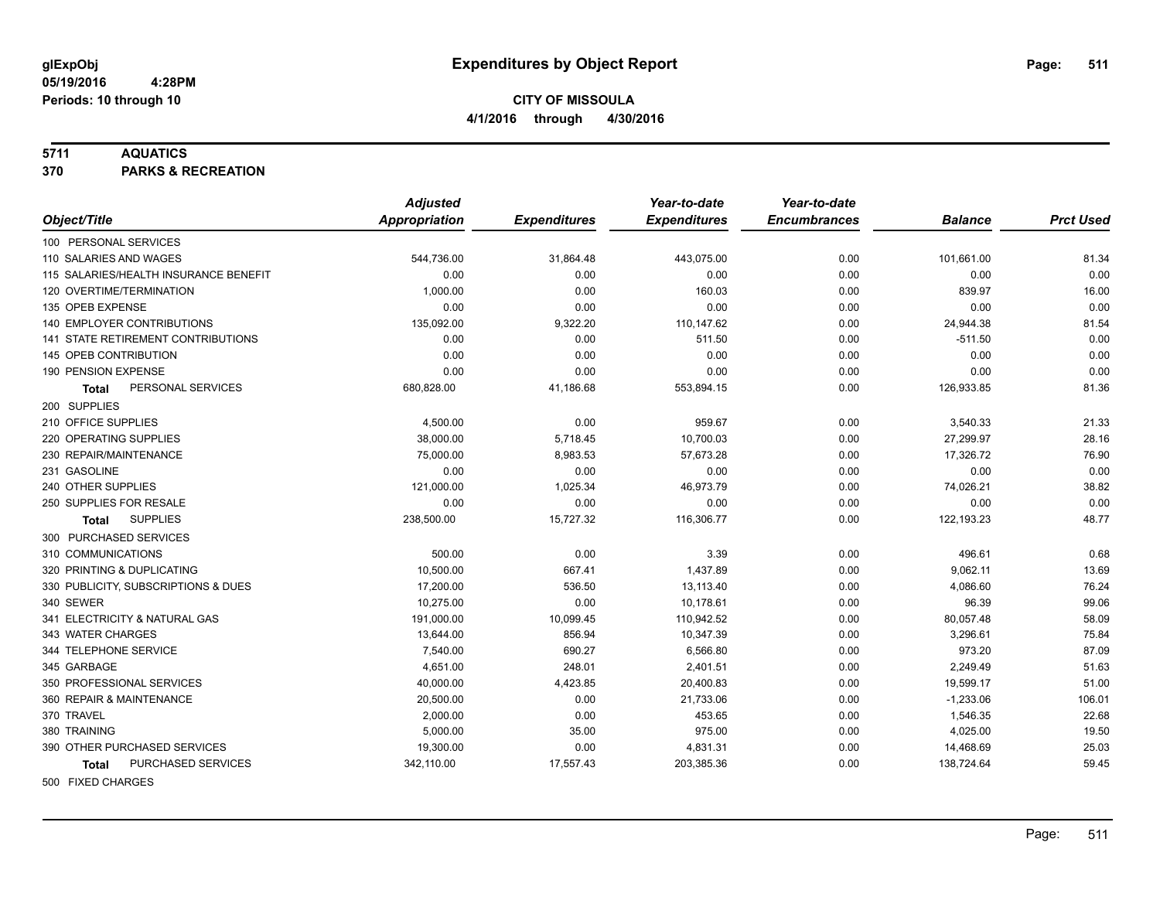#### **5711 AQUATICS**

**370 PARKS & RECREATION**

|                                           | <b>Adjusted</b>      |                     | Year-to-date        | Year-to-date        |                |                  |
|-------------------------------------------|----------------------|---------------------|---------------------|---------------------|----------------|------------------|
| Object/Title                              | <b>Appropriation</b> | <b>Expenditures</b> | <b>Expenditures</b> | <b>Encumbrances</b> | <b>Balance</b> | <b>Prct Used</b> |
| 100 PERSONAL SERVICES                     |                      |                     |                     |                     |                |                  |
| 110 SALARIES AND WAGES                    | 544,736.00           | 31,864.48           | 443,075.00          | 0.00                | 101,661.00     | 81.34            |
| 115 SALARIES/HEALTH INSURANCE BENEFIT     | 0.00                 | 0.00                | 0.00                | 0.00                | 0.00           | 0.00             |
| 120 OVERTIME/TERMINATION                  | 1,000.00             | 0.00                | 160.03              | 0.00                | 839.97         | 16.00            |
| 135 OPEB EXPENSE                          | 0.00                 | 0.00                | 0.00                | 0.00                | 0.00           | 0.00             |
| 140 EMPLOYER CONTRIBUTIONS                | 135,092.00           | 9,322.20            | 110,147.62          | 0.00                | 24,944.38      | 81.54            |
| <b>141 STATE RETIREMENT CONTRIBUTIONS</b> | 0.00                 | 0.00                | 511.50              | 0.00                | $-511.50$      | 0.00             |
| 145 OPEB CONTRIBUTION                     | 0.00                 | 0.00                | 0.00                | 0.00                | 0.00           | 0.00             |
| 190 PENSION EXPENSE                       | 0.00                 | 0.00                | 0.00                | 0.00                | 0.00           | 0.00             |
| PERSONAL SERVICES<br>Total                | 680,828.00           | 41,186.68           | 553,894.15          | 0.00                | 126,933.85     | 81.36            |
| 200 SUPPLIES                              |                      |                     |                     |                     |                |                  |
| 210 OFFICE SUPPLIES                       | 4,500.00             | 0.00                | 959.67              | 0.00                | 3,540.33       | 21.33            |
| 220 OPERATING SUPPLIES                    | 38,000.00            | 5,718.45            | 10,700.03           | 0.00                | 27,299.97      | 28.16            |
| 230 REPAIR/MAINTENANCE                    | 75,000.00            | 8,983.53            | 57,673.28           | 0.00                | 17,326.72      | 76.90            |
| 231 GASOLINE                              | 0.00                 | 0.00                | 0.00                | 0.00                | 0.00           | 0.00             |
| 240 OTHER SUPPLIES                        | 121,000.00           | 1,025.34            | 46,973.79           | 0.00                | 74,026.21      | 38.82            |
| 250 SUPPLIES FOR RESALE                   | 0.00                 | 0.00                | 0.00                | 0.00                | 0.00           | 0.00             |
| <b>SUPPLIES</b><br>Total                  | 238,500.00           | 15,727.32           | 116,306.77          | 0.00                | 122,193.23     | 48.77            |
| 300 PURCHASED SERVICES                    |                      |                     |                     |                     |                |                  |
| 310 COMMUNICATIONS                        | 500.00               | 0.00                | 3.39                | 0.00                | 496.61         | 0.68             |
| 320 PRINTING & DUPLICATING                | 10,500.00            | 667.41              | 1,437.89            | 0.00                | 9,062.11       | 13.69            |
| 330 PUBLICITY, SUBSCRIPTIONS & DUES       | 17,200.00            | 536.50              | 13,113.40           | 0.00                | 4,086.60       | 76.24            |
| 340 SEWER                                 | 10,275.00            | 0.00                | 10,178.61           | 0.00                | 96.39          | 99.06            |
| 341 ELECTRICITY & NATURAL GAS             | 191,000.00           | 10,099.45           | 110,942.52          | 0.00                | 80,057.48      | 58.09            |
| 343 WATER CHARGES                         | 13,644.00            | 856.94              | 10,347.39           | 0.00                | 3,296.61       | 75.84            |
| 344 TELEPHONE SERVICE                     | 7,540.00             | 690.27              | 6,566.80            | 0.00                | 973.20         | 87.09            |
| 345 GARBAGE                               | 4,651.00             | 248.01              | 2,401.51            | 0.00                | 2,249.49       | 51.63            |
| 350 PROFESSIONAL SERVICES                 | 40,000.00            | 4,423.85            | 20,400.83           | 0.00                | 19,599.17      | 51.00            |
| 360 REPAIR & MAINTENANCE                  | 20,500.00            | 0.00                | 21,733.06           | 0.00                | $-1,233.06$    | 106.01           |
| 370 TRAVEL                                | 2,000.00             | 0.00                | 453.65              | 0.00                | 1,546.35       | 22.68            |
| 380 TRAINING                              | 5,000.00             | 35.00               | 975.00              | 0.00                | 4,025.00       | 19.50            |
| 390 OTHER PURCHASED SERVICES              | 19,300.00            | 0.00                | 4,831.31            | 0.00                | 14,468.69      | 25.03            |
| PURCHASED SERVICES<br><b>Total</b>        | 342,110.00           | 17,557.43           | 203,385.36          | 0.00                | 138,724.64     | 59.45            |
| 500 FIXED CHARGES                         |                      |                     |                     |                     |                |                  |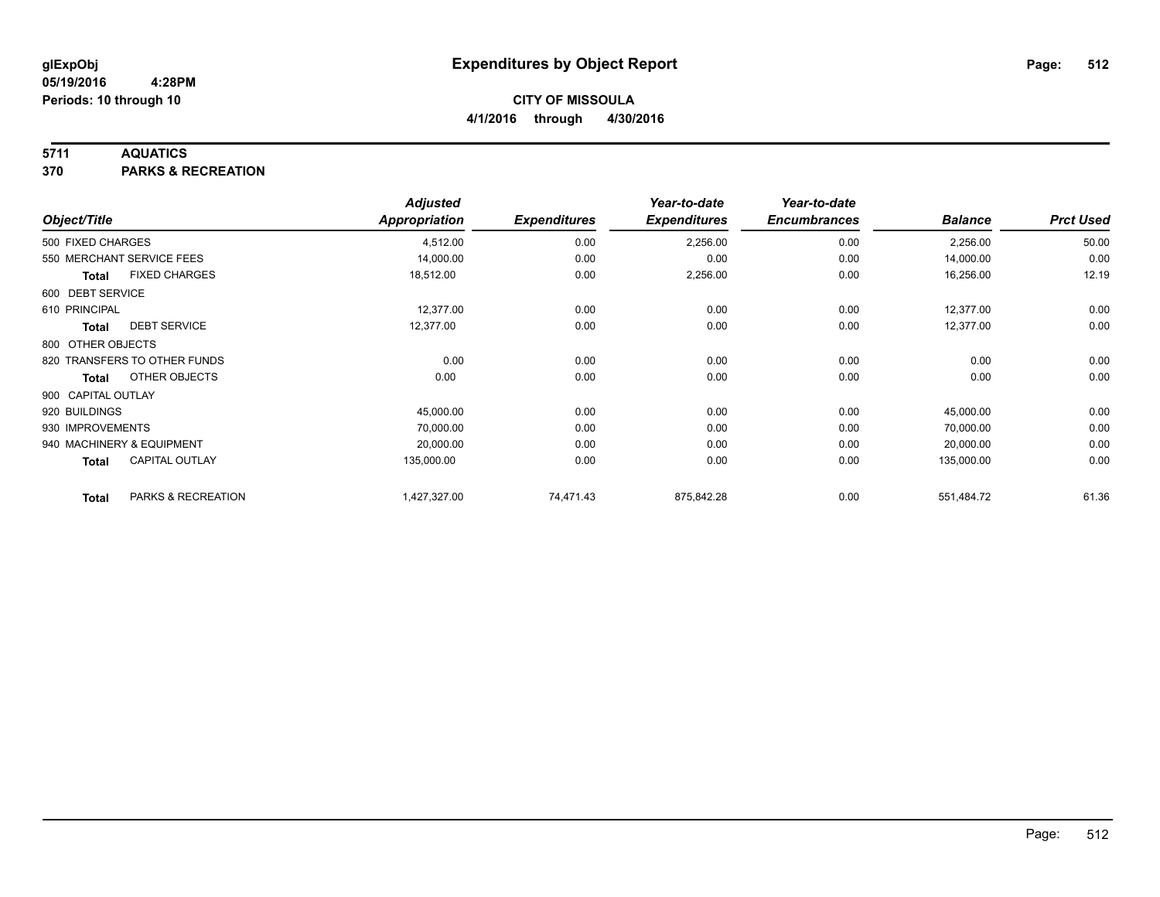## **5711 AQUATICS**

**370 PARKS & RECREATION**

|                    |                              | <b>Adjusted</b>      |                     | Year-to-date        | Year-to-date        |                |                  |
|--------------------|------------------------------|----------------------|---------------------|---------------------|---------------------|----------------|------------------|
| Object/Title       |                              | <b>Appropriation</b> | <b>Expenditures</b> | <b>Expenditures</b> | <b>Encumbrances</b> | <b>Balance</b> | <b>Prct Used</b> |
| 500 FIXED CHARGES  |                              | 4,512.00             | 0.00                | 2,256.00            | 0.00                | 2,256.00       | 50.00            |
|                    | 550 MERCHANT SERVICE FEES    | 14,000.00            | 0.00                | 0.00                | 0.00                | 14,000.00      | 0.00             |
| Total              | <b>FIXED CHARGES</b>         | 18,512.00            | 0.00                | 2,256.00            | 0.00                | 16,256.00      | 12.19            |
| 600 DEBT SERVICE   |                              |                      |                     |                     |                     |                |                  |
| 610 PRINCIPAL      |                              | 12,377.00            | 0.00                | 0.00                | 0.00                | 12,377.00      | 0.00             |
| Total              | <b>DEBT SERVICE</b>          | 12,377.00            | 0.00                | 0.00                | 0.00                | 12,377.00      | 0.00             |
| 800 OTHER OBJECTS  |                              |                      |                     |                     |                     |                |                  |
|                    | 820 TRANSFERS TO OTHER FUNDS | 0.00                 | 0.00                | 0.00                | 0.00                | 0.00           | 0.00             |
| <b>Total</b>       | OTHER OBJECTS                | 0.00                 | 0.00                | 0.00                | 0.00                | 0.00           | 0.00             |
| 900 CAPITAL OUTLAY |                              |                      |                     |                     |                     |                |                  |
| 920 BUILDINGS      |                              | 45,000.00            | 0.00                | 0.00                | 0.00                | 45,000.00      | 0.00             |
| 930 IMPROVEMENTS   |                              | 70,000.00            | 0.00                | 0.00                | 0.00                | 70,000.00      | 0.00             |
|                    | 940 MACHINERY & EQUIPMENT    | 20,000.00            | 0.00                | 0.00                | 0.00                | 20,000.00      | 0.00             |
| Total              | <b>CAPITAL OUTLAY</b>        | 135,000.00           | 0.00                | 0.00                | 0.00                | 135,000.00     | 0.00             |
| <b>Total</b>       | PARKS & RECREATION           | 1,427,327.00         | 74,471.43           | 875,842.28          | 0.00                | 551,484.72     | 61.36            |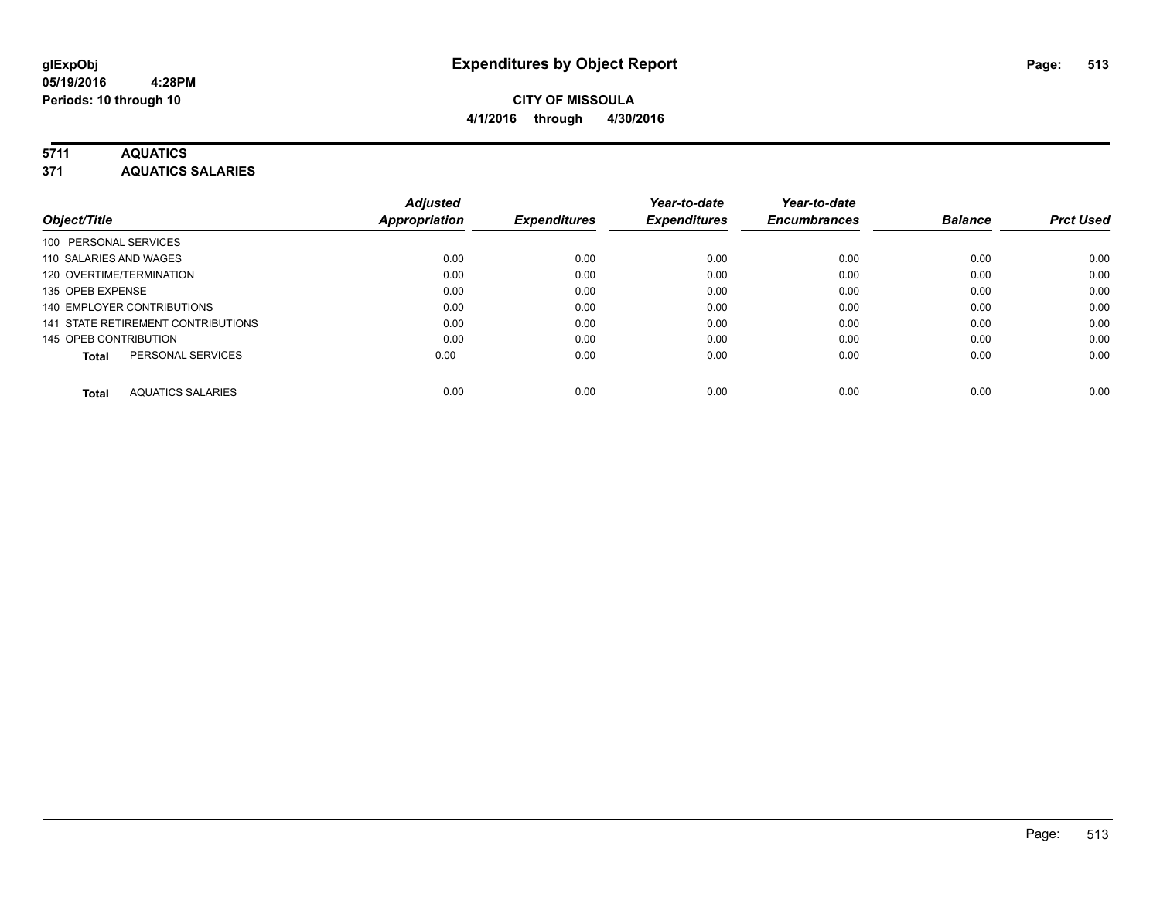## **5711 AQUATICS**

**371 AQUATICS SALARIES**

| Object/Title                             | <b>Adjusted</b><br><b>Appropriation</b> | <b>Expenditures</b> | Year-to-date<br><b>Expenditures</b> | Year-to-date<br><b>Encumbrances</b> | <b>Balance</b> | <b>Prct Used</b> |
|------------------------------------------|-----------------------------------------|---------------------|-------------------------------------|-------------------------------------|----------------|------------------|
| 100 PERSONAL SERVICES                    |                                         |                     |                                     |                                     |                |                  |
| 110 SALARIES AND WAGES                   | 0.00                                    | 0.00                | 0.00                                | 0.00                                | 0.00           | 0.00             |
| 120 OVERTIME/TERMINATION                 | 0.00                                    | 0.00                | 0.00                                | 0.00                                | 0.00           | 0.00             |
| 135 OPEB EXPENSE                         | 0.00                                    | 0.00                | 0.00                                | 0.00                                | 0.00           | 0.00             |
| 140 EMPLOYER CONTRIBUTIONS               | 0.00                                    | 0.00                | 0.00                                | 0.00                                | 0.00           | 0.00             |
| 141 STATE RETIREMENT CONTRIBUTIONS       | 0.00                                    | 0.00                | 0.00                                | 0.00                                | 0.00           | 0.00             |
| 145 OPEB CONTRIBUTION                    | 0.00                                    | 0.00                | 0.00                                | 0.00                                | 0.00           | 0.00             |
| PERSONAL SERVICES<br><b>Total</b>        | 0.00                                    | 0.00                | 0.00                                | 0.00                                | 0.00           | 0.00             |
| <b>AQUATICS SALARIES</b><br><b>Total</b> | 0.00                                    | 0.00                | 0.00                                | 0.00                                | 0.00           | 0.00             |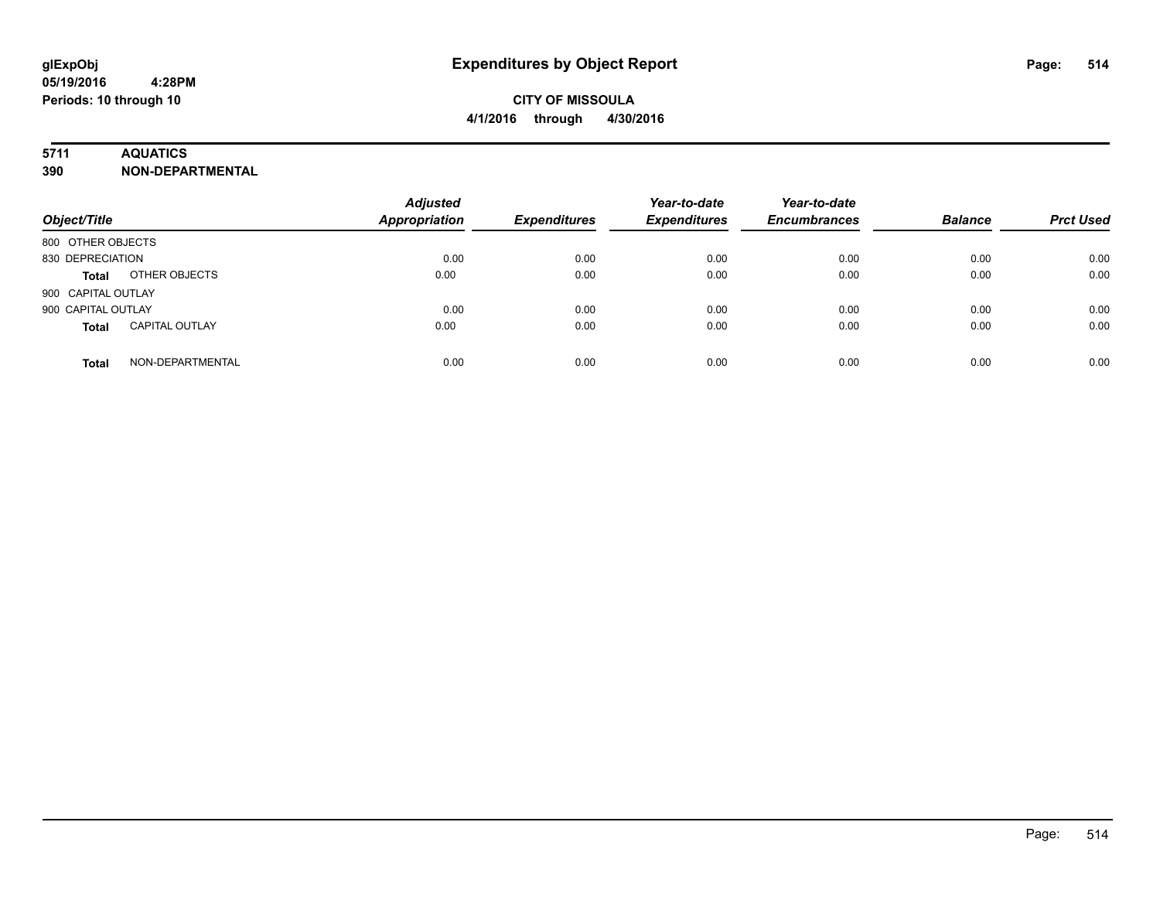## **5711 AQUATICS**

**390 NON-DEPARTMENTAL**

| Object/Title                          | <b>Adjusted</b><br><b>Appropriation</b> | <b>Expenditures</b> | Year-to-date<br><b>Expenditures</b> | Year-to-date<br><b>Encumbrances</b> | <b>Balance</b> | <b>Prct Used</b> |
|---------------------------------------|-----------------------------------------|---------------------|-------------------------------------|-------------------------------------|----------------|------------------|
| 800 OTHER OBJECTS                     |                                         |                     |                                     |                                     |                |                  |
| 830 DEPRECIATION                      | 0.00                                    | 0.00                | 0.00                                | 0.00                                | 0.00           | 0.00             |
| OTHER OBJECTS<br><b>Total</b>         | 0.00                                    | 0.00                | 0.00                                | 0.00                                | 0.00           | 0.00             |
| 900 CAPITAL OUTLAY                    |                                         |                     |                                     |                                     |                |                  |
| 900 CAPITAL OUTLAY                    | 0.00                                    | 0.00                | 0.00                                | 0.00                                | 0.00           | 0.00             |
| <b>CAPITAL OUTLAY</b><br><b>Total</b> | 0.00                                    | 0.00                | 0.00                                | 0.00                                | 0.00           | 0.00             |
| NON-DEPARTMENTAL<br><b>Total</b>      | 0.00                                    | 0.00                | 0.00                                | 0.00                                | 0.00           | 0.00             |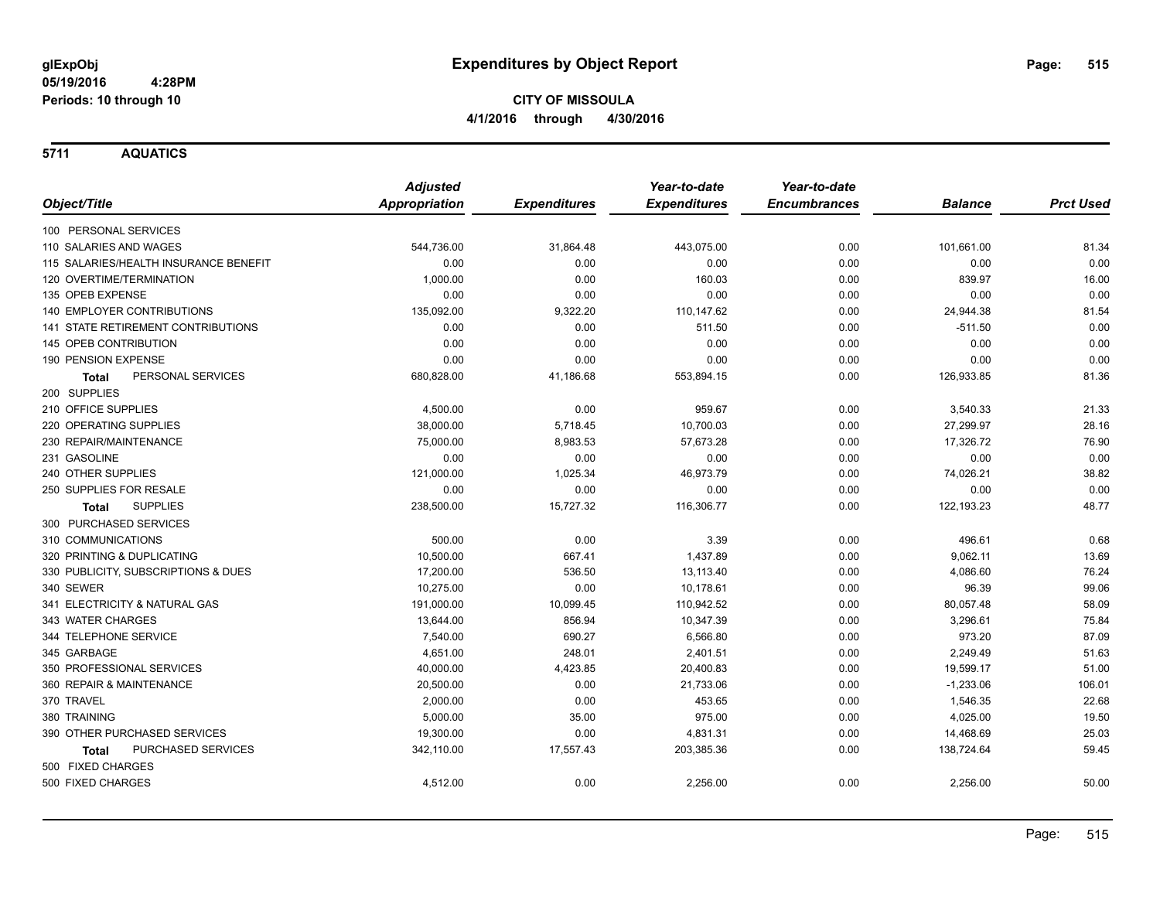**5711 AQUATICS**

|                                       | <b>Adjusted</b>      |                     | Year-to-date        | Year-to-date        |                |                  |
|---------------------------------------|----------------------|---------------------|---------------------|---------------------|----------------|------------------|
| Object/Title                          | <b>Appropriation</b> | <b>Expenditures</b> | <b>Expenditures</b> | <b>Encumbrances</b> | <b>Balance</b> | <b>Prct Used</b> |
| 100 PERSONAL SERVICES                 |                      |                     |                     |                     |                |                  |
| 110 SALARIES AND WAGES                | 544,736.00           | 31,864.48           | 443,075.00          | 0.00                | 101,661.00     | 81.34            |
| 115 SALARIES/HEALTH INSURANCE BENEFIT | 0.00                 | 0.00                | 0.00                | 0.00                | 0.00           | 0.00             |
| 120 OVERTIME/TERMINATION              | 1,000.00             | 0.00                | 160.03              | 0.00                | 839.97         | 16.00            |
| 135 OPEB EXPENSE                      | 0.00                 | 0.00                | 0.00                | 0.00                | 0.00           | 0.00             |
| 140 EMPLOYER CONTRIBUTIONS            | 135,092.00           | 9,322.20            | 110,147.62          | 0.00                | 24,944.38      | 81.54            |
| 141 STATE RETIREMENT CONTRIBUTIONS    | 0.00                 | 0.00                | 511.50              | 0.00                | $-511.50$      | 0.00             |
| 145 OPEB CONTRIBUTION                 | 0.00                 | 0.00                | 0.00                | 0.00                | 0.00           | 0.00             |
| 190 PENSION EXPENSE                   | 0.00                 | 0.00                | 0.00                | 0.00                | 0.00           | 0.00             |
| PERSONAL SERVICES<br><b>Total</b>     | 680,828.00           | 41,186.68           | 553,894.15          | 0.00                | 126,933.85     | 81.36            |
| 200 SUPPLIES                          |                      |                     |                     |                     |                |                  |
| 210 OFFICE SUPPLIES                   | 4,500.00             | 0.00                | 959.67              | 0.00                | 3,540.33       | 21.33            |
| 220 OPERATING SUPPLIES                | 38,000.00            | 5,718.45            | 10,700.03           | 0.00                | 27,299.97      | 28.16            |
| 230 REPAIR/MAINTENANCE                | 75,000.00            | 8,983.53            | 57,673.28           | 0.00                | 17,326.72      | 76.90            |
| 231 GASOLINE                          | 0.00                 | 0.00                | 0.00                | 0.00                | 0.00           | 0.00             |
| 240 OTHER SUPPLIES                    | 121,000.00           | 1,025.34            | 46,973.79           | 0.00                | 74,026.21      | 38.82            |
| 250 SUPPLIES FOR RESALE               | 0.00                 | 0.00                | 0.00                | 0.00                | 0.00           | 0.00             |
| <b>SUPPLIES</b><br><b>Total</b>       | 238,500.00           | 15,727.32           | 116,306.77          | 0.00                | 122,193.23     | 48.77            |
| 300 PURCHASED SERVICES                |                      |                     |                     |                     |                |                  |
| 310 COMMUNICATIONS                    | 500.00               | 0.00                | 3.39                | 0.00                | 496.61         | 0.68             |
| 320 PRINTING & DUPLICATING            | 10,500.00            | 667.41              | 1,437.89            | 0.00                | 9,062.11       | 13.69            |
| 330 PUBLICITY, SUBSCRIPTIONS & DUES   | 17,200.00            | 536.50              | 13,113.40           | 0.00                | 4,086.60       | 76.24            |
| 340 SEWER                             | 10,275.00            | 0.00                | 10,178.61           | 0.00                | 96.39          | 99.06            |
| 341 ELECTRICITY & NATURAL GAS         | 191,000.00           | 10,099.45           | 110,942.52          | 0.00                | 80,057.48      | 58.09            |
| 343 WATER CHARGES                     | 13,644.00            | 856.94              | 10,347.39           | 0.00                | 3,296.61       | 75.84            |
| 344 TELEPHONE SERVICE                 | 7,540.00             | 690.27              | 6,566.80            | 0.00                | 973.20         | 87.09            |
| 345 GARBAGE                           | 4,651.00             | 248.01              | 2,401.51            | 0.00                | 2,249.49       | 51.63            |
| 350 PROFESSIONAL SERVICES             | 40,000.00            | 4,423.85            | 20,400.83           | 0.00                | 19,599.17      | 51.00            |
| 360 REPAIR & MAINTENANCE              | 20,500.00            | 0.00                | 21,733.06           | 0.00                | $-1,233.06$    | 106.01           |
| 370 TRAVEL                            | 2,000.00             | 0.00                | 453.65              | 0.00                | 1,546.35       | 22.68            |
| 380 TRAINING                          | 5,000.00             | 35.00               | 975.00              | 0.00                | 4,025.00       | 19.50            |
| 390 OTHER PURCHASED SERVICES          | 19,300.00            | 0.00                | 4,831.31            | 0.00                | 14,468.69      | 25.03            |
| PURCHASED SERVICES<br><b>Total</b>    | 342,110.00           | 17,557.43           | 203,385.36          | 0.00                | 138,724.64     | 59.45            |
| 500 FIXED CHARGES                     |                      |                     |                     |                     |                |                  |
| 500 FIXED CHARGES                     | 4,512.00             | 0.00                | 2,256.00            | 0.00                | 2,256.00       | 50.00            |
|                                       |                      |                     |                     |                     |                |                  |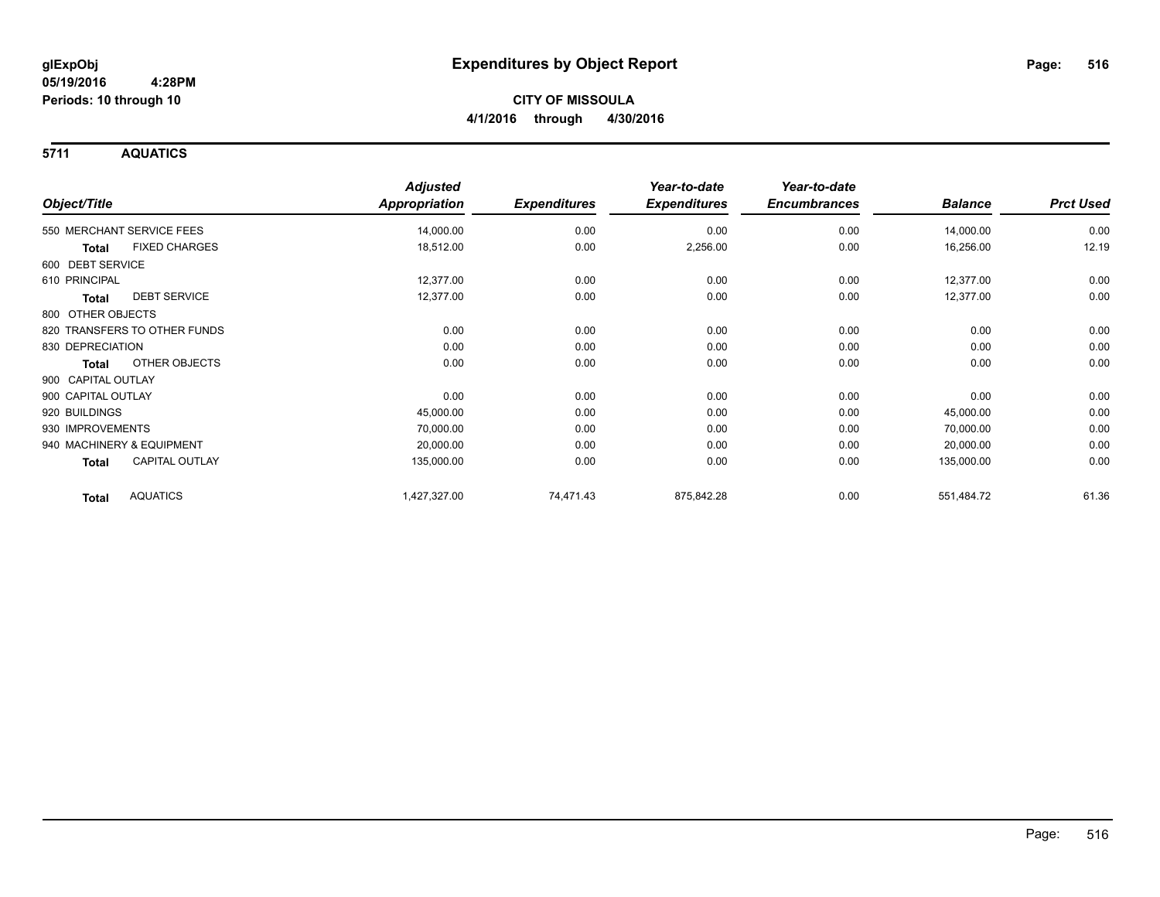**5711 AQUATICS**

|                                      | <b>Adjusted</b>      |                     | Year-to-date        | Year-to-date        |                |                  |
|--------------------------------------|----------------------|---------------------|---------------------|---------------------|----------------|------------------|
| Object/Title                         | <b>Appropriation</b> | <b>Expenditures</b> | <b>Expenditures</b> | <b>Encumbrances</b> | <b>Balance</b> | <b>Prct Used</b> |
| 550 MERCHANT SERVICE FEES            | 14,000.00            | 0.00                | 0.00                | 0.00                | 14,000.00      | 0.00             |
| <b>FIXED CHARGES</b><br>Total        | 18,512.00            | 0.00                | 2,256.00            | 0.00                | 16,256.00      | 12.19            |
| 600 DEBT SERVICE                     |                      |                     |                     |                     |                |                  |
| 610 PRINCIPAL                        | 12,377.00            | 0.00                | 0.00                | 0.00                | 12,377.00      | 0.00             |
| <b>DEBT SERVICE</b><br><b>Total</b>  | 12,377.00            | 0.00                | 0.00                | 0.00                | 12,377.00      | 0.00             |
| 800 OTHER OBJECTS                    |                      |                     |                     |                     |                |                  |
| 820 TRANSFERS TO OTHER FUNDS         | 0.00                 | 0.00                | 0.00                | 0.00                | 0.00           | 0.00             |
| 830 DEPRECIATION                     | 0.00                 | 0.00                | 0.00                | 0.00                | 0.00           | 0.00             |
| <b>OTHER OBJECTS</b><br><b>Total</b> | 0.00                 | 0.00                | 0.00                | 0.00                | 0.00           | 0.00             |
| 900 CAPITAL OUTLAY                   |                      |                     |                     |                     |                |                  |
| 900 CAPITAL OUTLAY                   | 0.00                 | 0.00                | 0.00                | 0.00                | 0.00           | 0.00             |
| 920 BUILDINGS                        | 45,000.00            | 0.00                | 0.00                | 0.00                | 45,000.00      | 0.00             |
| 930 IMPROVEMENTS                     | 70,000.00            | 0.00                | 0.00                | 0.00                | 70,000.00      | 0.00             |
| 940 MACHINERY & EQUIPMENT            | 20,000.00            | 0.00                | 0.00                | 0.00                | 20,000.00      | 0.00             |
| <b>CAPITAL OUTLAY</b><br>Total       | 135,000.00           | 0.00                | 0.00                | 0.00                | 135,000.00     | 0.00             |
| <b>AQUATICS</b><br><b>Total</b>      | 1,427,327.00         | 74,471.43           | 875,842.28          | 0.00                | 551,484.72     | 61.36            |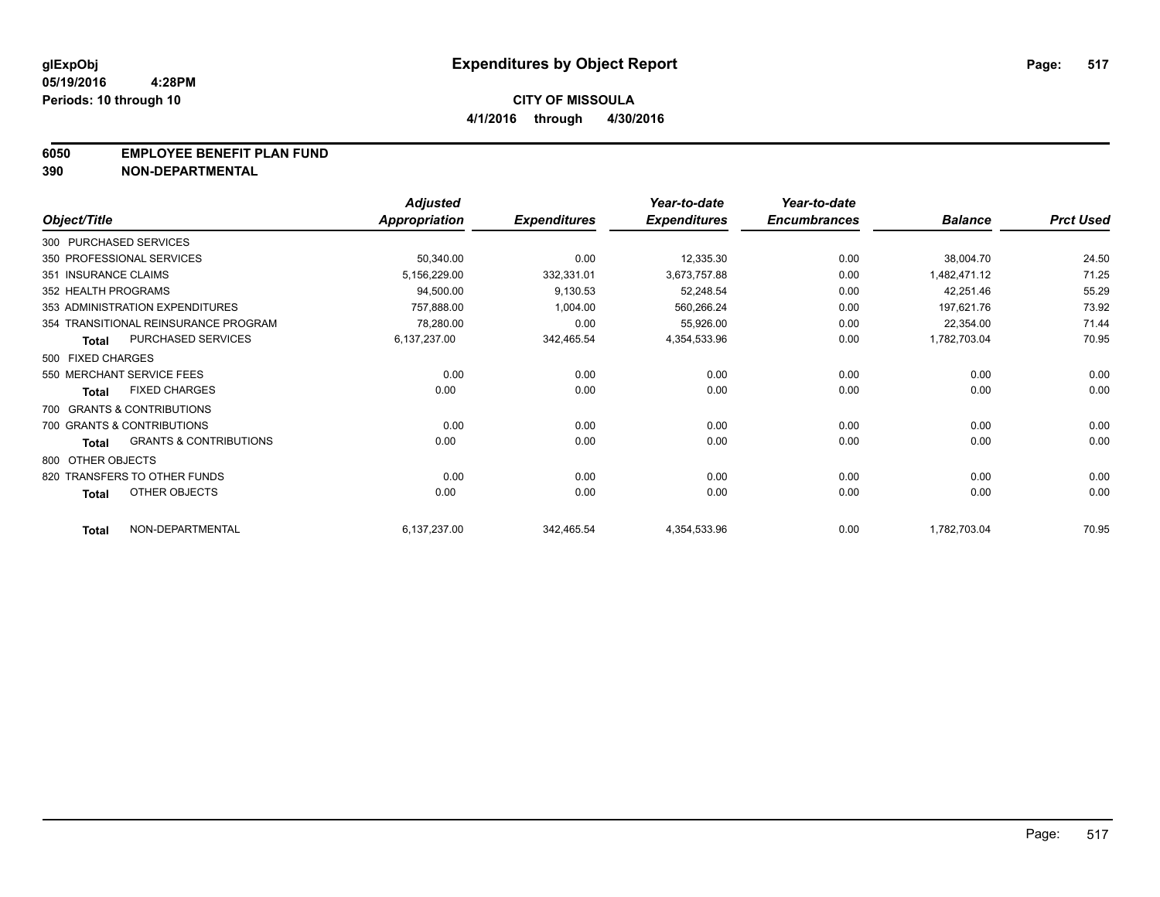#### **6050 EMPLOYEE BENEFIT PLAN FUND**

**390 NON-DEPARTMENTAL**

|                      |                                      | <b>Adjusted</b> |                     | Year-to-date        | Year-to-date        |                |                  |
|----------------------|--------------------------------------|-----------------|---------------------|---------------------|---------------------|----------------|------------------|
| Object/Title         |                                      | Appropriation   | <b>Expenditures</b> | <b>Expenditures</b> | <b>Encumbrances</b> | <b>Balance</b> | <b>Prct Used</b> |
|                      | 300 PURCHASED SERVICES               |                 |                     |                     |                     |                |                  |
|                      | 350 PROFESSIONAL SERVICES            | 50,340.00       | 0.00                | 12,335.30           | 0.00                | 38,004.70      | 24.50            |
| 351 INSURANCE CLAIMS |                                      | 5,156,229.00    | 332,331.01          | 3,673,757.88        | 0.00                | 1,482,471.12   | 71.25            |
| 352 HEALTH PROGRAMS  |                                      | 94,500.00       | 9,130.53            | 52,248.54           | 0.00                | 42,251.46      | 55.29            |
|                      | 353 ADMINISTRATION EXPENDITURES      | 757,888.00      | 1,004.00            | 560,266.24          | 0.00                | 197,621.76     | 73.92            |
|                      | 354 TRANSITIONAL REINSURANCE PROGRAM | 78,280.00       | 0.00                | 55,926.00           | 0.00                | 22,354.00      | 71.44            |
| <b>Total</b>         | PURCHASED SERVICES                   | 6,137,237.00    | 342,465.54          | 4,354,533.96        | 0.00                | 1,782,703.04   | 70.95            |
| 500 FIXED CHARGES    |                                      |                 |                     |                     |                     |                |                  |
|                      | 550 MERCHANT SERVICE FEES            | 0.00            | 0.00                | 0.00                | 0.00                | 0.00           | 0.00             |
| <b>Total</b>         | <b>FIXED CHARGES</b>                 | 0.00            | 0.00                | 0.00                | 0.00                | 0.00           | 0.00             |
|                      | 700 GRANTS & CONTRIBUTIONS           |                 |                     |                     |                     |                |                  |
|                      | 700 GRANTS & CONTRIBUTIONS           | 0.00            | 0.00                | 0.00                | 0.00                | 0.00           | 0.00             |
| <b>Total</b>         | <b>GRANTS &amp; CONTRIBUTIONS</b>    | 0.00            | 0.00                | 0.00                | 0.00                | 0.00           | 0.00             |
| 800 OTHER OBJECTS    |                                      |                 |                     |                     |                     |                |                  |
|                      | 820 TRANSFERS TO OTHER FUNDS         | 0.00            | 0.00                | 0.00                | 0.00                | 0.00           | 0.00             |
| <b>Total</b>         | OTHER OBJECTS                        | 0.00            | 0.00                | 0.00                | 0.00                | 0.00           | 0.00             |
| <b>Total</b>         | NON-DEPARTMENTAL                     | 6,137,237.00    | 342,465.54          | 4,354,533.96        | 0.00                | 1,782,703.04   | 70.95            |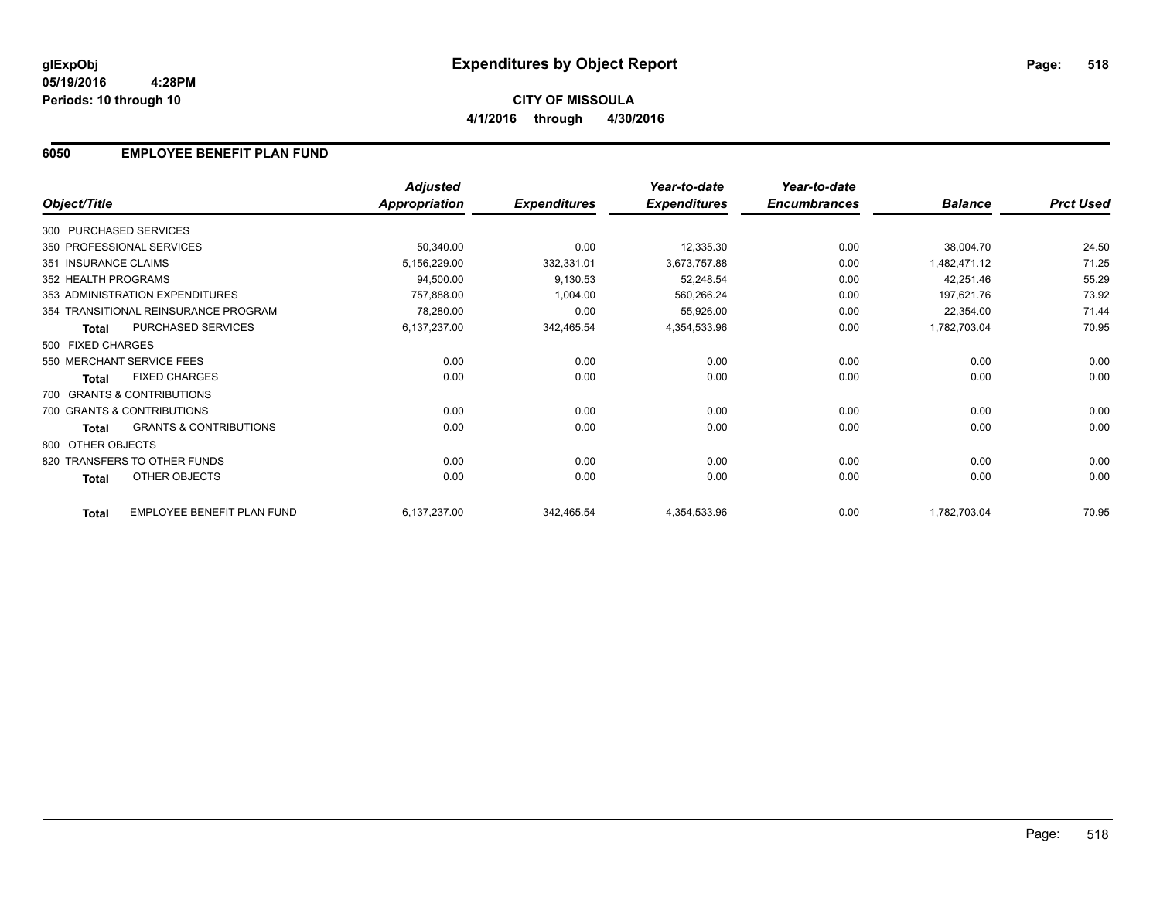# **CITY OF MISSOULA 4/1/2016 through 4/30/2016**

## **6050 EMPLOYEE BENEFIT PLAN FUND**

|                        |                                      | <b>Adjusted</b> |                     | Year-to-date        | Year-to-date        |                |                  |
|------------------------|--------------------------------------|-----------------|---------------------|---------------------|---------------------|----------------|------------------|
| Object/Title           |                                      | Appropriation   | <b>Expenditures</b> | <b>Expenditures</b> | <b>Encumbrances</b> | <b>Balance</b> | <b>Prct Used</b> |
| 300 PURCHASED SERVICES |                                      |                 |                     |                     |                     |                |                  |
|                        | 350 PROFESSIONAL SERVICES            | 50,340.00       | 0.00                | 12,335.30           | 0.00                | 38,004.70      | 24.50            |
| 351 INSURANCE CLAIMS   |                                      | 5,156,229.00    | 332,331.01          | 3,673,757.88        | 0.00                | 1,482,471.12   | 71.25            |
| 352 HEALTH PROGRAMS    |                                      | 94,500.00       | 9,130.53            | 52,248.54           | 0.00                | 42,251.46      | 55.29            |
|                        | 353 ADMINISTRATION EXPENDITURES      | 757,888.00      | 1,004.00            | 560,266.24          | 0.00                | 197,621.76     | 73.92            |
|                        | 354 TRANSITIONAL REINSURANCE PROGRAM | 78,280.00       | 0.00                | 55,926.00           | 0.00                | 22,354.00      | 71.44            |
| <b>Total</b>           | PURCHASED SERVICES                   | 6,137,237.00    | 342,465.54          | 4,354,533.96        | 0.00                | 1,782,703.04   | 70.95            |
| 500 FIXED CHARGES      |                                      |                 |                     |                     |                     |                |                  |
|                        | 550 MERCHANT SERVICE FEES            | 0.00            | 0.00                | 0.00                | 0.00                | 0.00           | 0.00             |
| <b>Total</b>           | <b>FIXED CHARGES</b>                 | 0.00            | 0.00                | 0.00                | 0.00                | 0.00           | 0.00             |
|                        | 700 GRANTS & CONTRIBUTIONS           |                 |                     |                     |                     |                |                  |
|                        | 700 GRANTS & CONTRIBUTIONS           | 0.00            | 0.00                | 0.00                | 0.00                | 0.00           | 0.00             |
| <b>Total</b>           | <b>GRANTS &amp; CONTRIBUTIONS</b>    | 0.00            | 0.00                | 0.00                | 0.00                | 0.00           | 0.00             |
| 800 OTHER OBJECTS      |                                      |                 |                     |                     |                     |                |                  |
|                        | 820 TRANSFERS TO OTHER FUNDS         | 0.00            | 0.00                | 0.00                | 0.00                | 0.00           | 0.00             |
| Total                  | OTHER OBJECTS                        | 0.00            | 0.00                | 0.00                | 0.00                | 0.00           | 0.00             |
| <b>Total</b>           | EMPLOYEE BENEFIT PLAN FUND           | 6,137,237.00    | 342,465.54          | 4,354,533.96        | 0.00                | 1,782,703.04   | 70.95            |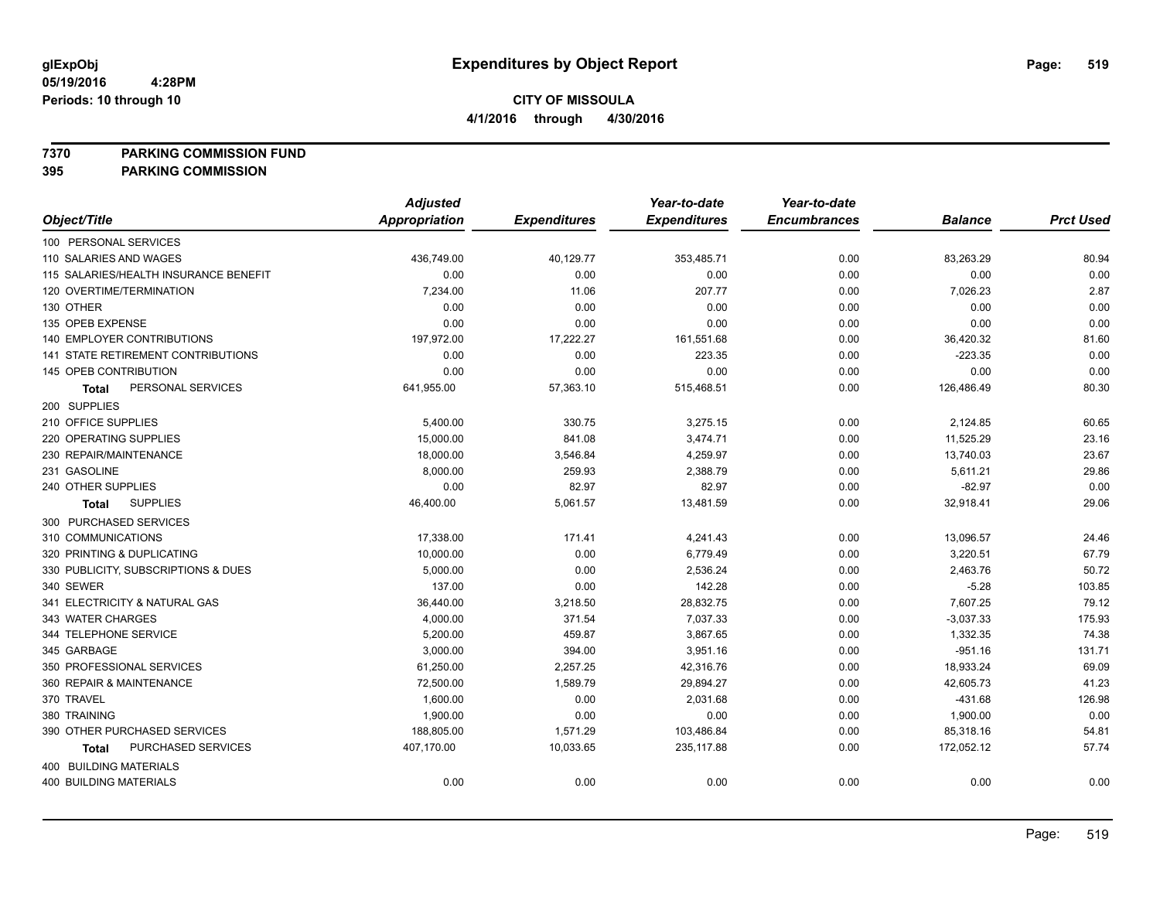**7370 PARKING COMMISSION FUND**

|                                       | <b>Adjusted</b> |                     | Year-to-date        | Year-to-date        |                |                  |
|---------------------------------------|-----------------|---------------------|---------------------|---------------------|----------------|------------------|
| Object/Title                          | Appropriation   | <b>Expenditures</b> | <b>Expenditures</b> | <b>Encumbrances</b> | <b>Balance</b> | <b>Prct Used</b> |
| 100 PERSONAL SERVICES                 |                 |                     |                     |                     |                |                  |
| 110 SALARIES AND WAGES                | 436,749.00      | 40,129.77           | 353,485.71          | 0.00                | 83,263.29      | 80.94            |
| 115 SALARIES/HEALTH INSURANCE BENEFIT | 0.00            | 0.00                | 0.00                | 0.00                | 0.00           | 0.00             |
| 120 OVERTIME/TERMINATION              | 7,234.00        | 11.06               | 207.77              | 0.00                | 7,026.23       | 2.87             |
| 130 OTHER                             | 0.00            | 0.00                | 0.00                | 0.00                | 0.00           | 0.00             |
| 135 OPEB EXPENSE                      | 0.00            | 0.00                | 0.00                | 0.00                | 0.00           | 0.00             |
| 140 EMPLOYER CONTRIBUTIONS            | 197,972.00      | 17,222.27           | 161,551.68          | 0.00                | 36,420.32      | 81.60            |
| 141 STATE RETIREMENT CONTRIBUTIONS    | 0.00            | 0.00                | 223.35              | 0.00                | $-223.35$      | 0.00             |
| 145 OPEB CONTRIBUTION                 | 0.00            | 0.00                | 0.00                | 0.00                | 0.00           | 0.00             |
| PERSONAL SERVICES<br><b>Total</b>     | 641,955.00      | 57,363.10           | 515,468.51          | 0.00                | 126,486.49     | 80.30            |
| 200 SUPPLIES                          |                 |                     |                     |                     |                |                  |
| 210 OFFICE SUPPLIES                   | 5,400.00        | 330.75              | 3,275.15            | 0.00                | 2,124.85       | 60.65            |
| 220 OPERATING SUPPLIES                | 15,000.00       | 841.08              | 3,474.71            | 0.00                | 11,525.29      | 23.16            |
| 230 REPAIR/MAINTENANCE                | 18,000.00       | 3,546.84            | 4,259.97            | 0.00                | 13,740.03      | 23.67            |
| 231 GASOLINE                          | 8,000.00        | 259.93              | 2,388.79            | 0.00                | 5,611.21       | 29.86            |
| 240 OTHER SUPPLIES                    | 0.00            | 82.97               | 82.97               | 0.00                | $-82.97$       | 0.00             |
| <b>SUPPLIES</b><br>Total              | 46,400.00       | 5,061.57            | 13,481.59           | 0.00                | 32,918.41      | 29.06            |
| 300 PURCHASED SERVICES                |                 |                     |                     |                     |                |                  |
| 310 COMMUNICATIONS                    | 17,338.00       | 171.41              | 4,241.43            | 0.00                | 13,096.57      | 24.46            |
| 320 PRINTING & DUPLICATING            | 10,000.00       | 0.00                | 6,779.49            | 0.00                | 3,220.51       | 67.79            |
| 330 PUBLICITY, SUBSCRIPTIONS & DUES   | 5,000.00        | 0.00                | 2,536.24            | 0.00                | 2,463.76       | 50.72            |
| 340 SEWER                             | 137.00          | 0.00                | 142.28              | 0.00                | $-5.28$        | 103.85           |
| 341 ELECTRICITY & NATURAL GAS         | 36,440.00       | 3,218.50            | 28,832.75           | 0.00                | 7,607.25       | 79.12            |
| 343 WATER CHARGES                     | 4,000.00        | 371.54              | 7,037.33            | 0.00                | $-3,037.33$    | 175.93           |
| 344 TELEPHONE SERVICE                 | 5,200.00        | 459.87              | 3,867.65            | 0.00                | 1,332.35       | 74.38            |
| 345 GARBAGE                           | 3,000.00        | 394.00              | 3,951.16            | 0.00                | $-951.16$      | 131.71           |
| 350 PROFESSIONAL SERVICES             | 61,250.00       | 2,257.25            | 42,316.76           | 0.00                | 18,933.24      | 69.09            |
| 360 REPAIR & MAINTENANCE              | 72,500.00       | 1,589.79            | 29,894.27           | 0.00                | 42,605.73      | 41.23            |
| 370 TRAVEL                            | 1,600.00        | 0.00                | 2,031.68            | 0.00                | $-431.68$      | 126.98           |
| 380 TRAINING                          | 1,900.00        | 0.00                | 0.00                | 0.00                | 1,900.00       | 0.00             |
| 390 OTHER PURCHASED SERVICES          | 188,805.00      | 1,571.29            | 103,486.84          | 0.00                | 85,318.16      | 54.81            |
| PURCHASED SERVICES<br><b>Total</b>    | 407,170.00      | 10,033.65           | 235, 117.88         | 0.00                | 172,052.12     | 57.74            |
| 400 BUILDING MATERIALS                |                 |                     |                     |                     |                |                  |
| <b>400 BUILDING MATERIALS</b>         | 0.00            | 0.00                | 0.00                | 0.00                | 0.00           | 0.00             |
|                                       |                 |                     |                     |                     |                |                  |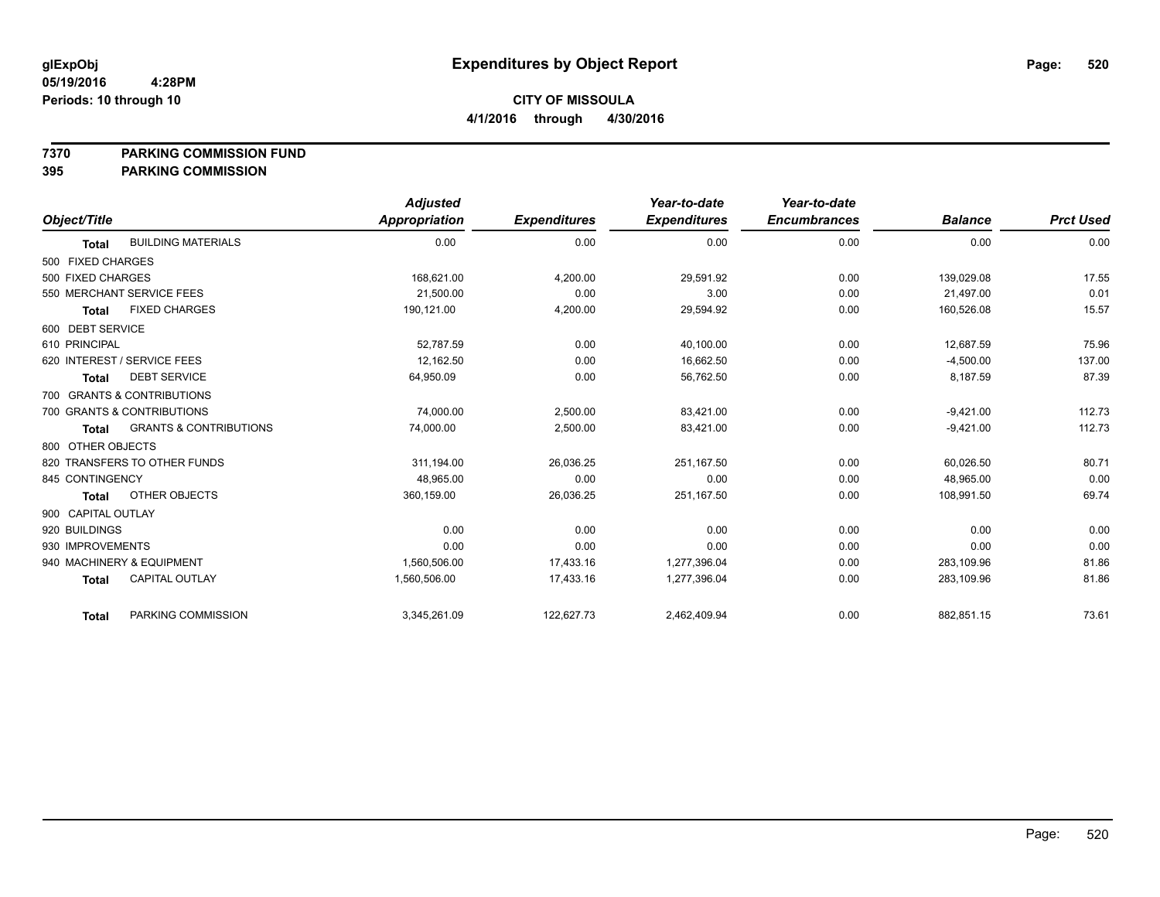#### **7370 PARKING COMMISSION FUND**

|                                                   | <b>Adjusted</b> |                     | Year-to-date        | Year-to-date        |                |                  |
|---------------------------------------------------|-----------------|---------------------|---------------------|---------------------|----------------|------------------|
| Object/Title                                      | Appropriation   | <b>Expenditures</b> | <b>Expenditures</b> | <b>Encumbrances</b> | <b>Balance</b> | <b>Prct Used</b> |
| <b>BUILDING MATERIALS</b><br><b>Total</b>         | 0.00            | 0.00                | 0.00                | 0.00                | 0.00           | 0.00             |
| 500 FIXED CHARGES                                 |                 |                     |                     |                     |                |                  |
| 500 FIXED CHARGES                                 | 168,621.00      | 4,200.00            | 29,591.92           | 0.00                | 139,029.08     | 17.55            |
| 550 MERCHANT SERVICE FEES                         | 21,500.00       | 0.00                | 3.00                | 0.00                | 21,497.00      | 0.01             |
| <b>FIXED CHARGES</b><br><b>Total</b>              | 190,121.00      | 4,200.00            | 29,594.92           | 0.00                | 160,526.08     | 15.57            |
| 600 DEBT SERVICE                                  |                 |                     |                     |                     |                |                  |
| 610 PRINCIPAL                                     | 52,787.59       | 0.00                | 40,100.00           | 0.00                | 12,687.59      | 75.96            |
| 620 INTEREST / SERVICE FEES                       | 12,162.50       | 0.00                | 16,662.50           | 0.00                | $-4,500.00$    | 137.00           |
| <b>DEBT SERVICE</b><br><b>Total</b>               | 64,950.09       | 0.00                | 56,762.50           | 0.00                | 8,187.59       | 87.39            |
| 700 GRANTS & CONTRIBUTIONS                        |                 |                     |                     |                     |                |                  |
| 700 GRANTS & CONTRIBUTIONS                        | 74,000.00       | 2,500.00            | 83,421.00           | 0.00                | $-9,421.00$    | 112.73           |
| <b>GRANTS &amp; CONTRIBUTIONS</b><br><b>Total</b> | 74,000.00       | 2,500.00            | 83,421.00           | 0.00                | $-9,421.00$    | 112.73           |
| 800 OTHER OBJECTS                                 |                 |                     |                     |                     |                |                  |
| 820 TRANSFERS TO OTHER FUNDS                      | 311,194.00      | 26,036.25           | 251,167.50          | 0.00                | 60,026.50      | 80.71            |
| 845 CONTINGENCY                                   | 48,965.00       | 0.00                | 0.00                | 0.00                | 48,965.00      | 0.00             |
| OTHER OBJECTS<br><b>Total</b>                     | 360,159.00      | 26,036.25           | 251,167.50          | 0.00                | 108,991.50     | 69.74            |
| 900 CAPITAL OUTLAY                                |                 |                     |                     |                     |                |                  |
| 920 BUILDINGS                                     | 0.00            | 0.00                | 0.00                | 0.00                | 0.00           | 0.00             |
| 930 IMPROVEMENTS                                  | 0.00            | 0.00                | 0.00                | 0.00                | 0.00           | 0.00             |
| 940 MACHINERY & EQUIPMENT                         | 1,560,506.00    | 17,433.16           | 1,277,396.04        | 0.00                | 283,109.96     | 81.86            |
| <b>CAPITAL OUTLAY</b><br><b>Total</b>             | 1,560,506.00    | 17,433.16           | 1,277,396.04        | 0.00                | 283,109.96     | 81.86            |
| PARKING COMMISSION<br><b>Total</b>                | 3,345,261.09    | 122,627.73          | 2,462,409.94        | 0.00                | 882,851.15     | 73.61            |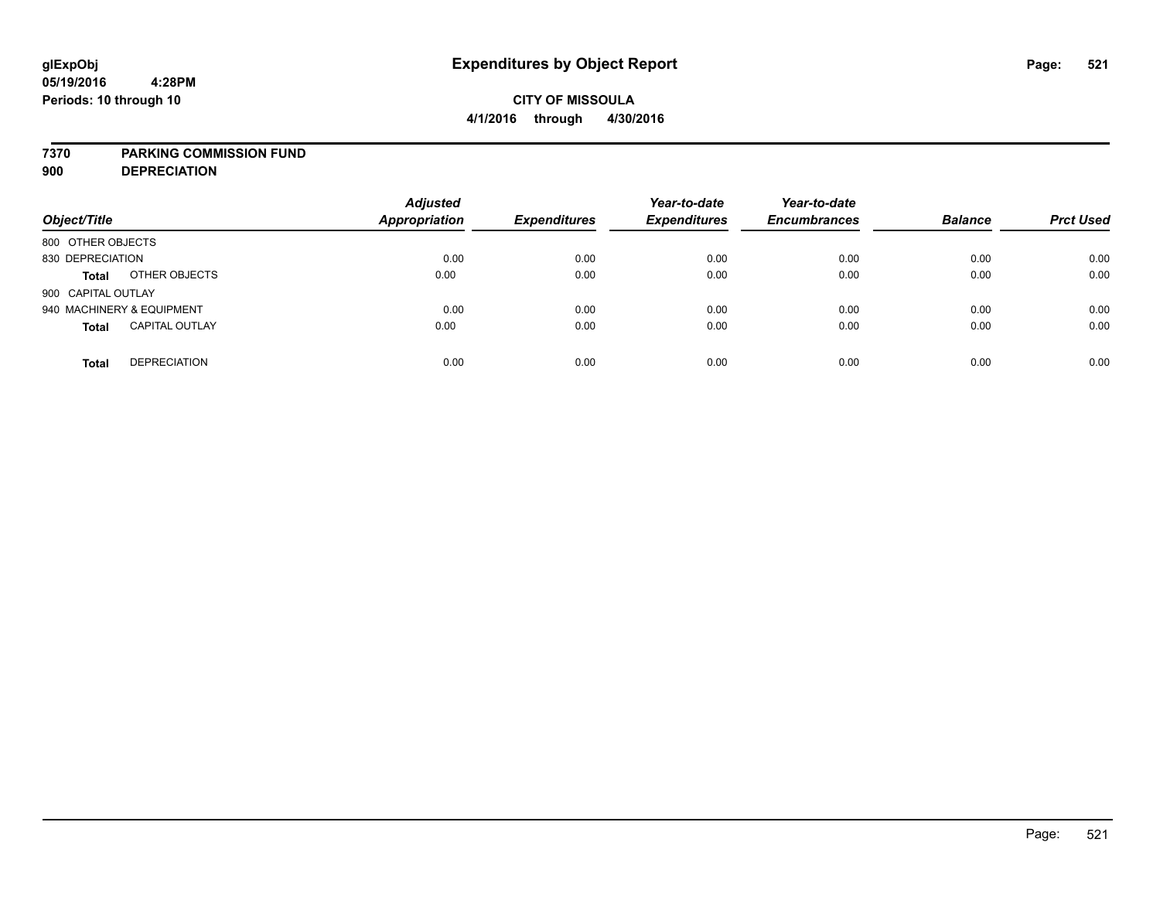#### **7370 PARKING COMMISSION FUND**

**900 DEPRECIATION**

| Object/Title                          | <b>Adjusted</b><br><b>Appropriation</b> | <b>Expenditures</b> | Year-to-date<br><b>Expenditures</b> | Year-to-date<br><b>Encumbrances</b> | <b>Balance</b> | <b>Prct Used</b> |
|---------------------------------------|-----------------------------------------|---------------------|-------------------------------------|-------------------------------------|----------------|------------------|
| 800 OTHER OBJECTS                     |                                         |                     |                                     |                                     |                |                  |
| 830 DEPRECIATION                      | 0.00                                    | 0.00                | 0.00                                | 0.00                                | 0.00           | 0.00             |
| OTHER OBJECTS<br><b>Total</b>         | 0.00                                    | 0.00                | 0.00                                | 0.00                                | 0.00           | 0.00             |
| 900 CAPITAL OUTLAY                    |                                         |                     |                                     |                                     |                |                  |
| 940 MACHINERY & EQUIPMENT             | 0.00                                    | 0.00                | 0.00                                | 0.00                                | 0.00           | 0.00             |
| <b>CAPITAL OUTLAY</b><br><b>Total</b> | 0.00                                    | 0.00                | 0.00                                | 0.00                                | 0.00           | 0.00             |
| <b>DEPRECIATION</b><br><b>Total</b>   | 0.00                                    | 0.00                | 0.00                                | 0.00                                | 0.00           | 0.00             |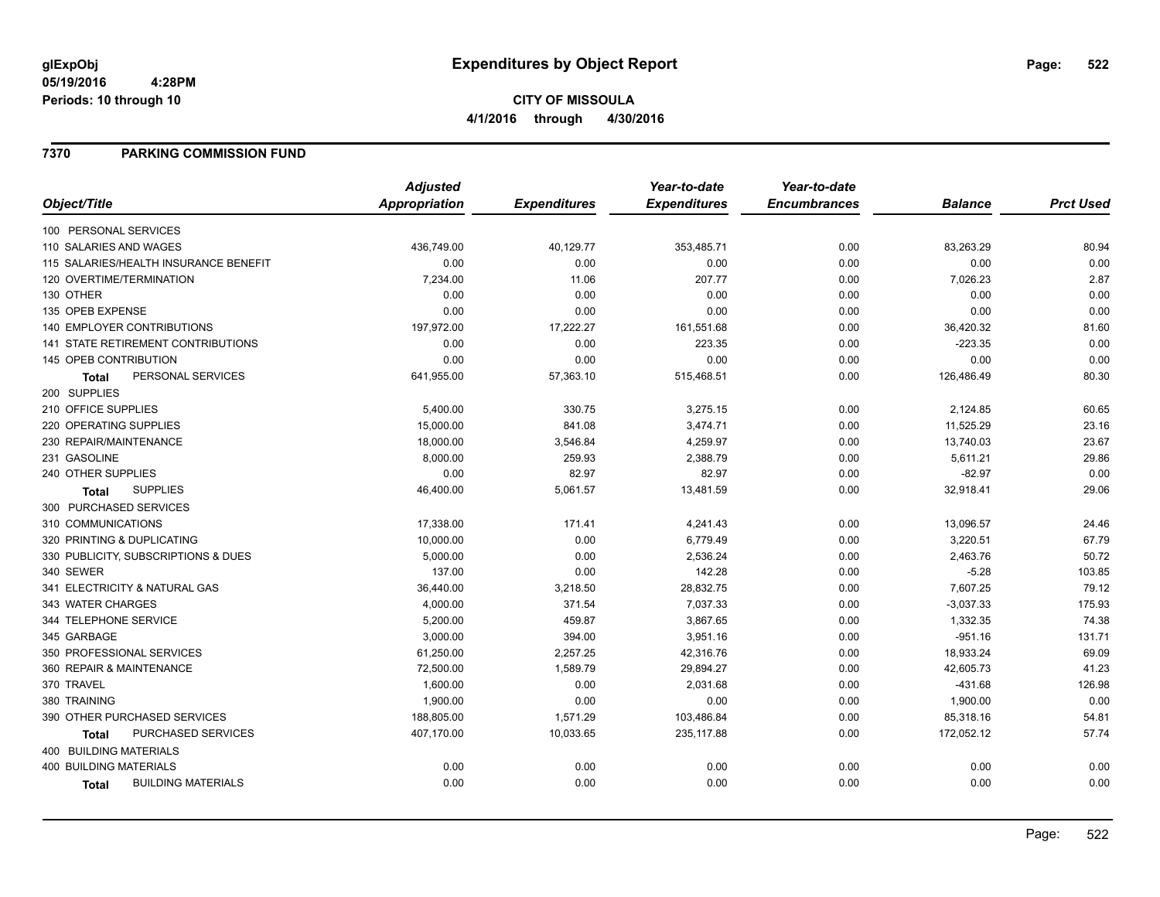**CITY OF MISSOULA 4/1/2016 through 4/30/2016**

## **7370 PARKING COMMISSION FUND**

|                                           | <b>Adjusted</b> |                     | Year-to-date        | Year-to-date        |                |                  |
|-------------------------------------------|-----------------|---------------------|---------------------|---------------------|----------------|------------------|
| Object/Title                              | Appropriation   | <b>Expenditures</b> | <b>Expenditures</b> | <b>Encumbrances</b> | <b>Balance</b> | <b>Prct Used</b> |
| 100 PERSONAL SERVICES                     |                 |                     |                     |                     |                |                  |
| 110 SALARIES AND WAGES                    | 436,749.00      | 40,129.77           | 353,485.71          | 0.00                | 83,263.29      | 80.94            |
| 115 SALARIES/HEALTH INSURANCE BENEFIT     | 0.00            | 0.00                | 0.00                | 0.00                | 0.00           | 0.00             |
| 120 OVERTIME/TERMINATION                  | 7,234.00        | 11.06               | 207.77              | 0.00                | 7,026.23       | 2.87             |
| 130 OTHER                                 | 0.00            | 0.00                | 0.00                | 0.00                | 0.00           | 0.00             |
| 135 OPEB EXPENSE                          | 0.00            | 0.00                | 0.00                | 0.00                | 0.00           | 0.00             |
| 140 EMPLOYER CONTRIBUTIONS                | 197,972.00      | 17,222.27           | 161,551.68          | 0.00                | 36,420.32      | 81.60            |
| 141 STATE RETIREMENT CONTRIBUTIONS        | 0.00            | 0.00                | 223.35              | 0.00                | $-223.35$      | 0.00             |
| 145 OPEB CONTRIBUTION                     | 0.00            | 0.00                | 0.00                | 0.00                | 0.00           | 0.00             |
| PERSONAL SERVICES<br>Total                | 641,955.00      | 57,363.10           | 515,468.51          | 0.00                | 126,486.49     | 80.30            |
| 200 SUPPLIES                              |                 |                     |                     |                     |                |                  |
| 210 OFFICE SUPPLIES                       | 5,400.00        | 330.75              | 3,275.15            | 0.00                | 2,124.85       | 60.65            |
| 220 OPERATING SUPPLIES                    | 15,000.00       | 841.08              | 3,474.71            | 0.00                | 11,525.29      | 23.16            |
| 230 REPAIR/MAINTENANCE                    | 18,000.00       | 3,546.84            | 4,259.97            | 0.00                | 13,740.03      | 23.67            |
| 231 GASOLINE                              | 8,000.00        | 259.93              | 2,388.79            | 0.00                | 5,611.21       | 29.86            |
| 240 OTHER SUPPLIES                        | 0.00            | 82.97               | 82.97               | 0.00                | $-82.97$       | 0.00             |
| <b>SUPPLIES</b><br>Total                  | 46,400.00       | 5,061.57            | 13,481.59           | 0.00                | 32,918.41      | 29.06            |
| 300 PURCHASED SERVICES                    |                 |                     |                     |                     |                |                  |
| 310 COMMUNICATIONS                        | 17,338.00       | 171.41              | 4,241.43            | 0.00                | 13,096.57      | 24.46            |
| 320 PRINTING & DUPLICATING                | 10,000.00       | 0.00                | 6,779.49            | 0.00                | 3,220.51       | 67.79            |
| 330 PUBLICITY, SUBSCRIPTIONS & DUES       | 5,000.00        | 0.00                | 2,536.24            | 0.00                | 2,463.76       | 50.72            |
| 340 SEWER                                 | 137.00          | 0.00                | 142.28              | 0.00                | $-5.28$        | 103.85           |
| 341 ELECTRICITY & NATURAL GAS             | 36,440.00       | 3,218.50            | 28,832.75           | 0.00                | 7,607.25       | 79.12            |
| 343 WATER CHARGES                         | 4,000.00        | 371.54              | 7,037.33            | 0.00                | $-3,037.33$    | 175.93           |
| 344 TELEPHONE SERVICE                     | 5,200.00        | 459.87              | 3,867.65            | 0.00                | 1,332.35       | 74.38            |
| 345 GARBAGE                               | 3,000.00        | 394.00              | 3,951.16            | 0.00                | $-951.16$      | 131.71           |
| 350 PROFESSIONAL SERVICES                 | 61,250.00       | 2,257.25            | 42,316.76           | 0.00                | 18,933.24      | 69.09            |
| 360 REPAIR & MAINTENANCE                  | 72,500.00       | 1,589.79            | 29,894.27           | 0.00                | 42,605.73      | 41.23            |
| 370 TRAVEL                                | 1,600.00        | 0.00                | 2,031.68            | 0.00                | $-431.68$      | 126.98           |
| 380 TRAINING                              | 1,900.00        | 0.00                | 0.00                | 0.00                | 1,900.00       | 0.00             |
| 390 OTHER PURCHASED SERVICES              | 188,805.00      | 1,571.29            | 103,486.84          | 0.00                | 85,318.16      | 54.81            |
| PURCHASED SERVICES<br>Total               | 407,170.00      | 10,033.65           | 235,117.88          | 0.00                | 172,052.12     | 57.74            |
| 400 BUILDING MATERIALS                    |                 |                     |                     |                     |                |                  |
| 400 BUILDING MATERIALS                    | 0.00            | 0.00                | 0.00                | 0.00                | 0.00           | 0.00             |
| <b>BUILDING MATERIALS</b><br><b>Total</b> | 0.00            | 0.00                | 0.00                | 0.00                | 0.00           | 0.00             |
|                                           |                 |                     |                     |                     |                |                  |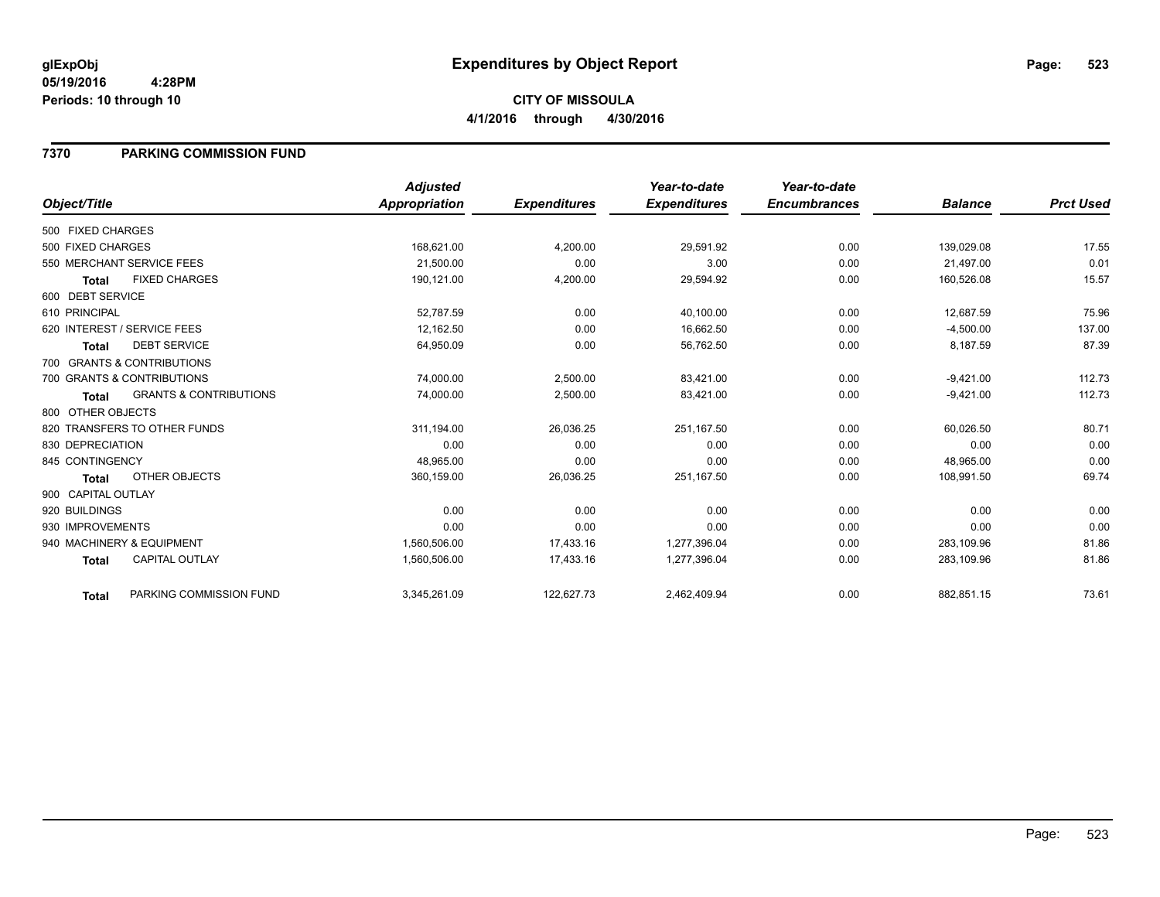## **7370 PARKING COMMISSION FUND**

|                    |                                   | <b>Adjusted</b>      |                     | Year-to-date        | Year-to-date        |                |                  |
|--------------------|-----------------------------------|----------------------|---------------------|---------------------|---------------------|----------------|------------------|
| Object/Title       |                                   | <b>Appropriation</b> | <b>Expenditures</b> | <b>Expenditures</b> | <b>Encumbrances</b> | <b>Balance</b> | <b>Prct Used</b> |
| 500 FIXED CHARGES  |                                   |                      |                     |                     |                     |                |                  |
| 500 FIXED CHARGES  |                                   | 168,621.00           | 4,200.00            | 29,591.92           | 0.00                | 139,029.08     | 17.55            |
|                    | 550 MERCHANT SERVICE FEES         | 21,500.00            | 0.00                | 3.00                | 0.00                | 21,497.00      | 0.01             |
| <b>Total</b>       | <b>FIXED CHARGES</b>              | 190,121.00           | 4,200.00            | 29,594.92           | 0.00                | 160,526.08     | 15.57            |
| 600 DEBT SERVICE   |                                   |                      |                     |                     |                     |                |                  |
| 610 PRINCIPAL      |                                   | 52,787.59            | 0.00                | 40,100.00           | 0.00                | 12,687.59      | 75.96            |
|                    | 620 INTEREST / SERVICE FEES       | 12,162.50            | 0.00                | 16,662.50           | 0.00                | $-4,500.00$    | 137.00           |
| <b>Total</b>       | <b>DEBT SERVICE</b>               | 64,950.09            | 0.00                | 56,762.50           | 0.00                | 8,187.59       | 87.39            |
|                    | 700 GRANTS & CONTRIBUTIONS        |                      |                     |                     |                     |                |                  |
|                    | 700 GRANTS & CONTRIBUTIONS        | 74,000.00            | 2,500.00            | 83,421.00           | 0.00                | $-9,421.00$    | 112.73           |
| <b>Total</b>       | <b>GRANTS &amp; CONTRIBUTIONS</b> | 74,000.00            | 2,500.00            | 83,421.00           | 0.00                | $-9,421.00$    | 112.73           |
| 800 OTHER OBJECTS  |                                   |                      |                     |                     |                     |                |                  |
|                    | 820 TRANSFERS TO OTHER FUNDS      | 311,194.00           | 26,036.25           | 251,167.50          | 0.00                | 60,026.50      | 80.71            |
| 830 DEPRECIATION   |                                   | 0.00                 | 0.00                | 0.00                | 0.00                | 0.00           | 0.00             |
| 845 CONTINGENCY    |                                   | 48,965.00            | 0.00                | 0.00                | 0.00                | 48,965.00      | 0.00             |
| <b>Total</b>       | <b>OTHER OBJECTS</b>              | 360,159.00           | 26,036.25           | 251,167.50          | 0.00                | 108,991.50     | 69.74            |
| 900 CAPITAL OUTLAY |                                   |                      |                     |                     |                     |                |                  |
| 920 BUILDINGS      |                                   | 0.00                 | 0.00                | 0.00                | 0.00                | 0.00           | 0.00             |
| 930 IMPROVEMENTS   |                                   | 0.00                 | 0.00                | 0.00                | 0.00                | 0.00           | 0.00             |
|                    | 940 MACHINERY & EQUIPMENT         | 1,560,506.00         | 17,433.16           | 1,277,396.04        | 0.00                | 283,109.96     | 81.86            |
| <b>Total</b>       | <b>CAPITAL OUTLAY</b>             | 1,560,506.00         | 17,433.16           | 1,277,396.04        | 0.00                | 283,109.96     | 81.86            |
| <b>Total</b>       | PARKING COMMISSION FUND           | 3,345,261.09         | 122,627.73          | 2,462,409.94        | 0.00                | 882,851.15     | 73.61            |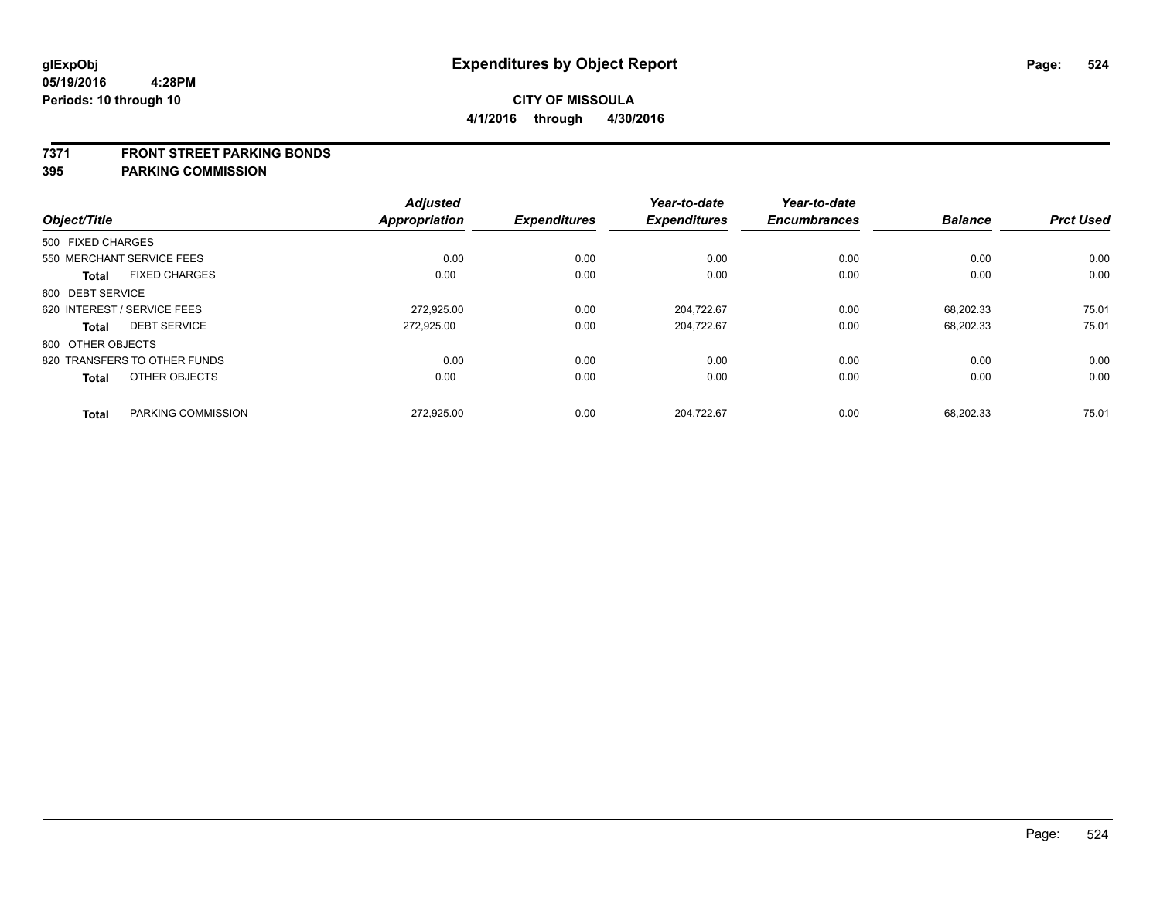#### **7371 FRONT STREET PARKING BONDS**

|                   |                              | <b>Adjusted</b>      |                     | Year-to-date        | Year-to-date        |                |                  |
|-------------------|------------------------------|----------------------|---------------------|---------------------|---------------------|----------------|------------------|
| Object/Title      |                              | <b>Appropriation</b> | <b>Expenditures</b> | <b>Expenditures</b> | <b>Encumbrances</b> | <b>Balance</b> | <b>Prct Used</b> |
| 500 FIXED CHARGES |                              |                      |                     |                     |                     |                |                  |
|                   | 550 MERCHANT SERVICE FEES    | 0.00                 | 0.00                | 0.00                | 0.00                | 0.00           | 0.00             |
| <b>Total</b>      | <b>FIXED CHARGES</b>         | 0.00                 | 0.00                | 0.00                | 0.00                | 0.00           | 0.00             |
| 600 DEBT SERVICE  |                              |                      |                     |                     |                     |                |                  |
|                   | 620 INTEREST / SERVICE FEES  | 272.925.00           | 0.00                | 204.722.67          | 0.00                | 68.202.33      | 75.01            |
| Total             | <b>DEBT SERVICE</b>          | 272,925.00           | 0.00                | 204,722.67          | 0.00                | 68,202.33      | 75.01            |
| 800 OTHER OBJECTS |                              |                      |                     |                     |                     |                |                  |
|                   | 820 TRANSFERS TO OTHER FUNDS | 0.00                 | 0.00                | 0.00                | 0.00                | 0.00           | 0.00             |
| <b>Total</b>      | OTHER OBJECTS                | 0.00                 | 0.00                | 0.00                | 0.00                | 0.00           | 0.00             |
| <b>Total</b>      | PARKING COMMISSION           | 272,925.00           | 0.00                | 204,722.67          | 0.00                | 68,202.33      | 75.01            |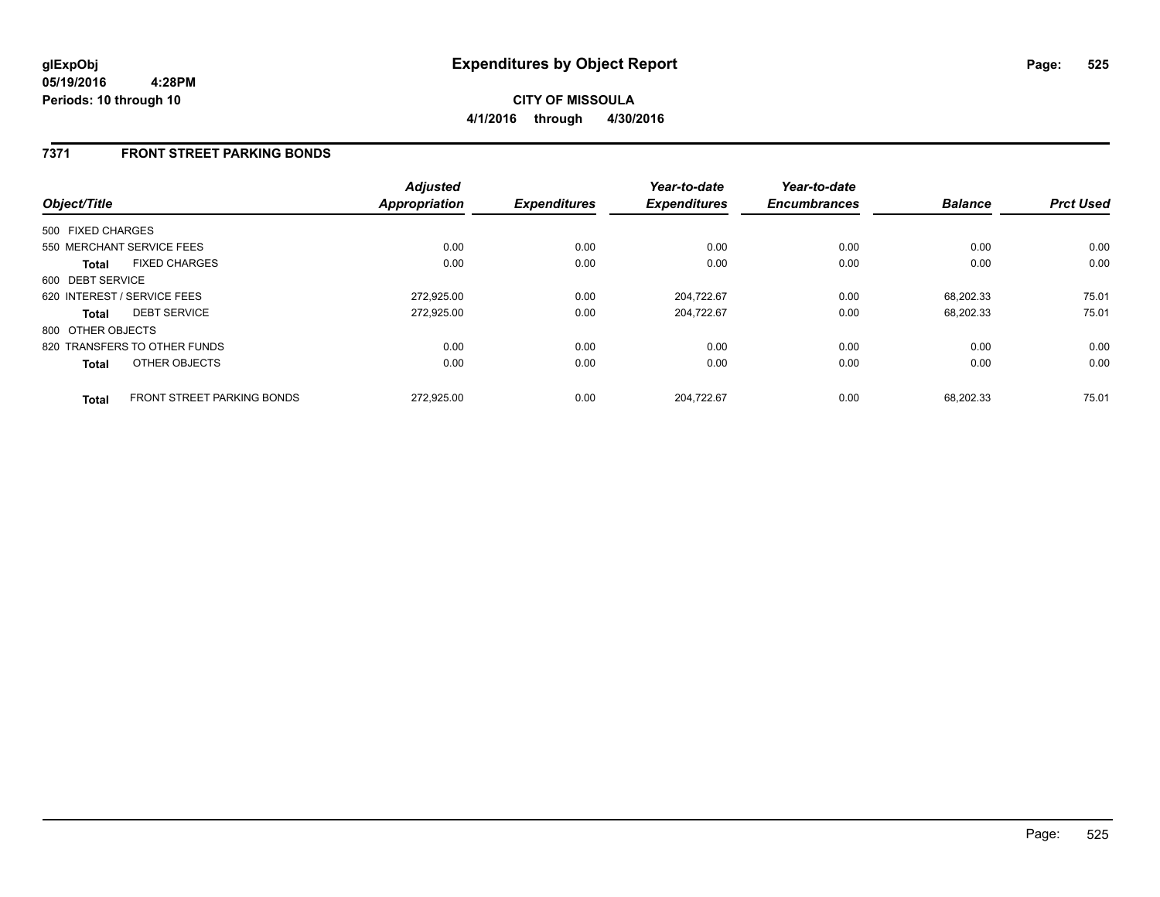# **CITY OF MISSOULA 4/1/2016 through 4/30/2016**

## **7371 FRONT STREET PARKING BONDS**

| Object/Title      |                              | <b>Adjusted</b><br>Appropriation | <b>Expenditures</b> | Year-to-date<br><b>Expenditures</b> | Year-to-date<br><b>Encumbrances</b> | <b>Balance</b> | <b>Prct Used</b> |
|-------------------|------------------------------|----------------------------------|---------------------|-------------------------------------|-------------------------------------|----------------|------------------|
| 500 FIXED CHARGES |                              |                                  |                     |                                     |                                     |                |                  |
|                   | 550 MERCHANT SERVICE FEES    | 0.00                             | 0.00                | 0.00                                | 0.00                                | 0.00           | 0.00             |
| Total             | <b>FIXED CHARGES</b>         | 0.00                             | 0.00                | 0.00                                | 0.00                                | 0.00           | 0.00             |
| 600 DEBT SERVICE  |                              |                                  |                     |                                     |                                     |                |                  |
|                   | 620 INTEREST / SERVICE FEES  | 272.925.00                       | 0.00                | 204,722.67                          | 0.00                                | 68.202.33      | 75.01            |
| <b>Total</b>      | <b>DEBT SERVICE</b>          | 272.925.00                       | 0.00                | 204,722.67                          | 0.00                                | 68.202.33      | 75.01            |
| 800 OTHER OBJECTS |                              |                                  |                     |                                     |                                     |                |                  |
|                   | 820 TRANSFERS TO OTHER FUNDS | 0.00                             | 0.00                | 0.00                                | 0.00                                | 0.00           | 0.00             |
| <b>Total</b>      | <b>OTHER OBJECTS</b>         | 0.00                             | 0.00                | 0.00                                | 0.00                                | 0.00           | 0.00             |
| <b>Total</b>      | FRONT STREET PARKING BONDS   | 272.925.00                       | 0.00                | 204.722.67                          | 0.00                                | 68.202.33      | 75.01            |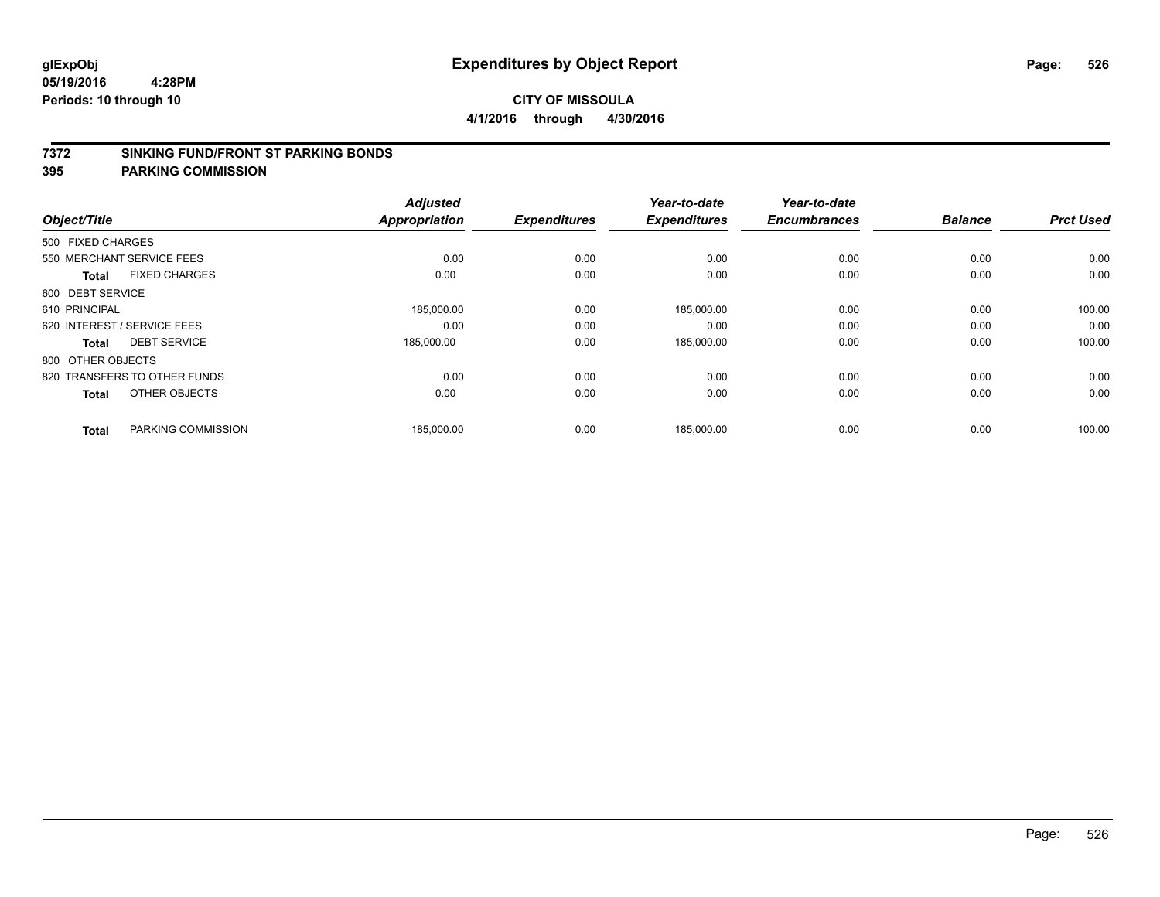#### **7372 SINKING FUND/FRONT ST PARKING BONDS**

| Object/Title                 |                      | <b>Adjusted</b><br><b>Appropriation</b> | <b>Expenditures</b> | Year-to-date<br><b>Expenditures</b> | Year-to-date<br><b>Encumbrances</b> | <b>Balance</b> | <b>Prct Used</b> |
|------------------------------|----------------------|-----------------------------------------|---------------------|-------------------------------------|-------------------------------------|----------------|------------------|
|                              |                      |                                         |                     |                                     |                                     |                |                  |
| 500 FIXED CHARGES            |                      |                                         |                     |                                     |                                     |                |                  |
| 550 MERCHANT SERVICE FEES    |                      | 0.00                                    | 0.00                | 0.00                                | 0.00                                | 0.00           | 0.00             |
| <b>Total</b>                 | <b>FIXED CHARGES</b> | 0.00                                    | 0.00                | 0.00                                | 0.00                                | 0.00           | 0.00             |
| 600 DEBT SERVICE             |                      |                                         |                     |                                     |                                     |                |                  |
| 610 PRINCIPAL                |                      | 185,000.00                              | 0.00                | 185,000.00                          | 0.00                                | 0.00           | 100.00           |
| 620 INTEREST / SERVICE FEES  |                      | 0.00                                    | 0.00                | 0.00                                | 0.00                                | 0.00           | 0.00             |
| <b>Total</b>                 | <b>DEBT SERVICE</b>  | 185,000.00                              | 0.00                | 185,000.00                          | 0.00                                | 0.00           | 100.00           |
| 800 OTHER OBJECTS            |                      |                                         |                     |                                     |                                     |                |                  |
| 820 TRANSFERS TO OTHER FUNDS |                      | 0.00                                    | 0.00                | 0.00                                | 0.00                                | 0.00           | 0.00             |
| <b>Total</b>                 | OTHER OBJECTS        | 0.00                                    | 0.00                | 0.00                                | 0.00                                | 0.00           | 0.00             |
|                              |                      |                                         |                     |                                     |                                     |                |                  |
| <b>Total</b>                 | PARKING COMMISSION   | 185,000.00                              | 0.00                | 185,000.00                          | 0.00                                | 0.00           | 100.00           |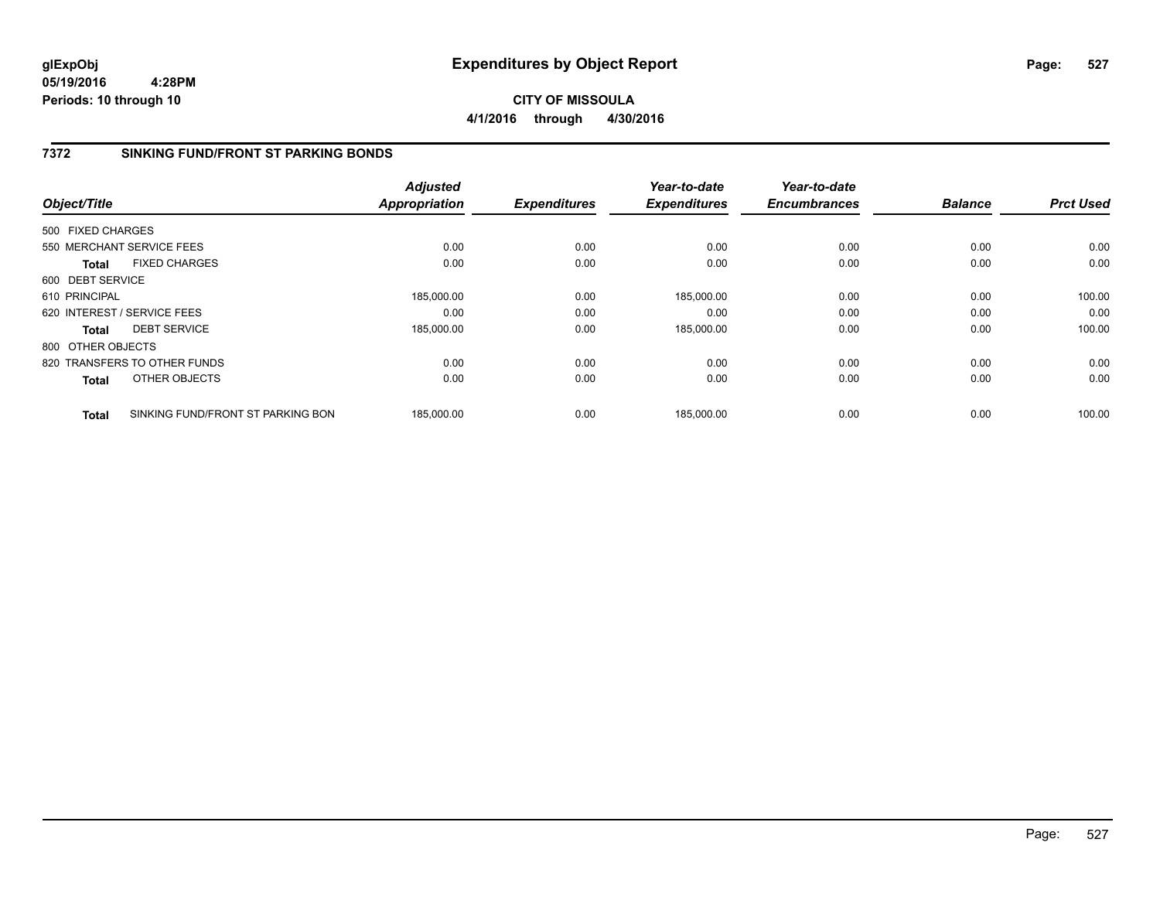# **CITY OF MISSOULA 4/1/2016 through 4/30/2016**

# **7372 SINKING FUND/FRONT ST PARKING BONDS**

|                   |                                   | <b>Adjusted</b>      |                     | Year-to-date        | Year-to-date        |                |                  |
|-------------------|-----------------------------------|----------------------|---------------------|---------------------|---------------------|----------------|------------------|
| Object/Title      |                                   | <b>Appropriation</b> | <b>Expenditures</b> | <b>Expenditures</b> | <b>Encumbrances</b> | <b>Balance</b> | <b>Prct Used</b> |
| 500 FIXED CHARGES |                                   |                      |                     |                     |                     |                |                  |
|                   | 550 MERCHANT SERVICE FEES         | 0.00                 | 0.00                | 0.00                | 0.00                | 0.00           | 0.00             |
| <b>Total</b>      | <b>FIXED CHARGES</b>              | 0.00                 | 0.00                | 0.00                | 0.00                | 0.00           | 0.00             |
| 600 DEBT SERVICE  |                                   |                      |                     |                     |                     |                |                  |
| 610 PRINCIPAL     |                                   | 185,000.00           | 0.00                | 185,000.00          | 0.00                | 0.00           | 100.00           |
|                   | 620 INTEREST / SERVICE FEES       | 0.00                 | 0.00                | 0.00                | 0.00                | 0.00           | 0.00             |
| Total             | <b>DEBT SERVICE</b>               | 185,000.00           | 0.00                | 185,000.00          | 0.00                | 0.00           | 100.00           |
| 800 OTHER OBJECTS |                                   |                      |                     |                     |                     |                |                  |
|                   | 820 TRANSFERS TO OTHER FUNDS      | 0.00                 | 0.00                | 0.00                | 0.00                | 0.00           | 0.00             |
| <b>Total</b>      | OTHER OBJECTS                     | 0.00                 | 0.00                | 0.00                | 0.00                | 0.00           | 0.00             |
| <b>Total</b>      | SINKING FUND/FRONT ST PARKING BON | 185.000.00           | 0.00                | 185.000.00          | 0.00                | 0.00           | 100.00           |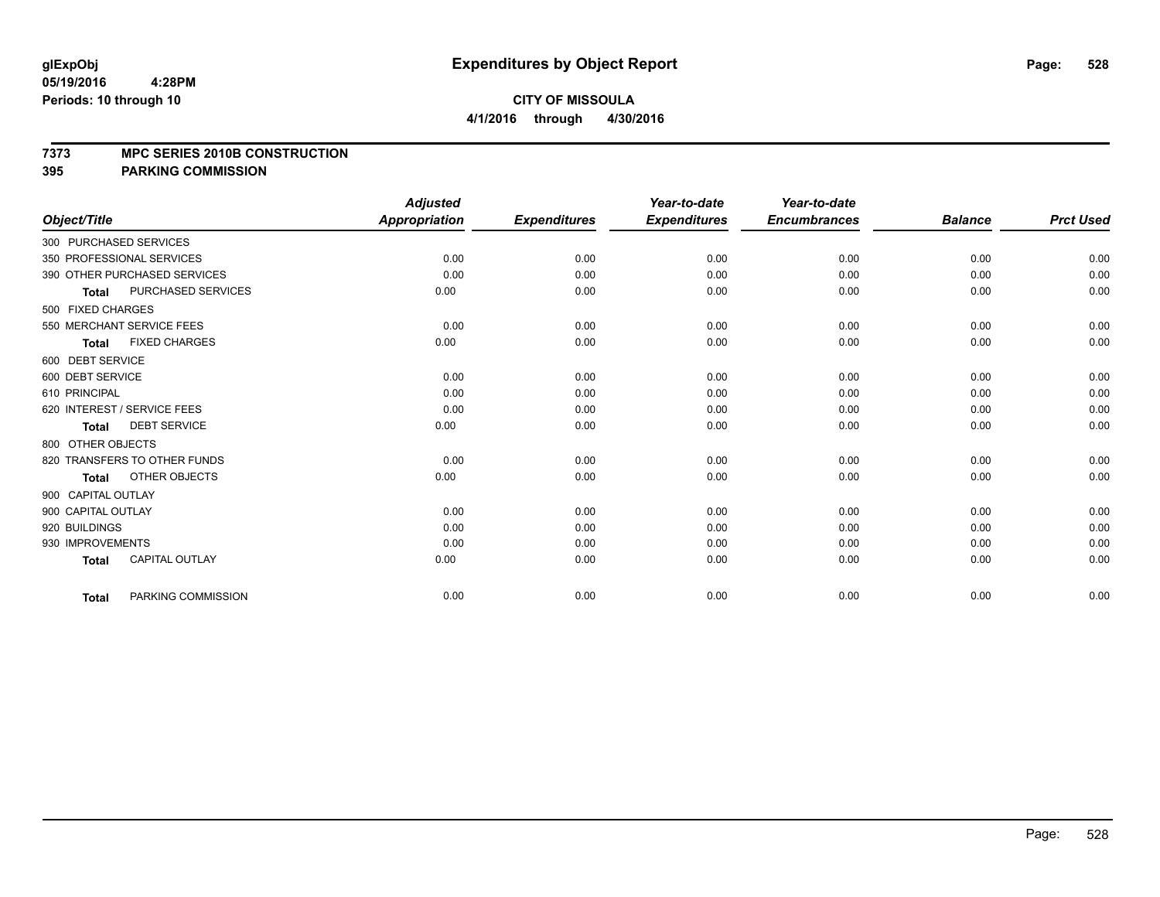#### **7373 MPC SERIES 2010B CONSTRUCTION**

|                             |                              | <b>Adjusted</b>      |                     | Year-to-date        | Year-to-date        |                |                  |
|-----------------------------|------------------------------|----------------------|---------------------|---------------------|---------------------|----------------|------------------|
| Object/Title                |                              | <b>Appropriation</b> | <b>Expenditures</b> | <b>Expenditures</b> | <b>Encumbrances</b> | <b>Balance</b> | <b>Prct Used</b> |
| 300 PURCHASED SERVICES      |                              |                      |                     |                     |                     |                |                  |
| 350 PROFESSIONAL SERVICES   |                              | 0.00                 | 0.00                | 0.00                | 0.00                | 0.00           | 0.00             |
|                             | 390 OTHER PURCHASED SERVICES | 0.00                 | 0.00                | 0.00                | 0.00                | 0.00           | 0.00             |
| <b>Total</b>                | <b>PURCHASED SERVICES</b>    | 0.00                 | 0.00                | 0.00                | 0.00                | 0.00           | 0.00             |
| 500 FIXED CHARGES           |                              |                      |                     |                     |                     |                |                  |
| 550 MERCHANT SERVICE FEES   |                              | 0.00                 | 0.00                | 0.00                | 0.00                | 0.00           | 0.00             |
| <b>Total</b>                | <b>FIXED CHARGES</b>         | 0.00                 | 0.00                | 0.00                | 0.00                | 0.00           | 0.00             |
| 600 DEBT SERVICE            |                              |                      |                     |                     |                     |                |                  |
| 600 DEBT SERVICE            |                              | 0.00                 | 0.00                | 0.00                | 0.00                | 0.00           | 0.00             |
| 610 PRINCIPAL               |                              | 0.00                 | 0.00                | 0.00                | 0.00                | 0.00           | 0.00             |
| 620 INTEREST / SERVICE FEES |                              | 0.00                 | 0.00                | 0.00                | 0.00                | 0.00           | 0.00             |
| <b>Total</b>                | <b>DEBT SERVICE</b>          | 0.00                 | 0.00                | 0.00                | 0.00                | 0.00           | 0.00             |
| 800 OTHER OBJECTS           |                              |                      |                     |                     |                     |                |                  |
|                             | 820 TRANSFERS TO OTHER FUNDS | 0.00                 | 0.00                | 0.00                | 0.00                | 0.00           | 0.00             |
| <b>Total</b>                | OTHER OBJECTS                | 0.00                 | 0.00                | 0.00                | 0.00                | 0.00           | 0.00             |
| 900 CAPITAL OUTLAY          |                              |                      |                     |                     |                     |                |                  |
| 900 CAPITAL OUTLAY          |                              | 0.00                 | 0.00                | 0.00                | 0.00                | 0.00           | 0.00             |
| 920 BUILDINGS               |                              | 0.00                 | 0.00                | 0.00                | 0.00                | 0.00           | 0.00             |
| 930 IMPROVEMENTS            |                              | 0.00                 | 0.00                | 0.00                | 0.00                | 0.00           | 0.00             |
| <b>Total</b>                | CAPITAL OUTLAY               | 0.00                 | 0.00                | 0.00                | 0.00                | 0.00           | 0.00             |
| <b>Total</b>                | PARKING COMMISSION           | 0.00                 | 0.00                | 0.00                | 0.00                | 0.00           | 0.00             |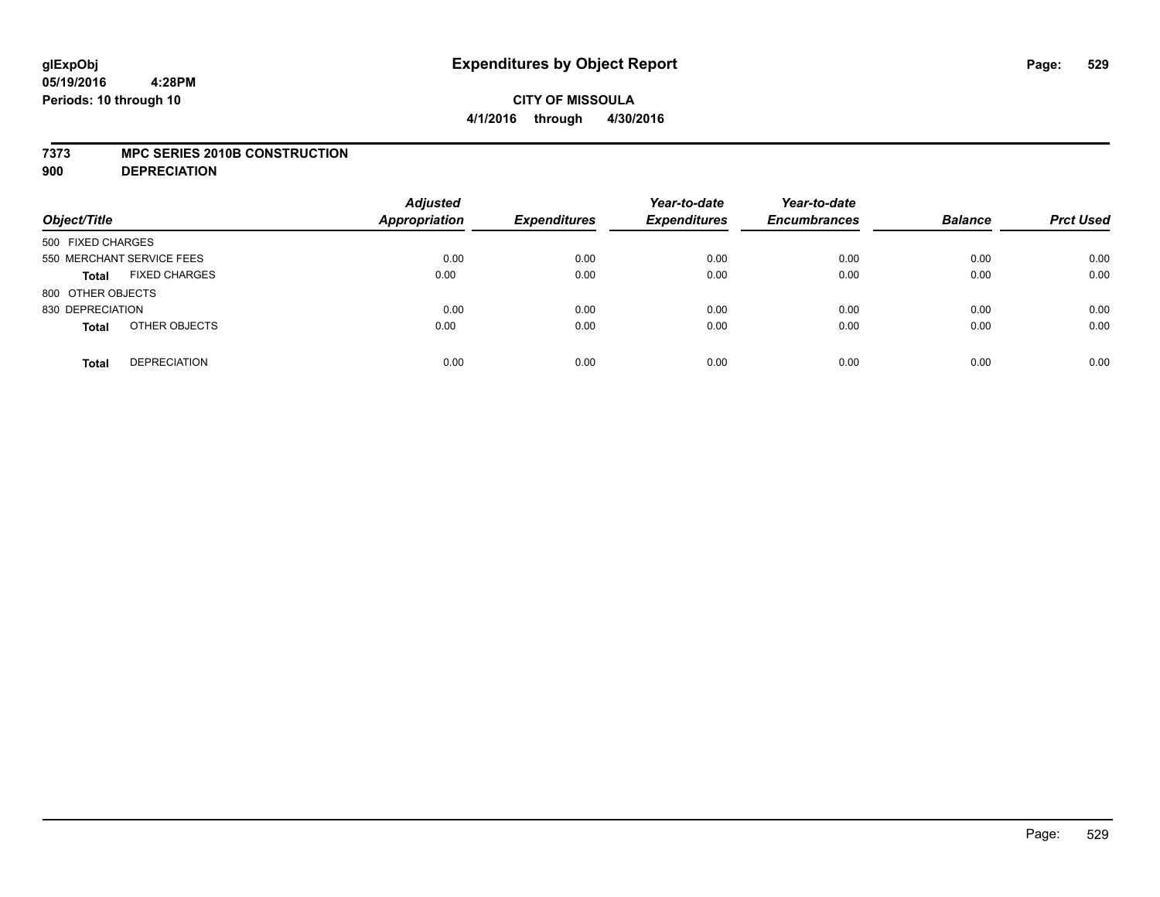#### **7373 MPC SERIES 2010B CONSTRUCTION**

**900 DEPRECIATION**

| Object/Title                         | <b>Adjusted</b><br><b>Appropriation</b> | <b>Expenditures</b> | Year-to-date<br><b>Expenditures</b> | Year-to-date<br><b>Encumbrances</b> | <b>Balance</b> | <b>Prct Used</b> |
|--------------------------------------|-----------------------------------------|---------------------|-------------------------------------|-------------------------------------|----------------|------------------|
| 500 FIXED CHARGES                    |                                         |                     |                                     |                                     |                |                  |
| 550 MERCHANT SERVICE FEES            | 0.00                                    | 0.00                | 0.00                                | 0.00                                | 0.00           | 0.00             |
| <b>FIXED CHARGES</b><br><b>Total</b> | 0.00                                    | 0.00                | 0.00                                | 0.00                                | 0.00           | 0.00             |
| 800 OTHER OBJECTS                    |                                         |                     |                                     |                                     |                |                  |
| 830 DEPRECIATION                     | 0.00                                    | 0.00                | 0.00                                | 0.00                                | 0.00           | 0.00             |
| OTHER OBJECTS<br><b>Total</b>        | 0.00                                    | 0.00                | 0.00                                | 0.00                                | 0.00           | 0.00             |
| <b>DEPRECIATION</b><br><b>Total</b>  | 0.00                                    | 0.00                | 0.00                                | 0.00                                | 0.00           | 0.00             |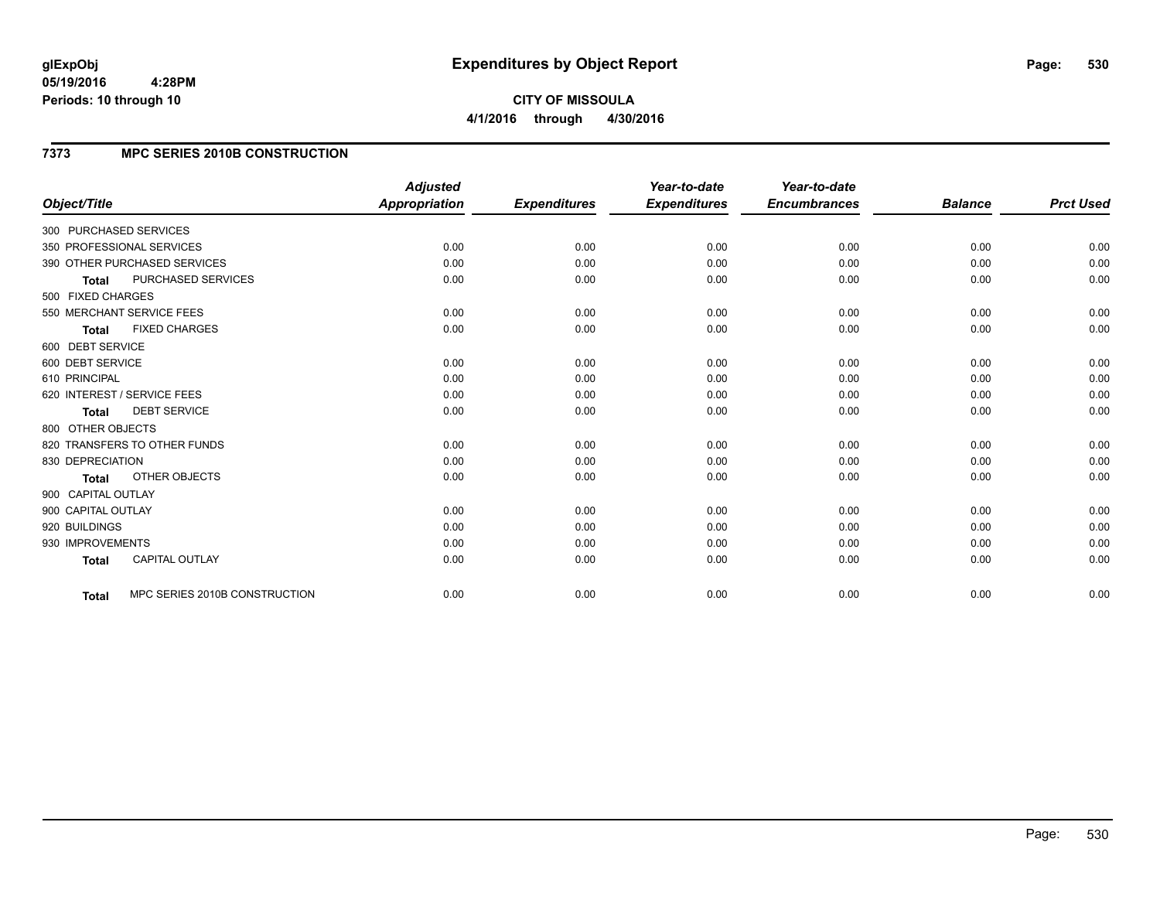**CITY OF MISSOULA 4/1/2016 through 4/30/2016**

# **7373 MPC SERIES 2010B CONSTRUCTION**

|                                        | <b>Adjusted</b>      |                     | Year-to-date        | Year-to-date        |                |                  |
|----------------------------------------|----------------------|---------------------|---------------------|---------------------|----------------|------------------|
| Object/Title                           | <b>Appropriation</b> | <b>Expenditures</b> | <b>Expenditures</b> | <b>Encumbrances</b> | <b>Balance</b> | <b>Prct Used</b> |
| 300 PURCHASED SERVICES                 |                      |                     |                     |                     |                |                  |
| 350 PROFESSIONAL SERVICES              | 0.00                 | 0.00                | 0.00                | 0.00                | 0.00           | 0.00             |
| 390 OTHER PURCHASED SERVICES           | 0.00                 | 0.00                | 0.00                | 0.00                | 0.00           | 0.00             |
| PURCHASED SERVICES<br><b>Total</b>     | 0.00                 | 0.00                | 0.00                | 0.00                | 0.00           | 0.00             |
| 500 FIXED CHARGES                      |                      |                     |                     |                     |                |                  |
| 550 MERCHANT SERVICE FEES              | 0.00                 | 0.00                | 0.00                | 0.00                | 0.00           | 0.00             |
| <b>FIXED CHARGES</b><br><b>Total</b>   | 0.00                 | 0.00                | 0.00                | 0.00                | 0.00           | 0.00             |
| 600 DEBT SERVICE                       |                      |                     |                     |                     |                |                  |
| 600 DEBT SERVICE                       | 0.00                 | 0.00                | 0.00                | 0.00                | 0.00           | 0.00             |
| 610 PRINCIPAL                          | 0.00                 | 0.00                | 0.00                | 0.00                | 0.00           | 0.00             |
| 620 INTEREST / SERVICE FEES            | 0.00                 | 0.00                | 0.00                | 0.00                | 0.00           | 0.00             |
| <b>DEBT SERVICE</b><br><b>Total</b>    | 0.00                 | 0.00                | 0.00                | 0.00                | 0.00           | 0.00             |
| 800 OTHER OBJECTS                      |                      |                     |                     |                     |                |                  |
| 820 TRANSFERS TO OTHER FUNDS           | 0.00                 | 0.00                | 0.00                | 0.00                | 0.00           | 0.00             |
| 830 DEPRECIATION                       | 0.00                 | 0.00                | 0.00                | 0.00                | 0.00           | 0.00             |
| OTHER OBJECTS<br><b>Total</b>          | 0.00                 | 0.00                | 0.00                | 0.00                | 0.00           | 0.00             |
| 900 CAPITAL OUTLAY                     |                      |                     |                     |                     |                |                  |
| 900 CAPITAL OUTLAY                     | 0.00                 | 0.00                | 0.00                | 0.00                | 0.00           | 0.00             |
| 920 BUILDINGS                          | 0.00                 | 0.00                | 0.00                | 0.00                | 0.00           | 0.00             |
| 930 IMPROVEMENTS                       | 0.00                 | 0.00                | 0.00                | 0.00                | 0.00           | 0.00             |
| <b>CAPITAL OUTLAY</b><br><b>Total</b>  | 0.00                 | 0.00                | 0.00                | 0.00                | 0.00           | 0.00             |
|                                        |                      |                     |                     |                     |                |                  |
| MPC SERIES 2010B CONSTRUCTION<br>Total | 0.00                 | 0.00                | 0.00                | 0.00                | 0.00           | 0.00             |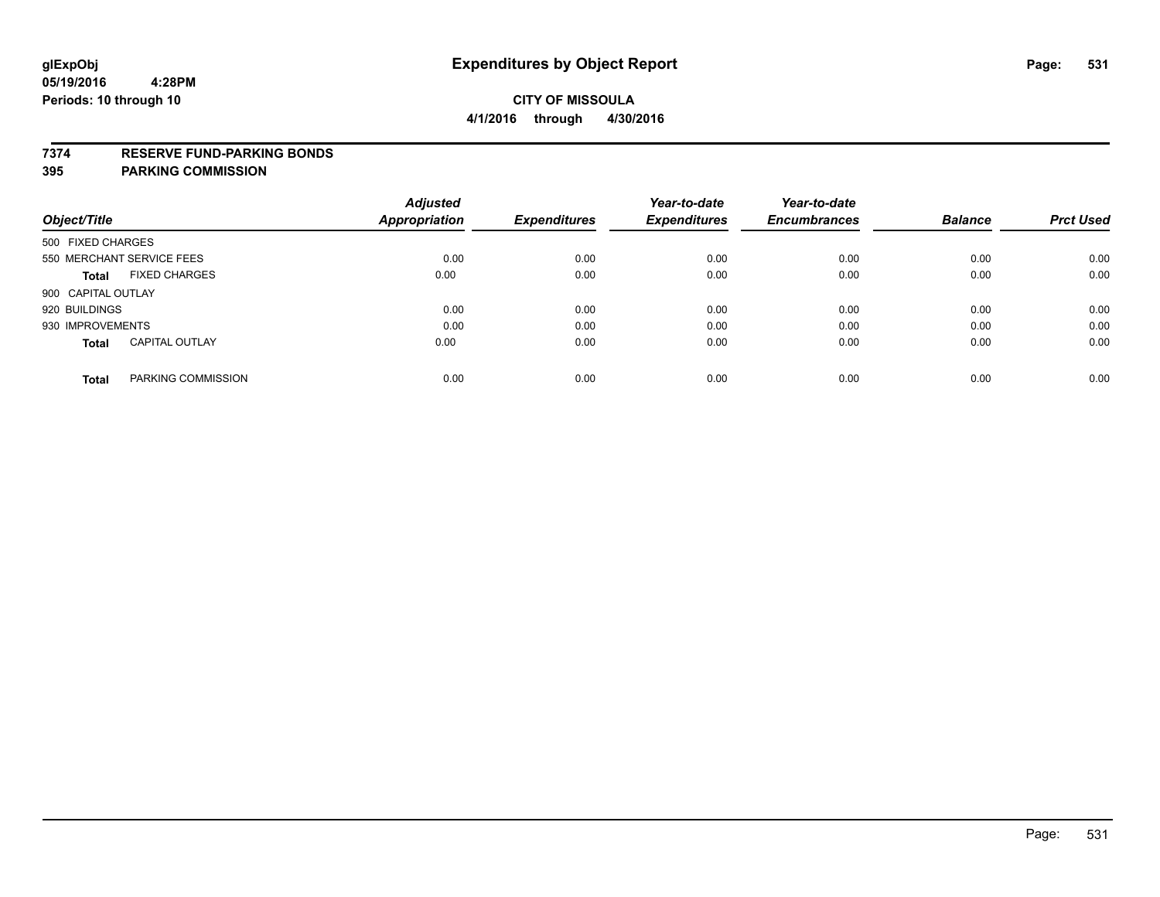#### **7374 RESERVE FUND-PARKING BONDS**

| Object/Title              |                       | <b>Adjusted</b><br>Appropriation | <b>Expenditures</b> | Year-to-date<br><b>Expenditures</b> | Year-to-date<br><b>Encumbrances</b> | <b>Balance</b> | <b>Prct Used</b> |
|---------------------------|-----------------------|----------------------------------|---------------------|-------------------------------------|-------------------------------------|----------------|------------------|
| 500 FIXED CHARGES         |                       |                                  |                     |                                     |                                     |                |                  |
| 550 MERCHANT SERVICE FEES |                       | 0.00                             | 0.00                | 0.00                                | 0.00                                | 0.00           | 0.00             |
| Total                     | <b>FIXED CHARGES</b>  | 0.00                             | 0.00                | 0.00                                | 0.00                                | 0.00           | 0.00             |
| 900 CAPITAL OUTLAY        |                       |                                  |                     |                                     |                                     |                |                  |
| 920 BUILDINGS             |                       | 0.00                             | 0.00                | 0.00                                | 0.00                                | 0.00           | 0.00             |
| 930 IMPROVEMENTS          |                       | 0.00                             | 0.00                | 0.00                                | 0.00                                | 0.00           | 0.00             |
| <b>Total</b>              | <b>CAPITAL OUTLAY</b> | 0.00                             | 0.00                | 0.00                                | 0.00                                | 0.00           | 0.00             |
| <b>Total</b>              | PARKING COMMISSION    | 0.00                             | 0.00                | 0.00                                | 0.00                                | 0.00           | 0.00             |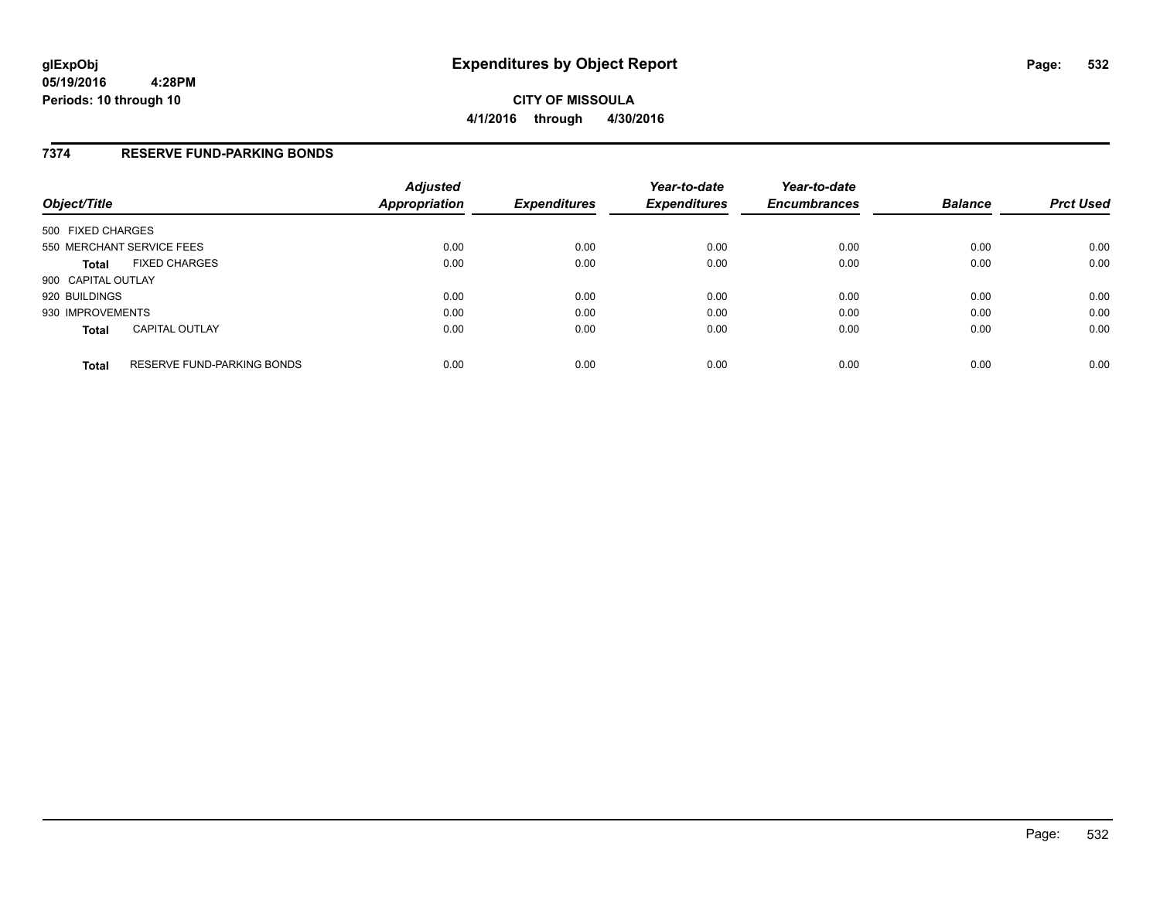## **7374 RESERVE FUND-PARKING BONDS**

| Object/Title              |                            | <b>Adjusted</b><br>Appropriation | <b>Expenditures</b> | Year-to-date<br><b>Expenditures</b> | Year-to-date<br><b>Encumbrances</b> | <b>Balance</b> | <b>Prct Used</b> |
|---------------------------|----------------------------|----------------------------------|---------------------|-------------------------------------|-------------------------------------|----------------|------------------|
| 500 FIXED CHARGES         |                            |                                  |                     |                                     |                                     |                |                  |
| 550 MERCHANT SERVICE FEES |                            | 0.00                             | 0.00                | 0.00                                | 0.00                                | 0.00           | 0.00             |
| <b>Total</b>              | <b>FIXED CHARGES</b>       | 0.00                             | 0.00                | 0.00                                | 0.00                                | 0.00           | 0.00             |
| 900 CAPITAL OUTLAY        |                            |                                  |                     |                                     |                                     |                |                  |
| 920 BUILDINGS             |                            | 0.00                             | 0.00                | 0.00                                | 0.00                                | 0.00           | 0.00             |
| 930 IMPROVEMENTS          |                            | 0.00                             | 0.00                | 0.00                                | 0.00                                | 0.00           | 0.00             |
| <b>Total</b>              | <b>CAPITAL OUTLAY</b>      | 0.00                             | 0.00                | 0.00                                | 0.00                                | 0.00           | 0.00             |
| <b>Total</b>              | RESERVE FUND-PARKING BONDS | 0.00                             | 0.00                | 0.00                                | 0.00                                | 0.00           | 0.00             |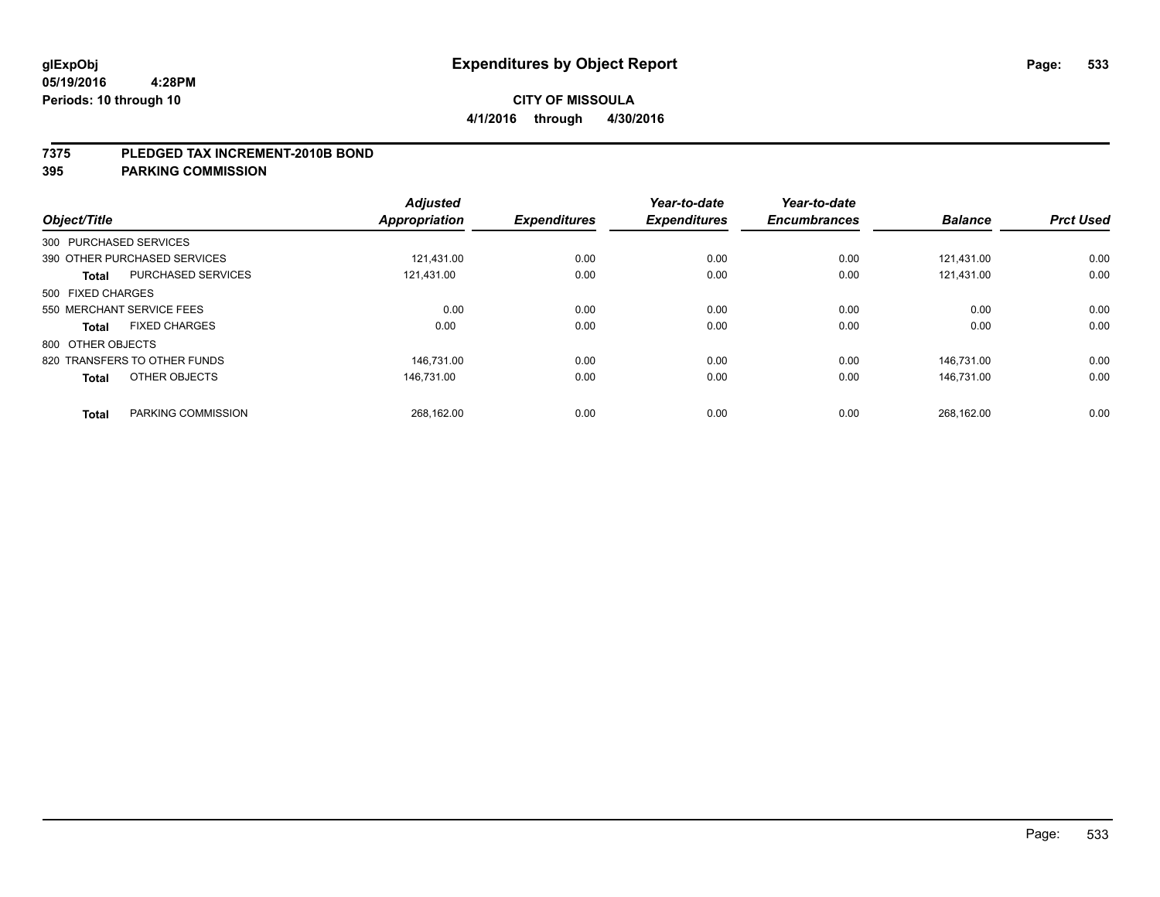#### **7375 PLEDGED TAX INCREMENT-2010B BOND**

| Object/Title      |                              | <b>Adjusted</b><br>Appropriation | <b>Expenditures</b> | Year-to-date<br><b>Expenditures</b> | Year-to-date<br><b>Encumbrances</b> | <b>Balance</b> | <b>Prct Used</b> |
|-------------------|------------------------------|----------------------------------|---------------------|-------------------------------------|-------------------------------------|----------------|------------------|
|                   | 300 PURCHASED SERVICES       |                                  |                     |                                     |                                     |                |                  |
|                   | 390 OTHER PURCHASED SERVICES | 121.431.00                       | 0.00                | 0.00                                | 0.00                                | 121.431.00     | 0.00             |
| <b>Total</b>      | <b>PURCHASED SERVICES</b>    | 121,431.00                       | 0.00                | 0.00                                | 0.00                                | 121.431.00     | 0.00             |
| 500 FIXED CHARGES |                              |                                  |                     |                                     |                                     |                |                  |
|                   | 550 MERCHANT SERVICE FEES    | 0.00                             | 0.00                | 0.00                                | 0.00                                | 0.00           | 0.00             |
| <b>Total</b>      | <b>FIXED CHARGES</b>         | 0.00                             | 0.00                | 0.00                                | 0.00                                | 0.00           | 0.00             |
| 800 OTHER OBJECTS |                              |                                  |                     |                                     |                                     |                |                  |
|                   | 820 TRANSFERS TO OTHER FUNDS | 146.731.00                       | 0.00                | 0.00                                | 0.00                                | 146.731.00     | 0.00             |
| <b>Total</b>      | OTHER OBJECTS                | 146.731.00                       | 0.00                | 0.00                                | 0.00                                | 146.731.00     | 0.00             |
| <b>Total</b>      | PARKING COMMISSION           | 268,162.00                       | 0.00                | 0.00                                | 0.00                                | 268.162.00     | 0.00             |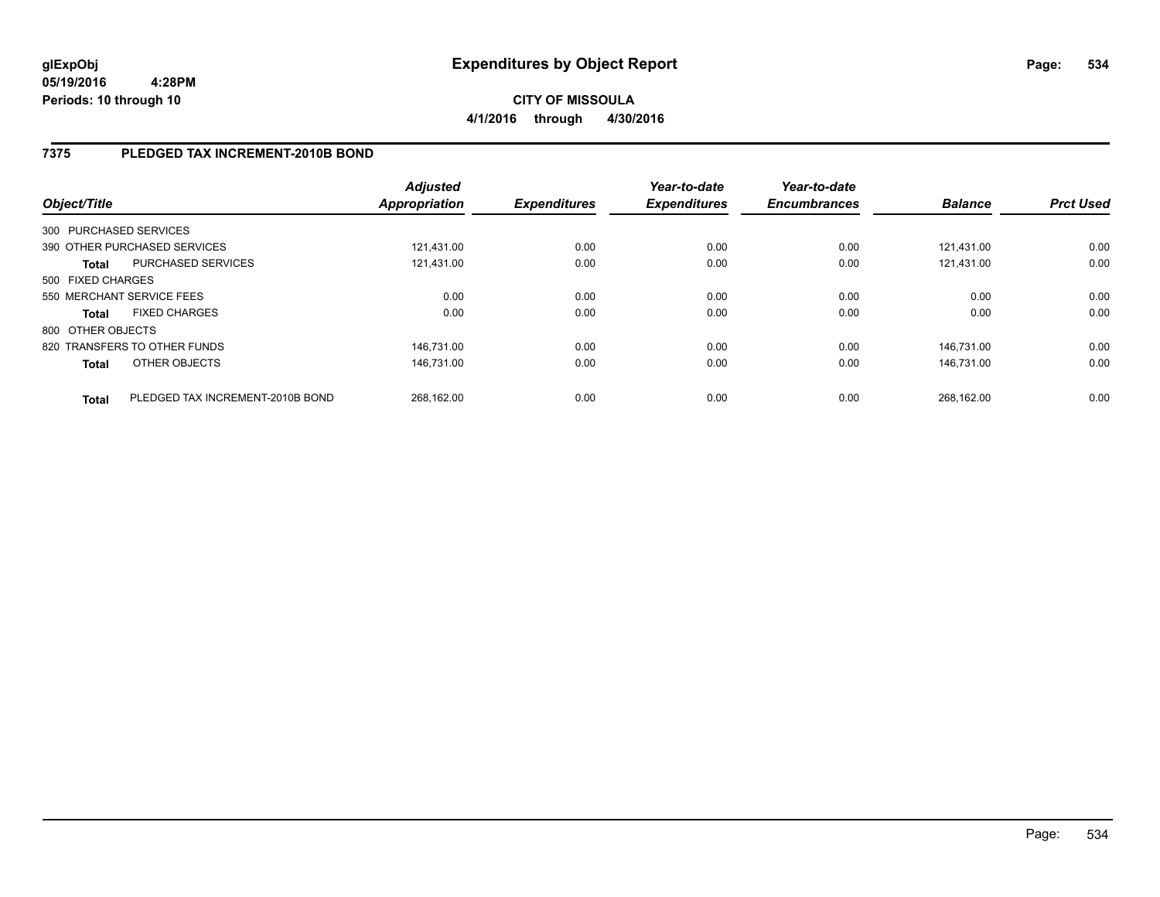# **CITY OF MISSOULA 4/1/2016 through 4/30/2016**

# **7375 PLEDGED TAX INCREMENT-2010B BOND**

| Object/Title      |                                  | <b>Adjusted</b><br><b>Appropriation</b> | <b>Expenditures</b> | Year-to-date<br><b>Expenditures</b> | Year-to-date<br><b>Encumbrances</b> | <b>Balance</b> | <b>Prct Used</b> |
|-------------------|----------------------------------|-----------------------------------------|---------------------|-------------------------------------|-------------------------------------|----------------|------------------|
|                   | 300 PURCHASED SERVICES           |                                         |                     |                                     |                                     |                |                  |
|                   | 390 OTHER PURCHASED SERVICES     | 121.431.00                              | 0.00                | 0.00                                | 0.00                                | 121.431.00     | 0.00             |
| <b>Total</b>      | PURCHASED SERVICES               | 121,431.00                              | 0.00                | 0.00                                | 0.00                                | 121.431.00     | 0.00             |
| 500 FIXED CHARGES |                                  |                                         |                     |                                     |                                     |                |                  |
|                   | 550 MERCHANT SERVICE FEES        | 0.00                                    | 0.00                | 0.00                                | 0.00                                | 0.00           | 0.00             |
| <b>Total</b>      | <b>FIXED CHARGES</b>             | 0.00                                    | 0.00                | 0.00                                | 0.00                                | 0.00           | 0.00             |
| 800 OTHER OBJECTS |                                  |                                         |                     |                                     |                                     |                |                  |
|                   | 820 TRANSFERS TO OTHER FUNDS     | 146.731.00                              | 0.00                | 0.00                                | 0.00                                | 146.731.00     | 0.00             |
| <b>Total</b>      | <b>OTHER OBJECTS</b>             | 146.731.00                              | 0.00                | 0.00                                | 0.00                                | 146,731.00     | 0.00             |
| <b>Total</b>      | PLEDGED TAX INCREMENT-2010B BOND | 268.162.00                              | 0.00                | 0.00                                | 0.00                                | 268.162.00     | 0.00             |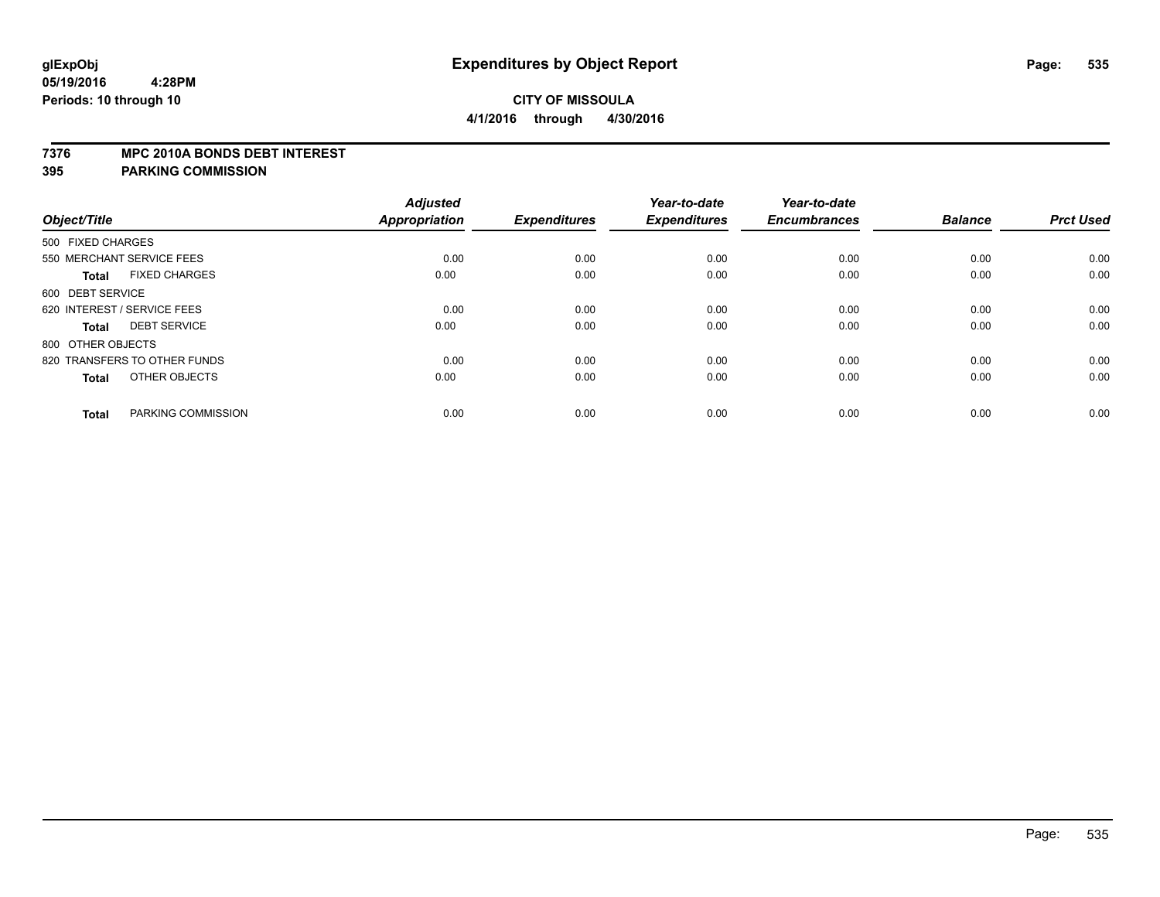#### **7376 MPC 2010A BONDS DEBT INTEREST**

| Object/Title      |                              | <b>Adjusted</b><br>Appropriation | <b>Expenditures</b> | Year-to-date<br><b>Expenditures</b> | Year-to-date<br><b>Encumbrances</b> | <b>Balance</b> | <b>Prct Used</b> |
|-------------------|------------------------------|----------------------------------|---------------------|-------------------------------------|-------------------------------------|----------------|------------------|
|                   |                              |                                  |                     |                                     |                                     |                |                  |
| 500 FIXED CHARGES |                              |                                  |                     |                                     |                                     |                |                  |
|                   | 550 MERCHANT SERVICE FEES    | 0.00                             | 0.00                | 0.00                                | 0.00                                | 0.00           | 0.00             |
| <b>Total</b>      | <b>FIXED CHARGES</b>         | 0.00                             | 0.00                | 0.00                                | 0.00                                | 0.00           | 0.00             |
| 600 DEBT SERVICE  |                              |                                  |                     |                                     |                                     |                |                  |
|                   | 620 INTEREST / SERVICE FEES  | 0.00                             | 0.00                | 0.00                                | 0.00                                | 0.00           | 0.00             |
| Total             | <b>DEBT SERVICE</b>          | 0.00                             | 0.00                | 0.00                                | 0.00                                | 0.00           | 0.00             |
| 800 OTHER OBJECTS |                              |                                  |                     |                                     |                                     |                |                  |
|                   | 820 TRANSFERS TO OTHER FUNDS | 0.00                             | 0.00                | 0.00                                | 0.00                                | 0.00           | 0.00             |
| Total             | OTHER OBJECTS                | 0.00                             | 0.00                | 0.00                                | 0.00                                | 0.00           | 0.00             |
|                   |                              |                                  |                     |                                     |                                     |                |                  |
| <b>Total</b>      | PARKING COMMISSION           | 0.00                             | 0.00                | 0.00                                | 0.00                                | 0.00           | 0.00             |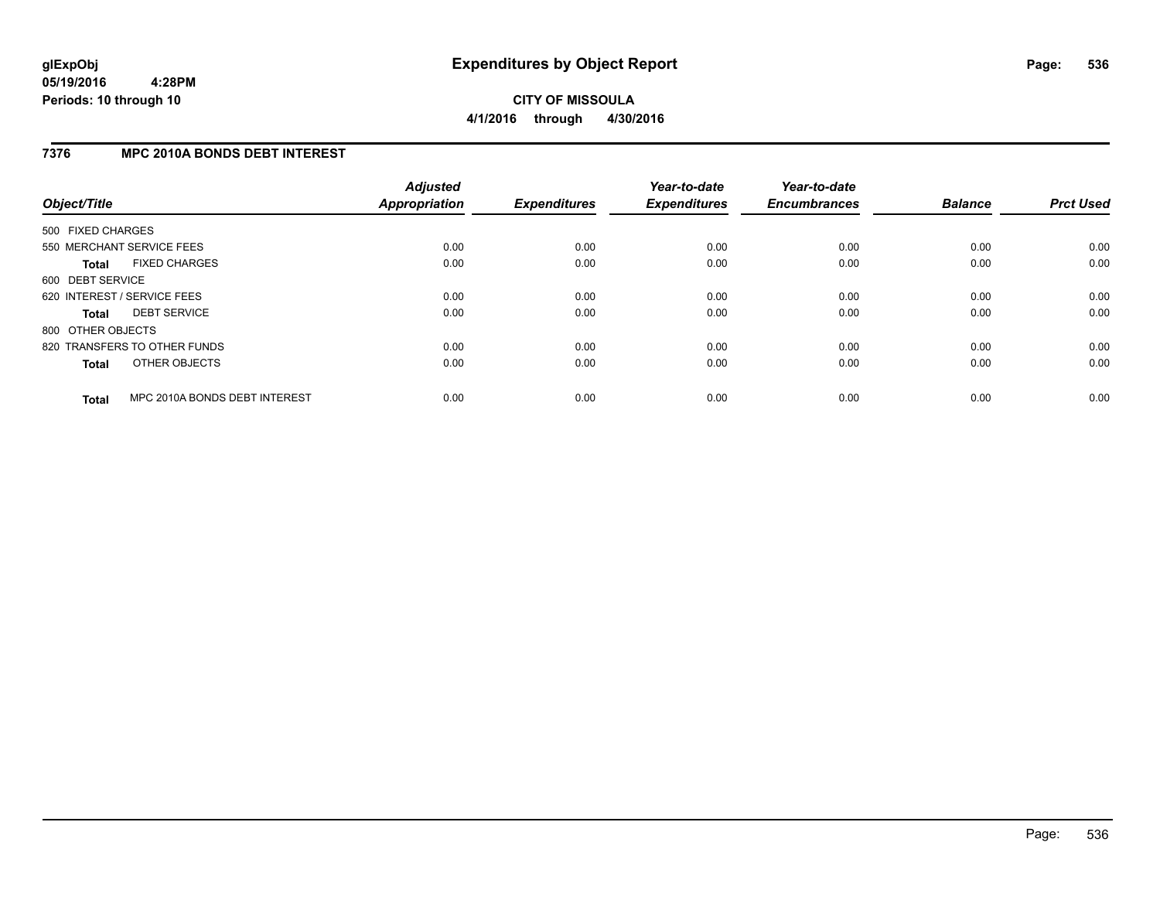# **7376 MPC 2010A BONDS DEBT INTEREST**

| Object/Title      |                               | <b>Adjusted</b><br><b>Appropriation</b> | <b>Expenditures</b> | Year-to-date<br><b>Expenditures</b> | Year-to-date<br><b>Encumbrances</b> | <b>Balance</b> | <b>Prct Used</b> |
|-------------------|-------------------------------|-----------------------------------------|---------------------|-------------------------------------|-------------------------------------|----------------|------------------|
| 500 FIXED CHARGES |                               |                                         |                     |                                     |                                     |                |                  |
|                   | 550 MERCHANT SERVICE FEES     | 0.00                                    | 0.00                | 0.00                                | 0.00                                | 0.00           | 0.00             |
| <b>Total</b>      | <b>FIXED CHARGES</b>          | 0.00                                    | 0.00                | 0.00                                | 0.00                                | 0.00           | 0.00             |
| 600 DEBT SERVICE  |                               |                                         |                     |                                     |                                     |                |                  |
|                   | 620 INTEREST / SERVICE FEES   | 0.00                                    | 0.00                | 0.00                                | 0.00                                | 0.00           | 0.00             |
| <b>Total</b>      | <b>DEBT SERVICE</b>           | 0.00                                    | 0.00                | 0.00                                | 0.00                                | 0.00           | 0.00             |
| 800 OTHER OBJECTS |                               |                                         |                     |                                     |                                     |                |                  |
|                   | 820 TRANSFERS TO OTHER FUNDS  | 0.00                                    | 0.00                | 0.00                                | 0.00                                | 0.00           | 0.00             |
| <b>Total</b>      | OTHER OBJECTS                 | 0.00                                    | 0.00                | 0.00                                | 0.00                                | 0.00           | 0.00             |
| <b>Total</b>      | MPC 2010A BONDS DEBT INTEREST | 0.00                                    | 0.00                | 0.00                                | 0.00                                | 0.00           | 0.00             |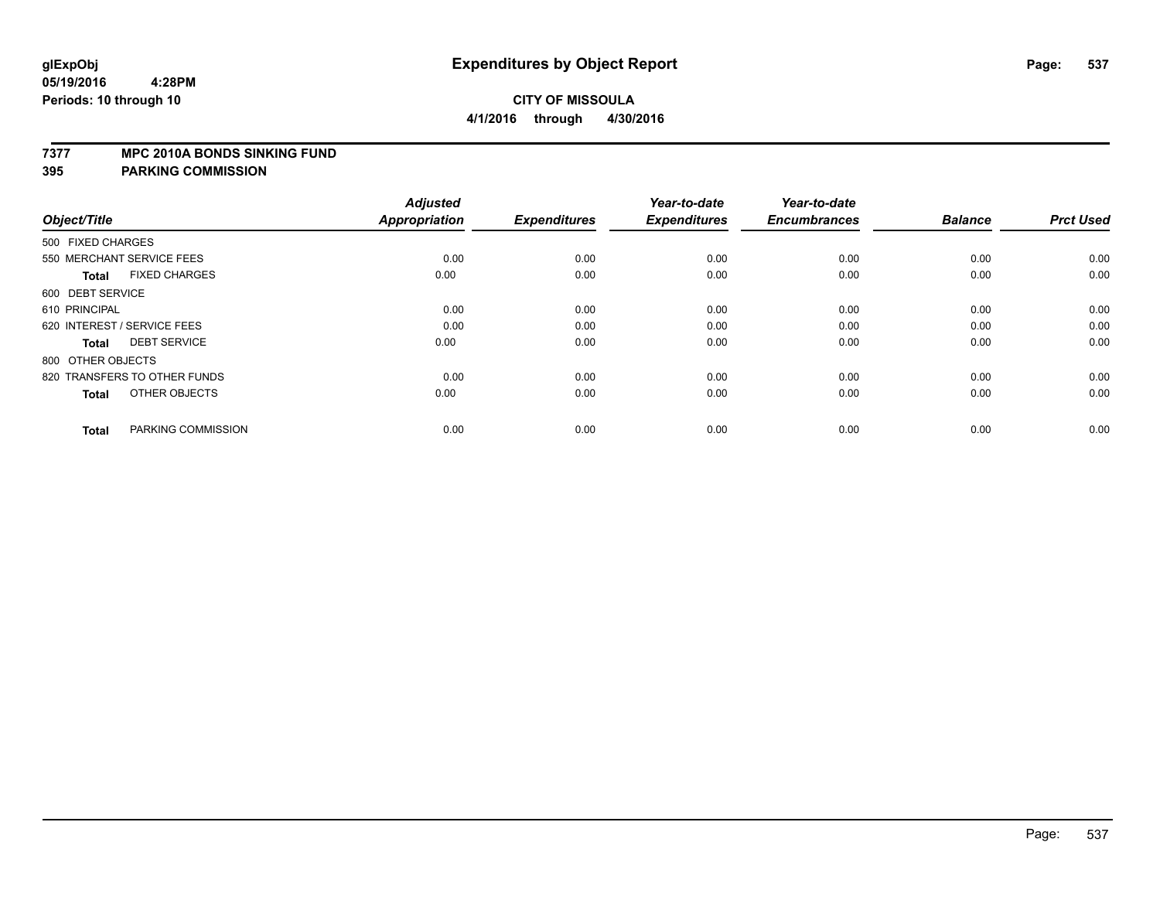#### **7377 MPC 2010A BONDS SINKING FUND**

| Object/Title                         | <b>Adjusted</b><br><b>Appropriation</b> | <b>Expenditures</b> | Year-to-date<br><b>Expenditures</b> | Year-to-date<br><b>Encumbrances</b> | <b>Balance</b> | <b>Prct Used</b> |
|--------------------------------------|-----------------------------------------|---------------------|-------------------------------------|-------------------------------------|----------------|------------------|
| 500 FIXED CHARGES                    |                                         |                     |                                     |                                     |                |                  |
| 550 MERCHANT SERVICE FEES            | 0.00                                    | 0.00                | 0.00                                | 0.00                                | 0.00           | 0.00             |
| <b>FIXED CHARGES</b><br><b>Total</b> | 0.00                                    | 0.00                | 0.00                                | 0.00                                | 0.00           | 0.00             |
| 600 DEBT SERVICE                     |                                         |                     |                                     |                                     |                |                  |
| 610 PRINCIPAL                        | 0.00                                    | 0.00                | 0.00                                | 0.00                                | 0.00           | 0.00             |
| 620 INTEREST / SERVICE FEES          | 0.00                                    | 0.00                | 0.00                                | 0.00                                | 0.00           | 0.00             |
| <b>DEBT SERVICE</b><br><b>Total</b>  | 0.00                                    | 0.00                | 0.00                                | 0.00                                | 0.00           | 0.00             |
| 800 OTHER OBJECTS                    |                                         |                     |                                     |                                     |                |                  |
| 820 TRANSFERS TO OTHER FUNDS         | 0.00                                    | 0.00                | 0.00                                | 0.00                                | 0.00           | 0.00             |
| OTHER OBJECTS<br><b>Total</b>        | 0.00                                    | 0.00                | 0.00                                | 0.00                                | 0.00           | 0.00             |
|                                      |                                         |                     |                                     |                                     |                |                  |
| PARKING COMMISSION<br><b>Total</b>   | 0.00                                    | 0.00                | 0.00                                | 0.00                                | 0.00           | 0.00             |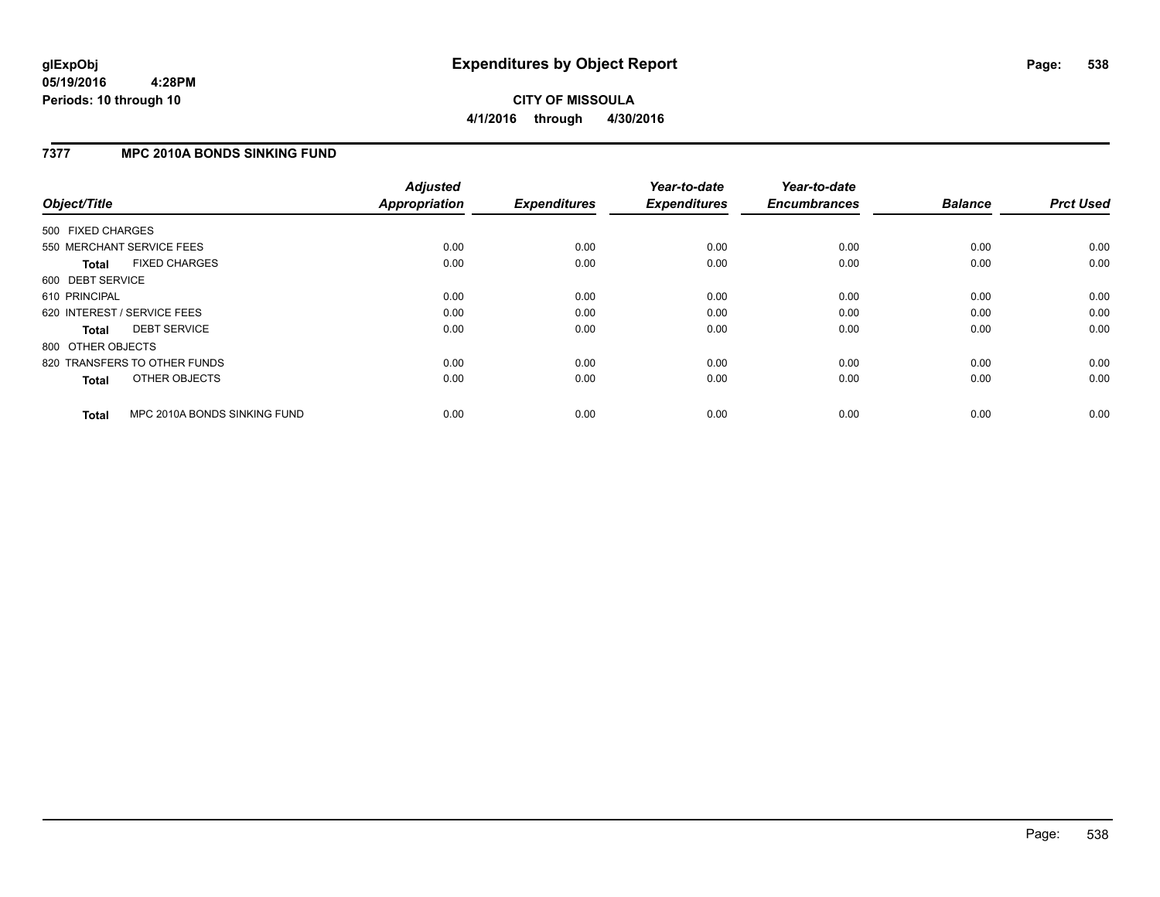# **CITY OF MISSOULA 4/1/2016 through 4/30/2016**

## **7377 MPC 2010A BONDS SINKING FUND**

| Object/Title      |                              | <b>Adjusted</b><br><b>Appropriation</b> | <b>Expenditures</b> | Year-to-date<br><b>Expenditures</b> | Year-to-date<br><b>Encumbrances</b> | <b>Balance</b> | <b>Prct Used</b> |
|-------------------|------------------------------|-----------------------------------------|---------------------|-------------------------------------|-------------------------------------|----------------|------------------|
| 500 FIXED CHARGES |                              |                                         |                     |                                     |                                     |                |                  |
|                   | 550 MERCHANT SERVICE FEES    | 0.00                                    | 0.00                | 0.00                                | 0.00                                | 0.00           | 0.00             |
| <b>Total</b>      | <b>FIXED CHARGES</b>         | 0.00                                    | 0.00                | 0.00                                | 0.00                                | 0.00           | 0.00             |
| 600 DEBT SERVICE  |                              |                                         |                     |                                     |                                     |                |                  |
| 610 PRINCIPAL     |                              | 0.00                                    | 0.00                | 0.00                                | 0.00                                | 0.00           | 0.00             |
|                   | 620 INTEREST / SERVICE FEES  | 0.00                                    | 0.00                | 0.00                                | 0.00                                | 0.00           | 0.00             |
| <b>Total</b>      | <b>DEBT SERVICE</b>          | 0.00                                    | 0.00                | 0.00                                | 0.00                                | 0.00           | 0.00             |
| 800 OTHER OBJECTS |                              |                                         |                     |                                     |                                     |                |                  |
|                   | 820 TRANSFERS TO OTHER FUNDS | 0.00                                    | 0.00                | 0.00                                | 0.00                                | 0.00           | 0.00             |
| <b>Total</b>      | OTHER OBJECTS                | 0.00                                    | 0.00                | 0.00                                | 0.00                                | 0.00           | 0.00             |
| <b>Total</b>      | MPC 2010A BONDS SINKING FUND | 0.00                                    | 0.00                | 0.00                                | 0.00                                | 0.00           | 0.00             |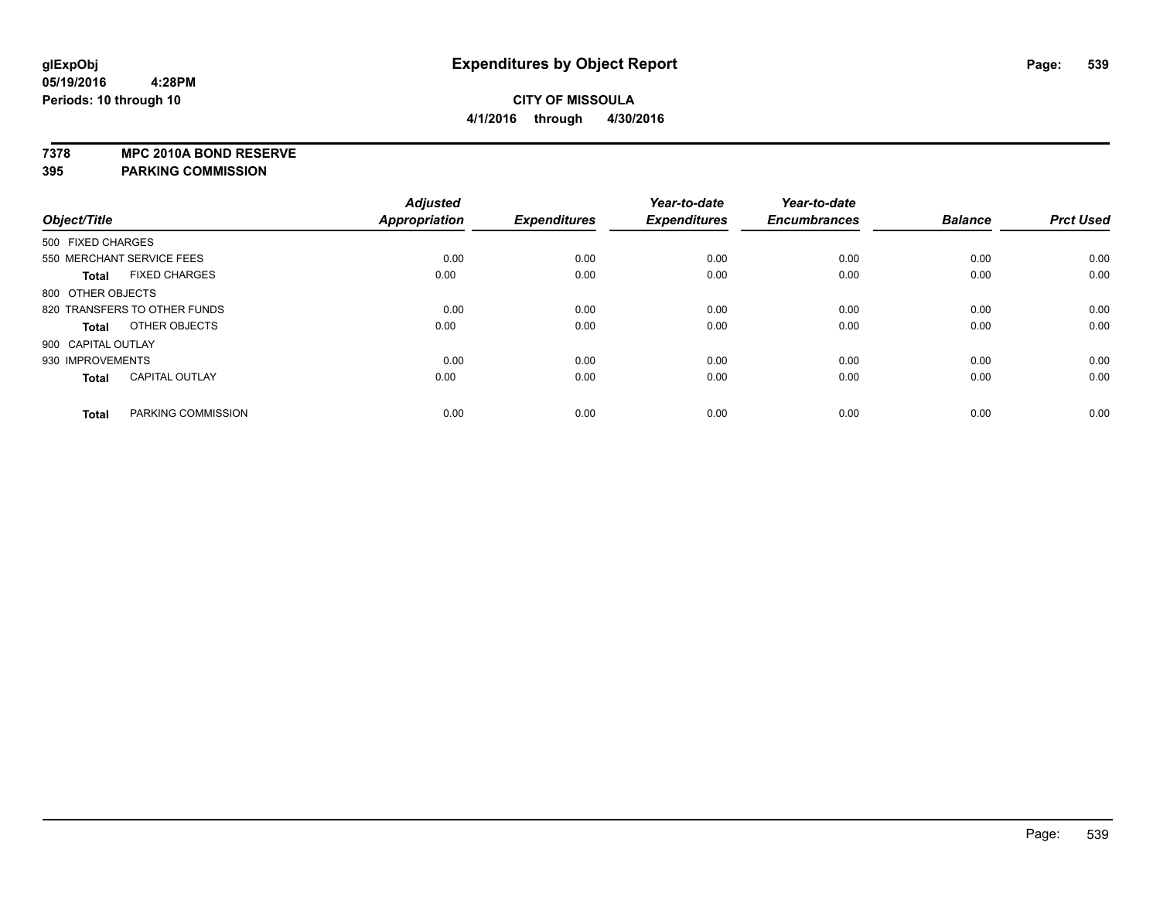**7378 MPC 2010A BOND RESERVE**

|                              |                       | <b>Adjusted</b> |                     | Year-to-date        | Year-to-date        |                |                  |
|------------------------------|-----------------------|-----------------|---------------------|---------------------|---------------------|----------------|------------------|
| Object/Title                 |                       | Appropriation   | <b>Expenditures</b> | <b>Expenditures</b> | <b>Encumbrances</b> | <b>Balance</b> | <b>Prct Used</b> |
| 500 FIXED CHARGES            |                       |                 |                     |                     |                     |                |                  |
| 550 MERCHANT SERVICE FEES    |                       | 0.00            | 0.00                | 0.00                | 0.00                | 0.00           | 0.00             |
| <b>Total</b>                 | <b>FIXED CHARGES</b>  | 0.00            | 0.00                | 0.00                | 0.00                | 0.00           | 0.00             |
| 800 OTHER OBJECTS            |                       |                 |                     |                     |                     |                |                  |
| 820 TRANSFERS TO OTHER FUNDS |                       | 0.00            | 0.00                | 0.00                | 0.00                | 0.00           | 0.00             |
| <b>Total</b>                 | OTHER OBJECTS         | 0.00            | 0.00                | 0.00                | 0.00                | 0.00           | 0.00             |
| 900 CAPITAL OUTLAY           |                       |                 |                     |                     |                     |                |                  |
| 930 IMPROVEMENTS             |                       | 0.00            | 0.00                | 0.00                | 0.00                | 0.00           | 0.00             |
| <b>Total</b>                 | <b>CAPITAL OUTLAY</b> | 0.00            | 0.00                | 0.00                | 0.00                | 0.00           | 0.00             |
| <b>Total</b>                 | PARKING COMMISSION    | 0.00            | 0.00                | 0.00                | 0.00                | 0.00           | 0.00             |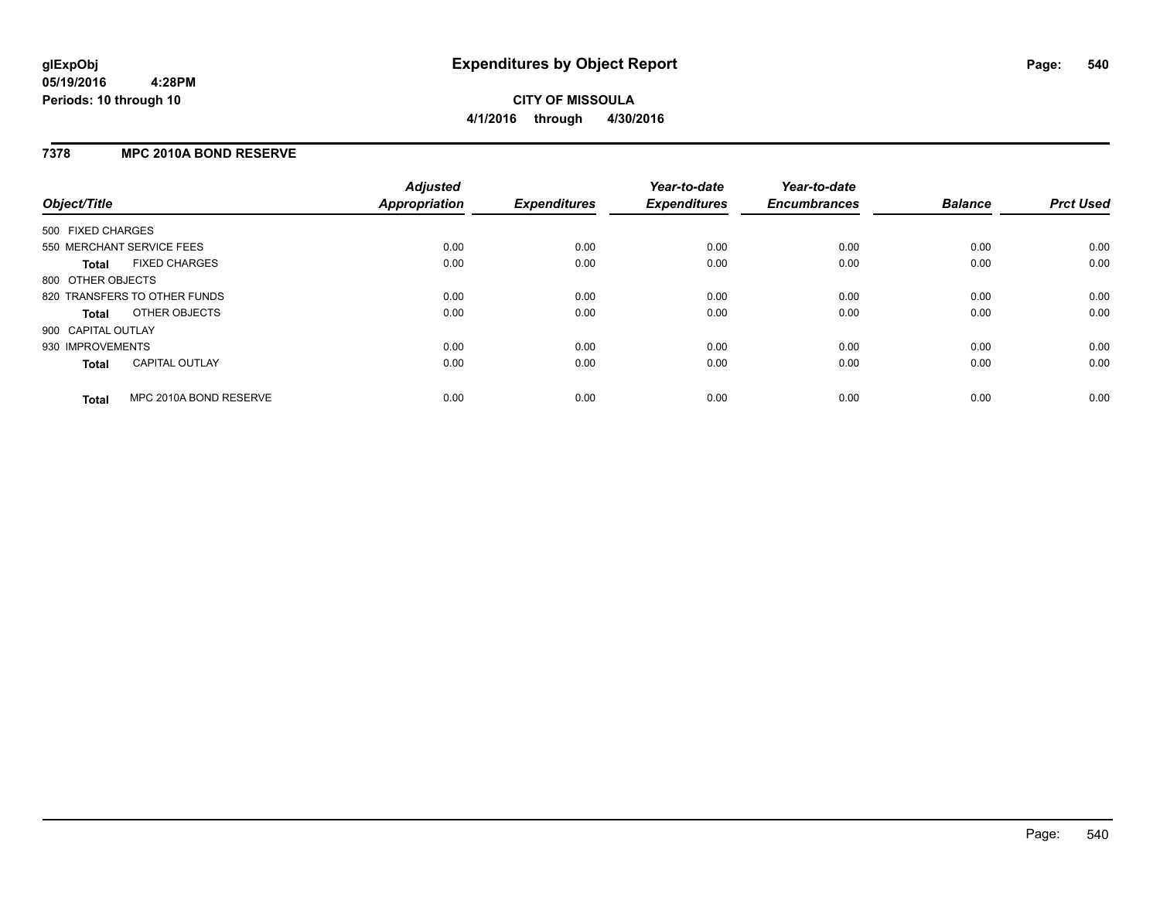## **7378 MPC 2010A BOND RESERVE**

| Object/Title       |                              | <b>Adjusted</b><br><b>Appropriation</b> | <b>Expenditures</b> | Year-to-date<br><b>Expenditures</b> | Year-to-date<br><b>Encumbrances</b> | <b>Balance</b> | <b>Prct Used</b> |
|--------------------|------------------------------|-----------------------------------------|---------------------|-------------------------------------|-------------------------------------|----------------|------------------|
| 500 FIXED CHARGES  |                              |                                         |                     |                                     |                                     |                |                  |
|                    | 550 MERCHANT SERVICE FEES    | 0.00                                    | 0.00                | 0.00                                | 0.00                                | 0.00           | 0.00             |
| <b>Total</b>       | <b>FIXED CHARGES</b>         | 0.00                                    | 0.00                | 0.00                                | 0.00                                | 0.00           | 0.00             |
| 800 OTHER OBJECTS  |                              |                                         |                     |                                     |                                     |                |                  |
|                    | 820 TRANSFERS TO OTHER FUNDS | 0.00                                    | 0.00                | 0.00                                | 0.00                                | 0.00           | 0.00             |
| <b>Total</b>       | OTHER OBJECTS                | 0.00                                    | 0.00                | 0.00                                | 0.00                                | 0.00           | 0.00             |
| 900 CAPITAL OUTLAY |                              |                                         |                     |                                     |                                     |                |                  |
| 930 IMPROVEMENTS   |                              | 0.00                                    | 0.00                | 0.00                                | 0.00                                | 0.00           | 0.00             |
| Total              | <b>CAPITAL OUTLAY</b>        | 0.00                                    | 0.00                | 0.00                                | 0.00                                | 0.00           | 0.00             |
| <b>Total</b>       | MPC 2010A BOND RESERVE       | 0.00                                    | 0.00                | 0.00                                | 0.00                                | 0.00           | 0.00             |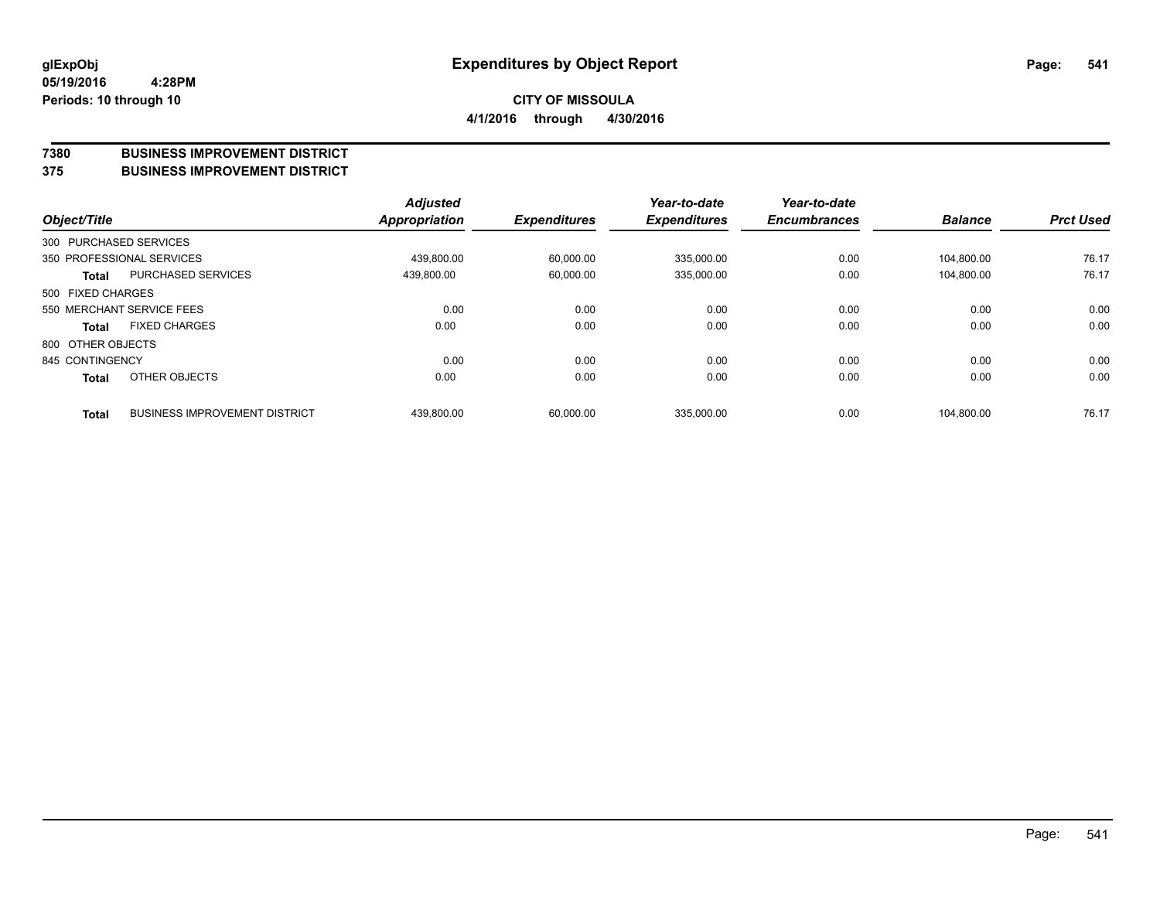#### **7380 BUSINESS IMPROVEMENT DISTRICT**

**375 BUSINESS IMPROVEMENT DISTRICT**

| Object/Title      |                                      | <b>Adjusted</b><br><b>Appropriation</b> | <b>Expenditures</b> | Year-to-date<br><b>Expenditures</b> | Year-to-date<br><b>Encumbrances</b> | <b>Balance</b> | <b>Prct Used</b> |
|-------------------|--------------------------------------|-----------------------------------------|---------------------|-------------------------------------|-------------------------------------|----------------|------------------|
|                   | 300 PURCHASED SERVICES               |                                         |                     |                                     |                                     |                |                  |
|                   | 350 PROFESSIONAL SERVICES            | 439.800.00                              | 60.000.00           | 335.000.00                          | 0.00                                | 104.800.00     | 76.17            |
| <b>Total</b>      | <b>PURCHASED SERVICES</b>            | 439.800.00                              | 60,000.00           | 335,000.00                          | 0.00                                | 104,800.00     | 76.17            |
| 500 FIXED CHARGES |                                      |                                         |                     |                                     |                                     |                |                  |
|                   | 550 MERCHANT SERVICE FEES            | 0.00                                    | 0.00                | 0.00                                | 0.00                                | 0.00           | 0.00             |
| <b>Total</b>      | <b>FIXED CHARGES</b>                 | 0.00                                    | 0.00                | 0.00                                | 0.00                                | 0.00           | 0.00             |
| 800 OTHER OBJECTS |                                      |                                         |                     |                                     |                                     |                |                  |
| 845 CONTINGENCY   |                                      | 0.00                                    | 0.00                | 0.00                                | 0.00                                | 0.00           | 0.00             |
| <b>Total</b>      | OTHER OBJECTS                        | 0.00                                    | 0.00                | 0.00                                | 0.00                                | 0.00           | 0.00             |
| <b>Total</b>      | <b>BUSINESS IMPROVEMENT DISTRICT</b> | 439,800.00                              | 60,000.00           | 335,000.00                          | 0.00                                | 104.800.00     | 76.17            |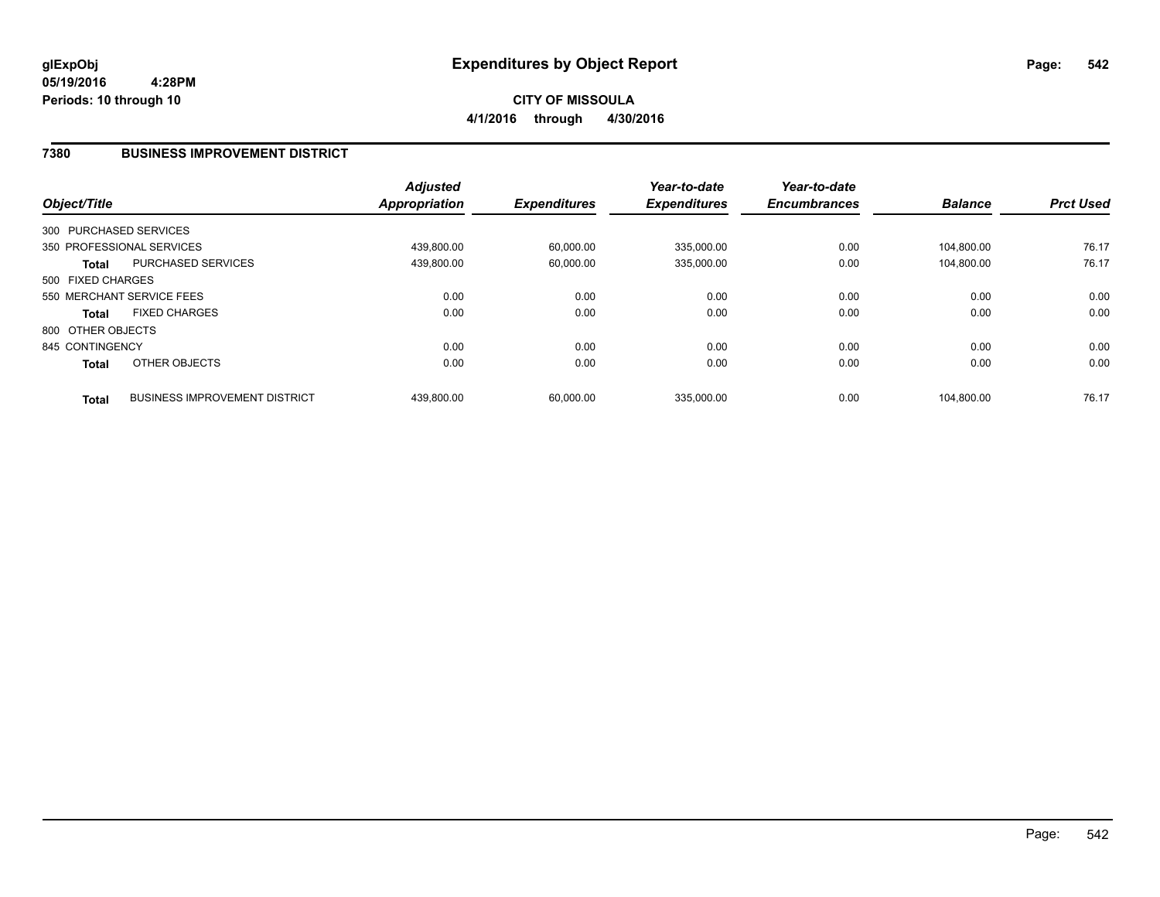# **CITY OF MISSOULA 4/1/2016 through 4/30/2016**

### **7380 BUSINESS IMPROVEMENT DISTRICT**

| Object/Title           |                                      | <b>Adjusted</b><br><b>Appropriation</b> | <b>Expenditures</b> | Year-to-date<br><b>Expenditures</b> | Year-to-date<br><b>Encumbrances</b> | <b>Balance</b> | <b>Prct Used</b> |
|------------------------|--------------------------------------|-----------------------------------------|---------------------|-------------------------------------|-------------------------------------|----------------|------------------|
| 300 PURCHASED SERVICES |                                      |                                         |                     |                                     |                                     |                |                  |
|                        | 350 PROFESSIONAL SERVICES            | 439.800.00                              | 60,000.00           | 335.000.00                          | 0.00                                | 104.800.00     | 76.17            |
| Total                  | PURCHASED SERVICES                   | 439.800.00                              | 60.000.00           | 335.000.00                          | 0.00                                | 104.800.00     | 76.17            |
| 500 FIXED CHARGES      |                                      |                                         |                     |                                     |                                     |                |                  |
|                        | 550 MERCHANT SERVICE FEES            | 0.00                                    | 0.00                | 0.00                                | 0.00                                | 0.00           | 0.00             |
| Total                  | <b>FIXED CHARGES</b>                 | 0.00                                    | 0.00                | 0.00                                | 0.00                                | 0.00           | 0.00             |
| 800 OTHER OBJECTS      |                                      |                                         |                     |                                     |                                     |                |                  |
| 845 CONTINGENCY        |                                      | 0.00                                    | 0.00                | 0.00                                | 0.00                                | 0.00           | 0.00             |
| <b>Total</b>           | OTHER OBJECTS                        | 0.00                                    | 0.00                | 0.00                                | 0.00                                | 0.00           | 0.00             |
| <b>Total</b>           | <b>BUSINESS IMPROVEMENT DISTRICT</b> | 439.800.00                              | 60.000.00           | 335.000.00                          | 0.00                                | 104.800.00     | 76.17            |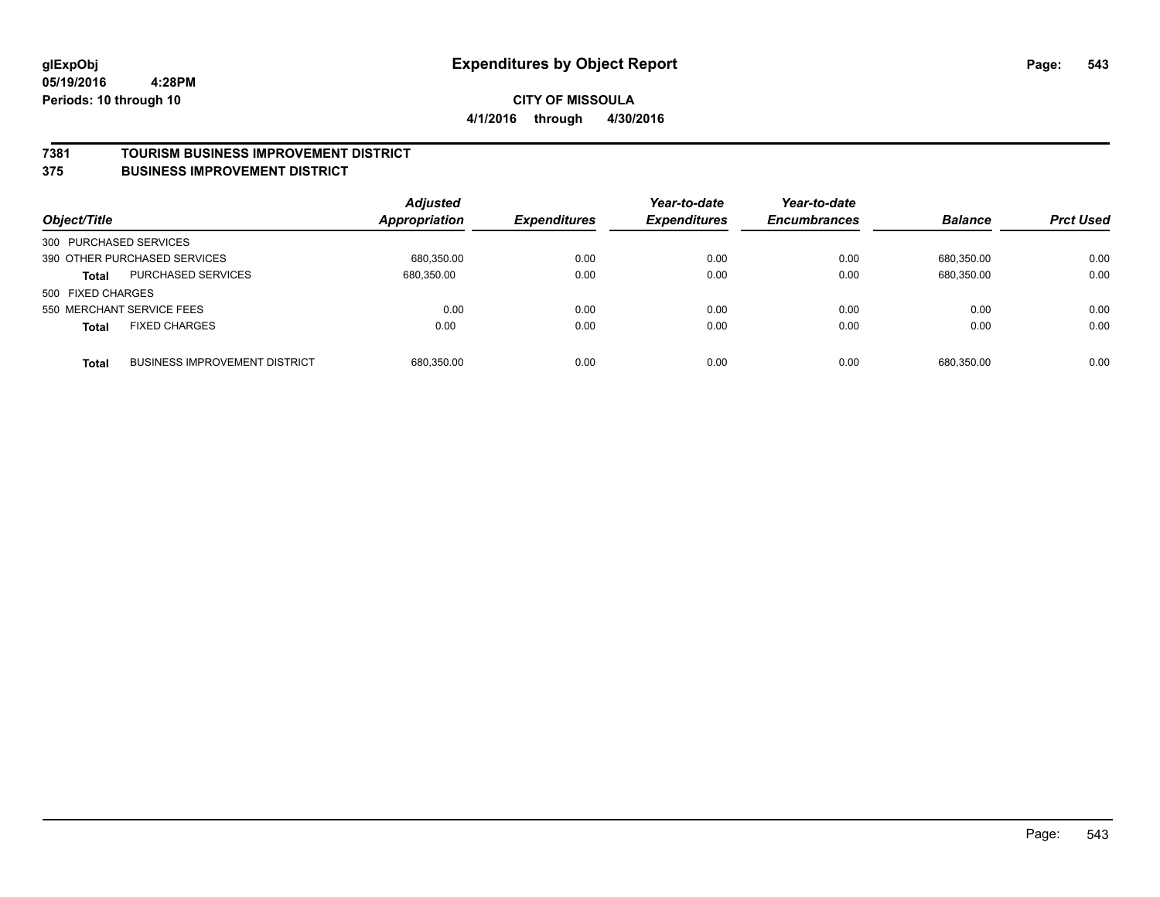#### **7381 TOURISM BUSINESS IMPROVEMENT DISTRICT**

#### **375 BUSINESS IMPROVEMENT DISTRICT**

| Object/Title           |                                      | <b>Adjusted</b><br><b>Appropriation</b> | <b>Expenditures</b> | Year-to-date<br><b>Expenditures</b> | Year-to-date<br><b>Encumbrances</b> | <b>Balance</b> | <b>Prct Used</b> |
|------------------------|--------------------------------------|-----------------------------------------|---------------------|-------------------------------------|-------------------------------------|----------------|------------------|
| 300 PURCHASED SERVICES |                                      |                                         |                     |                                     |                                     |                |                  |
|                        | 390 OTHER PURCHASED SERVICES         | 680,350.00                              | 0.00                | 0.00                                | 0.00                                | 680.350.00     | 0.00             |
| <b>Total</b>           | <b>PURCHASED SERVICES</b>            | 680,350.00                              | 0.00                | 0.00                                | 0.00                                | 680,350.00     | 0.00             |
| 500 FIXED CHARGES      |                                      |                                         |                     |                                     |                                     |                |                  |
|                        | 550 MERCHANT SERVICE FEES            | 0.00                                    | 0.00                | 0.00                                | 0.00                                | 0.00           | 0.00             |
| <b>Total</b>           | <b>FIXED CHARGES</b>                 | 0.00                                    | 0.00                | 0.00                                | 0.00                                | 0.00           | 0.00             |
| <b>Total</b>           | <b>BUSINESS IMPROVEMENT DISTRICT</b> | 680,350.00                              | 0.00                | 0.00                                | 0.00                                | 680.350.00     | 0.00             |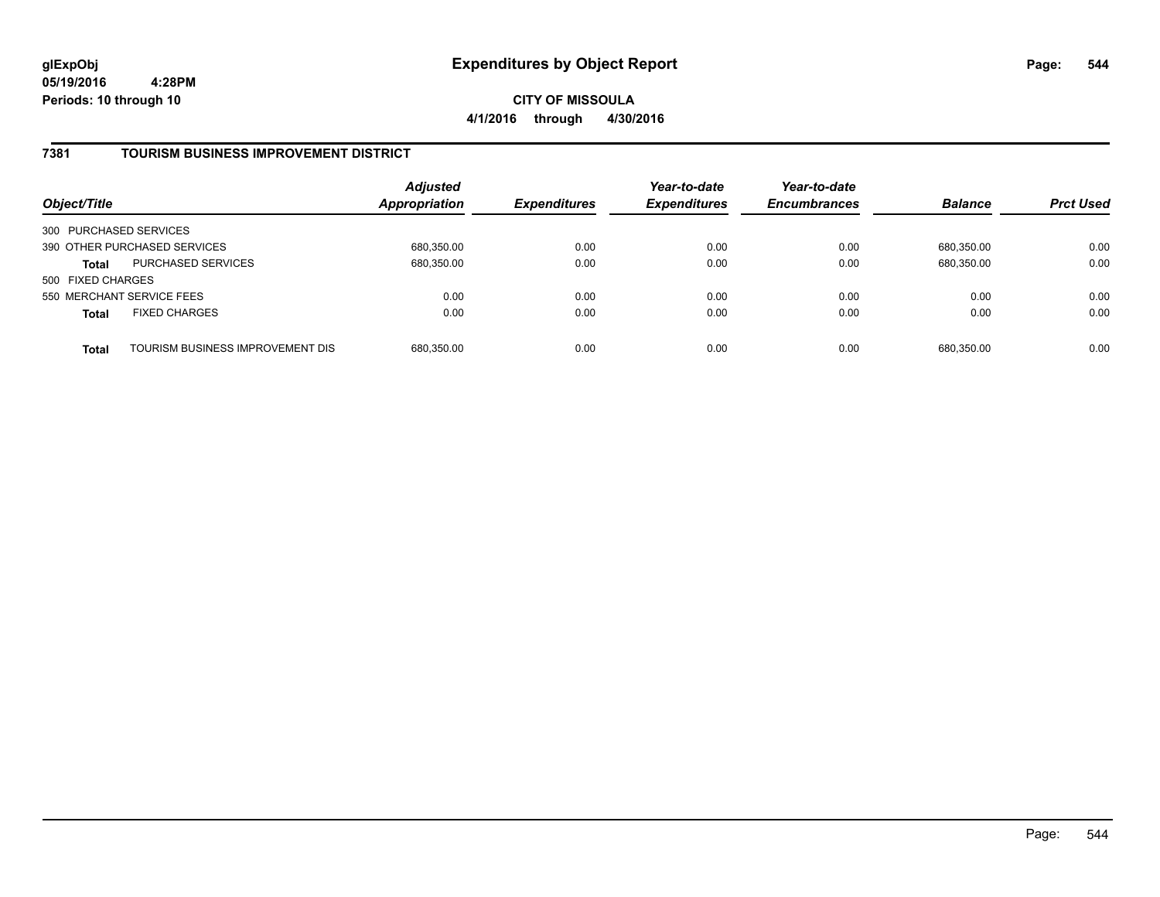# **CITY OF MISSOULA 4/1/2016 through 4/30/2016**

# **7381 TOURISM BUSINESS IMPROVEMENT DISTRICT**

| Object/Title              |                                  | <b>Adjusted</b><br>Appropriation | <b>Expenditures</b> | Year-to-date<br><b>Expenditures</b> | Year-to-date<br><b>Encumbrances</b> | <b>Balance</b> | <b>Prct Used</b> |
|---------------------------|----------------------------------|----------------------------------|---------------------|-------------------------------------|-------------------------------------|----------------|------------------|
| 300 PURCHASED SERVICES    |                                  |                                  |                     |                                     |                                     |                |                  |
|                           | 390 OTHER PURCHASED SERVICES     | 680,350.00                       | 0.00                | 0.00                                | 0.00                                | 680.350.00     | 0.00             |
| <b>Total</b>              | <b>PURCHASED SERVICES</b>        | 680,350.00                       | 0.00                | 0.00                                | 0.00                                | 680.350.00     | 0.00             |
| 500 FIXED CHARGES         |                                  |                                  |                     |                                     |                                     |                |                  |
| 550 MERCHANT SERVICE FEES |                                  | 0.00                             | 0.00                | 0.00                                | 0.00                                | 0.00           | 0.00             |
| <b>Total</b>              | <b>FIXED CHARGES</b>             | 0.00                             | 0.00                | 0.00                                | 0.00                                | 0.00           | 0.00             |
| <b>Total</b>              | TOURISM BUSINESS IMPROVEMENT DIS | 680,350.00                       | 0.00                | 0.00                                | 0.00                                | 680,350.00     | 0.00             |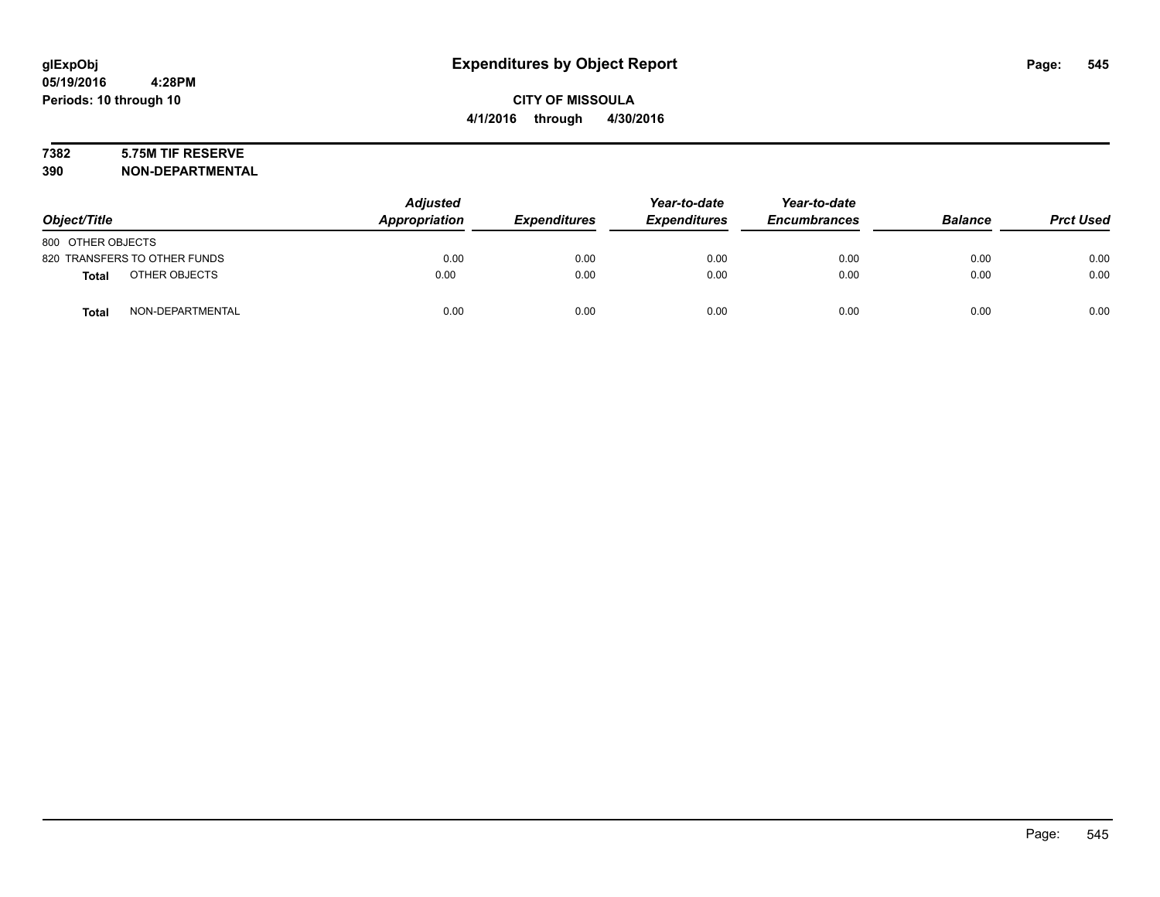# **7382 5.75M TIF RESERVE**

**390 NON-DEPARTMENTAL**

| Object/Title      |                              | <b>Adjusted</b><br>Appropriation | <b>Expenditures</b> | Year-to-date<br><b>Expenditures</b> | Year-to-date<br><b>Encumbrances</b> | <b>Balance</b> | <b>Prct Used</b> |
|-------------------|------------------------------|----------------------------------|---------------------|-------------------------------------|-------------------------------------|----------------|------------------|
| 800 OTHER OBJECTS |                              |                                  |                     |                                     |                                     |                |                  |
|                   | 820 TRANSFERS TO OTHER FUNDS | 0.00                             | 0.00                | 0.00                                | 0.00                                | 0.00           | 0.00             |
| <b>Total</b>      | OTHER OBJECTS                | 0.00                             | 0.00                | 0.00                                | 0.00                                | 0.00           | 0.00             |
| <b>Total</b>      | NON-DEPARTMENTAL             | 0.00                             | 0.00                | 0.00                                | 0.00                                | 0.00           | 0.00             |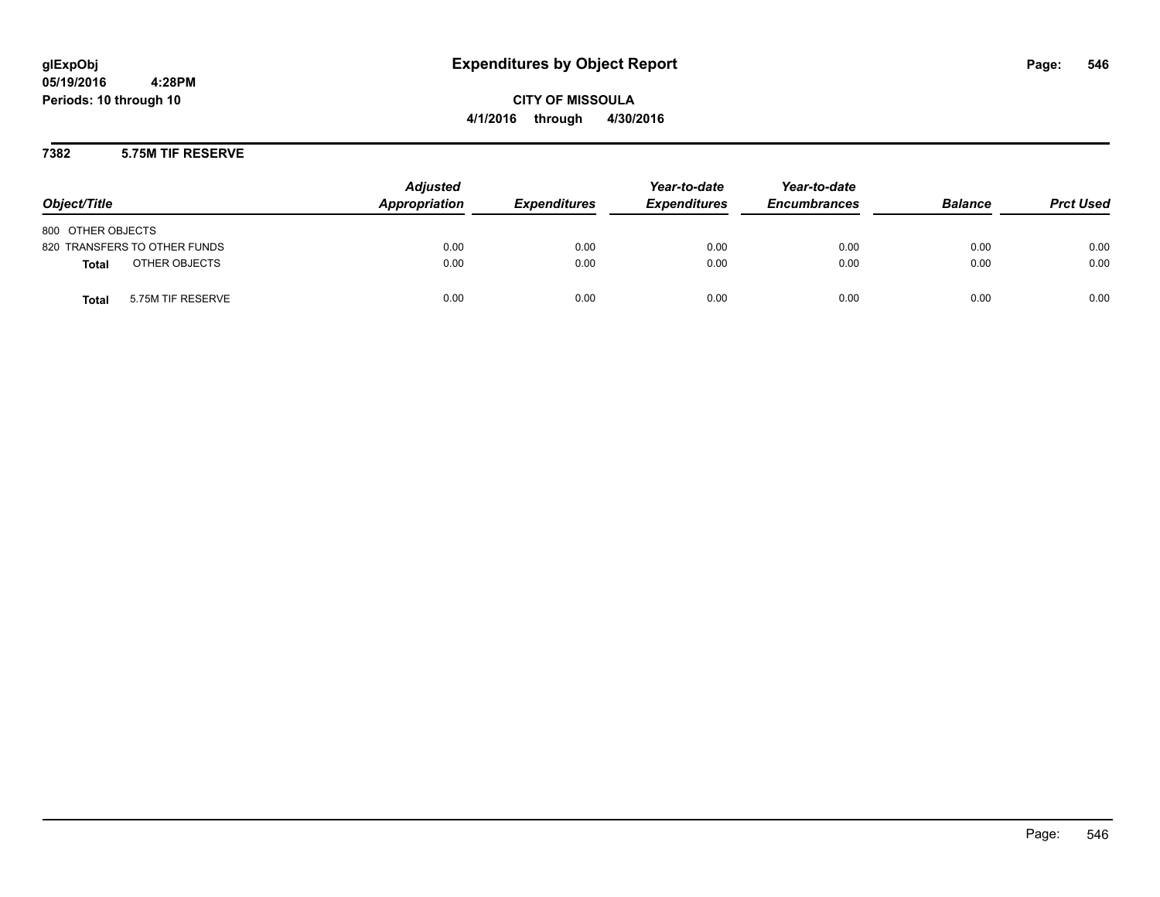**CITY OF MISSOULA 4/1/2016 through 4/30/2016**

### **7382 5.75M TIF RESERVE**

| Object/Title                      | <b>Adjusted</b><br>Appropriation | <b>Expenditures</b> | Year-to-date<br><b>Expenditures</b> | Year-to-date<br><b>Encumbrances</b> | <b>Balance</b> | <b>Prct Used</b> |
|-----------------------------------|----------------------------------|---------------------|-------------------------------------|-------------------------------------|----------------|------------------|
| 800 OTHER OBJECTS                 |                                  |                     |                                     |                                     |                |                  |
| 820 TRANSFERS TO OTHER FUNDS      | 0.00                             | 0.00                | 0.00                                | 0.00                                | 0.00           | 0.00             |
| OTHER OBJECTS<br><b>Total</b>     | 0.00                             | 0.00                | 0.00                                | 0.00                                | 0.00           | 0.00             |
| 5.75M TIF RESERVE<br><b>Total</b> | 0.00                             | 0.00                | 0.00                                | 0.00                                | 0.00           | 0.00             |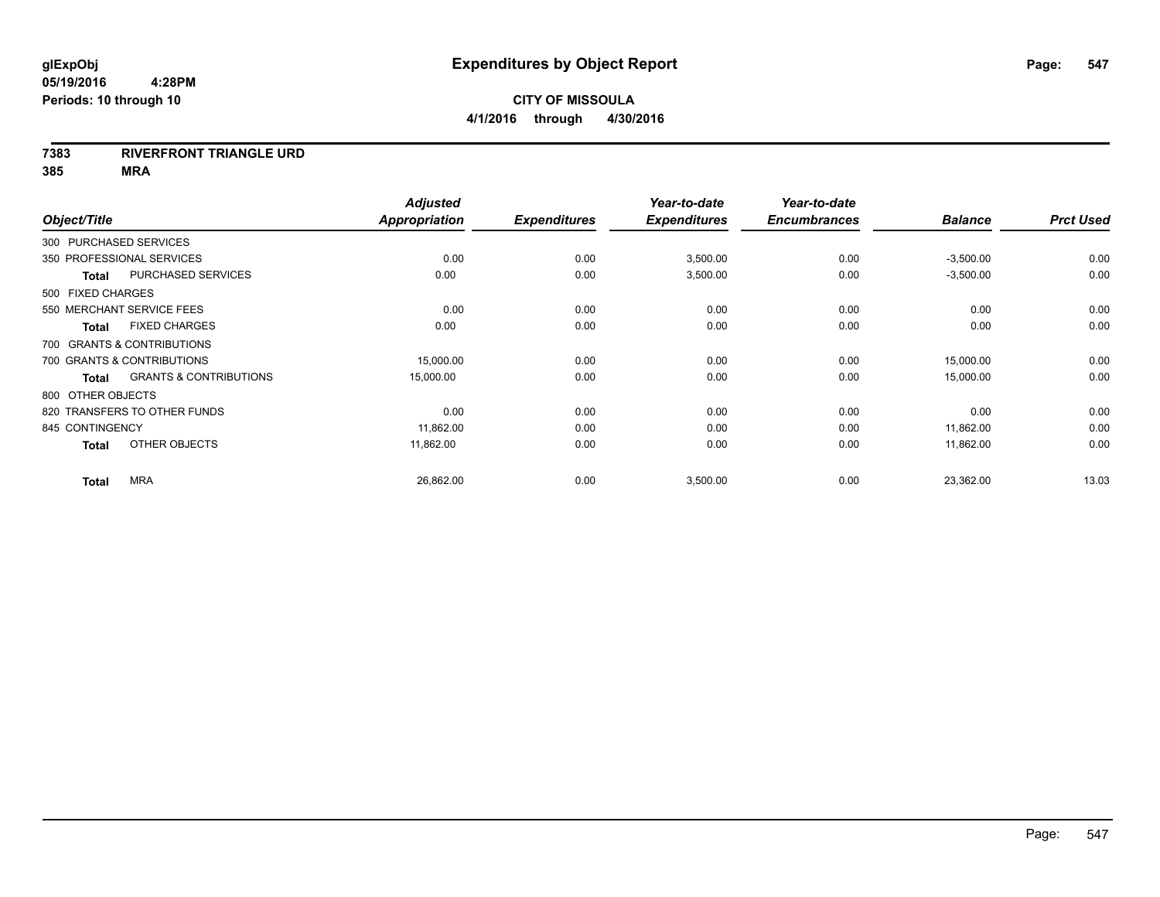#### **7383 RIVERFRONT TRIANGLE URD**

| Object/Title                 |                                   | <b>Adjusted</b><br><b>Appropriation</b> | <b>Expenditures</b> | Year-to-date<br><b>Expenditures</b> | Year-to-date<br><b>Encumbrances</b> | <b>Balance</b> | <b>Prct Used</b> |
|------------------------------|-----------------------------------|-----------------------------------------|---------------------|-------------------------------------|-------------------------------------|----------------|------------------|
| 300 PURCHASED SERVICES       |                                   |                                         |                     |                                     |                                     |                |                  |
| 350 PROFESSIONAL SERVICES    |                                   | 0.00                                    | 0.00                | 3,500.00                            | 0.00                                | $-3,500.00$    | 0.00             |
| <b>Total</b>                 | <b>PURCHASED SERVICES</b>         | 0.00                                    | 0.00                | 3,500.00                            | 0.00                                | $-3,500.00$    | 0.00             |
| 500 FIXED CHARGES            |                                   |                                         |                     |                                     |                                     |                |                  |
| 550 MERCHANT SERVICE FEES    |                                   | 0.00                                    | 0.00                | 0.00                                | 0.00                                | 0.00           | 0.00             |
| <b>Total</b>                 | <b>FIXED CHARGES</b>              | 0.00                                    | 0.00                | 0.00                                | 0.00                                | 0.00           | 0.00             |
| 700 GRANTS & CONTRIBUTIONS   |                                   |                                         |                     |                                     |                                     |                |                  |
| 700 GRANTS & CONTRIBUTIONS   |                                   | 15,000.00                               | 0.00                | 0.00                                | 0.00                                | 15,000.00      | 0.00             |
| <b>Total</b>                 | <b>GRANTS &amp; CONTRIBUTIONS</b> | 15,000.00                               | 0.00                | 0.00                                | 0.00                                | 15,000.00      | 0.00             |
| 800 OTHER OBJECTS            |                                   |                                         |                     |                                     |                                     |                |                  |
| 820 TRANSFERS TO OTHER FUNDS |                                   | 0.00                                    | 0.00                | 0.00                                | 0.00                                | 0.00           | 0.00             |
| 845 CONTINGENCY              |                                   | 11,862.00                               | 0.00                | 0.00                                | 0.00                                | 11,862.00      | 0.00             |
| <b>Total</b>                 | OTHER OBJECTS                     | 11,862.00                               | 0.00                | 0.00                                | 0.00                                | 11,862.00      | 0.00             |
| <b>Total</b>                 | <b>MRA</b>                        | 26,862.00                               | 0.00                | 3,500.00                            | 0.00                                | 23,362.00      | 13.03            |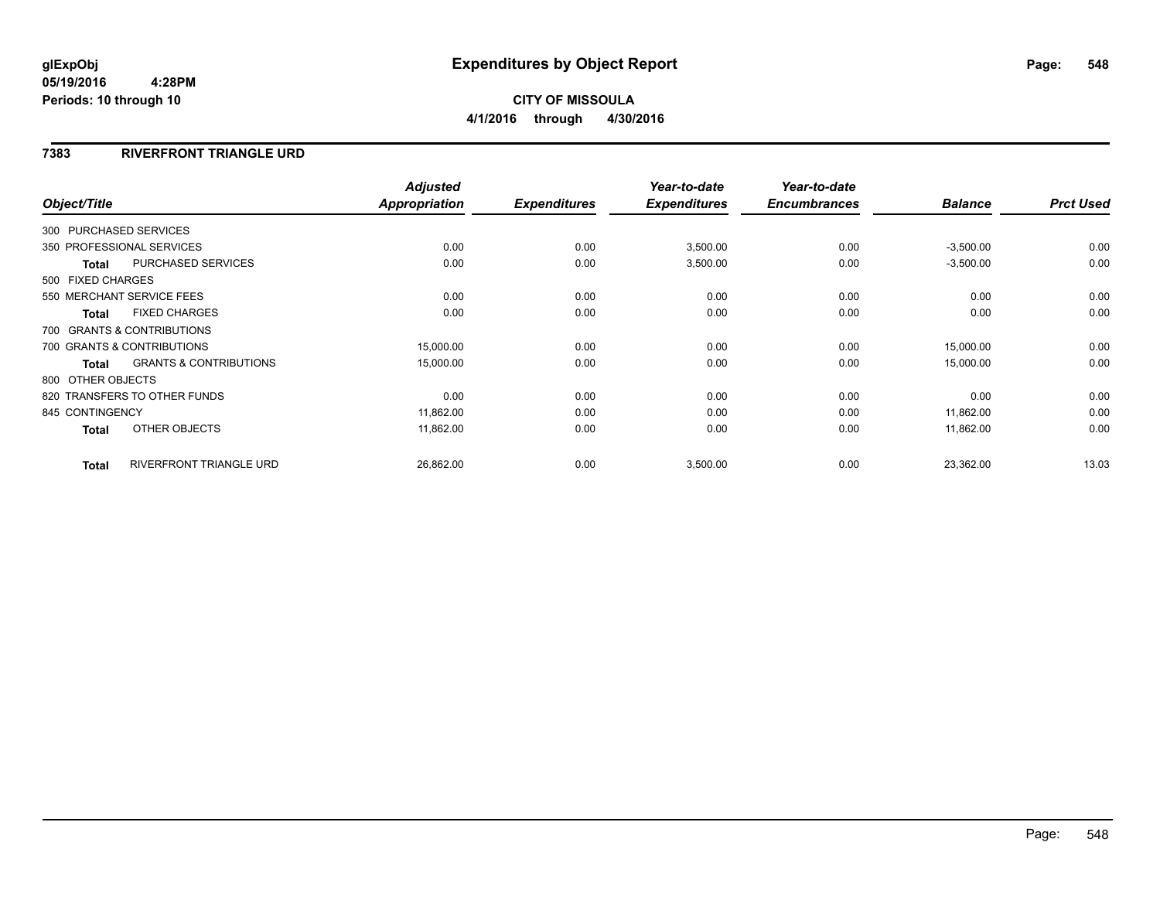### **7383 RIVERFRONT TRIANGLE URD**

|                   |                                   | <b>Adjusted</b> |                     | Year-to-date        | Year-to-date        |                |                  |
|-------------------|-----------------------------------|-----------------|---------------------|---------------------|---------------------|----------------|------------------|
| Object/Title      |                                   | Appropriation   | <b>Expenditures</b> | <b>Expenditures</b> | <b>Encumbrances</b> | <b>Balance</b> | <b>Prct Used</b> |
|                   | 300 PURCHASED SERVICES            |                 |                     |                     |                     |                |                  |
|                   | 350 PROFESSIONAL SERVICES         | 0.00            | 0.00                | 3,500.00            | 0.00                | $-3,500.00$    | 0.00             |
| <b>Total</b>      | <b>PURCHASED SERVICES</b>         | 0.00            | 0.00                | 3,500.00            | 0.00                | $-3,500.00$    | 0.00             |
| 500 FIXED CHARGES |                                   |                 |                     |                     |                     |                |                  |
|                   | 550 MERCHANT SERVICE FEES         | 0.00            | 0.00                | 0.00                | 0.00                | 0.00           | 0.00             |
| <b>Total</b>      | <b>FIXED CHARGES</b>              | 0.00            | 0.00                | 0.00                | 0.00                | 0.00           | 0.00             |
|                   | 700 GRANTS & CONTRIBUTIONS        |                 |                     |                     |                     |                |                  |
|                   | 700 GRANTS & CONTRIBUTIONS        | 15,000.00       | 0.00                | 0.00                | 0.00                | 15,000.00      | 0.00             |
| <b>Total</b>      | <b>GRANTS &amp; CONTRIBUTIONS</b> | 15,000.00       | 0.00                | 0.00                | 0.00                | 15,000.00      | 0.00             |
| 800 OTHER OBJECTS |                                   |                 |                     |                     |                     |                |                  |
|                   | 820 TRANSFERS TO OTHER FUNDS      | 0.00            | 0.00                | 0.00                | 0.00                | 0.00           | 0.00             |
| 845 CONTINGENCY   |                                   | 11,862.00       | 0.00                | 0.00                | 0.00                | 11,862.00      | 0.00             |
| <b>Total</b>      | OTHER OBJECTS                     | 11,862.00       | 0.00                | 0.00                | 0.00                | 11,862.00      | 0.00             |
| <b>Total</b>      | RIVERFRONT TRIANGLE URD           | 26,862.00       | 0.00                | 3,500.00            | 0.00                | 23,362.00      | 13.03            |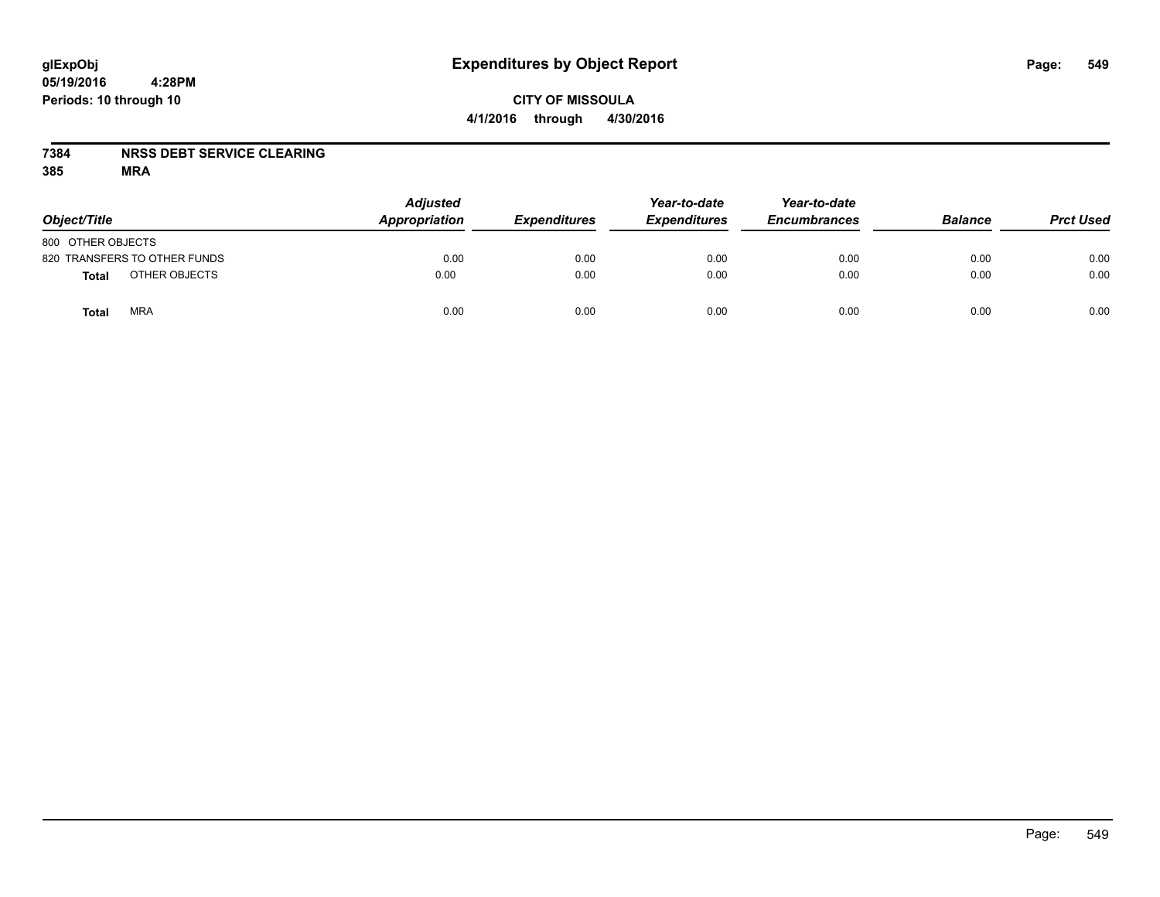# **CITY OF MISSOULA 4/1/2016 through 4/30/2016**

### **7384 NRSS DEBT SERVICE CLEARING**

| Object/Title                 | <b>Adjusted</b><br>Appropriation | <b>Expenditures</b> | Year-to-date<br><b>Expenditures</b> | Year-to-date<br><b>Encumbrances</b> | <b>Balance</b> | <b>Prct Used</b> |
|------------------------------|----------------------------------|---------------------|-------------------------------------|-------------------------------------|----------------|------------------|
| 800 OTHER OBJECTS            |                                  |                     |                                     |                                     |                |                  |
| 820 TRANSFERS TO OTHER FUNDS | 0.00                             | 0.00                | 0.00                                | 0.00                                | 0.00           | 0.00             |
| OTHER OBJECTS<br>Total       | 0.00                             | 0.00                | 0.00                                | 0.00                                | 0.00           | 0.00             |
| <b>MRA</b><br>Total          | 0.00                             | 0.00                | 0.00                                | 0.00                                | 0.00           | 0.00             |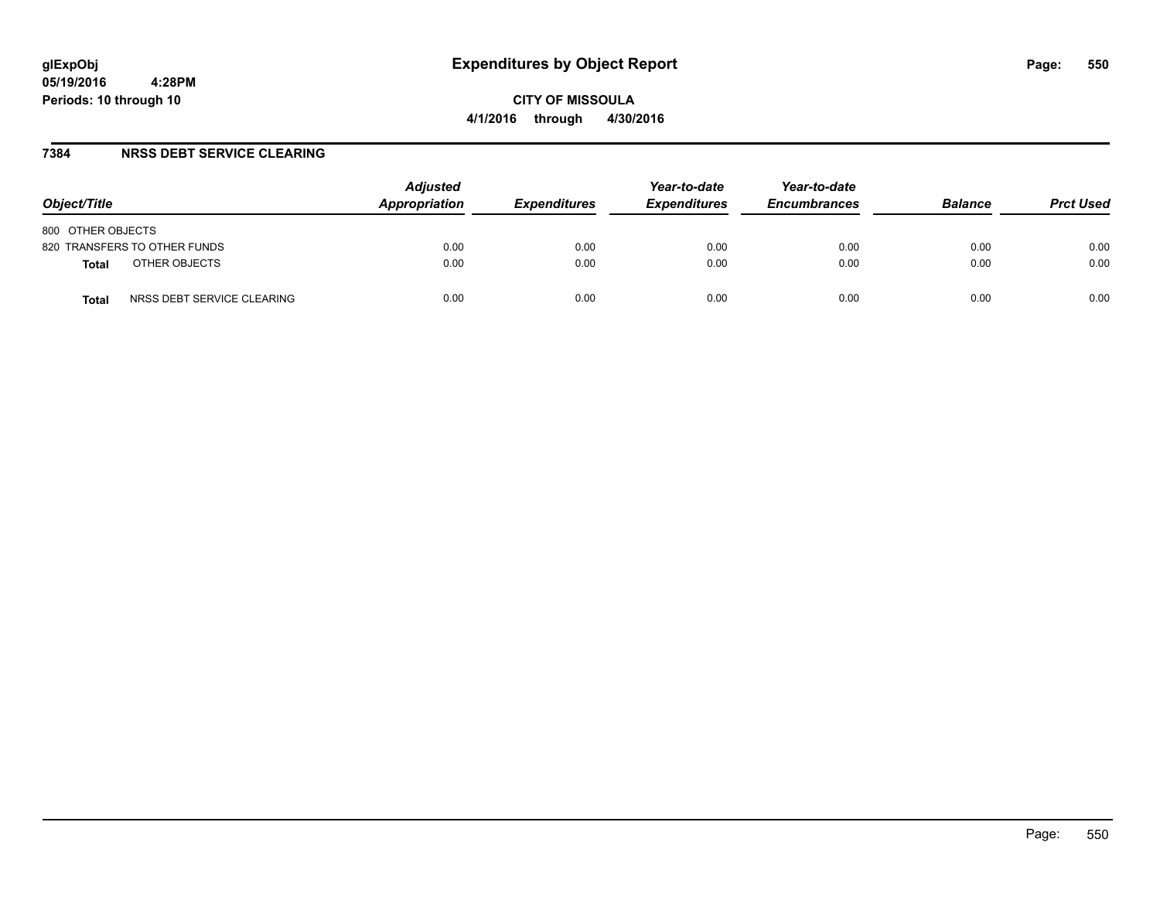### **7384 NRSS DEBT SERVICE CLEARING**

| Object/Title                               | <b>Adjusted</b><br>Appropriation | <b>Expenditures</b> | Year-to-date<br><b>Expenditures</b> | Year-to-date<br><b>Encumbrances</b> | <b>Balance</b> | <b>Prct Used</b> |
|--------------------------------------------|----------------------------------|---------------------|-------------------------------------|-------------------------------------|----------------|------------------|
| 800 OTHER OBJECTS                          |                                  |                     |                                     |                                     |                |                  |
| 820 TRANSFERS TO OTHER FUNDS               | 0.00                             | 0.00                | 0.00                                | 0.00                                | 0.00           | 0.00             |
| OTHER OBJECTS<br><b>Total</b>              | 0.00                             | 0.00                | 0.00                                | 0.00                                | 0.00           | 0.00             |
| NRSS DEBT SERVICE CLEARING<br><b>Total</b> | 0.00                             | 0.00                | 0.00                                | 0.00                                | 0.00           | 0.00             |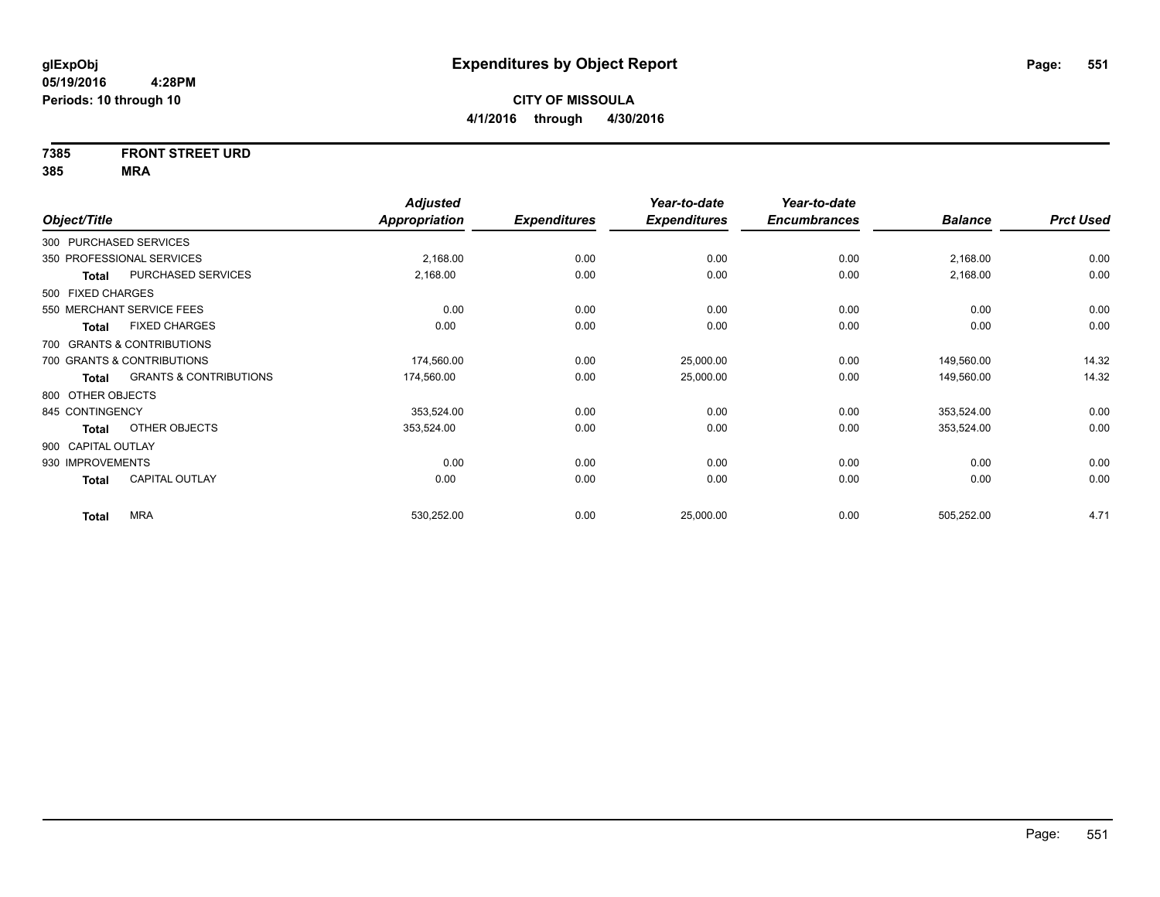# **7385 FRONT STREET URD**

|                                            | <b>Adjusted</b>      |                     | Year-to-date        | Year-to-date        |                |                  |
|--------------------------------------------|----------------------|---------------------|---------------------|---------------------|----------------|------------------|
| Object/Title                               | <b>Appropriation</b> | <b>Expenditures</b> | <b>Expenditures</b> | <b>Encumbrances</b> | <b>Balance</b> | <b>Prct Used</b> |
| 300 PURCHASED SERVICES                     |                      |                     |                     |                     |                |                  |
| 350 PROFESSIONAL SERVICES                  | 2,168.00             | 0.00                | 0.00                | 0.00                | 2,168.00       | 0.00             |
| PURCHASED SERVICES<br><b>Total</b>         | 2,168.00             | 0.00                | 0.00                | 0.00                | 2,168.00       | 0.00             |
| 500 FIXED CHARGES                          |                      |                     |                     |                     |                |                  |
| 550 MERCHANT SERVICE FEES                  | 0.00                 | 0.00                | 0.00                | 0.00                | 0.00           | 0.00             |
| <b>FIXED CHARGES</b><br><b>Total</b>       | 0.00                 | 0.00                | 0.00                | 0.00                | 0.00           | 0.00             |
| 700 GRANTS & CONTRIBUTIONS                 |                      |                     |                     |                     |                |                  |
| 700 GRANTS & CONTRIBUTIONS                 | 174,560.00           | 0.00                | 25,000.00           | 0.00                | 149,560.00     | 14.32            |
| <b>GRANTS &amp; CONTRIBUTIONS</b><br>Total | 174,560.00           | 0.00                | 25,000.00           | 0.00                | 149,560.00     | 14.32            |
| 800 OTHER OBJECTS                          |                      |                     |                     |                     |                |                  |
| 845 CONTINGENCY                            | 353,524.00           | 0.00                | 0.00                | 0.00                | 353,524.00     | 0.00             |
| OTHER OBJECTS<br>Total                     | 353,524.00           | 0.00                | 0.00                | 0.00                | 353,524.00     | 0.00             |
| 900 CAPITAL OUTLAY                         |                      |                     |                     |                     |                |                  |
| 930 IMPROVEMENTS                           | 0.00                 | 0.00                | 0.00                | 0.00                | 0.00           | 0.00             |
| CAPITAL OUTLAY<br><b>Total</b>             | 0.00                 | 0.00                | 0.00                | 0.00                | 0.00           | 0.00             |
|                                            |                      |                     |                     |                     |                |                  |
| <b>MRA</b><br><b>Total</b>                 | 530,252.00           | 0.00                | 25,000.00           | 0.00                | 505,252.00     | 4.71             |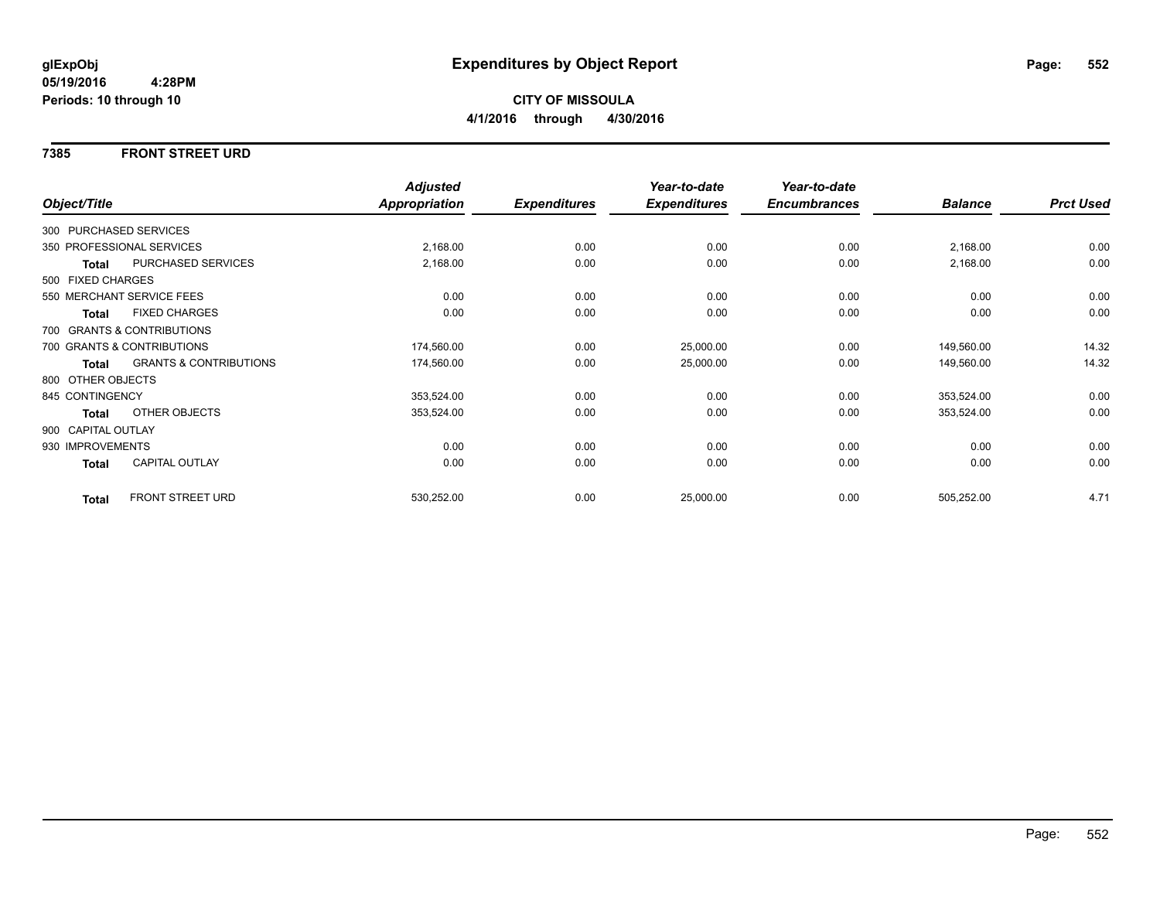### **7385 FRONT STREET URD**

|                        |                                   | <b>Adjusted</b> |                     | Year-to-date        | Year-to-date        |                |                  |
|------------------------|-----------------------------------|-----------------|---------------------|---------------------|---------------------|----------------|------------------|
| Object/Title           |                                   | Appropriation   | <b>Expenditures</b> | <b>Expenditures</b> | <b>Encumbrances</b> | <b>Balance</b> | <b>Prct Used</b> |
| 300 PURCHASED SERVICES |                                   |                 |                     |                     |                     |                |                  |
|                        | 350 PROFESSIONAL SERVICES         | 2,168.00        | 0.00                | 0.00                | 0.00                | 2,168.00       | 0.00             |
| Total                  | PURCHASED SERVICES                | 2,168.00        | 0.00                | 0.00                | 0.00                | 2,168.00       | 0.00             |
| 500 FIXED CHARGES      |                                   |                 |                     |                     |                     |                |                  |
|                        | 550 MERCHANT SERVICE FEES         | 0.00            | 0.00                | 0.00                | 0.00                | 0.00           | 0.00             |
| <b>Total</b>           | <b>FIXED CHARGES</b>              | 0.00            | 0.00                | 0.00                | 0.00                | 0.00           | 0.00             |
|                        | 700 GRANTS & CONTRIBUTIONS        |                 |                     |                     |                     |                |                  |
|                        | 700 GRANTS & CONTRIBUTIONS        | 174,560.00      | 0.00                | 25,000.00           | 0.00                | 149,560.00     | 14.32            |
| Total                  | <b>GRANTS &amp; CONTRIBUTIONS</b> | 174,560.00      | 0.00                | 25,000.00           | 0.00                | 149,560.00     | 14.32            |
| 800 OTHER OBJECTS      |                                   |                 |                     |                     |                     |                |                  |
| 845 CONTINGENCY        |                                   | 353,524.00      | 0.00                | 0.00                | 0.00                | 353,524.00     | 0.00             |
| <b>Total</b>           | OTHER OBJECTS                     | 353,524.00      | 0.00                | 0.00                | 0.00                | 353,524.00     | 0.00             |
| 900 CAPITAL OUTLAY     |                                   |                 |                     |                     |                     |                |                  |
| 930 IMPROVEMENTS       |                                   | 0.00            | 0.00                | 0.00                | 0.00                | 0.00           | 0.00             |
| <b>Total</b>           | CAPITAL OUTLAY                    | 0.00            | 0.00                | 0.00                | 0.00                | 0.00           | 0.00             |
| <b>Total</b>           | FRONT STREET URD                  | 530,252.00      | 0.00                | 25,000.00           | 0.00                | 505,252.00     | 4.71             |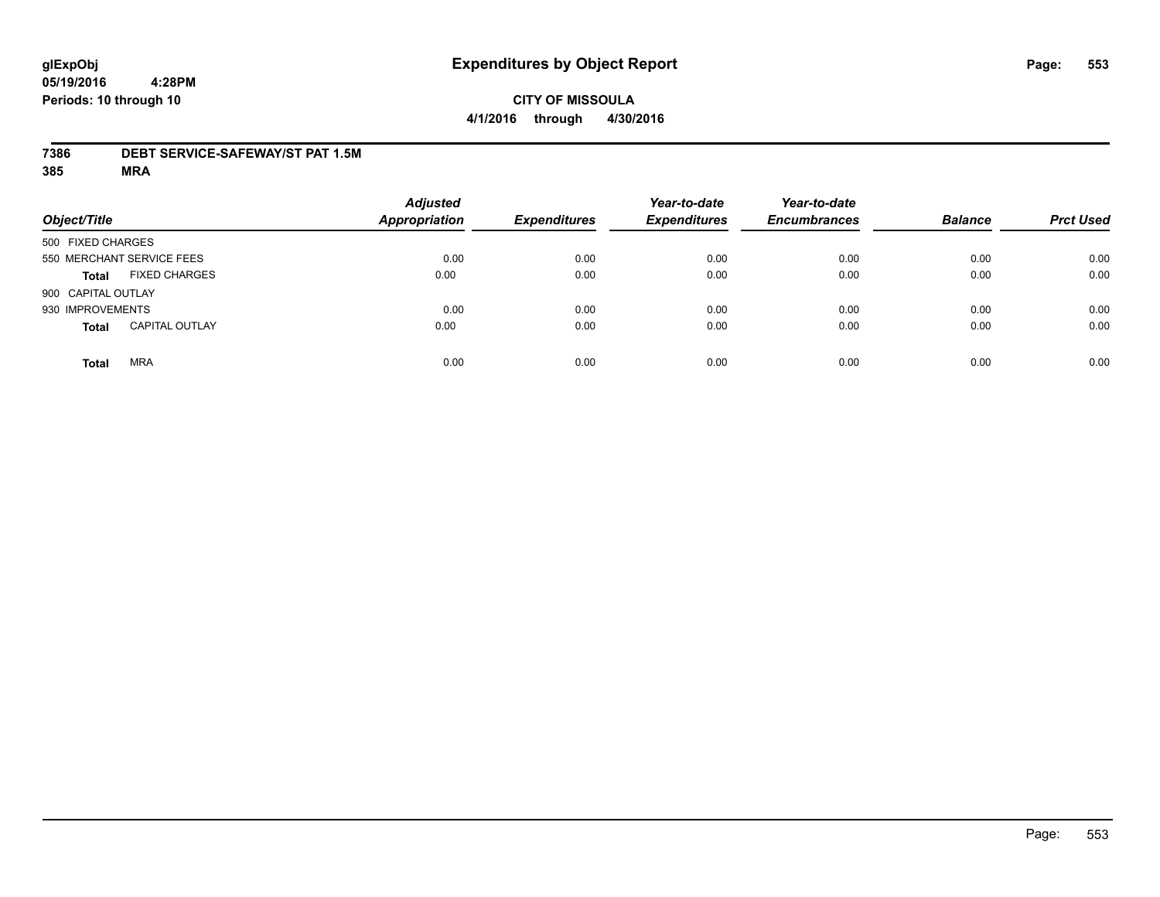### **7386 DEBT SERVICE-SAFEWAY/ST PAT 1.5M**

| Object/Title       |                           | <b>Adjusted</b><br><b>Appropriation</b> | <b>Expenditures</b> | Year-to-date<br><b>Expenditures</b> | Year-to-date<br><b>Encumbrances</b> | <b>Balance</b> | <b>Prct Used</b> |
|--------------------|---------------------------|-----------------------------------------|---------------------|-------------------------------------|-------------------------------------|----------------|------------------|
| 500 FIXED CHARGES  |                           |                                         |                     |                                     |                                     |                |                  |
|                    | 550 MERCHANT SERVICE FEES | 0.00                                    | 0.00                | 0.00                                | 0.00                                | 0.00           | 0.00             |
| <b>Total</b>       | <b>FIXED CHARGES</b>      | 0.00                                    | 0.00                | 0.00                                | 0.00                                | 0.00           | 0.00             |
| 900 CAPITAL OUTLAY |                           |                                         |                     |                                     |                                     |                |                  |
| 930 IMPROVEMENTS   |                           | 0.00                                    | 0.00                | 0.00                                | 0.00                                | 0.00           | 0.00             |
| <b>Total</b>       | <b>CAPITAL OUTLAY</b>     | 0.00                                    | 0.00                | 0.00                                | 0.00                                | 0.00           | 0.00             |
| <b>Total</b>       | <b>MRA</b>                | 0.00                                    | 0.00                | 0.00                                | 0.00                                | 0.00           | 0.00             |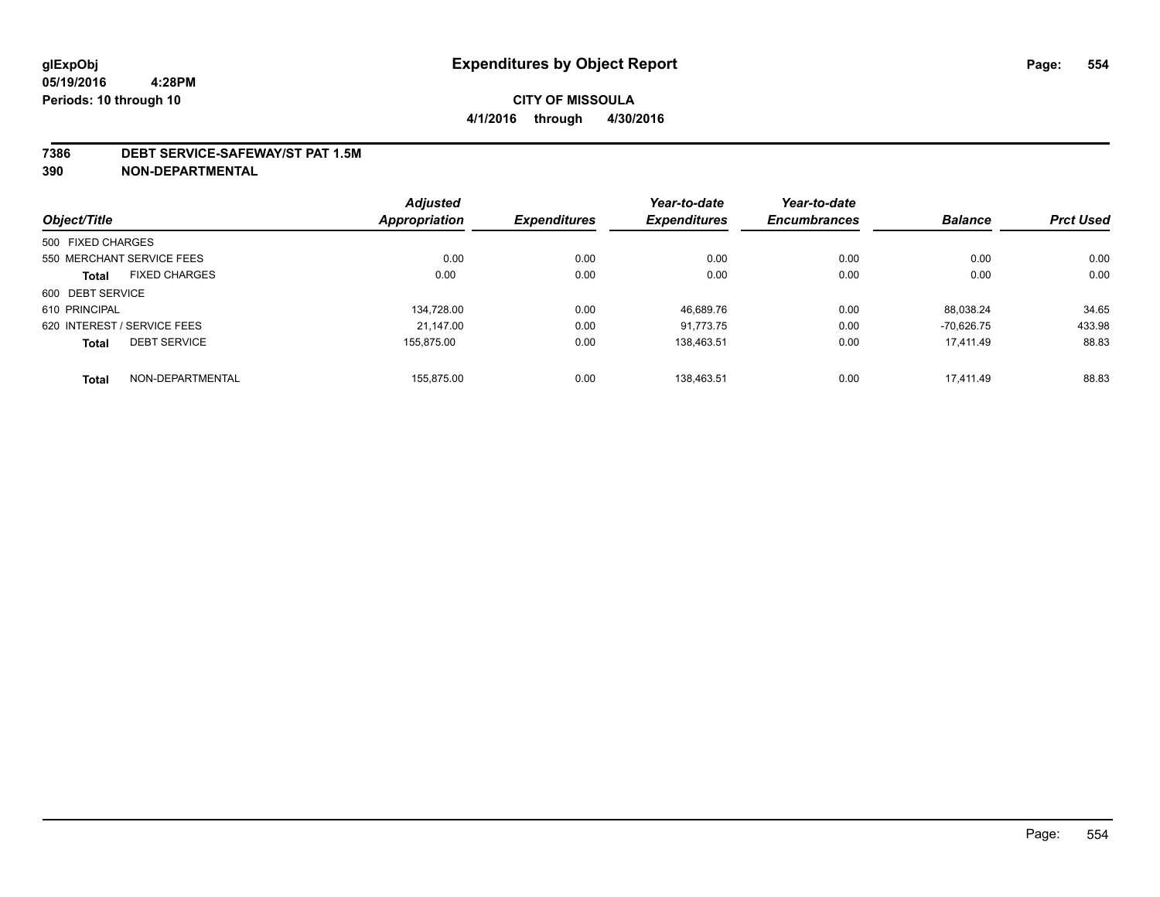#### **7386 DEBT SERVICE-SAFEWAY/ST PAT 1.5M**

**390 NON-DEPARTMENTAL**

|                                      | <b>Adjusted</b>      |                     | Year-to-date        | Year-to-date        |                |                  |
|--------------------------------------|----------------------|---------------------|---------------------|---------------------|----------------|------------------|
| Object/Title                         | <b>Appropriation</b> | <b>Expenditures</b> | <b>Expenditures</b> | <b>Encumbrances</b> | <b>Balance</b> | <b>Prct Used</b> |
| 500 FIXED CHARGES                    |                      |                     |                     |                     |                |                  |
| 550 MERCHANT SERVICE FEES            | 0.00                 | 0.00                | 0.00                | 0.00                | 0.00           | 0.00             |
| <b>FIXED CHARGES</b><br><b>Total</b> | 0.00                 | 0.00                | 0.00                | 0.00                | 0.00           | 0.00             |
| 600 DEBT SERVICE                     |                      |                     |                     |                     |                |                  |
| 610 PRINCIPAL                        | 134.728.00           | 0.00                | 46.689.76           | 0.00                | 88.038.24      | 34.65            |
| 620 INTEREST / SERVICE FEES          | 21.147.00            | 0.00                | 91.773.75           | 0.00                | $-70.626.75$   | 433.98           |
| <b>DEBT SERVICE</b><br><b>Total</b>  | 155.875.00           | 0.00                | 138.463.51          | 0.00                | 17.411.49      | 88.83            |
| NON-DEPARTMENTAL<br><b>Total</b>     | 155.875.00           | 0.00                | 138.463.51          | 0.00                | 17.411.49      | 88.83            |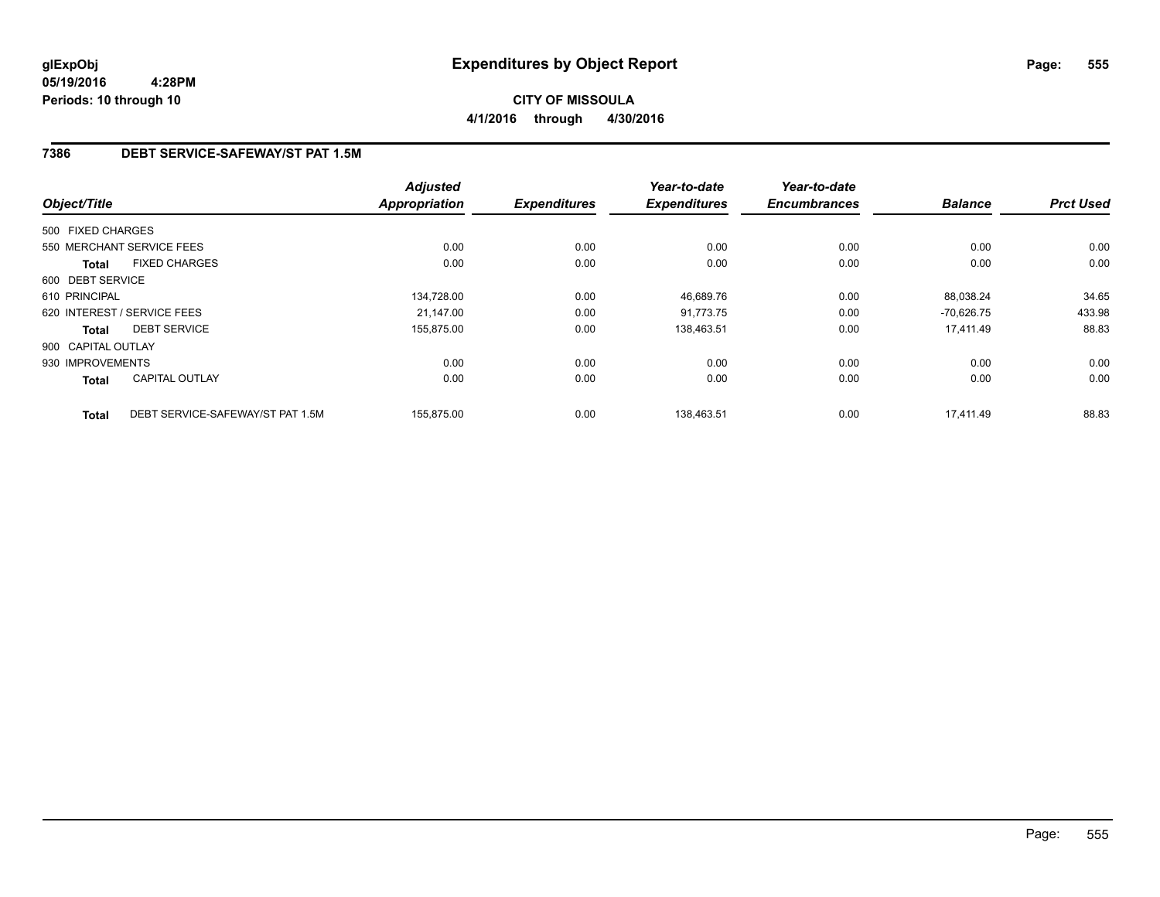### **CITY OF MISSOULA 4/1/2016 through 4/30/2016**

# **7386 DEBT SERVICE-SAFEWAY/ST PAT 1.5M**

|                    |                                  | <b>Adjusted</b> |                     | Year-to-date        | Year-to-date        |                |                  |
|--------------------|----------------------------------|-----------------|---------------------|---------------------|---------------------|----------------|------------------|
| Object/Title       |                                  | Appropriation   | <b>Expenditures</b> | <b>Expenditures</b> | <b>Encumbrances</b> | <b>Balance</b> | <b>Prct Used</b> |
| 500 FIXED CHARGES  |                                  |                 |                     |                     |                     |                |                  |
|                    | 550 MERCHANT SERVICE FEES        | 0.00            | 0.00                | 0.00                | 0.00                | 0.00           | 0.00             |
| Total              | <b>FIXED CHARGES</b>             | 0.00            | 0.00                | 0.00                | 0.00                | 0.00           | 0.00             |
| 600 DEBT SERVICE   |                                  |                 |                     |                     |                     |                |                  |
| 610 PRINCIPAL      |                                  | 134,728.00      | 0.00                | 46,689.76           | 0.00                | 88.038.24      | 34.65            |
|                    | 620 INTEREST / SERVICE FEES      | 21.147.00       | 0.00                | 91.773.75           | 0.00                | $-70.626.75$   | 433.98           |
| Total              | <b>DEBT SERVICE</b>              | 155,875.00      | 0.00                | 138.463.51          | 0.00                | 17,411.49      | 88.83            |
| 900 CAPITAL OUTLAY |                                  |                 |                     |                     |                     |                |                  |
| 930 IMPROVEMENTS   |                                  | 0.00            | 0.00                | 0.00                | 0.00                | 0.00           | 0.00             |
| Total              | <b>CAPITAL OUTLAY</b>            | 0.00            | 0.00                | 0.00                | 0.00                | 0.00           | 0.00             |
| <b>Total</b>       | DEBT SERVICE-SAFEWAY/ST PAT 1.5M | 155,875.00      | 0.00                | 138,463.51          | 0.00                | 17,411.49      | 88.83            |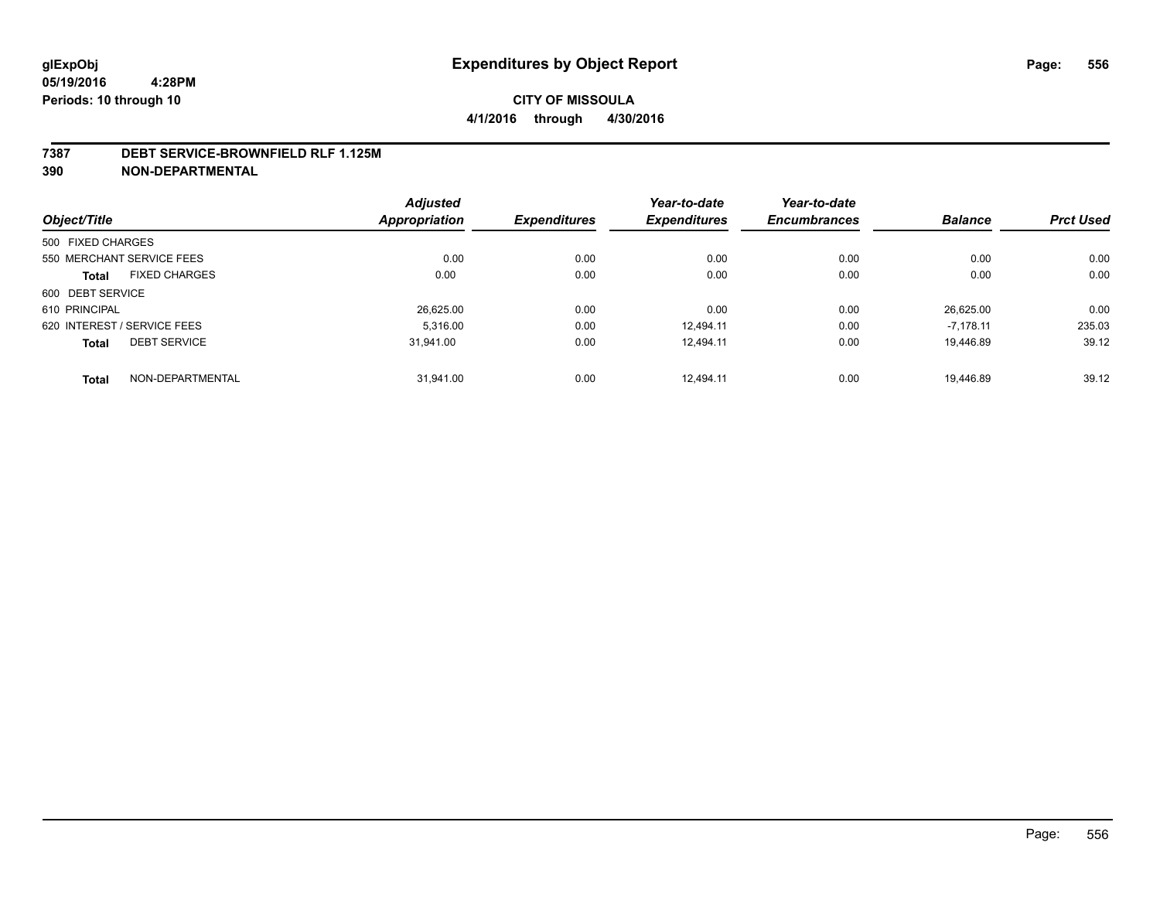#### **7387 DEBT SERVICE-BROWNFIELD RLF 1.125M**

**390 NON-DEPARTMENTAL**

|                                      | <b>Adjusted</b> |                     | Year-to-date        | Year-to-date        |                |                  |
|--------------------------------------|-----------------|---------------------|---------------------|---------------------|----------------|------------------|
| Object/Title                         | Appropriation   | <b>Expenditures</b> | <b>Expenditures</b> | <b>Encumbrances</b> | <b>Balance</b> | <b>Prct Used</b> |
| 500 FIXED CHARGES                    |                 |                     |                     |                     |                |                  |
| 550 MERCHANT SERVICE FEES            | 0.00            | 0.00                | 0.00                | 0.00                | 0.00           | 0.00             |
| <b>FIXED CHARGES</b><br><b>Total</b> | 0.00            | 0.00                | 0.00                | 0.00                | 0.00           | 0.00             |
| 600 DEBT SERVICE                     |                 |                     |                     |                     |                |                  |
| 610 PRINCIPAL                        | 26,625.00       | 0.00                | 0.00                | 0.00                | 26.625.00      | 0.00             |
| 620 INTEREST / SERVICE FEES          | 5.316.00        | 0.00                | 12.494.11           | 0.00                | $-7.178.11$    | 235.03           |
| <b>DEBT SERVICE</b><br><b>Total</b>  | 31.941.00       | 0.00                | 12.494.11           | 0.00                | 19.446.89      | 39.12            |
| NON-DEPARTMENTAL<br><b>Total</b>     | 31.941.00       | 0.00                | 12.494.11           | 0.00                | 19.446.89      | 39.12            |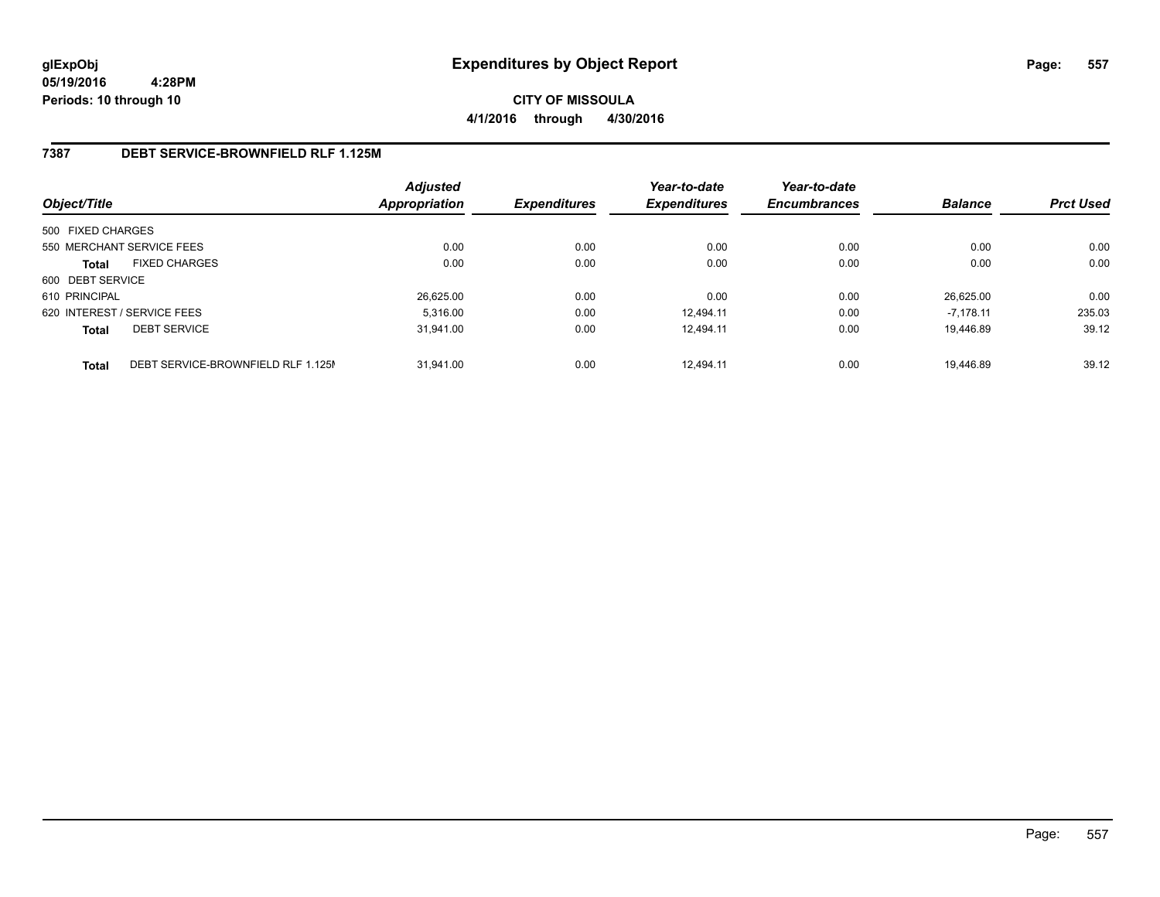### **CITY OF MISSOULA 4/1/2016 through 4/30/2016**

# **7387 DEBT SERVICE-BROWNFIELD RLF 1.125M**

| Object/Title                |                                    | <b>Adjusted</b><br>Appropriation | <b>Expenditures</b> | Year-to-date<br><b>Expenditures</b> | Year-to-date<br><b>Encumbrances</b> | <b>Balance</b> | <b>Prct Used</b> |
|-----------------------------|------------------------------------|----------------------------------|---------------------|-------------------------------------|-------------------------------------|----------------|------------------|
| 500 FIXED CHARGES           |                                    |                                  |                     |                                     |                                     |                |                  |
| 550 MERCHANT SERVICE FEES   |                                    | 0.00                             | 0.00                | 0.00                                | 0.00                                | 0.00           | 0.00             |
| <b>Total</b>                | <b>FIXED CHARGES</b>               | 0.00                             | 0.00                | 0.00                                | 0.00                                | 0.00           | 0.00             |
| 600 DEBT SERVICE            |                                    |                                  |                     |                                     |                                     |                |                  |
| 610 PRINCIPAL               |                                    | 26,625.00                        | 0.00                | 0.00                                | 0.00                                | 26.625.00      | 0.00             |
| 620 INTEREST / SERVICE FEES |                                    | 5.316.00                         | 0.00                | 12.494.11                           | 0.00                                | $-7.178.11$    | 235.03           |
| <b>Total</b>                | <b>DEBT SERVICE</b>                | 31.941.00                        | 0.00                | 12.494.11                           | 0.00                                | 19.446.89      | 39.12            |
| <b>Total</b>                | DEBT SERVICE-BROWNFIELD RLF 1.125M | 31.941.00                        | 0.00                | 12.494.11                           | 0.00                                | 19.446.89      | 39.12            |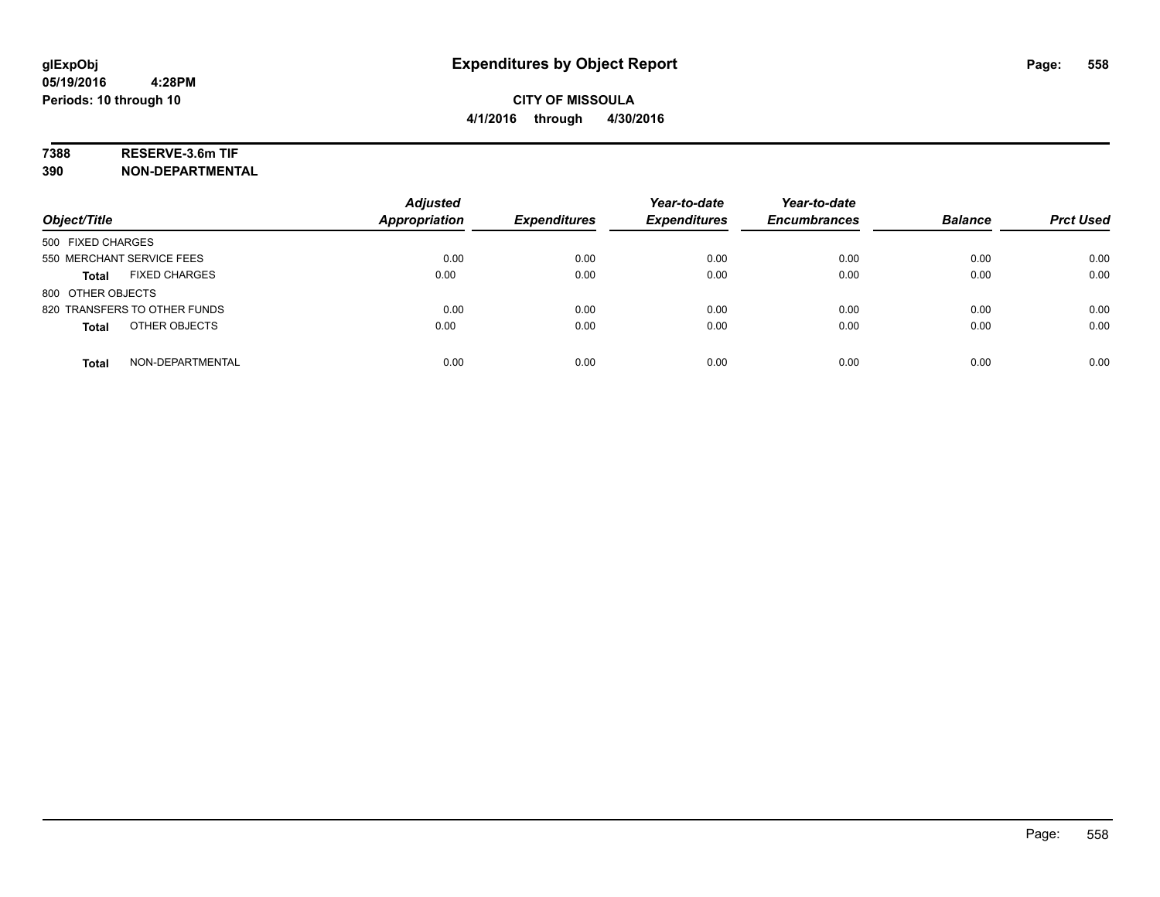# **7388 RESERVE-3.6m TIF**

**390 NON-DEPARTMENTAL**

| Object/Title                         | <b>Adjusted</b><br>Appropriation | <b>Expenditures</b> | Year-to-date<br><b>Expenditures</b> | Year-to-date<br><b>Encumbrances</b> | <b>Balance</b> | <b>Prct Used</b> |
|--------------------------------------|----------------------------------|---------------------|-------------------------------------|-------------------------------------|----------------|------------------|
| 500 FIXED CHARGES                    |                                  |                     |                                     |                                     |                |                  |
| 550 MERCHANT SERVICE FEES            | 0.00                             | 0.00                | 0.00                                | 0.00                                | 0.00           | 0.00             |
| <b>FIXED CHARGES</b><br><b>Total</b> | 0.00                             | 0.00                | 0.00                                | 0.00                                | 0.00           | 0.00             |
| 800 OTHER OBJECTS                    |                                  |                     |                                     |                                     |                |                  |
| 820 TRANSFERS TO OTHER FUNDS         | 0.00                             | 0.00                | 0.00                                | 0.00                                | 0.00           | 0.00             |
| OTHER OBJECTS<br><b>Total</b>        | 0.00                             | 0.00                | 0.00                                | 0.00                                | 0.00           | 0.00             |
| NON-DEPARTMENTAL<br><b>Total</b>     | 0.00                             | 0.00                | 0.00                                | 0.00                                | 0.00           | 0.00             |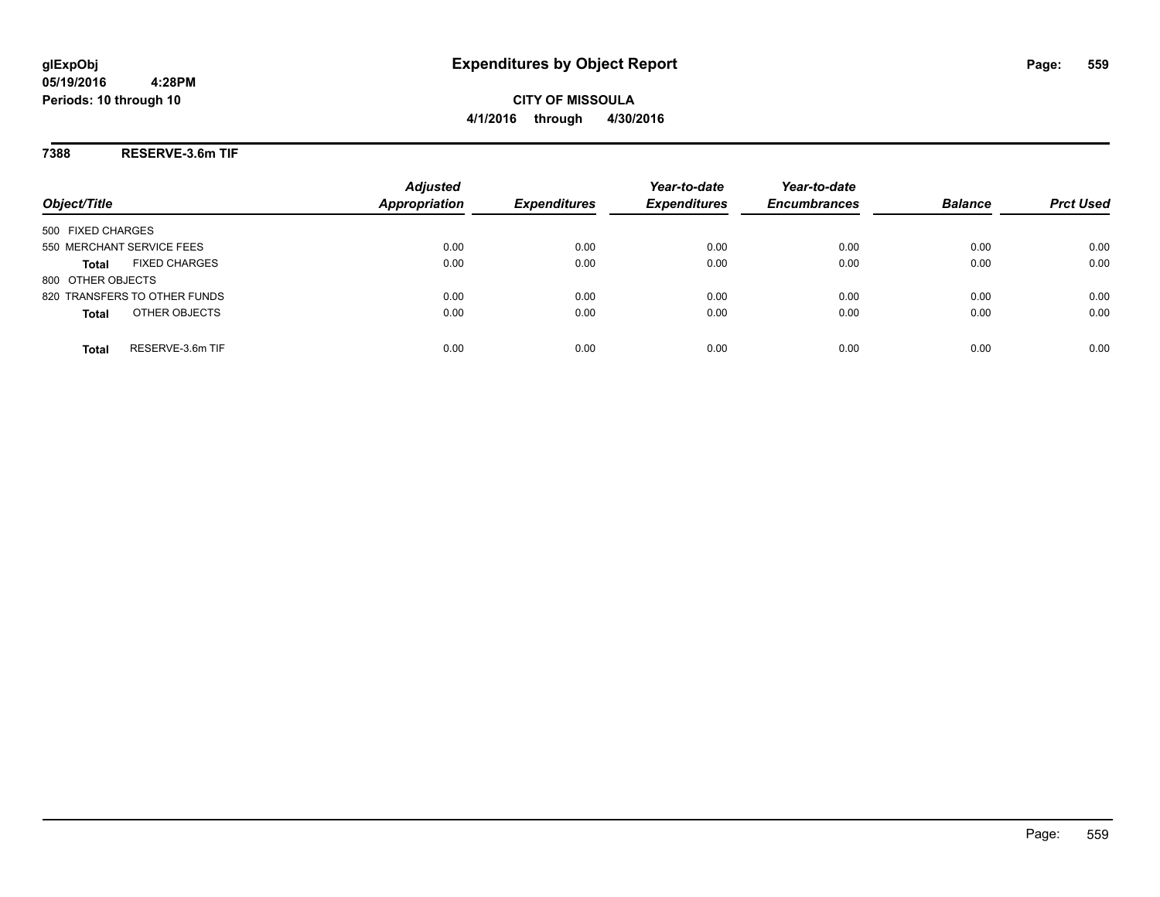**CITY OF MISSOULA 4/1/2016 through 4/30/2016**

**7388 RESERVE-3.6m TIF**

|                                      | <b>Adjusted</b>      |                     | Year-to-date        | Year-to-date        |                |                  |
|--------------------------------------|----------------------|---------------------|---------------------|---------------------|----------------|------------------|
| Object/Title                         | <b>Appropriation</b> | <b>Expenditures</b> | <b>Expenditures</b> | <b>Encumbrances</b> | <b>Balance</b> | <b>Prct Used</b> |
| 500 FIXED CHARGES                    |                      |                     |                     |                     |                |                  |
| 550 MERCHANT SERVICE FEES            | 0.00                 | 0.00                | 0.00                | 0.00                | 0.00           | 0.00             |
| <b>FIXED CHARGES</b><br><b>Total</b> | 0.00                 | 0.00                | 0.00                | 0.00                | 0.00           | 0.00             |
| 800 OTHER OBJECTS                    |                      |                     |                     |                     |                |                  |
| 820 TRANSFERS TO OTHER FUNDS         | 0.00                 | 0.00                | 0.00                | 0.00                | 0.00           | 0.00             |
| OTHER OBJECTS<br><b>Total</b>        | 0.00                 | 0.00                | 0.00                | 0.00                | 0.00           | 0.00             |
| RESERVE-3.6m TIF<br>Total            | 0.00                 | 0.00                | 0.00                | 0.00                | 0.00           | 0.00             |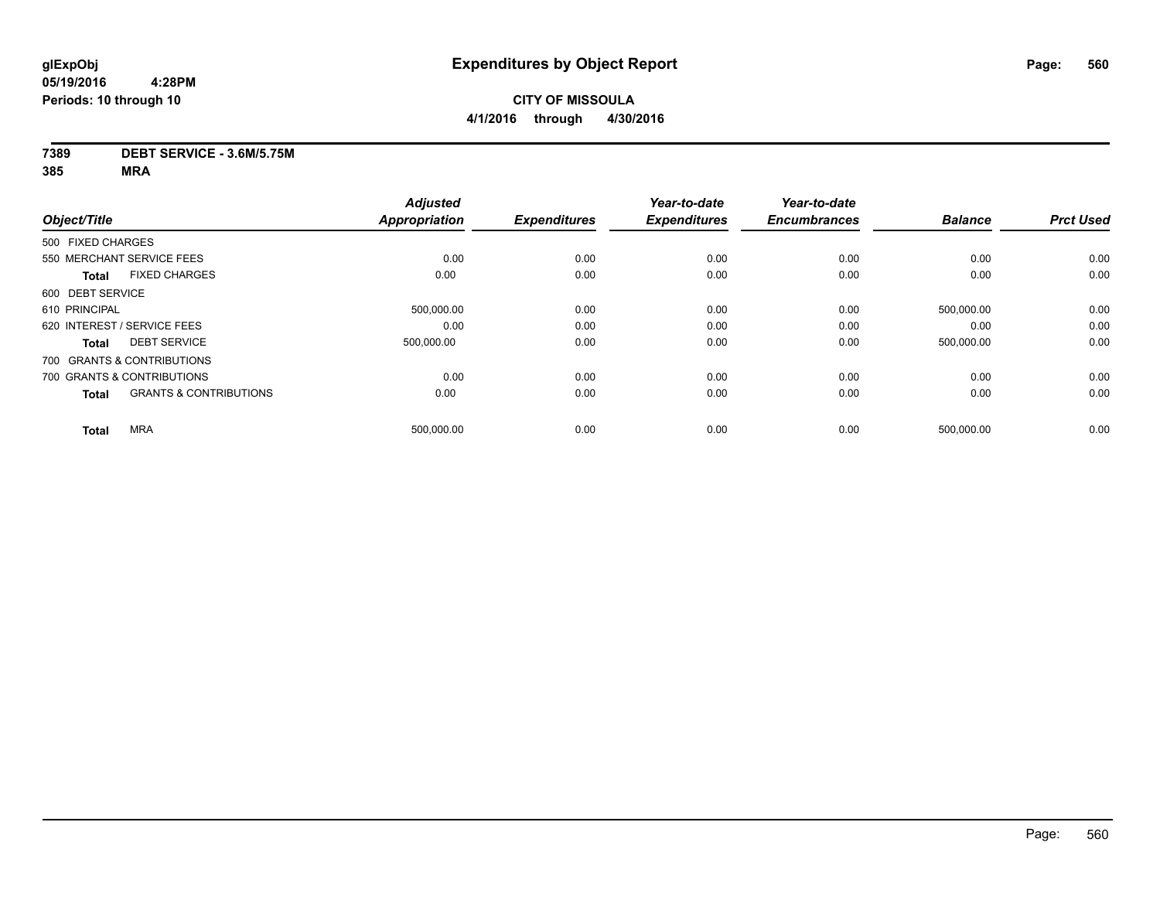#### **7389 DEBT SERVICE - 3.6M/5.75M**

|                                                   | <b>Adjusted</b>      |                     | Year-to-date        | Year-to-date        |                |                  |
|---------------------------------------------------|----------------------|---------------------|---------------------|---------------------|----------------|------------------|
| Object/Title                                      | <b>Appropriation</b> | <b>Expenditures</b> | <b>Expenditures</b> | <b>Encumbrances</b> | <b>Balance</b> | <b>Prct Used</b> |
| 500 FIXED CHARGES                                 |                      |                     |                     |                     |                |                  |
| 550 MERCHANT SERVICE FEES                         | 0.00                 | 0.00                | 0.00                | 0.00                | 0.00           | 0.00             |
| <b>FIXED CHARGES</b><br><b>Total</b>              | 0.00                 | 0.00                | 0.00                | 0.00                | 0.00           | 0.00             |
| 600 DEBT SERVICE                                  |                      |                     |                     |                     |                |                  |
| 610 PRINCIPAL                                     | 500,000.00           | 0.00                | 0.00                | 0.00                | 500,000.00     | 0.00             |
| 620 INTEREST / SERVICE FEES                       | 0.00                 | 0.00                | 0.00                | 0.00                | 0.00           | 0.00             |
| <b>DEBT SERVICE</b><br><b>Total</b>               | 500,000.00           | 0.00                | 0.00                | 0.00                | 500,000.00     | 0.00             |
| 700 GRANTS & CONTRIBUTIONS                        |                      |                     |                     |                     |                |                  |
| 700 GRANTS & CONTRIBUTIONS                        | 0.00                 | 0.00                | 0.00                | 0.00                | 0.00           | 0.00             |
| <b>GRANTS &amp; CONTRIBUTIONS</b><br><b>Total</b> | 0.00                 | 0.00                | 0.00                | 0.00                | 0.00           | 0.00             |
| <b>MRA</b><br><b>Total</b>                        | 500,000.00           | 0.00                | 0.00                | 0.00                | 500,000.00     | 0.00             |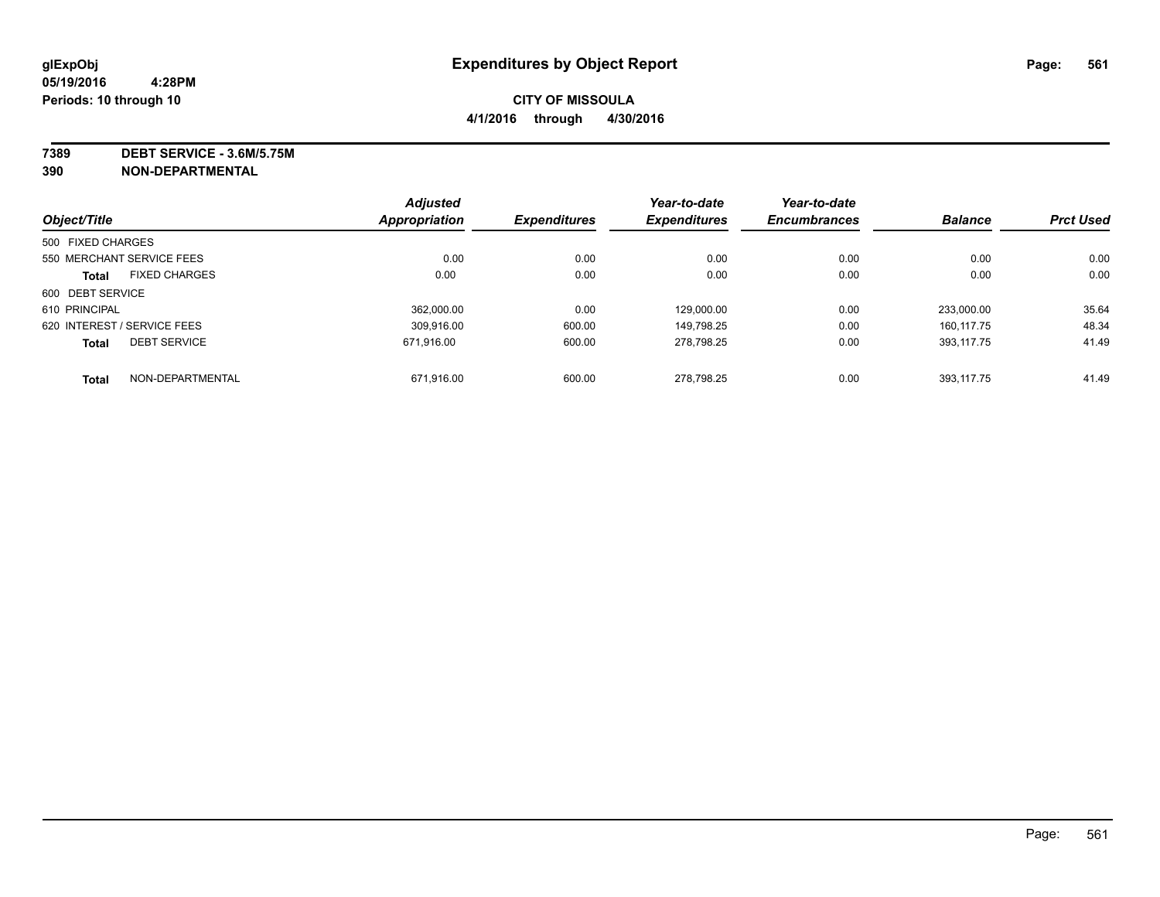**7389 DEBT SERVICE - 3.6M/5.75M**

**390 NON-DEPARTMENTAL**

|                             |                           | <b>Adjusted</b> |                     | Year-to-date        | Year-to-date        |                |                  |
|-----------------------------|---------------------------|-----------------|---------------------|---------------------|---------------------|----------------|------------------|
| Object/Title                |                           | Appropriation   | <b>Expenditures</b> | <b>Expenditures</b> | <b>Encumbrances</b> | <b>Balance</b> | <b>Prct Used</b> |
| 500 FIXED CHARGES           |                           |                 |                     |                     |                     |                |                  |
|                             | 550 MERCHANT SERVICE FEES | 0.00            | 0.00                | 0.00                | 0.00                | 0.00           | 0.00             |
| <b>Total</b>                | <b>FIXED CHARGES</b>      | 0.00            | 0.00                | 0.00                | 0.00                | 0.00           | 0.00             |
| 600 DEBT SERVICE            |                           |                 |                     |                     |                     |                |                  |
| 610 PRINCIPAL               |                           | 362.000.00      | 0.00                | 129.000.00          | 0.00                | 233.000.00     | 35.64            |
| 620 INTEREST / SERVICE FEES |                           | 309.916.00      | 600.00              | 149.798.25          | 0.00                | 160.117.75     | 48.34            |
| <b>Total</b>                | <b>DEBT SERVICE</b>       | 671.916.00      | 600.00              | 278.798.25          | 0.00                | 393.117.75     | 41.49            |
| <b>Total</b>                | NON-DEPARTMENTAL          | 671.916.00      | 600.00              | 278.798.25          | 0.00                | 393.117.75     | 41.49            |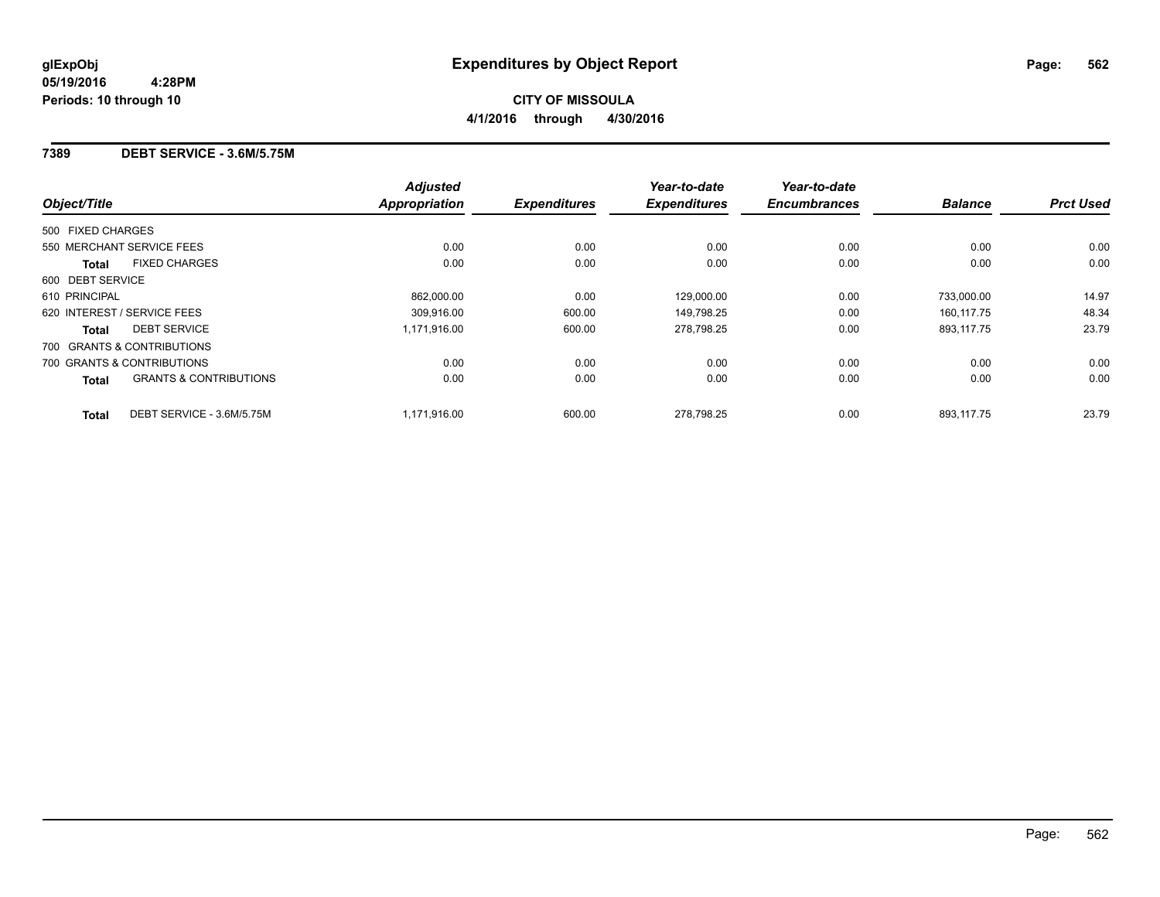### **7389 DEBT SERVICE - 3.6M/5.75M**

| Object/Title                                      | <b>Adjusted</b><br><b>Appropriation</b> | <b>Expenditures</b> | Year-to-date<br><b>Expenditures</b> | Year-to-date<br><b>Encumbrances</b> | <b>Balance</b> | <b>Prct Used</b> |
|---------------------------------------------------|-----------------------------------------|---------------------|-------------------------------------|-------------------------------------|----------------|------------------|
| 500 FIXED CHARGES                                 |                                         |                     |                                     |                                     |                |                  |
| 550 MERCHANT SERVICE FEES                         | 0.00                                    | 0.00                | 0.00                                | 0.00                                | 0.00           | 0.00             |
| <b>FIXED CHARGES</b><br><b>Total</b>              | 0.00                                    | 0.00                | 0.00                                | 0.00                                | 0.00           | 0.00             |
| 600 DEBT SERVICE                                  |                                         |                     |                                     |                                     |                |                  |
| 610 PRINCIPAL                                     | 862.000.00                              | 0.00                | 129.000.00                          | 0.00                                | 733.000.00     | 14.97            |
| 620 INTEREST / SERVICE FEES                       | 309,916.00                              | 600.00              | 149,798.25                          | 0.00                                | 160,117.75     | 48.34            |
| <b>DEBT SERVICE</b><br><b>Total</b>               | 1,171,916.00                            | 600.00              | 278,798.25                          | 0.00                                | 893,117.75     | 23.79            |
| 700 GRANTS & CONTRIBUTIONS                        |                                         |                     |                                     |                                     |                |                  |
| 700 GRANTS & CONTRIBUTIONS                        | 0.00                                    | 0.00                | 0.00                                | 0.00                                | 0.00           | 0.00             |
| <b>GRANTS &amp; CONTRIBUTIONS</b><br><b>Total</b> | 0.00                                    | 0.00                | 0.00                                | 0.00                                | 0.00           | 0.00             |
| DEBT SERVICE - 3.6M/5.75M<br><b>Total</b>         | 1.171.916.00                            | 600.00              | 278.798.25                          | 0.00                                | 893.117.75     | 23.79            |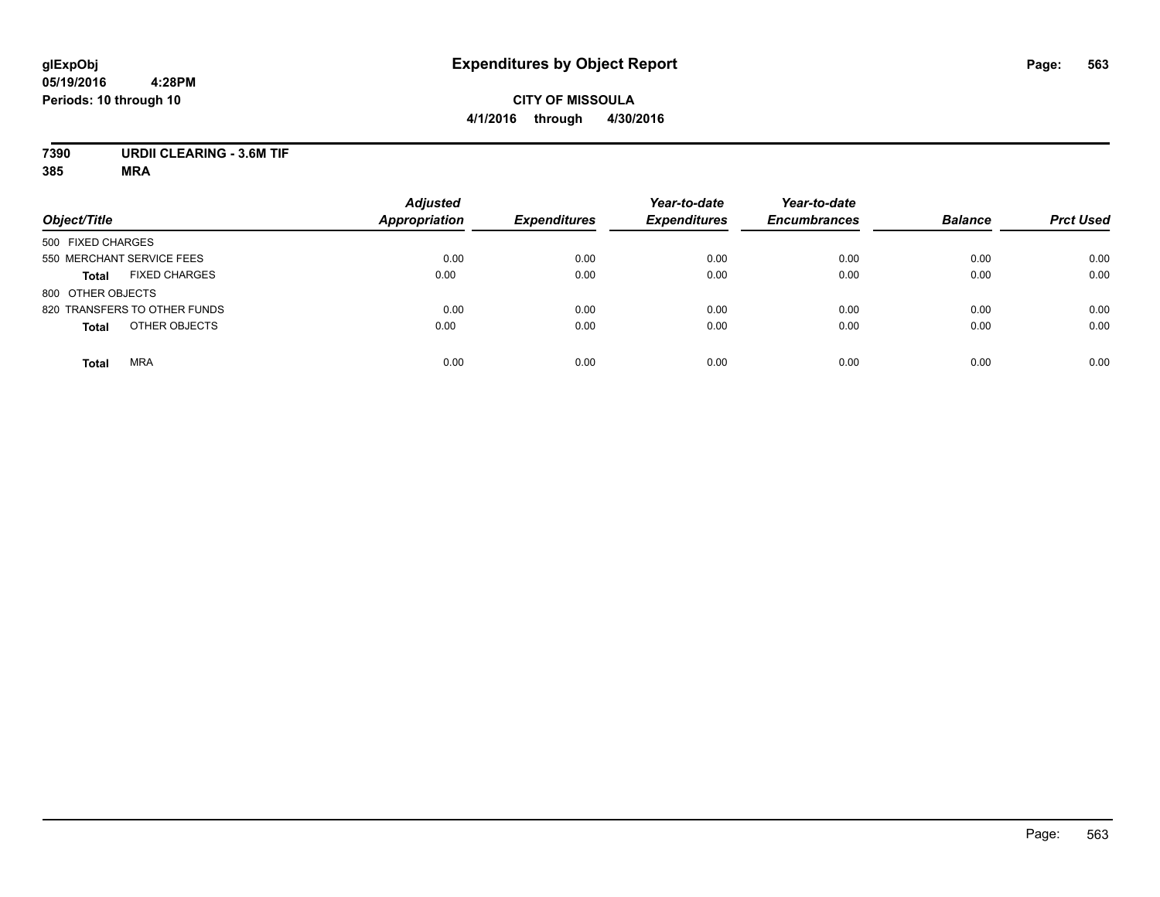# **CITY OF MISSOULA 4/1/2016 through 4/30/2016**

# **7390 URDII CLEARING - 3.6M TIF**

| Object/Title                         | <b>Adjusted</b><br><b>Appropriation</b> | <b>Expenditures</b> | Year-to-date<br><b>Expenditures</b> | Year-to-date<br><b>Encumbrances</b> | <b>Balance</b> | <b>Prct Used</b> |
|--------------------------------------|-----------------------------------------|---------------------|-------------------------------------|-------------------------------------|----------------|------------------|
| 500 FIXED CHARGES                    |                                         |                     |                                     |                                     |                |                  |
| 550 MERCHANT SERVICE FEES            | 0.00                                    | 0.00                | 0.00                                | 0.00                                | 0.00           | 0.00             |
| <b>FIXED CHARGES</b><br><b>Total</b> | 0.00                                    | 0.00                | 0.00                                | 0.00                                | 0.00           | 0.00             |
| 800 OTHER OBJECTS                    |                                         |                     |                                     |                                     |                |                  |
| 820 TRANSFERS TO OTHER FUNDS         | 0.00                                    | 0.00                | 0.00                                | 0.00                                | 0.00           | 0.00             |
| OTHER OBJECTS<br><b>Total</b>        | 0.00                                    | 0.00                | 0.00                                | 0.00                                | 0.00           | 0.00             |
| <b>MRA</b><br><b>Total</b>           | 0.00                                    | 0.00                | 0.00                                | 0.00                                | 0.00           | 0.00             |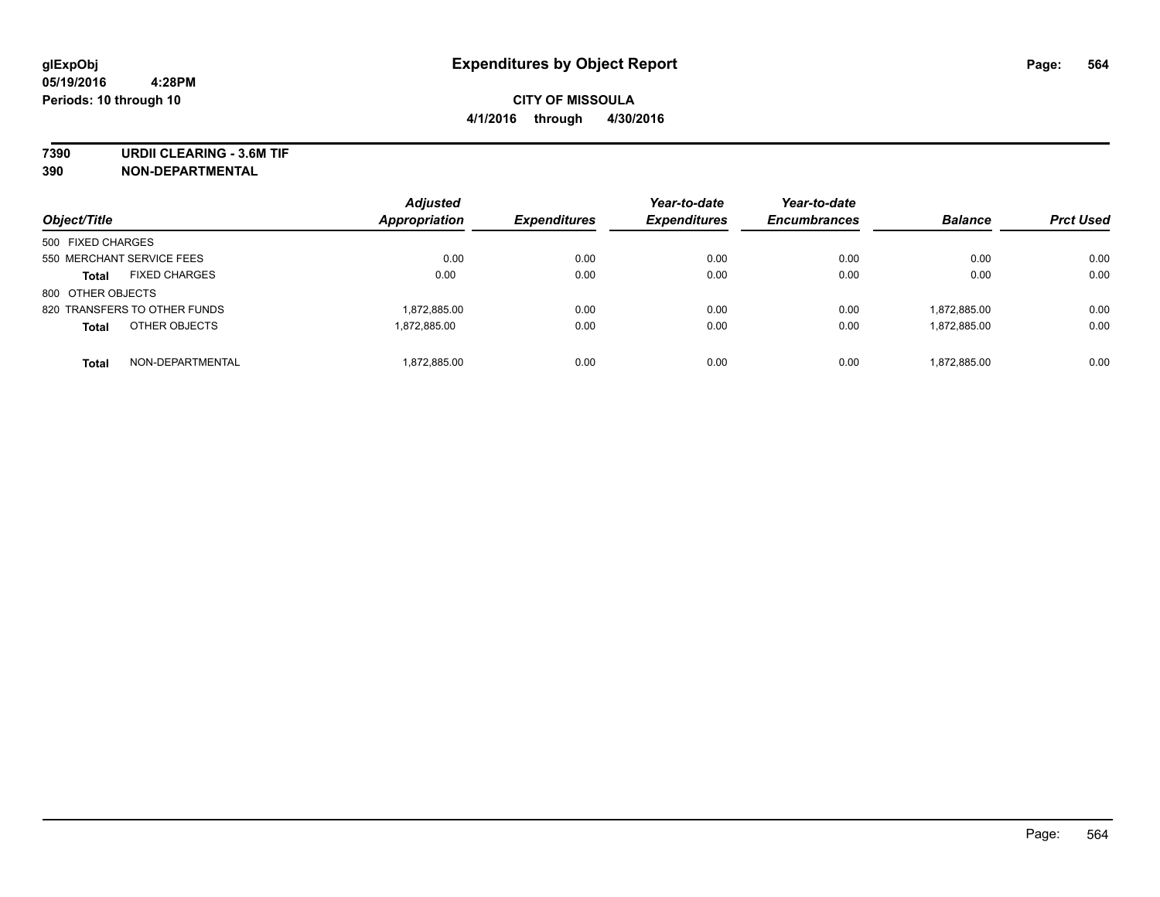**7390 URDII CLEARING - 3.6M TIF**

**390 NON-DEPARTMENTAL**

| Object/Title                         | <b>Adjusted</b><br>Appropriation | <b>Expenditures</b> | Year-to-date<br><b>Expenditures</b> | Year-to-date<br><b>Encumbrances</b> | <b>Balance</b> | <b>Prct Used</b> |
|--------------------------------------|----------------------------------|---------------------|-------------------------------------|-------------------------------------|----------------|------------------|
| 500 FIXED CHARGES                    |                                  |                     |                                     |                                     |                |                  |
| 550 MERCHANT SERVICE FEES            | 0.00                             | 0.00                | 0.00                                | 0.00                                | 0.00           | 0.00             |
| <b>FIXED CHARGES</b><br><b>Total</b> | 0.00                             | 0.00                | 0.00                                | 0.00                                | 0.00           | 0.00             |
| 800 OTHER OBJECTS                    |                                  |                     |                                     |                                     |                |                  |
| 820 TRANSFERS TO OTHER FUNDS         | 1,872,885.00                     | 0.00                | 0.00                                | 0.00                                | 1,872,885.00   | 0.00             |
| OTHER OBJECTS<br><b>Total</b>        | 1.872.885.00                     | 0.00                | 0.00                                | 0.00                                | 1,872,885.00   | 0.00             |
| NON-DEPARTMENTAL<br><b>Total</b>     | 1,872,885.00                     | 0.00                | 0.00                                | 0.00                                | 1,872,885.00   | 0.00             |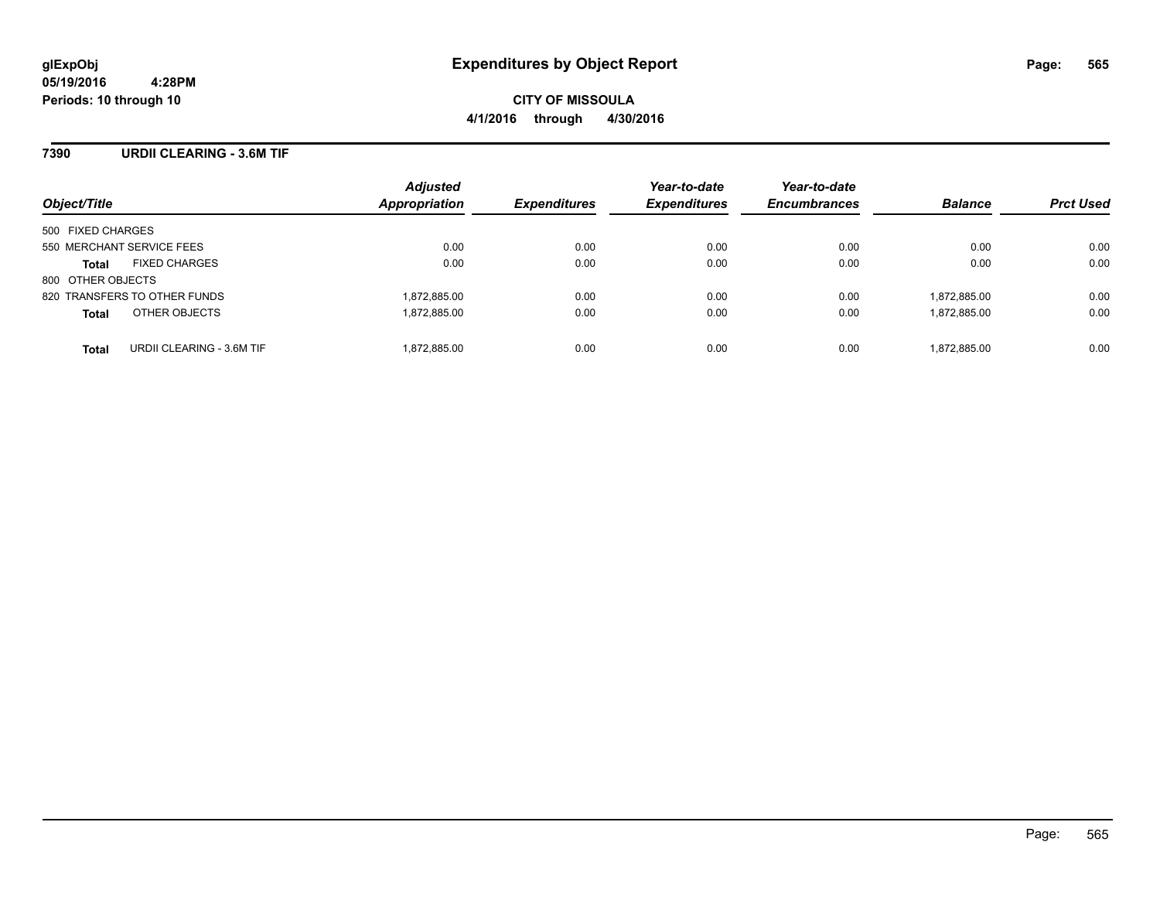### **7390 URDII CLEARING - 3.6M TIF**

| Object/Title                              | <b>Adjusted</b><br>Appropriation | <b>Expenditures</b> | Year-to-date<br><b>Expenditures</b> | Year-to-date<br><b>Encumbrances</b> | <b>Balance</b> | <b>Prct Used</b> |
|-------------------------------------------|----------------------------------|---------------------|-------------------------------------|-------------------------------------|----------------|------------------|
| 500 FIXED CHARGES                         |                                  |                     |                                     |                                     |                |                  |
| 550 MERCHANT SERVICE FEES                 | 0.00                             | 0.00                | 0.00                                | 0.00                                | 0.00           | 0.00             |
| <b>FIXED CHARGES</b><br><b>Total</b>      | 0.00                             | 0.00                | 0.00                                | 0.00                                | 0.00           | 0.00             |
| 800 OTHER OBJECTS                         |                                  |                     |                                     |                                     |                |                  |
| 820 TRANSFERS TO OTHER FUNDS              | 1,872,885.00                     | 0.00                | 0.00                                | 0.00                                | 1,872,885.00   | 0.00             |
| OTHER OBJECTS<br><b>Total</b>             | 1,872,885.00                     | 0.00                | 0.00                                | 0.00                                | 1,872,885.00   | 0.00             |
| URDII CLEARING - 3.6M TIF<br><b>Total</b> | 1,872,885.00                     | 0.00                | 0.00                                | 0.00                                | 1,872,885.00   | 0.00             |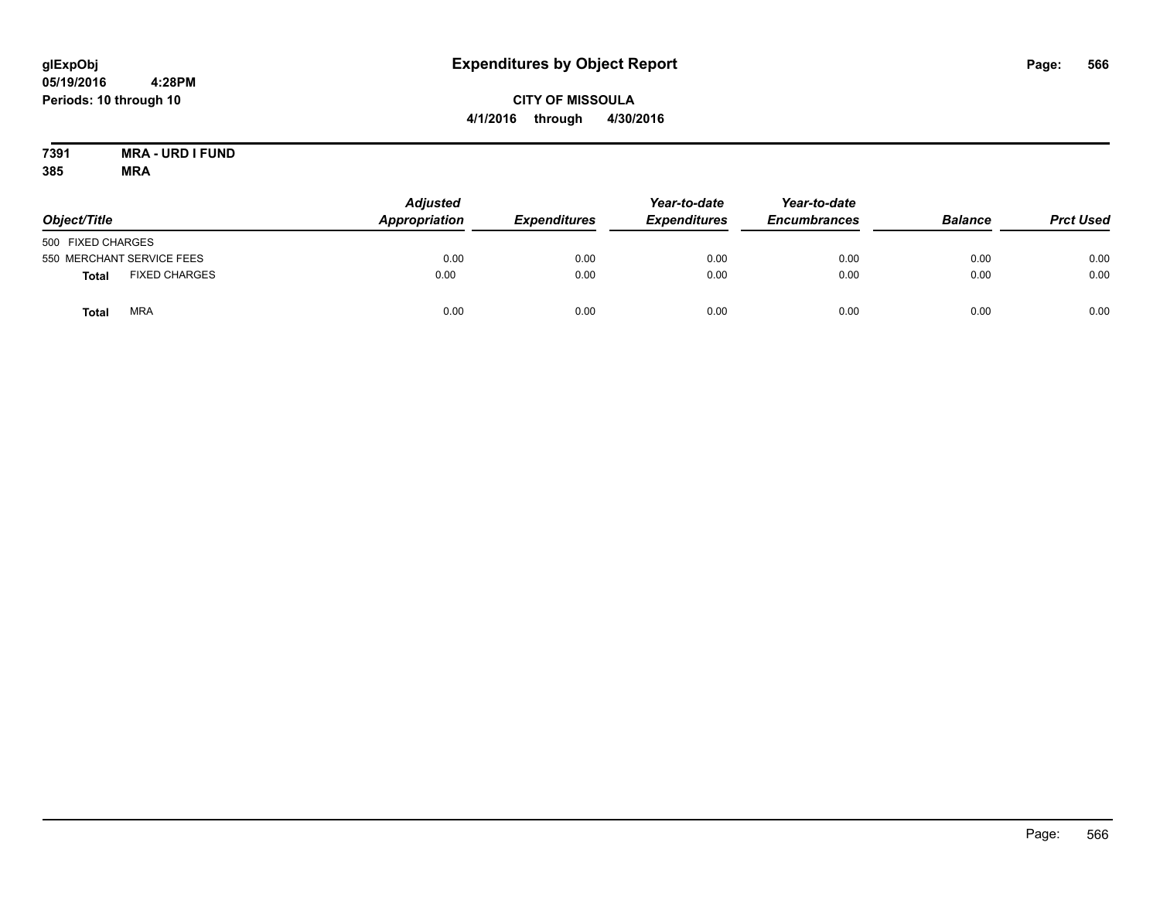# **CITY OF MISSOULA 4/1/2016 through 4/30/2016**

#### **7391 MRA - URD I FUND 385 MRA**

| 385 | MR/ |
|-----|-----|
|     |     |

| Object/Title                         | <b>Adjusted</b><br>Appropriation | <b>Expenditures</b> | Year-to-date<br><b>Expenditures</b> | Year-to-date<br><b>Encumbrances</b> | <b>Balance</b> | <b>Prct Used</b> |
|--------------------------------------|----------------------------------|---------------------|-------------------------------------|-------------------------------------|----------------|------------------|
|                                      |                                  |                     |                                     |                                     |                |                  |
| 500 FIXED CHARGES                    |                                  |                     |                                     |                                     |                |                  |
| 550 MERCHANT SERVICE FEES            | 0.00                             | 0.00                | 0.00                                | 0.00                                | 0.00           | 0.00             |
| <b>FIXED CHARGES</b><br><b>Total</b> | 0.00                             | 0.00                | 0.00                                | 0.00                                | 0.00           | 0.00             |
| <b>MRA</b><br><b>Total</b>           | 0.00                             | 0.00                | 0.00                                | 0.00                                | 0.00           | 0.00             |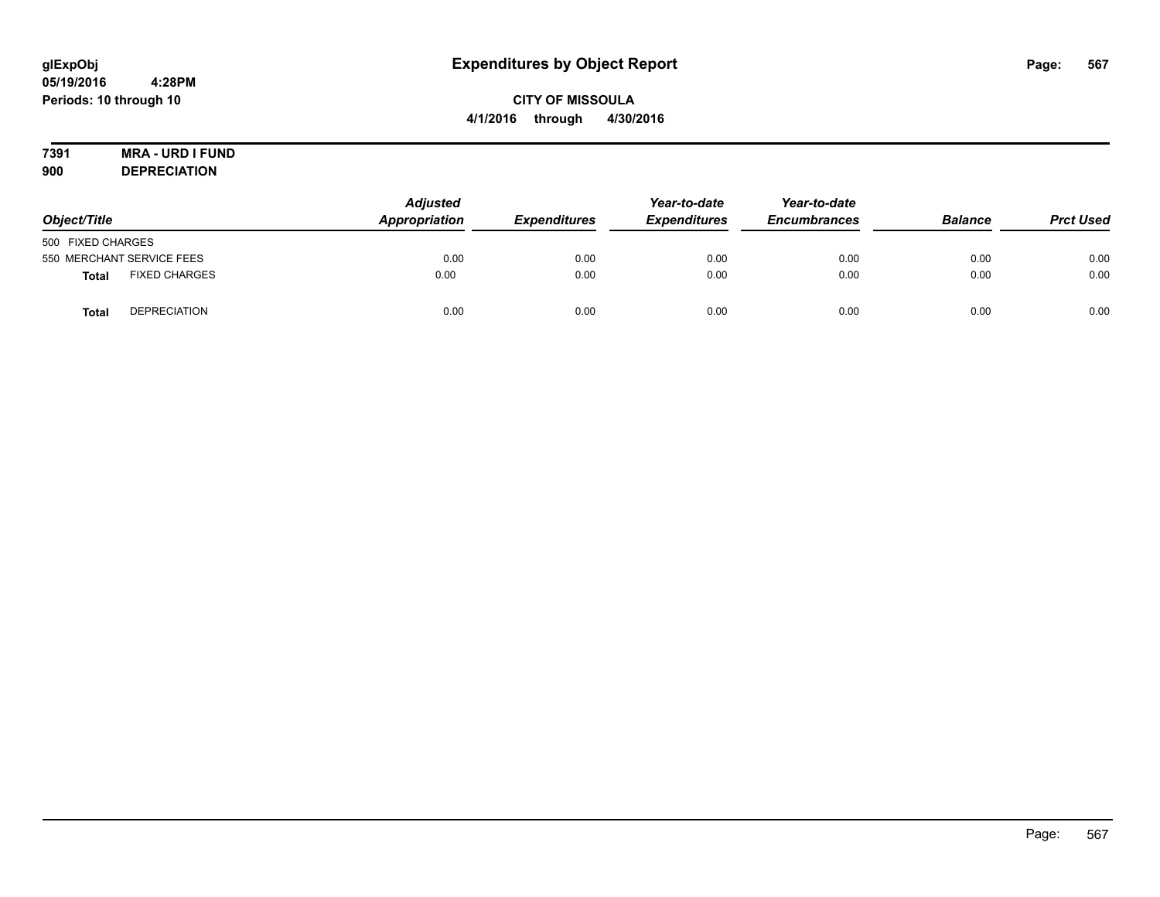# **CITY OF MISSOULA 4/1/2016 through 4/30/2016**

# **7391 MRA - URD I FUND**

**900 DEPRECIATION**

| Object/Title              |                      | <b>Adjusted</b><br>Appropriation | <b>Expenditures</b> | Year-to-date<br><b>Expenditures</b> | Year-to-date<br><b>Encumbrances</b> | <b>Balance</b> | <b>Prct Used</b> |
|---------------------------|----------------------|----------------------------------|---------------------|-------------------------------------|-------------------------------------|----------------|------------------|
| 500 FIXED CHARGES         |                      |                                  |                     |                                     |                                     |                |                  |
| 550 MERCHANT SERVICE FEES |                      | 0.00                             | 0.00                | 0.00                                | 0.00                                | 0.00           | 0.00             |
| <b>Total</b>              | <b>FIXED CHARGES</b> | 0.00                             | 0.00                | 0.00                                | 0.00                                | 0.00           | 0.00             |
| <b>Total</b>              | <b>DEPRECIATION</b>  | 0.00                             | 0.00                | 0.00                                | 0.00                                | 0.00           | 0.00             |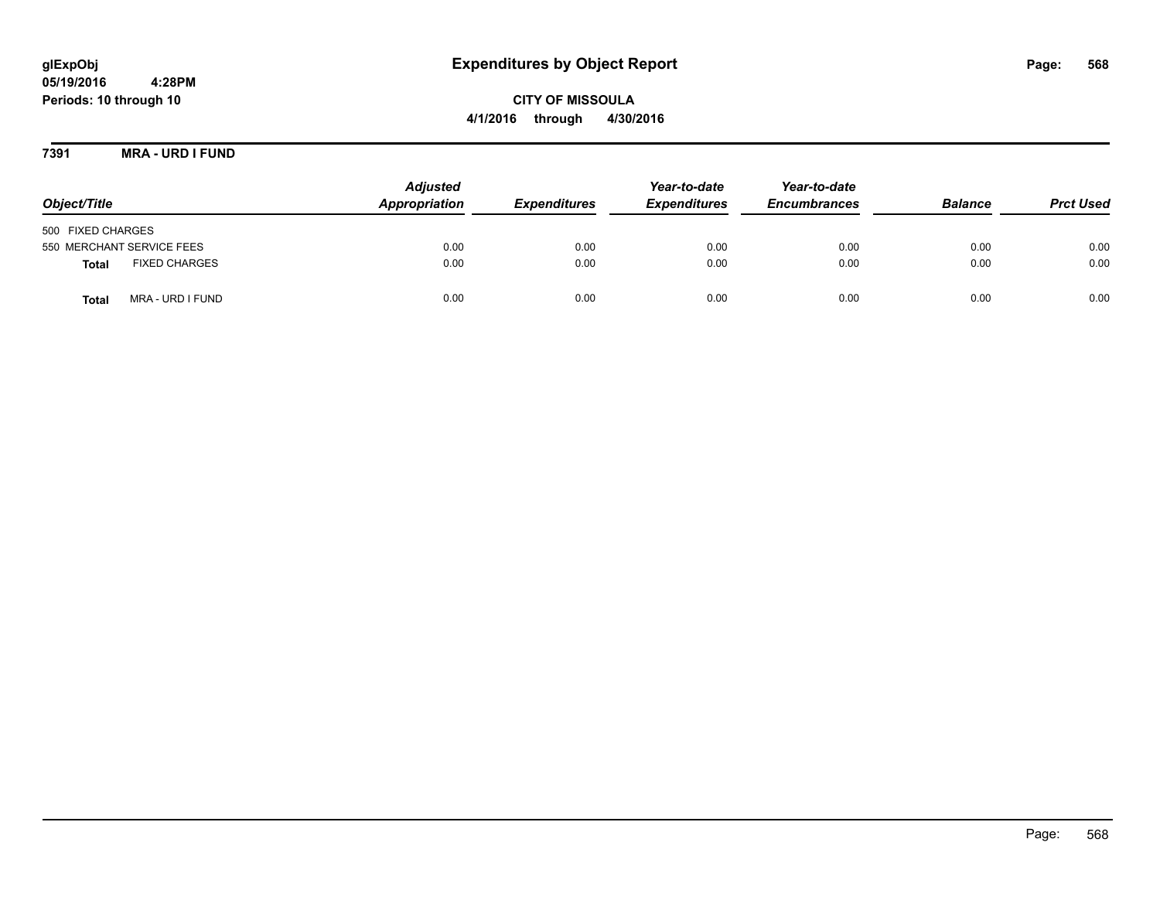# **glExpObj Expenditures by Object Report Page: 568**

**05/19/2016 4:28PM Periods: 10 through 10**

**CITY OF MISSOULA 4/1/2016 through 4/30/2016**

**7391 MRA - URD I FUND**

| Object/Title                         | <b>Adjusted</b><br>Appropriation | <b>Expenditures</b> | Year-to-date<br><b>Expenditures</b> | Year-to-date<br><b>Encumbrances</b> | <b>Balance</b> | <b>Prct Used</b> |
|--------------------------------------|----------------------------------|---------------------|-------------------------------------|-------------------------------------|----------------|------------------|
| 500 FIXED CHARGES                    |                                  |                     |                                     |                                     |                |                  |
| 550 MERCHANT SERVICE FEES            | 0.00                             | 0.00                | 0.00                                | 0.00                                | 0.00           | 0.00             |
| <b>FIXED CHARGES</b><br><b>Total</b> | 0.00                             | 0.00                | 0.00                                | 0.00                                | 0.00           | 0.00             |
| MRA - URD I FUND<br><b>Total</b>     | 0.00                             | 0.00                | 0.00                                | 0.00                                | 0.00           | 0.00             |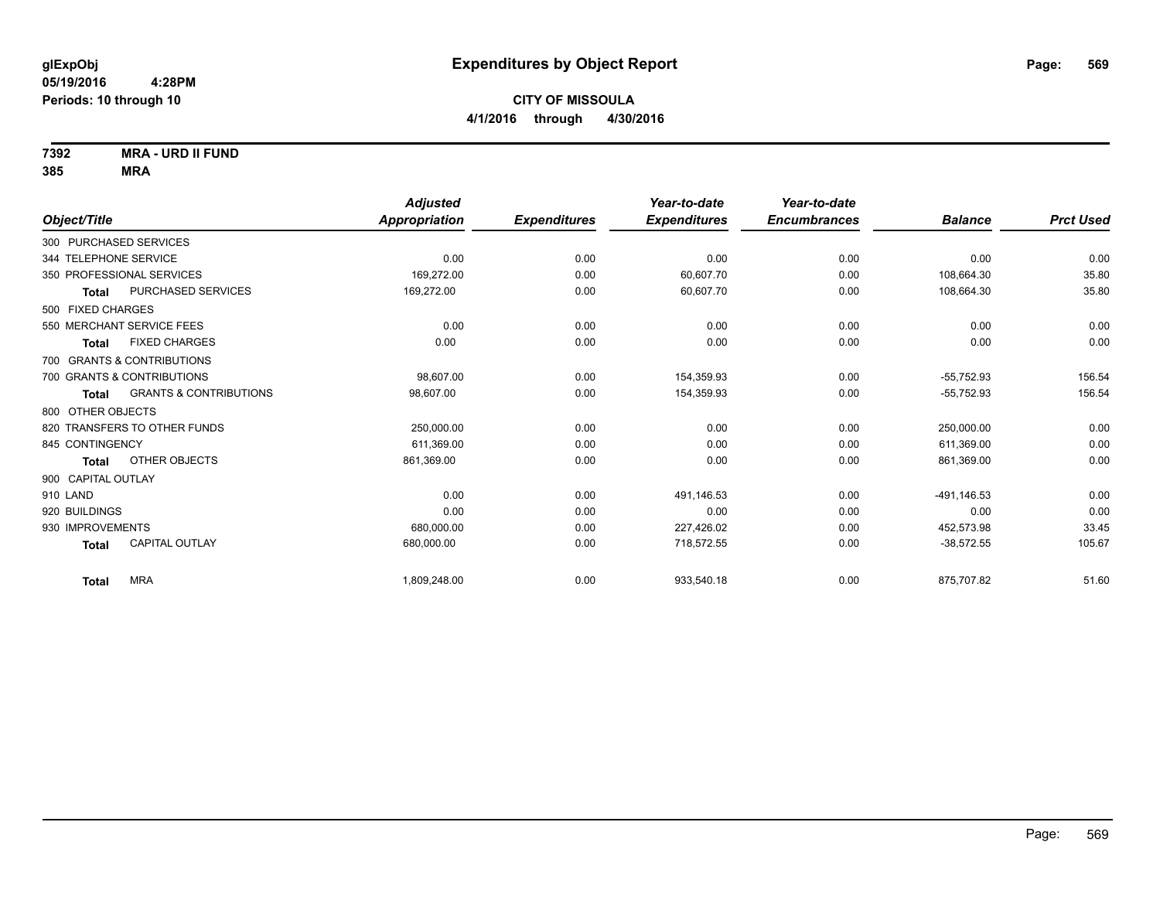**7392 MRA - URD II FUND**

|                                                   | <b>Adjusted</b> |                     | Year-to-date        | Year-to-date        |                |                  |
|---------------------------------------------------|-----------------|---------------------|---------------------|---------------------|----------------|------------------|
| Object/Title                                      | Appropriation   | <b>Expenditures</b> | <b>Expenditures</b> | <b>Encumbrances</b> | <b>Balance</b> | <b>Prct Used</b> |
| 300 PURCHASED SERVICES                            |                 |                     |                     |                     |                |                  |
| 344 TELEPHONE SERVICE                             | 0.00            | 0.00                | 0.00                | 0.00                | 0.00           | 0.00             |
| 350 PROFESSIONAL SERVICES                         | 169,272.00      | 0.00                | 60,607.70           | 0.00                | 108,664.30     | 35.80            |
| PURCHASED SERVICES<br><b>Total</b>                | 169,272.00      | 0.00                | 60,607.70           | 0.00                | 108,664.30     | 35.80            |
| 500 FIXED CHARGES                                 |                 |                     |                     |                     |                |                  |
| 550 MERCHANT SERVICE FEES                         | 0.00            | 0.00                | 0.00                | 0.00                | 0.00           | 0.00             |
| <b>FIXED CHARGES</b><br>Total                     | 0.00            | 0.00                | 0.00                | 0.00                | 0.00           | 0.00             |
| 700 GRANTS & CONTRIBUTIONS                        |                 |                     |                     |                     |                |                  |
| 700 GRANTS & CONTRIBUTIONS                        | 98,607.00       | 0.00                | 154,359.93          | 0.00                | $-55,752.93$   | 156.54           |
| <b>GRANTS &amp; CONTRIBUTIONS</b><br><b>Total</b> | 98,607.00       | 0.00                | 154,359.93          | 0.00                | $-55,752.93$   | 156.54           |
| 800 OTHER OBJECTS                                 |                 |                     |                     |                     |                |                  |
| 820 TRANSFERS TO OTHER FUNDS                      | 250,000.00      | 0.00                | 0.00                | 0.00                | 250.000.00     | 0.00             |
| 845 CONTINGENCY                                   | 611,369.00      | 0.00                | 0.00                | 0.00                | 611,369.00     | 0.00             |
| OTHER OBJECTS<br>Total                            | 861,369.00      | 0.00                | 0.00                | 0.00                | 861,369.00     | 0.00             |
| 900 CAPITAL OUTLAY                                |                 |                     |                     |                     |                |                  |
| 910 LAND                                          | 0.00            | 0.00                | 491.146.53          | 0.00                | $-491, 146.53$ | 0.00             |
| 920 BUILDINGS                                     | 0.00            | 0.00                | 0.00                | 0.00                | 0.00           | 0.00             |
| 930 IMPROVEMENTS                                  | 680,000.00      | 0.00                | 227,426.02          | 0.00                | 452,573.98     | 33.45            |
| <b>CAPITAL OUTLAY</b><br><b>Total</b>             | 680,000.00      | 0.00                | 718.572.55          | 0.00                | $-38,572.55$   | 105.67           |
| <b>MRA</b><br><b>Total</b>                        | 1,809,248.00    | 0.00                | 933,540.18          | 0.00                | 875,707.82     | 51.60            |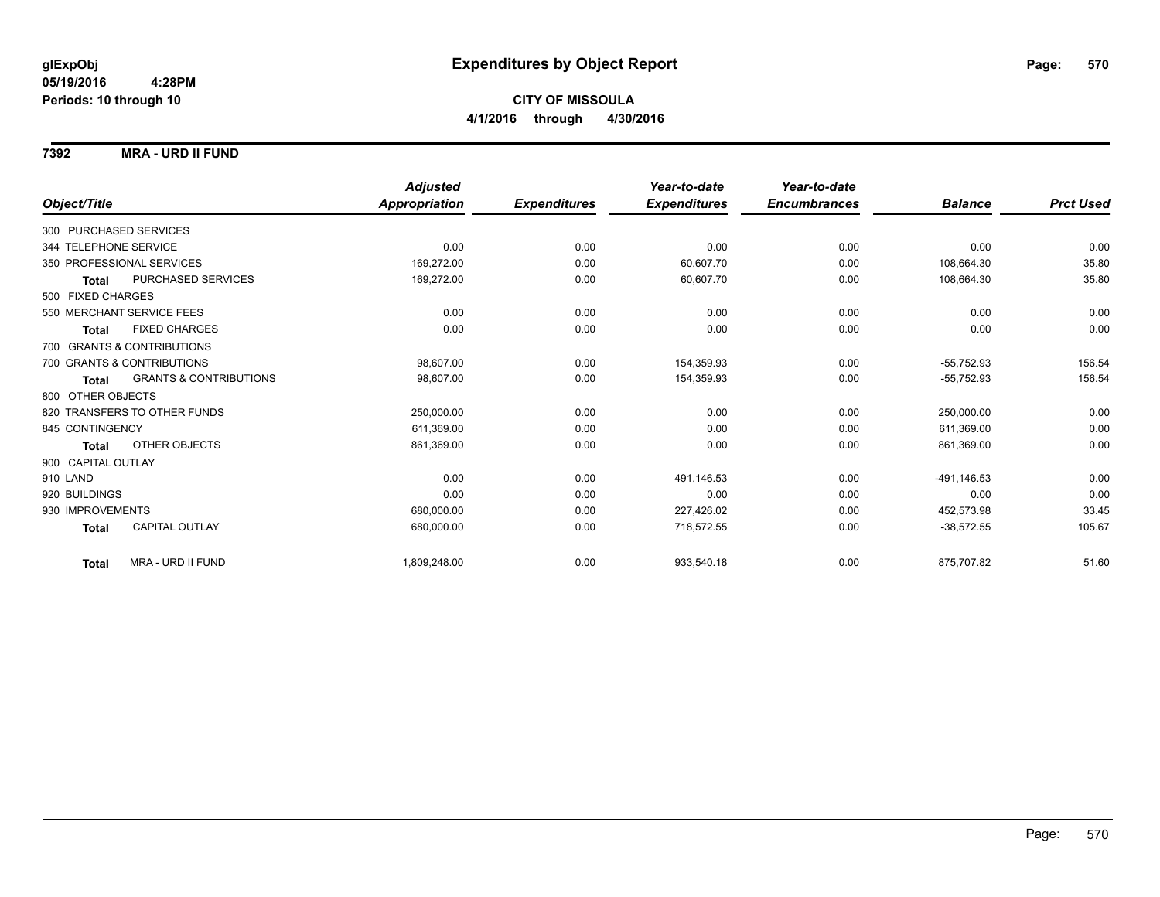### **7392 MRA - URD II FUND**

|                                            | <b>Adjusted</b> |                     | Year-to-date        | Year-to-date        |                |                  |
|--------------------------------------------|-----------------|---------------------|---------------------|---------------------|----------------|------------------|
| Object/Title                               | Appropriation   | <b>Expenditures</b> | <b>Expenditures</b> | <b>Encumbrances</b> | <b>Balance</b> | <b>Prct Used</b> |
| 300 PURCHASED SERVICES                     |                 |                     |                     |                     |                |                  |
| 344 TELEPHONE SERVICE                      | 0.00            | 0.00                | 0.00                | 0.00                | 0.00           | 0.00             |
| 350 PROFESSIONAL SERVICES                  | 169.272.00      | 0.00                | 60.607.70           | 0.00                | 108.664.30     | 35.80            |
| PURCHASED SERVICES<br>Total                | 169,272.00      | 0.00                | 60,607.70           | 0.00                | 108,664.30     | 35.80            |
| 500 FIXED CHARGES                          |                 |                     |                     |                     |                |                  |
| 550 MERCHANT SERVICE FEES                  | 0.00            | 0.00                | 0.00                | 0.00                | 0.00           | 0.00             |
| <b>FIXED CHARGES</b><br><b>Total</b>       | 0.00            | 0.00                | 0.00                | 0.00                | 0.00           | 0.00             |
| 700 GRANTS & CONTRIBUTIONS                 |                 |                     |                     |                     |                |                  |
| 700 GRANTS & CONTRIBUTIONS                 | 98.607.00       | 0.00                | 154,359.93          | 0.00                | $-55.752.93$   | 156.54           |
| <b>GRANTS &amp; CONTRIBUTIONS</b><br>Total | 98,607.00       | 0.00                | 154,359.93          | 0.00                | $-55,752.93$   | 156.54           |
| 800 OTHER OBJECTS                          |                 |                     |                     |                     |                |                  |
| 820 TRANSFERS TO OTHER FUNDS               | 250,000.00      | 0.00                | 0.00                | 0.00                | 250,000.00     | 0.00             |
| 845 CONTINGENCY                            | 611,369.00      | 0.00                | 0.00                | 0.00                | 611,369.00     | 0.00             |
| <b>OTHER OBJECTS</b><br>Total              | 861,369.00      | 0.00                | 0.00                | 0.00                | 861,369.00     | 0.00             |
| 900 CAPITAL OUTLAY                         |                 |                     |                     |                     |                |                  |
| 910 LAND                                   | 0.00            | 0.00                | 491,146.53          | 0.00                | -491,146.53    | 0.00             |
| 920 BUILDINGS                              | 0.00            | 0.00                | 0.00                | 0.00                | 0.00           | 0.00             |
| 930 IMPROVEMENTS                           | 680,000.00      | 0.00                | 227,426.02          | 0.00                | 452,573.98     | 33.45            |
| <b>CAPITAL OUTLAY</b><br><b>Total</b>      | 680,000.00      | 0.00                | 718,572.55          | 0.00                | $-38,572.55$   | 105.67           |
| MRA - URD II FUND<br><b>Total</b>          | 1,809,248.00    | 0.00                | 933,540.18          | 0.00                | 875,707.82     | 51.60            |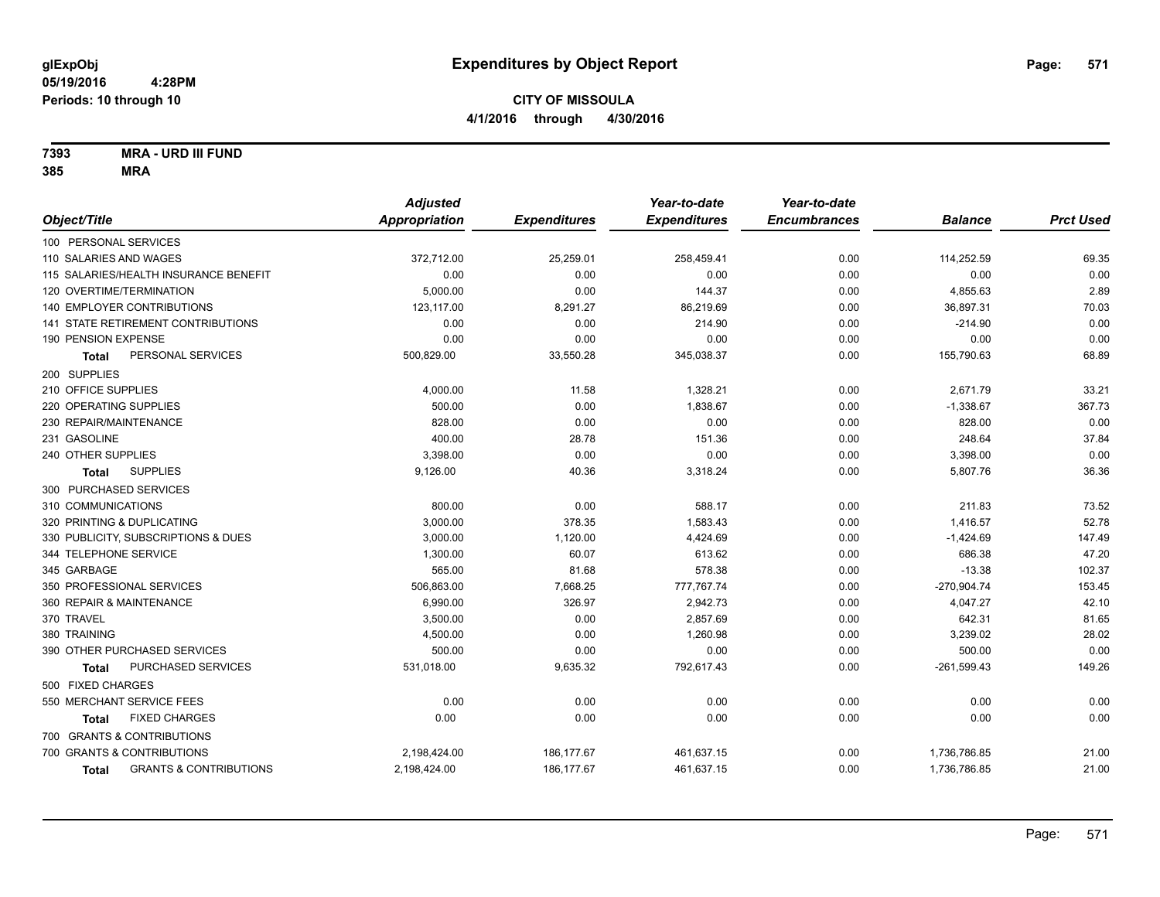### **7393 MRA - URD III FUND**

|                                                   | <b>Adjusted</b> |                     | Year-to-date        | Year-to-date        |                |                  |
|---------------------------------------------------|-----------------|---------------------|---------------------|---------------------|----------------|------------------|
| Object/Title                                      | Appropriation   | <b>Expenditures</b> | <b>Expenditures</b> | <b>Encumbrances</b> | <b>Balance</b> | <b>Prct Used</b> |
| 100 PERSONAL SERVICES                             |                 |                     |                     |                     |                |                  |
| 110 SALARIES AND WAGES                            | 372,712.00      | 25,259.01           | 258,459.41          | 0.00                | 114,252.59     | 69.35            |
| 115 SALARIES/HEALTH INSURANCE BENEFIT             | 0.00            | 0.00                | 0.00                | 0.00                | 0.00           | 0.00             |
| 120 OVERTIME/TERMINATION                          | 5,000.00        | 0.00                | 144.37              | 0.00                | 4,855.63       | 2.89             |
| 140 EMPLOYER CONTRIBUTIONS                        | 123,117.00      | 8,291.27            | 86,219.69           | 0.00                | 36,897.31      | 70.03            |
| 141 STATE RETIREMENT CONTRIBUTIONS                | 0.00            | 0.00                | 214.90              | 0.00                | $-214.90$      | 0.00             |
| 190 PENSION EXPENSE                               | 0.00            | 0.00                | 0.00                | 0.00                | 0.00           | 0.00             |
| PERSONAL SERVICES<br><b>Total</b>                 | 500,829.00      | 33,550.28           | 345,038.37          | 0.00                | 155,790.63     | 68.89            |
| 200 SUPPLIES                                      |                 |                     |                     |                     |                |                  |
| 210 OFFICE SUPPLIES                               | 4,000.00        | 11.58               | 1,328.21            | 0.00                | 2,671.79       | 33.21            |
| 220 OPERATING SUPPLIES                            | 500.00          | 0.00                | 1,838.67            | 0.00                | $-1,338.67$    | 367.73           |
| 230 REPAIR/MAINTENANCE                            | 828.00          | 0.00                | 0.00                | 0.00                | 828.00         | 0.00             |
| 231 GASOLINE                                      | 400.00          | 28.78               | 151.36              | 0.00                | 248.64         | 37.84            |
| 240 OTHER SUPPLIES                                | 3,398.00        | 0.00                | 0.00                | 0.00                | 3,398.00       | 0.00             |
| <b>SUPPLIES</b><br>Total                          | 9,126.00        | 40.36               | 3,318.24            | 0.00                | 5,807.76       | 36.36            |
| 300 PURCHASED SERVICES                            |                 |                     |                     |                     |                |                  |
| 310 COMMUNICATIONS                                | 800.00          | 0.00                | 588.17              | 0.00                | 211.83         | 73.52            |
| 320 PRINTING & DUPLICATING                        | 3,000.00        | 378.35              | 1,583.43            | 0.00                | 1,416.57       | 52.78            |
| 330 PUBLICITY, SUBSCRIPTIONS & DUES               | 3,000.00        | 1,120.00            | 4,424.69            | 0.00                | $-1,424.69$    | 147.49           |
| 344 TELEPHONE SERVICE                             | 1,300.00        | 60.07               | 613.62              | 0.00                | 686.38         | 47.20            |
| 345 GARBAGE                                       | 565.00          | 81.68               | 578.38              | 0.00                | $-13.38$       | 102.37           |
| 350 PROFESSIONAL SERVICES                         | 506,863.00      | 7,668.25            | 777,767.74          | 0.00                | $-270,904.74$  | 153.45           |
| 360 REPAIR & MAINTENANCE                          | 6,990.00        | 326.97              | 2,942.73            | 0.00                | 4,047.27       | 42.10            |
| 370 TRAVEL                                        | 3,500.00        | 0.00                | 2,857.69            | 0.00                | 642.31         | 81.65            |
| 380 TRAINING                                      | 4,500.00        | 0.00                | 1,260.98            | 0.00                | 3,239.02       | 28.02            |
| 390 OTHER PURCHASED SERVICES                      | 500.00          | 0.00                | 0.00                | 0.00                | 500.00         | 0.00             |
| PURCHASED SERVICES<br><b>Total</b>                | 531,018.00      | 9,635.32            | 792,617.43          | 0.00                | $-261,599.43$  | 149.26           |
| 500 FIXED CHARGES                                 |                 |                     |                     |                     |                |                  |
| 550 MERCHANT SERVICE FEES                         | 0.00            | 0.00                | 0.00                | 0.00                | 0.00           | 0.00             |
| <b>FIXED CHARGES</b><br>Total                     | 0.00            | 0.00                | 0.00                | 0.00                | 0.00           | 0.00             |
| 700 GRANTS & CONTRIBUTIONS                        |                 |                     |                     |                     |                |                  |
| 700 GRANTS & CONTRIBUTIONS                        | 2,198,424.00    | 186,177.67          | 461,637.15          | 0.00                | 1,736,786.85   | 21.00            |
| <b>GRANTS &amp; CONTRIBUTIONS</b><br><b>Total</b> | 2,198,424.00    | 186, 177.67         | 461,637.15          | 0.00                | 1,736,786.85   | 21.00            |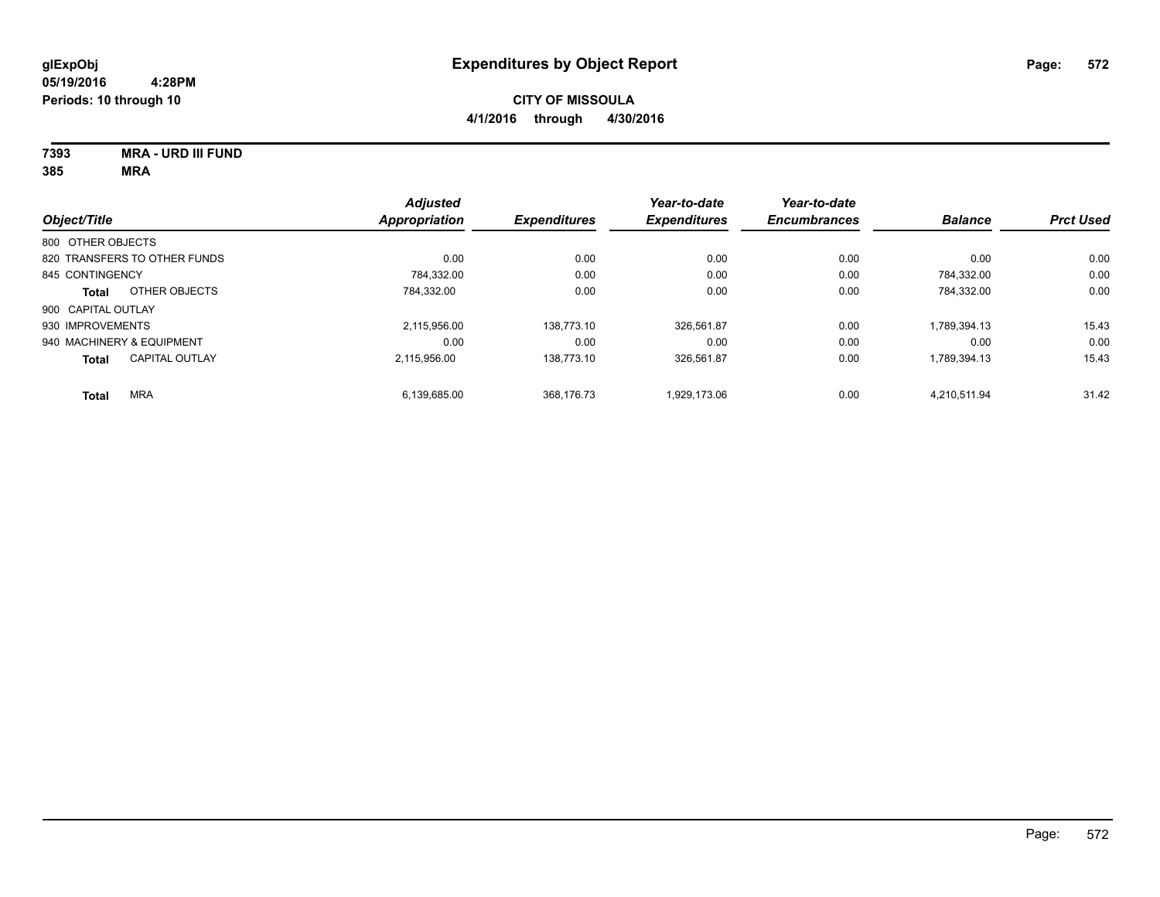**7393 MRA - URD III FUND**

| Object/Title              |                              | <b>Adjusted</b><br><b>Appropriation</b> | <b>Expenditures</b> | Year-to-date<br><b>Expenditures</b> | Year-to-date<br><b>Encumbrances</b> | <b>Balance</b> | <b>Prct Used</b> |
|---------------------------|------------------------------|-----------------------------------------|---------------------|-------------------------------------|-------------------------------------|----------------|------------------|
|                           |                              |                                         |                     |                                     |                                     |                |                  |
| 800 OTHER OBJECTS         |                              |                                         |                     |                                     |                                     |                |                  |
|                           | 820 TRANSFERS TO OTHER FUNDS | 0.00                                    | 0.00                | 0.00                                | 0.00                                | 0.00           | 0.00             |
| 845 CONTINGENCY           |                              | 784.332.00                              | 0.00                | 0.00                                | 0.00                                | 784.332.00     | 0.00             |
| <b>Total</b>              | OTHER OBJECTS                | 784.332.00                              | 0.00                | 0.00                                | 0.00                                | 784.332.00     | 0.00             |
| 900 CAPITAL OUTLAY        |                              |                                         |                     |                                     |                                     |                |                  |
| 930 IMPROVEMENTS          |                              | 2.115.956.00                            | 138.773.10          | 326.561.87                          | 0.00                                | 1.789.394.13   | 15.43            |
| 940 MACHINERY & EQUIPMENT |                              | 0.00                                    | 0.00                | 0.00                                | 0.00                                | 0.00           | 0.00             |
| <b>Total</b>              | <b>CAPITAL OUTLAY</b>        | 2.115.956.00                            | 138.773.10          | 326,561.87                          | 0.00                                | 1,789,394.13   | 15.43            |
| <b>Total</b>              | <b>MRA</b>                   | 6,139,685.00                            | 368.176.73          | 1.929.173.06                        | 0.00                                | 4.210.511.94   | 31.42            |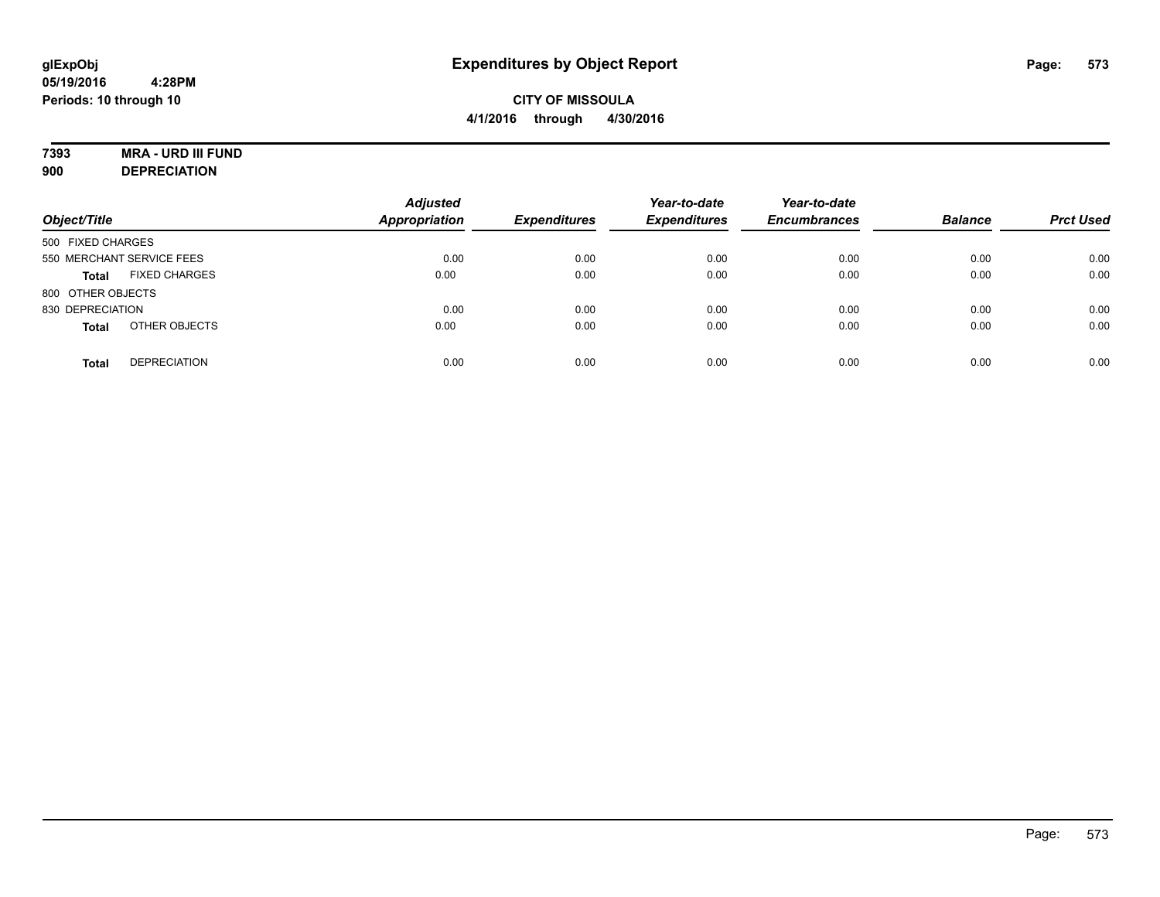# **7393 MRA - URD III FUND**

**900 DEPRECIATION**

| Object/Title                         | <b>Adjusted</b><br><b>Appropriation</b> | <b>Expenditures</b> | Year-to-date<br><b>Expenditures</b> | Year-to-date<br><b>Encumbrances</b> | <b>Balance</b> | <b>Prct Used</b> |
|--------------------------------------|-----------------------------------------|---------------------|-------------------------------------|-------------------------------------|----------------|------------------|
| 500 FIXED CHARGES                    |                                         |                     |                                     |                                     |                |                  |
| 550 MERCHANT SERVICE FEES            | 0.00                                    | 0.00                | 0.00                                | 0.00                                | 0.00           | 0.00             |
| <b>FIXED CHARGES</b><br><b>Total</b> | 0.00                                    | 0.00                | 0.00                                | 0.00                                | 0.00           | 0.00             |
| 800 OTHER OBJECTS                    |                                         |                     |                                     |                                     |                |                  |
| 830 DEPRECIATION                     | 0.00                                    | 0.00                | 0.00                                | 0.00                                | 0.00           | 0.00             |
| OTHER OBJECTS<br><b>Total</b>        | 0.00                                    | 0.00                | 0.00                                | 0.00                                | 0.00           | 0.00             |
| <b>DEPRECIATION</b><br><b>Total</b>  | 0.00                                    | 0.00                | 0.00                                | 0.00                                | 0.00           | 0.00             |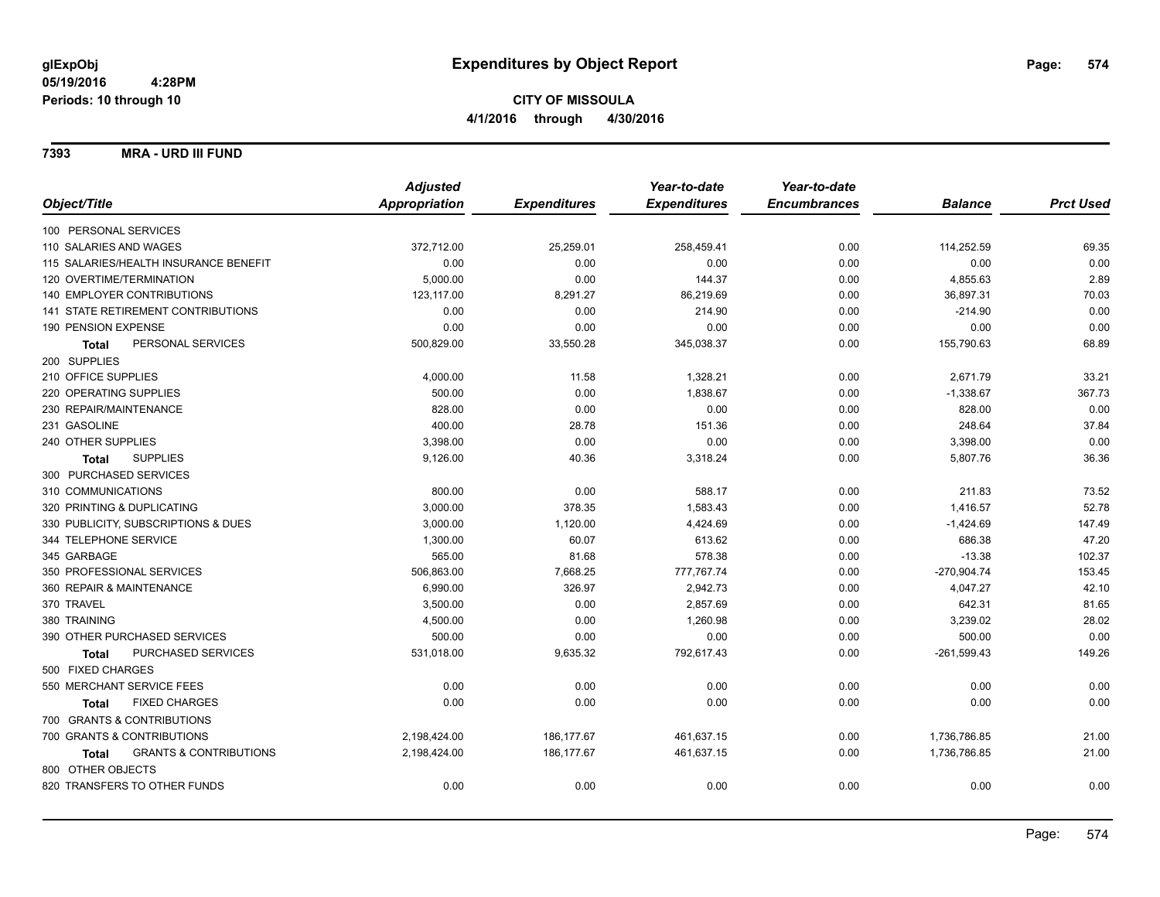### **7393 MRA - URD III FUND**

|                                                   | <b>Adjusted</b> |                     | Year-to-date        | Year-to-date        |                |                  |
|---------------------------------------------------|-----------------|---------------------|---------------------|---------------------|----------------|------------------|
| Object/Title                                      | Appropriation   | <b>Expenditures</b> | <b>Expenditures</b> | <b>Encumbrances</b> | <b>Balance</b> | <b>Prct Used</b> |
| 100 PERSONAL SERVICES                             |                 |                     |                     |                     |                |                  |
| 110 SALARIES AND WAGES                            | 372,712.00      | 25,259.01           | 258,459.41          | 0.00                | 114,252.59     | 69.35            |
| 115 SALARIES/HEALTH INSURANCE BENEFIT             | 0.00            | 0.00                | 0.00                | 0.00                | 0.00           | 0.00             |
| 120 OVERTIME/TERMINATION                          | 5,000.00        | 0.00                | 144.37              | 0.00                | 4,855.63       | 2.89             |
| 140 EMPLOYER CONTRIBUTIONS                        | 123,117.00      | 8,291.27            | 86,219.69           | 0.00                | 36,897.31      | 70.03            |
| <b>141 STATE RETIREMENT CONTRIBUTIONS</b>         | 0.00            | 0.00                | 214.90              | 0.00                | $-214.90$      | 0.00             |
| 190 PENSION EXPENSE                               | 0.00            | 0.00                | 0.00                | 0.00                | 0.00           | 0.00             |
| PERSONAL SERVICES<br><b>Total</b>                 | 500,829.00      | 33,550.28           | 345,038.37          | 0.00                | 155,790.63     | 68.89            |
| 200 SUPPLIES                                      |                 |                     |                     |                     |                |                  |
| 210 OFFICE SUPPLIES                               | 4,000.00        | 11.58               | 1,328.21            | 0.00                | 2,671.79       | 33.21            |
| 220 OPERATING SUPPLIES                            | 500.00          | 0.00                | 1,838.67            | 0.00                | $-1,338.67$    | 367.73           |
| 230 REPAIR/MAINTENANCE                            | 828.00          | 0.00                | 0.00                | 0.00                | 828.00         | 0.00             |
| 231 GASOLINE                                      | 400.00          | 28.78               | 151.36              | 0.00                | 248.64         | 37.84            |
| 240 OTHER SUPPLIES                                | 3,398.00        | 0.00                | 0.00                | 0.00                | 3,398.00       | 0.00             |
| <b>SUPPLIES</b><br>Total                          | 9,126.00        | 40.36               | 3,318.24            | 0.00                | 5,807.76       | 36.36            |
| 300 PURCHASED SERVICES                            |                 |                     |                     |                     |                |                  |
| 310 COMMUNICATIONS                                | 800.00          | 0.00                | 588.17              | 0.00                | 211.83         | 73.52            |
| 320 PRINTING & DUPLICATING                        | 3,000.00        | 378.35              | 1,583.43            | 0.00                | 1,416.57       | 52.78            |
| 330 PUBLICITY, SUBSCRIPTIONS & DUES               | 3,000.00        | 1,120.00            | 4,424.69            | 0.00                | $-1,424.69$    | 147.49           |
| 344 TELEPHONE SERVICE                             | 1,300.00        | 60.07               | 613.62              | 0.00                | 686.38         | 47.20            |
| 345 GARBAGE                                       | 565.00          | 81.68               | 578.38              | 0.00                | $-13.38$       | 102.37           |
| 350 PROFESSIONAL SERVICES                         | 506,863.00      | 7,668.25            | 777,767.74          | 0.00                | $-270,904.74$  | 153.45           |
| 360 REPAIR & MAINTENANCE                          | 6,990.00        | 326.97              | 2,942.73            | 0.00                | 4,047.27       | 42.10            |
| 370 TRAVEL                                        | 3,500.00        | 0.00                | 2,857.69            | 0.00                | 642.31         | 81.65            |
| 380 TRAINING                                      | 4,500.00        | 0.00                | 1,260.98            | 0.00                | 3,239.02       | 28.02            |
| 390 OTHER PURCHASED SERVICES                      | 500.00          | 0.00                | 0.00                | 0.00                | 500.00         | 0.00             |
| PURCHASED SERVICES<br><b>Total</b>                | 531,018.00      | 9,635.32            | 792,617.43          | 0.00                | $-261,599.43$  | 149.26           |
| 500 FIXED CHARGES                                 |                 |                     |                     |                     |                |                  |
| 550 MERCHANT SERVICE FEES                         | 0.00            | 0.00                | 0.00                | 0.00                | 0.00           | 0.00             |
| <b>FIXED CHARGES</b><br><b>Total</b>              | 0.00            | 0.00                | 0.00                | 0.00                | 0.00           | 0.00             |
| 700 GRANTS & CONTRIBUTIONS                        |                 |                     |                     |                     |                |                  |
| 700 GRANTS & CONTRIBUTIONS                        | 2,198,424.00    | 186, 177.67         | 461,637.15          | 0.00                | 1,736,786.85   | 21.00            |
| <b>GRANTS &amp; CONTRIBUTIONS</b><br><b>Total</b> | 2,198,424.00    | 186, 177.67         | 461,637.15          | 0.00                | 1,736,786.85   | 21.00            |
| 800 OTHER OBJECTS                                 |                 |                     |                     |                     |                |                  |
| 820 TRANSFERS TO OTHER FUNDS                      | 0.00            | 0.00                | 0.00                | 0.00                | 0.00           | 0.00             |
|                                                   |                 |                     |                     |                     |                |                  |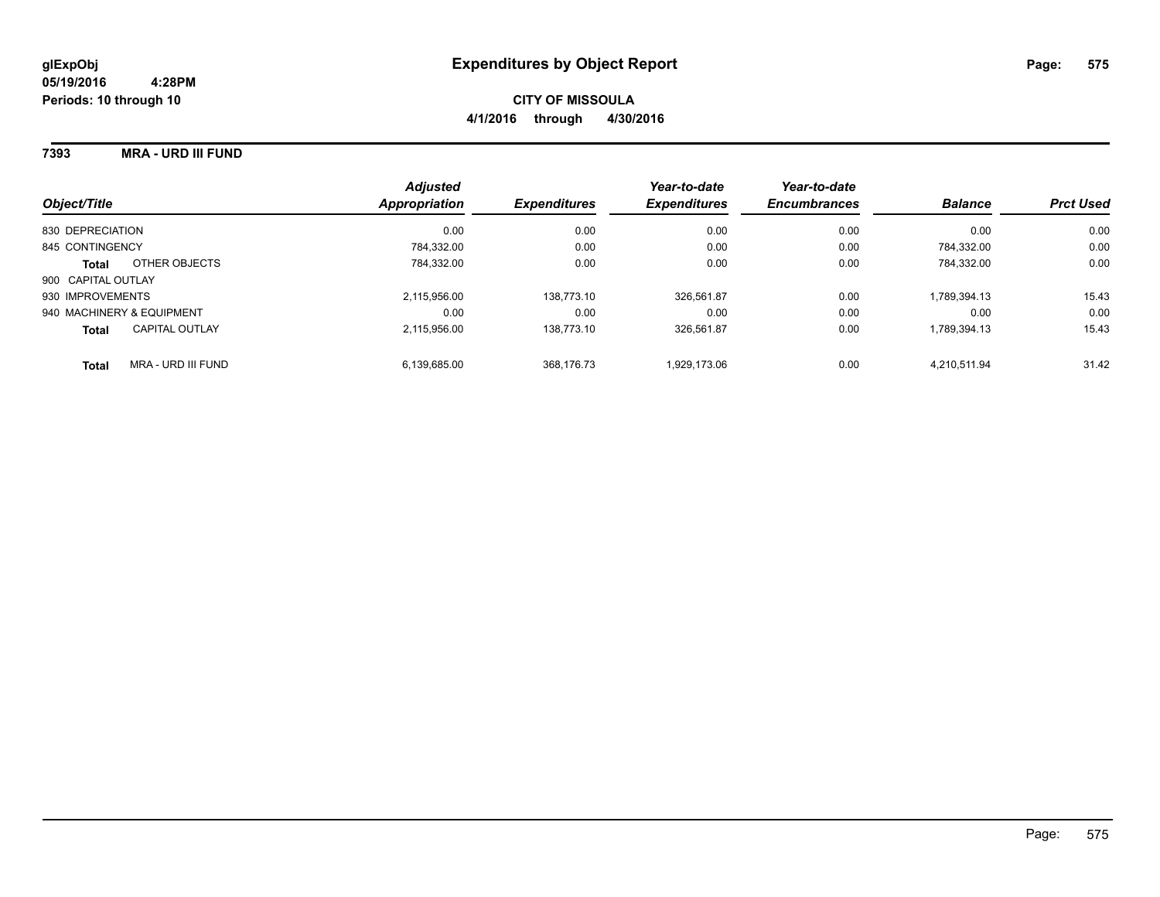### **7393 MRA - URD III FUND**

| Object/Title                       | <b>Adjusted</b><br>Appropriation | <b>Expenditures</b> | Year-to-date<br><b>Expenditures</b> | Year-to-date<br><b>Encumbrances</b> | <b>Balance</b> | <b>Prct Used</b> |
|------------------------------------|----------------------------------|---------------------|-------------------------------------|-------------------------------------|----------------|------------------|
| 830 DEPRECIATION                   | 0.00                             | 0.00                | 0.00                                | 0.00                                | 0.00           | 0.00             |
| 845 CONTINGENCY                    | 784.332.00                       | 0.00                | 0.00                                | 0.00                                | 784.332.00     | 0.00             |
| OTHER OBJECTS<br><b>Total</b>      | 784.332.00                       | 0.00                | 0.00                                | 0.00                                | 784.332.00     | 0.00             |
| 900 CAPITAL OUTLAY                 |                                  |                     |                                     |                                     |                |                  |
| 930 IMPROVEMENTS                   | 2,115,956.00                     | 138,773.10          | 326.561.87                          | 0.00                                | 1.789.394.13   | 15.43            |
| 940 MACHINERY & EQUIPMENT          | 0.00                             | 0.00                | 0.00                                | 0.00                                | 0.00           | 0.00             |
| CAPITAL OUTLAY<br><b>Total</b>     | 2.115.956.00                     | 138.773.10          | 326.561.87                          | 0.00                                | 1.789.394.13   | 15.43            |
| MRA - URD III FUND<br><b>Total</b> | 6.139.685.00                     | 368.176.73          | 1.929.173.06                        | 0.00                                | 4.210.511.94   | 31.42            |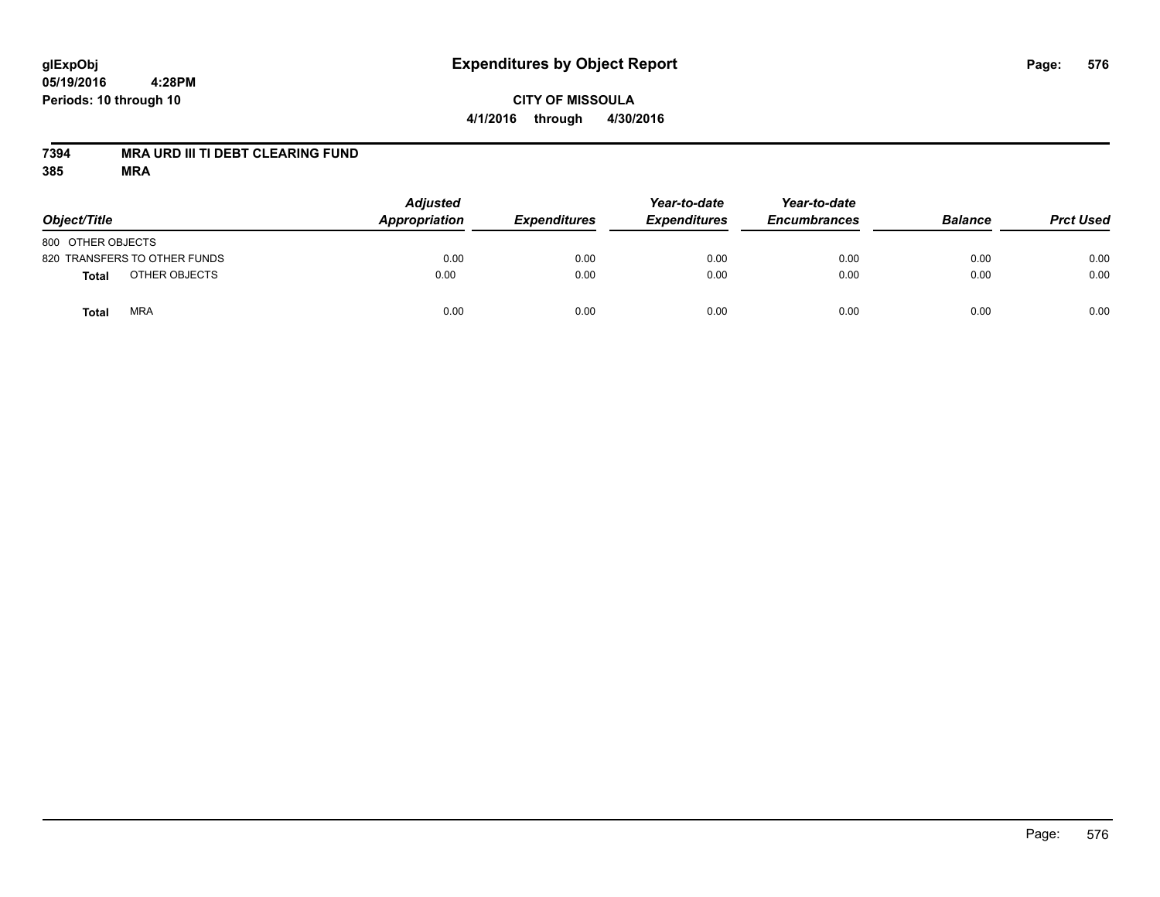### **CITY OF MISSOULA 4/1/2016 through 4/30/2016**

### **7394 MRA URD III TI DEBT CLEARING FUND**

| Object/Title                 | <b>Adjusted</b><br>Appropriation | <b>Expenditures</b> | Year-to-date<br><b>Expenditures</b> | Year-to-date<br><b>Encumbrances</b> | <b>Balance</b> | <b>Prct Used</b> |
|------------------------------|----------------------------------|---------------------|-------------------------------------|-------------------------------------|----------------|------------------|
| 800 OTHER OBJECTS            |                                  |                     |                                     |                                     |                |                  |
| 820 TRANSFERS TO OTHER FUNDS | 0.00                             | 0.00                | 0.00                                | 0.00                                | 0.00           | 0.00             |
| OTHER OBJECTS<br>Total       | 0.00                             | 0.00                | 0.00                                | 0.00                                | 0.00           | 0.00             |
| <b>MRA</b><br>Total          | 0.00                             | 0.00                | 0.00                                | 0.00                                | 0.00           | 0.00             |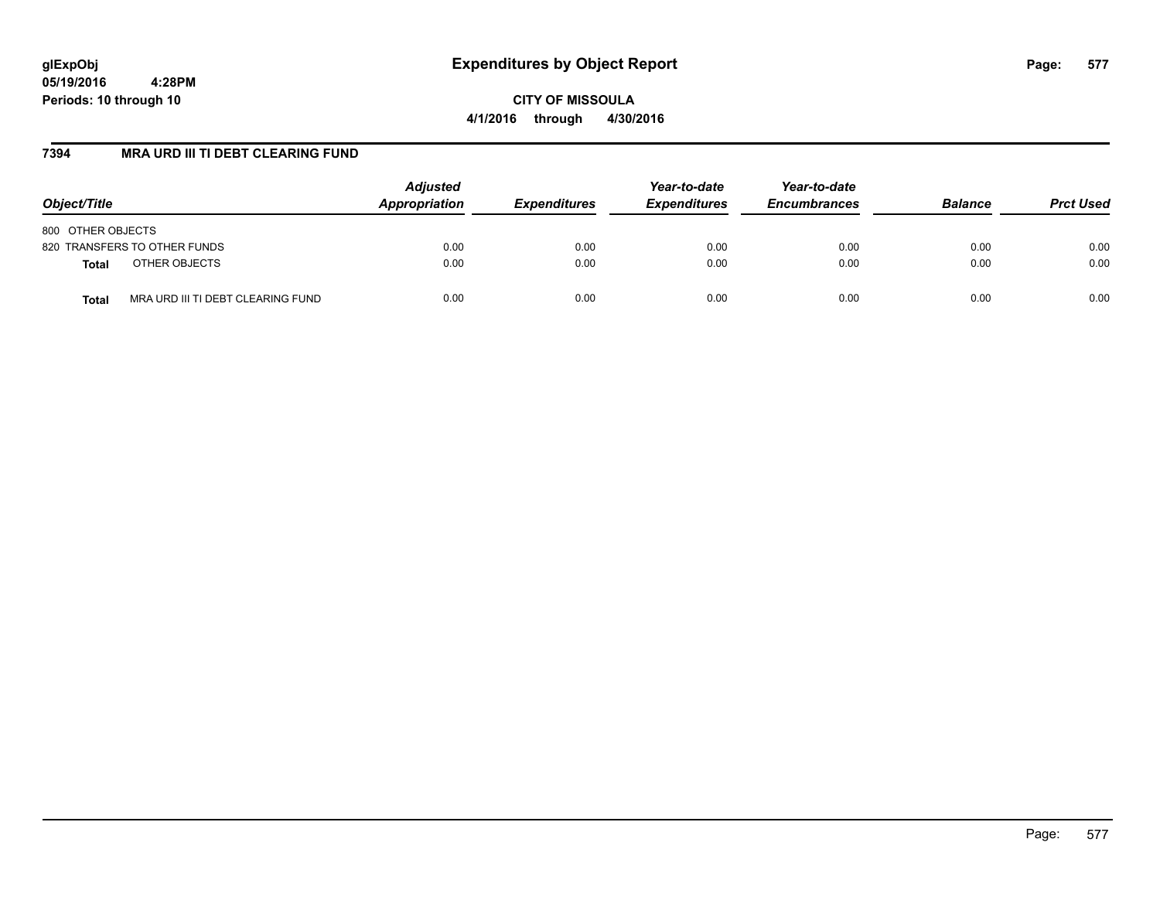**CITY OF MISSOULA 4/1/2016 through 4/30/2016**

## **7394 MRA URD III TI DEBT CLEARING FUND**

| Object/Title                                      | <b>Adjusted</b><br>Appropriation | <i><b>Expenditures</b></i> | Year-to-date<br><b>Expenditures</b> | Year-to-date<br><b>Encumbrances</b> | <b>Balance</b> | <b>Prct Used</b> |
|---------------------------------------------------|----------------------------------|----------------------------|-------------------------------------|-------------------------------------|----------------|------------------|
| 800 OTHER OBJECTS                                 |                                  |                            |                                     |                                     |                |                  |
| 820 TRANSFERS TO OTHER FUNDS                      | 0.00                             | 0.00                       | 0.00                                | 0.00                                | 0.00           | 0.00             |
| OTHER OBJECTS<br><b>Total</b>                     | 0.00                             | 0.00                       | 0.00                                | 0.00                                | 0.00           | 0.00             |
| MRA URD III TI DEBT CLEARING FUND<br><b>Total</b> | 0.00                             | 0.00                       | 0.00                                | 0.00                                | 0.00           | 0.00             |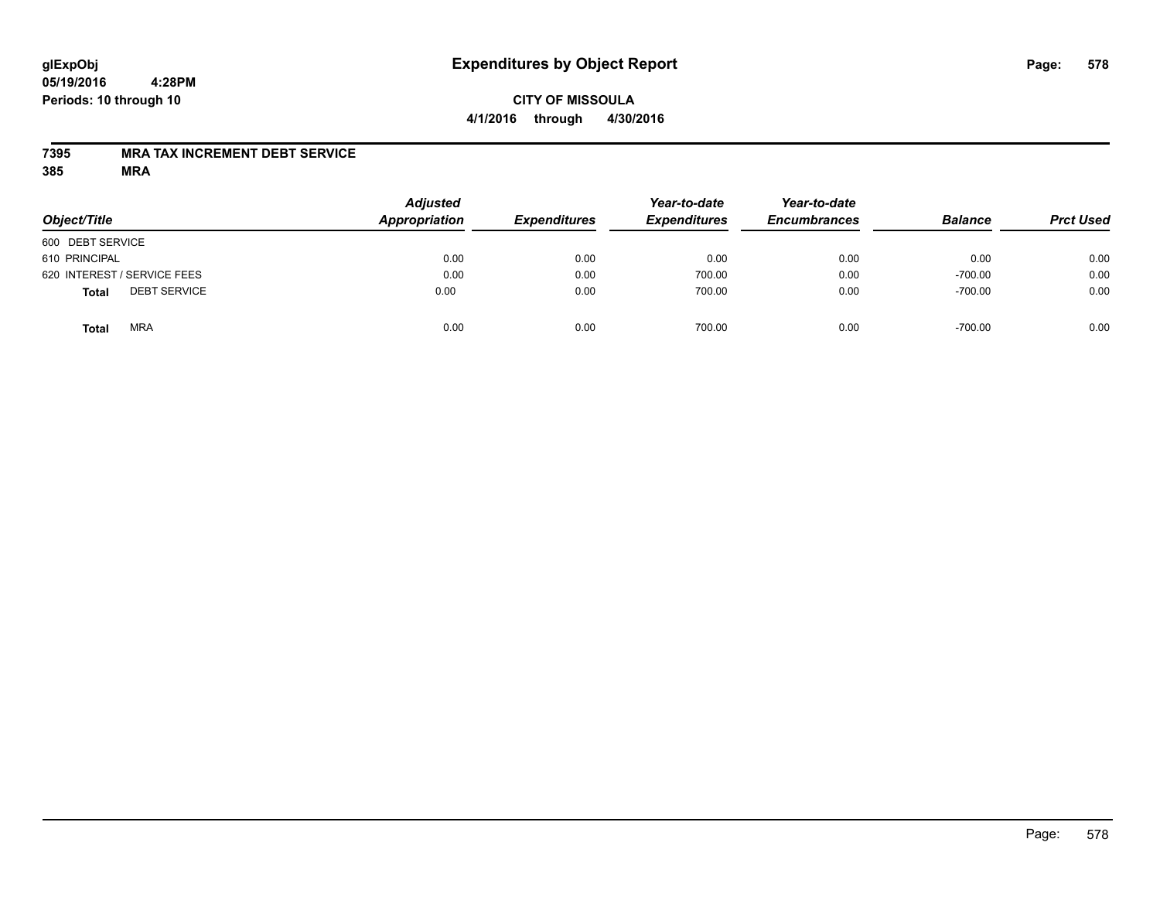## **CITY OF MISSOULA 4/1/2016 through 4/30/2016**

### **7395 MRA TAX INCREMENT DEBT SERVICE**

| Object/Title                        | <b>Adjusted</b><br><b>Appropriation</b> | <b>Expenditures</b> | Year-to-date<br><b>Expenditures</b> | Year-to-date<br><b>Encumbrances</b> | <b>Balance</b> | <b>Prct Used</b> |
|-------------------------------------|-----------------------------------------|---------------------|-------------------------------------|-------------------------------------|----------------|------------------|
| 600 DEBT SERVICE                    |                                         |                     |                                     |                                     |                |                  |
| 610 PRINCIPAL                       | 0.00                                    | 0.00                | 0.00                                | 0.00                                | 0.00           | 0.00             |
| 620 INTEREST / SERVICE FEES         | 0.00                                    | 0.00                | 700.00                              | 0.00                                | $-700.00$      | 0.00             |
| <b>DEBT SERVICE</b><br><b>Total</b> | 0.00                                    | 0.00                | 700.00                              | 0.00                                | $-700.00$      | 0.00             |
| <b>MRA</b><br><b>Total</b>          | 0.00                                    | 0.00                | 700.00                              | 0.00                                | $-700.00$      | 0.00             |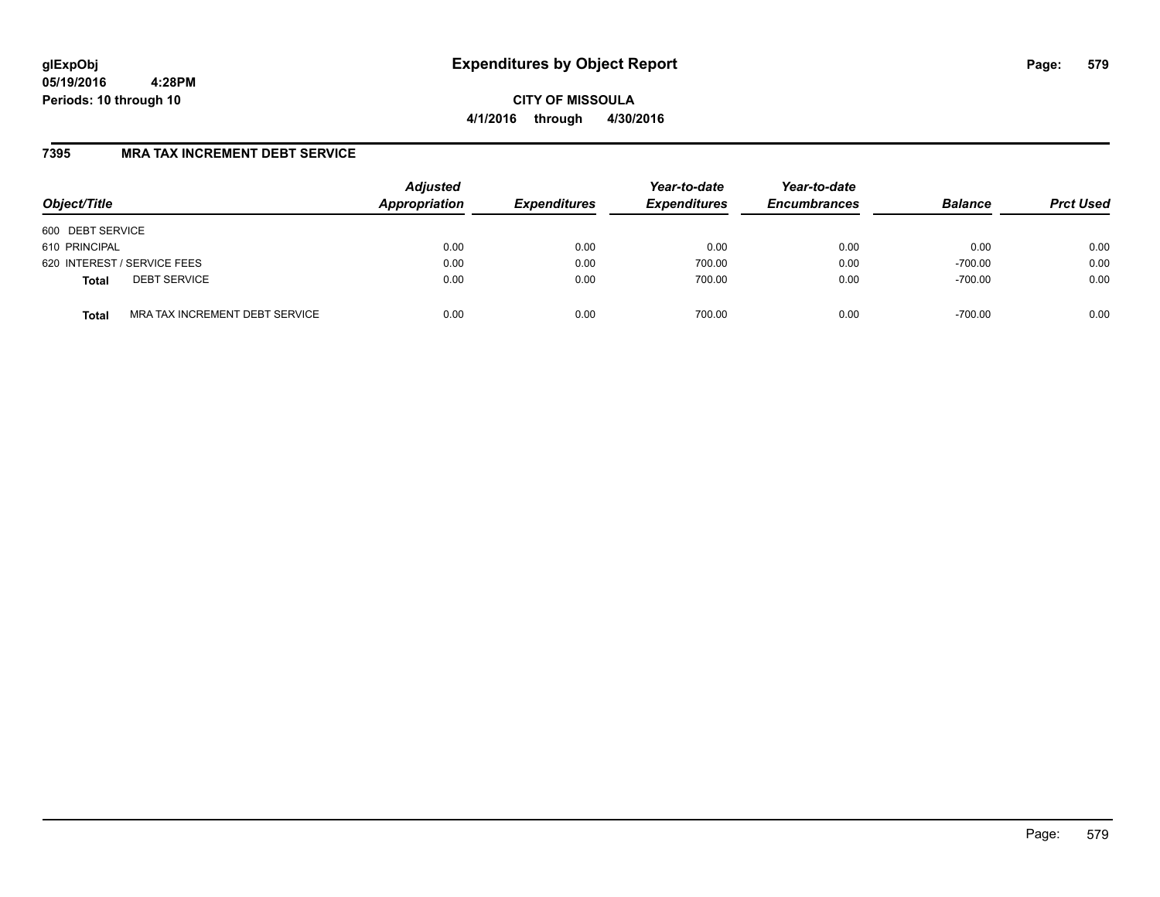**CITY OF MISSOULA 4/1/2016 through 4/30/2016**

## **7395 MRA TAX INCREMENT DEBT SERVICE**

| Object/Title     |                                | <b>Adjusted</b><br>Appropriation | <b>Expenditures</b> | Year-to-date<br><b>Expenditures</b> | Year-to-date<br><b>Encumbrances</b> | <b>Balance</b> | <b>Prct Used</b> |
|------------------|--------------------------------|----------------------------------|---------------------|-------------------------------------|-------------------------------------|----------------|------------------|
| 600 DEBT SERVICE |                                |                                  |                     |                                     |                                     |                |                  |
| 610 PRINCIPAL    |                                | 0.00                             | 0.00                | 0.00                                | 0.00                                | 0.00           | 0.00             |
|                  | 620 INTEREST / SERVICE FEES    | 0.00                             | 0.00                | 700.00                              | 0.00                                | $-700.00$      | 0.00             |
| <b>Total</b>     | <b>DEBT SERVICE</b>            | 0.00                             | 0.00                | 700.00                              | 0.00                                | $-700.00$      | 0.00             |
| <b>Total</b>     | MRA TAX INCREMENT DEBT SERVICE | 0.00                             | 0.00                | 700.00                              | 0.00                                | $-700.00$      | 0.00             |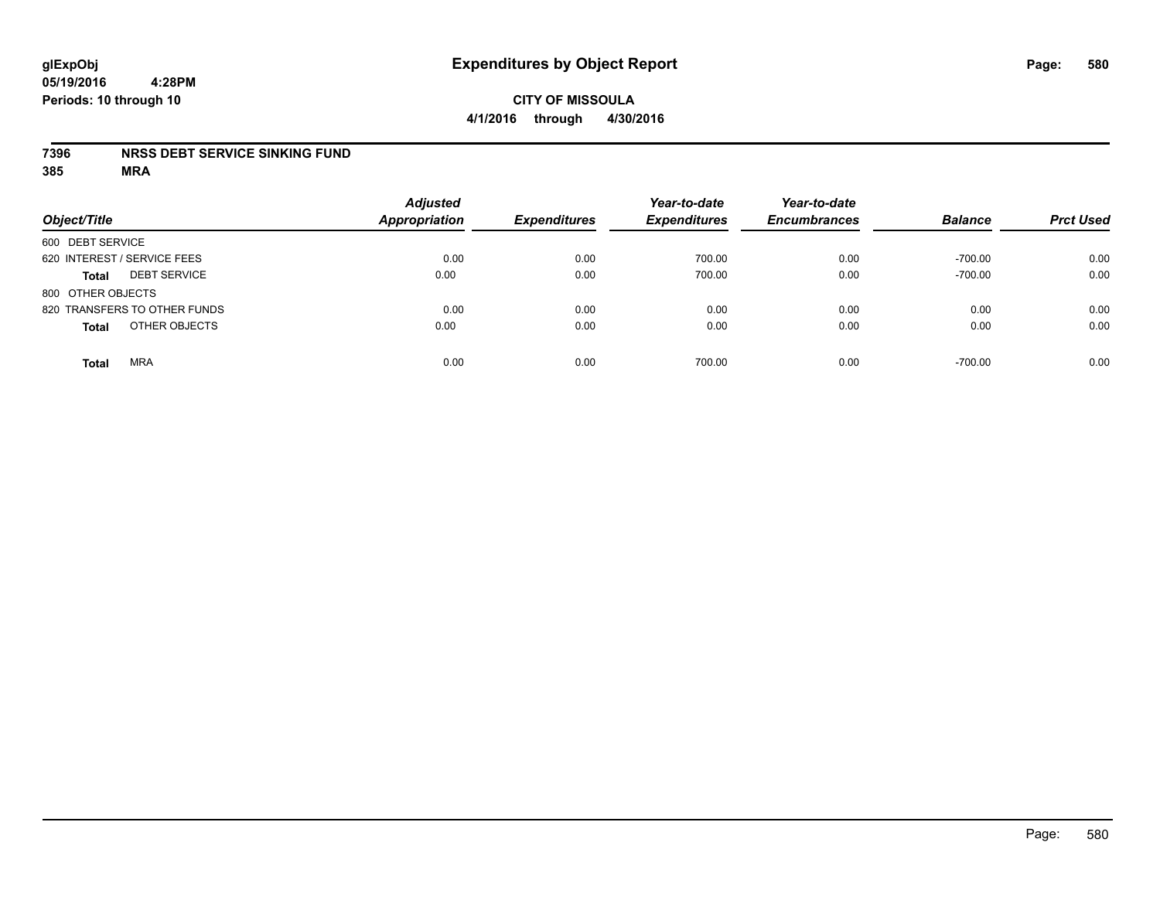### **7396 NRSS DEBT SERVICE SINKING FUND**

| Object/Title                        | <b>Adjusted</b><br><b>Appropriation</b> | <b>Expenditures</b> | Year-to-date<br><b>Expenditures</b> | Year-to-date<br><b>Encumbrances</b> | <b>Balance</b> | <b>Prct Used</b> |
|-------------------------------------|-----------------------------------------|---------------------|-------------------------------------|-------------------------------------|----------------|------------------|
| 600 DEBT SERVICE                    |                                         |                     |                                     |                                     |                |                  |
| 620 INTEREST / SERVICE FEES         | 0.00                                    | 0.00                | 700.00                              | 0.00                                | $-700.00$      | 0.00             |
| <b>DEBT SERVICE</b><br><b>Total</b> | 0.00                                    | 0.00                | 700.00                              | 0.00                                | $-700.00$      | 0.00             |
| 800 OTHER OBJECTS                   |                                         |                     |                                     |                                     |                |                  |
| 820 TRANSFERS TO OTHER FUNDS        | 0.00                                    | 0.00                | 0.00                                | 0.00                                | 0.00           | 0.00             |
| OTHER OBJECTS<br><b>Total</b>       | 0.00                                    | 0.00                | 0.00                                | 0.00                                | 0.00           | 0.00             |
| <b>MRA</b><br><b>Total</b>          | 0.00                                    | 0.00                | 700.00                              | 0.00                                | $-700.00$      | 0.00             |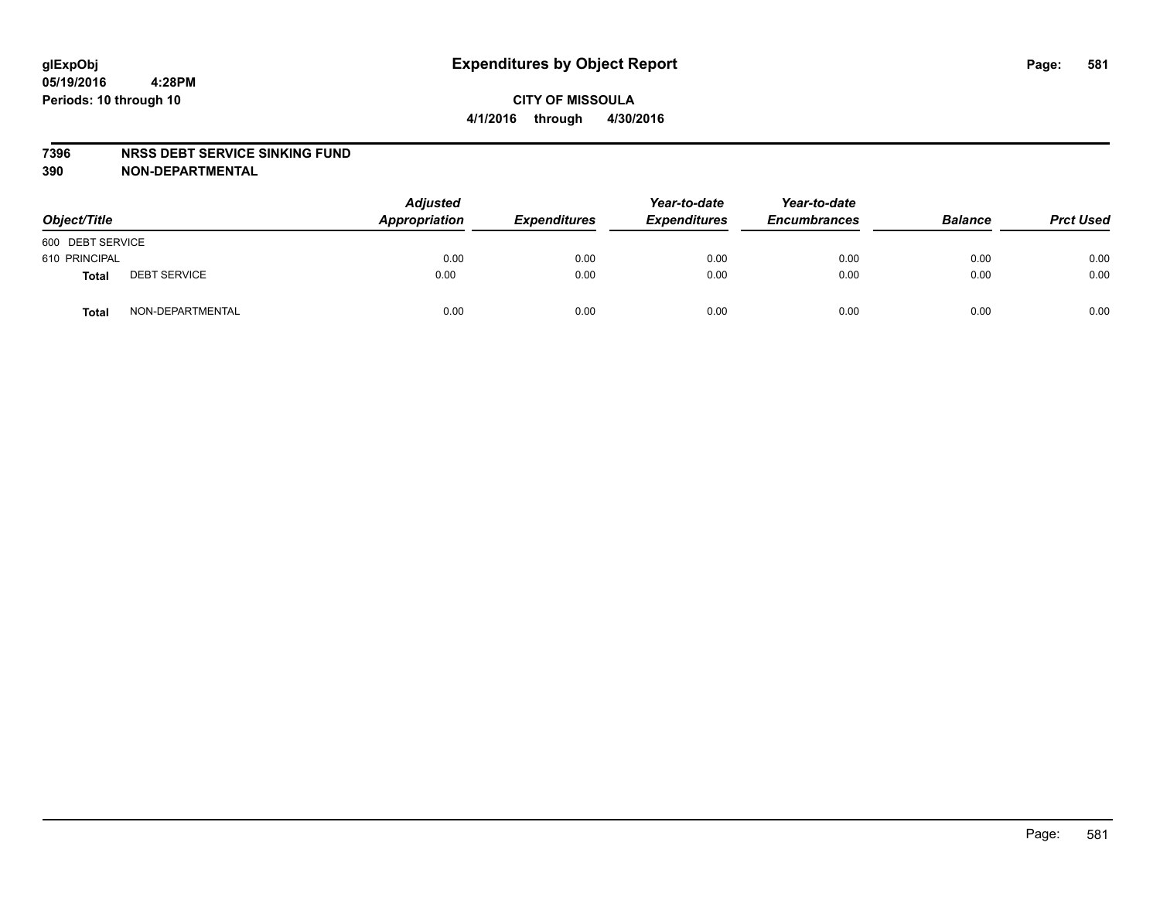#### **7396 NRSS DEBT SERVICE SINKING FUND**

**390 NON-DEPARTMENTAL**

| Object/Title     |                     | <b>Adjusted</b><br>Appropriation | <b>Expenditures</b> | Year-to-date<br><b>Expenditures</b> | Year-to-date<br><b>Encumbrances</b> | <b>Balance</b> | <b>Prct Used</b> |
|------------------|---------------------|----------------------------------|---------------------|-------------------------------------|-------------------------------------|----------------|------------------|
| 600 DEBT SERVICE |                     |                                  |                     |                                     |                                     |                |                  |
| 610 PRINCIPAL    |                     | 0.00                             | 0.00                | 0.00                                | 0.00                                | 0.00           | 0.00             |
| Total            | <b>DEBT SERVICE</b> | 0.00                             | 0.00                | 0.00                                | 0.00                                | 0.00           | 0.00             |
| Tota             | NON-DEPARTMENTAL    | 0.00                             | 0.00                | 0.00                                | 0.00                                | 0.00           | 0.00             |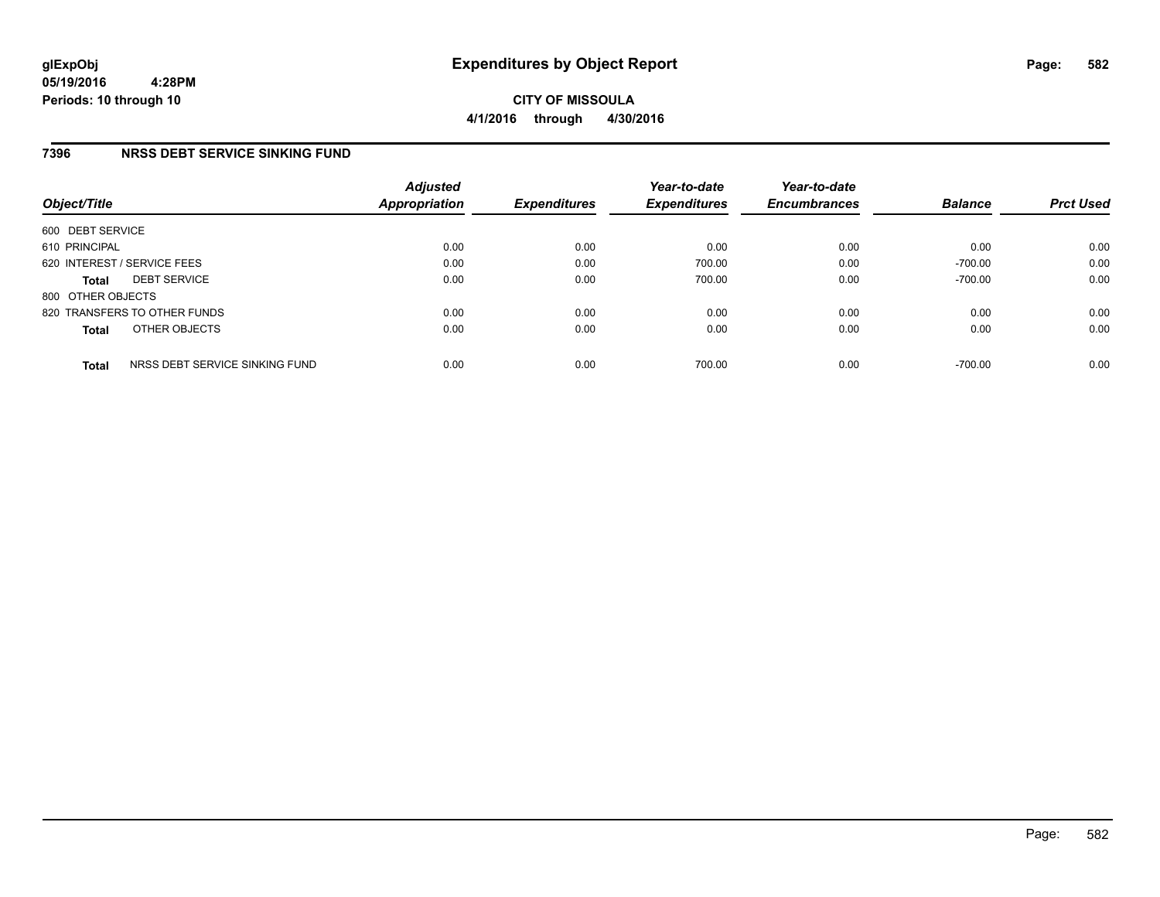## **7396 NRSS DEBT SERVICE SINKING FUND**

| Object/Title      |                                | <b>Adjusted</b><br>Appropriation | <b>Expenditures</b> | Year-to-date<br><b>Expenditures</b> | Year-to-date<br><b>Encumbrances</b> | <b>Balance</b> | <b>Prct Used</b> |
|-------------------|--------------------------------|----------------------------------|---------------------|-------------------------------------|-------------------------------------|----------------|------------------|
| 600 DEBT SERVICE  |                                |                                  |                     |                                     |                                     |                |                  |
| 610 PRINCIPAL     |                                | 0.00                             | 0.00                | 0.00                                | 0.00                                | 0.00           | 0.00             |
|                   | 620 INTEREST / SERVICE FEES    | 0.00                             | 0.00                | 700.00                              | 0.00                                | $-700.00$      | 0.00             |
| <b>Total</b>      | <b>DEBT SERVICE</b>            | 0.00                             | 0.00                | 700.00                              | 0.00                                | $-700.00$      | 0.00             |
| 800 OTHER OBJECTS |                                |                                  |                     |                                     |                                     |                |                  |
|                   | 820 TRANSFERS TO OTHER FUNDS   | 0.00                             | 0.00                | 0.00                                | 0.00                                | 0.00           | 0.00             |
| <b>Total</b>      | OTHER OBJECTS                  | 0.00                             | 0.00                | 0.00                                | 0.00                                | 0.00           | 0.00             |
| <b>Total</b>      | NRSS DEBT SERVICE SINKING FUND | 0.00                             | 0.00                | 700.00                              | 0.00                                | $-700.00$      | 0.00             |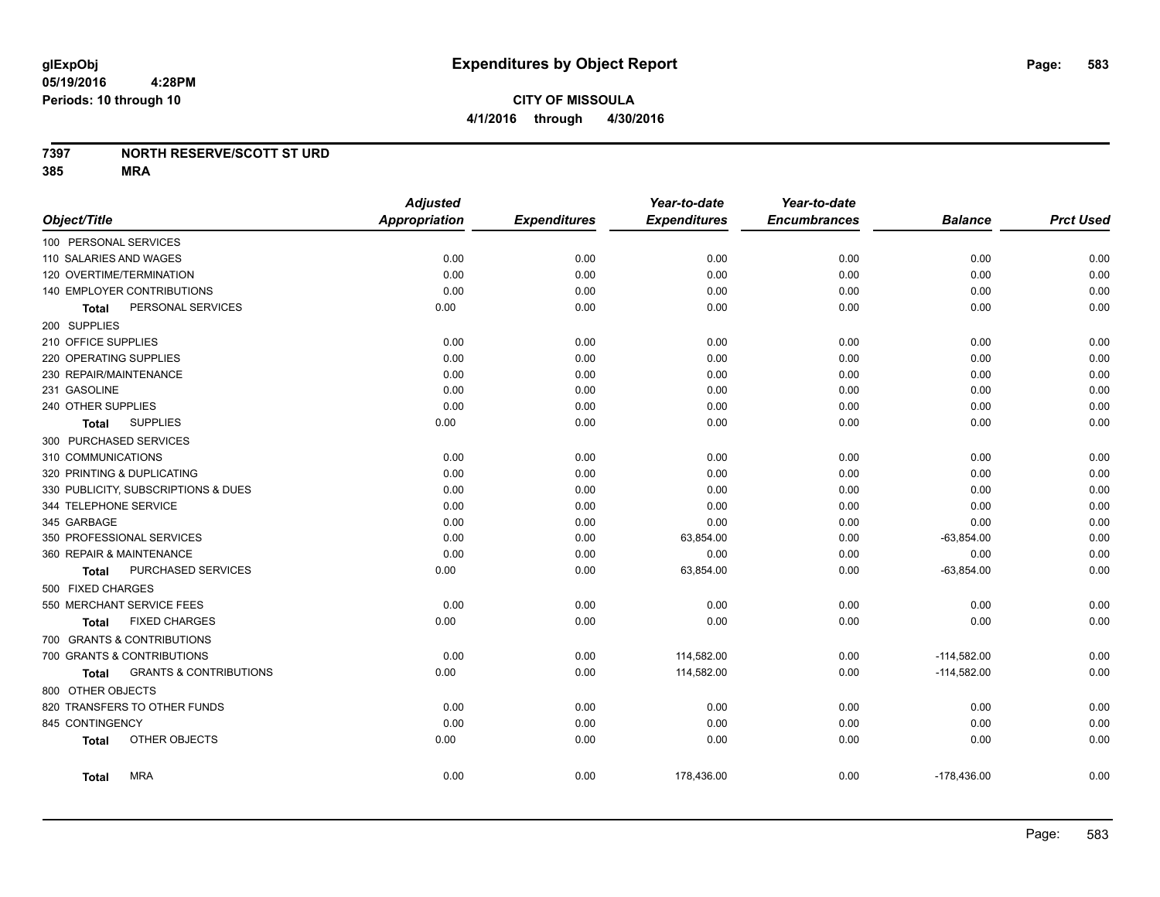### **7397 NORTH RESERVE/SCOTT ST URD**

|              |                                            | <b>Adjusted</b> |                     | Year-to-date        | Year-to-date        |                |                  |
|--------------|--------------------------------------------|-----------------|---------------------|---------------------|---------------------|----------------|------------------|
| Object/Title |                                            | Appropriation   | <b>Expenditures</b> | <b>Expenditures</b> | <b>Encumbrances</b> | <b>Balance</b> | <b>Prct Used</b> |
|              | 100 PERSONAL SERVICES                      |                 |                     |                     |                     |                |                  |
|              | 110 SALARIES AND WAGES                     | 0.00            | 0.00                | 0.00                | 0.00                | 0.00           | 0.00             |
|              | 120 OVERTIME/TERMINATION                   | 0.00            | 0.00                | 0.00                | 0.00                | 0.00           | 0.00             |
|              | 140 EMPLOYER CONTRIBUTIONS                 | 0.00            | 0.00                | 0.00                | 0.00                | 0.00           | 0.00             |
|              | PERSONAL SERVICES<br>Total                 | 0.00            | 0.00                | 0.00                | 0.00                | 0.00           | 0.00             |
| 200 SUPPLIES |                                            |                 |                     |                     |                     |                |                  |
|              | 210 OFFICE SUPPLIES                        | 0.00            | 0.00                | 0.00                | 0.00                | 0.00           | 0.00             |
|              | 220 OPERATING SUPPLIES                     | 0.00            | 0.00                | 0.00                | 0.00                | 0.00           | 0.00             |
|              | 230 REPAIR/MAINTENANCE                     | 0.00            | 0.00                | 0.00                | 0.00                | 0.00           | 0.00             |
| 231 GASOLINE |                                            | 0.00            | 0.00                | 0.00                | 0.00                | 0.00           | 0.00             |
|              | 240 OTHER SUPPLIES                         | 0.00            | 0.00                | 0.00                | 0.00                | 0.00           | 0.00             |
|              | <b>SUPPLIES</b><br><b>Total</b>            | 0.00            | 0.00                | 0.00                | 0.00                | 0.00           | 0.00             |
|              | 300 PURCHASED SERVICES                     |                 |                     |                     |                     |                |                  |
|              | 310 COMMUNICATIONS                         | 0.00            | 0.00                | 0.00                | 0.00                | 0.00           | 0.00             |
|              | 320 PRINTING & DUPLICATING                 | 0.00            | 0.00                | 0.00                | 0.00                | 0.00           | 0.00             |
|              | 330 PUBLICITY, SUBSCRIPTIONS & DUES        | 0.00            | 0.00                | 0.00                | 0.00                | 0.00           | 0.00             |
|              | 344 TELEPHONE SERVICE                      | 0.00            | 0.00                | 0.00                | 0.00                | 0.00           | 0.00             |
| 345 GARBAGE  |                                            | 0.00            | 0.00                | 0.00                | 0.00                | 0.00           | 0.00             |
|              | 350 PROFESSIONAL SERVICES                  | 0.00            | 0.00                | 63,854.00           | 0.00                | $-63,854.00$   | 0.00             |
|              | 360 REPAIR & MAINTENANCE                   | 0.00            | 0.00                | 0.00                | 0.00                | 0.00           | 0.00             |
|              | PURCHASED SERVICES<br><b>Total</b>         | 0.00            | 0.00                | 63,854.00           | 0.00                | $-63,854.00$   | 0.00             |
|              | 500 FIXED CHARGES                          |                 |                     |                     |                     |                |                  |
|              | 550 MERCHANT SERVICE FEES                  | 0.00            | 0.00                | 0.00                | 0.00                | 0.00           | 0.00             |
|              | <b>FIXED CHARGES</b><br><b>Total</b>       | 0.00            | 0.00                | 0.00                | 0.00                | 0.00           | 0.00             |
|              | 700 GRANTS & CONTRIBUTIONS                 |                 |                     |                     |                     |                |                  |
|              | 700 GRANTS & CONTRIBUTIONS                 | 0.00            | 0.00                | 114,582.00          | 0.00                | $-114,582.00$  | 0.00             |
|              | <b>GRANTS &amp; CONTRIBUTIONS</b><br>Total | 0.00            | 0.00                | 114,582.00          | 0.00                | $-114,582.00$  | 0.00             |
|              | 800 OTHER OBJECTS                          |                 |                     |                     |                     |                |                  |
|              | 820 TRANSFERS TO OTHER FUNDS               | 0.00            | 0.00                | 0.00                | 0.00                | 0.00           | 0.00             |
|              | 845 CONTINGENCY                            | 0.00            | 0.00                | 0.00                | 0.00                | 0.00           | 0.00             |
|              | OTHER OBJECTS<br><b>Total</b>              | 0.00            | 0.00                | 0.00                | 0.00                | 0.00           | 0.00             |
|              | <b>MRA</b><br>Total                        | 0.00            | 0.00                | 178,436.00          | 0.00                | $-178,436.00$  | 0.00             |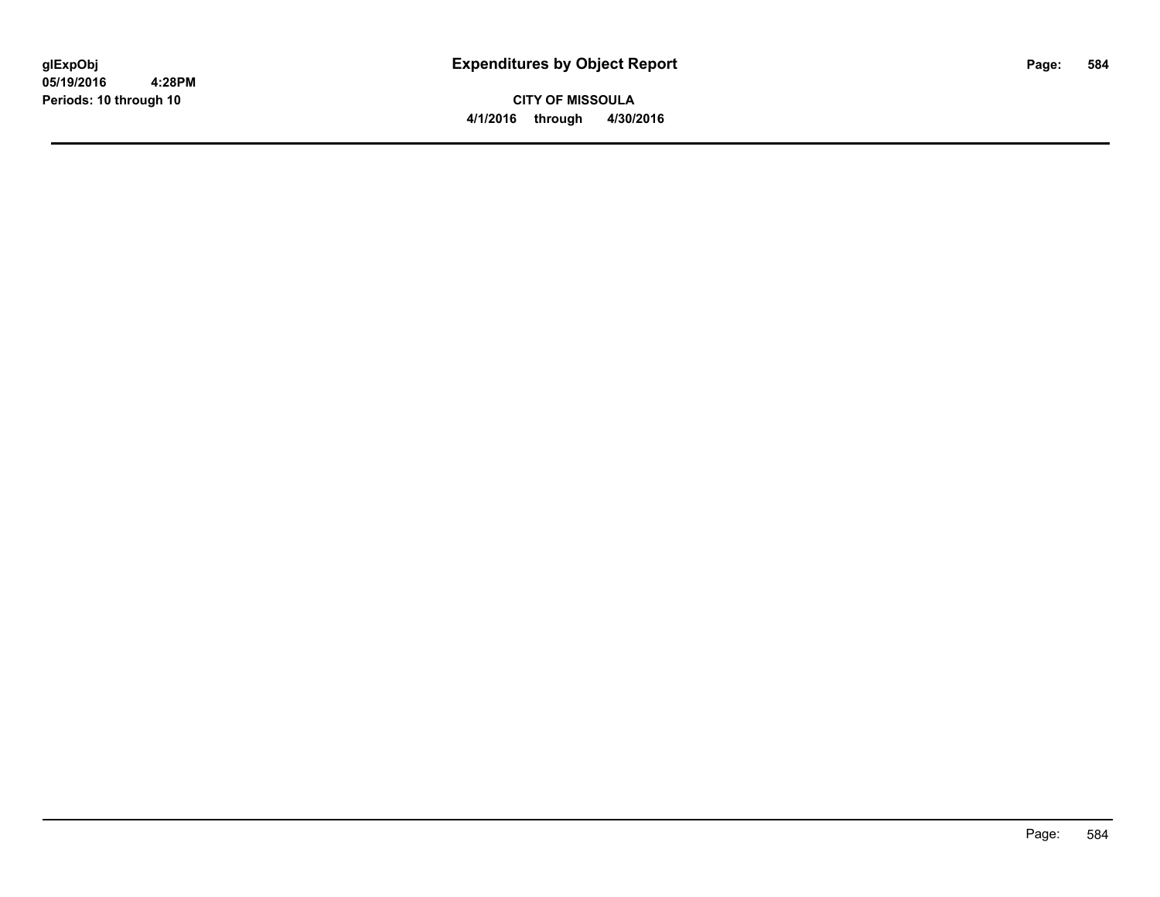**CITY OF MISSOULA**

**4/1/2016 through 4/30/2016**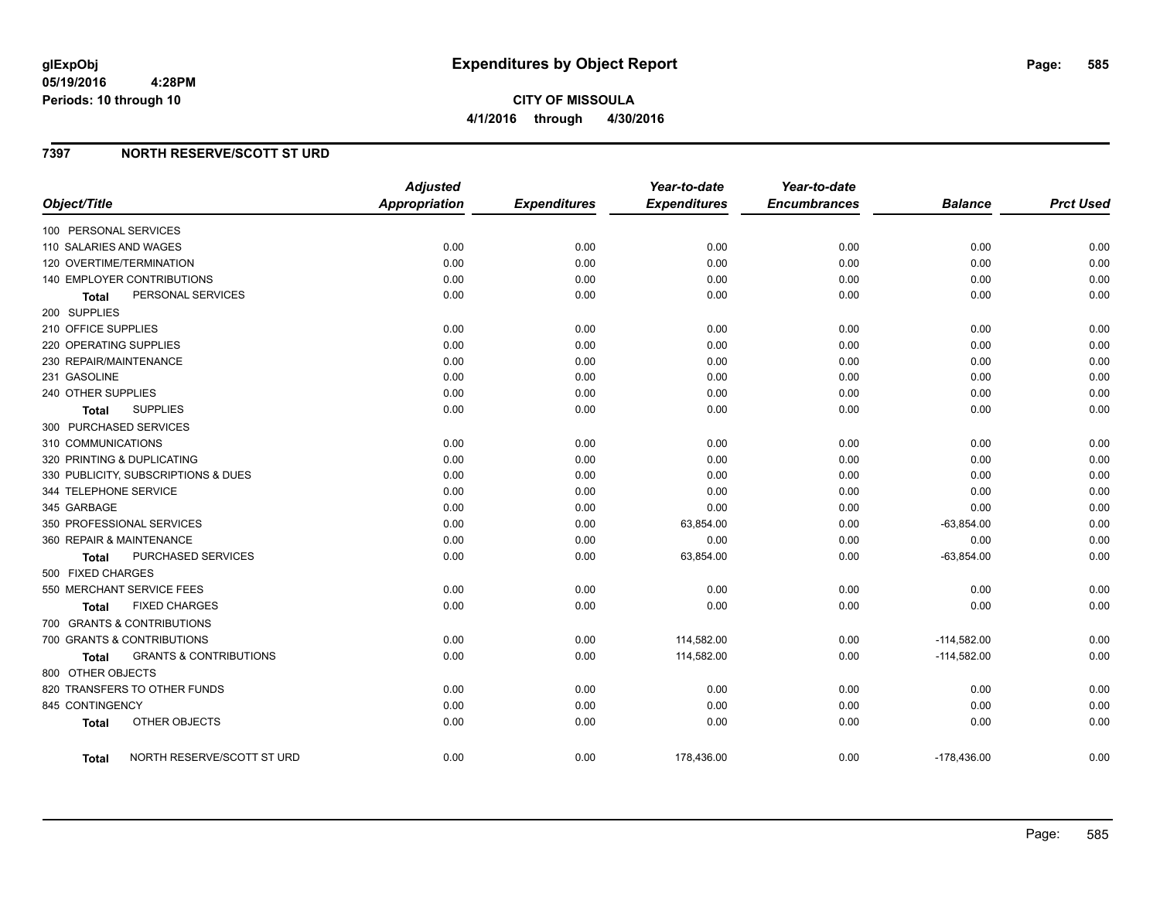**CITY OF MISSOULA 4/1/2016 through 4/30/2016**

### **7397 NORTH RESERVE/SCOTT ST URD**

|                                                   | <b>Adjusted</b> |                     | Year-to-date        | Year-to-date        |                |                  |
|---------------------------------------------------|-----------------|---------------------|---------------------|---------------------|----------------|------------------|
| Object/Title                                      | Appropriation   | <b>Expenditures</b> | <b>Expenditures</b> | <b>Encumbrances</b> | <b>Balance</b> | <b>Prct Used</b> |
| 100 PERSONAL SERVICES                             |                 |                     |                     |                     |                |                  |
| 110 SALARIES AND WAGES                            | 0.00            | 0.00                | 0.00                | 0.00                | 0.00           | 0.00             |
| 120 OVERTIME/TERMINATION                          | 0.00            | 0.00                | 0.00                | 0.00                | 0.00           | 0.00             |
| 140 EMPLOYER CONTRIBUTIONS                        | 0.00            | 0.00                | 0.00                | 0.00                | 0.00           | 0.00             |
| PERSONAL SERVICES<br><b>Total</b>                 | 0.00            | 0.00                | 0.00                | 0.00                | 0.00           | 0.00             |
| 200 SUPPLIES                                      |                 |                     |                     |                     |                |                  |
| 210 OFFICE SUPPLIES                               | 0.00            | 0.00                | 0.00                | 0.00                | 0.00           | 0.00             |
| 220 OPERATING SUPPLIES                            | 0.00            | 0.00                | 0.00                | 0.00                | 0.00           | 0.00             |
| 230 REPAIR/MAINTENANCE                            | 0.00            | 0.00                | 0.00                | 0.00                | 0.00           | 0.00             |
| 231 GASOLINE                                      | 0.00            | 0.00                | 0.00                | 0.00                | 0.00           | 0.00             |
| 240 OTHER SUPPLIES                                | 0.00            | 0.00                | 0.00                | 0.00                | 0.00           | 0.00             |
| <b>SUPPLIES</b><br>Total                          | 0.00            | 0.00                | 0.00                | 0.00                | 0.00           | 0.00             |
| 300 PURCHASED SERVICES                            |                 |                     |                     |                     |                |                  |
| 310 COMMUNICATIONS                                | 0.00            | 0.00                | 0.00                | 0.00                | 0.00           | 0.00             |
| 320 PRINTING & DUPLICATING                        | 0.00            | 0.00                | 0.00                | 0.00                | 0.00           | 0.00             |
| 330 PUBLICITY, SUBSCRIPTIONS & DUES               | 0.00            | 0.00                | 0.00                | 0.00                | 0.00           | 0.00             |
| 344 TELEPHONE SERVICE                             | 0.00            | 0.00                | 0.00                | 0.00                | 0.00           | 0.00             |
| 345 GARBAGE                                       | 0.00            | 0.00                | 0.00                | 0.00                | 0.00           | 0.00             |
| 350 PROFESSIONAL SERVICES                         | 0.00            | 0.00                | 63,854.00           | 0.00                | $-63,854.00$   | 0.00             |
| 360 REPAIR & MAINTENANCE                          | 0.00            | 0.00                | 0.00                | 0.00                | 0.00           | 0.00             |
| PURCHASED SERVICES<br>Total                       | 0.00            | 0.00                | 63,854.00           | 0.00                | $-63,854.00$   | 0.00             |
| 500 FIXED CHARGES                                 |                 |                     |                     |                     |                |                  |
| 550 MERCHANT SERVICE FEES                         | 0.00            | 0.00                | 0.00                | 0.00                | 0.00           | 0.00             |
| <b>FIXED CHARGES</b><br><b>Total</b>              | 0.00            | 0.00                | 0.00                | 0.00                | 0.00           | 0.00             |
| 700 GRANTS & CONTRIBUTIONS                        |                 |                     |                     |                     |                |                  |
| 700 GRANTS & CONTRIBUTIONS                        | 0.00            | 0.00                | 114,582.00          | 0.00                | $-114,582.00$  | 0.00             |
| <b>GRANTS &amp; CONTRIBUTIONS</b><br><b>Total</b> | 0.00            | 0.00                | 114,582.00          | 0.00                | $-114,582.00$  | 0.00             |
| 800 OTHER OBJECTS                                 |                 |                     |                     |                     |                |                  |
| 820 TRANSFERS TO OTHER FUNDS                      | 0.00            | 0.00                | 0.00                | 0.00                | 0.00           | 0.00             |
| 845 CONTINGENCY                                   | 0.00            | 0.00                | 0.00                | 0.00                | 0.00           | 0.00             |
| OTHER OBJECTS<br><b>Total</b>                     | 0.00            | 0.00                | 0.00                | 0.00                | 0.00           | 0.00             |
| NORTH RESERVE/SCOTT ST URD<br><b>Total</b>        | 0.00            | 0.00                | 178,436.00          | 0.00                | $-178,436.00$  | 0.00             |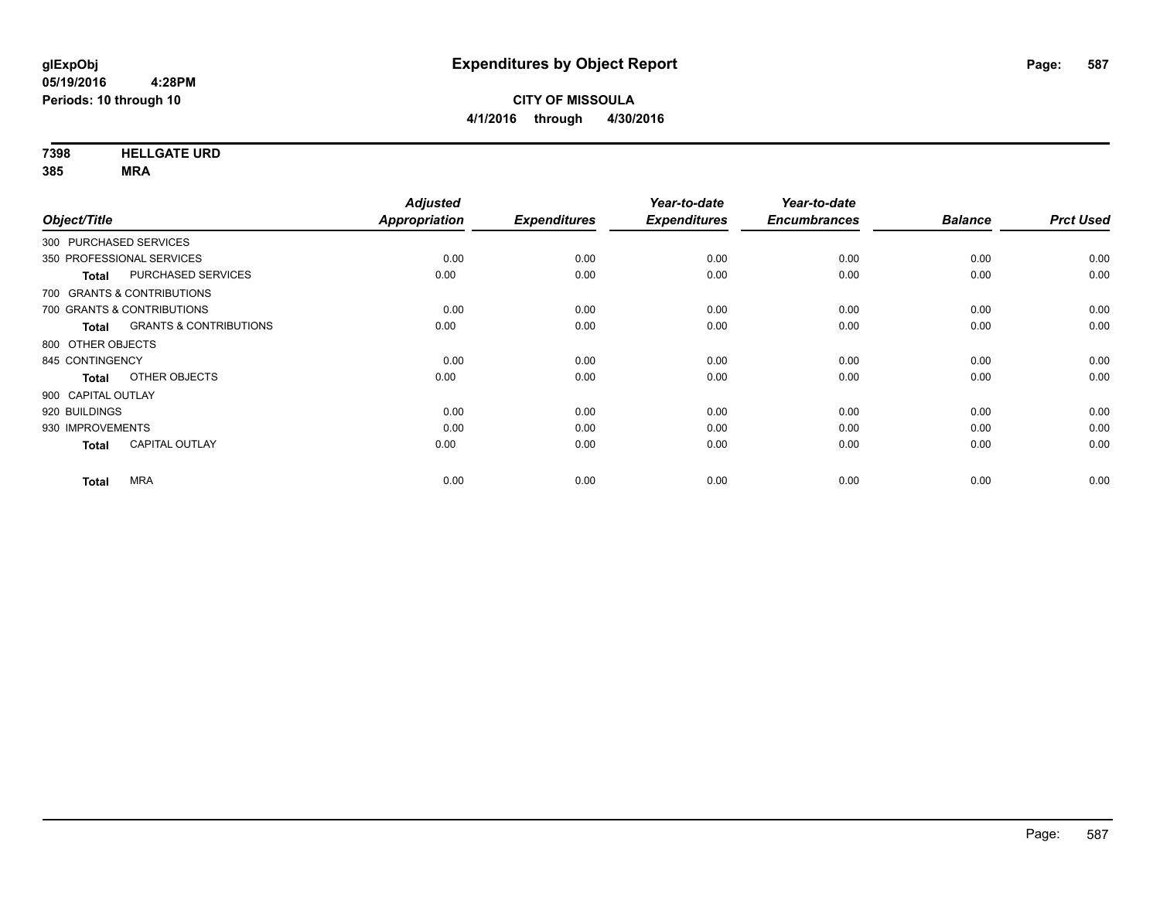**7398 HELLGATE URD**

| <b>Prct Used</b> |
|------------------|
|                  |
| 0.00             |
| 0.00             |
|                  |
| 0.00             |
| 0.00             |
|                  |
| 0.00             |
| 0.00             |
|                  |
| 0.00             |
| 0.00             |
| 0.00             |
| 0.00             |
|                  |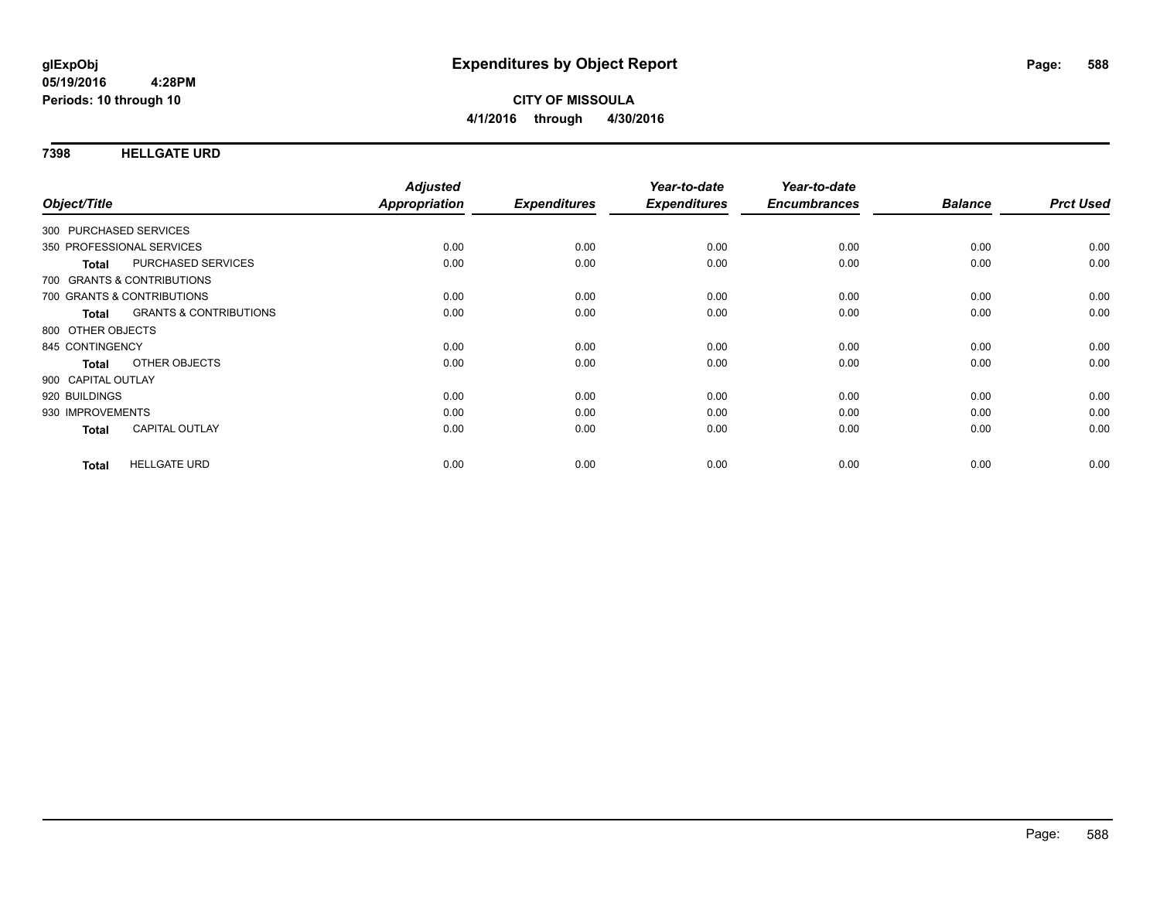### **7398 HELLGATE URD**

| Object/Title           |                                   | <b>Adjusted</b><br>Appropriation | <b>Expenditures</b> | Year-to-date<br><b>Expenditures</b> | Year-to-date<br><b>Encumbrances</b> | <b>Balance</b> | <b>Prct Used</b> |
|------------------------|-----------------------------------|----------------------------------|---------------------|-------------------------------------|-------------------------------------|----------------|------------------|
|                        |                                   |                                  |                     |                                     |                                     |                |                  |
| 300 PURCHASED SERVICES |                                   |                                  |                     |                                     |                                     |                |                  |
|                        | 350 PROFESSIONAL SERVICES         | 0.00                             | 0.00                | 0.00                                | 0.00                                | 0.00           | 0.00             |
| <b>Total</b>           | PURCHASED SERVICES                | 0.00                             | 0.00                | 0.00                                | 0.00                                | 0.00           | 0.00             |
|                        | 700 GRANTS & CONTRIBUTIONS        |                                  |                     |                                     |                                     |                |                  |
|                        | 700 GRANTS & CONTRIBUTIONS        | 0.00                             | 0.00                | 0.00                                | 0.00                                | 0.00           | 0.00             |
| Total                  | <b>GRANTS &amp; CONTRIBUTIONS</b> | 0.00                             | 0.00                | 0.00                                | 0.00                                | 0.00           | 0.00             |
| 800 OTHER OBJECTS      |                                   |                                  |                     |                                     |                                     |                |                  |
| 845 CONTINGENCY        |                                   | 0.00                             | 0.00                | 0.00                                | 0.00                                | 0.00           | 0.00             |
| <b>Total</b>           | OTHER OBJECTS                     | 0.00                             | 0.00                | 0.00                                | 0.00                                | 0.00           | 0.00             |
| 900 CAPITAL OUTLAY     |                                   |                                  |                     |                                     |                                     |                |                  |
| 920 BUILDINGS          |                                   | 0.00                             | 0.00                | 0.00                                | 0.00                                | 0.00           | 0.00             |
| 930 IMPROVEMENTS       |                                   | 0.00                             | 0.00                | 0.00                                | 0.00                                | 0.00           | 0.00             |
| <b>Total</b>           | <b>CAPITAL OUTLAY</b>             | 0.00                             | 0.00                | 0.00                                | 0.00                                | 0.00           | 0.00             |
|                        |                                   |                                  |                     |                                     |                                     |                |                  |
| <b>Total</b>           | <b>HELLGATE URD</b>               | 0.00                             | 0.00                | 0.00                                | 0.00                                | 0.00           | 0.00             |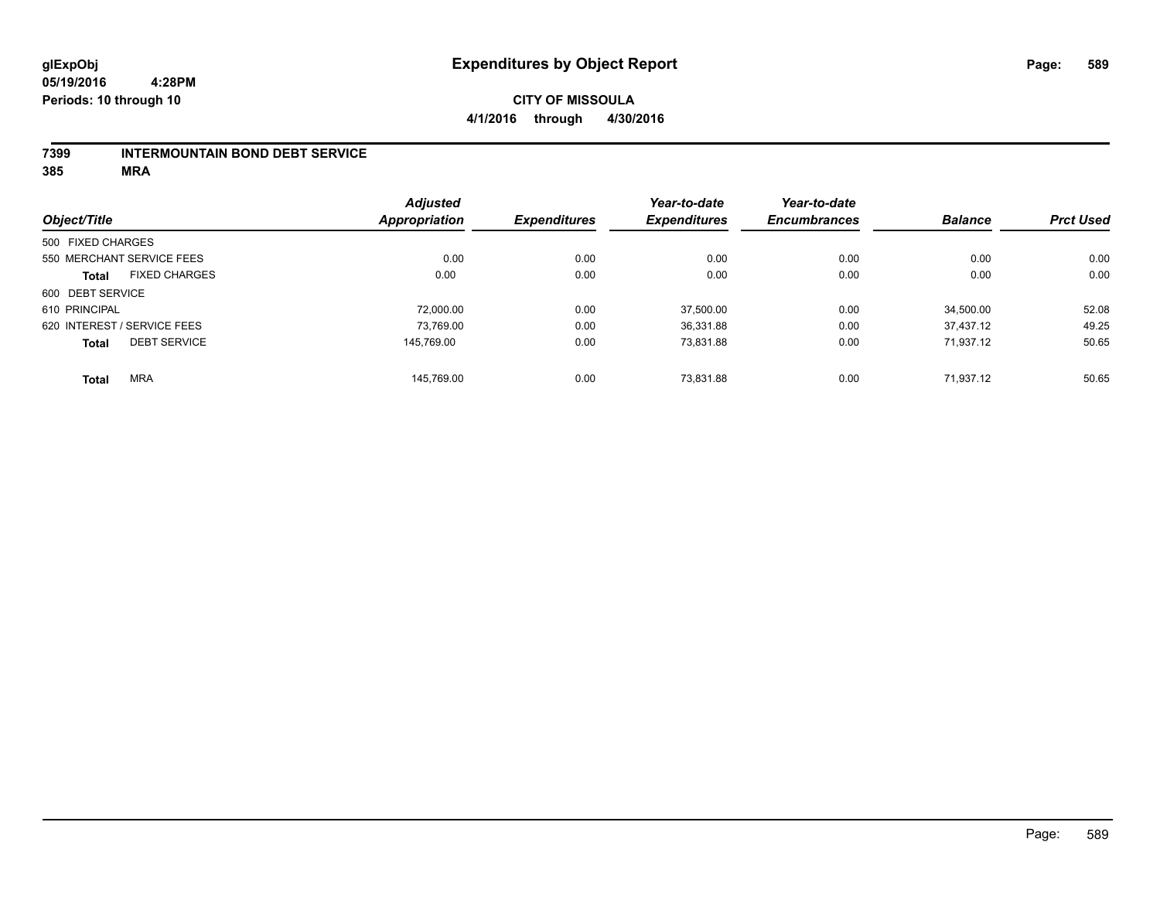#### **7399 INTERMOUNTAIN BOND DEBT SERVICE**

|                   |                             | <b>Adjusted</b> |                     | Year-to-date        | Year-to-date        |                |                  |
|-------------------|-----------------------------|-----------------|---------------------|---------------------|---------------------|----------------|------------------|
| Object/Title      |                             | Appropriation   | <b>Expenditures</b> | <b>Expenditures</b> | <b>Encumbrances</b> | <b>Balance</b> | <b>Prct Used</b> |
| 500 FIXED CHARGES |                             |                 |                     |                     |                     |                |                  |
|                   | 550 MERCHANT SERVICE FEES   | 0.00            | 0.00                | 0.00                | 0.00                | 0.00           | 0.00             |
| <b>Total</b>      | <b>FIXED CHARGES</b>        | 0.00            | 0.00                | 0.00                | 0.00                | 0.00           | 0.00             |
| 600 DEBT SERVICE  |                             |                 |                     |                     |                     |                |                  |
| 610 PRINCIPAL     |                             | 72,000.00       | 0.00                | 37,500.00           | 0.00                | 34,500.00      | 52.08            |
|                   | 620 INTEREST / SERVICE FEES | 73,769.00       | 0.00                | 36,331.88           | 0.00                | 37,437.12      | 49.25            |
| <b>Total</b>      | <b>DEBT SERVICE</b>         | 145.769.00      | 0.00                | 73.831.88           | 0.00                | 71.937.12      | 50.65            |
| <b>Total</b>      | <b>MRA</b>                  | 145.769.00      | 0.00                | 73.831.88           | 0.00                | 71.937.12      | 50.65            |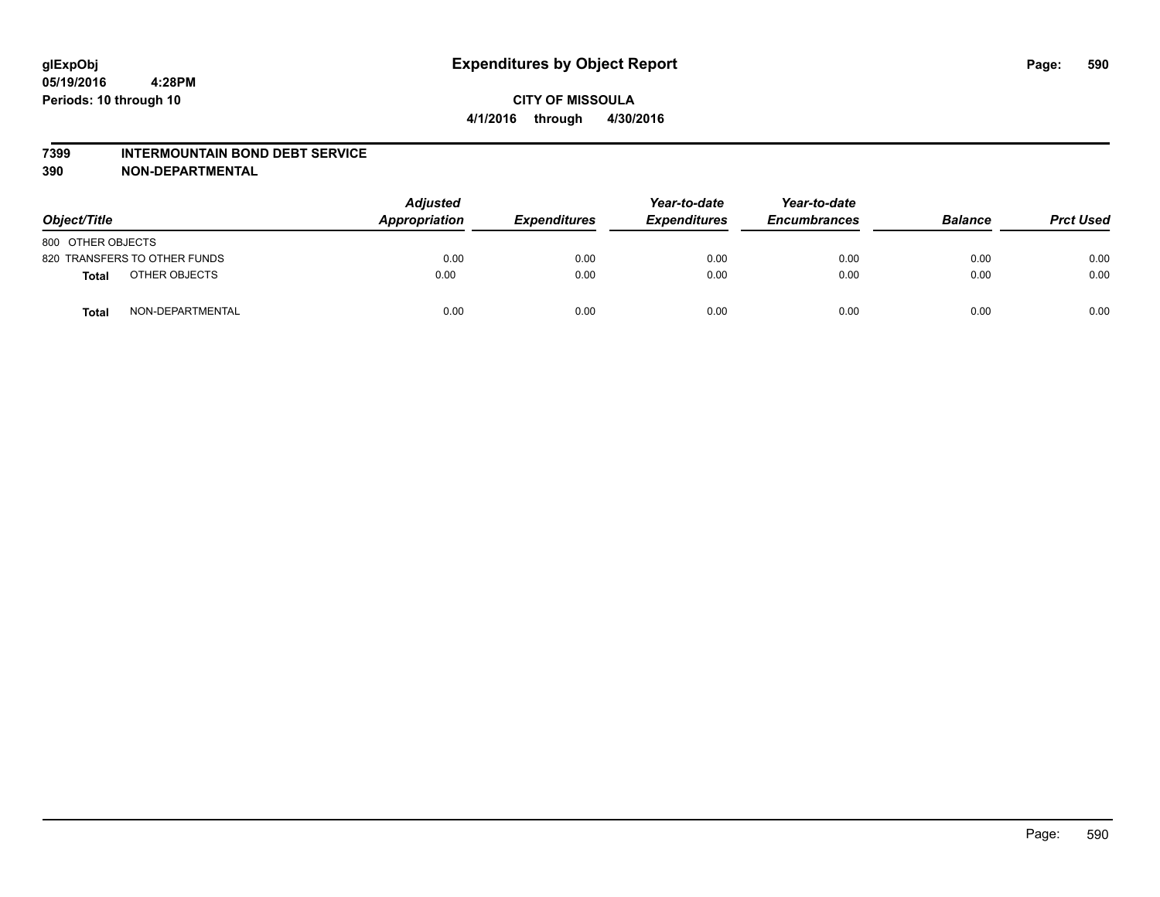#### **7399 INTERMOUNTAIN BOND DEBT SERVICE**

**390 NON-DEPARTMENTAL**

| Object/Title      |                              | <b>Adjusted</b><br>Appropriation | <b>Expenditures</b> | Year-to-date<br><b>Expenditures</b> | Year-to-date<br><b>Encumbrances</b> | <b>Balance</b> | <b>Prct Used</b> |
|-------------------|------------------------------|----------------------------------|---------------------|-------------------------------------|-------------------------------------|----------------|------------------|
| 800 OTHER OBJECTS |                              |                                  |                     |                                     |                                     |                |                  |
|                   | 820 TRANSFERS TO OTHER FUNDS | 0.00                             | 0.00                | 0.00                                | 0.00                                | 0.00           | 0.00             |
| <b>Total</b>      | OTHER OBJECTS                | 0.00                             | 0.00                | 0.00                                | 0.00                                | 0.00           | 0.00             |
| <b>Total</b>      | NON-DEPARTMENTAL             | 0.00                             | 0.00                | 0.00                                | 0.00                                | 0.00           | 0.00             |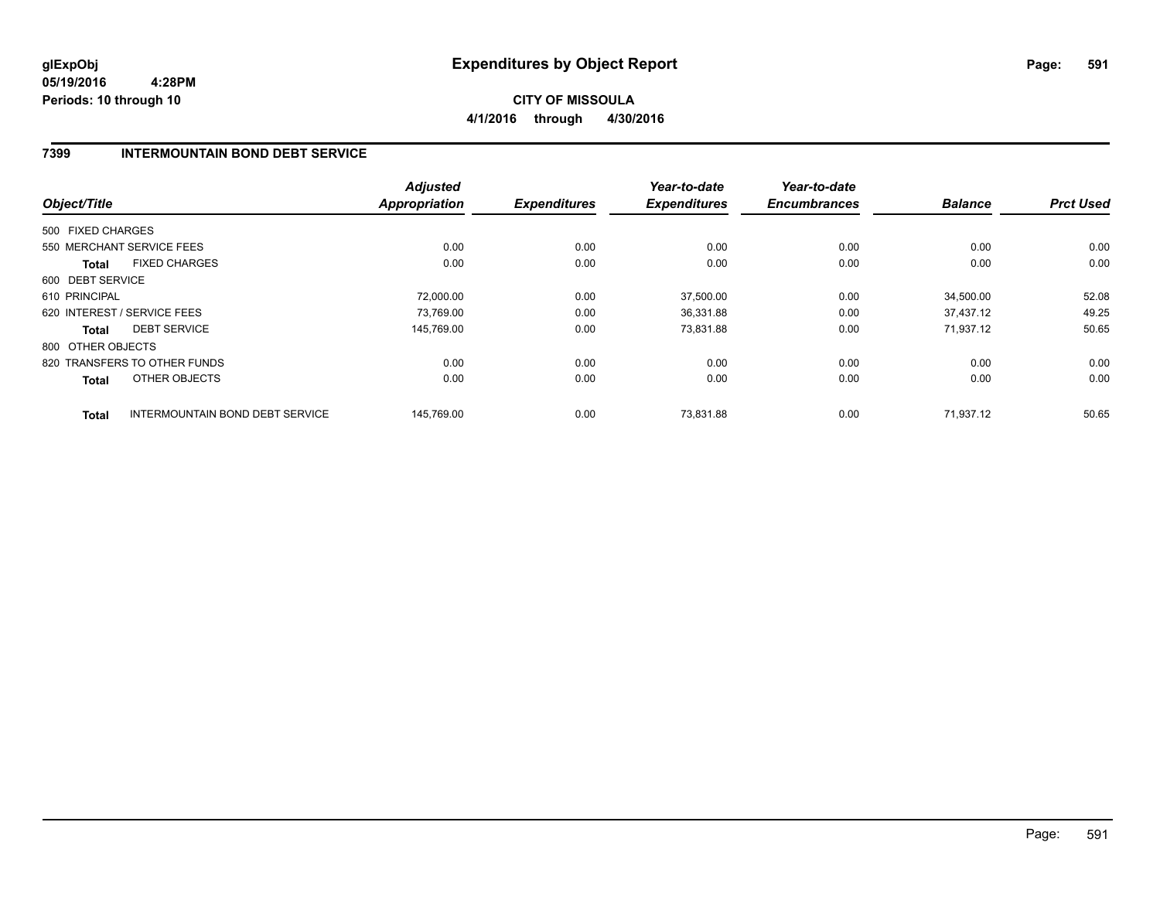## **CITY OF MISSOULA 4/1/2016 through 4/30/2016**

## **7399 INTERMOUNTAIN BOND DEBT SERVICE**

| Object/Title                                           | <b>Adjusted</b><br><b>Appropriation</b> | <b>Expenditures</b> | Year-to-date<br><b>Expenditures</b> | Year-to-date<br><b>Encumbrances</b> | <b>Balance</b> | <b>Prct Used</b> |
|--------------------------------------------------------|-----------------------------------------|---------------------|-------------------------------------|-------------------------------------|----------------|------------------|
| 500 FIXED CHARGES                                      |                                         |                     |                                     |                                     |                |                  |
|                                                        |                                         |                     |                                     |                                     |                |                  |
| 550 MERCHANT SERVICE FEES                              | 0.00                                    | 0.00                | 0.00                                | 0.00                                | 0.00           | 0.00             |
| <b>FIXED CHARGES</b><br><b>Total</b>                   | 0.00                                    | 0.00                | 0.00                                | 0.00                                | 0.00           | 0.00             |
| 600 DEBT SERVICE                                       |                                         |                     |                                     |                                     |                |                  |
| 610 PRINCIPAL                                          | 72.000.00                               | 0.00                | 37,500.00                           | 0.00                                | 34,500.00      | 52.08            |
| 620 INTEREST / SERVICE FEES                            | 73,769.00                               | 0.00                | 36,331.88                           | 0.00                                | 37,437.12      | 49.25            |
| <b>DEBT SERVICE</b><br>Total                           | 145,769.00                              | 0.00                | 73,831.88                           | 0.00                                | 71,937.12      | 50.65            |
| 800 OTHER OBJECTS                                      |                                         |                     |                                     |                                     |                |                  |
| 820 TRANSFERS TO OTHER FUNDS                           | 0.00                                    | 0.00                | 0.00                                | 0.00                                | 0.00           | 0.00             |
| OTHER OBJECTS<br>Total                                 | 0.00                                    | 0.00                | 0.00                                | 0.00                                | 0.00           | 0.00             |
| <b>INTERMOUNTAIN BOND DEBT SERVICE</b><br><b>Total</b> | 145.769.00                              | 0.00                | 73.831.88                           | 0.00                                | 71.937.12      | 50.65            |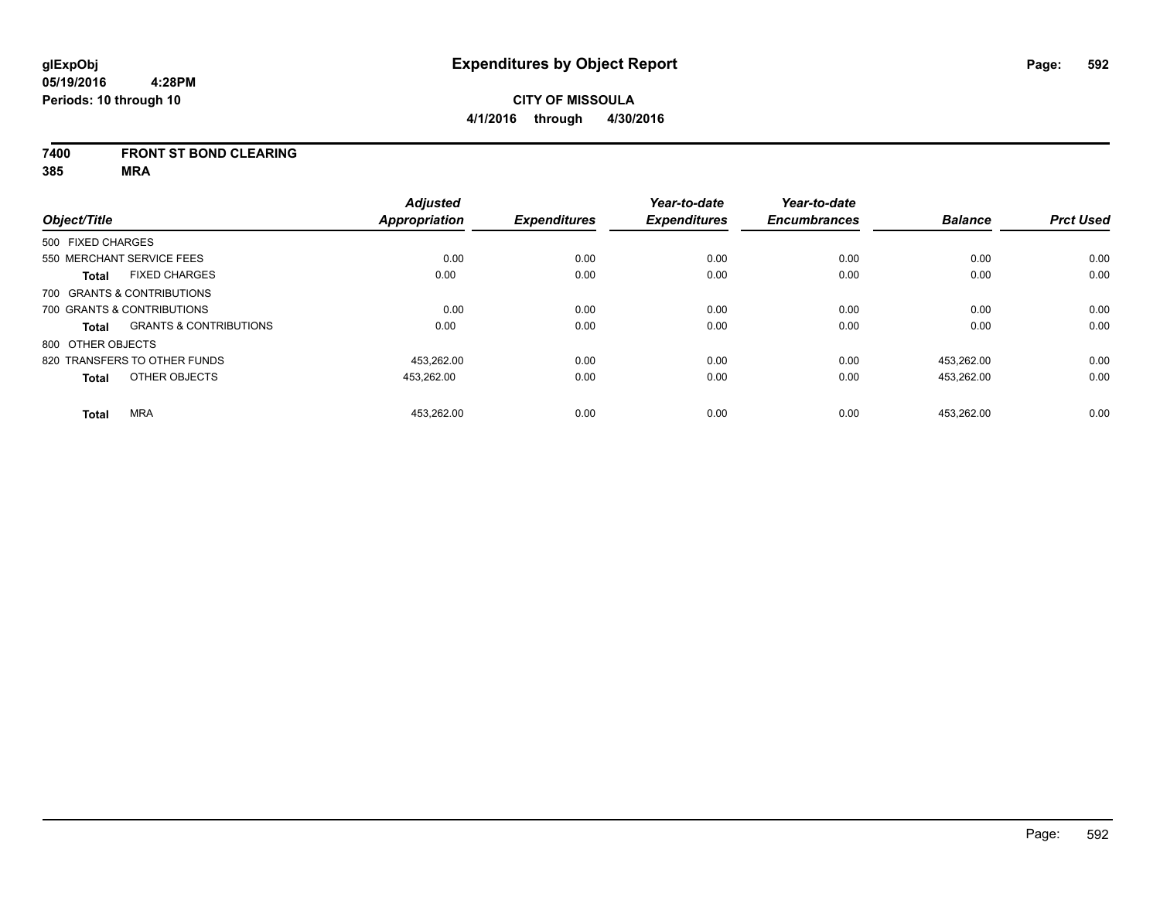#### **7400 FRONT ST BOND CLEARING**

|                   |                                   | <b>Adjusted</b>      |                     | Year-to-date        | Year-to-date        |                |                  |
|-------------------|-----------------------------------|----------------------|---------------------|---------------------|---------------------|----------------|------------------|
| Object/Title      |                                   | <b>Appropriation</b> | <b>Expenditures</b> | <b>Expenditures</b> | <b>Encumbrances</b> | <b>Balance</b> | <b>Prct Used</b> |
| 500 FIXED CHARGES |                                   |                      |                     |                     |                     |                |                  |
|                   | 550 MERCHANT SERVICE FEES         | 0.00                 | 0.00                | 0.00                | 0.00                | 0.00           | 0.00             |
| <b>Total</b>      | <b>FIXED CHARGES</b>              | 0.00                 | 0.00                | 0.00                | 0.00                | 0.00           | 0.00             |
|                   | 700 GRANTS & CONTRIBUTIONS        |                      |                     |                     |                     |                |                  |
|                   | 700 GRANTS & CONTRIBUTIONS        | 0.00                 | 0.00                | 0.00                | 0.00                | 0.00           | 0.00             |
| Total             | <b>GRANTS &amp; CONTRIBUTIONS</b> | 0.00                 | 0.00                | 0.00                | 0.00                | 0.00           | 0.00             |
| 800 OTHER OBJECTS |                                   |                      |                     |                     |                     |                |                  |
|                   | 820 TRANSFERS TO OTHER FUNDS      | 453.262.00           | 0.00                | 0.00                | 0.00                | 453.262.00     | 0.00             |
| <b>Total</b>      | OTHER OBJECTS                     | 453,262.00           | 0.00                | 0.00                | 0.00                | 453,262.00     | 0.00             |
| <b>Total</b>      | <b>MRA</b>                        | 453.262.00           | 0.00                | 0.00                | 0.00                | 453.262.00     | 0.00             |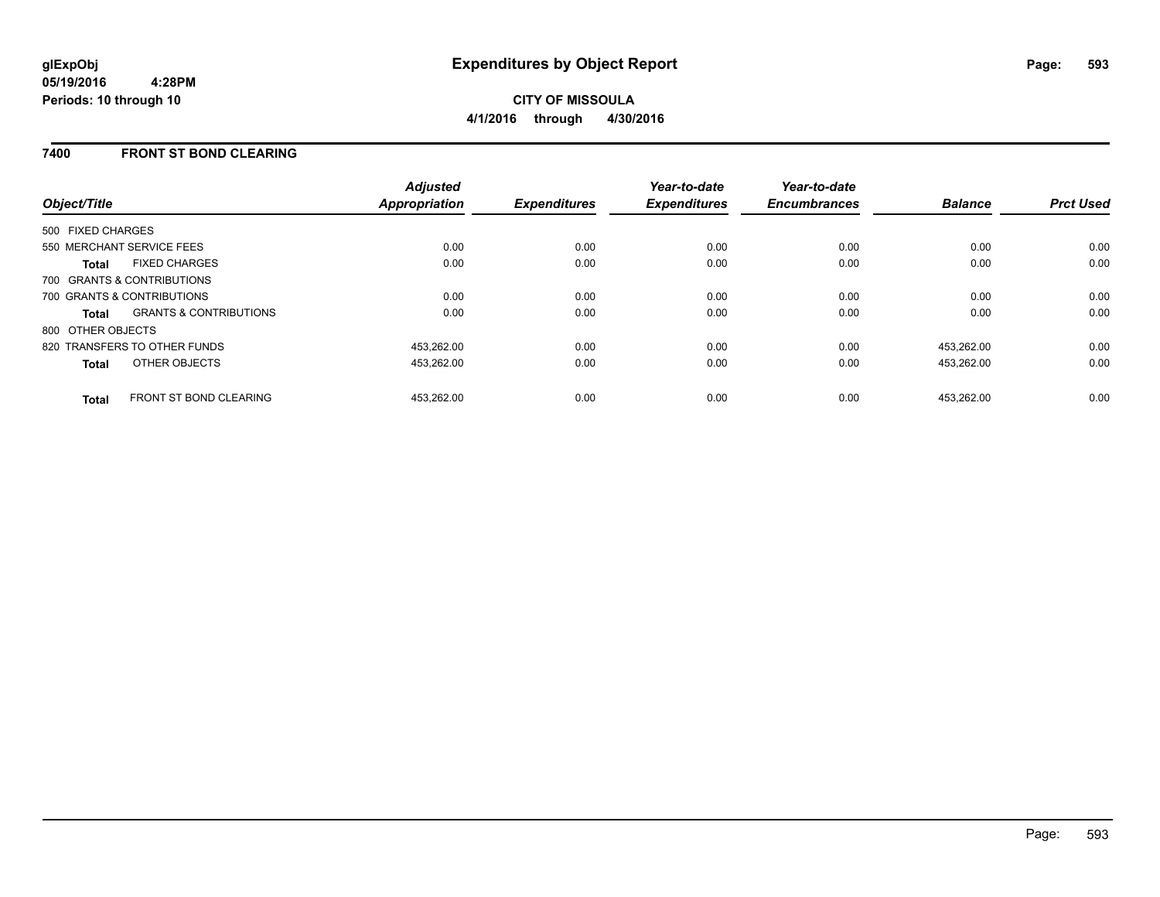## **7400 FRONT ST BOND CLEARING**

| Object/Title                                      | <b>Adjusted</b><br><b>Appropriation</b> | <b>Expenditures</b> | Year-to-date<br><b>Expenditures</b> | Year-to-date<br><b>Encumbrances</b> | <b>Balance</b> | <b>Prct Used</b> |
|---------------------------------------------------|-----------------------------------------|---------------------|-------------------------------------|-------------------------------------|----------------|------------------|
| 500 FIXED CHARGES                                 |                                         |                     |                                     |                                     |                |                  |
| 550 MERCHANT SERVICE FEES                         | 0.00                                    | 0.00                | 0.00                                | 0.00                                | 0.00           | 0.00             |
| <b>FIXED CHARGES</b><br><b>Total</b>              | 0.00                                    | 0.00                | 0.00                                | 0.00                                | 0.00           | 0.00             |
| 700 GRANTS & CONTRIBUTIONS                        |                                         |                     |                                     |                                     |                |                  |
| 700 GRANTS & CONTRIBUTIONS                        | 0.00                                    | 0.00                | 0.00                                | 0.00                                | 0.00           | 0.00             |
| <b>GRANTS &amp; CONTRIBUTIONS</b><br><b>Total</b> | 0.00                                    | 0.00                | 0.00                                | 0.00                                | 0.00           | 0.00             |
| 800 OTHER OBJECTS                                 |                                         |                     |                                     |                                     |                |                  |
| 820 TRANSFERS TO OTHER FUNDS                      | 453.262.00                              | 0.00                | 0.00                                | 0.00                                | 453.262.00     | 0.00             |
| OTHER OBJECTS<br><b>Total</b>                     | 453.262.00                              | 0.00                | 0.00                                | 0.00                                | 453.262.00     | 0.00             |
| <b>FRONT ST BOND CLEARING</b><br><b>Total</b>     | 453.262.00                              | 0.00                | 0.00                                | 0.00                                | 453.262.00     | 0.00             |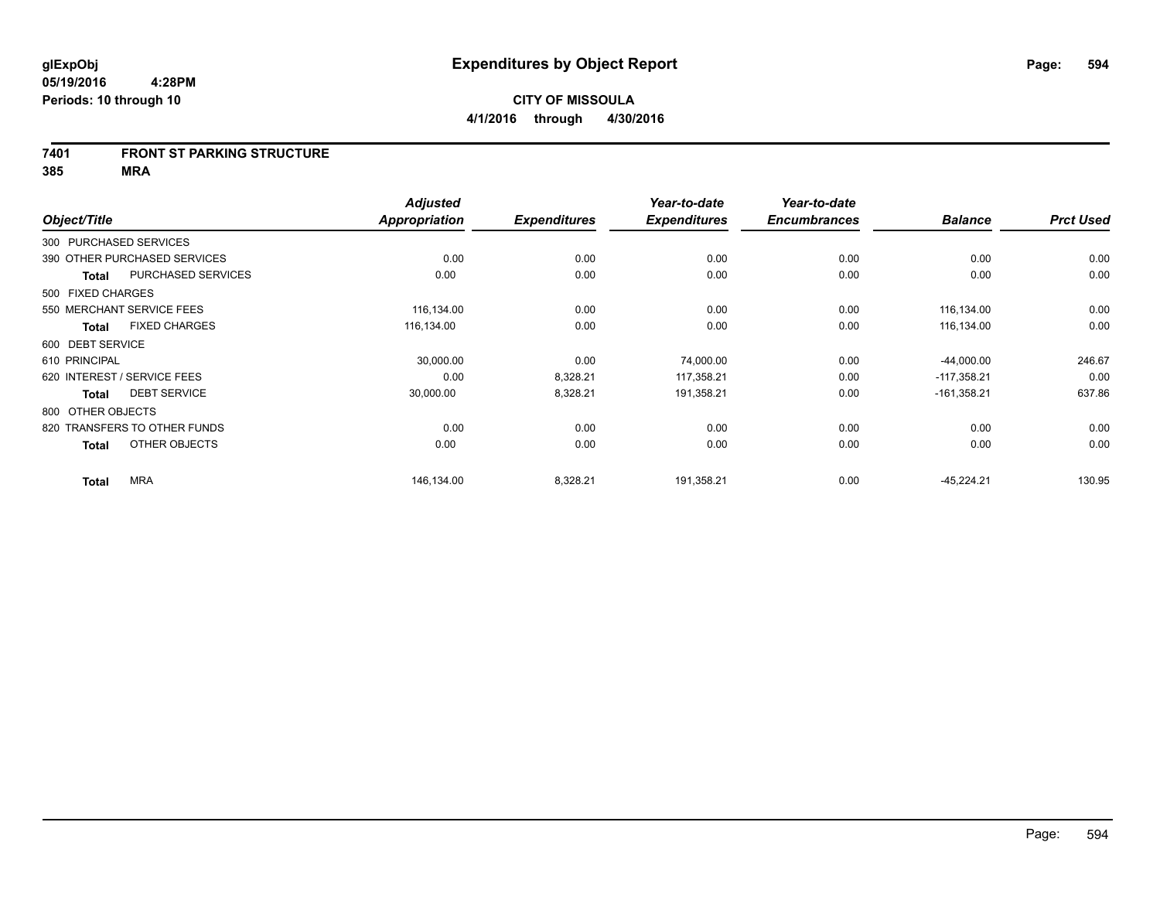#### **7401 FRONT ST PARKING STRUCTURE**

|                        |                              | <b>Adjusted</b> |                     | Year-to-date        | Year-to-date        |                |                  |
|------------------------|------------------------------|-----------------|---------------------|---------------------|---------------------|----------------|------------------|
| Object/Title           |                              | Appropriation   | <b>Expenditures</b> | <b>Expenditures</b> | <b>Encumbrances</b> | <b>Balance</b> | <b>Prct Used</b> |
| 300 PURCHASED SERVICES |                              |                 |                     |                     |                     |                |                  |
|                        | 390 OTHER PURCHASED SERVICES | 0.00            | 0.00                | 0.00                | 0.00                | 0.00           | 0.00             |
| <b>Total</b>           | PURCHASED SERVICES           | 0.00            | 0.00                | 0.00                | 0.00                | 0.00           | 0.00             |
| 500 FIXED CHARGES      |                              |                 |                     |                     |                     |                |                  |
|                        | 550 MERCHANT SERVICE FEES    | 116,134.00      | 0.00                | 0.00                | 0.00                | 116,134.00     | 0.00             |
| <b>Total</b>           | <b>FIXED CHARGES</b>         | 116,134.00      | 0.00                | 0.00                | 0.00                | 116,134.00     | 0.00             |
| 600 DEBT SERVICE       |                              |                 |                     |                     |                     |                |                  |
| 610 PRINCIPAL          |                              | 30,000.00       | 0.00                | 74,000.00           | 0.00                | $-44,000.00$   | 246.67           |
|                        | 620 INTEREST / SERVICE FEES  | 0.00            | 8,328.21            | 117,358.21          | 0.00                | $-117,358.21$  | 0.00             |
| <b>Total</b>           | <b>DEBT SERVICE</b>          | 30,000.00       | 8,328.21            | 191,358.21          | 0.00                | $-161,358.21$  | 637.86           |
| 800 OTHER OBJECTS      |                              |                 |                     |                     |                     |                |                  |
|                        | 820 TRANSFERS TO OTHER FUNDS | 0.00            | 0.00                | 0.00                | 0.00                | 0.00           | 0.00             |
| <b>Total</b>           | OTHER OBJECTS                | 0.00            | 0.00                | 0.00                | 0.00                | 0.00           | 0.00             |
| <b>Total</b>           | <b>MRA</b>                   | 146,134.00      | 8,328.21            | 191,358.21          | 0.00                | $-45,224.21$   | 130.95           |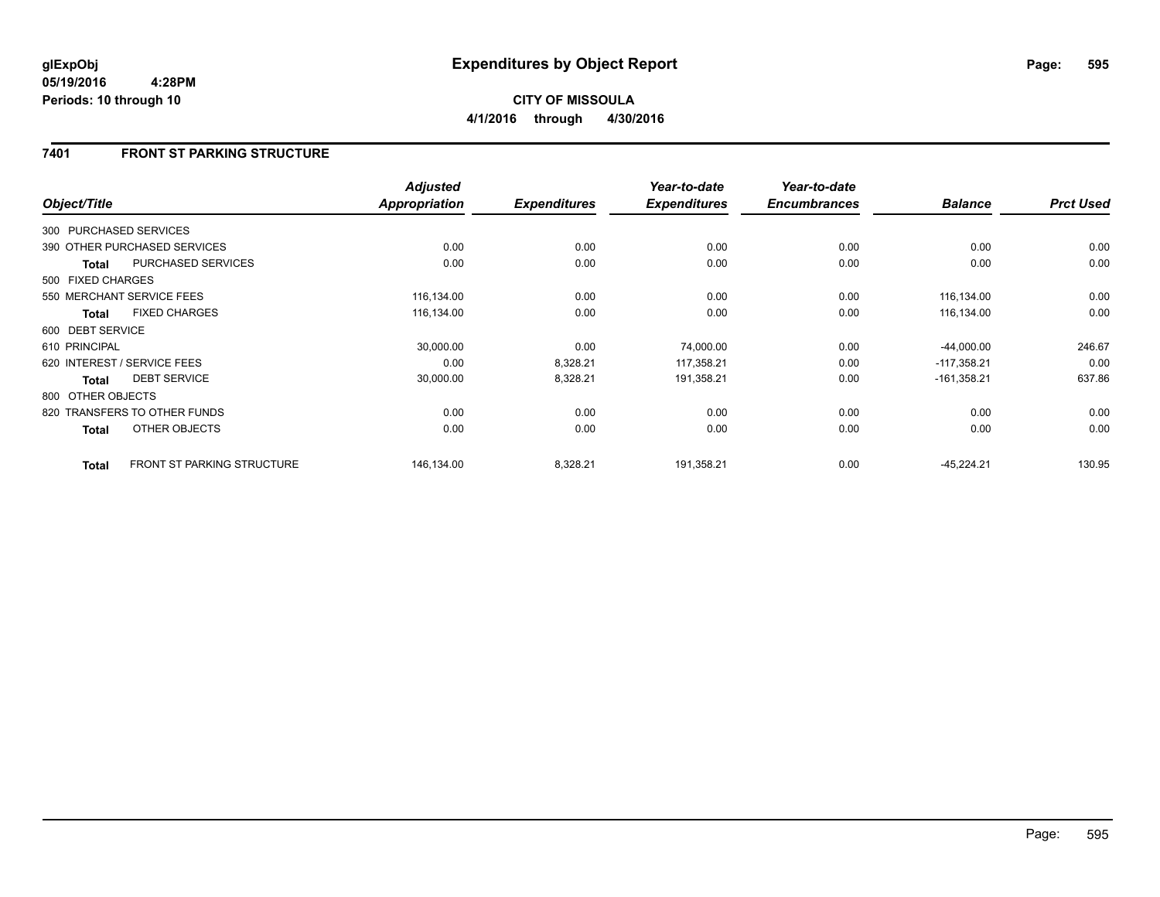## **7401 FRONT ST PARKING STRUCTURE**

| Object/Title           |                                   | <b>Adjusted</b><br>Appropriation | <b>Expenditures</b> | Year-to-date<br><b>Expenditures</b> | Year-to-date<br><b>Encumbrances</b> | <b>Balance</b> | <b>Prct Used</b> |
|------------------------|-----------------------------------|----------------------------------|---------------------|-------------------------------------|-------------------------------------|----------------|------------------|
|                        |                                   |                                  |                     |                                     |                                     |                |                  |
| 300 PURCHASED SERVICES |                                   |                                  |                     |                                     |                                     |                |                  |
|                        | 390 OTHER PURCHASED SERVICES      | 0.00                             | 0.00                | 0.00                                | 0.00                                | 0.00           | 0.00             |
| Total                  | <b>PURCHASED SERVICES</b>         | 0.00                             | 0.00                | 0.00                                | 0.00                                | 0.00           | 0.00             |
| 500 FIXED CHARGES      |                                   |                                  |                     |                                     |                                     |                |                  |
|                        | 550 MERCHANT SERVICE FEES         | 116,134.00                       | 0.00                | 0.00                                | 0.00                                | 116,134.00     | 0.00             |
| <b>Total</b>           | <b>FIXED CHARGES</b>              | 116,134.00                       | 0.00                | 0.00                                | 0.00                                | 116,134.00     | 0.00             |
| 600 DEBT SERVICE       |                                   |                                  |                     |                                     |                                     |                |                  |
| 610 PRINCIPAL          |                                   | 30,000.00                        | 0.00                | 74,000.00                           | 0.00                                | $-44,000.00$   | 246.67           |
|                        | 620 INTEREST / SERVICE FEES       | 0.00                             | 8,328.21            | 117,358.21                          | 0.00                                | $-117,358.21$  | 0.00             |
| <b>Total</b>           | <b>DEBT SERVICE</b>               | 30,000.00                        | 8,328.21            | 191,358.21                          | 0.00                                | $-161,358.21$  | 637.86           |
| 800 OTHER OBJECTS      |                                   |                                  |                     |                                     |                                     |                |                  |
|                        | 820 TRANSFERS TO OTHER FUNDS      | 0.00                             | 0.00                | 0.00                                | 0.00                                | 0.00           | 0.00             |
| <b>Total</b>           | OTHER OBJECTS                     | 0.00                             | 0.00                | 0.00                                | 0.00                                | 0.00           | 0.00             |
| <b>Total</b>           | <b>FRONT ST PARKING STRUCTURE</b> | 146,134.00                       | 8,328.21            | 191,358.21                          | 0.00                                | $-45,224.21$   | 130.95           |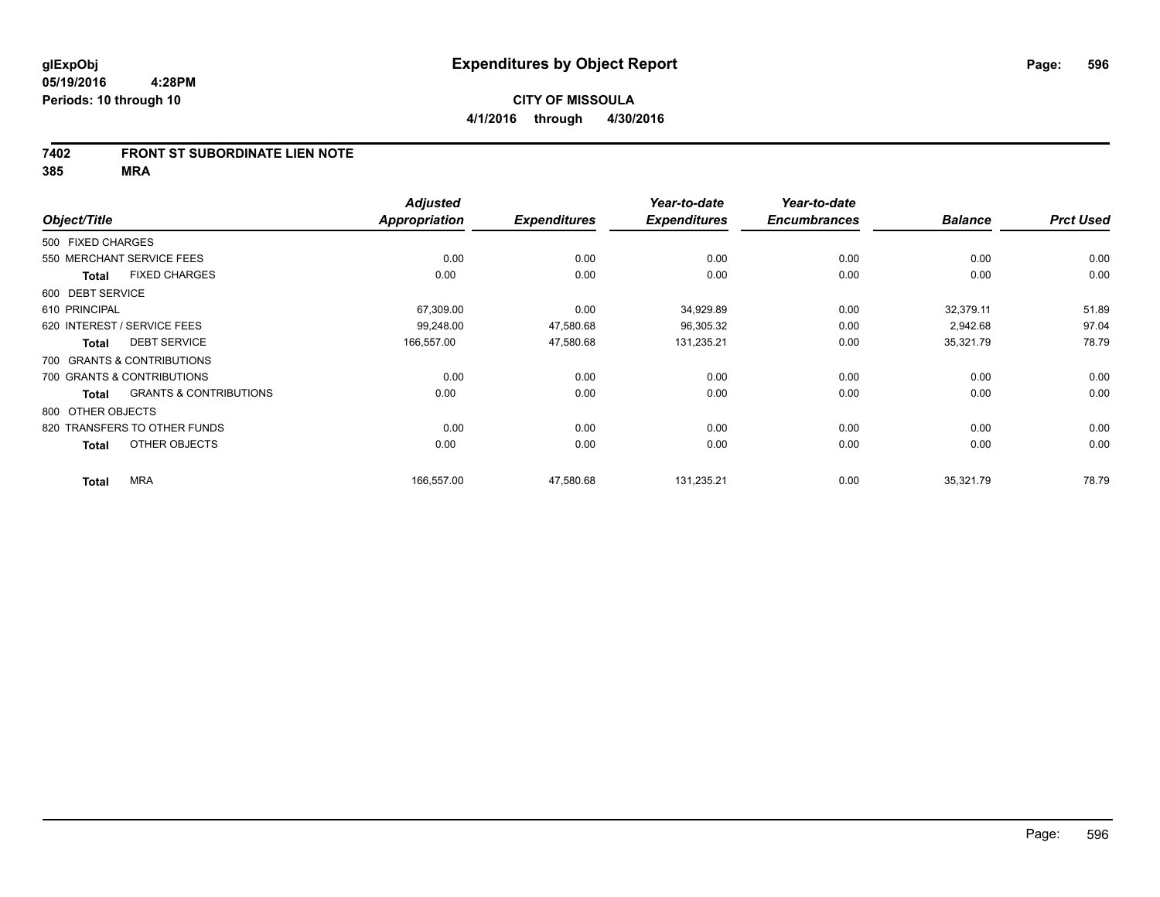#### **7402 FRONT ST SUBORDINATE LIEN NOTE**

|                             |                                   | <b>Adjusted</b> |                     | Year-to-date        | Year-to-date        |                |                  |
|-----------------------------|-----------------------------------|-----------------|---------------------|---------------------|---------------------|----------------|------------------|
| Object/Title                |                                   | Appropriation   | <b>Expenditures</b> | <b>Expenditures</b> | <b>Encumbrances</b> | <b>Balance</b> | <b>Prct Used</b> |
| 500 FIXED CHARGES           |                                   |                 |                     |                     |                     |                |                  |
| 550 MERCHANT SERVICE FEES   |                                   | 0.00            | 0.00                | 0.00                | 0.00                | 0.00           | 0.00             |
| <b>Total</b>                | <b>FIXED CHARGES</b>              | 0.00            | 0.00                | 0.00                | 0.00                | 0.00           | 0.00             |
| 600 DEBT SERVICE            |                                   |                 |                     |                     |                     |                |                  |
| 610 PRINCIPAL               |                                   | 67,309.00       | 0.00                | 34,929.89           | 0.00                | 32,379.11      | 51.89            |
| 620 INTEREST / SERVICE FEES |                                   | 99,248.00       | 47,580.68           | 96,305.32           | 0.00                | 2,942.68       | 97.04            |
| <b>Total</b>                | <b>DEBT SERVICE</b>               | 166,557.00      | 47,580.68           | 131,235.21          | 0.00                | 35,321.79      | 78.79            |
| 700 GRANTS & CONTRIBUTIONS  |                                   |                 |                     |                     |                     |                |                  |
| 700 GRANTS & CONTRIBUTIONS  |                                   | 0.00            | 0.00                | 0.00                | 0.00                | 0.00           | 0.00             |
| <b>Total</b>                | <b>GRANTS &amp; CONTRIBUTIONS</b> | 0.00            | 0.00                | 0.00                | 0.00                | 0.00           | 0.00             |
| 800 OTHER OBJECTS           |                                   |                 |                     |                     |                     |                |                  |
|                             | 820 TRANSFERS TO OTHER FUNDS      | 0.00            | 0.00                | 0.00                | 0.00                | 0.00           | 0.00             |
| <b>Total</b>                | OTHER OBJECTS                     | 0.00            | 0.00                | 0.00                | 0.00                | 0.00           | 0.00             |
| <b>Total</b>                | <b>MRA</b>                        | 166,557.00      | 47,580.68           | 131,235.21          | 0.00                | 35,321.79      | 78.79            |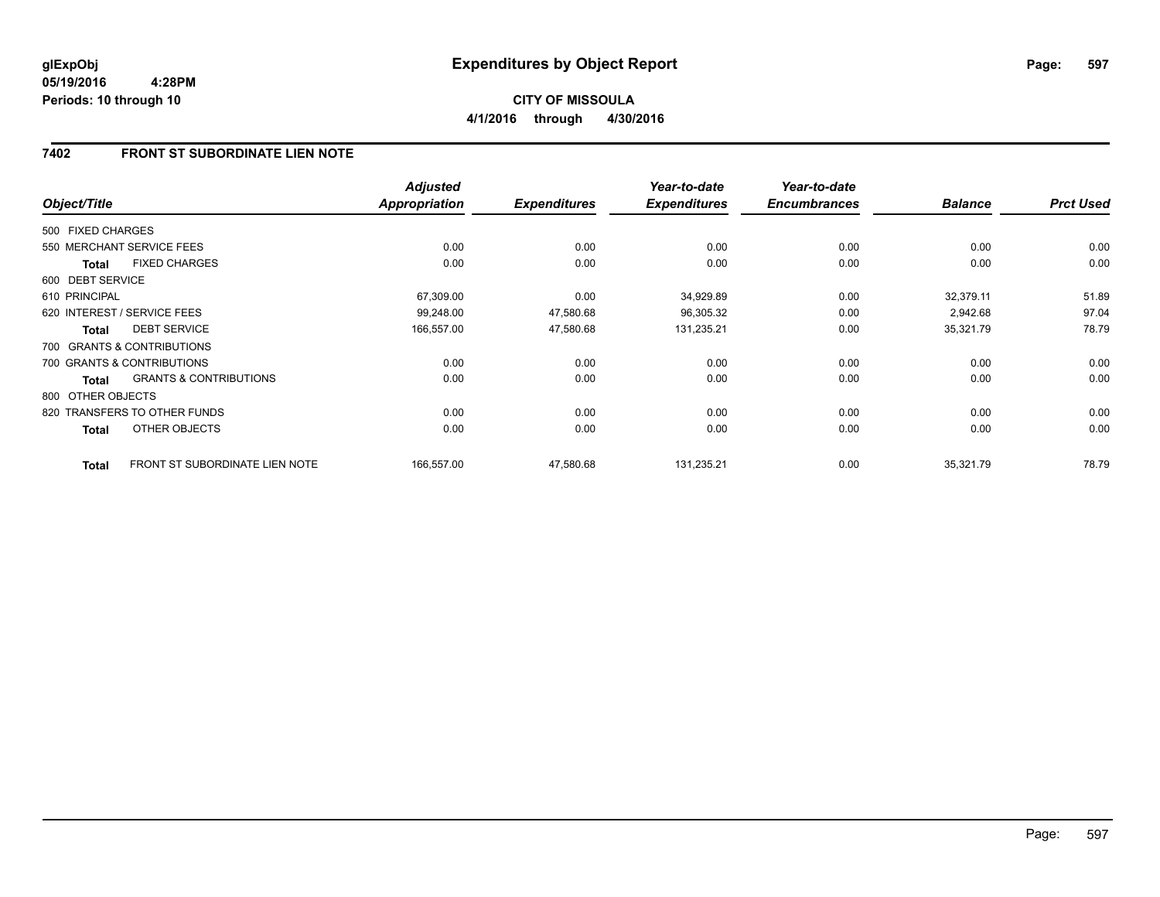## **CITY OF MISSOULA 4/1/2016 through 4/30/2016**

## **7402 FRONT ST SUBORDINATE LIEN NOTE**

| Object/Title      |                                       | <b>Adjusted</b><br><b>Appropriation</b> | <b>Expenditures</b> | Year-to-date<br><b>Expenditures</b> | Year-to-date<br><b>Encumbrances</b> | <b>Balance</b> | <b>Prct Used</b> |
|-------------------|---------------------------------------|-----------------------------------------|---------------------|-------------------------------------|-------------------------------------|----------------|------------------|
| 500 FIXED CHARGES |                                       |                                         |                     |                                     |                                     |                |                  |
|                   | 550 MERCHANT SERVICE FEES             | 0.00                                    | 0.00                | 0.00                                | 0.00                                | 0.00           | 0.00             |
| <b>Total</b>      | <b>FIXED CHARGES</b>                  | 0.00                                    | 0.00                | 0.00                                | 0.00                                | 0.00           | 0.00             |
| 600 DEBT SERVICE  |                                       |                                         |                     |                                     |                                     |                |                  |
| 610 PRINCIPAL     |                                       | 67,309.00                               | 0.00                | 34,929.89                           | 0.00                                | 32,379.11      | 51.89            |
|                   | 620 INTEREST / SERVICE FEES           | 99,248.00                               | 47,580.68           | 96,305.32                           | 0.00                                | 2,942.68       | 97.04            |
| <b>Total</b>      | <b>DEBT SERVICE</b>                   | 166,557.00                              | 47,580.68           | 131,235.21                          | 0.00                                | 35,321.79      | 78.79            |
|                   | 700 GRANTS & CONTRIBUTIONS            |                                         |                     |                                     |                                     |                |                  |
|                   | 700 GRANTS & CONTRIBUTIONS            | 0.00                                    | 0.00                | 0.00                                | 0.00                                | 0.00           | 0.00             |
| <b>Total</b>      | <b>GRANTS &amp; CONTRIBUTIONS</b>     | 0.00                                    | 0.00                | 0.00                                | 0.00                                | 0.00           | 0.00             |
| 800 OTHER OBJECTS |                                       |                                         |                     |                                     |                                     |                |                  |
|                   | 820 TRANSFERS TO OTHER FUNDS          | 0.00                                    | 0.00                | 0.00                                | 0.00                                | 0.00           | 0.00             |
| <b>Total</b>      | OTHER OBJECTS                         | 0.00                                    | 0.00                | 0.00                                | 0.00                                | 0.00           | 0.00             |
| <b>Total</b>      | <b>FRONT ST SUBORDINATE LIEN NOTE</b> | 166,557.00                              | 47,580.68           | 131,235.21                          | 0.00                                | 35,321.79      | 78.79            |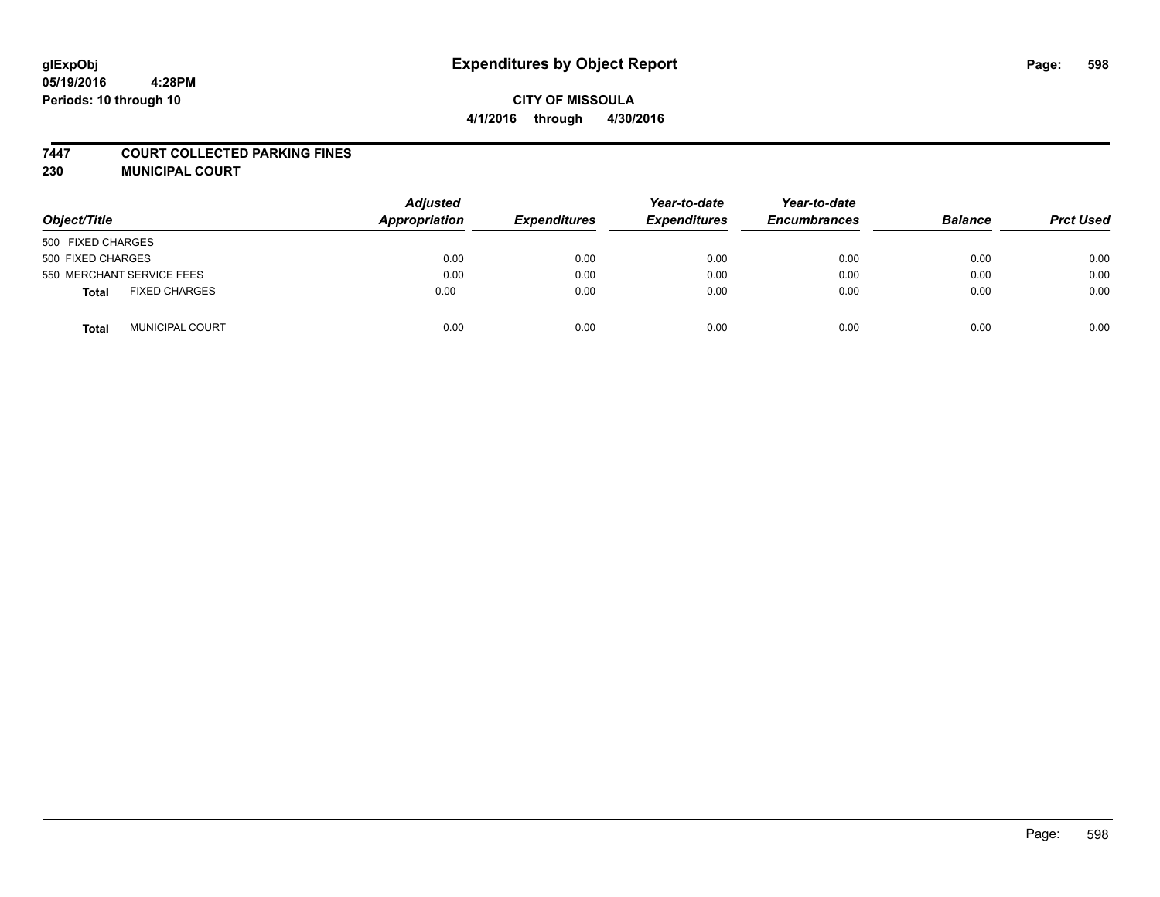#### **7447 COURT COLLECTED PARKING FINES**

**230 MUNICIPAL COURT**

| Object/Title                         | <b>Adjusted</b><br>Appropriation | <b>Expenditures</b> | Year-to-date<br><b>Expenditures</b> | Year-to-date<br><b>Encumbrances</b> | <b>Balance</b> | <b>Prct Used</b> |
|--------------------------------------|----------------------------------|---------------------|-------------------------------------|-------------------------------------|----------------|------------------|
| 500 FIXED CHARGES                    |                                  |                     |                                     |                                     |                |                  |
| 500 FIXED CHARGES                    | 0.00                             | 0.00                | 0.00                                | 0.00                                | 0.00           | 0.00             |
| 550 MERCHANT SERVICE FEES            | 0.00                             | 0.00                | 0.00                                | 0.00                                | 0.00           | 0.00             |
| <b>FIXED CHARGES</b><br><b>Total</b> | 0.00                             | 0.00                | 0.00                                | 0.00                                | 0.00           | 0.00             |
| <b>MUNICIPAL COURT</b><br>Total      | 0.00                             | 0.00                | 0.00                                | 0.00                                | 0.00           | 0.00             |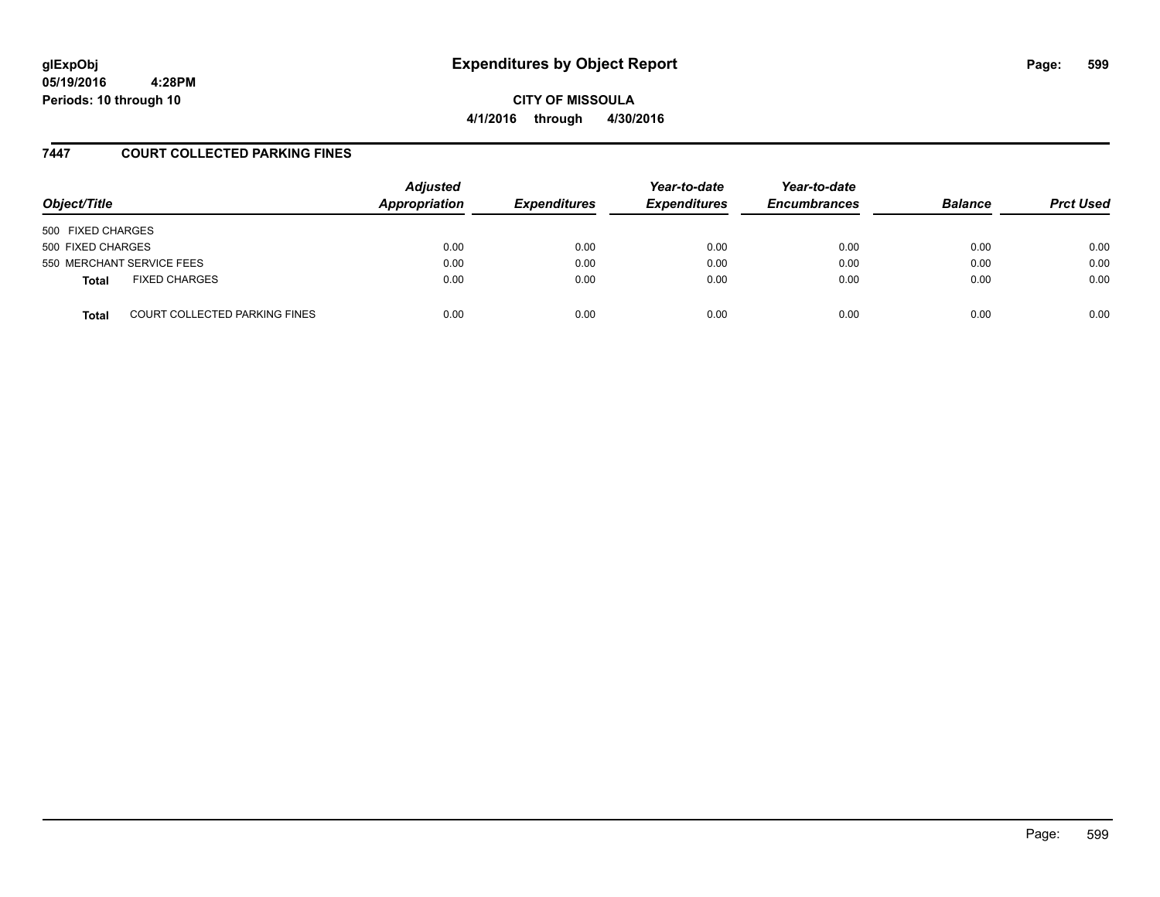# **glExpObj Expenditures by Object Report Page: 599**

**05/19/2016 4:28PM Periods: 10 through 10**

**CITY OF MISSOULA 4/1/2016 through 4/30/2016**

### **7447 COURT COLLECTED PARKING FINES**

| Object/Title      |                               | <b>Adjusted</b><br>Appropriation | <b>Expenditures</b> | Year-to-date<br><b>Expenditures</b> | Year-to-date<br><b>Encumbrances</b> | <b>Balance</b> | <b>Prct Used</b> |
|-------------------|-------------------------------|----------------------------------|---------------------|-------------------------------------|-------------------------------------|----------------|------------------|
| 500 FIXED CHARGES |                               |                                  |                     |                                     |                                     |                |                  |
| 500 FIXED CHARGES |                               | 0.00                             | 0.00                | 0.00                                | 0.00                                | 0.00           | 0.00             |
|                   | 550 MERCHANT SERVICE FEES     | 0.00                             | 0.00                | 0.00                                | 0.00                                | 0.00           | 0.00             |
| <b>Total</b>      | <b>FIXED CHARGES</b>          | 0.00                             | 0.00                | 0.00                                | 0.00                                | 0.00           | 0.00             |
| <b>Total</b>      | COURT COLLECTED PARKING FINES | 0.00                             | 0.00                | 0.00                                | 0.00                                | 0.00           | 0.00             |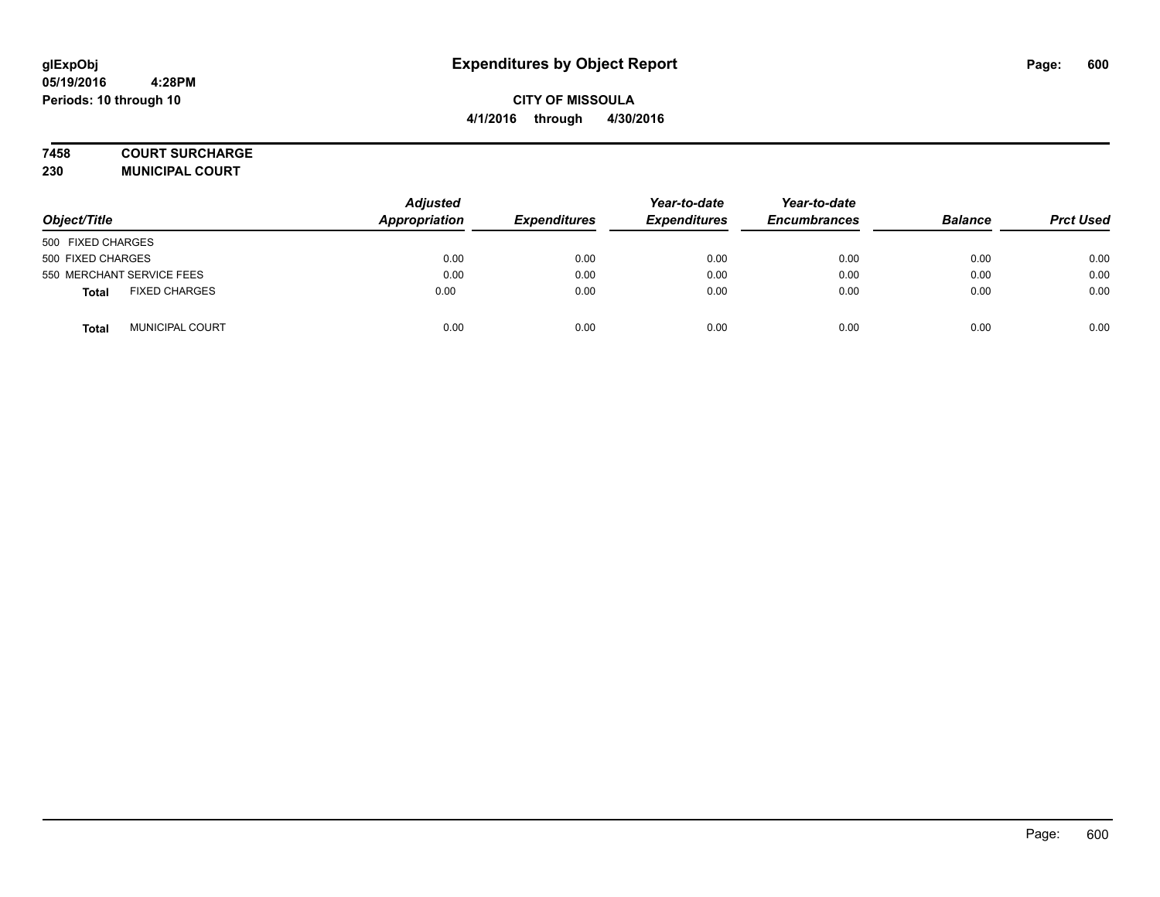#### **7458 COURT SURCHARGE**

**230 MUNICIPAL COURT**

| Object/Title                         | <b>Adjusted</b><br>Appropriation | <b>Expenditures</b> | Year-to-date<br><b>Expenditures</b> | Year-to-date<br><b>Encumbrances</b> | <b>Balance</b> | <b>Prct Used</b> |
|--------------------------------------|----------------------------------|---------------------|-------------------------------------|-------------------------------------|----------------|------------------|
| 500 FIXED CHARGES                    |                                  |                     |                                     |                                     |                |                  |
| 500 FIXED CHARGES                    | 0.00                             | 0.00                | 0.00                                | 0.00                                | 0.00           | 0.00             |
| 550 MERCHANT SERVICE FEES            | 0.00                             | 0.00                | 0.00                                | 0.00                                | 0.00           | 0.00             |
| <b>FIXED CHARGES</b><br><b>Total</b> | 0.00                             | 0.00                | 0.00                                | 0.00                                | 0.00           | 0.00             |
| <b>MUNICIPAL COURT</b><br>Total      | 0.00                             | 0.00                | 0.00                                | 0.00                                | 0.00           | 0.00             |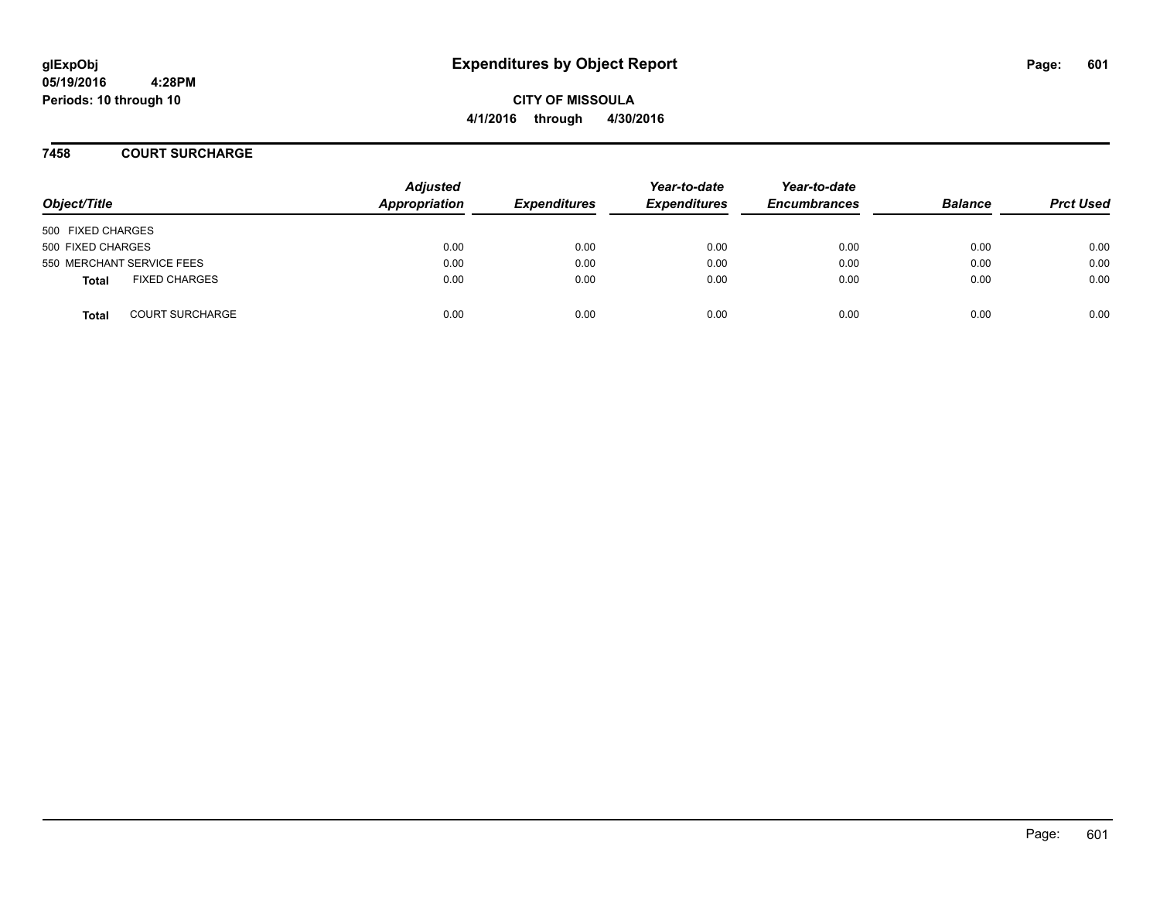**CITY OF MISSOULA 4/1/2016 through 4/30/2016**

### **7458 COURT SURCHARGE**

| Object/Title              |                        | <b>Adjusted</b><br>Appropriation | <b>Expenditures</b> | Year-to-date<br><b>Expenditures</b> | Year-to-date<br><b>Encumbrances</b> | <b>Balance</b> | <b>Prct Used</b> |
|---------------------------|------------------------|----------------------------------|---------------------|-------------------------------------|-------------------------------------|----------------|------------------|
| 500 FIXED CHARGES         |                        |                                  |                     |                                     |                                     |                |                  |
| 500 FIXED CHARGES         |                        | 0.00                             | 0.00                | 0.00                                | 0.00                                | 0.00           | 0.00             |
| 550 MERCHANT SERVICE FEES |                        | 0.00                             | 0.00                | 0.00                                | 0.00                                | 0.00           | 0.00             |
| Total                     | <b>FIXED CHARGES</b>   | 0.00                             | 0.00                | 0.00                                | 0.00                                | 0.00           | 0.00             |
| <b>Total</b>              | <b>COURT SURCHARGE</b> | 0.00                             | 0.00                | 0.00                                | 0.00                                | 0.00           | 0.00             |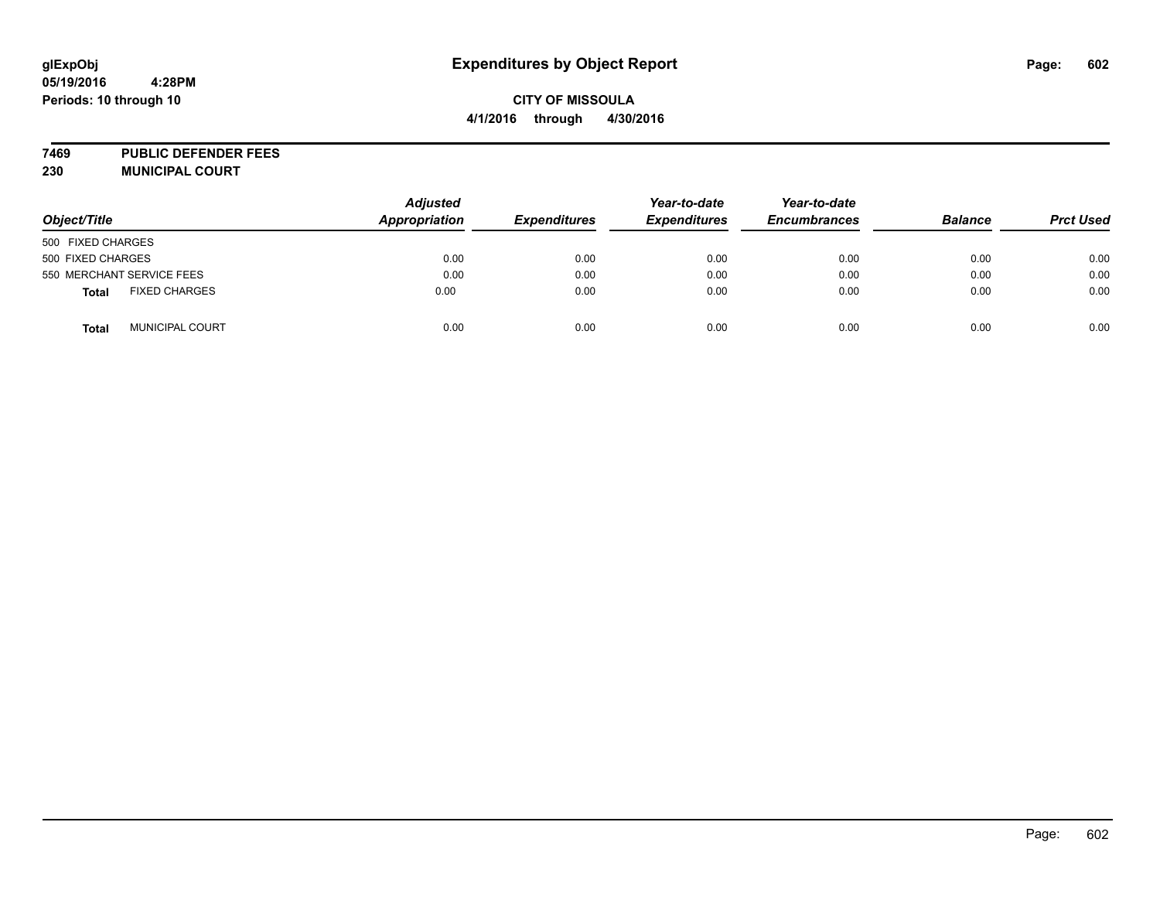## **CITY OF MISSOULA 4/1/2016 through 4/30/2016**

**7469 PUBLIC DEFENDER FEES 230 MUNICIPAL COURT**

| Object/Title                         | <b>Adjusted</b><br>Appropriation | <b>Expenditures</b> | Year-to-date<br><b>Expenditures</b> | Year-to-date<br><b>Encumbrances</b> | <b>Balance</b> | <b>Prct Used</b> |
|--------------------------------------|----------------------------------|---------------------|-------------------------------------|-------------------------------------|----------------|------------------|
| 500 FIXED CHARGES                    |                                  |                     |                                     |                                     |                |                  |
| 500 FIXED CHARGES                    | 0.00                             | 0.00                | 0.00                                | 0.00                                | 0.00           | 0.00             |
| 550 MERCHANT SERVICE FEES            | 0.00                             | 0.00                | 0.00                                | 0.00                                | 0.00           | 0.00             |
| <b>FIXED CHARGES</b><br><b>Total</b> | 0.00                             | 0.00                | 0.00                                | 0.00                                | 0.00           | 0.00             |
| MUNICIPAL COURT<br><b>Total</b>      | 0.00                             | 0.00                | 0.00                                | 0.00                                | 0.00           | 0.00             |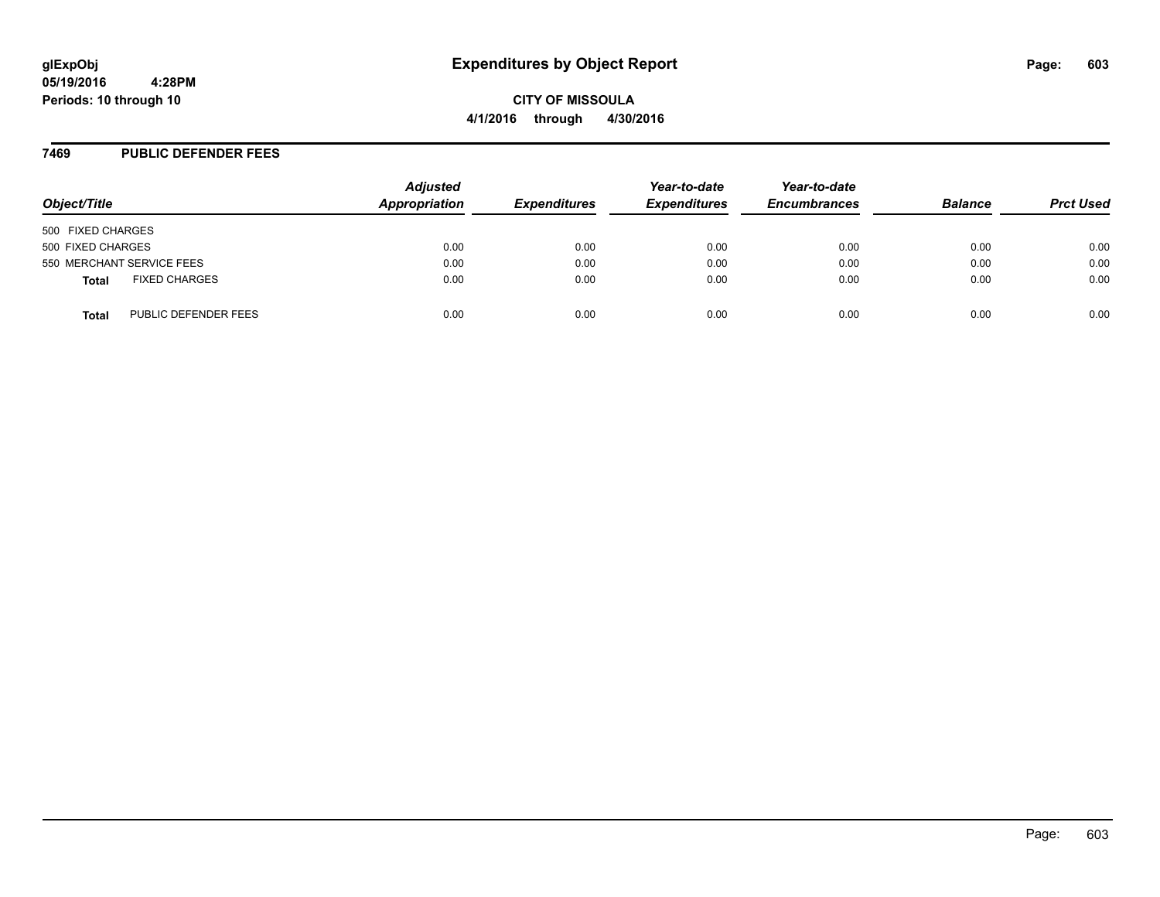#### **7469 PUBLIC DEFENDER FEES**

| Object/Title                         | <b>Adjusted</b><br>Appropriation | <b>Expenditures</b> | Year-to-date<br><b>Expenditures</b> | Year-to-date<br><b>Encumbrances</b> | <b>Balance</b> | <b>Prct Used</b> |
|--------------------------------------|----------------------------------|---------------------|-------------------------------------|-------------------------------------|----------------|------------------|
| 500 FIXED CHARGES                    |                                  |                     |                                     |                                     |                |                  |
| 500 FIXED CHARGES                    | 0.00                             | 0.00                | 0.00                                | 0.00                                | 0.00           | 0.00             |
| 550 MERCHANT SERVICE FEES            | 0.00                             | 0.00                | 0.00                                | 0.00                                | 0.00           | 0.00             |
| <b>FIXED CHARGES</b><br><b>Total</b> | 0.00                             | 0.00                | 0.00                                | 0.00                                | 0.00           | 0.00             |
| PUBLIC DEFENDER FEES<br><b>Total</b> | 0.00                             | 0.00                | 0.00                                | 0.00                                | 0.00           | 0.00             |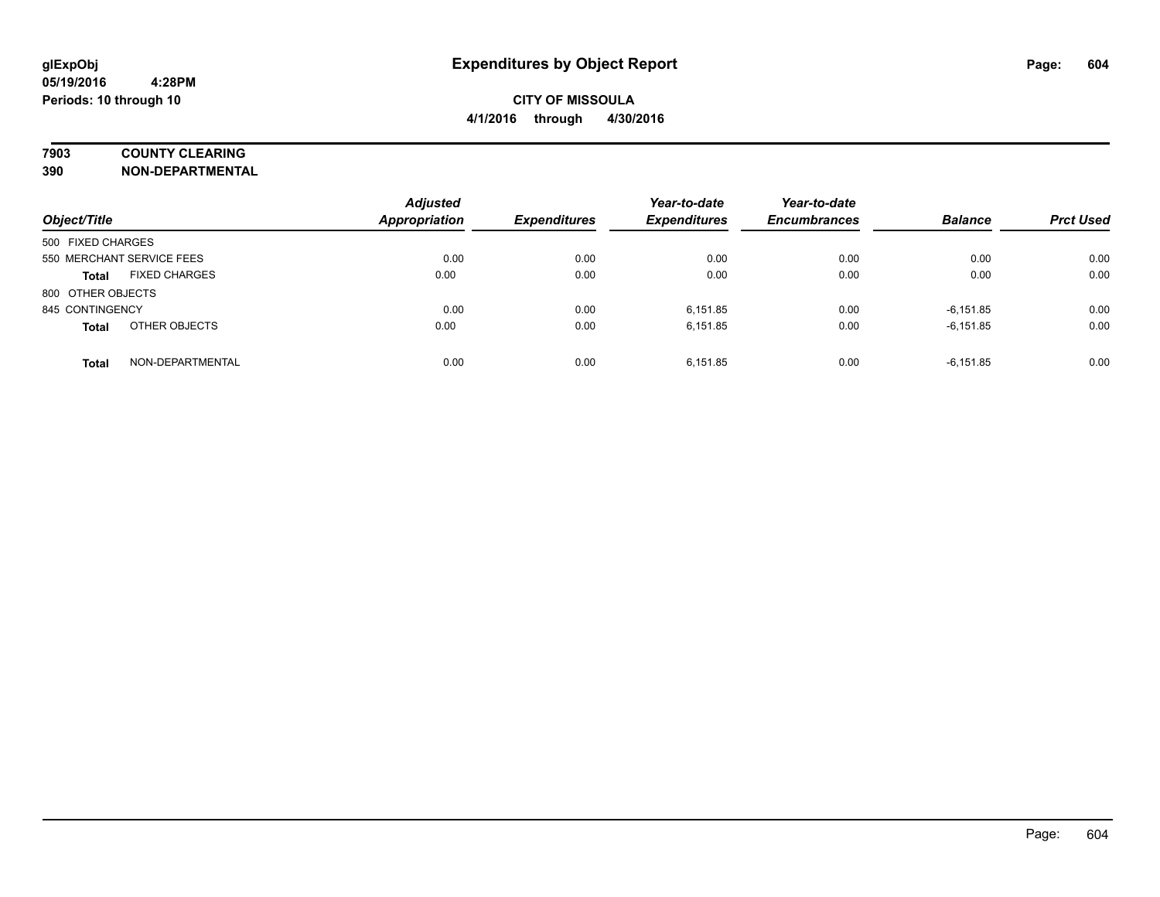## **7903 COUNTY CLEARING**

**390 NON-DEPARTMENTAL**

| Object/Title                         | <b>Adjusted</b><br>Appropriation | <b>Expenditures</b> | Year-to-date<br><b>Expenditures</b> | Year-to-date<br><b>Encumbrances</b> | <b>Balance</b> | <b>Prct Used</b> |
|--------------------------------------|----------------------------------|---------------------|-------------------------------------|-------------------------------------|----------------|------------------|
| 500 FIXED CHARGES                    |                                  |                     |                                     |                                     |                |                  |
| 550 MERCHANT SERVICE FEES            | 0.00                             | 0.00                | 0.00                                | 0.00                                | 0.00           | 0.00             |
| <b>FIXED CHARGES</b><br><b>Total</b> | 0.00                             | 0.00                | 0.00                                | 0.00                                | 0.00           | 0.00             |
| 800 OTHER OBJECTS                    |                                  |                     |                                     |                                     |                |                  |
| 845 CONTINGENCY                      | 0.00                             | 0.00                | 6.151.85                            | 0.00                                | $-6,151.85$    | 0.00             |
| OTHER OBJECTS<br><b>Total</b>        | 0.00                             | 0.00                | 6.151.85                            | 0.00                                | $-6,151.85$    | 0.00             |
| NON-DEPARTMENTAL<br><b>Total</b>     | 0.00                             | 0.00                | 6.151.85                            | 0.00                                | $-6.151.85$    | 0.00             |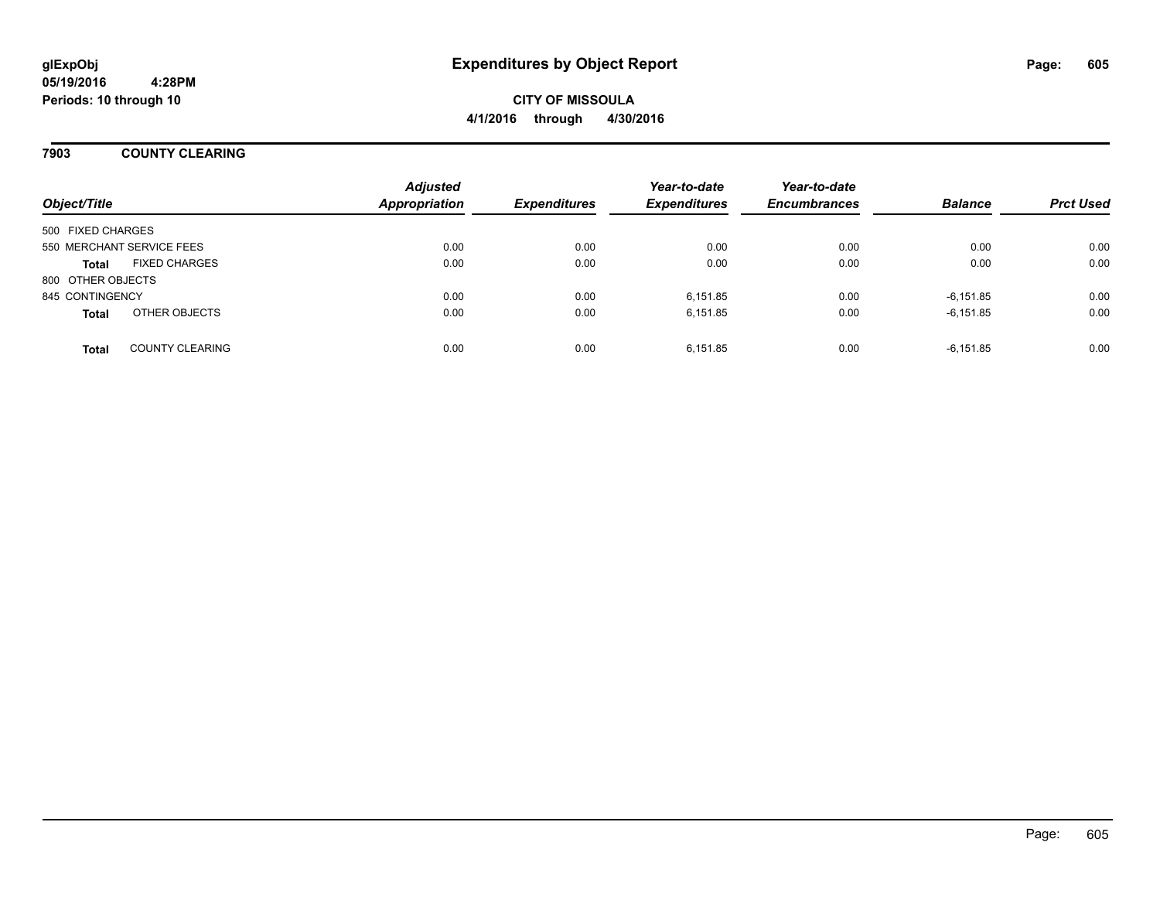**CITY OF MISSOULA 4/1/2016 through 4/30/2016**

### **7903 COUNTY CLEARING**

| Object/Title              |                        | <b>Adjusted</b><br><b>Appropriation</b> | <b>Expenditures</b> | Year-to-date<br><b>Expenditures</b> | Year-to-date<br><b>Encumbrances</b> | <b>Balance</b> | <b>Prct Used</b> |
|---------------------------|------------------------|-----------------------------------------|---------------------|-------------------------------------|-------------------------------------|----------------|------------------|
| 500 FIXED CHARGES         |                        |                                         |                     |                                     |                                     |                |                  |
| 550 MERCHANT SERVICE FEES |                        | 0.00                                    | 0.00                | 0.00                                | 0.00                                | 0.00           | 0.00             |
| <b>Total</b>              | <b>FIXED CHARGES</b>   | 0.00                                    | 0.00                | 0.00                                | 0.00                                | 0.00           | 0.00             |
| 800 OTHER OBJECTS         |                        |                                         |                     |                                     |                                     |                |                  |
| 845 CONTINGENCY           |                        | 0.00                                    | 0.00                | 6,151.85                            | 0.00                                | $-6,151.85$    | 0.00             |
| <b>Total</b>              | OTHER OBJECTS          | 0.00                                    | 0.00                | 6,151.85                            | 0.00                                | $-6,151.85$    | 0.00             |
| <b>Total</b>              | <b>COUNTY CLEARING</b> | 0.00                                    | 0.00                | 6.151.85                            | 0.00                                | $-6,151.85$    | 0.00             |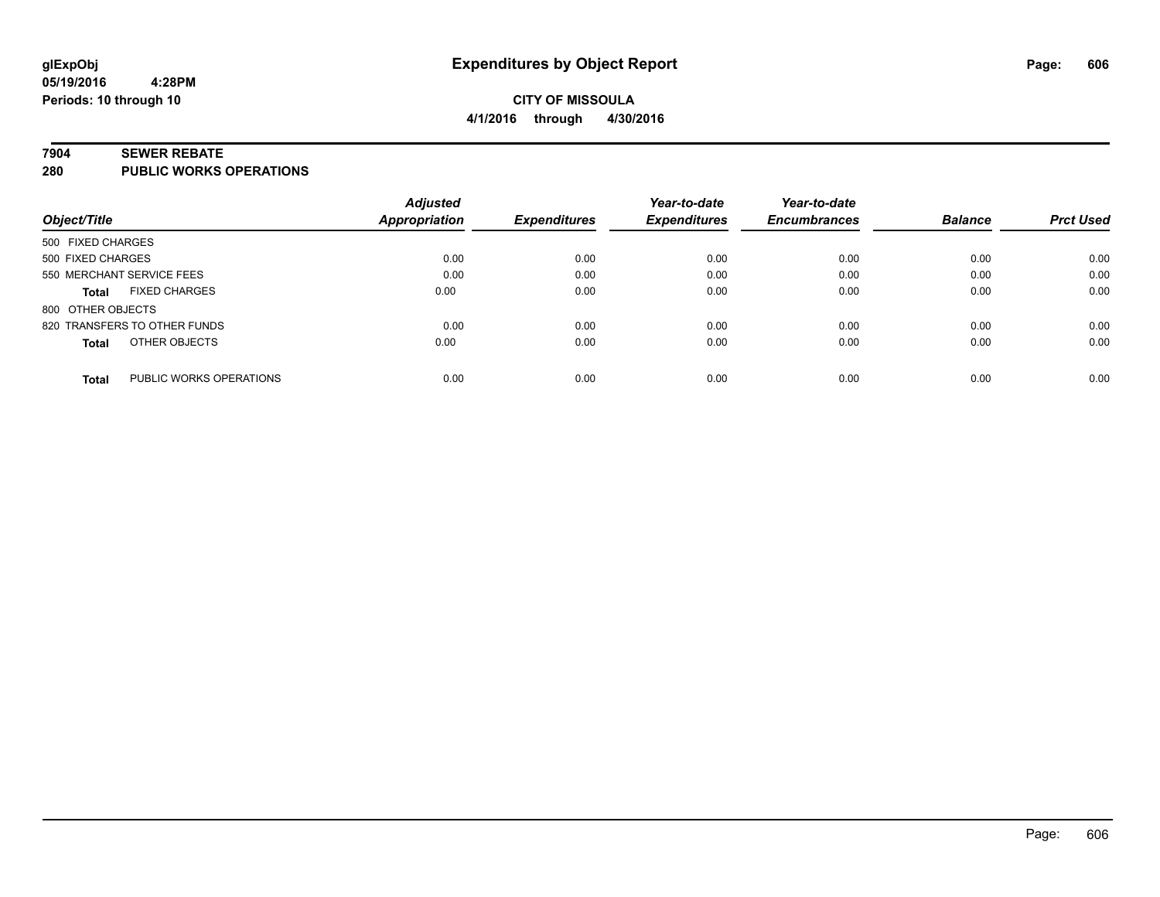#### **7904 SEWER REBATE**

**280 PUBLIC WORKS OPERATIONS**

|                                         | <b>Adjusted</b>      |                     | Year-to-date        | Year-to-date        |                |                  |
|-----------------------------------------|----------------------|---------------------|---------------------|---------------------|----------------|------------------|
| Object/Title                            | <b>Appropriation</b> | <b>Expenditures</b> | <b>Expenditures</b> | <b>Encumbrances</b> | <b>Balance</b> | <b>Prct Used</b> |
| 500 FIXED CHARGES                       |                      |                     |                     |                     |                |                  |
| 500 FIXED CHARGES                       | 0.00                 | 0.00                | 0.00                | 0.00                | 0.00           | 0.00             |
| 550 MERCHANT SERVICE FEES               | 0.00                 | 0.00                | 0.00                | 0.00                | 0.00           | 0.00             |
| <b>FIXED CHARGES</b><br><b>Total</b>    | 0.00                 | 0.00                | 0.00                | 0.00                | 0.00           | 0.00             |
| 800 OTHER OBJECTS                       |                      |                     |                     |                     |                |                  |
| 820 TRANSFERS TO OTHER FUNDS            | 0.00                 | 0.00                | 0.00                | 0.00                | 0.00           | 0.00             |
| OTHER OBJECTS<br><b>Total</b>           | 0.00                 | 0.00                | 0.00                | 0.00                | 0.00           | 0.00             |
| PUBLIC WORKS OPERATIONS<br><b>Total</b> | 0.00                 | 0.00                | 0.00                | 0.00                | 0.00           | 0.00             |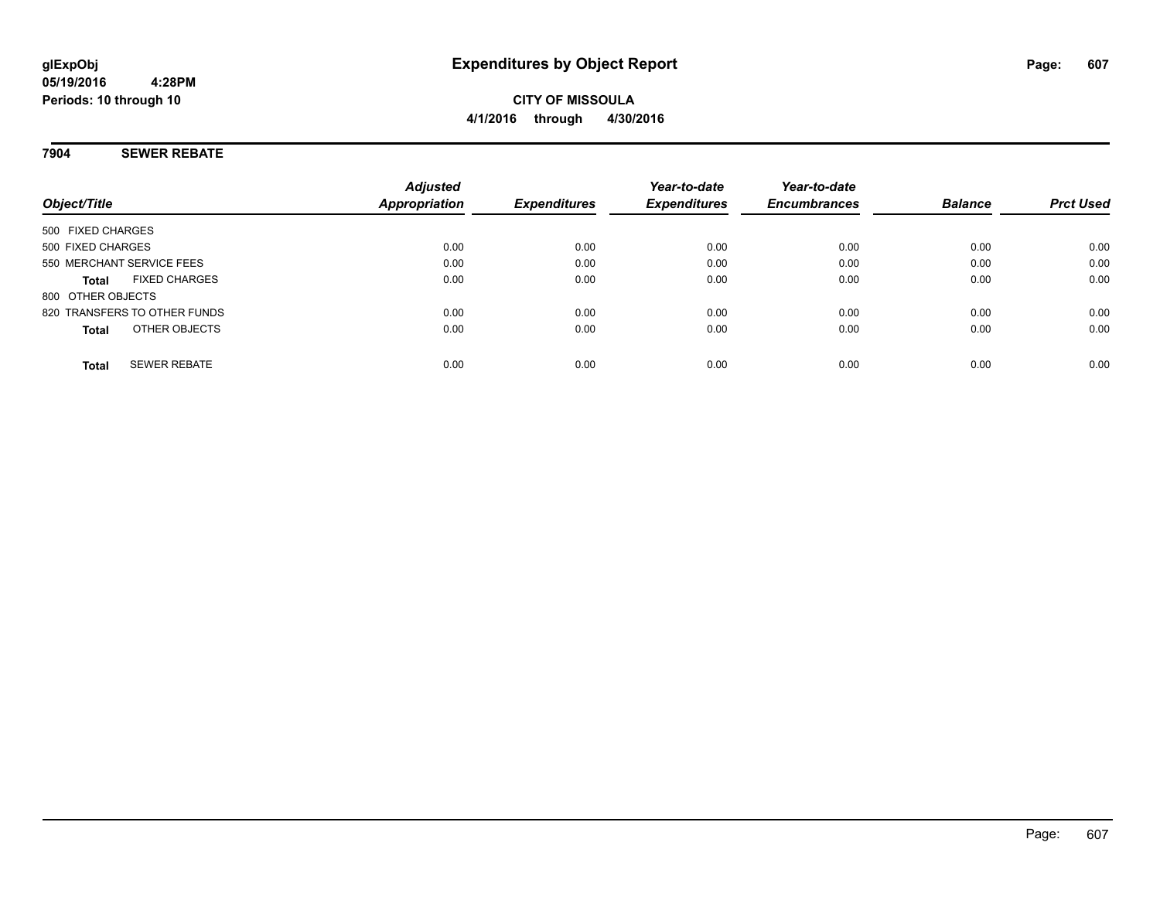### **7904 SEWER REBATE**

| Object/Title                         | <b>Adjusted</b><br>Appropriation | <b>Expenditures</b> | Year-to-date<br><b>Expenditures</b> | Year-to-date<br><b>Encumbrances</b> | <b>Balance</b> | <b>Prct Used</b> |
|--------------------------------------|----------------------------------|---------------------|-------------------------------------|-------------------------------------|----------------|------------------|
| 500 FIXED CHARGES                    |                                  |                     |                                     |                                     |                |                  |
| 500 FIXED CHARGES                    | 0.00                             | 0.00                | 0.00                                | 0.00                                | 0.00           | 0.00             |
| 550 MERCHANT SERVICE FEES            | 0.00                             | 0.00                | 0.00                                | 0.00                                | 0.00           | 0.00             |
| <b>FIXED CHARGES</b><br><b>Total</b> | 0.00                             | 0.00                | 0.00                                | 0.00                                | 0.00           | 0.00             |
| 800 OTHER OBJECTS                    |                                  |                     |                                     |                                     |                |                  |
| 820 TRANSFERS TO OTHER FUNDS         | 0.00                             | 0.00                | 0.00                                | 0.00                                | 0.00           | 0.00             |
| OTHER OBJECTS<br><b>Total</b>        | 0.00                             | 0.00                | 0.00                                | 0.00                                | 0.00           | 0.00             |
| <b>SEWER REBATE</b><br><b>Total</b>  | 0.00                             | 0.00                | 0.00                                | 0.00                                | 0.00           | 0.00             |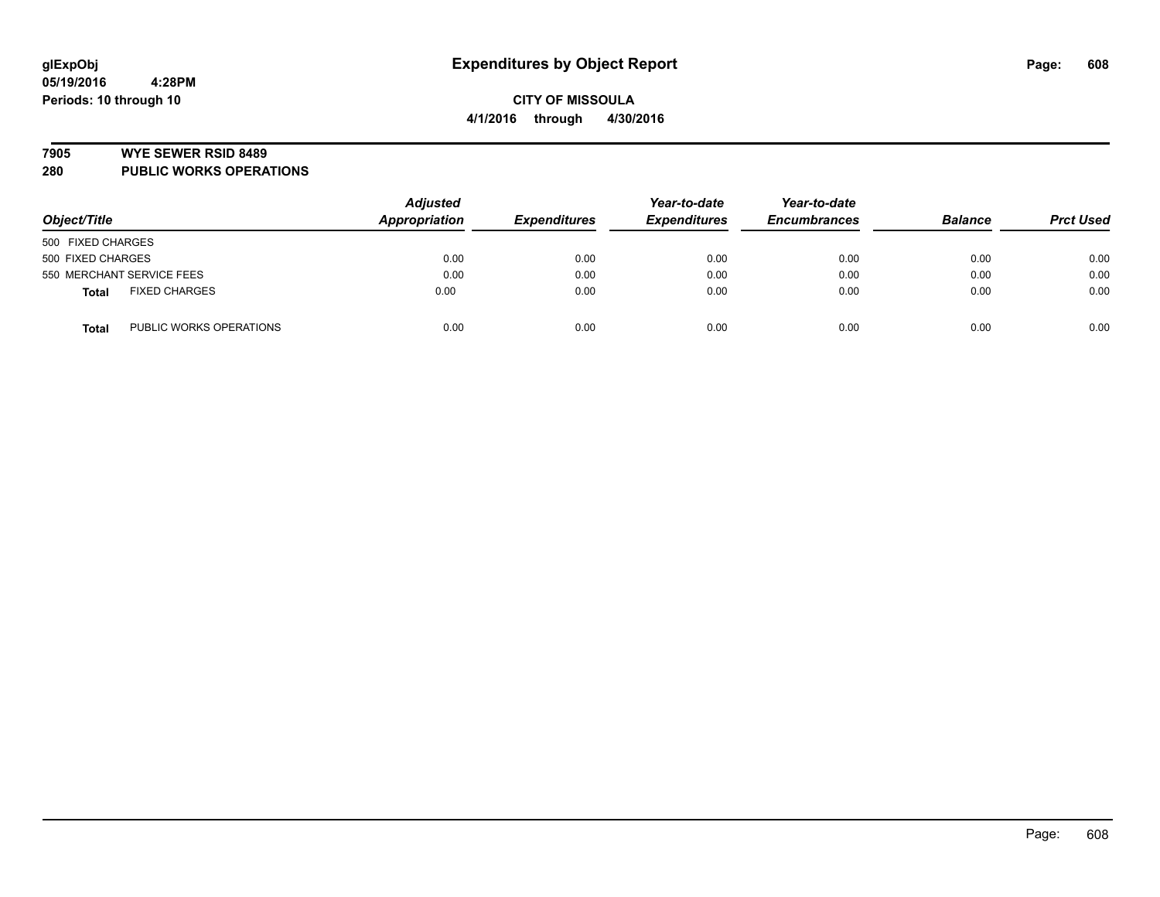#### **7905 WYE SEWER RSID 8489**

**280 PUBLIC WORKS OPERATIONS**

| Object/Title                            | <b>Adjusted</b><br>Appropriation | <b>Expenditures</b> | Year-to-date<br><b>Expenditures</b> | Year-to-date<br><b>Encumbrances</b> | <b>Balance</b> | <b>Prct Used</b> |
|-----------------------------------------|----------------------------------|---------------------|-------------------------------------|-------------------------------------|----------------|------------------|
| 500 FIXED CHARGES                       |                                  |                     |                                     |                                     |                |                  |
| 500 FIXED CHARGES                       | 0.00                             | 0.00                | 0.00                                | 0.00                                | 0.00           | 0.00             |
| 550 MERCHANT SERVICE FEES               | 0.00                             | 0.00                | 0.00                                | 0.00                                | 0.00           | 0.00             |
| <b>FIXED CHARGES</b><br><b>Total</b>    | 0.00                             | 0.00                | 0.00                                | 0.00                                | 0.00           | 0.00             |
| PUBLIC WORKS OPERATIONS<br><b>Total</b> | 0.00                             | 0.00                | 0.00                                | 0.00                                | 0.00           | 0.00             |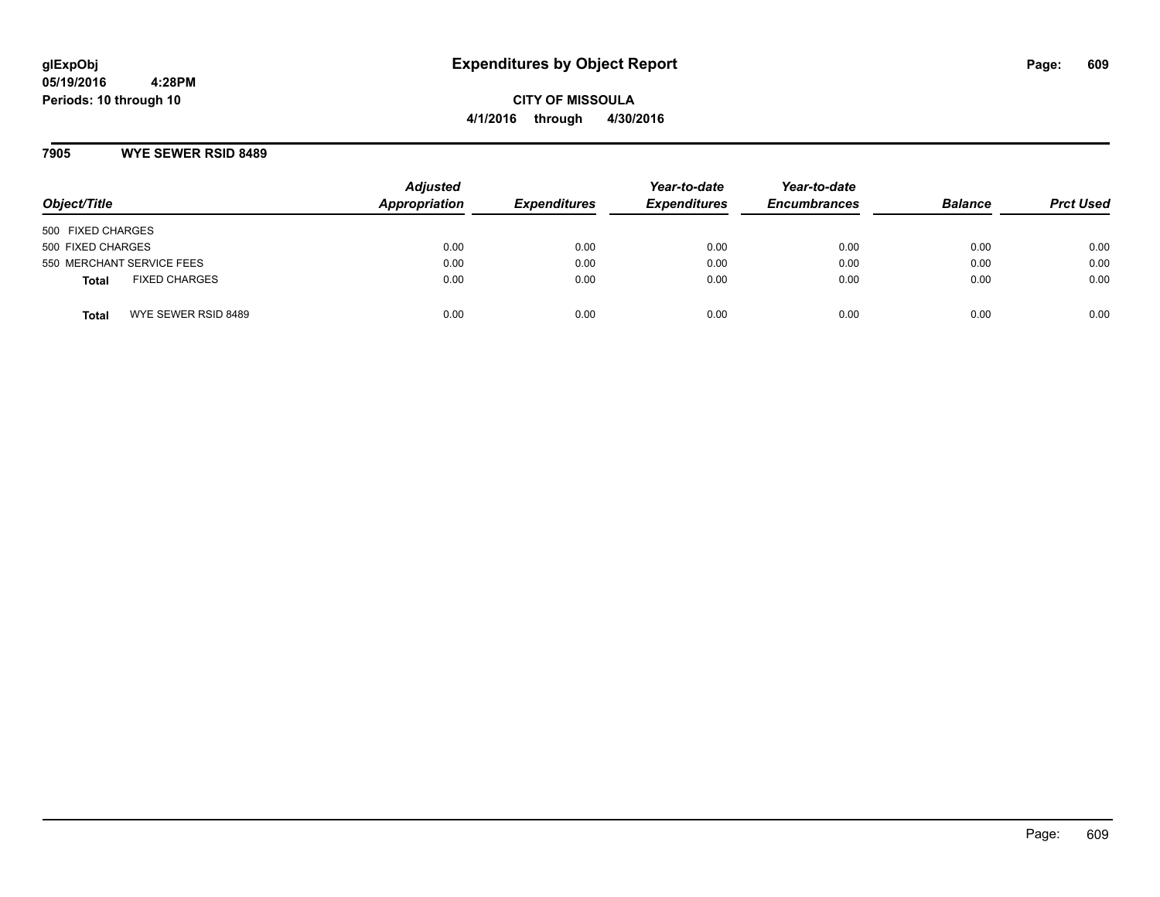### **7905 WYE SEWER RSID 8489**

| Object/Title                         | <b>Adjusted</b><br><b>Appropriation</b> | <b>Expenditures</b> | Year-to-date<br><b>Expenditures</b> | Year-to-date<br><b>Encumbrances</b> | <b>Balance</b> | <b>Prct Used</b> |
|--------------------------------------|-----------------------------------------|---------------------|-------------------------------------|-------------------------------------|----------------|------------------|
| 500 FIXED CHARGES                    |                                         |                     |                                     |                                     |                |                  |
| 500 FIXED CHARGES                    | 0.00                                    | 0.00                | 0.00                                | 0.00                                | 0.00           | 0.00             |
| 550 MERCHANT SERVICE FEES            | 0.00                                    | 0.00                | 0.00                                | 0.00                                | 0.00           | 0.00             |
| <b>FIXED CHARGES</b><br><b>Total</b> | 0.00                                    | 0.00                | 0.00                                | 0.00                                | 0.00           | 0.00             |
| WYE SEWER RSID 8489<br>Total         | 0.00                                    | 0.00                | 0.00                                | 0.00                                | 0.00           | 0.00             |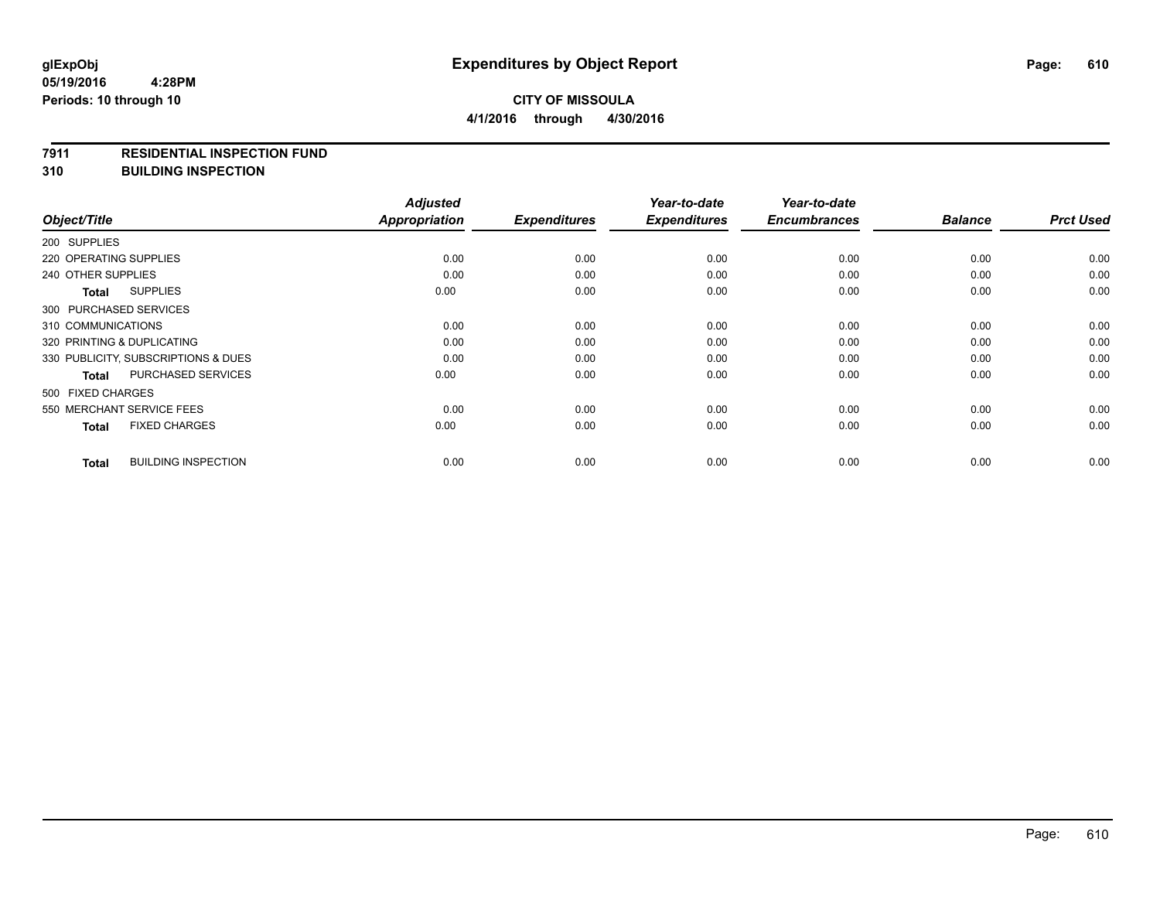#### **7911 RESIDENTIAL INSPECTION FUND**

**310 BUILDING INSPECTION**

| Object/Title                               | <b>Adjusted</b><br>Appropriation | <b>Expenditures</b> | Year-to-date<br><b>Expenditures</b> | Year-to-date<br><b>Encumbrances</b> | <b>Balance</b> | <b>Prct Used</b> |
|--------------------------------------------|----------------------------------|---------------------|-------------------------------------|-------------------------------------|----------------|------------------|
| 200 SUPPLIES                               |                                  |                     |                                     |                                     |                |                  |
| 220 OPERATING SUPPLIES                     | 0.00                             | 0.00                | 0.00                                | 0.00                                | 0.00           | 0.00             |
| 240 OTHER SUPPLIES                         | 0.00                             | 0.00                | 0.00                                | 0.00                                | 0.00           | 0.00             |
| <b>SUPPLIES</b><br>Total                   | 0.00                             | 0.00                | 0.00                                | 0.00                                | 0.00           | 0.00             |
| 300 PURCHASED SERVICES                     |                                  |                     |                                     |                                     |                |                  |
| 310 COMMUNICATIONS                         | 0.00                             | 0.00                | 0.00                                | 0.00                                | 0.00           | 0.00             |
| 320 PRINTING & DUPLICATING                 | 0.00                             | 0.00                | 0.00                                | 0.00                                | 0.00           | 0.00             |
| 330 PUBLICITY, SUBSCRIPTIONS & DUES        | 0.00                             | 0.00                | 0.00                                | 0.00                                | 0.00           | 0.00             |
| PURCHASED SERVICES<br><b>Total</b>         | 0.00                             | 0.00                | 0.00                                | 0.00                                | 0.00           | 0.00             |
| 500 FIXED CHARGES                          |                                  |                     |                                     |                                     |                |                  |
| 550 MERCHANT SERVICE FEES                  | 0.00                             | 0.00                | 0.00                                | 0.00                                | 0.00           | 0.00             |
| <b>FIXED CHARGES</b><br><b>Total</b>       | 0.00                             | 0.00                | 0.00                                | 0.00                                | 0.00           | 0.00             |
| <b>BUILDING INSPECTION</b><br><b>Total</b> | 0.00                             | 0.00                | 0.00                                | 0.00                                | 0.00           | 0.00             |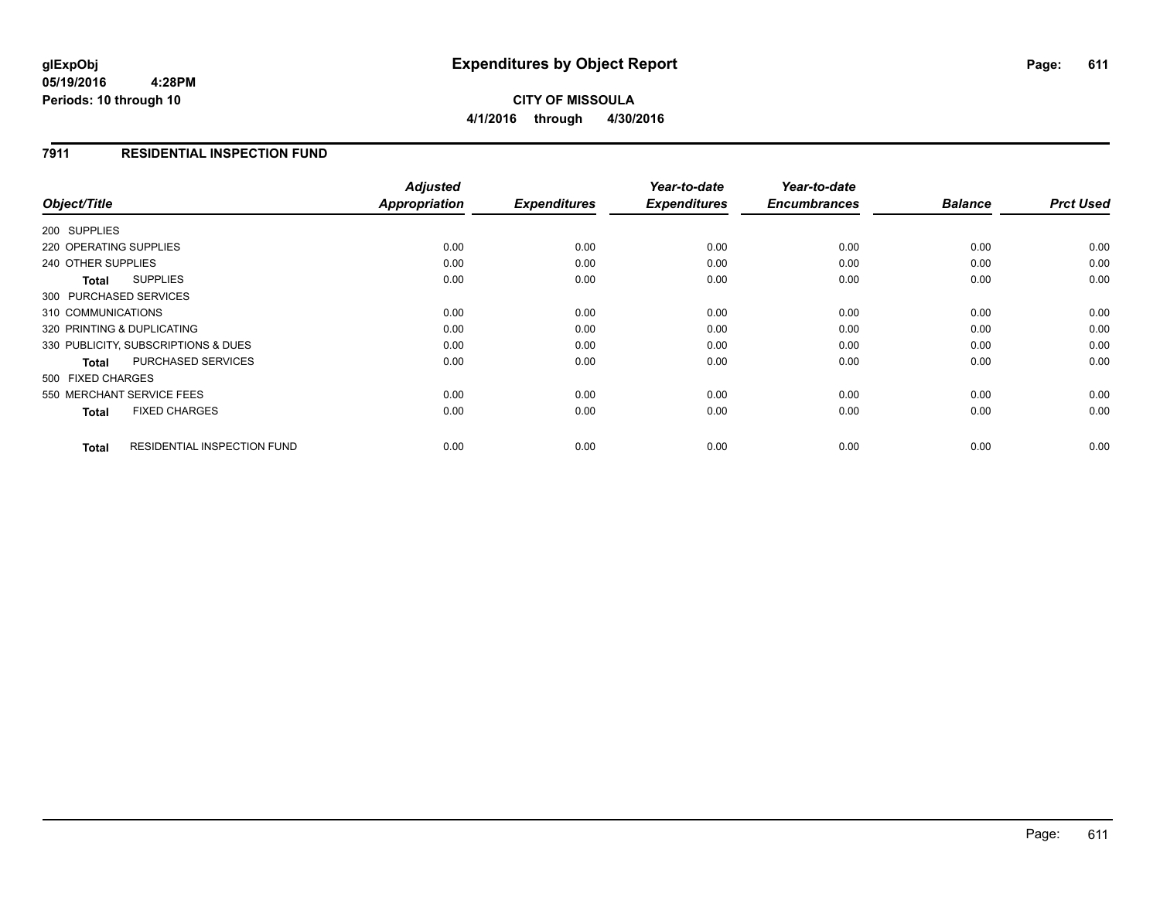## **CITY OF MISSOULA 4/1/2016 through 4/30/2016**

### **7911 RESIDENTIAL INSPECTION FUND**

| Object/Title                                       | <b>Adjusted</b><br>Appropriation | <b>Expenditures</b> | Year-to-date<br><b>Expenditures</b> | Year-to-date<br><b>Encumbrances</b> | <b>Balance</b> | <b>Prct Used</b> |
|----------------------------------------------------|----------------------------------|---------------------|-------------------------------------|-------------------------------------|----------------|------------------|
|                                                    |                                  |                     |                                     |                                     |                |                  |
| 200 SUPPLIES                                       |                                  |                     |                                     |                                     |                |                  |
| 220 OPERATING SUPPLIES                             | 0.00                             | 0.00                | 0.00                                | 0.00                                | 0.00           | 0.00             |
| 240 OTHER SUPPLIES                                 | 0.00                             | 0.00                | 0.00                                | 0.00                                | 0.00           | 0.00             |
| <b>SUPPLIES</b><br>Total                           | 0.00                             | 0.00                | 0.00                                | 0.00                                | 0.00           | 0.00             |
| 300 PURCHASED SERVICES                             |                                  |                     |                                     |                                     |                |                  |
| 310 COMMUNICATIONS                                 | 0.00                             | 0.00                | 0.00                                | 0.00                                | 0.00           | 0.00             |
| 320 PRINTING & DUPLICATING                         | 0.00                             | 0.00                | 0.00                                | 0.00                                | 0.00           | 0.00             |
| 330 PUBLICITY, SUBSCRIPTIONS & DUES                | 0.00                             | 0.00                | 0.00                                | 0.00                                | 0.00           | 0.00             |
| <b>PURCHASED SERVICES</b><br><b>Total</b>          | 0.00                             | 0.00                | 0.00                                | 0.00                                | 0.00           | 0.00             |
| 500 FIXED CHARGES                                  |                                  |                     |                                     |                                     |                |                  |
| 550 MERCHANT SERVICE FEES                          | 0.00                             | 0.00                | 0.00                                | 0.00                                | 0.00           | 0.00             |
| <b>FIXED CHARGES</b><br><b>Total</b>               | 0.00                             | 0.00                | 0.00                                | 0.00                                | 0.00           | 0.00             |
| <b>RESIDENTIAL INSPECTION FUND</b><br><b>Total</b> | 0.00                             | 0.00                | 0.00                                | 0.00                                | 0.00           | 0.00             |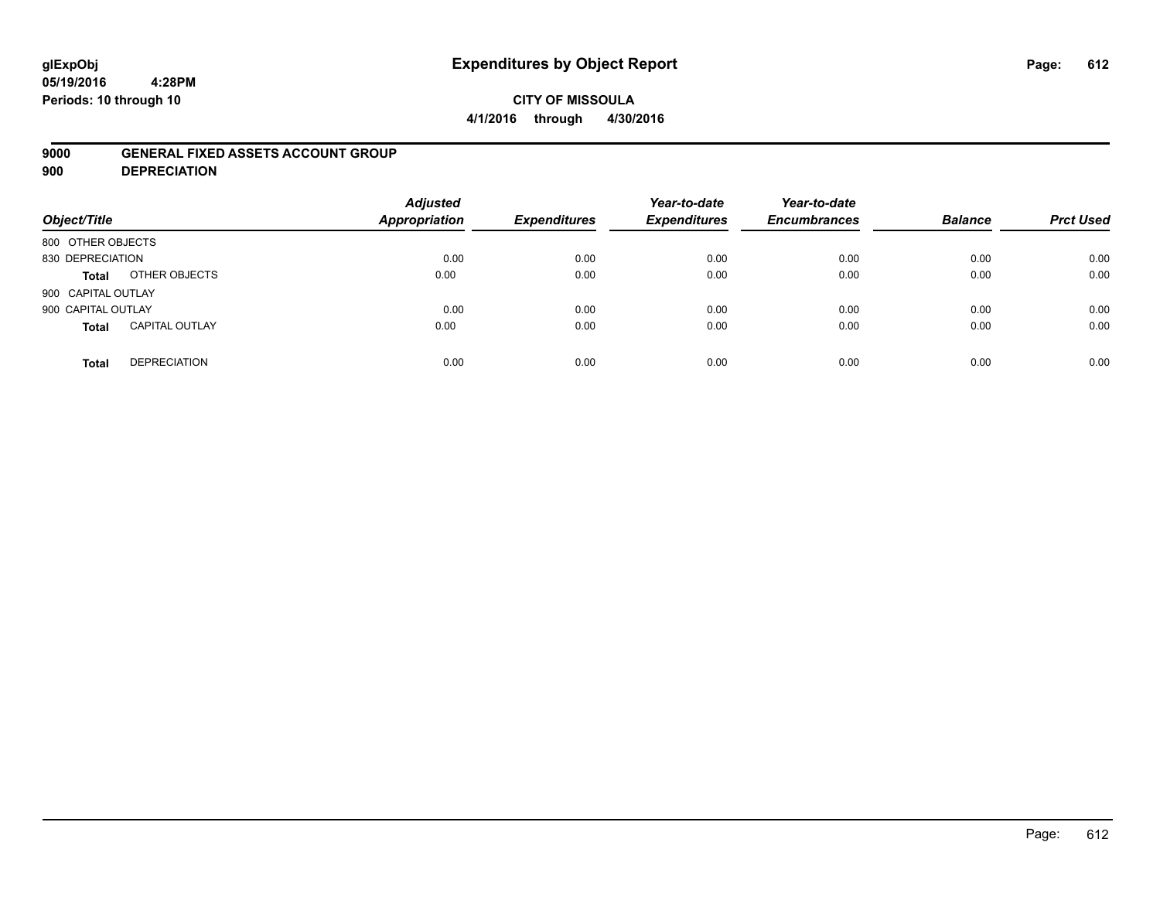# **glExpObj Expenditures by Object Report Page: 612**

**05/19/2016 4:28PM Periods: 10 through 10**

### **9000 GENERAL FIXED ASSETS ACCOUNT GROUP**

**900 DEPRECIATION**

| Object/Title                          | <b>Adjusted</b><br><b>Appropriation</b> | <b>Expenditures</b> | Year-to-date<br><b>Expenditures</b> | Year-to-date<br><b>Encumbrances</b> | <b>Balance</b> | <b>Prct Used</b> |
|---------------------------------------|-----------------------------------------|---------------------|-------------------------------------|-------------------------------------|----------------|------------------|
| 800 OTHER OBJECTS                     |                                         |                     |                                     |                                     |                |                  |
| 830 DEPRECIATION                      | 0.00                                    | 0.00                | 0.00                                | 0.00                                | 0.00           | 0.00             |
| OTHER OBJECTS<br><b>Total</b>         | 0.00                                    | 0.00                | 0.00                                | 0.00                                | 0.00           | 0.00             |
| 900 CAPITAL OUTLAY                    |                                         |                     |                                     |                                     |                |                  |
| 900 CAPITAL OUTLAY                    | 0.00                                    | 0.00                | 0.00                                | 0.00                                | 0.00           | 0.00             |
| <b>CAPITAL OUTLAY</b><br><b>Total</b> | 0.00                                    | 0.00                | 0.00                                | 0.00                                | 0.00           | 0.00             |
| <b>DEPRECIATION</b><br><b>Total</b>   | 0.00                                    | 0.00                | 0.00                                | 0.00                                | 0.00           | 0.00             |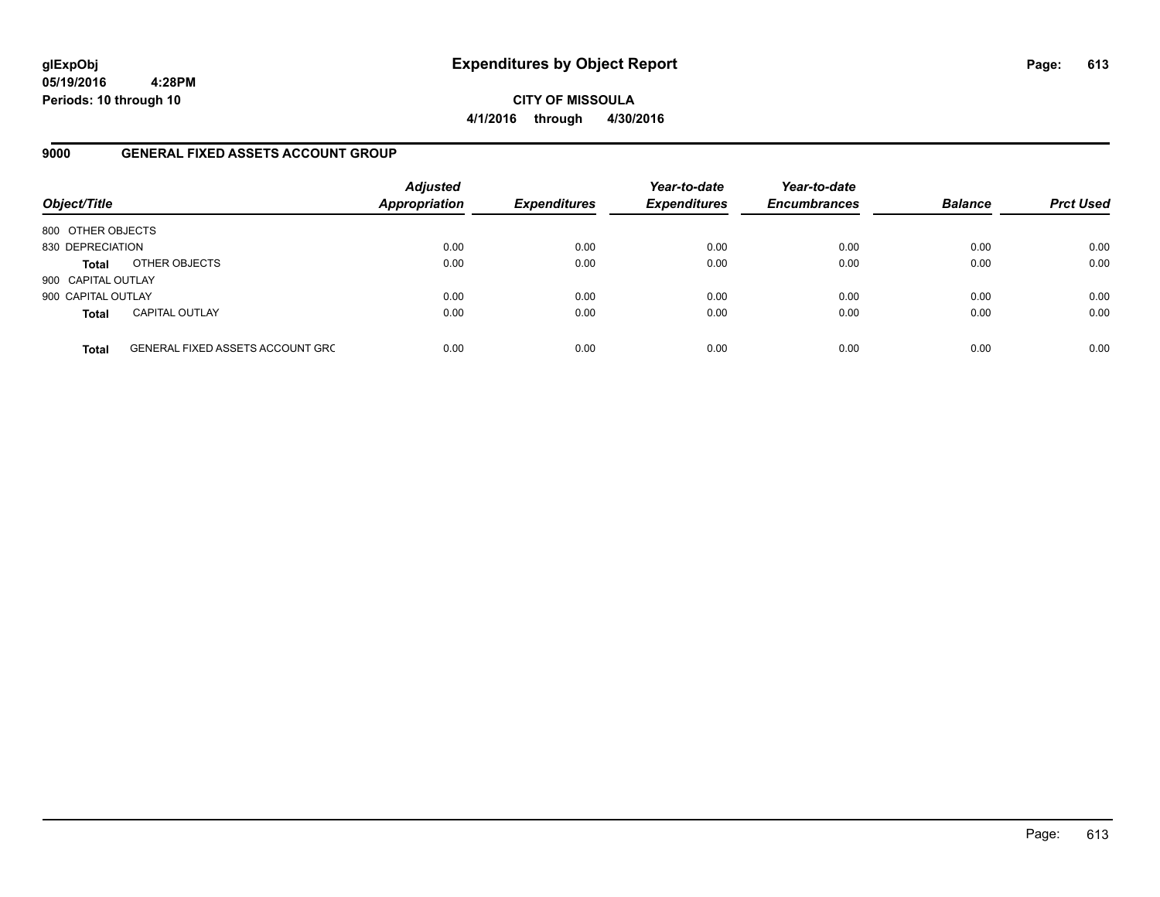**05/19/2016 4:28PM Periods: 10 through 10**

# **CITY OF MISSOULA 4/1/2016 through 4/30/2016**

## **9000 GENERAL FIXED ASSETS ACCOUNT GROUP**

| Object/Title       |                                         | <b>Adjusted</b><br><b>Appropriation</b> | <b>Expenditures</b> | Year-to-date<br><b>Expenditures</b> | Year-to-date<br><b>Encumbrances</b> | <b>Balance</b> | <b>Prct Used</b> |
|--------------------|-----------------------------------------|-----------------------------------------|---------------------|-------------------------------------|-------------------------------------|----------------|------------------|
| 800 OTHER OBJECTS  |                                         |                                         |                     |                                     |                                     |                |                  |
| 830 DEPRECIATION   |                                         | 0.00                                    | 0.00                | 0.00                                | 0.00                                | 0.00           | 0.00             |
| <b>Total</b>       | OTHER OBJECTS                           | 0.00                                    | 0.00                | 0.00                                | 0.00                                | 0.00           | 0.00             |
| 900 CAPITAL OUTLAY |                                         |                                         |                     |                                     |                                     |                |                  |
| 900 CAPITAL OUTLAY |                                         | 0.00                                    | 0.00                | 0.00                                | 0.00                                | 0.00           | 0.00             |
| <b>Total</b>       | <b>CAPITAL OUTLAY</b>                   | 0.00                                    | 0.00                | 0.00                                | 0.00                                | 0.00           | 0.00             |
| <b>Total</b>       | <b>GENERAL FIXED ASSETS ACCOUNT GRC</b> | 0.00                                    | 0.00                | 0.00                                | 0.00                                | 0.00           | 0.00             |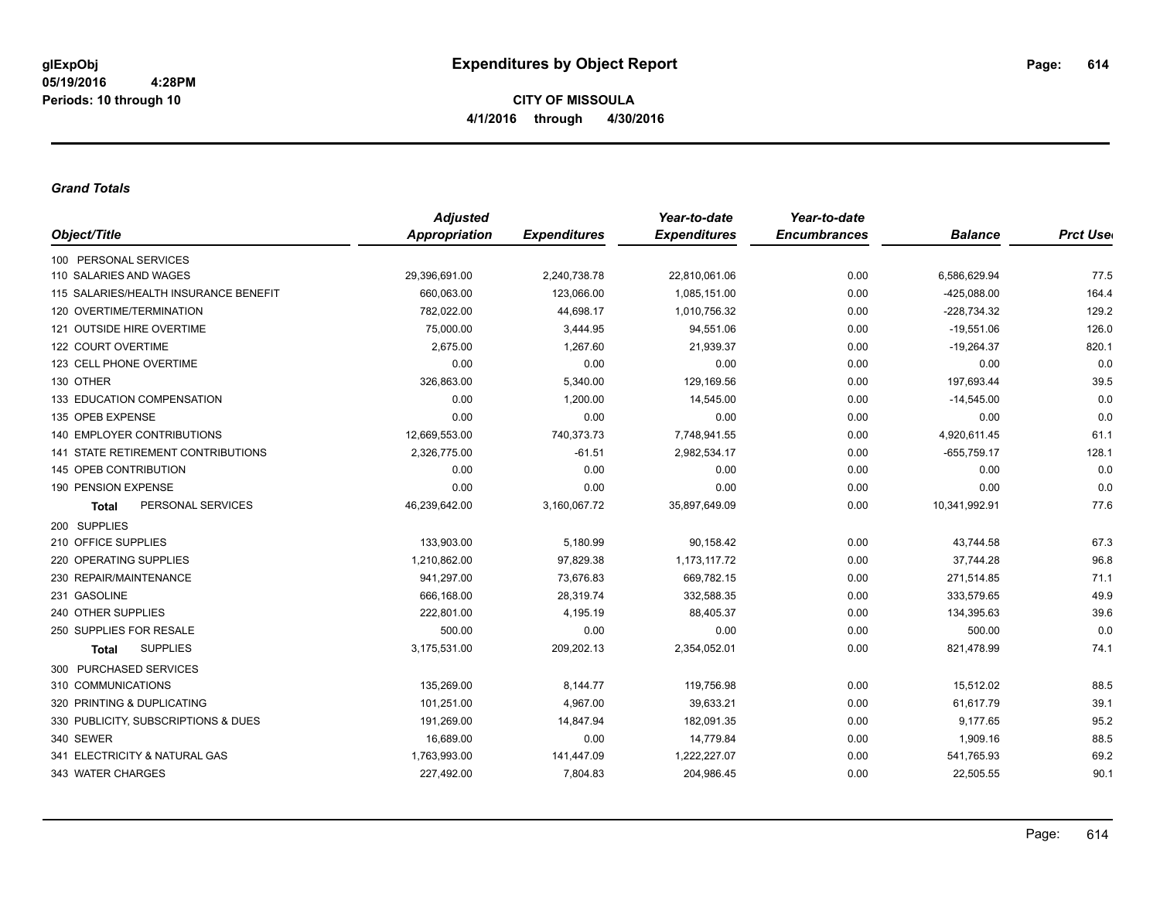**CITY OF MISSOULA 4/1/2016 through 4/30/2016**

#### *Grand Totals*

|                                           | <b>Adjusted</b>      |                     | Year-to-date        | Year-to-date        |                |                  |
|-------------------------------------------|----------------------|---------------------|---------------------|---------------------|----------------|------------------|
| Object/Title                              | <b>Appropriation</b> | <b>Expenditures</b> | <b>Expenditures</b> | <b>Encumbrances</b> | <b>Balance</b> | <b>Prct User</b> |
| 100 PERSONAL SERVICES                     |                      |                     |                     |                     |                |                  |
| 110 SALARIES AND WAGES                    | 29,396,691.00        | 2,240,738.78        | 22,810,061.06       | 0.00                | 6,586,629.94   | 77.5             |
| 115 SALARIES/HEALTH INSURANCE BENEFIT     | 660,063.00           | 123,066.00          | 1,085,151.00        | 0.00                | $-425,088.00$  | 164.4            |
| 120 OVERTIME/TERMINATION                  | 782,022.00           | 44,698.17           | 1,010,756.32        | 0.00                | $-228,734.32$  | 129.2            |
| 121 OUTSIDE HIRE OVERTIME                 | 75,000.00            | 3,444.95            | 94,551.06           | 0.00                | $-19,551.06$   | 126.0            |
| 122 COURT OVERTIME                        | 2,675.00             | 1,267.60            | 21,939.37           | 0.00                | $-19,264.37$   | 820.1            |
| 123 CELL PHONE OVERTIME                   | 0.00                 | 0.00                | 0.00                | 0.00                | 0.00           | 0.0              |
| 130 OTHER                                 | 326,863.00           | 5,340.00            | 129,169.56          | 0.00                | 197,693.44     | 39.5             |
| 133 EDUCATION COMPENSATION                | 0.00                 | 1,200.00            | 14,545.00           | 0.00                | $-14,545.00$   | 0.0              |
| 135 OPEB EXPENSE                          | 0.00                 | 0.00                | 0.00                | 0.00                | 0.00           | 0.0              |
| <b>140 EMPLOYER CONTRIBUTIONS</b>         | 12,669,553.00        | 740,373.73          | 7,748,941.55        | 0.00                | 4,920,611.45   | 61.1             |
| <b>141 STATE RETIREMENT CONTRIBUTIONS</b> | 2,326,775.00         | $-61.51$            | 2,982,534.17        | 0.00                | $-655,759.17$  | 128.1            |
| 145 OPEB CONTRIBUTION                     | 0.00                 | 0.00                | 0.00                | 0.00                | 0.00           | 0.0              |
| 190 PENSION EXPENSE                       | 0.00                 | 0.00                | 0.00                | 0.00                | 0.00           | 0.0              |
| PERSONAL SERVICES<br><b>Total</b>         | 46,239,642.00        | 3,160,067.72        | 35,897,649.09       | 0.00                | 10,341,992.91  | 77.6             |
| 200 SUPPLIES                              |                      |                     |                     |                     |                |                  |
| 210 OFFICE SUPPLIES                       | 133,903.00           | 5,180.99            | 90,158.42           | 0.00                | 43,744.58      | 67.3             |
| 220 OPERATING SUPPLIES                    | 1,210,862.00         | 97,829.38           | 1,173,117.72        | 0.00                | 37,744.28      | 96.8             |
| 230 REPAIR/MAINTENANCE                    | 941,297.00           | 73,676.83           | 669,782.15          | 0.00                | 271,514.85     | 71.1             |
| 231 GASOLINE                              | 666,168.00           | 28,319.74           | 332,588.35          | 0.00                | 333,579.65     | 49.9             |
| 240 OTHER SUPPLIES                        | 222,801.00           | 4,195.19            | 88,405.37           | 0.00                | 134,395.63     | 39.6             |
| 250 SUPPLIES FOR RESALE                   | 500.00               | 0.00                | 0.00                | 0.00                | 500.00         | 0.0              |
| <b>SUPPLIES</b><br><b>Total</b>           | 3,175,531.00         | 209,202.13          | 2,354,052.01        | 0.00                | 821,478.99     | 74.1             |
| 300 PURCHASED SERVICES                    |                      |                     |                     |                     |                |                  |
| 310 COMMUNICATIONS                        | 135.269.00           | 8,144.77            | 119,756.98          | 0.00                | 15,512.02      | 88.5             |
| 320 PRINTING & DUPLICATING                | 101,251.00           | 4,967.00            | 39,633.21           | 0.00                | 61,617.79      | 39.1             |
| 330 PUBLICITY, SUBSCRIPTIONS & DUES       | 191,269.00           | 14,847.94           | 182,091.35          | 0.00                | 9,177.65       | 95.2             |
| 340 SEWER                                 | 16,689.00            | 0.00                | 14,779.84           | 0.00                | 1,909.16       | 88.5             |
| 341 ELECTRICITY & NATURAL GAS             | 1,763,993.00         | 141,447.09          | 1,222,227.07        | 0.00                | 541,765.93     | 69.2             |
| 343 WATER CHARGES                         | 227,492.00           | 7,804.83            | 204,986.45          | 0.00                | 22,505.55      | 90.1             |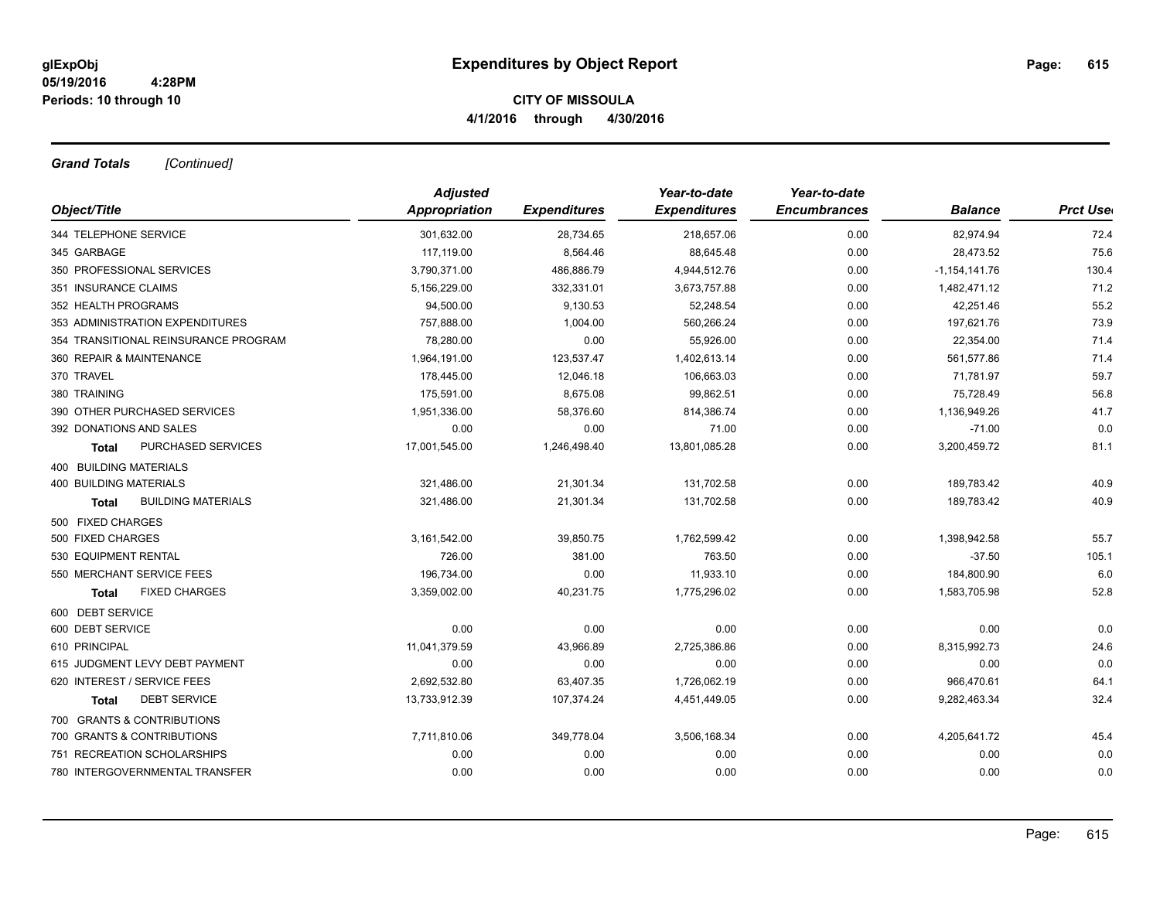## **CITY OF MISSOULA 4/1/2016 through 4/30/2016**

*Grand Totals [Continued]*

|                                           | <b>Adjusted</b>                      |                     | Year-to-date  | Year-to-date<br><b>Encumbrances</b> | <b>Balance</b>    | <b>Prct Uset</b> |
|-------------------------------------------|--------------------------------------|---------------------|---------------|-------------------------------------|-------------------|------------------|
| Object/Title                              | Appropriation<br><b>Expenditures</b> | <b>Expenditures</b> |               |                                     |                   |                  |
| 344 TELEPHONE SERVICE                     | 301.632.00                           | 28,734.65           | 218,657.06    | 0.00                                | 82,974.94         | 72.4             |
| 345 GARBAGE                               | 117,119.00                           | 8,564.46            | 88,645.48     | 0.00                                | 28,473.52         | 75.6             |
| 350 PROFESSIONAL SERVICES                 | 3,790,371.00                         | 486,886.79          | 4,944,512.76  | 0.00                                | $-1, 154, 141.76$ | 130.4            |
| 351 INSURANCE CLAIMS                      | 5,156,229.00                         | 332,331.01          | 3,673,757.88  | 0.00                                | 1,482,471.12      | 71.2             |
| 352 HEALTH PROGRAMS                       | 94,500.00                            | 9,130.53            | 52,248.54     | 0.00                                | 42,251.46         | 55.2             |
| 353 ADMINISTRATION EXPENDITURES           | 757,888.00                           | 1,004.00            | 560,266.24    | 0.00                                | 197,621.76        | 73.9             |
| 354 TRANSITIONAL REINSURANCE PROGRAM      | 78,280.00                            | 0.00                | 55,926.00     | 0.00                                | 22,354.00         | 71.4             |
| 360 REPAIR & MAINTENANCE                  | 1,964,191.00                         | 123,537.47          | 1,402,613.14  | 0.00                                | 561,577.86        | 71.4             |
| 370 TRAVEL                                | 178,445.00                           | 12,046.18           | 106,663.03    | 0.00                                | 71,781.97         | 59.7             |
| 380 TRAINING                              | 175,591.00                           | 8,675.08            | 99,862.51     | 0.00                                | 75,728.49         | 56.8             |
| 390 OTHER PURCHASED SERVICES              | 1,951,336.00                         | 58,376.60           | 814,386.74    | 0.00                                | 1,136,949.26      | 41.7             |
| 392 DONATIONS AND SALES                   | 0.00                                 | 0.00                | 71.00         | 0.00                                | $-71.00$          | 0.0              |
| PURCHASED SERVICES<br>Total               | 17,001,545.00                        | 1,246,498.40        | 13,801,085.28 | 0.00                                | 3,200,459.72      | 81.1             |
| <b>400 BUILDING MATERIALS</b>             |                                      |                     |               |                                     |                   |                  |
| <b>400 BUILDING MATERIALS</b>             | 321,486.00                           | 21,301.34           | 131,702.58    | 0.00                                | 189,783.42        | 40.9             |
| <b>BUILDING MATERIALS</b><br><b>Total</b> | 321,486.00                           | 21,301.34           | 131,702.58    | 0.00                                | 189,783.42        | 40.9             |
| 500 FIXED CHARGES                         |                                      |                     |               |                                     |                   |                  |
| 500 FIXED CHARGES                         | 3,161,542.00                         | 39,850.75           | 1,762,599.42  | 0.00                                | 1,398,942.58      | 55.7             |
| 530 EQUIPMENT RENTAL                      | 726.00                               | 381.00              | 763.50        | 0.00                                | $-37.50$          | 105.1            |
| 550 MERCHANT SERVICE FEES                 | 196,734.00                           | 0.00                | 11,933.10     | 0.00                                | 184,800.90        | 6.0              |
| <b>FIXED CHARGES</b><br><b>Total</b>      | 3,359,002.00                         | 40,231.75           | 1,775,296.02  | 0.00                                | 1,583,705.98      | 52.8             |
| 600 DEBT SERVICE                          |                                      |                     |               |                                     |                   |                  |
| 600 DEBT SERVICE                          | 0.00                                 | 0.00                | 0.00          | 0.00                                | 0.00              | 0.0              |
| 610 PRINCIPAL                             | 11,041,379.59                        | 43,966.89           | 2,725,386.86  | 0.00                                | 8,315,992.73      | 24.6             |
| 615 JUDGMENT LEVY DEBT PAYMENT            | 0.00                                 | 0.00                | 0.00          | 0.00                                | 0.00              | 0.0              |
| 620 INTEREST / SERVICE FEES               | 2,692,532.80                         | 63,407.35           | 1,726,062.19  | 0.00                                | 966,470.61        | 64.1             |
| <b>DEBT SERVICE</b><br>Total              | 13,733,912.39                        | 107,374.24          | 4,451,449.05  | 0.00                                | 9,282,463.34      | 32.4             |
| 700 GRANTS & CONTRIBUTIONS                |                                      |                     |               |                                     |                   |                  |
| 700 GRANTS & CONTRIBUTIONS                | 7,711,810.06                         | 349,778.04          | 3,506,168.34  | 0.00                                | 4,205,641.72      | 45.4             |
| 751 RECREATION SCHOLARSHIPS               | 0.00                                 | 0.00                | 0.00          | 0.00                                | 0.00              | 0.0              |
| 780 INTERGOVERNMENTAL TRANSFER            | 0.00                                 | 0.00                | 0.00          | 0.00                                | 0.00              | 0.0              |